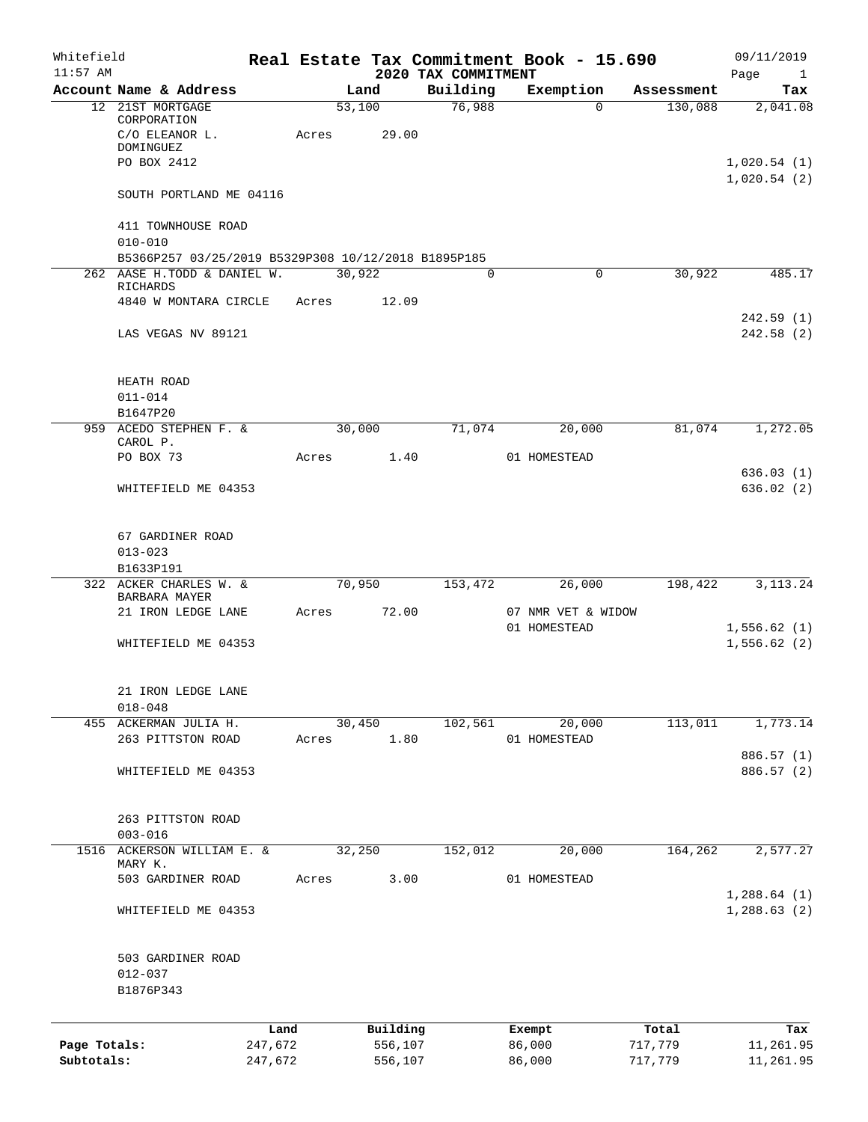| Whitefield<br>$11:57$ AM |                                                                                          |         |       |                 | 2020 TAX COMMITMENT | Real Estate Tax Commitment Book - 15.690 |            | 09/11/2019<br>Page<br>$\mathbf{1}$ |
|--------------------------|------------------------------------------------------------------------------------------|---------|-------|-----------------|---------------------|------------------------------------------|------------|------------------------------------|
|                          | Account Name & Address                                                                   |         |       | Land            | Building            | Exemption                                | Assessment | Tax                                |
|                          | 12 21ST MORTGAGE<br>CORPORATION<br>C/O ELEANOR L.<br><b>DOMINGUEZ</b><br>PO BOX 2412     |         | Acres | 53,100<br>29.00 | 76,988              | $\Omega$                                 | 130,088    | 2,041.08<br>1,020.54(1)            |
|                          | SOUTH PORTLAND ME 04116                                                                  |         |       |                 |                     |                                          |            | 1,020.54(2)                        |
|                          | 411 TOWNHOUSE ROAD<br>$010 - 010$<br>B5366P257 03/25/2019 B5329P308 10/12/2018 B1895P185 |         |       |                 |                     |                                          |            |                                    |
|                          | 262 AASE H. TODD & DANIEL W.                                                             |         |       | 30,922          | 0                   | 0                                        | 30,922     | 485.17                             |
|                          | RICHARDS<br>4840 W MONTARA CIRCLE                                                        |         | Acres | 12.09           |                     |                                          |            | 242.59(1)                          |
|                          | LAS VEGAS NV 89121                                                                       |         |       |                 |                     |                                          |            | 242.58(2)                          |
|                          | HEATH ROAD<br>$011 - 014$                                                                |         |       |                 |                     |                                          |            |                                    |
|                          | B1647P20<br>959 ACEDO STEPHEN F. &                                                       |         |       | 30,000          | 71,074              | 20,000                                   | 81,074     | 1,272.05                           |
|                          | CAROL P.                                                                                 |         |       |                 |                     |                                          |            |                                    |
|                          | PO BOX 73                                                                                |         | Acres | 1.40            |                     | 01 HOMESTEAD                             |            |                                    |
|                          | WHITEFIELD ME 04353                                                                      |         |       |                 |                     |                                          |            | 636.03(1)<br>636.02(2)             |
|                          | 67 GARDINER ROAD<br>$013 - 023$                                                          |         |       |                 |                     |                                          |            |                                    |
|                          | B1633P191<br>322 ACKER CHARLES W. &<br>BARBARA MAYER                                     |         |       | 70,950          | 153,472             | 26,000                                   | 198,422    | 3, 113. 24                         |
|                          | 21 IRON LEDGE LANE                                                                       |         | Acres | 72.00           |                     | 07 NMR VET & WIDOW                       |            |                                    |
|                          | WHITEFIELD ME 04353                                                                      |         |       |                 |                     | 01 HOMESTEAD                             |            | 1,556.62(1)<br>1,556.62(2)         |
|                          | 21 IRON LEDGE LANE<br>$018 - 048$                                                        |         |       |                 |                     |                                          |            |                                    |
|                          | 455 ACKERMAN JULIA H.                                                                    |         |       | 30,450          | 102,561             | 20,000                                   | 113,011    | 1,773.14                           |
|                          | 263 PITTSTON ROAD                                                                        |         | Acres | 1.80            |                     | 01 HOMESTEAD                             |            |                                    |
|                          | WHITEFIELD ME 04353                                                                      |         |       |                 |                     |                                          |            | 886.57 (1)<br>886.57 (2)           |
|                          | 263 PITTSTON ROAD<br>$003 - 016$                                                         |         |       |                 |                     |                                          |            |                                    |
|                          | 1516 ACKERSON WILLIAM E. &                                                               |         |       | 32,250          | 152,012             | 20,000                                   | 164,262    | 2, 577.27                          |
|                          | MARY K.                                                                                  |         |       |                 |                     |                                          |            |                                    |
|                          | 503 GARDINER ROAD                                                                        |         | Acres | 3.00            |                     | 01 HOMESTEAD                             |            | 1,288.64(1)                        |
|                          | WHITEFIELD ME 04353                                                                      |         |       |                 |                     |                                          |            | 1,288.63(2)                        |
|                          | 503 GARDINER ROAD<br>$012 - 037$<br>B1876P343                                            |         |       |                 |                     |                                          |            |                                    |
|                          |                                                                                          | Land    |       | Building        |                     | Exempt                                   | Total      | Tax                                |
| Page Totals:             |                                                                                          | 247,672 |       | 556,107         |                     | 86,000                                   | 717,779    | 11,261.95                          |
| Subtotals:               |                                                                                          | 247,672 |       | 556,107         |                     | 86,000                                   | 717,779    | 11,261.95                          |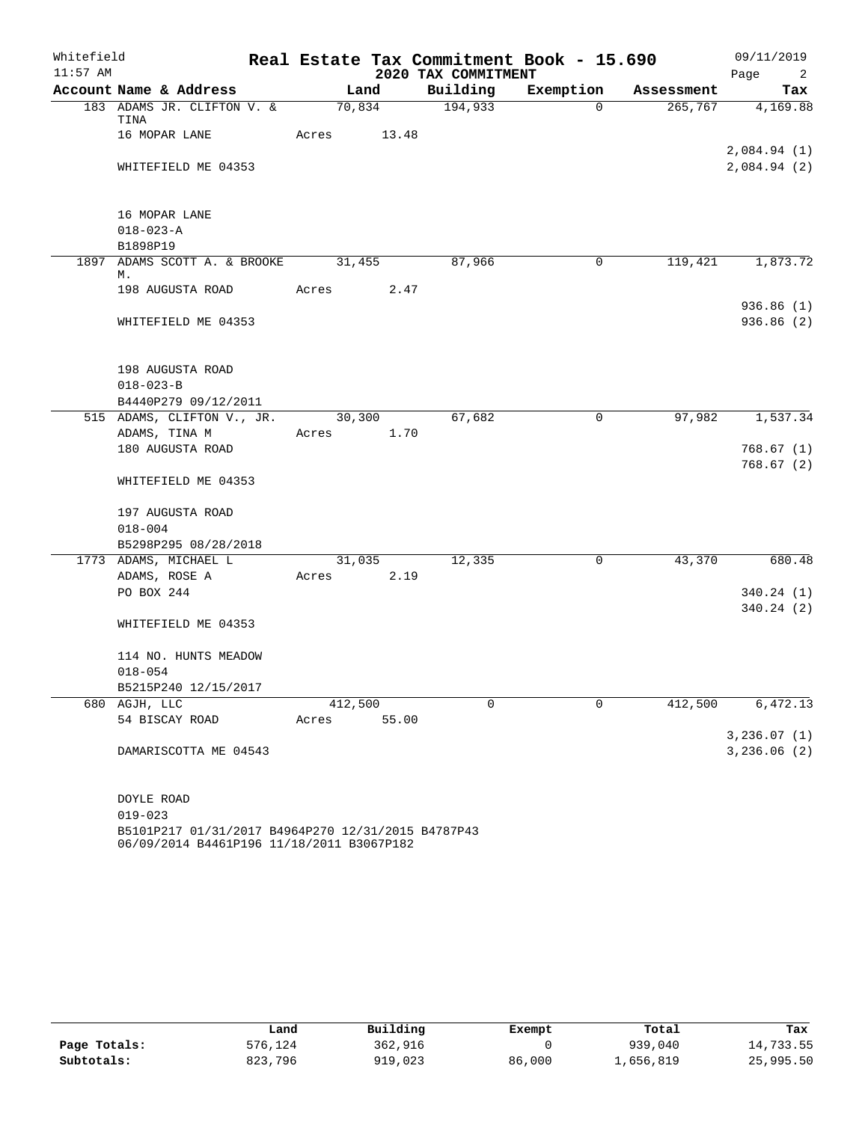| Whitefield |                                        |         |                |                     | Real Estate Tax Commitment Book - 15.690 |            | 09/11/2019                         |
|------------|----------------------------------------|---------|----------------|---------------------|------------------------------------------|------------|------------------------------------|
| $11:57$ AM |                                        |         |                | 2020 TAX COMMITMENT |                                          |            | Page<br>$\overline{\phantom{0}}^2$ |
|            | Account Name & Address                 |         | Land           | Building            | Exemption                                | Assessment | Tax                                |
|            | 183 ADAMS JR. CLIFTON V. &<br>TINA     |         | 70,834         | 194,933             | $\Omega$                                 | 265,767    | 4,169.88                           |
|            | 16 MOPAR LANE                          | Acres   | 13.48          |                     |                                          |            |                                    |
|            | WHITEFIELD ME 04353                    |         |                |                     |                                          |            | 2,084.94(1)<br>2,084.94 (2)        |
|            | 16 MOPAR LANE                          |         |                |                     |                                          |            |                                    |
|            | $018 - 023 - A$                        |         |                |                     |                                          |            |                                    |
|            | B1898P19                               |         |                |                     |                                          |            |                                    |
|            | 1897 ADAMS SCOTT A. & BROOKE<br>М.     |         | 31,455         | 87,966              | 0                                        | 119,421    | 1,873.72                           |
|            | 198 AUGUSTA ROAD                       | Acres   | 2.47           |                     |                                          |            |                                    |
|            |                                        |         |                |                     |                                          |            | 936.86(1)                          |
|            | WHITEFIELD ME 04353                    |         |                |                     |                                          |            | 936.86 (2)                         |
|            | 198 AUGUSTA ROAD                       |         |                |                     |                                          |            |                                    |
|            | $018 - 023 - B$                        |         |                |                     |                                          |            |                                    |
|            | B4440P279 09/12/2011                   |         |                |                     |                                          |            |                                    |
|            | 515 ADAMS, CLIFTON V., JR.             |         | 30,300         | 67,682              | $\mathbf 0$                              | 97,982     | 1,537.34                           |
|            | ADAMS, TINA M                          | Acres   | 1.70           |                     |                                          |            |                                    |
|            | 180 AUGUSTA ROAD                       |         |                |                     |                                          |            | 768.67(1)<br>768.67(2)             |
|            | WHITEFIELD ME 04353                    |         |                |                     |                                          |            |                                    |
|            | 197 AUGUSTA ROAD                       |         |                |                     |                                          |            |                                    |
|            | $018 - 004$                            |         |                |                     |                                          |            |                                    |
|            | B5298P295 08/28/2018                   |         |                |                     |                                          |            |                                    |
|            | 1773 ADAMS, MICHAEL L<br>ADAMS, ROSE A | Acres   | 31,035<br>2.19 | 12,335              | 0                                        | 43,370     | 680.48                             |
|            | PO BOX 244                             |         |                |                     |                                          |            | 340.24 (1)                         |
|            |                                        |         |                |                     |                                          |            | 340.24 (2)                         |
|            | WHITEFIELD ME 04353                    |         |                |                     |                                          |            |                                    |
|            | 114 NO. HUNTS MEADOW                   |         |                |                     |                                          |            |                                    |
|            | $018 - 054$                            |         |                |                     |                                          |            |                                    |
|            | B5215P240 12/15/2017                   |         |                |                     |                                          |            |                                    |
|            | 680 AGJH, LLC                          | 412,500 | 55.00          | 0                   | 0                                        | 412,500    | 6,472.13                           |
|            | 54 BISCAY ROAD                         | Acres   |                |                     |                                          |            | 3,236.07(1)                        |
|            | DAMARISCOTTA ME 04543                  |         |                |                     |                                          |            | 3,236.06(2)                        |
|            |                                        |         |                |                     |                                          |            |                                    |
|            | DOYLE ROAD                             |         |                |                     |                                          |            |                                    |
|            | $019 - 023$                            |         |                |                     |                                          |            |                                    |

B5101P217 01/31/2017 B4964P270 12/31/2015 B4787P43 06/09/2014 B4461P196 11/18/2011 B3067P182

|              | Land    | Building | Exempt | Total     | Tax       |
|--------------|---------|----------|--------|-----------|-----------|
| Page Totals: | 576,124 | 362,916  |        | 939,040   | 14,733.55 |
| Subtotals:   | 823,796 | 919,023  | 86,000 | 1,656,819 | 25,995.50 |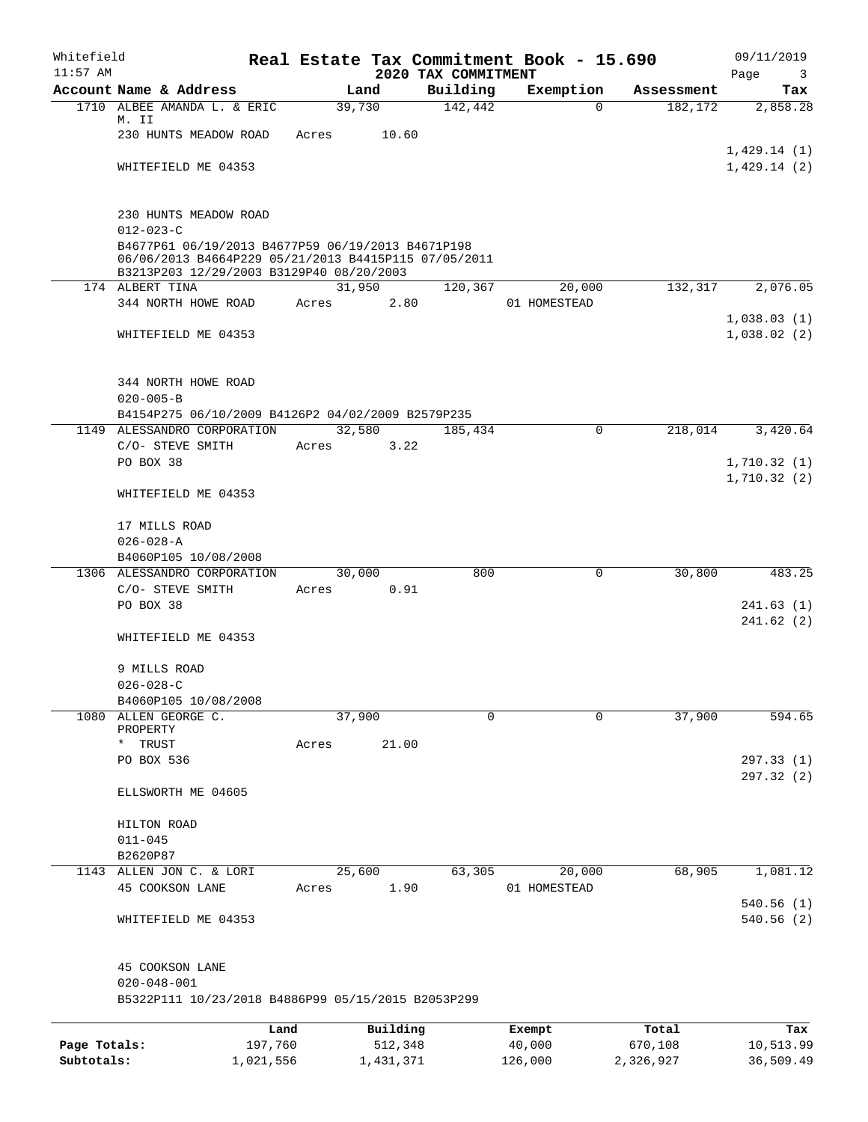| Whitefield<br>$11:57$ AM |                                                                                                                                                       |         |          |                                 | Real Estate Tax Commitment Book - 15.690 |            | 09/11/2019                 |
|--------------------------|-------------------------------------------------------------------------------------------------------------------------------------------------------|---------|----------|---------------------------------|------------------------------------------|------------|----------------------------|
|                          | Account Name & Address                                                                                                                                |         | Land     | 2020 TAX COMMITMENT<br>Building | Exemption                                | Assessment | Page<br>3<br>Tax           |
|                          | 1710 ALBEE AMANDA L. & ERIC                                                                                                                           |         | 39,730   | 142,442                         | $\Omega$                                 | 182,172    | 2,858.28                   |
|                          | M. II                                                                                                                                                 |         |          |                                 |                                          |            |                            |
|                          | 230 HUNTS MEADOW ROAD                                                                                                                                 | Acres   | 10.60    |                                 |                                          |            | 1,429.14(1)                |
|                          | WHITEFIELD ME 04353                                                                                                                                   |         |          |                                 |                                          |            | 1,429.14(2)                |
|                          |                                                                                                                                                       |         |          |                                 |                                          |            |                            |
|                          | 230 HUNTS MEADOW ROAD                                                                                                                                 |         |          |                                 |                                          |            |                            |
|                          | $012 - 023 - C$                                                                                                                                       |         |          |                                 |                                          |            |                            |
|                          | B4677P61 06/19/2013 B4677P59 06/19/2013 B4671P198<br>06/06/2013 B4664P229 05/21/2013 B4415P115 07/05/2011<br>B3213P203 12/29/2003 B3129P40 08/20/2003 |         |          |                                 |                                          |            |                            |
|                          | 174 ALBERT TINA                                                                                                                                       |         | 31,950   | 120,367                         | 20,000                                   | 132,317    | 2,076.05                   |
|                          | 344 NORTH HOWE ROAD                                                                                                                                   | Acres   | 2.80     |                                 | 01 HOMESTEAD                             |            |                            |
|                          | WHITEFIELD ME 04353                                                                                                                                   |         |          |                                 |                                          |            | 1,038.03(1)<br>1,038.02(2) |
|                          | 344 NORTH HOWE ROAD<br>$020 - 005 - B$                                                                                                                |         |          |                                 |                                          |            |                            |
|                          | B4154P275 06/10/2009 B4126P2 04/02/2009 B2579P235                                                                                                     |         |          |                                 |                                          |            |                            |
|                          | 1149 ALESSANDRO CORPORATION                                                                                                                           |         | 32,580   | 185,434                         | $\mathbf 0$                              | 218,014    | 3,420.64                   |
|                          | C/O- STEVE SMITH                                                                                                                                      | Acres   | 3.22     |                                 |                                          |            |                            |
|                          | PO BOX 38                                                                                                                                             |         |          |                                 |                                          |            | 1,710.32(1)                |
|                          | WHITEFIELD ME 04353                                                                                                                                   |         |          |                                 |                                          |            | 1,710.32(2)                |
|                          | 17 MILLS ROAD                                                                                                                                         |         |          |                                 |                                          |            |                            |
|                          | $026 - 028 - A$                                                                                                                                       |         |          |                                 |                                          |            |                            |
|                          | B4060P105 10/08/2008                                                                                                                                  |         |          |                                 |                                          |            |                            |
|                          | 1306 ALESSANDRO CORPORATION                                                                                                                           |         | 30,000   | 800                             | 0                                        | 30,800     | 483.25                     |
|                          | C/O- STEVE SMITH<br>PO BOX 38                                                                                                                         | Acres   | 0.91     |                                 |                                          |            | 241.63(1)                  |
|                          |                                                                                                                                                       |         |          |                                 |                                          |            | 241.62(2)                  |
|                          | WHITEFIELD ME 04353                                                                                                                                   |         |          |                                 |                                          |            |                            |
|                          | 9 MILLS ROAD                                                                                                                                          |         |          |                                 |                                          |            |                            |
|                          | $026 - 028 - C$                                                                                                                                       |         |          |                                 |                                          |            |                            |
|                          | B4060P105 10/08/2008                                                                                                                                  |         |          | $\Omega$                        |                                          |            |                            |
|                          | 1080 ALLEN GEORGE C.<br>PROPERTY                                                                                                                      |         | 37,900   |                                 | $\Omega$                                 | 37,900     | 594.65                     |
|                          | TRUST<br>$\star$                                                                                                                                      | Acres   | 21.00    |                                 |                                          |            |                            |
|                          | PO BOX 536                                                                                                                                            |         |          |                                 |                                          |            | 297.33(1)                  |
|                          | ELLSWORTH ME 04605                                                                                                                                    |         |          |                                 |                                          |            | 297.32 (2)                 |
|                          | HILTON ROAD                                                                                                                                           |         |          |                                 |                                          |            |                            |
|                          | $011 - 045$                                                                                                                                           |         |          |                                 |                                          |            |                            |
|                          | B2620P87                                                                                                                                              |         |          |                                 |                                          |            |                            |
|                          | 1143 ALLEN JON C. & LORI                                                                                                                              |         | 25,600   | 63,305                          | 20,000                                   | 68,905     | 1,081.12                   |
|                          | 45 COOKSON LANE                                                                                                                                       | Acres   | 1.90     |                                 | 01 HOMESTEAD                             |            | 540.56(1)                  |
|                          | WHITEFIELD ME 04353                                                                                                                                   |         |          |                                 |                                          |            | 540.56 (2)                 |
|                          | 45 COOKSON LANE                                                                                                                                       |         |          |                                 |                                          |            |                            |
|                          | $020 - 048 - 001$<br>B5322P111 10/23/2018 B4886P99 05/15/2015 B2053P299                                                                               |         |          |                                 |                                          |            |                            |
|                          |                                                                                                                                                       |         |          |                                 |                                          |            |                            |
|                          |                                                                                                                                                       | Land    | Building |                                 | Exempt                                   | Total      | Tax                        |
| Page Totals:             |                                                                                                                                                       | 197,760 | 512,348  |                                 | 40,000                                   | 670,108    | 10,513.99                  |

**Subtotals:** 1,021,556 1,431,371 126,000 2,326,927 36,509.49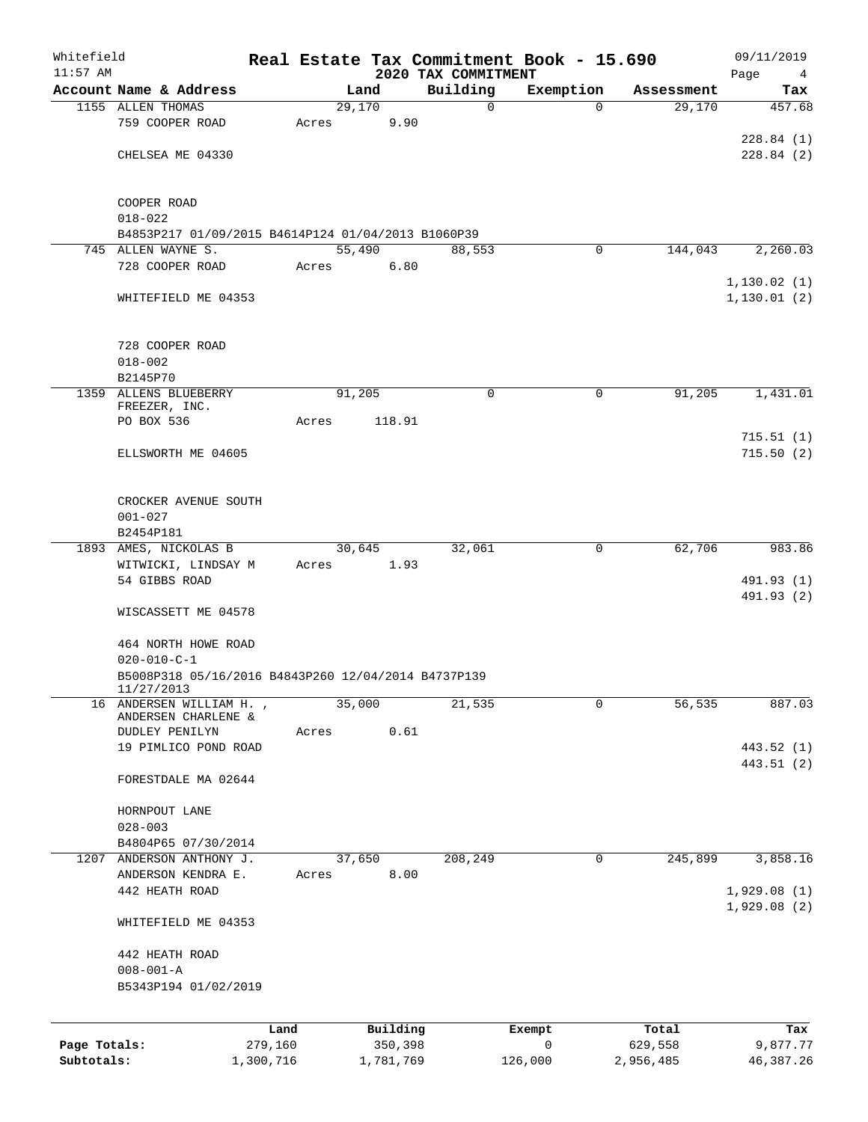| Whitefield<br>$11:57$ AM |                                                                   |           |       |           |      | Real Estate Tax Commitment Book - 15.690 |              |            | 09/11/2019                    |
|--------------------------|-------------------------------------------------------------------|-----------|-------|-----------|------|------------------------------------------|--------------|------------|-------------------------------|
|                          | Account Name & Address                                            |           |       | Land      |      | 2020 TAX COMMITMENT<br>Building          | Exemption    | Assessment | Page<br>$\overline{4}$<br>Tax |
|                          | 1155 ALLEN THOMAS                                                 |           |       | 29,170    |      | $\mathbf 0$                              | $\Omega$     | 29,170     | 457.68                        |
|                          | 759 COOPER ROAD                                                   |           | Acres |           | 9.90 |                                          |              |            |                               |
|                          |                                                                   |           |       |           |      |                                          |              |            | 228.84(1)                     |
|                          | CHELSEA ME 04330                                                  |           |       |           |      |                                          |              |            | 228.84(2)                     |
|                          |                                                                   |           |       |           |      |                                          |              |            |                               |
|                          | COOPER ROAD                                                       |           |       |           |      |                                          |              |            |                               |
|                          | $018 - 022$                                                       |           |       |           |      |                                          |              |            |                               |
|                          | B4853P217 01/09/2015 B4614P124 01/04/2013 B1060P39                |           |       |           |      |                                          |              |            |                               |
|                          | 745 ALLEN WAYNE S.                                                |           |       | 55,490    |      | 88,553                                   | 0            | 144,043    | 2,260.03                      |
|                          | 728 COOPER ROAD                                                   |           | Acres |           | 6.80 |                                          |              |            |                               |
|                          |                                                                   |           |       |           |      |                                          |              |            | 1, 130.02(1)                  |
|                          | WHITEFIELD ME 04353                                               |           |       |           |      |                                          |              |            | 1, 130.01(2)                  |
|                          |                                                                   |           |       |           |      |                                          |              |            |                               |
|                          | 728 COOPER ROAD                                                   |           |       |           |      |                                          |              |            |                               |
|                          | $018 - 002$                                                       |           |       |           |      |                                          |              |            |                               |
|                          | B2145P70                                                          |           |       |           |      |                                          |              |            |                               |
|                          | 1359 ALLENS BLUEBERRY<br>FREEZER, INC.                            |           |       | 91,205    |      | 0                                        | 0            | 91,205     | 1,431.01                      |
|                          | PO BOX 536                                                        |           | Acres | 118.91    |      |                                          |              |            |                               |
|                          |                                                                   |           |       |           |      |                                          |              |            | 715.51(1)                     |
|                          | ELLSWORTH ME 04605                                                |           |       |           |      |                                          |              |            | 715.50(2)                     |
|                          |                                                                   |           |       |           |      |                                          |              |            |                               |
|                          | CROCKER AVENUE SOUTH                                              |           |       |           |      |                                          |              |            |                               |
|                          | $001 - 027$                                                       |           |       |           |      |                                          |              |            |                               |
|                          | B2454P181                                                         |           |       |           |      |                                          |              |            |                               |
|                          | 1893 AMES, NICKOLAS B                                             |           |       | 30,645    |      | 32,061                                   | 0            | 62,706     | 983.86                        |
|                          | WITWICKI, LINDSAY M                                               |           | Acres |           | 1.93 |                                          |              |            |                               |
|                          | 54 GIBBS ROAD                                                     |           |       |           |      |                                          |              |            | 491.93 (1)<br>491.93 (2)      |
|                          | WISCASSETT ME 04578                                               |           |       |           |      |                                          |              |            |                               |
|                          |                                                                   |           |       |           |      |                                          |              |            |                               |
|                          | 464 NORTH HOWE ROAD                                               |           |       |           |      |                                          |              |            |                               |
|                          | $020 - 010 - C - 1$                                               |           |       |           |      |                                          |              |            |                               |
|                          | B5008P318 05/16/2016 B4843P260 12/04/2014 B4737P139<br>11/27/2013 |           |       |           |      |                                          |              |            |                               |
|                          | 16 ANDERSEN WILLIAM H.                                            |           |       | 35,000    |      | 21,535                                   | $\mathbf 0$  | 56,535     | 887.03                        |
|                          | ANDERSEN CHARLENE &<br>DUDLEY PENILYN                             |           |       |           | 0.61 |                                          |              |            |                               |
|                          | 19 PIMLICO POND ROAD                                              |           | Acres |           |      |                                          |              |            | 443.52 (1)                    |
|                          |                                                                   |           |       |           |      |                                          |              |            | 443.51 (2)                    |
|                          | FORESTDALE MA 02644                                               |           |       |           |      |                                          |              |            |                               |
|                          |                                                                   |           |       |           |      |                                          |              |            |                               |
|                          | HORNPOUT LANE                                                     |           |       |           |      |                                          |              |            |                               |
|                          | $028 - 003$<br>B4804P65 07/30/2014                                |           |       |           |      |                                          |              |            |                               |
|                          | 1207 ANDERSON ANTHONY J.                                          |           |       | 37,650    |      | 208,249                                  | 0            | 245,899    | 3,858.16                      |
|                          | ANDERSON KENDRA E.                                                |           | Acres |           | 8.00 |                                          |              |            |                               |
|                          | 442 HEATH ROAD                                                    |           |       |           |      |                                          |              |            | 1,929.08(1)                   |
|                          |                                                                   |           |       |           |      |                                          |              |            | 1,929.08(2)                   |
|                          | WHITEFIELD ME 04353                                               |           |       |           |      |                                          |              |            |                               |
|                          | 442 HEATH ROAD                                                    |           |       |           |      |                                          |              |            |                               |
|                          | $008 - 001 - A$                                                   |           |       |           |      |                                          |              |            |                               |
|                          | B5343P194 01/02/2019                                              |           |       |           |      |                                          |              |            |                               |
|                          |                                                                   |           |       |           |      |                                          |              |            |                               |
|                          |                                                                   | Land      |       | Building  |      |                                          | Exempt       | Total      | Tax                           |
| Page Totals:             |                                                                   | 279,160   |       | 350,398   |      |                                          | $\mathsf{O}$ | 629,558    | 9,877.77                      |
| Subtotals:               |                                                                   | 1,300,716 |       | 1,781,769 |      |                                          | 126,000      | 2,956,485  | 46, 387. 26                   |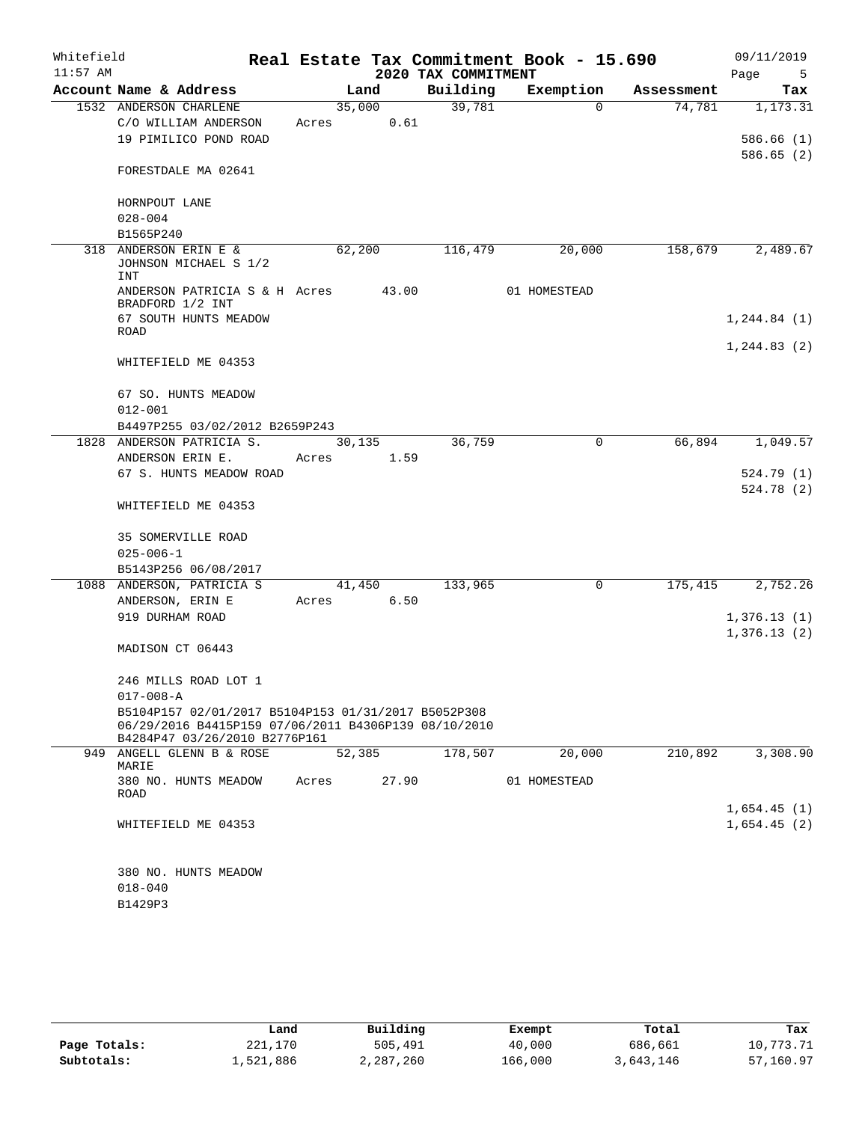| Whitefield |                                                                                                             |        |                |                     | Real Estate Tax Commitment Book - 15.690 |            | 09/11/2019              |
|------------|-------------------------------------------------------------------------------------------------------------|--------|----------------|---------------------|------------------------------------------|------------|-------------------------|
| $11:57$ AM |                                                                                                             |        |                | 2020 TAX COMMITMENT |                                          |            | Page<br>5               |
|            | Account Name & Address                                                                                      |        | Land           | Building            | Exemption                                | Assessment | Tax                     |
|            | 1532 ANDERSON CHARLENE                                                                                      |        | 35,000         | 39,781              | $\Omega$                                 | 74,781     | 1,173.31                |
|            | C/O WILLIAM ANDERSON                                                                                        | Acres  | 0.61           |                     |                                          |            |                         |
|            | 19 PIMILICO POND ROAD                                                                                       |        |                |                     |                                          |            | 586.66(1)<br>586.65 (2) |
|            | FORESTDALE MA 02641                                                                                         |        |                |                     |                                          |            |                         |
|            | HORNPOUT LANE                                                                                               |        |                |                     |                                          |            |                         |
|            | $028 - 004$                                                                                                 |        |                |                     |                                          |            |                         |
|            | B1565P240                                                                                                   |        |                |                     |                                          |            |                         |
|            | 318 ANDERSON ERIN E &<br>JOHNSON MICHAEL S 1/2<br><b>INT</b>                                                | 62,200 |                | 116,479             | 20,000                                   | 158,679    | 2,489.67                |
|            | ANDERSON PATRICIA S & H Acres<br>BRADFORD 1/2 INT                                                           |        | 43.00          |                     | 01 HOMESTEAD                             |            |                         |
|            | 67 SOUTH HUNTS MEADOW<br>ROAD                                                                               |        |                |                     |                                          |            | 1, 244.84 (1)           |
|            |                                                                                                             |        |                |                     |                                          |            | 1, 244.83(2)            |
|            | WHITEFIELD ME 04353                                                                                         |        |                |                     |                                          |            |                         |
|            | 67 SO. HUNTS MEADOW                                                                                         |        |                |                     |                                          |            |                         |
|            | $012 - 001$                                                                                                 |        |                |                     |                                          |            |                         |
|            | B4497P255 03/02/2012 B2659P243                                                                              |        |                |                     |                                          |            |                         |
|            | 1828 ANDERSON PATRICIA S.<br>ANDERSON ERIN E.                                                               | Acres  | 30,135<br>1.59 | 36,759              | $\mathbf 0$                              | 66,894     | 1,049.57                |
|            | 67 S. HUNTS MEADOW ROAD                                                                                     |        |                |                     |                                          |            | 524.79 (1)              |
|            |                                                                                                             |        |                |                     |                                          |            | 524.78 (2)              |
|            | WHITEFIELD ME 04353                                                                                         |        |                |                     |                                          |            |                         |
|            | <b>35 SOMERVILLE ROAD</b>                                                                                   |        |                |                     |                                          |            |                         |
|            | $025 - 006 - 1$                                                                                             |        |                |                     |                                          |            |                         |
|            | B5143P256 06/08/2017                                                                                        |        |                |                     |                                          |            |                         |
|            | 1088 ANDERSON, PATRICIA S                                                                                   |        | 41,450         | 133,965             | 0                                        |            | 175,415 2,752.26        |
|            | ANDERSON, ERIN E                                                                                            | Acres  | 6.50           |                     |                                          |            |                         |
|            | 919 DURHAM ROAD                                                                                             |        |                |                     |                                          |            | 1,376.13(1)             |
|            | MADISON CT 06443                                                                                            |        |                |                     |                                          |            | 1,376.13(2)             |
|            | 246 MILLS ROAD LOT 1                                                                                        |        |                |                     |                                          |            |                         |
|            | $017 - 008 - A$                                                                                             |        |                |                     |                                          |            |                         |
|            | B5104P157 02/01/2017 B5104P153 01/31/2017 B5052P308<br>06/29/2016 B4415P159 07/06/2011 B4306P139 08/10/2010 |        |                |                     |                                          |            |                         |
|            | B4284P47 03/26/2010 B2776P161<br>949 ANGELL GLENN B & ROSE                                                  | 52,385 |                | 178,507             | 20,000                                   | 210,892    | 3,308.90                |
|            | MARIE                                                                                                       |        |                |                     |                                          |            |                         |
|            | 380 NO. HUNTS MEADOW<br>ROAD                                                                                | Acres  | 27.90          |                     | 01 HOMESTEAD                             |            |                         |
|            |                                                                                                             |        |                |                     |                                          |            | 1,654.45(1)             |
|            | WHITEFIELD ME 04353                                                                                         |        |                |                     |                                          |            | 1,654.45(2)             |
|            | 380 NO. HUNTS MEADOW                                                                                        |        |                |                     |                                          |            |                         |
|            | $018 - 040$                                                                                                 |        |                |                     |                                          |            |                         |
|            | B1429P3                                                                                                     |        |                |                     |                                          |            |                         |

|              | Land      | Building  | Exempt  | Total     | Tax       |
|--------------|-----------|-----------|---------|-----------|-----------|
| Page Totals: | 221,170   | 505,491   | 40,000  | 686,661   | 10,773.71 |
| Subtotals:   | 1,521,886 | 2,287,260 | 166,000 | 3,643,146 | 57,160.97 |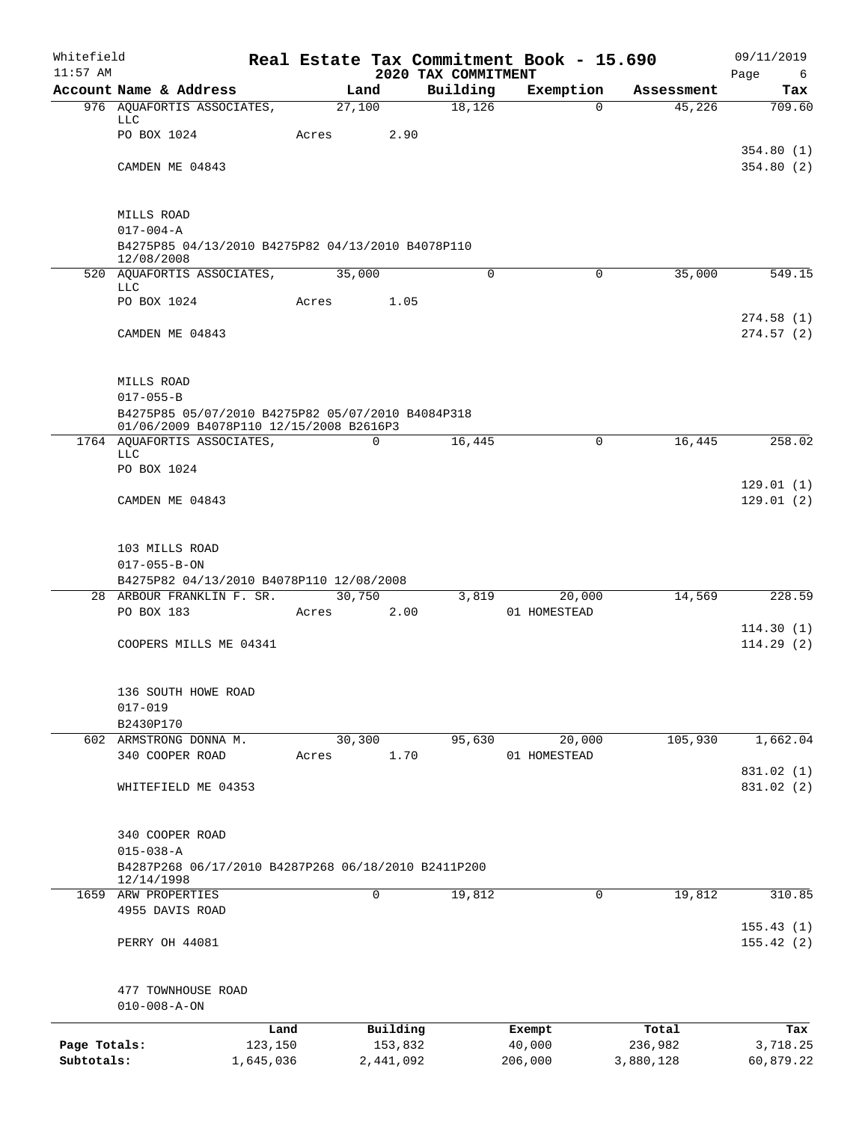| Whitefield<br>$11:57$ AM |                                                                                              |           |       |                |                                 | Real Estate Tax Commitment Book - 15.690 |            | 09/11/2019       |
|--------------------------|----------------------------------------------------------------------------------------------|-----------|-------|----------------|---------------------------------|------------------------------------------|------------|------------------|
|                          | Account Name & Address                                                                       |           |       | Land           | 2020 TAX COMMITMENT<br>Building | Exemption                                | Assessment | Page<br>6<br>Tax |
|                          | 976 AQUAFORTIS ASSOCIATES,                                                                   |           |       | 27,100         | 18,126                          | 0                                        | 45,226     | 709.60           |
|                          | <b>LLC</b>                                                                                   |           |       |                |                                 |                                          |            |                  |
|                          | PO BOX 1024                                                                                  |           | Acres | 2.90           |                                 |                                          |            | 354.80(1)        |
|                          | CAMDEN ME 04843                                                                              |           |       |                |                                 |                                          |            | 354.80(2)        |
|                          |                                                                                              |           |       |                |                                 |                                          |            |                  |
|                          | MILLS ROAD                                                                                   |           |       |                |                                 |                                          |            |                  |
|                          | $017 - 004 - A$<br>B4275P85 04/13/2010 B4275P82 04/13/2010 B4078P110                         |           |       |                |                                 |                                          |            |                  |
|                          | 12/08/2008                                                                                   |           |       |                |                                 |                                          |            |                  |
|                          | 520 AQUAFORTIS ASSOCIATES,<br><b>LLC</b>                                                     |           |       | 35,000         | 0                               | $\mathbf 0$                              | 35,000     | 549.15           |
|                          | PO BOX 1024                                                                                  |           | Acres | 1.05           |                                 |                                          |            |                  |
|                          |                                                                                              |           |       |                |                                 |                                          |            | 274.58(1)        |
|                          | CAMDEN ME 04843                                                                              |           |       |                |                                 |                                          |            | 274.57(2)        |
|                          | MILLS ROAD                                                                                   |           |       |                |                                 |                                          |            |                  |
|                          | $017 - 055 - B$                                                                              |           |       |                |                                 |                                          |            |                  |
|                          | B4275P85 05/07/2010 B4275P82 05/07/2010 B4084P318<br>01/06/2009 B4078P110 12/15/2008 B2616P3 |           |       |                |                                 |                                          |            |                  |
|                          | 1764 AQUAFORTIS ASSOCIATES,<br><b>LLC</b>                                                    |           |       | $\mathbf 0$    | 16,445                          | $\mathbf 0$                              | 16,445     | 258.02           |
|                          | PO BOX 1024                                                                                  |           |       |                |                                 |                                          |            |                  |
|                          |                                                                                              |           |       |                |                                 |                                          |            | 129.01(1)        |
|                          | CAMDEN ME 04843                                                                              |           |       |                |                                 |                                          |            | 129.01(2)        |
|                          | 103 MILLS ROAD                                                                               |           |       |                |                                 |                                          |            |                  |
|                          | $017 - 055 - B - ON$                                                                         |           |       |                |                                 |                                          |            |                  |
|                          | B4275P82 04/13/2010 B4078P110 12/08/2008                                                     |           |       |                |                                 |                                          |            |                  |
|                          | 28 ARBOUR FRANKLIN F. SR.<br>PO BOX 183                                                      |           | Acres | 30,750<br>2.00 | 3,819                           | 20,000<br>01 HOMESTEAD                   | 14,569     | 228.59           |
|                          |                                                                                              |           |       |                |                                 |                                          |            | 114.30(1)        |
|                          | COOPERS MILLS ME 04341                                                                       |           |       |                |                                 |                                          |            | 114.29(2)        |
|                          | 136 SOUTH HOWE ROAD                                                                          |           |       |                |                                 |                                          |            |                  |
|                          | $017 - 019$                                                                                  |           |       |                |                                 |                                          |            |                  |
|                          | B2430P170                                                                                    |           |       |                |                                 |                                          |            |                  |
|                          | 602 ARMSTRONG DONNA M.                                                                       |           |       | 30,300         | 95,630                          | 20,000                                   | 105,930    | 1,662.04         |
|                          | 340 COOPER ROAD                                                                              |           | Acres | 1.70           |                                 | 01 HOMESTEAD                             |            | 831.02 (1)       |
|                          | WHITEFIELD ME 04353                                                                          |           |       |                |                                 |                                          |            | 831.02 (2)       |
|                          |                                                                                              |           |       |                |                                 |                                          |            |                  |
|                          | 340 COOPER ROAD<br>$015 - 038 - A$                                                           |           |       |                |                                 |                                          |            |                  |
|                          | B4287P268 06/17/2010 B4287P268 06/18/2010 B2411P200                                          |           |       |                |                                 |                                          |            |                  |
|                          | 12/14/1998                                                                                   |           |       |                |                                 |                                          |            |                  |
|                          | 1659 ARW PROPERTIES<br>4955 DAVIS ROAD                                                       |           |       | 0              | 19,812                          | 0                                        | 19,812     | 310.85           |
|                          |                                                                                              |           |       |                |                                 |                                          |            | 155.43(1)        |
|                          | PERRY OH 44081                                                                               |           |       |                |                                 |                                          |            | 155.42(2)        |
|                          | 477 TOWNHOUSE ROAD                                                                           |           |       |                |                                 |                                          |            |                  |
|                          | $010 - 008 - A - ON$                                                                         |           |       |                |                                 |                                          |            |                  |
|                          |                                                                                              | Land      |       | Building       |                                 | Exempt                                   | Total      | Tax              |
| Page Totals:             |                                                                                              | 123,150   |       | 153,832        |                                 | 40,000                                   | 236,982    | 3,718.25         |
| Subtotals:               |                                                                                              | 1,645,036 |       | 2,441,092      |                                 | 206,000                                  | 3,880,128  | 60,879.22        |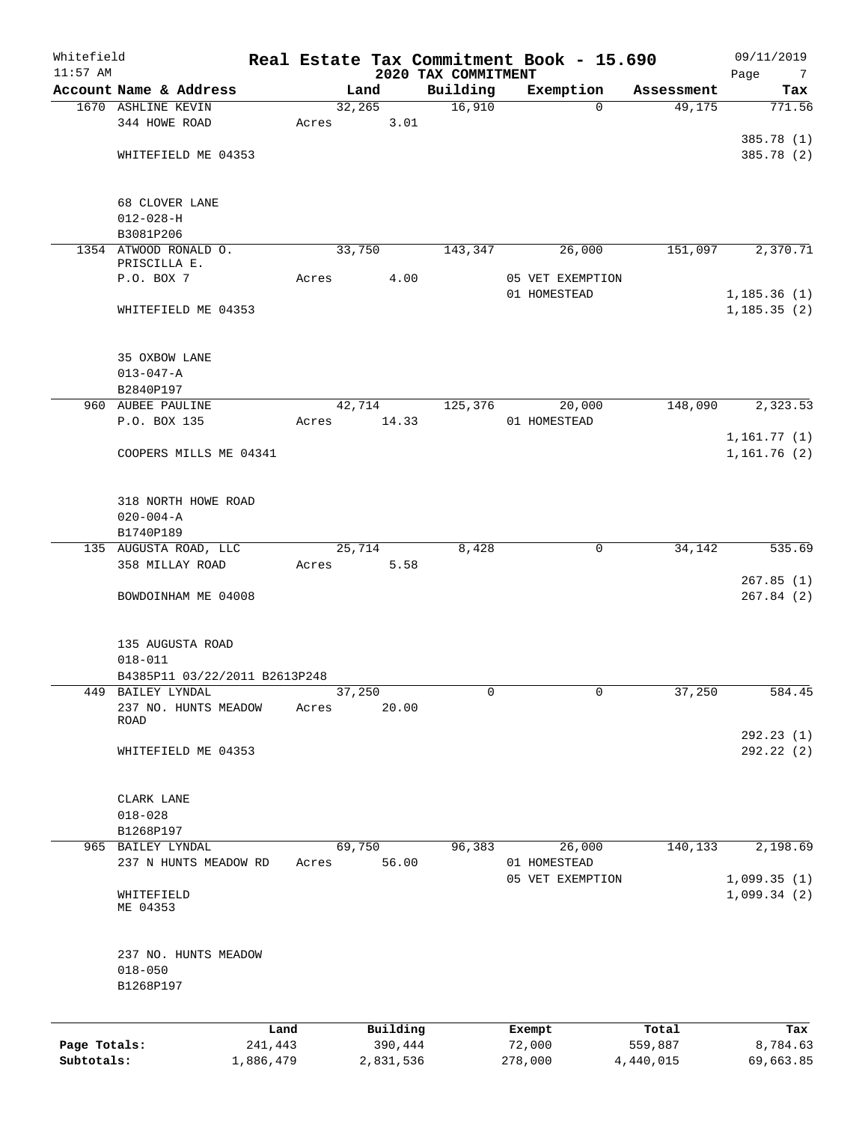| $11:57$ AM   |                                            |                 |       |         |                     | 2020 TAX COMMITMENT | Real Estate Tax Commitment Book - 15.690 |                  | 09/11/2019<br>Page<br>7    |
|--------------|--------------------------------------------|-----------------|-------|---------|---------------------|---------------------|------------------------------------------|------------------|----------------------------|
|              | Account Name & Address                     |                 |       | Land    |                     | Building            | Exemption                                | Assessment       | Tax                        |
|              | 1670 ASHLINE KEVIN                         |                 |       | 32, 265 |                     | 16,910              | $\mathbf 0$                              | 49,175           | 771.56                     |
|              | 344 HOWE ROAD                              |                 | Acres |         | 3.01                |                     |                                          |                  |                            |
|              |                                            |                 |       |         |                     |                     |                                          |                  | 385.78 (1)                 |
|              | WHITEFIELD ME 04353                        |                 |       |         |                     |                     |                                          |                  | 385.78 (2)                 |
|              | 68 CLOVER LANE                             |                 |       |         |                     |                     |                                          |                  |                            |
|              | $012 - 028 - H$                            |                 |       |         |                     |                     |                                          |                  |                            |
|              | B3081P206                                  |                 |       |         |                     |                     |                                          |                  |                            |
|              | 1354 ATWOOD RONALD O.                      |                 |       | 33,750  |                     | 143,347             | 26,000                                   | 151,097          | 2,370.71                   |
|              | PRISCILLA E.                               |                 |       |         |                     |                     |                                          |                  |                            |
|              | P.O. BOX 7                                 |                 | Acres |         | 4.00                |                     | 05 VET EXEMPTION                         |                  |                            |
|              |                                            |                 |       |         |                     |                     | 01 HOMESTEAD                             |                  | 1, 185.36(1)               |
|              | WHITEFIELD ME 04353                        |                 |       |         |                     |                     |                                          |                  | 1, 185.35(2)               |
|              | 35 OXBOW LANE                              |                 |       |         |                     |                     |                                          |                  |                            |
|              | $013 - 047 - A$                            |                 |       |         |                     |                     |                                          |                  |                            |
|              | B2840P197                                  |                 |       |         |                     |                     |                                          |                  |                            |
|              | 960 AUBEE PAULINE                          |                 |       | 42,714  |                     | 125, 376            | 20,000                                   | 148,090          | 2,323.53                   |
|              | P.O. BOX 135                               |                 | Acres |         | 14.33               |                     | 01 HOMESTEAD                             |                  |                            |
|              |                                            |                 |       |         |                     |                     |                                          |                  | 1,161.77(1)                |
|              | COOPERS MILLS ME 04341                     |                 |       |         |                     |                     |                                          |                  | 1,161.76(2)                |
|              | 318 NORTH HOWE ROAD                        |                 |       |         |                     |                     |                                          |                  |                            |
|              | $020 - 004 - A$                            |                 |       |         |                     |                     |                                          |                  |                            |
|              | B1740P189                                  |                 |       |         |                     |                     |                                          |                  |                            |
|              | 135 AUGUSTA ROAD, LLC                      |                 |       | 25,714  |                     | 8,428               | 0                                        | 34,142           | 535.69                     |
|              | 358 MILLAY ROAD                            |                 | Acres |         | 5.58                |                     |                                          |                  |                            |
|              | BOWDOINHAM ME 04008                        |                 |       |         |                     |                     |                                          |                  | 267.85(1)<br>267.84(2)     |
|              | 135 AUGUSTA ROAD<br>$018 - 011$            |                 |       |         |                     |                     |                                          |                  |                            |
|              | B4385P11 03/22/2011 B2613P248              |                 |       |         |                     |                     |                                          |                  |                            |
| 449          | BAILEY LYNDAL                              |                 |       | 37,250  |                     | 0                   | $\mathbf{0}$                             | 37,250           | 584.45                     |
|              | 237 NO. HUNTS MEADOW<br><b>ROAD</b>        |                 | Acres |         | 20.00               |                     |                                          |                  |                            |
|              | WHITEFIELD ME 04353                        |                 |       |         |                     |                     |                                          |                  | 292.23 (1)<br>292.22 (2)   |
|              |                                            |                 |       |         |                     |                     |                                          |                  |                            |
|              | CLARK LANE                                 |                 |       |         |                     |                     |                                          |                  |                            |
|              | $018 - 028$                                |                 |       |         |                     |                     |                                          |                  |                            |
|              | B1268P197                                  |                 |       |         |                     |                     |                                          |                  |                            |
|              | 965 BAILEY LYNDAL<br>237 N HUNTS MEADOW RD |                 |       | 69,750  |                     | 96,383              | 26,000                                   | 140,133          | 2,198.69                   |
|              |                                            |                 | Acres |         | 56.00               |                     | 01 HOMESTEAD                             |                  |                            |
|              | WHITEFIELD                                 |                 |       |         |                     |                     | 05 VET EXEMPTION                         |                  | 1,099.35(1)<br>1,099.34(2) |
|              | ME 04353                                   |                 |       |         |                     |                     |                                          |                  |                            |
|              | 237 NO. HUNTS MEADOW                       |                 |       |         |                     |                     |                                          |                  |                            |
|              | $018 - 050$                                |                 |       |         |                     |                     |                                          |                  |                            |
|              | B1268P197                                  |                 |       |         |                     |                     |                                          |                  |                            |
|              |                                            |                 |       |         |                     |                     |                                          |                  |                            |
| Page Totals: |                                            | Land<br>241,443 |       |         | Building<br>390,444 |                     | Exempt<br>72,000                         | Total<br>559,887 | Tax<br>8,784.63            |
| Subtotals:   |                                            | 1,886,479       |       |         | 2,831,536           |                     | 278,000                                  | 4,440,015        | 69,663.85                  |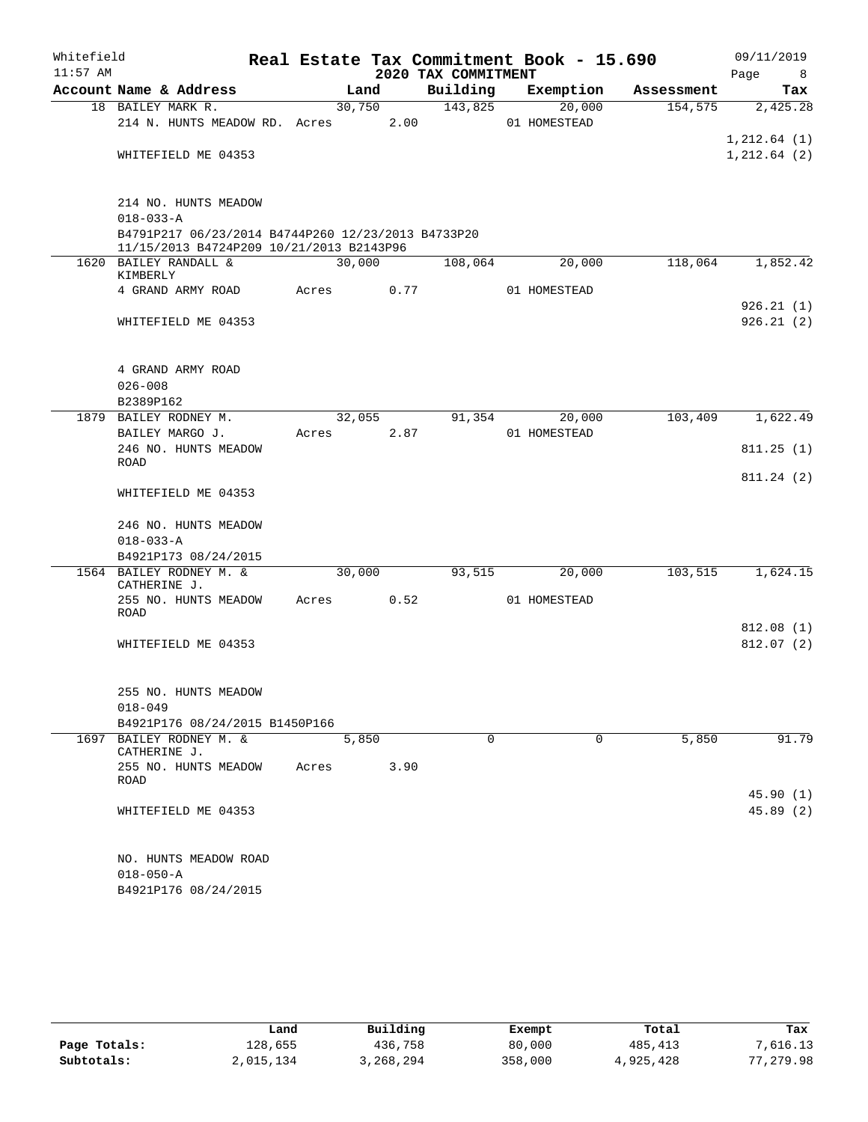| Whitefield |                                                                                                |       |        |                     | Real Estate Tax Commitment Book - 15.690 |            | 09/11/2019             |
|------------|------------------------------------------------------------------------------------------------|-------|--------|---------------------|------------------------------------------|------------|------------------------|
| $11:57$ AM |                                                                                                |       |        | 2020 TAX COMMITMENT |                                          |            | Page<br>8 <sup>8</sup> |
|            | Account Name & Address                                                                         |       | Land   | Building            | Exemption                                | Assessment | Tax                    |
|            | 18 BAILEY MARK R.                                                                              |       | 30,750 | 143,825             | 20,000                                   | 154,575    | 2,425.28               |
|            | 214 N. HUNTS MEADOW RD. Acres 2.00                                                             |       |        |                     | 01 HOMESTEAD                             |            | 1, 212.64(1)           |
|            | WHITEFIELD ME 04353                                                                            |       |        |                     |                                          |            | 1,212.64(2)            |
|            |                                                                                                |       |        |                     |                                          |            |                        |
|            |                                                                                                |       |        |                     |                                          |            |                        |
|            | 214 NO. HUNTS MEADOW                                                                           |       |        |                     |                                          |            |                        |
|            | $018 - 033 - A$                                                                                |       |        |                     |                                          |            |                        |
|            | B4791P217 06/23/2014 B4744P260 12/23/2013 B4733P20<br>11/15/2013 B4724P209 10/21/2013 B2143P96 |       |        |                     |                                          |            |                        |
|            | 1620 BAILEY RANDALL &                                                                          |       | 30,000 | 108,064             | 20,000                                   | 118,064    | 1,852.42               |
|            | KIMBERLY                                                                                       |       |        |                     |                                          |            |                        |
|            | 4 GRAND ARMY ROAD                                                                              | Acres | 0.77   |                     | 01 HOMESTEAD                             |            |                        |
|            |                                                                                                |       |        |                     |                                          |            | 926.21(1)              |
|            | WHITEFIELD ME 04353                                                                            |       |        |                     |                                          |            | 926.21(2)              |
|            |                                                                                                |       |        |                     |                                          |            |                        |
|            |                                                                                                |       |        |                     |                                          |            |                        |
|            | 4 GRAND ARMY ROAD                                                                              |       |        |                     |                                          |            |                        |
|            | $026 - 008$<br>B2389P162                                                                       |       |        |                     |                                          |            |                        |
|            | 1879 BAILEY RODNEY M.                                                                          |       | 32,055 | 91,354              | 20,000                                   | 103,409    | 1,622.49               |
|            | BAILEY MARGO J.                                                                                | Acres | 2.87   |                     | 01 HOMESTEAD                             |            |                        |
|            | 246 NO. HUNTS MEADOW                                                                           |       |        |                     |                                          |            | 811.25(1)              |
|            | ROAD                                                                                           |       |        |                     |                                          |            |                        |
|            |                                                                                                |       |        |                     |                                          |            | 811.24(2)              |
|            | WHITEFIELD ME 04353                                                                            |       |        |                     |                                          |            |                        |
|            | 246 NO. HUNTS MEADOW                                                                           |       |        |                     |                                          |            |                        |
|            | $018 - 033 - A$                                                                                |       |        |                     |                                          |            |                        |
|            | B4921P173 08/24/2015                                                                           |       |        |                     |                                          |            |                        |
|            | 1564 BAILEY RODNEY M. &                                                                        |       | 30,000 | 93,515              | 20,000                                   | 103,515    | 1,624.15               |
|            | CATHERINE J.                                                                                   |       |        |                     |                                          |            |                        |
|            | 255 NO. HUNTS MEADOW                                                                           | Acres | 0.52   |                     | 01 HOMESTEAD                             |            |                        |
|            | ROAD                                                                                           |       |        |                     |                                          |            | 812.08(1)              |
|            | WHITEFIELD ME 04353                                                                            |       |        |                     |                                          |            | 812.07(2)              |
|            |                                                                                                |       |        |                     |                                          |            |                        |
|            |                                                                                                |       |        |                     |                                          |            |                        |
|            | 255 NO. HUNTS MEADOW                                                                           |       |        |                     |                                          |            |                        |
|            | $018 - 049$                                                                                    |       |        |                     |                                          |            |                        |
|            | B4921P176 08/24/2015 B1450P166                                                                 |       |        |                     |                                          |            |                        |
|            | 1697 BAILEY RODNEY M. &                                                                        |       | 5,850  | $\Omega$            | $\Omega$                                 | 5,850      | 91.79                  |
|            | CATHERINE J.                                                                                   |       |        |                     |                                          |            |                        |
|            | 255 NO. HUNTS MEADOW<br><b>ROAD</b>                                                            | Acres | 3.90   |                     |                                          |            |                        |
|            |                                                                                                |       |        |                     |                                          |            | 45.90(1)               |
|            | WHITEFIELD ME 04353                                                                            |       |        |                     |                                          |            | 45.89 (2)              |
|            |                                                                                                |       |        |                     |                                          |            |                        |
|            |                                                                                                |       |        |                     |                                          |            |                        |
|            | NO. HUNTS MEADOW ROAD                                                                          |       |        |                     |                                          |            |                        |
|            | $018 - 050 - A$                                                                                |       |        |                     |                                          |            |                        |
|            | B4921P176 08/24/2015                                                                           |       |        |                     |                                          |            |                        |

|              | Land      | Building  | Exempt  | Total     | Tax       |
|--------------|-----------|-----------|---------|-----------|-----------|
| Page Totals: | 128,655   | 436,758   | 80,000  | 485,413   | 7,616.13  |
| Subtotals:   | 2,015,134 | 3,268,294 | 358,000 | 4,925,428 | 77,279.98 |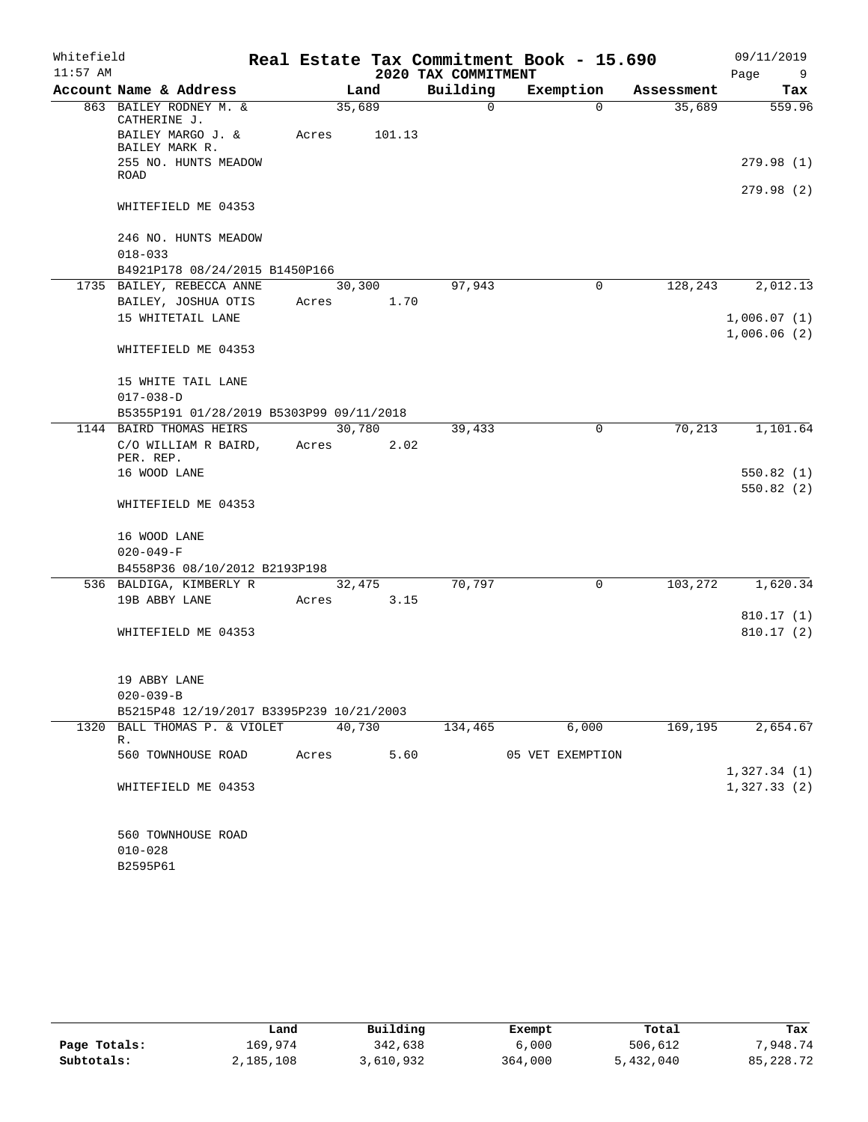| Whitefield |                                                             |                 |                |                     | Real Estate Tax Commitment Book - 15.690 |            | 09/11/2019  |
|------------|-------------------------------------------------------------|-----------------|----------------|---------------------|------------------------------------------|------------|-------------|
| $11:57$ AM |                                                             |                 |                | 2020 TAX COMMITMENT |                                          |            | Page<br>9   |
|            | Account Name & Address                                      |                 | Land           | Building            | Exemption                                | Assessment | Tax         |
|            | 863 BAILEY RODNEY M. &<br>CATHERINE J.<br>BAILEY MARGO J. & | 35,689<br>Acres | 101.13         | 0                   | $\Omega$                                 | 35,689     | 559.96      |
|            | BAILEY MARK R.<br>255 NO. HUNTS MEADOW<br>ROAD              |                 |                |                     |                                          |            | 279.98(1)   |
|            | WHITEFIELD ME 04353                                         |                 |                |                     |                                          |            | 279.98(2)   |
|            | 246 NO. HUNTS MEADOW                                        |                 |                |                     |                                          |            |             |
|            | $018 - 033$                                                 |                 |                |                     |                                          |            |             |
|            | B4921P178 08/24/2015 B1450P166<br>1735 BAILEY, REBECCA ANNE |                 | 30,300         | 97,943              | 0                                        | 128,243    | 2,012.13    |
|            | BAILEY, JOSHUA OTIS                                         | Acres           | 1.70           |                     |                                          |            |             |
|            | 15 WHITETAIL LANE                                           |                 |                |                     |                                          |            | 1,006.07(1) |
|            |                                                             |                 |                |                     |                                          |            | 1,006.06(2) |
|            | WHITEFIELD ME 04353                                         |                 |                |                     |                                          |            |             |
|            | 15 WHITE TAIL LANE                                          |                 |                |                     |                                          |            |             |
|            | $017 - 038 - D$                                             |                 |                |                     |                                          |            |             |
|            | B5355P191 01/28/2019 B5303P99 09/11/2018                    |                 |                |                     |                                          |            |             |
|            | 1144 BAIRD THOMAS HEIRS                                     |                 | 30,780         | 39,433              | 0                                        | 70, 213    | 1,101.64    |
|            | C/O WILLIAM R BAIRD,<br>PER. REP.                           | Acres           | 2.02           |                     |                                          |            |             |
|            | 16 WOOD LANE                                                |                 |                |                     |                                          |            | 550.82(1)   |
|            | WHITEFIELD ME 04353                                         |                 |                |                     |                                          |            | 550.82(2)   |
|            | 16 WOOD LANE                                                |                 |                |                     |                                          |            |             |
|            | $020 - 049 - F$<br>B4558P36 08/10/2012 B2193P198            |                 |                |                     |                                          |            |             |
|            |                                                             |                 |                | 70,797              | $\Omega$                                 | 103,272    |             |
|            | 536 BALDIGA, KIMBERLY R<br>19B ABBY LANE                    | Acres           | 32,475<br>3.15 |                     |                                          |            | 1,620.34    |
|            |                                                             |                 |                |                     |                                          |            | 810.17(1)   |
|            | WHITEFIELD ME 04353                                         |                 |                |                     |                                          |            | 810.17(2)   |
|            | 19 ABBY LANE                                                |                 |                |                     |                                          |            |             |
|            | $020 - 039 - B$                                             |                 |                |                     |                                          |            |             |
|            | B5215P48 12/19/2017 B3395P239 10/21/2003                    |                 |                |                     |                                          |            |             |
|            | 1320 BALL THOMAS P. & VIOLET<br>R.                          | 40,730          |                | 134,465             | 6,000                                    | 169,195    | 2,654.67    |
|            | 560 TOWNHOUSE ROAD                                          | Acres           | 5.60           |                     | 05 VET EXEMPTION                         |            | 1,327.34(1) |
|            | WHITEFIELD ME 04353                                         |                 |                |                     |                                          |            | 1,327.33(2) |
|            | 560 TOWNHOUSE ROAD<br>$010 - 028$                           |                 |                |                     |                                          |            |             |
|            | B2595P61                                                    |                 |                |                     |                                          |            |             |

|              | Land      | Building  | Exempt  | Total     | Tax       |
|--------------|-----------|-----------|---------|-----------|-----------|
| Page Totals: | 169,974   | 342,638   | 6,000   | 506,612   | 7,948.74  |
| Subtotals:   | 2,185,108 | 3,610,932 | 364,000 | 5,432,040 | 85,228.72 |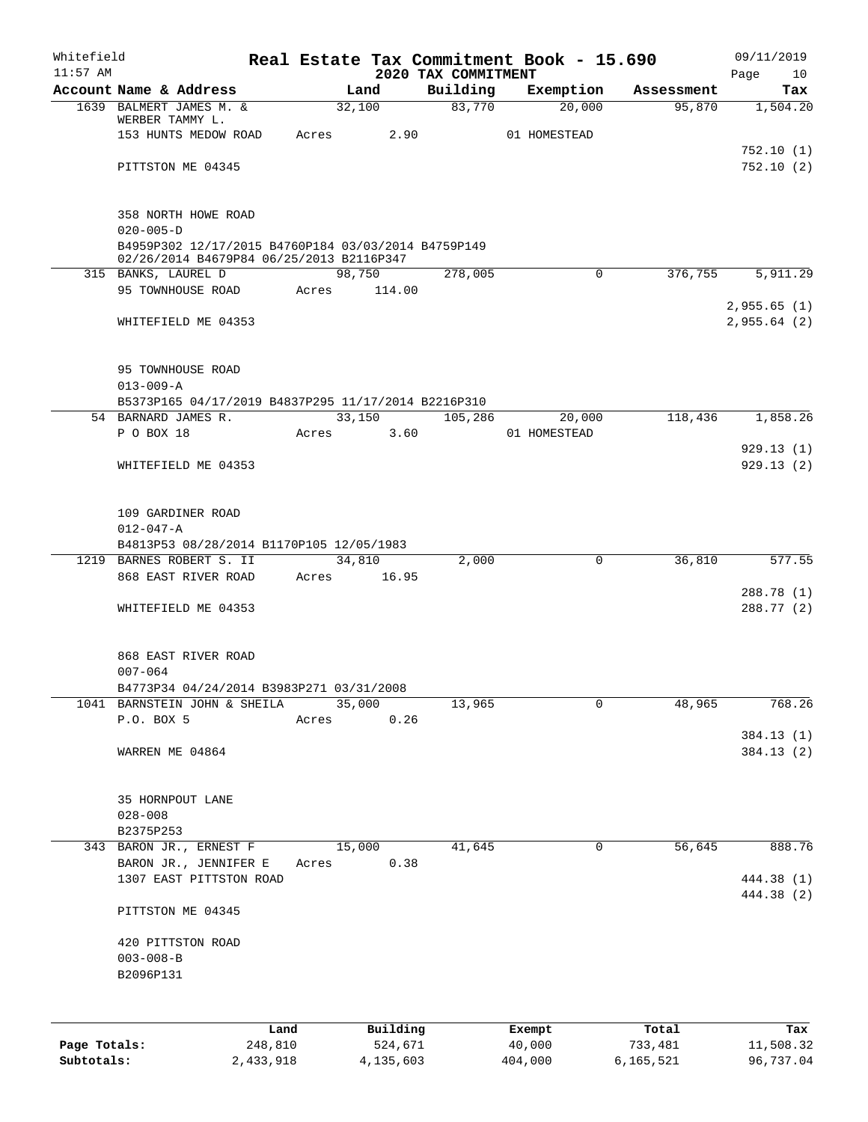| Whitefield<br>$11:57$ AM |                                                                                                 |       |        |             |                                 | Real Estate Tax Commitment Book - 15.690 |            | 09/11/2019             |
|--------------------------|-------------------------------------------------------------------------------------------------|-------|--------|-------------|---------------------------------|------------------------------------------|------------|------------------------|
|                          | Account Name & Address                                                                          |       | Land   |             | 2020 TAX COMMITMENT<br>Building | Exemption                                | Assessment | Page<br>10<br>Tax      |
|                          | 1639 BALMERT JAMES M. &                                                                         |       | 32,100 |             | 83,770                          | 20,000                                   | 95,870     | 1,504.20               |
|                          | WERBER TAMMY L.                                                                                 |       |        |             |                                 |                                          |            |                        |
|                          | 153 HUNTS MEDOW ROAD                                                                            | Acres |        | 2.90        |                                 | 01 HOMESTEAD                             |            |                        |
|                          | PITTSTON ME 04345                                                                               |       |        |             |                                 |                                          |            | 752.10(1)<br>752.10(2) |
|                          |                                                                                                 |       |        |             |                                 |                                          |            |                        |
|                          | 358 NORTH HOWE ROAD                                                                             |       |        |             |                                 |                                          |            |                        |
|                          | $020 - 005 - D$                                                                                 |       |        |             |                                 |                                          |            |                        |
|                          | B4959P302 12/17/2015 B4760P184 03/03/2014 B4759P149<br>02/26/2014 B4679P84 06/25/2013 B2116P347 |       |        |             |                                 |                                          |            |                        |
|                          | 315 BANKS, LAUREL D                                                                             |       | 98,750 |             | 278,005                         | $\mathbf 0$                              | 376,755    | 5,911.29               |
|                          | 95 TOWNHOUSE ROAD                                                                               | Acres |        | 114.00      |                                 |                                          |            |                        |
|                          |                                                                                                 |       |        |             |                                 |                                          |            | 2,955.65(1)            |
|                          | WHITEFIELD ME 04353                                                                             |       |        |             |                                 |                                          |            | 2,955.64(2)            |
|                          | 95 TOWNHOUSE ROAD                                                                               |       |        |             |                                 |                                          |            |                        |
|                          | $013 - 009 - A$                                                                                 |       |        |             |                                 |                                          |            |                        |
|                          | B5373P165 04/17/2019 B4837P295 11/17/2014 B2216P310                                             |       |        |             |                                 |                                          |            |                        |
|                          | 54 BARNARD JAMES R.                                                                             |       | 33,150 |             | 105,286                         | 20,000                                   | 118,436    | 1,858.26               |
|                          | P O BOX 18                                                                                      | Acres |        | 3.60        |                                 | 01 HOMESTEAD                             |            |                        |
|                          |                                                                                                 |       |        |             |                                 |                                          |            | 929.13(1)              |
|                          | WHITEFIELD ME 04353                                                                             |       |        |             |                                 |                                          |            | 929.13(2)              |
|                          | 109 GARDINER ROAD                                                                               |       |        |             |                                 |                                          |            |                        |
|                          | $012 - 047 - A$                                                                                 |       |        |             |                                 |                                          |            |                        |
|                          | B4813P53 08/28/2014 B1170P105 12/05/1983                                                        |       |        |             |                                 |                                          |            |                        |
|                          | 1219 BARNES ROBERT S. II                                                                        |       | 34,810 |             | 2,000                           | 0                                        | 36,810     | 577.55                 |
|                          | 868 EAST RIVER ROAD                                                                             |       |        | Acres 16.95 |                                 |                                          |            |                        |
|                          |                                                                                                 |       |        |             |                                 |                                          |            | 288.78 (1)             |
|                          | WHITEFIELD ME 04353                                                                             |       |        |             |                                 |                                          |            | 288.77 (2)             |
|                          | 868 EAST RIVER ROAD                                                                             |       |        |             |                                 |                                          |            |                        |
|                          | $007 - 064$                                                                                     |       |        |             |                                 |                                          |            |                        |
|                          | B4773P34 04/24/2014 B3983P271 03/31/2008                                                        |       |        |             |                                 |                                          |            |                        |
|                          | 1041 BARNSTEIN JOHN & SHEILA                                                                    |       | 35,000 |             | 13,965                          | 0                                        | 48,965     | 768.26                 |
|                          | P.O. BOX 5                                                                                      | Acres |        | 0.26        |                                 |                                          |            |                        |
|                          |                                                                                                 |       |        |             |                                 |                                          |            | 384.13 (1)             |
|                          | WARREN ME 04864                                                                                 |       |        |             |                                 |                                          |            | 384.13 (2)             |
|                          | 35 HORNPOUT LANE                                                                                |       |        |             |                                 |                                          |            |                        |
|                          | $028 - 008$                                                                                     |       |        |             |                                 |                                          |            |                        |
|                          | B2375P253                                                                                       |       |        |             |                                 |                                          |            |                        |
|                          | 343 BARON JR., ERNEST F                                                                         |       | 15,000 |             | 41,645                          | 0                                        | 56,645     | 888.76                 |
|                          | BARON JR., JENNIFER E                                                                           | Acres |        | 0.38        |                                 |                                          |            |                        |
|                          | 1307 EAST PITTSTON ROAD                                                                         |       |        |             |                                 |                                          |            | 444.38 (1)             |
|                          | PITTSTON ME 04345                                                                               |       |        |             |                                 |                                          |            | 444.38 (2)             |
|                          |                                                                                                 |       |        |             |                                 |                                          |            |                        |
|                          | 420 PITTSTON ROAD                                                                               |       |        |             |                                 |                                          |            |                        |
|                          | $003 - 008 - B$<br>B2096P131                                                                    |       |        |             |                                 |                                          |            |                        |
|                          |                                                                                                 |       |        |             |                                 |                                          |            |                        |
|                          |                                                                                                 |       |        |             |                                 |                                          |            |                        |
|                          | Land                                                                                            |       |        | Building    |                                 | Exempt                                   | Total      | Tax                    |
| Page Totals:             | 248,810                                                                                         |       |        | 524,671     |                                 | 40,000                                   | 733,481    | 11,508.32              |

**Subtotals:** 2,433,918 4,135,603 404,000 6,165,521 96,737.04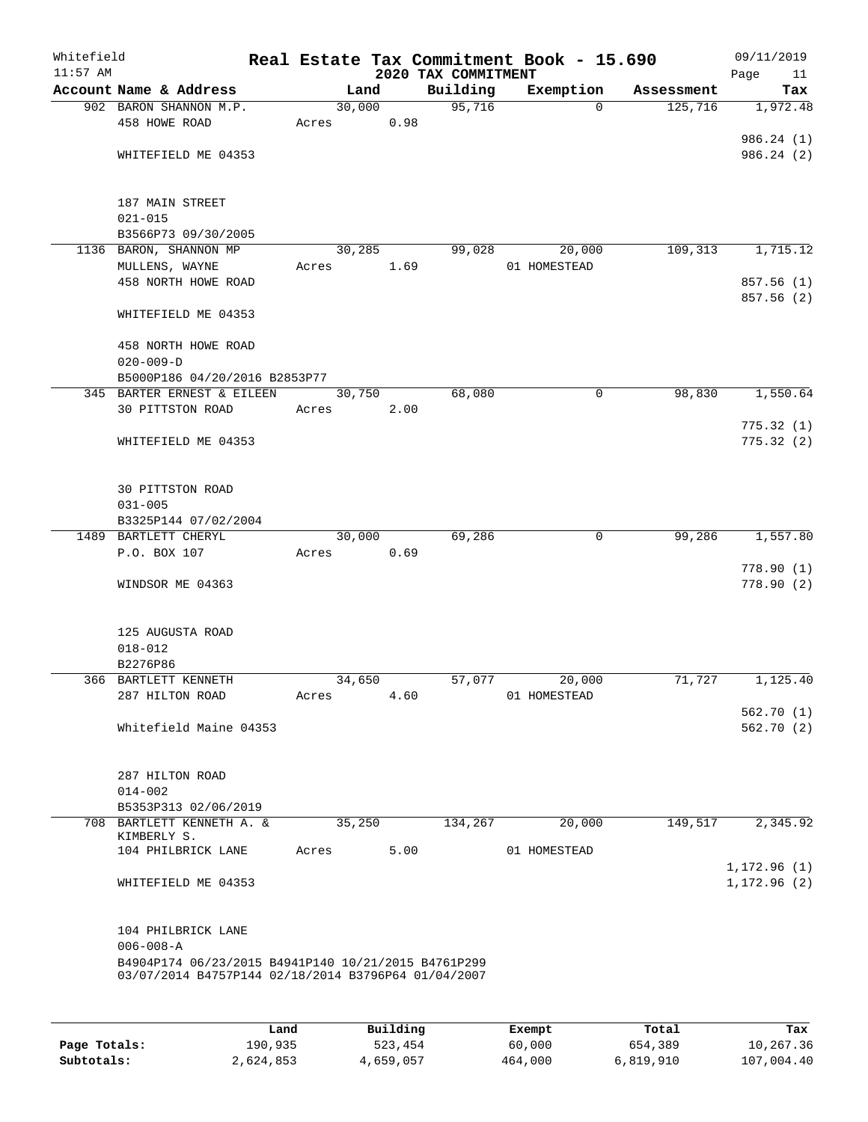| Whitefield<br>$11:57$ AM |                                                                                                            |        |      | 2020 TAX COMMITMENT | Real Estate Tax Commitment Book - 15.690 |            | 09/11/2019<br>Page<br>11 |
|--------------------------|------------------------------------------------------------------------------------------------------------|--------|------|---------------------|------------------------------------------|------------|--------------------------|
|                          | Account Name & Address                                                                                     | Land   |      | Building            | Exemption                                | Assessment | Tax                      |
|                          | 902 BARON SHANNON M.P.                                                                                     | 30,000 |      | 95,716              | $\Omega$                                 | 125,716    | 1,972.48                 |
|                          | 458 HOWE ROAD                                                                                              | Acres  | 0.98 |                     |                                          |            |                          |
|                          |                                                                                                            |        |      |                     |                                          |            | 986.24(1)                |
|                          | WHITEFIELD ME 04353                                                                                        |        |      |                     |                                          |            | 986.24(2)                |
|                          | 187 MAIN STREET                                                                                            |        |      |                     |                                          |            |                          |
|                          | $021 - 015$                                                                                                |        |      |                     |                                          |            |                          |
|                          | B3566P73 09/30/2005                                                                                        |        |      |                     |                                          |            |                          |
|                          | 1136 BARON, SHANNON MP                                                                                     | 30,285 |      | 99,028              | 20,000                                   | 109, 313   | 1,715.12                 |
|                          | MULLENS, WAYNE                                                                                             | Acres  | 1.69 |                     | 01 HOMESTEAD                             |            |                          |
|                          | 458 NORTH HOWE ROAD                                                                                        |        |      |                     |                                          |            | 857.56 (1)<br>857.56 (2) |
|                          | WHITEFIELD ME 04353                                                                                        |        |      |                     |                                          |            |                          |
|                          | 458 NORTH HOWE ROAD                                                                                        |        |      |                     |                                          |            |                          |
|                          | $020 - 009 - D$                                                                                            |        |      |                     |                                          |            |                          |
|                          | B5000P186 04/20/2016 B2853P77                                                                              |        |      |                     |                                          |            |                          |
|                          | 345 BARTER ERNEST & EILEEN                                                                                 | 30,750 |      | 68,080              | $\mathsf{O}$                             | 98,830     | 1,550.64                 |
|                          | 30 PITTSTON ROAD                                                                                           | Acres  | 2.00 |                     |                                          |            | 775.32(1)                |
|                          | WHITEFIELD ME 04353                                                                                        |        |      |                     |                                          |            | 775.32(2)                |
|                          |                                                                                                            |        |      |                     |                                          |            |                          |
|                          | 30 PITTSTON ROAD                                                                                           |        |      |                     |                                          |            |                          |
|                          | $031 - 005$                                                                                                |        |      |                     |                                          |            |                          |
|                          | B3325P144 07/02/2004                                                                                       |        |      |                     |                                          |            |                          |
|                          | 1489 BARTLETT CHERYL                                                                                       | 30,000 |      | 69,286              | $\mathbf 0$                              | 99,286     | 1,557.80                 |
|                          | P.O. BOX 107                                                                                               | Acres  | 0.69 |                     |                                          |            | 778.90(1)                |
|                          | WINDSOR ME 04363                                                                                           |        |      |                     |                                          |            | 778.90(2)                |
|                          |                                                                                                            |        |      |                     |                                          |            |                          |
|                          | 125 AUGUSTA ROAD                                                                                           |        |      |                     |                                          |            |                          |
|                          | $018 - 012$                                                                                                |        |      |                     |                                          |            |                          |
|                          | B2276P86                                                                                                   |        |      |                     |                                          |            |                          |
|                          | 366 BARTLETT KENNETH<br>287 HILTON ROAD                                                                    | 34,650 |      | 57,077              | 20,000                                   | 71,727     | 1,125.40                 |
|                          |                                                                                                            | Acres  | 4.60 |                     | 01 HOMESTEAD                             |            | 562.70(1)                |
|                          | Whitefield Maine 04353                                                                                     |        |      |                     |                                          |            | 562.70(2)                |
|                          |                                                                                                            |        |      |                     |                                          |            |                          |
|                          | 287 HILTON ROAD                                                                                            |        |      |                     |                                          |            |                          |
|                          | $014 - 002$                                                                                                |        |      |                     |                                          |            |                          |
|                          | B5353P313 02/06/2019<br>708 BARTLETT KENNETH A. &                                                          | 35,250 |      | 134,267             | 20,000                                   | 149,517    | 2,345.92                 |
|                          | KIMBERLY S.<br>104 PHILBRICK LANE                                                                          | Acres  | 5.00 |                     | 01 HOMESTEAD                             |            |                          |
|                          |                                                                                                            |        |      |                     |                                          |            | 1,172.96 (1)             |
|                          | WHITEFIELD ME 04353                                                                                        |        |      |                     |                                          |            | 1,172.96(2)              |
|                          | 104 PHILBRICK LANE                                                                                         |        |      |                     |                                          |            |                          |
|                          | $006 - 008 - A$                                                                                            |        |      |                     |                                          |            |                          |
|                          | B4904P174 06/23/2015 B4941P140 10/21/2015 B4761P299<br>03/07/2014 B4757P144 02/18/2014 B3796P64 01/04/2007 |        |      |                     |                                          |            |                          |
|                          |                                                                                                            |        |      |                     |                                          |            |                          |
|                          |                                                                                                            |        |      |                     |                                          |            |                          |

|              | Land      | Building  | Exempt  | Total     | Tax        |
|--------------|-----------|-----------|---------|-----------|------------|
| Page Totals: | 190,935   | 523,454   | 60,000  | 654,389   | 10,267.36  |
| Subtotals:   | 2,624,853 | 4,659,057 | 464,000 | 6,819,910 | 107,004.40 |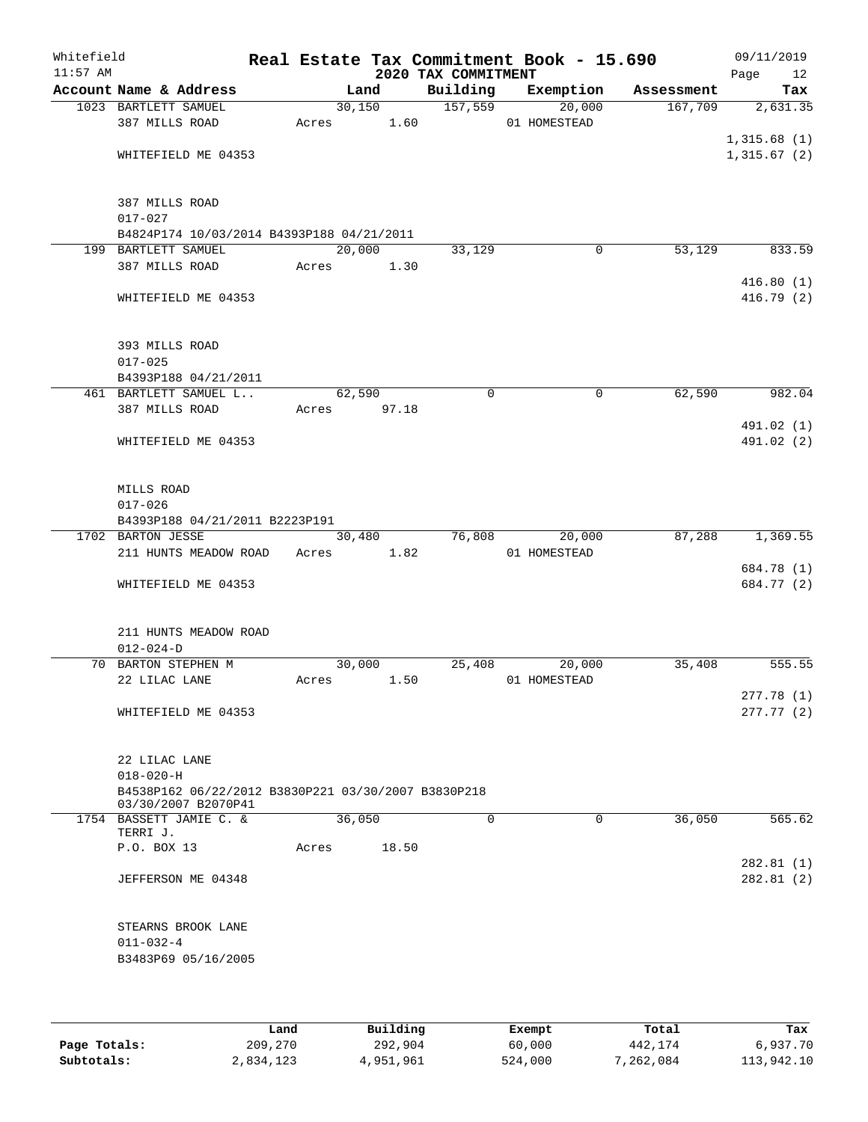| Whitefield<br>$11:57$ AM |                                                                            |        |                | 2020 TAX COMMITMENT | Real Estate Tax Commitment Book - 15.690 |            | 09/11/2019<br>Page<br>12   |
|--------------------------|----------------------------------------------------------------------------|--------|----------------|---------------------|------------------------------------------|------------|----------------------------|
|                          | Account Name & Address                                                     |        | Land           | Building            | Exemption                                | Assessment | Tax                        |
|                          | 1023 BARTLETT SAMUEL<br>387 MILLS ROAD                                     | Acres  | 30,150<br>1.60 | 157,559             | 20,000<br>01 HOMESTEAD                   | 167,709    | 2,631.35                   |
|                          | WHITEFIELD ME 04353                                                        |        |                |                     |                                          |            | 1,315.68(1)<br>1,315.67(2) |
|                          | 387 MILLS ROAD<br>$017 - 027$                                              |        |                |                     |                                          |            |                            |
|                          | B4824P174 10/03/2014 B4393P188 04/21/2011                                  |        |                |                     |                                          |            |                            |
|                          | 199 BARTLETT SAMUEL                                                        | 20,000 |                | 33,129              | 0                                        | 53,129     | 833.59                     |
|                          | 387 MILLS ROAD                                                             | Acres  | 1.30           |                     |                                          |            | 416.80(1)                  |
|                          | WHITEFIELD ME 04353                                                        |        |                |                     |                                          |            | 416.79 (2)                 |
|                          | 393 MILLS ROAD                                                             |        |                |                     |                                          |            |                            |
|                          | $017 - 025$                                                                |        |                |                     |                                          |            |                            |
|                          | B4393P188 04/21/2011                                                       |        |                |                     |                                          |            |                            |
|                          | 461 BARTLETT SAMUEL L<br>387 MILLS ROAD                                    | 62,590 | 97.18          | 0                   | 0                                        | 62,590     | 982.04                     |
|                          |                                                                            | Acres  |                |                     |                                          |            | 491.02 (1)                 |
|                          | WHITEFIELD ME 04353                                                        |        |                |                     |                                          |            | 491.02 (2)                 |
|                          | MILLS ROAD<br>$017 - 026$<br>B4393P188 04/21/2011 B2223P191                |        |                |                     |                                          |            |                            |
|                          | 1702 BARTON JESSE                                                          |        | 30,480         | 76,808              | 20,000                                   | 87,288     | 1,369.55                   |
|                          | 211 HUNTS MEADOW ROAD                                                      | Acres  | 1.82           |                     | 01 HOMESTEAD                             |            |                            |
|                          |                                                                            |        |                |                     |                                          |            | 684.78 (1)                 |
|                          | WHITEFIELD ME 04353                                                        |        |                |                     |                                          |            | 684.77 (2)                 |
|                          | 211 HUNTS MEADOW ROAD<br>$012 - 024 - D$                                   |        |                |                     |                                          |            |                            |
|                          | 70 BARTON STEPHEN M                                                        | 30,000 |                | 25,408              | 20,000                                   | 35,408     | 555.55                     |
|                          | 22 LILAC LANE                                                              | Acres  | 1.50           |                     | 01 HOMESTEAD                             |            | 277.78(1)                  |
|                          | WHITEFIELD ME 04353                                                        |        |                |                     |                                          |            | 277.77(2)                  |
|                          | 22 LILAC LANE<br>$018 - 020 - H$                                           |        |                |                     |                                          |            |                            |
|                          | B4538P162 06/22/2012 B3830P221 03/30/2007 B3830P218<br>03/30/2007 B2070P41 |        |                |                     |                                          |            |                            |
|                          | 1754 BASSETT JAMIE C. &<br>TERRI J.                                        | 36,050 |                | $\Omega$            | $\Omega$                                 | 36,050     | 565.62                     |
|                          | P.O. BOX 13                                                                | Acres  | 18.50          |                     |                                          |            |                            |
|                          | JEFFERSON ME 04348                                                         |        |                |                     |                                          |            | 282.81(1)<br>282.81(2)     |
|                          | STEARNS BROOK LANE<br>$011 - 032 - 4$                                      |        |                |                     |                                          |            |                            |
|                          | B3483P69 05/16/2005                                                        |        |                |                     |                                          |            |                            |

|              | Land      | Building  | Exempt  | Total     | Tax        |
|--------------|-----------|-----------|---------|-----------|------------|
| Page Totals: | 209,270   | 292,904   | 60,000  | 442,174   | 6,937.70   |
| Subtotals:   | 2,834,123 | 4,951,961 | 524,000 | 7,262,084 | 113,942.10 |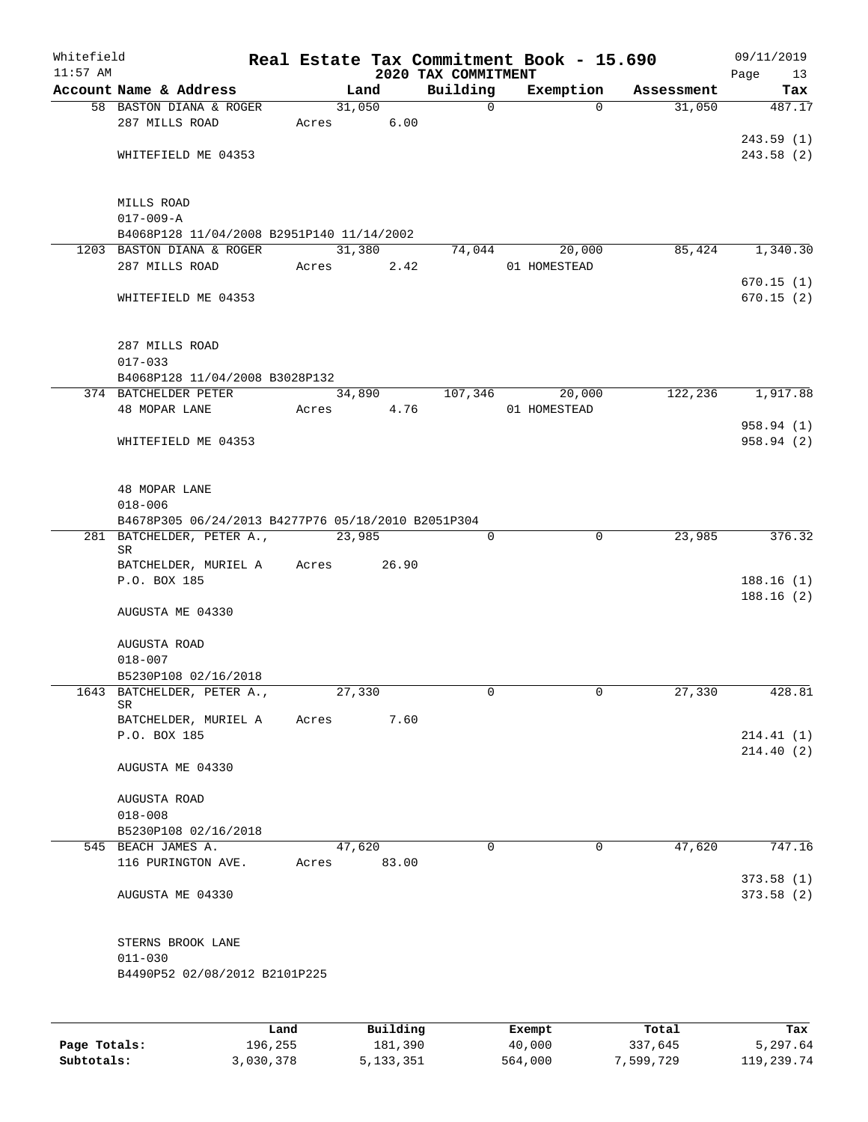| Whitefield<br>$11:57$ AM |                                                    |      |       |        |          | 2020 TAX COMMITMENT |             | Real Estate Tax Commitment Book - 15.690 |            | 09/11/2019        |
|--------------------------|----------------------------------------------------|------|-------|--------|----------|---------------------|-------------|------------------------------------------|------------|-------------------|
|                          | Account Name & Address                             |      |       | Land   |          | Building            |             | Exemption                                | Assessment | Page<br>13<br>Tax |
|                          | 58 BASTON DIANA & ROGER                            |      |       | 31,050 |          |                     | $\mathbf 0$ | $\Omega$                                 | 31,050     | 487.17            |
|                          | 287 MILLS ROAD                                     |      | Acres |        | 6.00     |                     |             |                                          |            |                   |
|                          |                                                    |      |       |        |          |                     |             |                                          |            | 243.59(1)         |
|                          | WHITEFIELD ME 04353                                |      |       |        |          |                     |             |                                          |            | 243.58(2)         |
|                          |                                                    |      |       |        |          |                     |             |                                          |            |                   |
|                          | MILLS ROAD                                         |      |       |        |          |                     |             |                                          |            |                   |
|                          | $017 - 009 - A$                                    |      |       |        |          |                     |             |                                          |            |                   |
|                          | B4068P128 11/04/2008 B2951P140 11/14/2002          |      |       |        |          |                     |             |                                          |            |                   |
|                          | 1203 BASTON DIANA & ROGER                          |      |       | 31,380 |          | 74,044              |             | 20,000                                   | 85,424     | 1,340.30          |
|                          | 287 MILLS ROAD                                     |      | Acres |        | 2.42     |                     |             | 01 HOMESTEAD                             |            |                   |
|                          |                                                    |      |       |        |          |                     |             |                                          |            | 670.15(1)         |
|                          | WHITEFIELD ME 04353                                |      |       |        |          |                     |             |                                          |            | 670.15(2)         |
|                          | 287 MILLS ROAD                                     |      |       |        |          |                     |             |                                          |            |                   |
|                          | $017 - 033$                                        |      |       |        |          |                     |             |                                          |            |                   |
|                          | B4068P128 11/04/2008 B3028P132                     |      |       |        |          |                     |             |                                          |            |                   |
|                          | 374 BATCHELDER PETER                               |      |       | 34,890 |          | 107,346             |             | 20,000                                   | 122,236    | 1,917.88          |
|                          | 48 MOPAR LANE                                      |      | Acres |        | 4.76     |                     |             | 01 HOMESTEAD                             |            |                   |
|                          |                                                    |      |       |        |          |                     |             |                                          |            | 958.94 (1)        |
|                          | WHITEFIELD ME 04353                                |      |       |        |          |                     |             |                                          |            | 958.94 (2)        |
|                          |                                                    |      |       |        |          |                     |             |                                          |            |                   |
|                          |                                                    |      |       |        |          |                     |             |                                          |            |                   |
|                          | 48 MOPAR LANE<br>$018 - 006$                       |      |       |        |          |                     |             |                                          |            |                   |
|                          |                                                    |      |       |        |          |                     |             |                                          |            |                   |
|                          | B4678P305 06/24/2013 B4277P76 05/18/2010 B2051P304 |      |       | 23,985 |          |                     | $\mathbf 0$ | $\mathbf 0$                              | 23,985     | 376.32            |
|                          | 281 BATCHELDER, PETER A.,<br>SR                    |      |       |        |          |                     |             |                                          |            |                   |
|                          | BATCHELDER, MURIEL A                               |      | Acres |        | 26.90    |                     |             |                                          |            |                   |
|                          | P.O. BOX 185                                       |      |       |        |          |                     |             |                                          |            | 188.16(1)         |
|                          |                                                    |      |       |        |          |                     |             |                                          |            | 188.16(2)         |
|                          | AUGUSTA ME 04330                                   |      |       |        |          |                     |             |                                          |            |                   |
|                          | AUGUSTA ROAD                                       |      |       |        |          |                     |             |                                          |            |                   |
|                          | $018 - 007$                                        |      |       |        |          |                     |             |                                          |            |                   |
|                          | B5230P108 02/16/2018                               |      |       |        |          |                     |             |                                          |            |                   |
| 1643                     | BATCHELDER, PETER A.,                              |      |       | 27,330 |          |                     | 0           | 0                                        | 27,330     | 428.81            |
|                          | SR                                                 |      |       |        |          |                     |             |                                          |            |                   |
|                          | BATCHELDER, MURIEL A                               |      | Acres |        | 7.60     |                     |             |                                          |            |                   |
|                          | P.O. BOX 185                                       |      |       |        |          |                     |             |                                          |            | 214.41(1)         |
|                          |                                                    |      |       |        |          |                     |             |                                          |            | 214.40(2)         |
|                          | AUGUSTA ME 04330                                   |      |       |        |          |                     |             |                                          |            |                   |
|                          | AUGUSTA ROAD                                       |      |       |        |          |                     |             |                                          |            |                   |
|                          | $018 - 008$                                        |      |       |        |          |                     |             |                                          |            |                   |
|                          | B5230P108 02/16/2018                               |      |       |        |          |                     |             |                                          |            |                   |
|                          | 545 BEACH JAMES A.                                 |      |       | 47,620 |          |                     | 0           | 0                                        | 47,620     | 747.16            |
|                          | 116 PURINGTON AVE.                                 |      | Acres |        | 83.00    |                     |             |                                          |            |                   |
|                          |                                                    |      |       |        |          |                     |             |                                          |            | 373.58(1)         |
|                          | AUGUSTA ME 04330                                   |      |       |        |          |                     |             |                                          |            | 373.58(2)         |
|                          | STERNS BROOK LANE                                  |      |       |        |          |                     |             |                                          |            |                   |
|                          | $011 - 030$                                        |      |       |        |          |                     |             |                                          |            |                   |
|                          | B4490P52 02/08/2012 B2101P225                      |      |       |        |          |                     |             |                                          |            |                   |
|                          |                                                    |      |       |        |          |                     |             |                                          |            |                   |
|                          |                                                    | Land |       |        | Building |                     |             | Exempt                                   | Total      | Tax               |
|                          |                                                    |      |       |        |          |                     |             |                                          |            |                   |

|              | -------   | $-$         | -------- | ------    | -------    |
|--------------|-----------|-------------|----------|-----------|------------|
| Page Totals: | 196,255   | 181,390     | 40,000   | 337,645   | 5,297.64   |
| Subtotals:   | 3,030,378 | 5, 133, 351 | 564,000  | 7,599,729 | 119,239.74 |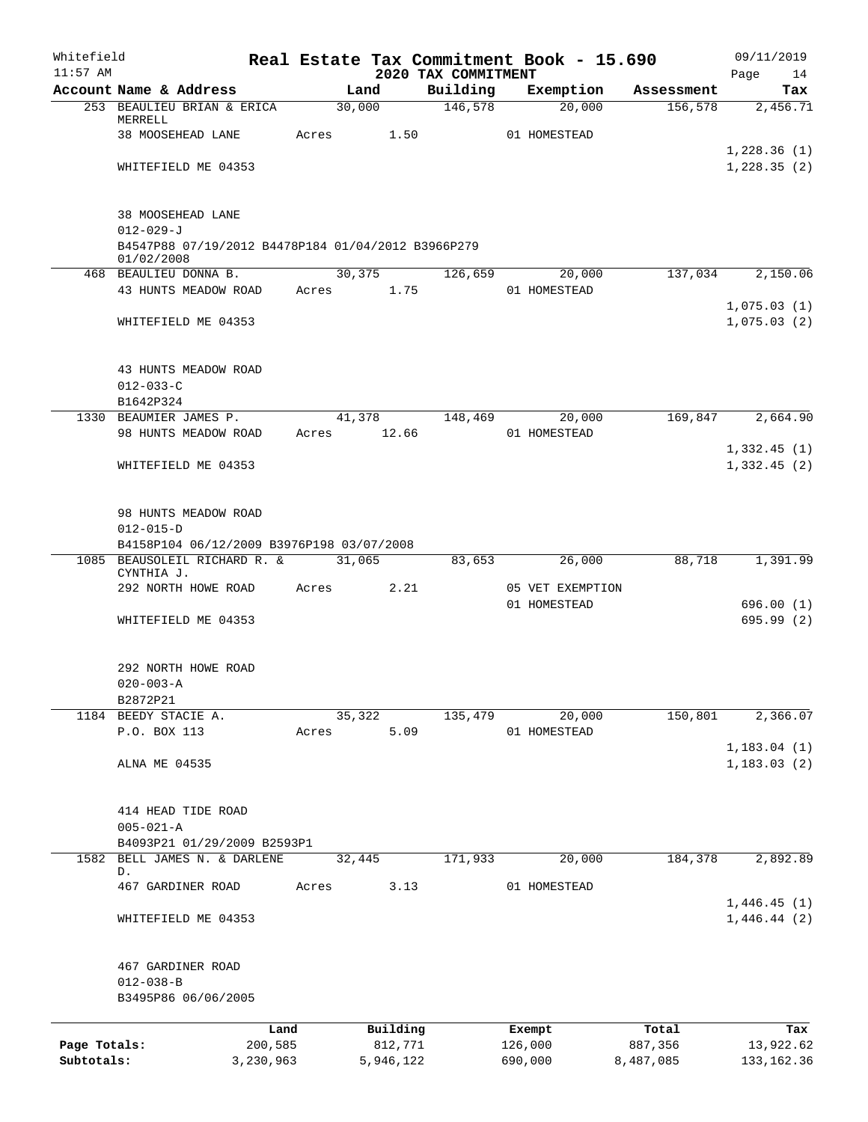| Whitefield<br>$11:57$ AM   |                                                                  |       |                      | Real Estate Tax Commitment Book - 15.690<br>2020 TAX COMMITMENT |                    |                  |                      | 09/11/2019                 |
|----------------------------|------------------------------------------------------------------|-------|----------------------|-----------------------------------------------------------------|--------------------|------------------|----------------------|----------------------------|
|                            | Account Name & Address                                           |       | Land                 | Building                                                        |                    | Exemption        | Assessment           | Page<br>14<br>Tax          |
|                            | 253 BEAULIEU BRIAN & ERICA                                       |       | 30,000               | 146,578                                                         |                    | 20,000           | 156, 578             | 2,456.71                   |
|                            | MERRELL<br>38 MOOSEHEAD LANE                                     |       | 1.50<br>Acres        |                                                                 | 01 HOMESTEAD       |                  |                      |                            |
|                            |                                                                  |       |                      |                                                                 |                    |                  |                      | 1,228.36(1)                |
|                            | WHITEFIELD ME 04353                                              |       |                      |                                                                 |                    |                  |                      | 1,228.35(2)                |
|                            | 38 MOOSEHEAD LANE<br>$012 - 029 - J$                             |       |                      |                                                                 |                    |                  |                      |                            |
|                            | B4547P88 07/19/2012 B4478P184 01/04/2012 B3966P279<br>01/02/2008 |       |                      |                                                                 |                    |                  |                      |                            |
|                            | 468 BEAULIEU DONNA B.                                            |       | 30, 375              | 126,659                                                         |                    | 20,000           | 137,034              | 2,150.06                   |
|                            | 43 HUNTS MEADOW ROAD                                             |       | Acres 1.75           |                                                                 | 01 HOMESTEAD       |                  |                      | 1,075.03(1)                |
|                            | WHITEFIELD ME 04353                                              |       |                      |                                                                 |                    |                  |                      | 1,075.03(2)                |
|                            | 43 HUNTS MEADOW ROAD                                             |       |                      |                                                                 |                    |                  |                      |                            |
|                            | $012 - 033 - C$<br>B1642P324                                     |       |                      |                                                                 |                    |                  |                      |                            |
|                            | 1330 BEAUMIER JAMES P.                                           |       | 41,378               | 148,469                                                         |                    | 20,000           | 169,847              | 2,664.90                   |
|                            | 98 HUNTS MEADOW ROAD                                             |       | Acres 12.66          |                                                                 | 01 HOMESTEAD       |                  |                      |                            |
|                            | WHITEFIELD ME 04353                                              |       |                      |                                                                 |                    |                  |                      | 1,332.45(1)<br>1,332.45(2) |
|                            | 98 HUNTS MEADOW ROAD                                             |       |                      |                                                                 |                    |                  |                      |                            |
|                            | $012 - 015 - D$<br>B4158P104 06/12/2009 B3976P198 03/07/2008     |       |                      |                                                                 |                    |                  |                      |                            |
|                            | 1085 BEAUSOLEIL RICHARD R. &<br>CYNTHIA J.                       |       | 31,065               | 83,653                                                          |                    | 26,000           | 88,718               | 1,391.99                   |
|                            | 292 NORTH HOWE ROAD                                              |       | Acres<br>2.21        |                                                                 |                    | 05 VET EXEMPTION |                      |                            |
|                            | WHITEFIELD ME 04353                                              |       |                      |                                                                 | 01 HOMESTEAD       |                  |                      | 696.00(1)<br>695.99 (2)    |
|                            | 292 NORTH HOWE ROAD                                              |       |                      |                                                                 |                    |                  |                      |                            |
|                            | $020 - 003 - A$                                                  |       |                      |                                                                 |                    |                  |                      |                            |
|                            | B2872P21                                                         |       |                      |                                                                 |                    |                  |                      |                            |
|                            | 1184 BEEDY STACIE A.<br>P.O. BOX 113                             | Acres | 35,322<br>5.09       | 135,479                                                         | 01 HOMESTEAD       | 20,000           | 150,801              | 2,366.07                   |
|                            |                                                                  |       |                      |                                                                 |                    |                  |                      | 1, 183.04(1)               |
|                            | ALNA ME 04535                                                    |       |                      |                                                                 |                    |                  |                      | 1, 183.03(2)               |
|                            | 414 HEAD TIDE ROAD                                               |       |                      |                                                                 |                    |                  |                      |                            |
|                            | $005 - 021 - A$<br>B4093P21 01/29/2009 B2593P1                   |       |                      |                                                                 |                    |                  |                      |                            |
| 1582                       | BELL JAMES N. & DARLENE                                          |       | 32,445               | 171,933                                                         |                    | 20,000           | 184,378              | 2,892.89                   |
|                            | D.                                                               |       |                      |                                                                 |                    |                  |                      |                            |
|                            | 467 GARDINER ROAD                                                | Acres | 3.13                 |                                                                 | 01 HOMESTEAD       |                  |                      | 1,446.45(1)                |
|                            | WHITEFIELD ME 04353                                              |       |                      |                                                                 |                    |                  |                      | 1,446.44(2)                |
|                            | 467 GARDINER ROAD<br>$012 - 038 - B$<br>B3495P86 06/06/2005      |       |                      |                                                                 |                    |                  |                      |                            |
|                            | Land                                                             |       | Building             |                                                                 | Exempt             |                  | Total                | Tax                        |
| Page Totals:<br>Subtotals: | 200,585<br>3,230,963                                             |       | 812,771<br>5,946,122 |                                                                 | 126,000<br>690,000 |                  | 887,356<br>8,487,085 | 13,922.62<br>133, 162.36   |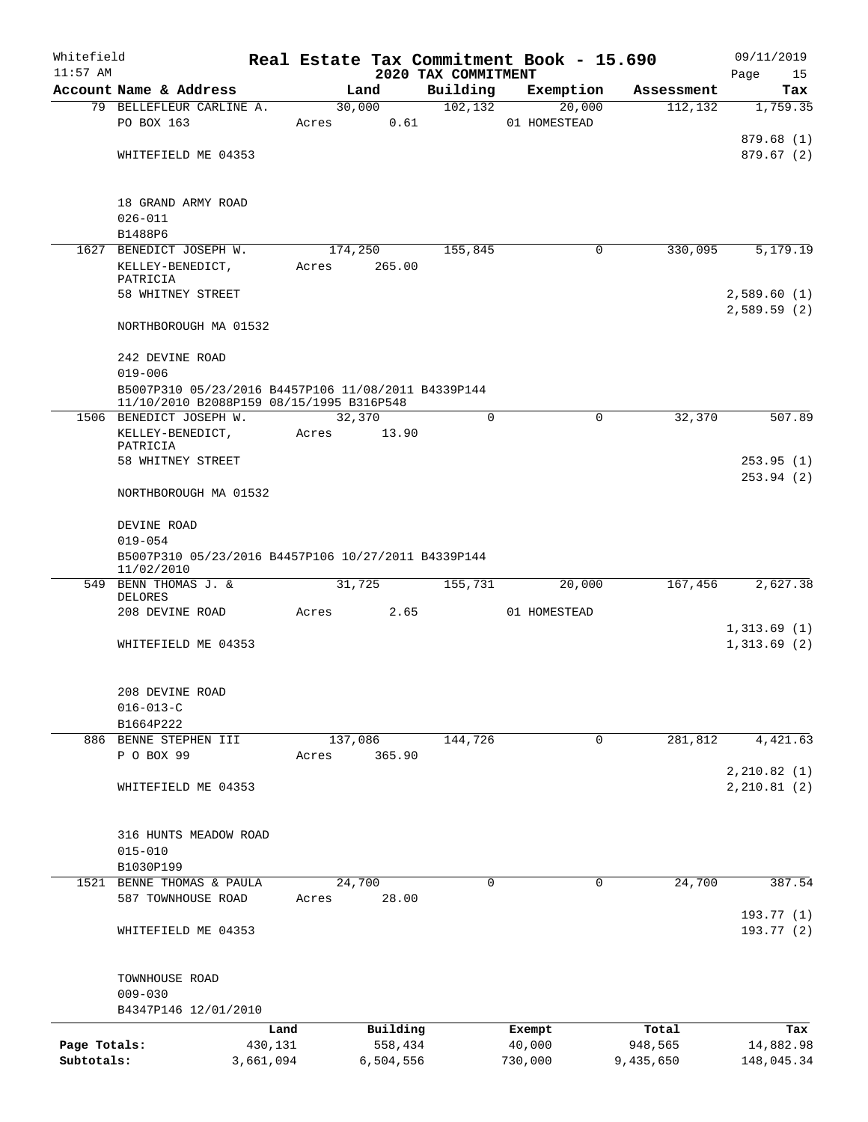| Whitefield<br>$11:57$ AM |                                                                                                 |           |           | 2020 TAX COMMITMENT | Real Estate Tax Commitment Book - 15.690 |            | 09/11/2019<br>Page<br>15   |
|--------------------------|-------------------------------------------------------------------------------------------------|-----------|-----------|---------------------|------------------------------------------|------------|----------------------------|
|                          | Account Name & Address                                                                          |           | Land      | Building            | Exemption                                | Assessment | Tax                        |
|                          | 79 BELLEFLEUR CARLINE A.                                                                        |           | 30,000    | 102, 132            | 20,000                                   | 112, 132   | 1,759.35                   |
|                          | PO BOX 163                                                                                      | Acres     | 0.61      |                     | 01 HOMESTEAD                             |            |                            |
|                          |                                                                                                 |           |           |                     |                                          |            | 879.68(1)                  |
|                          | WHITEFIELD ME 04353                                                                             |           |           |                     |                                          |            | 879.67(2)                  |
|                          |                                                                                                 |           |           |                     |                                          |            |                            |
|                          | 18 GRAND ARMY ROAD                                                                              |           |           |                     |                                          |            |                            |
|                          | $026 - 011$                                                                                     |           |           |                     |                                          |            |                            |
|                          | B1488P6                                                                                         |           |           |                     |                                          |            |                            |
|                          | 1627 BENEDICT JOSEPH W.                                                                         |           | 174,250   | 155,845             | 0                                        | 330,095    | 5,179.19                   |
|                          | KELLEY-BENEDICT,<br>PATRICIA                                                                    | Acres     | 265.00    |                     |                                          |            |                            |
|                          | 58 WHITNEY STREET                                                                               |           |           |                     |                                          |            | 2,589.60(1)                |
|                          | NORTHBOROUGH MA 01532                                                                           |           |           |                     |                                          |            | 2,589.59(2)                |
|                          | 242 DEVINE ROAD                                                                                 |           |           |                     |                                          |            |                            |
|                          | $019 - 006$                                                                                     |           |           |                     |                                          |            |                            |
|                          | B5007P310 05/23/2016 B4457P106 11/08/2011 B4339P144<br>11/10/2010 B2088P159 08/15/1995 B316P548 |           |           |                     |                                          |            |                            |
|                          | 1506 BENEDICT JOSEPH W.                                                                         |           | 32,370    | $\Omega$            | 0                                        | 32,370     | 507.89                     |
|                          | KELLEY-BENEDICT,                                                                                | Acres     | 13.90     |                     |                                          |            |                            |
|                          | PATRICIA<br>58 WHITNEY STREET                                                                   |           |           |                     |                                          |            | 253.95(1)                  |
|                          | NORTHBOROUGH MA 01532                                                                           |           |           |                     |                                          |            | 253.94(2)                  |
|                          | DEVINE ROAD                                                                                     |           |           |                     |                                          |            |                            |
|                          | $019 - 054$                                                                                     |           |           |                     |                                          |            |                            |
|                          | B5007P310 05/23/2016 B4457P106 10/27/2011 B4339P144<br>11/02/2010                               |           |           |                     |                                          |            |                            |
|                          | 549 BENN THOMAS J. &<br>DELORES                                                                 |           | 31,725    | 155,731             | 20,000                                   | 167,456    | 2,627.38                   |
|                          | 208 DEVINE ROAD                                                                                 | Acres     | 2.65      |                     | 01 HOMESTEAD                             |            |                            |
|                          | WHITEFIELD ME 04353                                                                             |           |           |                     |                                          |            | 1,313.69(1)<br>1,313.69(2) |
|                          |                                                                                                 |           |           |                     |                                          |            |                            |
|                          | 208 DEVINE ROAD                                                                                 |           |           |                     |                                          |            |                            |
|                          | $016 - 013 - C$                                                                                 |           |           |                     |                                          |            |                            |
|                          | B1664P222                                                                                       |           |           |                     |                                          |            |                            |
|                          | 886 BENNE STEPHEN III                                                                           |           | 137,086   | 144,726             | 0                                        | 281,812    | 4,421.63                   |
|                          | P O BOX 99                                                                                      | Acres     | 365.90    |                     |                                          |            |                            |
|                          |                                                                                                 |           |           |                     |                                          |            | 2, 210.82(1)               |
|                          | WHITEFIELD ME 04353                                                                             |           |           |                     |                                          |            | 2, 210.81(2)               |
|                          | 316 HUNTS MEADOW ROAD                                                                           |           |           |                     |                                          |            |                            |
|                          | $015 - 010$                                                                                     |           |           |                     |                                          |            |                            |
|                          | B1030P199                                                                                       |           |           |                     |                                          |            |                            |
|                          | 1521 BENNE THOMAS & PAULA                                                                       |           | 24,700    | $\Omega$            | $\Omega$                                 | 24,700     | 387.54                     |
|                          | 587 TOWNHOUSE ROAD                                                                              | Acres     | 28.00     |                     |                                          |            |                            |
|                          | WHITEFIELD ME 04353                                                                             |           |           |                     |                                          |            | 193.77(1)<br>193.77(2)     |
|                          |                                                                                                 |           |           |                     |                                          |            |                            |
|                          | TOWNHOUSE ROAD                                                                                  |           |           |                     |                                          |            |                            |
|                          | $009 - 030$                                                                                     |           |           |                     |                                          |            |                            |
|                          | B4347P146 12/01/2010                                                                            |           |           |                     |                                          |            |                            |
|                          |                                                                                                 | Land      | Building  |                     | Exempt                                   | Total      | Tax                        |
| Page Totals:             |                                                                                                 | 430,131   | 558,434   |                     | 40,000                                   | 948,565    | 14,882.98                  |
| Subtotals:               |                                                                                                 | 3,661,094 | 6,504,556 |                     | 730,000                                  | 9,435,650  | 148,045.34                 |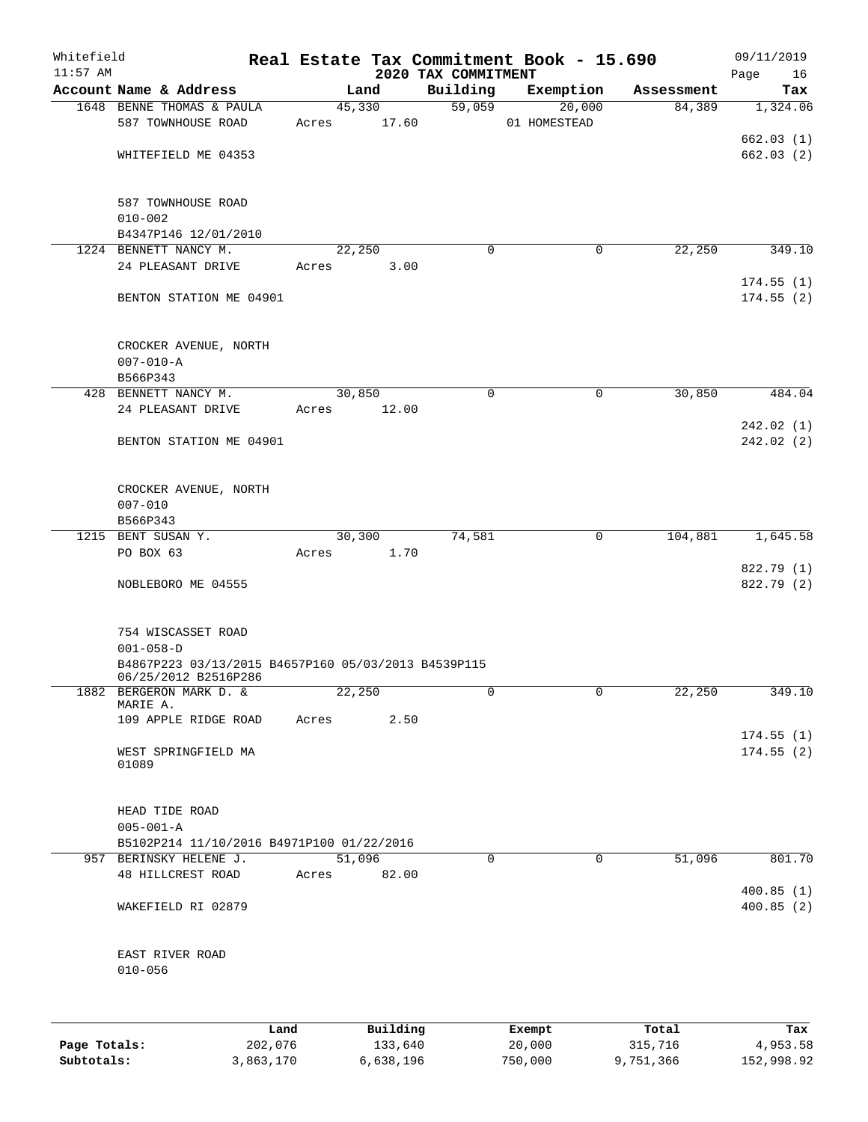| Whitefield   |                                                                                                |           |        |           |                                 | Real Estate Tax Commitment Book - 15.690 |            | 09/11/2019        |
|--------------|------------------------------------------------------------------------------------------------|-----------|--------|-----------|---------------------------------|------------------------------------------|------------|-------------------|
| $11:57$ AM   | Account Name & Address                                                                         |           |        | Land      | 2020 TAX COMMITMENT<br>Building | Exemption                                | Assessment | Page<br>16<br>Tax |
|              | 1648 BENNE THOMAS & PAULA                                                                      |           |        | 45,330    | 59,059                          | 20,000                                   | 84,389     | 1,324.06          |
|              | 587 TOWNHOUSE ROAD                                                                             |           | Acres  | 17.60     |                                 | 01 HOMESTEAD                             |            |                   |
|              |                                                                                                |           |        |           |                                 |                                          |            | 662.03(1)         |
|              | WHITEFIELD ME 04353                                                                            |           |        |           |                                 |                                          |            | 662.03(2)         |
|              | 587 TOWNHOUSE ROAD                                                                             |           |        |           |                                 |                                          |            |                   |
|              | $010 - 002$                                                                                    |           |        |           |                                 |                                          |            |                   |
|              | B4347P146 12/01/2010                                                                           |           |        |           |                                 |                                          |            |                   |
|              | 1224 BENNETT NANCY M.                                                                          |           |        | 22,250    | $\Omega$                        | 0                                        | 22,250     | 349.10            |
|              | 24 PLEASANT DRIVE                                                                              |           | Acres  | 3.00      |                                 |                                          |            | 174.55(1)         |
|              | BENTON STATION ME 04901                                                                        |           |        |           |                                 |                                          |            | 174.55(2)         |
|              | CROCKER AVENUE, NORTH                                                                          |           |        |           |                                 |                                          |            |                   |
|              | $007 - 010 - A$                                                                                |           |        |           |                                 |                                          |            |                   |
|              | B566P343<br>428 BENNETT NANCY M.                                                               |           | 30,850 |           | $\mathbf 0$                     | 0                                        | 30,850     | 484.04            |
|              | 24 PLEASANT DRIVE                                                                              |           | Acres  | 12.00     |                                 |                                          |            |                   |
|              |                                                                                                |           |        |           |                                 |                                          |            | 242.02 (1)        |
|              | BENTON STATION ME 04901                                                                        |           |        |           |                                 |                                          |            | 242.02(2)         |
|              | CROCKER AVENUE, NORTH                                                                          |           |        |           |                                 |                                          |            |                   |
|              | $007 - 010$                                                                                    |           |        |           |                                 |                                          |            |                   |
|              | B566P343<br>1215 BENT SUSAN Y.                                                                 |           |        | 30,300    | 74,581                          | 0                                        | 104,881    | 1,645.58          |
|              | PO BOX 63                                                                                      |           | Acres  | 1.70      |                                 |                                          |            |                   |
|              |                                                                                                |           |        |           |                                 |                                          |            | 822.79 (1)        |
|              | NOBLEBORO ME 04555                                                                             |           |        |           |                                 |                                          |            | 822.79 (2)        |
|              | 754 WISCASSET ROAD                                                                             |           |        |           |                                 |                                          |            |                   |
|              | $001 - 058 - D$<br>B4867P223 03/13/2015 B4657P160 05/03/2013 B4539P115<br>06/25/2012 B2516P286 |           |        |           |                                 |                                          |            |                   |
|              | 1882 BERGERON MARK D. &<br>MARIE A.                                                            |           | 22,250 |           | 0                               | 0                                        | 22,250     | 349.10            |
|              | 109 APPLE RIDGE ROAD                                                                           |           | Acres  | 2.50      |                                 |                                          |            |                   |
|              |                                                                                                |           |        |           |                                 |                                          |            | 174.55(1)         |
|              | WEST SPRINGFIELD MA<br>01089                                                                   |           |        |           |                                 |                                          |            | 174.55(2)         |
|              | HEAD TIDE ROAD                                                                                 |           |        |           |                                 |                                          |            |                   |
|              | $005 - 001 - A$                                                                                |           |        |           |                                 |                                          |            |                   |
|              | B5102P214 11/10/2016 B4971P100 01/22/2016                                                      |           |        |           |                                 |                                          |            |                   |
|              | 957 BERINSKY HELENE J.                                                                         |           | 51,096 |           | $\Omega$                        | 0                                        | 51,096     | 801.70            |
|              | 48 HILLCREST ROAD                                                                              |           | Acres  | 82.00     |                                 |                                          |            | 400.85(1)         |
|              | WAKEFIELD RI 02879                                                                             |           |        |           |                                 |                                          |            | 400.85(2)         |
|              | EAST RIVER ROAD                                                                                |           |        |           |                                 |                                          |            |                   |
|              | $010 - 056$                                                                                    |           |        |           |                                 |                                          |            |                   |
|              |                                                                                                | Land      |        | Building  |                                 | Exempt                                   | Total      | Tax               |
| Page Totals: |                                                                                                | 202,076   |        | 133,640   |                                 | 20,000                                   | 315,716    | 4,953.58          |
| Subtotals:   |                                                                                                | 3,863,170 |        | 6,638,196 |                                 | 750,000                                  | 9,751,366  | 152,998.92        |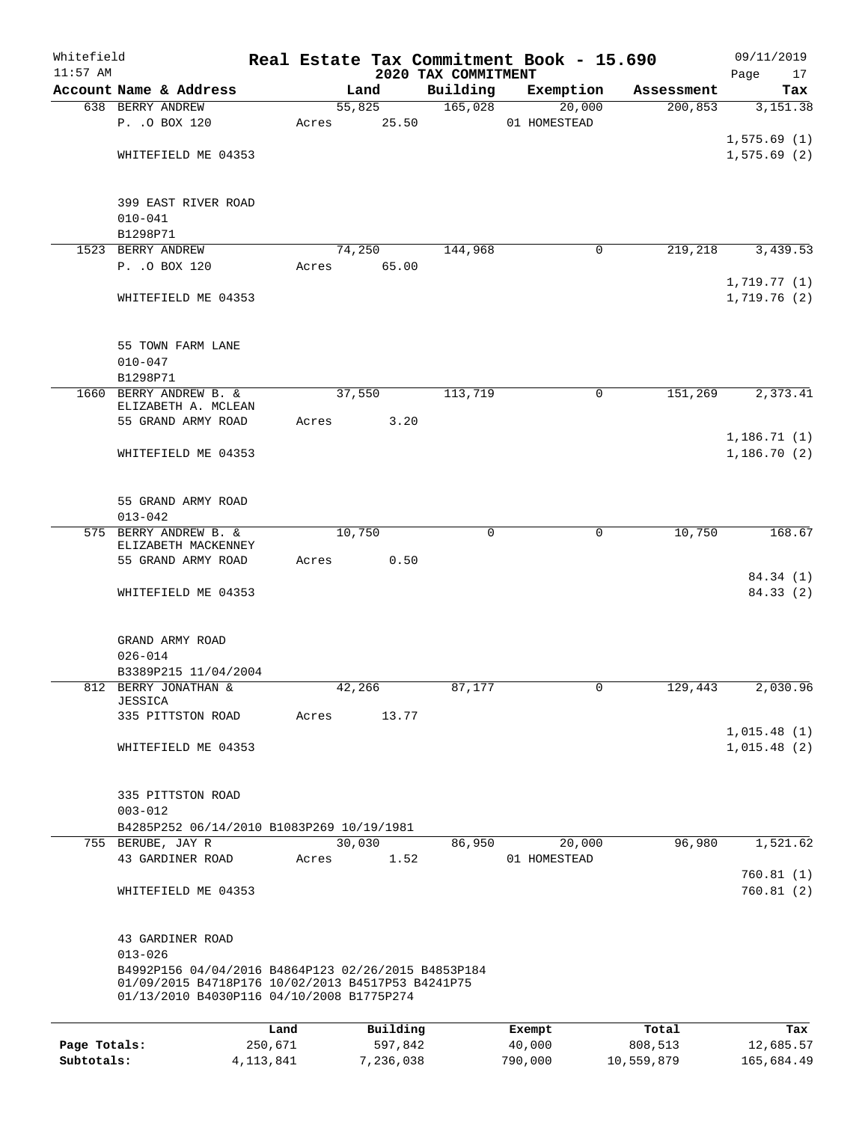| Whitefield   |                                                                                                                                                       |             |       |        |           |                                 | Real Estate Tax Commitment Book - 15.690 |              | 09/11/2019             |
|--------------|-------------------------------------------------------------------------------------------------------------------------------------------------------|-------------|-------|--------|-----------|---------------------------------|------------------------------------------|--------------|------------------------|
| $11:57$ AM   | Account Name & Address                                                                                                                                |             |       | Land   |           | 2020 TAX COMMITMENT<br>Building | Exemption                                | Assessment   | Page<br>17<br>Tax      |
|              | 638 BERRY ANDREW                                                                                                                                      |             |       | 55,825 |           | 165,028                         | 20,000                                   | 200, 853     | 3,151.38               |
|              | P. . O BOX 120                                                                                                                                        |             | Acres |        | 25.50     |                                 | 01 HOMESTEAD                             |              |                        |
|              |                                                                                                                                                       |             |       |        |           |                                 |                                          |              | 1,575.69(1)            |
|              | WHITEFIELD ME 04353                                                                                                                                   |             |       |        |           |                                 |                                          |              | 1,575.69(2)            |
|              |                                                                                                                                                       |             |       |        |           |                                 |                                          |              |                        |
|              | 399 EAST RIVER ROAD                                                                                                                                   |             |       |        |           |                                 |                                          |              |                        |
|              | $010 - 041$                                                                                                                                           |             |       |        |           |                                 |                                          |              |                        |
|              | B1298P71                                                                                                                                              |             |       |        |           |                                 |                                          |              |                        |
|              | 1523 BERRY ANDREW                                                                                                                                     |             |       | 74,250 |           | 144,968                         |                                          | 0<br>219,218 | 3,439.53               |
|              | P. . O BOX 120                                                                                                                                        |             | Acres |        | 65.00     |                                 |                                          |              | 1,719.77(1)            |
|              | WHITEFIELD ME 04353                                                                                                                                   |             |       |        |           |                                 |                                          |              | 1,719.76(2)            |
|              | 55 TOWN FARM LANE                                                                                                                                     |             |       |        |           |                                 |                                          |              |                        |
|              | $010 - 047$                                                                                                                                           |             |       |        |           |                                 |                                          |              |                        |
|              | B1298P71                                                                                                                                              |             |       |        |           |                                 |                                          |              |                        |
| 1660         | BERRY ANDREW B. &<br>ELIZABETH A. MCLEAN                                                                                                              |             |       | 37,550 |           | 113,719                         |                                          | 151,269<br>0 | 2,373.41               |
|              | 55 GRAND ARMY ROAD                                                                                                                                    |             | Acres |        | 3.20      |                                 |                                          |              |                        |
|              |                                                                                                                                                       |             |       |        |           |                                 |                                          |              | 1,186.71(1)            |
|              | WHITEFIELD ME 04353                                                                                                                                   |             |       |        |           |                                 |                                          |              | 1,186.70(2)            |
|              | 55 GRAND ARMY ROAD                                                                                                                                    |             |       |        |           |                                 |                                          |              |                        |
|              | $013 - 042$                                                                                                                                           |             |       |        |           |                                 |                                          |              |                        |
|              | 575 BERRY ANDREW B. &                                                                                                                                 |             |       | 10,750 |           | 0                               |                                          | 10,750<br>0  | 168.67                 |
|              | ELIZABETH MACKENNEY<br>55 GRAND ARMY ROAD                                                                                                             |             | Acres |        | 0.50      |                                 |                                          |              |                        |
|              |                                                                                                                                                       |             |       |        |           |                                 |                                          |              | 84.34 (1)              |
|              | WHITEFIELD ME 04353                                                                                                                                   |             |       |        |           |                                 |                                          |              | 84.33(2)               |
|              | GRAND ARMY ROAD                                                                                                                                       |             |       |        |           |                                 |                                          |              |                        |
|              | $026 - 014$                                                                                                                                           |             |       |        |           |                                 |                                          |              |                        |
|              | B3389P215 11/04/2004                                                                                                                                  |             |       |        |           |                                 |                                          |              |                        |
|              | 812 BERRY JONATHAN &<br>JESSICA                                                                                                                       |             |       | 42,266 |           | 87,177                          |                                          | 129,443<br>0 | 2,030.96               |
|              | 335 PITTSTON ROAD                                                                                                                                     |             | Acres |        | 13.77     |                                 |                                          |              |                        |
|              |                                                                                                                                                       |             |       |        |           |                                 |                                          |              | 1,015.48(1)            |
|              | WHITEFIELD ME 04353                                                                                                                                   |             |       |        |           |                                 |                                          |              | 1,015.48(2)            |
|              | 335 PITTSTON ROAD                                                                                                                                     |             |       |        |           |                                 |                                          |              |                        |
|              | $003 - 012$                                                                                                                                           |             |       |        |           |                                 |                                          |              |                        |
|              | B4285P252 06/14/2010 B1083P269 10/19/1981                                                                                                             |             |       |        |           |                                 |                                          |              |                        |
|              | 755 BERUBE, JAY R                                                                                                                                     |             |       | 30,030 |           | 86,950                          | 20,000                                   | 96,980       | 1,521.62               |
|              | 43 GARDINER ROAD                                                                                                                                      |             | Acres |        | 1.52      |                                 | 01 HOMESTEAD                             |              |                        |
|              | WHITEFIELD ME 04353                                                                                                                                   |             |       |        |           |                                 |                                          |              | 760.81(1)<br>760.81(2) |
|              | 43 GARDINER ROAD                                                                                                                                      |             |       |        |           |                                 |                                          |              |                        |
|              | $013 - 026$                                                                                                                                           |             |       |        |           |                                 |                                          |              |                        |
|              | B4992P156 04/04/2016 B4864P123 02/26/2015 B4853P184<br>01/09/2015 B4718P176 10/02/2013 B4517P53 B4241P75<br>01/13/2010 B4030P116 04/10/2008 B1775P274 |             |       |        |           |                                 |                                          |              |                        |
|              |                                                                                                                                                       | Land        |       |        | Building  |                                 | Exempt                                   | Total        | Tax                    |
| Page Totals: |                                                                                                                                                       | 250,671     |       |        | 597,842   |                                 | 40,000                                   | 808,513      | 12,685.57              |
| Subtotals:   |                                                                                                                                                       | 4, 113, 841 |       |        | 7,236,038 |                                 | 790,000                                  | 10,559,879   | 165,684.49             |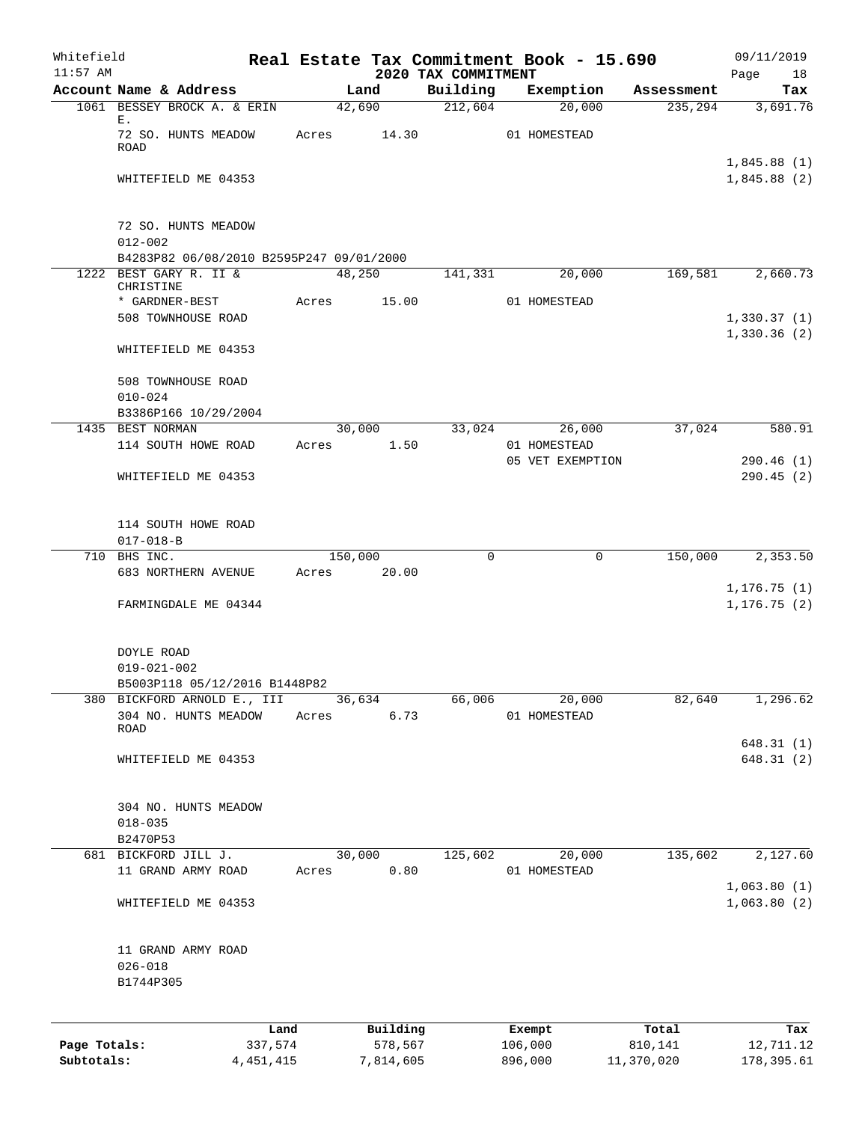| Whitefield<br>$11:57$ AM |                                                                    |                 |         |                     |                                 | Real Estate Tax Commitment Book - 15.690 |                  | 09/11/2019                   |
|--------------------------|--------------------------------------------------------------------|-----------------|---------|---------------------|---------------------------------|------------------------------------------|------------------|------------------------------|
|                          | Account Name & Address                                             |                 |         | Land                | 2020 TAX COMMITMENT<br>Building | Exemption                                | Assessment       | Page<br>18<br>Tax            |
|                          | 1061 BESSEY BROCK A. & ERIN                                        |                 |         | 42,690              | 212,604                         | 20,000                                   | 235,294          | 3,691.76                     |
|                          | Ε.<br>72 SO. HUNTS MEADOW<br><b>ROAD</b>                           |                 | Acres   | 14.30               |                                 | 01 HOMESTEAD                             |                  |                              |
|                          | WHITEFIELD ME 04353                                                |                 |         |                     |                                 |                                          |                  | 1,845.88(1)<br>1,845.88(2)   |
|                          | 72 SO. HUNTS MEADOW<br>$012 - 002$                                 |                 |         |                     |                                 |                                          |                  |                              |
|                          | B4283P82 06/08/2010 B2595P247 09/01/2000<br>1222 BEST GARY R. II & |                 |         | 48,250              | 141,331                         | 20,000                                   | 169,581          | 2,660.73                     |
|                          | CHRISTINE<br>* GARDNER-BEST<br>508 TOWNHOUSE ROAD                  |                 | Acres   | 15.00               |                                 | 01 HOMESTEAD                             |                  | 1,330.37(1)                  |
|                          | WHITEFIELD ME 04353                                                |                 |         |                     |                                 |                                          |                  | 1,330.36(2)                  |
|                          | 508 TOWNHOUSE ROAD<br>$010 - 024$                                  |                 |         |                     |                                 |                                          |                  |                              |
|                          | B3386P166 10/29/2004                                               |                 |         |                     |                                 |                                          |                  |                              |
|                          | 1435 BEST NORMAN<br>114 SOUTH HOWE ROAD                            |                 | Acres   | 30,000<br>1.50      | 33,024                          | 26,000<br>01 HOMESTEAD                   | 37,024           | 580.91                       |
|                          | WHITEFIELD ME 04353                                                |                 |         |                     |                                 | 05 VET EXEMPTION                         |                  | 290.46(1)<br>290.45(2)       |
|                          | 114 SOUTH HOWE ROAD<br>$017 - 018 - B$                             |                 |         |                     |                                 |                                          |                  |                              |
|                          | 710 BHS INC.                                                       |                 | 150,000 |                     | 0                               | 0                                        | 150,000          | 2,353.50                     |
|                          | 683 NORTHERN AVENUE                                                |                 | Acres   | 20.00               |                                 |                                          |                  |                              |
|                          | FARMINGDALE ME 04344                                               |                 |         |                     |                                 |                                          |                  | 1, 176.75(1)<br>1, 176.75(2) |
|                          | DOYLE ROAD<br>$019 - 021 - 002$<br>B5003P118 05/12/2016 B1448P82   |                 |         |                     |                                 |                                          |                  |                              |
|                          | 380 BICKFORD ARNOLD E., III                                        |                 |         | 36,634              | 66,006                          | 20,000                                   | 82,640           | 1,296.62                     |
|                          | 304 NO. HUNTS MEADOW<br>ROAD                                       |                 | Acres   | 6.73                |                                 | 01 HOMESTEAD                             |                  |                              |
|                          | WHITEFIELD ME 04353                                                |                 |         |                     |                                 |                                          |                  | 648.31(1)<br>648.31(2)       |
|                          | 304 NO. HUNTS MEADOW<br>$018 - 035$<br>B2470P53                    |                 |         |                     |                                 |                                          |                  |                              |
|                          | 681 BICKFORD JILL J.                                               |                 |         | 30,000              | 125,602                         | 20,000                                   | 135,602          | 2,127.60                     |
|                          | 11 GRAND ARMY ROAD                                                 |                 | Acres   | 0.80                |                                 | 01 HOMESTEAD                             |                  |                              |
|                          | WHITEFIELD ME 04353                                                |                 |         |                     |                                 |                                          |                  | 1,063.80(1)<br>1,063.80(2)   |
|                          | 11 GRAND ARMY ROAD<br>$026 - 018$<br>B1744P305                     |                 |         |                     |                                 |                                          |                  |                              |
| Page Totals:             |                                                                    | Land<br>337,574 |         | Building<br>578,567 |                                 | Exempt<br>106,000                        | Total<br>810,141 | Tax<br>12,711.12             |
| Subtotals:               |                                                                    | 4, 451, 415     |         | 7,814,605           |                                 | 896,000                                  | 11,370,020       | 178,395.61                   |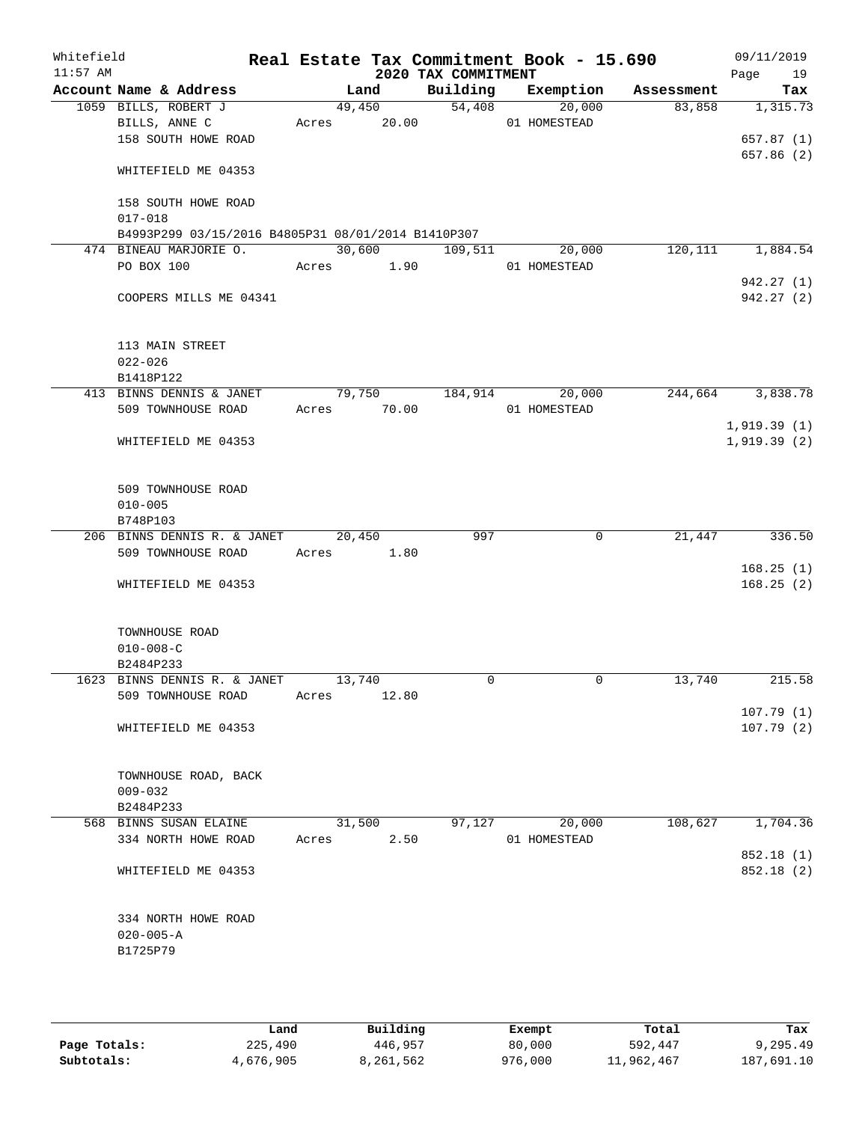| Whitefield<br>$11:57$ AM |                                                    | Real Estate Tax Commitment Book - 15.690 | 2020 TAX COMMITMENT |                               |          | 09/11/2019<br>Page<br>19 |
|--------------------------|----------------------------------------------------|------------------------------------------|---------------------|-------------------------------|----------|--------------------------|
|                          | Account Name & Address                             | Land                                     |                     | Building Exemption Assessment |          | Tax                      |
|                          | 1059 BILLS, ROBERT J                               | 49,450                                   | 54,408              | 20,000                        | 83,858   | 1,315.73                 |
|                          | BILLS, ANNE C                                      | Acres 20.00                              |                     | 01 HOMESTEAD                  |          |                          |
|                          | 158 SOUTH HOWE ROAD                                |                                          |                     |                               |          | 657.87(1)                |
|                          | WHITEFIELD ME 04353                                |                                          |                     |                               |          | 657.86 (2)               |
|                          | 158 SOUTH HOWE ROAD                                |                                          |                     |                               |          |                          |
|                          | $017 - 018$                                        |                                          |                     |                               |          |                          |
|                          | B4993P299 03/15/2016 B4805P31 08/01/2014 B1410P307 |                                          |                     |                               |          |                          |
|                          | 474 BINEAU MARJORIE O.<br>PO BOX 100               | 30,600<br>Acres 1.90                     | 109,511             | 20,000                        | 120, 111 | 1,884.54                 |
|                          |                                                    |                                          |                     | 01 HOMESTEAD                  |          | 942.27(1)                |
|                          | COOPERS MILLS ME 04341                             |                                          |                     |                               |          | 942.27(2)                |
|                          | 113 MAIN STREET                                    |                                          |                     |                               |          |                          |
|                          | $022 - 026$                                        |                                          |                     |                               |          |                          |
|                          | B1418P122                                          |                                          |                     |                               |          |                          |
|                          | 413 BINNS DENNIS & JANET<br>509 TOWNHOUSE ROAD     | 79,750                                   | 184,914             | 20,000                        | 244,664  | 3,838.78                 |
|                          |                                                    | Acres 70.00                              |                     | 01 HOMESTEAD                  |          | 1,919.39(1)              |
|                          | WHITEFIELD ME 04353                                |                                          |                     |                               |          | 1,919.39(2)              |
|                          | 509 TOWNHOUSE ROAD                                 |                                          |                     |                               |          |                          |
|                          | $010 - 005$                                        |                                          |                     |                               |          |                          |
|                          | B748P103<br>206 BINNS DENNIS R. & JANET            | 20,450                                   | 997                 | 0                             | 21,447   | 336.50                   |
|                          | 509 TOWNHOUSE ROAD                                 | Acres 1.80                               |                     |                               |          |                          |
|                          |                                                    |                                          |                     |                               |          | 168.25(1)                |
|                          | WHITEFIELD ME 04353                                |                                          |                     |                               |          | 168.25(2)                |
|                          | TOWNHOUSE ROAD                                     |                                          |                     |                               |          |                          |
|                          | $010 - 008 - C$                                    |                                          |                     |                               |          |                          |
|                          | B2484P233                                          |                                          |                     |                               |          |                          |
|                          | 1623 BINNS DENNIS R. & JANET                       | 13,740                                   | 0                   | $\mathbf 0$                   | 13,740   | 215.58                   |
|                          | 509 TOWNHOUSE ROAD                                 | 12.80<br>Acres                           |                     |                               |          |                          |
|                          | WHITEFIELD ME 04353                                |                                          |                     |                               |          | 107.79(1)<br>107.79(2)   |
|                          | TOWNHOUSE ROAD, BACK<br>$009 - 032$                |                                          |                     |                               |          |                          |
|                          | B2484P233                                          |                                          |                     |                               |          |                          |
|                          | 568 BINNS SUSAN ELAINE                             | 31,500                                   | 97,127              | 20,000                        | 108,627  | 1,704.36                 |
|                          | 334 NORTH HOWE ROAD                                | 2.50<br>Acres                            |                     | 01 HOMESTEAD                  |          |                          |
|                          | WHITEFIELD ME 04353                                |                                          |                     |                               |          | 852.18 (1)<br>852.18 (2) |
|                          | 334 NORTH HOWE ROAD<br>$020 - 005 - A$<br>B1725P79 |                                          |                     |                               |          |                          |
|                          |                                                    |                                          |                     |                               |          |                          |

|              | Land      | Building  | Exempt  | Total      | Tax        |
|--------------|-----------|-----------|---------|------------|------------|
| Page Totals: | 225,490   | 446,957   | 80,000  | 592,447    | 9,295.49   |
| Subtotals:   | 4,676,905 | 3,261,562 | 976,000 | 11,962,467 | 187,691.10 |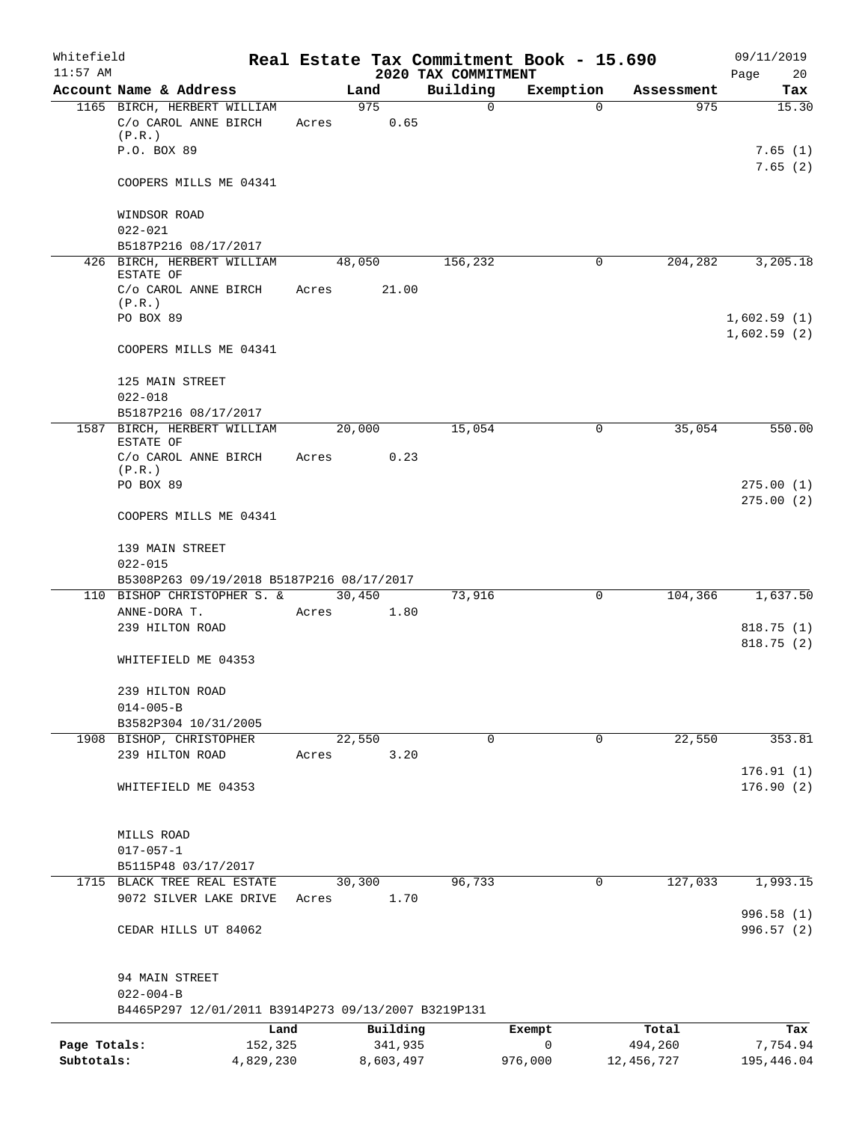| Whitefield<br>$11:57$ AM |                                                                          |       |           | 2020 TAX COMMITMENT | Real Estate Tax Commitment Book - 15.690 |            | 09/11/2019<br>Page<br>20   |
|--------------------------|--------------------------------------------------------------------------|-------|-----------|---------------------|------------------------------------------|------------|----------------------------|
|                          | Account Name & Address                                                   |       | Land      | Building            | Exemption                                | Assessment | Tax                        |
|                          | 1165 BIRCH, HERBERT WILLIAM                                              |       | 975       | $\mathbf 0$         | $\Omega$                                 | 975        | 15.30                      |
|                          | C/o CAROL ANNE BIRCH<br>(P.R.)                                           | Acres | 0.65      |                     |                                          |            |                            |
|                          | P.O. BOX 89                                                              |       |           |                     |                                          |            | 7.65(1)<br>7.65(2)         |
|                          | COOPERS MILLS ME 04341                                                   |       |           |                     |                                          |            |                            |
|                          | WINDSOR ROAD<br>$022 - 021$                                              |       |           |                     |                                          |            |                            |
|                          | B5187P216 08/17/2017                                                     |       |           |                     |                                          |            |                            |
|                          | 426 BIRCH, HERBERT WILLIAM<br>ESTATE OF                                  |       | 48,050    | 156,232             | 0                                        | 204,282    | 3,205.18                   |
|                          | C/o CAROL ANNE BIRCH<br>(P.R.)                                           | Acres | 21.00     |                     |                                          |            |                            |
|                          | PO BOX 89                                                                |       |           |                     |                                          |            | 1,602.59(1)<br>1,602.59(2) |
|                          | COOPERS MILLS ME 04341                                                   |       |           |                     |                                          |            |                            |
|                          | 125 MAIN STREET<br>$022 - 018$                                           |       |           |                     |                                          |            |                            |
|                          | B5187P216 08/17/2017                                                     |       |           |                     |                                          |            |                            |
|                          | 1587 BIRCH, HERBERT WILLIAM<br>ESTATE OF                                 |       | 20,000    | 15,054              | 0                                        | 35,054     | 550.00                     |
|                          | C/o CAROL ANNE BIRCH<br>(P.R.)                                           | Acres | 0.23      |                     |                                          |            |                            |
|                          | PO BOX 89                                                                |       |           |                     |                                          |            | 275.00(1)<br>275.00(2)     |
|                          | COOPERS MILLS ME 04341                                                   |       |           |                     |                                          |            |                            |
|                          | 139 MAIN STREET                                                          |       |           |                     |                                          |            |                            |
|                          | $022 - 015$                                                              |       |           |                     |                                          |            |                            |
|                          | B5308P263 09/19/2018 B5187P216 08/17/2017<br>110 BISHOP CHRISTOPHER S. & |       | 30,450    | 73,916              | 0                                        | 104,366    | 1,637.50                   |
|                          | ANNE-DORA T.                                                             | Acres | 1.80      |                     |                                          |            |                            |
|                          | 239 HILTON ROAD                                                          |       |           |                     |                                          |            | 818.75(1)                  |
|                          | WHITEFIELD ME 04353                                                      |       |           |                     |                                          |            | 818.75(2)                  |
|                          |                                                                          |       |           |                     |                                          |            |                            |
|                          | 239 HILTON ROAD                                                          |       |           |                     |                                          |            |                            |
|                          | $014 - 005 - B$<br>B3582P304 10/31/2005                                  |       |           |                     |                                          |            |                            |
|                          | 1908 BISHOP, CHRISTOPHER                                                 |       | 22,550    | 0                   | 0                                        | 22,550     | 353.81                     |
|                          | 239 HILTON ROAD                                                          | Acres | 3.20      |                     |                                          |            |                            |
|                          |                                                                          |       |           |                     |                                          |            | 176.91(1)                  |
|                          | WHITEFIELD ME 04353                                                      |       |           |                     |                                          |            | 176.90(2)                  |
|                          | MILLS ROAD                                                               |       |           |                     |                                          |            |                            |
|                          | $017 - 057 - 1$                                                          |       |           |                     |                                          |            |                            |
|                          | B5115P48 03/17/2017                                                      |       |           |                     |                                          |            |                            |
|                          | 1715 BLACK TREE REAL ESTATE                                              |       | 30,300    | 96,733              | $\mathbf 0$                              | 127,033    | 1,993.15                   |
|                          | 9072 SILVER LAKE DRIVE                                                   | Acres | 1.70      |                     |                                          |            | 996.58(1)                  |
|                          | CEDAR HILLS UT 84062                                                     |       |           |                     |                                          |            | 996.57(2)                  |
|                          | 94 MAIN STREET                                                           |       |           |                     |                                          |            |                            |
|                          | $022 - 004 - B$                                                          |       |           |                     |                                          |            |                            |
|                          | B4465P297 12/01/2011 B3914P273 09/13/2007 B3219P131                      |       |           |                     |                                          |            |                            |
|                          | Land                                                                     |       | Building  |                     | Exempt                                   | Total      | Tax                        |
| Page Totals:             | 152,325                                                                  |       | 341,935   |                     | $\mathbf 0$                              | 494,260    | 7,754.94                   |
| Subtotals:               | 4,829,230                                                                |       | 8,603,497 |                     | 976,000                                  | 12,456,727 | 195,446.04                 |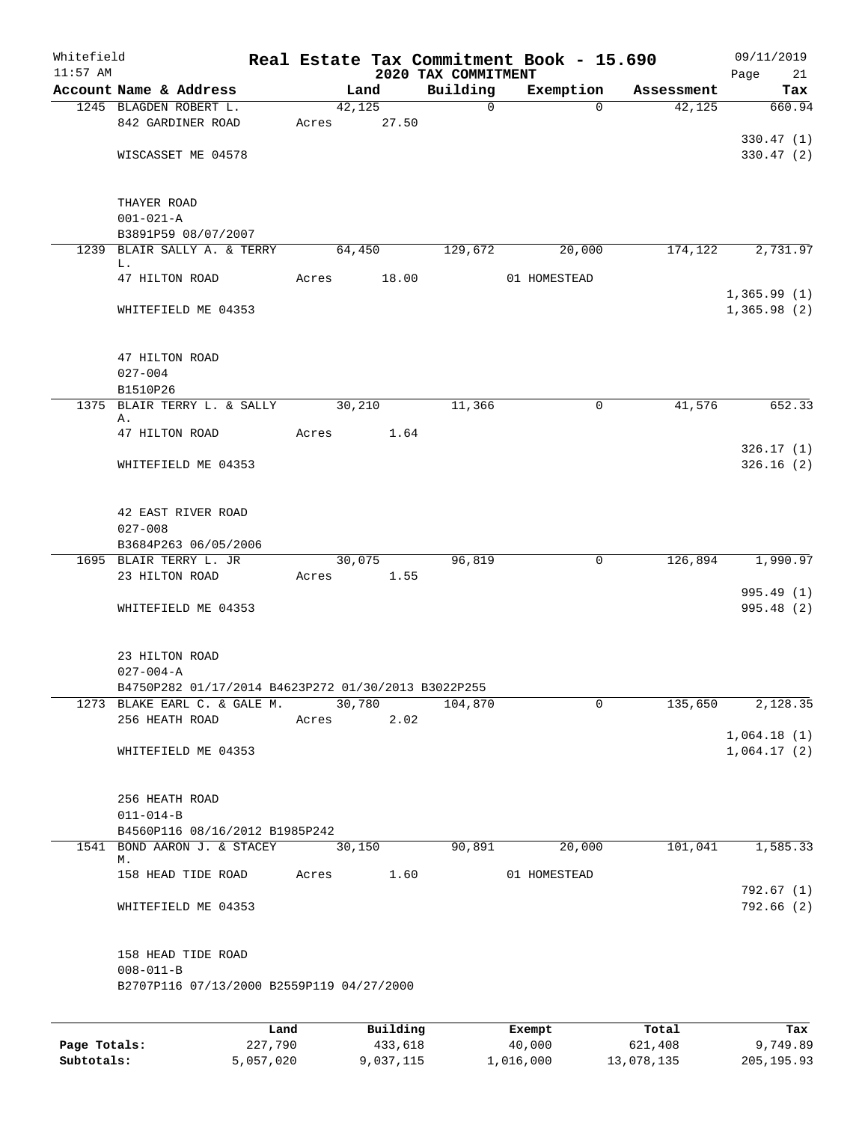| Whitefield   |                                                     |         |       |        |          |                                 | Real Estate Tax Commitment Book - 15.690 |             |            | 09/11/2019        |
|--------------|-----------------------------------------------------|---------|-------|--------|----------|---------------------------------|------------------------------------------|-------------|------------|-------------------|
| $11:57$ AM   | Account Name & Address                              |         |       | Land   |          | 2020 TAX COMMITMENT<br>Building | Exemption                                |             | Assessment | Page<br>21<br>Tax |
|              | 1245 BLAGDEN ROBERT L.                              |         |       | 42,125 |          | $\mathbf 0$                     |                                          | $\Omega$    | 42,125     | 660.94            |
|              | 842 GARDINER ROAD                                   |         | Acres |        | 27.50    |                                 |                                          |             |            |                   |
|              |                                                     |         |       |        |          |                                 |                                          |             |            | 330.47(1)         |
|              | WISCASSET ME 04578                                  |         |       |        |          |                                 |                                          |             |            | 330.47(2)         |
|              |                                                     |         |       |        |          |                                 |                                          |             |            |                   |
|              |                                                     |         |       |        |          |                                 |                                          |             |            |                   |
|              | THAYER ROAD                                         |         |       |        |          |                                 |                                          |             |            |                   |
|              | $001 - 021 - A$<br>B3891P59 08/07/2007              |         |       |        |          |                                 |                                          |             |            |                   |
|              | 1239 BLAIR SALLY A. & TERRY                         |         |       | 64,450 |          | 129,672                         |                                          | 20,000      | 174,122    | 2,731.97          |
|              | L.                                                  |         |       |        |          |                                 |                                          |             |            |                   |
|              | 47 HILTON ROAD                                      |         | Acres |        | 18.00    |                                 | 01 HOMESTEAD                             |             |            |                   |
|              |                                                     |         |       |        |          |                                 |                                          |             |            | 1,365.99(1)       |
|              | WHITEFIELD ME 04353                                 |         |       |        |          |                                 |                                          |             |            | 1,365.98(2)       |
|              |                                                     |         |       |        |          |                                 |                                          |             |            |                   |
|              | 47 HILTON ROAD                                      |         |       |        |          |                                 |                                          |             |            |                   |
|              | $027 - 004$                                         |         |       |        |          |                                 |                                          |             |            |                   |
|              | B1510P26                                            |         |       |        |          |                                 |                                          |             |            |                   |
|              | 1375 BLAIR TERRY L. & SALLY                         |         |       | 30,210 |          | 11,366                          |                                          | $\mathbf 0$ | 41,576     | 652.33            |
|              | Α.<br>47 HILTON ROAD                                |         | Acres |        | 1.64     |                                 |                                          |             |            |                   |
|              |                                                     |         |       |        |          |                                 |                                          |             |            | 326.17(1)         |
|              | WHITEFIELD ME 04353                                 |         |       |        |          |                                 |                                          |             |            | 326.16(2)         |
|              |                                                     |         |       |        |          |                                 |                                          |             |            |                   |
|              |                                                     |         |       |        |          |                                 |                                          |             |            |                   |
|              | 42 EAST RIVER ROAD                                  |         |       |        |          |                                 |                                          |             |            |                   |
|              | $027 - 008$<br>B3684P263 06/05/2006                 |         |       |        |          |                                 |                                          |             |            |                   |
|              | 1695 BLAIR TERRY L. JR                              |         |       | 30,075 |          | 96,819                          |                                          | 0           | 126,894    | 1,990.97          |
|              | 23 HILTON ROAD                                      |         | Acres |        | 1.55     |                                 |                                          |             |            |                   |
|              |                                                     |         |       |        |          |                                 |                                          |             |            | 995.49 (1)        |
|              | WHITEFIELD ME 04353                                 |         |       |        |          |                                 |                                          |             |            | 995.48 (2)        |
|              |                                                     |         |       |        |          |                                 |                                          |             |            |                   |
|              | 23 HILTON ROAD                                      |         |       |        |          |                                 |                                          |             |            |                   |
|              | $027 - 004 - A$                                     |         |       |        |          |                                 |                                          |             |            |                   |
|              | B4750P282 01/17/2014 B4623P272 01/30/2013 B3022P255 |         |       |        |          |                                 |                                          |             |            |                   |
|              | 1273 BLAKE EARL C. & GALE M.                        |         |       | 30,780 |          | 104,870                         |                                          | 0           | 135,650    | 2,128.35          |
|              | 256 HEATH ROAD                                      |         | Acres |        | 2.02     |                                 |                                          |             |            |                   |
|              |                                                     |         |       |        |          |                                 |                                          |             |            | 1,064.18(1)       |
|              | WHITEFIELD ME 04353                                 |         |       |        |          |                                 |                                          |             |            | 1,064.17(2)       |
|              |                                                     |         |       |        |          |                                 |                                          |             |            |                   |
|              | 256 HEATH ROAD                                      |         |       |        |          |                                 |                                          |             |            |                   |
|              | $011 - 014 - B$                                     |         |       |        |          |                                 |                                          |             |            |                   |
|              | B4560P116 08/16/2012 B1985P242                      |         |       |        |          |                                 |                                          |             |            |                   |
| 1541         | BOND AARON J. & STACEY                              |         |       | 30,150 |          | 90,891                          |                                          | 20,000      | 101,041    | 1,585.33          |
|              | М.                                                  |         |       |        |          |                                 |                                          |             |            |                   |
|              | 158 HEAD TIDE ROAD                                  |         | Acres |        | 1.60     |                                 | 01 HOMESTEAD                             |             |            | 792.67(1)         |
|              | WHITEFIELD ME 04353                                 |         |       |        |          |                                 |                                          |             |            | 792.66 (2)        |
|              |                                                     |         |       |        |          |                                 |                                          |             |            |                   |
|              |                                                     |         |       |        |          |                                 |                                          |             |            |                   |
|              | 158 HEAD TIDE ROAD                                  |         |       |        |          |                                 |                                          |             |            |                   |
|              | $008 - 011 - B$                                     |         |       |        |          |                                 |                                          |             |            |                   |
|              | B2707P116 07/13/2000 B2559P119 04/27/2000           |         |       |        |          |                                 |                                          |             |            |                   |
|              |                                                     |         |       |        |          |                                 |                                          |             |            |                   |
|              |                                                     | Land    |       |        | Building |                                 | Exempt                                   |             | Total      | Tax               |
| Page Totals: |                                                     | 227,790 |       |        | 433,618  |                                 | 40,000                                   |             | 621,408    | 9,749.89          |

**Subtotals:** 5,057,020 9,037,115 1,016,000 13,078,135 205,195.93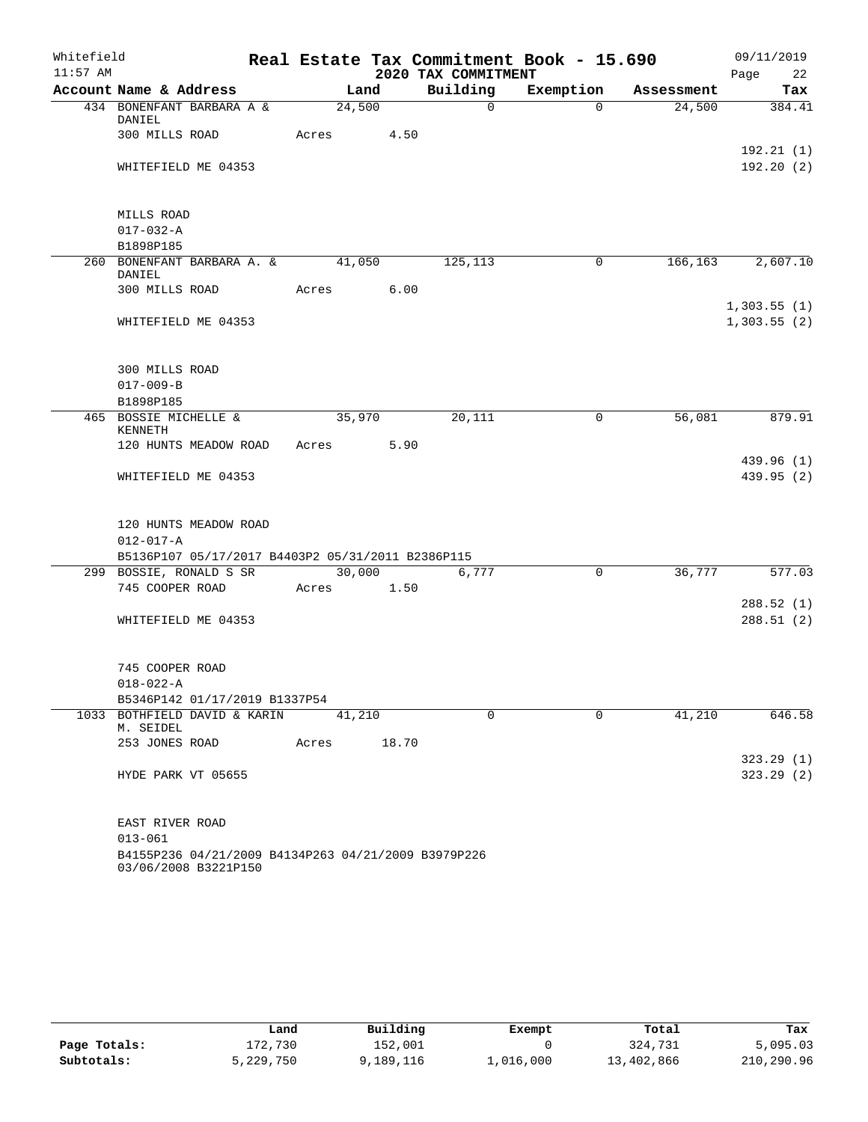| Whitefield |                                                                                               |            |       |                     | Real Estate Tax Commitment Book - 15.690 |            | 09/11/2019                 |
|------------|-----------------------------------------------------------------------------------------------|------------|-------|---------------------|------------------------------------------|------------|----------------------------|
| $11:57$ AM |                                                                                               |            |       | 2020 TAX COMMITMENT |                                          |            | Page 22                    |
|            | Account Name & Address                                                                        | Land       |       | Building            | Exemption                                | Assessment | Tax                        |
|            | 434 BONENFANT BARBARA A &<br>DANIEL                                                           | 24,500     |       | $\Omega$            | $\Omega$                                 | 24,500     | 384.41                     |
|            | 300 MILLS ROAD                                                                                | Acres      | 4.50  |                     |                                          |            | 192.21(1)                  |
|            | WHITEFIELD ME 04353                                                                           |            |       |                     |                                          |            | 192.20(2)                  |
|            | MILLS ROAD                                                                                    |            |       |                     |                                          |            |                            |
|            | $017 - 032 - A$                                                                               |            |       |                     |                                          |            |                            |
|            | B1898P185                                                                                     |            |       |                     |                                          |            |                            |
|            | 260 BONENFANT BARBARA A. &<br>DANIEL                                                          | 41,050     |       | 125,113             | $\mathbf 0$                              | 166,163    | 2,607.10                   |
|            | 300 MILLS ROAD                                                                                | Acres      | 6.00  |                     |                                          |            |                            |
|            | WHITEFIELD ME 04353                                                                           |            |       |                     |                                          |            | 1,303.55(1)<br>1,303.55(2) |
|            | 300 MILLS ROAD                                                                                |            |       |                     |                                          |            |                            |
|            | $017 - 009 - B$                                                                               |            |       |                     |                                          |            |                            |
|            | B1898P185                                                                                     |            |       |                     |                                          |            |                            |
|            | 465 BOSSIE MICHELLE &<br><b>KENNETH</b>                                                       | 35,970     |       | 20,111              | $\mathbf 0$                              | 56,081     | 879.91                     |
|            | 120 HUNTS MEADOW ROAD                                                                         | Acres      | 5.90  |                     |                                          |            |                            |
|            | WHITEFIELD ME 04353                                                                           |            |       |                     |                                          |            | 439.96 (1)<br>439.95 (2)   |
|            | 120 HUNTS MEADOW ROAD<br>$012 - 017 - A$<br>B5136P107 05/17/2017 B4403P2 05/31/2011 B2386P115 |            |       |                     |                                          |            |                            |
|            | 299 BOSSIE, RONALD S SR                                                                       | 30,000     |       | 6,777               | $\mathbf 0$                              | 36,777     | 577.03                     |
|            | 745 COOPER ROAD                                                                               | Acres 1.50 |       |                     |                                          |            |                            |
|            | WHITEFIELD ME 04353                                                                           |            |       |                     |                                          |            | 288.52(1)<br>288.51(2)     |
|            | 745 COOPER ROAD                                                                               |            |       |                     |                                          |            |                            |
|            | $018 - 022 - A$                                                                               |            |       |                     |                                          |            |                            |
|            | B5346P142 01/17/2019 B1337P54                                                                 |            |       |                     |                                          |            |                            |
|            | 1033 BOTHFIELD DAVID & KARIN<br>M. SEIDEL                                                     | 41,210     |       | $\Omega$            | $\Omega$                                 | 41,210     | 646.58                     |
|            | 253 JONES ROAD                                                                                | Acres      | 18.70 |                     |                                          |            |                            |
|            | HYDE PARK VT 05655                                                                            |            |       |                     |                                          |            | 323.29(1)<br>323.29(2)     |
|            | EAST RIVER ROAD<br>$013 - 061$                                                                |            |       |                     |                                          |            |                            |
|            | B4155P236 04/21/2009 B4134P263 04/21/2009 B3979P226                                           |            |       |                     |                                          |            |                            |

03/06/2008 B3221P150

|              | Land      | Building  | Exempt    | Total      | Tax        |
|--------------|-----------|-----------|-----------|------------|------------|
| Page Totals: | 172,730   | 152,001   |           | 324,731    | 5,095.03   |
| Subtotals:   | 5,229,750 | 1,189,116 | ⊥,016,000 | 13,402,866 | 210,290.96 |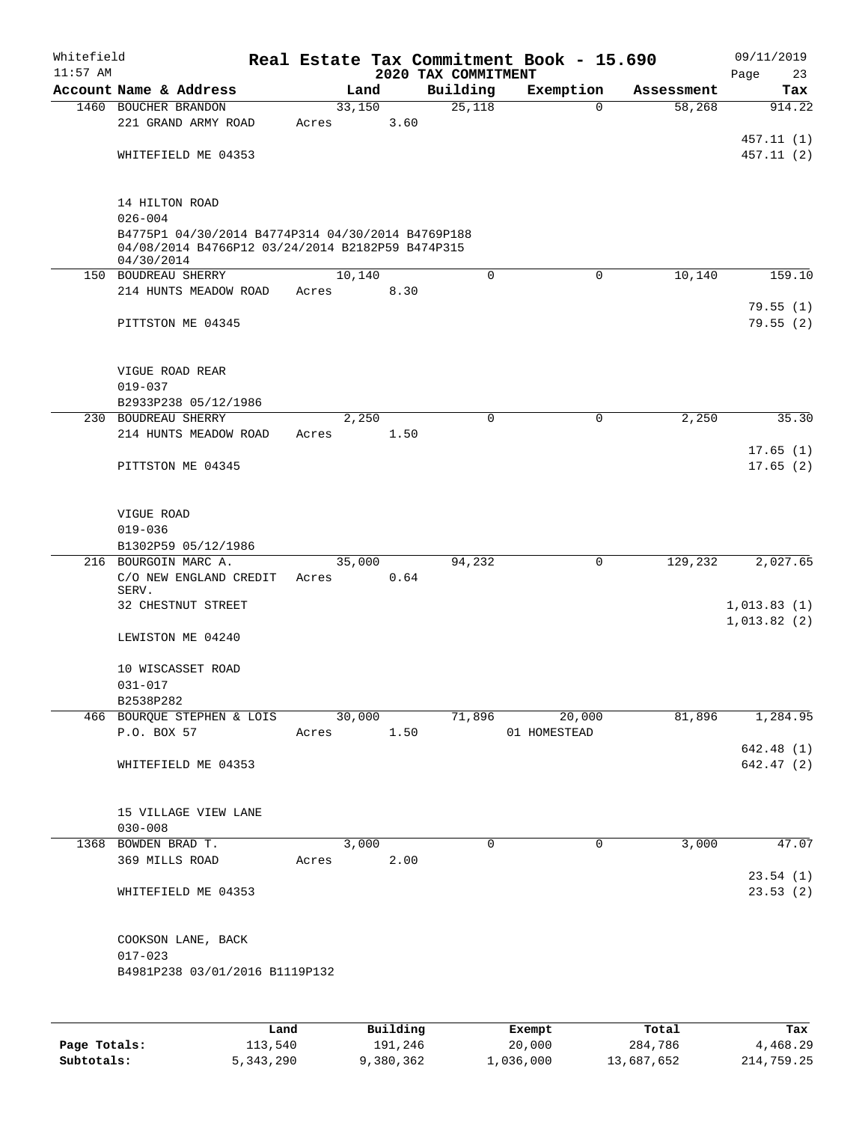| Whitefield<br>$11:57$ AM |                                                                                                       |       |        |          | 2020 TAX COMMITMENT | Real Estate Tax Commitment Book - 15.690 |            | 09/11/2019<br>Page<br>23 |
|--------------------------|-------------------------------------------------------------------------------------------------------|-------|--------|----------|---------------------|------------------------------------------|------------|--------------------------|
|                          | Account Name & Address                                                                                |       | Land   |          | Building            | Exemption                                | Assessment | Tax                      |
|                          | 1460 BOUCHER BRANDON                                                                                  |       | 33,150 |          | 25,118              | $\mathbf 0$                              | 58,268     | 914.22                   |
|                          | 221 GRAND ARMY ROAD                                                                                   | Acres |        | 3.60     |                     |                                          |            |                          |
|                          |                                                                                                       |       |        |          |                     |                                          |            | 457.11 (1)               |
|                          | WHITEFIELD ME 04353                                                                                   |       |        |          |                     |                                          |            | 457.11 (2)               |
|                          |                                                                                                       |       |        |          |                     |                                          |            |                          |
|                          |                                                                                                       |       |        |          |                     |                                          |            |                          |
|                          | 14 HILTON ROAD                                                                                        |       |        |          |                     |                                          |            |                          |
|                          | $026 - 004$                                                                                           |       |        |          |                     |                                          |            |                          |
|                          | B4775P1 04/30/2014 B4774P314 04/30/2014 B4769P188<br>04/08/2014 B4766P12 03/24/2014 B2182P59 B474P315 |       |        |          |                     |                                          |            |                          |
|                          | 04/30/2014                                                                                            |       |        |          |                     |                                          |            |                          |
|                          | 150 BOUDREAU SHERRY                                                                                   |       | 10,140 |          | 0                   | 0                                        | 10,140     | 159.10                   |
|                          | 214 HUNTS MEADOW ROAD                                                                                 | Acres |        | 8.30     |                     |                                          |            |                          |
|                          |                                                                                                       |       |        |          |                     |                                          |            | 79.55(1)                 |
|                          | PITTSTON ME 04345                                                                                     |       |        |          |                     |                                          |            | 79.55(2)                 |
|                          |                                                                                                       |       |        |          |                     |                                          |            |                          |
|                          | VIGUE ROAD REAR                                                                                       |       |        |          |                     |                                          |            |                          |
|                          | $019 - 037$                                                                                           |       |        |          |                     |                                          |            |                          |
|                          | B2933P238 05/12/1986                                                                                  |       |        |          |                     |                                          |            |                          |
|                          | 230 BOUDREAU SHERRY                                                                                   |       | 2,250  |          | $\Omega$            | 0                                        | 2,250      | 35.30                    |
|                          | 214 HUNTS MEADOW ROAD                                                                                 | Acres |        | 1.50     |                     |                                          |            |                          |
|                          |                                                                                                       |       |        |          |                     |                                          |            | 17.65(1)                 |
|                          | PITTSTON ME 04345                                                                                     |       |        |          |                     |                                          |            | 17.65(2)                 |
|                          |                                                                                                       |       |        |          |                     |                                          |            |                          |
|                          | VIGUE ROAD                                                                                            |       |        |          |                     |                                          |            |                          |
|                          | $019 - 036$                                                                                           |       |        |          |                     |                                          |            |                          |
|                          | B1302P59 05/12/1986                                                                                   |       |        |          |                     |                                          |            |                          |
|                          | 216 BOURGOIN MARC A.                                                                                  |       | 35,000 |          | 94,232              | 0                                        | 129,232    | 2,027.65                 |
|                          | C/O NEW ENGLAND CREDIT                                                                                | Acres |        | 0.64     |                     |                                          |            |                          |
|                          | SERV.<br>32 CHESTNUT STREET                                                                           |       |        |          |                     |                                          |            | 1,013.83(1)              |
|                          |                                                                                                       |       |        |          |                     |                                          |            | 1,013.82(2)              |
|                          | LEWISTON ME 04240                                                                                     |       |        |          |                     |                                          |            |                          |
|                          |                                                                                                       |       |        |          |                     |                                          |            |                          |
|                          | 10 WISCASSET ROAD                                                                                     |       |        |          |                     |                                          |            |                          |
|                          | $031 - 017$                                                                                           |       |        |          |                     |                                          |            |                          |
|                          | B2538P282                                                                                             |       |        |          |                     |                                          |            |                          |
|                          | 466 BOURQUE STEPHEN & LOIS                                                                            |       | 30,000 |          | 71,896              | 20,000                                   | 81,896     | 1,284.95                 |
|                          | P.O. BOX 57                                                                                           | Acres |        | 1.50     |                     | 01 HOMESTEAD                             |            |                          |
|                          |                                                                                                       |       |        |          |                     |                                          |            | 642.48(1)                |
|                          | WHITEFIELD ME 04353                                                                                   |       |        |          |                     |                                          |            | 642.47(2)                |
|                          |                                                                                                       |       |        |          |                     |                                          |            |                          |
|                          | 15 VILLAGE VIEW LANE                                                                                  |       |        |          |                     |                                          |            |                          |
|                          | $030 - 008$                                                                                           |       |        |          |                     |                                          |            |                          |
|                          | 1368 BOWDEN BRAD T.                                                                                   |       | 3,000  |          | 0                   | 0                                        | 3,000      | 47.07                    |
|                          | 369 MILLS ROAD                                                                                        | Acres |        | 2.00     |                     |                                          |            |                          |
|                          |                                                                                                       |       |        |          |                     |                                          |            | 23.54(1)                 |
|                          | WHITEFIELD ME 04353                                                                                   |       |        |          |                     |                                          |            | 23.53(2)                 |
|                          |                                                                                                       |       |        |          |                     |                                          |            |                          |
|                          |                                                                                                       |       |        |          |                     |                                          |            |                          |
|                          | COOKSON LANE, BACK<br>$017 - 023$                                                                     |       |        |          |                     |                                          |            |                          |
|                          | B4981P238 03/01/2016 B1119P132                                                                        |       |        |          |                     |                                          |            |                          |
|                          |                                                                                                       |       |        |          |                     |                                          |            |                          |
|                          |                                                                                                       |       |        |          |                     |                                          |            |                          |
|                          |                                                                                                       |       |        |          |                     |                                          |            |                          |
|                          |                                                                                                       | Land  |        | Building |                     | Exempt                                   | Total      | Tax                      |

|              | Land        | <b>Building</b> | Exempt    | тосат      | rax.       |
|--------------|-------------|-----------------|-----------|------------|------------|
| Page Totals: | 113,540     | 191,246         | 20,000    | 284,786    | 4,468.29   |
| Subtotals:   | 5, 343, 290 | 9,380,362       | 1,036,000 | 13,687,652 | 214,759.25 |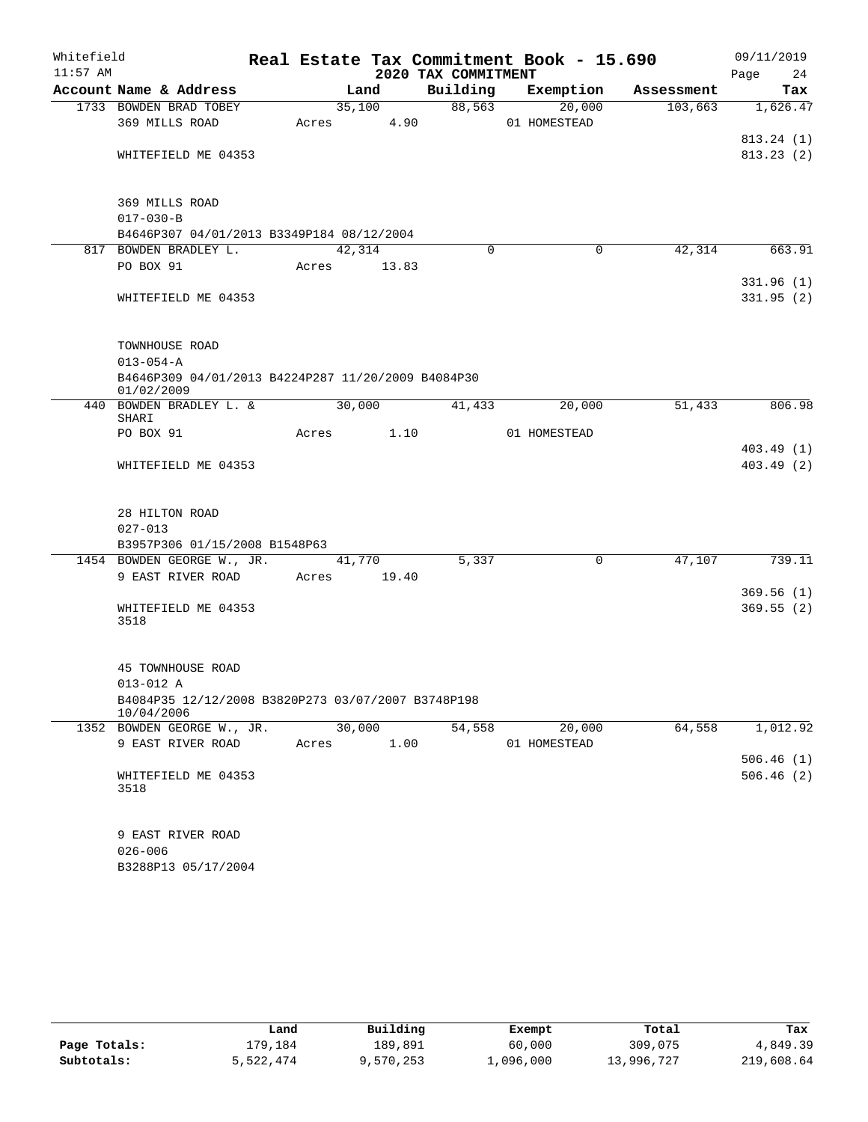| Whitefield<br>$11:57$ AM |                                                                  |       |        |                | 2020 TAX COMMITMENT | Real Estate Tax Commitment Book - 15.690 |            | 09/11/2019<br>24<br>Page |
|--------------------------|------------------------------------------------------------------|-------|--------|----------------|---------------------|------------------------------------------|------------|--------------------------|
|                          | Account Name & Address                                           |       | Land   |                | Building            | Exemption                                | Assessment | Tax                      |
|                          | 1733 BOWDEN BRAD TOBEY<br>369 MILLS ROAD                         | Acres |        | 35,100<br>4.90 | 88,563              | 20,000<br>01 HOMESTEAD                   | 103,663    | 1,626.47                 |
|                          | WHITEFIELD ME 04353                                              |       |        |                |                     |                                          |            | 813.24(1)<br>813.23(2)   |
|                          | 369 MILLS ROAD<br>$017 - 030 - B$                                |       |        |                |                     |                                          |            |                          |
|                          | B4646P307 04/01/2013 B3349P184 08/12/2004                        |       |        |                |                     |                                          |            |                          |
|                          | 817 BOWDEN BRADLEY L.                                            |       | 42,314 |                | $\Omega$            | 0                                        | 42,314     | 663.91                   |
|                          | PO BOX 91                                                        | Acres |        | 13.83          |                     |                                          |            |                          |
|                          | WHITEFIELD ME 04353                                              |       |        |                |                     |                                          |            | 331.96(1)<br>331.95(2)   |
|                          | TOWNHOUSE ROAD<br>$013 - 054 - A$                                |       |        |                |                     |                                          |            |                          |
|                          | B4646P309 04/01/2013 B4224P287 11/20/2009 B4084P30<br>01/02/2009 |       |        |                |                     |                                          |            |                          |
|                          | 440 BOWDEN BRADLEY L. &<br>SHARI                                 |       | 30,000 |                | 41,433              | 20,000                                   | 51,433     | 806.98                   |
|                          | PO BOX 91                                                        | Acres |        | 1.10           |                     | 01 HOMESTEAD                             |            | 403.49(1)                |
|                          | WHITEFIELD ME 04353                                              |       |        |                |                     |                                          |            | 403.49(2)                |
|                          | 28 HILTON ROAD                                                   |       |        |                |                     |                                          |            |                          |
|                          | $027 - 013$                                                      |       |        |                |                     |                                          |            |                          |
|                          | B3957P306 01/15/2008 B1548P63                                    |       |        |                |                     |                                          |            |                          |
|                          | 1454 BOWDEN GEORGE W., JR.<br>9 EAST RIVER ROAD                  | Acres | 41,770 | 19.40          | 5,337               | $\mathbf 0$                              | 47,107     | 739.11                   |
|                          |                                                                  |       |        |                |                     |                                          |            | 369.56(1)                |
|                          | WHITEFIELD ME 04353<br>3518                                      |       |        |                |                     |                                          |            | 369.55(2)                |
|                          | 45 TOWNHOUSE ROAD<br>013-012 A                                   |       |        |                |                     |                                          |            |                          |
|                          | B4084P35 12/12/2008 B3820P273 03/07/2007 B3748P198<br>10/04/2006 |       |        |                |                     |                                          |            |                          |
|                          | 1352 BOWDEN GEORGE W., JR.                                       |       | 30,000 |                | 54,558              | 20,000                                   | 64,558     | 1,012.92                 |
|                          | 9 EAST RIVER ROAD                                                | Acres |        | 1.00           |                     | 01 HOMESTEAD                             |            |                          |
|                          |                                                                  |       |        |                |                     |                                          |            | 506.46(1)                |
|                          | WHITEFIELD ME 04353<br>3518                                      |       |        |                |                     |                                          |            | 506.46(2)                |
|                          | 9 EAST RIVER ROAD<br>$026 - 006$<br>B3288P13 05/17/2004          |       |        |                |                     |                                          |            |                          |

|              | Land      | Building  | Exempt    | Total      | Tax        |
|--------------|-----------|-----------|-----------|------------|------------|
| Page Totals: | L79.184   | 189.891   | 60,000    | 309,075    | 4,849.39   |
| Subtotals:   | 5,522,474 | 9,570,253 | 1,096,000 | 13,996,727 | 219,608.64 |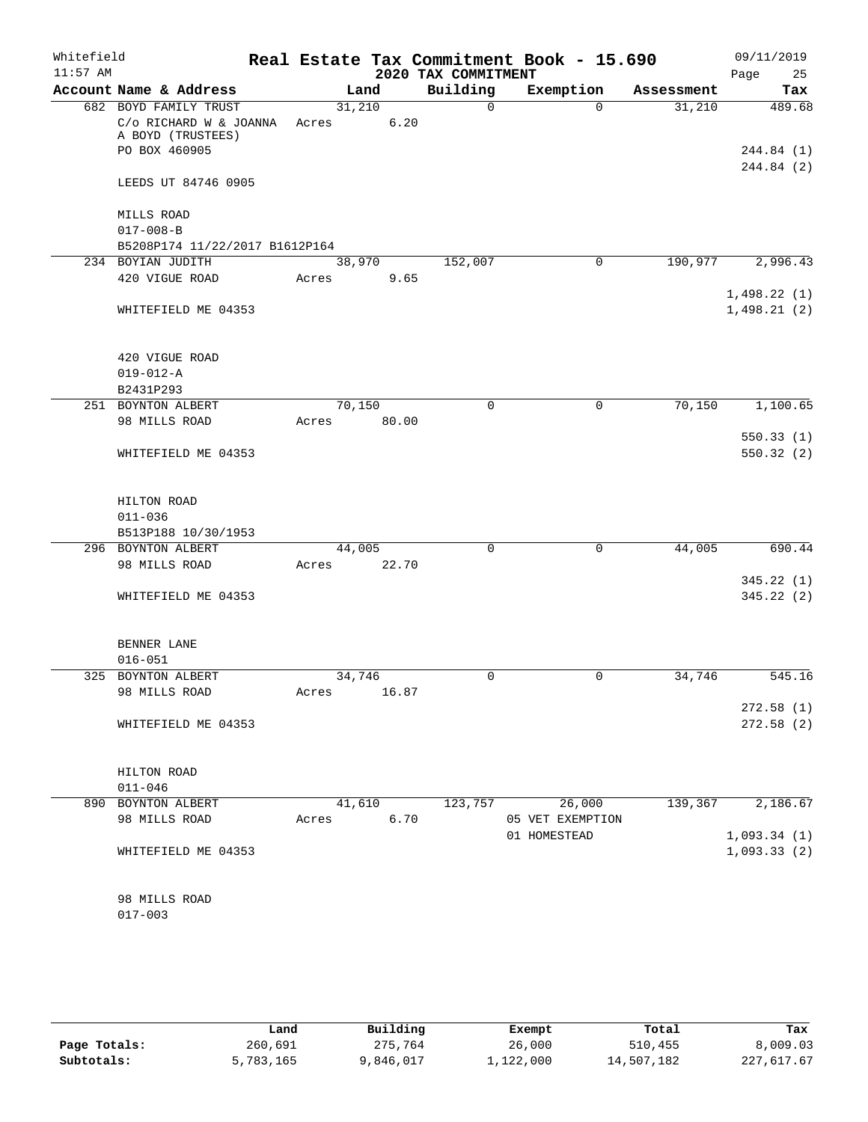| Whitefield<br>$11:57$ AM |                                                              |        |                 | 2020 TAX COMMITMENT | Real Estate Tax Commitment Book - 15.690 |            | 09/11/2019<br>Page<br>25   |
|--------------------------|--------------------------------------------------------------|--------|-----------------|---------------------|------------------------------------------|------------|----------------------------|
|                          | Account Name & Address                                       |        | Land            | Building            | Exemption                                | Assessment | Tax                        |
|                          | 682 BOYD FAMILY TRUST                                        |        | 31,210          | $\Omega$            | $\Omega$                                 | 31,210     | 489.68                     |
|                          | C/o RICHARD W & JOANNA<br>A BOYD (TRUSTEES)<br>PO BOX 460905 | Acres  | 6.20            |                     |                                          |            | 244.84 (1)                 |
|                          | LEEDS UT 84746 0905                                          |        |                 |                     |                                          |            | 244.84 (2)                 |
|                          | MILLS ROAD                                                   |        |                 |                     |                                          |            |                            |
|                          | $017 - 008 - B$                                              |        |                 |                     |                                          |            |                            |
|                          | B5208P174 11/22/2017 B1612P164                               |        |                 |                     |                                          |            |                            |
|                          | 234 BOYIAN JUDITH                                            |        | 38,970          | 152,007             | 0                                        | 190,977    | 2,996.43                   |
|                          | 420 VIGUE ROAD                                               | Acres  | 9.65            |                     |                                          |            |                            |
|                          | WHITEFIELD ME 04353                                          |        |                 |                     |                                          |            | 1,498.22(1)<br>1,498.21(2) |
|                          | 420 VIGUE ROAD                                               |        |                 |                     |                                          |            |                            |
|                          | $019 - 012 - A$                                              |        |                 |                     |                                          |            |                            |
|                          | B2431P293                                                    |        |                 |                     |                                          |            |                            |
|                          | 251 BOYNTON ALBERT                                           | 70,150 |                 | 0                   | 0                                        | 70,150     | 1,100.65                   |
|                          | 98 MILLS ROAD                                                | Acres  | 80.00           |                     |                                          |            |                            |
|                          |                                                              |        |                 |                     |                                          |            | 550.33(1)                  |
|                          | WHITEFIELD ME 04353                                          |        |                 |                     |                                          |            | 550.32(2)                  |
|                          | HILTON ROAD<br>$011 - 036$<br>B513P188 10/30/1953            |        |                 |                     |                                          |            |                            |
|                          | 296 BOYNTON ALBERT                                           |        | 44,005          | 0                   | $\mathbf 0$                              | 44,005     | 690.44                     |
|                          | 98 MILLS ROAD                                                | Acres  | 22.70           |                     |                                          |            |                            |
|                          | WHITEFIELD ME 04353                                          |        |                 |                     |                                          |            | 345.22(1)<br>345.22(2)     |
|                          | BENNER LANE                                                  |        |                 |                     |                                          |            |                            |
|                          | $016 - 051$                                                  |        |                 |                     |                                          |            |                            |
|                          | 325 BOYNTON ALBERT<br>98 MILLS ROAD                          |        | 34,746<br>16.87 | 0                   | 0                                        | 34,746     | 545.16                     |
|                          |                                                              | Acres  |                 |                     |                                          |            | 272.58(1)                  |
|                          | WHITEFIELD ME 04353                                          |        |                 |                     |                                          |            | 272.58(2)                  |
|                          | HILTON ROAD<br>$011 - 046$                                   |        |                 |                     |                                          |            |                            |
|                          | 890 BOYNTON ALBERT                                           |        | 41,610          | 123,757             | 26,000                                   | 139,367    | 2,186.67                   |
|                          | 98 MILLS ROAD                                                | Acres  | 6.70            |                     | 05 VET EXEMPTION                         |            |                            |
|                          |                                                              |        |                 |                     | 01 HOMESTEAD                             |            | 1,093.34(1)                |
|                          | WHITEFIELD ME 04353                                          |        |                 |                     |                                          |            | 1,093.33(2)                |
|                          | 98 MILLS ROAD<br>$017 - 003$                                 |        |                 |                     |                                          |            |                            |
|                          |                                                              |        |                 |                     |                                          |            |                            |

|              | Land      | Building  | Exempt    | Total      | Tax        |
|--------------|-----------|-----------|-----------|------------|------------|
| Page Totals: | 260,691   | 275,764   | 26,000    | 510,455    | 8,009.03   |
| Subtotals:   | 5,783,165 | 9,846,017 | 1,122,000 | 14,507,182 | 227,617.67 |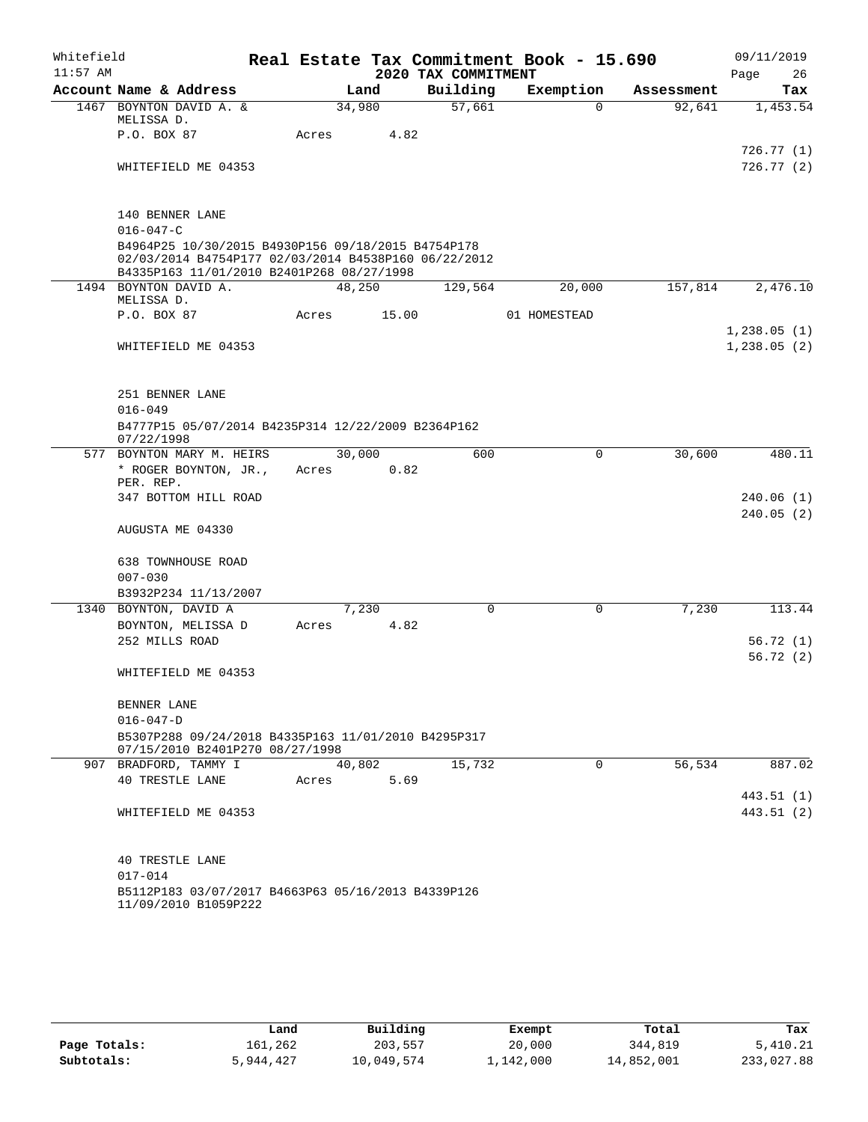| Whitefield |                                                                                                                                                         |  |        |       |                     | Real Estate Tax Commitment Book - 15.690 |            | 09/11/2019              |
|------------|---------------------------------------------------------------------------------------------------------------------------------------------------------|--|--------|-------|---------------------|------------------------------------------|------------|-------------------------|
| $11:57$ AM |                                                                                                                                                         |  |        |       | 2020 TAX COMMITMENT |                                          |            | Page<br>26              |
|            | Account Name & Address                                                                                                                                  |  |        | Land  | Building            | Exemption                                | Assessment | Tax                     |
|            | 1467 BOYNTON DAVID A. &<br>MELISSA D.                                                                                                                   |  | 34,980 |       | 57,661              | $\Omega$                                 | 92,641     | 1,453.54                |
|            | P.O. BOX 87                                                                                                                                             |  | Acres  | 4.82  |                     |                                          |            |                         |
|            | WHITEFIELD ME 04353                                                                                                                                     |  |        |       |                     |                                          |            | 726.77(1)<br>726.77 (2) |
|            |                                                                                                                                                         |  |        |       |                     |                                          |            |                         |
|            | 140 BENNER LANE                                                                                                                                         |  |        |       |                     |                                          |            |                         |
|            | $016 - 047 - C$                                                                                                                                         |  |        |       |                     |                                          |            |                         |
|            | B4964P25 10/30/2015 B4930P156 09/18/2015 B4754P178<br>02/03/2014 B4754P177 02/03/2014 B4538P160 06/22/2012<br>B4335P163 11/01/2010 B2401P268 08/27/1998 |  |        |       |                     |                                          |            |                         |
|            | 1494 BOYNTON DAVID A.<br>MELISSA D.                                                                                                                     |  | 48,250 |       | 129,564             | 20,000                                   | 157,814    | 2,476.10                |
|            | P.O. BOX 87                                                                                                                                             |  | Acres  | 15.00 |                     | 01 HOMESTEAD                             |            |                         |
|            |                                                                                                                                                         |  |        |       |                     |                                          |            | 1,238.05(1)             |
|            | WHITEFIELD ME 04353                                                                                                                                     |  |        |       |                     |                                          |            | 1,238.05(2)             |
|            | 251 BENNER LANE                                                                                                                                         |  |        |       |                     |                                          |            |                         |
|            | $016 - 049$                                                                                                                                             |  |        |       |                     |                                          |            |                         |
|            | B4777P15 05/07/2014 B4235P314 12/22/2009 B2364P162<br>07/22/1998                                                                                        |  |        |       |                     |                                          |            |                         |
|            | 577 BOYNTON MARY M. HEIRS                                                                                                                               |  | 30,000 |       | 600                 | 0                                        | 30,600     | 480.11                  |
|            | * ROGER BOYNTON, JR.,<br>PER. REP.                                                                                                                      |  | Acres  | 0.82  |                     |                                          |            |                         |
|            | 347 BOTTOM HILL ROAD                                                                                                                                    |  |        |       |                     |                                          |            | 240.06 (1)              |
|            | AUGUSTA ME 04330                                                                                                                                        |  |        |       |                     |                                          |            | 240.05(2)               |
|            | <b>638 TOWNHOUSE ROAD</b>                                                                                                                               |  |        |       |                     |                                          |            |                         |
|            | $007 - 030$                                                                                                                                             |  |        |       |                     |                                          |            |                         |
|            | B3932P234 11/13/2007                                                                                                                                    |  |        |       |                     |                                          |            |                         |
|            | 1340 BOYNTON, DAVID A                                                                                                                                   |  | 7,230  |       | 0                   | $\mathbf 0$                              | 7,230      | 113.44                  |
|            | BOYNTON, MELISSA D                                                                                                                                      |  | Acres  | 4.82  |                     |                                          |            |                         |
|            | 252 MILLS ROAD                                                                                                                                          |  |        |       |                     |                                          |            | 56.72(1)                |
|            | WHITEFIELD ME 04353                                                                                                                                     |  |        |       |                     |                                          |            | 56.72(2)                |
|            |                                                                                                                                                         |  |        |       |                     |                                          |            |                         |
|            | BENNER LANE<br>$016 - 047 - D$                                                                                                                          |  |        |       |                     |                                          |            |                         |
|            | B5307P288 09/24/2018 B4335P163 11/01/2010 B4295P317<br>07/15/2010 B2401P270 08/27/1998                                                                  |  |        |       |                     |                                          |            |                         |
|            | 907 BRADFORD, TAMMY I                                                                                                                                   |  | 40,802 |       | 15,732              | $\Omega$                                 | 56,534     | 887.02                  |
|            | 40 TRESTLE LANE                                                                                                                                         |  | Acres  | 5.69  |                     |                                          |            |                         |
|            |                                                                                                                                                         |  |        |       |                     |                                          |            | 443.51 (1)              |
|            | WHITEFIELD ME 04353                                                                                                                                     |  |        |       |                     |                                          |            | 443.51 (2)              |
|            | <b>40 TRESTLE LANE</b>                                                                                                                                  |  |        |       |                     |                                          |            |                         |
|            | $017 - 014$                                                                                                                                             |  |        |       |                     |                                          |            |                         |
|            | B5112P183 03/07/2017 B4663P63 05/16/2013 B4339P126<br>11/09/2010 B1059P222                                                                              |  |        |       |                     |                                          |            |                         |

|              | Land      | Building   | Exempt    | Total      | Tax        |
|--------------|-----------|------------|-----------|------------|------------|
| Page Totals: | 161,262   | 203,557    | 20,000    | 344,819    | 5,410.21   |
| Subtotals:   | 5,944,427 | 10,049,574 | 1,142,000 | 14,852,001 | 233,027.88 |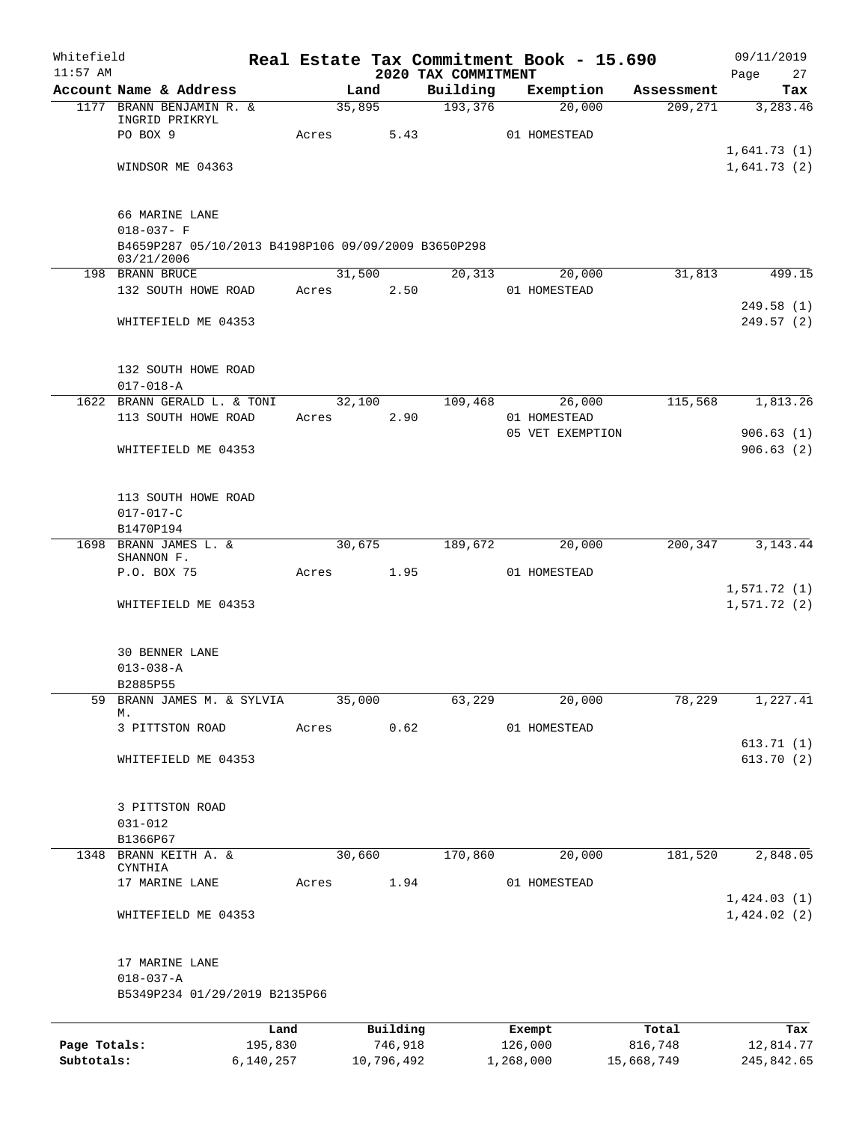| Whitefield<br>$11:57$ AM   |                                                                   |                      |            |         | 2020 TAX COMMITMENT | Real Estate Tax Commitment Book - 15.690 |                       | 09/11/2019<br>27<br>Page   |
|----------------------------|-------------------------------------------------------------------|----------------------|------------|---------|---------------------|------------------------------------------|-----------------------|----------------------------|
|                            | Account Name & Address                                            |                      | Land       |         | Building            | Exemption                                | Assessment            | Tax                        |
|                            | 1177 BRANN BENJAMIN R. &                                          |                      | 35,895     |         | 193,376             | 20,000                                   | 209,271               | 3,283.46                   |
|                            | INGRID PRIKRYL                                                    |                      |            |         |                     |                                          |                       |                            |
|                            | PO BOX 9                                                          | Acres                |            | 5.43    |                     | 01 HOMESTEAD                             |                       | 1,641.73(1)                |
|                            | WINDSOR ME 04363                                                  |                      |            |         |                     |                                          |                       | 1,641.73(2)                |
|                            |                                                                   |                      |            |         |                     |                                          |                       |                            |
|                            | 66 MARINE LANE                                                    |                      |            |         |                     |                                          |                       |                            |
|                            | $018 - 037 - F$                                                   |                      |            |         |                     |                                          |                       |                            |
|                            | B4659P287 05/10/2013 B4198P106 09/09/2009 B3650P298<br>03/21/2006 |                      |            |         |                     |                                          |                       |                            |
|                            | 198 BRANN BRUCE                                                   |                      | 31,500     |         | 20,313              | 20,000                                   | 31,813                | 499.15                     |
|                            | 132 SOUTH HOWE ROAD                                               | Acres                |            | 2.50    |                     | 01 HOMESTEAD                             |                       |                            |
|                            |                                                                   |                      |            |         |                     |                                          |                       | 249.58 (1)                 |
|                            | WHITEFIELD ME 04353                                               |                      |            |         |                     |                                          |                       | 249.57(2)                  |
|                            | 132 SOUTH HOWE ROAD                                               |                      |            |         |                     |                                          |                       |                            |
|                            | $017 - 018 - A$                                                   |                      |            |         |                     |                                          |                       |                            |
|                            | 1622 BRANN GERALD L. & TONI                                       |                      | 32,100     |         | 109,468             | 26,000                                   | 115,568               | 1,813.26                   |
|                            | 113 SOUTH HOWE ROAD                                               | Acres                |            | 2.90    |                     | 01 HOMESTEAD                             |                       |                            |
|                            |                                                                   |                      |            |         |                     | 05 VET EXEMPTION                         |                       | 906.63(1)                  |
|                            | WHITEFIELD ME 04353                                               |                      |            |         |                     |                                          |                       | 906.63(2)                  |
|                            |                                                                   |                      |            |         |                     |                                          |                       |                            |
|                            | 113 SOUTH HOWE ROAD                                               |                      |            |         |                     |                                          |                       |                            |
|                            | $017 - 017 - C$                                                   |                      |            |         |                     |                                          |                       |                            |
|                            | B1470P194                                                         |                      |            |         |                     |                                          |                       |                            |
| 1698                       | BRANN JAMES L. &<br>SHANNON F.                                    |                      | 30,675     |         | 189,672             | 20,000                                   | 200,347               | 3, 143. 44                 |
|                            | P.O. BOX 75                                                       | Acres                |            | 1.95    |                     | 01 HOMESTEAD                             |                       |                            |
|                            |                                                                   |                      |            |         |                     |                                          |                       | 1,571.72(1)                |
|                            | WHITEFIELD ME 04353                                               |                      |            |         |                     |                                          |                       | 1,571.72(2)                |
|                            | <b>30 BENNER LANE</b>                                             |                      |            |         |                     |                                          |                       |                            |
|                            | $013 - 038 - A$                                                   |                      |            |         |                     |                                          |                       |                            |
|                            | B2885P55                                                          |                      |            |         |                     |                                          |                       |                            |
| 59                         | BRANN JAMES M. & SYLVIA                                           |                      | 35,000     |         | 63,229              | 20,000                                   | 78,229                | 1,227.41                   |
|                            | М.                                                                |                      |            |         |                     |                                          |                       |                            |
|                            | 3 PITTSTON ROAD                                                   | Acres                |            | 0.62    |                     | 01 HOMESTEAD                             |                       | 613.71(1)                  |
|                            | WHITEFIELD ME 04353                                               |                      |            |         |                     |                                          |                       | 613.70(2)                  |
|                            |                                                                   |                      |            |         |                     |                                          |                       |                            |
|                            | 3 PITTSTON ROAD                                                   |                      |            |         |                     |                                          |                       |                            |
|                            | $031 - 012$                                                       |                      |            |         |                     |                                          |                       |                            |
| 1348                       | B1366P67<br>BRANN KEITH A. &                                      |                      | 30,660     |         | 170,860             | 20,000                                   | 181,520               | 2,848.05                   |
|                            | CYNTHIA                                                           |                      |            |         |                     |                                          |                       |                            |
|                            | 17 MARINE LANE                                                    | Acres                |            | 1.94    |                     | 01 HOMESTEAD                             |                       |                            |
|                            | WHITEFIELD ME 04353                                               |                      |            |         |                     |                                          |                       | 1,424.03(1)<br>1,424.02(2) |
|                            |                                                                   |                      |            |         |                     |                                          |                       |                            |
|                            | 17 MARINE LANE                                                    |                      |            |         |                     |                                          |                       |                            |
|                            | $018 - 037 - A$                                                   |                      |            |         |                     |                                          |                       |                            |
|                            | B5349P234 01/29/2019 B2135P66                                     |                      |            |         |                     |                                          |                       |                            |
|                            |                                                                   |                      |            |         |                     |                                          |                       |                            |
|                            |                                                                   | Land                 | Building   |         |                     | Exempt                                   | Total                 | Tax                        |
| Page Totals:<br>Subtotals: |                                                                   | 195,830<br>6,140,257 | 10,796,492 | 746,918 |                     | 126,000<br>1,268,000                     | 816,748<br>15,668,749 | 12,814.77<br>245,842.65    |
|                            |                                                                   |                      |            |         |                     |                                          |                       |                            |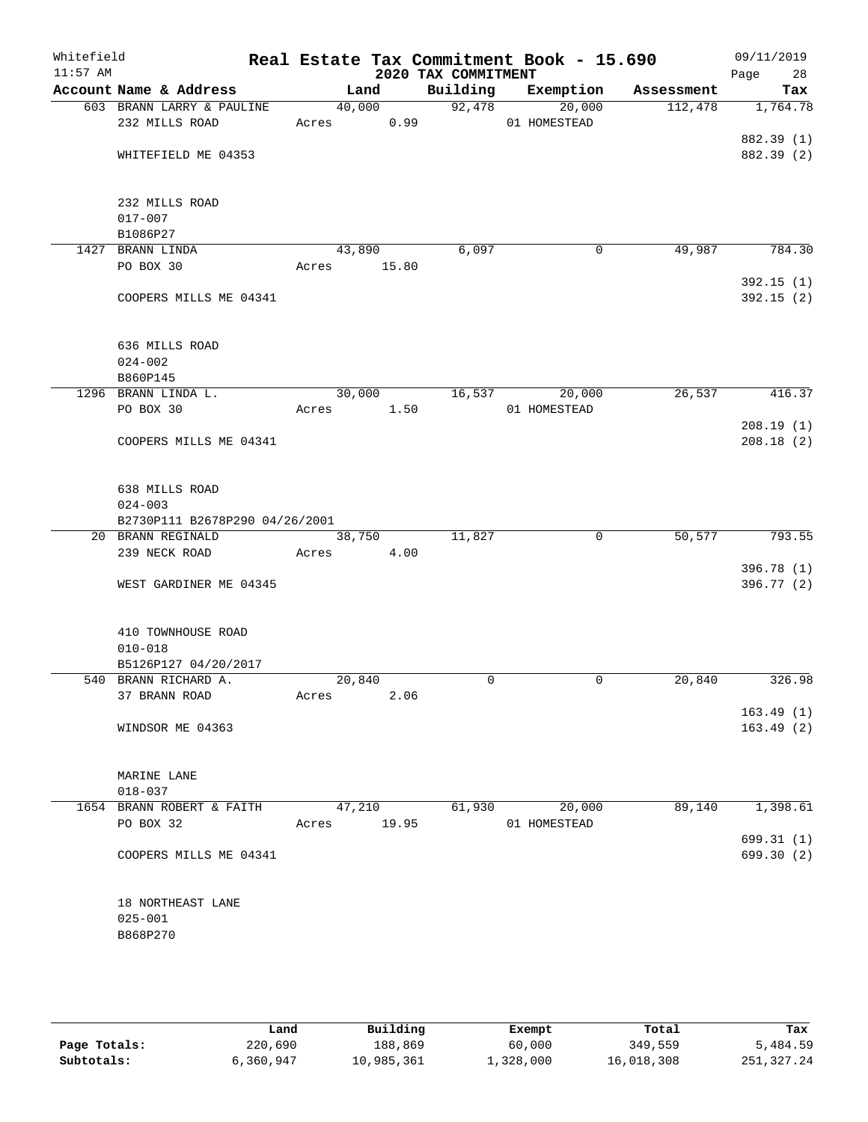| Whitefield<br>$11:57$ AM |                                |       |            | 2020 TAX COMMITMENT | Real Estate Tax Commitment Book - 15.690 |            | 09/11/2019<br>Page<br>28 |
|--------------------------|--------------------------------|-------|------------|---------------------|------------------------------------------|------------|--------------------------|
|                          | Account Name & Address         |       | Land       | Building            | Exemption                                | Assessment | Tax                      |
|                          | 603 BRANN LARRY & PAULINE      |       | 40,000     | 92,478              | 20,000                                   | 112,478    | 1,764.78                 |
|                          | 232 MILLS ROAD                 |       | Acres 0.99 |                     | 01 HOMESTEAD                             |            |                          |
|                          |                                |       |            |                     |                                          |            | 882.39 (1)               |
|                          | WHITEFIELD ME 04353            |       |            |                     |                                          |            | 882.39 (2)               |
|                          | 232 MILLS ROAD                 |       |            |                     |                                          |            |                          |
|                          | $017 - 007$                    |       |            |                     |                                          |            |                          |
|                          | B1086P27                       |       |            |                     |                                          |            |                          |
|                          | 1427 BRANN LINDA               |       | 43,890     | 6,097               | 0                                        | 49,987     | 784.30                   |
|                          | PO BOX 30                      | Acres | 15.80      |                     |                                          |            |                          |
|                          |                                |       |            |                     |                                          |            | 392.15(1)                |
|                          | COOPERS MILLS ME 04341         |       |            |                     |                                          |            | 392.15(2)                |
|                          | 636 MILLS ROAD                 |       |            |                     |                                          |            |                          |
|                          | $024 - 002$                    |       |            |                     |                                          |            |                          |
|                          | B860P145                       |       |            |                     |                                          |            |                          |
|                          | 1296 BRANN LINDA L.            |       | 30,000     |                     | 16,537<br>20,000                         | 26,537     | 416.37                   |
|                          | PO BOX 30                      | Acres | 1.50       |                     | 01 HOMESTEAD                             |            |                          |
|                          |                                |       |            |                     |                                          |            | 208.19(1)                |
|                          | COOPERS MILLS ME 04341         |       |            |                     |                                          |            | 208.18(2)                |
|                          | 638 MILLS ROAD                 |       |            |                     |                                          |            |                          |
|                          | $024 - 003$                    |       |            |                     |                                          |            |                          |
|                          | B2730P111 B2678P290 04/26/2001 |       |            |                     |                                          |            |                          |
|                          | 20 BRANN REGINALD              |       | 38,750     | 11,827              | $\mathbf 0$                              | 50,577     | 793.55                   |
|                          | 239 NECK ROAD                  | Acres | 4.00       |                     |                                          |            |                          |
|                          |                                |       |            |                     |                                          |            | 396.78 (1)               |
|                          | WEST GARDINER ME 04345         |       |            |                     |                                          |            | 396.77 (2)               |
|                          | 410 TOWNHOUSE ROAD             |       |            |                     |                                          |            |                          |
|                          | $010 - 018$                    |       |            |                     |                                          |            |                          |
|                          | B5126P127 04/20/2017           |       |            |                     |                                          |            |                          |
|                          | 540 BRANN RICHARD A.           |       | 20,840     | $\mathbf 0$         | 0                                        | 20,840     | 326.98                   |
|                          | 37 BRANN ROAD                  | Acres | 2.06       |                     |                                          |            |                          |
|                          |                                |       |            |                     |                                          |            | 163.49(1)                |
|                          | WINDSOR ME 04363               |       |            |                     |                                          |            | 163.49(2)                |
|                          |                                |       |            |                     |                                          |            |                          |
|                          | MARINE LANE                    |       |            |                     |                                          |            |                          |
|                          | $018 - 037$                    |       |            |                     |                                          |            |                          |
|                          | 1654 BRANN ROBERT & FAITH      |       | 47,210     | 61,930              | 20,000                                   | 89,140     | 1,398.61                 |
|                          | PO BOX 32                      | Acres | 19.95      |                     | 01 HOMESTEAD                             |            |                          |
|                          |                                |       |            |                     |                                          |            | 699.31(1)                |
|                          | COOPERS MILLS ME 04341         |       |            |                     |                                          |            | 699.30 (2)               |
|                          | 18 NORTHEAST LANE              |       |            |                     |                                          |            |                          |
|                          | $025 - 001$                    |       |            |                     |                                          |            |                          |
|                          | B868P270                       |       |            |                     |                                          |            |                          |
|                          |                                |       |            |                     |                                          |            |                          |
|                          |                                |       |            |                     |                                          |            |                          |
|                          |                                |       |            |                     |                                          |            |                          |

|              | Land      | Building   | Exempt    | Total      | Tax        |
|--------------|-----------|------------|-----------|------------|------------|
| Page Totals: | 220,690   | 188,869    | 60,000    | 349,559    | 5,484.59   |
| Subtotals:   | 6,360,947 | 10,985,361 | 1,328,000 | 16,018,308 | 251,327.24 |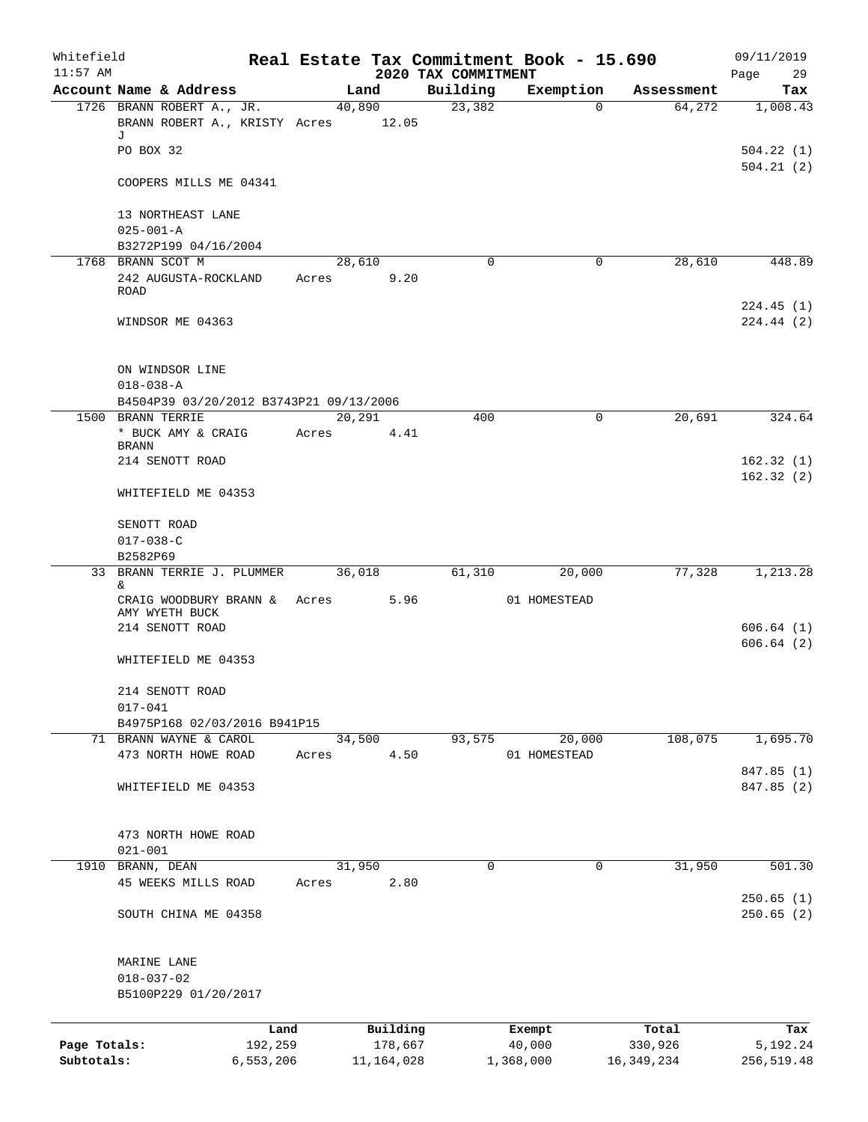| Whitefield   |                                          |           |       |              |                                 | Real Estate Tax Commitment Book - 15.690 |            | 09/11/2019              |
|--------------|------------------------------------------|-----------|-------|--------------|---------------------------------|------------------------------------------|------------|-------------------------|
| $11:57$ AM   | Account Name & Address                   |           |       | Land         | 2020 TAX COMMITMENT<br>Building | Exemption                                | Assessment | Page<br>29<br>Tax       |
|              | 1726 BRANN ROBERT A., JR.                |           |       | 40,890       | 23,382                          | 0                                        | 64,272     | 1,008.43                |
|              | BRANN ROBERT A., KRISTY Acres 12.05      |           |       |              |                                 |                                          |            |                         |
|              | J                                        |           |       |              |                                 |                                          |            |                         |
|              | PO BOX 32                                |           |       |              |                                 |                                          |            | 504.22(1)               |
|              | COOPERS MILLS ME 04341                   |           |       |              |                                 |                                          |            | 504.21(2)               |
|              | 13 NORTHEAST LANE                        |           |       |              |                                 |                                          |            |                         |
|              | $025 - 001 - A$                          |           |       |              |                                 |                                          |            |                         |
|              | B3272P199 04/16/2004                     |           |       |              |                                 |                                          |            |                         |
|              | 1768 BRANN SCOT M                        |           |       | 28,610       | 0                               | 0                                        | 28,610     | 448.89                  |
|              | 242 AUGUSTA-ROCKLAND<br>ROAD             |           | Acres | 9.20         |                                 |                                          |            |                         |
|              | WINDSOR ME 04363                         |           |       |              |                                 |                                          |            | 224.45(1)<br>224.44 (2) |
|              | ON WINDSOR LINE                          |           |       |              |                                 |                                          |            |                         |
|              | $018 - 038 - A$                          |           |       |              |                                 |                                          |            |                         |
|              | B4504P39 03/20/2012 B3743P21 09/13/2006  |           |       |              |                                 |                                          |            |                         |
|              | 1500 BRANN TERRIE                        |           |       | 20,291       | 400                             | 0                                        | 20,691     | 324.64                  |
|              | * BUCK AMY & CRAIG                       |           | Acres | 4.41         |                                 |                                          |            |                         |
|              | <b>BRANN</b><br>214 SENOTT ROAD          |           |       |              |                                 |                                          |            | 162.32(1)               |
|              | WHITEFIELD ME 04353                      |           |       |              |                                 |                                          |            | 162.32(2)               |
|              |                                          |           |       |              |                                 |                                          |            |                         |
|              | SENOTT ROAD                              |           |       |              |                                 |                                          |            |                         |
|              | $017 - 038 - C$                          |           |       |              |                                 |                                          |            |                         |
|              | B2582P69                                 |           |       |              |                                 |                                          |            |                         |
|              | 33 BRANN TERRIE J. PLUMMER<br>&          |           |       | 36,018       | 61,310                          | 20,000                                   | 77,328     | 1,213.28                |
|              | CRAIG WOODBURY BRANN &<br>AMY WYETH BUCK |           | Acres | 5.96         |                                 | 01 HOMESTEAD                             |            |                         |
|              | 214 SENOTT ROAD                          |           |       |              |                                 |                                          |            | 606.64(1)               |
|              | WHITEFIELD ME 04353                      |           |       |              |                                 |                                          |            | 606.64(2)               |
|              | 214 SENOTT ROAD                          |           |       |              |                                 |                                          |            |                         |
|              | $017 - 041$                              |           |       |              |                                 |                                          |            |                         |
|              | B4975P168 02/03/2016 B941P15             |           |       |              |                                 |                                          |            |                         |
|              | 71 BRANN WAYNE & CAROL                   |           |       | 34,500       | 93,575                          | 20,000                                   | 108,075    | 1,695.70                |
|              | 473 NORTH HOWE ROAD                      |           | Acres | 4.50         |                                 | 01 HOMESTEAD                             |            |                         |
|              |                                          |           |       |              |                                 |                                          |            | 847.85 (1)              |
|              | WHITEFIELD ME 04353                      |           |       |              |                                 |                                          |            | 847.85 (2)              |
|              | 473 NORTH HOWE ROAD                      |           |       |              |                                 |                                          |            |                         |
|              | $021 - 001$                              |           |       |              |                                 |                                          |            |                         |
|              | 1910 BRANN, DEAN                         |           |       | 31,950       | $\Omega$                        | 0                                        | 31,950     | 501.30                  |
|              | 45 WEEKS MILLS ROAD                      |           | Acres | 2.80         |                                 |                                          |            |                         |
|              | SOUTH CHINA ME 04358                     |           |       |              |                                 |                                          |            | 250.65(1)<br>250.65(2)  |
|              |                                          |           |       |              |                                 |                                          |            |                         |
|              | MARINE LANE                              |           |       |              |                                 |                                          |            |                         |
|              | $018 - 037 - 02$<br>B5100P229 01/20/2017 |           |       |              |                                 |                                          |            |                         |
|              |                                          | Land      |       | Building     |                                 | Exempt                                   | Total      | Tax                     |
| Page Totals: |                                          | 192,259   |       | 178,667      |                                 | 40,000                                   | 330,926    | 5,192.24                |
| Subtotals:   |                                          | 6,553,206 |       | 11, 164, 028 |                                 | 1,368,000                                | 16,349,234 | 256,519.48              |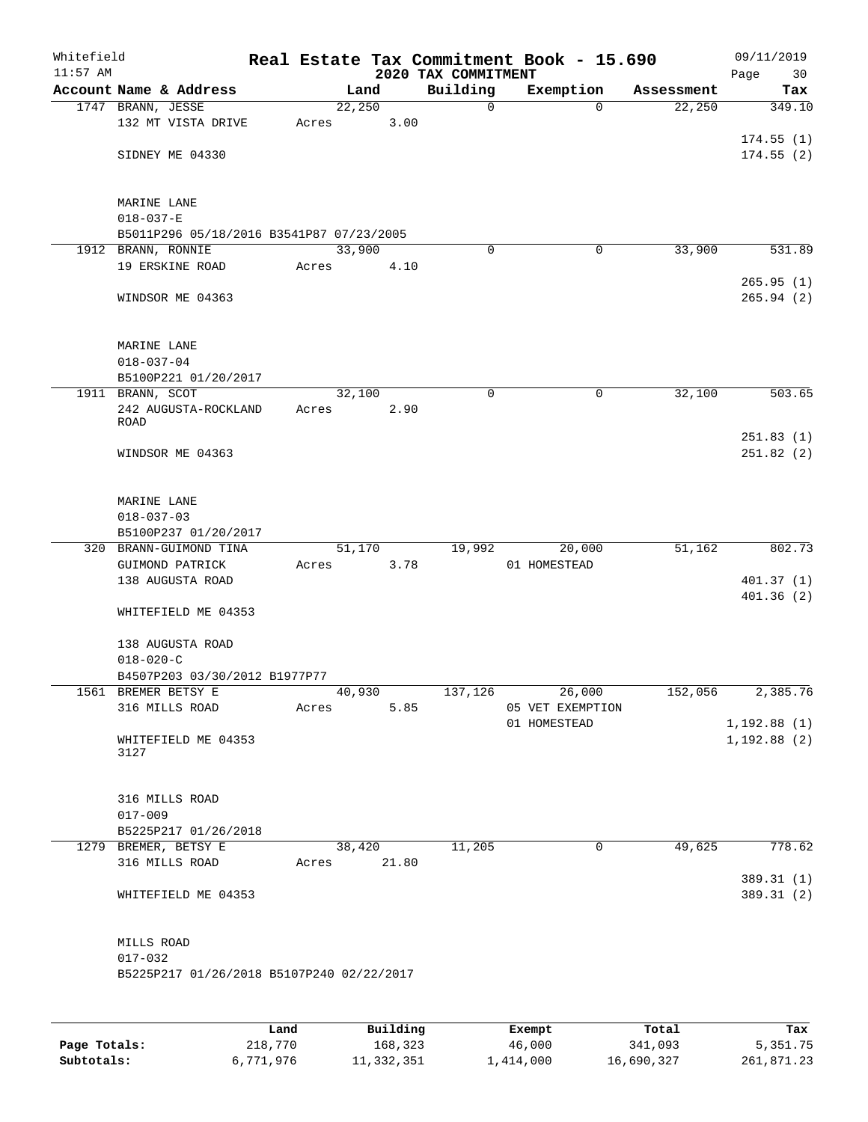| Whitefield<br>$11:57$ AM |                                           |       |        |       | 2020 TAX COMMITMENT | Real Estate Tax Commitment Book - 15.690 |            | 09/11/2019<br>Page<br>30 |
|--------------------------|-------------------------------------------|-------|--------|-------|---------------------|------------------------------------------|------------|--------------------------|
|                          | Account Name & Address                    |       | Land   |       | Building            | Exemption                                | Assessment | Tax                      |
|                          | 1747 BRANN, JESSE                         |       | 22,250 |       | $\mathbf 0$         | $\mathbf 0$                              | 22,250     | 349.10                   |
|                          | 132 MT VISTA DRIVE                        | Acres |        | 3.00  |                     |                                          |            |                          |
|                          |                                           |       |        |       |                     |                                          |            | 174.55(1)                |
|                          | SIDNEY ME 04330                           |       |        |       |                     |                                          |            | 174.55(2)                |
|                          |                                           |       |        |       |                     |                                          |            |                          |
|                          |                                           |       |        |       |                     |                                          |            |                          |
|                          | MARINE LANE                               |       |        |       |                     |                                          |            |                          |
|                          | $018 - 037 - E$                           |       |        |       |                     |                                          |            |                          |
|                          | B5011P296 05/18/2016 B3541P87 07/23/2005  |       |        |       |                     |                                          |            |                          |
|                          | 1912 BRANN, RONNIE<br>19 ERSKINE ROAD     |       | 33,900 |       | 0                   | 0                                        | 33,900     | 531.89                   |
|                          |                                           | Acres |        | 4.10  |                     |                                          |            | 265.95(1)                |
|                          | WINDSOR ME 04363                          |       |        |       |                     |                                          |            | 265.94(2)                |
|                          |                                           |       |        |       |                     |                                          |            |                          |
|                          |                                           |       |        |       |                     |                                          |            |                          |
|                          | MARINE LANE                               |       |        |       |                     |                                          |            |                          |
|                          | $018 - 037 - 04$                          |       |        |       |                     |                                          |            |                          |
|                          | B5100P221 01/20/2017                      |       |        |       |                     |                                          |            |                          |
|                          | 1911 BRANN, SCOT                          |       | 32,100 |       | 0                   | 0                                        | 32,100     | 503.65                   |
|                          | 242 AUGUSTA-ROCKLAND                      | Acres |        | 2.90  |                     |                                          |            |                          |
|                          | ROAD                                      |       |        |       |                     |                                          |            |                          |
|                          |                                           |       |        |       |                     |                                          |            | 251.83(1)                |
|                          | WINDSOR ME 04363                          |       |        |       |                     |                                          |            | 251.82(2)                |
|                          |                                           |       |        |       |                     |                                          |            |                          |
|                          | MARINE LANE                               |       |        |       |                     |                                          |            |                          |
|                          | $018 - 037 - 03$                          |       |        |       |                     |                                          |            |                          |
|                          | B5100P237 01/20/2017                      |       |        |       |                     |                                          |            |                          |
|                          | 320 BRANN-GUIMOND TINA                    |       | 51,170 |       | 19,992              | 20,000                                   | 51,162     | 802.73                   |
|                          | GUIMOND PATRICK                           | Acres |        | 3.78  |                     | 01 HOMESTEAD                             |            |                          |
|                          | 138 AUGUSTA ROAD                          |       |        |       |                     |                                          |            | 401.37(1)                |
|                          |                                           |       |        |       |                     |                                          |            | 401.36(2)                |
|                          | WHITEFIELD ME 04353                       |       |        |       |                     |                                          |            |                          |
|                          |                                           |       |        |       |                     |                                          |            |                          |
|                          | 138 AUGUSTA ROAD                          |       |        |       |                     |                                          |            |                          |
|                          | $018 - 020 - C$                           |       |        |       |                     |                                          |            |                          |
|                          | B4507P203 03/30/2012 B1977P77             |       |        |       |                     |                                          |            |                          |
|                          | 1561 BREMER BETSY E<br>316 MILLS ROAD     |       | 40,930 |       | 137,126             | 26,000<br>05 VET EXEMPTION               | 152,056    | 2,385.76                 |
|                          |                                           | Acres |        | 5.85  |                     | 01 HOMESTEAD                             |            | 1, 192.88(1)             |
|                          | WHITEFIELD ME 04353                       |       |        |       |                     |                                          |            | 1, 192.88(2)             |
|                          | 3127                                      |       |        |       |                     |                                          |            |                          |
|                          |                                           |       |        |       |                     |                                          |            |                          |
|                          |                                           |       |        |       |                     |                                          |            |                          |
|                          | 316 MILLS ROAD                            |       |        |       |                     |                                          |            |                          |
|                          | $017 - 009$                               |       |        |       |                     |                                          |            |                          |
|                          | B5225P217 01/26/2018                      |       |        |       |                     |                                          |            |                          |
|                          | 1279 BREMER, BETSY E                      |       | 38,420 |       | 11,205              | 0                                        | 49,625     | 778.62                   |
|                          | 316 MILLS ROAD                            | Acres |        | 21.80 |                     |                                          |            |                          |
|                          |                                           |       |        |       |                     |                                          |            | 389.31 (1)               |
|                          | WHITEFIELD ME 04353                       |       |        |       |                     |                                          |            | 389.31 (2)               |
|                          |                                           |       |        |       |                     |                                          |            |                          |
|                          | MILLS ROAD                                |       |        |       |                     |                                          |            |                          |
|                          | $017 - 032$                               |       |        |       |                     |                                          |            |                          |
|                          | B5225P217 01/26/2018 B5107P240 02/22/2017 |       |        |       |                     |                                          |            |                          |
|                          |                                           |       |        |       |                     |                                          |            |                          |
|                          |                                           |       |        |       |                     |                                          |            |                          |
|                          |                                           |       |        |       |                     |                                          |            |                          |

|              | Land      | Building   | Exempt    | Total      | Tax        |
|--------------|-----------|------------|-----------|------------|------------|
| Page Totals: | 218,770   | 168,323    | 46,000    | 341,093    | 5, 351. 75 |
| Subtotals:   | 6,771,976 | 11,332,351 | 1,414,000 | 16,690,327 | 261,871.23 |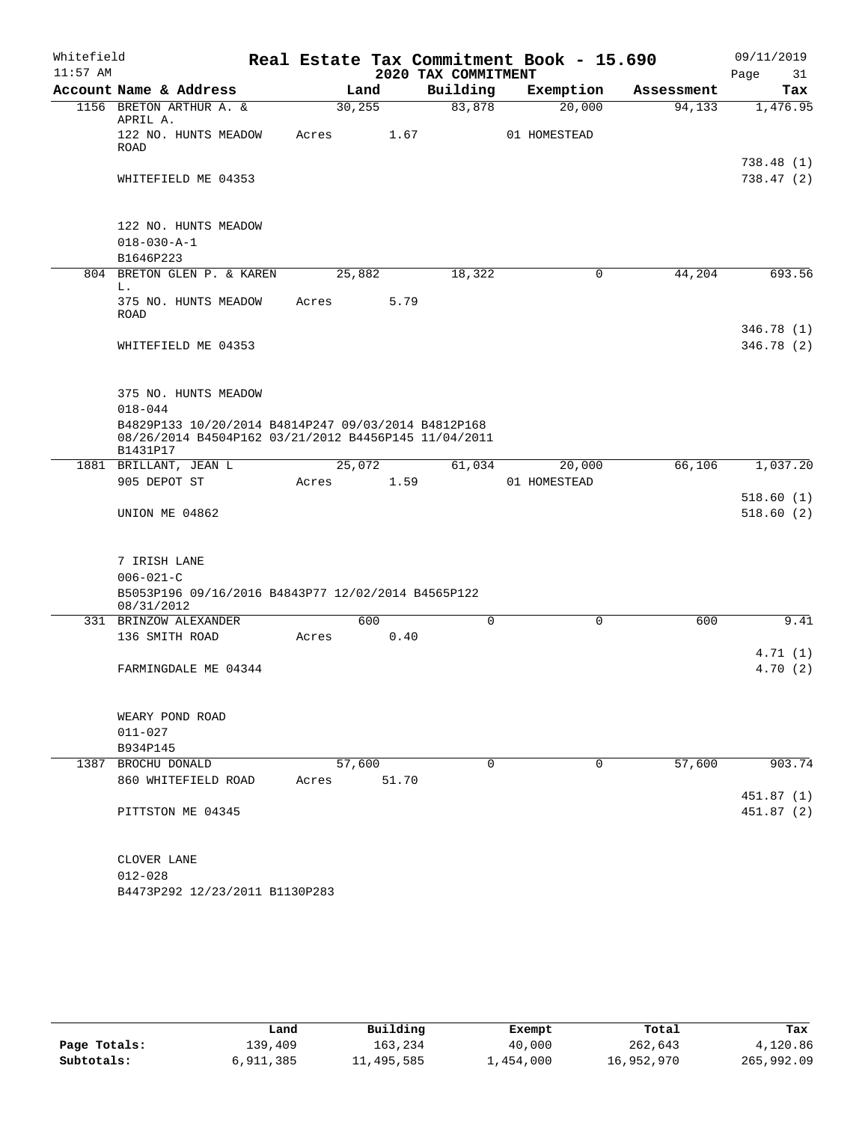| Whitefield |                                                                                                                         |                 |       |                                 | Real Estate Tax Commitment Book - 15.690 |                      | 09/11/2019              |
|------------|-------------------------------------------------------------------------------------------------------------------------|-----------------|-------|---------------------------------|------------------------------------------|----------------------|-------------------------|
| $11:57$ AM | Account Name & Address                                                                                                  |                 |       | 2020 TAX COMMITMENT<br>Building | Exemption                                |                      | Page<br>31              |
|            | 1156 BRETON ARTHUR A. &                                                                                                 | 30, 255         | Land  | 83,878                          | 20,000                                   | Assessment<br>94,133 | Tax<br>1,476.95         |
|            | APRIL A.                                                                                                                |                 |       |                                 |                                          |                      |                         |
|            | 122 NO. HUNTS MEADOW<br><b>ROAD</b>                                                                                     | Acres           | 1.67  |                                 | 01 HOMESTEAD                             |                      |                         |
|            | WHITEFIELD ME 04353                                                                                                     |                 |       |                                 |                                          |                      | 738.48 (1)<br>738.47(2) |
|            |                                                                                                                         |                 |       |                                 |                                          |                      |                         |
|            | 122 NO. HUNTS MEADOW<br>$018 - 030 - A - 1$                                                                             |                 |       |                                 |                                          |                      |                         |
|            | B1646P223                                                                                                               |                 |       |                                 |                                          |                      |                         |
|            | 804 BRETON GLEN P. & KAREN<br>L.                                                                                        | 25,882          |       | 18,322                          | 0                                        | 44,204               | 693.56                  |
|            | 375 NO. HUNTS MEADOW<br><b>ROAD</b>                                                                                     | Acres           | 5.79  |                                 |                                          |                      |                         |
|            |                                                                                                                         |                 |       |                                 |                                          |                      | 346.78 (1)              |
|            | WHITEFIELD ME 04353                                                                                                     |                 |       |                                 |                                          |                      | 346.78 (2)              |
|            | 375 NO. HUNTS MEADOW                                                                                                    |                 |       |                                 |                                          |                      |                         |
|            | $018 - 044$                                                                                                             |                 |       |                                 |                                          |                      |                         |
|            | B4829P133 10/20/2014 B4814P247 09/03/2014 B4812P168<br>08/26/2014 B4504P162 03/21/2012 B4456P145 11/04/2011<br>B1431P17 |                 |       |                                 |                                          |                      |                         |
|            | 1881 BRILLANT, JEAN L                                                                                                   | 25,072          |       | 61,034                          | 20,000                                   | 66,106               | 1,037.20                |
|            | 905 DEPOT ST                                                                                                            | Acres           | 1.59  |                                 | 01 HOMESTEAD                             |                      |                         |
|            | UNION ME 04862                                                                                                          |                 |       |                                 |                                          |                      | 518.60(1)<br>518.60(2)  |
|            |                                                                                                                         |                 |       |                                 |                                          |                      |                         |
|            | 7 IRISH LANE                                                                                                            |                 |       |                                 |                                          |                      |                         |
|            | $006 - 021 - C$<br>B5053P196 09/16/2016 B4843P77 12/02/2014 B4565P122                                                   |                 |       |                                 |                                          |                      |                         |
|            | 08/31/2012                                                                                                              |                 |       |                                 |                                          |                      |                         |
|            | 331 BRINZOW ALEXANDER                                                                                                   |                 | 600   | $\mathbf 0$                     | $\mathbf 0$                              | 600                  | 9.41                    |
|            | 136 SMITH ROAD                                                                                                          | Acres           | 0.40  |                                 |                                          |                      | 4.71(1)                 |
|            | FARMINGDALE ME 04344                                                                                                    |                 |       |                                 |                                          |                      | 4.70(2)                 |
|            | WEARY POND ROAD                                                                                                         |                 |       |                                 |                                          |                      |                         |
|            | $011 - 027$                                                                                                             |                 |       |                                 |                                          |                      |                         |
|            | B934P145                                                                                                                |                 |       |                                 |                                          |                      |                         |
|            | 1387 BROCHU DONALD<br>860 WHITEFIELD ROAD                                                                               | 57,600<br>Acres | 51.70 | 0                               | $\mathbf 0$                              | 57,600               | 903.74                  |
|            |                                                                                                                         |                 |       |                                 |                                          |                      | 451.87 (1)              |
|            | PITTSTON ME 04345                                                                                                       |                 |       |                                 |                                          |                      | 451.87(2)               |
|            | CLOVER LANE                                                                                                             |                 |       |                                 |                                          |                      |                         |
|            | $012 - 028$                                                                                                             |                 |       |                                 |                                          |                      |                         |
|            | B4473P292 12/23/2011 B1130P283                                                                                          |                 |       |                                 |                                          |                      |                         |

|              | Land      | Building   | Exempt    | Total      | Tax        |
|--------------|-----------|------------|-----------|------------|------------|
| Page Totals: | 139,409   | 163,234    | 40,000    | 262,643    | 4,120.86   |
| Subtotals:   | 6,911,385 | 11,495,585 | 1,454,000 | 16,952,970 | 265,992.09 |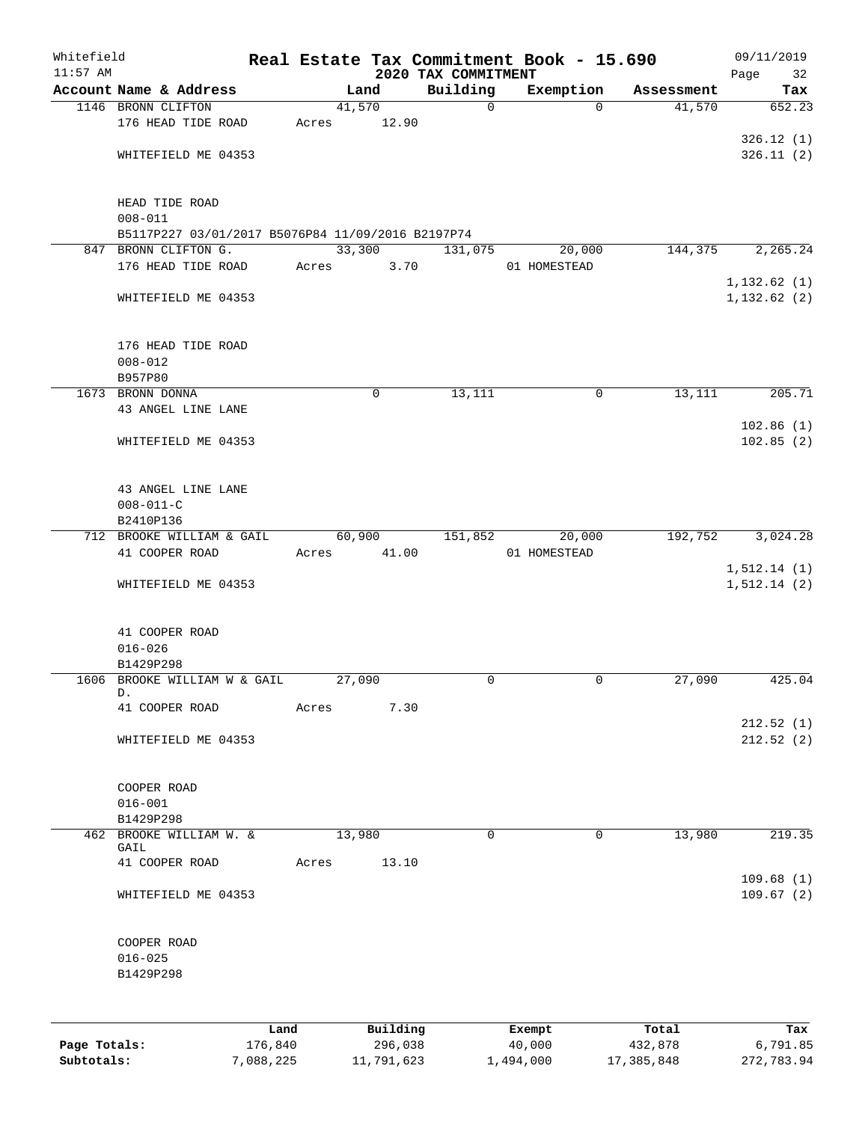| Whitefield<br>$11:57$ AM |                      |                                                   |       |          | 2020 TAX COMMITMENT | Real Estate Tax Commitment Book - 15.690 |            | 09/11/2019<br>Page<br>32 |
|--------------------------|----------------------|---------------------------------------------------|-------|----------|---------------------|------------------------------------------|------------|--------------------------|
|                          |                      | Account Name & Address                            |       | Land     | Building            | Exemption                                | Assessment | Tax                      |
|                          | 1146 BRONN CLIFTON   |                                                   |       | 41,570   | $\mathbf 0$         | $\Omega$                                 | 41,570     | 652.23                   |
|                          |                      | 176 HEAD TIDE ROAD                                | Acres | 12.90    |                     |                                          |            |                          |
|                          |                      |                                                   |       |          |                     |                                          |            | 326.12(1)                |
|                          |                      | WHITEFIELD ME 04353                               |       |          |                     |                                          |            | 326.11(2)                |
|                          |                      |                                                   |       |          |                     |                                          |            |                          |
|                          | HEAD TIDE ROAD       |                                                   |       |          |                     |                                          |            |                          |
|                          | $008 - 011$          |                                                   |       |          |                     |                                          |            |                          |
|                          |                      | B5117P227 03/01/2017 B5076P84 11/09/2016 B2197P74 |       |          |                     |                                          |            |                          |
|                          | 847 BRONN CLIFTON G. |                                                   |       | 33,300   | 131,075             | 20,000                                   | 144,375    | 2,265.24                 |
|                          |                      | 176 HEAD TIDE ROAD                                | Acres | 3.70     |                     | 01 HOMESTEAD                             |            |                          |
|                          |                      |                                                   |       |          |                     |                                          |            | 1, 132.62(1)             |
|                          |                      | WHITEFIELD ME 04353                               |       |          |                     |                                          |            | 1, 132.62(2)             |
|                          |                      | 176 HEAD TIDE ROAD                                |       |          |                     |                                          |            |                          |
|                          | $008 - 012$          |                                                   |       |          |                     |                                          |            |                          |
|                          | B957P80              |                                                   |       |          |                     |                                          |            |                          |
|                          | 1673 BRONN DONNA     |                                                   |       | 0        | 13,111              | 0                                        | 13,111     | 205.71                   |
|                          |                      | 43 ANGEL LINE LANE                                |       |          |                     |                                          |            |                          |
|                          |                      |                                                   |       |          |                     |                                          |            | 102.86(1)                |
|                          |                      | WHITEFIELD ME 04353                               |       |          |                     |                                          |            | 102.85(2)                |
|                          |                      |                                                   |       |          |                     |                                          |            |                          |
|                          |                      | 43 ANGEL LINE LANE                                |       |          |                     |                                          |            |                          |
|                          | $008 - 011 - C$      |                                                   |       |          |                     |                                          |            |                          |
|                          | B2410P136            |                                                   |       |          |                     |                                          |            |                          |
|                          |                      | 712 BROOKE WILLIAM & GAIL                         |       | 60,900   | 151,852             | 20,000                                   | 192,752    | 3,024.28                 |
|                          | 41 COOPER ROAD       |                                                   | Acres | 41.00    |                     | 01 HOMESTEAD                             |            |                          |
|                          |                      |                                                   |       |          |                     |                                          |            | 1, 512.14(1)             |
|                          |                      | WHITEFIELD ME 04353                               |       |          |                     |                                          |            | 1, 512.14 (2)            |
|                          |                      |                                                   |       |          |                     |                                          |            |                          |
|                          | 41 COOPER ROAD       |                                                   |       |          |                     |                                          |            |                          |
|                          | $016 - 026$          |                                                   |       |          |                     |                                          |            |                          |
|                          | B1429P298            |                                                   |       |          |                     |                                          |            |                          |
|                          | D.                   | 1606 BROOKE WILLIAM W & GAIL                      |       | 27,090   | 0                   | 0                                        | 27,090     | 425.04                   |
|                          | 41 COOPER ROAD       |                                                   | Acres | 7.30     |                     |                                          |            |                          |
|                          |                      |                                                   |       |          |                     |                                          |            | 212.52(1)                |
|                          |                      | WHITEFIELD ME 04353                               |       |          |                     |                                          |            | 212.52(2)                |
|                          |                      |                                                   |       |          |                     |                                          |            |                          |
|                          | COOPER ROAD          |                                                   |       |          |                     |                                          |            |                          |
|                          | $016 - 001$          |                                                   |       |          |                     |                                          |            |                          |
|                          | B1429P298            |                                                   |       |          |                     |                                          |            |                          |
|                          |                      | 462 BROOKE WILLIAM W. &                           |       | 13,980   | 0                   | $\mathbf 0$                              | 13,980     | 219.35                   |
|                          | GAIL                 |                                                   |       |          |                     |                                          |            |                          |
|                          | 41 COOPER ROAD       |                                                   | Acres | 13.10    |                     |                                          |            | 109.68(1)                |
|                          |                      | WHITEFIELD ME 04353                               |       |          |                     |                                          |            | 109.67(2)                |
|                          | COOPER ROAD          |                                                   |       |          |                     |                                          |            |                          |
|                          | $016 - 025$          |                                                   |       |          |                     |                                          |            |                          |
|                          | B1429P298            |                                                   |       |          |                     |                                          |            |                          |
|                          |                      |                                                   |       |          |                     |                                          |            |                          |
|                          |                      | Land                                              |       | Building |                     | Exempt                                   | Total      | Tax                      |
| Page Totals:             |                      | 176,840                                           |       | 296,038  |                     | 40,000                                   | 432,878    | 6,791.85                 |

**Subtotals:** 7,088,225 11,791,623 1,494,000 17,385,848 272,783.94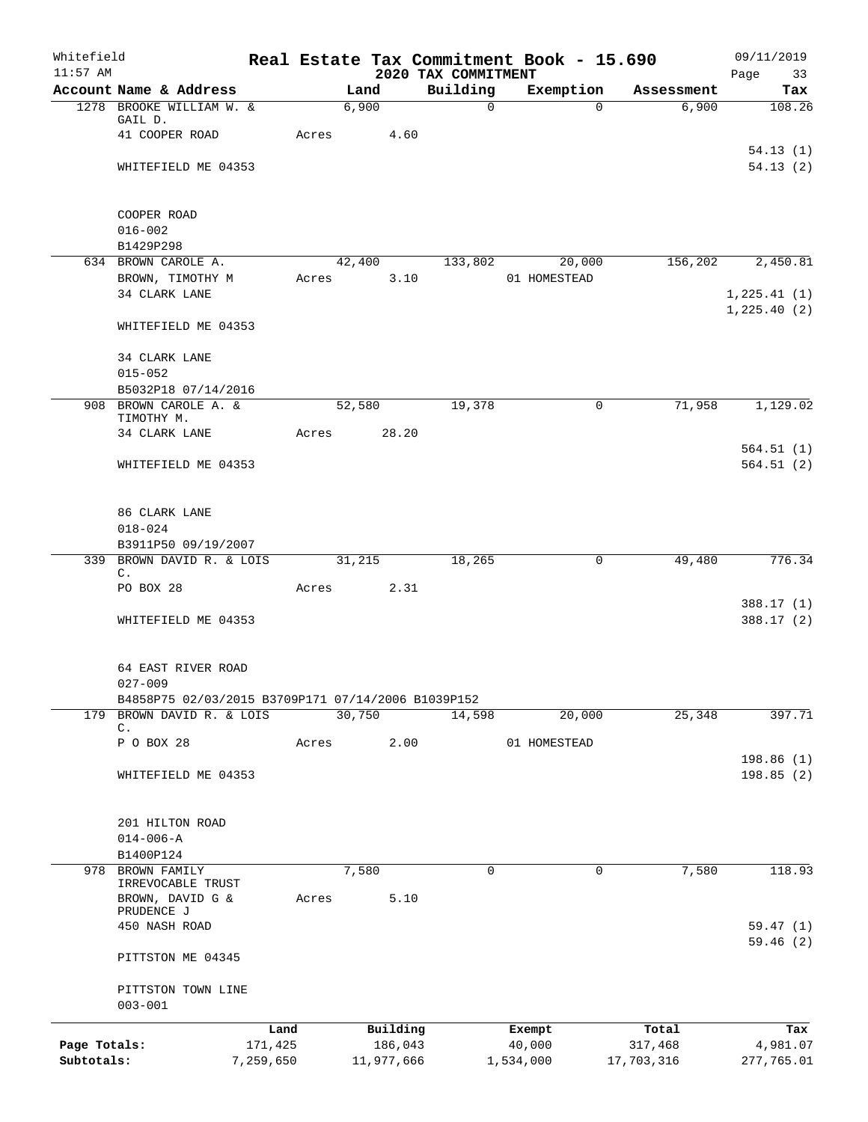| Whitefield<br>$11:57$ AM |                                                    |         |               | 2020 TAX COMMITMENT | Real Estate Tax Commitment Book - 15.690 |            | 09/11/2019<br>Page<br>33      |
|--------------------------|----------------------------------------------------|---------|---------------|---------------------|------------------------------------------|------------|-------------------------------|
|                          | Account Name & Address                             |         | Land          | Building            | Exemption                                | Assessment | Tax                           |
|                          | 1278 BROOKE WILLIAM W. &                           |         | 6,900         | $\mathbf 0$         | $\Omega$                                 | 6,900      | 108.26                        |
|                          | GAIL D.                                            |         |               |                     |                                          |            |                               |
|                          | 41 COOPER ROAD                                     | Acres   | 4.60          |                     |                                          |            |                               |
|                          | WHITEFIELD ME 04353                                |         |               |                     |                                          |            | 54.13(1)<br>54.13(2)          |
|                          |                                                    |         |               |                     |                                          |            |                               |
|                          | COOPER ROAD                                        |         |               |                     |                                          |            |                               |
|                          | $016 - 002$                                        |         |               |                     |                                          |            |                               |
|                          | B1429P298                                          |         |               |                     |                                          |            |                               |
|                          | 634 BROWN CAROLE A.                                |         | 42,400        | 133,802             | 20,000                                   | 156,202    | 2,450.81                      |
|                          | BROWN, TIMOTHY M                                   |         | 3.10<br>Acres |                     | 01 HOMESTEAD                             |            |                               |
|                          | 34 CLARK LANE                                      |         |               |                     |                                          |            | 1, 225.41(1)<br>1, 225.40 (2) |
|                          | WHITEFIELD ME 04353                                |         |               |                     |                                          |            |                               |
|                          | 34 CLARK LANE                                      |         |               |                     |                                          |            |                               |
|                          | $015 - 052$                                        |         |               |                     |                                          |            |                               |
|                          | B5032P18 07/14/2016                                |         |               |                     |                                          |            |                               |
|                          | 908 BROWN CAROLE A. &<br>TIMOTHY M.                |         | 52,580        | 19,378              | 0                                        | 71,958     | 1,129.02                      |
|                          | 34 CLARK LANE                                      | Acres   | 28.20         |                     |                                          |            |                               |
|                          |                                                    |         |               |                     |                                          |            | 564.51(1)                     |
|                          | WHITEFIELD ME 04353                                |         |               |                     |                                          |            | 564.51(2)                     |
|                          | 86 CLARK LANE                                      |         |               |                     |                                          |            |                               |
|                          | $018 - 024$                                        |         |               |                     |                                          |            |                               |
|                          | B3911P50 09/19/2007                                |         |               |                     |                                          |            |                               |
|                          | 339 BROWN DAVID R. & LOIS                          |         | 31,215        | 18,265              | 0                                        | 49,480     | 776.34                        |
|                          | C.<br>PO BOX 28                                    | Acres   | 2.31          |                     |                                          |            |                               |
|                          |                                                    |         |               |                     |                                          |            | 388.17 (1)                    |
|                          | WHITEFIELD ME 04353                                |         |               |                     |                                          |            | 388.17 (2)                    |
|                          | 64 EAST RIVER ROAD                                 |         |               |                     |                                          |            |                               |
|                          | $027 - 009$                                        |         |               |                     |                                          |            |                               |
|                          | B4858P75 02/03/2015 B3709P171 07/14/2006 B1039P152 |         |               |                     |                                          |            |                               |
| 179                      | BROWN DAVID R. & LOIS                              |         | 30,750        | 14,598              | 20,000                                   | 25,348     | 397.71                        |
|                          | C.                                                 |         |               |                     |                                          |            |                               |
|                          | P O BOX 28                                         | Acres   | 2.00          |                     | 01 HOMESTEAD                             |            | 198.86(1)                     |
|                          | WHITEFIELD ME 04353                                |         |               |                     |                                          |            | 198.85(2)                     |
|                          |                                                    |         |               |                     |                                          |            |                               |
|                          | 201 HILTON ROAD                                    |         |               |                     |                                          |            |                               |
|                          | $014 - 006 - A$                                    |         |               |                     |                                          |            |                               |
|                          | B1400P124                                          |         |               |                     |                                          |            |                               |
| 978                      | <b>BROWN FAMILY</b><br>IRREVOCABLE TRUST           |         | 7,580         | $\mathbf 0$         | 0                                        | 7,580      | 118.93                        |
|                          | BROWN, DAVID G &                                   | Acres   | 5.10          |                     |                                          |            |                               |
|                          | PRUDENCE J                                         |         |               |                     |                                          |            |                               |
|                          | 450 NASH ROAD                                      |         |               |                     |                                          |            | 59.47(1)<br>59.46(2)          |
|                          | PITTSTON ME 04345                                  |         |               |                     |                                          |            |                               |
|                          | PITTSTON TOWN LINE                                 |         |               |                     |                                          |            |                               |
|                          | $003 - 001$                                        |         |               |                     |                                          |            |                               |
|                          |                                                    | Land    | Building      |                     | Exempt                                   | Total      | Tax                           |
| Page Totals:             |                                                    | 171,425 | 186,043       |                     | 40,000                                   | 317,468    | 4,981.07                      |
| Subtotals:               | 7,259,650                                          |         | 11,977,666    |                     | 1,534,000                                | 17,703,316 | 277,765.01                    |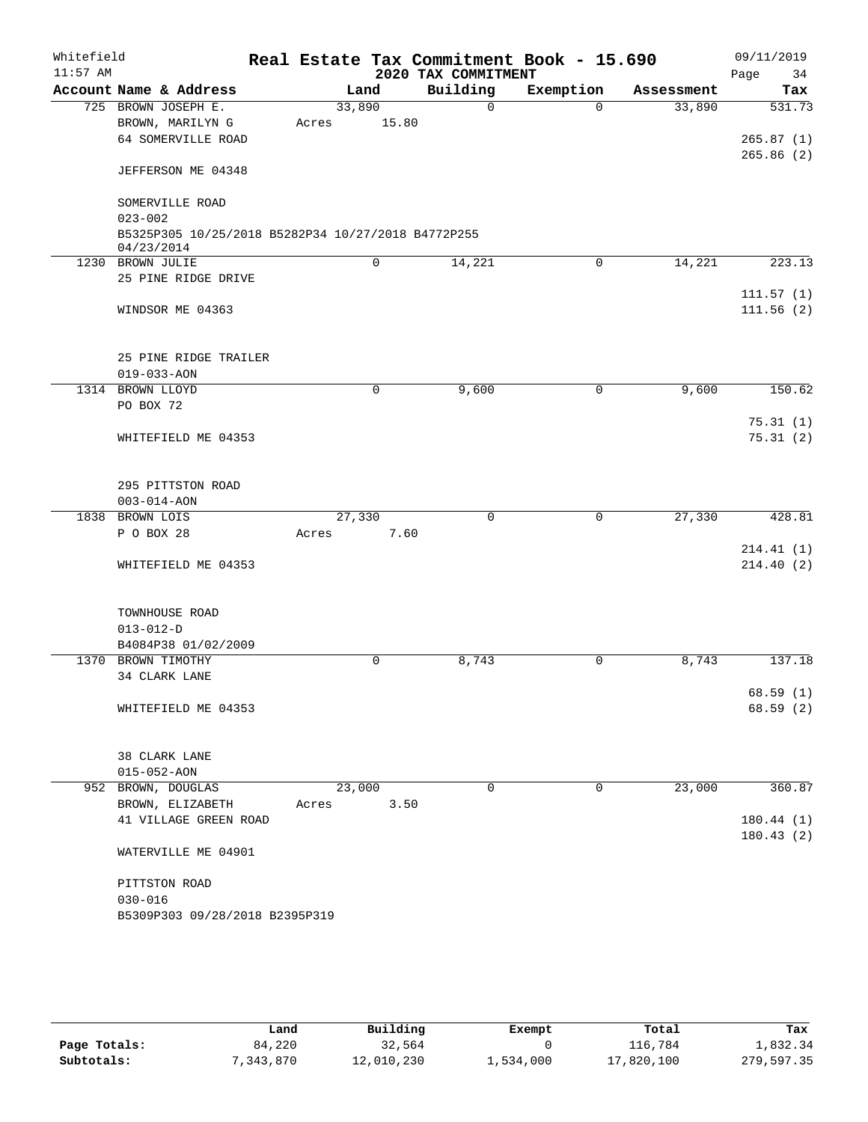| Whitefield<br>$11:57$ AM |                   |                                                    |       |        |       | Real Estate Tax Commitment Book - 15.690<br>2020 TAX COMMITMENT |           |              |            |      | 09/11/2019 |
|--------------------------|-------------------|----------------------------------------------------|-------|--------|-------|-----------------------------------------------------------------|-----------|--------------|------------|------|------------|
|                          |                   | Account Name & Address                             |       | Land   |       | Building                                                        | Exemption |              | Assessment | Page | 34<br>Tax  |
|                          |                   | 725 BROWN JOSEPH E.                                |       | 33,890 |       | $\Omega$                                                        |           | $\Omega$     | 33,890     |      | 531.73     |
|                          |                   | BROWN, MARILYN G                                   |       |        | 15.80 |                                                                 |           |              |            |      |            |
|                          |                   | 64 SOMERVILLE ROAD                                 | Acres |        |       |                                                                 |           |              |            |      | 265.87(1)  |
|                          |                   |                                                    |       |        |       |                                                                 |           |              |            |      | 265.86(2)  |
|                          |                   | JEFFERSON ME 04348                                 |       |        |       |                                                                 |           |              |            |      |            |
|                          |                   | SOMERVILLE ROAD                                    |       |        |       |                                                                 |           |              |            |      |            |
|                          | $023 - 002$       |                                                    |       |        |       |                                                                 |           |              |            |      |            |
|                          | 04/23/2014        | B5325P305 10/25/2018 B5282P34 10/27/2018 B4772P255 |       |        |       |                                                                 |           |              |            |      |            |
|                          | 1230 BROWN JULIE  |                                                    |       | 0      |       | 14,221                                                          |           | $\mathbf 0$  | 14,221     |      | 223.13     |
|                          |                   | 25 PINE RIDGE DRIVE                                |       |        |       |                                                                 |           |              |            |      |            |
|                          |                   |                                                    |       |        |       |                                                                 |           |              |            |      | 111.57(1)  |
|                          |                   | WINDSOR ME 04363                                   |       |        |       |                                                                 |           |              |            |      | 111.56(2)  |
|                          |                   | 25 PINE RIDGE TRAILER                              |       |        |       |                                                                 |           |              |            |      |            |
|                          | $019 - 033 - AON$ |                                                    |       |        |       |                                                                 |           |              |            |      |            |
|                          | 1314 BROWN LLOYD  |                                                    |       | 0      |       | 9,600                                                           |           | $\mathsf{O}$ | 9,600      |      | 150.62     |
|                          | PO BOX 72         |                                                    |       |        |       |                                                                 |           |              |            |      |            |
|                          |                   |                                                    |       |        |       |                                                                 |           |              |            |      | 75.31(1)   |
|                          |                   | WHITEFIELD ME 04353                                |       |        |       |                                                                 |           |              |            |      | 75.31(2)   |
|                          |                   | 295 PITTSTON ROAD                                  |       |        |       |                                                                 |           |              |            |      |            |
|                          | $003 - 014 - AON$ |                                                    |       |        |       |                                                                 |           |              |            |      |            |
|                          | 1838 BROWN LOIS   |                                                    |       | 27,330 |       | $\mathbf 0$                                                     |           | $\mathbf 0$  | 27,330     |      | 428.81     |
|                          | P O BOX 28        |                                                    | Acres |        | 7.60  |                                                                 |           |              |            |      |            |
|                          |                   |                                                    |       |        |       |                                                                 |           |              |            |      | 214.41(1)  |
|                          |                   | WHITEFIELD ME 04353                                |       |        |       |                                                                 |           |              |            |      | 214.40(2)  |
|                          |                   | TOWNHOUSE ROAD                                     |       |        |       |                                                                 |           |              |            |      |            |
|                          | $013 - 012 - D$   |                                                    |       |        |       |                                                                 |           |              |            |      |            |
|                          |                   | B4084P38 01/02/2009                                |       |        |       |                                                                 |           |              |            |      |            |
|                          |                   | 1370 BROWN TIMOTHY                                 |       | 0      |       | 8,743                                                           |           | 0            | 8,743      |      | 137.18     |
|                          |                   | 34 CLARK LANE                                      |       |        |       |                                                                 |           |              |            |      |            |
|                          |                   |                                                    |       |        |       |                                                                 |           |              |            |      | 68.59(1)   |
|                          |                   | WHITEFIELD ME 04353                                |       |        |       |                                                                 |           |              |            |      | 68.59(2)   |
|                          |                   |                                                    |       |        |       |                                                                 |           |              |            |      |            |
|                          |                   | 38 CLARK LANE                                      |       |        |       |                                                                 |           |              |            |      |            |
|                          | $015 - 052 - AON$ | 952 BROWN, DOUGLAS                                 |       | 23,000 |       | 0                                                               |           | $\mathbf 0$  | 23,000     |      | 360.87     |
|                          |                   |                                                    |       |        |       |                                                                 |           |              |            |      |            |
|                          |                   | BROWN, ELIZABETH                                   | Acres |        | 3.50  |                                                                 |           |              |            |      |            |
|                          |                   | 41 VILLAGE GREEN ROAD                              |       |        |       |                                                                 |           |              |            |      | 180.44(1)  |
|                          |                   | WATERVILLE ME 04901                                |       |        |       |                                                                 |           |              |            |      | 180.43(2)  |
|                          |                   |                                                    |       |        |       |                                                                 |           |              |            |      |            |
|                          | $030 - 016$       | PITTSTON ROAD                                      |       |        |       |                                                                 |           |              |            |      |            |
|                          |                   | B5309P303 09/28/2018 B2395P319                     |       |        |       |                                                                 |           |              |            |      |            |
|                          |                   |                                                    |       |        |       |                                                                 |           |              |            |      |            |

|              | Land     | Building   | Exempt    | Total      | Tax        |
|--------------|----------|------------|-----------|------------|------------|
| Page Totals: | 84,220   | 32,564     |           | 116,784    | 1,832.34   |
| Subtotals:   | ,343,870 | 12,010,230 | 1,534,000 | 17,820,100 | 279,597.35 |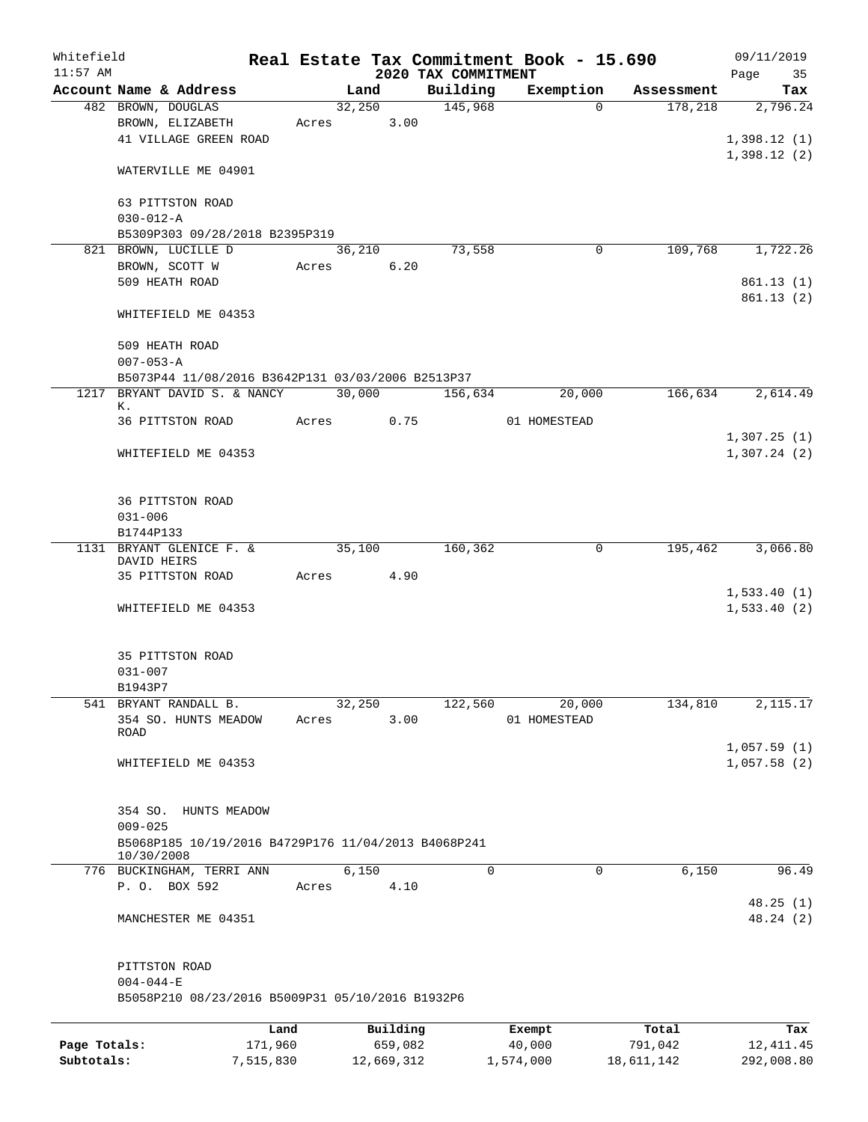| Whitefield   |                                                                              |                 |       |        |                     |  |                     | Real Estate Tax Commitment Book - 15.690 |                  | 09/11/2019                 |
|--------------|------------------------------------------------------------------------------|-----------------|-------|--------|---------------------|--|---------------------|------------------------------------------|------------------|----------------------------|
| $11:57$ AM   |                                                                              |                 |       |        |                     |  | 2020 TAX COMMITMENT |                                          |                  | Page<br>35                 |
|              | Account Name & Address                                                       |                 |       | Land   |                     |  | Building<br>145,968 | Exemption                                | Assessment       | Tax                        |
|              | 482 BROWN, DOUGLAS<br>BROWN, ELIZABETH                                       |                 |       | 32,250 | 3.00                |  |                     | 0                                        | 178,218          | 2,796.24                   |
|              | 41 VILLAGE GREEN ROAD                                                        |                 | Acres |        |                     |  |                     |                                          |                  | 1,398.12(1)                |
|              |                                                                              |                 |       |        |                     |  |                     |                                          |                  | 1,398.12(2)                |
|              | WATERVILLE ME 04901                                                          |                 |       |        |                     |  |                     |                                          |                  |                            |
|              | 63 PITTSTON ROAD                                                             |                 |       |        |                     |  |                     |                                          |                  |                            |
|              | $030 - 012 - A$                                                              |                 |       |        |                     |  |                     |                                          |                  |                            |
|              | B5309P303 09/28/2018 B2395P319                                               |                 |       |        |                     |  |                     |                                          |                  |                            |
|              | 821 BROWN, LUCILLE D                                                         |                 |       | 36,210 |                     |  | 73,558              | 0                                        | 109,768          | 1,722.26                   |
|              | BROWN, SCOTT W                                                               |                 | Acres |        | 6.20                |  |                     |                                          |                  |                            |
|              | 509 HEATH ROAD                                                               |                 |       |        |                     |  |                     |                                          |                  | 861.13(1)                  |
|              |                                                                              |                 |       |        |                     |  |                     |                                          |                  | 861.13 (2)                 |
|              | WHITEFIELD ME 04353                                                          |                 |       |        |                     |  |                     |                                          |                  |                            |
|              | 509 HEATH ROAD<br>$007 - 053 - A$                                            |                 |       |        |                     |  |                     |                                          |                  |                            |
|              |                                                                              |                 |       |        |                     |  |                     |                                          |                  |                            |
| 1217         | B5073P44 11/08/2016 B3642P131 03/03/2006 B2513P37<br>BRYANT DAVID S. & NANCY |                 |       | 30,000 |                     |  | 156,634             | 20,000                                   | 166,634          | 2,614.49                   |
|              | к.                                                                           |                 |       |        |                     |  |                     |                                          |                  |                            |
|              | 36 PITTSTON ROAD                                                             |                 | Acres |        | 0.75                |  |                     | 01 HOMESTEAD                             |                  |                            |
|              |                                                                              |                 |       |        |                     |  |                     |                                          |                  | 1,307.25(1)                |
|              | WHITEFIELD ME 04353                                                          |                 |       |        |                     |  |                     |                                          |                  | 1,307.24(2)                |
|              |                                                                              |                 |       |        |                     |  |                     |                                          |                  |                            |
|              |                                                                              |                 |       |        |                     |  |                     |                                          |                  |                            |
|              | 36 PITTSTON ROAD                                                             |                 |       |        |                     |  |                     |                                          |                  |                            |
|              | $031 - 006$                                                                  |                 |       |        |                     |  |                     |                                          |                  |                            |
|              | B1744P133                                                                    |                 |       |        |                     |  |                     |                                          |                  |                            |
| 1131         | BRYANT GLENICE F. &                                                          |                 |       | 35,100 |                     |  | 160,362             | 0                                        | 195,462          | 3,066.80                   |
|              | DAVID HEIRS                                                                  |                 |       |        |                     |  |                     |                                          |                  |                            |
|              | 35 PITTSTON ROAD                                                             |                 | Acres |        | 4.90                |  |                     |                                          |                  |                            |
|              | WHITEFIELD ME 04353                                                          |                 |       |        |                     |  |                     |                                          |                  | 1,533.40(1)<br>1,533.40(2) |
|              |                                                                              |                 |       |        |                     |  |                     |                                          |                  |                            |
|              |                                                                              |                 |       |        |                     |  |                     |                                          |                  |                            |
|              | 35 PITTSTON ROAD                                                             |                 |       |        |                     |  |                     |                                          |                  |                            |
|              | $031 - 007$                                                                  |                 |       |        |                     |  |                     |                                          |                  |                            |
|              | B1943P7                                                                      |                 |       |        |                     |  |                     |                                          |                  |                            |
|              | 541 BRYANT RANDALL B.                                                        |                 |       | 32,250 |                     |  | 122,560             | 20,000                                   | 134,810          | 2,115.17                   |
|              | 354 SO. HUNTS MEADOW<br>ROAD                                                 |                 | Acres |        | 3.00                |  |                     | 01 HOMESTEAD                             |                  |                            |
|              |                                                                              |                 |       |        |                     |  |                     |                                          |                  | 1,057.59(1)                |
|              | WHITEFIELD ME 04353                                                          |                 |       |        |                     |  |                     |                                          |                  | 1,057.58(2)                |
|              |                                                                              |                 |       |        |                     |  |                     |                                          |                  |                            |
|              |                                                                              |                 |       |        |                     |  |                     |                                          |                  |                            |
|              | 354 SO.<br>HUNTS MEADOW                                                      |                 |       |        |                     |  |                     |                                          |                  |                            |
|              | $009 - 025$                                                                  |                 |       |        |                     |  |                     |                                          |                  |                            |
|              | B5068P185 10/19/2016 B4729P176 11/04/2013 B4068P241                          |                 |       |        |                     |  |                     |                                          |                  |                            |
|              | 10/30/2008                                                                   |                 |       |        |                     |  |                     |                                          |                  |                            |
|              | 776 BUCKINGHAM, TERRI ANN                                                    |                 |       | 6,150  |                     |  | $\Omega$            | $\Omega$                                 | 6,150            | 96.49                      |
|              | P. O. BOX 592                                                                |                 | Acres |        | 4.10                |  |                     |                                          |                  |                            |
|              |                                                                              |                 |       |        |                     |  |                     |                                          |                  | 48.25 (1)                  |
|              | MANCHESTER ME 04351                                                          |                 |       |        |                     |  |                     |                                          |                  | 48.24 (2)                  |
|              |                                                                              |                 |       |        |                     |  |                     |                                          |                  |                            |
|              | PITTSTON ROAD<br>$004 - 044 - E$                                             |                 |       |        |                     |  |                     |                                          |                  |                            |
|              | B5058P210 08/23/2016 B5009P31 05/10/2016 B1932P6                             |                 |       |        |                     |  |                     |                                          |                  |                            |
|              |                                                                              |                 |       |        |                     |  |                     |                                          |                  |                            |
| Page Totals: |                                                                              | Land<br>171,960 |       |        | Building<br>659,082 |  |                     | Exempt<br>40,000                         | Total<br>791,042 | Tax<br>12, 411.45          |
| Subtotals:   |                                                                              | 7,515,830       |       |        | 12,669,312          |  |                     | 1,574,000                                | 18,611,142       | 292,008.80                 |
|              |                                                                              |                 |       |        |                     |  |                     |                                          |                  |                            |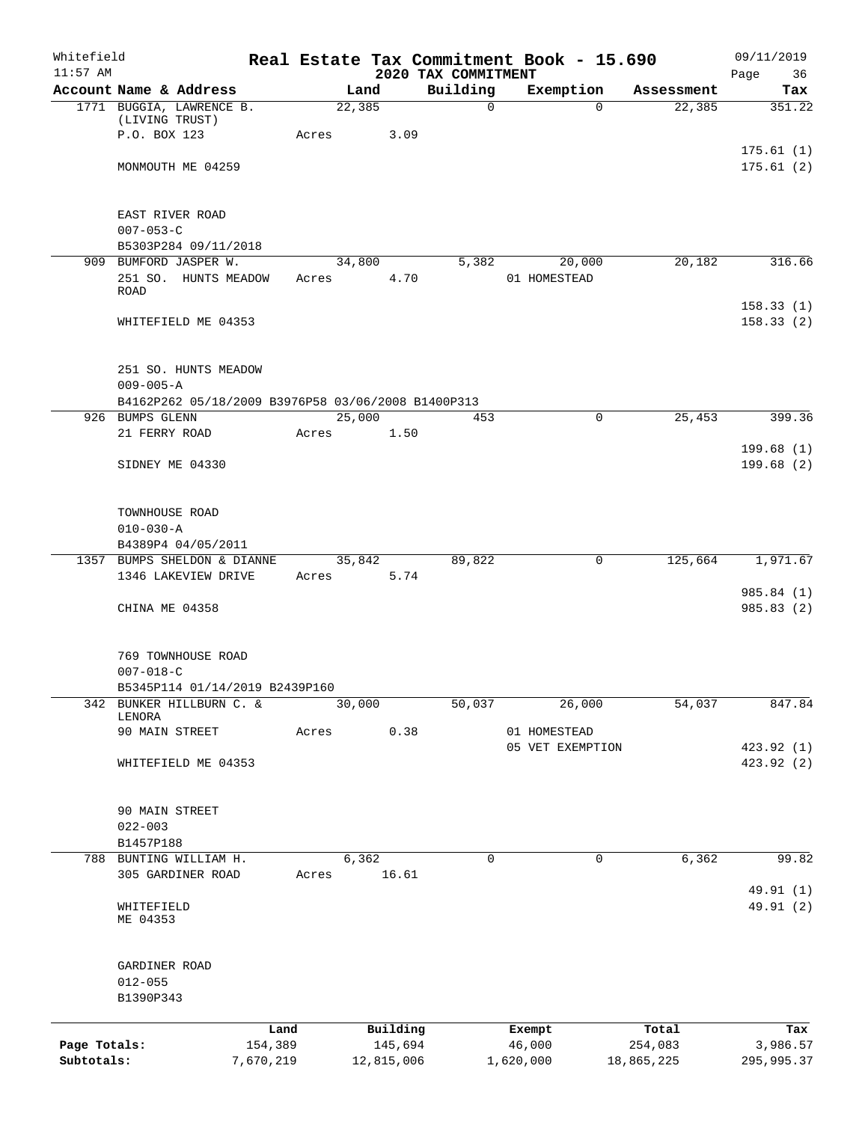| Whitefield<br>$11:57$ AM   |                                                    |                      |            |                       | 2020 TAX COMMITMENT | Real Estate Tax Commitment Book - 15.690 |                         | 09/11/2019<br>Page 36    |
|----------------------------|----------------------------------------------------|----------------------|------------|-----------------------|---------------------|------------------------------------------|-------------------------|--------------------------|
|                            | Account Name & Address                             |                      | Land       |                       | Building            | Exemption                                | Assessment              | Tax                      |
|                            | 1771 BUGGIA, LAWRENCE B.<br>(LIVING TRUST)         |                      | 22,385     |                       | $\Omega$            |                                          | $\Omega$<br>22,385      | 351.22                   |
|                            | P.O. BOX 123                                       |                      | Acres      | 3.09                  |                     |                                          |                         |                          |
|                            | MONMOUTH ME 04259                                  |                      |            |                       |                     |                                          |                         | 175.61(1)<br>175.61(2)   |
|                            | EAST RIVER ROAD                                    |                      |            |                       |                     |                                          |                         |                          |
|                            | $007 - 053 - C$                                    |                      |            |                       |                     |                                          |                         |                          |
|                            | B5303P284 09/11/2018<br>909 BUMFORD JASPER W.      |                      |            | 34,800                | 5,382               | 20,000                                   | 20,182                  | 316.66                   |
|                            | 251 SO. HUNTS MEADOW<br><b>ROAD</b>                |                      | Acres 4.70 |                       |                     | 01 HOMESTEAD                             |                         |                          |
|                            | WHITEFIELD ME 04353                                |                      |            |                       |                     |                                          |                         | 158.33(1)<br>158.33(2)   |
|                            | 251 SO. HUNTS MEADOW<br>$009 - 005 - A$            |                      |            |                       |                     |                                          |                         |                          |
|                            | B4162P262 05/18/2009 B3976P58 03/06/2008 B1400P313 |                      |            |                       |                     |                                          |                         |                          |
|                            | 926 BUMPS GLENN                                    |                      | 25,000     |                       | 453                 |                                          | 25,453<br>$\mathbf 0$   | 399.36                   |
|                            | 21 FERRY ROAD                                      |                      | Acres      | 1.50                  |                     |                                          |                         | 199.68(1)                |
|                            | SIDNEY ME 04330                                    |                      |            |                       |                     |                                          |                         | 199.68(2)                |
|                            | TOWNHOUSE ROAD                                     |                      |            |                       |                     |                                          |                         |                          |
|                            | $010 - 030 - A$<br>B4389P4 04/05/2011              |                      |            |                       |                     |                                          |                         |                          |
|                            | 1357 BUMPS SHELDON & DIANNE                        |                      |            | 35,842                | 89,822              |                                          | $\mathsf{O}$<br>125,664 | 1,971.67                 |
|                            | 1346 LAKEVIEW DRIVE                                |                      | Acres 5.74 |                       |                     |                                          |                         |                          |
|                            | CHINA ME 04358                                     |                      |            |                       |                     |                                          |                         | 985.84 (1)<br>985.83 (2) |
|                            | 769 TOWNHOUSE ROAD                                 |                      |            |                       |                     |                                          |                         |                          |
|                            | $007 - 018 - C$                                    |                      |            |                       |                     |                                          |                         |                          |
|                            | B5345P114 01/14/2019 B2439P160                     |                      |            |                       | 50,037              |                                          |                         | 847.84                   |
|                            | 342 BUNKER HILLBURN C. &<br>LENORA                 |                      | 30,000     |                       |                     | 26,000                                   | 54,037                  |                          |
|                            | 90 MAIN STREET                                     |                      | Acres      | 0.38                  |                     | 01 HOMESTEAD                             |                         |                          |
|                            | WHITEFIELD ME 04353                                |                      |            |                       |                     | 05 VET EXEMPTION                         |                         | 423.92 (1)<br>423.92 (2) |
|                            | 90 MAIN STREET                                     |                      |            |                       |                     |                                          |                         |                          |
|                            | $022 - 003$                                        |                      |            |                       |                     |                                          |                         |                          |
|                            | B1457P188<br>788 BUNTING WILLIAM H.                |                      | 6,362      |                       | 0                   |                                          | 6,362<br>0              | 99.82                    |
|                            | 305 GARDINER ROAD                                  |                      | Acres      | 16.61                 |                     |                                          |                         | 49.91 (1)                |
|                            | WHITEFIELD<br>ME 04353                             |                      |            |                       |                     |                                          |                         | 49.91 (2)                |
|                            | GARDINER ROAD<br>$012 - 055$                       |                      |            |                       |                     |                                          |                         |                          |
|                            | B1390P343                                          |                      |            |                       |                     |                                          |                         |                          |
|                            |                                                    | Land                 |            | Building              |                     | Exempt                                   | Total                   | Tax                      |
| Page Totals:<br>Subtotals: |                                                    | 154,389<br>7,670,219 |            | 145,694<br>12,815,006 |                     | 46,000<br>1,620,000                      | 254,083<br>18,865,225   | 3,986.57<br>295,995.37   |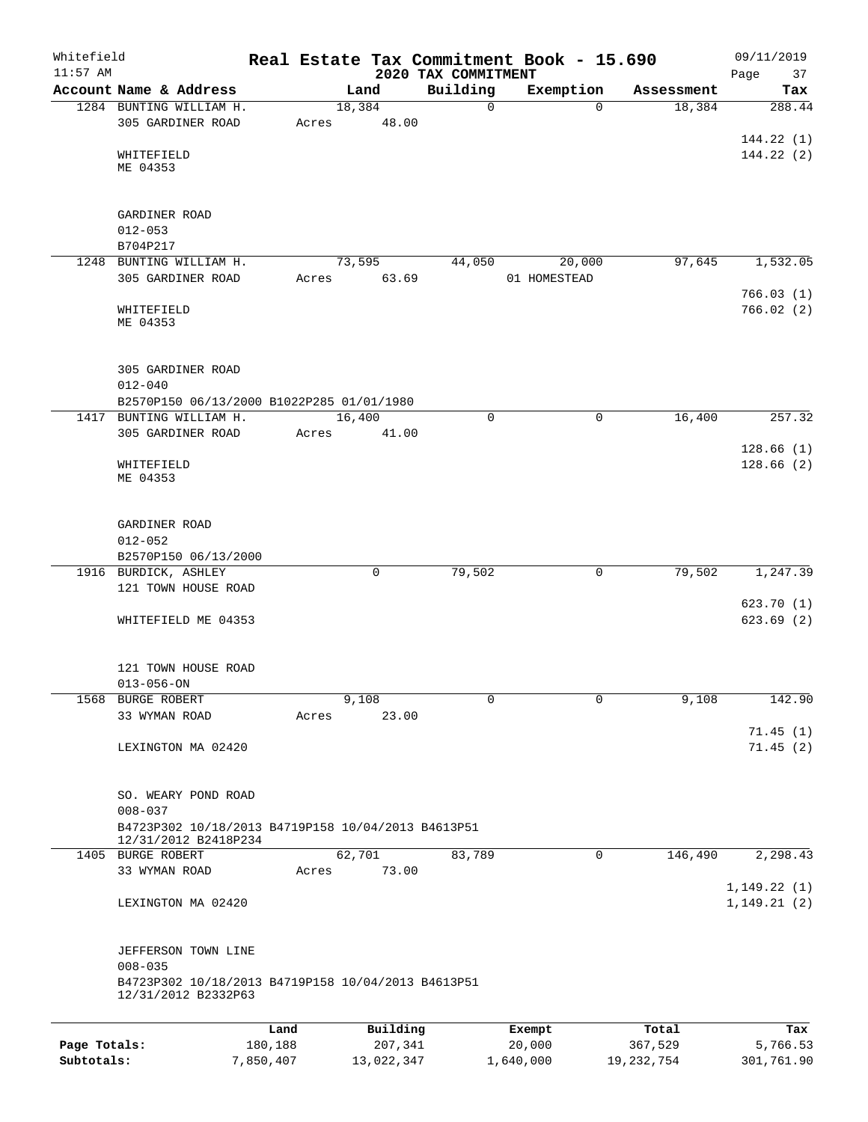| Whitefield<br>$11:57$ AM |                                                    |         |             | 2020 TAX COMMITMENT | Real Estate Tax Commitment Book - 15.690 |            | 09/11/2019<br>Page<br>37 |
|--------------------------|----------------------------------------------------|---------|-------------|---------------------|------------------------------------------|------------|--------------------------|
|                          | Account Name & Address                             |         | Land        | Building            | Exemption                                | Assessment | Tax                      |
|                          | 1284 BUNTING WILLIAM H.                            |         | 18,384      | $\mathbf 0$         | $\Omega$                                 | 18,384     | 288.44                   |
|                          | 305 GARDINER ROAD                                  | Acres   | 48.00       |                     |                                          |            |                          |
|                          |                                                    |         |             |                     |                                          |            | 144.22(1)                |
|                          | WHITEFIELD                                         |         |             |                     |                                          |            | 144.22(2)                |
|                          | ME 04353                                           |         |             |                     |                                          |            |                          |
|                          |                                                    |         |             |                     |                                          |            |                          |
|                          | GARDINER ROAD                                      |         |             |                     |                                          |            |                          |
|                          | $012 - 053$                                        |         |             |                     |                                          |            |                          |
|                          | B704P217                                           |         |             |                     |                                          |            |                          |
|                          | 1248 BUNTING WILLIAM H.                            |         | 73,595      | 44,050              | 20,000                                   | 97,645     | 1,532.05                 |
|                          | 305 GARDINER ROAD                                  | Acres   | 63.69       |                     | 01 HOMESTEAD                             |            |                          |
|                          |                                                    |         |             |                     |                                          |            | 766.03(1)                |
|                          | WHITEFIELD                                         |         |             |                     |                                          |            | 766.02(2)                |
|                          | ME 04353                                           |         |             |                     |                                          |            |                          |
|                          |                                                    |         |             |                     |                                          |            |                          |
|                          |                                                    |         |             |                     |                                          |            |                          |
|                          | 305 GARDINER ROAD                                  |         |             |                     |                                          |            |                          |
|                          | $012 - 040$                                        |         |             |                     |                                          |            |                          |
|                          | B2570P150 06/13/2000 B1022P285 01/01/1980          |         |             |                     |                                          |            |                          |
|                          | 1417 BUNTING WILLIAM H.                            |         | 16,400      | $\mathbf 0$         | $\mathbf 0$                              | 16,400     | 257.32                   |
|                          | 305 GARDINER ROAD                                  | Acres   | 41.00       |                     |                                          |            |                          |
|                          |                                                    |         |             |                     |                                          |            | 128.66(1)                |
|                          | WHITEFIELD<br>ME 04353                             |         |             |                     |                                          |            | 128.66(2)                |
|                          |                                                    |         |             |                     |                                          |            |                          |
|                          |                                                    |         |             |                     |                                          |            |                          |
|                          | GARDINER ROAD                                      |         |             |                     |                                          |            |                          |
|                          | $012 - 052$                                        |         |             |                     |                                          |            |                          |
|                          | B2570P150 06/13/2000                               |         |             |                     |                                          |            |                          |
|                          | 1916 BURDICK, ASHLEY                               |         | $\mathbf 0$ | 79,502              | $\mathbf 0$                              | 79,502     | 1,247.39                 |
|                          | 121 TOWN HOUSE ROAD                                |         |             |                     |                                          |            |                          |
|                          |                                                    |         |             |                     |                                          |            | 623.70(1)                |
|                          | WHITEFIELD ME 04353                                |         |             |                     |                                          |            | 623.69(2)                |
|                          |                                                    |         |             |                     |                                          |            |                          |
|                          |                                                    |         |             |                     |                                          |            |                          |
|                          | 121 TOWN HOUSE ROAD                                |         |             |                     |                                          |            |                          |
|                          | $013 - 056 - ON$                                   |         |             |                     |                                          |            |                          |
| 1568                     | BURGE ROBERT                                       |         | 9,108       | $\mathbf 0$         | $\mathbf 0$                              | 9,108      | 142.90                   |
|                          | 33 WYMAN ROAD                                      | Acres   | 23.00       |                     |                                          |            |                          |
|                          |                                                    |         |             |                     |                                          |            | 71.45(1)                 |
|                          | LEXINGTON MA 02420                                 |         |             |                     |                                          |            | 71.45(2)                 |
|                          |                                                    |         |             |                     |                                          |            |                          |
|                          |                                                    |         |             |                     |                                          |            |                          |
|                          | SO. WEARY POND ROAD                                |         |             |                     |                                          |            |                          |
|                          | $008 - 037$                                        |         |             |                     |                                          |            |                          |
|                          | B4723P302 10/18/2013 B4719P158 10/04/2013 B4613P51 |         |             |                     |                                          |            |                          |
|                          | 12/31/2012 B2418P234<br>1405 BURGE ROBERT          |         | 62,701      | 83,789              | 0                                        | 146,490    | 2,298.43                 |
|                          | 33 WYMAN ROAD                                      | Acres   | 73.00       |                     |                                          |            |                          |
|                          |                                                    |         |             |                     |                                          |            | 1, 149.22(1)             |
|                          | LEXINGTON MA 02420                                 |         |             |                     |                                          |            | 1, 149.21(2)             |
|                          |                                                    |         |             |                     |                                          |            |                          |
|                          |                                                    |         |             |                     |                                          |            |                          |
|                          | JEFFERSON TOWN LINE                                |         |             |                     |                                          |            |                          |
|                          | $008 - 035$                                        |         |             |                     |                                          |            |                          |
|                          | B4723P302 10/18/2013 B4719P158 10/04/2013 B4613P51 |         |             |                     |                                          |            |                          |
|                          | 12/31/2012 B2332P63                                |         |             |                     |                                          |            |                          |
|                          |                                                    |         |             |                     |                                          |            |                          |
|                          |                                                    | Land    | Building    |                     | Exempt                                   | Total      | Tax                      |
| Page Totals:             |                                                    | 180,188 | 207,341     |                     | 20,000                                   | 367,529    | 5,766.53                 |

**Subtotals:** 7,850,407 13,022,347 1,640,000 19,232,754 301,761.90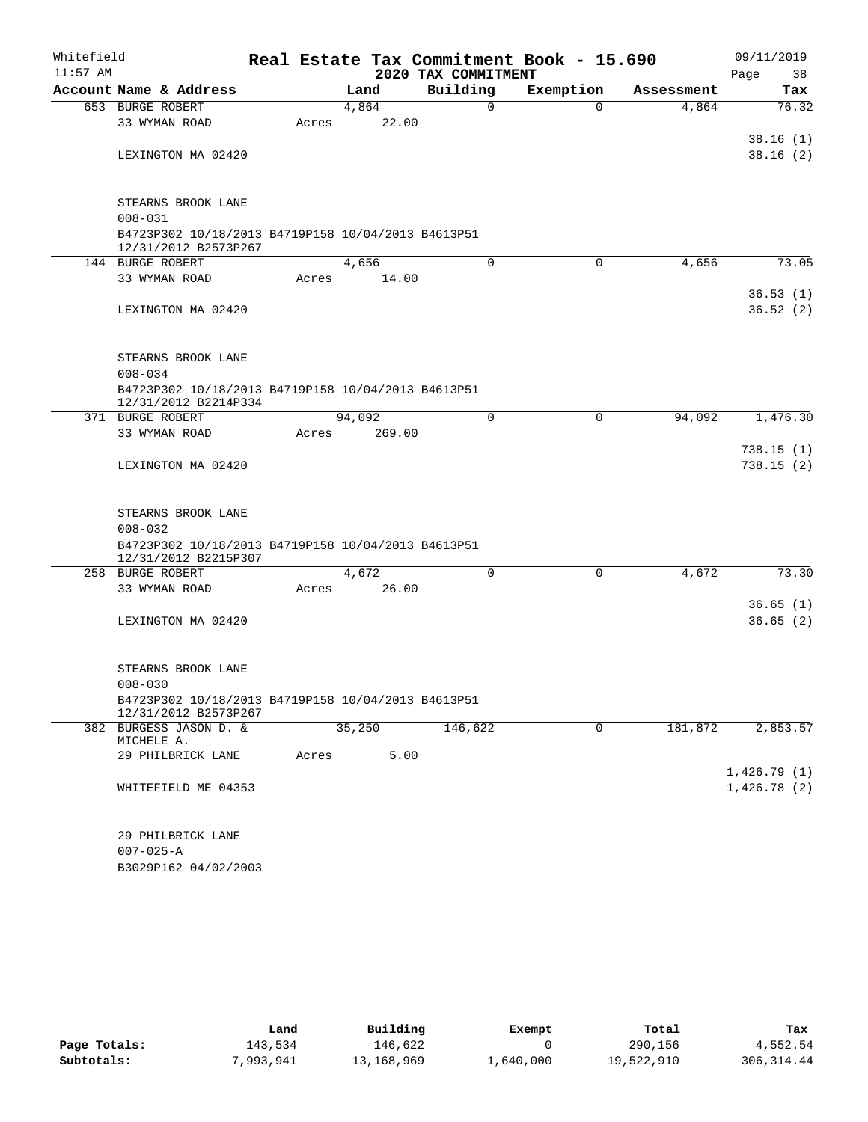| Whitefield<br>$11:57$ AM |                                                                            |       |        |        | 2020 TAX COMMITMENT |          | Real Estate Tax Commitment Book - 15.690 |            |        | 09/11/2019<br>Page<br>38 |
|--------------------------|----------------------------------------------------------------------------|-------|--------|--------|---------------------|----------|------------------------------------------|------------|--------|--------------------------|
|                          | Account Name & Address                                                     |       | Land   |        | Building            |          | Exemption                                | Assessment |        | Tax                      |
|                          | 653 BURGE ROBERT                                                           |       | 4,864  |        |                     | 0        | $\Omega$                                 |            | 4,864  | 76.32                    |
|                          | 33 WYMAN ROAD                                                              | Acres |        | 22.00  |                     |          |                                          |            |        |                          |
|                          |                                                                            |       |        |        |                     |          |                                          |            |        | 38.16(1)                 |
|                          | LEXINGTON MA 02420                                                         |       |        |        |                     |          |                                          |            |        | 38.16(2)                 |
|                          | STEARNS BROOK LANE                                                         |       |        |        |                     |          |                                          |            |        |                          |
|                          | $008 - 031$                                                                |       |        |        |                     |          |                                          |            |        |                          |
|                          | B4723P302 10/18/2013 B4719P158 10/04/2013 B4613P51<br>12/31/2012 B2573P267 |       |        |        |                     |          |                                          |            |        |                          |
|                          | 144 BURGE ROBERT                                                           |       | 4,656  |        |                     | 0        | $\mathbf 0$                              |            | 4,656  | 73.05                    |
|                          | 33 WYMAN ROAD                                                              | Acres |        | 14.00  |                     |          |                                          |            |        |                          |
|                          |                                                                            |       |        |        |                     |          |                                          |            |        | 36.53(1)                 |
|                          | LEXINGTON MA 02420                                                         |       |        |        |                     |          |                                          |            |        | 36.52(2)                 |
|                          | STEARNS BROOK LANE                                                         |       |        |        |                     |          |                                          |            |        |                          |
|                          | $008 - 034$                                                                |       |        |        |                     |          |                                          |            |        |                          |
|                          | B4723P302 10/18/2013 B4719P158 10/04/2013 B4613P51<br>12/31/2012 B2214P334 |       |        |        |                     |          |                                          |            |        |                          |
|                          | 371 BURGE ROBERT                                                           |       | 94,092 |        |                     | $\Omega$ | 0                                        |            | 94,092 | 1,476.30                 |
|                          | 33 WYMAN ROAD                                                              | Acres |        | 269.00 |                     |          |                                          |            |        |                          |
|                          | LEXINGTON MA 02420                                                         |       |        |        |                     |          |                                          |            |        | 738.15(1)<br>738.15(2)   |
|                          | STEARNS BROOK LANE<br>$008 - 032$                                          |       |        |        |                     |          |                                          |            |        |                          |
|                          | B4723P302 10/18/2013 B4719P158 10/04/2013 B4613P51<br>12/31/2012 B2215P307 |       |        |        |                     |          |                                          |            |        |                          |
|                          | 258 BURGE ROBERT                                                           |       | 4,672  |        |                     | $\Omega$ | 0                                        |            | 4,672  | 73.30                    |
|                          | 33 WYMAN ROAD                                                              | Acres |        | 26.00  |                     |          |                                          |            |        |                          |
|                          | LEXINGTON MA 02420                                                         |       |        |        |                     |          |                                          |            |        | 36.65(1)<br>36.65(2)     |
|                          |                                                                            |       |        |        |                     |          |                                          |            |        |                          |
|                          | STEARNS BROOK LANE<br>$008 - 030$                                          |       |        |        |                     |          |                                          |            |        |                          |
|                          | B4723P302 10/18/2013 B4719P158 10/04/2013 B4613P51<br>12/31/2012 B2573P267 |       |        |        |                     |          |                                          |            |        |                          |
|                          | 382 BURGESS JASON D. &<br>MICHELE A.                                       |       | 35,250 |        | 146,622             |          | 0                                        | 181,872    |        | 2,853.57                 |
|                          | 29 PHILBRICK LANE                                                          | Acres |        | 5.00   |                     |          |                                          |            |        | 1,426.79(1)              |
|                          | WHITEFIELD ME 04353                                                        |       |        |        |                     |          |                                          |            |        | 1,426.78(2)              |
|                          | 29 PHILBRICK LANE                                                          |       |        |        |                     |          |                                          |            |        |                          |
|                          | $007 - 025 - A$                                                            |       |        |        |                     |          |                                          |            |        |                          |
|                          | B3029P162 04/02/2003                                                       |       |        |        |                     |          |                                          |            |        |                          |

|              | Land      | Building   | Exempt    | Total      | Tax         |
|--------------|-----------|------------|-----------|------------|-------------|
| Page Totals: | 143,534   | 146.622    |           | 290,156    | 4,552.54    |
| Subtotals:   | 7,993,941 | 13,168,969 | 1,640,000 | 19,522,910 | 306, 314.44 |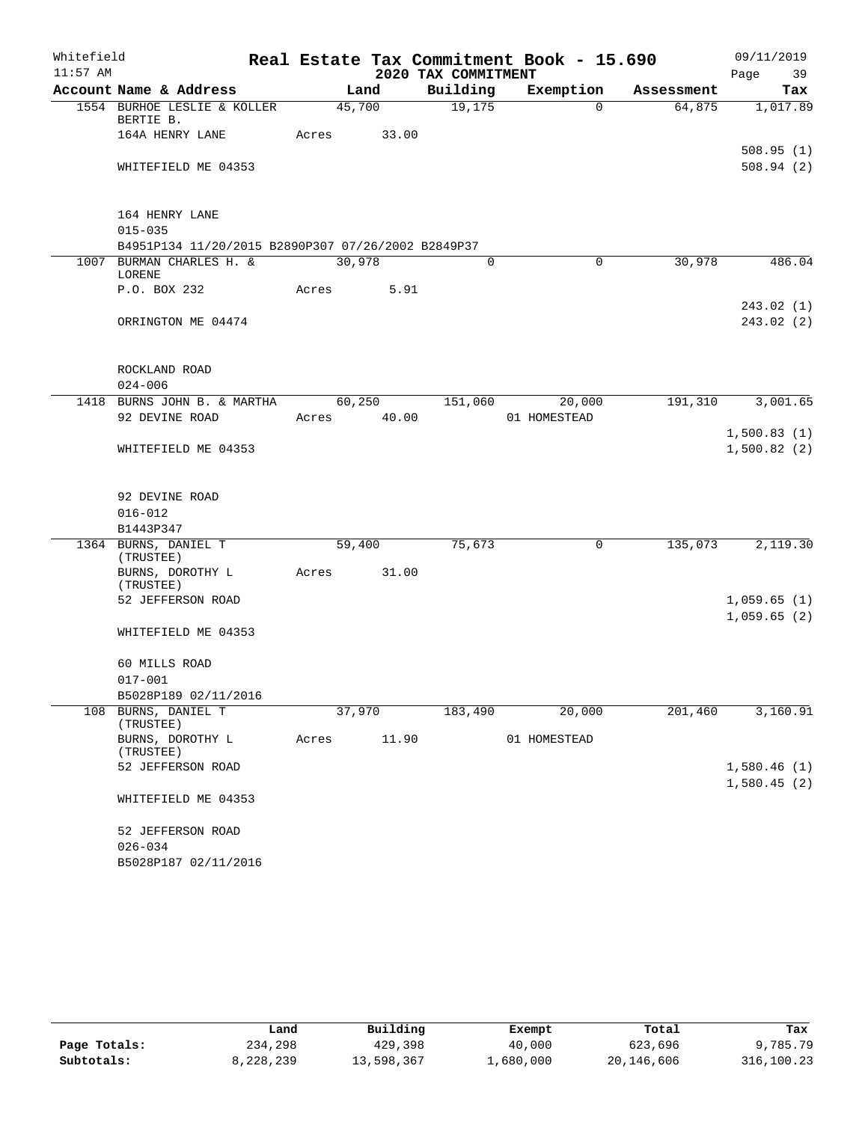| 2020 TAX COMMITMENT<br>Page<br>39<br>Building<br>Account Name & Address<br>Exemption<br>Land<br>Tax<br>Assessment<br>1554 BURHOE LESLIE & KOLLER<br>45,700<br>19,175<br>1,017.89<br>$\Omega$<br>64,875<br>BERTIE B.<br>164A HENRY LANE<br>Acres<br>33.00<br>508.94(2)<br>WHITEFIELD ME 04353<br>164 HENRY LANE<br>$015 - 035$<br>B4951P134 11/20/2015 B2890P307 07/26/2002 B2849P37<br>1007 BURMAN CHARLES H. &<br>30,978<br>$\overline{0}$<br>30,978<br>486.04<br>$\mathbf 0$<br>LORENE<br>P.O. BOX 232<br>5.91<br>Acres<br>243.02(1)<br>243.02(2)<br>ORRINGTON ME 04474<br>ROCKLAND ROAD<br>$024 - 006$<br>BURNS JOHN B. & MARTHA<br>60, 250<br>20,000<br>191,310<br>3,001.65<br>1418<br>151,060<br>92 DEVINE ROAD<br>40.00<br>01 HOMESTEAD<br>Acres<br>1,500.83(1)<br>1,500.82(2)<br>WHITEFIELD ME 04353<br>92 DEVINE ROAD<br>$016 - 012$<br>B1443P347<br>1364 BURNS, DANIEL T<br>75,673<br>135,073<br>2,119.30<br>59,400<br>0<br>(TRUSTEE)<br>BURNS, DOROTHY L<br>31.00<br>Acres<br>(TRUSTEE)<br>52 JEFFERSON ROAD<br>1,059.65(1)<br>1,059.65(2)<br>WHITEFIELD ME 04353<br>60 MILLS ROAD<br>$017 - 001$<br>B5028P189 02/11/2016<br>108 BURNS, DANIEL T<br>37,970<br>183,490<br>20,000<br>201,460<br>3,160.91<br>(TRUSTEE)<br>11.90<br>BURNS, DOROTHY L<br>01 HOMESTEAD<br>Acres<br>(TRUSTEE)<br>52 JEFFERSON ROAD<br>1,580.46(1)<br>1,580.45(2)<br>WHITEFIELD ME 04353<br>52 JEFFERSON ROAD | Whitefield |             |  | Real Estate Tax Commitment Book - 15.690 | 09/11/2019 |
|-------------------------------------------------------------------------------------------------------------------------------------------------------------------------------------------------------------------------------------------------------------------------------------------------------------------------------------------------------------------------------------------------------------------------------------------------------------------------------------------------------------------------------------------------------------------------------------------------------------------------------------------------------------------------------------------------------------------------------------------------------------------------------------------------------------------------------------------------------------------------------------------------------------------------------------------------------------------------------------------------------------------------------------------------------------------------------------------------------------------------------------------------------------------------------------------------------------------------------------------------------------------------------------------------------------------------------------------------------------------------------------------------|------------|-------------|--|------------------------------------------|------------|
|                                                                                                                                                                                                                                                                                                                                                                                                                                                                                                                                                                                                                                                                                                                                                                                                                                                                                                                                                                                                                                                                                                                                                                                                                                                                                                                                                                                                 | $11:57$ AM |             |  |                                          |            |
| 508.95(1)                                                                                                                                                                                                                                                                                                                                                                                                                                                                                                                                                                                                                                                                                                                                                                                                                                                                                                                                                                                                                                                                                                                                                                                                                                                                                                                                                                                       |            |             |  |                                          |            |
|                                                                                                                                                                                                                                                                                                                                                                                                                                                                                                                                                                                                                                                                                                                                                                                                                                                                                                                                                                                                                                                                                                                                                                                                                                                                                                                                                                                                 |            |             |  |                                          |            |
|                                                                                                                                                                                                                                                                                                                                                                                                                                                                                                                                                                                                                                                                                                                                                                                                                                                                                                                                                                                                                                                                                                                                                                                                                                                                                                                                                                                                 |            |             |  |                                          |            |
|                                                                                                                                                                                                                                                                                                                                                                                                                                                                                                                                                                                                                                                                                                                                                                                                                                                                                                                                                                                                                                                                                                                                                                                                                                                                                                                                                                                                 |            |             |  |                                          |            |
|                                                                                                                                                                                                                                                                                                                                                                                                                                                                                                                                                                                                                                                                                                                                                                                                                                                                                                                                                                                                                                                                                                                                                                                                                                                                                                                                                                                                 |            |             |  |                                          |            |
|                                                                                                                                                                                                                                                                                                                                                                                                                                                                                                                                                                                                                                                                                                                                                                                                                                                                                                                                                                                                                                                                                                                                                                                                                                                                                                                                                                                                 |            |             |  |                                          |            |
|                                                                                                                                                                                                                                                                                                                                                                                                                                                                                                                                                                                                                                                                                                                                                                                                                                                                                                                                                                                                                                                                                                                                                                                                                                                                                                                                                                                                 |            |             |  |                                          |            |
|                                                                                                                                                                                                                                                                                                                                                                                                                                                                                                                                                                                                                                                                                                                                                                                                                                                                                                                                                                                                                                                                                                                                                                                                                                                                                                                                                                                                 |            |             |  |                                          |            |
|                                                                                                                                                                                                                                                                                                                                                                                                                                                                                                                                                                                                                                                                                                                                                                                                                                                                                                                                                                                                                                                                                                                                                                                                                                                                                                                                                                                                 |            |             |  |                                          |            |
|                                                                                                                                                                                                                                                                                                                                                                                                                                                                                                                                                                                                                                                                                                                                                                                                                                                                                                                                                                                                                                                                                                                                                                                                                                                                                                                                                                                                 |            |             |  |                                          |            |
|                                                                                                                                                                                                                                                                                                                                                                                                                                                                                                                                                                                                                                                                                                                                                                                                                                                                                                                                                                                                                                                                                                                                                                                                                                                                                                                                                                                                 |            |             |  |                                          |            |
|                                                                                                                                                                                                                                                                                                                                                                                                                                                                                                                                                                                                                                                                                                                                                                                                                                                                                                                                                                                                                                                                                                                                                                                                                                                                                                                                                                                                 |            |             |  |                                          |            |
|                                                                                                                                                                                                                                                                                                                                                                                                                                                                                                                                                                                                                                                                                                                                                                                                                                                                                                                                                                                                                                                                                                                                                                                                                                                                                                                                                                                                 |            |             |  |                                          |            |
|                                                                                                                                                                                                                                                                                                                                                                                                                                                                                                                                                                                                                                                                                                                                                                                                                                                                                                                                                                                                                                                                                                                                                                                                                                                                                                                                                                                                 |            |             |  |                                          |            |
|                                                                                                                                                                                                                                                                                                                                                                                                                                                                                                                                                                                                                                                                                                                                                                                                                                                                                                                                                                                                                                                                                                                                                                                                                                                                                                                                                                                                 |            |             |  |                                          |            |
|                                                                                                                                                                                                                                                                                                                                                                                                                                                                                                                                                                                                                                                                                                                                                                                                                                                                                                                                                                                                                                                                                                                                                                                                                                                                                                                                                                                                 |            |             |  |                                          |            |
|                                                                                                                                                                                                                                                                                                                                                                                                                                                                                                                                                                                                                                                                                                                                                                                                                                                                                                                                                                                                                                                                                                                                                                                                                                                                                                                                                                                                 |            |             |  |                                          |            |
|                                                                                                                                                                                                                                                                                                                                                                                                                                                                                                                                                                                                                                                                                                                                                                                                                                                                                                                                                                                                                                                                                                                                                                                                                                                                                                                                                                                                 |            |             |  |                                          |            |
|                                                                                                                                                                                                                                                                                                                                                                                                                                                                                                                                                                                                                                                                                                                                                                                                                                                                                                                                                                                                                                                                                                                                                                                                                                                                                                                                                                                                 |            |             |  |                                          |            |
|                                                                                                                                                                                                                                                                                                                                                                                                                                                                                                                                                                                                                                                                                                                                                                                                                                                                                                                                                                                                                                                                                                                                                                                                                                                                                                                                                                                                 |            |             |  |                                          |            |
|                                                                                                                                                                                                                                                                                                                                                                                                                                                                                                                                                                                                                                                                                                                                                                                                                                                                                                                                                                                                                                                                                                                                                                                                                                                                                                                                                                                                 |            |             |  |                                          |            |
|                                                                                                                                                                                                                                                                                                                                                                                                                                                                                                                                                                                                                                                                                                                                                                                                                                                                                                                                                                                                                                                                                                                                                                                                                                                                                                                                                                                                 |            |             |  |                                          |            |
|                                                                                                                                                                                                                                                                                                                                                                                                                                                                                                                                                                                                                                                                                                                                                                                                                                                                                                                                                                                                                                                                                                                                                                                                                                                                                                                                                                                                 |            |             |  |                                          |            |
|                                                                                                                                                                                                                                                                                                                                                                                                                                                                                                                                                                                                                                                                                                                                                                                                                                                                                                                                                                                                                                                                                                                                                                                                                                                                                                                                                                                                 |            |             |  |                                          |            |
|                                                                                                                                                                                                                                                                                                                                                                                                                                                                                                                                                                                                                                                                                                                                                                                                                                                                                                                                                                                                                                                                                                                                                                                                                                                                                                                                                                                                 |            |             |  |                                          |            |
|                                                                                                                                                                                                                                                                                                                                                                                                                                                                                                                                                                                                                                                                                                                                                                                                                                                                                                                                                                                                                                                                                                                                                                                                                                                                                                                                                                                                 |            |             |  |                                          |            |
|                                                                                                                                                                                                                                                                                                                                                                                                                                                                                                                                                                                                                                                                                                                                                                                                                                                                                                                                                                                                                                                                                                                                                                                                                                                                                                                                                                                                 |            |             |  |                                          |            |
|                                                                                                                                                                                                                                                                                                                                                                                                                                                                                                                                                                                                                                                                                                                                                                                                                                                                                                                                                                                                                                                                                                                                                                                                                                                                                                                                                                                                 |            |             |  |                                          |            |
|                                                                                                                                                                                                                                                                                                                                                                                                                                                                                                                                                                                                                                                                                                                                                                                                                                                                                                                                                                                                                                                                                                                                                                                                                                                                                                                                                                                                 |            |             |  |                                          |            |
|                                                                                                                                                                                                                                                                                                                                                                                                                                                                                                                                                                                                                                                                                                                                                                                                                                                                                                                                                                                                                                                                                                                                                                                                                                                                                                                                                                                                 |            |             |  |                                          |            |
|                                                                                                                                                                                                                                                                                                                                                                                                                                                                                                                                                                                                                                                                                                                                                                                                                                                                                                                                                                                                                                                                                                                                                                                                                                                                                                                                                                                                 |            |             |  |                                          |            |
|                                                                                                                                                                                                                                                                                                                                                                                                                                                                                                                                                                                                                                                                                                                                                                                                                                                                                                                                                                                                                                                                                                                                                                                                                                                                                                                                                                                                 |            |             |  |                                          |            |
|                                                                                                                                                                                                                                                                                                                                                                                                                                                                                                                                                                                                                                                                                                                                                                                                                                                                                                                                                                                                                                                                                                                                                                                                                                                                                                                                                                                                 |            |             |  |                                          |            |
|                                                                                                                                                                                                                                                                                                                                                                                                                                                                                                                                                                                                                                                                                                                                                                                                                                                                                                                                                                                                                                                                                                                                                                                                                                                                                                                                                                                                 |            |             |  |                                          |            |
|                                                                                                                                                                                                                                                                                                                                                                                                                                                                                                                                                                                                                                                                                                                                                                                                                                                                                                                                                                                                                                                                                                                                                                                                                                                                                                                                                                                                 |            |             |  |                                          |            |
|                                                                                                                                                                                                                                                                                                                                                                                                                                                                                                                                                                                                                                                                                                                                                                                                                                                                                                                                                                                                                                                                                                                                                                                                                                                                                                                                                                                                 |            |             |  |                                          |            |
|                                                                                                                                                                                                                                                                                                                                                                                                                                                                                                                                                                                                                                                                                                                                                                                                                                                                                                                                                                                                                                                                                                                                                                                                                                                                                                                                                                                                 |            |             |  |                                          |            |
|                                                                                                                                                                                                                                                                                                                                                                                                                                                                                                                                                                                                                                                                                                                                                                                                                                                                                                                                                                                                                                                                                                                                                                                                                                                                                                                                                                                                 |            |             |  |                                          |            |
|                                                                                                                                                                                                                                                                                                                                                                                                                                                                                                                                                                                                                                                                                                                                                                                                                                                                                                                                                                                                                                                                                                                                                                                                                                                                                                                                                                                                 |            |             |  |                                          |            |
|                                                                                                                                                                                                                                                                                                                                                                                                                                                                                                                                                                                                                                                                                                                                                                                                                                                                                                                                                                                                                                                                                                                                                                                                                                                                                                                                                                                                 |            |             |  |                                          |            |
|                                                                                                                                                                                                                                                                                                                                                                                                                                                                                                                                                                                                                                                                                                                                                                                                                                                                                                                                                                                                                                                                                                                                                                                                                                                                                                                                                                                                 |            |             |  |                                          |            |
|                                                                                                                                                                                                                                                                                                                                                                                                                                                                                                                                                                                                                                                                                                                                                                                                                                                                                                                                                                                                                                                                                                                                                                                                                                                                                                                                                                                                 |            | $026 - 034$ |  |                                          |            |
| B5028P187 02/11/2016                                                                                                                                                                                                                                                                                                                                                                                                                                                                                                                                                                                                                                                                                                                                                                                                                                                                                                                                                                                                                                                                                                                                                                                                                                                                                                                                                                            |            |             |  |                                          |            |

|              | Land      | Building   | Exempt    | Total        | Tax        |
|--------------|-----------|------------|-----------|--------------|------------|
| Page Totals: | 234,298   | 429,398    | 40,000    | 623,696      | 9,785.79   |
| Subtotals:   | 8,228,239 | 13,598,367 | ⊥,680,000 | 20, 146, 606 | 316,100.23 |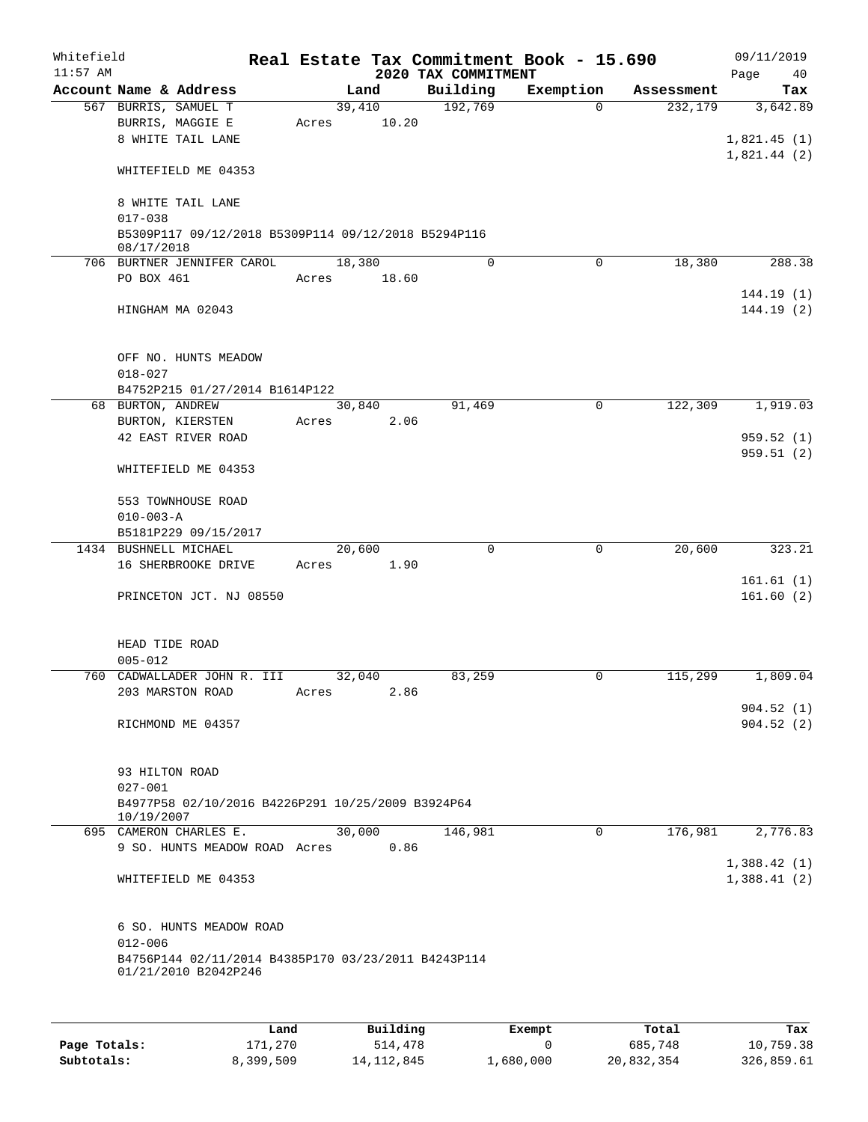| Whitefield<br>$11:57$ AM |                   |                                                     |       |        |       | Real Estate Tax Commitment Book - 15.690<br>2020 TAX COMMITMENT |             |            | 09/11/2019<br>Page<br>40 |
|--------------------------|-------------------|-----------------------------------------------------|-------|--------|-------|-----------------------------------------------------------------|-------------|------------|--------------------------|
|                          |                   | Account Name & Address                              |       | Land   |       | Building                                                        | Exemption   | Assessment | Tax                      |
|                          |                   | 567 BURRIS, SAMUEL T                                |       | 39,410 |       | 192,769                                                         | $\Omega$    | 232,179    | 3,642.89                 |
|                          |                   | BURRIS, MAGGIE E                                    | Acres |        | 10.20 |                                                                 |             |            |                          |
|                          |                   | 8 WHITE TAIL LANE                                   |       |        |       |                                                                 |             |            | 1,821.45(1)              |
|                          |                   |                                                     |       |        |       |                                                                 |             |            | 1,821.44(2)              |
|                          |                   | WHITEFIELD ME 04353                                 |       |        |       |                                                                 |             |            |                          |
|                          |                   |                                                     |       |        |       |                                                                 |             |            |                          |
|                          |                   | 8 WHITE TAIL LANE                                   |       |        |       |                                                                 |             |            |                          |
|                          | $017 - 038$       |                                                     |       |        |       |                                                                 |             |            |                          |
|                          |                   | B5309P117 09/12/2018 B5309P114 09/12/2018 B5294P116 |       |        |       |                                                                 |             |            |                          |
|                          | 08/17/2018        |                                                     |       |        |       |                                                                 |             |            |                          |
|                          |                   | 706 BURTNER JENNIFER CAROL                          |       | 18,380 |       | 0                                                               | $\Omega$    | 18,380     | 288.38                   |
|                          | PO BOX 461        |                                                     | Acres |        | 18.60 |                                                                 |             |            |                          |
|                          |                   |                                                     |       |        |       |                                                                 |             |            | 144.19(1)                |
|                          |                   | HINGHAM MA 02043                                    |       |        |       |                                                                 |             |            | 144.19(2)                |
|                          |                   |                                                     |       |        |       |                                                                 |             |            |                          |
|                          |                   |                                                     |       |        |       |                                                                 |             |            |                          |
|                          |                   | OFF NO. HUNTS MEADOW                                |       |        |       |                                                                 |             |            |                          |
|                          | $018 - 027$       |                                                     |       |        |       |                                                                 |             |            |                          |
|                          |                   | B4752P215 01/27/2014 B1614P122                      |       |        |       |                                                                 |             |            |                          |
|                          | 68 BURTON, ANDREW |                                                     |       | 30,840 |       | 91,469                                                          | $\mathbf 0$ | 122,309    | 1,919.03                 |
|                          |                   | BURTON, KIERSTEN                                    | Acres |        | 2.06  |                                                                 |             |            |                          |
|                          |                   | 42 EAST RIVER ROAD                                  |       |        |       |                                                                 |             |            | 959.52(1)                |
|                          |                   |                                                     |       |        |       |                                                                 |             |            | 959.51(2)                |
|                          |                   | WHITEFIELD ME 04353                                 |       |        |       |                                                                 |             |            |                          |
|                          |                   |                                                     |       |        |       |                                                                 |             |            |                          |
|                          |                   | 553 TOWNHOUSE ROAD                                  |       |        |       |                                                                 |             |            |                          |
|                          | $010 - 003 - A$   |                                                     |       |        |       |                                                                 |             |            |                          |
|                          |                   | B5181P229 09/15/2017                                |       |        |       |                                                                 |             |            |                          |
|                          |                   | 1434 BUSHNELL MICHAEL                               |       | 20,600 |       | $\mathbf 0$                                                     | 0           | 20,600     | 323.21                   |
|                          |                   | 16 SHERBROOKE DRIVE                                 | Acres |        | 1.90  |                                                                 |             |            |                          |
|                          |                   |                                                     |       |        |       |                                                                 |             |            | 161.61(1)                |
|                          |                   | PRINCETON JCT. NJ 08550                             |       |        |       |                                                                 |             |            | 161.60(2)                |
|                          |                   |                                                     |       |        |       |                                                                 |             |            |                          |
|                          | HEAD TIDE ROAD    |                                                     |       |        |       |                                                                 |             |            |                          |
|                          | $005 - 012$       |                                                     |       |        |       |                                                                 |             |            |                          |
|                          |                   | 760 CADWALLADER JOHN R. III                         |       | 32,040 |       | 83,259                                                          | 0           | 115,299    | 1,809.04                 |
|                          |                   |                                                     |       |        | 2.86  |                                                                 |             |            |                          |
|                          |                   | 203 MARSTON ROAD                                    | Acres |        |       |                                                                 |             |            |                          |
|                          |                   | RICHMOND ME 04357                                   |       |        |       |                                                                 |             |            | 904.52(1)<br>904.52(2)   |
|                          |                   |                                                     |       |        |       |                                                                 |             |            |                          |
|                          |                   |                                                     |       |        |       |                                                                 |             |            |                          |
|                          | 93 HILTON ROAD    |                                                     |       |        |       |                                                                 |             |            |                          |
|                          | $027 - 001$       |                                                     |       |        |       |                                                                 |             |            |                          |
|                          |                   | B4977P58 02/10/2016 B4226P291 10/25/2009 B3924P64   |       |        |       |                                                                 |             |            |                          |
|                          | 10/19/2007        |                                                     |       |        |       |                                                                 |             |            |                          |
|                          |                   | 695 CAMERON CHARLES E.                              |       | 30,000 |       | 146,981                                                         | $\Omega$    | 176,981    | 2,776.83                 |
|                          |                   | 9 SO. HUNTS MEADOW ROAD Acres                       |       |        | 0.86  |                                                                 |             |            |                          |
|                          |                   |                                                     |       |        |       |                                                                 |             |            | 1,388.42(1)              |
|                          |                   | WHITEFIELD ME 04353                                 |       |        |       |                                                                 |             |            | 1,388.41(2)              |
|                          |                   |                                                     |       |        |       |                                                                 |             |            |                          |
|                          |                   |                                                     |       |        |       |                                                                 |             |            |                          |
|                          |                   | 6 SO. HUNTS MEADOW ROAD                             |       |        |       |                                                                 |             |            |                          |
|                          | $012 - 006$       |                                                     |       |        |       |                                                                 |             |            |                          |
|                          |                   | B4756P144 02/11/2014 B4385P170 03/23/2011 B4243P114 |       |        |       |                                                                 |             |            |                          |
|                          |                   | 01/21/2010 B2042P246                                |       |        |       |                                                                 |             |            |                          |
|                          |                   |                                                     |       |        |       |                                                                 |             |            |                          |
|                          |                   |                                                     |       |        |       |                                                                 |             |            |                          |
|                          |                   |                                                     |       |        |       |                                                                 |             |            |                          |

|              | Land      | Building     | Exempt    | Total      | Tax        |
|--------------|-----------|--------------|-----------|------------|------------|
| Page Totals: | 171,270   | 514,478      |           | 685,748    | 10,759.38  |
| Subtotals:   | 8,399,509 | 14, 112, 845 | 1,680,000 | 20,832,354 | 326,859.61 |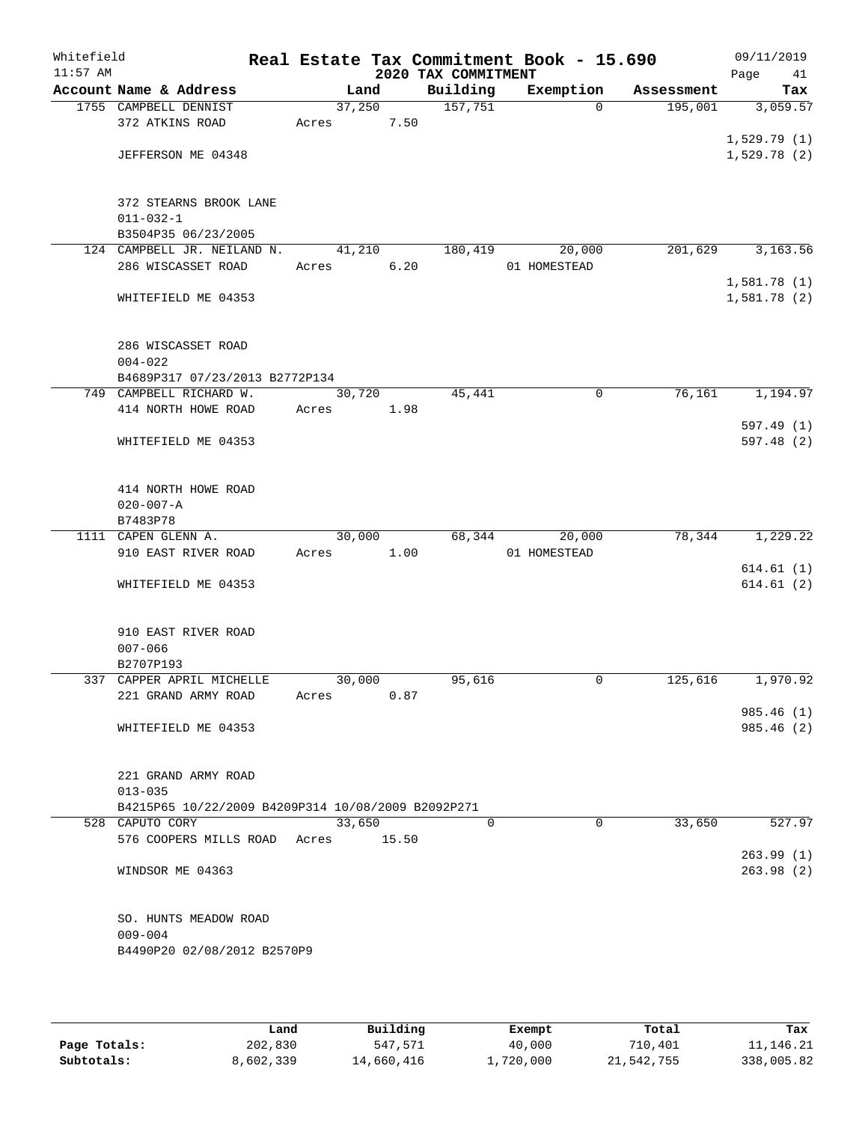| Whitefield<br>$11:57$ AM |                                                    |        |       | 2020 TAX COMMITMENT | Real Estate Tax Commitment Book - 15.690 |            | 09/11/2019<br>Page<br>41 |
|--------------------------|----------------------------------------------------|--------|-------|---------------------|------------------------------------------|------------|--------------------------|
|                          | Account Name & Address                             | Land   |       | Building            | Exemption                                | Assessment | Tax                      |
|                          | 1755 CAMPBELL DENNIST                              | 37,250 |       | 157,751             | $\Omega$                                 | 195,001    | 3,059.57                 |
|                          | 372 ATKINS ROAD                                    | Acres  | 7.50  |                     |                                          |            |                          |
|                          |                                                    |        |       |                     |                                          |            | 1,529.79(1)              |
|                          | JEFFERSON ME 04348                                 |        |       |                     |                                          |            | 1,529.78(2)              |
|                          | 372 STEARNS BROOK LANE                             |        |       |                     |                                          |            |                          |
|                          | $011 - 032 - 1$                                    |        |       |                     |                                          |            |                          |
|                          | B3504P35 06/23/2005                                |        |       |                     |                                          |            |                          |
|                          | 124 CAMPBELL JR. NEILAND N.                        | 41,210 |       | 180,419             | 20,000                                   | 201,629    | 3,163.56                 |
|                          | 286 WISCASSET ROAD                                 | Acres  | 6.20  |                     | 01 HOMESTEAD                             |            |                          |
|                          |                                                    |        |       |                     |                                          |            | 1,581.78(1)              |
|                          | WHITEFIELD ME 04353                                |        |       |                     |                                          |            | 1,581.78 (2)             |
|                          | 286 WISCASSET ROAD                                 |        |       |                     |                                          |            |                          |
|                          | $004 - 022$                                        |        |       |                     |                                          |            |                          |
|                          | B4689P317 07/23/2013 B2772P134                     |        |       |                     |                                          |            |                          |
|                          | 749 CAMPBELL RICHARD W.                            | 30,720 |       | 45,441              | 0                                        | 76,161     | 1,194.97                 |
|                          | 414 NORTH HOWE ROAD                                | Acres  | 1.98  |                     |                                          |            |                          |
|                          |                                                    |        |       |                     |                                          |            | 597.49(1)                |
|                          | WHITEFIELD ME 04353                                |        |       |                     |                                          |            | 597.48(2)                |
|                          | 414 NORTH HOWE ROAD                                |        |       |                     |                                          |            |                          |
|                          | $020 - 007 - A$                                    |        |       |                     |                                          |            |                          |
|                          | B7483P78                                           |        |       |                     |                                          |            |                          |
|                          | 1111 CAPEN GLENN A.                                | 30,000 |       | 68,344              | 20,000                                   | 78,344     | 1,229.22                 |
|                          | 910 EAST RIVER ROAD                                | Acres  | 1.00  |                     | 01 HOMESTEAD                             |            |                          |
|                          | WHITEFIELD ME 04353                                |        |       |                     |                                          |            | 614.61(1)<br>614.61(2)   |
|                          |                                                    |        |       |                     |                                          |            |                          |
|                          | 910 EAST RIVER ROAD                                |        |       |                     |                                          |            |                          |
|                          | $007 - 066$                                        |        |       |                     |                                          |            |                          |
|                          | B2707P193                                          |        |       |                     |                                          |            |                          |
|                          | 337 CAPPER APRIL MICHELLE                          | 30,000 |       | 95,616              | 0                                        | 125,616    | 1,970.92                 |
|                          | 221 GRAND ARMY ROAD                                | Acres  | 0.87  |                     |                                          |            |                          |
|                          |                                                    |        |       |                     |                                          |            | 985.46 (1)<br>985.46 (2) |
|                          | WHITEFIELD ME 04353                                |        |       |                     |                                          |            |                          |
|                          | 221 GRAND ARMY ROAD                                |        |       |                     |                                          |            |                          |
|                          | $013 - 035$                                        |        |       |                     |                                          |            |                          |
|                          | B4215P65 10/22/2009 B4209P314 10/08/2009 B2092P271 |        |       |                     |                                          |            |                          |
|                          | 528 CAPUTO CORY                                    | 33,650 |       | $\Omega$            | $\Omega$                                 | 33,650     | 527.97                   |
|                          | 576 COOPERS MILLS ROAD                             | Acres  | 15.50 |                     |                                          |            |                          |
|                          |                                                    |        |       |                     |                                          |            | 263.99(1)                |
|                          | WINDSOR ME 04363                                   |        |       |                     |                                          |            | 263.98(2)                |
|                          | SO. HUNTS MEADOW ROAD                              |        |       |                     |                                          |            |                          |
|                          | $009 - 004$                                        |        |       |                     |                                          |            |                          |
|                          | B4490P20 02/08/2012 B2570P9                        |        |       |                     |                                          |            |                          |
|                          |                                                    |        |       |                     |                                          |            |                          |

|              | Land      | Building   | Exempt    | Total      | Tax         |
|--------------|-----------|------------|-----------|------------|-------------|
| Page Totals: | 202,830   | 547,571    | 40,000    | 710,401    | 11, 146. 21 |
| Subtotals:   | 8,602,339 | 14,660,416 | ⊥,720,000 | 21,542,755 | 338,005.82  |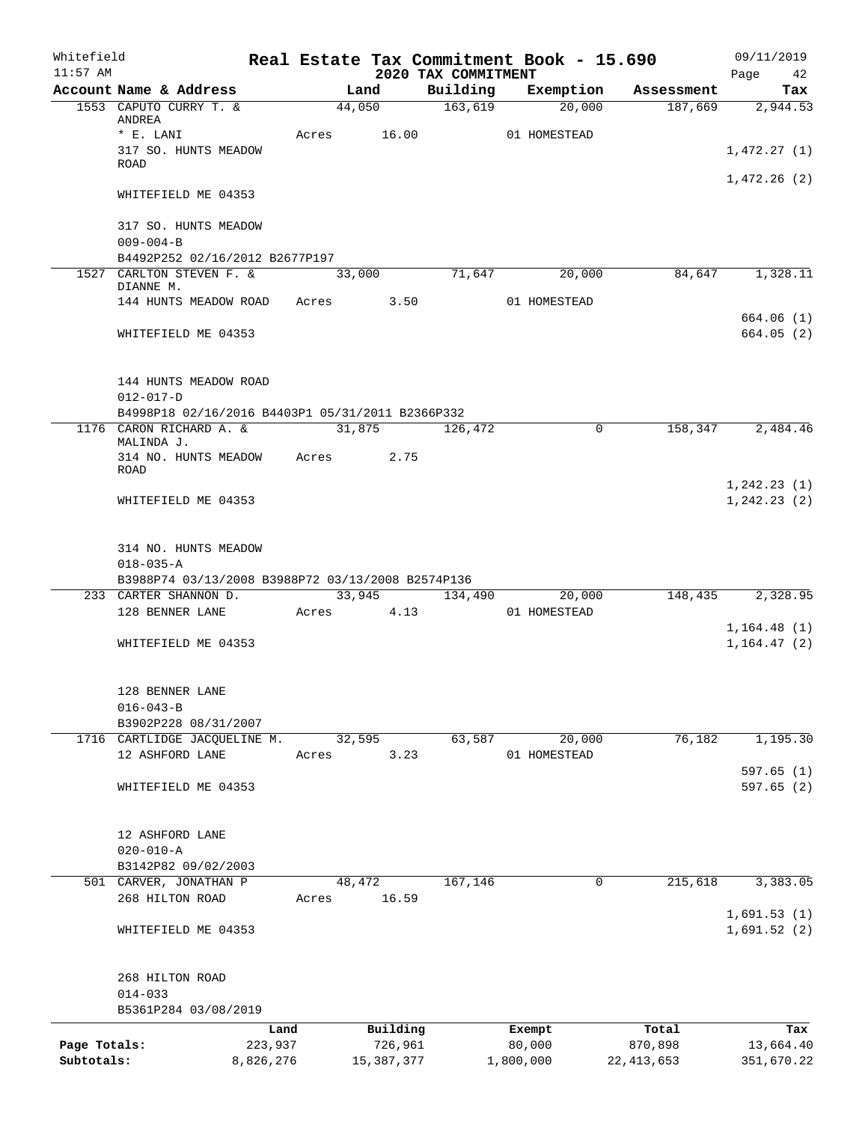| Whitefield<br>$11:57$ AM |                                                                            |         |             |                                 | Real Estate Tax Commitment Book - 15.690 |              | 09/11/2019             |
|--------------------------|----------------------------------------------------------------------------|---------|-------------|---------------------------------|------------------------------------------|--------------|------------------------|
|                          | Account Name & Address                                                     |         | Land        | 2020 TAX COMMITMENT<br>Building | Exemption                                | Assessment   | Page 42<br>Tax         |
|                          | 1553 CAPUTO CURRY T. &                                                     |         | 44,050      | 163,619                         | 20,000                                   | 187,669      | 2,944.53               |
|                          | ANDREA                                                                     |         |             |                                 |                                          |              |                        |
|                          | * E. LANI<br>317 SO. HUNTS MEADOW                                          |         | Acres 16.00 |                                 | 01 HOMESTEAD                             |              | 1,472.27(1)            |
|                          | <b>ROAD</b>                                                                |         |             |                                 |                                          |              |                        |
|                          | WHITEFIELD ME 04353                                                        |         |             |                                 |                                          |              | 1,472.26(2)            |
|                          | 317 SO. HUNTS MEADOW<br>$009 - 004 - B$                                    |         |             |                                 |                                          |              |                        |
|                          | B4492P252 02/16/2012 B2677P197                                             |         |             |                                 |                                          |              |                        |
|                          | 1527 CARLTON STEVEN F. &                                                   |         | 33,000      | 71,647                          | 20,000                                   | 84,647       | 1,328.11               |
|                          | DIANNE M.<br>144 HUNTS MEADOW ROAD Acres 3.50                              |         |             |                                 | 01 HOMESTEAD                             |              |                        |
|                          |                                                                            |         |             |                                 |                                          |              | 664.06(1)              |
|                          | WHITEFIELD ME 04353                                                        |         |             |                                 |                                          |              | 664.05(2)              |
|                          | 144 HUNTS MEADOW ROAD                                                      |         |             |                                 |                                          |              |                        |
|                          | $012 - 017 - D$                                                            |         |             |                                 |                                          |              |                        |
|                          | B4998P18 02/16/2016 B4403P1 05/31/2011 B2366P332                           |         |             |                                 |                                          |              |                        |
|                          | 1176 CARON RICHARD A. &<br>MALINDA J.                                      |         | 31,875      | 126,472                         | $\Omega$                                 | 158,347      | 2,484.46               |
|                          | 314 NO. HUNTS MEADOW Acres<br>ROAD                                         |         | 2.75        |                                 |                                          |              |                        |
|                          |                                                                            |         |             |                                 |                                          |              | 1, 242.23(1)           |
|                          | WHITEFIELD ME 04353                                                        |         |             |                                 |                                          |              | 1, 242.23(2)           |
|                          | 314 NO. HUNTS MEADOW                                                       |         |             |                                 |                                          |              |                        |
|                          | $018 - 035 - A$                                                            |         |             |                                 |                                          |              |                        |
|                          | B3988P74 03/13/2008 B3988P72 03/13/2008 B2574P136<br>233 CARTER SHANNON D. |         |             |                                 | 33,945 134,490 20,000                    |              | 148,435 2,328.95       |
|                          | 128 BENNER LANE                                                            |         | Acres 4.13  |                                 | 01 HOMESTEAD                             |              |                        |
|                          |                                                                            |         |             |                                 |                                          |              | 1, 164.48(1)           |
|                          | WHITEFIELD ME 04353                                                        |         |             |                                 |                                          |              | 1, 164, 47(2)          |
|                          | 128 BENNER LANE                                                            |         |             |                                 |                                          |              |                        |
|                          | $016 - 043 - B$                                                            |         |             |                                 |                                          |              |                        |
|                          | B3902P228 08/31/2007                                                       |         |             |                                 |                                          |              |                        |
|                          | 1716 CARTLIDGE JACQUELINE M.                                               |         | 32,595      | 63,587                          | 20,000                                   | 76,182       | 1,195.30               |
|                          | 12 ASHFORD LANE                                                            | Acres   | 3.23        |                                 | 01 HOMESTEAD                             |              |                        |
|                          | WHITEFIELD ME 04353                                                        |         |             |                                 |                                          |              | 597.65(1)<br>597.65(2) |
|                          |                                                                            |         |             |                                 |                                          |              |                        |
|                          | 12 ASHFORD LANE                                                            |         |             |                                 |                                          |              |                        |
|                          | $020 - 010 - A$                                                            |         |             |                                 |                                          |              |                        |
|                          | B3142P82 09/02/2003                                                        |         |             |                                 |                                          |              |                        |
|                          | 501 CARVER, JONATHAN P                                                     |         | 48,472      | 167,146                         | $\mathbf 0$                              | 215,618      | 3,383.05               |
|                          | 268 HILTON ROAD                                                            | Acres   | 16.59       |                                 |                                          |              | 1,691.53(1)            |
|                          | WHITEFIELD ME 04353                                                        |         |             |                                 |                                          |              | 1,691.52(2)            |
|                          | 268 HILTON ROAD                                                            |         |             |                                 |                                          |              |                        |
|                          | $014 - 033$                                                                |         |             |                                 |                                          |              |                        |
|                          | B5361P284 03/08/2019                                                       |         |             |                                 |                                          |              |                        |
|                          |                                                                            | Land    | Building    |                                 | Exempt                                   | Total        | Tax                    |
| Page Totals:             |                                                                            | 223,937 | 726,961     |                                 | 80,000                                   | 870,898      | 13,664.40              |
| Subtotals:               | 8,826,276                                                                  |         | 15,387,377  |                                 | 1,800,000                                | 22, 413, 653 | 351,670.22             |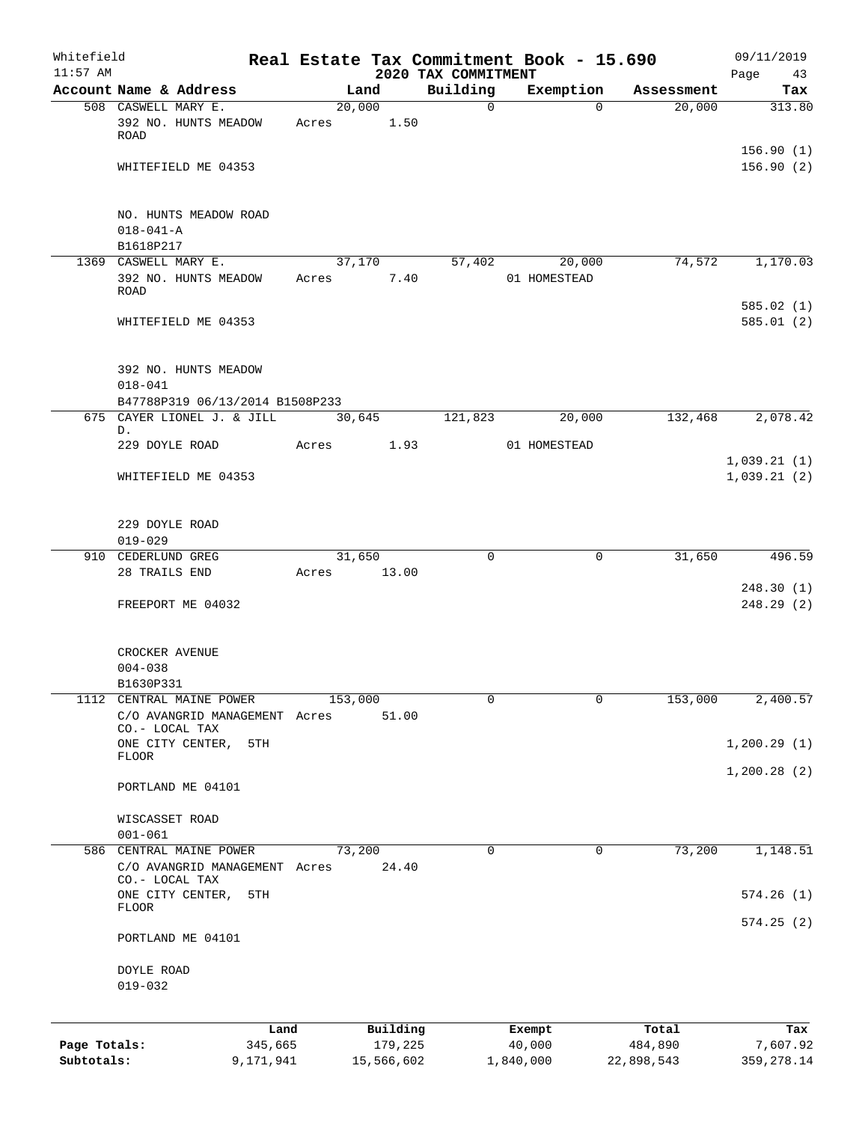| Whitefield<br>$11:57$ AM   |                                            |                                                           |         |                       |                                 | Real Estate Tax Commitment Book - 15.690 |                       | 09/11/2019                 |
|----------------------------|--------------------------------------------|-----------------------------------------------------------|---------|-----------------------|---------------------------------|------------------------------------------|-----------------------|----------------------------|
|                            |                                            | Account Name & Address                                    |         | Land                  | 2020 TAX COMMITMENT<br>Building | Exemption                                | Assessment            | Page<br>43<br>Tax          |
|                            | 508 CASWELL MARY E.                        | 392 NO. HUNTS MEADOW                                      | 20,000  | 1.50                  | $\mathbf 0$                     | $\Omega$                                 | 20,000                | 313.80                     |
|                            | ROAD                                       |                                                           | Acres   |                       |                                 |                                          |                       |                            |
|                            |                                            | WHITEFIELD ME 04353                                       |         |                       |                                 |                                          |                       | 156.90(1)<br>156.90(2)     |
|                            | $018 - 041 - A$<br>B1618P217               | NO. HUNTS MEADOW ROAD                                     |         |                       |                                 |                                          |                       |                            |
|                            | 1369 CASWELL MARY E.                       |                                                           | 37,170  |                       | 57,402                          | 20,000                                   | 74,572                | 1,170.03                   |
|                            | ROAD                                       | 392 NO. HUNTS MEADOW                                      | Acres   | 7.40                  |                                 | 01 HOMESTEAD                             |                       | 585.02(1)                  |
|                            |                                            | WHITEFIELD ME 04353                                       |         |                       |                                 |                                          |                       | 585.01(2)                  |
|                            | $018 - 041$                                | 392 NO. HUNTS MEADOW<br>B47788P319 06/13/2014 B1508P233   |         |                       |                                 |                                          |                       |                            |
|                            |                                            | 675 CAYER LIONEL J. & JILL                                | 30,645  |                       | 121,823                         | 20,000                                   | 132,468               | 2,078.42                   |
|                            | D.<br>229 DOYLE ROAD                       |                                                           | Acres   | 1.93                  |                                 | 01 HOMESTEAD                             |                       |                            |
|                            |                                            | WHITEFIELD ME 04353                                       |         |                       |                                 |                                          |                       | 1,039.21(1)<br>1,039.21(2) |
|                            | 229 DOYLE ROAD<br>$019 - 029$              |                                                           |         |                       |                                 |                                          |                       |                            |
|                            | 910 CEDERLUND GREG                         |                                                           | 31,650  |                       | $\Omega$                        | 0                                        | 31,650                | 496.59                     |
|                            | 28 TRAILS END                              |                                                           | Acres   | 13.00                 |                                 |                                          |                       |                            |
|                            |                                            | FREEPORT ME 04032                                         |         |                       |                                 |                                          |                       | 248.30(1)<br>248.29 (2)    |
|                            | CROCKER AVENUE<br>$004 - 038$<br>B1630P331 |                                                           |         |                       |                                 |                                          |                       |                            |
|                            | CO.- LOCAL TAX                             | 1112 CENTRAL MAINE POWER<br>C/O AVANGRID MANAGEMENT Acres | 153,000 | 51.00                 | 0                               | 0                                        | 153,000               | 2,400.57                   |
|                            |                                            | ONE CITY CENTER,<br>5TH                                   |         |                       |                                 |                                          |                       | 1,200.29(1)                |
|                            | FLOOR                                      | PORTLAND ME 04101                                         |         |                       |                                 |                                          |                       | 1,200.28(2)                |
|                            | WISCASSET ROAD                             |                                                           |         |                       |                                 |                                          |                       |                            |
|                            | $001 - 061$                                |                                                           |         |                       |                                 |                                          |                       |                            |
|                            | CO.- LOCAL TAX                             | 586 CENTRAL MAINE POWER<br>C/O AVANGRID MANAGEMENT Acres  | 73,200  | 24.40                 | $\Omega$                        | 0                                        | 73,200                | 1,148.51                   |
|                            | FLOOR                                      | ONE CITY CENTER,<br>5TH                                   |         |                       |                                 |                                          |                       | 574.26(1)                  |
|                            |                                            | PORTLAND ME 04101                                         |         |                       |                                 |                                          |                       | 574.25(2)                  |
|                            | DOYLE ROAD<br>$019 - 032$                  |                                                           |         |                       |                                 |                                          |                       |                            |
|                            |                                            | Land                                                      |         | Building              |                                 | Exempt                                   | Total                 | Tax                        |
| Page Totals:<br>Subtotals: |                                            | 345,665<br>9,171,941                                      |         | 179,225<br>15,566,602 |                                 | 40,000<br>1,840,000                      | 484,890<br>22,898,543 | 7,607.92<br>359, 278.14    |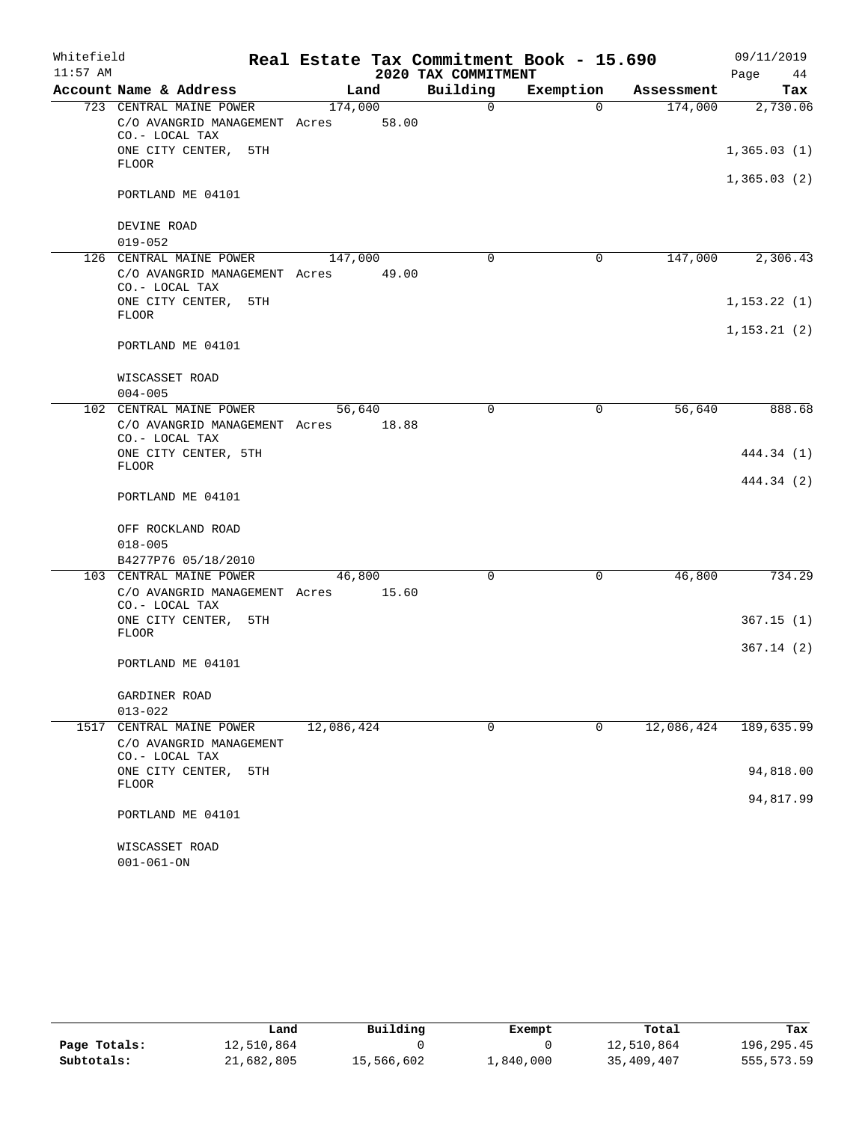| Whitefield |                                                                                  | Real Estate Tax Commitment Book - 15.690 |                     |             |            | 09/11/2019   |
|------------|----------------------------------------------------------------------------------|------------------------------------------|---------------------|-------------|------------|--------------|
| $11:57$ AM |                                                                                  |                                          | 2020 TAX COMMITMENT |             |            | Page<br>44   |
|            | Account Name & Address                                                           | Land                                     | Building            | Exemption   | Assessment | Tax          |
|            | 723 CENTRAL MAINE POWER<br>C/O AVANGRID MANAGEMENT Acres<br>CO.- LOCAL TAX       | 174,000<br>58.00                         | $\Omega$            | $\Omega$    | 174,000    | 2,730.06     |
|            | ONE CITY CENTER, 5TH<br><b>FLOOR</b>                                             |                                          |                     |             |            | 1,365.03(1)  |
|            |                                                                                  |                                          |                     |             |            | 1,365.03(2)  |
|            | PORTLAND ME 04101                                                                |                                          |                     |             |            |              |
|            | DEVINE ROAD<br>$019 - 052$                                                       |                                          |                     |             |            |              |
|            | 126 CENTRAL MAINE POWER                                                          | 147,000                                  | 0                   | $\mathbf 0$ | 147,000    | 2,306.43     |
|            | C/O AVANGRID MANAGEMENT Acres<br>CO.- LOCAL TAX                                  | 49.00                                    |                     |             |            |              |
|            | ONE CITY CENTER, 5TH<br><b>FLOOR</b>                                             |                                          |                     |             |            | 1, 153.22(1) |
|            | PORTLAND ME 04101                                                                |                                          |                     |             |            | 1, 153.21(2) |
|            | WISCASSET ROAD<br>$004 - 005$                                                    |                                          |                     |             |            |              |
|            | 102 CENTRAL MAINE POWER                                                          | 56,640                                   | 0                   | 0           | 56,640     | 888.68       |
|            | C/O AVANGRID MANAGEMENT Acres<br>CO.- LOCAL TAX                                  | 18.88                                    |                     |             |            |              |
|            | ONE CITY CENTER, 5TH<br><b>FLOOR</b>                                             |                                          |                     |             |            | 444.34 (1)   |
|            | PORTLAND ME 04101                                                                |                                          |                     |             |            | 444.34 (2)   |
|            | OFF ROCKLAND ROAD                                                                |                                          |                     |             |            |              |
|            | $018 - 005$                                                                      |                                          |                     |             |            |              |
|            | B4277P76 05/18/2010                                                              |                                          |                     |             |            |              |
|            | 103 CENTRAL MAINE POWER<br>C/O AVANGRID MANAGEMENT Acres 15.60<br>CO.- LOCAL TAX | 46,800                                   | $\Omega$            | $\mathbf 0$ | 46,800     | 734.29       |
|            | ONE CITY CENTER, 5TH<br><b>FLOOR</b>                                             |                                          |                     |             |            | 367.15(1)    |
|            | PORTLAND ME 04101                                                                |                                          |                     |             |            | 367.14 (2)   |
|            | GARDINER ROAD                                                                    |                                          |                     |             |            |              |
|            | $013 - 022$                                                                      |                                          |                     |             |            |              |
| 1517       | CENTRAL MAINE POWER<br>C/O AVANGRID MANAGEMENT<br>CO.- LOCAL TAX                 | 12,086,424                               | 0                   | $\mathbf 0$ | 12,086,424 | 189,635.99   |
|            | ONE CITY CENTER,<br>5TH                                                          |                                          |                     |             |            | 94,818.00    |
|            | <b>FLOOR</b>                                                                     |                                          |                     |             |            | 94,817.99    |
|            | PORTLAND ME 04101                                                                |                                          |                     |             |            |              |
|            | WISCASSET ROAD<br>$001 - 061 - ON$                                               |                                          |                     |             |            |              |

|              | Land       | Building   | Exempt    | Total      | Tax        |
|--------------|------------|------------|-----------|------------|------------|
| Page Totals: | 12,510,864 |            |           | 12,510,864 | 196,295.45 |
| Subtotals:   | 21,682,805 | 15,566,602 | 1,840,000 | 35,409,407 | 555,573.59 |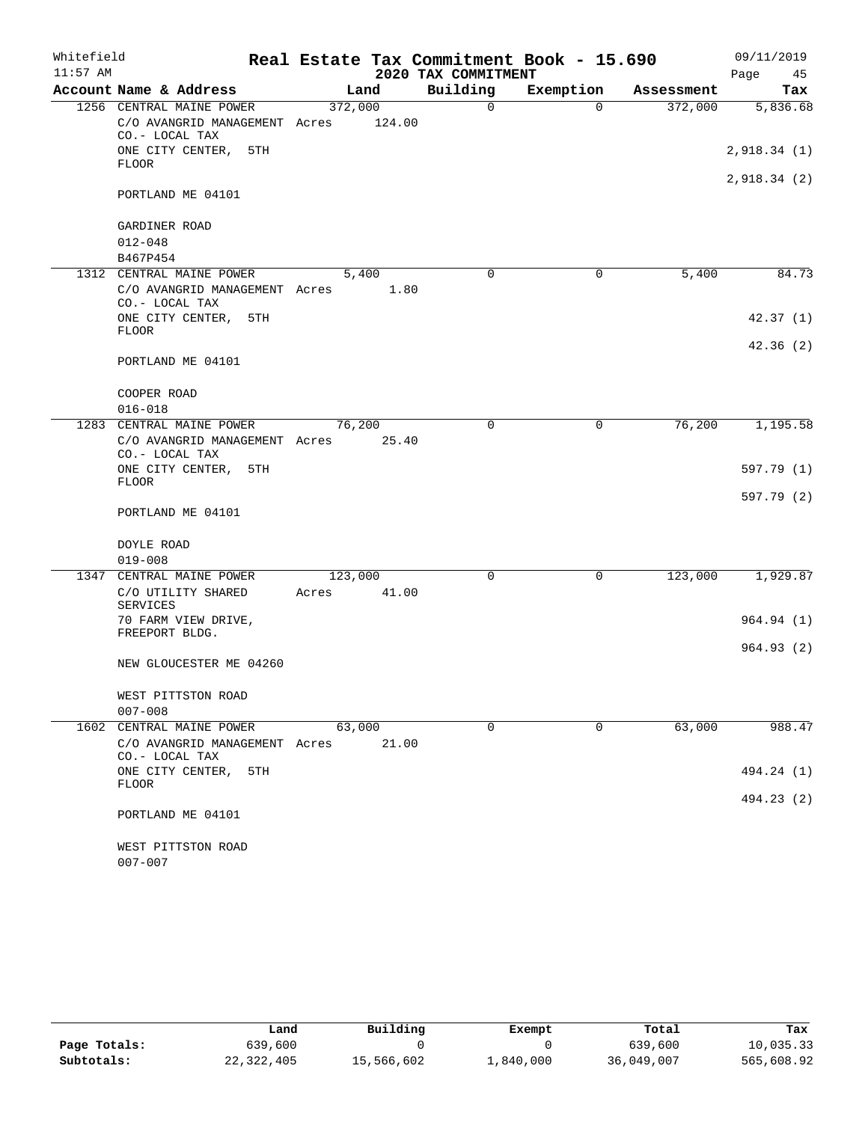| Whitefield |                                                                             |                  |        |                     | Real Estate Tax Commitment Book - 15.690 |            | 09/11/2019  |
|------------|-----------------------------------------------------------------------------|------------------|--------|---------------------|------------------------------------------|------------|-------------|
| $11:57$ AM |                                                                             |                  |        | 2020 TAX COMMITMENT |                                          |            | Page<br>45  |
|            | Account Name & Address                                                      | Land             |        | Building            | Exemption                                | Assessment | Tax         |
|            | 1256 CENTRAL MAINE POWER<br>C/O AVANGRID MANAGEMENT Acres<br>CO.- LOCAL TAX | 372,000          | 124.00 | $\Omega$            | $\Omega$                                 | 372,000    | 5,836.68    |
|            | ONE CITY CENTER, 5TH<br><b>FLOOR</b>                                        |                  |        |                     |                                          |            | 2,918.34(1) |
|            | PORTLAND ME 04101                                                           |                  |        |                     |                                          |            | 2,918.34(2) |
|            | GARDINER ROAD                                                               |                  |        |                     |                                          |            |             |
|            | $012 - 048$<br>B467P454                                                     |                  |        |                     |                                          |            |             |
|            | 1312 CENTRAL MAINE POWER                                                    | 5,400            |        | $\Omega$            | $\mathbf 0$                              | 5,400      | 84.73       |
|            | C/O AVANGRID MANAGEMENT Acres 1.80<br>CO.- LOCAL TAX                        |                  |        |                     |                                          |            |             |
|            | ONE CITY CENTER, 5TH<br><b>FLOOR</b>                                        |                  |        |                     |                                          |            | 42.37(1)    |
|            | PORTLAND ME 04101                                                           |                  |        |                     |                                          |            | 42.36(2)    |
|            | COOPER ROAD                                                                 |                  |        |                     |                                          |            |             |
|            | $016 - 018$                                                                 |                  |        |                     |                                          |            |             |
|            | 1283 CENTRAL MAINE POWER<br>C/O AVANGRID MANAGEMENT Acres<br>CO.- LOCAL TAX | 76,200           | 25.40  | 0                   | $\mathbf 0$                              | 76,200     | 1,195.58    |
|            | ONE CITY CENTER, 5TH<br><b>FLOOR</b>                                        |                  |        |                     |                                          |            | 597.79 (1)  |
|            | PORTLAND ME 04101                                                           |                  |        |                     |                                          |            | 597.79 (2)  |
|            | DOYLE ROAD                                                                  |                  |        |                     |                                          |            |             |
|            | $019 - 008$                                                                 |                  |        |                     |                                          |            |             |
|            | 1347 CENTRAL MAINE POWER<br>C/O UTILITY SHARED<br>SERVICES                  | 123,000<br>Acres | 41.00  | 0                   | $\mathbf 0$                              | 123,000    | 1,929.87    |
|            | 70 FARM VIEW DRIVE,<br>FREEPORT BLDG.                                       |                  |        |                     |                                          |            | 964.94(1)   |
|            | NEW GLOUCESTER ME 04260                                                     |                  |        |                     |                                          |            | 964.93(2)   |
|            | WEST PITTSTON ROAD<br>$007 - 008$                                           |                  |        |                     |                                          |            |             |
|            | 1602 CENTRAL MAINE POWER                                                    | 63,000           |        | $\Omega$            | 0                                        | 63,000     | 988.47      |
|            | C/O AVANGRID MANAGEMENT Acres<br>CO.- LOCAL TAX                             |                  | 21.00  |                     |                                          |            |             |
|            | ONE CITY CENTER,<br>5TH<br>FLOOR                                            |                  |        |                     |                                          |            | 494.24 (1)  |
|            | PORTLAND ME 04101                                                           |                  |        |                     |                                          |            | 494.23 (2)  |
|            | WEST PITTSTON ROAD<br>$007 - 007$                                           |                  |        |                     |                                          |            |             |

|              | Land       | Building   | Exempt    | Total      | Tax        |
|--------------|------------|------------|-----------|------------|------------|
| Page Totals: | 639,600    |            |           | 639,600    | 10,035.33  |
| Subtotals:   | 22,322,405 | 15,566,602 | 1,840,000 | 36,049,007 | 565,608.92 |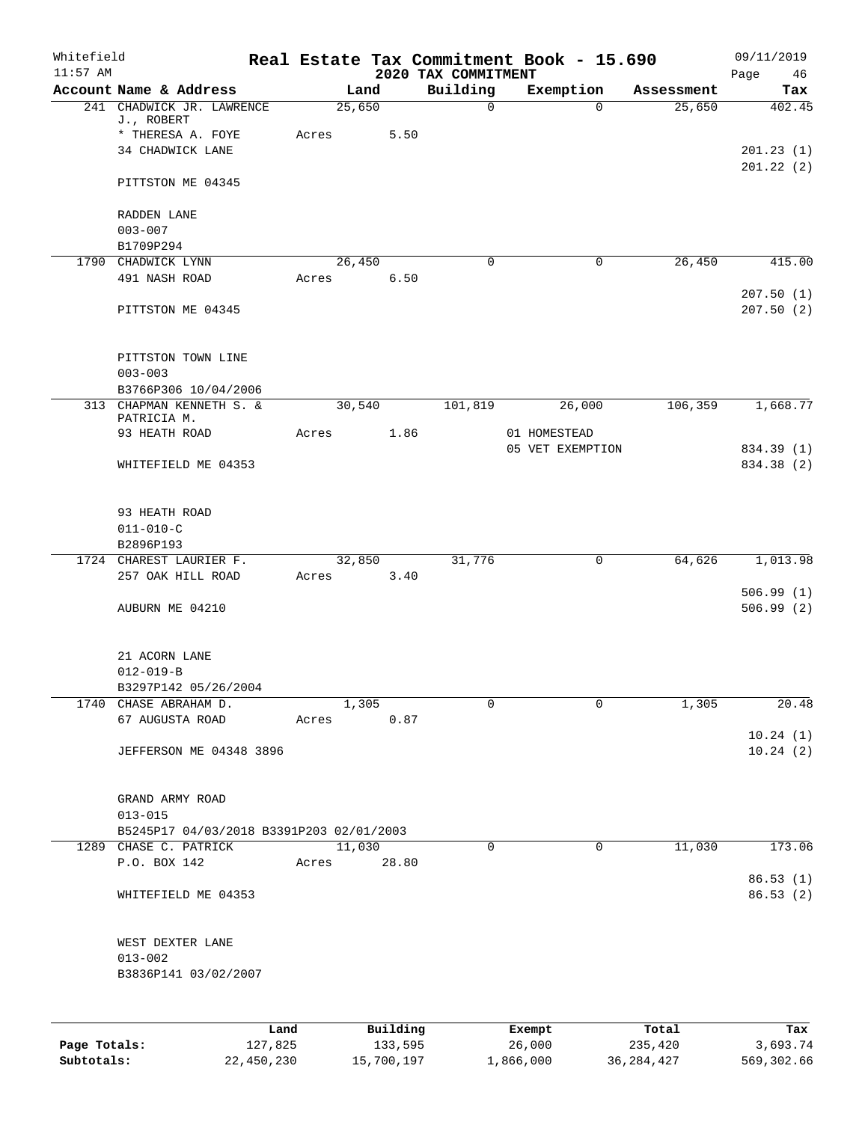| Whitefield<br>$11:57$ AM |                                                  |       |          | 2020 TAX COMMITMENT | Real Estate Tax Commitment Book - 15.690 |            | 09/11/2019<br>Page<br>46 |
|--------------------------|--------------------------------------------------|-------|----------|---------------------|------------------------------------------|------------|--------------------------|
|                          | Account Name & Address                           |       | Land     | Building            | Exemption                                | Assessment | Tax                      |
|                          | 241 CHADWICK JR. LAWRENCE<br>J., ROBERT          |       | 25,650   | $\mathsf{O}$        | $\Omega$                                 | 25,650     | 402.45                   |
|                          | * THERESA A. FOYE                                | Acres | 5.50     |                     |                                          |            |                          |
|                          | 34 CHADWICK LANE                                 |       |          |                     |                                          |            | 201.23(1)<br>201.22(2)   |
|                          | PITTSTON ME 04345                                |       |          |                     |                                          |            |                          |
|                          | RADDEN LANE<br>$003 - 007$                       |       |          |                     |                                          |            |                          |
|                          | B1709P294                                        |       |          |                     |                                          |            |                          |
|                          | 1790 CHADWICK LYNN                               |       | 26,450   | $\Omega$            | 0                                        | 26,450     | 415.00                   |
|                          | 491 NASH ROAD                                    | Acres | 6.50     |                     |                                          |            | 207.50(1)                |
|                          | PITTSTON ME 04345                                |       |          |                     |                                          |            | 207.50(2)                |
|                          | PITTSTON TOWN LINE                               |       |          |                     |                                          |            |                          |
|                          | $003 - 003$                                      |       |          |                     |                                          |            |                          |
|                          | B3766P306 10/04/2006<br>313 CHAPMAN KENNETH S. & |       | 30,540   | 101,819             | 26,000                                   | 106,359    | 1,668.77                 |
|                          | PATRICIA M.                                      |       |          |                     |                                          |            |                          |
|                          | 93 HEATH ROAD                                    | Acres | 1.86     |                     | 01 HOMESTEAD                             |            |                          |
|                          |                                                  |       |          |                     | 05 VET EXEMPTION                         |            | 834.39 (1)               |
|                          | WHITEFIELD ME 04353                              |       |          |                     |                                          |            | 834.38 (2)               |
|                          | 93 HEATH ROAD                                    |       |          |                     |                                          |            |                          |
|                          | $011 - 010 - C$                                  |       |          |                     |                                          |            |                          |
|                          | B2896P193                                        |       |          |                     |                                          |            |                          |
|                          | 1724 CHAREST LAURIER F.                          |       | 32,850   | 31,776              | 0                                        | 64,626     | 1,013.98                 |
|                          | 257 OAK HILL ROAD                                | Acres | 3.40     |                     |                                          |            |                          |
|                          | AUBURN ME 04210                                  |       |          |                     |                                          |            | 506.99(1)<br>506.99(2)   |
|                          |                                                  |       |          |                     |                                          |            |                          |
|                          | 21 ACORN LANE                                    |       |          |                     |                                          |            |                          |
|                          | $012 - 019 - B$                                  |       |          |                     |                                          |            |                          |
|                          | B3297P142 05/26/2004                             |       |          |                     |                                          |            |                          |
|                          | 1740 CHASE ABRAHAM D.                            |       | 1,305    | 0                   | $\Omega$                                 | 1,305      | 20.48                    |
|                          | 67 AUGUSTA ROAD                                  | Acres | 0.87     |                     |                                          |            | 10.24(1)                 |
|                          | JEFFERSON ME 04348 3896                          |       |          |                     |                                          |            | 10.24(2)                 |
|                          | GRAND ARMY ROAD                                  |       |          |                     |                                          |            |                          |
|                          | $013 - 015$                                      |       |          |                     |                                          |            |                          |
|                          | B5245P17 04/03/2018 B3391P203 02/01/2003         |       |          |                     |                                          |            |                          |
|                          | 1289 CHASE C. PATRICK                            |       | 11,030   | 0                   | $\mathbf 0$                              | 11,030     | 173.06                   |
|                          | P.O. BOX 142                                     | Acres | 28.80    |                     |                                          |            | 86.53(1)                 |
|                          | WHITEFIELD ME 04353                              |       |          |                     |                                          |            | 86.53(2)                 |
|                          | WEST DEXTER LANE                                 |       |          |                     |                                          |            |                          |
|                          | $013 - 002$                                      |       |          |                     |                                          |            |                          |
|                          | B3836P141 03/02/2007                             |       |          |                     |                                          |            |                          |
|                          |                                                  |       |          |                     |                                          |            |                          |
|                          | Land                                             |       | Building |                     | Exempt                                   | Total      | Tax                      |
| Page Totals:             | 127,825                                          |       | 133,595  |                     | 26,000                                   | 235,420    | 3,693.74                 |

**Subtotals:** 22,450,230 15,700,197 1,866,000 36,284,427 569,302.66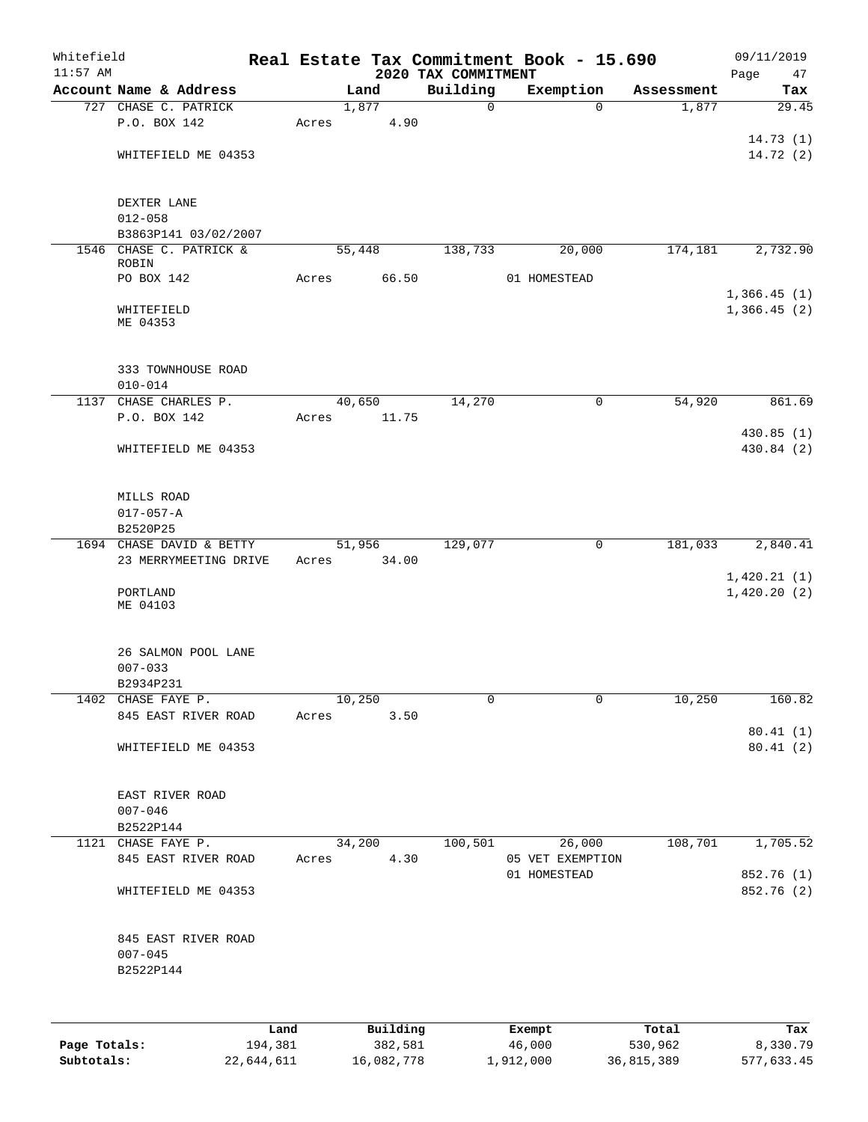| Whitefield<br>$11:57$ AM |                                                 |      |       |          | 2020 TAX COMMITMENT | Real Estate Tax Commitment Book - 15.690 |            | 09/11/2019<br>Page<br>47   |
|--------------------------|-------------------------------------------------|------|-------|----------|---------------------|------------------------------------------|------------|----------------------------|
|                          | Account Name & Address                          |      |       | Land     | Building            | Exemption                                | Assessment | Tax                        |
|                          | 727 CHASE C. PATRICK                            |      |       | 1,877    | $\mathbf 0$         | $\mathbf 0$                              | 1,877      | 29.45                      |
|                          | P.O. BOX 142                                    |      | Acres | 4.90     |                     |                                          |            |                            |
|                          |                                                 |      |       |          |                     |                                          |            | 14.73(1)                   |
|                          | WHITEFIELD ME 04353                             |      |       |          |                     |                                          |            | 14.72 (2)                  |
|                          | DEXTER LANE                                     |      |       |          |                     |                                          |            |                            |
|                          | $012 - 058$                                     |      |       |          |                     |                                          |            |                            |
|                          | B3863P141 03/02/2007                            |      |       |          |                     |                                          |            |                            |
|                          | 1546 CHASE C. PATRICK &<br>ROBIN                |      |       | 55,448   | 138,733             | 20,000                                   | 174,181    | 2,732.90                   |
|                          | PO BOX 142                                      |      | Acres | 66.50    |                     | 01 HOMESTEAD                             |            |                            |
|                          |                                                 |      |       |          |                     |                                          |            | 1,366.45(1)                |
|                          | WHITEFIELD<br>ME 04353                          |      |       |          |                     |                                          |            | 1,366.45(2)                |
|                          | 333 TOWNHOUSE ROAD                              |      |       |          |                     |                                          |            |                            |
|                          | $010 - 014$                                     |      |       |          |                     |                                          |            |                            |
|                          | 1137 CHASE CHARLES P.                           |      |       | 40,650   | 14,270              | 0                                        | 54,920     | 861.69                     |
|                          | P.O. BOX 142                                    |      | Acres | 11.75    |                     |                                          |            | 430.85 (1)                 |
|                          | WHITEFIELD ME 04353                             |      |       |          |                     |                                          |            | 430.84 (2)                 |
|                          | MILLS ROAD                                      |      |       |          |                     |                                          |            |                            |
|                          | $017 - 057 - A$                                 |      |       |          |                     |                                          |            |                            |
|                          | B2520P25                                        |      |       |          |                     |                                          |            |                            |
|                          | 1694 CHASE DAVID & BETTY                        |      |       | 51,956   | 129,077             | $\mathsf{O}$                             | 181,033    | 2,840.41                   |
|                          | 23 MERRYMEETING DRIVE                           |      | Acres | 34.00    |                     |                                          |            |                            |
|                          | PORTLAND<br>ME 04103                            |      |       |          |                     |                                          |            | 1,420.21(1)<br>1,420.20(2) |
|                          | 26 SALMON POOL LANE<br>$007 - 033$              |      |       |          |                     |                                          |            |                            |
|                          | B2934P231                                       |      |       |          |                     |                                          |            |                            |
|                          | 1402 CHASE FAYE P.                              |      |       | 10,250   | 0                   | 0                                        | 10,250     | 160.82                     |
|                          | 845 EAST RIVER ROAD                             |      | Acres | 3.50     |                     |                                          |            | 80.41(1)                   |
|                          | WHITEFIELD ME 04353                             |      |       |          |                     |                                          |            | 80.41(2)                   |
|                          | EAST RIVER ROAD<br>$007 - 046$                  |      |       |          |                     |                                          |            |                            |
|                          | B2522P144                                       |      |       |          |                     |                                          |            |                            |
|                          | 1121 CHASE FAYE P.                              |      |       | 34,200   | 100,501             | 26,000                                   | 108,701    | 1,705.52                   |
|                          | 845 EAST RIVER ROAD                             |      | Acres | 4.30     |                     | 05 VET EXEMPTION<br>01 HOMESTEAD         |            | 852.76 (1)                 |
|                          | WHITEFIELD ME 04353                             |      |       |          |                     |                                          |            | 852.76 (2)                 |
|                          | 845 EAST RIVER ROAD<br>$007 - 045$<br>B2522P144 |      |       |          |                     |                                          |            |                            |
|                          |                                                 | Land |       | Building |                     | Exempt                                   | Total      | Tax                        |

|              | Land       | Building   | Exempt    | Total      | Tax        |
|--------------|------------|------------|-----------|------------|------------|
| Page Totals: | 194,381    | 382,581    | 46,000    | 530,962    | 8,330.79   |
| Subtotals:   | 22,644,611 | 16,082,778 | 1,912,000 | 36,815,389 | 577,633.45 |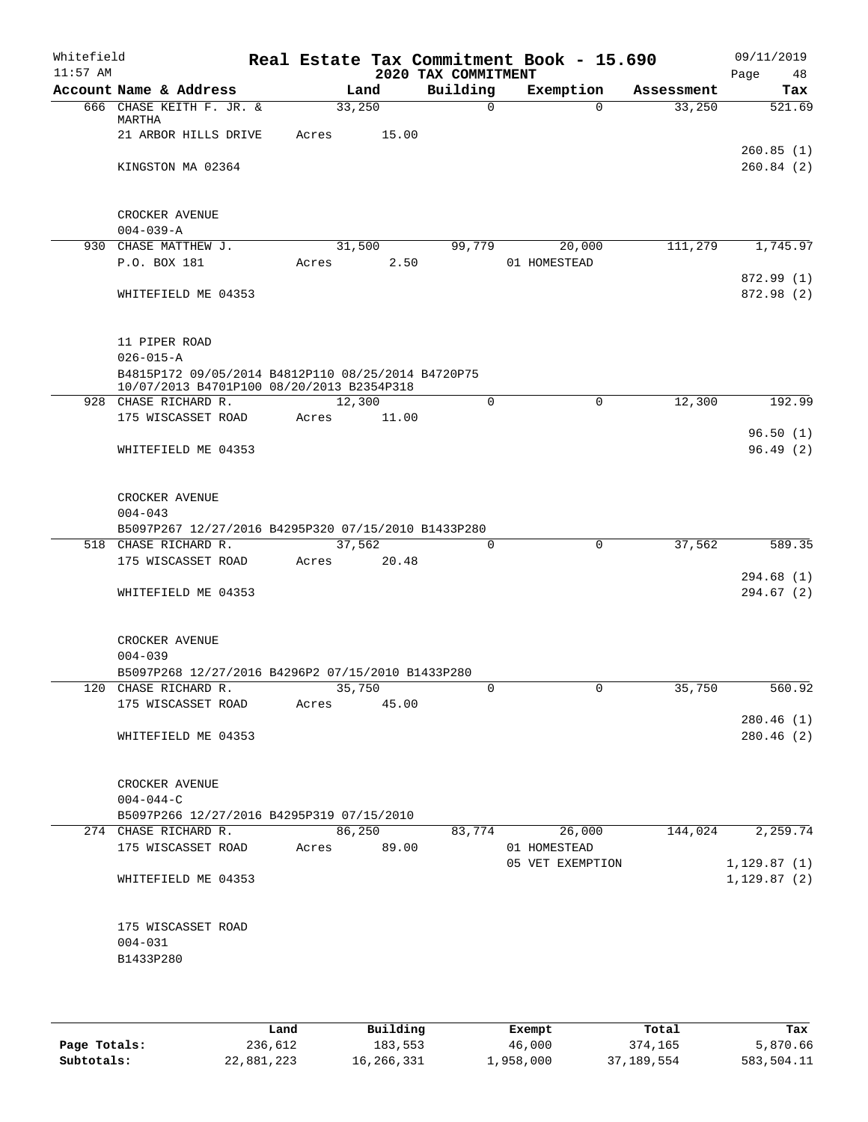| Whitefield<br>$11:57$ AM |                               |                                                                                                 |                 |                | 2020 TAX COMMITMENT | Real Estate Tax Commitment Book - 15.690 |            | 09/11/2019<br>Page<br>48     |
|--------------------------|-------------------------------|-------------------------------------------------------------------------------------------------|-----------------|----------------|---------------------|------------------------------------------|------------|------------------------------|
|                          |                               | Account Name & Address                                                                          |                 | Land           | Building            | Exemption                                | Assessment | Tax                          |
|                          | MARTHA                        | 666 CHASE KEITH F. JR. &                                                                        | 33,250          |                | $\Omega$            | $\Omega$                                 | 33,250     | 521.69                       |
|                          |                               | 21 ARBOR HILLS DRIVE                                                                            | Acres           | 15.00          |                     |                                          |            | 260.85(1)                    |
|                          |                               | KINGSTON MA 02364                                                                               |                 |                |                     |                                          |            | 260.84(2)                    |
|                          | CROCKER AVENUE                |                                                                                                 |                 |                |                     |                                          |            |                              |
|                          | $004 - 039 - A$               |                                                                                                 |                 |                |                     |                                          |            |                              |
|                          | P.O. BOX 181                  | 930 CHASE MATTHEW J.                                                                            | Acres           | 31,500<br>2.50 | 99,779              | 20,000<br>01 HOMESTEAD                   | 111,279    | 1,745.97                     |
|                          |                               | WHITEFIELD ME 04353                                                                             |                 |                |                     |                                          |            | 872.99 (1)<br>872.98 (2)     |
|                          | 11 PIPER ROAD                 |                                                                                                 |                 |                |                     |                                          |            |                              |
|                          | $026 - 015 - A$               |                                                                                                 |                 |                |                     |                                          |            |                              |
|                          |                               | B4815P172 09/05/2014 B4812P110 08/25/2014 B4720P75<br>10/07/2013 B4701P100 08/20/2013 B2354P318 |                 |                |                     |                                          |            |                              |
|                          |                               | 928 CHASE RICHARD R.                                                                            | 12,300          |                | $\mathbf 0$         | $\mathbf 0$                              | 12,300     | 192.99                       |
|                          |                               | 175 WISCASSET ROAD                                                                              | Acres           | 11.00          |                     |                                          |            |                              |
|                          |                               | WHITEFIELD ME 04353                                                                             |                 |                |                     |                                          |            | 96.50(1)<br>96.49(2)         |
|                          | CROCKER AVENUE<br>$004 - 043$ |                                                                                                 |                 |                |                     |                                          |            |                              |
|                          |                               | B5097P267 12/27/2016 B4295P320 07/15/2010 B1433P280                                             |                 |                |                     |                                          |            |                              |
|                          |                               | 518 CHASE RICHARD R.<br>175 WISCASSET ROAD                                                      | 37,562<br>Acres | 20.48          | 0                   | 0                                        | 37,562     | 589.35                       |
|                          |                               | WHITEFIELD ME 04353                                                                             |                 |                |                     |                                          |            | 294.68(1)<br>294.67(2)       |
|                          | CROCKER AVENUE                |                                                                                                 |                 |                |                     |                                          |            |                              |
|                          | $004 - 039$                   |                                                                                                 |                 |                |                     |                                          |            |                              |
|                          |                               | B5097P268 12/27/2016 B4296P2 07/15/2010 B1433P280                                               | 35,750          |                |                     |                                          |            |                              |
|                          |                               | 120 CHASE RICHARD R.<br>175 WISCASSET ROAD                                                      | Acres           | 45.00          | $\circ$             | $\overline{0}$                           | 35,750     | 560.92                       |
|                          |                               | WHITEFIELD ME 04353                                                                             |                 |                |                     |                                          |            | 280.46(1)<br>280.46(2)       |
|                          | CROCKER AVENUE                |                                                                                                 |                 |                |                     |                                          |            |                              |
|                          | $004 - 044 - C$               | B5097P266 12/27/2016 B4295P319 07/15/2010                                                       |                 |                |                     |                                          |            |                              |
|                          |                               | 274 CHASE RICHARD R.                                                                            |                 | 86,250         | 83,774              | 26,000                                   | 144,024    | 2,259.74                     |
|                          |                               | 175 WISCASSET ROAD                                                                              | Acres 89.00     |                |                     | 01 HOMESTEAD                             |            |                              |
|                          |                               | WHITEFIELD ME 04353                                                                             |                 |                |                     | 05 VET EXEMPTION                         |            | 1, 129.87(1)<br>1, 129.87(2) |
|                          | $004 - 031$<br>B1433P280      | 175 WISCASSET ROAD                                                                              |                 |                |                     |                                          |            |                              |
|                          |                               |                                                                                                 |                 |                |                     |                                          |            |                              |

|              | Land       | Building   | Exempt    | Total        | Tax        |
|--------------|------------|------------|-----------|--------------|------------|
| Page Totals: | 236,612    | 183,553    | 46,000    | 374,165      | 5,870.66   |
| Subtotals:   | 22,881,223 | 16,266,331 | 1,958,000 | 37, 189, 554 | 583,504.11 |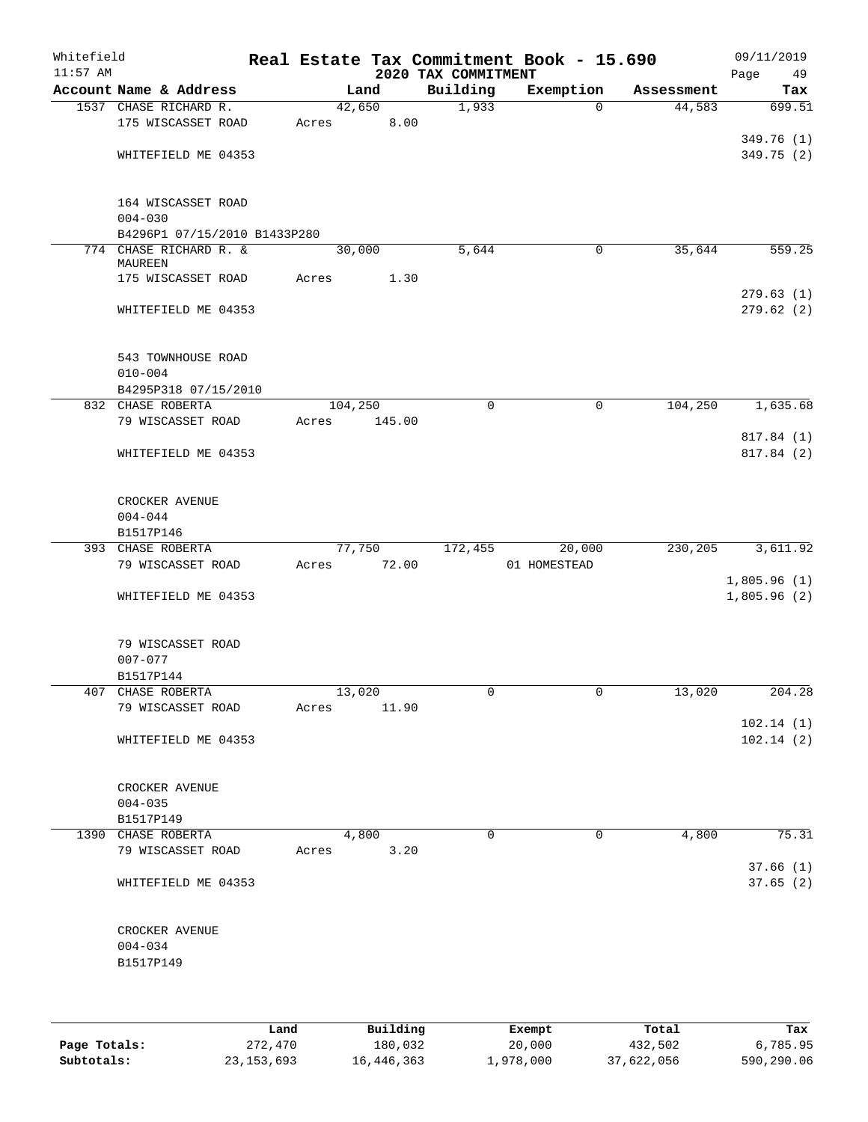| Building<br>Account Name & Address<br>Exemption<br>Land<br>Assessment<br>Tax<br>1,933<br>1537 CHASE RICHARD R.<br>42,650<br>44,583<br>0<br>175 WISCASSET ROAD<br>8.00<br>Acres<br>WHITEFIELD ME 04353<br>164 WISCASSET ROAD<br>$004 - 030$<br>B4296P1 07/15/2010 B1433P280<br>774 CHASE RICHARD R. &<br>30,000<br>5,644<br>35,644<br>0<br>MAUREEN<br>1.30<br>175 WISCASSET ROAD<br>Acres<br>WHITEFIELD ME 04353<br>543 TOWNHOUSE ROAD<br>$010 - 004$<br>B4295P318 07/15/2010<br>104,250<br>104,250<br>832 CHASE ROBERTA<br>0<br>0<br>79 WISCASSET ROAD<br>145.00<br>Acres<br>WHITEFIELD ME 04353<br>CROCKER AVENUE<br>$004 - 044$<br>B1517P146<br>393 CHASE ROBERTA<br>172,455<br>20,000<br>230,205<br>77,750<br>79 WISCASSET ROAD<br>72.00<br>01 HOMESTEAD<br>Acres<br>WHITEFIELD ME 04353<br>79 WISCASSET ROAD<br>$007 - 077$<br>B1517P144<br>407 CHASE ROBERTA<br>13,020<br>0<br>0<br>13,020<br>79 WISCASSET ROAD<br>Acres<br>11.90<br>WHITEFIELD ME 04353<br>CROCKER AVENUE<br>$004 - 035$<br>B1517P149<br>$\mathbf 0$<br>4,800<br>1390 CHASE ROBERTA<br>4,800<br>$\Omega$<br>79 WISCASSET ROAD<br>Acres<br>3.20<br>WHITEFIELD ME 04353<br>CROCKER AVENUE<br>$004 - 034$<br>B1517P149 | Whitefield<br>$11:57$ AM |  |  |  | 2020 TAX COMMITMENT | Real Estate Tax Commitment Book - 15.690 | 09/11/2019<br>Page<br>49 |
|-------------------------------------------------------------------------------------------------------------------------------------------------------------------------------------------------------------------------------------------------------------------------------------------------------------------------------------------------------------------------------------------------------------------------------------------------------------------------------------------------------------------------------------------------------------------------------------------------------------------------------------------------------------------------------------------------------------------------------------------------------------------------------------------------------------------------------------------------------------------------------------------------------------------------------------------------------------------------------------------------------------------------------------------------------------------------------------------------------------------------------------------------------------------------------------------|--------------------------|--|--|--|---------------------|------------------------------------------|--------------------------|
|                                                                                                                                                                                                                                                                                                                                                                                                                                                                                                                                                                                                                                                                                                                                                                                                                                                                                                                                                                                                                                                                                                                                                                                           |                          |  |  |  |                     |                                          |                          |
|                                                                                                                                                                                                                                                                                                                                                                                                                                                                                                                                                                                                                                                                                                                                                                                                                                                                                                                                                                                                                                                                                                                                                                                           |                          |  |  |  |                     |                                          | 699.51                   |
|                                                                                                                                                                                                                                                                                                                                                                                                                                                                                                                                                                                                                                                                                                                                                                                                                                                                                                                                                                                                                                                                                                                                                                                           |                          |  |  |  |                     |                                          |                          |
| 349.75 (2)                                                                                                                                                                                                                                                                                                                                                                                                                                                                                                                                                                                                                                                                                                                                                                                                                                                                                                                                                                                                                                                                                                                                                                                |                          |  |  |  |                     |                                          | 349.76 (1)               |
|                                                                                                                                                                                                                                                                                                                                                                                                                                                                                                                                                                                                                                                                                                                                                                                                                                                                                                                                                                                                                                                                                                                                                                                           |                          |  |  |  |                     |                                          |                          |
|                                                                                                                                                                                                                                                                                                                                                                                                                                                                                                                                                                                                                                                                                                                                                                                                                                                                                                                                                                                                                                                                                                                                                                                           |                          |  |  |  |                     |                                          |                          |
|                                                                                                                                                                                                                                                                                                                                                                                                                                                                                                                                                                                                                                                                                                                                                                                                                                                                                                                                                                                                                                                                                                                                                                                           |                          |  |  |  |                     |                                          |                          |
|                                                                                                                                                                                                                                                                                                                                                                                                                                                                                                                                                                                                                                                                                                                                                                                                                                                                                                                                                                                                                                                                                                                                                                                           |                          |  |  |  |                     |                                          |                          |
| 559.25<br>279.63(1)<br>279.62(2)<br>1,635.68<br>817.84 (1)<br>817.84 (2)<br>3,611.92                                                                                                                                                                                                                                                                                                                                                                                                                                                                                                                                                                                                                                                                                                                                                                                                                                                                                                                                                                                                                                                                                                      |                          |  |  |  |                     |                                          |                          |
|                                                                                                                                                                                                                                                                                                                                                                                                                                                                                                                                                                                                                                                                                                                                                                                                                                                                                                                                                                                                                                                                                                                                                                                           |                          |  |  |  |                     |                                          |                          |
|                                                                                                                                                                                                                                                                                                                                                                                                                                                                                                                                                                                                                                                                                                                                                                                                                                                                                                                                                                                                                                                                                                                                                                                           |                          |  |  |  |                     |                                          |                          |
|                                                                                                                                                                                                                                                                                                                                                                                                                                                                                                                                                                                                                                                                                                                                                                                                                                                                                                                                                                                                                                                                                                                                                                                           |                          |  |  |  |                     |                                          |                          |
|                                                                                                                                                                                                                                                                                                                                                                                                                                                                                                                                                                                                                                                                                                                                                                                                                                                                                                                                                                                                                                                                                                                                                                                           |                          |  |  |  |                     |                                          |                          |
|                                                                                                                                                                                                                                                                                                                                                                                                                                                                                                                                                                                                                                                                                                                                                                                                                                                                                                                                                                                                                                                                                                                                                                                           |                          |  |  |  |                     |                                          |                          |
|                                                                                                                                                                                                                                                                                                                                                                                                                                                                                                                                                                                                                                                                                                                                                                                                                                                                                                                                                                                                                                                                                                                                                                                           |                          |  |  |  |                     |                                          |                          |
|                                                                                                                                                                                                                                                                                                                                                                                                                                                                                                                                                                                                                                                                                                                                                                                                                                                                                                                                                                                                                                                                                                                                                                                           |                          |  |  |  |                     |                                          |                          |
|                                                                                                                                                                                                                                                                                                                                                                                                                                                                                                                                                                                                                                                                                                                                                                                                                                                                                                                                                                                                                                                                                                                                                                                           |                          |  |  |  |                     |                                          |                          |
|                                                                                                                                                                                                                                                                                                                                                                                                                                                                                                                                                                                                                                                                                                                                                                                                                                                                                                                                                                                                                                                                                                                                                                                           |                          |  |  |  |                     |                                          |                          |
|                                                                                                                                                                                                                                                                                                                                                                                                                                                                                                                                                                                                                                                                                                                                                                                                                                                                                                                                                                                                                                                                                                                                                                                           |                          |  |  |  |                     |                                          |                          |
|                                                                                                                                                                                                                                                                                                                                                                                                                                                                                                                                                                                                                                                                                                                                                                                                                                                                                                                                                                                                                                                                                                                                                                                           |                          |  |  |  |                     |                                          |                          |
|                                                                                                                                                                                                                                                                                                                                                                                                                                                                                                                                                                                                                                                                                                                                                                                                                                                                                                                                                                                                                                                                                                                                                                                           |                          |  |  |  |                     |                                          |                          |
|                                                                                                                                                                                                                                                                                                                                                                                                                                                                                                                                                                                                                                                                                                                                                                                                                                                                                                                                                                                                                                                                                                                                                                                           |                          |  |  |  |                     |                                          |                          |
|                                                                                                                                                                                                                                                                                                                                                                                                                                                                                                                                                                                                                                                                                                                                                                                                                                                                                                                                                                                                                                                                                                                                                                                           |                          |  |  |  |                     |                                          |                          |
|                                                                                                                                                                                                                                                                                                                                                                                                                                                                                                                                                                                                                                                                                                                                                                                                                                                                                                                                                                                                                                                                                                                                                                                           |                          |  |  |  |                     |                                          |                          |
|                                                                                                                                                                                                                                                                                                                                                                                                                                                                                                                                                                                                                                                                                                                                                                                                                                                                                                                                                                                                                                                                                                                                                                                           |                          |  |  |  |                     |                                          |                          |
|                                                                                                                                                                                                                                                                                                                                                                                                                                                                                                                                                                                                                                                                                                                                                                                                                                                                                                                                                                                                                                                                                                                                                                                           |                          |  |  |  |                     |                                          |                          |
| 1,805.96(1)<br>1,805.96(2)                                                                                                                                                                                                                                                                                                                                                                                                                                                                                                                                                                                                                                                                                                                                                                                                                                                                                                                                                                                                                                                                                                                                                                |                          |  |  |  |                     |                                          |                          |
|                                                                                                                                                                                                                                                                                                                                                                                                                                                                                                                                                                                                                                                                                                                                                                                                                                                                                                                                                                                                                                                                                                                                                                                           |                          |  |  |  |                     |                                          |                          |
|                                                                                                                                                                                                                                                                                                                                                                                                                                                                                                                                                                                                                                                                                                                                                                                                                                                                                                                                                                                                                                                                                                                                                                                           |                          |  |  |  |                     |                                          |                          |
|                                                                                                                                                                                                                                                                                                                                                                                                                                                                                                                                                                                                                                                                                                                                                                                                                                                                                                                                                                                                                                                                                                                                                                                           |                          |  |  |  |                     |                                          |                          |
|                                                                                                                                                                                                                                                                                                                                                                                                                                                                                                                                                                                                                                                                                                                                                                                                                                                                                                                                                                                                                                                                                                                                                                                           |                          |  |  |  |                     |                                          |                          |
|                                                                                                                                                                                                                                                                                                                                                                                                                                                                                                                                                                                                                                                                                                                                                                                                                                                                                                                                                                                                                                                                                                                                                                                           |                          |  |  |  |                     |                                          |                          |
|                                                                                                                                                                                                                                                                                                                                                                                                                                                                                                                                                                                                                                                                                                                                                                                                                                                                                                                                                                                                                                                                                                                                                                                           |                          |  |  |  |                     |                                          |                          |
| 204.28<br>102.14(1)<br>102.14(2)<br>75.31<br>37.66(1)<br>37.65(2)                                                                                                                                                                                                                                                                                                                                                                                                                                                                                                                                                                                                                                                                                                                                                                                                                                                                                                                                                                                                                                                                                                                         |                          |  |  |  |                     |                                          |                          |
|                                                                                                                                                                                                                                                                                                                                                                                                                                                                                                                                                                                                                                                                                                                                                                                                                                                                                                                                                                                                                                                                                                                                                                                           |                          |  |  |  |                     |                                          |                          |
|                                                                                                                                                                                                                                                                                                                                                                                                                                                                                                                                                                                                                                                                                                                                                                                                                                                                                                                                                                                                                                                                                                                                                                                           |                          |  |  |  |                     |                                          |                          |
|                                                                                                                                                                                                                                                                                                                                                                                                                                                                                                                                                                                                                                                                                                                                                                                                                                                                                                                                                                                                                                                                                                                                                                                           |                          |  |  |  |                     |                                          |                          |
|                                                                                                                                                                                                                                                                                                                                                                                                                                                                                                                                                                                                                                                                                                                                                                                                                                                                                                                                                                                                                                                                                                                                                                                           |                          |  |  |  |                     |                                          |                          |
|                                                                                                                                                                                                                                                                                                                                                                                                                                                                                                                                                                                                                                                                                                                                                                                                                                                                                                                                                                                                                                                                                                                                                                                           |                          |  |  |  |                     |                                          |                          |
|                                                                                                                                                                                                                                                                                                                                                                                                                                                                                                                                                                                                                                                                                                                                                                                                                                                                                                                                                                                                                                                                                                                                                                                           |                          |  |  |  |                     |                                          |                          |
|                                                                                                                                                                                                                                                                                                                                                                                                                                                                                                                                                                                                                                                                                                                                                                                                                                                                                                                                                                                                                                                                                                                                                                                           |                          |  |  |  |                     |                                          |                          |
|                                                                                                                                                                                                                                                                                                                                                                                                                                                                                                                                                                                                                                                                                                                                                                                                                                                                                                                                                                                                                                                                                                                                                                                           |                          |  |  |  |                     |                                          |                          |
|                                                                                                                                                                                                                                                                                                                                                                                                                                                                                                                                                                                                                                                                                                                                                                                                                                                                                                                                                                                                                                                                                                                                                                                           |                          |  |  |  |                     |                                          |                          |
|                                                                                                                                                                                                                                                                                                                                                                                                                                                                                                                                                                                                                                                                                                                                                                                                                                                                                                                                                                                                                                                                                                                                                                                           |                          |  |  |  |                     |                                          |                          |
|                                                                                                                                                                                                                                                                                                                                                                                                                                                                                                                                                                                                                                                                                                                                                                                                                                                                                                                                                                                                                                                                                                                                                                                           |                          |  |  |  |                     |                                          |                          |
|                                                                                                                                                                                                                                                                                                                                                                                                                                                                                                                                                                                                                                                                                                                                                                                                                                                                                                                                                                                                                                                                                                                                                                                           |                          |  |  |  |                     |                                          |                          |
|                                                                                                                                                                                                                                                                                                                                                                                                                                                                                                                                                                                                                                                                                                                                                                                                                                                                                                                                                                                                                                                                                                                                                                                           |                          |  |  |  |                     |                                          |                          |
|                                                                                                                                                                                                                                                                                                                                                                                                                                                                                                                                                                                                                                                                                                                                                                                                                                                                                                                                                                                                                                                                                                                                                                                           |                          |  |  |  |                     |                                          |                          |
|                                                                                                                                                                                                                                                                                                                                                                                                                                                                                                                                                                                                                                                                                                                                                                                                                                                                                                                                                                                                                                                                                                                                                                                           |                          |  |  |  |                     |                                          |                          |
|                                                                                                                                                                                                                                                                                                                                                                                                                                                                                                                                                                                                                                                                                                                                                                                                                                                                                                                                                                                                                                                                                                                                                                                           |                          |  |  |  |                     |                                          |                          |
|                                                                                                                                                                                                                                                                                                                                                                                                                                                                                                                                                                                                                                                                                                                                                                                                                                                                                                                                                                                                                                                                                                                                                                                           |                          |  |  |  |                     |                                          |                          |
|                                                                                                                                                                                                                                                                                                                                                                                                                                                                                                                                                                                                                                                                                                                                                                                                                                                                                                                                                                                                                                                                                                                                                                                           |                          |  |  |  |                     |                                          |                          |
|                                                                                                                                                                                                                                                                                                                                                                                                                                                                                                                                                                                                                                                                                                                                                                                                                                                                                                                                                                                                                                                                                                                                                                                           |                          |  |  |  |                     |                                          |                          |
|                                                                                                                                                                                                                                                                                                                                                                                                                                                                                                                                                                                                                                                                                                                                                                                                                                                                                                                                                                                                                                                                                                                                                                                           |                          |  |  |  |                     |                                          |                          |

|              | Land         | Building   | Exempt    | Total      | Tax        |
|--------------|--------------|------------|-----------|------------|------------|
| Page Totals: | 272,470      | 180,032    | 20,000    | 432,502    | 6,785.95   |
| Subtotals:   | 23, 153, 693 | 16,446,363 | 1,978,000 | 37,622,056 | 590,290.06 |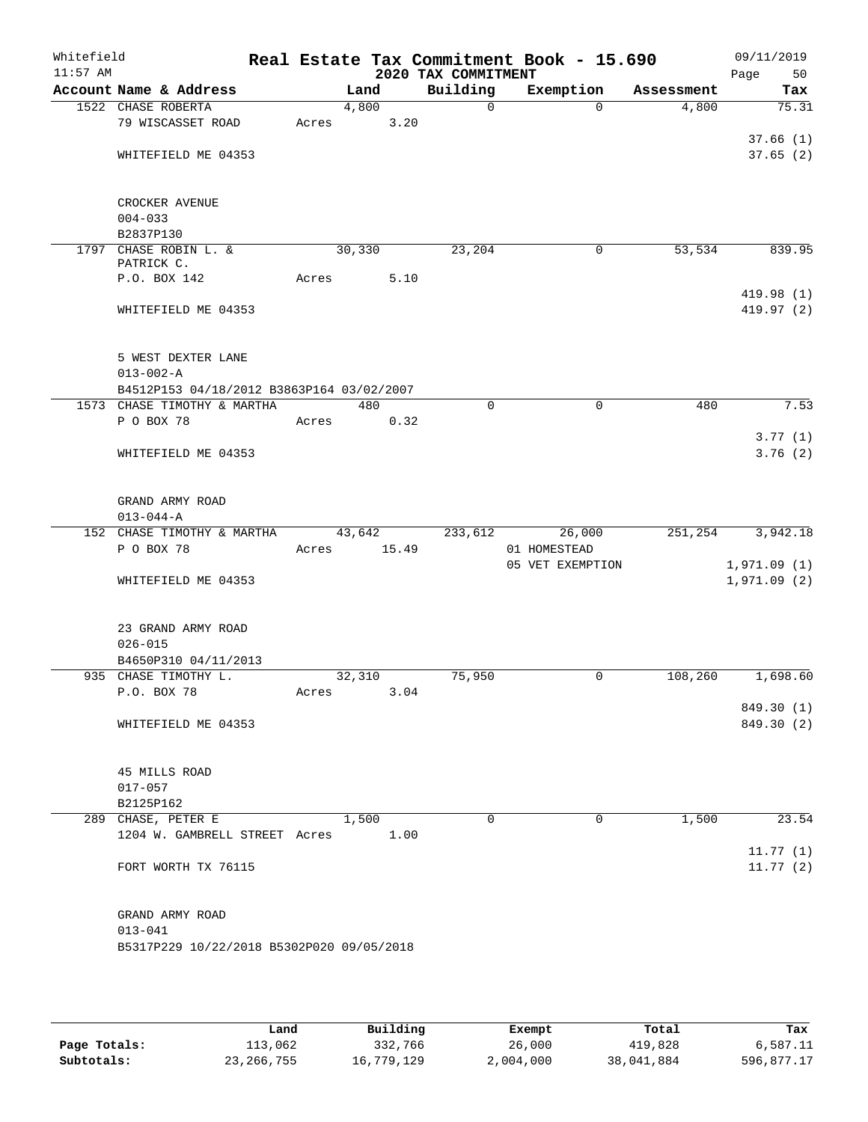| Whitefield<br>$11:57$ AM |                                           |       |        | 2020 TAX COMMITMENT | Real Estate Tax Commitment Book - 15.690 |            | 09/11/2019<br>Page<br>50 |
|--------------------------|-------------------------------------------|-------|--------|---------------------|------------------------------------------|------------|--------------------------|
|                          | Account Name & Address                    |       | Land   | Building            | Exemption                                | Assessment | Tax                      |
|                          | 1522 CHASE ROBERTA                        |       | 4,800  | 0                   | $\Omega$                                 | 4,800      | 75.31                    |
|                          | 79 WISCASSET ROAD                         | Acres | 3.20   |                     |                                          |            |                          |
|                          |                                           |       |        |                     |                                          |            | 37.66(1)                 |
|                          | WHITEFIELD ME 04353                       |       |        |                     |                                          |            | 37.65(2)                 |
|                          | CROCKER AVENUE                            |       |        |                     |                                          |            |                          |
|                          | $004 - 033$                               |       |        |                     |                                          |            |                          |
|                          | B2837P130                                 |       |        |                     |                                          |            |                          |
|                          | 1797 CHASE ROBIN L. &                     |       | 30,330 | 23,204              | 0                                        | 53,534     | 839.95                   |
|                          | PATRICK C.                                |       |        |                     |                                          |            |                          |
|                          | P.O. BOX 142                              | Acres | 5.10   |                     |                                          |            |                          |
|                          | WHITEFIELD ME 04353                       |       |        |                     |                                          |            | 419.98 (1)<br>419.97 (2) |
|                          |                                           |       |        |                     |                                          |            |                          |
|                          | 5 WEST DEXTER LANE                        |       |        |                     |                                          |            |                          |
|                          | $013 - 002 - A$                           |       |        |                     |                                          |            |                          |
|                          | B4512P153 04/18/2012 B3863P164 03/02/2007 |       |        |                     |                                          |            |                          |
|                          | 1573 CHASE TIMOTHY & MARTHA               |       | 480    | $\Omega$            | $\mathbf 0$                              | 480        | 7.53                     |
|                          | P O BOX 78                                | Acres | 0.32   |                     |                                          |            |                          |
|                          |                                           |       |        |                     |                                          |            | 3.77(1)                  |
|                          | WHITEFIELD ME 04353                       |       |        |                     |                                          |            | 3.76(2)                  |
|                          | GRAND ARMY ROAD                           |       |        |                     |                                          |            |                          |
|                          | $013 - 044 - A$                           |       |        |                     |                                          |            |                          |
|                          | 152 CHASE TIMOTHY & MARTHA                |       | 43,642 | 233,612             | 26,000                                   | 251,254    | 3,942.18                 |
|                          | P O BOX 78                                | Acres | 15.49  |                     | 01 HOMESTEAD                             |            |                          |
|                          |                                           |       |        |                     | 05 VET EXEMPTION                         |            | 1,971.09(1)              |
|                          | WHITEFIELD ME 04353                       |       |        |                     |                                          |            | 1,971.09(2)              |
|                          | 23 GRAND ARMY ROAD                        |       |        |                     |                                          |            |                          |
|                          | $026 - 015$                               |       |        |                     |                                          |            |                          |
|                          | B4650P310 04/11/2013                      |       |        |                     |                                          |            |                          |
|                          | 935 CHASE TIMOTHY L.                      |       | 32,310 | 75,950              | 0                                        | 108,260    | 1,698.60                 |
|                          | P.O. BOX 78                               | Acres | 3.04   |                     |                                          |            |                          |
|                          |                                           |       |        |                     |                                          |            | 849.30 (1)               |
|                          | WHITEFIELD ME 04353                       |       |        |                     |                                          |            | 849.30 (2)               |
|                          | 45 MILLS ROAD                             |       |        |                     |                                          |            |                          |
|                          | $017 - 057$                               |       |        |                     |                                          |            |                          |
|                          | B2125P162                                 |       |        |                     |                                          |            |                          |
|                          | 289 CHASE, PETER E                        |       | 1,500  | $\Omega$            | 0                                        | 1,500      | 23.54                    |
|                          | 1204 W. GAMBRELL STREET Acres             |       | 1.00   |                     |                                          |            |                          |
|                          |                                           |       |        |                     |                                          |            | 11.77(1)                 |
|                          | FORT WORTH TX 76115                       |       |        |                     |                                          |            | 11.77(2)                 |
|                          | GRAND ARMY ROAD                           |       |        |                     |                                          |            |                          |
|                          | $013 - 041$                               |       |        |                     |                                          |            |                          |
|                          | B5317P229 10/22/2018 B5302P020 09/05/2018 |       |        |                     |                                          |            |                          |
|                          |                                           |       |        |                     |                                          |            |                          |

|              | Land         | Building   | Exempt    | Total      | Tax        |
|--------------|--------------|------------|-----------|------------|------------|
| Page Totals: | 113,062      | 332,766    | 26,000    | 419,828    | 6,587.11   |
| Subtotals:   | 23, 266, 755 | 16,779,129 | 2,004,000 | 38,041,884 | 596,877.17 |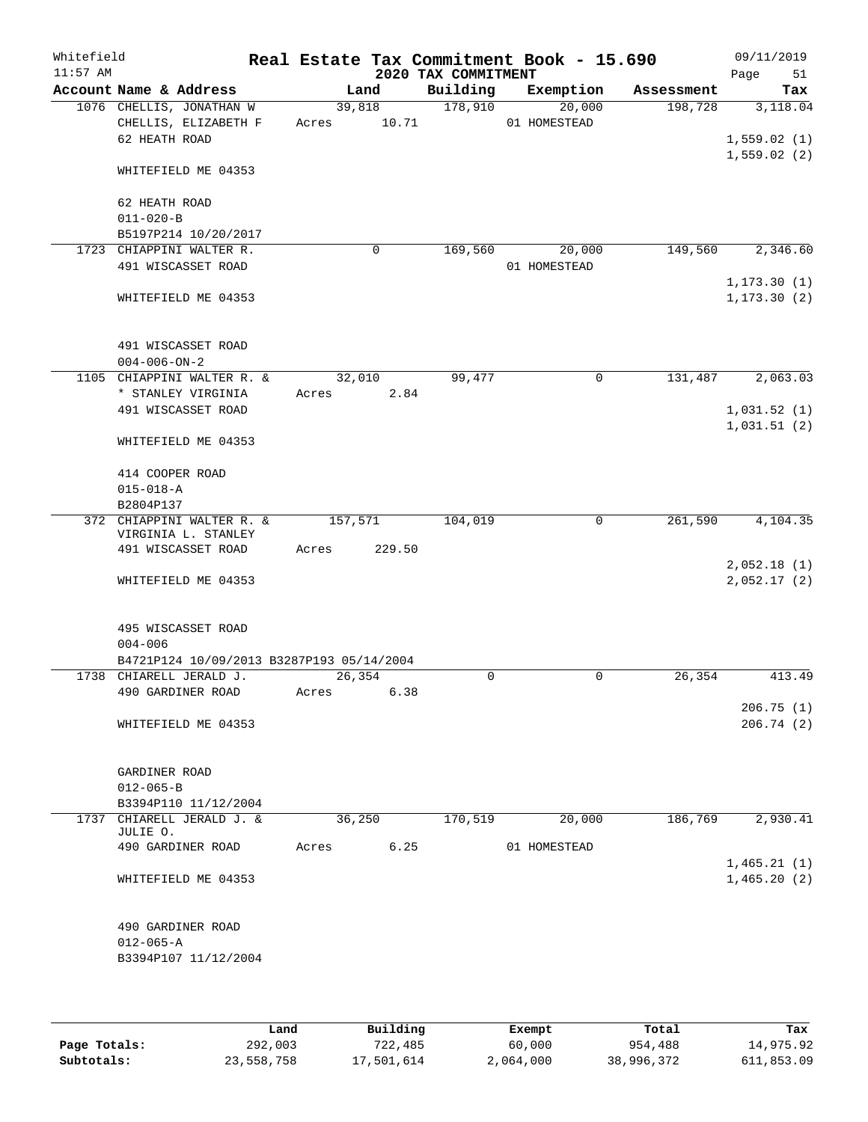| Whitefield<br>$11:57$ AM |                      |                                                                      |         |             | 2020 TAX COMMITMENT | Real Estate Tax Commitment Book - 15.690 |            | 09/11/2019<br>51<br>Page     |
|--------------------------|----------------------|----------------------------------------------------------------------|---------|-------------|---------------------|------------------------------------------|------------|------------------------------|
|                          |                      | Account Name & Address                                               |         | Land        | Building            | Exemption                                | Assessment | Tax                          |
|                          |                      | 1076 CHELLIS, JONATHAN W                                             | 39,818  |             | 178,910             | 20,000                                   | 198,728    | 3,118.04                     |
|                          |                      | CHELLIS, ELIZABETH F                                                 | Acres   | 10.71       |                     | 01 HOMESTEAD                             |            |                              |
|                          | 62 HEATH ROAD        |                                                                      |         |             |                     |                                          |            | 1,559.02(1)<br>1,559.02(2)   |
|                          |                      | WHITEFIELD ME 04353                                                  |         |             |                     |                                          |            |                              |
|                          | 62 HEATH ROAD        |                                                                      |         |             |                     |                                          |            |                              |
|                          | $011 - 020 - B$      |                                                                      |         |             |                     |                                          |            |                              |
|                          |                      | B5197P214 10/20/2017                                                 |         |             |                     |                                          |            |                              |
|                          |                      | 1723 CHIAPPINI WALTER R.                                             |         | $\mathbf 0$ | 169,560             | 20,000                                   | 149,560    | 2,346.60                     |
|                          |                      | 491 WISCASSET ROAD                                                   |         |             |                     | 01 HOMESTEAD                             |            |                              |
|                          |                      | WHITEFIELD ME 04353                                                  |         |             |                     |                                          |            | 1, 173.30(1)<br>1, 173.30(2) |
|                          |                      | 491 WISCASSET ROAD                                                   |         |             |                     |                                          |            |                              |
|                          | $004 - 006 - ON - 2$ |                                                                      |         |             |                     |                                          |            |                              |
|                          |                      | 1105 CHIAPPINI WALTER R. &                                           | 32,010  |             | 99,477              | $\mathbf 0$                              | 131,487    | 2,063.03                     |
|                          |                      | * STANLEY VIRGINIA                                                   | Acres   | 2.84        |                     |                                          |            |                              |
|                          |                      | 491 WISCASSET ROAD                                                   |         |             |                     |                                          |            | 1,031.52(1)                  |
|                          |                      | WHITEFIELD ME 04353                                                  |         |             |                     |                                          |            | 1,031.51(2)                  |
|                          | 414 COOPER ROAD      |                                                                      |         |             |                     |                                          |            |                              |
|                          | $015 - 018 - A$      |                                                                      |         |             |                     |                                          |            |                              |
|                          | B2804P137            |                                                                      |         |             |                     |                                          |            |                              |
|                          |                      | 372 CHIAPPINI WALTER R. &<br>VIRGINIA L. STANLEY                     | 157,571 |             | 104,019             | $\mathbf 0$                              | 261,590    | 4,104.35                     |
|                          |                      | 491 WISCASSET ROAD                                                   | Acres   | 229.50      |                     |                                          |            |                              |
|                          |                      |                                                                      |         |             |                     |                                          |            | 2,052.18(1)<br>2,052.17(2)   |
|                          |                      | WHITEFIELD ME 04353                                                  |         |             |                     |                                          |            |                              |
|                          |                      | 495 WISCASSET ROAD                                                   |         |             |                     |                                          |            |                              |
|                          | $004 - 006$          |                                                                      |         |             |                     |                                          |            |                              |
|                          |                      | B4721P124 10/09/2013 B3287P193 05/14/2004<br>1738 CHIARELL JERALD J. | 26,354  |             | 0                   | 0                                        | 26, 354    | 413.49                       |
|                          |                      | 490 GARDINER ROAD                                                    | Acres   | 6.38        |                     |                                          |            |                              |
|                          |                      |                                                                      |         |             |                     |                                          |            | 206.75(1)                    |
|                          |                      | WHITEFIELD ME 04353                                                  |         |             |                     |                                          |            | 206.74(2)                    |
|                          | GARDINER ROAD        |                                                                      |         |             |                     |                                          |            |                              |
|                          | $012 - 065 - B$      |                                                                      |         |             |                     |                                          |            |                              |
|                          |                      | B3394P110 11/12/2004                                                 |         |             |                     |                                          |            |                              |
|                          | JULIE O.             | 1737 CHIARELL JERALD J. &                                            | 36, 250 |             | 170,519             | 20,000                                   | 186,769    | 2,930.41                     |
|                          |                      | 490 GARDINER ROAD                                                    | Acres   | 6.25        |                     | 01 HOMESTEAD                             |            |                              |
|                          |                      | WHITEFIELD ME 04353                                                  |         |             |                     |                                          |            | 1,465.21(1)<br>1,465.20(2)   |
|                          |                      |                                                                      |         |             |                     |                                          |            |                              |
|                          |                      | 490 GARDINER ROAD                                                    |         |             |                     |                                          |            |                              |
|                          | $012 - 065 - A$      | B3394P107 11/12/2004                                                 |         |             |                     |                                          |            |                              |
|                          |                      |                                                                      |         |             |                     |                                          |            |                              |

|              | Land       | Building   | Exempt    | Total      | Tax        |
|--------------|------------|------------|-----------|------------|------------|
| Page Totals: | 292,003    | 722,485    | 60,000    | 954,488    | 14,975.92  |
| Subtotals:   | 23,558,758 | 17,501,614 | 2,064,000 | 38,996,372 | 611,853.09 |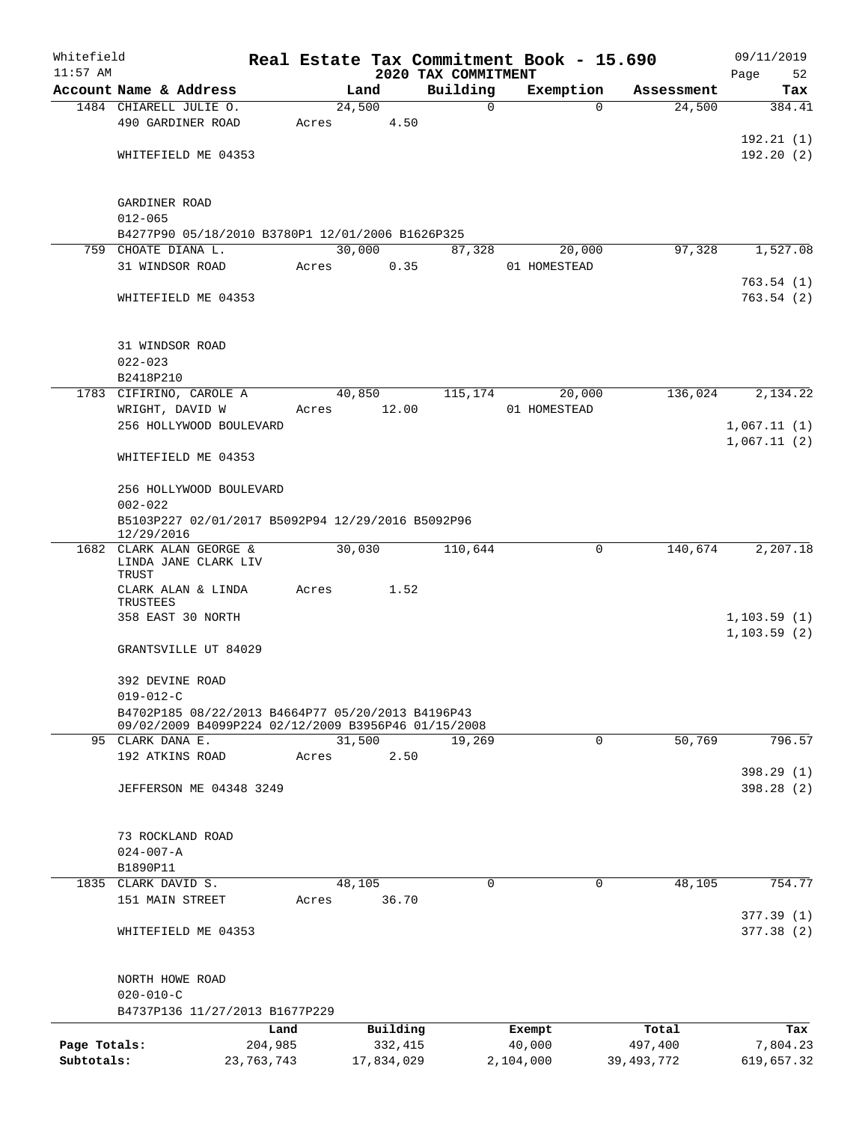| Whitefield<br>$11:57$ AM   |                                                                                                          |                       |       |                       |                                 | Real Estate Tax Commitment Book - 15.690 |          |                         | 09/11/2019                  |  |  |  |
|----------------------------|----------------------------------------------------------------------------------------------------------|-----------------------|-------|-----------------------|---------------------------------|------------------------------------------|----------|-------------------------|-----------------------------|--|--|--|
|                            | Account Name & Address                                                                                   |                       |       | Land                  | 2020 TAX COMMITMENT<br>Building | Exemption                                |          | Assessment              | Page<br>52<br>Tax           |  |  |  |
|                            | 1484 CHIARELL JULIE O.                                                                                   |                       |       | 24,500                |                                 | $\mathbf 0$                              | $\Omega$ | 24,500                  | 384.41                      |  |  |  |
|                            | 490 GARDINER ROAD                                                                                        |                       | Acres | 4.50                  |                                 |                                          |          |                         |                             |  |  |  |
|                            |                                                                                                          |                       |       |                       |                                 |                                          |          |                         | 192.21(1)                   |  |  |  |
|                            | WHITEFIELD ME 04353                                                                                      |                       |       |                       |                                 |                                          |          |                         | 192.20(2)                   |  |  |  |
|                            | GARDINER ROAD                                                                                            |                       |       |                       |                                 |                                          |          |                         |                             |  |  |  |
|                            | $012 - 065$                                                                                              |                       |       |                       |                                 |                                          |          |                         |                             |  |  |  |
|                            | B4277P90 05/18/2010 B3780P1 12/01/2006 B1626P325<br>759 CHOATE DIANA L.                                  |                       |       | 30,000                |                                 |                                          |          | 97,328                  |                             |  |  |  |
|                            | 31 WINDSOR ROAD                                                                                          |                       | Acres | 0.35                  | 87,328                          | 01 HOMESTEAD                             | 20,000   |                         | 1,527.08                    |  |  |  |
|                            |                                                                                                          |                       |       |                       |                                 |                                          |          |                         | 763.54(1)                   |  |  |  |
|                            | WHITEFIELD ME 04353                                                                                      |                       |       |                       |                                 |                                          |          |                         | 763.54(2)                   |  |  |  |
|                            | 31 WINDSOR ROAD                                                                                          |                       |       |                       |                                 |                                          |          |                         |                             |  |  |  |
|                            | $022 - 023$                                                                                              |                       |       |                       |                                 |                                          |          |                         |                             |  |  |  |
|                            | B2418P210                                                                                                |                       |       |                       |                                 |                                          |          |                         |                             |  |  |  |
|                            | 1783 CIFIRINO, CAROLE A                                                                                  |                       |       | 40,850                | 115,174                         |                                          | 20,000   | 136,024                 | 2,134.22                    |  |  |  |
|                            | WRIGHT, DAVID W<br>256 HOLLYWOOD BOULEVARD                                                               |                       | Acres | 12.00                 |                                 | 01 HOMESTEAD                             |          |                         | 1,067.11(1)                 |  |  |  |
|                            |                                                                                                          |                       |       |                       |                                 |                                          |          |                         | 1,067.11(2)                 |  |  |  |
|                            | WHITEFIELD ME 04353                                                                                      |                       |       |                       |                                 |                                          |          |                         |                             |  |  |  |
|                            | 256 HOLLYWOOD BOULEVARD<br>$002 - 022$<br>B5103P227 02/01/2017 B5092P94 12/29/2016 B5092P96              |                       |       |                       |                                 |                                          |          |                         |                             |  |  |  |
|                            | 12/29/2016                                                                                               |                       |       |                       |                                 |                                          |          |                         |                             |  |  |  |
|                            | 1682 CLARK ALAN GEORGE &<br>LINDA JANE CLARK LIV<br>TRUST                                                |                       |       | 30,030                | 110,644                         |                                          | 0        | 140,674                 | 2,207.18                    |  |  |  |
|                            | CLARK ALAN & LINDA<br>TRUSTEES                                                                           |                       | Acres | 1.52                  |                                 |                                          |          |                         |                             |  |  |  |
|                            | 358 EAST 30 NORTH                                                                                        |                       |       |                       |                                 |                                          |          |                         | 1,103.59(1)<br>1, 103.59(2) |  |  |  |
|                            | GRANTSVILLE UT 84029                                                                                     |                       |       |                       |                                 |                                          |          |                         |                             |  |  |  |
|                            | 392 DEVINE ROAD<br>$019 - 012 - C$                                                                       |                       |       |                       |                                 |                                          |          |                         |                             |  |  |  |
|                            | B4702P185 08/22/2013 B4664P77 05/20/2013 B4196P43<br>09/02/2009 B4099P224 02/12/2009 B3956P46 01/15/2008 |                       |       |                       |                                 |                                          | 0        |                         | 796.57                      |  |  |  |
|                            | 95 CLARK DANA E.<br>192 ATKINS ROAD                                                                      |                       | Acres | 31,500<br>2.50        | 19,269                          |                                          |          | 50,769                  |                             |  |  |  |
|                            | <b>JEFFERSON ME 04348 3249</b>                                                                           |                       |       |                       |                                 |                                          |          |                         | 398.29 (1)<br>398.28(2)     |  |  |  |
|                            |                                                                                                          |                       |       |                       |                                 |                                          |          |                         |                             |  |  |  |
|                            | 73 ROCKLAND ROAD                                                                                         |                       |       |                       |                                 |                                          |          |                         |                             |  |  |  |
|                            | $024 - 007 - A$                                                                                          |                       |       |                       |                                 |                                          |          |                         |                             |  |  |  |
|                            | B1890P11                                                                                                 |                       |       |                       |                                 |                                          |          |                         |                             |  |  |  |
|                            | 1835 CLARK DAVID S.                                                                                      |                       |       | 48,105                |                                 | $\Omega$                                 | 0        | 48,105                  | 754.77                      |  |  |  |
|                            | 151 MAIN STREET                                                                                          |                       | Acres | 36.70                 |                                 |                                          |          |                         |                             |  |  |  |
|                            | WHITEFIELD ME 04353                                                                                      |                       |       |                       |                                 |                                          |          |                         | 377.39(1)<br>377.38(2)      |  |  |  |
|                            | NORTH HOWE ROAD                                                                                          |                       |       |                       |                                 |                                          |          |                         |                             |  |  |  |
|                            | $020 - 010 - C$                                                                                          |                       |       |                       |                                 |                                          |          |                         |                             |  |  |  |
|                            | B4737P136 11/27/2013 B1677P229                                                                           |                       |       |                       |                                 |                                          |          |                         |                             |  |  |  |
|                            |                                                                                                          | Land                  |       | Building              |                                 | Exempt                                   |          | Total                   | Tax                         |  |  |  |
| Page Totals:<br>Subtotals: |                                                                                                          | 204,985<br>23,763,743 |       | 332,415<br>17,834,029 |                                 | 40,000<br>2,104,000                      |          | 497,400<br>39, 493, 772 | 7,804.23<br>619,657.32      |  |  |  |
|                            |                                                                                                          |                       |       |                       |                                 |                                          |          |                         |                             |  |  |  |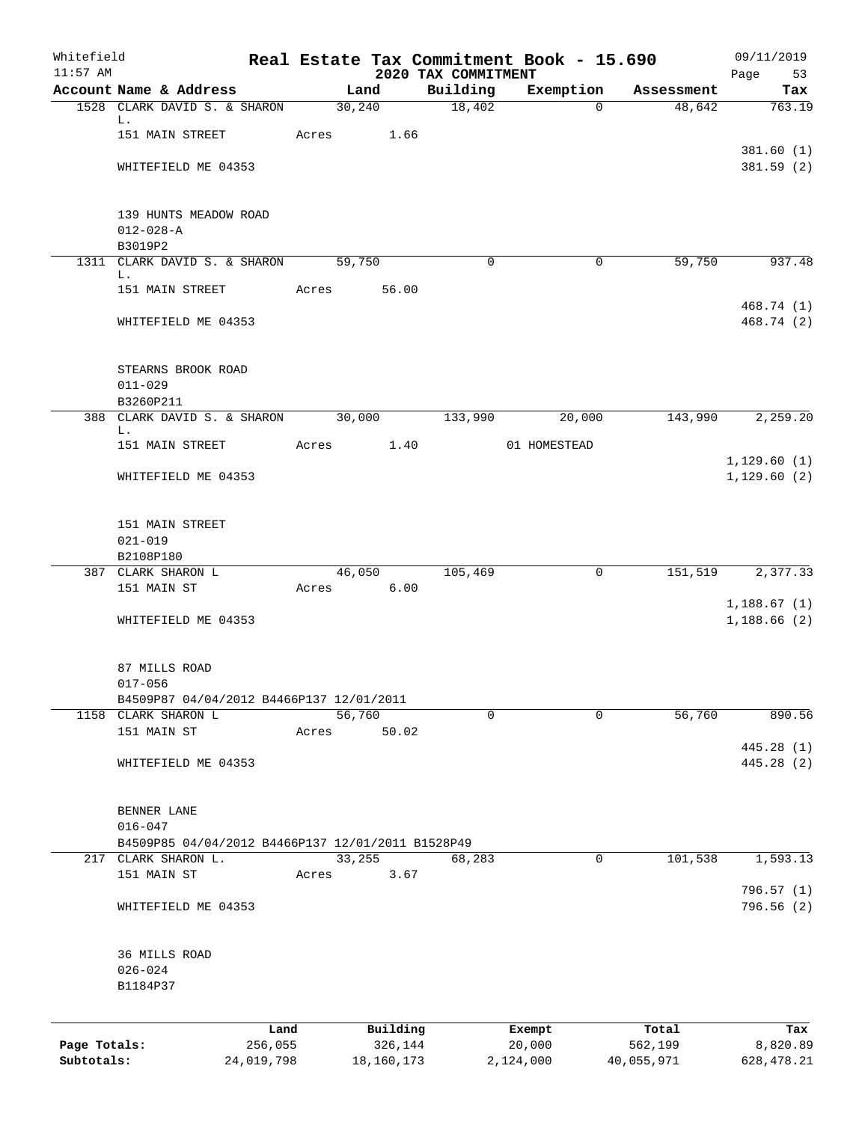| Whitefield<br>$11:57$ AM |                                                   |            |       |            |          | 2020 TAX COMMITMENT | Real Estate Tax Commitment Book - 15.690 |            | 09/11/2019              |
|--------------------------|---------------------------------------------------|------------|-------|------------|----------|---------------------|------------------------------------------|------------|-------------------------|
|                          | Account Name & Address                            |            |       | Land       |          | Building            | Exemption                                | Assessment | Page<br>53<br>Tax       |
|                          | 1528 CLARK DAVID S. & SHARON                      |            |       | 30,240     |          | 18,402              | $\Omega$                                 | 48,642     | 763.19                  |
|                          | L.                                                |            |       |            |          |                     |                                          |            |                         |
|                          | 151 MAIN STREET                                   |            |       | Acres      | 1.66     |                     |                                          |            |                         |
|                          |                                                   |            |       |            |          |                     |                                          |            | 381.60(1)<br>381.59 (2) |
|                          | WHITEFIELD ME 04353                               |            |       |            |          |                     |                                          |            |                         |
|                          | 139 HUNTS MEADOW ROAD                             |            |       |            |          |                     |                                          |            |                         |
|                          | $012 - 028 - A$                                   |            |       |            |          |                     |                                          |            |                         |
|                          | B3019P2                                           |            |       |            |          |                     |                                          |            |                         |
|                          | 1311 CLARK DAVID S. & SHARON                      |            |       | 59,750     |          | $\mathbf 0$         | $\mathbf 0$                              | 59,750     | 937.48                  |
|                          | L.<br>151 MAIN STREET                             |            | Acres |            | 56.00    |                     |                                          |            |                         |
|                          |                                                   |            |       |            |          |                     |                                          |            | 468.74 (1)              |
|                          | WHITEFIELD ME 04353                               |            |       |            |          |                     |                                          |            | 468.74 (2)              |
|                          | STEARNS BROOK ROAD                                |            |       |            |          |                     |                                          |            |                         |
|                          | $011 - 029$                                       |            |       |            |          |                     |                                          |            |                         |
|                          | B3260P211<br>388 CLARK DAVID S. & SHARON          |            |       | 30,000     |          | 133,990             | 20,000                                   | 143,990    | 2,259.20                |
|                          | L.                                                |            |       |            |          |                     |                                          |            |                         |
|                          | 151 MAIN STREET                                   |            |       | Acres      | 1.40     |                     | 01 HOMESTEAD                             |            | 1,129.60(1)             |
|                          | WHITEFIELD ME 04353                               |            |       |            |          |                     |                                          |            | 1, 129.60(2)            |
|                          |                                                   |            |       |            |          |                     |                                          |            |                         |
|                          | 151 MAIN STREET                                   |            |       |            |          |                     |                                          |            |                         |
|                          | $021 - 019$                                       |            |       |            |          |                     |                                          |            |                         |
|                          | B2108P180                                         |            |       |            |          |                     |                                          |            |                         |
|                          | 387 CLARK SHARON L                                |            |       | 46,050     |          | 105,469             | 0                                        | 151,519    | 2,377.33                |
|                          | 151 MAIN ST                                       |            | Acres |            | 6.00     |                     |                                          |            | 1,188.67(1)             |
|                          | WHITEFIELD ME 04353                               |            |       |            |          |                     |                                          |            | 1,188.66(2)             |
|                          |                                                   |            |       |            |          |                     |                                          |            |                         |
|                          | 87 MILLS ROAD                                     |            |       |            |          |                     |                                          |            |                         |
|                          | $017 - 056$                                       |            |       |            |          |                     |                                          |            |                         |
|                          | B4509P87 04/04/2012 B4466P137 12/01/2011          |            |       |            |          |                     |                                          |            |                         |
|                          | 1158 CLARK SHARON L                               |            |       | 56,760     |          | $\mathbf 0$         | $\mathbf 0$                              | 56,760     | 890.56                  |
|                          | 151 MAIN ST                                       |            | Acres |            | 50.02    |                     |                                          |            | 445.28 (1)              |
|                          | WHITEFIELD ME 04353                               |            |       |            |          |                     |                                          |            | 445.28 (2)              |
|                          |                                                   |            |       |            |          |                     |                                          |            |                         |
|                          | BENNER LANE                                       |            |       |            |          |                     |                                          |            |                         |
|                          | $016 - 047$                                       |            |       |            |          |                     |                                          |            |                         |
|                          | B4509P85 04/04/2012 B4466P137 12/01/2011 B1528P49 |            |       |            |          |                     |                                          |            |                         |
|                          | 217 CLARK SHARON L.                               |            |       | 33,255     |          | 68,283              | 0                                        | 101,538    | 1,593.13                |
|                          | 151 MAIN ST                                       |            | Acres |            | 3.67     |                     |                                          |            | 796.57 (1)              |
|                          | WHITEFIELD ME 04353                               |            |       |            |          |                     |                                          |            | 796.56 (2)              |
|                          |                                                   |            |       |            |          |                     |                                          |            |                         |
|                          | 36 MILLS ROAD                                     |            |       |            |          |                     |                                          |            |                         |
|                          | $026 - 024$                                       |            |       |            |          |                     |                                          |            |                         |
|                          | B1184P37                                          |            |       |            |          |                     |                                          |            |                         |
|                          |                                                   | Land       |       |            | Building |                     | Exempt                                   | Total      | Tax                     |
| Page Totals:             |                                                   | 256,055    |       |            | 326,144  |                     | 20,000                                   | 562,199    | 8,820.89                |
| Subtotals:               |                                                   | 24,019,798 |       | 18,160,173 |          |                     | 2,124,000                                | 40,055,971 | 628, 478.21             |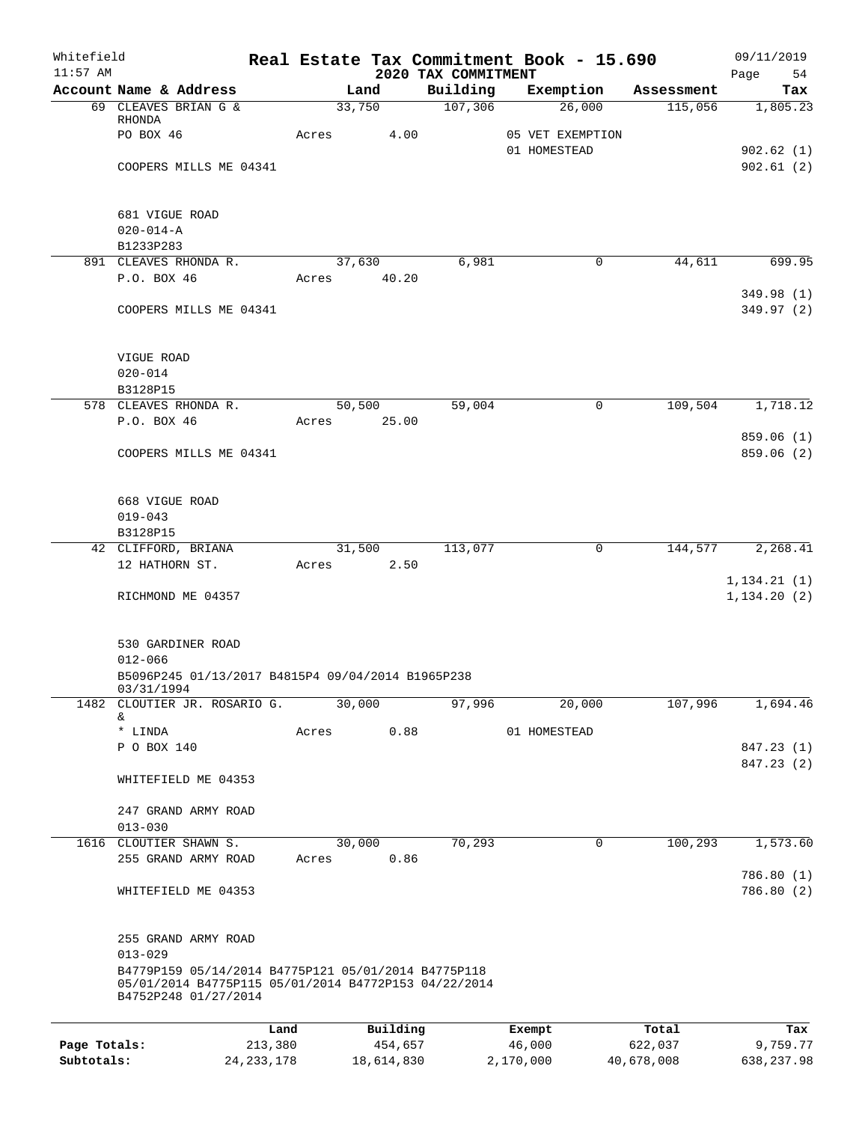| Whitefield<br>$11:57$ AM |                                                                                                                                     |                 |          | 2020 TAX COMMITMENT | Real Estate Tax Commitment Book - 15.690 |                  | 09/11/2019<br>Page<br>54     |
|--------------------------|-------------------------------------------------------------------------------------------------------------------------------------|-----------------|----------|---------------------|------------------------------------------|------------------|------------------------------|
|                          | Account Name & Address                                                                                                              |                 | Land     | Building            | Exemption                                | Assessment       | Tax                          |
|                          | 69 CLEAVES BRIAN G &                                                                                                                | 33,750          |          | 107,306             | 26,000                                   | 115,056          | 1,805.23                     |
|                          | RHONDA<br>PO BOX 46                                                                                                                 | Acres           | 4.00     |                     | 05 VET EXEMPTION                         |                  |                              |
|                          |                                                                                                                                     |                 |          |                     | 01 HOMESTEAD                             |                  | 902.62(1)                    |
|                          | COOPERS MILLS ME 04341                                                                                                              |                 |          |                     |                                          |                  | 902.61(2)                    |
|                          |                                                                                                                                     |                 |          |                     |                                          |                  |                              |
|                          | 681 VIGUE ROAD                                                                                                                      |                 |          |                     |                                          |                  |                              |
|                          | $020 - 014 - A$<br>B1233P283                                                                                                        |                 |          |                     |                                          |                  |                              |
|                          | 891 CLEAVES RHONDA R.                                                                                                               | 37,630          |          | 6,981               | 0                                        | 44,611           | 699.95                       |
|                          | P.O. BOX 46                                                                                                                         | Acres           | 40.20    |                     |                                          |                  |                              |
|                          | COOPERS MILLS ME 04341                                                                                                              |                 |          |                     |                                          |                  | 349.98 (1)<br>349.97 (2)     |
|                          |                                                                                                                                     |                 |          |                     |                                          |                  |                              |
|                          | VIGUE ROAD<br>$020 - 014$                                                                                                           |                 |          |                     |                                          |                  |                              |
|                          | B3128P15                                                                                                                            |                 |          |                     |                                          |                  |                              |
|                          | 578 CLEAVES RHONDA R.                                                                                                               | 50,500          |          | 59,004              | 0                                        | 109,504          | 1,718.12                     |
|                          | P.O. BOX 46                                                                                                                         | Acres           | 25.00    |                     |                                          |                  |                              |
|                          | COOPERS MILLS ME 04341                                                                                                              |                 |          |                     |                                          |                  | 859.06(1)<br>859.06 (2)      |
|                          | 668 VIGUE ROAD                                                                                                                      |                 |          |                     |                                          |                  |                              |
|                          | $019 - 043$                                                                                                                         |                 |          |                     |                                          |                  |                              |
|                          | B3128P15                                                                                                                            |                 |          |                     |                                          |                  |                              |
|                          | 42 CLIFFORD, BRIANA<br>12 HATHORN ST.                                                                                               | 31,500<br>Acres | 2.50     | 113,077             | 0                                        | 144,577          | 2,268.41                     |
|                          | RICHMOND ME 04357                                                                                                                   |                 |          |                     |                                          |                  | 1, 134.21(1)<br>1, 134.20(2) |
|                          |                                                                                                                                     |                 |          |                     |                                          |                  |                              |
|                          | 530 GARDINER ROAD<br>$012 - 066$                                                                                                    |                 |          |                     |                                          |                  |                              |
|                          | B5096P245 01/13/2017 B4815P4 09/04/2014 B1965P238<br>03/31/1994                                                                     |                 |          |                     |                                          |                  |                              |
|                          | 1482 CLOUTIER JR. ROSARIO G.<br>&                                                                                                   | 30,000          |          | 97,996              | 20,000                                   | 107,996          | 1,694.46                     |
|                          | * LINDA                                                                                                                             | Acres           | 0.88     |                     | 01 HOMESTEAD                             |                  |                              |
|                          | P O BOX 140                                                                                                                         |                 |          |                     |                                          |                  | 847.23 (1)                   |
|                          | WHITEFIELD ME 04353                                                                                                                 |                 |          |                     |                                          |                  | 847.23 (2)                   |
|                          |                                                                                                                                     |                 |          |                     |                                          |                  |                              |
|                          | 247 GRAND ARMY ROAD                                                                                                                 |                 |          |                     |                                          |                  |                              |
|                          | $013 - 030$<br>1616 CLOUTIER SHAWN S.                                                                                               | 30,000          |          | 70,293              | 0                                        | 100,293          | 1,573.60                     |
|                          | 255 GRAND ARMY ROAD                                                                                                                 | Acres           | 0.86     |                     |                                          |                  |                              |
|                          | WHITEFIELD ME 04353                                                                                                                 |                 |          |                     |                                          |                  | 786.80 (1)<br>786.80 (2)     |
|                          |                                                                                                                                     |                 |          |                     |                                          |                  |                              |
|                          | 255 GRAND ARMY ROAD<br>$013 - 029$                                                                                                  |                 |          |                     |                                          |                  |                              |
|                          | B4779P159 05/14/2014 B4775P121 05/01/2014 B4775P118<br>05/01/2014 B4775P115 05/01/2014 B4772P153 04/22/2014<br>B4752P248 01/27/2014 |                 |          |                     |                                          |                  |                              |
|                          |                                                                                                                                     |                 | Building |                     |                                          |                  |                              |
| Page Totals:             | 213,380                                                                                                                             | Land            | 454,657  |                     | Exempt<br>46,000                         | Total<br>622,037 | Tax<br>9,759.77              |

**Subtotals:** 24,233,178 18,614,830 2,170,000 40,678,008 638,237.98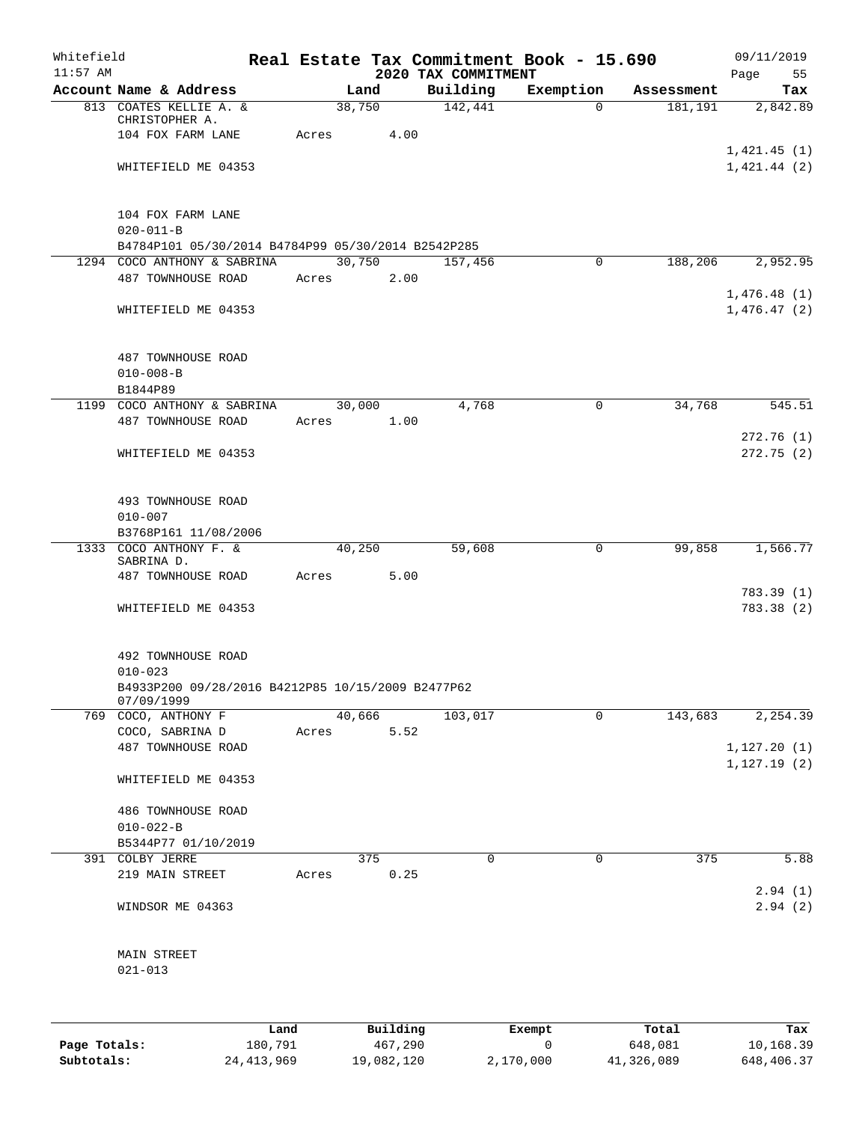| Whitefield<br>$11:57$ AM |                                                                                                      |                 |             | 2020 TAX COMMITMENT | Real Estate Tax Commitment Book - 15.690 |            | 09/11/2019<br>Page<br>55     |
|--------------------------|------------------------------------------------------------------------------------------------------|-----------------|-------------|---------------------|------------------------------------------|------------|------------------------------|
|                          | Account Name & Address                                                                               |                 | Land        | Building            | Exemption                                | Assessment | Tax                          |
|                          | 813 COATES KELLIE A. &<br>CHRISTOPHER A.<br>104 FOX FARM LANE                                        | 38,750<br>Acres | 4.00        | 142,441             | $\Omega$                                 | 181,191    | 2,842.89                     |
|                          | WHITEFIELD ME 04353                                                                                  |                 |             |                     |                                          |            | 1,421.45(1)<br>1,421.44(2)   |
|                          | 104 FOX FARM LANE<br>$020 - 011 - B$                                                                 |                 |             |                     |                                          |            |                              |
|                          | B4784P101 05/30/2014 B4784P99 05/30/2014 B2542P285<br>1294 COCO ANTHONY & SABRINA                    | 30,750          |             |                     | 0                                        | 188,206    | 2,952.95                     |
|                          | 487 TOWNHOUSE ROAD                                                                                   | Acres           | 2.00        | 157,456             |                                          |            | 1,476.48(1)                  |
|                          | WHITEFIELD ME 04353                                                                                  |                 |             |                     |                                          |            | 1,476.47(2)                  |
|                          | 487 TOWNHOUSE ROAD<br>$010 - 008 - B$                                                                |                 |             |                     |                                          |            |                              |
|                          | B1844P89<br>1199 COCO ANTHONY & SABRINA                                                              | 30,000          |             | 4,768               | $\mathsf{O}$                             |            |                              |
|                          | 487 TOWNHOUSE ROAD                                                                                   | Acres           | 1.00        |                     |                                          | 34,768     | 545.51                       |
|                          | WHITEFIELD ME 04353                                                                                  |                 |             |                     |                                          |            | 272.76(1)<br>272.75(2)       |
|                          | 493 TOWNHOUSE ROAD<br>$010 - 007$<br>B3768P161 11/08/2006                                            |                 |             |                     |                                          |            |                              |
| 1333                     | COCO ANTHONY F. &                                                                                    | 40,250          |             | 59,608              | 0                                        | 99,858     | 1,566.77                     |
|                          | SABRINA D.<br>487 TOWNHOUSE ROAD                                                                     | Acres           | 5.00        |                     |                                          |            |                              |
|                          | WHITEFIELD ME 04353                                                                                  |                 |             |                     |                                          |            | 783.39 (1)<br>783.38 (2)     |
|                          | 492 TOWNHOUSE ROAD<br>$010 - 023$<br>B4933P200 09/28/2016 B4212P85 10/15/2009 B2477P62<br>07/09/1999 |                 |             |                     |                                          |            |                              |
|                          | 769 COCO, ANTHONY F                                                                                  | 40,666          |             | 103,017             | 0                                        | 143,683    | 2,254.39                     |
|                          | COCO, SABRINA D                                                                                      | Acres           | 5.52        |                     |                                          |            |                              |
|                          | 487 TOWNHOUSE ROAD                                                                                   |                 |             |                     |                                          |            | 1, 127.20(1)<br>1, 127.19(2) |
|                          | WHITEFIELD ME 04353                                                                                  |                 |             |                     |                                          |            |                              |
|                          | 486 TOWNHOUSE ROAD<br>$010 - 022 - B$                                                                |                 |             |                     |                                          |            |                              |
|                          | B5344P77 01/10/2019                                                                                  |                 |             |                     |                                          |            |                              |
|                          | 391 COLBY JERRE<br>219 MAIN STREET                                                                   | Acres           | 375<br>0.25 | $\mathbf 0$         | $\mathbf 0$                              | 375        | 5.88                         |
|                          | WINDSOR ME 04363                                                                                     |                 |             |                     |                                          |            | 2.94(1)<br>2.94(2)           |
|                          | MAIN STREET<br>$021 - 013$                                                                           |                 |             |                     |                                          |            |                              |
|                          |                                                                                                      |                 |             |                     |                                          |            |                              |

|              | Land         | Building   | Exempt    | Total      | Tax        |
|--------------|--------------|------------|-----------|------------|------------|
| Page Totals: | 180,791      | 467,290    |           | 648,081    | 10,168.39  |
| Subtotals:   | 24, 413, 969 | 19,082,120 | 2,170,000 | 41,326,089 | 648,406.37 |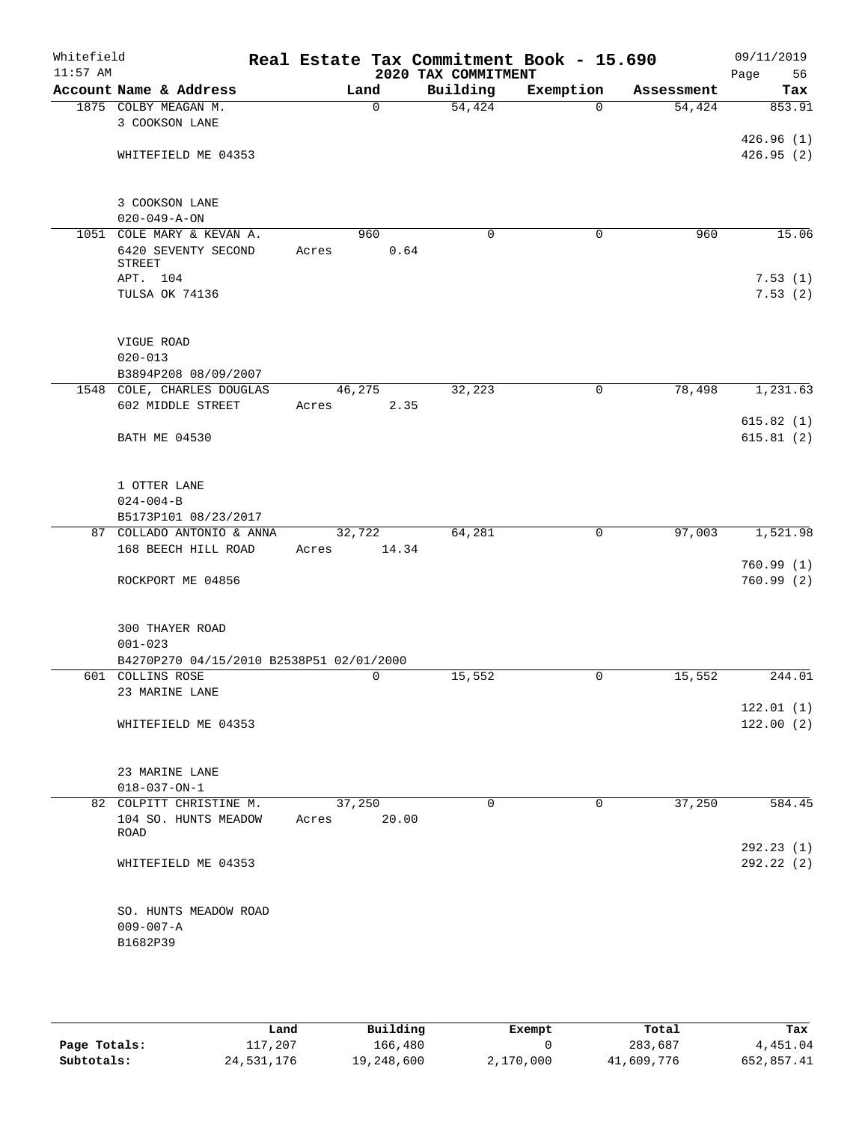| Whitefield<br>$11:57$ AM |                                                         | Real Estate Tax Commitment Book - 15.690 | 2020 TAX COMMITMENT |             |            | 09/11/2019<br>Page<br>56 |
|--------------------------|---------------------------------------------------------|------------------------------------------|---------------------|-------------|------------|--------------------------|
|                          | Account Name & Address                                  | Land                                     | Building            | Exemption   | Assessment | Tax                      |
|                          | 1875 COLBY MEAGAN M.                                    | $\mathbf 0$                              | 54,424              | $\Omega$    | 54,424     | 853.91                   |
|                          | 3 COOKSON LANE                                          |                                          |                     |             |            |                          |
|                          |                                                         |                                          |                     |             |            | 426.96(1)                |
|                          | WHITEFIELD ME 04353                                     |                                          |                     |             |            | 426.95(2)                |
|                          | 3 COOKSON LANE                                          |                                          |                     |             |            |                          |
|                          | $020 - 049 - A - ON$                                    |                                          |                     |             |            |                          |
|                          | 1051 COLE MARY & KEVAN A.                               | 960                                      | $\mathbf 0$         | 0           | 960        | 15.06                    |
|                          | 6420 SEVENTY SECOND<br><b>STREET</b>                    | 0.64<br>Acres                            |                     |             |            |                          |
|                          | APT. 104                                                |                                          |                     |             |            | 7.53(1)                  |
|                          | TULSA OK 74136                                          |                                          |                     |             |            | 7.53(2)                  |
|                          | VIGUE ROAD                                              |                                          |                     |             |            |                          |
|                          | $020 - 013$                                             |                                          |                     |             |            |                          |
|                          | B3894P208 08/09/2007                                    |                                          |                     |             |            |                          |
|                          | 1548 COLE, CHARLES DOUGLAS                              | 46,275                                   | 32,223              | 0           | 78,498     | 1,231.63                 |
|                          | 602 MIDDLE STREET                                       | 2.35<br>Acres                            |                     |             |            |                          |
|                          | <b>BATH ME 04530</b>                                    |                                          |                     |             |            | 615.82(1)<br>615.81(2)   |
|                          |                                                         |                                          |                     |             |            |                          |
|                          | 1 OTTER LANE                                            |                                          |                     |             |            |                          |
|                          | $024 - 004 - B$                                         |                                          |                     |             |            |                          |
|                          | B5173P101 08/23/2017<br>87 COLLADO ANTONIO & ANNA       |                                          | 64,281              | $\mathbf 0$ | 97,003     |                          |
|                          | 168 BEECH HILL ROAD                                     | 32,722<br>14.34<br>Acres                 |                     |             |            | 1,521.98                 |
|                          |                                                         |                                          |                     |             |            | 760.99(1)                |
|                          | ROCKPORT ME 04856                                       |                                          |                     |             |            | 760.99(2)                |
|                          | 300 THAYER ROAD                                         |                                          |                     |             |            |                          |
|                          | $001 - 023$                                             |                                          |                     |             |            |                          |
|                          | B4270P270 04/15/2010 B2538P51 02/01/2000                |                                          |                     |             |            |                          |
|                          | 601 COLLINS ROSE                                        | 0                                        | 15,552              | 0           | 15,552     | 244.01                   |
|                          | 23 MARINE LANE                                          |                                          |                     |             |            |                          |
|                          |                                                         |                                          |                     |             |            | 122.01(1)                |
|                          | WHITEFIELD ME 04353                                     |                                          |                     |             |            | 122.00(2)                |
|                          | 23 MARINE LANE                                          |                                          |                     |             |            |                          |
|                          | $018 - 037 - ON - 1$                                    |                                          |                     |             |            |                          |
|                          | 82 COLPITT CHRISTINE M.<br>104 SO. HUNTS MEADOW<br>ROAD | 37,250<br>20.00<br>Acres                 | $\mathbf 0$         | $\mathbf 0$ | 37,250     | 584.45                   |
|                          |                                                         |                                          |                     |             |            | 292.23(1)                |
|                          | WHITEFIELD ME 04353                                     |                                          |                     |             |            | 292.22 (2)               |
|                          | SO. HUNTS MEADOW ROAD                                   |                                          |                     |             |            |                          |
|                          | $009 - 007 - A$                                         |                                          |                     |             |            |                          |
|                          | B1682P39                                                |                                          |                     |             |            |                          |
|                          |                                                         |                                          |                     |             |            |                          |

|              | Land       | Building   | Exempt    | Total      | Tax        |
|--------------|------------|------------|-----------|------------|------------|
| Page Totals: | 117,207    | 166,480    |           | 283,687    | 4,451.04   |
| Subtotals:   | 24,531,176 | 19,248,600 | 2,170,000 | 41,609,776 | 652,857.41 |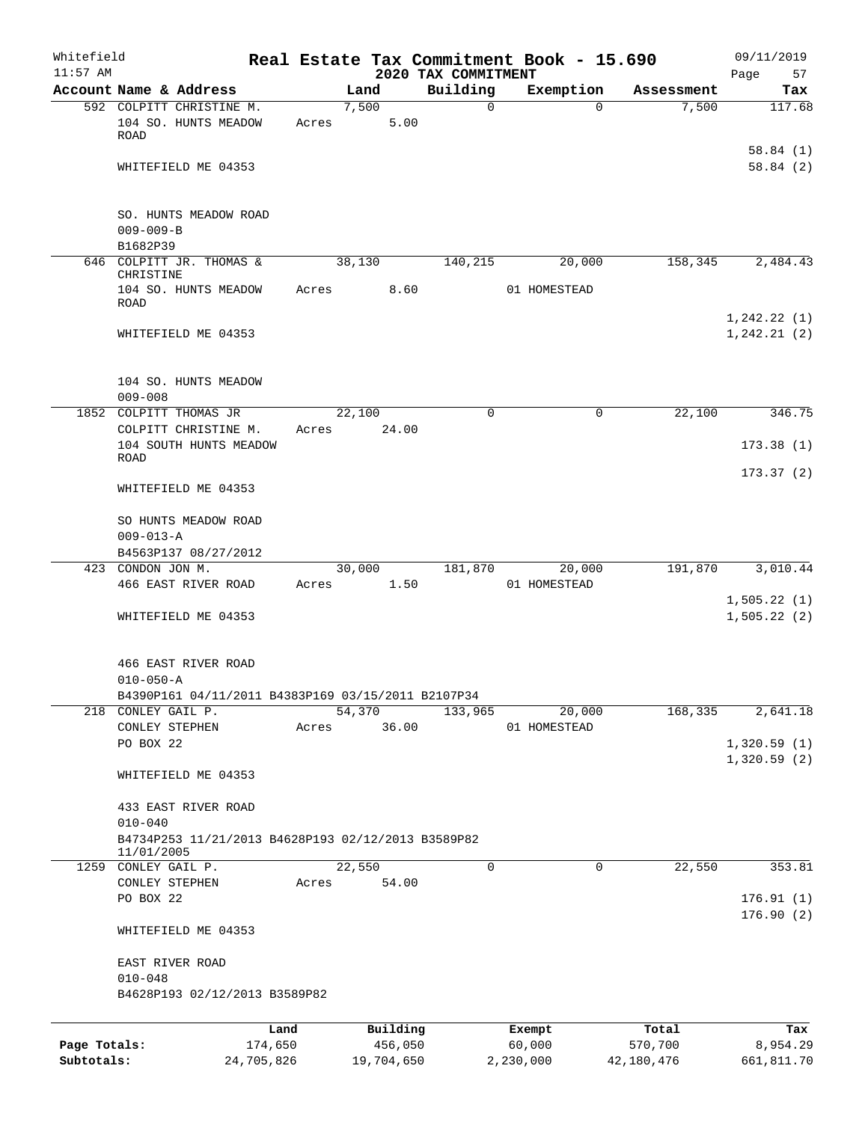| Whitefield<br>$11:57$ AM |                                                                                 |            |                 | 2020 TAX COMMITMENT | Real Estate Tax Commitment Book - 15.690 |            | 09/11/2019<br>57<br>Page |
|--------------------------|---------------------------------------------------------------------------------|------------|-----------------|---------------------|------------------------------------------|------------|--------------------------|
|                          | Account Name & Address                                                          |            | Land            | Building            | Exemption                                | Assessment | Tax                      |
|                          | 592 COLPITT CHRISTINE M.                                                        |            | 7,500           | 0                   | $\Omega$                                 | 7,500      | 117.68                   |
|                          | 104 SO. HUNTS MEADOW<br>ROAD                                                    | Acres      | 5.00            |                     |                                          |            |                          |
|                          | WHITEFIELD ME 04353                                                             |            |                 |                     |                                          |            | 58.84(1)<br>58.84(2)     |
|                          |                                                                                 |            |                 |                     |                                          |            |                          |
|                          | SO. HUNTS MEADOW ROAD<br>$009 - 009 - B$                                        |            |                 |                     |                                          |            |                          |
|                          | B1682P39                                                                        |            |                 |                     |                                          |            |                          |
|                          | 646 COLPITT JR. THOMAS &                                                        |            | 38,130          | 140,215             | 20,000                                   | 158,345    | 2,484.43                 |
|                          | CHRISTINE<br>104 SO. HUNTS MEADOW<br>ROAD                                       | Acres      | 8.60            |                     | 01 HOMESTEAD                             |            |                          |
|                          |                                                                                 |            |                 |                     |                                          |            | 1, 242.22(1)             |
|                          | WHITEFIELD ME 04353                                                             |            |                 |                     |                                          |            | 1, 242.21(2)             |
|                          | 104 SO. HUNTS MEADOW<br>$009 - 008$                                             |            |                 |                     |                                          |            |                          |
| 1852                     | COLPITT THOMAS JR                                                               |            | 22,100          | 0                   | $\mathbf 0$                              | 22,100     | 346.75                   |
|                          | COLPITT CHRISTINE M.                                                            | Acres      | 24.00           |                     |                                          |            |                          |
|                          | 104 SOUTH HUNTS MEADOW<br><b>ROAD</b>                                           |            |                 |                     |                                          |            | 173.38(1)                |
|                          | WHITEFIELD ME 04353                                                             |            |                 |                     |                                          |            | 173.37(2)                |
|                          | SO HUNTS MEADOW ROAD<br>$009 - 013 - A$                                         |            |                 |                     |                                          |            |                          |
|                          | B4563P137 08/27/2012                                                            |            |                 |                     |                                          |            |                          |
|                          | 423 CONDON JON M.                                                               |            | 30,000          | 181,870             | 20,000                                   | 191,870    | 3,010.44                 |
|                          | 466 EAST RIVER ROAD                                                             | Acres      | 1.50            |                     | 01 HOMESTEAD                             |            | 1,505.22(1)              |
|                          | WHITEFIELD ME 04353                                                             |            |                 |                     |                                          |            | 1,505.22(2)              |
|                          | 466 EAST RIVER ROAD                                                             |            |                 |                     |                                          |            |                          |
|                          | $010 - 050 - A$                                                                 |            |                 |                     |                                          |            |                          |
|                          | B4390P161 04/11/2011 B4383P169 03/15/2011 B2107P34                              |            |                 |                     |                                          |            |                          |
|                          | 218 CONLEY GAIL P.<br>CONLEY STEPHEN                                            | Acres      | 54,370<br>36.00 | 133,965             | 20,000<br>01 HOMESTEAD                   | 168,335    | 2,641.18                 |
|                          | PO BOX 22                                                                       |            |                 |                     |                                          |            | 1,320.59(1)              |
|                          | WHITEFIELD ME 04353                                                             |            |                 |                     |                                          |            | 1,320.59(2)              |
|                          | 433 EAST RIVER ROAD                                                             |            |                 |                     |                                          |            |                          |
|                          | $010 - 040$<br>B4734P253 11/21/2013 B4628P193 02/12/2013 B3589P82<br>11/01/2005 |            |                 |                     |                                          |            |                          |
|                          | 1259 CONLEY GAIL P.                                                             |            | 22,550          | $\Omega$            | $\Omega$                                 | 22,550     | 353.81                   |
|                          | CONLEY STEPHEN<br>PO BOX 22                                                     | Acres      | 54.00           |                     |                                          |            | 176.91(1)                |
|                          |                                                                                 |            |                 |                     |                                          |            | 176.90(2)                |
|                          | WHITEFIELD ME 04353                                                             |            |                 |                     |                                          |            |                          |
|                          | EAST RIVER ROAD                                                                 |            |                 |                     |                                          |            |                          |
|                          | $010 - 048$<br>B4628P193 02/12/2013 B3589P82                                    |            |                 |                     |                                          |            |                          |
|                          |                                                                                 | Land       | Building        |                     | Exempt                                   | Total      | Tax                      |
| Page Totals:             |                                                                                 | 174,650    | 456,050         |                     | 60,000                                   | 570,700    | 8,954.29                 |
| Subtotals:               |                                                                                 | 24,705,826 | 19,704,650      |                     | 2,230,000                                | 42,180,476 | 661,811.70               |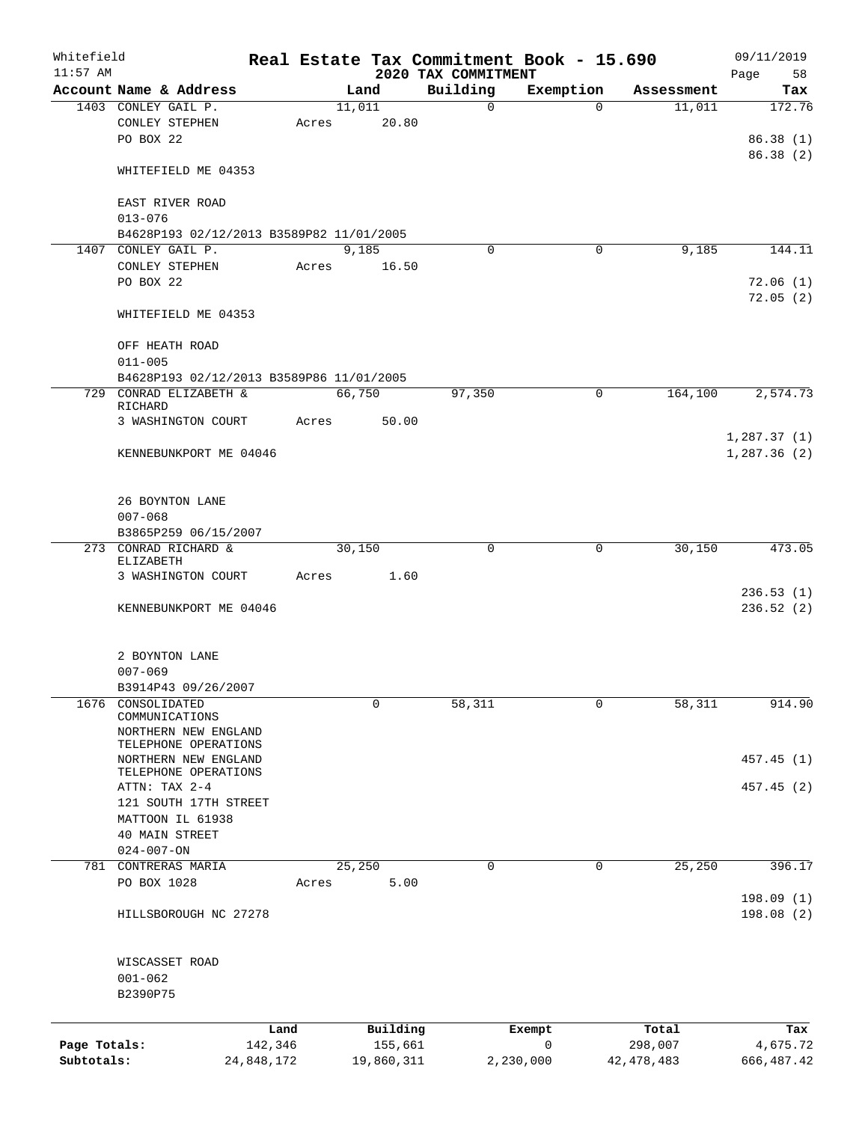| Whitefield<br>$11:57$ AM |                                          |            |       |        |            | 2020 TAX COMMITMENT | Real Estate Tax Commitment Book - 15.690 |              | 09/11/2019<br>Page<br>58 |
|--------------------------|------------------------------------------|------------|-------|--------|------------|---------------------|------------------------------------------|--------------|--------------------------|
|                          | Account Name & Address                   |            |       | Land   |            | Building            | Exemption                                | Assessment   | Tax                      |
|                          | 1403 CONLEY GAIL P.                      |            |       | 11,011 |            | $\mathsf{O}$        | $\Omega$                                 | 11,011       | 172.76                   |
|                          | CONLEY STEPHEN                           |            | Acres |        | 20.80      |                     |                                          |              |                          |
|                          | PO BOX 22                                |            |       |        |            |                     |                                          |              | 86.38(1)                 |
|                          |                                          |            |       |        |            |                     |                                          |              | 86.38 (2)                |
|                          | WHITEFIELD ME 04353                      |            |       |        |            |                     |                                          |              |                          |
|                          | EAST RIVER ROAD                          |            |       |        |            |                     |                                          |              |                          |
|                          | $013 - 076$                              |            |       |        |            |                     |                                          |              |                          |
|                          | B4628P193 02/12/2013 B3589P82 11/01/2005 |            |       |        |            |                     |                                          |              |                          |
|                          | 1407 CONLEY GAIL P.                      |            |       | 9,185  |            | $\Omega$            | $\Omega$                                 | 9,185        | 144.11                   |
|                          | CONLEY STEPHEN                           |            | Acres |        | 16.50      |                     |                                          |              |                          |
|                          | PO BOX 22                                |            |       |        |            |                     |                                          |              | 72.06(1)                 |
|                          | WHITEFIELD ME 04353                      |            |       |        |            |                     |                                          |              | 72.05(2)                 |
|                          | OFF HEATH ROAD                           |            |       |        |            |                     |                                          |              |                          |
|                          | $011 - 005$                              |            |       |        |            |                     |                                          |              |                          |
|                          | B4628P193 02/12/2013 B3589P86 11/01/2005 |            |       |        |            |                     |                                          |              |                          |
|                          | 729 CONRAD ELIZABETH &<br>RICHARD        |            |       | 66,750 |            | 97,350              | 0                                        | 164,100      | 2,574.73                 |
|                          | 3 WASHINGTON COURT                       |            | Acres |        | 50.00      |                     |                                          |              |                          |
|                          |                                          |            |       |        |            |                     |                                          |              | 1,287.37(1)              |
|                          | KENNEBUNKPORT ME 04046                   |            |       |        |            |                     |                                          |              | 1,287.36(2)              |
|                          | 26 BOYNTON LANE                          |            |       |        |            |                     |                                          |              |                          |
|                          | $007 - 068$                              |            |       |        |            |                     |                                          |              |                          |
|                          | B3865P259 06/15/2007                     |            |       |        |            |                     |                                          |              |                          |
|                          | 273 CONRAD RICHARD &                     |            |       | 30,150 |            | 0                   | 0                                        | 30,150       | 473.05                   |
|                          | ELIZABETH                                |            |       |        |            |                     |                                          |              |                          |
|                          | 3 WASHINGTON COURT                       |            | Acres |        | 1.60       |                     |                                          |              |                          |
|                          |                                          |            |       |        |            |                     |                                          |              | 236.53(1)                |
|                          | KENNEBUNKPORT ME 04046                   |            |       |        |            |                     |                                          |              | 236.52(2)                |
|                          |                                          |            |       |        |            |                     |                                          |              |                          |
|                          | 2 BOYNTON LANE                           |            |       |        |            |                     |                                          |              |                          |
|                          | $007 - 069$                              |            |       |        |            |                     |                                          |              |                          |
|                          | B3914P43 09/26/2007                      |            |       |        |            |                     |                                          |              |                          |
| 1676                     | CONSOLIDATED                             |            |       |        | 0          | 58,311              | $\mathbf 0$                              | 58,311       | 914.90                   |
|                          | COMMUNICATIONS                           |            |       |        |            |                     |                                          |              |                          |
|                          | NORTHERN NEW ENGLAND                     |            |       |        |            |                     |                                          |              |                          |
|                          | TELEPHONE OPERATIONS                     |            |       |        |            |                     |                                          |              |                          |
|                          | NORTHERN NEW ENGLAND                     |            |       |        |            |                     |                                          |              | 457.45 (1)               |
|                          | TELEPHONE OPERATIONS                     |            |       |        |            |                     |                                          |              |                          |
|                          | ATTN: TAX 2-4                            |            |       |        |            |                     |                                          |              | 457.45 (2)               |
|                          | 121 SOUTH 17TH STREET                    |            |       |        |            |                     |                                          |              |                          |
|                          | MATTOON IL 61938                         |            |       |        |            |                     |                                          |              |                          |
|                          | 40 MAIN STREET                           |            |       |        |            |                     |                                          |              |                          |
|                          | $024 - 007 - ON$                         |            |       |        |            |                     |                                          |              |                          |
|                          | 781 CONTRERAS MARIA                      |            |       | 25,250 |            | 0                   | $\mathbf 0$                              | 25, 250      | 396.17                   |
|                          | PO BOX 1028                              |            | Acres |        | 5.00       |                     |                                          |              |                          |
|                          | HILLSBOROUGH NC 27278                    |            |       |        |            |                     |                                          |              | 198.09(1)<br>198.08(2)   |
|                          |                                          |            |       |        |            |                     |                                          |              |                          |
|                          | WISCASSET ROAD                           |            |       |        |            |                     |                                          |              |                          |
|                          | $001 - 062$                              |            |       |        |            |                     |                                          |              |                          |
|                          | B2390P75                                 |            |       |        |            |                     |                                          |              |                          |
|                          |                                          |            |       |        |            |                     |                                          |              |                          |
|                          |                                          |            |       |        |            |                     |                                          |              |                          |
|                          |                                          | Land       |       |        | Building   |                     | Exempt                                   | Total        | Tax                      |
| Page Totals:             |                                          | 142,346    |       |        | 155,661    |                     | $\mathsf{O}$                             | 298,007      | 4,675.72                 |
| Subtotals:               |                                          | 24,848,172 |       |        | 19,860,311 |                     | 2,230,000                                | 42, 478, 483 | 666, 487.42              |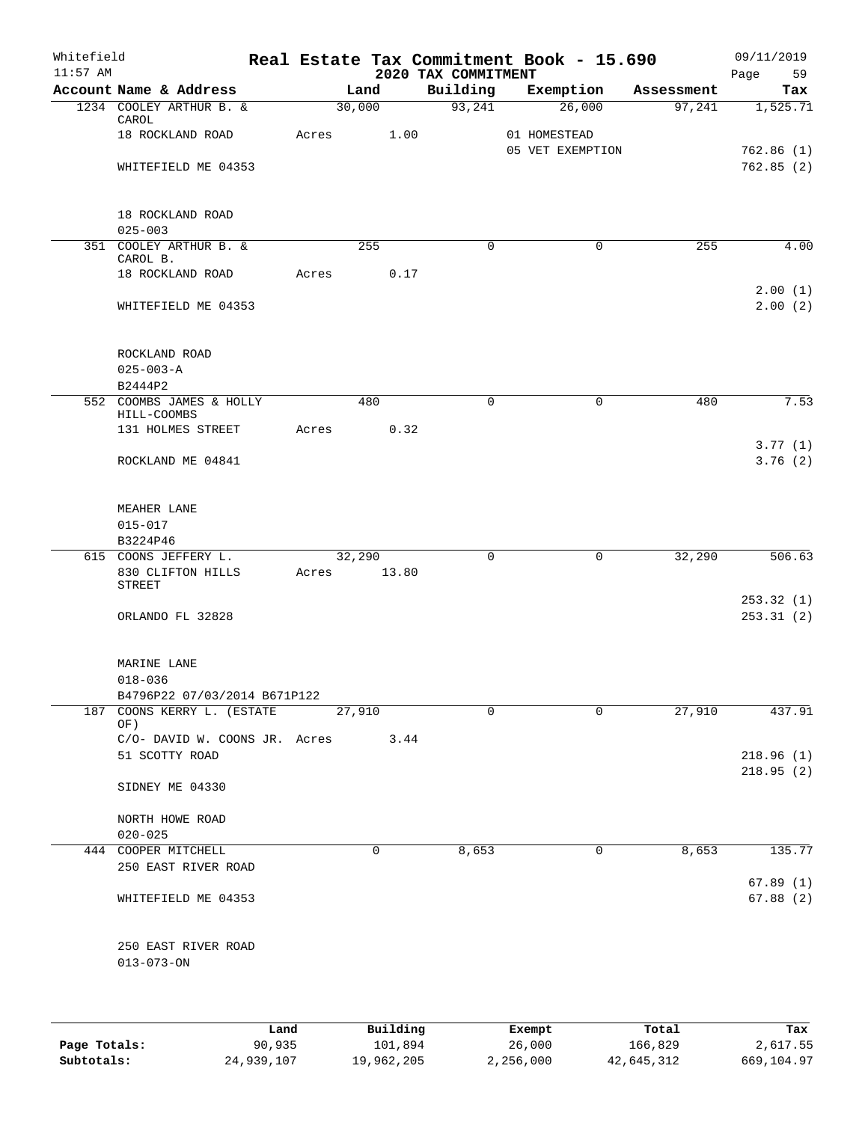| Whitefield<br>$11:57$ AM |                                                 |       |             | 2020 TAX COMMITMENT | Real Estate Tax Commitment Book - 15.690 |            | 09/11/2019<br>Page<br>59 |
|--------------------------|-------------------------------------------------|-------|-------------|---------------------|------------------------------------------|------------|--------------------------|
|                          | Account Name & Address                          |       | Land        | Building            | Exemption                                | Assessment | Tax                      |
|                          | 1234 COOLEY ARTHUR B. &<br>CAROL                |       | 30,000      | 93,241              | 26,000                                   | 97,241     | 1,525.71                 |
|                          | 18 ROCKLAND ROAD                                | Acres | 1.00        |                     | 01 HOMESTEAD<br>05 VET EXEMPTION         |            | 762.86(1)                |
|                          | WHITEFIELD ME 04353                             |       |             |                     |                                          |            | 762.85(2)                |
|                          | 18 ROCKLAND ROAD                                |       |             |                     |                                          |            |                          |
|                          | $025 - 003$<br>351 COOLEY ARTHUR B. &           |       |             | $\mathbf 0$         | $\mathbf 0$                              |            |                          |
|                          | CAROL B.                                        |       | 255         |                     |                                          | 255        | 4.00                     |
|                          | 18 ROCKLAND ROAD                                | Acres | 0.17        |                     |                                          |            | 2.00(1)                  |
|                          | WHITEFIELD ME 04353                             |       |             |                     |                                          |            | 2.00(2)                  |
|                          | ROCKLAND ROAD                                   |       |             |                     |                                          |            |                          |
|                          | $025 - 003 - A$                                 |       |             |                     |                                          |            |                          |
|                          | B2444P2                                         |       |             |                     |                                          |            |                          |
|                          | 552 COOMBS JAMES & HOLLY<br>HILL-COOMBS         |       | 480         | $\Omega$            | 0                                        | 480        | 7.53                     |
|                          | 131 HOLMES STREET                               | Acres | 0.32        |                     |                                          |            |                          |
|                          | ROCKLAND ME 04841                               |       |             |                     |                                          |            | 3.77(1)<br>3.76(2)       |
|                          | MEAHER LANE                                     |       |             |                     |                                          |            |                          |
|                          | $015 - 017$                                     |       |             |                     |                                          |            |                          |
|                          | B3224P46                                        |       |             |                     |                                          |            |                          |
|                          | 615 COONS JEFFERY L.                            |       | 32,290      | $\mathbf 0$         | $\mathsf{O}$                             | 32,290     | 506.63                   |
|                          | 830 CLIFTON HILLS<br>STREET                     |       | Acres 13.80 |                     |                                          |            |                          |
|                          | ORLANDO FL 32828                                |       |             |                     |                                          |            | 253.32(1)<br>253.31(2)   |
|                          | MARINE LANE<br>$018 - 036$                      |       |             |                     |                                          |            |                          |
|                          | B4796P22 07/03/2014 B671P122                    |       |             |                     |                                          |            |                          |
|                          | 187 COONS KERRY L. (ESTATE                      |       | 27,910      | $\Omega$            | $\Omega$                                 | 27,910     | 437.91                   |
|                          | OF)                                             |       |             |                     |                                          |            |                          |
|                          | C/O- DAVID W. COONS JR. Acres<br>51 SCOTTY ROAD |       | 3.44        |                     |                                          |            | 218.96(1)                |
|                          |                                                 |       |             |                     |                                          |            | 218.95(2)                |
|                          | SIDNEY ME 04330                                 |       |             |                     |                                          |            |                          |
|                          | NORTH HOWE ROAD                                 |       |             |                     |                                          |            |                          |
|                          | $020 - 025$                                     |       |             |                     |                                          |            |                          |
|                          | 444 COOPER MITCHELL<br>250 EAST RIVER ROAD      |       | 0           | 8,653               | 0                                        | 8,653      | 135.77                   |
|                          |                                                 |       |             |                     |                                          |            | 67.89(1)                 |
|                          | WHITEFIELD ME 04353                             |       |             |                     |                                          |            | 67.88(2)                 |
|                          | 250 EAST RIVER ROAD                             |       |             |                     |                                          |            |                          |
|                          | $013 - 073 - ON$                                |       |             |                     |                                          |            |                          |
|                          |                                                 |       |             |                     |                                          |            |                          |
|                          |                                                 |       |             |                     |                                          |            |                          |

|              | Land       | Building   | Exempt    | Total      | Tax        |
|--------------|------------|------------|-----------|------------|------------|
| Page Totals: | 90,935     | 101,894    | 26,000    | 166,829    | 2,617.55   |
| Subtotals:   | 24,939,107 | 19,962,205 | 2,256,000 | 42,645,312 | 669,104.97 |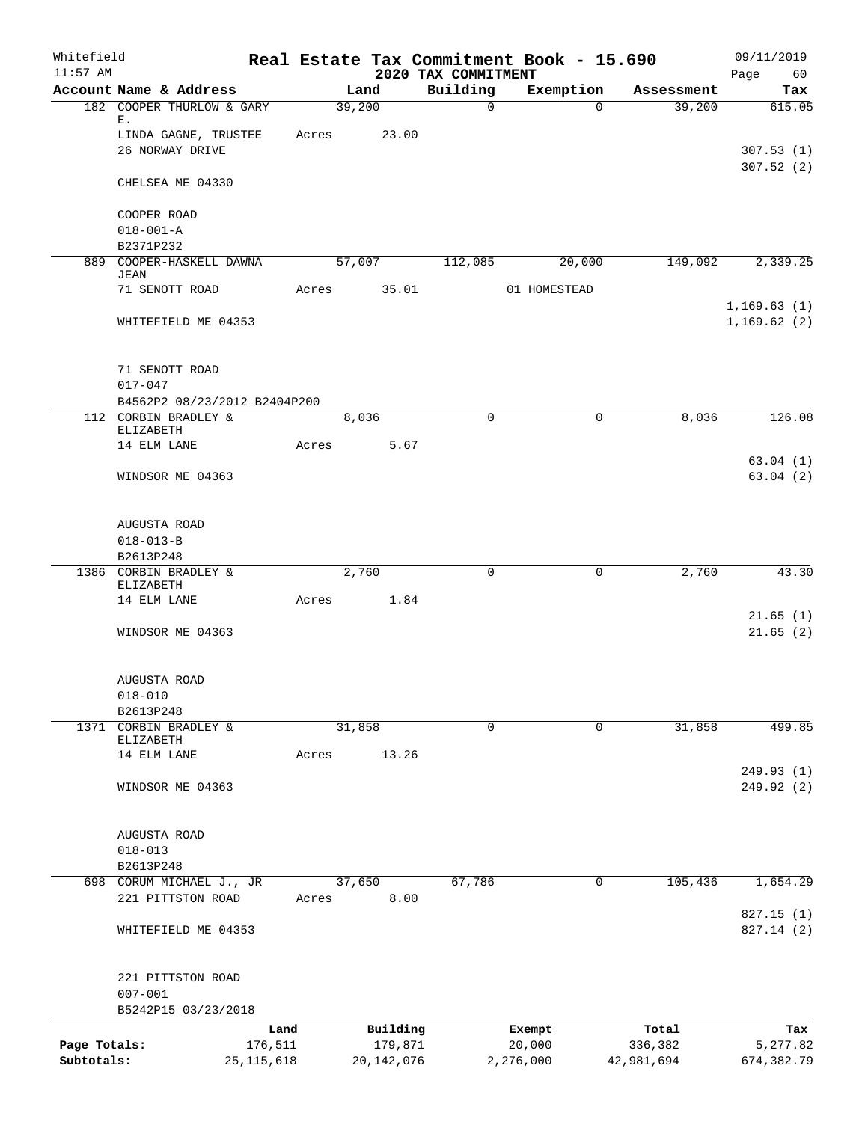| Whitefield<br>$11:57$ AM   |                                                      |              |            |          | 2020 TAX COMMITMENT | Real Estate Tax Commitment Book - 15.690 |             |            | 09/11/2019<br>Page<br>60   |
|----------------------------|------------------------------------------------------|--------------|------------|----------|---------------------|------------------------------------------|-------------|------------|----------------------------|
|                            | Account Name & Address                               |              | Land       |          | Building            | Exemption                                |             | Assessment | Tax                        |
|                            | 182 COOPER THURLOW & GARY<br>Ε.                      |              | 39,200     |          | $\mathbf 0$         |                                          | $\Omega$    | 39,200     | 615.05                     |
|                            | LINDA GAGNE, TRUSTEE                                 | Acres        |            | 23.00    |                     |                                          |             |            |                            |
|                            | 26 NORWAY DRIVE                                      |              |            |          |                     |                                          |             |            | 307.53(1)                  |
|                            | CHELSEA ME 04330                                     |              |            |          |                     |                                          |             |            | 307.52(2)                  |
|                            | COOPER ROAD                                          |              |            |          |                     |                                          |             |            |                            |
|                            | $018 - 001 - A$                                      |              |            |          |                     |                                          |             |            |                            |
|                            | B2371P232                                            |              |            |          |                     |                                          |             |            |                            |
|                            | 889 COOPER-HASKELL DAWNA                             |              | 57,007     |          | 112,085             | 20,000                                   |             | 149,092    | 2,339.25                   |
|                            | JEAN                                                 |              |            |          |                     |                                          |             |            |                            |
|                            | 71 SENOTT ROAD                                       | Acres        | 35.01      |          |                     | 01 HOMESTEAD                             |             |            |                            |
|                            | WHITEFIELD ME 04353                                  |              |            |          |                     |                                          |             |            | 1,169.63(1)<br>1,169.62(2) |
|                            |                                                      |              |            |          |                     |                                          |             |            |                            |
|                            | 71 SENOTT ROAD                                       |              |            |          |                     |                                          |             |            |                            |
|                            | $017 - 047$                                          |              |            |          |                     |                                          |             |            |                            |
|                            | B4562P2 08/23/2012 B2404P200<br>112 CORBIN BRADLEY & |              |            |          | $\Omega$            |                                          | 0           | 8,036      | 126.08                     |
|                            | ELIZABETH                                            |              | 8,036      |          |                     |                                          |             |            |                            |
|                            | 14 ELM LANE                                          | Acres        |            | 5.67     |                     |                                          |             |            |                            |
|                            | WINDSOR ME 04363                                     |              |            |          |                     |                                          |             |            | 63.04(1)<br>63.04(2)       |
|                            |                                                      |              |            |          |                     |                                          |             |            |                            |
|                            | AUGUSTA ROAD                                         |              |            |          |                     |                                          |             |            |                            |
|                            | $018 - 013 - B$                                      |              |            |          |                     |                                          |             |            |                            |
|                            | B2613P248                                            |              |            |          |                     |                                          |             |            |                            |
|                            | 1386 CORBIN BRADLEY &<br>ELIZABETH                   |              | 2,760      |          | $\Omega$            |                                          | $\mathbf 0$ | 2,760      | 43.30                      |
|                            | 14 ELM LANE                                          | Acres        |            | 1.84     |                     |                                          |             |            |                            |
|                            |                                                      |              |            |          |                     |                                          |             |            | 21.65(1)                   |
|                            | WINDSOR ME 04363                                     |              |            |          |                     |                                          |             |            | 21.65(2)                   |
|                            | AUGUSTA ROAD                                         |              |            |          |                     |                                          |             |            |                            |
|                            | $018 - 010$                                          |              |            |          |                     |                                          |             |            |                            |
|                            | B2613P248                                            |              |            |          |                     |                                          |             |            |                            |
|                            | 1371 CORBIN BRADLEY &<br>ELIZABETH                   |              | 31,858     |          | 0                   |                                          | $\mathbf 0$ | 31,858     | 499.85                     |
|                            | 14 ELM LANE                                          | Acres        |            | 13.26    |                     |                                          |             |            | 249.93 (1)                 |
|                            | WINDSOR ME 04363                                     |              |            |          |                     |                                          |             |            | 249.92 (2)                 |
|                            | AUGUSTA ROAD                                         |              |            |          |                     |                                          |             |            |                            |
|                            | $018 - 013$                                          |              |            |          |                     |                                          |             |            |                            |
|                            | B2613P248                                            |              |            |          |                     |                                          |             |            |                            |
|                            | 698 CORUM MICHAEL J., JR                             |              | 37,650     |          | 67,786              |                                          | 0           | 105,436    | 1,654.29                   |
|                            | 221 PITTSTON ROAD                                    | Acres        |            | 8.00     |                     |                                          |             |            |                            |
|                            | WHITEFIELD ME 04353                                  |              |            |          |                     |                                          |             |            | 827.15(1)<br>827.14 (2)    |
|                            |                                                      |              |            |          |                     |                                          |             |            |                            |
|                            | 221 PITTSTON ROAD                                    |              |            |          |                     |                                          |             |            |                            |
|                            | $007 - 001$                                          |              |            |          |                     |                                          |             |            |                            |
|                            | B5242P15 03/23/2018                                  |              |            |          |                     |                                          |             |            |                            |
|                            |                                                      | Land         |            | Building |                     | Exempt                                   |             | Total      | Tax                        |
| Page Totals:<br>Subtotals: |                                                      | 176,511      |            | 179,871  |                     | 20,000                                   |             | 336,382    | 5,277.82                   |
|                            |                                                      | 25, 115, 618 | 20,142,076 |          |                     | 2,276,000                                |             | 42,981,694 | 674, 382.79                |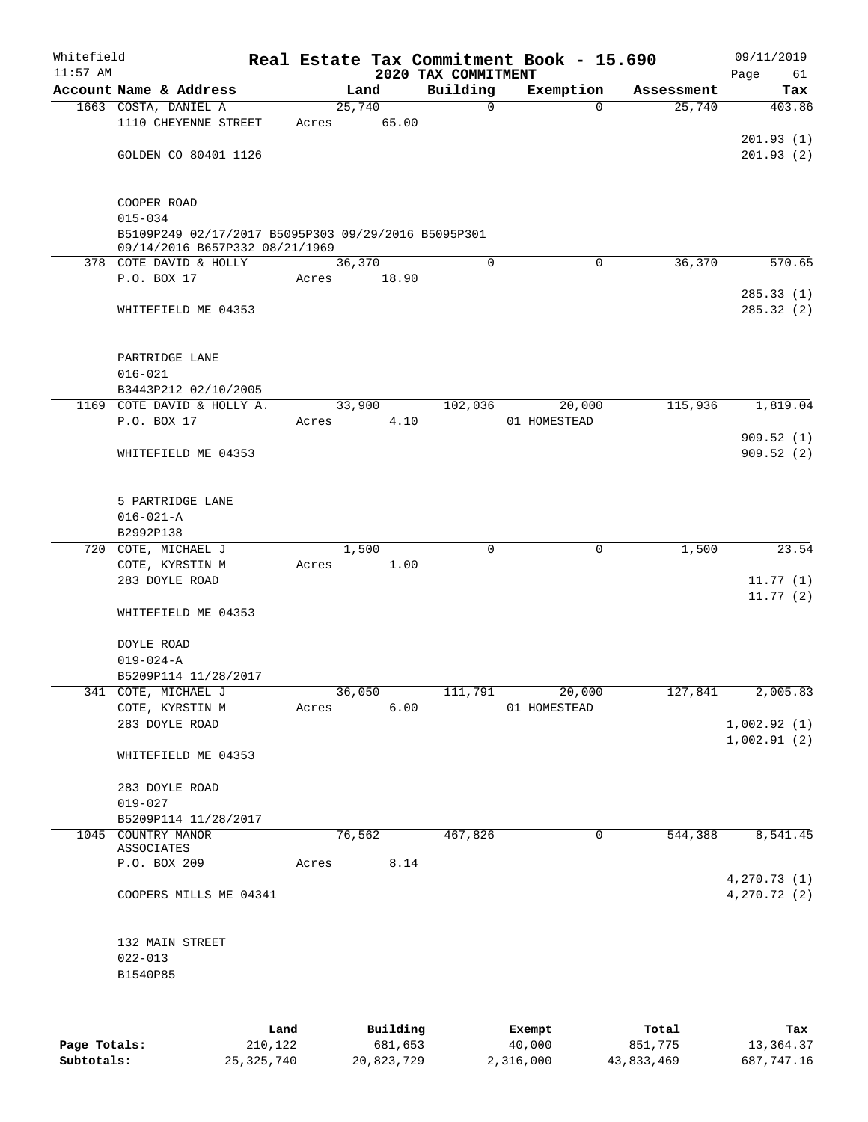| Whitefield<br>$11:57$ AM |                                                                                       |       |        |          | 2020 TAX COMMITMENT | Real Estate Tax Commitment Book - 15.690 |            | 09/11/2019<br>Page<br>61 |
|--------------------------|---------------------------------------------------------------------------------------|-------|--------|----------|---------------------|------------------------------------------|------------|--------------------------|
|                          | Account Name & Address                                                                |       | Land   |          | Building            | Exemption                                | Assessment | Tax                      |
|                          | 1663 COSTA, DANIEL A                                                                  |       | 25,740 |          | $\mathbf 0$         | $\Omega$                                 | 25,740     | 403.86                   |
|                          | 1110 CHEYENNE STREET                                                                  | Acres |        | 65.00    |                     |                                          |            |                          |
|                          |                                                                                       |       |        |          |                     |                                          |            | 201.93(1)                |
|                          | GOLDEN CO 80401 1126                                                                  |       |        |          |                     |                                          |            | 201.93(2)                |
|                          | COOPER ROAD                                                                           |       |        |          |                     |                                          |            |                          |
|                          | $015 - 034$                                                                           |       |        |          |                     |                                          |            |                          |
|                          | B5109P249 02/17/2017 B5095P303 09/29/2016 B5095P301<br>09/14/2016 B657P332 08/21/1969 |       |        |          |                     |                                          |            |                          |
|                          | 378 COTE DAVID & HOLLY                                                                |       | 36,370 |          | $\Omega$            | $\Omega$                                 | 36,370     | 570.65                   |
|                          | P.O. BOX 17                                                                           | Acres |        | 18.90    |                     |                                          |            |                          |
|                          | WHITEFIELD ME 04353                                                                   |       |        |          |                     |                                          |            | 285.33(1)<br>285.32(2)   |
|                          |                                                                                       |       |        |          |                     |                                          |            |                          |
|                          | PARTRIDGE LANE                                                                        |       |        |          |                     |                                          |            |                          |
|                          | $016 - 021$                                                                           |       |        |          |                     |                                          |            |                          |
|                          | B3443P212 02/10/2005                                                                  |       |        |          |                     |                                          |            |                          |
|                          | 1169 COTE DAVID & HOLLY A.<br>P.O. BOX 17                                             | Acres | 33,900 | 4.10     | 102,036             | 20,000<br>01 HOMESTEAD                   | 115,936    | 1,819.04                 |
|                          |                                                                                       |       |        |          |                     |                                          |            | 909.52(1)                |
|                          | WHITEFIELD ME 04353                                                                   |       |        |          |                     |                                          |            | 909.52(2)                |
|                          | 5 PARTRIDGE LANE                                                                      |       |        |          |                     |                                          |            |                          |
|                          | $016 - 021 - A$                                                                       |       |        |          |                     |                                          |            |                          |
|                          | B2992P138                                                                             |       |        |          |                     |                                          |            |                          |
|                          | 720 COTE, MICHAEL J                                                                   |       | 1,500  |          | $\mathbf 0$         | 0                                        | 1,500      | 23.54                    |
|                          | COTE, KYRSTIN M                                                                       | Acres |        | 1.00     |                     |                                          |            |                          |
|                          | 283 DOYLE ROAD                                                                        |       |        |          |                     |                                          |            | 11.77(1)                 |
|                          | WHITEFIELD ME 04353                                                                   |       |        |          |                     |                                          |            | 11.77(2)                 |
|                          |                                                                                       |       |        |          |                     |                                          |            |                          |
|                          | DOYLE ROAD                                                                            |       |        |          |                     |                                          |            |                          |
|                          | $019 - 024 - A$<br>B5209P114 11/28/2017                                               |       |        |          |                     |                                          |            |                          |
|                          | 341 COTE, MICHAEL J                                                                   |       | 36,050 |          | 111,791             | 20,000                                   | 127,841    | 2,005.83                 |
|                          | COTE, KYRSTIN M                                                                       | Acres |        | 6.00     |                     | 01 HOMESTEAD                             |            |                          |
|                          | 283 DOYLE ROAD                                                                        |       |        |          |                     |                                          |            | 1,002.92(1)              |
|                          |                                                                                       |       |        |          |                     |                                          |            | 1,002.91(2)              |
|                          | WHITEFIELD ME 04353                                                                   |       |        |          |                     |                                          |            |                          |
|                          | 283 DOYLE ROAD                                                                        |       |        |          |                     |                                          |            |                          |
|                          | $019 - 027$                                                                           |       |        |          |                     |                                          |            |                          |
|                          | B5209P114 11/28/2017                                                                  |       | 76,562 |          | 467,826             |                                          | 544,388    |                          |
|                          | 1045 COUNTRY MANOR<br>ASSOCIATES                                                      |       |        |          |                     | 0                                        |            | 8,541.45                 |
|                          | P.O. BOX 209                                                                          | Acres |        | 8.14     |                     |                                          |            |                          |
|                          |                                                                                       |       |        |          |                     |                                          |            | 4,270.73 (1)             |
|                          | COOPERS MILLS ME 04341                                                                |       |        |          |                     |                                          |            | 4,270.72 (2)             |
|                          | 132 MAIN STREET                                                                       |       |        |          |                     |                                          |            |                          |
|                          | $022 - 013$                                                                           |       |        |          |                     |                                          |            |                          |
|                          | B1540P85                                                                              |       |        |          |                     |                                          |            |                          |
|                          |                                                                                       |       |        |          |                     |                                          |            |                          |
|                          |                                                                                       | Land  |        | Building |                     | Exempt                                   | Total      | Tax                      |

|              | Land       | Building   | Exempt    | Total      | Tax        |
|--------------|------------|------------|-----------|------------|------------|
| Page Totals: | 210,122    | 681,653    | 40,000    | 851,775    | 13,364.37  |
| Subtotals:   | 25,325,740 | 20,823,729 | 2,316,000 | 43,833,469 | 687,747.16 |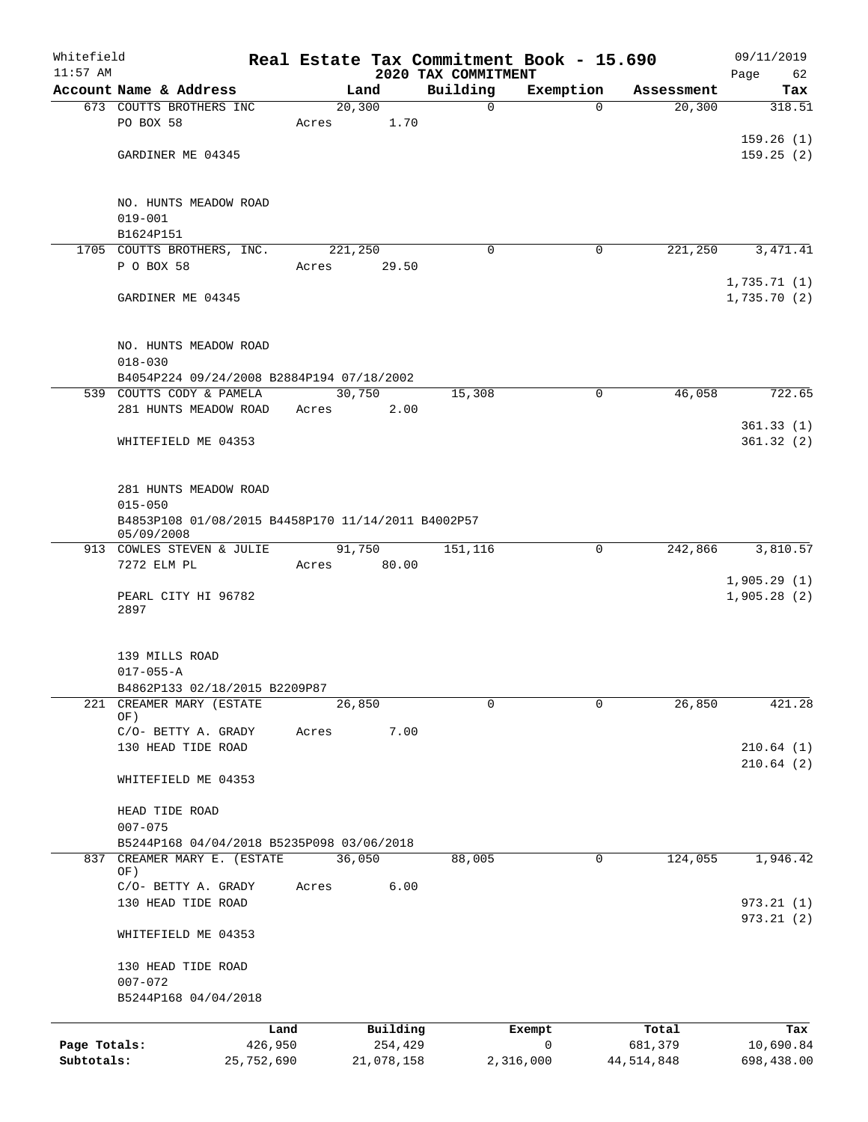| Whitefield<br>$11:57$ AM   |                                                                       |                       |       |                       |      |                                 | Real Estate Tax Commitment Book - 15.690 |                       | 09/11/2019                 |
|----------------------------|-----------------------------------------------------------------------|-----------------------|-------|-----------------------|------|---------------------------------|------------------------------------------|-----------------------|----------------------------|
|                            | Account Name & Address                                                |                       |       | Land                  |      | 2020 TAX COMMITMENT<br>Building | Exemption                                | Assessment            | Page<br>62<br>Tax          |
|                            | 673 COUTTS BROTHERS INC                                               |                       |       | 20, 300               |      | $\mathbf 0$                     | $\Omega$                                 | 20, 300               | 318.51                     |
|                            | PO BOX 58                                                             |                       | Acres |                       | 1.70 |                                 |                                          |                       |                            |
|                            |                                                                       |                       |       |                       |      |                                 |                                          |                       | 159.26(1)                  |
|                            | GARDINER ME 04345                                                     |                       |       |                       |      |                                 |                                          |                       | 159.25(2)                  |
|                            |                                                                       |                       |       |                       |      |                                 |                                          |                       |                            |
|                            | NO. HUNTS MEADOW ROAD                                                 |                       |       |                       |      |                                 |                                          |                       |                            |
|                            | $019 - 001$                                                           |                       |       |                       |      |                                 |                                          |                       |                            |
|                            | B1624P151                                                             |                       |       |                       |      |                                 |                                          |                       |                            |
|                            | 1705 COUTTS BROTHERS, INC.                                            |                       |       | 221,250               |      | $\Omega$                        | 0                                        | 221,250               | 3, 471.41                  |
|                            | P O BOX 58                                                            |                       | Acres | 29.50                 |      |                                 |                                          |                       |                            |
|                            | GARDINER ME 04345                                                     |                       |       |                       |      |                                 |                                          |                       | 1,735.71(1)<br>1,735.70(2) |
|                            |                                                                       |                       |       |                       |      |                                 |                                          |                       |                            |
|                            |                                                                       |                       |       |                       |      |                                 |                                          |                       |                            |
|                            | NO. HUNTS MEADOW ROAD                                                 |                       |       |                       |      |                                 |                                          |                       |                            |
|                            | $018 - 030$                                                           |                       |       |                       |      |                                 |                                          |                       |                            |
|                            | B4054P224 09/24/2008 B2884P194 07/18/2002<br>539 COUTTS CODY & PAMELA |                       |       | 30,750                |      | 15,308                          | $\mathbf 0$                              | 46,058                | 722.65                     |
|                            | 281 HUNTS MEADOW ROAD                                                 |                       | Acres |                       | 2.00 |                                 |                                          |                       |                            |
|                            |                                                                       |                       |       |                       |      |                                 |                                          |                       | 361.33(1)                  |
|                            | WHITEFIELD ME 04353                                                   |                       |       |                       |      |                                 |                                          |                       | 361.32(2)                  |
|                            |                                                                       |                       |       |                       |      |                                 |                                          |                       |                            |
|                            |                                                                       |                       |       |                       |      |                                 |                                          |                       |                            |
|                            | 281 HUNTS MEADOW ROAD<br>$015 - 050$                                  |                       |       |                       |      |                                 |                                          |                       |                            |
|                            | B4853P108 01/08/2015 B4458P170 11/14/2011 B4002P57                    |                       |       |                       |      |                                 |                                          |                       |                            |
|                            | 05/09/2008                                                            |                       |       |                       |      |                                 |                                          |                       |                            |
|                            | 913 COWLES STEVEN & JULIE                                             |                       |       | 91,750                |      | 151,116                         | 0                                        | 242,866               | 3,810.57                   |
|                            | 7272 ELM PL                                                           |                       | Acres | 80.00                 |      |                                 |                                          |                       | 1,905.29(1)                |
|                            | PEARL CITY HI 96782                                                   |                       |       |                       |      |                                 |                                          |                       | 1,905.28(2)                |
|                            | 2897                                                                  |                       |       |                       |      |                                 |                                          |                       |                            |
|                            |                                                                       |                       |       |                       |      |                                 |                                          |                       |                            |
|                            | 139 MILLS ROAD                                                        |                       |       |                       |      |                                 |                                          |                       |                            |
|                            | $017 - 055 - A$                                                       |                       |       |                       |      |                                 |                                          |                       |                            |
|                            | B4862P133 02/18/2015 B2209P87                                         |                       |       |                       |      |                                 |                                          |                       |                            |
| 221                        | CREAMER MARY (ESTATE<br>OF)                                           |                       |       | 26,850                |      | $\mathbf 0$                     | $\Omega$                                 | 26,850                | 421.28                     |
|                            | C/O- BETTY A. GRADY                                                   |                       | Acres |                       | 7.00 |                                 |                                          |                       |                            |
|                            | 130 HEAD TIDE ROAD                                                    |                       |       |                       |      |                                 |                                          |                       | 210.64(1)                  |
|                            |                                                                       |                       |       |                       |      |                                 |                                          |                       | 210.64(2)                  |
|                            | WHITEFIELD ME 04353                                                   |                       |       |                       |      |                                 |                                          |                       |                            |
|                            | HEAD TIDE ROAD                                                        |                       |       |                       |      |                                 |                                          |                       |                            |
|                            | $007 - 075$                                                           |                       |       |                       |      |                                 |                                          |                       |                            |
|                            | B5244P168 04/04/2018 B5235P098 03/06/2018                             |                       |       |                       |      |                                 |                                          |                       |                            |
|                            | 837 CREAMER MARY E. (ESTATE                                           |                       |       | 36,050                |      | 88,005                          | 0                                        | 124,055               | 1,946.42                   |
|                            | OF)<br>C/O- BETTY A. GRADY                                            |                       | Acres |                       | 6.00 |                                 |                                          |                       |                            |
|                            | 130 HEAD TIDE ROAD                                                    |                       |       |                       |      |                                 |                                          |                       | 973.21(1)                  |
|                            |                                                                       |                       |       |                       |      |                                 |                                          |                       | 973.21(2)                  |
|                            | WHITEFIELD ME 04353                                                   |                       |       |                       |      |                                 |                                          |                       |                            |
|                            |                                                                       |                       |       |                       |      |                                 |                                          |                       |                            |
|                            | 130 HEAD TIDE ROAD<br>$007 - 072$                                     |                       |       |                       |      |                                 |                                          |                       |                            |
|                            | B5244P168 04/04/2018                                                  |                       |       |                       |      |                                 |                                          |                       |                            |
|                            |                                                                       |                       |       |                       |      |                                 |                                          |                       |                            |
|                            |                                                                       | Land                  |       | Building              |      |                                 | Exempt<br>$\mathbf 0$                    | Total                 | Tax                        |
| Page Totals:<br>Subtotals: |                                                                       | 426,950<br>25,752,690 |       | 254,429<br>21,078,158 |      |                                 | 2,316,000                                | 681,379<br>44,514,848 | 10,690.84<br>698,438.00    |
|                            |                                                                       |                       |       |                       |      |                                 |                                          |                       |                            |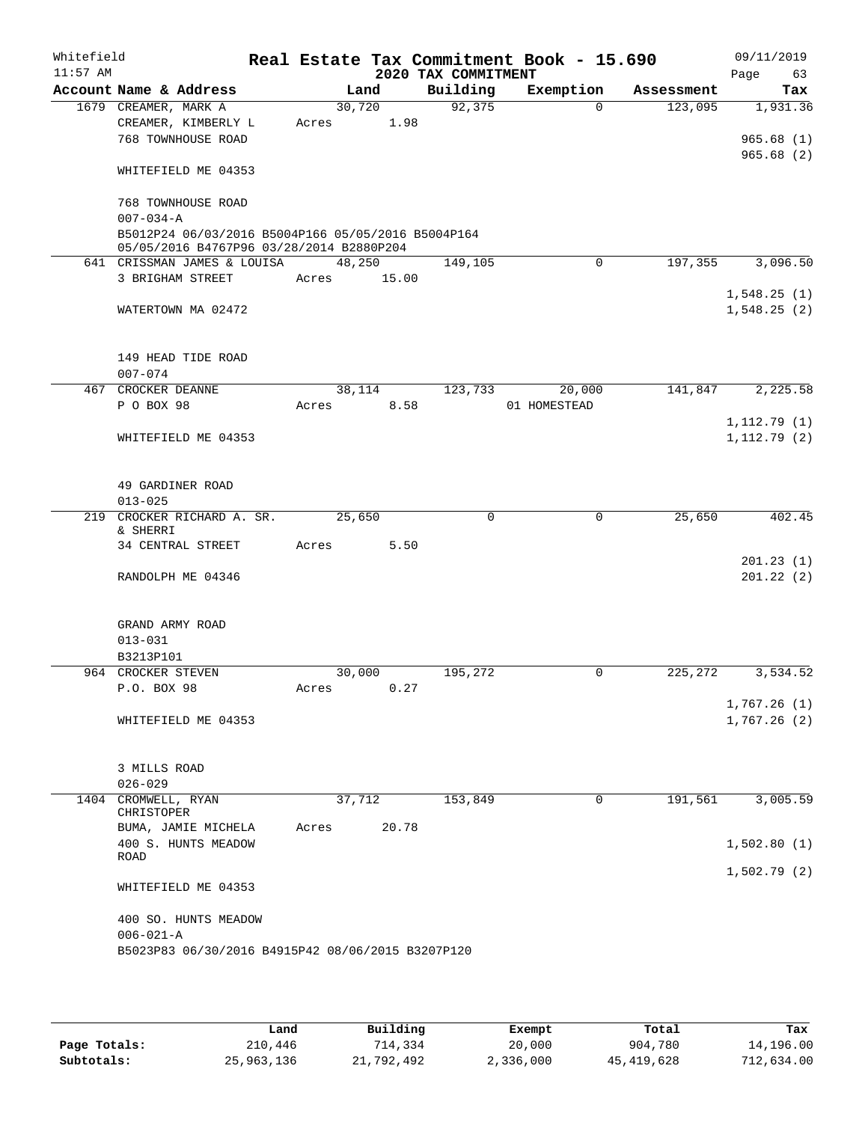| Account Name & Address<br>1679 CREAMER, MARK A<br>CREAMER, KIMBERLY L<br>768 TOWNHOUSE ROAD<br>WHITEFIELD ME 04353<br>768 TOWNHOUSE ROAD<br>$007 - 034 - A$<br>B5012P24 06/03/2016 B5004P166 05/05/2016 B5004P164<br>05/05/2016 B4767P96 03/28/2014 B2880P204<br>641 CRISSMAN JAMES & LOUISA<br>3 BRIGHAM STREET<br>WATERTOWN MA 02472<br>149 HEAD TIDE ROAD | Acres                                                      | Land<br>30,720<br>48,250<br>Acres 15.00 | 1.98 | Building<br>92,375<br>149,105 | Exemption<br>0                                    | Assessment<br>123,095<br>$\Omega$ | Tax<br>1,931.36<br>965.68(1)<br>965.68(2) |
|--------------------------------------------------------------------------------------------------------------------------------------------------------------------------------------------------------------------------------------------------------------------------------------------------------------------------------------------------------------|------------------------------------------------------------|-----------------------------------------|------|-------------------------------|---------------------------------------------------|-----------------------------------|-------------------------------------------|
|                                                                                                                                                                                                                                                                                                                                                              |                                                            |                                         |      |                               |                                                   |                                   |                                           |
|                                                                                                                                                                                                                                                                                                                                                              |                                                            |                                         |      |                               |                                                   |                                   |                                           |
|                                                                                                                                                                                                                                                                                                                                                              |                                                            |                                         |      |                               |                                                   |                                   |                                           |
|                                                                                                                                                                                                                                                                                                                                                              |                                                            |                                         |      |                               |                                                   |                                   |                                           |
|                                                                                                                                                                                                                                                                                                                                                              |                                                            |                                         |      |                               |                                                   |                                   |                                           |
|                                                                                                                                                                                                                                                                                                                                                              |                                                            |                                         |      |                               |                                                   |                                   |                                           |
|                                                                                                                                                                                                                                                                                                                                                              |                                                            |                                         |      |                               |                                                   |                                   |                                           |
|                                                                                                                                                                                                                                                                                                                                                              |                                                            |                                         |      |                               |                                                   |                                   |                                           |
|                                                                                                                                                                                                                                                                                                                                                              |                                                            |                                         |      |                               |                                                   |                                   | 197,355<br>3,096.50                       |
|                                                                                                                                                                                                                                                                                                                                                              |                                                            |                                         |      |                               |                                                   |                                   |                                           |
|                                                                                                                                                                                                                                                                                                                                                              |                                                            |                                         |      |                               |                                                   |                                   | 1,548.25(1)                               |
|                                                                                                                                                                                                                                                                                                                                                              |                                                            |                                         |      |                               |                                                   |                                   | 1,548.25(2)                               |
|                                                                                                                                                                                                                                                                                                                                                              |                                                            |                                         |      |                               |                                                   |                                   |                                           |
|                                                                                                                                                                                                                                                                                                                                                              |                                                            |                                         |      |                               |                                                   |                                   |                                           |
| 467 CROCKER DEANNE                                                                                                                                                                                                                                                                                                                                           |                                                            | 38,114                                  |      | 123,733                       | 20,000                                            |                                   | 141,847<br>2,225.58                       |
| P O BOX 98                                                                                                                                                                                                                                                                                                                                                   | Acres                                                      |                                         | 8.58 |                               | 01 HOMESTEAD                                      |                                   |                                           |
|                                                                                                                                                                                                                                                                                                                                                              |                                                            |                                         |      |                               |                                                   |                                   | 1, 112.79(1)                              |
| WHITEFIELD ME 04353                                                                                                                                                                                                                                                                                                                                          |                                                            |                                         |      |                               |                                                   |                                   | 1, 112.79(2)                              |
| 49 GARDINER ROAD                                                                                                                                                                                                                                                                                                                                             |                                                            |                                         |      |                               |                                                   |                                   |                                           |
| 219 CROCKER RICHARD A. SR.                                                                                                                                                                                                                                                                                                                                   |                                                            | 25,650                                  |      | $\Omega$                      |                                                   | $\mathbf 0$<br>25,650             | 402.45                                    |
|                                                                                                                                                                                                                                                                                                                                                              |                                                            |                                         |      |                               |                                                   |                                   |                                           |
| 34 CENTRAL STREET                                                                                                                                                                                                                                                                                                                                            | Acres                                                      |                                         | 5.50 |                               |                                                   |                                   |                                           |
|                                                                                                                                                                                                                                                                                                                                                              |                                                            |                                         |      |                               |                                                   |                                   | 201.23(1)                                 |
| RANDOLPH ME 04346                                                                                                                                                                                                                                                                                                                                            |                                                            |                                         |      |                               |                                                   |                                   | 201.22(2)                                 |
| GRAND ARMY ROAD                                                                                                                                                                                                                                                                                                                                              |                                                            |                                         |      |                               |                                                   |                                   |                                           |
|                                                                                                                                                                                                                                                                                                                                                              |                                                            |                                         |      |                               |                                                   |                                   |                                           |
| B3213P101                                                                                                                                                                                                                                                                                                                                                    |                                                            |                                         |      |                               |                                                   |                                   |                                           |
| 964 CROCKER STEVEN                                                                                                                                                                                                                                                                                                                                           |                                                            | 30,000                                  |      | 195,272                       |                                                   | $\mathbf 0$<br>225,272            | 3,534.52                                  |
| P.O. BOX 98                                                                                                                                                                                                                                                                                                                                                  | Acres                                                      |                                         | 0.27 |                               |                                                   |                                   | 1,767.26(1)                               |
| WHITEFIELD ME 04353                                                                                                                                                                                                                                                                                                                                          |                                                            |                                         |      |                               |                                                   |                                   | 1,767.26(2)                               |
|                                                                                                                                                                                                                                                                                                                                                              |                                                            |                                         |      |                               |                                                   |                                   |                                           |
|                                                                                                                                                                                                                                                                                                                                                              |                                                            |                                         |      |                               |                                                   |                                   |                                           |
|                                                                                                                                                                                                                                                                                                                                                              |                                                            |                                         |      |                               |                                                   |                                   |                                           |
| 1404 CROMWELL, RYAN                                                                                                                                                                                                                                                                                                                                          |                                                            |                                         |      | 153,849                       |                                                   |                                   | 3,005.59                                  |
| CHRISTOPER                                                                                                                                                                                                                                                                                                                                                   |                                                            |                                         |      |                               |                                                   |                                   |                                           |
|                                                                                                                                                                                                                                                                                                                                                              |                                                            |                                         |      |                               |                                                   |                                   |                                           |
|                                                                                                                                                                                                                                                                                                                                                              |                                                            |                                         |      |                               |                                                   |                                   | 1,502.80(1)                               |
|                                                                                                                                                                                                                                                                                                                                                              |                                                            |                                         |      |                               |                                                   |                                   | 1,502.79(2)                               |
| WHITEFIELD ME 04353                                                                                                                                                                                                                                                                                                                                          |                                                            |                                         |      |                               |                                                   |                                   |                                           |
|                                                                                                                                                                                                                                                                                                                                                              |                                                            |                                         |      |                               |                                                   |                                   |                                           |
| 400 SO. HUNTS MEADOW                                                                                                                                                                                                                                                                                                                                         |                                                            |                                         |      |                               |                                                   |                                   |                                           |
| $006 - 021 - A$                                                                                                                                                                                                                                                                                                                                              |                                                            |                                         |      |                               |                                                   |                                   |                                           |
|                                                                                                                                                                                                                                                                                                                                                              | 3 MILLS ROAD<br>BUMA, JAMIE MICHELA<br>400 S. HUNTS MEADOW | Acres                                   |      | 37,712<br>20.78               | B5023P83 06/30/2016 B4915P42 08/06/2015 B3207P120 |                                   | 191,561<br>0                              |

|              | Land       | Building   | Exempt    | Total        | Tax        |
|--------------|------------|------------|-----------|--------------|------------|
| Page Totals: | 210,446    | 714,334    | 20,000    | 904,780      | 14,196.00  |
| Subtotals:   | 25,963,136 | 21,792,492 | 2,336,000 | 45, 419, 628 | 712,634.00 |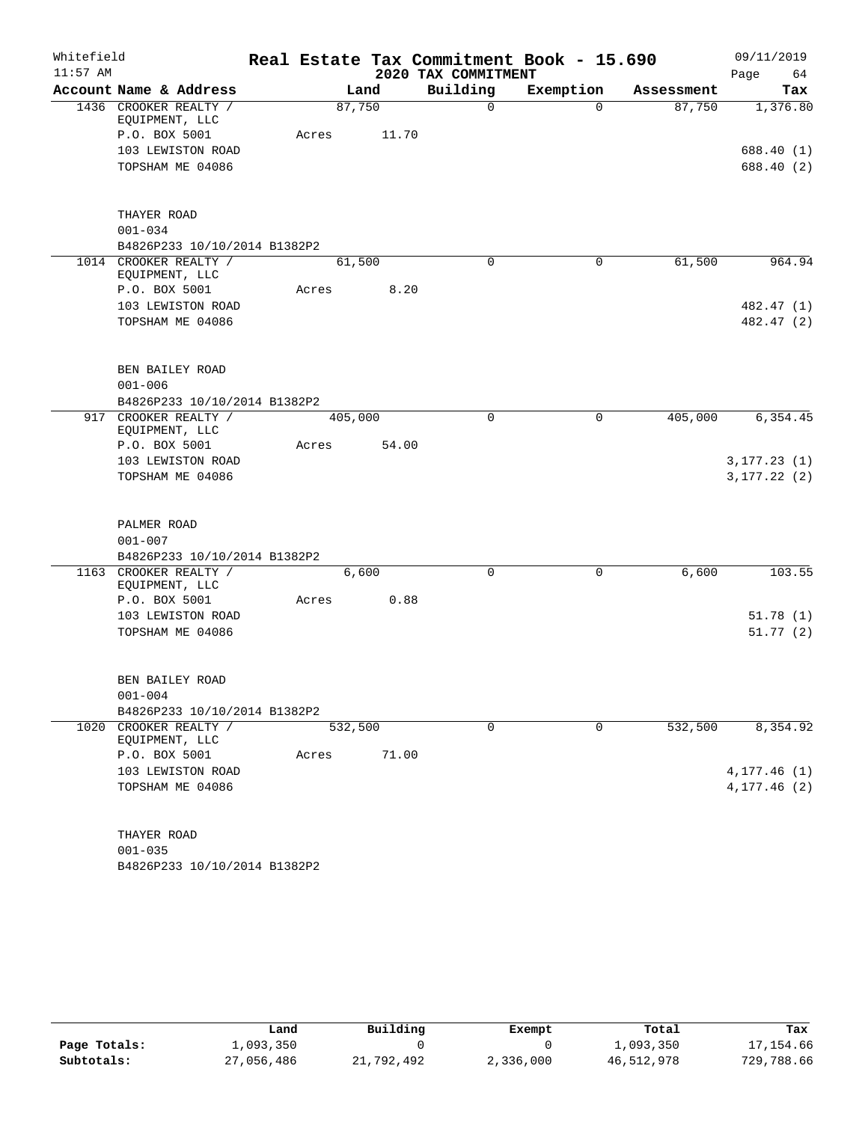| Whitefield |                                                                               |         |                 |                     | Real Estate Tax Commitment Book - 15.690 |            | 09/11/2019             |
|------------|-------------------------------------------------------------------------------|---------|-----------------|---------------------|------------------------------------------|------------|------------------------|
| $11:57$ AM |                                                                               |         |                 | 2020 TAX COMMITMENT |                                          |            | 64<br>Page             |
|            | Account Name & Address                                                        |         | Land            | Building            | Exemption                                | Assessment | Tax                    |
|            | 1436 CROOKER REALTY /<br>EQUIPMENT, LLC<br>P.O. BOX 5001<br>103 LEWISTON ROAD | Acres   | 87,750<br>11.70 | 0                   | $\Omega$                                 | 87,750     | 1,376.80<br>688.40 (1) |
|            | TOPSHAM ME 04086                                                              |         |                 |                     |                                          |            | 688.40 (2)             |
|            | THAYER ROAD                                                                   |         |                 |                     |                                          |            |                        |
|            | $001 - 034$                                                                   |         |                 |                     |                                          |            |                        |
|            | B4826P233 10/10/2014 B1382P2                                                  |         |                 |                     |                                          |            |                        |
|            | 1014 CROOKER REALTY /<br>EQUIPMENT, LLC                                       |         | 61,500          | $\Omega$            | $\mathbf 0$                              | 61,500     | 964.94                 |
|            | P.O. BOX 5001                                                                 | Acres   | 8.20            |                     |                                          |            |                        |
|            | 103 LEWISTON ROAD                                                             |         |                 |                     |                                          |            | 482.47 (1)             |
|            | TOPSHAM ME 04086                                                              |         |                 |                     |                                          |            | 482.47 (2)             |
|            |                                                                               |         |                 |                     |                                          |            |                        |
|            | BEN BAILEY ROAD                                                               |         |                 |                     |                                          |            |                        |
|            | $001 - 006$                                                                   |         |                 |                     |                                          |            |                        |
|            | B4826P233 10/10/2014 B1382P2                                                  |         |                 |                     |                                          |            |                        |
|            | 917 CROOKER REALTY /                                                          | 405,000 |                 | $\Omega$            | 0                                        | 405,000    | 6, 354.45              |
|            | EQUIPMENT, LLC<br>P.O. BOX 5001                                               | Acres   | 54.00           |                     |                                          |            |                        |
|            | 103 LEWISTON ROAD                                                             |         |                 |                     |                                          |            | 3, 177.23(1)           |
|            | TOPSHAM ME 04086                                                              |         |                 |                     |                                          |            | 3, 177.22(2)           |
|            | PALMER ROAD                                                                   |         |                 |                     |                                          |            |                        |
|            | $001 - 007$                                                                   |         |                 |                     |                                          |            |                        |
|            | B4826P233 10/10/2014 B1382P2                                                  |         |                 |                     |                                          |            |                        |
|            | 1163 CROOKER REALTY /                                                         |         | 6,600           | $\Omega$            | $\mathbf 0$                              | 6,600      | 103.55                 |
|            | EQUIPMENT, LLC<br>P.O. BOX 5001                                               | Acres   | 0.88            |                     |                                          |            |                        |
|            | 103 LEWISTON ROAD                                                             |         |                 |                     |                                          |            | 51.78(1)               |
|            | TOPSHAM ME 04086                                                              |         |                 |                     |                                          |            | 51.77(2)               |
|            |                                                                               |         |                 |                     |                                          |            |                        |
|            | BEN BAILEY ROAD                                                               |         |                 |                     |                                          |            |                        |
|            | $001 - 004$                                                                   |         |                 |                     |                                          |            |                        |
|            | B4826P233 10/10/2014 B1382P2                                                  |         |                 |                     |                                          |            |                        |
|            | 1020 CROOKER REALTY /<br>EQUIPMENT, LLC                                       | 532,500 |                 | 0                   | $\mathbf 0$                              | 532,500    | 8,354.92               |
|            | P.O. BOX 5001                                                                 | Acres   | 71.00           |                     |                                          |            |                        |
|            | 103 LEWISTON ROAD                                                             |         |                 |                     |                                          |            | 4, 177.46 (1)          |
|            | TOPSHAM ME 04086                                                              |         |                 |                     |                                          |            | 4, 177.46 (2)          |
|            | THAYER ROAD                                                                   |         |                 |                     |                                          |            |                        |
|            | $001 - 035$                                                                   |         |                 |                     |                                          |            |                        |
|            | B4826P233 10/10/2014 B1382P2                                                  |         |                 |                     |                                          |            |                        |

|              | Land       | Building   | Exempt    | Total      | Tax        |
|--------------|------------|------------|-----------|------------|------------|
| Page Totals: | ⊥,093,350  |            |           | 1,093,350  | 17,154.66  |
| Subtotals:   | 27,056,486 | 21,792,492 | 2,336,000 | 46,512,978 | 729,788.66 |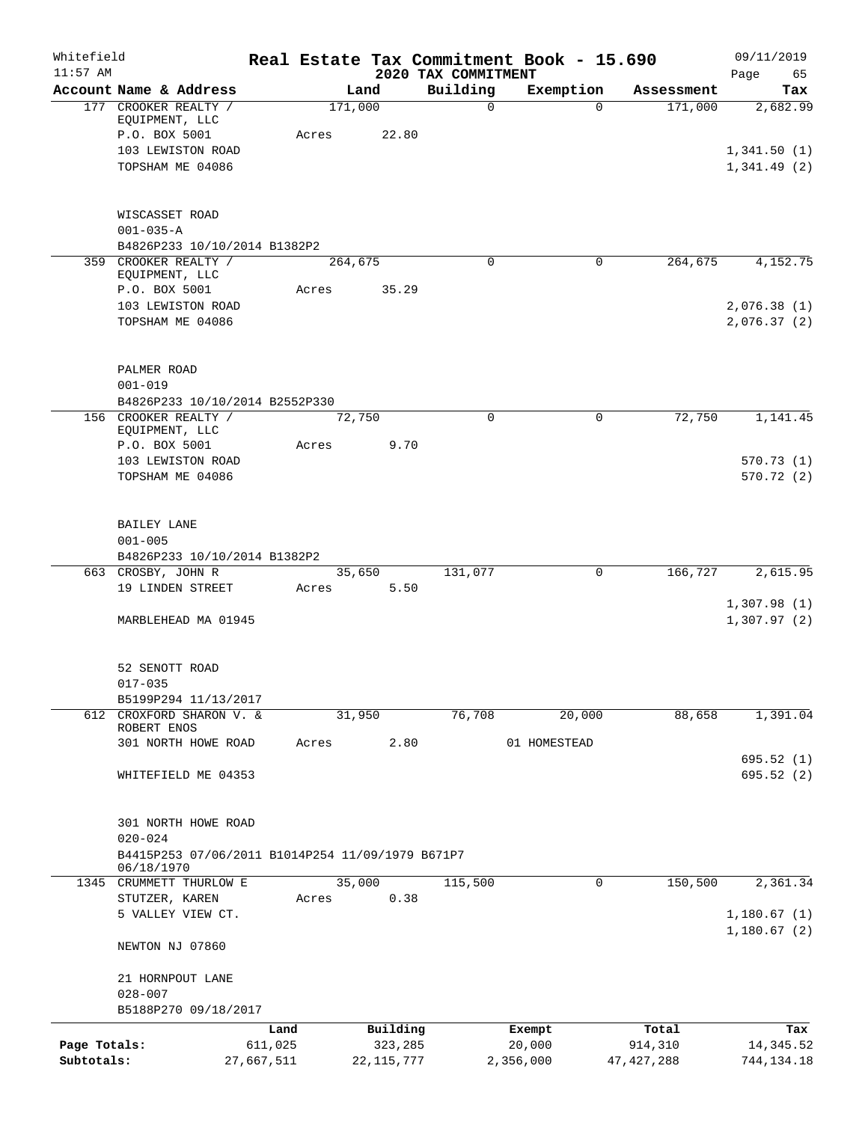| Whitefield<br>$11:57$ AM   |                                                                              |                       |       |                         | 2020 TAX COMMITMENT | Real Estate Tax Commitment Book - 15.690 |                         | 09/11/2019<br>Page<br>65   |
|----------------------------|------------------------------------------------------------------------------|-----------------------|-------|-------------------------|---------------------|------------------------------------------|-------------------------|----------------------------|
|                            | Account Name & Address                                                       |                       |       | Land                    | Building            | Exemption                                | Assessment              | Tax                        |
|                            | 177 CROOKER REALTY /<br>EQUIPMENT, LLC<br>P.O. BOX 5001<br>103 LEWISTON ROAD |                       | Acres | 171,000<br>22.80        | $\mathsf{O}$        | $\Omega$                                 | 171,000                 | 2,682.99<br>1,341.50(1)    |
|                            | TOPSHAM ME 04086                                                             |                       |       |                         |                     |                                          |                         | 1,341.49(2)                |
|                            | WISCASSET ROAD<br>$001 - 035 - A$                                            |                       |       |                         |                     |                                          |                         |                            |
|                            | B4826P233 10/10/2014 B1382P2                                                 |                       |       |                         |                     |                                          |                         |                            |
|                            | 359 CROOKER REALTY /<br>EQUIPMENT, LLC<br>P.O. BOX 5001                      |                       | Acres | 264,675<br>35.29        | $\Omega$            | 0                                        | 264,675                 | 4,152.75                   |
|                            | 103 LEWISTON ROAD<br>TOPSHAM ME 04086                                        |                       |       |                         |                     |                                          |                         | 2,076.38(1)<br>2,076.37(2) |
|                            | PALMER ROAD<br>$001 - 019$                                                   |                       |       |                         |                     |                                          |                         |                            |
|                            | B4826P233 10/10/2014 B2552P330                                               |                       |       |                         |                     |                                          |                         |                            |
|                            | 156 CROOKER REALTY /<br>EQUIPMENT, LLC                                       |                       |       | 72,750                  | 0                   | 0                                        | 72,750                  | 1,141.45                   |
|                            | P.O. BOX 5001                                                                |                       | Acres | 9.70                    |                     |                                          |                         |                            |
|                            | 103 LEWISTON ROAD<br>TOPSHAM ME 04086                                        |                       |       |                         |                     |                                          |                         | 570.73(1)<br>570.72(2)     |
|                            | BAILEY LANE<br>$001 - 005$<br>B4826P233 10/10/2014 B1382P2                   |                       |       |                         |                     |                                          |                         |                            |
|                            | 663 CROSBY, JOHN R                                                           |                       |       | 35,650                  | 131,077             | 0                                        | 166,727                 | 2,615.95                   |
|                            | 19 LINDEN STREET                                                             |                       | Acres | 5.50                    |                     |                                          |                         | 1,307.98(1)                |
|                            | MARBLEHEAD MA 01945                                                          |                       |       |                         |                     |                                          |                         | 1,307.97(2)                |
|                            | 52 SENOTT ROAD<br>$017 - 035$                                                |                       |       |                         |                     |                                          |                         |                            |
|                            | B5199P294 11/13/2017                                                         |                       |       |                         |                     |                                          |                         |                            |
|                            | 612 CROXFORD SHARON V. &<br>ROBERT ENOS                                      |                       |       | 31,950                  | 76,708              | 20,000                                   | 88,658                  | 1,391.04                   |
|                            | 301 NORTH HOWE ROAD                                                          |                       | Acres | 2.80                    |                     | 01 HOMESTEAD                             |                         | 695.52(1)                  |
|                            | WHITEFIELD ME 04353                                                          |                       |       |                         |                     |                                          |                         | 695.52(2)                  |
|                            | 301 NORTH HOWE ROAD<br>$020 - 024$                                           |                       |       |                         |                     |                                          |                         |                            |
|                            | B4415P253 07/06/2011 B1014P254 11/09/1979 B671P7<br>06/18/1970               |                       |       |                         |                     |                                          |                         |                            |
|                            | 1345 CRUMMETT THURLOW E                                                      |                       |       | 35,000                  | 115,500             | 0                                        | 150,500                 | 2,361.34                   |
|                            | STUTZER, KAREN                                                               |                       | Acres | 0.38                    |                     |                                          |                         |                            |
|                            | 5 VALLEY VIEW CT.                                                            |                       |       |                         |                     |                                          |                         | 1,180.67(1)<br>1,180.67(2) |
|                            | NEWTON NJ 07860                                                              |                       |       |                         |                     |                                          |                         |                            |
|                            | 21 HORNPOUT LANE<br>$028 - 007$                                              |                       |       |                         |                     |                                          |                         |                            |
|                            | B5188P270 09/18/2017                                                         |                       |       |                         |                     |                                          |                         |                            |
|                            |                                                                              | Land                  |       | Building                |                     | Exempt                                   | Total                   | Tax                        |
| Page Totals:<br>Subtotals: |                                                                              | 611,025<br>27,667,511 |       | 323,285<br>22, 115, 777 |                     | 20,000<br>2,356,000                      | 914,310<br>47, 427, 288 | 14, 345.52<br>744, 134. 18 |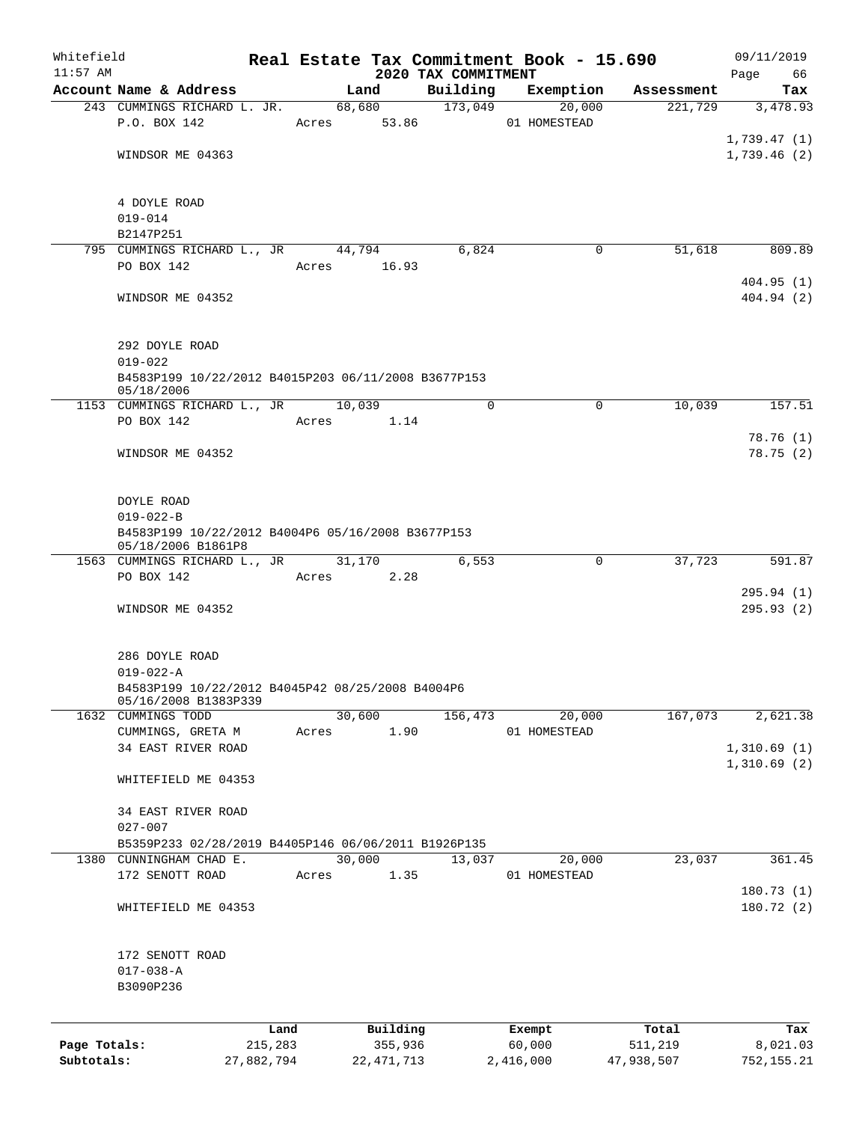| Whitefield                 |                                                                      |                       |       |                         |                                 | Real Estate Tax Commitment Book - 15.690 |                       | 09/11/2019              |
|----------------------------|----------------------------------------------------------------------|-----------------------|-------|-------------------------|---------------------------------|------------------------------------------|-----------------------|-------------------------|
| $11:57$ AM                 | Account Name & Address                                               |                       |       | Land                    | 2020 TAX COMMITMENT<br>Building | Exemption                                | Assessment            | 66<br>Page<br>Tax       |
|                            | 243 CUMMINGS RICHARD L. JR.                                          |                       |       | 68,680                  |                                 | 173,049<br>20,000                        | 221,729               | 3,478.93                |
|                            | P.O. BOX 142                                                         |                       | Acres | 53.86                   |                                 | 01 HOMESTEAD                             |                       |                         |
|                            |                                                                      |                       |       |                         |                                 |                                          |                       | 1,739.47(1)             |
|                            | WINDSOR ME 04363                                                     |                       |       |                         |                                 |                                          |                       | 1,739.46(2)             |
|                            |                                                                      |                       |       |                         |                                 |                                          |                       |                         |
|                            |                                                                      |                       |       |                         |                                 |                                          |                       |                         |
|                            | 4 DOYLE ROAD<br>$019 - 014$                                          |                       |       |                         |                                 |                                          |                       |                         |
|                            | B2147P251                                                            |                       |       |                         |                                 |                                          |                       |                         |
|                            | 795 CUMMINGS RICHARD L., JR                                          |                       |       | 44,794                  | 6,824                           | 0                                        | 51,618                | 809.89                  |
|                            | PO BOX 142                                                           |                       | Acres | 16.93                   |                                 |                                          |                       |                         |
|                            |                                                                      |                       |       |                         |                                 |                                          |                       | 404.95(1)               |
|                            | WINDSOR ME 04352                                                     |                       |       |                         |                                 |                                          |                       | 404.94(2)               |
|                            |                                                                      |                       |       |                         |                                 |                                          |                       |                         |
|                            |                                                                      |                       |       |                         |                                 |                                          |                       |                         |
|                            | 292 DOYLE ROAD                                                       |                       |       |                         |                                 |                                          |                       |                         |
|                            | $019 - 022$                                                          |                       |       |                         |                                 |                                          |                       |                         |
|                            | B4583P199 10/22/2012 B4015P203 06/11/2008 B3677P153<br>05/18/2006    |                       |       |                         |                                 |                                          |                       |                         |
|                            | 1153 CUMMINGS RICHARD L., JR                                         |                       |       | 10,039                  | 0                               | $\mathbf 0$                              | 10,039                | 157.51                  |
|                            | PO BOX 142                                                           |                       | Acres | 1.14                    |                                 |                                          |                       |                         |
|                            |                                                                      |                       |       |                         |                                 |                                          |                       | 78.76(1)                |
|                            | WINDSOR ME 04352                                                     |                       |       |                         |                                 |                                          |                       | 78.75(2)                |
|                            |                                                                      |                       |       |                         |                                 |                                          |                       |                         |
|                            |                                                                      |                       |       |                         |                                 |                                          |                       |                         |
|                            | DOYLE ROAD                                                           |                       |       |                         |                                 |                                          |                       |                         |
|                            | $019 - 022 - B$<br>B4583P199 10/22/2012 B4004P6 05/16/2008 B3677P153 |                       |       |                         |                                 |                                          |                       |                         |
|                            | 05/18/2006 B1861P8                                                   |                       |       |                         |                                 |                                          |                       |                         |
|                            | 1563 CUMMINGS RICHARD L., JR                                         |                       |       | 31,170                  | 6,553                           | $\mathbf 0$                              | 37,723                | 591.87                  |
|                            | PO BOX 142                                                           |                       | Acres | 2.28                    |                                 |                                          |                       |                         |
|                            |                                                                      |                       |       |                         |                                 |                                          |                       | 295.94(1)               |
|                            | WINDSOR ME 04352                                                     |                       |       |                         |                                 |                                          |                       | 295.93(2)               |
|                            |                                                                      |                       |       |                         |                                 |                                          |                       |                         |
|                            | 286 DOYLE ROAD                                                       |                       |       |                         |                                 |                                          |                       |                         |
|                            | $019 - 022 - A$                                                      |                       |       |                         |                                 |                                          |                       |                         |
|                            | B4583P199 10/22/2012 B4045P42 08/25/2008 B4004P6                     |                       |       |                         |                                 |                                          |                       |                         |
|                            | 05/16/2008 B1383P339                                                 |                       |       |                         |                                 |                                          |                       |                         |
|                            | 1632 CUMMINGS TODD                                                   |                       |       | 30,600                  | 156,473                         | 20,000                                   | 167,073               | 2,621.38                |
|                            | CUMMINGS, GRETA M                                                    |                       | Acres | 1.90                    |                                 | 01 HOMESTEAD                             |                       |                         |
|                            | 34 EAST RIVER ROAD                                                   |                       |       |                         |                                 |                                          |                       | 1,310.69(1)             |
|                            | WHITEFIELD ME 04353                                                  |                       |       |                         |                                 |                                          |                       | 1,310.69(2)             |
|                            |                                                                      |                       |       |                         |                                 |                                          |                       |                         |
|                            | 34 EAST RIVER ROAD                                                   |                       |       |                         |                                 |                                          |                       |                         |
|                            | $027 - 007$                                                          |                       |       |                         |                                 |                                          |                       |                         |
|                            | B5359P233 02/28/2019 B4405P146 06/06/2011 B1926P135                  |                       |       |                         |                                 |                                          |                       |                         |
|                            | 1380 CUNNINGHAM CHAD E.                                              |                       |       | 30,000                  | 13,037                          | 20,000                                   | 23,037                | 361.45                  |
|                            | 172 SENOTT ROAD                                                      |                       | Acres | 1.35                    |                                 | 01 HOMESTEAD                             |                       |                         |
|                            |                                                                      |                       |       |                         |                                 |                                          |                       | 180.73(1)               |
|                            | WHITEFIELD ME 04353                                                  |                       |       |                         |                                 |                                          |                       | 180.72(2)               |
|                            |                                                                      |                       |       |                         |                                 |                                          |                       |                         |
|                            | 172 SENOTT ROAD                                                      |                       |       |                         |                                 |                                          |                       |                         |
|                            | $017 - 038 - A$                                                      |                       |       |                         |                                 |                                          |                       |                         |
|                            | B3090P236                                                            |                       |       |                         |                                 |                                          |                       |                         |
|                            |                                                                      |                       |       |                         |                                 |                                          |                       |                         |
|                            |                                                                      |                       |       |                         |                                 |                                          |                       |                         |
|                            |                                                                      | Land                  |       | Building                |                                 | Exempt                                   | Total                 | Tax                     |
| Page Totals:<br>Subtotals: |                                                                      | 215,283<br>27,882,794 |       | 355,936<br>22, 471, 713 |                                 | 60,000<br>2,416,000                      | 511,219<br>47,938,507 | 8,021.03<br>752, 155.21 |
|                            |                                                                      |                       |       |                         |                                 |                                          |                       |                         |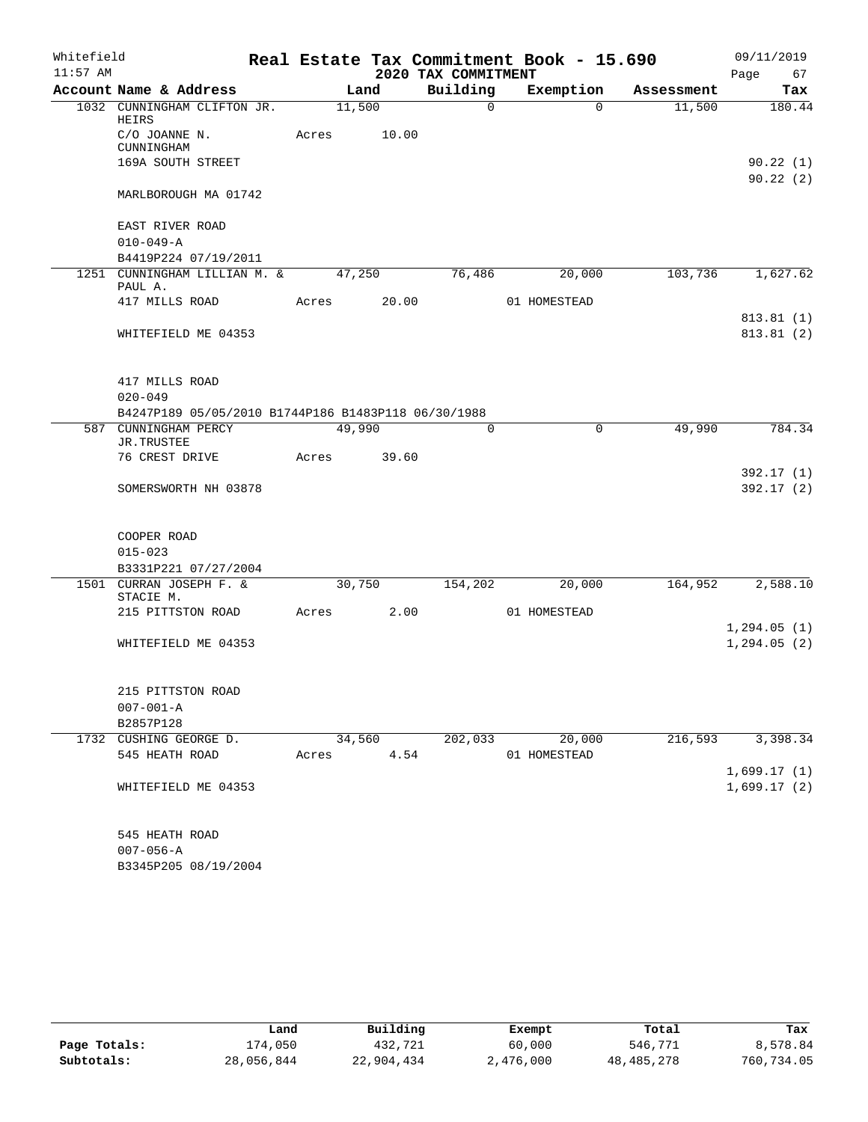| Whitefield |                                                     |        |       |                     | Real Estate Tax Commitment Book - 15.690 |            | 09/11/2019              |
|------------|-----------------------------------------------------|--------|-------|---------------------|------------------------------------------|------------|-------------------------|
| $11:57$ AM |                                                     |        |       | 2020 TAX COMMITMENT |                                          |            | 67<br>Page              |
|            | Account Name & Address                              |        | Land  | Building            | Exemption                                | Assessment | Tax                     |
|            | 1032 CUNNINGHAM CLIFTON JR.<br>HEIRS                | 11,500 |       | $\Omega$            | $\Omega$                                 | 11,500     | 180.44                  |
|            | C/O JOANNE N.<br>CUNNINGHAM                         | Acres  | 10.00 |                     |                                          |            |                         |
|            | 169A SOUTH STREET                                   |        |       |                     |                                          |            | 90.22(1)<br>90.22(2)    |
|            | MARLBOROUGH MA 01742                                |        |       |                     |                                          |            |                         |
|            | EAST RIVER ROAD                                     |        |       |                     |                                          |            |                         |
|            | $010 - 049 - A$                                     |        |       |                     |                                          |            |                         |
|            | B4419P224 07/19/2011                                |        |       |                     |                                          |            |                         |
|            | 1251 CUNNINGHAM LILLIAN M. &<br>PAUL A.             | 47,250 |       | 76,486              | 20,000                                   | 103,736    | 1,627.62                |
|            | 417 MILLS ROAD                                      | Acres  | 20.00 |                     | 01 HOMESTEAD                             |            | 813.81(1)               |
|            | WHITEFIELD ME 04353                                 |        |       |                     |                                          |            | 813.81(2)               |
|            | 417 MILLS ROAD                                      |        |       |                     |                                          |            |                         |
|            | $020 - 049$                                         |        |       |                     |                                          |            |                         |
|            | B4247P189 05/05/2010 B1744P186 B1483P118 06/30/1988 |        |       |                     |                                          |            |                         |
| 587        | CUNNINGHAM PERCY<br>JR.TRUSTEE                      | 49,990 |       | $\Omega$            | $\mathbf 0$                              | 49,990     | 784.34                  |
|            | 76 CREST DRIVE                                      | Acres  | 39.60 |                     |                                          |            |                         |
|            | SOMERSWORTH NH 03878                                |        |       |                     |                                          |            | 392.17 (1)<br>392.17(2) |
|            |                                                     |        |       |                     |                                          |            |                         |
|            | COOPER ROAD                                         |        |       |                     |                                          |            |                         |
|            | $015 - 023$                                         |        |       |                     |                                          |            |                         |
|            | B3331P221 07/27/2004<br>1501 CURRAN JOSEPH F. &     | 30,750 |       | 154,202             | 20,000                                   | 164,952    | 2,588.10                |
|            | STACIE M.                                           |        |       |                     |                                          |            |                         |
|            | 215 PITTSTON ROAD                                   | Acres  | 2.00  |                     | 01 HOMESTEAD                             |            | 1,294.05(1)             |
|            | WHITEFIELD ME 04353                                 |        |       |                     |                                          |            | 1, 294.05(2)            |
|            | 215 PITTSTON ROAD                                   |        |       |                     |                                          |            |                         |
|            | $007 - 001 - A$                                     |        |       |                     |                                          |            |                         |
|            | B2857P128                                           |        |       |                     |                                          |            |                         |
|            | 1732 CUSHING GEORGE D.                              | 34,560 |       | 202,033             | 20,000                                   | 216,593    | 3,398.34                |
|            | 545 HEATH ROAD                                      | Acres  | 4.54  |                     | 01 HOMESTEAD                             |            |                         |
|            |                                                     |        |       |                     |                                          |            | 1,699.17(1)             |
|            | WHITEFIELD ME 04353                                 |        |       |                     |                                          |            | 1,699.17(2)             |
|            | 545 HEATH ROAD                                      |        |       |                     |                                          |            |                         |
|            | $007 - 056 - A$                                     |        |       |                     |                                          |            |                         |
|            | B3345P205 08/19/2004                                |        |       |                     |                                          |            |                         |

|              | Land       | Building   | Exempt    | Total      | Tax        |
|--------------|------------|------------|-----------|------------|------------|
| Page Totals: | 174,050    | 432,721    | 60,000    | 546,771    | 8,578.84   |
| Subtotals:   | 28,056,844 | 22,904,434 | 2,476,000 | 48,485,278 | 760,734.05 |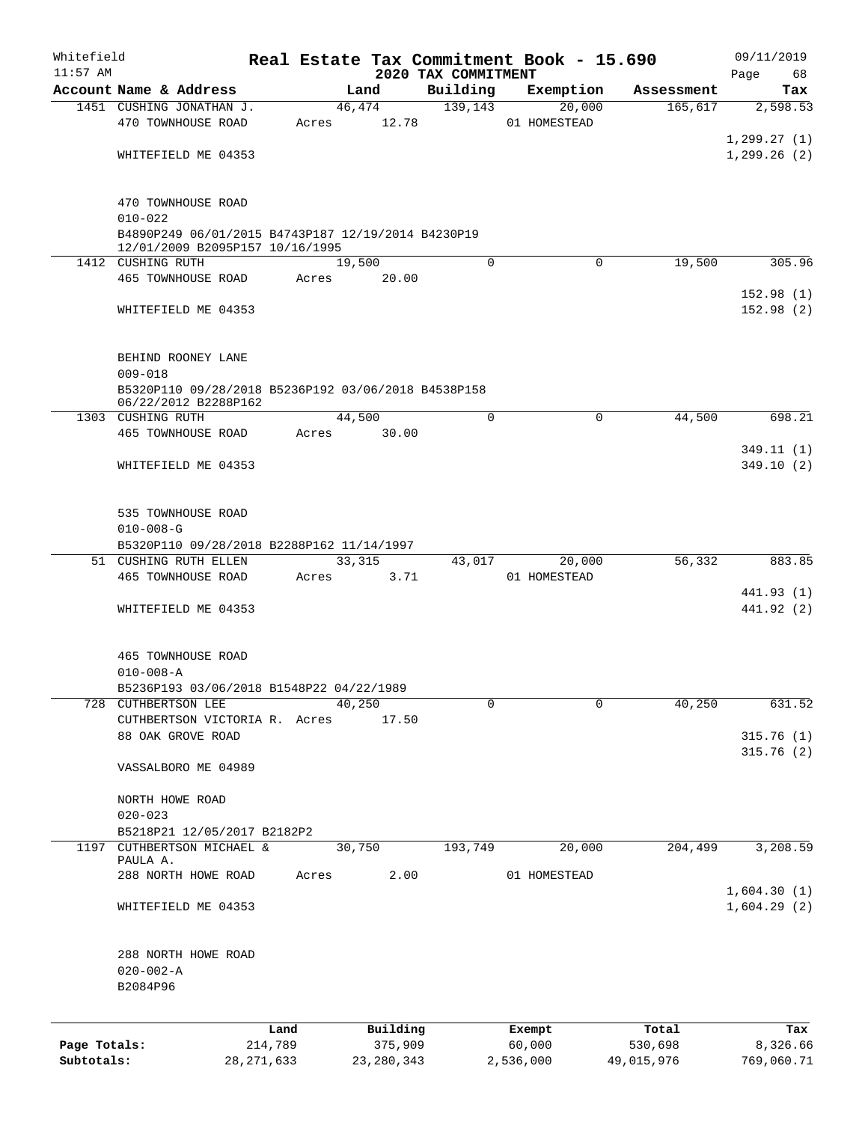| Whitefield                 |                                                                   |                         |       |                         |                     | Real Estate Tax Commitment Book - 15.690 |          |                       | 09/11/2019             |
|----------------------------|-------------------------------------------------------------------|-------------------------|-------|-------------------------|---------------------|------------------------------------------|----------|-----------------------|------------------------|
| $11:57$ AM                 | Account Name & Address                                            |                         |       |                         | 2020 TAX COMMITMENT |                                          |          |                       | Page<br>68             |
|                            | 1451 CUSHING JONATHAN J.                                          |                         |       | Land<br>46,474          | Building<br>139,143 | Exemption                                | 20,000   | Assessment<br>165,617 | Tax<br>2,598.53        |
|                            | 470 TOWNHOUSE ROAD                                                |                         | Acres | 12.78                   |                     | 01 HOMESTEAD                             |          |                       |                        |
|                            |                                                                   |                         |       |                         |                     |                                          |          |                       | 1, 299.27(1)           |
|                            | WHITEFIELD ME 04353                                               |                         |       |                         |                     |                                          |          |                       | 1,299.26(2)            |
|                            |                                                                   |                         |       |                         |                     |                                          |          |                       |                        |
|                            |                                                                   |                         |       |                         |                     |                                          |          |                       |                        |
|                            | 470 TOWNHOUSE ROAD                                                |                         |       |                         |                     |                                          |          |                       |                        |
|                            | $010 - 022$<br>B4890P249 06/01/2015 B4743P187 12/19/2014 B4230P19 |                         |       |                         |                     |                                          |          |                       |                        |
|                            | 12/01/2009 B2095P157 10/16/1995                                   |                         |       |                         |                     |                                          |          |                       |                        |
|                            | 1412 CUSHING RUTH                                                 |                         |       | 19,500                  |                     | $\Omega$                                 | $\Omega$ | 19,500                | 305.96                 |
|                            | 465 TOWNHOUSE ROAD                                                |                         | Acres | 20.00                   |                     |                                          |          |                       |                        |
|                            |                                                                   |                         |       |                         |                     |                                          |          |                       | 152.98(1)              |
|                            | WHITEFIELD ME 04353                                               |                         |       |                         |                     |                                          |          |                       | 152.98(2)              |
|                            |                                                                   |                         |       |                         |                     |                                          |          |                       |                        |
|                            | BEHIND ROONEY LANE                                                |                         |       |                         |                     |                                          |          |                       |                        |
|                            | $009 - 018$                                                       |                         |       |                         |                     |                                          |          |                       |                        |
|                            | B5320P110 09/28/2018 B5236P192 03/06/2018 B4538P158               |                         |       |                         |                     |                                          |          |                       |                        |
|                            | 06/22/2012 B2288P162                                              |                         |       |                         |                     |                                          |          |                       |                        |
|                            | 1303 CUSHING RUTH                                                 |                         |       | 44,500                  |                     | $\Omega$                                 | $\Omega$ | 44,500                | 698.21                 |
|                            | 465 TOWNHOUSE ROAD                                                |                         | Acres | 30.00                   |                     |                                          |          |                       |                        |
|                            | WHITEFIELD ME 04353                                               |                         |       |                         |                     |                                          |          |                       | 349.11(1)<br>349.10(2) |
|                            |                                                                   |                         |       |                         |                     |                                          |          |                       |                        |
|                            |                                                                   |                         |       |                         |                     |                                          |          |                       |                        |
|                            | 535 TOWNHOUSE ROAD                                                |                         |       |                         |                     |                                          |          |                       |                        |
|                            | $010 - 008 - G$                                                   |                         |       |                         |                     |                                          |          |                       |                        |
|                            | B5320P110 09/28/2018 B2288P162 11/14/1997                         |                         |       |                         |                     |                                          |          |                       |                        |
|                            | 51 CUSHING RUTH ELLEN                                             |                         |       | 33,315                  | 43,017              |                                          | 20,000   | 56,332                | 883.85                 |
|                            | 465 TOWNHOUSE ROAD                                                |                         | Acres | 3.71                    |                     | 01 HOMESTEAD                             |          |                       | 441.93 (1)             |
|                            | WHITEFIELD ME 04353                                               |                         |       |                         |                     |                                          |          |                       | 441.92 (2)             |
|                            |                                                                   |                         |       |                         |                     |                                          |          |                       |                        |
|                            |                                                                   |                         |       |                         |                     |                                          |          |                       |                        |
|                            | <b>465 TOWNHOUSE ROAD</b>                                         |                         |       |                         |                     |                                          |          |                       |                        |
|                            | $010 - 008 - A$                                                   |                         |       |                         |                     |                                          |          |                       |                        |
|                            | B5236P193 03/06/2018 B1548P22 04/22/1989                          |                         |       |                         |                     |                                          |          |                       |                        |
|                            | 728 CUTHBERTSON LEE                                               |                         |       | 40,250                  |                     | 0                                        | $\Omega$ | 40,250                | 631.52                 |
|                            | CUTHBERTSON VICTORIA R. Acres<br>88 OAK GROVE ROAD                |                         |       | 17.50                   |                     |                                          |          |                       | 315.76(1)              |
|                            |                                                                   |                         |       |                         |                     |                                          |          |                       | 315.76(2)              |
|                            | VASSALBORO ME 04989                                               |                         |       |                         |                     |                                          |          |                       |                        |
|                            |                                                                   |                         |       |                         |                     |                                          |          |                       |                        |
|                            | NORTH HOWE ROAD                                                   |                         |       |                         |                     |                                          |          |                       |                        |
|                            | $020 - 023$                                                       |                         |       |                         |                     |                                          |          |                       |                        |
|                            | B5218P21 12/05/2017 B2182P2<br>1197 CUTHBERTSON MICHAEL &         |                         |       |                         |                     |                                          |          | 204,499               |                        |
|                            | PAULA A.                                                          |                         |       | 30,750                  | 193,749             |                                          | 20,000   |                       | 3,208.59               |
|                            | 288 NORTH HOWE ROAD                                               |                         | Acres |                         | 2.00                | 01 HOMESTEAD                             |          |                       |                        |
|                            |                                                                   |                         |       |                         |                     |                                          |          |                       | 1,604.30(1)            |
|                            | WHITEFIELD ME 04353                                               |                         |       |                         |                     |                                          |          |                       | 1,604.29(2)            |
|                            |                                                                   |                         |       |                         |                     |                                          |          |                       |                        |
|                            |                                                                   |                         |       |                         |                     |                                          |          |                       |                        |
|                            | 288 NORTH HOWE ROAD<br>$020 - 002 - A$                            |                         |       |                         |                     |                                          |          |                       |                        |
|                            | B2084P96                                                          |                         |       |                         |                     |                                          |          |                       |                        |
|                            |                                                                   |                         |       |                         |                     |                                          |          |                       |                        |
|                            |                                                                   |                         |       |                         |                     |                                          |          |                       |                        |
|                            |                                                                   | Land                    |       | Building                |                     | Exempt                                   |          | Total                 | Tax                    |
| Page Totals:<br>Subtotals: |                                                                   | 214,789<br>28, 271, 633 |       | 375,909<br>23, 280, 343 |                     | 60,000<br>2,536,000                      |          | 530,698<br>49,015,976 | 8,326.66<br>769,060.71 |
|                            |                                                                   |                         |       |                         |                     |                                          |          |                       |                        |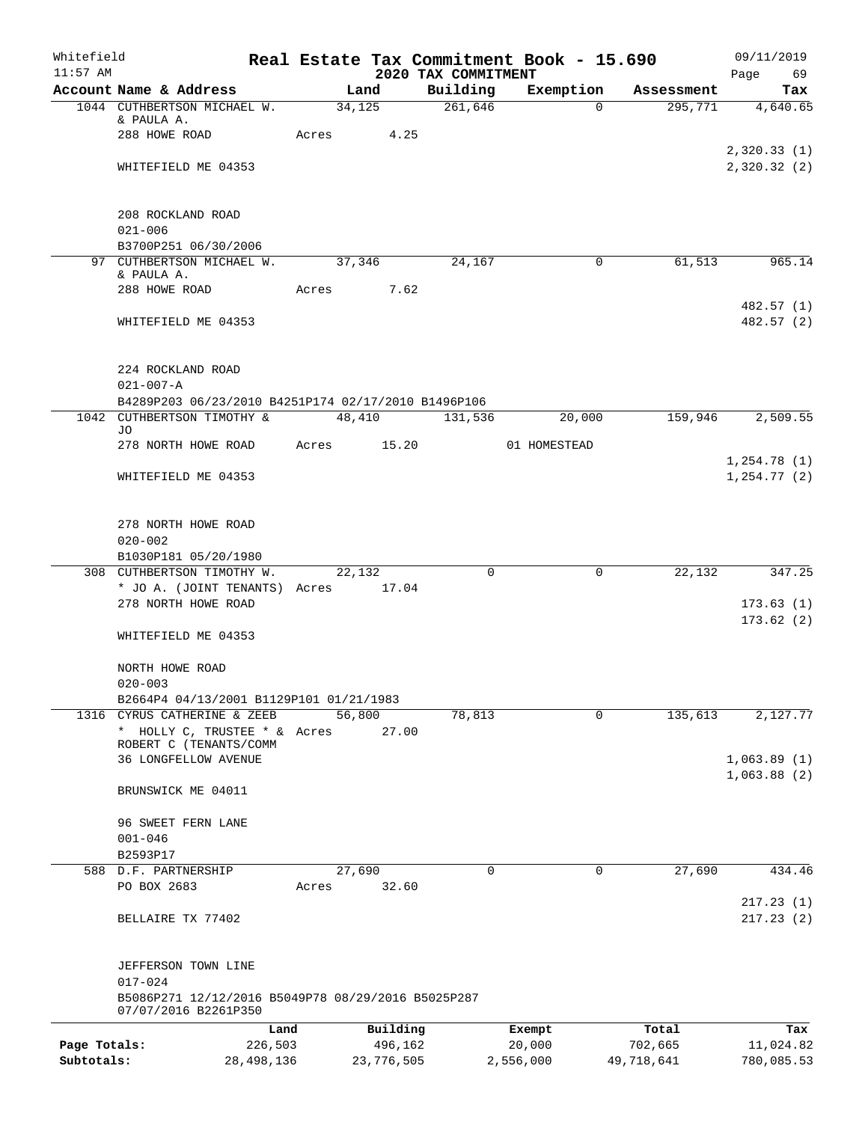| Whitefield<br>$11:57$ AM |                                                                            |       |            | 2020 TAX COMMITMENT | Real Estate Tax Commitment Book - 15.690 |            | 09/11/2019<br>Page<br>69   |
|--------------------------|----------------------------------------------------------------------------|-------|------------|---------------------|------------------------------------------|------------|----------------------------|
|                          | Account Name & Address                                                     |       | Land       | Building            | Exemption                                | Assessment | Tax                        |
|                          | 1044 CUTHBERTSON MICHAEL W.                                                |       | 34,125     | 261,646             | $\Omega$                                 | 295,771    | 4,640.65                   |
|                          | & PAULA A.                                                                 |       |            |                     |                                          |            |                            |
|                          | 288 HOWE ROAD                                                              | Acres | 4.25       |                     |                                          |            |                            |
|                          | WHITEFIELD ME 04353                                                        |       |            |                     |                                          |            | 2,320.33(1)<br>2,320.32(2) |
|                          |                                                                            |       |            |                     |                                          |            |                            |
|                          | 208 ROCKLAND ROAD                                                          |       |            |                     |                                          |            |                            |
|                          | $021 - 006$                                                                |       |            |                     |                                          |            |                            |
|                          | B3700P251 06/30/2006                                                       |       |            |                     |                                          |            |                            |
|                          | 97 CUTHBERTSON MICHAEL W.                                                  |       | 37,346     | 24,167              | $\mathbf 0$                              | 61,513     | 965.14                     |
|                          | & PAULA A.                                                                 |       |            |                     |                                          |            |                            |
|                          | 288 HOWE ROAD                                                              | Acres | 7.62       |                     |                                          |            | 482.57 (1)                 |
|                          | WHITEFIELD ME 04353                                                        |       |            |                     |                                          |            | 482.57 (2)                 |
|                          | 224 ROCKLAND ROAD                                                          |       |            |                     |                                          |            |                            |
|                          | $021 - 007 - A$                                                            |       |            |                     |                                          |            |                            |
|                          | B4289P203 06/23/2010 B4251P174 02/17/2010 B1496P106                        |       |            |                     |                                          |            |                            |
|                          | 1042 CUTHBERTSON TIMOTHY &                                                 |       | 48,410     | 131,536             | 20,000                                   | 159,946    | 2,509.55                   |
|                          | JO.                                                                        |       |            |                     |                                          |            |                            |
|                          | 278 NORTH HOWE ROAD                                                        | Acres | 15.20      |                     | 01 HOMESTEAD                             |            | 1,254.78(1)                |
|                          | WHITEFIELD ME 04353                                                        |       |            |                     |                                          |            | 1, 254.77(2)               |
|                          |                                                                            |       |            |                     |                                          |            |                            |
|                          | 278 NORTH HOWE ROAD                                                        |       |            |                     |                                          |            |                            |
|                          | $020 - 002$                                                                |       |            |                     |                                          |            |                            |
|                          | B1030P181 05/20/1980                                                       |       |            |                     |                                          |            |                            |
|                          | 308 CUTHBERTSON TIMOTHY W.                                                 |       | 22,132     | $\Omega$            | $\mathbf 0$                              | 22,132     | 347.25                     |
|                          | * JO A. (JOINT TENANTS) Acres                                              |       | 17.04      |                     |                                          |            |                            |
|                          | 278 NORTH HOWE ROAD                                                        |       |            |                     |                                          |            | 173.63(1)<br>173.62(2)     |
|                          | WHITEFIELD ME 04353                                                        |       |            |                     |                                          |            |                            |
|                          | NORTH HOWE ROAD                                                            |       |            |                     |                                          |            |                            |
|                          | $020 - 003$                                                                |       |            |                     |                                          |            |                            |
|                          | B2664P4 04/13/2001 B1129P101 01/21/1983                                    |       |            |                     |                                          |            |                            |
|                          | 1316 CYRUS CATHERINE & ZEEB                                                |       | 56,800     | 78,813              | 0                                        | 135,613    | 2,127.77                   |
|                          | * HOLLY C, TRUSTEE * & Acres<br>ROBERT C (TENANTS/COMM                     |       | 27.00      |                     |                                          |            |                            |
|                          | <b>36 LONGFELLOW AVENUE</b>                                                |       |            |                     |                                          |            | 1,063.89(1)                |
|                          |                                                                            |       |            |                     |                                          |            | 1,063.88(2)                |
|                          | BRUNSWICK ME 04011                                                         |       |            |                     |                                          |            |                            |
|                          | 96 SWEET FERN LANE                                                         |       |            |                     |                                          |            |                            |
|                          | $001 - 046$                                                                |       |            |                     |                                          |            |                            |
|                          | B2593P17                                                                   |       |            |                     |                                          |            |                            |
|                          | 588 D.F. PARTNERSHIP                                                       |       | 27,690     | $\Omega$            | 0                                        | 27,690     | 434.46                     |
|                          | PO BOX 2683                                                                | Acres | 32.60      |                     |                                          |            |                            |
|                          |                                                                            |       |            |                     |                                          |            | 217.23(1)                  |
|                          | BELLAIRE TX 77402                                                          |       |            |                     |                                          |            | 217.23(2)                  |
|                          | JEFFERSON TOWN LINE                                                        |       |            |                     |                                          |            |                            |
|                          | $017 - 024$                                                                |       |            |                     |                                          |            |                            |
|                          | B5086P271 12/12/2016 B5049P78 08/29/2016 B5025P287<br>07/07/2016 B2261P350 |       |            |                     |                                          |            |                            |
|                          |                                                                            | Land  | Building   |                     | Exempt                                   | Total      | Tax                        |
| Page Totals:             | 226,503                                                                    |       | 496,162    |                     | 20,000                                   | 702,665    | 11,024.82                  |
| Subtotals:               | 28, 498, 136                                                               |       | 23,776,505 |                     | 2,556,000                                | 49,718,641 | 780,085.53                 |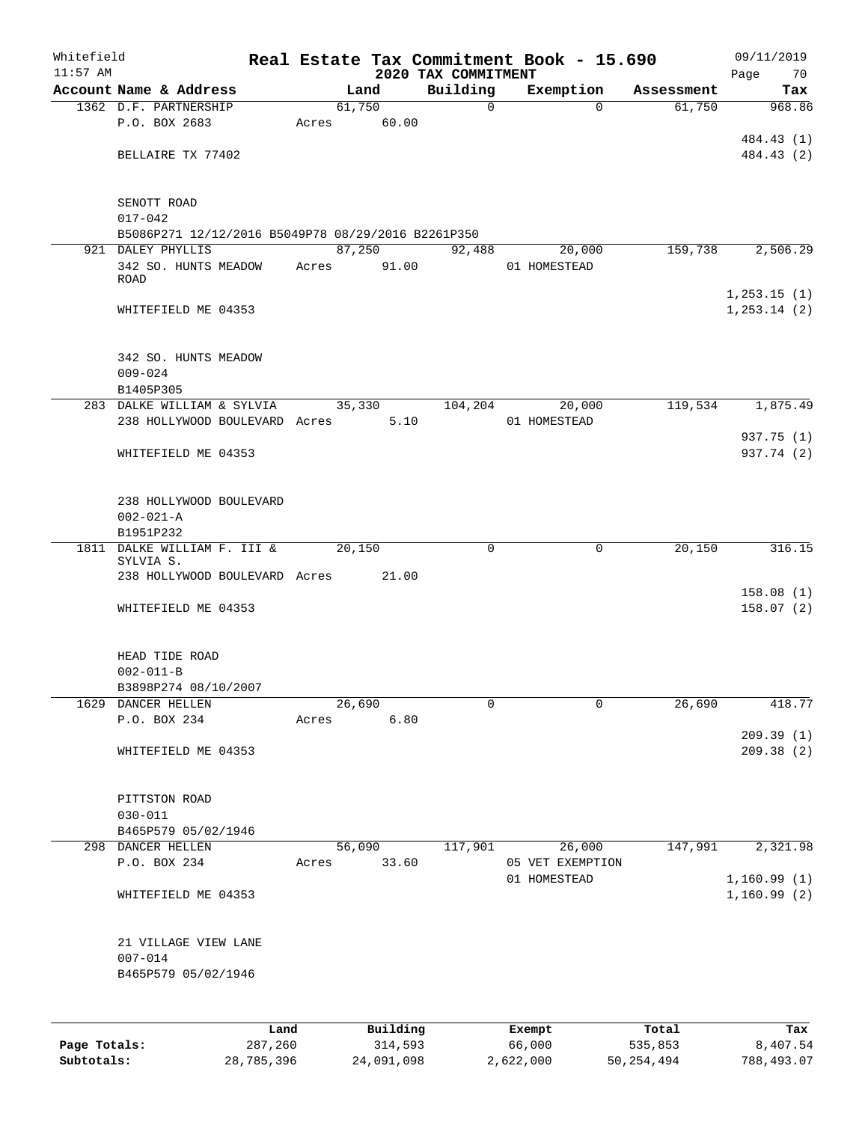| Whitefield<br>$11:57$ AM |                                                    |       |        |          | 2020 TAX COMMITMENT | Real Estate Tax Commitment Book - 15.690 |            | 09/11/2019<br>Page<br>70      |
|--------------------------|----------------------------------------------------|-------|--------|----------|---------------------|------------------------------------------|------------|-------------------------------|
|                          | Account Name & Address                             |       | Land   |          | Building            | Exemption                                | Assessment | Tax                           |
|                          | 1362 D.F. PARTNERSHIP                              |       | 61,750 |          | $\mathbf 0$         | $\Omega$                                 | 61,750     | 968.86                        |
|                          | P.O. BOX 2683                                      | Acres |        | 60.00    |                     |                                          |            |                               |
|                          |                                                    |       |        |          |                     |                                          |            | 484.43 (1)                    |
|                          | BELLAIRE TX 77402                                  |       |        |          |                     |                                          |            | 484.43 (2)                    |
|                          | SENOTT ROAD                                        |       |        |          |                     |                                          |            |                               |
|                          | $017 - 042$                                        |       |        |          |                     |                                          |            |                               |
|                          | B5086P271 12/12/2016 B5049P78 08/29/2016 B2261P350 |       |        |          |                     |                                          |            |                               |
|                          | 921 DALEY PHYLLIS                                  |       | 87,250 |          | 92,488              | 20,000                                   | 159,738    | 2,506.29                      |
|                          | 342 SO. HUNTS MEADOW                               | Acres |        | 91.00    |                     | 01 HOMESTEAD                             |            |                               |
|                          | <b>ROAD</b>                                        |       |        |          |                     |                                          |            |                               |
|                          | WHITEFIELD ME 04353                                |       |        |          |                     |                                          |            | 1, 253.15(1)<br>1, 253.14 (2) |
|                          |                                                    |       |        |          |                     |                                          |            |                               |
|                          | 342 SO. HUNTS MEADOW                               |       |        |          |                     |                                          |            |                               |
|                          | $009 - 024$                                        |       |        |          |                     |                                          |            |                               |
|                          | B1405P305                                          |       |        |          |                     |                                          |            |                               |
|                          | 283 DALKE WILLIAM & SYLVIA                         |       | 35,330 |          | 104,204             | 20,000                                   | 119,534    | 1,875.49                      |
|                          | 238 HOLLYWOOD BOULEVARD Acres                      |       |        | 5.10     |                     | 01 HOMESTEAD                             |            |                               |
|                          |                                                    |       |        |          |                     |                                          |            | 937.75 (1)                    |
|                          | WHITEFIELD ME 04353                                |       |        |          |                     |                                          |            | 937.74 (2)                    |
|                          | 238 HOLLYWOOD BOULEVARD                            |       |        |          |                     |                                          |            |                               |
|                          | $002 - 021 - A$                                    |       |        |          |                     |                                          |            |                               |
|                          | B1951P232                                          |       |        |          |                     |                                          |            |                               |
| 1811                     | DALKE WILLIAM F. III &<br>SYLVIA S.                |       | 20,150 |          | 0                   | 0                                        | 20,150     | 316.15                        |
|                          | 238 HOLLYWOOD BOULEVARD Acres 21.00                |       |        |          |                     |                                          |            |                               |
|                          |                                                    |       |        |          |                     |                                          |            | 158.08(1)                     |
|                          | WHITEFIELD ME 04353                                |       |        |          |                     |                                          |            | 158.07(2)                     |
|                          | HEAD TIDE ROAD                                     |       |        |          |                     |                                          |            |                               |
|                          | $002 - 011 - B$                                    |       |        |          |                     |                                          |            |                               |
|                          | B3898P274 08/10/2007                               |       |        |          |                     |                                          |            |                               |
|                          | 1629 DANCER HELLEN                                 |       | 26,690 |          | 0                   | 0                                        | 26,690     | 418.77                        |
|                          | P.O. BOX 234                                       | Acres |        | 6.80     |                     |                                          |            |                               |
|                          |                                                    |       |        |          |                     |                                          |            | 209.39(1)                     |
|                          | WHITEFIELD ME 04353                                |       |        |          |                     |                                          |            | 209.38 (2)                    |
|                          | PITTSTON ROAD                                      |       |        |          |                     |                                          |            |                               |
|                          | $030 - 011$                                        |       |        |          |                     |                                          |            |                               |
|                          | B465P579 05/02/1946                                |       |        |          |                     |                                          |            |                               |
|                          | 298 DANCER HELLEN                                  |       | 56,090 |          | 117,901             | 26,000                                   | 147,991    | 2,321.98                      |
|                          | P.O. BOX 234                                       | Acres |        | 33.60    |                     | 05 VET EXEMPTION                         |            |                               |
|                          |                                                    |       |        |          |                     | 01 HOMESTEAD                             |            | 1,160.99(1)                   |
|                          | WHITEFIELD ME 04353                                |       |        |          |                     |                                          |            | 1,160.99(2)                   |
|                          | 21 VILLAGE VIEW LANE                               |       |        |          |                     |                                          |            |                               |
|                          | $007 - 014$                                        |       |        |          |                     |                                          |            |                               |
|                          | B465P579 05/02/1946                                |       |        |          |                     |                                          |            |                               |
|                          |                                                    |       |        |          |                     |                                          |            |                               |
|                          |                                                    | Land  |        | Building |                     | Exempt                                   | Total      | Tax                           |

**Page Totals:** 287,260 314,593 66,000 535,853 8,407.54 **Subtotals:** 28,785,396 24,091,098 2,622,000 50,254,494 788,493.07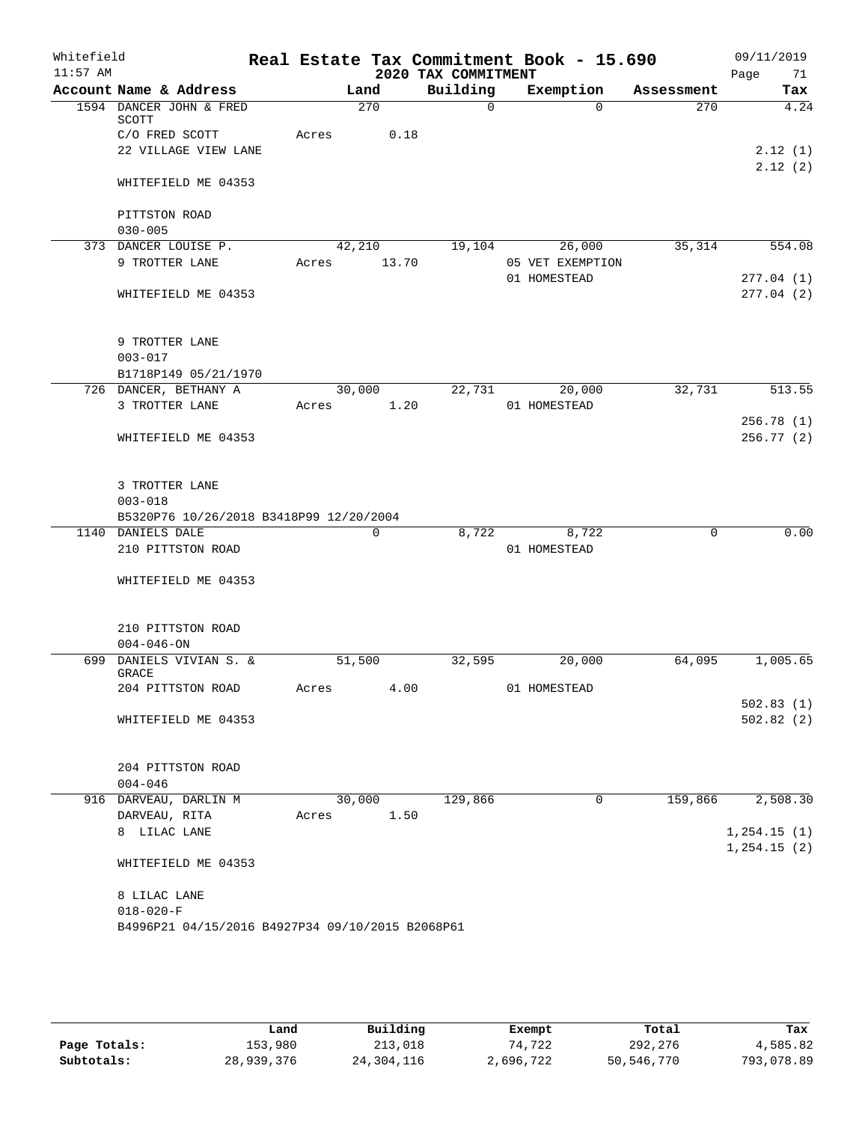| Whitefield<br>$11:57$ AM |                                                                     |            |                 | 2020 TAX COMMITMENT | Real Estate Tax Commitment Book - 15.690 |            | 09/11/2019<br>Page<br>71 |
|--------------------------|---------------------------------------------------------------------|------------|-----------------|---------------------|------------------------------------------|------------|--------------------------|
|                          | Account Name & Address                                              |            | Land            | Building            | Exemption                                | Assessment | Tax                      |
|                          | 1594 DANCER JOHN & FRED<br>SCOTT                                    |            | $\frac{270}{ }$ | $\Omega$            | $\Omega$                                 | 270        | 4.24                     |
|                          | C/O FRED SCOTT                                                      | Acres      | 0.18            |                     |                                          |            |                          |
|                          | 22 VILLAGE VIEW LANE                                                |            |                 |                     |                                          |            | 2.12(1)                  |
|                          | WHITEFIELD ME 04353                                                 |            |                 |                     |                                          |            | 2.12(2)                  |
|                          | PITTSTON ROAD                                                       |            |                 |                     |                                          |            |                          |
|                          | $030 - 005$                                                         |            |                 |                     |                                          |            |                          |
|                          | 373 DANCER LOUISE P.<br>9 TROTTER LANE                              |            | 42,210<br>13.70 |                     | 19,104 26,000<br>05 VET EXEMPTION        | 35,314     | 554.08                   |
|                          |                                                                     | Acres      |                 |                     | 01 HOMESTEAD                             |            | 277.04(1)                |
|                          | WHITEFIELD ME 04353                                                 |            |                 |                     |                                          |            | 277.04(2)                |
|                          | 9 TROTTER LANE                                                      |            |                 |                     |                                          |            |                          |
|                          | $003 - 017$                                                         |            |                 |                     |                                          |            |                          |
|                          | B1718P149 05/21/1970                                                |            | 30,000          | 22,731              |                                          | 32,731     | 513.55                   |
|                          | 726 DANCER, BETHANY A<br>3 TROTTER LANE                             | Acres      | 1.20            |                     | 20,000<br>01 HOMESTEAD                   |            |                          |
|                          |                                                                     |            |                 |                     |                                          |            | 256.78(1)                |
|                          | WHITEFIELD ME 04353                                                 |            |                 |                     |                                          |            | 256.77(2)                |
|                          | 3 TROTTER LANE<br>$003 - 018$                                       |            |                 |                     |                                          |            |                          |
|                          | B5320P76 10/26/2018 B3418P99 12/20/2004                             |            |                 |                     |                                          |            |                          |
|                          | 1140 DANIELS DALE                                                   |            | $\Omega$        | 8,722               | 8,722                                    | $\Omega$   | 0.00                     |
|                          | 210 PITTSTON ROAD                                                   |            |                 |                     | 01 HOMESTEAD                             |            |                          |
|                          | WHITEFIELD ME 04353                                                 |            |                 |                     |                                          |            |                          |
|                          | 210 PITTSTON ROAD<br>$004 - 046 - ON$                               |            |                 |                     |                                          |            |                          |
|                          | 699 DANIELS VIVIAN S. &                                             | 51,500     |                 | 32,595              | 20,000                                   | 64,095     | 1,005.65                 |
|                          | <b>GRACE</b>                                                        |            |                 |                     |                                          |            |                          |
|                          | 204 PITTSTON ROAD                                                   | Acres 4.00 |                 |                     | 01 HOMESTEAD                             |            |                          |
|                          | WHITEFIELD ME 04353                                                 |            |                 |                     |                                          |            | 502.83(1)<br>502.82(2)   |
|                          | 204 PITTSTON ROAD<br>$004 - 046$                                    |            |                 |                     |                                          |            |                          |
|                          | 916 DARVEAU, DARLIN M                                               |            | 30,000          | 129,866             | $\mathbf 0$                              | 159,866    | 2,508.30                 |
|                          | DARVEAU, RITA                                                       | Acres      | 1.50            |                     |                                          |            |                          |
|                          | 8 LILAC LANE                                                        |            |                 |                     |                                          |            | 1, 254.15(1)             |
|                          | WHITEFIELD ME 04353                                                 |            |                 |                     |                                          |            | 1, 254.15(2)             |
|                          | 8 LILAC LANE                                                        |            |                 |                     |                                          |            |                          |
|                          | $018 - 020 - F$<br>B4996P21 04/15/2016 B4927P34 09/10/2015 B2068P61 |            |                 |                     |                                          |            |                          |
|                          |                                                                     |            |                 |                     |                                          |            |                          |

|              | Land       | Building   | Exempt    | Total      | Tax        |
|--------------|------------|------------|-----------|------------|------------|
| Page Totals: | 153,980    | 213,018    | 74,722    | 292,276    | 4,585.82   |
| Subtotals:   | 28,939,376 | 24,304,116 | 2,696,722 | 50,546,770 | 793,078.89 |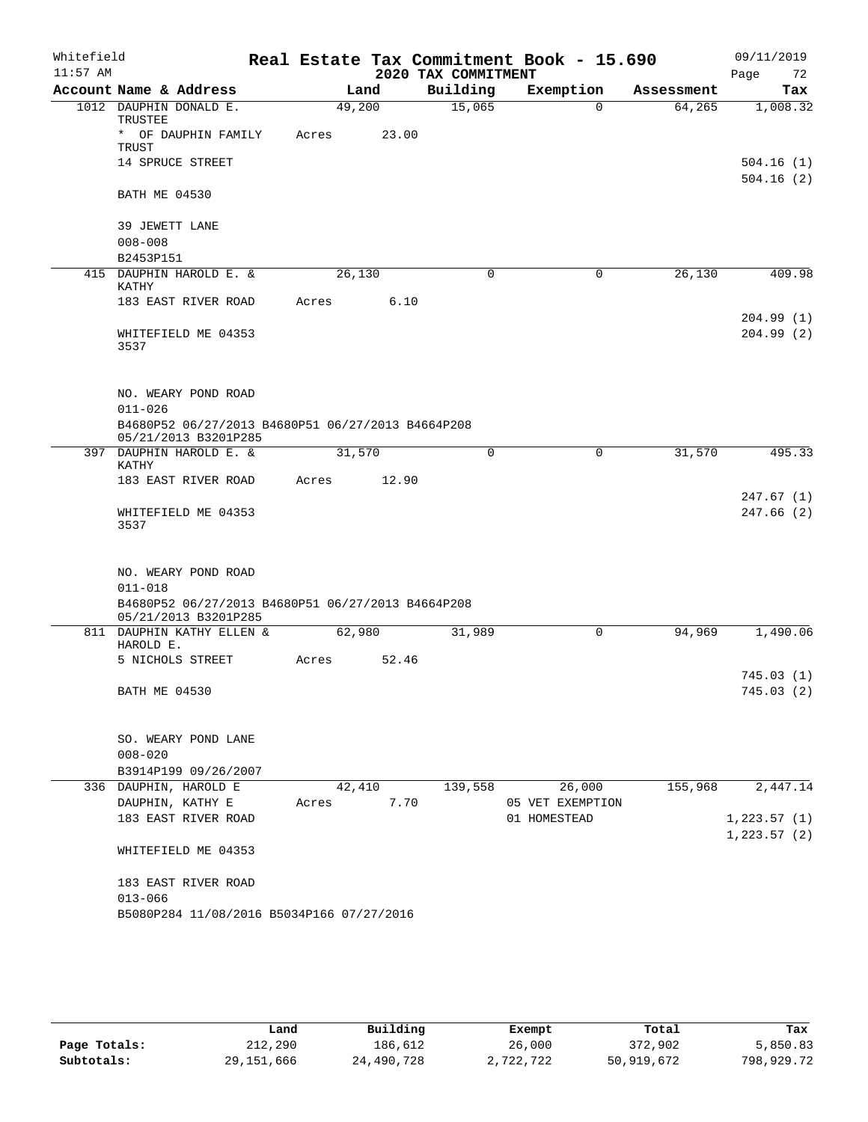| Whitefield |                          |                                                                           |       |                |       | Real Estate Tax Commitment Book - 15.690 |              |                       |            | 09/11/2019   |                        |
|------------|--------------------------|---------------------------------------------------------------------------|-------|----------------|-------|------------------------------------------|--------------|-----------------------|------------|--------------|------------------------|
| $11:57$ AM |                          | Account Name & Address                                                    |       |                |       | 2020 TAX COMMITMENT                      |              |                       | Assessment | Page         | 72                     |
|            |                          | 1012 DAUPHIN DONALD E.                                                    |       | Land<br>49,200 |       | Building<br>15,065                       |              | Exemption<br>$\Omega$ | 64,265     |              | Tax<br>1,008.32        |
|            | TRUSTEE                  |                                                                           |       |                |       |                                          |              |                       |            |              |                        |
|            | TRUST                    | * OF DAUPHIN FAMILY                                                       | Acres |                | 23.00 |                                          |              |                       |            |              |                        |
|            |                          | 14 SPRUCE STREET                                                          |       |                |       |                                          |              |                       |            |              | 504.16(1)<br>504.16(2) |
|            | <b>BATH ME 04530</b>     |                                                                           |       |                |       |                                          |              |                       |            |              |                        |
|            | 39 JEWETT LANE           |                                                                           |       |                |       |                                          |              |                       |            |              |                        |
|            | $008 - 008$<br>B2453P151 |                                                                           |       |                |       |                                          |              |                       |            |              |                        |
|            |                          | 415 DAUPHIN HAROLD E. &                                                   |       | 26,130         |       | $\mathbf 0$                              |              | $\mathbf 0$           | 26,130     |              | 409.98                 |
|            | KATHY                    | 183 EAST RIVER ROAD                                                       | Acres |                | 6.10  |                                          |              |                       |            |              |                        |
|            |                          |                                                                           |       |                |       |                                          |              |                       |            |              | 204.99(1)              |
|            | 3537                     | WHITEFIELD ME 04353                                                       |       |                |       |                                          |              |                       |            |              | 204.99(2)              |
|            | $011 - 026$              | NO. WEARY POND ROAD                                                       |       |                |       |                                          |              |                       |            |              |                        |
|            |                          | B4680P52 06/27/2013 B4680P51 06/27/2013 B4664P208<br>05/21/2013 B3201P285 |       |                |       |                                          |              |                       |            |              |                        |
|            | KATHY                    | 397 DAUPHIN HAROLD E. &                                                   |       | 31,570         |       | $\Omega$                                 |              | $\mathbf 0$           | 31,570     |              | 495.33                 |
|            |                          | 183 EAST RIVER ROAD                                                       | Acres |                | 12.90 |                                          |              |                       |            |              |                        |
|            |                          |                                                                           |       |                |       |                                          |              |                       |            |              | 247.67(1)              |
|            | 3537                     | WHITEFIELD ME 04353                                                       |       |                |       |                                          |              |                       |            |              | 247.66(2)              |
|            |                          | NO. WEARY POND ROAD                                                       |       |                |       |                                          |              |                       |            |              |                        |
|            | $011 - 018$              |                                                                           |       |                |       |                                          |              |                       |            |              |                        |
|            |                          | B4680P52 06/27/2013 B4680P51 06/27/2013 B4664P208<br>05/21/2013 B3201P285 |       |                |       |                                          |              |                       |            |              |                        |
|            | HAROLD E.                | 811 DAUPHIN KATHY ELLEN &                                                 |       | 62,980         |       | 31,989                                   |              | 0                     | 94,969     |              | 1,490.06               |
|            |                          | 5 NICHOLS STREET                                                          | Acres |                | 52.46 |                                          |              |                       |            |              |                        |
|            | BATH ME 04530            |                                                                           |       |                |       |                                          |              |                       |            |              | 745.03(1)<br>745.03(2) |
|            |                          |                                                                           |       |                |       |                                          |              |                       |            |              |                        |
|            | $008 - 020$              | SO. WEARY POND LANE                                                       |       |                |       |                                          |              |                       |            |              |                        |
|            |                          | B3914P199 09/26/2007                                                      |       |                |       |                                          |              |                       |            |              |                        |
|            |                          | 336 DAUPHIN, HAROLD E                                                     |       | 42,410         |       | 139,558                                  |              | 26,000                | 155,968    |              | 2,447.14               |
|            |                          | DAUPHIN, KATHY E<br>183 EAST RIVER ROAD                                   | Acres |                | 7.70  |                                          | 01 HOMESTEAD | 05 VET EXEMPTION      |            | 1, 223.57(1) |                        |
|            |                          |                                                                           |       |                |       |                                          |              |                       |            | 1,223.57(2)  |                        |
|            |                          | WHITEFIELD ME 04353                                                       |       |                |       |                                          |              |                       |            |              |                        |
|            | $013 - 066$              | 183 EAST RIVER ROAD                                                       |       |                |       |                                          |              |                       |            |              |                        |
|            |                          | B5080P284 11/08/2016 B5034P166 07/27/2016                                 |       |                |       |                                          |              |                       |            |              |                        |

|              | Land         | Building   | Exempt    | Total      | Tax        |
|--------------|--------------|------------|-----------|------------|------------|
| Page Totals: | 212,290      | 186.612    | 26,000    | 372,902    | 5,850.83   |
| Subtotals:   | 29, 151, 666 | 24,490,728 | 2,722,722 | 50,919,672 | 798,929.72 |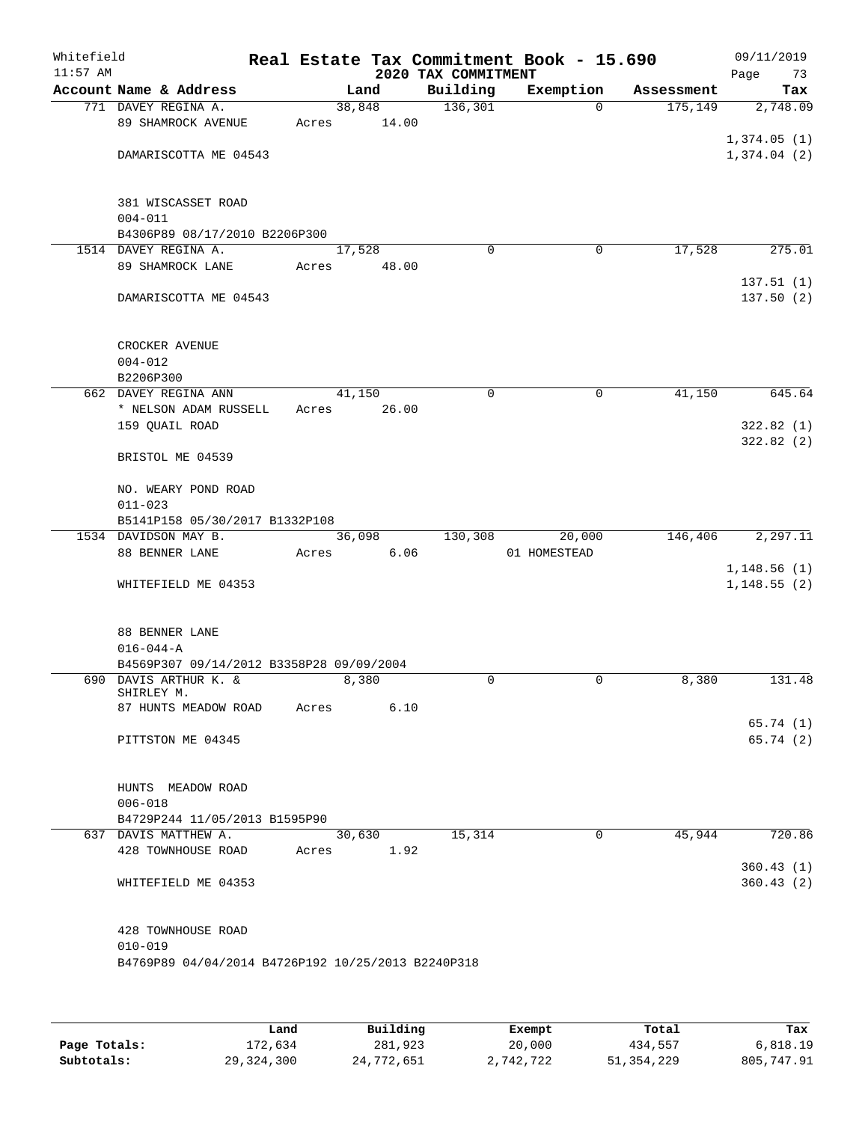| Whitefield<br>$11:57$ AM |                                                       |       |                 | 2020 TAX COMMITMENT | Real Estate Tax Commitment Book - 15.690 |            | 09/11/2019<br>Page<br>73   |
|--------------------------|-------------------------------------------------------|-------|-----------------|---------------------|------------------------------------------|------------|----------------------------|
|                          | Account Name & Address                                |       | Land            | Building            | Exemption                                | Assessment | Tax                        |
|                          | 771 DAVEY REGINA A.<br>89 SHAMROCK AVENUE             | Acres | 38,848<br>14.00 | 136,301             | $\Omega$                                 | 175,149    | 2,748.09                   |
|                          | DAMARISCOTTA ME 04543                                 |       |                 |                     |                                          |            | 1,374.05(1)<br>1,374.04(2) |
|                          |                                                       |       |                 |                     |                                          |            |                            |
|                          | 381 WISCASSET ROAD                                    |       |                 |                     |                                          |            |                            |
|                          | $004 - 011$                                           |       |                 |                     |                                          |            |                            |
|                          | B4306P89 08/17/2010 B2206P300<br>1514 DAVEY REGINA A. |       | 17,528          | $\Omega$            | 0                                        | 17,528     | 275.01                     |
|                          | 89 SHAMROCK LANE                                      | Acres | 48.00           |                     |                                          |            |                            |
|                          |                                                       |       |                 |                     |                                          |            | 137.51(1)                  |
|                          | DAMARISCOTTA ME 04543                                 |       |                 |                     |                                          |            | 137.50 (2)                 |
|                          | CROCKER AVENUE                                        |       |                 |                     |                                          |            |                            |
|                          | $004 - 012$                                           |       |                 |                     |                                          |            |                            |
|                          | B2206P300                                             |       |                 |                     |                                          |            |                            |
|                          | 662 DAVEY REGINA ANN                                  |       | 41,150          | 0                   | 0                                        | 41,150     | 645.64                     |
|                          | * NELSON ADAM RUSSELL                                 | Acres | 26.00           |                     |                                          |            |                            |
|                          | 159 QUAIL ROAD                                        |       |                 |                     |                                          |            | 322.82(1)                  |
|                          | BRISTOL ME 04539                                      |       |                 |                     |                                          |            | 322.82(2)                  |
|                          | NO. WEARY POND ROAD<br>$011 - 023$                    |       |                 |                     |                                          |            |                            |
|                          | B5141P158 05/30/2017 B1332P108                        |       |                 |                     |                                          |            |                            |
|                          | 1534 DAVIDSON MAY B.                                  |       | 36,098          | 130,308             | 20,000                                   | 146,406    | 2,297.11                   |
|                          | 88 BENNER LANE                                        | Acres | 6.06            |                     | 01 HOMESTEAD                             |            |                            |
|                          |                                                       |       |                 |                     |                                          |            | 1,148.56(1)                |
|                          | WHITEFIELD ME 04353                                   |       |                 |                     |                                          |            | 1, 148.55(2)               |
|                          | 88 BENNER LANE                                        |       |                 |                     |                                          |            |                            |
|                          | $016 - 044 - A$                                       |       |                 |                     |                                          |            |                            |
|                          | B4569P307 09/14/2012 B3358P28 09/09/2004              |       |                 |                     |                                          |            |                            |
|                          | 690 DAVIS ARTHUR K. &                                 |       | 8,380           | 0                   | 0                                        | 8,380      | 131.48                     |
|                          | SHIRLEY M.                                            |       |                 |                     |                                          |            |                            |
|                          | 87 HUNTS MEADOW ROAD                                  | Acres | 6.10            |                     |                                          |            |                            |
|                          |                                                       |       |                 |                     |                                          |            | 65.74(1)                   |
|                          | PITTSTON ME 04345                                     |       |                 |                     |                                          |            | 65.74(2)                   |
|                          | HUNTS MEADOW ROAD                                     |       |                 |                     |                                          |            |                            |
|                          | $006 - 018$                                           |       |                 |                     |                                          |            |                            |
|                          | B4729P244 11/05/2013 B1595P90                         |       |                 |                     |                                          |            |                            |
|                          | 637 DAVIS MATTHEW A.                                  |       | 30,630          | 15,314              | 0                                        | 45,944     | 720.86                     |
|                          | 428 TOWNHOUSE ROAD                                    | Acres | 1.92            |                     |                                          |            |                            |
|                          |                                                       |       |                 |                     |                                          |            | 360.43(1)                  |
|                          | WHITEFIELD ME 04353                                   |       |                 |                     |                                          |            | 360.43(2)                  |
|                          | 428 TOWNHOUSE ROAD                                    |       |                 |                     |                                          |            |                            |
|                          | $010 - 019$                                           |       |                 |                     |                                          |            |                            |
|                          | B4769P89 04/04/2014 B4726P192 10/25/2013 B2240P318    |       |                 |                     |                                          |            |                            |
|                          |                                                       |       |                 |                     |                                          |            |                            |
|                          |                                                       |       |                 |                     |                                          |            |                            |

|              | Land         | Building   | Exempt    | Total      | Tax        |
|--------------|--------------|------------|-----------|------------|------------|
| Page Totals: | 172.634      | 281,923    | 20,000    | 434,557    | 6,818.19   |
| Subtotals:   | 29, 324, 300 | 24,772,651 | 2,742,722 | 51,354,229 | 805,747.91 |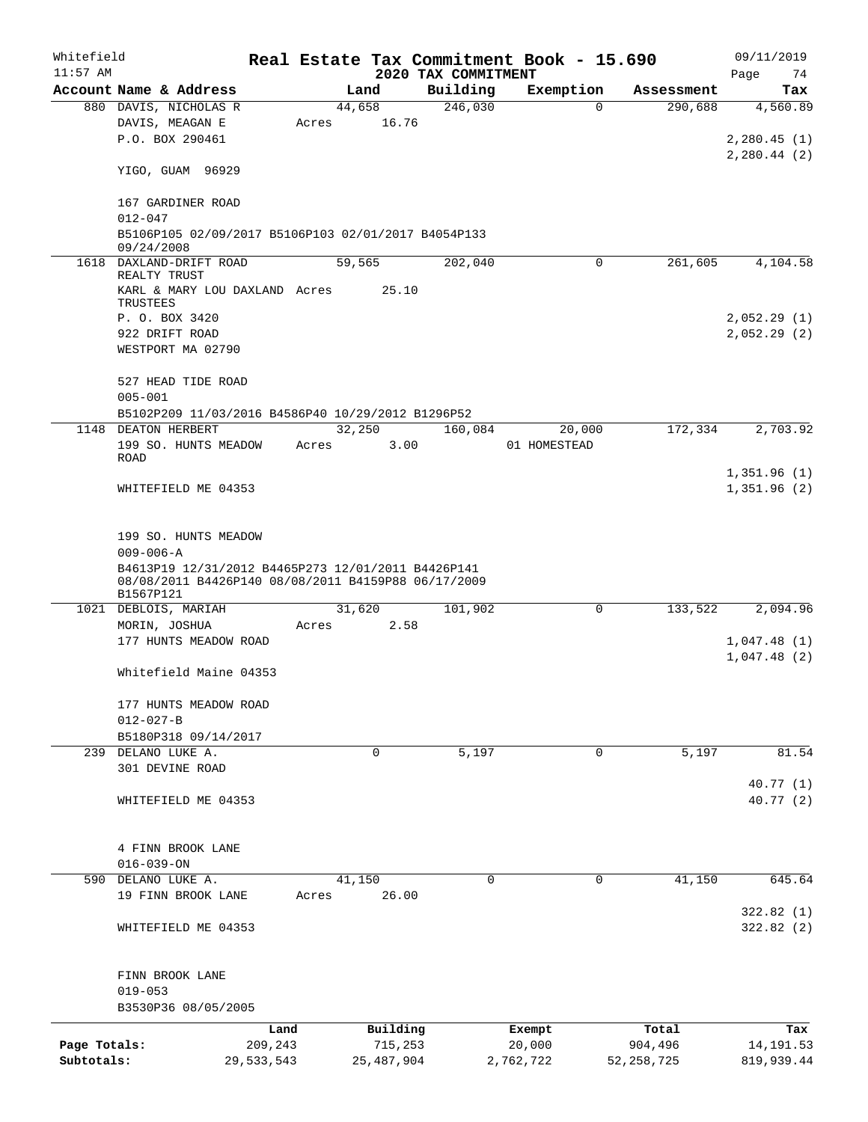| Whitefield<br>$11:57$ AM |                                                     |         |              | 2020 TAX COMMITMENT | Real Estate Tax Commitment Book - 15.690 |              | 09/11/2019<br>Page<br>74 |
|--------------------------|-----------------------------------------------------|---------|--------------|---------------------|------------------------------------------|--------------|--------------------------|
|                          | Account Name & Address                              |         | Land         | Building            | Exemption                                | Assessment   | Tax                      |
|                          | 880 DAVIS, NICHOLAS R                               |         | 44,658       | 246,030             | $\Omega$                                 | 290,688      | 4,560.89                 |
|                          | DAVIS, MEAGAN E                                     | Acres   | 16.76        |                     |                                          |              |                          |
|                          | P.O. BOX 290461                                     |         |              |                     |                                          |              | 2,280.45(1)              |
|                          |                                                     |         |              |                     |                                          |              | 2,280.44(2)              |
|                          | YIGO, GUAM 96929                                    |         |              |                     |                                          |              |                          |
|                          | 167 GARDINER ROAD                                   |         |              |                     |                                          |              |                          |
|                          | $012 - 047$                                         |         |              |                     |                                          |              |                          |
|                          | B5106P105 02/09/2017 B5106P103 02/01/2017 B4054P133 |         |              |                     |                                          |              |                          |
|                          | 09/24/2008                                          |         |              |                     |                                          |              |                          |
|                          | 1618 DAXLAND-DRIFT ROAD<br>REALTY TRUST             |         | 59,565       | 202,040             | $\Omega$                                 | 261,605      | 4,104.58                 |
|                          | KARL & MARY LOU DAXLAND Acres                       |         | 25.10        |                     |                                          |              |                          |
|                          | TRUSTEES                                            |         |              |                     |                                          |              |                          |
|                          | P. O. BOX 3420                                      |         |              |                     |                                          |              | 2,052.29(1)              |
|                          | 922 DRIFT ROAD                                      |         |              |                     |                                          |              | 2,052.29(2)              |
|                          | WESTPORT MA 02790                                   |         |              |                     |                                          |              |                          |
|                          |                                                     |         |              |                     |                                          |              |                          |
|                          | 527 HEAD TIDE ROAD                                  |         |              |                     |                                          |              |                          |
|                          | $005 - 001$                                         |         |              |                     |                                          |              |                          |
|                          | B5102P209 11/03/2016 B4586P40 10/29/2012 B1296P52   |         |              |                     |                                          |              |                          |
|                          | 1148 DEATON HERBERT                                 |         | 32,250       | 160,084             | 20,000                                   | 172,334      | 2,703.92                 |
|                          | 199 SO. HUNTS MEADOW                                | Acres   | 3.00         |                     | 01 HOMESTEAD                             |              |                          |
|                          | ROAD                                                |         |              |                     |                                          |              |                          |
|                          |                                                     |         |              |                     |                                          |              | 1,351.96(1)              |
|                          | WHITEFIELD ME 04353                                 |         |              |                     |                                          |              | 1,351.96(2)              |
|                          |                                                     |         |              |                     |                                          |              |                          |
|                          |                                                     |         |              |                     |                                          |              |                          |
|                          | 199 SO. HUNTS MEADOW                                |         |              |                     |                                          |              |                          |
|                          | $009 - 006 - A$                                     |         |              |                     |                                          |              |                          |
|                          | B4613P19 12/31/2012 B4465P273 12/01/2011 B4426P141  |         |              |                     |                                          |              |                          |
|                          | 08/08/2011 B4426P140 08/08/2011 B4159P88 06/17/2009 |         |              |                     |                                          |              |                          |
|                          | B1567P121<br>1021 DEBLOIS, MARIAH                   |         | 31,620       | 101,902             | 0                                        | 133,522      | 2,094.96                 |
|                          |                                                     | Acres   | 2.58         |                     |                                          |              |                          |
|                          | MORIN, JOSHUA<br>177 HUNTS MEADOW ROAD              |         |              |                     |                                          |              |                          |
|                          |                                                     |         |              |                     |                                          |              | 1,047.48(1)              |
|                          |                                                     |         |              |                     |                                          |              | 1,047.48(2)              |
|                          | Whitefield Maine 04353                              |         |              |                     |                                          |              |                          |
|                          |                                                     |         |              |                     |                                          |              |                          |
|                          | 177 HUNTS MEADOW ROAD                               |         |              |                     |                                          |              |                          |
|                          | $012 - 027 - B$                                     |         |              |                     |                                          |              |                          |
|                          | B5180P318 09/14/2017                                |         |              |                     |                                          | 5,197        |                          |
|                          | 239 DELANO LUKE A.                                  |         | 0            | 5,197               | 0                                        |              | 81.54                    |
|                          | 301 DEVINE ROAD                                     |         |              |                     |                                          |              |                          |
|                          |                                                     |         |              |                     |                                          |              | 40.77(1)                 |
|                          | WHITEFIELD ME 04353                                 |         |              |                     |                                          |              | 40.77 (2)                |
|                          |                                                     |         |              |                     |                                          |              |                          |
|                          | 4 FINN BROOK LANE                                   |         |              |                     |                                          |              |                          |
|                          | $016 - 039 - ON$                                    |         |              |                     |                                          |              |                          |
|                          |                                                     |         |              | $\mathbf 0$         | $\mathbf 0$                              |              |                          |
|                          | 590 DELANO LUKE A.                                  |         | 41,150       |                     |                                          | 41,150       | 645.64                   |
|                          | 19 FINN BROOK LANE                                  | Acres   | 26.00        |                     |                                          |              |                          |
|                          |                                                     |         |              |                     |                                          |              | 322.82(1)                |
|                          | WHITEFIELD ME 04353                                 |         |              |                     |                                          |              | 322.82(2)                |
|                          |                                                     |         |              |                     |                                          |              |                          |
|                          | FINN BROOK LANE                                     |         |              |                     |                                          |              |                          |
|                          | $019 - 053$                                         |         |              |                     |                                          |              |                          |
|                          | B3530P36 08/05/2005                                 |         |              |                     |                                          |              |                          |
|                          |                                                     |         |              |                     |                                          |              |                          |
|                          |                                                     | Land    | Building     |                     | Exempt                                   | Total        | Tax                      |
| Page Totals:             |                                                     | 209,243 | 715,253      |                     | 20,000                                   | 904,496      | 14, 191.53               |
| Subtotals:               | 29,533,543                                          |         | 25, 487, 904 |                     | 2,762,722                                | 52, 258, 725 | 819,939.44               |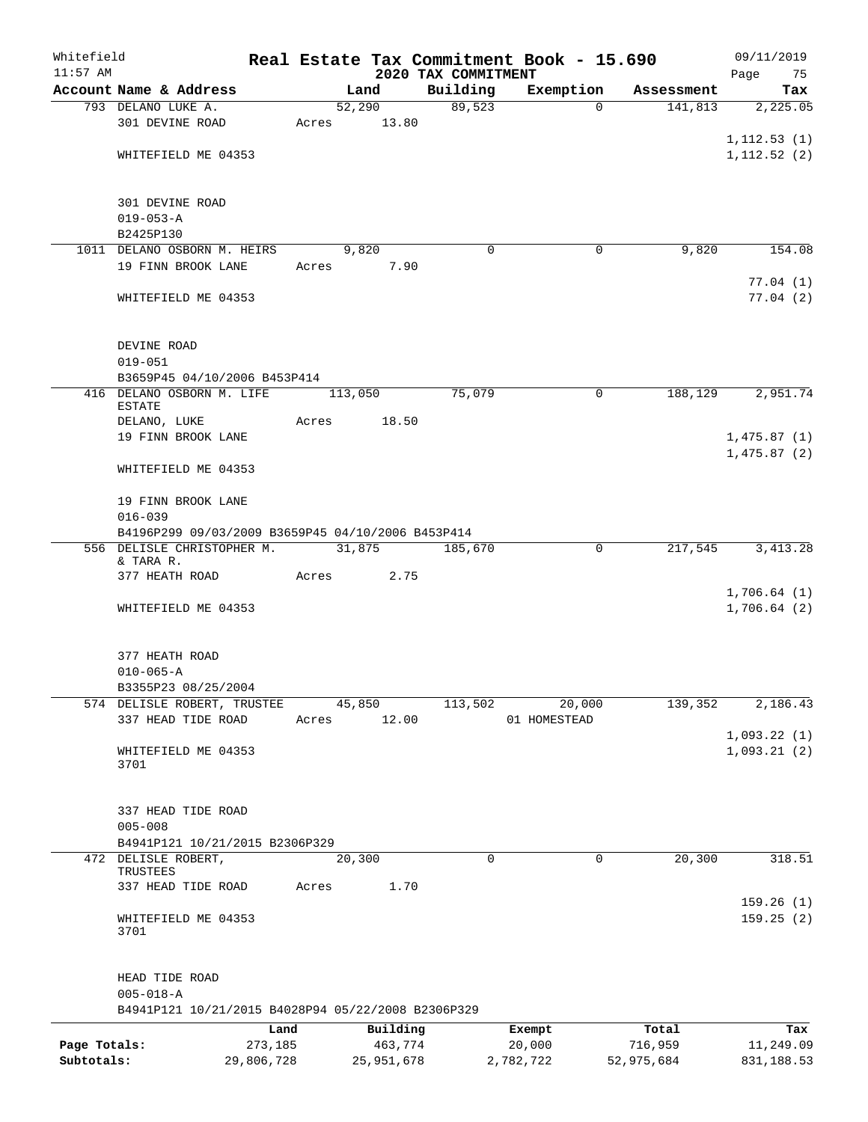| Whitefield<br>$11:57$ AM |                                                    |            |       |                 | 2020 TAX COMMITMENT | Real Estate Tax Commitment Book - 15.690 |            | 09/11/2019<br>Page<br>75 |
|--------------------------|----------------------------------------------------|------------|-------|-----------------|---------------------|------------------------------------------|------------|--------------------------|
|                          | Account Name & Address                             |            |       | Land            | Building            | Exemption                                | Assessment | Tax                      |
|                          | 793 DELANO LUKE A.                                 |            |       | 52,290          | 89,523              | 0                                        | 141,813    | 2,225.05                 |
|                          | 301 DEVINE ROAD                                    |            | Acres | 13.80           |                     |                                          |            |                          |
|                          |                                                    |            |       |                 |                     |                                          |            | 1, 112.53(1)             |
|                          | WHITEFIELD ME 04353                                |            |       |                 |                     |                                          |            | 1, 112.52(2)             |
|                          |                                                    |            |       |                 |                     |                                          |            |                          |
|                          |                                                    |            |       |                 |                     |                                          |            |                          |
|                          | 301 DEVINE ROAD                                    |            |       |                 |                     |                                          |            |                          |
|                          | $019 - 053 - A$                                    |            |       |                 |                     |                                          |            |                          |
|                          | B2425P130                                          |            |       |                 | 0                   | 0                                        | 9,820      | 154.08                   |
|                          | 1011 DELANO OSBORN M. HEIRS<br>19 FINN BROOK LANE  |            | Acres | 9,820<br>7.90   |                     |                                          |            |                          |
|                          |                                                    |            |       |                 |                     |                                          |            | 77.04(1)                 |
|                          | WHITEFIELD ME 04353                                |            |       |                 |                     |                                          |            | 77.04(2)                 |
|                          |                                                    |            |       |                 |                     |                                          |            |                          |
|                          |                                                    |            |       |                 |                     |                                          |            |                          |
|                          | DEVINE ROAD                                        |            |       |                 |                     |                                          |            |                          |
|                          | $019 - 051$                                        |            |       |                 |                     |                                          |            |                          |
|                          | B3659P45 04/10/2006 B453P414                       |            |       |                 |                     |                                          |            |                          |
|                          | 416 DELANO OSBORN M. LIFE<br><b>ESTATE</b>         |            |       | 113,050         | 75,079              | 0                                        | 188,129    | 2,951.74                 |
|                          | DELANO, LUKE                                       |            | Acres | 18.50           |                     |                                          |            |                          |
|                          | 19 FINN BROOK LANE                                 |            |       |                 |                     |                                          |            | 1,475.87(1)              |
|                          |                                                    |            |       |                 |                     |                                          |            | 1,475.87(2)              |
|                          | WHITEFIELD ME 04353                                |            |       |                 |                     |                                          |            |                          |
|                          |                                                    |            |       |                 |                     |                                          |            |                          |
|                          | 19 FINN BROOK LANE                                 |            |       |                 |                     |                                          |            |                          |
|                          | $016 - 039$                                        |            |       |                 |                     |                                          |            |                          |
|                          | B4196P299 09/03/2009 B3659P45 04/10/2006 B453P414  |            |       |                 |                     |                                          |            |                          |
|                          | 556 DELISLE CHRISTOPHER M.<br>& TARA R.            |            |       | 31,875          | 185,670             | 0                                        | 217,545    | 3, 413.28                |
|                          | 377 HEATH ROAD                                     |            | Acres | 2.75            |                     |                                          |            |                          |
|                          |                                                    |            |       |                 |                     |                                          |            | 1,706.64(1)              |
|                          | WHITEFIELD ME 04353                                |            |       |                 |                     |                                          |            | 1,706.64(2)              |
|                          |                                                    |            |       |                 |                     |                                          |            |                          |
|                          |                                                    |            |       |                 |                     |                                          |            |                          |
|                          | 377 HEATH ROAD                                     |            |       |                 |                     |                                          |            |                          |
|                          | $010 - 065 - A$                                    |            |       |                 |                     |                                          |            |                          |
|                          | B3355P23 08/25/2004                                |            |       |                 |                     |                                          |            |                          |
|                          | 574 DELISLE ROBERT, TRUSTEE<br>337 HEAD TIDE ROAD  |            |       | 45,850<br>12.00 | 113,502             | 20,000                                   | 139,352    | 2,186.43                 |
|                          |                                                    |            | Acres |                 |                     | 01 HOMESTEAD                             |            | 1,093.22(1)              |
|                          | WHITEFIELD ME 04353                                |            |       |                 |                     |                                          |            | 1,093.21(2)              |
|                          | 3701                                               |            |       |                 |                     |                                          |            |                          |
|                          |                                                    |            |       |                 |                     |                                          |            |                          |
|                          |                                                    |            |       |                 |                     |                                          |            |                          |
|                          | 337 HEAD TIDE ROAD                                 |            |       |                 |                     |                                          |            |                          |
|                          | $005 - 008$                                        |            |       |                 |                     |                                          |            |                          |
|                          | B4941P121 10/21/2015 B2306P329                     |            |       |                 |                     |                                          |            |                          |
|                          | 472 DELISLE ROBERT,<br>TRUSTEES                    |            |       | 20,300          | 0                   | 0                                        | 20,300     | 318.51                   |
|                          | 337 HEAD TIDE ROAD                                 |            | Acres | 1.70            |                     |                                          |            |                          |
|                          |                                                    |            |       |                 |                     |                                          |            | 159.26(1)                |
|                          | WHITEFIELD ME 04353                                |            |       |                 |                     |                                          |            | 159.25(2)                |
|                          | 3701                                               |            |       |                 |                     |                                          |            |                          |
|                          |                                                    |            |       |                 |                     |                                          |            |                          |
|                          | HEAD TIDE ROAD                                     |            |       |                 |                     |                                          |            |                          |
|                          | $005 - 018 - A$                                    |            |       |                 |                     |                                          |            |                          |
|                          | B4941P121 10/21/2015 B4028P94 05/22/2008 B2306P329 |            |       |                 |                     |                                          |            |                          |
|                          |                                                    | Land       |       | Building        |                     | Exempt                                   | Total      | Tax                      |
| Page Totals:             |                                                    | 273,185    |       | 463,774         |                     | 20,000                                   | 716,959    | 11,249.09                |
| Subtotals:               |                                                    | 29,806,728 |       | 25,951,678      |                     | 2,782,722                                | 52,975,684 | 831,188.53               |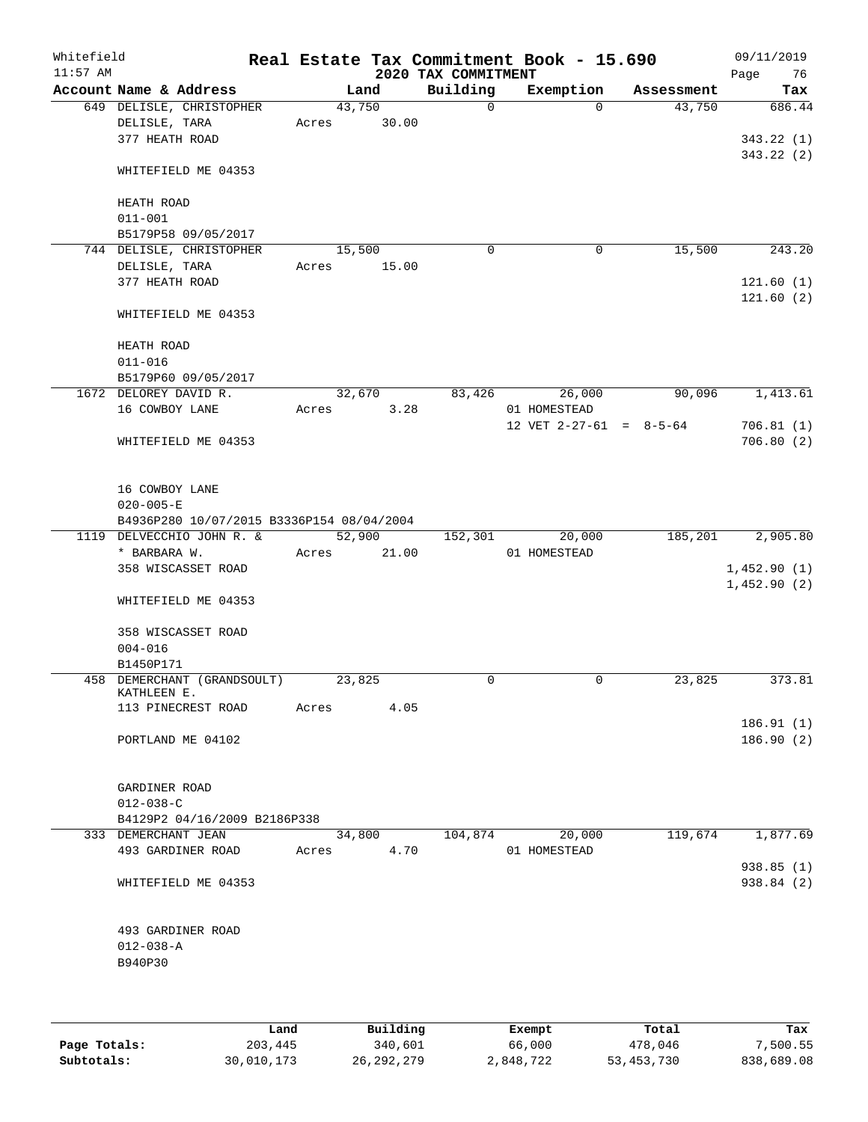| Whitefield<br>$11:57$ AM |                           |                                           |        |       | Real Estate Tax Commitment Book - 15.690<br>2020 TAX COMMITMENT |              |                           | 09/11/2019<br>Page<br>76 |
|--------------------------|---------------------------|-------------------------------------------|--------|-------|-----------------------------------------------------------------|--------------|---------------------------|--------------------------|
|                          | Account Name & Address    |                                           |        | Land  | Building                                                        | Exemption    | Assessment                | Tax                      |
|                          |                           | 649 DELISLE, CHRISTOPHER                  | 43,750 |       | $\Omega$                                                        | $\Omega$     | 43,750                    | 686.44                   |
|                          | DELISLE, TARA             |                                           | Acres  | 30.00 |                                                                 |              |                           |                          |
|                          | 377 HEATH ROAD            |                                           |        |       |                                                                 |              |                           | 343.22(1)                |
|                          |                           |                                           |        |       |                                                                 |              |                           | 343.22(2)                |
|                          |                           | WHITEFIELD ME 04353                       |        |       |                                                                 |              |                           |                          |
|                          |                           |                                           |        |       |                                                                 |              |                           |                          |
|                          | HEATH ROAD<br>$011 - 001$ |                                           |        |       |                                                                 |              |                           |                          |
|                          |                           | B5179P58 09/05/2017                       |        |       |                                                                 |              |                           |                          |
|                          |                           | 744 DELISLE, CHRISTOPHER                  | 15,500 |       | $\mathbf 0$                                                     | $\mathbf 0$  | 15,500                    | 243.20                   |
|                          | DELISLE, TARA             |                                           | Acres  | 15.00 |                                                                 |              |                           |                          |
|                          | 377 HEATH ROAD            |                                           |        |       |                                                                 |              |                           | 121.60(1)                |
|                          |                           |                                           |        |       |                                                                 |              |                           | 121.60(2)                |
|                          |                           | WHITEFIELD ME 04353                       |        |       |                                                                 |              |                           |                          |
|                          |                           |                                           |        |       |                                                                 |              |                           |                          |
|                          | HEATH ROAD                |                                           |        |       |                                                                 |              |                           |                          |
|                          | $011 - 016$               |                                           |        |       |                                                                 |              |                           |                          |
|                          |                           | B5179P60 09/05/2017                       |        |       |                                                                 |              |                           |                          |
|                          | 1672 DELOREY DAVID R.     |                                           | 32,670 |       | 83,426                                                          | 26,000       | 90,096                    | 1,413.61                 |
|                          | 16 COWBOY LANE            |                                           | Acres  | 3.28  |                                                                 | 01 HOMESTEAD |                           |                          |
|                          |                           |                                           |        |       |                                                                 |              | 12 VET $2-27-61 = 8-5-64$ | 706.81(1)                |
|                          |                           | WHITEFIELD ME 04353                       |        |       |                                                                 |              |                           | 706.80(2)                |
|                          |                           |                                           |        |       |                                                                 |              |                           |                          |
|                          | 16 COWBOY LANE            |                                           |        |       |                                                                 |              |                           |                          |
|                          | $020 - 005 - E$           |                                           |        |       |                                                                 |              |                           |                          |
|                          |                           | B4936P280 10/07/2015 B3336P154 08/04/2004 |        |       |                                                                 |              |                           |                          |
|                          |                           | 1119 DELVECCHIO JOHN R. &                 | 52,900 |       | 152,301                                                         | 20,000       | 185,201                   | 2,905.80                 |
|                          | * BARBARA W.              |                                           | Acres  | 21.00 |                                                                 | 01 HOMESTEAD |                           |                          |
|                          |                           | 358 WISCASSET ROAD                        |        |       |                                                                 |              |                           | 1,452.90(1)              |
|                          |                           |                                           |        |       |                                                                 |              |                           | 1,452.90(2)              |
|                          |                           | WHITEFIELD ME 04353                       |        |       |                                                                 |              |                           |                          |
|                          |                           |                                           |        |       |                                                                 |              |                           |                          |
|                          |                           | 358 WISCASSET ROAD                        |        |       |                                                                 |              |                           |                          |
|                          | $004 - 016$               |                                           |        |       |                                                                 |              |                           |                          |
|                          | B1450P171                 |                                           |        |       |                                                                 |              |                           |                          |
|                          | KATHLEEN E.               | 458 DEMERCHANT (GRANDSOULT)               | 23,825 |       | 0                                                               | $\mathbf 0$  | 23,825                    | 373.81                   |
|                          |                           | 113 PINECREST ROAD                        | Acres  | 4.05  |                                                                 |              |                           |                          |
|                          |                           |                                           |        |       |                                                                 |              |                           | 186.91(1)                |
|                          |                           | PORTLAND ME 04102                         |        |       |                                                                 |              |                           | 186.90(2)                |
|                          |                           |                                           |        |       |                                                                 |              |                           |                          |
|                          |                           |                                           |        |       |                                                                 |              |                           |                          |
|                          | GARDINER ROAD             |                                           |        |       |                                                                 |              |                           |                          |
|                          | $012 - 038 - C$           |                                           |        |       |                                                                 |              |                           |                          |
|                          |                           | B4129P2 04/16/2009 B2186P338              |        |       |                                                                 |              |                           |                          |
|                          | 333 DEMERCHANT JEAN       |                                           | 34,800 |       | 104,874                                                         | 20,000       | 119,674                   | 1,877.69                 |
|                          |                           | 493 GARDINER ROAD                         | Acres  | 4.70  |                                                                 | 01 HOMESTEAD |                           |                          |
|                          |                           | WHITEFIELD ME 04353                       |        |       |                                                                 |              |                           | 938.85(1)<br>938.84 (2)  |
|                          |                           |                                           |        |       |                                                                 |              |                           |                          |
|                          |                           |                                           |        |       |                                                                 |              |                           |                          |
|                          |                           | 493 GARDINER ROAD                         |        |       |                                                                 |              |                           |                          |
|                          | $012 - 038 - A$           |                                           |        |       |                                                                 |              |                           |                          |
|                          | B940P30                   |                                           |        |       |                                                                 |              |                           |                          |
|                          |                           |                                           |        |       |                                                                 |              |                           |                          |
|                          |                           |                                           |        |       |                                                                 |              |                           |                          |
|                          |                           |                                           |        |       |                                                                 |              |                           |                          |

|              | Land       | Building     | Exempt    | Total        | Tax        |
|--------------|------------|--------------|-----------|--------------|------------|
| Page Totals: | 203,445    | 340,601      | 66,000    | 478,046      | 7,500.55   |
| Subtotals:   | 30,010,173 | 26, 292, 279 | 2,848,722 | 53, 453, 730 | 838,689.08 |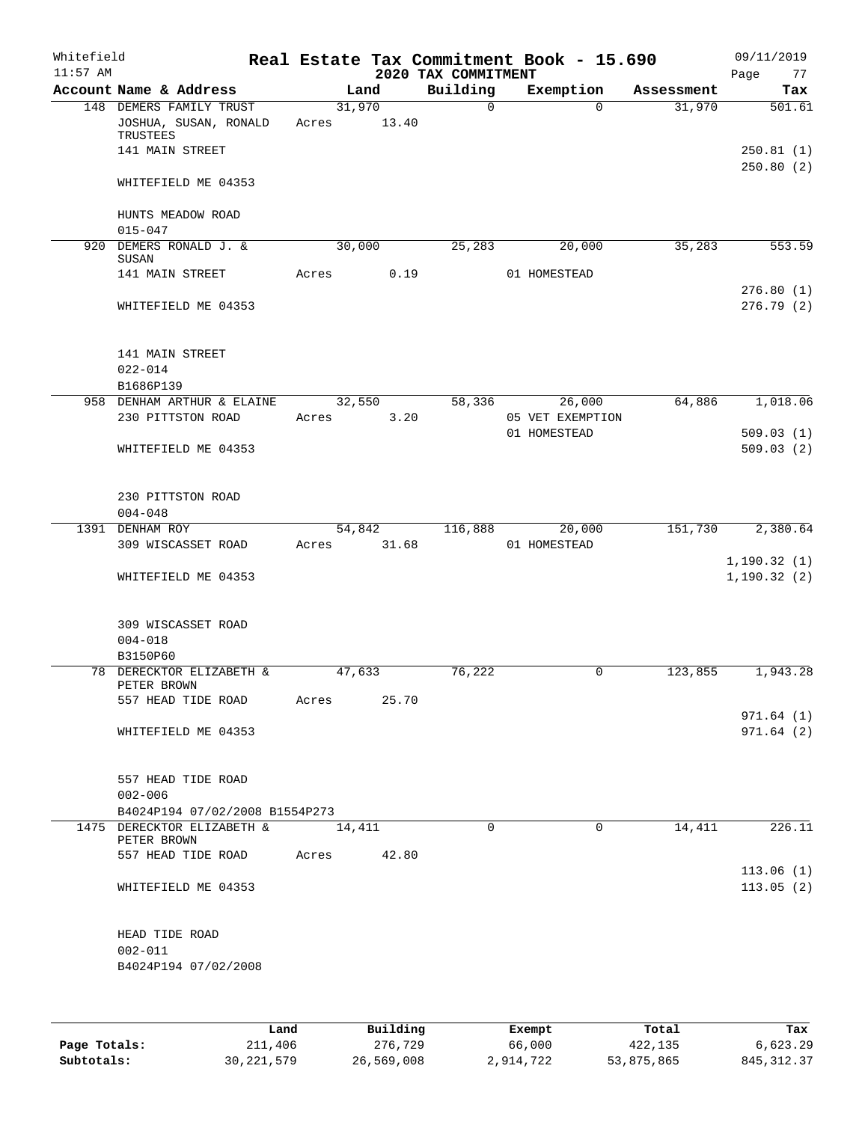| Whitefield<br>$11:57$ AM |                                                              |       |                                     | 2020 TAX COMMITMENT | Real Estate Tax Commitment Book - 15.690       |              | 09/11/2019<br>Page<br>77     |
|--------------------------|--------------------------------------------------------------|-------|-------------------------------------|---------------------|------------------------------------------------|--------------|------------------------------|
|                          | Account Name & Address                                       |       | Land                                | Building            | Exemption                                      | Assessment   | Tax                          |
|                          | 148 DEMERS FAMILY TRUST<br>JOSHUA, SUSAN, RONALD<br>TRUSTEES | Acres | 31,970<br>13.40                     | 0                   | $\Omega$                                       | 31,970       | 501.61                       |
|                          | 141 MAIN STREET                                              |       |                                     |                     |                                                |              | 250.81(1)<br>250.80(2)       |
|                          | WHITEFIELD ME 04353                                          |       |                                     |                     |                                                |              |                              |
|                          | HUNTS MEADOW ROAD<br>$015 - 047$                             |       |                                     |                     |                                                |              |                              |
|                          | 920 DEMERS RONALD J. &<br>SUSAN                              |       | 30,000                              | 25, 283             | 20,000                                         | 35,283       | 553.59                       |
|                          | 141 MAIN STREET                                              | Acres | 0.19                                |                     | 01 HOMESTEAD                                   |              | 276.80(1)                    |
|                          | WHITEFIELD ME 04353                                          |       |                                     |                     |                                                |              | 276.79 (2)                   |
|                          | 141 MAIN STREET                                              |       |                                     |                     |                                                |              |                              |
|                          | $022 - 014$                                                  |       |                                     |                     |                                                |              |                              |
|                          | B1686P139                                                    |       |                                     |                     |                                                |              |                              |
|                          | 958 DENHAM ARTHUR & ELAINE                                   |       | 32,550                              | 58,336              | 26,000                                         | 64,886       | 1,018.06                     |
|                          | 230 PITTSTON ROAD                                            | Acres | 3.20                                |                     | 05 VET EXEMPTION                               |              |                              |
|                          | WHITEFIELD ME 04353                                          |       |                                     |                     | 01 HOMESTEAD                                   |              | 509.03(1)<br>509.03(2)       |
|                          | 230 PITTSTON ROAD                                            |       |                                     |                     |                                                |              |                              |
|                          | $004 - 048$                                                  |       |                                     |                     |                                                |              |                              |
|                          | 1391 DENHAM ROY                                              |       | 54,842                              | 116,888             | 20,000                                         | 151,730      | 2,380.64                     |
|                          | 309 WISCASSET ROAD                                           | Acres | 31.68                               |                     | 01 HOMESTEAD                                   |              |                              |
|                          | WHITEFIELD ME 04353                                          |       |                                     |                     |                                                |              | 1, 190.32(1)<br>1, 190.32(2) |
|                          | 309 WISCASSET ROAD<br>$004 - 018$                            |       |                                     |                     |                                                |              |                              |
|                          | B3150P60                                                     |       |                                     |                     |                                                |              |                              |
|                          | 78 DERECKTOR ELIZABETH &                                     |       | 47,633                              | 76,222              | 0                                              | 123,855      | 1,943.28                     |
|                          | PETER BROWN<br>557 HEAD TIDE ROAD                            | Acres | 25.70                               |                     |                                                |              |                              |
|                          | WHITEFIELD ME 04353                                          |       |                                     |                     |                                                |              | 971.64 (1)<br>971.64(2)      |
|                          |                                                              |       |                                     |                     |                                                |              |                              |
|                          | 557 HEAD TIDE ROAD<br>$002 - 006$                            |       |                                     |                     |                                                |              |                              |
|                          | B4024P194 07/02/2008 B1554P273                               |       |                                     |                     |                                                |              |                              |
|                          | 1475 DERECKTOR ELIZABETH &<br>PETER BROWN                    |       | 14,411                              | 0                   | $\Omega$                                       | 14,411       | 226.11                       |
|                          | 557 HEAD TIDE ROAD                                           | Acres | 42.80                               |                     |                                                |              |                              |
|                          | WHITEFIELD ME 04353                                          |       |                                     |                     |                                                |              | 113.06(1)<br>113.05(2)       |
|                          | HEAD TIDE ROAD<br>$002 - 011$                                |       |                                     |                     |                                                |              |                              |
|                          | B4024P194 07/02/2008                                         |       |                                     |                     |                                                |              |                              |
|                          | المصدر                                                       |       | $P_{\text{eff}}$ is a set of $\sim$ |                     | $P$ <sub>rr</sub> $\sim$ m $\sim$ <sup>+</sup> | <b>Total</b> | ш.,                          |

|              | Land         | Building   | Exempt    | Total      | Tax          |
|--------------|--------------|------------|-----------|------------|--------------|
| Page Totals: | 211,406      | 276,729    | 66,000    | 422,135    | 6.623.29     |
| Subtotals:   | 30, 221, 579 | 26,569,008 | 2,914,722 | 53,875,865 | 845, 312, 37 |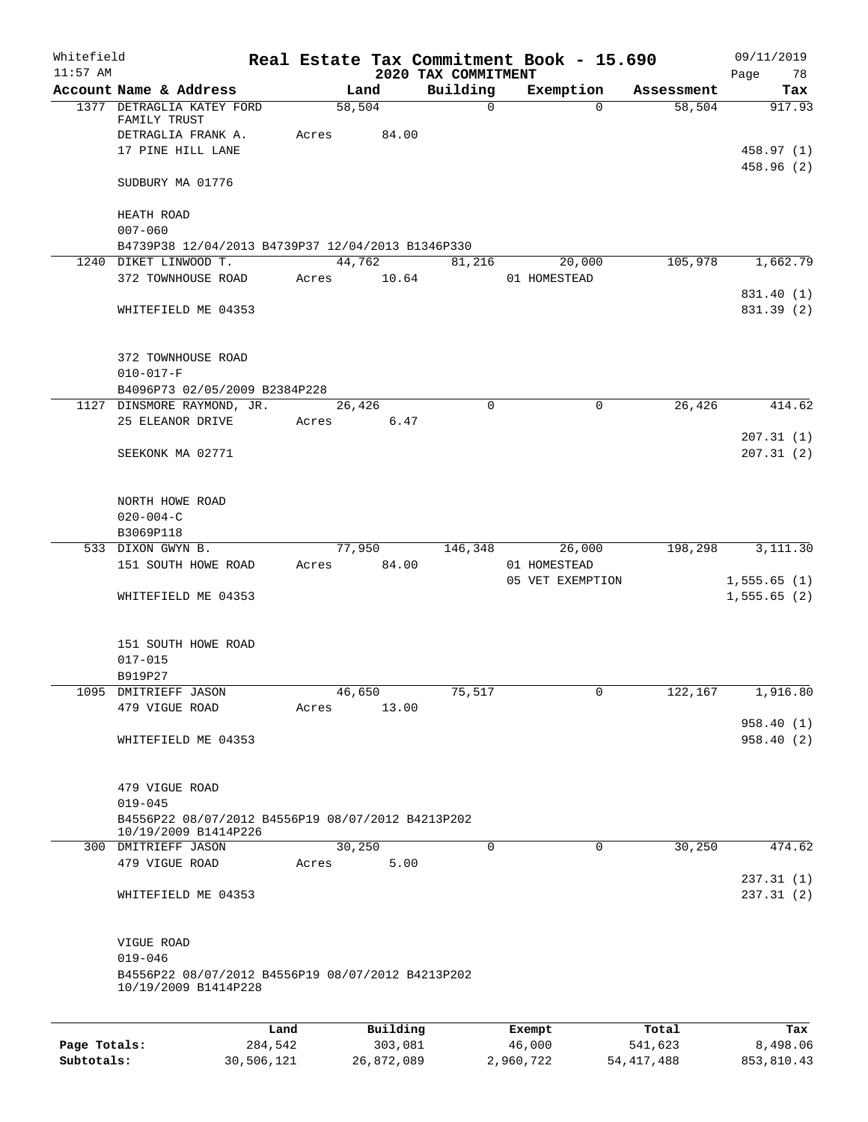| Whitefield<br>$11:57$ AM |                                                                                                        |                 |                     | 2020 TAX COMMITMENT | Real Estate Tax Commitment Book - 15.690 |                  | 09/11/2019<br>Page<br>78 |
|--------------------------|--------------------------------------------------------------------------------------------------------|-----------------|---------------------|---------------------|------------------------------------------|------------------|--------------------------|
|                          | Account Name & Address                                                                                 |                 | Land                | Building            | Exemption                                | Assessment       | Tax                      |
|                          | 1377 DETRAGLIA KATEY FORD<br>FAMILY TRUST<br>DETRAGLIA FRANK A.                                        | Acres           | 58,504<br>84.00     | $\mathsf{O}$        | $\Omega$                                 | 58,504           | 917.93                   |
|                          | 17 PINE HILL LANE<br>SUDBURY MA 01776                                                                  |                 |                     |                     |                                          |                  | 458.97 (1)<br>458.96 (2) |
|                          | HEATH ROAD<br>$007 - 060$<br>B4739P38 12/04/2013 B4739P37 12/04/2013 B1346P330                         |                 |                     |                     |                                          |                  |                          |
|                          | 1240 DIKET LINWOOD T.<br>372 TOWNHOUSE ROAD                                                            | Acres           | 44,762<br>10.64     | 81,216              | 20,000<br>01 HOMESTEAD                   | 105,978          | 1,662.79                 |
|                          | WHITEFIELD ME 04353                                                                                    |                 |                     |                     |                                          |                  | 831.40 (1)<br>831.39 (2) |
|                          | 372 TOWNHOUSE ROAD<br>$010 - 017 - F$<br>B4096P73 02/05/2009 B2384P228                                 |                 |                     |                     |                                          |                  |                          |
|                          | 1127 DINSMORE RAYMOND, JR.                                                                             |                 | 26,426              | 0                   | 0                                        | 26,426           | 414.62                   |
|                          | 25 ELEANOR DRIVE                                                                                       | Acres           | 6.47                |                     |                                          |                  | 207.31(1)                |
|                          | SEEKONK MA 02771                                                                                       |                 |                     |                     |                                          |                  | 207.31(2)                |
|                          | NORTH HOWE ROAD<br>$020 - 004 - C$<br>B3069P118                                                        |                 |                     |                     |                                          |                  |                          |
|                          | 533 DIXON GWYN B.                                                                                      |                 | 77,950              | 146,348             | 26,000                                   | 198,298          | 3,111.30                 |
|                          | 151 SOUTH HOWE ROAD                                                                                    | Acres           | 84.00               |                     | 01 HOMESTEAD<br>05 VET EXEMPTION         |                  | 1,555.65(1)              |
|                          | WHITEFIELD ME 04353                                                                                    |                 |                     |                     |                                          |                  | 1,555.65(2)              |
|                          | 151 SOUTH HOWE ROAD<br>$017 - 015$                                                                     |                 |                     |                     |                                          |                  |                          |
|                          | B919P27<br>1095 DMITRIEFF JASON                                                                        |                 | 46,650              | 75,517              | 0                                        | 122,167          | 1,916.80                 |
|                          | 479 VIGUE ROAD                                                                                         | Acres           | 13.00               |                     |                                          |                  |                          |
|                          | WHITEFIELD ME 04353                                                                                    |                 |                     |                     |                                          |                  | 958.40 (1)<br>958.40(2)  |
|                          | 479 VIGUE ROAD<br>$019 - 045$                                                                          |                 |                     |                     |                                          |                  |                          |
|                          | B4556P22 08/07/2012 B4556P19 08/07/2012 B4213P202<br>10/19/2009 B1414P226                              |                 |                     |                     |                                          |                  |                          |
|                          | 300 DMITRIEFF JASON<br>479 VIGUE ROAD                                                                  | Acres           | 30, 250<br>5.00     | $\Omega$            | $\Omega$                                 | 30,250           | 474.62                   |
|                          | WHITEFIELD ME 04353                                                                                    |                 |                     |                     |                                          |                  | 237.31(1)<br>237.31 (2)  |
|                          | VIGUE ROAD<br>$019 - 046$<br>B4556P22 08/07/2012 B4556P19 08/07/2012 B4213P202<br>10/19/2009 B1414P228 |                 |                     |                     |                                          |                  |                          |
|                          |                                                                                                        |                 |                     |                     |                                          |                  |                          |
| Page Totals:             |                                                                                                        | Land<br>284,542 | Building<br>303,081 |                     | Exempt<br>46,000                         | Total<br>541,623 | Tax<br>8,498.06          |

**Subtotals:** 30,506,121 26,872,089 2,960,722 54,417,488 853,810.43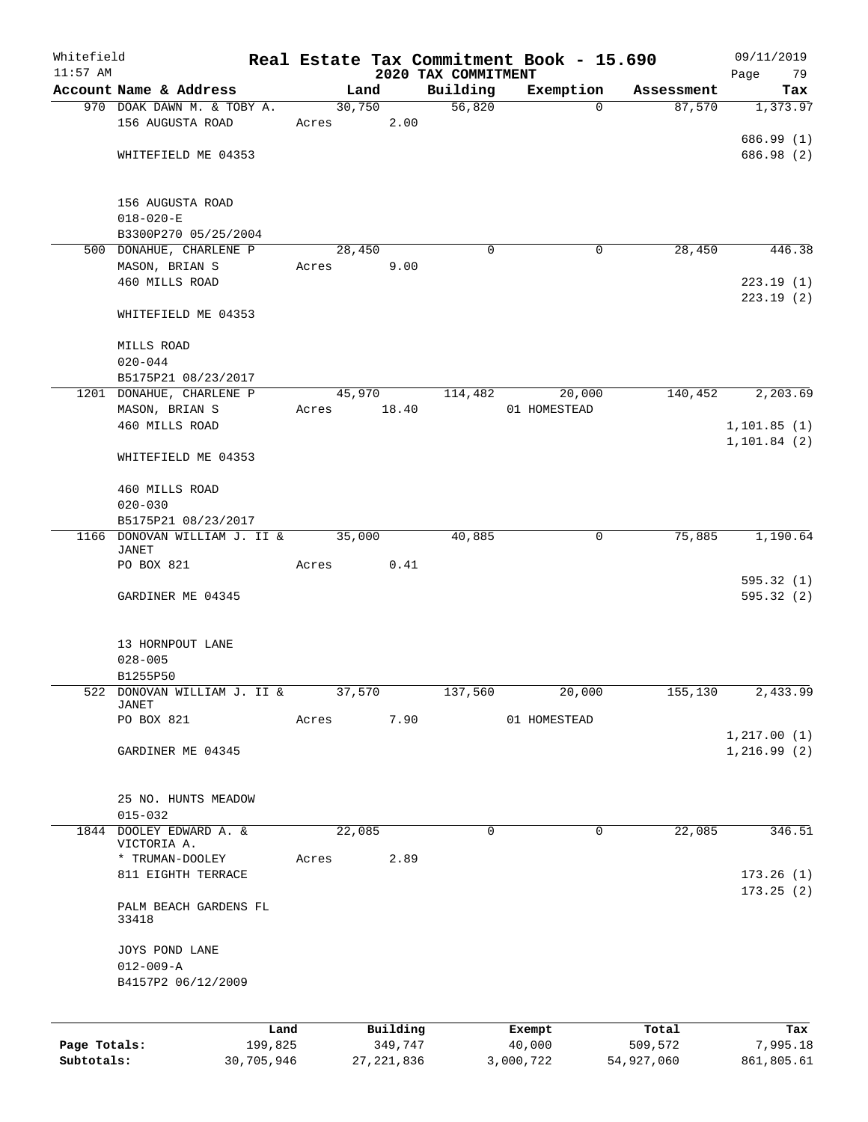| Whitefield   |                                                 |       |              |                                 | Real Estate Tax Commitment Book - 15.690 |            | 09/11/2019        |
|--------------|-------------------------------------------------|-------|--------------|---------------------------------|------------------------------------------|------------|-------------------|
| $11:57$ AM   | Account Name & Address                          |       | Land         | 2020 TAX COMMITMENT<br>Building | Exemption                                | Assessment | Page<br>79<br>Tax |
|              | 970 DOAK DAWN M. & TOBY A.                      |       | 30,750       | 56,820                          | $\Omega$                                 | 87,570     | 1,373.97          |
|              | 156 AUGUSTA ROAD                                | Acres | 2.00         |                                 |                                          |            |                   |
|              |                                                 |       |              |                                 |                                          |            | 686.99 (1)        |
|              | WHITEFIELD ME 04353                             |       |              |                                 |                                          |            | 686.98 (2)        |
|              |                                                 |       |              |                                 |                                          |            |                   |
|              |                                                 |       |              |                                 |                                          |            |                   |
|              | 156 AUGUSTA ROAD<br>$018 - 020 - E$             |       |              |                                 |                                          |            |                   |
|              | B3300P270 05/25/2004                            |       |              |                                 |                                          |            |                   |
|              | 500 DONAHUE, CHARLENE P                         |       | 28,450       | $\Omega$                        | 0                                        | 28,450     | 446.38            |
|              | MASON, BRIAN S                                  | Acres | 9.00         |                                 |                                          |            |                   |
|              | 460 MILLS ROAD                                  |       |              |                                 |                                          |            | 223.19(1)         |
|              |                                                 |       |              |                                 |                                          |            | 223.19(2)         |
|              | WHITEFIELD ME 04353                             |       |              |                                 |                                          |            |                   |
|              |                                                 |       |              |                                 |                                          |            |                   |
|              | MILLS ROAD                                      |       |              |                                 |                                          |            |                   |
|              | $020 - 044$                                     |       |              |                                 |                                          |            |                   |
|              | B5175P21 08/23/2017<br>1201 DONAHUE, CHARLENE P |       | 45,970       | 114,482                         | 20,000                                   | 140,452    | 2,203.69          |
|              | MASON, BRIAN S                                  | Acres | 18.40        |                                 | 01 HOMESTEAD                             |            |                   |
|              | 460 MILLS ROAD                                  |       |              |                                 |                                          |            | 1, 101.85(1)      |
|              |                                                 |       |              |                                 |                                          |            | 1, 101.84(2)      |
|              | WHITEFIELD ME 04353                             |       |              |                                 |                                          |            |                   |
|              |                                                 |       |              |                                 |                                          |            |                   |
|              | 460 MILLS ROAD                                  |       |              |                                 |                                          |            |                   |
|              | $020 - 030$                                     |       |              |                                 |                                          |            |                   |
|              | B5175P21 08/23/2017                             |       |              |                                 |                                          |            |                   |
|              | 1166 DONOVAN WILLIAM J. II &<br>JANET           |       | 35,000       | 40,885                          | $\mathbf 0$                              | 75,885     | 1,190.64          |
|              | PO BOX 821                                      | Acres | 0.41         |                                 |                                          |            |                   |
|              |                                                 |       |              |                                 |                                          |            | 595.32(1)         |
|              | GARDINER ME 04345                               |       |              |                                 |                                          |            | 595.32 (2)        |
|              |                                                 |       |              |                                 |                                          |            |                   |
|              |                                                 |       |              |                                 |                                          |            |                   |
|              | 13 HORNPOUT LANE<br>$028 - 005$                 |       |              |                                 |                                          |            |                   |
|              | B1255P50                                        |       |              |                                 |                                          |            |                   |
|              | 522 DONOVAN WILLIAM J. II &                     |       | 37,570       | 137,560                         | 20,000                                   | 155,130    | 2,433.99          |
|              | JANET                                           |       |              |                                 |                                          |            |                   |
|              | PO BOX 821                                      | Acres | 7.90         |                                 | 01 HOMESTEAD                             |            |                   |
|              |                                                 |       |              |                                 |                                          |            | 1, 217.00(1)      |
|              | GARDINER ME 04345                               |       |              |                                 |                                          |            | 1,216.99(2)       |
|              |                                                 |       |              |                                 |                                          |            |                   |
|              | 25 NO. HUNTS MEADOW                             |       |              |                                 |                                          |            |                   |
|              | $015 - 032$                                     |       |              |                                 |                                          |            |                   |
|              | 1844 DOOLEY EDWARD A. &                         |       | 22,085       | $\mathbf 0$                     | $\Omega$                                 | 22,085     | 346.51            |
|              | VICTORIA A.                                     |       |              |                                 |                                          |            |                   |
|              | * TRUMAN-DOOLEY                                 | Acres | 2.89         |                                 |                                          |            |                   |
|              | 811 EIGHTH TERRACE                              |       |              |                                 |                                          |            | 173.26(1)         |
|              | PALM BEACH GARDENS FL                           |       |              |                                 |                                          |            | 173.25(2)         |
|              | 33418                                           |       |              |                                 |                                          |            |                   |
|              |                                                 |       |              |                                 |                                          |            |                   |
|              | JOYS POND LANE                                  |       |              |                                 |                                          |            |                   |
|              | $012 - 009 - A$                                 |       |              |                                 |                                          |            |                   |
|              | B4157P2 06/12/2009                              |       |              |                                 |                                          |            |                   |
|              |                                                 |       |              |                                 |                                          |            |                   |
|              |                                                 | Land  | Building     |                                 | Exempt                                   | Total      | Tax               |
| Page Totals: | 199,825                                         |       | 349,747      |                                 | 40,000                                   | 509,572    | 7,995.18          |
| Subtotals:   | 30,705,946                                      |       | 27, 221, 836 |                                 | 3,000,722                                | 54,927,060 | 861,805.61        |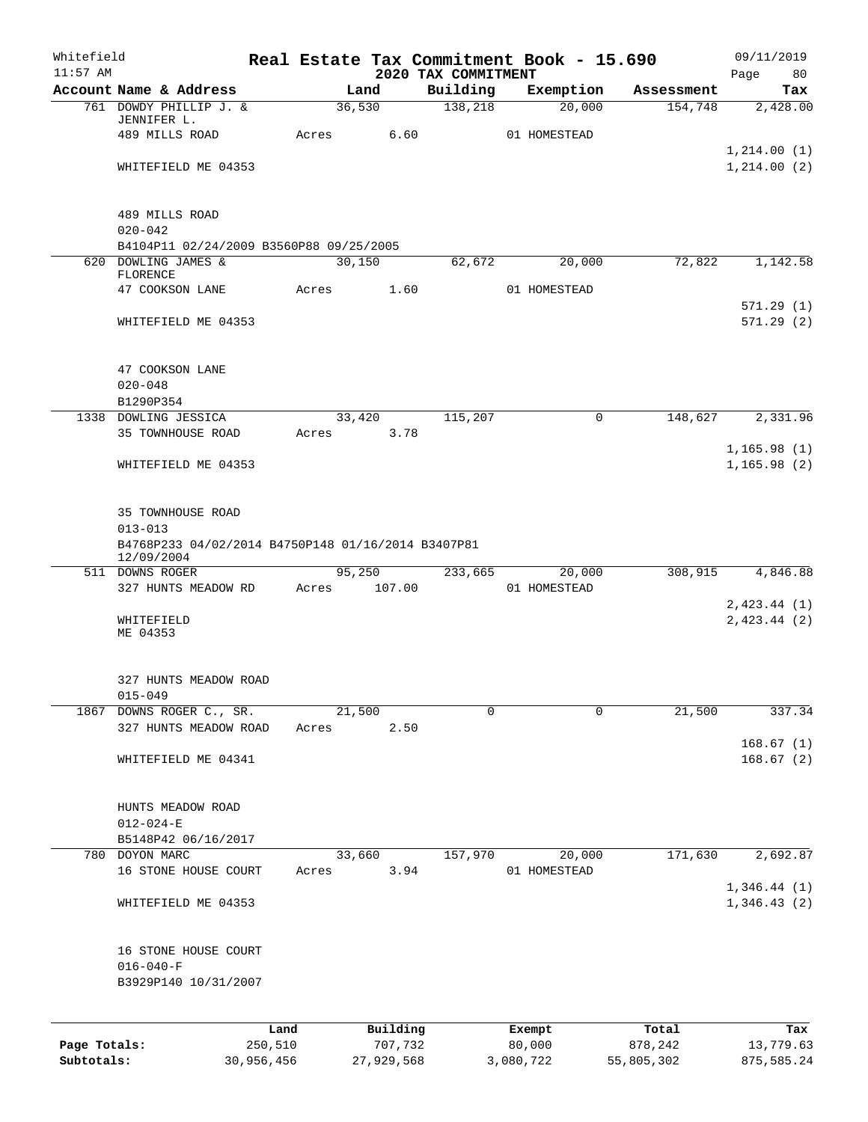| Whitefield<br>$11:57$ AM |                                                                  |       |                | 2020 TAX COMMITMENT | Real Estate Tax Commitment Book - 15.690 |            | 09/11/2019                  |
|--------------------------|------------------------------------------------------------------|-------|----------------|---------------------|------------------------------------------|------------|-----------------------------|
|                          | Account Name & Address                                           |       | Land           | Building            | Exemption                                | Assessment | Page<br>80<br>Tax           |
|                          | 761 DOWDY PHILLIP J. &                                           |       | 36,530         | 138,218             | 20,000                                   | 154,748    | 2,428.00                    |
|                          | JENNIFER L.                                                      |       |                |                     |                                          |            |                             |
|                          | 489 MILLS ROAD                                                   | Acres | 6.60           |                     | 01 HOMESTEAD                             |            |                             |
|                          | WHITEFIELD ME 04353                                              |       |                |                     |                                          |            | 1,214.00(1)<br>1, 214.00(2) |
|                          |                                                                  |       |                |                     |                                          |            |                             |
|                          | 489 MILLS ROAD                                                   |       |                |                     |                                          |            |                             |
|                          | $020 - 042$                                                      |       |                |                     |                                          |            |                             |
|                          | B4104P11 02/24/2009 B3560P88 09/25/2005                          |       |                |                     |                                          |            |                             |
|                          | 620 DOWLING JAMES &<br>FLORENCE                                  |       | 30,150         | 62,672              | 20,000                                   | 72,822     | 1,142.58                    |
|                          | 47 COOKSON LANE                                                  | Acres | 1.60           |                     | 01 HOMESTEAD                             |            |                             |
|                          |                                                                  |       |                |                     |                                          |            | 571.29(1)                   |
|                          | WHITEFIELD ME 04353                                              |       |                |                     |                                          |            | 571.29(2)                   |
|                          | 47 COOKSON LANE                                                  |       |                |                     |                                          |            |                             |
|                          | $020 - 048$                                                      |       |                |                     |                                          |            |                             |
|                          | B1290P354                                                        |       |                |                     |                                          |            |                             |
|                          | 1338 DOWLING JESSICA                                             |       | 33,420         | 115,207             | 0                                        | 148,627    | 2,331.96                    |
|                          | <b>35 TOWNHOUSE ROAD</b>                                         | Acres | 3.78           |                     |                                          |            |                             |
|                          |                                                                  |       |                |                     |                                          |            | 1,165.98(1)                 |
|                          | WHITEFIELD ME 04353                                              |       |                |                     |                                          |            | 1, 165.98(2)                |
|                          | 35 TOWNHOUSE ROAD<br>$013 - 013$                                 |       |                |                     |                                          |            |                             |
|                          | B4768P233 04/02/2014 B4750P148 01/16/2014 B3407P81<br>12/09/2004 |       |                |                     |                                          |            |                             |
|                          | 511 DOWNS ROGER                                                  |       | 95,250         | 233,665             | 20,000                                   | 308,915    | 4,846.88                    |
|                          | 327 HUNTS MEADOW RD                                              | Acres | 107.00         |                     | 01 HOMESTEAD                             |            |                             |
|                          |                                                                  |       |                |                     |                                          |            | 2,423.44(1)                 |
|                          | WHITEFIELD<br>ME 04353                                           |       |                |                     |                                          |            | 2,423.44(2)                 |
|                          | 327 HUNTS MEADOW ROAD                                            |       |                |                     |                                          |            |                             |
|                          | $015 - 049$                                                      |       |                |                     |                                          |            |                             |
| 1867                     | DOWNS ROGER C., SR.                                              |       | 21,500         | $\mathbf 0$         | $\mathbf 0$                              | 21,500     | 337.34                      |
|                          | 327 HUNTS MEADOW ROAD                                            | Acres | 2.50           |                     |                                          |            |                             |
|                          | WHITEFIELD ME 04341                                              |       |                |                     |                                          |            | 168.67(1)<br>168.67(2)      |
|                          |                                                                  |       |                |                     |                                          |            |                             |
|                          | HUNTS MEADOW ROAD                                                |       |                |                     |                                          |            |                             |
|                          | $012 - 024 - E$                                                  |       |                |                     |                                          |            |                             |
|                          | B5148P42 06/16/2017                                              |       |                |                     |                                          |            |                             |
|                          | 780 DOYON MARC<br>16 STONE HOUSE COURT                           | Acres | 33,660<br>3.94 | 157,970             | 20,000<br>01 HOMESTEAD                   | 171,630    | 2,692.87                    |
|                          |                                                                  |       |                |                     |                                          |            | 1,346.44(1)                 |
|                          | WHITEFIELD ME 04353                                              |       |                |                     |                                          |            | 1,346.43(2)                 |
|                          | 16 STONE HOUSE COURT                                             |       |                |                     |                                          |            |                             |
|                          | $016 - 040 - F$                                                  |       |                |                     |                                          |            |                             |
|                          | B3929P140 10/31/2007                                             |       |                |                     |                                          |            |                             |
|                          |                                                                  | Land  | Building       |                     | Exempt                                   | Total      | Tax                         |
| Page Totals:             | 250,510                                                          |       | 707,732        |                     | 80,000                                   | 878,242    | 13,779.63                   |

**Subtotals:** 30,956,456 27,929,568 3,080,722 55,805,302 875,585.24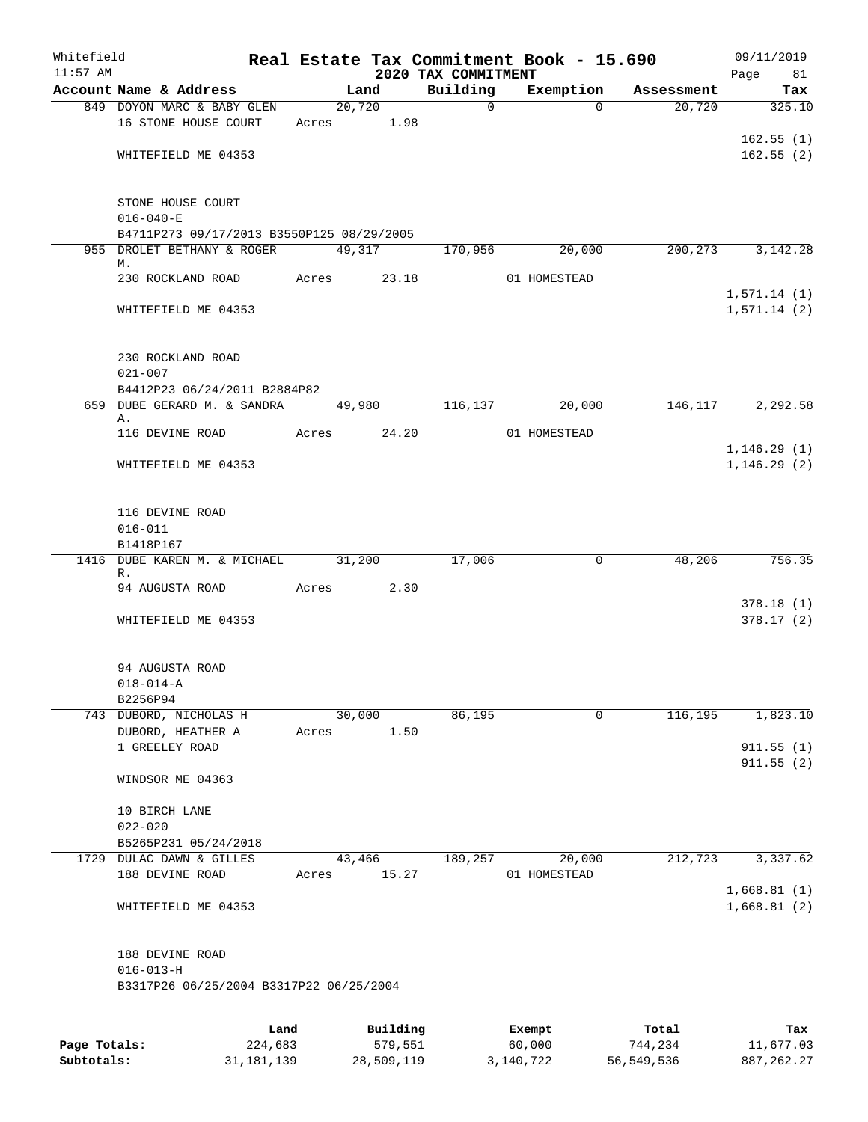| Whitefield<br>$11:57$ AM |                                           |      |       |        |            | 2020 TAX COMMITMENT | Real Estate Tax Commitment Book - 15.690 |            | 09/11/2019<br>Page<br>81     |
|--------------------------|-------------------------------------------|------|-------|--------|------------|---------------------|------------------------------------------|------------|------------------------------|
|                          | Account Name & Address                    |      |       | Land   |            | Building            | Exemption                                | Assessment | Tax                          |
|                          | 849 DOYON MARC & BABY GLEN                |      |       | 20,720 |            | $\mathbf 0$         | $\Omega$                                 | 20,720     | 325.10                       |
|                          | 16 STONE HOUSE COURT                      |      |       |        | Acres 1.98 |                     |                                          |            |                              |
|                          |                                           |      |       |        |            |                     |                                          |            | 162.55(1)                    |
|                          | WHITEFIELD ME 04353                       |      |       |        |            |                     |                                          |            | 162.55(2)                    |
|                          | STONE HOUSE COURT                         |      |       |        |            |                     |                                          |            |                              |
|                          | $016 - 040 - E$                           |      |       |        |            |                     |                                          |            |                              |
|                          | B4711P273 09/17/2013 B3550P125 08/29/2005 |      |       |        |            |                     |                                          |            |                              |
|                          | 955 DROLET BETHANY & ROGER<br>М.          |      |       | 49,317 |            | 170,956             | 20,000                                   | 200,273    | 3, 142. 28                   |
|                          | 230 ROCKLAND ROAD                         |      | Acres |        | 23.18      |                     | 01 HOMESTEAD                             |            |                              |
|                          |                                           |      |       |        |            |                     |                                          |            | 1,571.14(1)                  |
|                          | WHITEFIELD ME 04353                       |      |       |        |            |                     |                                          |            | 1,571.14(2)                  |
|                          | 230 ROCKLAND ROAD<br>$021 - 007$          |      |       |        |            |                     |                                          |            |                              |
|                          | B4412P23 06/24/2011 B2884P82              |      |       |        |            |                     |                                          |            |                              |
| 659                      | DUBE GERARD M. & SANDRA                   |      |       | 49,980 |            | 116,137             | 20,000                                   | 146, 117   | 2,292.58                     |
|                          | Α.                                        |      |       |        |            |                     |                                          |            |                              |
|                          | 116 DEVINE ROAD                           |      | Acres |        | 24.20      |                     | 01 HOMESTEAD                             |            |                              |
|                          | WHITEFIELD ME 04353                       |      |       |        |            |                     |                                          |            | 1, 146.29(1)<br>1, 146.29(2) |
|                          |                                           |      |       |        |            |                     |                                          |            |                              |
|                          | 116 DEVINE ROAD                           |      |       |        |            |                     |                                          |            |                              |
|                          | $016 - 011$                               |      |       |        |            |                     |                                          |            |                              |
|                          | B1418P167                                 |      |       |        |            |                     |                                          |            |                              |
| 1416                     | DUBE KAREN M. & MICHAEL<br>R.             |      |       | 31,200 |            | 17,006              | 0                                        | 48,206     | 756.35                       |
|                          | 94 AUGUSTA ROAD                           |      | Acres |        | 2.30       |                     |                                          |            |                              |
|                          |                                           |      |       |        |            |                     |                                          |            | 378.18(1)                    |
|                          | WHITEFIELD ME 04353                       |      |       |        |            |                     |                                          |            | 378.17(2)                    |
|                          | 94 AUGUSTA ROAD                           |      |       |        |            |                     |                                          |            |                              |
|                          | $018 - 014 - A$                           |      |       |        |            |                     |                                          |            |                              |
|                          | B2256P94                                  |      |       |        |            |                     |                                          |            |                              |
|                          | 743 DUBORD, NICHOLAS H                    |      |       | 30,000 |            | 86,195              | 0                                        | 116,195    | 1,823.10                     |
|                          | DUBORD, HEATHER A                         |      | Acres |        | 1.50       |                     |                                          |            |                              |
|                          | 1 GREELEY ROAD                            |      |       |        |            |                     |                                          |            | 911.55(1)<br>911.55(2)       |
|                          | WINDSOR ME 04363                          |      |       |        |            |                     |                                          |            |                              |
|                          | 10 BIRCH LANE                             |      |       |        |            |                     |                                          |            |                              |
|                          | $022 - 020$                               |      |       |        |            |                     |                                          |            |                              |
|                          | B5265P231 05/24/2018                      |      |       |        |            |                     |                                          |            |                              |
|                          | 1729 DULAC DAWN & GILLES                  |      |       | 43,466 |            | 189,257             | 20,000                                   | 212,723    | 3,337.62                     |
|                          | 188 DEVINE ROAD                           |      | Acres |        | 15.27      |                     | 01 HOMESTEAD                             |            |                              |
|                          | WHITEFIELD ME 04353                       |      |       |        |            |                     |                                          |            | 1,668.81(1)<br>1,668.81(2)   |
|                          | 188 DEVINE ROAD                           |      |       |        |            |                     |                                          |            |                              |
|                          | $016 - 013 - H$                           |      |       |        |            |                     |                                          |            |                              |
|                          | B3317P26 06/25/2004 B3317P22 06/25/2004   |      |       |        |            |                     |                                          |            |                              |
|                          |                                           |      |       |        |            |                     |                                          |            |                              |
|                          |                                           | Land |       |        | Building   |                     | Exempt                                   | Total      | Tax                          |

|              | nana         | <b>DUITOTII</b> d | LACINUL   | TOLAT      | ias.         |
|--------------|--------------|-------------------|-----------|------------|--------------|
| Page Totals: | 224,683      | 579,551           | 60,000    | 744,234    | 11,677.03    |
| Subtotals:   | 31, 181, 139 | 28,509,119        | 3,140,722 | 56,549,536 | 887, 262, 27 |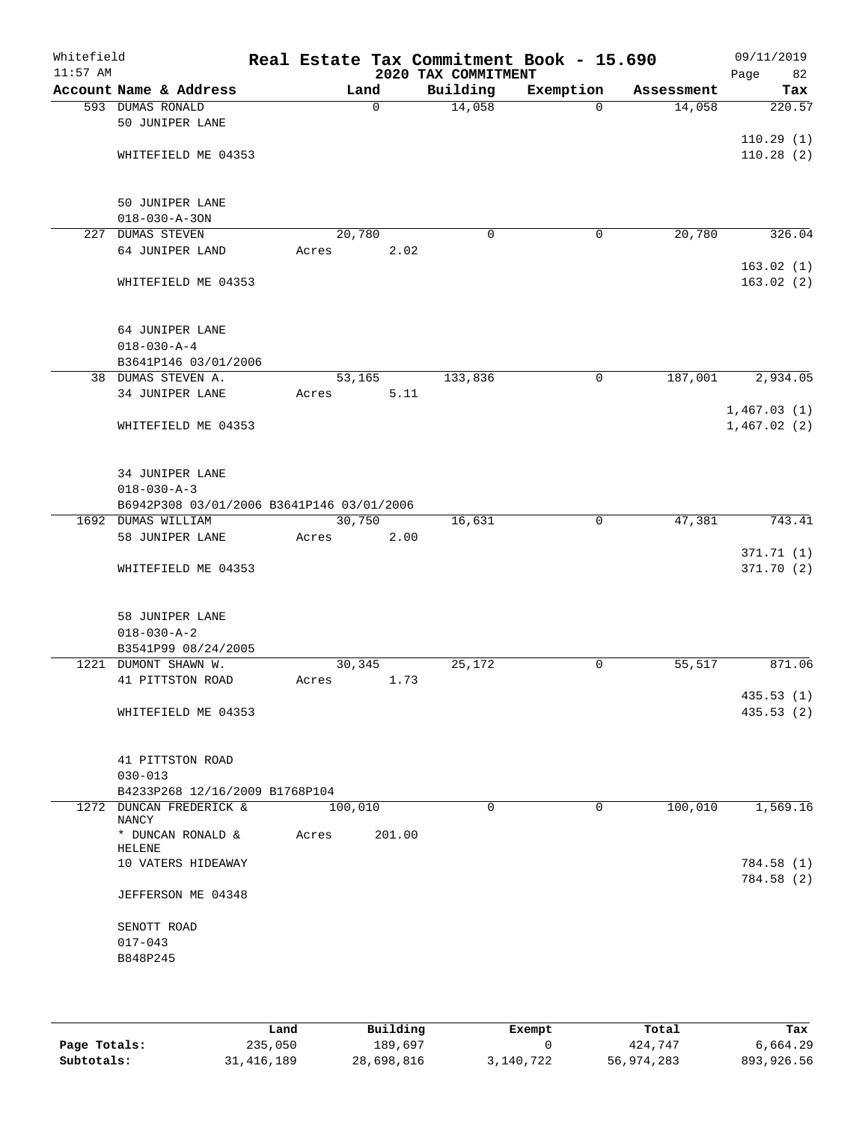| Whitefield<br>$11:57$ AM |                                                                 |       |         |      | 2020 TAX COMMITMENT | Real Estate Tax Commitment Book - 15.690 |            | 09/11/2019<br>Page<br>82 |
|--------------------------|-----------------------------------------------------------------|-------|---------|------|---------------------|------------------------------------------|------------|--------------------------|
|                          | Account Name & Address                                          |       | Land    |      | Building            | Exemption                                | Assessment | Tax                      |
|                          | 593 DUMAS RONALD                                                |       | 0       |      | 14,058              | $\Omega$                                 | 14,058     | 220.57                   |
|                          | 50 JUNIPER LANE                                                 |       |         |      |                     |                                          |            |                          |
|                          |                                                                 |       |         |      |                     |                                          |            | 110.29(1)                |
|                          | WHITEFIELD ME 04353                                             |       |         |      |                     |                                          |            | 110.28(2)                |
|                          |                                                                 |       |         |      |                     |                                          |            |                          |
|                          |                                                                 |       |         |      |                     |                                          |            |                          |
|                          | 50 JUNIPER LANE                                                 |       |         |      |                     |                                          |            |                          |
|                          | $018 - 030 - A - 30N$                                           |       |         |      |                     |                                          |            |                          |
|                          | 227 DUMAS STEVEN                                                |       | 20,780  |      | $\mathbf 0$         | 0                                        | 20,780     | 326.04                   |
|                          | 64 JUNIPER LAND                                                 | Acres |         | 2.02 |                     |                                          |            |                          |
|                          |                                                                 |       |         |      |                     |                                          |            | 163.02(1)                |
|                          | WHITEFIELD ME 04353                                             |       |         |      |                     |                                          |            | 163.02(2)                |
|                          |                                                                 |       |         |      |                     |                                          |            |                          |
|                          |                                                                 |       |         |      |                     |                                          |            |                          |
|                          | 64 JUNIPER LANE                                                 |       |         |      |                     |                                          |            |                          |
|                          | $018 - 030 - A - 4$                                             |       |         |      |                     |                                          |            |                          |
|                          | B3641P146 03/01/2006                                            |       |         |      |                     |                                          |            |                          |
|                          | 38 DUMAS STEVEN A.                                              |       | 53,165  |      | 133,836             | 0                                        | 187,001    | 2,934.05                 |
|                          | 34 JUNIPER LANE                                                 | Acres |         | 5.11 |                     |                                          |            |                          |
|                          |                                                                 |       |         |      |                     |                                          |            | 1,467.03(1)              |
|                          | WHITEFIELD ME 04353                                             |       |         |      |                     |                                          |            | 1,467.02(2)              |
|                          |                                                                 |       |         |      |                     |                                          |            |                          |
|                          |                                                                 |       |         |      |                     |                                          |            |                          |
|                          | 34 JUNIPER LANE                                                 |       |         |      |                     |                                          |            |                          |
|                          | $018 - 030 - A - 3$                                             |       |         |      |                     |                                          |            |                          |
|                          |                                                                 |       |         |      |                     |                                          |            |                          |
|                          | B6942P308 03/01/2006 B3641P146 03/01/2006<br>1692 DUMAS WILLIAM |       | 30,750  |      | 16,631              | 0                                        | 47,381     | 743.41                   |
|                          | 58 JUNIPER LANE                                                 |       |         | 2.00 |                     |                                          |            |                          |
|                          |                                                                 | Acres |         |      |                     |                                          |            |                          |
|                          |                                                                 |       |         |      |                     |                                          |            | 371.71(1)<br>371.70 (2)  |
|                          | WHITEFIELD ME 04353                                             |       |         |      |                     |                                          |            |                          |
|                          |                                                                 |       |         |      |                     |                                          |            |                          |
|                          | 58 JUNIPER LANE                                                 |       |         |      |                     |                                          |            |                          |
|                          | $018 - 030 - A - 2$                                             |       |         |      |                     |                                          |            |                          |
|                          | B3541P99 08/24/2005                                             |       |         |      |                     |                                          |            |                          |
|                          | 1221 DUMONT SHAWN W.                                            |       | 30,345  |      | 25,172              | 0                                        | 55,517     | 871.06                   |
|                          | 41 PITTSTON ROAD                                                | Acres |         | 1.73 |                     |                                          |            |                          |
|                          |                                                                 |       |         |      |                     |                                          |            | 435.53 (1)               |
|                          | WHITEFIELD ME 04353                                             |       |         |      |                     |                                          |            | 435.53(2)                |
|                          |                                                                 |       |         |      |                     |                                          |            |                          |
|                          |                                                                 |       |         |      |                     |                                          |            |                          |
|                          | 41 PITTSTON ROAD                                                |       |         |      |                     |                                          |            |                          |
|                          | $030 - 013$                                                     |       |         |      |                     |                                          |            |                          |
|                          | B4233P268 12/16/2009 B1768P104                                  |       |         |      |                     |                                          |            |                          |
|                          | 1272 DUNCAN FREDERICK &                                         |       |         |      | $\mathbf 0$         | $\mathbf 0$                              | 100,010    |                          |
|                          | NANCY                                                           |       | 100,010 |      |                     |                                          |            | 1,569.16                 |
|                          | * DUNCAN RONALD &                                               | Acres | 201.00  |      |                     |                                          |            |                          |
|                          | HELENE                                                          |       |         |      |                     |                                          |            |                          |
|                          | 10 VATERS HIDEAWAY                                              |       |         |      |                     |                                          |            | 784.58 (1)               |
|                          |                                                                 |       |         |      |                     |                                          |            | 784.58 (2)               |
|                          | JEFFERSON ME 04348                                              |       |         |      |                     |                                          |            |                          |
|                          |                                                                 |       |         |      |                     |                                          |            |                          |
|                          | SENOTT ROAD                                                     |       |         |      |                     |                                          |            |                          |
|                          | $017 - 043$                                                     |       |         |      |                     |                                          |            |                          |
|                          | B848P245                                                        |       |         |      |                     |                                          |            |                          |
|                          |                                                                 |       |         |      |                     |                                          |            |                          |
|                          |                                                                 |       |         |      |                     |                                          |            |                          |

|              | Land         | Building   | Exempt    | Total      | Tax        |
|--------------|--------------|------------|-----------|------------|------------|
| Page Totals: | 235,050      | 189,697    |           | 424,747    | 6,664.29   |
| Subtotals:   | 31, 416, 189 | 28,698,816 | 3,140,722 | 56,974,283 | 893,926.56 |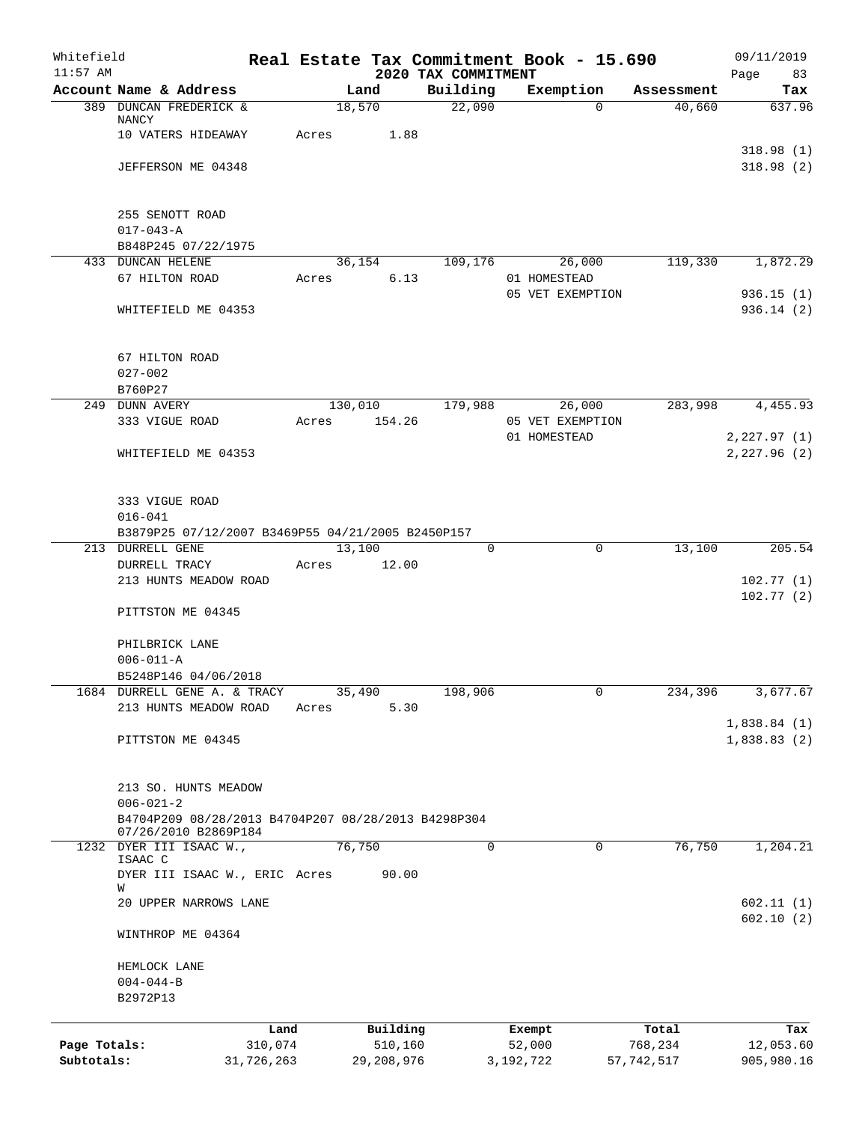| Whitefield<br>$11:57$ AM |                                                                          |            |       |              | Real Estate Tax Commitment Book - 15.690<br>2020 TAX COMMITMENT |                  |             |            | 09/11/2019<br>Page<br>83 |
|--------------------------|--------------------------------------------------------------------------|------------|-------|--------------|-----------------------------------------------------------------|------------------|-------------|------------|--------------------------|
|                          | Account Name & Address                                                   |            |       | Land         | Building                                                        | Exemption        |             | Assessment | Tax                      |
|                          | 389 DUNCAN FREDERICK &                                                   |            |       | 18,570       | 22,090                                                          |                  | $\Omega$    | 40,660     | 637.96                   |
|                          | NANCY                                                                    |            |       |              |                                                                 |                  |             |            |                          |
|                          | 10 VATERS HIDEAWAY                                                       |            | Acres | 1.88         |                                                                 |                  |             |            | 318.98(1)                |
|                          | JEFFERSON ME 04348                                                       |            |       |              |                                                                 |                  |             |            | 318.98(2)                |
|                          |                                                                          |            |       |              |                                                                 |                  |             |            |                          |
|                          | 255 SENOTT ROAD                                                          |            |       |              |                                                                 |                  |             |            |                          |
|                          | $017 - 043 - A$                                                          |            |       |              |                                                                 |                  |             |            |                          |
|                          | B848P245 07/22/1975                                                      |            |       |              |                                                                 |                  |             |            |                          |
|                          | 433 DUNCAN HELENE                                                        |            |       | 36,154       | 109,176                                                         |                  | 26,000      | 119,330    | 1,872.29                 |
|                          | 67 HILTON ROAD                                                           |            | Acres | 6.13         |                                                                 | 01 HOMESTEAD     |             |            |                          |
|                          |                                                                          |            |       |              |                                                                 | 05 VET EXEMPTION |             |            | 936.15(1)                |
|                          | WHITEFIELD ME 04353                                                      |            |       |              |                                                                 |                  |             |            | 936.14(2)                |
|                          | 67 HILTON ROAD                                                           |            |       |              |                                                                 |                  |             |            |                          |
|                          | $027 - 002$                                                              |            |       |              |                                                                 |                  |             |            |                          |
|                          | B760P27                                                                  |            |       |              |                                                                 |                  |             |            |                          |
|                          | 249 DUNN AVERY                                                           |            |       | 130,010      | 179,988                                                         |                  | 26,000      | 283,998    | 4,455.93                 |
|                          | 333 VIGUE ROAD                                                           |            | Acres | 154.26       |                                                                 | 05 VET EXEMPTION |             |            |                          |
|                          |                                                                          |            |       |              |                                                                 | 01 HOMESTEAD     |             |            | 2, 227.97(1)             |
|                          | WHITEFIELD ME 04353                                                      |            |       |              |                                                                 |                  |             |            | 2,227.96 (2)             |
|                          |                                                                          |            |       |              |                                                                 |                  |             |            |                          |
|                          |                                                                          |            |       |              |                                                                 |                  |             |            |                          |
|                          | 333 VIGUE ROAD                                                           |            |       |              |                                                                 |                  |             |            |                          |
|                          | $016 - 041$                                                              |            |       |              |                                                                 |                  |             |            |                          |
| 213                      | B3879P25 07/12/2007 B3469P55 04/21/2005 B2450P157<br><b>DURRELL GENE</b> |            |       | 13,100       | 0                                                               |                  | $\mathbf 0$ | 13,100     | 205.54                   |
|                          | DURRELL TRACY                                                            |            | Acres | 12.00        |                                                                 |                  |             |            |                          |
|                          | 213 HUNTS MEADOW ROAD                                                    |            |       |              |                                                                 |                  |             |            | 102.77(1)                |
|                          |                                                                          |            |       |              |                                                                 |                  |             |            | 102.77(2)                |
|                          | PITTSTON ME 04345                                                        |            |       |              |                                                                 |                  |             |            |                          |
|                          | PHILBRICK LANE                                                           |            |       |              |                                                                 |                  |             |            |                          |
|                          | $006 - 011 - A$                                                          |            |       |              |                                                                 |                  |             |            |                          |
|                          | B5248P146 04/06/2018                                                     |            |       |              |                                                                 |                  |             |            |                          |
|                          | 1684 DURRELL GENE A. & TRACY                                             |            |       | 35,490       | 198,906                                                         |                  | 0           | 234,396    | 3,677.67                 |
|                          | 213 HUNTS MEADOW ROAD                                                    |            | Acres | 5.30         |                                                                 |                  |             |            |                          |
|                          |                                                                          |            |       |              |                                                                 |                  |             |            | 1,838.84(1)              |
|                          | PITTSTON ME 04345                                                        |            |       |              |                                                                 |                  |             |            | 1,838.83(2)              |
|                          |                                                                          |            |       |              |                                                                 |                  |             |            |                          |
|                          | 213 SO. HUNTS MEADOW                                                     |            |       |              |                                                                 |                  |             |            |                          |
|                          | $006 - 021 - 2$<br>B4704P209 08/28/2013 B4704P207 08/28/2013 B4298P304   |            |       |              |                                                                 |                  |             |            |                          |
|                          | 07/26/2010 B2869P184                                                     |            |       |              |                                                                 |                  |             |            |                          |
|                          | 1232 DYER III ISAAC W.,                                                  |            |       | 76,750       | 0                                                               |                  | $\Omega$    | 76,750     | 1,204.21                 |
|                          | ISAAC C<br>DYER III ISAAC W., ERIC Acres                                 |            |       | 90.00        |                                                                 |                  |             |            |                          |
|                          | W                                                                        |            |       |              |                                                                 |                  |             |            |                          |
|                          | 20 UPPER NARROWS LANE                                                    |            |       |              |                                                                 |                  |             |            | 602.11(1)                |
|                          | WINTHROP ME 04364                                                        |            |       |              |                                                                 |                  |             |            | 602.10(2)                |
|                          | HEMLOCK LANE                                                             |            |       |              |                                                                 |                  |             |            |                          |
|                          | $004 - 044 - B$                                                          |            |       |              |                                                                 |                  |             |            |                          |
|                          | B2972P13                                                                 |            |       |              |                                                                 |                  |             |            |                          |
|                          |                                                                          | Land       |       | Building     |                                                                 | Exempt           |             | Total      | Tax                      |
| Page Totals:             |                                                                          | 310,074    |       | 510,160      |                                                                 | 52,000           |             | 768,234    | 12,053.60                |
| Subtotals:               |                                                                          | 31,726,263 |       | 29, 208, 976 |                                                                 | 3, 192, 722      |             | 57,742,517 | 905,980.16               |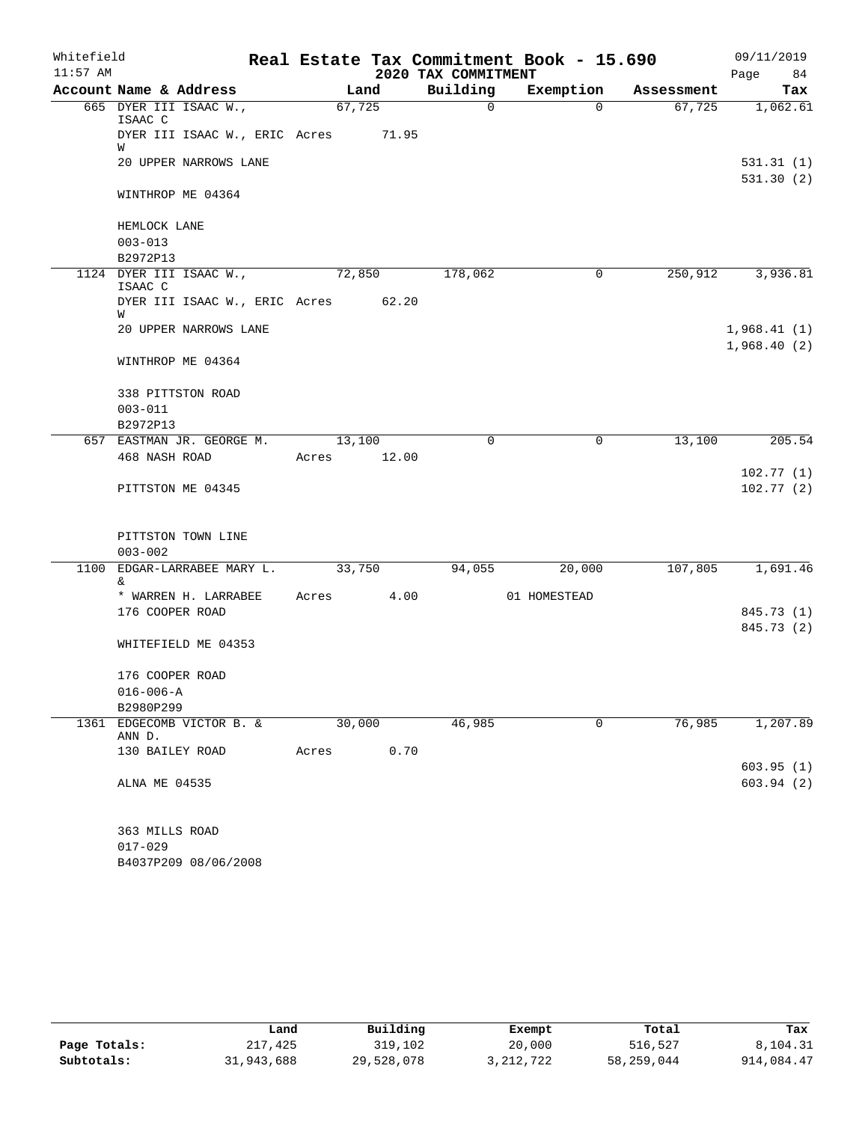| Whitefield |                                          |             |      |                     | Real Estate Tax Commitment Book - 15.690 |            | 09/11/2019  |
|------------|------------------------------------------|-------------|------|---------------------|------------------------------------------|------------|-------------|
| $11:57$ AM |                                          |             |      | 2020 TAX COMMITMENT |                                          |            | 84<br>Page  |
|            | Account Name & Address                   | Land        |      | Building            | Exemption                                | Assessment | Tax         |
|            | 665 DYER III ISAAC W.,<br>ISAAC C        | 67,725      |      | $\overline{0}$      | $\Omega$                                 | 67,725     | 1,062.61    |
|            | DYER III ISAAC W., ERIC Acres 71.95      |             |      |                     |                                          |            |             |
|            | W<br>20 UPPER NARROWS LANE               |             |      |                     |                                          |            | 531.31(1)   |
|            |                                          |             |      |                     |                                          |            | 531.30(2)   |
|            | WINTHROP ME 04364                        |             |      |                     |                                          |            |             |
|            | HEMLOCK LANE                             |             |      |                     |                                          |            |             |
|            | $003 - 013$                              |             |      |                     |                                          |            |             |
|            | B2972P13                                 |             |      |                     |                                          |            |             |
|            | 1124 DYER III ISAAC W.,<br>ISAAC C       | 72,850      |      | 178,062             | 0                                        | 250,912    | 3,936.81    |
|            | DYER III ISAAC W., ERIC Acres 62.20<br>W |             |      |                     |                                          |            |             |
|            | 20 UPPER NARROWS LANE                    |             |      |                     |                                          |            | 1,968.41(1) |
|            |                                          |             |      |                     |                                          |            | 1,968.40(2) |
|            | WINTHROP ME 04364                        |             |      |                     |                                          |            |             |
|            | 338 PITTSTON ROAD                        |             |      |                     |                                          |            |             |
|            | $003 - 011$                              |             |      |                     |                                          |            |             |
|            | B2972P13                                 |             |      |                     |                                          |            |             |
|            | 657 EASTMAN JR. GEORGE M.                | 13,100      |      | $\Omega$            | $\mathbf 0$                              | 13,100     | 205.54      |
|            | 468 NASH ROAD                            | Acres 12.00 |      |                     |                                          |            |             |
|            |                                          |             |      |                     |                                          |            | 102.77(1)   |
|            | PITTSTON ME 04345                        |             |      |                     |                                          |            | 102.77(2)   |
|            | PITTSTON TOWN LINE                       |             |      |                     |                                          |            |             |
|            | $003 - 002$                              |             |      |                     |                                          |            |             |
|            | 1100 EDGAR-LARRABEE MARY L.<br>&.        | 33,750      |      | 94,055              | 20,000                                   | 107,805    | 1,691.46    |
|            | * WARREN H. LARRABEE                     | Acres 4.00  |      |                     | 01 HOMESTEAD                             |            |             |
|            | 176 COOPER ROAD                          |             |      |                     |                                          |            | 845.73 (1)  |
|            |                                          |             |      |                     |                                          |            | 845.73 (2)  |
|            | WHITEFIELD ME 04353                      |             |      |                     |                                          |            |             |
|            | 176 COOPER ROAD                          |             |      |                     |                                          |            |             |
|            | $016 - 006 - A$                          |             |      |                     |                                          |            |             |
|            | B2980P299                                |             |      |                     |                                          |            |             |
| 1361       | EDGECOMB VICTOR B. &<br>ANN D.           | 30,000      |      | 46,985              | 0                                        | 76,985     | 1,207.89    |
|            | 130 BAILEY ROAD                          | Acres       | 0.70 |                     |                                          |            |             |
|            |                                          |             |      |                     |                                          |            | 603.95(1)   |
|            | ALNA ME 04535                            |             |      |                     |                                          |            | 603.94(2)   |
|            | 363 MILLS ROAD                           |             |      |                     |                                          |            |             |
|            | $017 - 029$                              |             |      |                     |                                          |            |             |
|            |                                          |             |      |                     |                                          |            |             |

B4037P209 08/06/2008

|              | Land       | Building   | Exempt      | Total      | Tax        |
|--------------|------------|------------|-------------|------------|------------|
| Page Totals: | 217,425    | 319,102    | 20,000      | 516,527    | 8,104.31   |
| Subtotals:   | 31,943,688 | 29,528,078 | 3, 212, 722 | 58,259,044 | 914,084.47 |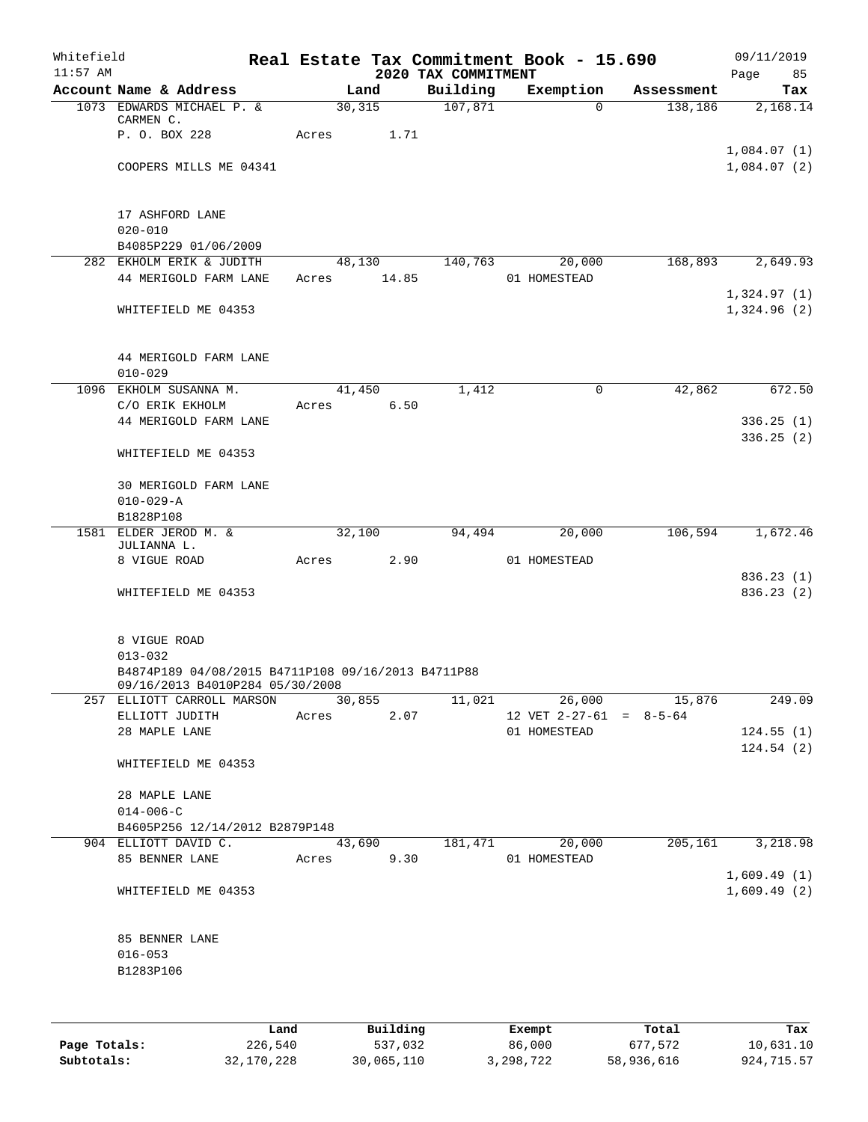| Whitefield<br>$11:57$ AM |                                                               |       |                      |                                 | Real Estate Tax Commitment Book - 15.690 |            | 09/11/2019                 |
|--------------------------|---------------------------------------------------------------|-------|----------------------|---------------------------------|------------------------------------------|------------|----------------------------|
|                          | Account Name & Address                                        |       | Land                 | 2020 TAX COMMITMENT<br>Building | Exemption                                | Assessment | 85<br>Page<br>Tax          |
|                          | 1073 EDWARDS MICHAEL P. &                                     |       | 30, 315              | 107,871                         | $\Omega$                                 | 138,186    | 2,168.14                   |
|                          | CARMEN C.                                                     |       |                      |                                 |                                          |            |                            |
|                          | P. O. BOX 228                                                 | Acres | 1.71                 |                                 |                                          |            |                            |
|                          | COOPERS MILLS ME 04341                                        |       |                      |                                 |                                          |            | 1,084.07(1)<br>1,084.07(2) |
|                          |                                                               |       |                      |                                 |                                          |            |                            |
|                          |                                                               |       |                      |                                 |                                          |            |                            |
|                          | 17 ASHFORD LANE                                               |       |                      |                                 |                                          |            |                            |
|                          | $020 - 010$<br>B4085P229 01/06/2009                           |       |                      |                                 |                                          |            |                            |
|                          | 282 EKHOLM ERIK & JUDITH                                      |       | 48,130               | 140,763                         | 20,000                                   | 168,893    | 2,649.93                   |
|                          | 44 MERIGOLD FARM LANE                                         | Acres | 14.85                |                                 | 01 HOMESTEAD                             |            |                            |
|                          |                                                               |       |                      |                                 |                                          |            | 1,324.97(1)                |
|                          | WHITEFIELD ME 04353                                           |       |                      |                                 |                                          |            | 1,324.96(2)                |
|                          |                                                               |       |                      |                                 |                                          |            |                            |
|                          | 44 MERIGOLD FARM LANE                                         |       |                      |                                 |                                          |            |                            |
|                          | $010 - 029$                                                   |       |                      |                                 |                                          |            |                            |
|                          | 1096 EKHOLM SUSANNA M.                                        |       | 41,450               | 1,412                           | 0                                        | 42,862     | 672.50                     |
|                          | C/O ERIK EKHOLM                                               | Acres | 6.50                 |                                 |                                          |            |                            |
|                          | 44 MERIGOLD FARM LANE                                         |       |                      |                                 |                                          |            | 336.25(1)                  |
|                          | WHITEFIELD ME 04353                                           |       |                      |                                 |                                          |            | 336.25(2)                  |
|                          |                                                               |       |                      |                                 |                                          |            |                            |
|                          | 30 MERIGOLD FARM LANE                                         |       |                      |                                 |                                          |            |                            |
|                          | $010 - 029 - A$                                               |       |                      |                                 |                                          |            |                            |
|                          | B1828P108                                                     |       |                      |                                 |                                          |            |                            |
|                          | 1581 ELDER JEROD M. &<br>JULIANNA L.                          |       | 32,100               | 94,494                          | 20,000                                   | 106,594    | 1,672.46                   |
|                          | 8 VIGUE ROAD                                                  | Acres | 2.90                 |                                 | 01 HOMESTEAD                             |            |                            |
|                          |                                                               |       |                      |                                 |                                          |            | 836.23(1)                  |
|                          | WHITEFIELD ME 04353                                           |       |                      |                                 |                                          |            | 836.23(2)                  |
|                          |                                                               |       |                      |                                 |                                          |            |                            |
|                          | 8 VIGUE ROAD                                                  |       |                      |                                 |                                          |            |                            |
|                          | $013 - 032$                                                   |       |                      |                                 |                                          |            |                            |
|                          | B4874P189 04/08/2015 B4711P108 09/16/2013 B4711P88            |       |                      |                                 |                                          |            |                            |
|                          | 09/16/2013 B4010P284 05/30/2008<br>257 ELLIOTT CARROLL MARSON |       | 30,855               | 11,021                          | 26,000                                   | 15,876     | 249.09                     |
|                          | ELLIOTT JUDITH                                                | Acres | 2.07                 |                                 | 12 VET $2-27-61 = 8-5-64$                |            |                            |
|                          | 28 MAPLE LANE                                                 |       |                      |                                 | 01 HOMESTEAD                             |            | 124.55(1)                  |
|                          |                                                               |       |                      |                                 |                                          |            | 124.54(2)                  |
|                          | WHITEFIELD ME 04353                                           |       |                      |                                 |                                          |            |                            |
|                          | 28 MAPLE LANE                                                 |       |                      |                                 |                                          |            |                            |
|                          | $014 - 006 - C$                                               |       |                      |                                 |                                          |            |                            |
|                          | B4605P256 12/14/2012 B2879P148                                |       |                      |                                 |                                          |            |                            |
|                          | 904 ELLIOTT DAVID C.<br>85 BENNER LANE                        |       | 43,690<br>Acres 9.30 | 181,471                         | 20,000<br>01 HOMESTEAD                   | 205,161    | 3,218.98                   |
|                          |                                                               |       |                      |                                 |                                          |            | 1,609.49(1)                |
|                          | WHITEFIELD ME 04353                                           |       |                      |                                 |                                          |            | 1,609.49(2)                |
|                          |                                                               |       |                      |                                 |                                          |            |                            |
|                          |                                                               |       |                      |                                 |                                          |            |                            |
|                          | 85 BENNER LANE<br>$016 - 053$                                 |       |                      |                                 |                                          |            |                            |
|                          | B1283P106                                                     |       |                      |                                 |                                          |            |                            |
|                          |                                                               |       |                      |                                 |                                          |            |                            |
|                          |                                                               |       |                      |                                 |                                          |            |                            |
|                          | Land                                                          |       | Building             |                                 | Exempt                                   | Total      | Tax                        |
| Page Totals:             | 226,540                                                       |       | 537,032              |                                 | 86,000                                   | 677,572    | 10,631.10                  |

**Page Totals:** 226,540 537,032 86,000 677,572 10,631.10 **Subtotals:** 32,170,228 30,065,110 3,298,722 58,936,616 924,715.57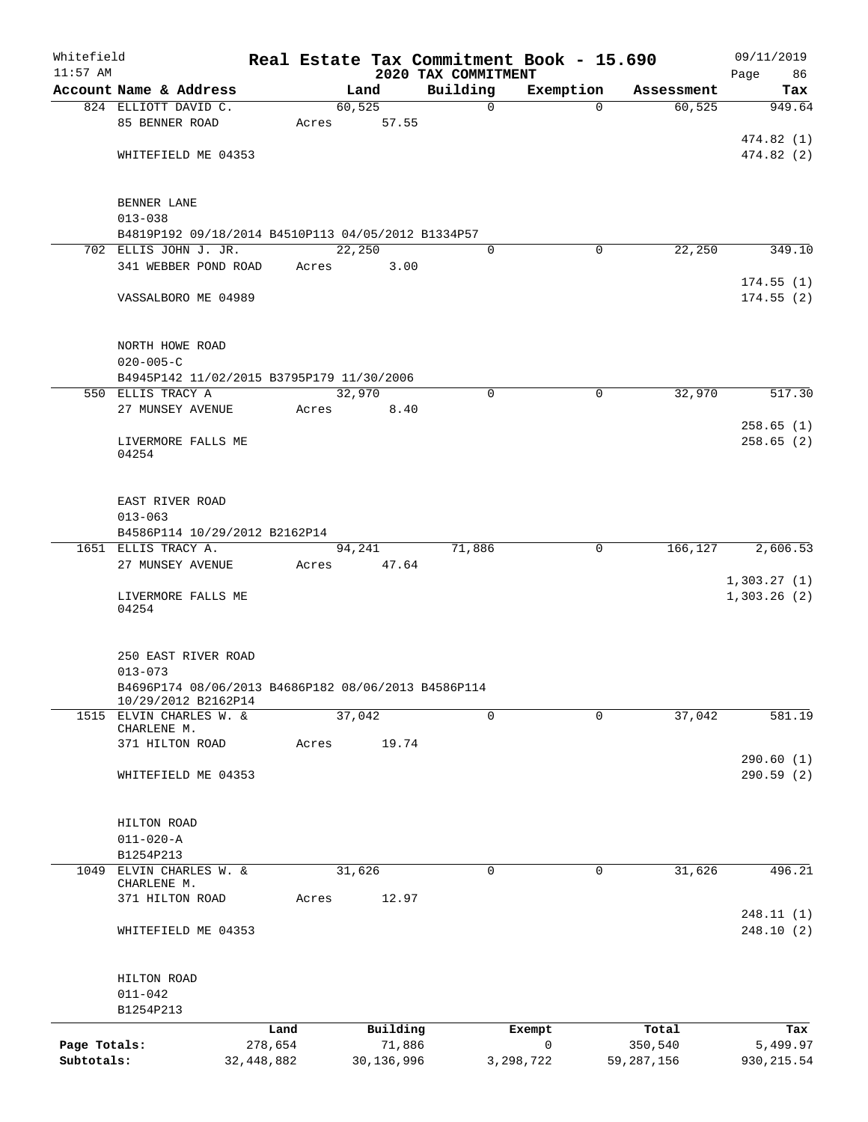| Whitefield   |                                                     |            |       |            |                                 | Real Estate Tax Commitment Book - 15.690 |            | 09/11/2019                 |
|--------------|-----------------------------------------------------|------------|-------|------------|---------------------------------|------------------------------------------|------------|----------------------------|
| $11:57$ AM   | Account Name & Address                              |            |       | Land       | 2020 TAX COMMITMENT<br>Building | Exemption                                | Assessment | Page<br>86<br>Tax          |
|              | 824 ELLIOTT DAVID C.                                |            |       | 60, 525    | $\mathbf 0$                     | $\Omega$                                 | 60, 525    | 949.64                     |
|              | 85 BENNER ROAD                                      |            | Acres | 57.55      |                                 |                                          |            |                            |
|              |                                                     |            |       |            |                                 |                                          |            | 474.82(1)                  |
|              | WHITEFIELD ME 04353                                 |            |       |            |                                 |                                          |            | 474.82(2)                  |
|              |                                                     |            |       |            |                                 |                                          |            |                            |
|              | BENNER LANE                                         |            |       |            |                                 |                                          |            |                            |
|              | $013 - 038$                                         |            |       |            |                                 |                                          |            |                            |
|              | B4819P192 09/18/2014 B4510P113 04/05/2012 B1334P57  |            |       |            |                                 |                                          |            |                            |
|              | 702 ELLIS JOHN J. JR.                               |            |       | 22,250     | 0                               | $\mathbf 0$                              | 22,250     | 349.10                     |
|              | 341 WEBBER POND ROAD                                |            | Acres | 3.00       |                                 |                                          |            |                            |
|              |                                                     |            |       |            |                                 |                                          |            | 174.55(1)                  |
|              | VASSALBORO ME 04989                                 |            |       |            |                                 |                                          |            | 174.55(2)                  |
|              | NORTH HOWE ROAD                                     |            |       |            |                                 |                                          |            |                            |
|              | $020 - 005 - C$                                     |            |       |            |                                 |                                          |            |                            |
|              | B4945P142 11/02/2015 B3795P179 11/30/2006           |            |       |            |                                 |                                          |            |                            |
|              | 550 ELLIS TRACY A                                   |            |       | 32,970     | $\mathbf 0$                     | $\mathbf 0$                              | 32,970     | 517.30                     |
|              | 27 MUNSEY AVENUE                                    |            | Acres | 8.40       |                                 |                                          |            |                            |
|              |                                                     |            |       |            |                                 |                                          |            | 258.65(1)                  |
|              | LIVERMORE FALLS ME                                  |            |       |            |                                 |                                          |            | 258.65(2)                  |
|              | 04254                                               |            |       |            |                                 |                                          |            |                            |
|              | EAST RIVER ROAD                                     |            |       |            |                                 |                                          |            |                            |
|              | $013 - 063$                                         |            |       |            |                                 |                                          |            |                            |
|              | B4586P114 10/29/2012 B2162P14                       |            |       |            |                                 |                                          |            |                            |
|              | 1651 ELLIS TRACY A.                                 |            |       | 94,241     | 71,886                          | 0                                        | 166,127    | 2,606.53                   |
|              | 27 MUNSEY AVENUE                                    |            | Acres | 47.64      |                                 |                                          |            |                            |
|              | LIVERMORE FALLS ME<br>04254                         |            |       |            |                                 |                                          |            | 1,303.27(1)<br>1,303.26(2) |
|              | 250 EAST RIVER ROAD<br>$013 - 073$                  |            |       |            |                                 |                                          |            |                            |
|              | B4696P174 08/06/2013 B4686P182 08/06/2013 B4586P114 |            |       |            |                                 |                                          |            |                            |
|              | 10/29/2012 B2162P14                                 |            |       |            |                                 |                                          |            |                            |
|              | 1515 ELVIN CHARLES W. &                             |            |       | 37,042     | $\Omega$                        | 0                                        | 37,042     | 581.19                     |
|              | CHARLENE M.                                         |            |       |            |                                 |                                          |            |                            |
|              | 371 HILTON ROAD                                     |            | Acres | 19.74      |                                 |                                          |            |                            |
|              | WHITEFIELD ME 04353                                 |            |       |            |                                 |                                          |            | 290.60(1)<br>290.59(2)     |
|              |                                                     |            |       |            |                                 |                                          |            |                            |
|              | HILTON ROAD                                         |            |       |            |                                 |                                          |            |                            |
|              | $011 - 020 - A$                                     |            |       |            |                                 |                                          |            |                            |
|              | B1254P213                                           |            |       |            |                                 |                                          |            |                            |
| 1049         | ELVIN CHARLES W. &<br>CHARLENE M.                   |            |       | 31,626     | 0                               | $\mathbf 0$                              | 31,626     | 496.21                     |
|              | 371 HILTON ROAD                                     |            | Acres | 12.97      |                                 |                                          |            |                            |
|              |                                                     |            |       |            |                                 |                                          |            | 248.11(1)                  |
|              | WHITEFIELD ME 04353                                 |            |       |            |                                 |                                          |            | 248.10(2)                  |
|              | HILTON ROAD                                         |            |       |            |                                 |                                          |            |                            |
|              | $011 - 042$                                         |            |       |            |                                 |                                          |            |                            |
|              | B1254P213                                           |            |       |            |                                 |                                          |            |                            |
|              |                                                     | Land       |       | Building   |                                 | Exempt                                   | Total      | Tax                        |
| Page Totals: |                                                     | 278,654    |       | 71,886     |                                 | 0                                        | 350,540    | 5,499.97                   |
| Subtotals:   |                                                     | 32,448,882 |       | 30,136,996 |                                 | 3,298,722                                | 59,287,156 | 930,215.54                 |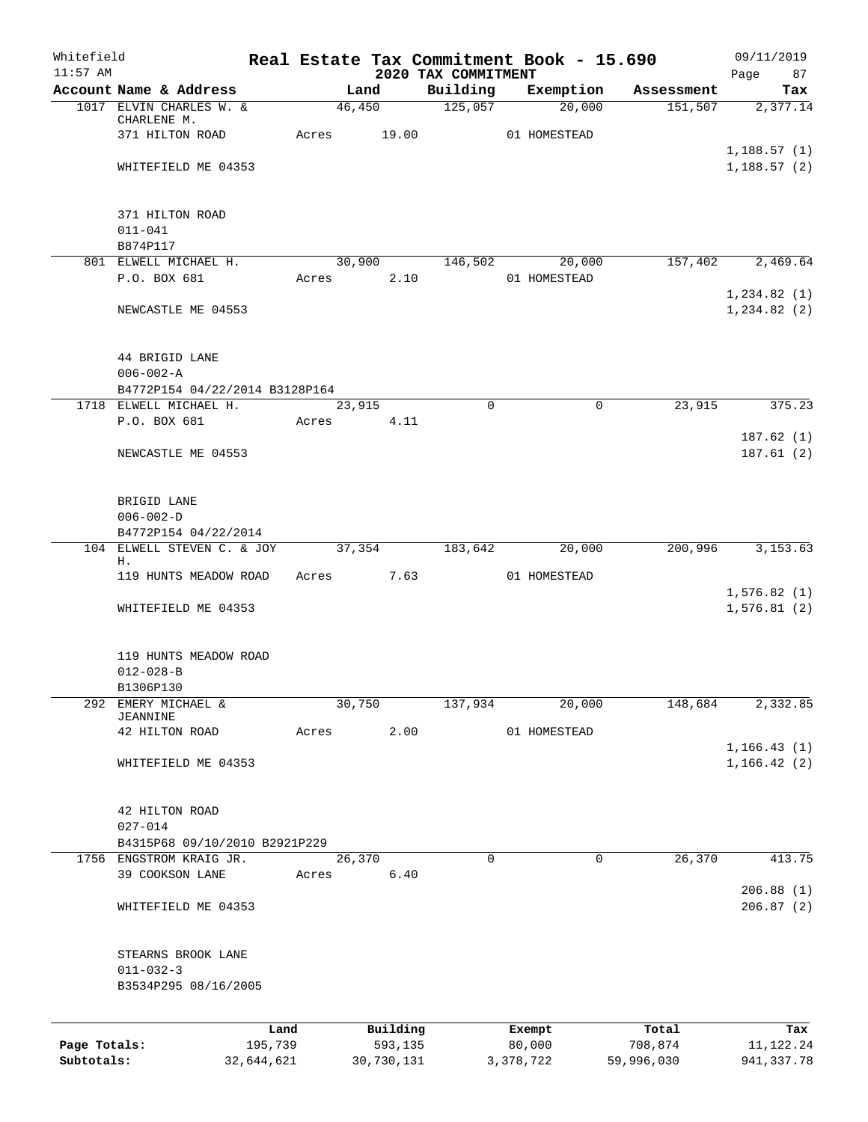| Whitefield<br>$11:57$ AM |                                |       |            | 2020 TAX COMMITMENT | Real Estate Tax Commitment Book - 15.690 |            | 09/11/2019             |
|--------------------------|--------------------------------|-------|------------|---------------------|------------------------------------------|------------|------------------------|
|                          | Account Name & Address         |       | Land       | Building            | Exemption                                | Assessment | Page<br>87<br>Tax      |
|                          | 1017 ELVIN CHARLES W. &        |       | 46,450     | 125,057             | 20,000                                   | 151,507    | 2,377.14               |
|                          | CHARLENE M.                    |       |            |                     |                                          |            |                        |
|                          | 371 HILTON ROAD                | Acres | 19.00      |                     | 01 HOMESTEAD                             |            | 1,188.57(1)            |
|                          | WHITEFIELD ME 04353            |       |            |                     |                                          |            | 1,188.57(2)            |
|                          |                                |       |            |                     |                                          |            |                        |
|                          |                                |       |            |                     |                                          |            |                        |
|                          | 371 HILTON ROAD<br>$011 - 041$ |       |            |                     |                                          |            |                        |
|                          | B874P117                       |       |            |                     |                                          |            |                        |
|                          | 801 ELWELL MICHAEL H.          |       | 30,900     | 146,502             | 20,000                                   | 157,402    | 2,469.64               |
|                          | P.O. BOX 681                   | Acres | 2.10       |                     | 01 HOMESTEAD                             |            |                        |
|                          |                                |       |            |                     |                                          |            | 1,234.82(1)            |
|                          | NEWCASTLE ME 04553             |       |            |                     |                                          |            | 1,234.82(2)            |
|                          | 44 BRIGID LANE                 |       |            |                     |                                          |            |                        |
|                          | $006 - 002 - A$                |       |            |                     |                                          |            |                        |
|                          | B4772P154 04/22/2014 B3128P164 |       |            |                     |                                          |            |                        |
|                          | 1718 ELWELL MICHAEL H.         |       | 23,915     | $\mathbf 0$         | $\mathbf 0$                              | 23,915     | 375.23                 |
|                          | P.O. BOX 681                   | Acres | 4.11       |                     |                                          |            |                        |
|                          |                                |       |            |                     |                                          |            | 187.62(1)              |
|                          | NEWCASTLE ME 04553             |       |            |                     |                                          |            | 187.61(2)              |
|                          | BRIGID LANE                    |       |            |                     |                                          |            |                        |
|                          | $006 - 002 - D$                |       |            |                     |                                          |            |                        |
|                          | B4772P154 04/22/2014           |       |            |                     |                                          |            |                        |
| 104                      | ELWELL STEVEN C. & JOY         |       | 37,354     | 183,642             | 20,000                                   | 200,996    | 3,153.63               |
|                          | Η.<br>119 HUNTS MEADOW ROAD    | Acres | 7.63       |                     | 01 HOMESTEAD                             |            |                        |
|                          |                                |       |            |                     |                                          |            | 1,576.82(1)            |
|                          | WHITEFIELD ME 04353            |       |            |                     |                                          |            | 1,576.81(2)            |
|                          |                                |       |            |                     |                                          |            |                        |
|                          | 119 HUNTS MEADOW ROAD          |       |            |                     |                                          |            |                        |
|                          | $012 - 028 - B$                |       |            |                     |                                          |            |                        |
| 292                      | B1306P130<br>EMERY MICHAEL &   |       | 30,750     | 137,934             | 20,000                                   | 148,684    | 2,332.85               |
|                          | JEANNINE                       |       |            |                     |                                          |            |                        |
|                          | 42 HILTON ROAD                 | Acres | 2.00       |                     | 01 HOMESTEAD                             |            |                        |
|                          |                                |       |            |                     |                                          |            | 1, 166.43(1)           |
|                          | WHITEFIELD ME 04353            |       |            |                     |                                          |            | 1,166.42(2)            |
|                          | 42 HILTON ROAD                 |       |            |                     |                                          |            |                        |
|                          | $027 - 014$                    |       |            |                     |                                          |            |                        |
|                          | B4315P68 09/10/2010 B2921P229  |       |            |                     |                                          |            |                        |
|                          | 1756 ENGSTROM KRAIG JR.        |       | 26, 370    | 0                   | 0                                        | 26,370     | 413.75                 |
|                          | 39 COOKSON LANE                | Acres | 6.40       |                     |                                          |            |                        |
|                          | WHITEFIELD ME 04353            |       |            |                     |                                          |            | 206.88(1)<br>206.87(2) |
|                          |                                |       |            |                     |                                          |            |                        |
|                          | STEARNS BROOK LANE             |       |            |                     |                                          |            |                        |
|                          | $011 - 032 - 3$                |       |            |                     |                                          |            |                        |
|                          | B3534P295 08/16/2005           |       |            |                     |                                          |            |                        |
|                          |                                | Land  | Building   |                     |                                          | Total      | Tax                    |
| Page Totals:             | 195,739                        |       | 593,135    |                     | Exempt<br>80,000                         | 708,874    | 11, 122. 24            |
| Subtotals:               | 32,644,621                     |       | 30,730,131 |                     | 3,378,722                                | 59,996,030 | 941, 337.78            |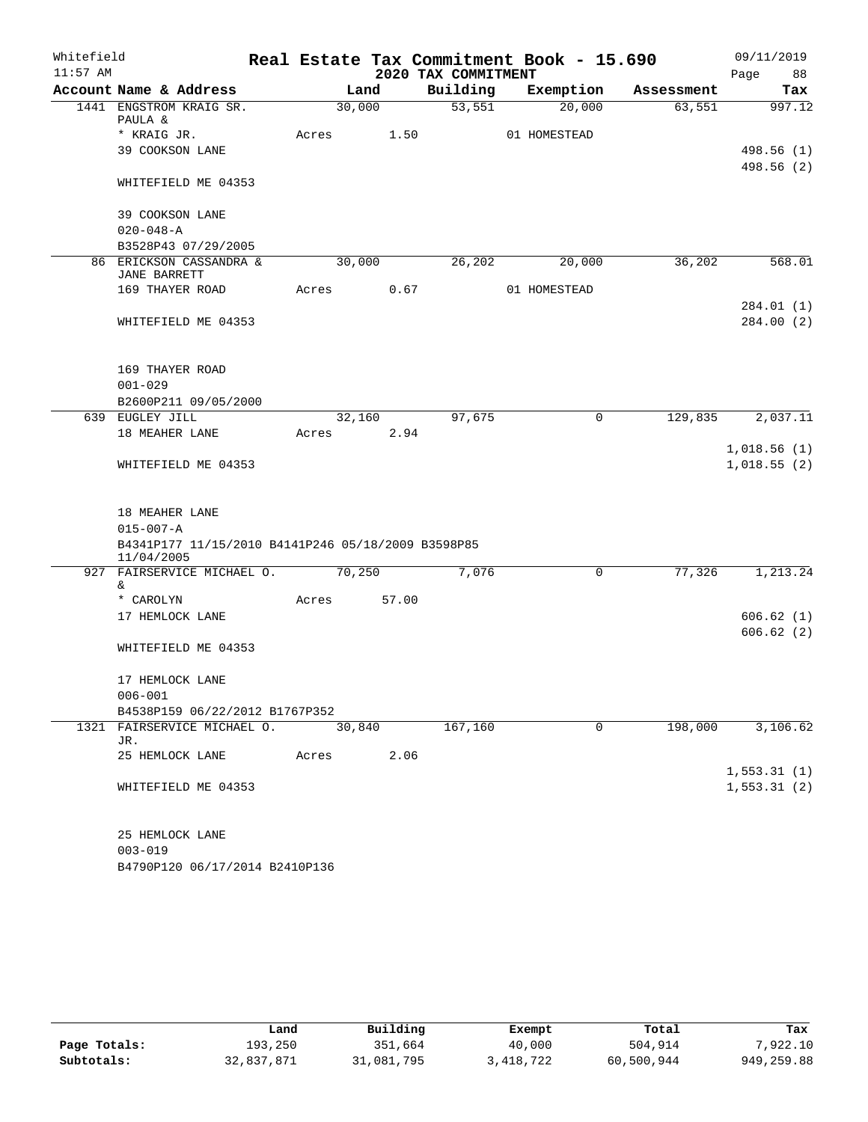| Whitefield |                                                                  |       |        |       |                     | Real Estate Tax Commitment Book - 15.690 |            |      | 09/11/2019               |
|------------|------------------------------------------------------------------|-------|--------|-------|---------------------|------------------------------------------|------------|------|--------------------------|
| $11:57$ AM |                                                                  |       |        |       | 2020 TAX COMMITMENT |                                          |            | Page | 88                       |
|            | Account Name & Address                                           |       | Land   |       | Building            | Exemption                                | Assessment |      | Tax                      |
|            | 1441 ENGSTROM KRAIG SR.<br>PAULA &                               |       | 30,000 |       | 53,551              | 20,000                                   | 63,551     |      | 997.12                   |
|            | * KRAIG JR.                                                      | Acres |        | 1.50  |                     | 01 HOMESTEAD                             |            |      |                          |
|            | 39 COOKSON LANE                                                  |       |        |       |                     |                                          |            |      | 498.56 (1)<br>498.56 (2) |
|            | WHITEFIELD ME 04353                                              |       |        |       |                     |                                          |            |      |                          |
|            | 39 COOKSON LANE                                                  |       |        |       |                     |                                          |            |      |                          |
|            | $020 - 048 - A$                                                  |       |        |       |                     |                                          |            |      |                          |
|            | B3528P43 07/29/2005                                              |       |        |       |                     |                                          |            |      |                          |
|            | 86 ERICKSON CASSANDRA &<br><b>JANE BARRETT</b>                   |       | 30,000 |       | 26,202              | 20,000                                   | 36,202     |      | 568.01                   |
|            | 169 THAYER ROAD                                                  | Acres |        | 0.67  |                     | 01 HOMESTEAD                             |            |      |                          |
|            | WHITEFIELD ME 04353                                              |       |        |       |                     |                                          |            |      | 284.01 (1)<br>284.00 (2) |
|            | 169 THAYER ROAD                                                  |       |        |       |                     |                                          |            |      |                          |
|            | $001 - 029$                                                      |       |        |       |                     |                                          |            |      |                          |
|            | B2600P211 09/05/2000                                             |       |        |       |                     |                                          |            |      |                          |
|            | 639 EUGLEY JILL                                                  |       | 32,160 |       | 97,675              | $\mathbf 0$                              | 129,835    |      | 2,037.11                 |
|            | 18 MEAHER LANE                                                   | Acres |        | 2.94  |                     |                                          |            |      | 1,018.56(1)              |
|            | WHITEFIELD ME 04353                                              |       |        |       |                     |                                          |            |      | 1,018.55(2)              |
|            | 18 MEAHER LANE                                                   |       |        |       |                     |                                          |            |      |                          |
|            | $015 - 007 - A$                                                  |       |        |       |                     |                                          |            |      |                          |
|            | B4341P177 11/15/2010 B4141P246 05/18/2009 B3598P85<br>11/04/2005 |       |        |       |                     |                                          |            |      |                          |
| 927        | FAIRSERVICE MICHAEL O.                                           |       | 70,250 |       | 7,076               | $\mathbf 0$                              | 77,326     |      | 1,213.24                 |
|            | &.<br>* CAROLYN                                                  | Acres |        | 57.00 |                     |                                          |            |      |                          |
|            | 17 HEMLOCK LANE                                                  |       |        |       |                     |                                          |            |      | 606.62(1)                |
|            |                                                                  |       |        |       |                     |                                          |            |      | 606.62(2)                |
|            | WHITEFIELD ME 04353                                              |       |        |       |                     |                                          |            |      |                          |
|            | 17 HEMLOCK LANE                                                  |       |        |       |                     |                                          |            |      |                          |
|            | $006 - 001$                                                      |       |        |       |                     |                                          |            |      |                          |
|            | B4538P159 06/22/2012 B1767P352                                   |       |        |       |                     |                                          |            |      |                          |
|            | 1321 FAIRSERVICE MICHAEL O.<br>JR.                               |       | 30,840 |       | 167,160             | $\mathbf 0$                              | 198,000    |      | 3,106.62                 |
|            | 25 HEMLOCK LANE                                                  | Acres |        | 2.06  |                     |                                          |            |      |                          |
|            |                                                                  |       |        |       |                     |                                          |            |      | 1,553.31(1)              |
|            | WHITEFIELD ME 04353                                              |       |        |       |                     |                                          |            |      | 1, 553.31(2)             |
|            | 25 HEMLOCK LANE                                                  |       |        |       |                     |                                          |            |      |                          |
|            | $003 - 019$                                                      |       |        |       |                     |                                          |            |      |                          |
|            | B4790P120 06/17/2014 B2410P136                                   |       |        |       |                     |                                          |            |      |                          |

|              | Land       | Building   | Exempt    | Total      | Tax         |
|--------------|------------|------------|-----------|------------|-------------|
| Page Totals: | 193,250    | 351,664    | 40,000    | 504,914    | 7,922.10    |
| Subtotals:   | 32,837,871 | 31,081,795 | 3,418,722 | 60,500,944 | 949, 259.88 |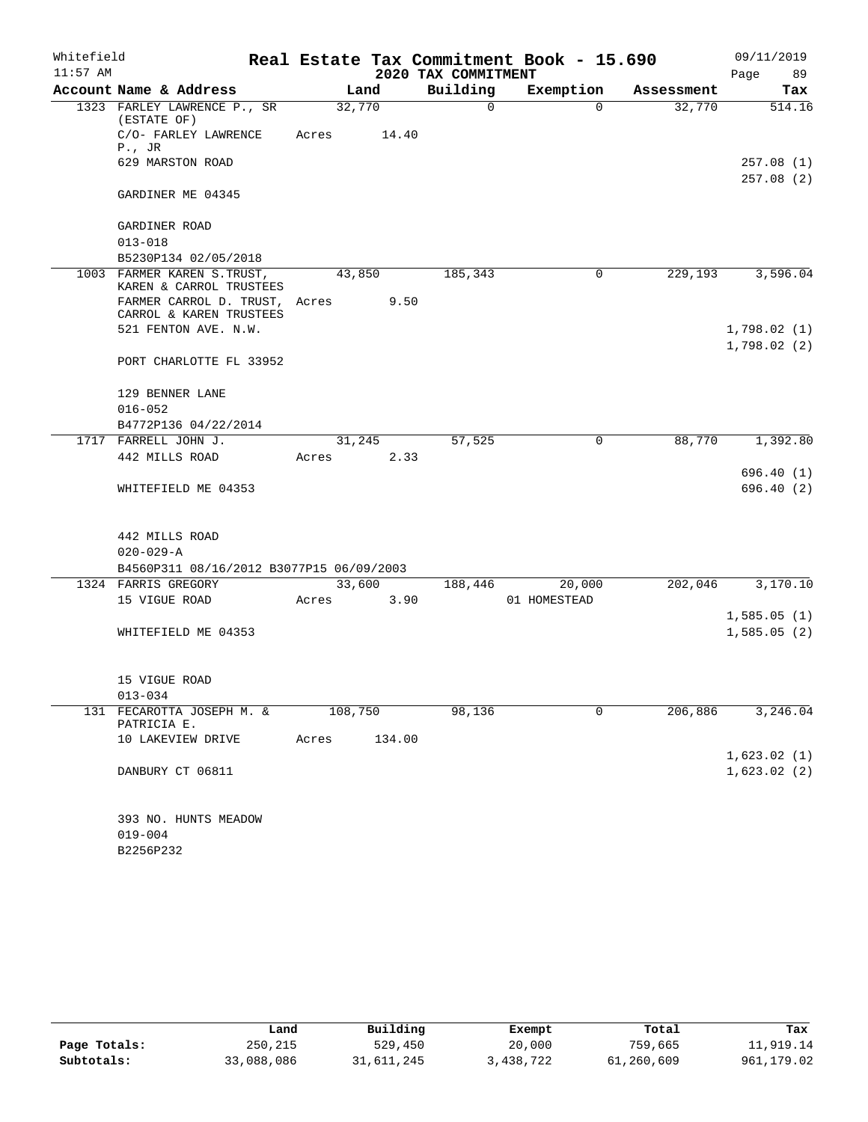| Whitefield |                                                          |         |        |                     | Real Estate Tax Commitment Book - 15.690 |            | 09/11/2019             |
|------------|----------------------------------------------------------|---------|--------|---------------------|------------------------------------------|------------|------------------------|
| $11:57$ AM |                                                          |         |        | 2020 TAX COMMITMENT |                                          |            | 89<br>Page             |
|            | Account Name & Address                                   |         | Land   | Building            | Exemption                                | Assessment | Tax                    |
|            | 1323 FARLEY LAWRENCE P., SR<br>(ESTATE OF)               | 32,770  |        | $\mathsf{O}$        | $\Omega$                                 | 32,770     | 514.16                 |
|            | C/O- FARLEY LAWRENCE<br>$P.$ , JR                        | Acres   | 14.40  |                     |                                          |            |                        |
|            | 629 MARSTON ROAD                                         |         |        |                     |                                          |            | 257.08(1)<br>257.08(2) |
|            | GARDINER ME 04345                                        |         |        |                     |                                          |            |                        |
|            | GARDINER ROAD                                            |         |        |                     |                                          |            |                        |
|            | $013 - 018$<br>B5230P134 02/05/2018                      |         |        |                     |                                          |            |                        |
|            | 1003 FARMER KAREN S. TRUST,                              | 43,850  |        | 185,343             | 0                                        | 229,193    | 3,596.04               |
|            | KAREN & CARROL TRUSTEES<br>FARMER CARROL D. TRUST, Acres |         | 9.50   |                     |                                          |            |                        |
|            | CARROL & KAREN TRUSTEES                                  |         |        |                     |                                          |            |                        |
|            | 521 FENTON AVE. N.W.                                     |         |        |                     |                                          |            | 1,798.02(1)            |
|            | PORT CHARLOTTE FL 33952                                  |         |        |                     |                                          |            | 1,798.02(2)            |
|            | 129 BENNER LANE                                          |         |        |                     |                                          |            |                        |
|            | $016 - 052$                                              |         |        |                     |                                          |            |                        |
|            | B4772P136 04/22/2014                                     |         |        |                     |                                          |            |                        |
|            | 1717 FARRELL JOHN J.                                     | 31,245  |        | 57,525              | $\mathbf 0$                              | 88,770     | 1,392.80               |
|            | 442 MILLS ROAD                                           | Acres   | 2.33   |                     |                                          |            |                        |
|            |                                                          |         |        |                     |                                          |            | 696.40 (1)             |
|            | WHITEFIELD ME 04353                                      |         |        |                     |                                          |            | 696.40(2)              |
|            | 442 MILLS ROAD                                           |         |        |                     |                                          |            |                        |
|            | $020 - 029 - A$                                          |         |        |                     |                                          |            |                        |
|            | B4560P311 08/16/2012 B3077P15 06/09/2003                 |         |        |                     |                                          |            |                        |
|            | 1324 FARRIS GREGORY                                      | 33,600  |        | 188,446             | 20,000                                   | 202,046    | 3,170.10               |
|            | 15 VIGUE ROAD                                            | Acres   | 3.90   |                     | 01 HOMESTEAD                             |            |                        |
|            |                                                          |         |        |                     |                                          |            | 1,585.05(1)            |
|            | WHITEFIELD ME 04353                                      |         |        |                     |                                          |            | 1,585.05(2)            |
|            | 15 VIGUE ROAD                                            |         |        |                     |                                          |            |                        |
|            | $013 - 034$                                              |         |        |                     |                                          |            |                        |
| 131        | FECAROTTA JOSEPH M. &<br>PATRICIA E.                     | 108,750 |        | 98,136              | 0                                        | 206,886    | 3,246.04               |
|            | 10 LAKEVIEW DRIVE                                        | Acres   | 134.00 |                     |                                          |            |                        |
|            |                                                          |         |        |                     |                                          |            | 1,623.02(1)            |
|            | DANBURY CT 06811                                         |         |        |                     |                                          |            | 1,623.02(2)            |
|            | 393 NO. HUNTS MEADOW                                     |         |        |                     |                                          |            |                        |
|            | $019 - 004$                                              |         |        |                     |                                          |            |                        |
|            |                                                          |         |        |                     |                                          |            |                        |

B2256P232

|              | Land       | Building   | Exempt    | Total      | Tax        |
|--------------|------------|------------|-----------|------------|------------|
| Page Totals: | 250,215    | 529,450    | 20,000    | 759,665    | 11,919.14  |
| Subtotals:   | 33,088,086 | 31,611,245 | 3,438,722 | 61,260,609 | 961,179.02 |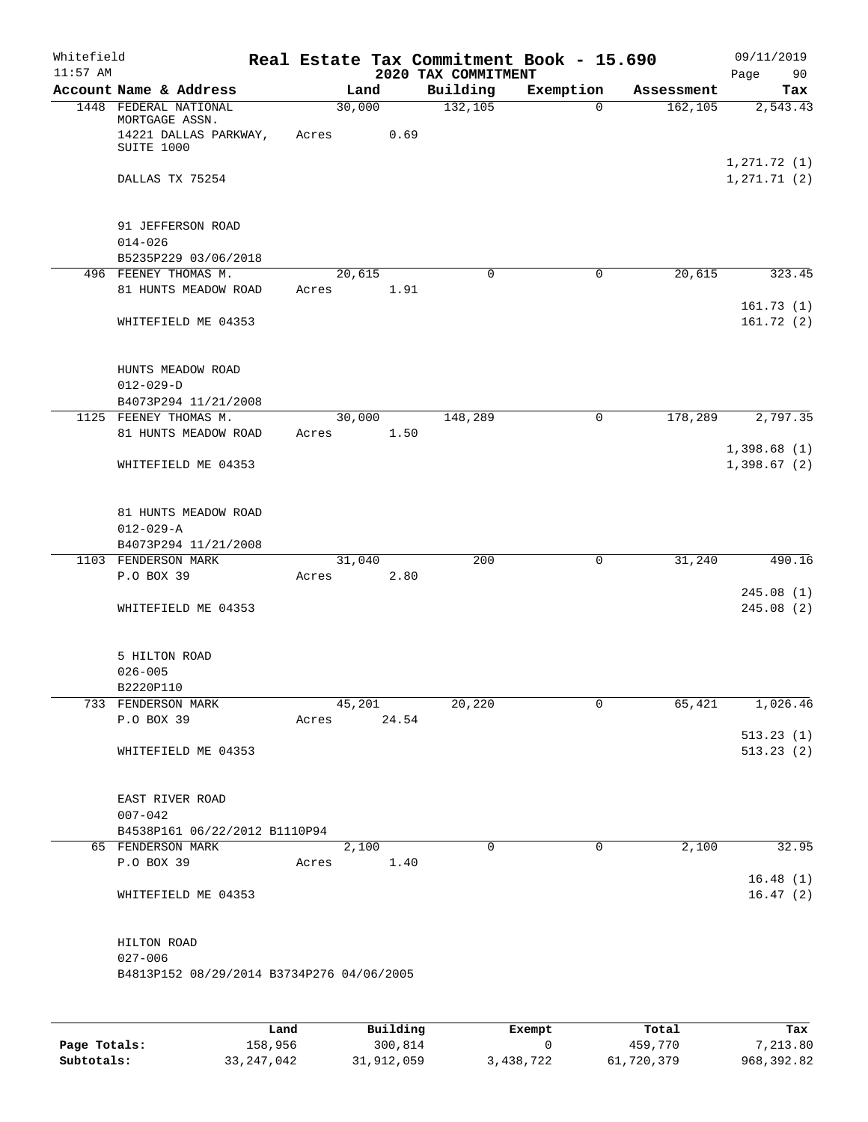| Whitefield<br>$11:57$ AM |                                                                                |                 |       | 2020 TAX COMMITMENT | Real Estate Tax Commitment Book - 15.690 |            | 09/11/2019<br>Page<br>90    |
|--------------------------|--------------------------------------------------------------------------------|-----------------|-------|---------------------|------------------------------------------|------------|-----------------------------|
|                          | Account Name & Address                                                         |                 | Land  | Building            | Exemption                                | Assessment | Tax                         |
|                          | 1448 FEDERAL NATIONAL<br>MORTGAGE ASSN.<br>14221 DALLAS PARKWAY,<br>SUITE 1000 | 30,000<br>Acres | 0.69  | 132, 105            | $\Omega$                                 | 162, 105   | 2,543.43                    |
|                          | DALLAS TX 75254                                                                |                 |       |                     |                                          |            | 1,271.72(1)<br>1, 271.71(2) |
|                          | 91 JEFFERSON ROAD<br>$014 - 026$                                               |                 |       |                     |                                          |            |                             |
|                          | B5235P229 03/06/2018                                                           |                 |       |                     |                                          |            |                             |
|                          | 496 FEENEY THOMAS M.<br>81 HUNTS MEADOW ROAD                                   | 20,615<br>Acres | 1.91  | $\mathbf 0$         | $\mathbf 0$                              | 20,615     | 323.45<br>161.73(1)         |
|                          | WHITEFIELD ME 04353                                                            |                 |       |                     |                                          |            | 161.72(2)                   |
|                          | HUNTS MEADOW ROAD<br>$012 - 029 - D$<br>B4073P294 11/21/2008                   |                 |       |                     |                                          |            |                             |
|                          | 1125 FEENEY THOMAS M.                                                          | 30,000          |       | 148,289             | $\mathbf 0$                              | 178,289    | 2,797.35                    |
|                          | 81 HUNTS MEADOW ROAD                                                           | Acres           | 1.50  |                     |                                          |            | 1,398.68(1)                 |
|                          | WHITEFIELD ME 04353                                                            |                 |       |                     |                                          |            | 1,398.67(2)                 |
|                          | 81 HUNTS MEADOW ROAD<br>$012 - 029 - A$<br>B4073P294 11/21/2008                |                 |       |                     |                                          |            |                             |
|                          | 1103 FENDERSON MARK                                                            | 31,040          |       | 200                 | 0                                        | 31,240     | 490.16                      |
|                          | P.O BOX 39                                                                     | Acres           | 2.80  |                     |                                          |            |                             |
|                          | WHITEFIELD ME 04353                                                            |                 |       |                     |                                          |            | 245.08(1)<br>245.08(2)      |
|                          | 5 HILTON ROAD<br>$026 - 005$<br>B2220P110                                      |                 |       |                     |                                          |            |                             |
|                          | 733 FENDERSON MARK                                                             | 45,201          |       | 20,220              | 0                                        | 65,421     | 1,026.46                    |
|                          | P.O BOX 39                                                                     | Acres 24.54     |       |                     |                                          |            | 513.23(1)                   |
|                          | WHITEFIELD ME 04353                                                            |                 |       |                     |                                          |            | 513.23(2)                   |
|                          | EAST RIVER ROAD<br>$007 - 042$                                                 |                 |       |                     |                                          |            |                             |
|                          | B4538P161 06/22/2012 B1110P94                                                  |                 |       |                     |                                          |            |                             |
|                          | 65 FENDERSON MARK                                                              |                 | 2,100 | $\mathbf 0$         | 0                                        | 2,100      | 32.95                       |
|                          | P.O BOX 39                                                                     | Acres 1.40      |       |                     |                                          |            | 16.48(1)                    |
|                          | WHITEFIELD ME 04353                                                            |                 |       |                     |                                          |            | 16.47(2)                    |
|                          | HILTON ROAD<br>$027 - 006$<br>B4813P152 08/29/2014 B3734P276 04/06/2005        |                 |       |                     |                                          |            |                             |
|                          |                                                                                |                 |       |                     |                                          |            |                             |

|              | Land       | Building   | Exempt    | Total      | Tax        |
|--------------|------------|------------|-----------|------------|------------|
| Page Totals: | 158,956    | 300,814    |           | 459,770    | 7,213.80   |
| Subtotals:   | 33,247,042 | 31,912,059 | 3,438,722 | 61,720,379 | 968,392.82 |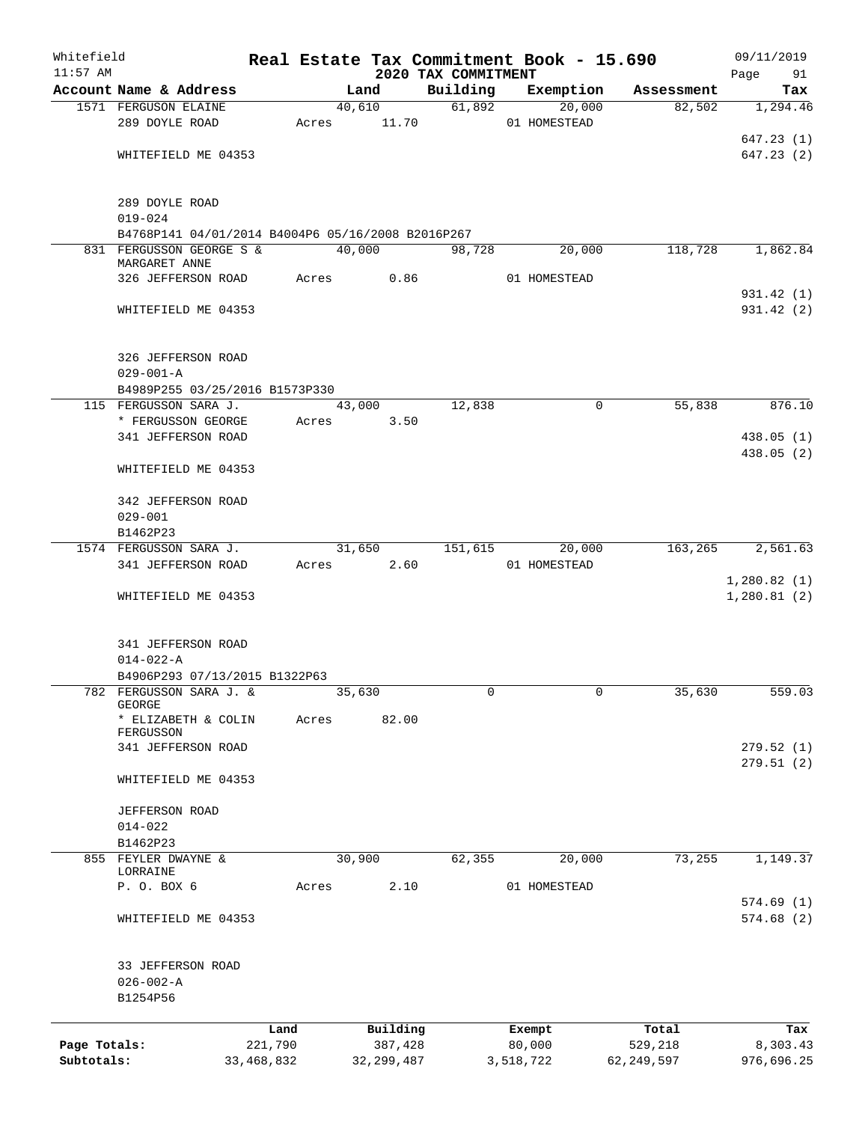| Whitefield   |                                                   |            |       |        |              |                                 | Real Estate Tax Commitment Book - 15.690 |              |              | 09/11/2019                 |
|--------------|---------------------------------------------------|------------|-------|--------|--------------|---------------------------------|------------------------------------------|--------------|--------------|----------------------------|
| $11:57$ AM   | Account Name & Address                            |            |       | Land   |              | 2020 TAX COMMITMENT<br>Building | Exemption                                |              | Assessment   | Page<br>91<br>Tax          |
|              | 1571 FERGUSON ELAINE                              |            |       | 40,610 |              | 61,892                          |                                          | 20,000       | 82,502       | 1,294.46                   |
|              | 289 DOYLE ROAD                                    |            | Acres |        | 11.70        |                                 | 01 HOMESTEAD                             |              |              |                            |
|              |                                                   |            |       |        |              |                                 |                                          |              |              | 647.23(1)                  |
|              | WHITEFIELD ME 04353                               |            |       |        |              |                                 |                                          |              |              | 647.23(2)                  |
|              |                                                   |            |       |        |              |                                 |                                          |              |              |                            |
|              | 289 DOYLE ROAD                                    |            |       |        |              |                                 |                                          |              |              |                            |
|              | $019 - 024$                                       |            |       |        |              |                                 |                                          |              |              |                            |
|              | B4768P141 04/01/2014 B4004P6 05/16/2008 B2016P267 |            |       |        |              |                                 |                                          |              |              |                            |
|              | 831 FERGUSSON GEORGE S &<br>MARGARET ANNE         |            |       | 40,000 |              | 98,728                          |                                          | 20,000       | 118,728      | 1,862.84                   |
|              | 326 JEFFERSON ROAD                                |            | Acres |        | 0.86         |                                 | 01 HOMESTEAD                             |              |              |                            |
|              |                                                   |            |       |        |              |                                 |                                          |              |              | 931.42 (1)                 |
|              | WHITEFIELD ME 04353                               |            |       |        |              |                                 |                                          |              |              | 931.42 (2)                 |
|              | 326 JEFFERSON ROAD                                |            |       |        |              |                                 |                                          |              |              |                            |
|              | $029 - 001 - A$                                   |            |       |        |              |                                 |                                          |              |              |                            |
|              | B4989P255 03/25/2016 B1573P330                    |            |       |        |              |                                 |                                          |              |              |                            |
|              | 115 FERGUSSON SARA J.                             |            |       | 43,000 |              | 12,838                          |                                          | 0            | 55,838       | 876.10                     |
|              | * FERGUSSON GEORGE                                |            | Acres |        | 3.50         |                                 |                                          |              |              |                            |
|              | 341 JEFFERSON ROAD                                |            |       |        |              |                                 |                                          |              |              | 438.05 (1)                 |
|              |                                                   |            |       |        |              |                                 |                                          |              |              | 438.05 (2)                 |
|              | WHITEFIELD ME 04353                               |            |       |        |              |                                 |                                          |              |              |                            |
|              | 342 JEFFERSON ROAD                                |            |       |        |              |                                 |                                          |              |              |                            |
|              | $029 - 001$                                       |            |       |        |              |                                 |                                          |              |              |                            |
|              | B1462P23                                          |            |       |        |              |                                 |                                          |              |              |                            |
|              | 1574 FERGUSSON SARA J.                            |            |       | 31,650 |              | 151,615                         |                                          | 20,000       | 163,265      | 2,561.63                   |
|              | 341 JEFFERSON ROAD                                |            | Acres |        | 2.60         |                                 | 01 HOMESTEAD                             |              |              |                            |
|              | WHITEFIELD ME 04353                               |            |       |        |              |                                 |                                          |              |              | 1,280.82(1)<br>1,280.81(2) |
|              | 341 JEFFERSON ROAD                                |            |       |        |              |                                 |                                          |              |              |                            |
|              | $014 - 022 - A$                                   |            |       |        |              |                                 |                                          |              |              |                            |
|              | B4906P293 07/13/2015 B1322P63                     |            |       |        |              |                                 |                                          |              |              |                            |
|              | 782 FERGUSSON SARA J. &<br>GEORGE                 |            |       | 35,630 |              | 0                               |                                          | $\mathbf{0}$ | 35,630       | 559.03                     |
|              | * ELIZABETH & COLIN                               |            | Acres |        | 82.00        |                                 |                                          |              |              |                            |
|              | FERGUSSON                                         |            |       |        |              |                                 |                                          |              |              |                            |
|              | 341 JEFFERSON ROAD                                |            |       |        |              |                                 |                                          |              |              | 279.52(1)                  |
|              | WHITEFIELD ME 04353                               |            |       |        |              |                                 |                                          |              |              | 279.51(2)                  |
|              |                                                   |            |       |        |              |                                 |                                          |              |              |                            |
|              | JEFFERSON ROAD<br>$014 - 022$                     |            |       |        |              |                                 |                                          |              |              |                            |
|              | B1462P23                                          |            |       |        |              |                                 |                                          |              |              |                            |
|              | 855 FEYLER DWAYNE &                               |            |       | 30,900 |              | 62,355                          |                                          | 20,000       | 73,255       | 1,149.37                   |
|              | LORRAINE                                          |            |       |        |              |                                 |                                          |              |              |                            |
|              | P. O. BOX 6                                       |            | Acres |        | 2.10         |                                 | 01 HOMESTEAD                             |              |              |                            |
|              |                                                   |            |       |        |              |                                 |                                          |              |              | 574.69(1)                  |
|              | WHITEFIELD ME 04353                               |            |       |        |              |                                 |                                          |              |              | 574.68(2)                  |
|              | 33 JEFFERSON ROAD                                 |            |       |        |              |                                 |                                          |              |              |                            |
|              | $026 - 002 - A$                                   |            |       |        |              |                                 |                                          |              |              |                            |
|              | B1254P56                                          |            |       |        |              |                                 |                                          |              |              |                            |
|              |                                                   | Land       |       |        | Building     |                                 | Exempt                                   |              | Total        | Tax                        |
| Page Totals: |                                                   | 221,790    |       |        | 387,428      |                                 | 80,000                                   |              | 529,218      | 8,303.43                   |
| Subtotals:   |                                                   | 33,468,832 |       |        | 32, 299, 487 |                                 | 3,518,722                                |              | 62, 249, 597 | 976,696.25                 |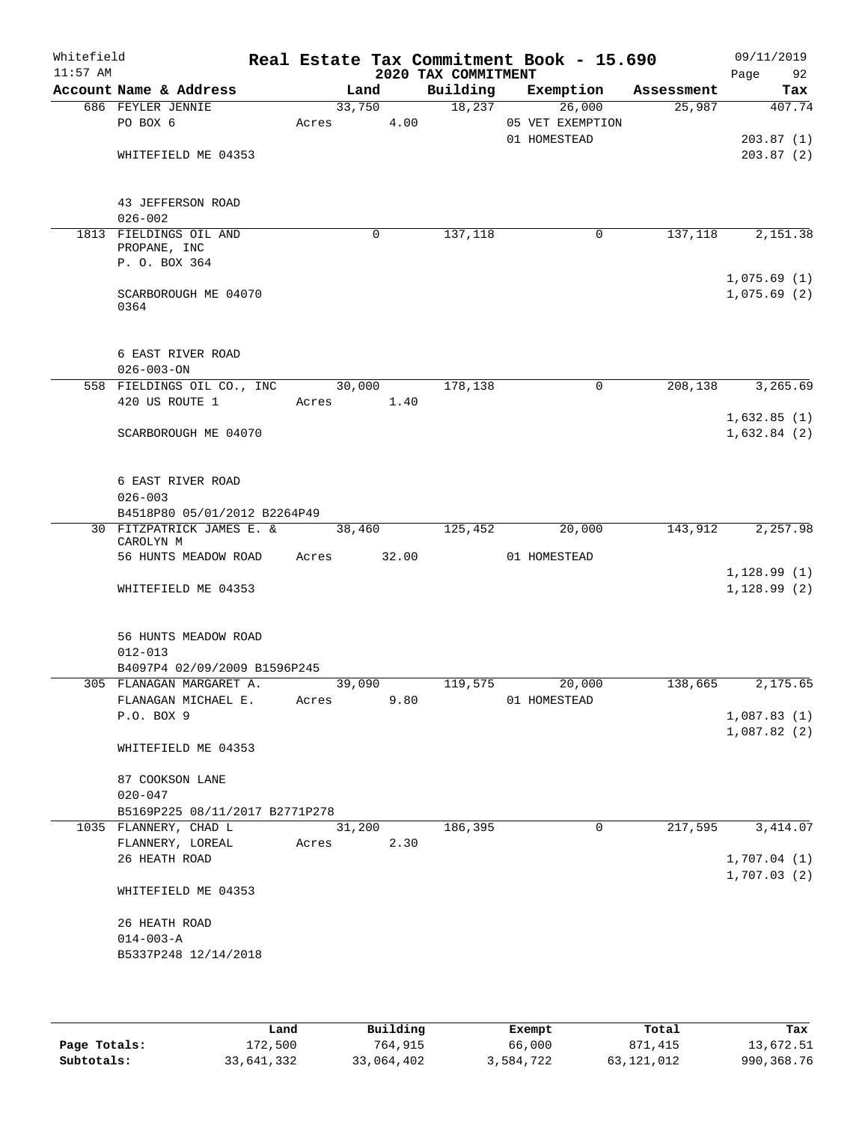| Whitefield<br>$11:57$ AM |                                                         |                 |       | 2020 TAX COMMITMENT | Real Estate Tax Commitment Book - 15.690   |            | 09/11/2019<br>Page<br>92   |
|--------------------------|---------------------------------------------------------|-----------------|-------|---------------------|--------------------------------------------|------------|----------------------------|
|                          | Account Name & Address                                  |                 | Land  | Building            | Exemption                                  | Assessment | Tax                        |
|                          | 686 FEYLER JENNIE<br>PO BOX 6                           | 33,750<br>Acres | 4.00  | 18,237              | 26,000<br>05 VET EXEMPTION<br>01 HOMESTEAD | 25,987     | 407.74<br>203.87(1)        |
|                          | WHITEFIELD ME 04353                                     |                 |       |                     |                                            |            | 203.87(2)                  |
|                          | 43 JEFFERSON ROAD<br>$026 - 002$                        |                 |       |                     |                                            |            |                            |
|                          | 1813 FIELDINGS OIL AND<br>PROPANE, INC<br>P. O. BOX 364 |                 | 0     | 137,118             | 0                                          | 137,118    | 2,151.38                   |
|                          |                                                         |                 |       |                     |                                            |            | 1,075.69(1)                |
|                          | SCARBOROUGH ME 04070<br>0364                            |                 |       |                     |                                            |            | 1,075.69(2)                |
|                          | 6 EAST RIVER ROAD<br>$026 - 003 - ON$                   |                 |       |                     |                                            |            |                            |
|                          | 558 FIELDINGS OIL CO., INC                              | 30,000          |       | 178,138             | $\mathbf 0$                                | 208,138    | 3,265.69                   |
|                          | 420 US ROUTE 1                                          | Acres           | 1.40  |                     |                                            |            |                            |
|                          | SCARBOROUGH ME 04070                                    |                 |       |                     |                                            |            | 1,632.85(1)<br>1,632.84(2) |
|                          | 6 EAST RIVER ROAD<br>$026 - 003$                        |                 |       |                     |                                            |            |                            |
|                          | B4518P80 05/01/2012 B2264P49                            |                 |       |                     |                                            |            |                            |
|                          | 30 FITZPATRICK JAMES E. &<br>CAROLYN M                  | 38,460          |       | 125,452             | 20,000                                     | 143,912    | 2,257.98                   |
|                          | 56 HUNTS MEADOW ROAD                                    | Acres           | 32.00 |                     | 01 HOMESTEAD                               |            |                            |
|                          | WHITEFIELD ME 04353                                     |                 |       |                     |                                            |            | 1,128.99(1)<br>1,128.99(2) |
|                          | 56 HUNTS MEADOW ROAD<br>$012 - 013$                     |                 |       |                     |                                            |            |                            |
|                          | B4097P4 02/09/2009 B1596P245                            |                 |       |                     |                                            |            |                            |
|                          | 305 FLANAGAN MARGARET A.<br>FLANAGAN MICHAEL E.         | 39,090<br>Acres | 9.80  | 119,575             | 20,000<br>01 HOMESTEAD                     | 138,665    | 2,175.65                   |
|                          | P.O. BOX 9                                              |                 |       |                     |                                            |            | 1,087.83(1)<br>1,087.82(2) |
|                          | WHITEFIELD ME 04353                                     |                 |       |                     |                                            |            |                            |
|                          | 87 COOKSON LANE<br>$020 - 047$                          |                 |       |                     |                                            |            |                            |
|                          | B5169P225 08/11/2017 B2771P278                          |                 |       |                     |                                            |            |                            |
|                          | 1035 FLANNERY, CHAD L                                   | 31,200          |       | 186,395             | $\mathbf 0$                                | 217,595    | 3, 414.07                  |
|                          | FLANNERY, LOREAL<br>26 HEATH ROAD                       | Acres           | 2.30  |                     |                                            |            | 1,707.04(1)                |
|                          | WHITEFIELD ME 04353                                     |                 |       |                     |                                            |            | 1,707.03(2)                |
|                          | 26 HEATH ROAD<br>$014 - 003 - A$                        |                 |       |                     |                                            |            |                            |
|                          | B5337P248 12/14/2018                                    |                 |       |                     |                                            |            |                            |
|                          |                                                         |                 |       |                     |                                            |            |                            |

|              | Land       | Building   | Exempt    | Total      | Tax        |
|--------------|------------|------------|-----------|------------|------------|
| Page Totals: | 172,500    | 764,915    | 66,000    | 871,415    | 13,672.51  |
| Subtotals:   | 33,641,332 | 33,064,402 | 3,584,722 | 63,121,012 | 990,368.76 |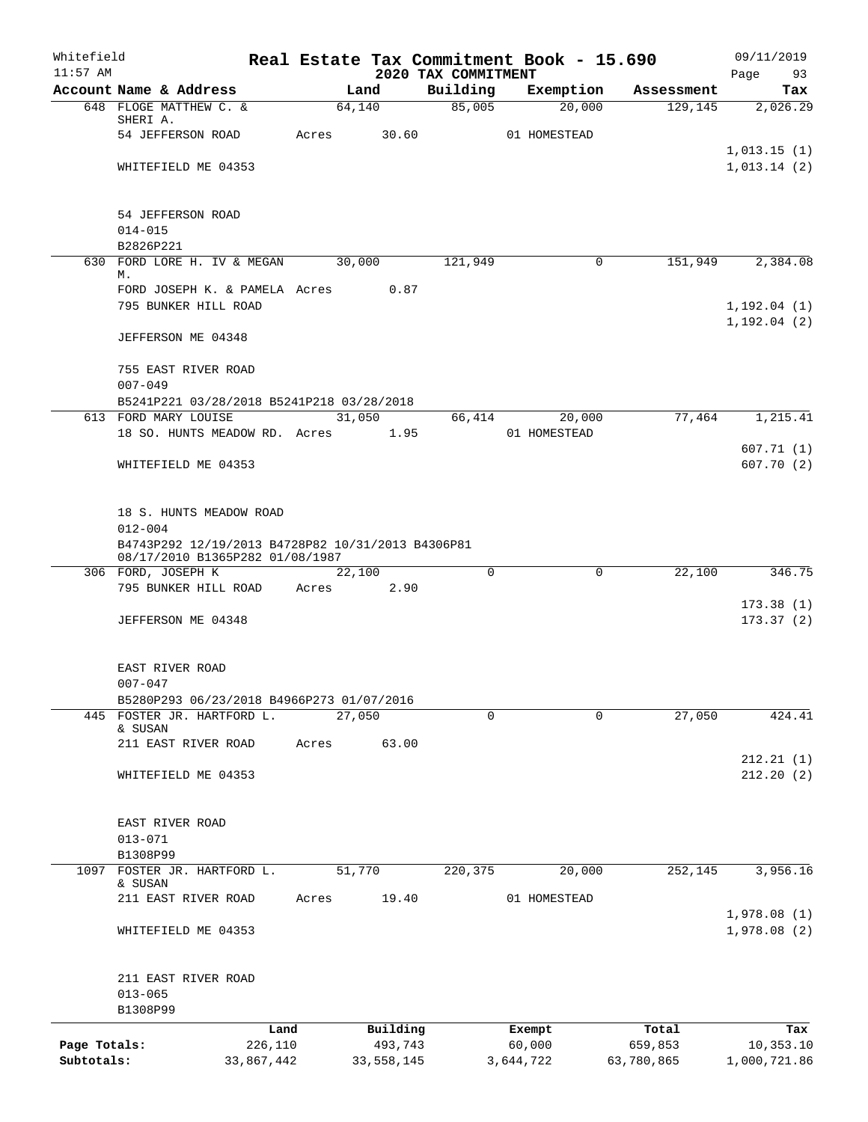| Whitefield<br>$11:57$ AM |                                                                                      |            |            | 2020 TAX COMMITMENT | Real Estate Tax Commitment Book - 15.690 |            | 09/11/2019<br>Page<br>93    |
|--------------------------|--------------------------------------------------------------------------------------|------------|------------|---------------------|------------------------------------------|------------|-----------------------------|
|                          | Account Name & Address                                                               |            | Land       | Building            | Exemption                                | Assessment | Tax                         |
|                          | 648 FLOGE MATTHEW C. &                                                               |            | 64,140     | 85,005              | 20,000                                   | 129, 145   | 2,026.29                    |
|                          | SHERI A.<br>54 JEFFERSON ROAD                                                        | Acres      | 30.60      |                     | 01 HOMESTEAD                             |            |                             |
|                          |                                                                                      |            |            |                     |                                          |            | 1,013.15(1)                 |
|                          | WHITEFIELD ME 04353                                                                  |            |            |                     |                                          |            | 1,013.14(2)                 |
|                          | 54 JEFFERSON ROAD                                                                    |            |            |                     |                                          |            |                             |
|                          | $014 - 015$                                                                          |            |            |                     |                                          |            |                             |
|                          | B2826P221                                                                            |            |            |                     |                                          |            |                             |
|                          | 630 FORD LORE H. IV & MEGAN                                                          |            | 30,000     | 121,949             | 0                                        | 151,949    | 2,384.08                    |
|                          | М.<br>FORD JOSEPH K. & PAMELA Acres                                                  |            | 0.87       |                     |                                          |            |                             |
|                          | 795 BUNKER HILL ROAD                                                                 |            |            |                     |                                          |            | 1,192.04(1)<br>1, 192.04(2) |
|                          | JEFFERSON ME 04348                                                                   |            |            |                     |                                          |            |                             |
|                          | 755 EAST RIVER ROAD<br>$007 - 049$                                                   |            |            |                     |                                          |            |                             |
|                          | B5241P221 03/28/2018 B5241P218 03/28/2018                                            |            |            |                     |                                          |            |                             |
|                          | 613 FORD MARY LOUISE                                                                 |            | 31,050     | 66,414              | 20,000                                   | 77,464     | 1,215.41                    |
|                          | 18 SO. HUNTS MEADOW RD. Acres                                                        |            | 1.95       |                     | 01 HOMESTEAD                             |            |                             |
|                          | WHITEFIELD ME 04353                                                                  |            |            |                     |                                          |            | 607.71(1)<br>607.70(2)      |
|                          | 18 S. HUNTS MEADOW ROAD<br>$012 - 004$                                               |            |            |                     |                                          |            |                             |
|                          | B4743P292 12/19/2013 B4728P82 10/31/2013 B4306P81<br>08/17/2010 B1365P282 01/08/1987 |            |            |                     |                                          |            |                             |
|                          | 306 FORD, JOSEPH K                                                                   |            | 22,100     | $\Omega$            | 0                                        | 22,100     | 346.75                      |
|                          | 795 BUNKER HILL ROAD                                                                 | Acres      | 2.90       |                     |                                          |            |                             |
|                          | JEFFERSON ME 04348                                                                   |            |            |                     |                                          |            | 173.38(1)<br>173.37(2)      |
|                          |                                                                                      |            |            |                     |                                          |            |                             |
|                          | EAST RIVER ROAD<br>$007 - 047$                                                       |            |            |                     |                                          |            |                             |
|                          | B5280P293 06/23/2018 B4966P273 01/07/2016                                            |            |            |                     |                                          |            |                             |
| 445                      | FOSTER JR. HARTFORD L.                                                               |            | 27,050     | $\Omega$            | 0                                        | 27,050     | 424.41                      |
|                          | & SUSAN                                                                              |            |            |                     |                                          |            |                             |
|                          | 211 EAST RIVER ROAD                                                                  | Acres      | 63.00      |                     |                                          |            | 212.21(1)                   |
|                          | WHITEFIELD ME 04353                                                                  |            |            |                     |                                          |            | 212.20(2)                   |
|                          | EAST RIVER ROAD                                                                      |            |            |                     |                                          |            |                             |
|                          | $013 - 071$                                                                          |            |            |                     |                                          |            |                             |
|                          | B1308P99                                                                             |            |            |                     |                                          |            |                             |
| 1097                     | FOSTER JR. HARTFORD L.                                                               |            | 51,770     | 220,375             | 20,000                                   | 252, 145   | 3,956.16                    |
|                          | & SUSAN<br>211 EAST RIVER ROAD                                                       | Acres      | 19.40      |                     | 01 HOMESTEAD                             |            |                             |
|                          | WHITEFIELD ME 04353                                                                  |            |            |                     |                                          |            | 1,978.08(1)<br>1,978.08(2)  |
|                          | 211 EAST RIVER ROAD                                                                  |            |            |                     |                                          |            |                             |
|                          | $013 - 065$                                                                          |            |            |                     |                                          |            |                             |
|                          | B1308P99                                                                             |            |            |                     |                                          |            |                             |
|                          |                                                                                      | Land       | Building   |                     | Exempt                                   | Total      | Tax                         |
| Page Totals:             |                                                                                      | 226,110    | 493,743    |                     | 60,000                                   | 659,853    | 10,353.10                   |
| Subtotals:               |                                                                                      | 33,867,442 | 33,558,145 |                     | 3,644,722                                | 63,780,865 | 1,000,721.86                |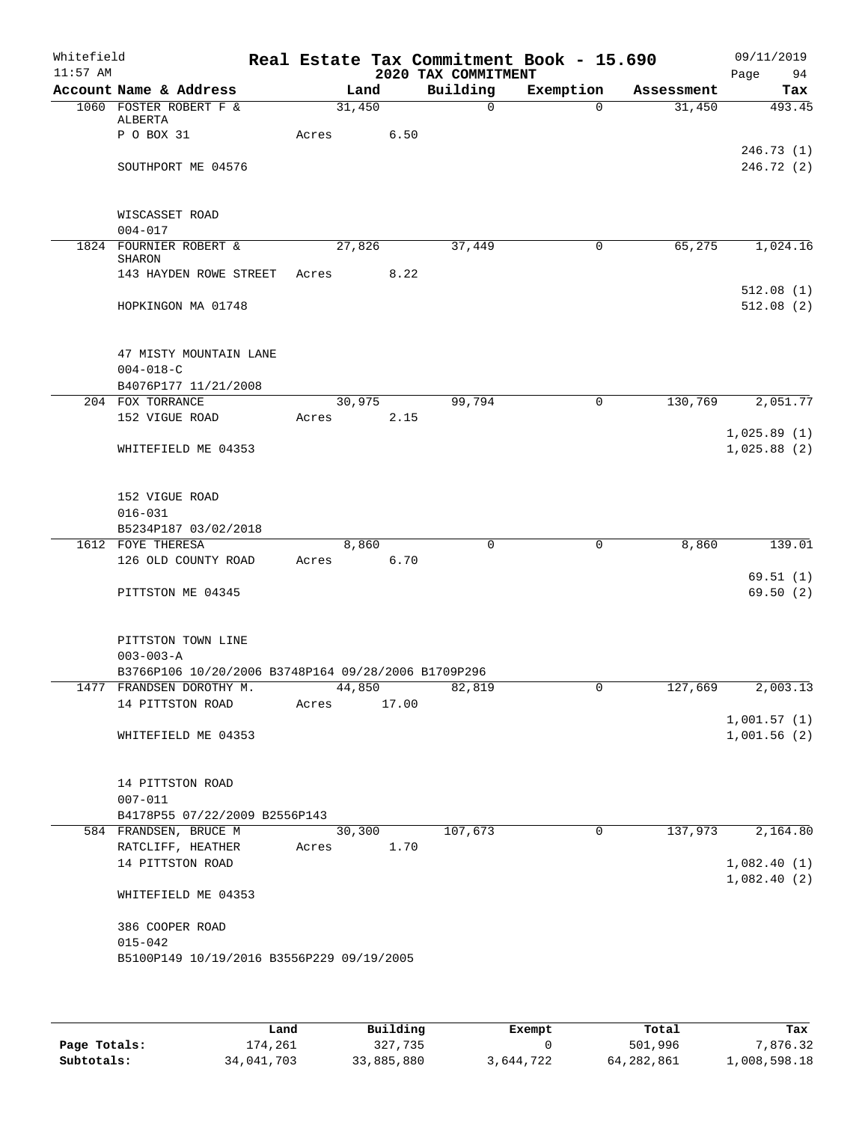| Whitefield<br>$11:57$ AM |                                                                                 |       |               | 2020 TAX COMMITMENT | Real Estate Tax Commitment Book - 15.690 |            | 09/11/2019<br>Page<br>94   |
|--------------------------|---------------------------------------------------------------------------------|-------|---------------|---------------------|------------------------------------------|------------|----------------------------|
|                          | Account Name & Address                                                          |       | Land          | Building            | Exemption                                | Assessment | Tax                        |
|                          | 1060 FOSTER ROBERT F &                                                          |       | 31,450        | $\Omega$            | $\Omega$                                 | 31,450     | 493.45                     |
|                          | ALBERTA<br>P O BOX 31                                                           | Acres | 6.50          |                     |                                          |            |                            |
|                          |                                                                                 |       |               |                     |                                          |            | 246.73(1)                  |
|                          | SOUTHPORT ME 04576                                                              |       |               |                     |                                          |            | 246.72 (2)                 |
|                          |                                                                                 |       |               |                     |                                          |            |                            |
|                          | WISCASSET ROAD                                                                  |       |               |                     |                                          |            |                            |
|                          | $004 - 017$<br>1824 FOURNIER ROBERT &                                           |       | 27,826        | 37,449              | 0                                        | 65,275     | 1,024.16                   |
|                          | SHARON                                                                          |       |               |                     |                                          |            |                            |
|                          | 143 HAYDEN ROWE STREET                                                          | Acres | 8.22          |                     |                                          |            |                            |
|                          |                                                                                 |       |               |                     |                                          |            | 512.08(1)                  |
|                          | HOPKINGON MA 01748                                                              |       |               |                     |                                          |            | 512.08(2)                  |
|                          | 47 MISTY MOUNTAIN LANE                                                          |       |               |                     |                                          |            |                            |
|                          | $004 - 018 - C$                                                                 |       |               |                     |                                          |            |                            |
|                          | B4076P177 11/21/2008                                                            |       |               |                     |                                          |            |                            |
|                          | 204 FOX TORRANCE                                                                |       | 30,975        | 99,794              | $\mathbf 0$                              | 130,769    | 2,051.77                   |
|                          | 152 VIGUE ROAD                                                                  | Acres | 2.15          |                     |                                          |            | 1,025.89(1)                |
|                          | WHITEFIELD ME 04353                                                             |       |               |                     |                                          |            | 1,025.88(2)                |
|                          |                                                                                 |       |               |                     |                                          |            |                            |
|                          | 152 VIGUE ROAD                                                                  |       |               |                     |                                          |            |                            |
|                          | $016 - 031$                                                                     |       |               |                     |                                          |            |                            |
|                          | B5234P187 03/02/2018                                                            |       |               |                     |                                          |            |                            |
|                          | 1612 FOYE THERESA<br>126 OLD COUNTY ROAD                                        | Acres | 8,860<br>6.70 | $\mathbf 0$         | $\mathsf{O}$                             | 8,860      | 139.01                     |
|                          |                                                                                 |       |               |                     |                                          |            | 69.51(1)                   |
|                          | PITTSTON ME 04345                                                               |       |               |                     |                                          |            | 69.50(2)                   |
|                          |                                                                                 |       |               |                     |                                          |            |                            |
|                          | PITTSTON TOWN LINE                                                              |       |               |                     |                                          |            |                            |
|                          | $003 - 003 - A$                                                                 |       |               |                     |                                          |            |                            |
|                          | B3766P106 10/20/2006 B3748P164 09/28/2006 B1709P296<br>1477 FRANDSEN DOROTHY M. |       | 44,850        | 82,819              | 0                                        | 127,669    | 2,003.13                   |
|                          | 14 PITTSTON ROAD                                                                | Acres | 17.00         |                     |                                          |            |                            |
|                          |                                                                                 |       |               |                     |                                          |            | 1,001.57(1)                |
|                          | WHITEFIELD ME 04353                                                             |       |               |                     |                                          |            | 1,001.56(2)                |
|                          | 14 PITTSTON ROAD                                                                |       |               |                     |                                          |            |                            |
|                          | $007 - 011$                                                                     |       |               |                     |                                          |            |                            |
|                          | B4178P55 07/22/2009 B2556P143                                                   |       |               |                     |                                          |            |                            |
|                          | 584 FRANDSEN, BRUCE M                                                           |       | 30,300        | 107,673             | 0                                        | 137,973    | 2,164.80                   |
|                          | RATCLIFF, HEATHER                                                               | Acres | 1.70          |                     |                                          |            |                            |
|                          | 14 PITTSTON ROAD                                                                |       |               |                     |                                          |            | 1,082.40(1)<br>1,082.40(2) |
|                          | WHITEFIELD ME 04353                                                             |       |               |                     |                                          |            |                            |
|                          | 386 COOPER ROAD                                                                 |       |               |                     |                                          |            |                            |
|                          | $015 - 042$<br>B5100P149 10/19/2016 B3556P229 09/19/2005                        |       |               |                     |                                          |            |                            |
|                          |                                                                                 |       |               |                     |                                          |            |                            |
|                          |                                                                                 |       |               |                     |                                          |            |                            |

|              | Land       | Building   | Exempt    | Total      | Tax          |
|--------------|------------|------------|-----------|------------|--------------|
| Page Totals: | 174,261    | 327,735    |           | 501,996    | 7,876.32     |
| Subtotals:   | 34,041,703 | 33,885,880 | 3,644,722 | 64,282,861 | 1,008,598.18 |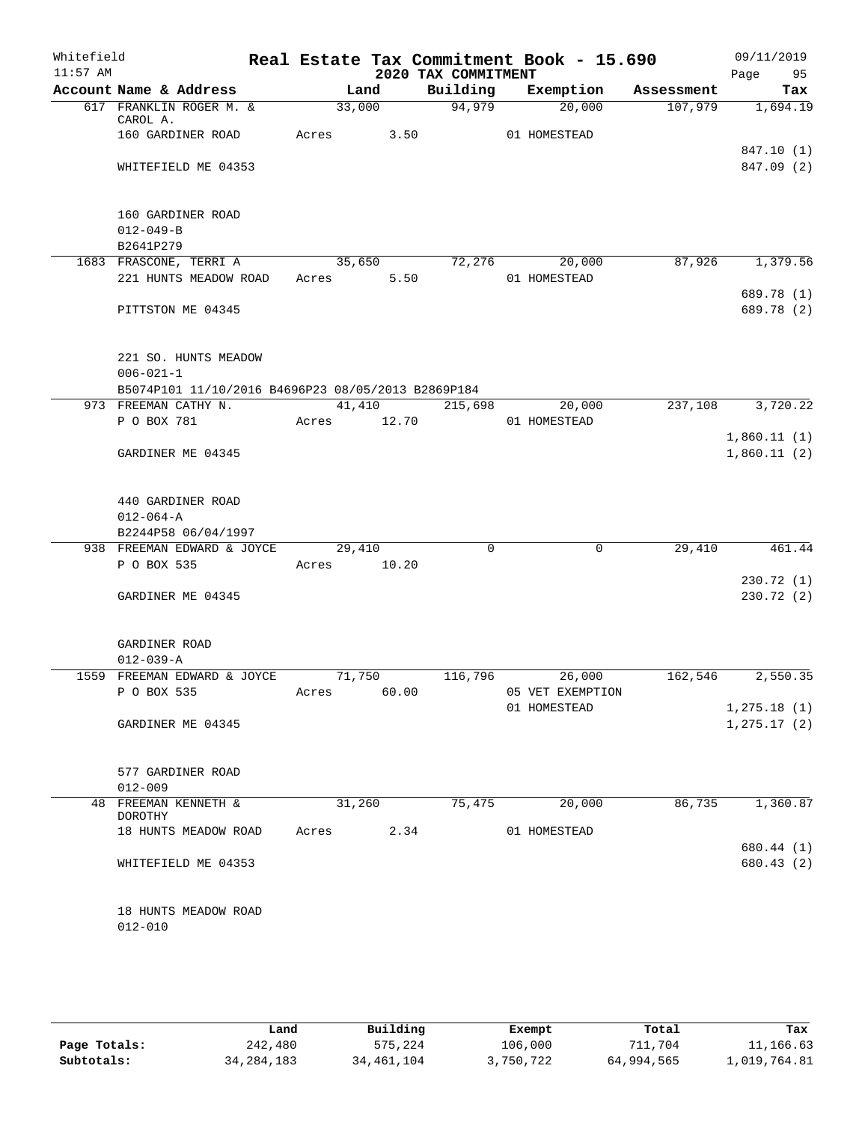| Whitefield<br>$11:57$ AM |                                                                                               |             |        | 2020 TAX COMMITMENT | Real Estate Tax Commitment Book - 15.690 |            | 09/11/2019<br>Page<br>95     |
|--------------------------|-----------------------------------------------------------------------------------------------|-------------|--------|---------------------|------------------------------------------|------------|------------------------------|
|                          | Account Name & Address                                                                        |             | Land   | Building            | Exemption                                | Assessment | Tax                          |
|                          | 617 FRANKLIN ROGER M. &<br>CAROL A.                                                           | 33,000      |        | 94,979              | 20,000                                   | 107,979    | 1,694.19                     |
|                          | 160 GARDINER ROAD                                                                             | Acres       | 3.50   |                     | 01 HOMESTEAD                             |            |                              |
|                          | WHITEFIELD ME 04353                                                                           |             |        |                     |                                          |            | 847.10 (1)<br>847.09 (2)     |
|                          | 160 GARDINER ROAD<br>$012 - 049 - B$<br>B2641P279                                             |             |        |                     |                                          |            |                              |
|                          | 1683 FRASCONE, TERRI A                                                                        |             | 35,650 | 72,276              | 20,000                                   | 87,926     | 1,379.56                     |
|                          | 221 HUNTS MEADOW ROAD                                                                         | Acres       | 5.50   |                     | 01 HOMESTEAD                             |            | 689.78 (1)                   |
|                          | PITTSTON ME 04345                                                                             |             |        |                     |                                          |            | 689.78 (2)                   |
|                          | 221 SO. HUNTS MEADOW<br>$006 - 021 - 1$<br>B5074P101 11/10/2016 B4696P23 08/05/2013 B2869P184 |             |        |                     |                                          |            |                              |
|                          | 973 FREEMAN CATHY N.                                                                          |             |        | 41,410 215,698      | 20,000                                   | 237,108    | 3,720.22                     |
|                          | P O BOX 781                                                                                   | Acres 12.70 |        |                     | 01 HOMESTEAD                             |            |                              |
|                          | GARDINER ME 04345                                                                             |             |        |                     |                                          |            | 1,860.11(1)<br>1,860.11(2)   |
|                          | 440 GARDINER ROAD<br>$012 - 064 - A$<br>B2244P58 06/04/1997                                   |             |        |                     |                                          |            |                              |
|                          | 938 FREEMAN EDWARD & JOYCE                                                                    | 29,410      |        | $\Omega$            | $\mathbf 0$                              | 29,410     | 461.44                       |
|                          | P O BOX 535                                                                                   | Acres       | 10.20  |                     |                                          |            | 230.72(1)                    |
|                          | GARDINER ME 04345                                                                             |             |        |                     |                                          |            | 230.72(2)                    |
|                          | GARDINER ROAD<br>$012 - 039 - A$                                                              |             |        |                     |                                          |            |                              |
|                          | 1559 FREEMAN EDWARD & JOYCE                                                                   | 71,750      |        | 116,796             | 26,000                                   | 162,546    | 2,550.35                     |
|                          | P O BOX 535                                                                                   | Acres       | 60.00  |                     | 05 VET EXEMPTION                         |            |                              |
|                          | GARDINER ME 04345                                                                             |             |        |                     | 01 HOMESTEAD                             |            | 1, 275.18(1)<br>1, 275.17(2) |
|                          |                                                                                               |             |        |                     |                                          |            |                              |
|                          | 577 GARDINER ROAD                                                                             |             |        |                     |                                          |            |                              |
|                          | $012 - 009$                                                                                   |             |        |                     |                                          |            |                              |
|                          | 48 FREEMAN KENNETH &<br>DOROTHY                                                               | 31,260      |        | 75,475              | 20,000                                   | 86,735     | 1,360.87                     |
|                          | 18 HUNTS MEADOW ROAD                                                                          | Acres       | 2.34   |                     | 01 HOMESTEAD                             |            |                              |
|                          |                                                                                               |             |        |                     |                                          |            | 680.44 (1)                   |
|                          | WHITEFIELD ME 04353                                                                           |             |        |                     |                                          |            | 680.43 (2)                   |
|                          | 18 HUNTS MEADOW ROAD<br>$012 - 010$                                                           |             |        |                     |                                          |            |                              |
|                          |                                                                                               |             |        |                     |                                          |            |                              |

|              | Land         | Building   | Exempt    | Total      | Tax          |
|--------------|--------------|------------|-----------|------------|--------------|
| Page Totals: | 242,480      | 575,224    | 106,000   | 711,704    | 11,166.63    |
| Subtotals:   | 34, 284, 183 | 34,461,104 | 3,750,722 | 64,994,565 | 1,019,764.81 |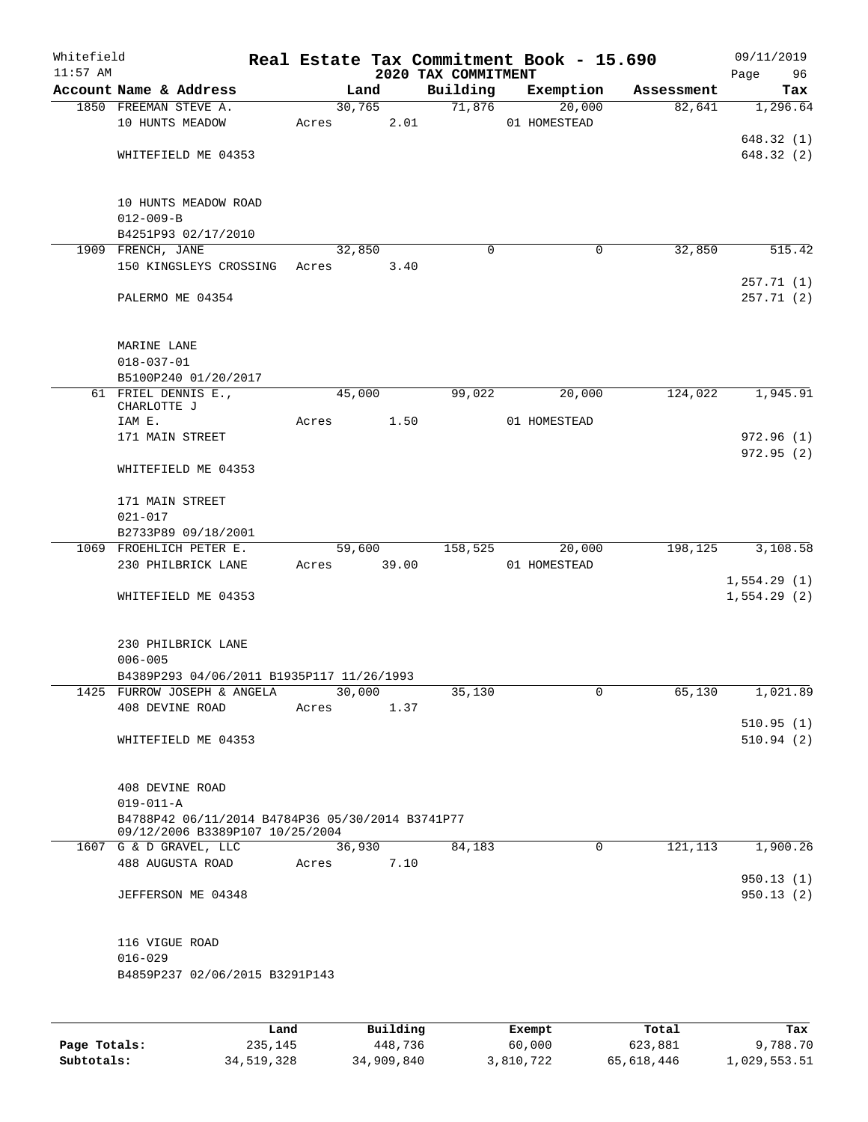| Whitefield<br>$11:57$ AM |                                                                                     |       |               | 2020 TAX COMMITMENT | Real Estate Tax Commitment Book - 15.690 |            | 09/11/2019<br>Page<br>96   |
|--------------------------|-------------------------------------------------------------------------------------|-------|---------------|---------------------|------------------------------------------|------------|----------------------------|
|                          | Account Name & Address                                                              |       | Land          | Building            | Exemption                                | Assessment | Tax                        |
|                          | 1850 FREEMAN STEVE A.                                                               |       | 30,765        | 71,876              | 20,000                                   | 82,641     | 1,296.64                   |
|                          | 10 HUNTS MEADOW                                                                     | Acres |               | 2.01                | 01 HOMESTEAD                             |            |                            |
|                          |                                                                                     |       |               |                     |                                          |            | 648.32(1)                  |
|                          | WHITEFIELD ME 04353                                                                 |       |               |                     |                                          |            | 648.32(2)                  |
|                          | 10 HUNTS MEADOW ROAD<br>$012 - 009 - B$                                             |       |               |                     |                                          |            |                            |
|                          | B4251P93 02/17/2010                                                                 |       |               |                     |                                          |            |                            |
|                          | 1909 FRENCH, JANE                                                                   |       | 32,850        | 0                   | 0                                        | 32,850     | 515.42                     |
|                          | 150 KINGSLEYS CROSSING                                                              | Acres |               | 3.40                |                                          |            | 257.71 (1)                 |
|                          | PALERMO ME 04354                                                                    |       |               |                     |                                          |            | 257.71(2)                  |
|                          | MARINE LANE<br>$018 - 037 - 01$                                                     |       |               |                     |                                          |            |                            |
|                          | B5100P240 01/20/2017                                                                |       |               |                     |                                          |            |                            |
|                          | 61 FRIEL DENNIS E.,<br>CHARLOTTE J                                                  |       | 45,000        | 99,022              | 20,000                                   | 124,022    | 1,945.91                   |
|                          | IAM E.                                                                              | Acres |               | 1.50                | 01 HOMESTEAD                             |            |                            |
|                          | 171 MAIN STREET                                                                     |       |               |                     |                                          |            | 972.96(1)                  |
|                          |                                                                                     |       |               |                     |                                          |            | 972.95(2)                  |
|                          | WHITEFIELD ME 04353                                                                 |       |               |                     |                                          |            |                            |
|                          | 171 MAIN STREET                                                                     |       |               |                     |                                          |            |                            |
|                          | $021 - 017$                                                                         |       |               |                     |                                          |            |                            |
|                          | B2733P89 09/18/2001                                                                 |       |               |                     |                                          |            |                            |
|                          | 1069 FROEHLICH PETER E.                                                             |       | 59,600        | 158,525             | 20,000                                   | 198,125    | 3,108.58                   |
|                          | 230 PHILBRICK LANE                                                                  | Acres | 39.00         |                     | 01 HOMESTEAD                             |            |                            |
|                          | WHITEFIELD ME 04353                                                                 |       |               |                     |                                          |            | 1,554.29(1)<br>1,554.29(2) |
|                          | 230 PHILBRICK LANE                                                                  |       |               |                     |                                          |            |                            |
|                          | $006 - 005$                                                                         |       |               |                     |                                          |            |                            |
|                          | B4389P293 04/06/2011 B1935P117 11/26/1993                                           |       |               |                     |                                          |            |                            |
|                          | 1425 FURROW JOSEPH & ANGELA                                                         |       | 30,000        | 35,130              | 0                                        | 65,130     | 1,021.89                   |
|                          | 408 DEVINE ROAD                                                                     | Acres |               | 1.37                |                                          |            |                            |
|                          | WHITEFIELD ME 04353                                                                 |       |               |                     |                                          |            | 510.95(1)<br>510.94(2)     |
|                          |                                                                                     |       |               |                     |                                          |            |                            |
|                          | 408 DEVINE ROAD                                                                     |       |               |                     |                                          |            |                            |
|                          | $019 - 011 - A$                                                                     |       |               |                     |                                          |            |                            |
|                          | B4788P42 06/11/2014 B4784P36 05/30/2014 B3741P77<br>09/12/2006 B3389P107 10/25/2004 |       |               |                     |                                          |            |                            |
|                          | 1607 G & D GRAVEL, LLC                                                              |       | 36,930        | 84,183              | $\mathbf 0$                              | 121,113    | 1,900.26                   |
|                          | 488 AUGUSTA ROAD                                                                    | Acres |               | 7.10                |                                          |            |                            |
|                          |                                                                                     |       |               |                     |                                          |            | 950.13(1)                  |
|                          | JEFFERSON ME 04348                                                                  |       |               |                     |                                          |            | 950.13(2)                  |
|                          | 116 VIGUE ROAD                                                                      |       |               |                     |                                          |            |                            |
|                          | $016 - 029$                                                                         |       |               |                     |                                          |            |                            |
|                          | B4859P237 02/06/2015 B3291P143                                                      |       |               |                     |                                          |            |                            |
|                          |                                                                                     |       |               |                     |                                          |            |                            |
|                          |                                                                                     |       | Land Building |                     | Exempt                                   | Total      | Tax                        |

|              | Land       | Building   | Exempt    | Total      | Tax          |
|--------------|------------|------------|-----------|------------|--------------|
| Page Totals: | 235,145    | 448,736    | 60,000    | 623,881    | 9,788.70     |
| Subtotals:   | 34,519,328 | 34,909,840 | 3,810,722 | 65,618,446 | 1,029,553.51 |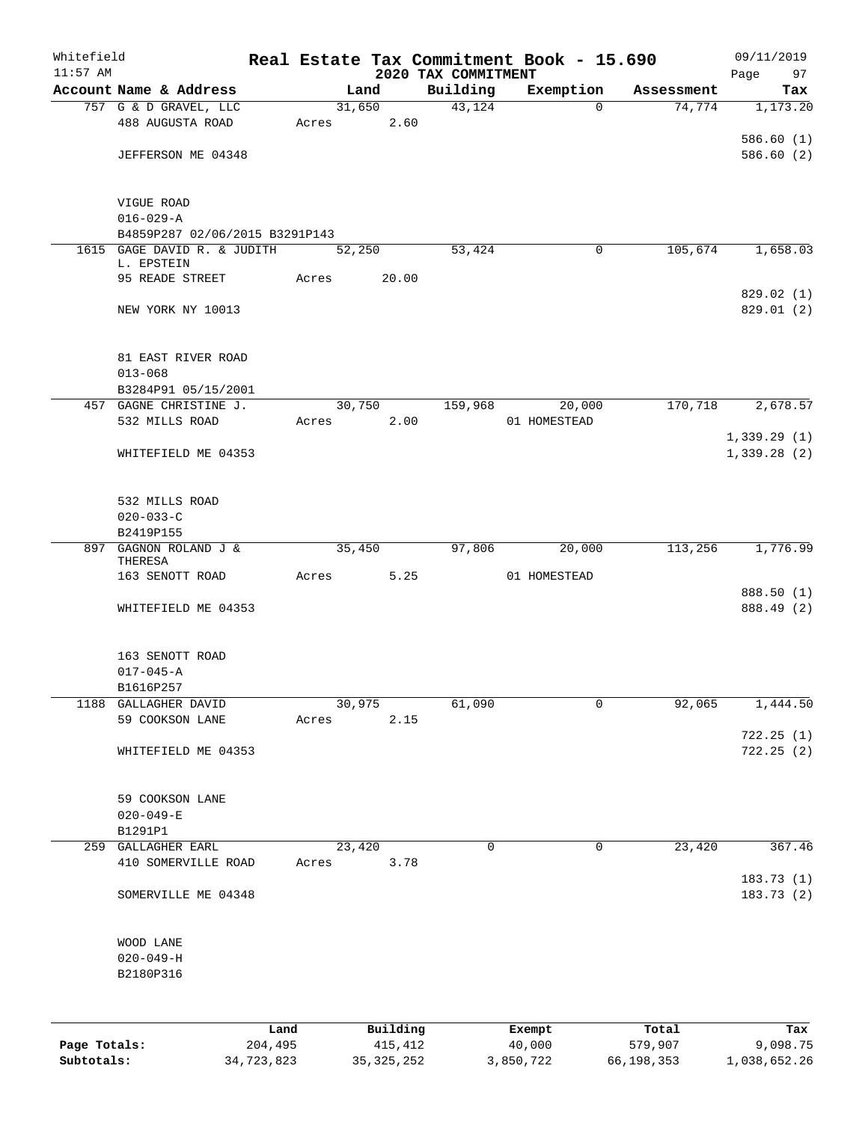| 2020 TAX COMMITMENT<br>Account Name & Address<br>Building<br>Exemption<br>Land<br>Assessment<br>43,124<br>757 G & D GRAVEL, LLC<br>31,650<br>74,774<br>1,173.20<br>$\Omega$<br>488 AUGUSTA ROAD<br>2.60<br>Acres<br>586.60(1)<br>586.60(2)<br>JEFFERSON ME 04348<br>VIGUE ROAD<br>$016 - 029 - A$<br>B4859P287 02/06/2015 B3291P143<br>1615 GAGE DAVID R. & JUDITH<br>53,424<br>105,674<br>1,658.03<br>52,250<br>$\mathbf 0$<br>L. EPSTEIN<br>20.00<br>95 READE STREET<br>Acres<br>829.02(1)<br>NEW YORK NY 10013<br>81 EAST RIVER ROAD<br>$013 - 068$<br>B3284P91 05/15/2001<br>170,718<br>2,678.57<br>457 GAGNE CHRISTINE J.<br>30,750<br>159,968<br>20,000<br>532 MILLS ROAD<br>2.00<br>Acres<br>01 HOMESTEAD<br>1,339.29(1)<br>1,339.28(2)<br>WHITEFIELD ME 04353<br>532 MILLS ROAD<br>$020 - 033 - C$<br>B2419P155<br>GAGNON ROLAND J &<br>97,806<br>20,000<br>113,256<br>1,776.99<br>897<br>35,450<br>THERESA<br>163 SENOTT ROAD<br>5.25<br>01 HOMESTEAD<br>Acres<br>WHITEFIELD ME 04353<br>163 SENOTT ROAD<br>$017 - 045 - A$<br>B1616P257<br>61,090<br>92,065<br>GALLAGHER DAVID<br>30,975<br>$\mathbf 0$<br>1188<br>59 COOKSON LANE<br>2.15<br>Acres<br>722.25(1)<br>WHITEFIELD ME 04353<br>59 COOKSON LANE<br>$020 - 049 - E$<br>B1291P1<br><b>GALLAGHER EARL</b><br>23,420<br>0<br>$\mathbf 0$<br>23,420<br>259<br>410 SOMERVILLE ROAD<br>3.78<br>Acres<br>183.73(1)<br>SOMERVILLE ME 04348<br>WOOD LANE<br>$020 - 049 - H$<br>B2180P316<br>Building<br>Land<br>Total<br>Exempt<br>Page Totals:<br>204,495<br>415,412<br>40,000<br>579,907<br>9,098.75 | Whitefield<br>$11:57$ AM |  |  | Real Estate Tax Commitment Book - 15.690 | 09/11/2019<br>Page<br>97 |
|-------------------------------------------------------------------------------------------------------------------------------------------------------------------------------------------------------------------------------------------------------------------------------------------------------------------------------------------------------------------------------------------------------------------------------------------------------------------------------------------------------------------------------------------------------------------------------------------------------------------------------------------------------------------------------------------------------------------------------------------------------------------------------------------------------------------------------------------------------------------------------------------------------------------------------------------------------------------------------------------------------------------------------------------------------------------------------------------------------------------------------------------------------------------------------------------------------------------------------------------------------------------------------------------------------------------------------------------------------------------------------------------------------------------------------------------------------------------------------------------------------------------------------------------------------------------|--------------------------|--|--|------------------------------------------|--------------------------|
|                                                                                                                                                                                                                                                                                                                                                                                                                                                                                                                                                                                                                                                                                                                                                                                                                                                                                                                                                                                                                                                                                                                                                                                                                                                                                                                                                                                                                                                                                                                                                                   |                          |  |  |                                          | Tax                      |
|                                                                                                                                                                                                                                                                                                                                                                                                                                                                                                                                                                                                                                                                                                                                                                                                                                                                                                                                                                                                                                                                                                                                                                                                                                                                                                                                                                                                                                                                                                                                                                   |                          |  |  |                                          |                          |
|                                                                                                                                                                                                                                                                                                                                                                                                                                                                                                                                                                                                                                                                                                                                                                                                                                                                                                                                                                                                                                                                                                                                                                                                                                                                                                                                                                                                                                                                                                                                                                   |                          |  |  |                                          |                          |
|                                                                                                                                                                                                                                                                                                                                                                                                                                                                                                                                                                                                                                                                                                                                                                                                                                                                                                                                                                                                                                                                                                                                                                                                                                                                                                                                                                                                                                                                                                                                                                   |                          |  |  |                                          |                          |
|                                                                                                                                                                                                                                                                                                                                                                                                                                                                                                                                                                                                                                                                                                                                                                                                                                                                                                                                                                                                                                                                                                                                                                                                                                                                                                                                                                                                                                                                                                                                                                   |                          |  |  |                                          |                          |
|                                                                                                                                                                                                                                                                                                                                                                                                                                                                                                                                                                                                                                                                                                                                                                                                                                                                                                                                                                                                                                                                                                                                                                                                                                                                                                                                                                                                                                                                                                                                                                   |                          |  |  |                                          |                          |
|                                                                                                                                                                                                                                                                                                                                                                                                                                                                                                                                                                                                                                                                                                                                                                                                                                                                                                                                                                                                                                                                                                                                                                                                                                                                                                                                                                                                                                                                                                                                                                   |                          |  |  |                                          |                          |
|                                                                                                                                                                                                                                                                                                                                                                                                                                                                                                                                                                                                                                                                                                                                                                                                                                                                                                                                                                                                                                                                                                                                                                                                                                                                                                                                                                                                                                                                                                                                                                   |                          |  |  |                                          |                          |
|                                                                                                                                                                                                                                                                                                                                                                                                                                                                                                                                                                                                                                                                                                                                                                                                                                                                                                                                                                                                                                                                                                                                                                                                                                                                                                                                                                                                                                                                                                                                                                   |                          |  |  |                                          |                          |
|                                                                                                                                                                                                                                                                                                                                                                                                                                                                                                                                                                                                                                                                                                                                                                                                                                                                                                                                                                                                                                                                                                                                                                                                                                                                                                                                                                                                                                                                                                                                                                   |                          |  |  |                                          |                          |
|                                                                                                                                                                                                                                                                                                                                                                                                                                                                                                                                                                                                                                                                                                                                                                                                                                                                                                                                                                                                                                                                                                                                                                                                                                                                                                                                                                                                                                                                                                                                                                   |                          |  |  |                                          |                          |
|                                                                                                                                                                                                                                                                                                                                                                                                                                                                                                                                                                                                                                                                                                                                                                                                                                                                                                                                                                                                                                                                                                                                                                                                                                                                                                                                                                                                                                                                                                                                                                   |                          |  |  |                                          | 829.01 (2)               |
|                                                                                                                                                                                                                                                                                                                                                                                                                                                                                                                                                                                                                                                                                                                                                                                                                                                                                                                                                                                                                                                                                                                                                                                                                                                                                                                                                                                                                                                                                                                                                                   |                          |  |  |                                          |                          |
|                                                                                                                                                                                                                                                                                                                                                                                                                                                                                                                                                                                                                                                                                                                                                                                                                                                                                                                                                                                                                                                                                                                                                                                                                                                                                                                                                                                                                                                                                                                                                                   |                          |  |  |                                          |                          |
|                                                                                                                                                                                                                                                                                                                                                                                                                                                                                                                                                                                                                                                                                                                                                                                                                                                                                                                                                                                                                                                                                                                                                                                                                                                                                                                                                                                                                                                                                                                                                                   |                          |  |  |                                          |                          |
|                                                                                                                                                                                                                                                                                                                                                                                                                                                                                                                                                                                                                                                                                                                                                                                                                                                                                                                                                                                                                                                                                                                                                                                                                                                                                                                                                                                                                                                                                                                                                                   |                          |  |  |                                          |                          |
|                                                                                                                                                                                                                                                                                                                                                                                                                                                                                                                                                                                                                                                                                                                                                                                                                                                                                                                                                                                                                                                                                                                                                                                                                                                                                                                                                                                                                                                                                                                                                                   |                          |  |  |                                          |                          |
|                                                                                                                                                                                                                                                                                                                                                                                                                                                                                                                                                                                                                                                                                                                                                                                                                                                                                                                                                                                                                                                                                                                                                                                                                                                                                                                                                                                                                                                                                                                                                                   |                          |  |  |                                          |                          |
|                                                                                                                                                                                                                                                                                                                                                                                                                                                                                                                                                                                                                                                                                                                                                                                                                                                                                                                                                                                                                                                                                                                                                                                                                                                                                                                                                                                                                                                                                                                                                                   |                          |  |  |                                          |                          |
|                                                                                                                                                                                                                                                                                                                                                                                                                                                                                                                                                                                                                                                                                                                                                                                                                                                                                                                                                                                                                                                                                                                                                                                                                                                                                                                                                                                                                                                                                                                                                                   |                          |  |  |                                          |                          |
|                                                                                                                                                                                                                                                                                                                                                                                                                                                                                                                                                                                                                                                                                                                                                                                                                                                                                                                                                                                                                                                                                                                                                                                                                                                                                                                                                                                                                                                                                                                                                                   |                          |  |  |                                          |                          |
|                                                                                                                                                                                                                                                                                                                                                                                                                                                                                                                                                                                                                                                                                                                                                                                                                                                                                                                                                                                                                                                                                                                                                                                                                                                                                                                                                                                                                                                                                                                                                                   |                          |  |  |                                          |                          |
|                                                                                                                                                                                                                                                                                                                                                                                                                                                                                                                                                                                                                                                                                                                                                                                                                                                                                                                                                                                                                                                                                                                                                                                                                                                                                                                                                                                                                                                                                                                                                                   |                          |  |  |                                          |                          |
|                                                                                                                                                                                                                                                                                                                                                                                                                                                                                                                                                                                                                                                                                                                                                                                                                                                                                                                                                                                                                                                                                                                                                                                                                                                                                                                                                                                                                                                                                                                                                                   |                          |  |  |                                          |                          |
|                                                                                                                                                                                                                                                                                                                                                                                                                                                                                                                                                                                                                                                                                                                                                                                                                                                                                                                                                                                                                                                                                                                                                                                                                                                                                                                                                                                                                                                                                                                                                                   |                          |  |  |                                          | 888.50 (1)               |
|                                                                                                                                                                                                                                                                                                                                                                                                                                                                                                                                                                                                                                                                                                                                                                                                                                                                                                                                                                                                                                                                                                                                                                                                                                                                                                                                                                                                                                                                                                                                                                   |                          |  |  |                                          | 888.49 (2)               |
|                                                                                                                                                                                                                                                                                                                                                                                                                                                                                                                                                                                                                                                                                                                                                                                                                                                                                                                                                                                                                                                                                                                                                                                                                                                                                                                                                                                                                                                                                                                                                                   |                          |  |  |                                          |                          |
|                                                                                                                                                                                                                                                                                                                                                                                                                                                                                                                                                                                                                                                                                                                                                                                                                                                                                                                                                                                                                                                                                                                                                                                                                                                                                                                                                                                                                                                                                                                                                                   |                          |  |  |                                          |                          |
|                                                                                                                                                                                                                                                                                                                                                                                                                                                                                                                                                                                                                                                                                                                                                                                                                                                                                                                                                                                                                                                                                                                                                                                                                                                                                                                                                                                                                                                                                                                                                                   |                          |  |  |                                          |                          |
|                                                                                                                                                                                                                                                                                                                                                                                                                                                                                                                                                                                                                                                                                                                                                                                                                                                                                                                                                                                                                                                                                                                                                                                                                                                                                                                                                                                                                                                                                                                                                                   |                          |  |  |                                          | 1,444.50                 |
|                                                                                                                                                                                                                                                                                                                                                                                                                                                                                                                                                                                                                                                                                                                                                                                                                                                                                                                                                                                                                                                                                                                                                                                                                                                                                                                                                                                                                                                                                                                                                                   |                          |  |  |                                          |                          |
|                                                                                                                                                                                                                                                                                                                                                                                                                                                                                                                                                                                                                                                                                                                                                                                                                                                                                                                                                                                                                                                                                                                                                                                                                                                                                                                                                                                                                                                                                                                                                                   |                          |  |  |                                          | 722.25(2)                |
|                                                                                                                                                                                                                                                                                                                                                                                                                                                                                                                                                                                                                                                                                                                                                                                                                                                                                                                                                                                                                                                                                                                                                                                                                                                                                                                                                                                                                                                                                                                                                                   |                          |  |  |                                          |                          |
|                                                                                                                                                                                                                                                                                                                                                                                                                                                                                                                                                                                                                                                                                                                                                                                                                                                                                                                                                                                                                                                                                                                                                                                                                                                                                                                                                                                                                                                                                                                                                                   |                          |  |  |                                          |                          |
|                                                                                                                                                                                                                                                                                                                                                                                                                                                                                                                                                                                                                                                                                                                                                                                                                                                                                                                                                                                                                                                                                                                                                                                                                                                                                                                                                                                                                                                                                                                                                                   |                          |  |  |                                          |                          |
|                                                                                                                                                                                                                                                                                                                                                                                                                                                                                                                                                                                                                                                                                                                                                                                                                                                                                                                                                                                                                                                                                                                                                                                                                                                                                                                                                                                                                                                                                                                                                                   |                          |  |  |                                          | 367.46                   |
|                                                                                                                                                                                                                                                                                                                                                                                                                                                                                                                                                                                                                                                                                                                                                                                                                                                                                                                                                                                                                                                                                                                                                                                                                                                                                                                                                                                                                                                                                                                                                                   |                          |  |  |                                          |                          |
|                                                                                                                                                                                                                                                                                                                                                                                                                                                                                                                                                                                                                                                                                                                                                                                                                                                                                                                                                                                                                                                                                                                                                                                                                                                                                                                                                                                                                                                                                                                                                                   |                          |  |  |                                          | 183.73(2)                |
|                                                                                                                                                                                                                                                                                                                                                                                                                                                                                                                                                                                                                                                                                                                                                                                                                                                                                                                                                                                                                                                                                                                                                                                                                                                                                                                                                                                                                                                                                                                                                                   |                          |  |  |                                          |                          |
|                                                                                                                                                                                                                                                                                                                                                                                                                                                                                                                                                                                                                                                                                                                                                                                                                                                                                                                                                                                                                                                                                                                                                                                                                                                                                                                                                                                                                                                                                                                                                                   |                          |  |  |                                          |                          |
|                                                                                                                                                                                                                                                                                                                                                                                                                                                                                                                                                                                                                                                                                                                                                                                                                                                                                                                                                                                                                                                                                                                                                                                                                                                                                                                                                                                                                                                                                                                                                                   |                          |  |  |                                          |                          |
|                                                                                                                                                                                                                                                                                                                                                                                                                                                                                                                                                                                                                                                                                                                                                                                                                                                                                                                                                                                                                                                                                                                                                                                                                                                                                                                                                                                                                                                                                                                                                                   |                          |  |  |                                          |                          |
|                                                                                                                                                                                                                                                                                                                                                                                                                                                                                                                                                                                                                                                                                                                                                                                                                                                                                                                                                                                                                                                                                                                                                                                                                                                                                                                                                                                                                                                                                                                                                                   |                          |  |  |                                          |                          |
|                                                                                                                                                                                                                                                                                                                                                                                                                                                                                                                                                                                                                                                                                                                                                                                                                                                                                                                                                                                                                                                                                                                                                                                                                                                                                                                                                                                                                                                                                                                                                                   |                          |  |  |                                          | Tax                      |

**Subtotals:** 34,723,823 35,325,252 3,850,722 66,198,353 1,038,652.26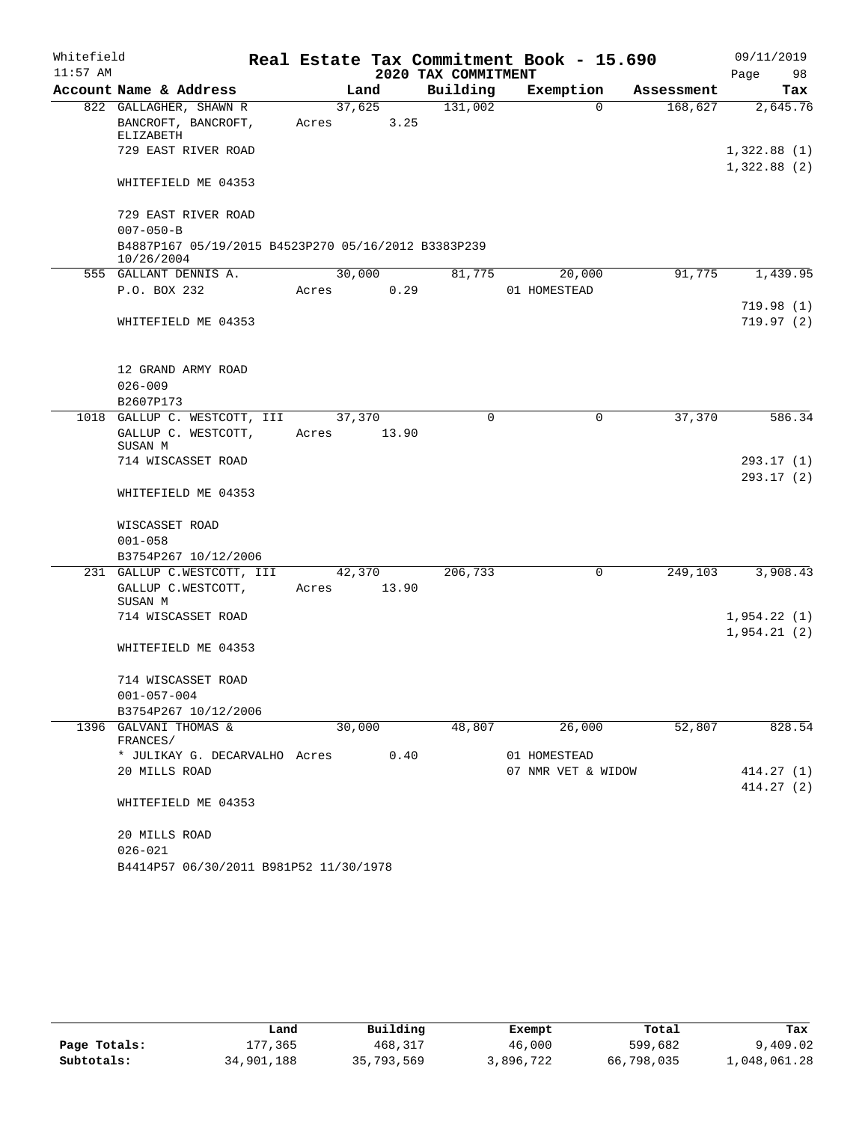| Whitefield |                                                                   |             |                |                     | Real Estate Tax Commitment Book - 15.690 |            | 09/11/2019              |
|------------|-------------------------------------------------------------------|-------------|----------------|---------------------|------------------------------------------|------------|-------------------------|
| $11:57$ AM |                                                                   |             |                | 2020 TAX COMMITMENT |                                          |            | 98<br>Page              |
|            | Account Name & Address                                            |             | Land           | Building            | Exemption                                | Assessment | Tax                     |
|            | 822 GALLAGHER, SHAWN R<br>BANCROFT, BANCROFT,<br>ELIZABETH        | Acres       | 37,625<br>3.25 | 131,002             | $\Omega$                                 | 168,627    | 2,645.76                |
|            | 729 EAST RIVER ROAD                                               |             |                |                     |                                          |            | 1,322.88(1)             |
|            | WHITEFIELD ME 04353                                               |             |                |                     |                                          |            | 1,322.88(2)             |
|            | 729 EAST RIVER ROAD                                               |             |                |                     |                                          |            |                         |
|            | $007 - 050 - B$                                                   |             |                |                     |                                          |            |                         |
|            | B4887P167 05/19/2015 B4523P270 05/16/2012 B3383P239<br>10/26/2004 |             |                |                     |                                          |            |                         |
|            | 555 GALLANT DENNIS A.                                             |             | 30,000         | 81,775              | 20,000                                   | 91,775     | 1,439.95                |
|            | P.O. BOX 232                                                      | Acres       | 0.29           |                     | 01 HOMESTEAD                             |            |                         |
|            |                                                                   |             |                |                     |                                          |            | 719.98(1)               |
|            | WHITEFIELD ME 04353                                               |             |                |                     |                                          |            | 719.97(2)               |
|            | 12 GRAND ARMY ROAD                                                |             |                |                     |                                          |            |                         |
|            | $026 - 009$                                                       |             |                |                     |                                          |            |                         |
|            | B2607P173                                                         |             |                |                     |                                          |            |                         |
|            | 1018 GALLUP C. WESTCOTT, III                                      | 37,370      |                | $\Omega$            | 0                                        | 37,370     | 586.34                  |
|            | GALLUP C. WESTCOTT,<br>SUSAN M                                    | Acres       | 13.90          |                     |                                          |            |                         |
|            | 714 WISCASSET ROAD                                                |             |                |                     |                                          |            | 293.17(1)               |
|            | WHITEFIELD ME 04353                                               |             |                |                     |                                          |            | 293.17(2)               |
|            | WISCASSET ROAD                                                    |             |                |                     |                                          |            |                         |
|            | $001 - 058$                                                       |             |                |                     |                                          |            |                         |
|            | B3754P267 10/12/2006                                              |             |                |                     |                                          |            |                         |
|            | 231 GALLUP C.WESTCOTT, III                                        |             | 42,370         | 206,733             | $\mathbf 0$                              | 249,103    | 3,908.43                |
|            | GALLUP C.WESTCOTT,<br>SUSAN M                                     | Acres 13.90 |                |                     |                                          |            |                         |
|            | 714 WISCASSET ROAD                                                |             |                |                     |                                          |            | 1,954.22(1)             |
|            | WHITEFIELD ME 04353                                               |             |                |                     |                                          |            | 1,954.21(2)             |
|            |                                                                   |             |                |                     |                                          |            |                         |
|            | 714 WISCASSET ROAD                                                |             |                |                     |                                          |            |                         |
|            | $001 - 057 - 004$<br>B3754P267 10/12/2006                         |             |                |                     |                                          |            |                         |
| 1396       | GALVANI THOMAS &                                                  |             | 30,000         | 48,807              | 26,000                                   | 52,807     | 828.54                  |
|            | FRANCES/                                                          |             |                |                     |                                          |            |                         |
|            | * JULIKAY G. DECARVALHO Acres                                     |             | 0.40           |                     | 01 HOMESTEAD                             |            |                         |
|            | 20 MILLS ROAD                                                     |             |                |                     | 07 NMR VET & WIDOW                       |            | 414.27 (1)<br>414.27(2) |
|            | WHITEFIELD ME 04353                                               |             |                |                     |                                          |            |                         |
|            | 20 MILLS ROAD                                                     |             |                |                     |                                          |            |                         |
|            | $026 - 021$<br>B4414P57 06/30/2011 B981P52 11/30/1978             |             |                |                     |                                          |            |                         |
|            |                                                                   |             |                |                     |                                          |            |                         |

|              | Land       | Building   | Exempt    | Total      | Tax          |
|--------------|------------|------------|-----------|------------|--------------|
| Page Totals: | 177.365    | 468,317    | 46,000    | 599,682    | 9,409.02     |
| Subtotals:   | 34,901,188 | 35,793,569 | 3,896,722 | 66,798,035 | l,048,061.28 |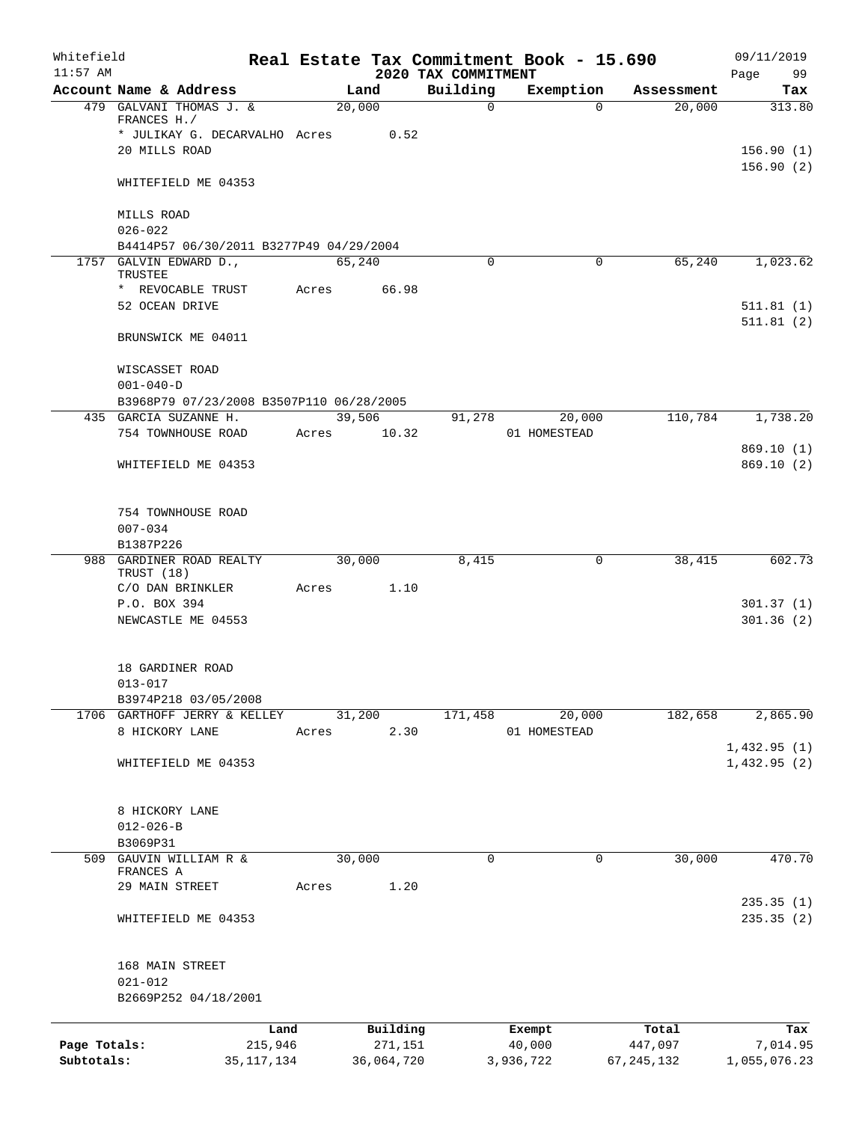| Whitefield<br>$11:57$ AM   |                                                                   |                         |       |        |                       | Real Estate Tax Commitment Book - 15.690 |                     |              |                         | 09/11/2019                 |
|----------------------------|-------------------------------------------------------------------|-------------------------|-------|--------|-----------------------|------------------------------------------|---------------------|--------------|-------------------------|----------------------------|
|                            | Account Name & Address                                            |                         |       | Land   |                       | 2020 TAX COMMITMENT<br>Building          |                     | Exemption    | Assessment              | Page<br>99<br>Tax          |
|                            | 479 GALVANI THOMAS J. &                                           |                         |       | 20,000 |                       | $\mathbf 0$                              |                     | $\Omega$     | 20,000                  | 313.80                     |
|                            | FRANCES H./<br>* JULIKAY G. DECARVALHO Acres                      |                         |       |        | 0.52                  |                                          |                     |              |                         |                            |
|                            | 20 MILLS ROAD                                                     |                         |       |        |                       |                                          |                     |              |                         | 156.90(1)                  |
|                            |                                                                   |                         |       |        |                       |                                          |                     |              |                         | 156.90(2)                  |
|                            | WHITEFIELD ME 04353                                               |                         |       |        |                       |                                          |                     |              |                         |                            |
|                            | MILLS ROAD                                                        |                         |       |        |                       |                                          |                     |              |                         |                            |
|                            | $026 - 022$                                                       |                         |       |        |                       |                                          |                     |              |                         |                            |
|                            | B4414P57 06/30/2011 B3277P49 04/29/2004<br>1757 GALVIN EDWARD D., |                         |       | 65,240 |                       | $\mathbf 0$                              |                     | $\Omega$     | 65,240                  | 1,023.62                   |
|                            | TRUSTEE                                                           |                         |       |        |                       |                                          |                     |              |                         |                            |
|                            | * REVOCABLE TRUST                                                 |                         | Acres |        | 66.98                 |                                          |                     |              |                         |                            |
|                            | 52 OCEAN DRIVE                                                    |                         |       |        |                       |                                          |                     |              |                         | 511.81(1)                  |
|                            | BRUNSWICK ME 04011                                                |                         |       |        |                       |                                          |                     |              |                         | 511.81(2)                  |
|                            | WISCASSET ROAD                                                    |                         |       |        |                       |                                          |                     |              |                         |                            |
|                            | $001 - 040 - D$                                                   |                         |       |        |                       |                                          |                     |              |                         |                            |
|                            | B3968P79 07/23/2008 B3507P110 06/28/2005                          |                         |       |        |                       |                                          |                     |              |                         |                            |
|                            | 435 GARCIA SUZANNE H.                                             |                         |       | 39,506 |                       | 91,278                                   |                     | 20,000       | 110,784                 | 1,738.20                   |
|                            | 754 TOWNHOUSE ROAD                                                |                         | Acres |        | 10.32                 |                                          |                     | 01 HOMESTEAD |                         |                            |
|                            | WHITEFIELD ME 04353                                               |                         |       |        |                       |                                          |                     |              |                         | 869.10(1)<br>869.10(2)     |
|                            |                                                                   |                         |       |        |                       |                                          |                     |              |                         |                            |
|                            | 754 TOWNHOUSE ROAD                                                |                         |       |        |                       |                                          |                     |              |                         |                            |
|                            | $007 - 034$                                                       |                         |       |        |                       |                                          |                     |              |                         |                            |
|                            | B1387P226                                                         |                         |       |        |                       |                                          |                     |              |                         |                            |
|                            | 988 GARDINER ROAD REALTY<br>TRUST (18)                            |                         |       | 30,000 |                       | 8,415                                    |                     | 0            | 38,415                  | 602.73                     |
|                            | C/O DAN BRINKLER                                                  |                         | Acres |        | 1.10                  |                                          |                     |              |                         |                            |
|                            | P.O. BOX 394                                                      |                         |       |        |                       |                                          |                     |              |                         | 301.37(1)                  |
|                            | NEWCASTLE ME 04553                                                |                         |       |        |                       |                                          |                     |              |                         | 301.36(2)                  |
|                            | 18 GARDINER ROAD                                                  |                         |       |        |                       |                                          |                     |              |                         |                            |
|                            | $013 - 017$                                                       |                         |       |        |                       |                                          |                     |              |                         |                            |
|                            | B3974P218 03/05/2008                                              |                         |       |        |                       |                                          |                     |              |                         |                            |
|                            | 1706 GARTHOFF JERRY & KELLEY                                      |                         |       | 31,200 |                       | 171,458                                  |                     | 20,000       | 182,658                 | 2,865.90                   |
|                            | 8 HICKORY LANE                                                    |                         | Acres |        | 2.30                  |                                          |                     | 01 HOMESTEAD |                         |                            |
|                            | WHITEFIELD ME 04353                                               |                         |       |        |                       |                                          |                     |              |                         | 1,432.95(1)<br>1,432.95(2) |
|                            |                                                                   |                         |       |        |                       |                                          |                     |              |                         |                            |
|                            | 8 HICKORY LANE<br>$012 - 026 - B$                                 |                         |       |        |                       |                                          |                     |              |                         |                            |
|                            | B3069P31                                                          |                         |       |        |                       |                                          |                     |              |                         |                            |
|                            | 509 GAUVIN WILLIAM R &                                            |                         |       | 30,000 |                       | 0                                        |                     | 0            | 30,000                  | 470.70                     |
|                            | FRANCES A                                                         |                         |       |        |                       |                                          |                     |              |                         |                            |
|                            | 29 MAIN STREET                                                    |                         | Acres |        | 1.20                  |                                          |                     |              |                         | 235.35(1)                  |
|                            | WHITEFIELD ME 04353                                               |                         |       |        |                       |                                          |                     |              |                         | 235.35 (2)                 |
|                            | 168 MAIN STREET                                                   |                         |       |        |                       |                                          |                     |              |                         |                            |
|                            | $021 - 012$                                                       |                         |       |        |                       |                                          |                     |              |                         |                            |
|                            | B2669P252 04/18/2001                                              |                         |       |        |                       |                                          |                     |              |                         |                            |
|                            |                                                                   | Land                    |       |        | Building              |                                          | Exempt              |              | Total                   | Tax                        |
| Page Totals:<br>Subtotals: |                                                                   | 215,946<br>35, 117, 134 |       |        | 271,151<br>36,064,720 |                                          | 40,000<br>3,936,722 |              | 447,097<br>67, 245, 132 | 7,014.95<br>1,055,076.23   |
|                            |                                                                   |                         |       |        |                       |                                          |                     |              |                         |                            |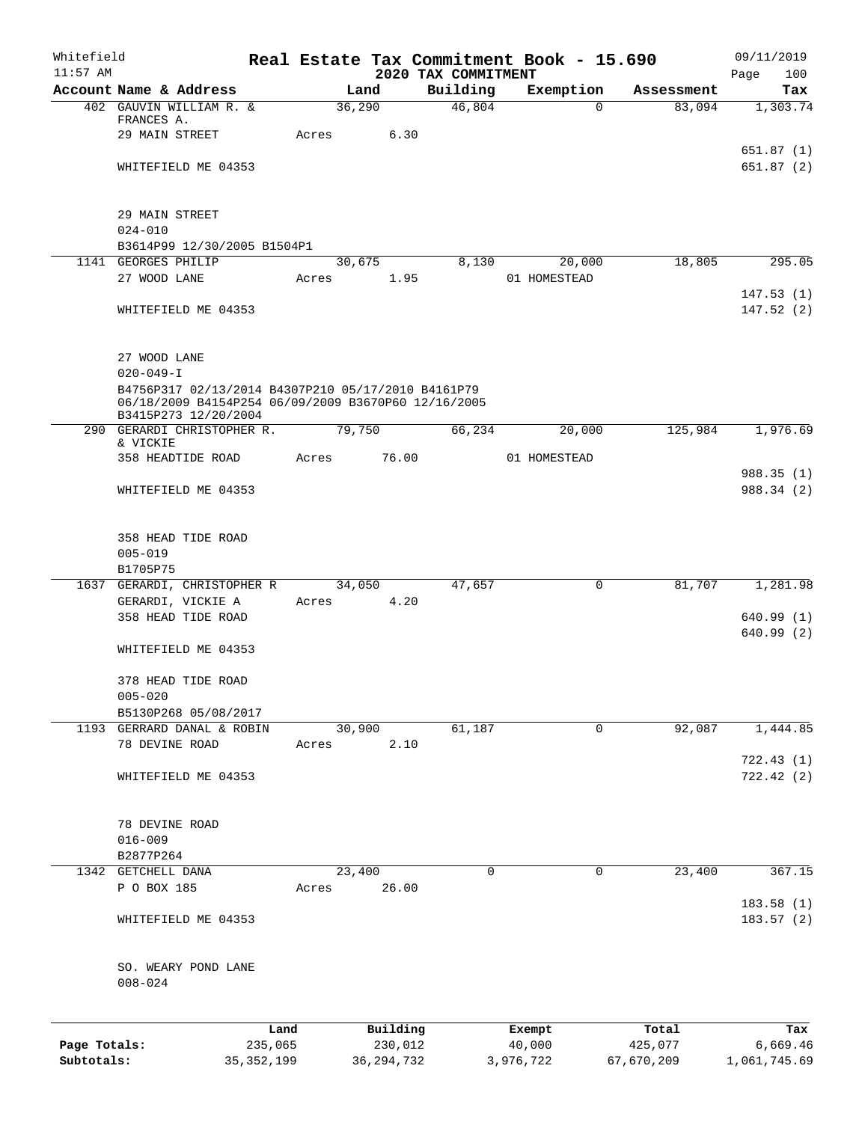| Whitefield   |                                                                                                           |              |       |              |                                 | Real Estate Tax Commitment Book - 15.690 |                       | 09/11/2019             |
|--------------|-----------------------------------------------------------------------------------------------------------|--------------|-------|--------------|---------------------------------|------------------------------------------|-----------------------|------------------------|
| $11:57$ AM   | Account Name & Address                                                                                    |              |       | Land         | 2020 TAX COMMITMENT<br>Building | Exemption                                | Assessment            | 100<br>Page<br>Tax     |
|              | 402 GAUVIN WILLIAM R. &                                                                                   |              |       | 36,290       | 46,804                          |                                          | 83,094<br>0           | 1,303.74               |
|              | FRANCES A.                                                                                                |              |       |              |                                 |                                          |                       |                        |
|              | 29 MAIN STREET                                                                                            |              | Acres | 6.30         |                                 |                                          |                       |                        |
|              |                                                                                                           |              |       |              |                                 |                                          |                       | 651.87 (1)             |
|              | WHITEFIELD ME 04353                                                                                       |              |       |              |                                 |                                          |                       | 651.87(2)              |
|              | 29 MAIN STREET                                                                                            |              |       |              |                                 |                                          |                       |                        |
|              | $024 - 010$                                                                                               |              |       |              |                                 |                                          |                       |                        |
|              | B3614P99 12/30/2005 B1504P1                                                                               |              |       |              |                                 |                                          |                       |                        |
|              | 1141 GEORGES PHILIP                                                                                       |              |       | 30,675       | 8,130                           | 20,000                                   | 18,805                | 295.05                 |
|              | 27 WOOD LANE                                                                                              |              | Acres | 1.95         |                                 | 01 HOMESTEAD                             |                       |                        |
|              | WHITEFIELD ME 04353                                                                                       |              |       |              |                                 |                                          |                       | 147.53(1)<br>147.52(2) |
|              |                                                                                                           |              |       |              |                                 |                                          |                       |                        |
|              | 27 WOOD LANE                                                                                              |              |       |              |                                 |                                          |                       |                        |
|              | $020 - 049 - I$                                                                                           |              |       |              |                                 |                                          |                       |                        |
|              | B4756P317 02/13/2014 B4307P210 05/17/2010 B4161P79<br>06/18/2009 B4154P254 06/09/2009 B3670P60 12/16/2005 |              |       |              |                                 |                                          |                       |                        |
|              | B3415P273 12/20/2004                                                                                      |              |       |              |                                 |                                          |                       |                        |
|              | 290 GERARDI CHRISTOPHER R.                                                                                |              |       | 79,750       | 66,234                          | 20,000                                   | 125,984               | 1,976.69               |
|              | & VICKIE<br>358 HEADTIDE ROAD                                                                             |              | Acres | 76.00        |                                 | 01 HOMESTEAD                             |                       |                        |
|              |                                                                                                           |              |       |              |                                 |                                          |                       | 988.35(1)              |
|              | WHITEFIELD ME 04353                                                                                       |              |       |              |                                 |                                          |                       | 988.34 (2)             |
|              |                                                                                                           |              |       |              |                                 |                                          |                       |                        |
|              | 358 HEAD TIDE ROAD                                                                                        |              |       |              |                                 |                                          |                       |                        |
|              | $005 - 019$                                                                                               |              |       |              |                                 |                                          |                       |                        |
|              | B1705P75                                                                                                  |              |       |              |                                 |                                          |                       |                        |
|              | 1637 GERARDI, CHRISTOPHER R                                                                               |              |       | 34,050       | 47,657                          |                                          | 81,707<br>0           | 1,281.98               |
|              | GERARDI, VICKIE A                                                                                         |              | Acres | 4.20         |                                 |                                          |                       |                        |
|              | 358 HEAD TIDE ROAD                                                                                        |              |       |              |                                 |                                          |                       | 640.99(1)              |
|              |                                                                                                           |              |       |              |                                 |                                          |                       | 640.99 (2)             |
|              | WHITEFIELD ME 04353                                                                                       |              |       |              |                                 |                                          |                       |                        |
|              | 378 HEAD TIDE ROAD                                                                                        |              |       |              |                                 |                                          |                       |                        |
|              | $005 - 020$                                                                                               |              |       |              |                                 |                                          |                       |                        |
|              | B5130P268 05/08/2017                                                                                      |              |       |              |                                 |                                          |                       |                        |
|              | 1193 GERRARD DANAL & ROBIN                                                                                |              |       | 30,900       | 61,187                          |                                          | $\mathbf 0$<br>92,087 | 1,444.85               |
|              | 78 DEVINE ROAD                                                                                            |              | Acres | 2.10         |                                 |                                          |                       |                        |
|              |                                                                                                           |              |       |              |                                 |                                          |                       | 722.43(1)              |
|              | WHITEFIELD ME 04353                                                                                       |              |       |              |                                 |                                          |                       | 722.42(2)              |
|              | 78 DEVINE ROAD                                                                                            |              |       |              |                                 |                                          |                       |                        |
|              | $016 - 009$                                                                                               |              |       |              |                                 |                                          |                       |                        |
|              | B2877P264                                                                                                 |              |       |              |                                 |                                          |                       |                        |
| 1342         | GETCHELL DANA                                                                                             |              |       | 23,400       | 0                               |                                          | 23,400<br>0           | 367.15                 |
|              | P O BOX 185                                                                                               |              | Acres | 26.00        |                                 |                                          |                       |                        |
|              |                                                                                                           |              |       |              |                                 |                                          |                       | 183.58(1)              |
|              | WHITEFIELD ME 04353                                                                                       |              |       |              |                                 |                                          |                       | 183.57(2)              |
|              | SO. WEARY POND LANE<br>$008 - 024$                                                                        |              |       |              |                                 |                                          |                       |                        |
|              |                                                                                                           | Land         |       | Building     |                                 |                                          | Total                 |                        |
| Page Totals: |                                                                                                           | 235,065      |       | 230,012      |                                 | Exempt<br>40,000                         | 425,077               | Tax<br>6,669.46        |
| Subtotals:   |                                                                                                           | 35, 352, 199 |       | 36, 294, 732 |                                 | 3,976,722                                | 67,670,209            | 1,061,745.69           |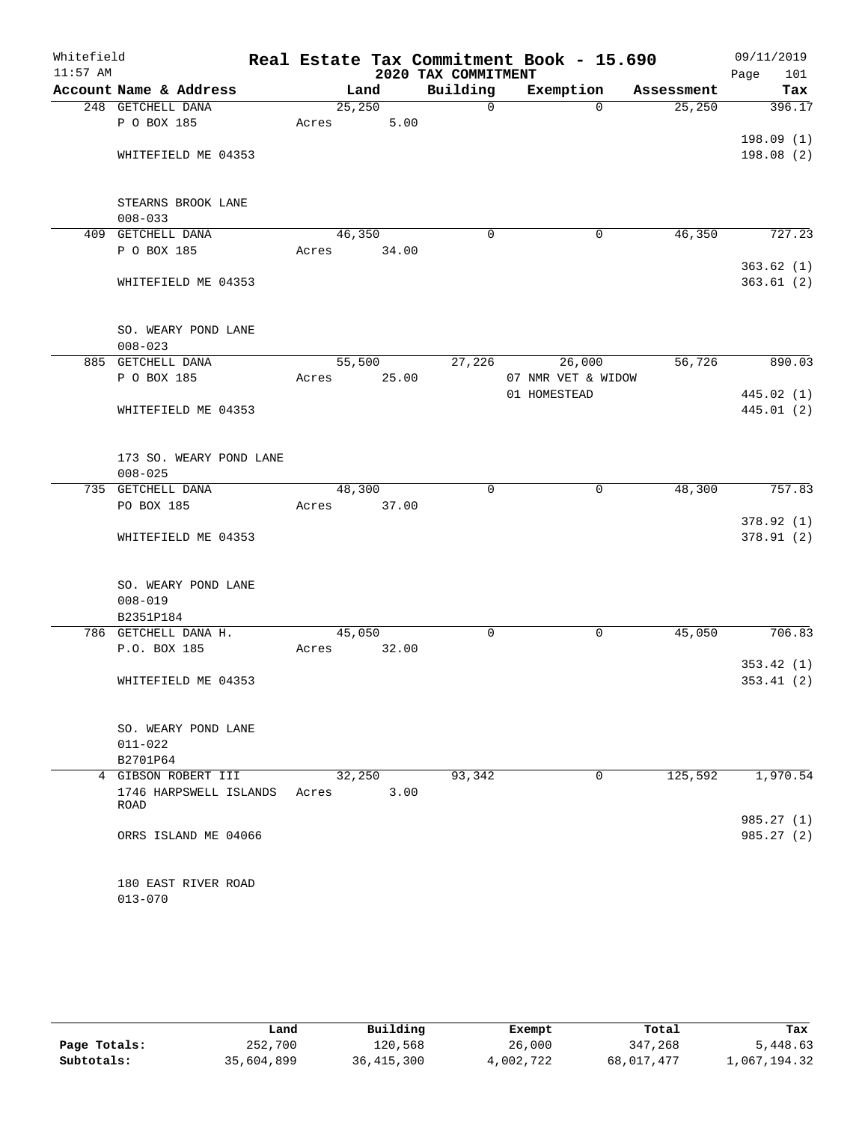| Whitefield<br>$11:57$ AM |                         |        |       | 2020 TAX COMMITMENT | Real Estate Tax Commitment Book - 15.690 |            | 09/11/2019<br>Page<br>101 |
|--------------------------|-------------------------|--------|-------|---------------------|------------------------------------------|------------|---------------------------|
|                          | Account Name & Address  |        | Land  | Building            | Exemption                                | Assessment | Tax                       |
|                          | 248 GETCHELL DANA       | 25,250 |       | $\mathbf 0$         | $\Omega$                                 | 25, 250    | 396.17                    |
|                          | P O BOX 185             | Acres  | 5.00  |                     |                                          |            |                           |
|                          |                         |        |       |                     |                                          |            | 198.09(1)                 |
|                          | WHITEFIELD ME 04353     |        |       |                     |                                          |            | 198.08(2)                 |
|                          |                         |        |       |                     |                                          |            |                           |
|                          | STEARNS BROOK LANE      |        |       |                     |                                          |            |                           |
|                          | $008 - 033$             |        |       |                     |                                          |            |                           |
| 409                      | GETCHELL DANA           | 46,350 |       | $\mathbf 0$         | $\mathbf 0$                              | 46,350     | 727.23                    |
|                          | P O BOX 185             | Acres  | 34.00 |                     |                                          |            |                           |
|                          |                         |        |       |                     |                                          |            | 363.62(1)                 |
|                          | WHITEFIELD ME 04353     |        |       |                     |                                          |            | 363.61(2)                 |
|                          | SO. WEARY POND LANE     |        |       |                     |                                          |            |                           |
|                          | $008 - 023$             |        |       |                     |                                          |            |                           |
|                          | 885 GETCHELL DANA       | 55,500 |       | 27,226              | 26,000                                   | 56,726     | 890.03                    |
|                          | P O BOX 185             | Acres  | 25.00 |                     | 07 NMR VET & WIDOW                       |            |                           |
|                          |                         |        |       |                     | 01 HOMESTEAD                             |            | 445.02 (1)                |
|                          | WHITEFIELD ME 04353     |        |       |                     |                                          |            | 445.01(2)                 |
|                          |                         |        |       |                     |                                          |            |                           |
|                          | 173 SO. WEARY POND LANE |        |       |                     |                                          |            |                           |
|                          | $008 - 025$             |        |       |                     |                                          |            |                           |
| 735                      | GETCHELL DANA           | 48,300 |       | $\mathbf 0$         | 0                                        | 48,300     | 757.83                    |
|                          | PO BOX 185              | Acres  | 37.00 |                     |                                          |            |                           |
|                          |                         |        |       |                     |                                          |            | 378.92(1)                 |
|                          | WHITEFIELD ME 04353     |        |       |                     |                                          |            | 378.91 (2)                |
|                          | SO. WEARY POND LANE     |        |       |                     |                                          |            |                           |
|                          | $008 - 019$             |        |       |                     |                                          |            |                           |
|                          | B2351P184               |        |       |                     |                                          |            |                           |
|                          | 786 GETCHELL DANA H.    | 45,050 |       | 0                   | 0                                        | 45,050     | 706.83                    |
|                          | P.O. BOX 185            | Acres  | 32.00 |                     |                                          |            |                           |
|                          |                         |        |       |                     |                                          |            | 353.42(1)                 |
|                          | WHITEFIELD ME 04353     |        |       |                     |                                          |            | 353.41(2)                 |
|                          |                         |        |       |                     |                                          |            |                           |
|                          | SO. WEARY POND LANE     |        |       |                     |                                          |            |                           |
|                          | $011 - 022$             |        |       |                     |                                          |            |                           |
|                          | B2701P64                |        |       |                     |                                          |            |                           |
|                          | 4 GIBSON ROBERT III     | 32,250 |       | 93,342              | 0                                        | 125,592    | 1,970.54                  |
|                          | 1746 HARPSWELL ISLANDS  | Acres  | 3.00  |                     |                                          |            |                           |
|                          | ROAD                    |        |       |                     |                                          |            |                           |
|                          |                         |        |       |                     |                                          |            | 985.27 (1)                |
|                          | ORRS ISLAND ME 04066    |        |       |                     |                                          |            | 985.27 (2)                |
|                          | 180 EAST RIVER ROAD     |        |       |                     |                                          |            |                           |
|                          | $013 - 070$             |        |       |                     |                                          |            |                           |
|                          |                         |        |       |                     |                                          |            |                           |

|              | Land       | Building     | Exempt    | Total      | Tax          |
|--------------|------------|--------------|-----------|------------|--------------|
| Page Totals: | 252,700    | 120,568      | 26,000    | 347,268    | 5,448.63     |
| Subtotals:   | 35,604,899 | 36, 415, 300 | 4,002,722 | 68,017,477 | 1,067,194.32 |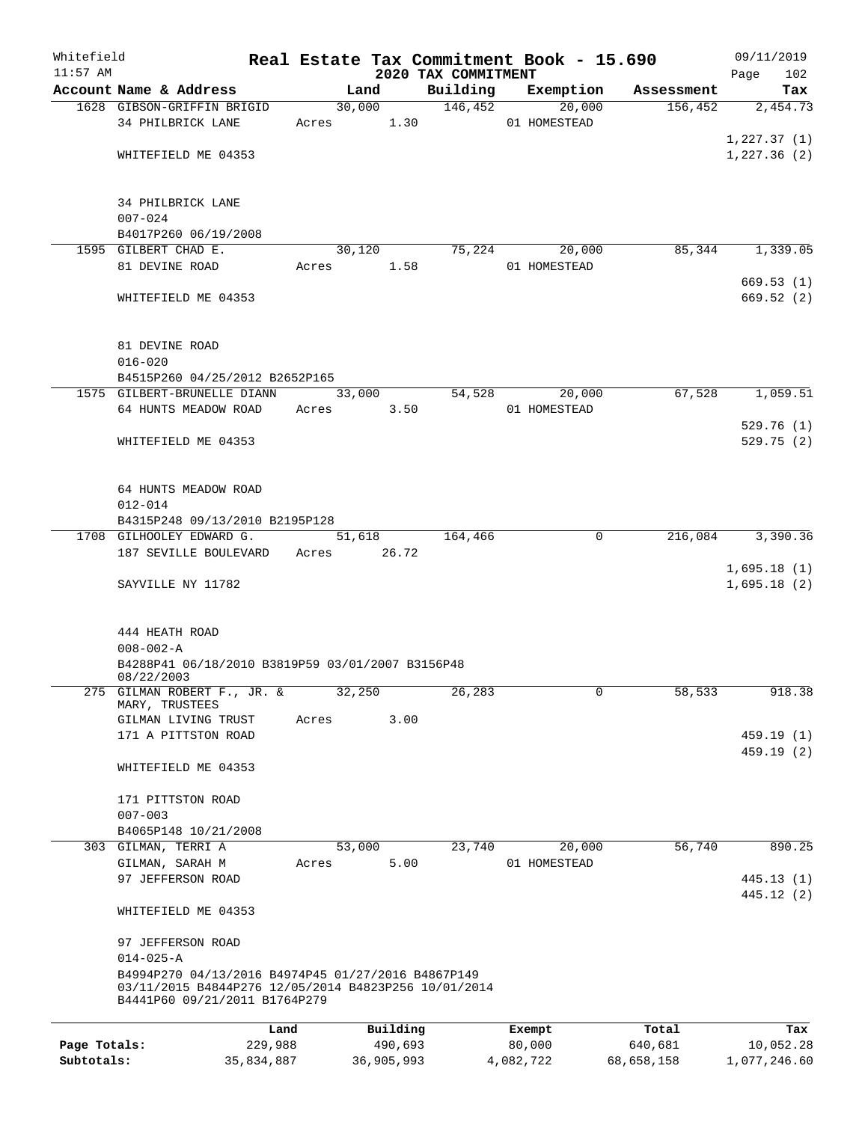| Whitefield   |                                                                                                                                             |                 |                     |                                 | Real Estate Tax Commitment Book - 15.690 |                  | 09/11/2019         |
|--------------|---------------------------------------------------------------------------------------------------------------------------------------------|-----------------|---------------------|---------------------------------|------------------------------------------|------------------|--------------------|
| $11:57$ AM   | Account Name & Address                                                                                                                      |                 | Land                | 2020 TAX COMMITMENT<br>Building | Exemption                                | Assessment       | 102<br>Page<br>Tax |
|              | 1628 GIBSON-GRIFFIN BRIGID                                                                                                                  |                 | 30,000              | 146,452                         | 20,000                                   | 156, 452         | 2,454.73           |
|              | 34 PHILBRICK LANE                                                                                                                           | Acres           | 1.30                |                                 | 01 HOMESTEAD                             |                  |                    |
|              |                                                                                                                                             |                 |                     |                                 |                                          |                  | 1,227.37(1)        |
|              | WHITEFIELD ME 04353                                                                                                                         |                 |                     |                                 |                                          |                  | 1,227.36(2)        |
|              | 34 PHILBRICK LANE                                                                                                                           |                 |                     |                                 |                                          |                  |                    |
|              | $007 - 024$                                                                                                                                 |                 |                     |                                 |                                          |                  |                    |
|              | B4017P260 06/19/2008                                                                                                                        |                 |                     |                                 |                                          |                  |                    |
|              | 1595 GILBERT CHAD E.                                                                                                                        |                 | 30,120              | 75,224                          | 20,000                                   | 85,344           | 1,339.05           |
|              | 81 DEVINE ROAD                                                                                                                              | Acres           | 1.58                |                                 | 01 HOMESTEAD                             |                  |                    |
|              |                                                                                                                                             |                 |                     |                                 |                                          |                  | 669.53(1)          |
|              | WHITEFIELD ME 04353                                                                                                                         |                 |                     |                                 |                                          |                  | 669.52(2)          |
|              | 81 DEVINE ROAD                                                                                                                              |                 |                     |                                 |                                          |                  |                    |
|              | $016 - 020$                                                                                                                                 |                 |                     |                                 |                                          |                  |                    |
|              | B4515P260 04/25/2012 B2652P165                                                                                                              |                 |                     |                                 |                                          |                  |                    |
|              | 1575 GILBERT-BRUNELLE DIANN                                                                                                                 |                 | 33,000              | 54,528                          | 20,000                                   | 67,528           | 1,059.51           |
|              | 64 HUNTS MEADOW ROAD                                                                                                                        | Acres           | 3.50                |                                 | 01 HOMESTEAD                             |                  | 529.76(1)          |
|              | WHITEFIELD ME 04353                                                                                                                         |                 |                     |                                 |                                          |                  | 529.75(2)          |
|              |                                                                                                                                             |                 |                     |                                 |                                          |                  |                    |
|              | 64 HUNTS MEADOW ROAD                                                                                                                        |                 |                     |                                 |                                          |                  |                    |
|              | $012 - 014$                                                                                                                                 |                 |                     |                                 |                                          |                  |                    |
|              | B4315P248 09/13/2010 B2195P128                                                                                                              |                 |                     |                                 |                                          |                  |                    |
|              | 1708 GILHOOLEY EDWARD G.                                                                                                                    |                 | 51,618              | 164,466                         | $\overline{0}$                           | 216,084          | 3,390.36           |
|              | 187 SEVILLE BOULEVARD                                                                                                                       | Acres           | 26.72               |                                 |                                          |                  | 1,695.18(1)        |
|              | SAYVILLE NY 11782                                                                                                                           |                 |                     |                                 |                                          |                  | 1,695.18(2)        |
|              | 444 HEATH ROAD                                                                                                                              |                 |                     |                                 |                                          |                  |                    |
|              | $008 - 002 - A$                                                                                                                             |                 |                     |                                 |                                          |                  |                    |
|              | B4288P41 06/18/2010 B3819P59 03/01/2007 B3156P48<br>08/22/2003                                                                              |                 |                     |                                 |                                          |                  |                    |
|              | 275 GILMAN ROBERT F., JR. &<br>MARY, TRUSTEES                                                                                               |                 | 32,250              | 26,283                          | 0                                        | 58,533           | 918.38             |
|              | GILMAN LIVING TRUST<br>171 A PITTSTON ROAD                                                                                                  | Acres           | 3.00                |                                 |                                          |                  | 459.19 (1)         |
|              |                                                                                                                                             |                 |                     |                                 |                                          |                  | 459.19(2)          |
|              | WHITEFIELD ME 04353                                                                                                                         |                 |                     |                                 |                                          |                  |                    |
|              | 171 PITTSTON ROAD<br>$007 - 003$                                                                                                            |                 |                     |                                 |                                          |                  |                    |
|              | B4065P148 10/21/2008                                                                                                                        |                 |                     |                                 |                                          |                  |                    |
|              | 303 GILMAN, TERRI A                                                                                                                         |                 | 53,000              | 23,740                          | 20,000                                   | 56,740           | 890.25             |
|              | GILMAN, SARAH M                                                                                                                             | Acres           | 5.00                |                                 | 01 HOMESTEAD                             |                  |                    |
|              | 97 JEFFERSON ROAD                                                                                                                           |                 |                     |                                 |                                          |                  | 445.13 (1)         |
|              |                                                                                                                                             |                 |                     |                                 |                                          |                  | 445.12 (2)         |
|              | WHITEFIELD ME 04353                                                                                                                         |                 |                     |                                 |                                          |                  |                    |
|              | 97 JEFFERSON ROAD                                                                                                                           |                 |                     |                                 |                                          |                  |                    |
|              | $014 - 025 - A$                                                                                                                             |                 |                     |                                 |                                          |                  |                    |
|              | B4994P270 04/13/2016 B4974P45 01/27/2016 B4867P149<br>03/11/2015 B4844P276 12/05/2014 B4823P256 10/01/2014<br>B4441P60 09/21/2011 B1764P279 |                 |                     |                                 |                                          |                  |                    |
|              |                                                                                                                                             |                 |                     |                                 |                                          |                  |                    |
| Page Totals: |                                                                                                                                             | Land<br>229,988 | Building<br>490,693 |                                 | Exempt<br>80,000                         | Total<br>640,681 | Tax<br>10,052.28   |
|              |                                                                                                                                             |                 |                     |                                 |                                          |                  |                    |

**Subtotals:** 35,834,887 36,905,993 4,082,722 68,658,158 1,077,246.60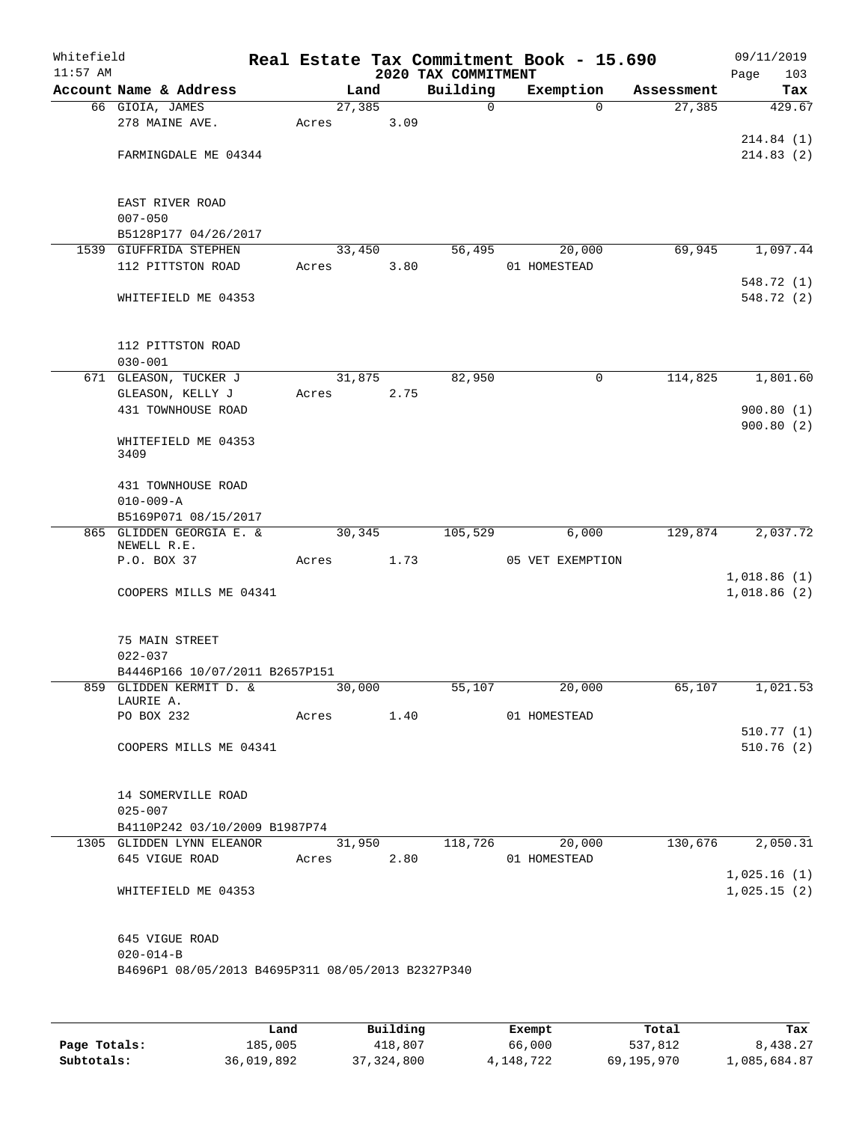| Whitefield<br>$11:57$ AM |                                                   |       |         |      |                                 | Real Estate Tax Commitment Book - 15.690 |            | 09/11/2019           |
|--------------------------|---------------------------------------------------|-------|---------|------|---------------------------------|------------------------------------------|------------|----------------------|
|                          | Account Name & Address                            |       | Land    |      | 2020 TAX COMMITMENT<br>Building | Exemption                                | Assessment | Page<br>103<br>Tax   |
|                          | 66 GIOIA, JAMES                                   |       | 27, 385 |      | 0                               | $\Omega$                                 | 27,385     | 429.67               |
|                          | 278 MAINE AVE.                                    | Acres |         | 3.09 |                                 |                                          |            |                      |
|                          |                                                   |       |         |      |                                 |                                          |            | 214.84(1)            |
|                          | FARMINGDALE ME 04344                              |       |         |      |                                 |                                          |            | 214.83(2)            |
|                          |                                                   |       |         |      |                                 |                                          |            |                      |
|                          |                                                   |       |         |      |                                 |                                          |            |                      |
|                          | EAST RIVER ROAD                                   |       |         |      |                                 |                                          |            |                      |
|                          | $007 - 050$                                       |       |         |      |                                 |                                          |            |                      |
|                          | B5128P177 04/26/2017<br>1539 GIUFFRIDA STEPHEN    |       | 33,450  |      | 56,495                          | 20,000                                   | 69,945     | 1,097.44             |
|                          | 112 PITTSTON ROAD                                 | Acres |         | 3.80 |                                 | 01 HOMESTEAD                             |            |                      |
|                          |                                                   |       |         |      |                                 |                                          |            | 548.72 (1)           |
|                          | WHITEFIELD ME 04353                               |       |         |      |                                 |                                          |            | 548.72 (2)           |
|                          |                                                   |       |         |      |                                 |                                          |            |                      |
|                          | 112 PITTSTON ROAD                                 |       |         |      |                                 |                                          |            |                      |
|                          | $030 - 001$                                       |       |         |      |                                 |                                          |            |                      |
|                          | 671 GLEASON, TUCKER J                             |       | 31,875  |      | 82,950                          | 0                                        | 114,825    | 1,801.60             |
|                          | GLEASON, KELLY J                                  | Acres |         | 2.75 |                                 |                                          |            |                      |
|                          | 431 TOWNHOUSE ROAD                                |       |         |      |                                 |                                          |            | 900.80(1)            |
|                          |                                                   |       |         |      |                                 |                                          |            | 900.80(2)            |
|                          | WHITEFIELD ME 04353<br>3409                       |       |         |      |                                 |                                          |            |                      |
|                          | 431 TOWNHOUSE ROAD                                |       |         |      |                                 |                                          |            |                      |
|                          | $010 - 009 - A$                                   |       |         |      |                                 |                                          |            |                      |
|                          | B5169P071 08/15/2017                              |       |         |      |                                 |                                          |            |                      |
|                          | 865 GLIDDEN GEORGIA E. &                          |       | 30,345  |      | 105,529                         | 6,000                                    | 129,874    | 2,037.72             |
|                          | NEWELL R.E.                                       |       |         |      |                                 |                                          |            |                      |
|                          | P.O. BOX 37                                       | Acres |         | 1.73 |                                 | 05 VET EXEMPTION                         |            |                      |
|                          |                                                   |       |         |      |                                 |                                          |            | 1,018.86(1)          |
|                          | COOPERS MILLS ME 04341                            |       |         |      |                                 |                                          |            | 1,018.86(2)          |
|                          | 75 MAIN STREET                                    |       |         |      |                                 |                                          |            |                      |
|                          | $022 - 037$                                       |       |         |      |                                 |                                          |            |                      |
|                          | B4446P166 10/07/2011 B2657P151                    |       |         |      |                                 |                                          |            |                      |
|                          | 859 GLIDDEN KERMIT D. &                           |       | 30,000  |      | 55,107                          | 20,000                                   | 65,107     | 1,021.53             |
|                          | LAURIE A.                                         |       |         |      |                                 |                                          |            |                      |
|                          |                                                   |       |         |      |                                 |                                          |            |                      |
|                          |                                                   |       |         |      |                                 |                                          |            | 510.77(1)            |
|                          | COOPERS MILLS ME 04341                            |       |         |      |                                 |                                          |            | 510.76(2)            |
|                          | 14 SOMERVILLE ROAD                                |       |         |      |                                 |                                          |            |                      |
|                          | $025 - 007$                                       |       |         |      |                                 |                                          |            |                      |
|                          | B4110P242 03/10/2009 B1987P74                     |       |         |      |                                 |                                          |            |                      |
|                          | 1305 GLIDDEN LYNN ELEANOR                         |       |         |      |                                 | 31,950 118,726 20,000                    |            | $130,676$ $2,050.31$ |
|                          | 645 VIGUE ROAD Acres 2.80                         |       |         |      |                                 | 01 HOMESTEAD                             |            |                      |
|                          |                                                   |       |         |      |                                 |                                          |            | 1,025.16(1)          |
|                          | WHITEFIELD ME 04353                               |       |         |      |                                 |                                          |            | 1,025.15(2)          |
|                          |                                                   |       |         |      |                                 |                                          |            |                      |
|                          | 645 VIGUE ROAD<br>$020 - 014 - B$                 |       |         |      |                                 |                                          |            |                      |
|                          | B4696P1 08/05/2013 B4695P311 08/05/2013 B2327P340 |       |         |      |                                 |                                          |            |                      |
|                          |                                                   |       |         |      |                                 |                                          |            |                      |
|                          |                                                   |       |         |      |                                 |                                          |            |                      |
|                          |                                                   |       |         |      |                                 |                                          |            |                      |

|              | Land       | Building     | Exempt    | Total      | Tax          |
|--------------|------------|--------------|-----------|------------|--------------|
| Page Totals: | 185,005    | 418,807      | 66,000    | 537,812    | 8,438.27     |
| Subtotals:   | 36,019,892 | 37, 324, 800 | 4,148,722 | 69,195,970 | 1,085,684.87 |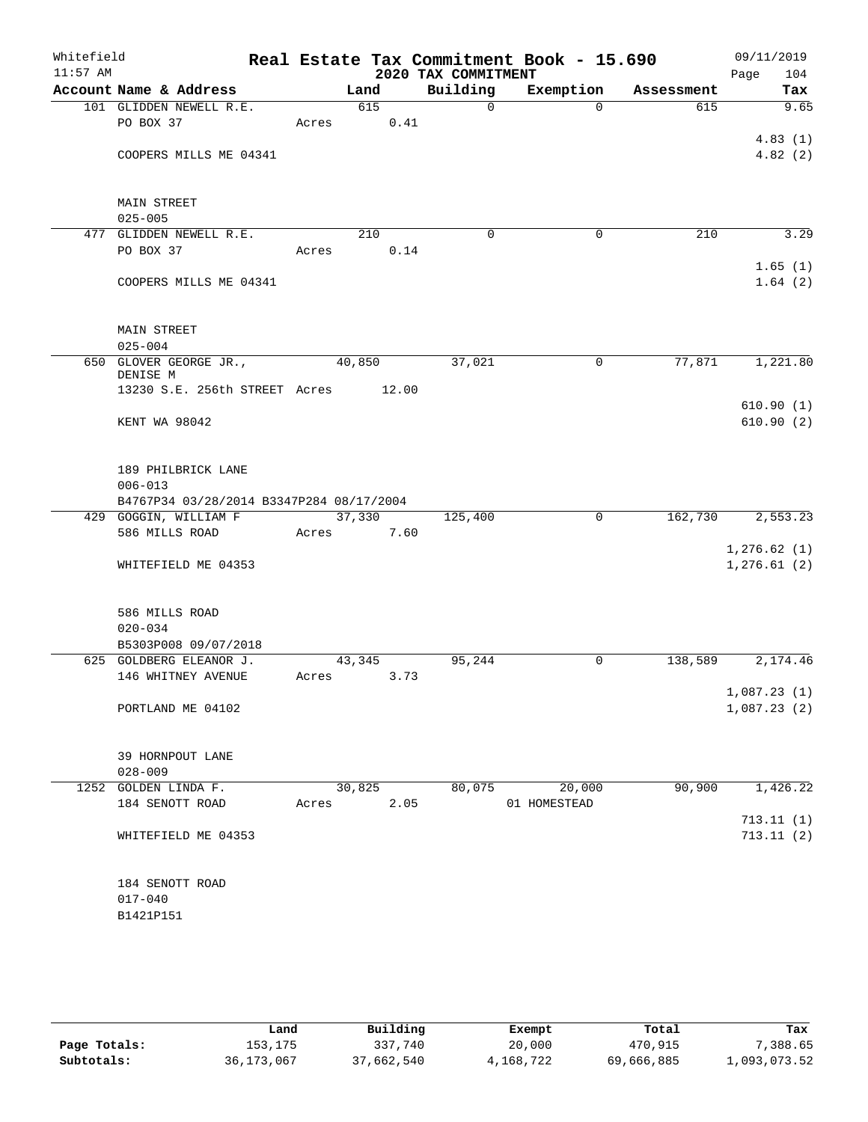| Whitefield<br>$11:57$ AM |                                          |       |            | 2020 TAX COMMITMENT | Real Estate Tax Commitment Book - 15.690 |            | 09/11/2019<br>Page<br>104 |
|--------------------------|------------------------------------------|-------|------------|---------------------|------------------------------------------|------------|---------------------------|
|                          | Account Name & Address                   |       | Land       | Building            | Exemption                                | Assessment | Tax                       |
|                          | 101 GLIDDEN NEWELL R.E.                  |       | 615        | $\mathbf 0$         | $\Omega$                                 | 615        | 9.65                      |
|                          | PO BOX 37                                | Acres | 0.41       |                     |                                          |            |                           |
|                          |                                          |       |            |                     |                                          |            | 4.83(1)                   |
|                          | COOPERS MILLS ME 04341                   |       |            |                     |                                          |            | 4.82(2)                   |
|                          |                                          |       |            |                     |                                          |            |                           |
|                          |                                          |       |            |                     |                                          |            |                           |
|                          | <b>MAIN STREET</b>                       |       |            |                     |                                          |            |                           |
|                          | $025 - 005$                              |       |            |                     |                                          |            |                           |
|                          | 477 GLIDDEN NEWELL R.E.                  |       | 210        | $\mathbf 0$         | 0                                        | 210        | 3.29                      |
|                          | PO BOX 37                                | Acres | 0.14       |                     |                                          |            |                           |
|                          |                                          |       |            |                     |                                          |            | 1.65(1)                   |
|                          | COOPERS MILLS ME 04341                   |       |            |                     |                                          |            | 1.64(2)                   |
|                          |                                          |       |            |                     |                                          |            |                           |
|                          |                                          |       |            |                     |                                          |            |                           |
|                          | <b>MAIN STREET</b>                       |       |            |                     |                                          |            |                           |
|                          | $025 - 004$                              |       |            |                     |                                          |            |                           |
|                          | 650 GLOVER GEORGE JR.,                   |       | 40,850     | 37,021              | 0                                        | 77,871     | 1,221.80                  |
|                          | DENISE M                                 |       |            |                     |                                          |            |                           |
|                          | 13230 S.E. 256th STREET Acres 12.00      |       |            |                     |                                          |            |                           |
|                          |                                          |       |            |                     |                                          |            | 610.90(1)                 |
|                          | KENT WA 98042                            |       |            |                     |                                          |            | 610.90(2)                 |
|                          |                                          |       |            |                     |                                          |            |                           |
|                          |                                          |       |            |                     |                                          |            |                           |
|                          | 189 PHILBRICK LANE                       |       |            |                     |                                          |            |                           |
|                          | $006 - 013$                              |       |            |                     |                                          |            |                           |
|                          | B4767P34 03/28/2014 B3347P284 08/17/2004 |       |            |                     |                                          |            |                           |
|                          | 429 GOGGIN, WILLIAM F                    |       | 37,330     | 125,400             | $\mathbf 0$                              | 162,730    | 2,553.23                  |
|                          | 586 MILLS ROAD                           | Acres | 7.60       |                     |                                          |            |                           |
|                          |                                          |       |            |                     |                                          |            | 1, 276.62(1)              |
|                          | WHITEFIELD ME 04353                      |       |            |                     |                                          |            | 1,276.61(2)               |
|                          |                                          |       |            |                     |                                          |            |                           |
|                          | 586 MILLS ROAD                           |       |            |                     |                                          |            |                           |
|                          | $020 - 034$                              |       |            |                     |                                          |            |                           |
|                          | B5303P008 09/07/2018                     |       |            |                     |                                          |            |                           |
|                          | 625 GOLDBERG ELEANOR J.                  |       | 43,345     | 95,244              | 0                                        | 138,589    | 2,174.46                  |
|                          | 146 WHITNEY AVENUE                       |       | Acres 3.73 |                     |                                          |            |                           |
|                          |                                          |       |            |                     |                                          |            | 1,087.23(1)               |
|                          | PORTLAND ME 04102                        |       |            |                     |                                          |            | 1,087.23(2)               |
|                          |                                          |       |            |                     |                                          |            |                           |
|                          |                                          |       |            |                     |                                          |            |                           |
|                          | 39 HORNPOUT LANE                         |       |            |                     |                                          |            |                           |
|                          | $028 - 009$                              |       |            |                     |                                          |            |                           |
|                          | 1252 GOLDEN LINDA F.                     |       | 30,825     | 80,075              | 20,000                                   | 90,900     | 1,426.22                  |
|                          | 184 SENOTT ROAD                          | Acres | 2.05       |                     | 01 HOMESTEAD                             |            |                           |
|                          |                                          |       |            |                     |                                          |            | 713.11(1)                 |
|                          | WHITEFIELD ME 04353                      |       |            |                     |                                          |            | 713.11(2)                 |
|                          |                                          |       |            |                     |                                          |            |                           |
|                          |                                          |       |            |                     |                                          |            |                           |
|                          | 184 SENOTT ROAD                          |       |            |                     |                                          |            |                           |
|                          | $017 - 040$                              |       |            |                     |                                          |            |                           |
|                          | B1421P151                                |       |            |                     |                                          |            |                           |
|                          |                                          |       |            |                     |                                          |            |                           |
|                          |                                          |       |            |                     |                                          |            |                           |
|                          |                                          |       |            |                     |                                          |            |                           |

|              | Land         | Building   | Exempt    | Total      | Tax          |
|--------------|--------------|------------|-----------|------------|--------------|
| Page Totals: | 153,175      | 337,740    | 20,000    | 470,915    | , 388.65     |
| Subtotals:   | 36, 173, 067 | 37,662,540 | 4,168,722 | 69,666,885 | 1,093,073.52 |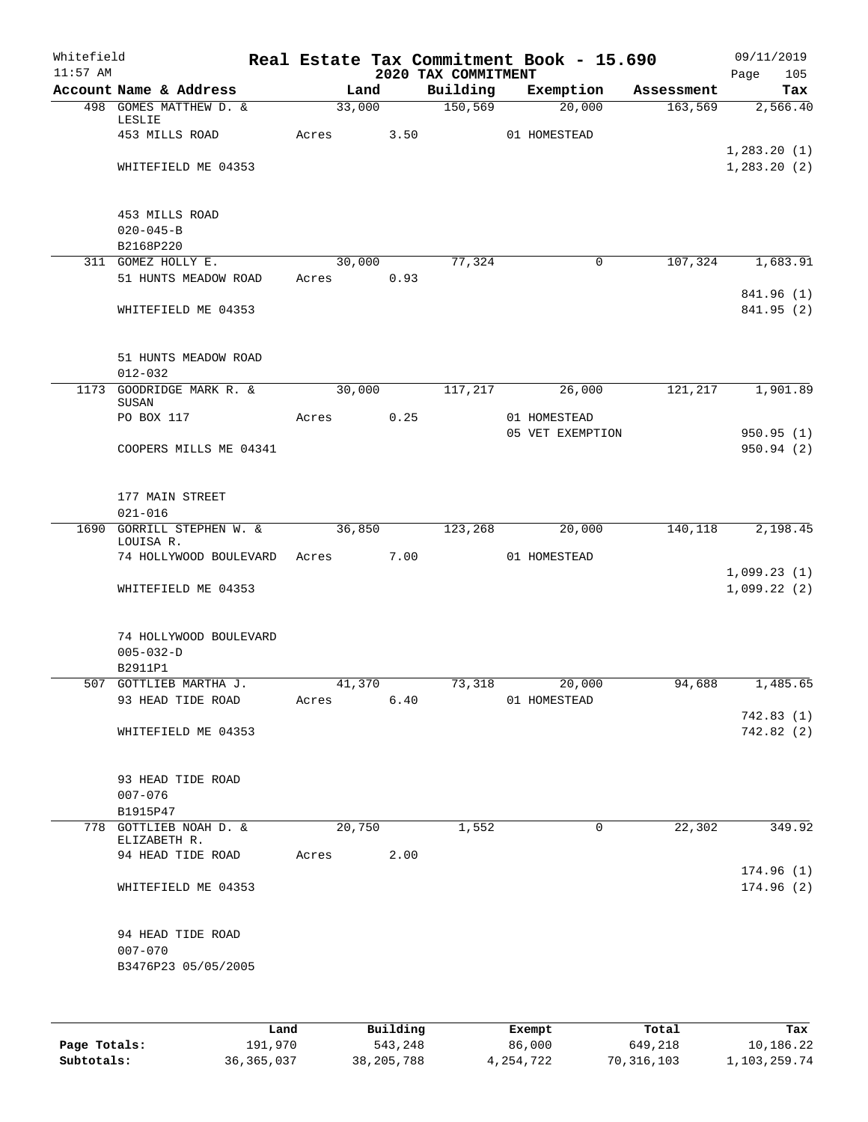| 2020 TAX COMMITMENT<br>Account Name & Address<br>Building<br>Exemption<br>Land<br>Assessment<br>$\overline{150,569}$<br>498 GOMES MATTHEW D. &<br>33,000<br>20,000<br>163,569<br>LESLIE<br>453 MILLS ROAD<br>Acres<br>3.50<br>01 HOMESTEAD<br>1,283.20(1)<br>1,283.20(2)<br>WHITEFIELD ME 04353<br>453 MILLS ROAD<br>$020 - 045 - B$<br>B2168P220<br>311 GOMEZ HOLLY E.<br>30,000<br>77,324<br>$\mathbf 0$<br>107,324<br>1,683.91<br>51 HUNTS MEADOW ROAD<br>Acres 0.93<br>841.96 (1)<br>841.95 (2)<br>WHITEFIELD ME 04353<br>51 HUNTS MEADOW ROAD<br>$012 - 032$<br>30,000<br>1173 GOODRIDGE MARK R. &<br>117,217<br>26,000<br>121,217<br>SUSAN<br>0.25<br>PO BOX 117<br>Acres<br>01 HOMESTEAD<br>05 VET EXEMPTION<br>950.95 (1)<br>COOPERS MILLS ME 04341<br>177 MAIN STREET<br>$021 - 016$<br><b>GORRILL STEPHEN W. &amp;</b><br>1690<br>36,850<br>123,268<br>20,000<br>140,118<br>LOUISA R.<br>74 HOLLYWOOD BOULEVARD Acres<br>7.00<br>01 HOMESTEAD<br>1,099.22(2)<br>WHITEFIELD ME 04353<br>74 HOLLYWOOD BOULEVARD<br>$005 - 032 - D$<br>B2911P1<br>507 GOTTLIEB MARTHA J.<br>41,370<br>73,318<br>20,000<br>94,688<br>1,485.65<br>93 HEAD TIDE ROAD<br>Acres 6.40<br>01 HOMESTEAD<br>742.83(1)<br>742.82(2)<br>WHITEFIELD ME 04353<br>93 HEAD TIDE ROAD<br>$007 - 076$<br>B1915P47<br>1,552<br>20,750<br>$\mathsf{O}$<br>22,302<br>778 GOTTLIEB NOAH D. &<br>ELIZABETH R.<br>94 HEAD TIDE ROAD<br>Acres<br>2.00<br>174.96(1)<br>WHITEFIELD ME 04353<br>94 HEAD TIDE ROAD<br>$007 - 070$<br>B3476P23 05/05/2005 | Whitefield<br>$11:57$ AM |  |  |  | Real Estate Tax Commitment Book - 15.690 | 09/11/2019<br>Page<br>105 |
|---------------------------------------------------------------------------------------------------------------------------------------------------------------------------------------------------------------------------------------------------------------------------------------------------------------------------------------------------------------------------------------------------------------------------------------------------------------------------------------------------------------------------------------------------------------------------------------------------------------------------------------------------------------------------------------------------------------------------------------------------------------------------------------------------------------------------------------------------------------------------------------------------------------------------------------------------------------------------------------------------------------------------------------------------------------------------------------------------------------------------------------------------------------------------------------------------------------------------------------------------------------------------------------------------------------------------------------------------------------------------------------------------------------------------------------------------------------------------------------------------------------------|--------------------------|--|--|--|------------------------------------------|---------------------------|
|                                                                                                                                                                                                                                                                                                                                                                                                                                                                                                                                                                                                                                                                                                                                                                                                                                                                                                                                                                                                                                                                                                                                                                                                                                                                                                                                                                                                                                                                                                                     |                          |  |  |  |                                          | Tax                       |
|                                                                                                                                                                                                                                                                                                                                                                                                                                                                                                                                                                                                                                                                                                                                                                                                                                                                                                                                                                                                                                                                                                                                                                                                                                                                                                                                                                                                                                                                                                                     |                          |  |  |  |                                          | 2,566.40                  |
|                                                                                                                                                                                                                                                                                                                                                                                                                                                                                                                                                                                                                                                                                                                                                                                                                                                                                                                                                                                                                                                                                                                                                                                                                                                                                                                                                                                                                                                                                                                     |                          |  |  |  |                                          |                           |
|                                                                                                                                                                                                                                                                                                                                                                                                                                                                                                                                                                                                                                                                                                                                                                                                                                                                                                                                                                                                                                                                                                                                                                                                                                                                                                                                                                                                                                                                                                                     |                          |  |  |  |                                          |                           |
|                                                                                                                                                                                                                                                                                                                                                                                                                                                                                                                                                                                                                                                                                                                                                                                                                                                                                                                                                                                                                                                                                                                                                                                                                                                                                                                                                                                                                                                                                                                     |                          |  |  |  |                                          |                           |
|                                                                                                                                                                                                                                                                                                                                                                                                                                                                                                                                                                                                                                                                                                                                                                                                                                                                                                                                                                                                                                                                                                                                                                                                                                                                                                                                                                                                                                                                                                                     |                          |  |  |  |                                          |                           |
|                                                                                                                                                                                                                                                                                                                                                                                                                                                                                                                                                                                                                                                                                                                                                                                                                                                                                                                                                                                                                                                                                                                                                                                                                                                                                                                                                                                                                                                                                                                     |                          |  |  |  |                                          |                           |
|                                                                                                                                                                                                                                                                                                                                                                                                                                                                                                                                                                                                                                                                                                                                                                                                                                                                                                                                                                                                                                                                                                                                                                                                                                                                                                                                                                                                                                                                                                                     |                          |  |  |  |                                          |                           |
|                                                                                                                                                                                                                                                                                                                                                                                                                                                                                                                                                                                                                                                                                                                                                                                                                                                                                                                                                                                                                                                                                                                                                                                                                                                                                                                                                                                                                                                                                                                     |                          |  |  |  |                                          |                           |
|                                                                                                                                                                                                                                                                                                                                                                                                                                                                                                                                                                                                                                                                                                                                                                                                                                                                                                                                                                                                                                                                                                                                                                                                                                                                                                                                                                                                                                                                                                                     |                          |  |  |  |                                          |                           |
|                                                                                                                                                                                                                                                                                                                                                                                                                                                                                                                                                                                                                                                                                                                                                                                                                                                                                                                                                                                                                                                                                                                                                                                                                                                                                                                                                                                                                                                                                                                     |                          |  |  |  |                                          |                           |
|                                                                                                                                                                                                                                                                                                                                                                                                                                                                                                                                                                                                                                                                                                                                                                                                                                                                                                                                                                                                                                                                                                                                                                                                                                                                                                                                                                                                                                                                                                                     |                          |  |  |  |                                          |                           |
|                                                                                                                                                                                                                                                                                                                                                                                                                                                                                                                                                                                                                                                                                                                                                                                                                                                                                                                                                                                                                                                                                                                                                                                                                                                                                                                                                                                                                                                                                                                     |                          |  |  |  |                                          |                           |
|                                                                                                                                                                                                                                                                                                                                                                                                                                                                                                                                                                                                                                                                                                                                                                                                                                                                                                                                                                                                                                                                                                                                                                                                                                                                                                                                                                                                                                                                                                                     |                          |  |  |  |                                          |                           |
|                                                                                                                                                                                                                                                                                                                                                                                                                                                                                                                                                                                                                                                                                                                                                                                                                                                                                                                                                                                                                                                                                                                                                                                                                                                                                                                                                                                                                                                                                                                     |                          |  |  |  |                                          |                           |
|                                                                                                                                                                                                                                                                                                                                                                                                                                                                                                                                                                                                                                                                                                                                                                                                                                                                                                                                                                                                                                                                                                                                                                                                                                                                                                                                                                                                                                                                                                                     |                          |  |  |  |                                          |                           |
|                                                                                                                                                                                                                                                                                                                                                                                                                                                                                                                                                                                                                                                                                                                                                                                                                                                                                                                                                                                                                                                                                                                                                                                                                                                                                                                                                                                                                                                                                                                     |                          |  |  |  |                                          | 1,901.89                  |
|                                                                                                                                                                                                                                                                                                                                                                                                                                                                                                                                                                                                                                                                                                                                                                                                                                                                                                                                                                                                                                                                                                                                                                                                                                                                                                                                                                                                                                                                                                                     |                          |  |  |  |                                          |                           |
|                                                                                                                                                                                                                                                                                                                                                                                                                                                                                                                                                                                                                                                                                                                                                                                                                                                                                                                                                                                                                                                                                                                                                                                                                                                                                                                                                                                                                                                                                                                     |                          |  |  |  |                                          |                           |
|                                                                                                                                                                                                                                                                                                                                                                                                                                                                                                                                                                                                                                                                                                                                                                                                                                                                                                                                                                                                                                                                                                                                                                                                                                                                                                                                                                                                                                                                                                                     |                          |  |  |  |                                          | 950.94 (2)                |
|                                                                                                                                                                                                                                                                                                                                                                                                                                                                                                                                                                                                                                                                                                                                                                                                                                                                                                                                                                                                                                                                                                                                                                                                                                                                                                                                                                                                                                                                                                                     |                          |  |  |  |                                          |                           |
|                                                                                                                                                                                                                                                                                                                                                                                                                                                                                                                                                                                                                                                                                                                                                                                                                                                                                                                                                                                                                                                                                                                                                                                                                                                                                                                                                                                                                                                                                                                     |                          |  |  |  |                                          |                           |
|                                                                                                                                                                                                                                                                                                                                                                                                                                                                                                                                                                                                                                                                                                                                                                                                                                                                                                                                                                                                                                                                                                                                                                                                                                                                                                                                                                                                                                                                                                                     |                          |  |  |  |                                          |                           |
|                                                                                                                                                                                                                                                                                                                                                                                                                                                                                                                                                                                                                                                                                                                                                                                                                                                                                                                                                                                                                                                                                                                                                                                                                                                                                                                                                                                                                                                                                                                     |                          |  |  |  |                                          | 2,198.45                  |
|                                                                                                                                                                                                                                                                                                                                                                                                                                                                                                                                                                                                                                                                                                                                                                                                                                                                                                                                                                                                                                                                                                                                                                                                                                                                                                                                                                                                                                                                                                                     |                          |  |  |  |                                          |                           |
|                                                                                                                                                                                                                                                                                                                                                                                                                                                                                                                                                                                                                                                                                                                                                                                                                                                                                                                                                                                                                                                                                                                                                                                                                                                                                                                                                                                                                                                                                                                     |                          |  |  |  |                                          |                           |
|                                                                                                                                                                                                                                                                                                                                                                                                                                                                                                                                                                                                                                                                                                                                                                                                                                                                                                                                                                                                                                                                                                                                                                                                                                                                                                                                                                                                                                                                                                                     |                          |  |  |  |                                          | 1,099.23(1)               |
|                                                                                                                                                                                                                                                                                                                                                                                                                                                                                                                                                                                                                                                                                                                                                                                                                                                                                                                                                                                                                                                                                                                                                                                                                                                                                                                                                                                                                                                                                                                     |                          |  |  |  |                                          |                           |
|                                                                                                                                                                                                                                                                                                                                                                                                                                                                                                                                                                                                                                                                                                                                                                                                                                                                                                                                                                                                                                                                                                                                                                                                                                                                                                                                                                                                                                                                                                                     |                          |  |  |  |                                          |                           |
|                                                                                                                                                                                                                                                                                                                                                                                                                                                                                                                                                                                                                                                                                                                                                                                                                                                                                                                                                                                                                                                                                                                                                                                                                                                                                                                                                                                                                                                                                                                     |                          |  |  |  |                                          |                           |
|                                                                                                                                                                                                                                                                                                                                                                                                                                                                                                                                                                                                                                                                                                                                                                                                                                                                                                                                                                                                                                                                                                                                                                                                                                                                                                                                                                                                                                                                                                                     |                          |  |  |  |                                          |                           |
|                                                                                                                                                                                                                                                                                                                                                                                                                                                                                                                                                                                                                                                                                                                                                                                                                                                                                                                                                                                                                                                                                                                                                                                                                                                                                                                                                                                                                                                                                                                     |                          |  |  |  |                                          |                           |
|                                                                                                                                                                                                                                                                                                                                                                                                                                                                                                                                                                                                                                                                                                                                                                                                                                                                                                                                                                                                                                                                                                                                                                                                                                                                                                                                                                                                                                                                                                                     |                          |  |  |  |                                          |                           |
|                                                                                                                                                                                                                                                                                                                                                                                                                                                                                                                                                                                                                                                                                                                                                                                                                                                                                                                                                                                                                                                                                                                                                                                                                                                                                                                                                                                                                                                                                                                     |                          |  |  |  |                                          |                           |
|                                                                                                                                                                                                                                                                                                                                                                                                                                                                                                                                                                                                                                                                                                                                                                                                                                                                                                                                                                                                                                                                                                                                                                                                                                                                                                                                                                                                                                                                                                                     |                          |  |  |  |                                          |                           |
|                                                                                                                                                                                                                                                                                                                                                                                                                                                                                                                                                                                                                                                                                                                                                                                                                                                                                                                                                                                                                                                                                                                                                                                                                                                                                                                                                                                                                                                                                                                     |                          |  |  |  |                                          |                           |
|                                                                                                                                                                                                                                                                                                                                                                                                                                                                                                                                                                                                                                                                                                                                                                                                                                                                                                                                                                                                                                                                                                                                                                                                                                                                                                                                                                                                                                                                                                                     |                          |  |  |  |                                          |                           |
|                                                                                                                                                                                                                                                                                                                                                                                                                                                                                                                                                                                                                                                                                                                                                                                                                                                                                                                                                                                                                                                                                                                                                                                                                                                                                                                                                                                                                                                                                                                     |                          |  |  |  |                                          |                           |
|                                                                                                                                                                                                                                                                                                                                                                                                                                                                                                                                                                                                                                                                                                                                                                                                                                                                                                                                                                                                                                                                                                                                                                                                                                                                                                                                                                                                                                                                                                                     |                          |  |  |  |                                          |                           |
|                                                                                                                                                                                                                                                                                                                                                                                                                                                                                                                                                                                                                                                                                                                                                                                                                                                                                                                                                                                                                                                                                                                                                                                                                                                                                                                                                                                                                                                                                                                     |                          |  |  |  |                                          | 349.92                    |
|                                                                                                                                                                                                                                                                                                                                                                                                                                                                                                                                                                                                                                                                                                                                                                                                                                                                                                                                                                                                                                                                                                                                                                                                                                                                                                                                                                                                                                                                                                                     |                          |  |  |  |                                          |                           |
|                                                                                                                                                                                                                                                                                                                                                                                                                                                                                                                                                                                                                                                                                                                                                                                                                                                                                                                                                                                                                                                                                                                                                                                                                                                                                                                                                                                                                                                                                                                     |                          |  |  |  |                                          |                           |
|                                                                                                                                                                                                                                                                                                                                                                                                                                                                                                                                                                                                                                                                                                                                                                                                                                                                                                                                                                                                                                                                                                                                                                                                                                                                                                                                                                                                                                                                                                                     |                          |  |  |  |                                          | 174.96(2)                 |
|                                                                                                                                                                                                                                                                                                                                                                                                                                                                                                                                                                                                                                                                                                                                                                                                                                                                                                                                                                                                                                                                                                                                                                                                                                                                                                                                                                                                                                                                                                                     |                          |  |  |  |                                          |                           |
|                                                                                                                                                                                                                                                                                                                                                                                                                                                                                                                                                                                                                                                                                                                                                                                                                                                                                                                                                                                                                                                                                                                                                                                                                                                                                                                                                                                                                                                                                                                     |                          |  |  |  |                                          |                           |
|                                                                                                                                                                                                                                                                                                                                                                                                                                                                                                                                                                                                                                                                                                                                                                                                                                                                                                                                                                                                                                                                                                                                                                                                                                                                                                                                                                                                                                                                                                                     |                          |  |  |  |                                          |                           |
|                                                                                                                                                                                                                                                                                                                                                                                                                                                                                                                                                                                                                                                                                                                                                                                                                                                                                                                                                                                                                                                                                                                                                                                                                                                                                                                                                                                                                                                                                                                     |                          |  |  |  |                                          |                           |
|                                                                                                                                                                                                                                                                                                                                                                                                                                                                                                                                                                                                                                                                                                                                                                                                                                                                                                                                                                                                                                                                                                                                                                                                                                                                                                                                                                                                                                                                                                                     |                          |  |  |  |                                          |                           |
|                                                                                                                                                                                                                                                                                                                                                                                                                                                                                                                                                                                                                                                                                                                                                                                                                                                                                                                                                                                                                                                                                                                                                                                                                                                                                                                                                                                                                                                                                                                     |                          |  |  |  |                                          |                           |

|              | Land         | Building     | Exempt      | Total        | Tax          |
|--------------|--------------|--------------|-------------|--------------|--------------|
| Page Totals: | 191,970      | 543,248      | 86,000      | 649,218      | 10,186.22    |
| Subtotals:   | 36, 365, 037 | 38, 205, 788 | 4, 254, 722 | 70, 316, 103 | 1,103,259.74 |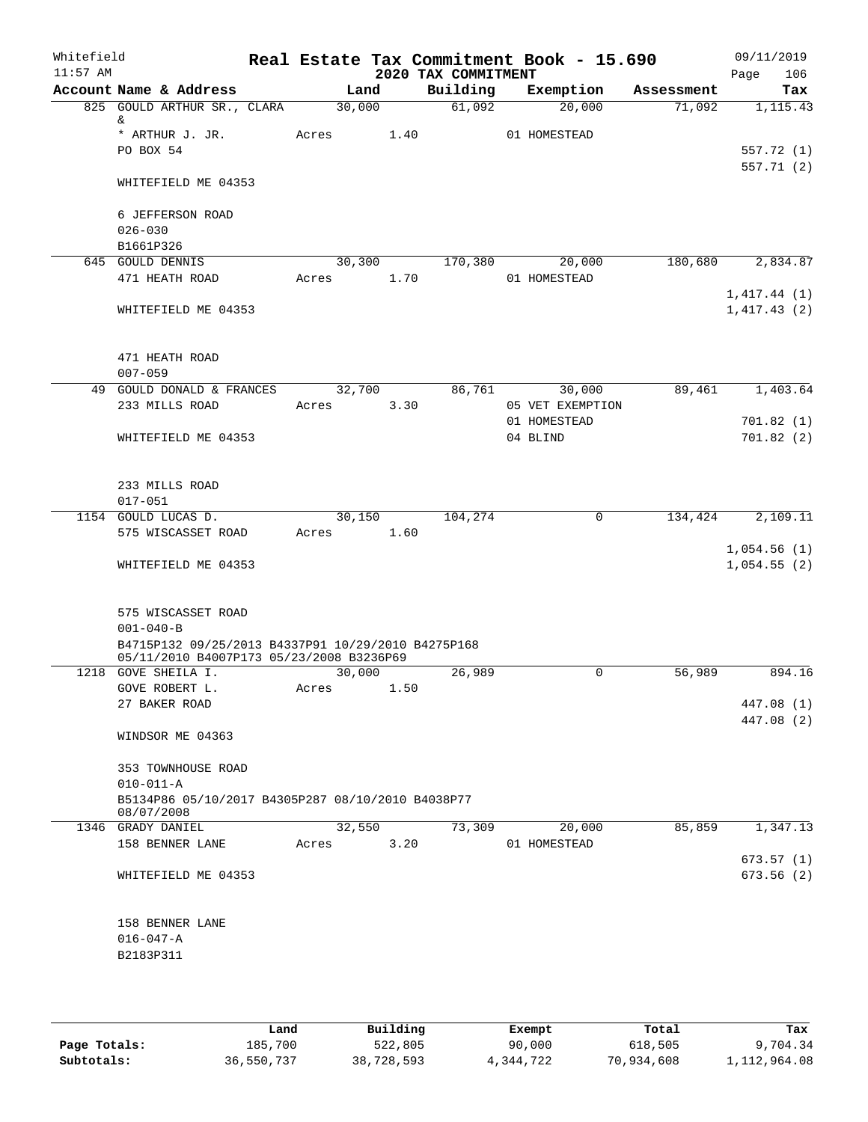| Whitefield<br>$11:57$ AM |                                                                 |       |            |      | 2020 TAX COMMITMENT | Real Estate Tax Commitment Book - 15.690 |            | Page | 09/11/2019<br>106        |
|--------------------------|-----------------------------------------------------------------|-------|------------|------|---------------------|------------------------------------------|------------|------|--------------------------|
|                          | Account Name & Address                                          |       | Land       |      | Building            | Exemption                                | Assessment |      | Tax                      |
|                          | 825 GOULD ARTHUR SR., CLARA                                     |       | 30,000     |      | 61,092              | 20,000                                   | 71,092     |      | 1,115.43                 |
|                          | &                                                               |       |            |      |                     |                                          |            |      |                          |
|                          | * ARTHUR J. JR.                                                 |       | Acres 1.40 |      |                     | 01 HOMESTEAD                             |            |      |                          |
|                          | PO BOX 54                                                       |       |            |      |                     |                                          |            |      | 557.72 (1)               |
|                          |                                                                 |       |            |      |                     |                                          |            |      | 557.71 (2)               |
|                          | WHITEFIELD ME 04353                                             |       |            |      |                     |                                          |            |      |                          |
|                          |                                                                 |       |            |      |                     |                                          |            |      |                          |
|                          | 6 JEFFERSON ROAD                                                |       |            |      |                     |                                          |            |      |                          |
|                          | $026 - 030$                                                     |       |            |      |                     |                                          |            |      |                          |
|                          | B1661P326                                                       |       |            |      |                     |                                          |            |      |                          |
|                          | 645 GOULD DENNIS                                                |       | 30,300     |      | 170,380             | 20,000                                   | 180,680    |      | 2,834.87                 |
|                          | 471 HEATH ROAD                                                  |       | Acres 1.70 |      |                     | 01 HOMESTEAD                             |            |      |                          |
|                          |                                                                 |       |            |      |                     |                                          |            |      | 1,417.44(1)              |
|                          | WHITEFIELD ME 04353                                             |       |            |      |                     |                                          |            |      | 1,417.43(2)              |
|                          |                                                                 |       |            |      |                     |                                          |            |      |                          |
|                          |                                                                 |       |            |      |                     |                                          |            |      |                          |
|                          | 471 HEATH ROAD                                                  |       |            |      |                     |                                          |            |      |                          |
|                          | $007 - 059$                                                     |       |            |      |                     |                                          |            |      |                          |
|                          | 49 GOULD DONALD & FRANCES                                       |       | 32,700     |      | 86,761              | 30,000                                   | 89,461     |      | 1,403.64                 |
|                          | 233 MILLS ROAD                                                  | Acres |            | 3.30 |                     | 05 VET EXEMPTION                         |            |      |                          |
|                          |                                                                 |       |            |      |                     | 01 HOMESTEAD                             |            |      | 701.82(1)                |
|                          | WHITEFIELD ME 04353                                             |       |            |      |                     | 04 BLIND                                 |            |      | 701.82(2)                |
|                          |                                                                 |       |            |      |                     |                                          |            |      |                          |
|                          |                                                                 |       |            |      |                     |                                          |            |      |                          |
|                          | 233 MILLS ROAD                                                  |       |            |      |                     |                                          |            |      |                          |
|                          | $017 - 051$                                                     |       |            |      |                     |                                          |            |      |                          |
|                          | 1154 GOULD LUCAS D.                                             |       | 30,150     |      | 104,274             | $\mathbf 0$                              | 134,424    |      | 2,109.11                 |
|                          | 575 WISCASSET ROAD                                              |       | Acres 1.60 |      |                     |                                          |            |      |                          |
|                          |                                                                 |       |            |      |                     |                                          |            |      | 1,054.56(1)              |
|                          | WHITEFIELD ME 04353                                             |       |            |      |                     |                                          |            |      | 1,054.55(2)              |
|                          |                                                                 |       |            |      |                     |                                          |            |      |                          |
|                          |                                                                 |       |            |      |                     |                                          |            |      |                          |
|                          | 575 WISCASSET ROAD                                              |       |            |      |                     |                                          |            |      |                          |
|                          | $001 - 040 - B$                                                 |       |            |      |                     |                                          |            |      |                          |
|                          | B4715P132 09/25/2013 B4337P91 10/29/2010 B4275P168              |       |            |      |                     |                                          |            |      |                          |
|                          | 05/11/2010 B4007P173 05/23/2008 B3236P69<br>1218 GOVE SHEILA I. |       | 30,000     |      | 26,989              | 0                                        | 56,989     |      | 894.16                   |
|                          | GOVE ROBERT L.                                                  |       |            | 1.50 |                     |                                          |            |      |                          |
|                          |                                                                 | Acres |            |      |                     |                                          |            |      |                          |
|                          | 27 BAKER ROAD                                                   |       |            |      |                     |                                          |            |      | 447.08 (1)<br>447.08 (2) |
|                          | WINDSOR ME 04363                                                |       |            |      |                     |                                          |            |      |                          |
|                          |                                                                 |       |            |      |                     |                                          |            |      |                          |
|                          | 353 TOWNHOUSE ROAD                                              |       |            |      |                     |                                          |            |      |                          |
|                          | $010 - 011 - A$                                                 |       |            |      |                     |                                          |            |      |                          |
|                          | B5134P86 05/10/2017 B4305P287 08/10/2010 B4038P77               |       |            |      |                     |                                          |            |      |                          |
|                          | 08/07/2008                                                      |       |            |      |                     |                                          |            |      |                          |
|                          | 1346 GRADY DANIEL                                               |       | 32,550     |      | 73,309              | 20,000                                   | 85,859     |      | 1,347.13                 |
|                          | 158 BENNER LANE                                                 | Acres |            | 3.20 |                     | 01 HOMESTEAD                             |            |      |                          |
|                          |                                                                 |       |            |      |                     |                                          |            |      | 673.57(1)                |
|                          | WHITEFIELD ME 04353                                             |       |            |      |                     |                                          |            |      | 673.56(2)                |
|                          |                                                                 |       |            |      |                     |                                          |            |      |                          |
|                          |                                                                 |       |            |      |                     |                                          |            |      |                          |
|                          | 158 BENNER LANE                                                 |       |            |      |                     |                                          |            |      |                          |
|                          | $016 - 047 - A$                                                 |       |            |      |                     |                                          |            |      |                          |
|                          | B2183P311                                                       |       |            |      |                     |                                          |            |      |                          |
|                          |                                                                 |       |            |      |                     |                                          |            |      |                          |
|                          |                                                                 |       |            |      |                     |                                          |            |      |                          |
|                          |                                                                 |       |            |      |                     |                                          |            |      |                          |

|              | Land       | Building   | Exempt    | Total      | Tax          |
|--------------|------------|------------|-----------|------------|--------------|
| Page Totals: | 185,700    | 522,805    | 90,000    | 618,505    | 9,704.34     |
| Subtotals:   | 36,550,737 | 38,728,593 | 4,344,722 | 70,934,608 | 1,112,964.08 |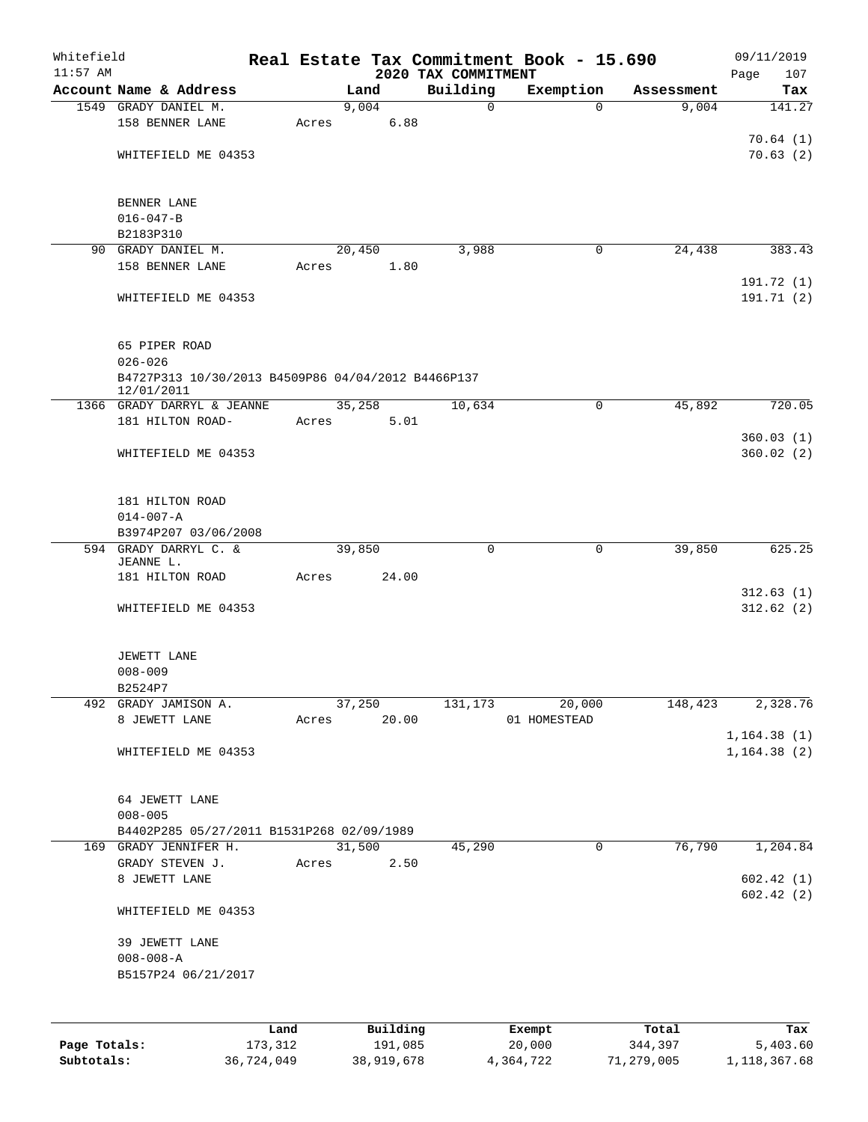| Whitefield<br>$11:57$ AM |                                                    |       |          | 2020 TAX COMMITMENT | Real Estate Tax Commitment Book - 15.690 |            | 09/11/2019<br>107<br>Page |
|--------------------------|----------------------------------------------------|-------|----------|---------------------|------------------------------------------|------------|---------------------------|
|                          | Account Name & Address                             |       | Land     | Building            | Exemption                                | Assessment | Tax                       |
|                          | 1549 GRADY DANIEL M.                               |       | 9,004    | $\mathbf 0$         | $\Omega$                                 | 9,004      | 141.27                    |
|                          | 158 BENNER LANE                                    | Acres | 6.88     |                     |                                          |            |                           |
|                          |                                                    |       |          |                     |                                          |            | 70.64(1)                  |
|                          | WHITEFIELD ME 04353                                |       |          |                     |                                          |            | 70.63(2)                  |
|                          |                                                    |       |          |                     |                                          |            |                           |
|                          |                                                    |       |          |                     |                                          |            |                           |
|                          | BENNER LANE                                        |       |          |                     |                                          |            |                           |
|                          | $016 - 047 - B$<br>B2183P310                       |       |          |                     |                                          |            |                           |
|                          | 90 GRADY DANIEL M.                                 |       | 20,450   | 3,988               | 0                                        | 24,438     | 383.43                    |
|                          | 158 BENNER LANE                                    | Acres | 1.80     |                     |                                          |            |                           |
|                          |                                                    |       |          |                     |                                          |            | 191.72 (1)                |
|                          | WHITEFIELD ME 04353                                |       |          |                     |                                          |            | 191.71 (2)                |
|                          |                                                    |       |          |                     |                                          |            |                           |
|                          |                                                    |       |          |                     |                                          |            |                           |
|                          | 65 PIPER ROAD                                      |       |          |                     |                                          |            |                           |
|                          | $026 - 026$                                        |       |          |                     |                                          |            |                           |
|                          | B4727P313 10/30/2013 B4509P86 04/04/2012 B4466P137 |       |          |                     |                                          |            |                           |
|                          | 12/01/2011<br>1366 GRADY DARRYL & JEANNE           |       | 35,258   | 10,634              | 0                                        | 45,892     | 720.05                    |
|                          | 181 HILTON ROAD-                                   | Acres | 5.01     |                     |                                          |            |                           |
|                          |                                                    |       |          |                     |                                          |            | 360.03(1)                 |
|                          | WHITEFIELD ME 04353                                |       |          |                     |                                          |            | 360.02(2)                 |
|                          |                                                    |       |          |                     |                                          |            |                           |
|                          |                                                    |       |          |                     |                                          |            |                           |
|                          | 181 HILTON ROAD                                    |       |          |                     |                                          |            |                           |
|                          | $014 - 007 - A$                                    |       |          |                     |                                          |            |                           |
|                          | B3974P207 03/06/2008                               |       |          |                     |                                          |            |                           |
|                          | 594 GRADY DARRYL C. &                              |       | 39,850   | $\mathbf 0$         | 0                                        | 39,850     | 625.25                    |
|                          | JEANNE L.                                          |       | 24.00    |                     |                                          |            |                           |
|                          | 181 HILTON ROAD                                    | Acres |          |                     |                                          |            | 312.63(1)                 |
|                          | WHITEFIELD ME 04353                                |       |          |                     |                                          |            | 312.62(2)                 |
|                          |                                                    |       |          |                     |                                          |            |                           |
|                          |                                                    |       |          |                     |                                          |            |                           |
|                          | JEWETT LANE                                        |       |          |                     |                                          |            |                           |
|                          | $008 - 009$                                        |       |          |                     |                                          |            |                           |
|                          | B2524P7                                            |       |          |                     |                                          |            |                           |
|                          | 492 GRADY JAMISON A.                               |       | 37,250   | 131,173             | 20,000                                   | 148,423    | 2,328.76                  |
|                          | 8 JEWETT LANE                                      | Acres | 20.00    |                     | 01 HOMESTEAD                             |            |                           |
|                          |                                                    |       |          |                     |                                          |            | 1, 164.38(1)              |
|                          | WHITEFIELD ME 04353                                |       |          |                     |                                          |            | 1, 164.38(2)              |
|                          |                                                    |       |          |                     |                                          |            |                           |
|                          | 64 JEWETT LANE                                     |       |          |                     |                                          |            |                           |
|                          | $008 - 005$                                        |       |          |                     |                                          |            |                           |
|                          | B4402P285 05/27/2011 B1531P268 02/09/1989          |       |          |                     |                                          |            |                           |
|                          | 169 GRADY JENNIFER H.                              |       | 31,500   | 45,290              | $\mathbf 0$                              | 76,790     | 1,204.84                  |
|                          | GRADY STEVEN J.                                    | Acres | 2.50     |                     |                                          |            |                           |
|                          | 8 JEWETT LANE                                      |       |          |                     |                                          |            | 602.42(1)                 |
|                          |                                                    |       |          |                     |                                          |            | 602.42(2)                 |
|                          | WHITEFIELD ME 04353                                |       |          |                     |                                          |            |                           |
|                          |                                                    |       |          |                     |                                          |            |                           |
|                          | 39 JEWETT LANE                                     |       |          |                     |                                          |            |                           |
|                          | $008 - 008 - A$                                    |       |          |                     |                                          |            |                           |
|                          | B5157P24 06/21/2017                                |       |          |                     |                                          |            |                           |
|                          |                                                    |       |          |                     |                                          |            |                           |
|                          |                                                    |       |          |                     |                                          |            |                           |
|                          |                                                    | Land  | Building |                     | Exempt                                   | Total      | Tax                       |
| Page Totals:             | 173,312                                            |       | 191,085  |                     | 20,000                                   | 344,397    | 5,403.60                  |

**Subtotals:** 36,724,049 38,919,678 4,364,722 71,279,005 1,118,367.68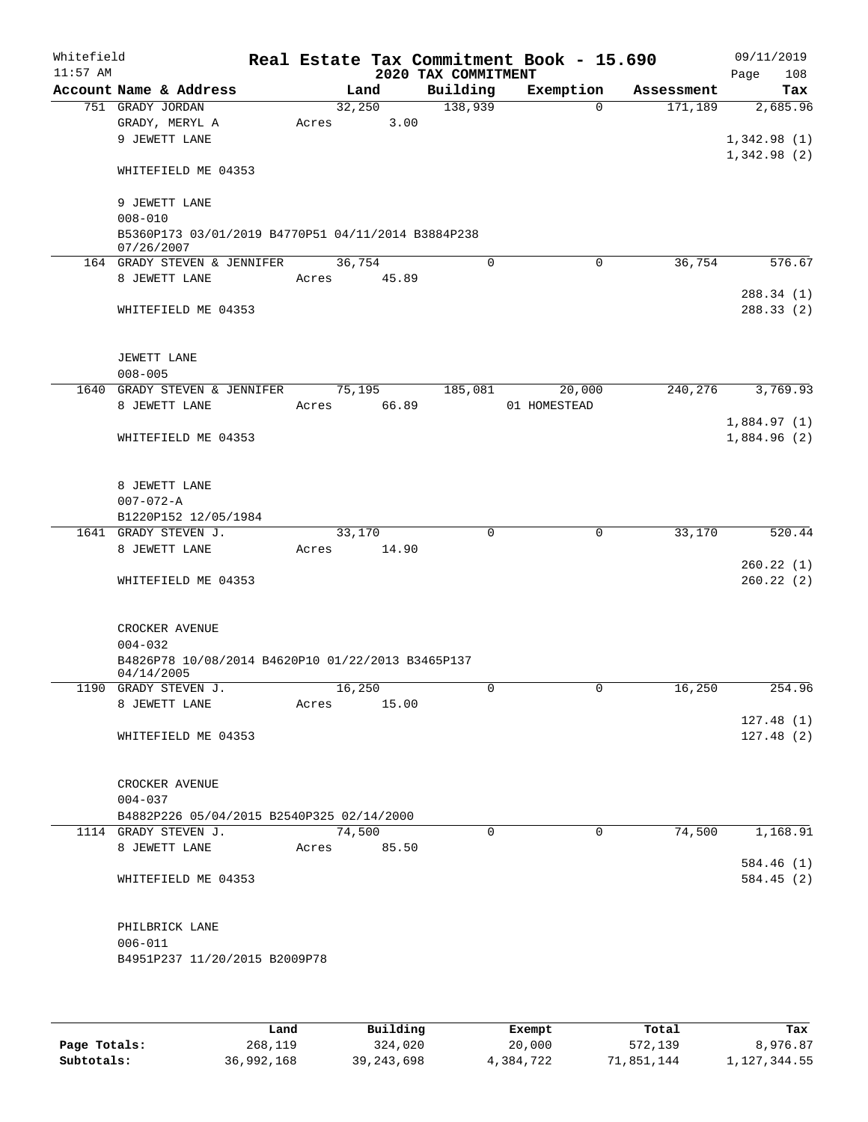| Whitefield<br>$11:57$ AM |                                                                  |             |        |       | 2020 TAX COMMITMENT | Real Estate Tax Commitment Book - 15.690 |            | 09/11/2019<br>108<br>Page |
|--------------------------|------------------------------------------------------------------|-------------|--------|-------|---------------------|------------------------------------------|------------|---------------------------|
|                          | Account Name & Address                                           |             | Land   |       | Building            | Exemption                                | Assessment | Tax                       |
|                          | 751 GRADY JORDAN                                                 |             | 32,250 |       | 138,939             | $\Omega$                                 | 171,189    | 2,685.96                  |
|                          | GRADY, MERYL A                                                   | Acres       |        | 3.00  |                     |                                          |            |                           |
|                          | 9 JEWETT LANE                                                    |             |        |       |                     |                                          |            | 1,342.98(1)               |
|                          |                                                                  |             |        |       |                     |                                          |            | 1,342.98(2)               |
|                          | WHITEFIELD ME 04353                                              |             |        |       |                     |                                          |            |                           |
|                          |                                                                  |             |        |       |                     |                                          |            |                           |
|                          | 9 JEWETT LANE                                                    |             |        |       |                     |                                          |            |                           |
|                          |                                                                  |             |        |       |                     |                                          |            |                           |
|                          | $008 - 010$                                                      |             |        |       |                     |                                          |            |                           |
|                          | B5360P173 03/01/2019 B4770P51 04/11/2014 B3884P238<br>07/26/2007 |             |        |       |                     |                                          |            |                           |
|                          | 164 GRADY STEVEN & JENNIFER                                      |             | 36,754 |       | $\Omega$            | 0                                        | 36,754     | 576.67                    |
|                          | 8 JEWETT LANE                                                    | Acres       | 45.89  |       |                     |                                          |            |                           |
|                          |                                                                  |             |        |       |                     |                                          |            | 288.34(1)                 |
|                          | WHITEFIELD ME 04353                                              |             |        |       |                     |                                          |            | 288.33 (2)                |
|                          |                                                                  |             |        |       |                     |                                          |            |                           |
|                          |                                                                  |             |        |       |                     |                                          |            |                           |
|                          |                                                                  |             |        |       |                     |                                          |            |                           |
|                          | JEWETT LANE                                                      |             |        |       |                     |                                          |            |                           |
|                          | $008 - 005$                                                      |             |        |       |                     |                                          |            |                           |
|                          | 1640 GRADY STEVEN & JENNIFER                                     |             | 75,195 |       | 185,081             | 20,000                                   | 240,276    | 3,769.93                  |
|                          | 8 JEWETT LANE                                                    | Acres       |        | 66.89 |                     | 01 HOMESTEAD                             |            |                           |
|                          |                                                                  |             |        |       |                     |                                          |            | 1,884.97(1)               |
|                          | WHITEFIELD ME 04353                                              |             |        |       |                     |                                          |            | 1,884.96(2)               |
|                          |                                                                  |             |        |       |                     |                                          |            |                           |
|                          |                                                                  |             |        |       |                     |                                          |            |                           |
|                          | 8 JEWETT LANE                                                    |             |        |       |                     |                                          |            |                           |
|                          | $007 - 072 - A$                                                  |             |        |       |                     |                                          |            |                           |
|                          | B1220P152 12/05/1984                                             |             |        |       |                     |                                          |            |                           |
|                          | 1641 GRADY STEVEN J.                                             |             | 33,170 |       | $\Omega$            | $\Omega$                                 | 33,170     | 520.44                    |
|                          | 8 JEWETT LANE                                                    | Acres       |        | 14.90 |                     |                                          |            |                           |
|                          |                                                                  |             |        |       |                     |                                          |            | 260.22(1)                 |
|                          | WHITEFIELD ME 04353                                              |             |        |       |                     |                                          |            | 260.22(2)                 |
|                          |                                                                  |             |        |       |                     |                                          |            |                           |
|                          |                                                                  |             |        |       |                     |                                          |            |                           |
|                          | CROCKER AVENUE                                                   |             |        |       |                     |                                          |            |                           |
|                          | $004 - 032$                                                      |             |        |       |                     |                                          |            |                           |
|                          | B4826P78 10/08/2014 B4620P10 01/22/2013 B3465P137                |             |        |       |                     |                                          |            |                           |
|                          | 04/14/2005                                                       |             |        |       |                     |                                          |            |                           |
|                          | 1190 GRADY STEVEN J.                                             |             | 16,250 |       | 0                   | U                                        | 16,250     | 254.96                    |
|                          | 8 JEWETT LANE                                                    | Acres       |        | 15.00 |                     |                                          |            |                           |
|                          |                                                                  |             |        |       |                     |                                          |            | 127.48(1)                 |
|                          | WHITEFIELD ME 04353                                              |             |        |       |                     |                                          |            | 127.48(2)                 |
|                          |                                                                  |             |        |       |                     |                                          |            |                           |
|                          |                                                                  |             |        |       |                     |                                          |            |                           |
|                          | CROCKER AVENUE                                                   |             |        |       |                     |                                          |            |                           |
|                          | $004 - 037$                                                      |             |        |       |                     |                                          |            |                           |
|                          | B4882P226 05/04/2015 B2540P325 02/14/2000                        |             |        |       |                     |                                          |            |                           |
|                          | 1114 GRADY STEVEN J.                                             |             | 74,500 |       | $\Omega$            | $\Omega$                                 | 74,500     | 1,168.91                  |
|                          | 8 JEWETT LANE                                                    | Acres 85.50 |        |       |                     |                                          |            |                           |
|                          |                                                                  |             |        |       |                     |                                          |            | 584.46(1)                 |
|                          | WHITEFIELD ME 04353                                              |             |        |       |                     |                                          |            | 584.45(2)                 |
|                          |                                                                  |             |        |       |                     |                                          |            |                           |
|                          |                                                                  |             |        |       |                     |                                          |            |                           |
|                          |                                                                  |             |        |       |                     |                                          |            |                           |
|                          | PHILBRICK LANE                                                   |             |        |       |                     |                                          |            |                           |
|                          | $006 - 011$                                                      |             |        |       |                     |                                          |            |                           |
|                          | B4951P237 11/20/2015 B2009P78                                    |             |        |       |                     |                                          |            |                           |
|                          |                                                                  |             |        |       |                     |                                          |            |                           |
|                          |                                                                  |             |        |       |                     |                                          |            |                           |
|                          |                                                                  |             |        |       |                     |                                          |            |                           |

|              | Land       | Building     | Exempt    | Total      | Tax          |
|--------------|------------|--------------|-----------|------------|--------------|
| Page Totals: | 268,119    | 324,020      | 20,000    | 572,139    | 8,976.87     |
| Subtotals:   | 36,992,168 | 39, 243, 698 | 4,384,722 | 71,851,144 | 1,127,344.55 |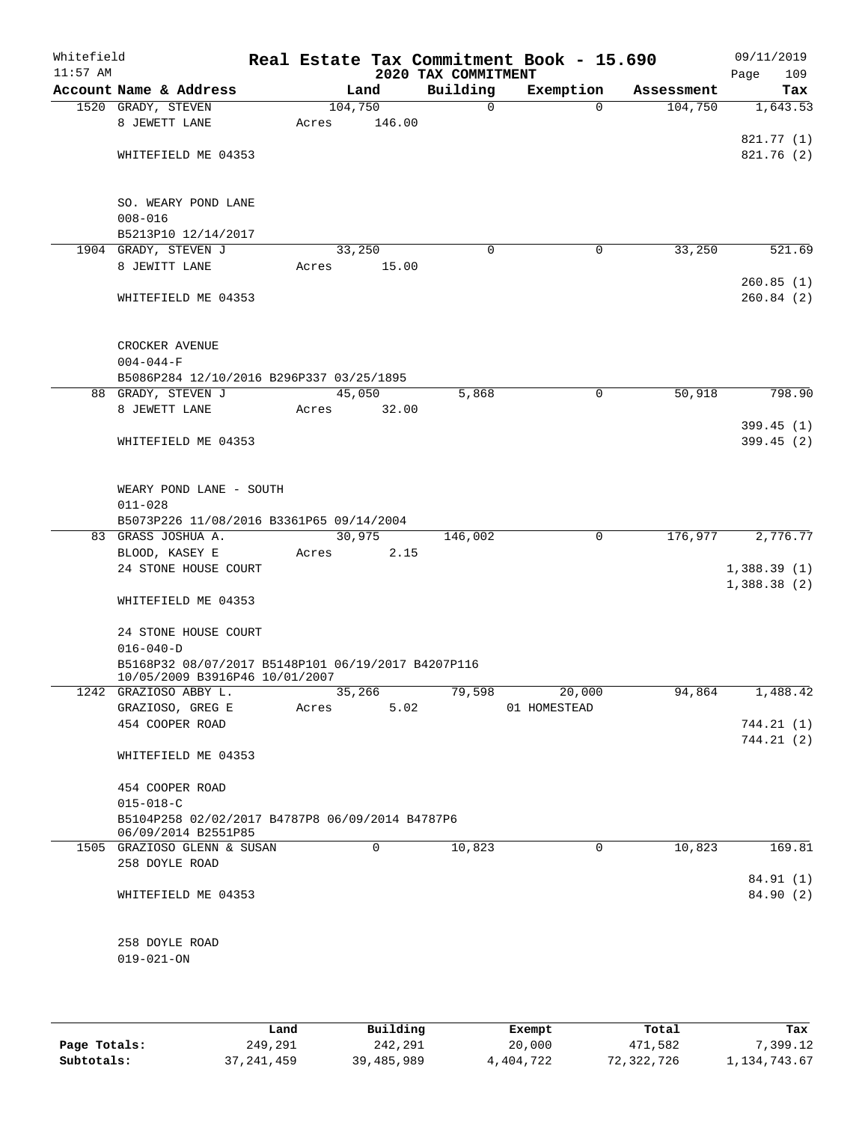| Whitefield<br>$11:57$ AM |                                                                                      |         |             | 2020 TAX COMMITMENT | Real Estate Tax Commitment Book - 15.690 |            | 09/11/2019<br>109<br>Page |
|--------------------------|--------------------------------------------------------------------------------------|---------|-------------|---------------------|------------------------------------------|------------|---------------------------|
|                          | Account Name & Address                                                               |         | Land        | Building            | Exemption                                | Assessment | Tax                       |
|                          | 1520 GRADY, STEVEN                                                                   | 104,750 |             | $\mathbf 0$         | $\Omega$                                 | 104,750    | 1,643.53                  |
|                          | 8 JEWETT LANE                                                                        | Acres   | 146.00      |                     |                                          |            |                           |
|                          |                                                                                      |         |             |                     |                                          |            | 821.77 (1)                |
|                          | WHITEFIELD ME 04353                                                                  |         |             |                     |                                          |            | 821.76(2)                 |
|                          | SO. WEARY POND LANE<br>$008 - 016$                                                   |         |             |                     |                                          |            |                           |
|                          | B5213P10 12/14/2017                                                                  |         |             |                     |                                          |            |                           |
|                          | 1904 GRADY, STEVEN J                                                                 |         | 33,250      | 0                   | 0                                        | 33,250     | 521.69                    |
|                          | 8 JEWITT LANE                                                                        | Acres   | 15.00       |                     |                                          |            |                           |
|                          |                                                                                      |         |             |                     |                                          |            | 260.85(1)                 |
|                          | WHITEFIELD ME 04353                                                                  |         |             |                     |                                          |            | 260.84(2)                 |
|                          | CROCKER AVENUE<br>$004 - 044 - F$                                                    |         |             |                     |                                          |            |                           |
|                          | B5086P284 12/10/2016 B296P337 03/25/1895                                             |         |             |                     |                                          |            |                           |
|                          | 88 GRADY, STEVEN J                                                                   |         | 45,050      | 5,868               | $\mathbf 0$                              | 50,918     | 798.90                    |
|                          | 8 JEWETT LANE                                                                        | Acres   | 32.00       |                     |                                          |            |                           |
|                          |                                                                                      |         |             |                     |                                          |            | 399.45(1)                 |
|                          | WHITEFIELD ME 04353                                                                  |         |             |                     |                                          |            | 399.45(2)                 |
|                          | WEARY POND LANE - SOUTH<br>$011 - 028$                                               |         |             |                     |                                          |            |                           |
|                          | B5073P226 11/08/2016 B3361P65 09/14/2004                                             |         |             |                     |                                          |            |                           |
|                          | 83 GRASS JOSHUA A.                                                                   |         | 30,975      | 146,002             | $\mathbf 0$                              | 176,977    | 2,776.77                  |
|                          | BLOOD, KASEY E                                                                       | Acres   | 2.15        |                     |                                          |            |                           |
|                          | 24 STONE HOUSE COURT                                                                 |         |             |                     |                                          |            | 1,388.39(1)               |
|                          | WHITEFIELD ME 04353                                                                  |         |             |                     |                                          |            | 1,388.38(2)               |
|                          | 24 STONE HOUSE COURT                                                                 |         |             |                     |                                          |            |                           |
|                          | $016 - 040 - D$                                                                      |         |             |                     |                                          |            |                           |
|                          | B5168P32 08/07/2017 B5148P101 06/19/2017 B4207P116<br>10/05/2009 B3916P46 10/01/2007 |         |             |                     |                                          |            |                           |
|                          | 1242 GRAZIOSO ABBY L.                                                                |         | 35,266      | 79,598              | 20,000                                   | 94,864     | 1,488.42                  |
|                          | GRAZIOSO, GREG E                                                                     | Acres   | 5.02        |                     | 01 HOMESTEAD                             |            |                           |
|                          | 454 COOPER ROAD                                                                      |         |             |                     |                                          |            | 744.21(1)                 |
|                          | WHITEFIELD ME 04353                                                                  |         |             |                     |                                          |            | 744.21(2)                 |
|                          | 454 COOPER ROAD                                                                      |         |             |                     |                                          |            |                           |
|                          | $015 - 018 - C$                                                                      |         |             |                     |                                          |            |                           |
|                          | B5104P258 02/02/2017 B4787P8 06/09/2014 B4787P6<br>06/09/2014 B2551P85               |         |             |                     |                                          |            |                           |
|                          | 1505 GRAZIOSO GLENN & SUSAN                                                          |         | $\mathbf 0$ | 10,823              | 0                                        | 10,823     | 169.81                    |
|                          | 258 DOYLE ROAD                                                                       |         |             |                     |                                          |            |                           |
|                          | WHITEFIELD ME 04353                                                                  |         |             |                     |                                          |            | 84.91 (1)<br>84.90 (2)    |
|                          | 258 DOYLE ROAD                                                                       |         |             |                     |                                          |            |                           |
|                          | $019 - 021 - ON$                                                                     |         |             |                     |                                          |            |                           |
|                          |                                                                                      |         |             |                     |                                          |            |                           |
|                          |                                                                                      |         |             |                     |                                          |            |                           |
|                          |                                                                                      |         |             |                     |                                          |            |                           |
|                          |                                                                                      |         |             |                     |                                          |            |                           |

|              | Land         | Building   | Exempt    | Total      | Tax          |
|--------------|--------------|------------|-----------|------------|--------------|
| Page Totals: | 249,291      | 242,291    | 20,000    | 471,582    | 7,399.12     |
| Subtotals:   | 37, 241, 459 | 39,485,989 | 4,404,722 | 72,322,726 | 1,134,743.67 |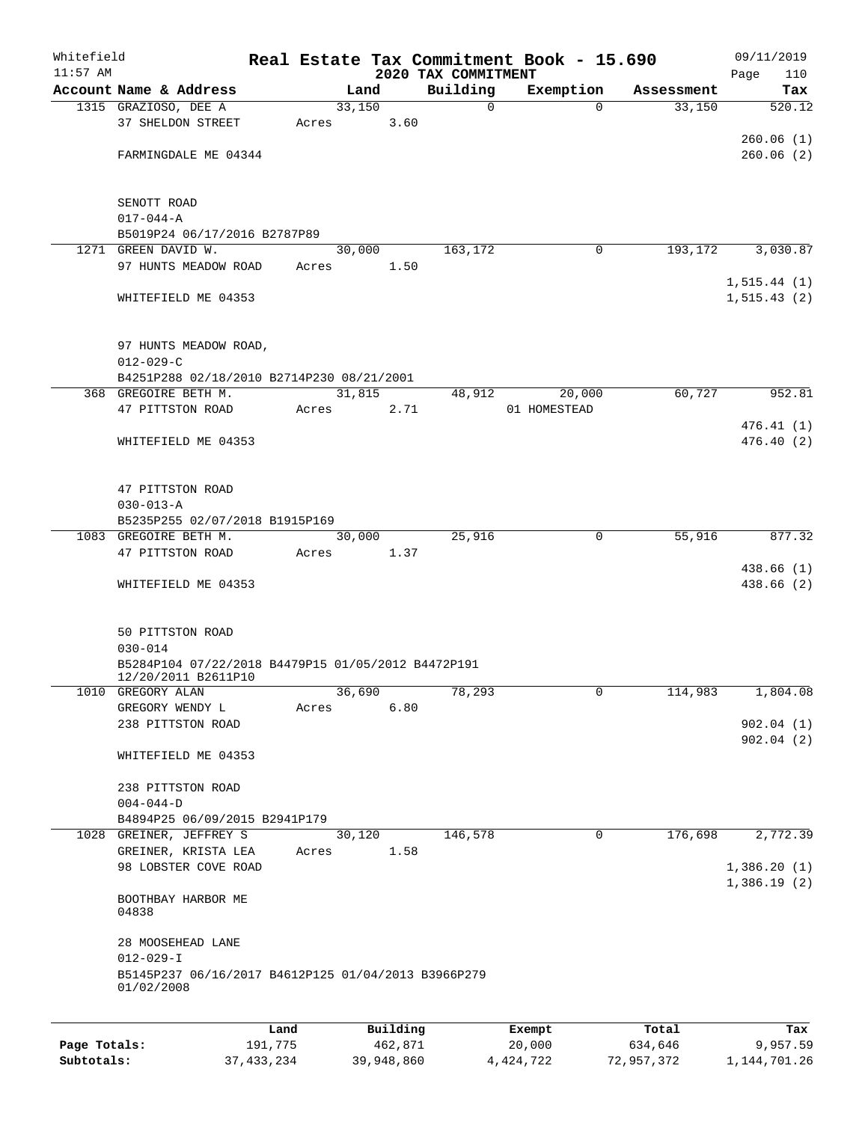| Whitefield |                                                                           |       |                |                                 | Real Estate Tax Commitment Book - 15.690 |            | 09/11/2019         |
|------------|---------------------------------------------------------------------------|-------|----------------|---------------------------------|------------------------------------------|------------|--------------------|
| $11:57$ AM | Account Name & Address                                                    |       | Land           | 2020 TAX COMMITMENT<br>Building | Exemption                                | Assessment | Page<br>110<br>Tax |
|            | 1315 GRAZIOSO, DEE A                                                      |       | 33,150         | $\mathsf{O}$                    | $\Omega$                                 | 33,150     | 520.12             |
|            | 37 SHELDON STREET                                                         | Acres | 3.60           |                                 |                                          |            |                    |
|            |                                                                           |       |                |                                 |                                          |            | 260.06(1)          |
|            | FARMINGDALE ME 04344                                                      |       |                |                                 |                                          |            | 260.06(2)          |
|            |                                                                           |       |                |                                 |                                          |            |                    |
|            |                                                                           |       |                |                                 |                                          |            |                    |
|            | SENOTT ROAD                                                               |       |                |                                 |                                          |            |                    |
|            | $017 - 044 - A$                                                           |       |                |                                 |                                          |            |                    |
|            | B5019P24 06/17/2016 B2787P89<br>1271 GREEN DAVID W.                       |       |                | 163,172                         | 0                                        | 193,172    | 3,030.87           |
|            | 97 HUNTS MEADOW ROAD                                                      | Acres | 30,000<br>1.50 |                                 |                                          |            |                    |
|            |                                                                           |       |                |                                 |                                          |            | 1, 515.44 (1)      |
|            | WHITEFIELD ME 04353                                                       |       |                |                                 |                                          |            | 1, 515.43(2)       |
|            |                                                                           |       |                |                                 |                                          |            |                    |
|            |                                                                           |       |                |                                 |                                          |            |                    |
|            | 97 HUNTS MEADOW ROAD,                                                     |       |                |                                 |                                          |            |                    |
|            | $012 - 029 - C$                                                           |       |                |                                 |                                          |            |                    |
|            | B4251P288 02/18/2010 B2714P230 08/21/2001                                 |       |                |                                 |                                          |            |                    |
|            | 368 GREGOIRE BETH M.<br>47 PITTSTON ROAD                                  | Acres | 31,815<br>2.71 | 48,912                          | 20,000<br>01 HOMESTEAD                   | 60,727     | 952.81             |
|            |                                                                           |       |                |                                 |                                          |            | 476.41(1)          |
|            | WHITEFIELD ME 04353                                                       |       |                |                                 |                                          |            | 476.40(2)          |
|            |                                                                           |       |                |                                 |                                          |            |                    |
|            |                                                                           |       |                |                                 |                                          |            |                    |
|            | 47 PITTSTON ROAD                                                          |       |                |                                 |                                          |            |                    |
|            | $030 - 013 - A$                                                           |       |                |                                 |                                          |            |                    |
|            | B5235P255 02/07/2018 B1915P169                                            |       |                |                                 |                                          |            |                    |
|            | 1083 GREGOIRE BETH M.                                                     |       | 30,000         | 25,916                          | $\mathbf 0$                              | 55,916     | 877.32             |
|            | 47 PITTSTON ROAD                                                          | Acres | 1.37           |                                 |                                          |            | 438.66 (1)         |
|            | WHITEFIELD ME 04353                                                       |       |                |                                 |                                          |            | 438.66 (2)         |
|            |                                                                           |       |                |                                 |                                          |            |                    |
|            |                                                                           |       |                |                                 |                                          |            |                    |
|            | 50 PITTSTON ROAD                                                          |       |                |                                 |                                          |            |                    |
|            | $030 - 014$                                                               |       |                |                                 |                                          |            |                    |
|            | B5284P104 07/22/2018 B4479P15 01/05/2012 B4472P191<br>12/20/2011 B2611P10 |       |                |                                 |                                          |            |                    |
| 1010       | GREGORY ALAN                                                              |       | 36,690         | 78,293                          | 0                                        | 114,983    | 1,804.08           |
|            | GREGORY WENDY L                                                           | Acres | 6.80           |                                 |                                          |            |                    |
|            | 238 PITTSTON ROAD                                                         |       |                |                                 |                                          |            | 902.04(1)          |
|            |                                                                           |       |                |                                 |                                          |            | 902.04(2)          |
|            | WHITEFIELD ME 04353                                                       |       |                |                                 |                                          |            |                    |
|            |                                                                           |       |                |                                 |                                          |            |                    |
|            | 238 PITTSTON ROAD                                                         |       |                |                                 |                                          |            |                    |
|            | $004 - 044 - D$<br>B4894P25 06/09/2015 B2941P179                          |       |                |                                 |                                          |            |                    |
|            | 1028 GREINER, JEFFREY S                                                   |       | 30,120         | 146,578                         | 0                                        | 176,698    | 2,772.39           |
|            | GREINER, KRISTA LEA                                                       | Acres | 1.58           |                                 |                                          |            |                    |
|            | 98 LOBSTER COVE ROAD                                                      |       |                |                                 |                                          |            | 1,386.20(1)        |
|            |                                                                           |       |                |                                 |                                          |            | 1,386.19(2)        |
|            | BOOTHBAY HARBOR ME                                                        |       |                |                                 |                                          |            |                    |
|            | 04838                                                                     |       |                |                                 |                                          |            |                    |
|            | 28 MOOSEHEAD LANE                                                         |       |                |                                 |                                          |            |                    |
|            | $012 - 029 - I$                                                           |       |                |                                 |                                          |            |                    |
|            | B5145P237 06/16/2017 B4612P125 01/04/2013 B3966P279                       |       |                |                                 |                                          |            |                    |
|            | 01/02/2008                                                                |       |                |                                 |                                          |            |                    |
|            |                                                                           |       |                |                                 |                                          |            |                    |
|            |                                                                           | Land  | Building       |                                 | Exempt                                   | Total      | Tax                |

**Page Totals:** 191,775 462,871 20,000 634,646 9,957.59 **Subtotals:** 37,433,234 39,948,860 4,424,722 72,957,372 1,144,701.26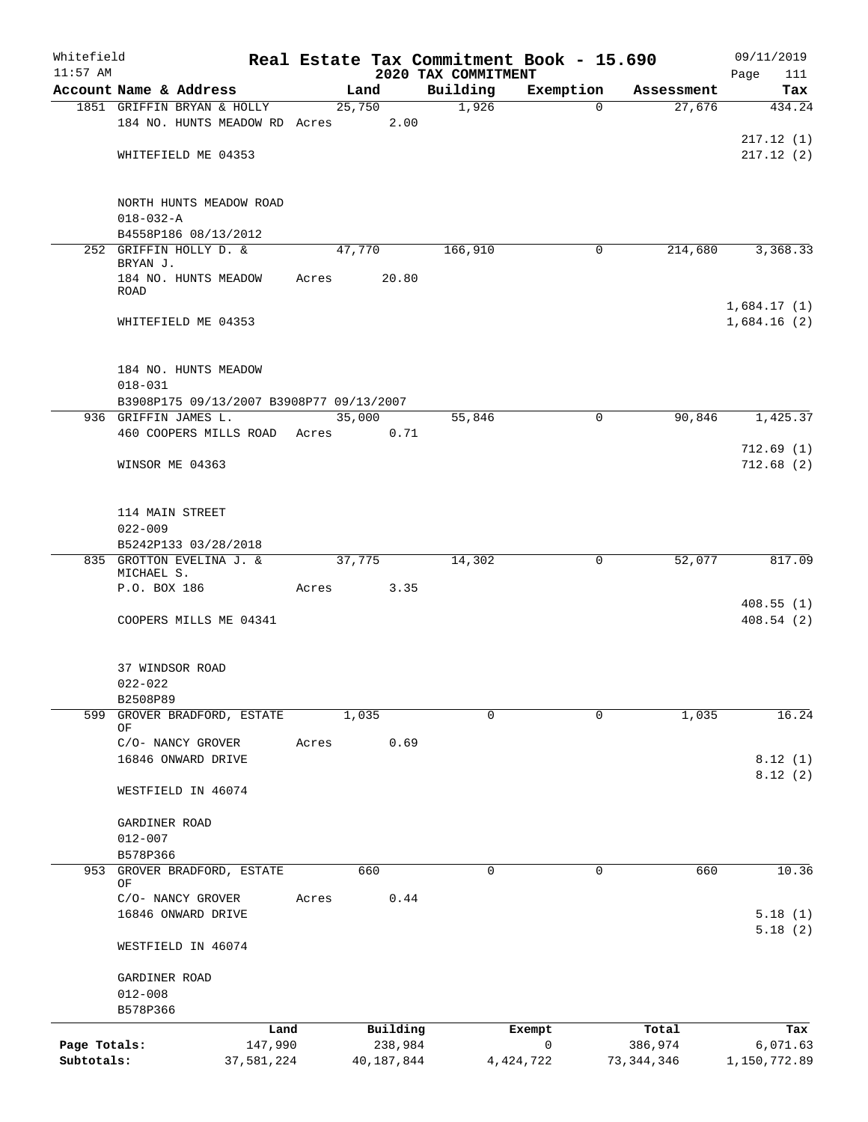| Whitefield<br>$11:57$ AM |                                          |       |            |                                 | Real Estate Tax Commitment Book - 15.690 |            | 09/11/2019             |
|--------------------------|------------------------------------------|-------|------------|---------------------------------|------------------------------------------|------------|------------------------|
|                          | Account Name & Address                   |       | Land       | 2020 TAX COMMITMENT<br>Building | Exemption                                | Assessment | Page<br>111<br>Tax     |
|                          | 1851 GRIFFIN BRYAN & HOLLY               |       | 25,750     | 1,926                           | $\mathbf 0$                              | 27,676     | 434.24                 |
|                          | 184 NO. HUNTS MEADOW RD Acres            |       | 2.00       |                                 |                                          |            |                        |
|                          |                                          |       |            |                                 |                                          |            | 217.12(1)              |
|                          | WHITEFIELD ME 04353                      |       |            |                                 |                                          |            | 217.12(2)              |
|                          |                                          |       |            |                                 |                                          |            |                        |
|                          | NORTH HUNTS MEADOW ROAD                  |       |            |                                 |                                          |            |                        |
|                          | $018 - 032 - A$<br>B4558P186 08/13/2012  |       |            |                                 |                                          |            |                        |
|                          | 252 GRIFFIN HOLLY D. &                   |       | 47,770     | 166,910                         | 0                                        | 214,680    | 3,368.33               |
|                          | BRYAN J.                                 |       |            |                                 |                                          |            |                        |
|                          | 184 NO. HUNTS MEADOW<br>ROAD             | Acres | 20.80      |                                 |                                          |            |                        |
|                          |                                          |       |            |                                 |                                          |            | 1,684.17(1)            |
|                          | WHITEFIELD ME 04353                      |       |            |                                 |                                          |            | 1,684.16(2)            |
|                          | 184 NO. HUNTS MEADOW                     |       |            |                                 |                                          |            |                        |
|                          | $018 - 031$                              |       |            |                                 |                                          |            |                        |
|                          | B3908P175 09/13/2007 B3908P77 09/13/2007 |       |            |                                 |                                          |            |                        |
|                          | 936 GRIFFIN JAMES L.                     |       | 35,000     | 55,846                          | 0                                        | 90,846     | 1,425.37               |
|                          | 460 COOPERS MILLS ROAD Acres             |       | 0.71       |                                 |                                          |            |                        |
|                          | WINSOR ME 04363                          |       |            |                                 |                                          |            | 712.69(1)<br>712.68(2) |
|                          |                                          |       |            |                                 |                                          |            |                        |
|                          | 114 MAIN STREET                          |       |            |                                 |                                          |            |                        |
|                          | $022 - 009$                              |       |            |                                 |                                          |            |                        |
|                          | B5242P133 03/28/2018                     |       |            |                                 |                                          |            |                        |
|                          | 835 GROTTON EVELINA J. &<br>MICHAEL S.   |       | 37,775     | 14,302                          | 0                                        | 52,077     | 817.09                 |
|                          | P.O. BOX 186                             | Acres | 3.35       |                                 |                                          |            |                        |
|                          |                                          |       |            |                                 |                                          |            | 408.55(1)              |
|                          | COOPERS MILLS ME 04341                   |       |            |                                 |                                          |            | 408.54(2)              |
|                          | 37 WINDSOR ROAD                          |       |            |                                 |                                          |            |                        |
|                          | $022 - 022$                              |       |            |                                 |                                          |            |                        |
|                          | B2508P89                                 |       |            |                                 |                                          |            |                        |
| 599                      | GROVER BRADFORD, ESTATE<br>ΟF            |       | 1,035      | 0                               | 0                                        | 1,035      | 16.24                  |
|                          | C/O- NANCY GROVER                        | Acres | 0.69       |                                 |                                          |            |                        |
|                          | 16846 ONWARD DRIVE                       |       |            |                                 |                                          |            | 8.12(1)                |
|                          | WESTFIELD IN 46074                       |       |            |                                 |                                          |            | 8.12(2)                |
|                          |                                          |       |            |                                 |                                          |            |                        |
|                          | GARDINER ROAD<br>$012 - 007$             |       |            |                                 |                                          |            |                        |
|                          | B578P366                                 |       |            |                                 |                                          |            |                        |
| 953                      | GROVER BRADFORD, ESTATE                  |       | 660        | 0                               | $\mathbf 0$                              | 660        | 10.36                  |
|                          | ΟF<br>C/O- NANCY GROVER                  | Acres | 0.44       |                                 |                                          |            |                        |
|                          | 16846 ONWARD DRIVE                       |       |            |                                 |                                          |            | 5.18(1)                |
|                          |                                          |       |            |                                 |                                          |            | 5.18(2)                |
|                          | WESTFIELD IN 46074                       |       |            |                                 |                                          |            |                        |
|                          | GARDINER ROAD                            |       |            |                                 |                                          |            |                        |
|                          | $012 - 008$                              |       |            |                                 |                                          |            |                        |
|                          | B578P366                                 |       |            |                                 |                                          |            |                        |
|                          | Land                                     |       | Building   |                                 | Exempt                                   | Total      | Tax                    |
| Page Totals:             | 147,990                                  |       | 238,984    |                                 | 0                                        | 386,974    | 6,071.63               |
| Subtotals:               | 37,581,224                               |       | 40,187,844 |                                 | 4, 424, 722                              | 73,344,346 | 1,150,772.89           |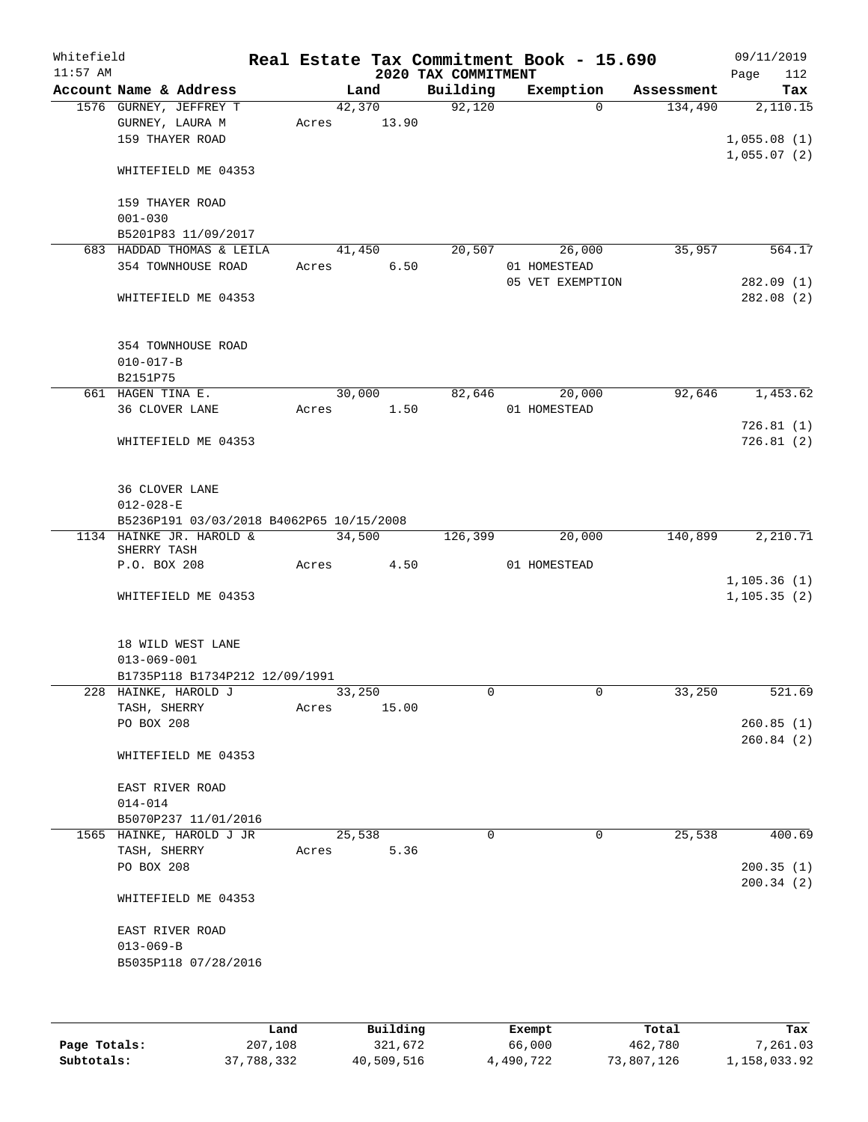| Whitefield<br>$11:57$ AM |                                                              |       |       |                 | Real Estate Tax Commitment Book - 15.690<br>2020 TAX COMMITMENT |              |                  |            | 09/11/2019<br>Page<br>112    |
|--------------------------|--------------------------------------------------------------|-------|-------|-----------------|-----------------------------------------------------------------|--------------|------------------|------------|------------------------------|
|                          | Account Name & Address                                       |       |       | Land            | Building                                                        |              | Exemption        | Assessment | Tax                          |
|                          | 1576 GURNEY, JEFFREY T<br>GURNEY, LAURA M<br>159 THAYER ROAD |       | Acres | 42,370<br>13.90 | 92,120                                                          |              | $\Omega$         | 134,490    | 2,110.15<br>1,055.08(1)      |
|                          | WHITEFIELD ME 04353                                          |       |       |                 |                                                                 |              |                  |            | 1,055.07(2)                  |
|                          | 159 THAYER ROAD<br>$001 - 030$                               |       |       |                 |                                                                 |              |                  |            |                              |
|                          | B5201P83 11/09/2017                                          |       |       |                 |                                                                 |              |                  |            |                              |
|                          | 683 HADDAD THOMAS & LEILA                                    |       |       | 41,450          | 20,507                                                          |              | 26,000           | 35,957     | 564.17                       |
|                          | 354 TOWNHOUSE ROAD                                           |       | Acres | 6.50            |                                                                 | 01 HOMESTEAD | 05 VET EXEMPTION |            | 282.09(1)                    |
|                          | WHITEFIELD ME 04353                                          |       |       |                 |                                                                 |              |                  |            | 282.08(2)                    |
|                          | 354 TOWNHOUSE ROAD<br>$010 - 017 - B$                        |       |       |                 |                                                                 |              |                  |            |                              |
|                          | B2151P75                                                     |       |       |                 |                                                                 |              |                  |            |                              |
|                          | 661 HAGEN TINA E.<br>36 CLOVER LANE                          |       | Acres | 30,000<br>1.50  | 82,646                                                          | 01 HOMESTEAD | 20,000           | 92,646     | 1,453.62                     |
|                          |                                                              |       |       |                 |                                                                 |              |                  |            | 726.81(1)                    |
|                          | WHITEFIELD ME 04353                                          |       |       |                 |                                                                 |              |                  |            | 726.81(2)                    |
|                          | 36 CLOVER LANE<br>$012 - 028 - E$                            |       |       |                 |                                                                 |              |                  |            |                              |
|                          | B5236P191 03/03/2018 B4062P65 10/15/2008                     |       |       |                 |                                                                 |              |                  |            |                              |
|                          | 1134 HAINKE JR. HAROLD &<br>SHERRY TASH                      |       |       | 34,500          | 126,399                                                         |              | 20,000           | 140,899    | 2,210.71                     |
|                          | P.O. BOX 208                                                 |       | Acres | 4.50            |                                                                 | 01 HOMESTEAD |                  |            |                              |
|                          | WHITEFIELD ME 04353                                          |       |       |                 |                                                                 |              |                  |            | 1, 105.36(1)<br>1, 105.35(2) |
|                          | 18 WILD WEST LANE<br>$013 - 069 - 001$                       |       |       |                 |                                                                 |              |                  |            |                              |
|                          | B1735P118 B1734P212 12/09/1991                               |       |       |                 |                                                                 |              |                  |            |                              |
|                          | 228 HAINKE, HAROLD J                                         |       |       | 33,250          | 0                                                               |              | 0                | 33,250     | 521.69                       |
|                          | TASH, SHERRY<br>PO BOX 208                                   | Acres |       | 15.00           |                                                                 |              |                  |            | 260.85(1)                    |
|                          |                                                              |       |       |                 |                                                                 |              |                  |            | 260.84(2)                    |
|                          | WHITEFIELD ME 04353                                          |       |       |                 |                                                                 |              |                  |            |                              |
|                          | EAST RIVER ROAD<br>$014 - 014$                               |       |       |                 |                                                                 |              |                  |            |                              |
|                          | B5070P237 11/01/2016                                         |       |       |                 |                                                                 |              |                  |            |                              |
|                          | 1565 HAINKE, HAROLD J JR                                     |       |       | 25,538          | $\Omega$                                                        |              | 0                | 25,538     | 400.69                       |
|                          | TASH, SHERRY<br>PO BOX 208                                   | Acres |       | 5.36            |                                                                 |              |                  |            | 200.35(1)                    |
|                          | WHITEFIELD ME 04353                                          |       |       |                 |                                                                 |              |                  |            | 200.34(2)                    |
|                          | EAST RIVER ROAD<br>$013 - 069 - B$<br>B5035P118 07/28/2016   |       |       |                 |                                                                 |              |                  |            |                              |
|                          |                                                              |       |       |                 |                                                                 |              |                  |            |                              |
|                          |                                                              |       |       |                 |                                                                 |              |                  |            |                              |

|              | Land       | Building   | Exempt    | Total      | Tax          |
|--------------|------------|------------|-----------|------------|--------------|
| Page Totals: | 207,108    | 321,672    | 66,000    | 462,780    | 7,261.03     |
| Subtotals:   | 37,788,332 | 40,509,516 | 4,490,722 | 73,807,126 | 1,158,033.92 |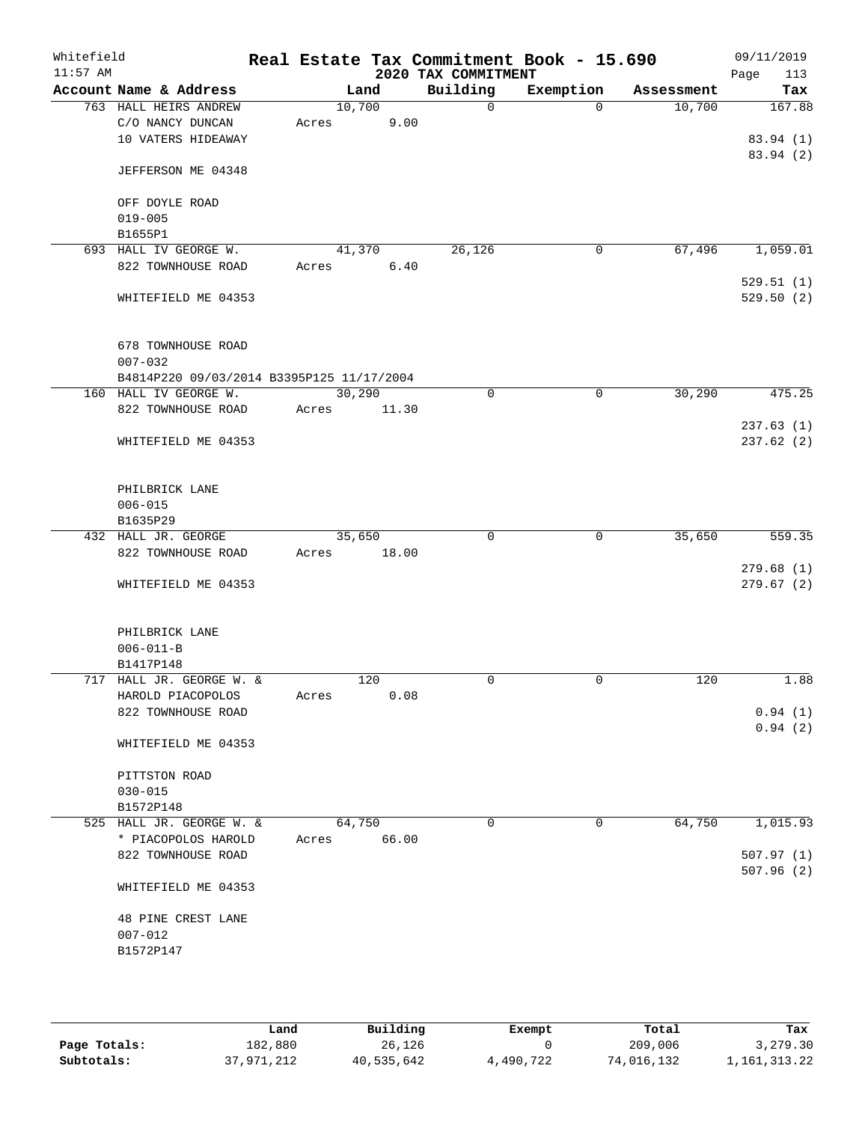| Whitefield<br>$11:57$ AM |                                           |        |       | 2020 TAX COMMITMENT | Real Estate Tax Commitment Book - 15.690 |            | 09/11/2019<br>Page<br>113 |
|--------------------------|-------------------------------------------|--------|-------|---------------------|------------------------------------------|------------|---------------------------|
|                          | Account Name & Address                    |        | Land  | Building            | Exemption                                | Assessment | Tax                       |
|                          | 763 HALL HEIRS ANDREW                     | 10,700 |       | $\Omega$            | $\Omega$                                 | 10,700     | 167.88                    |
|                          | C/O NANCY DUNCAN                          | Acres  | 9.00  |                     |                                          |            |                           |
|                          | 10 VATERS HIDEAWAY                        |        |       |                     |                                          |            | 83.94 (1)                 |
|                          | JEFFERSON ME 04348                        |        |       |                     |                                          |            | 83.94 (2)                 |
|                          | OFF DOYLE ROAD                            |        |       |                     |                                          |            |                           |
|                          | $019 - 005$                               |        |       |                     |                                          |            |                           |
|                          | B1655P1                                   |        |       |                     |                                          |            |                           |
|                          | 693 HALL IV GEORGE W.                     | 41,370 |       | 26,126              | 0                                        | 67,496     | 1,059.01                  |
|                          | 822 TOWNHOUSE ROAD                        | Acres  | 6.40  |                     |                                          |            |                           |
|                          |                                           |        |       |                     |                                          |            | 529.51(1)                 |
|                          | WHITEFIELD ME 04353                       |        |       |                     |                                          |            | 529.50(2)                 |
|                          | 678 TOWNHOUSE ROAD                        |        |       |                     |                                          |            |                           |
|                          | $007 - 032$                               |        |       |                     |                                          |            |                           |
|                          | B4814P220 09/03/2014 B3395P125 11/17/2004 |        |       |                     |                                          |            |                           |
|                          | 160 HALL IV GEORGE W.                     | 30,290 |       | $\mathbf 0$         | 0                                        | 30,290     | 475.25                    |
|                          | 822 TOWNHOUSE ROAD                        | Acres  | 11.30 |                     |                                          |            |                           |
|                          |                                           |        |       |                     |                                          |            | 237.63(1)                 |
|                          | WHITEFIELD ME 04353                       |        |       |                     |                                          |            | 237.62 (2)                |
|                          | PHILBRICK LANE                            |        |       |                     |                                          |            |                           |
|                          | $006 - 015$                               |        |       |                     |                                          |            |                           |
|                          | B1635P29                                  |        |       |                     |                                          |            |                           |
|                          | 432 HALL JR. GEORGE                       | 35,650 |       | $\mathbf 0$         | 0                                        | 35,650     | 559.35                    |
|                          | 822 TOWNHOUSE ROAD                        | Acres  | 18.00 |                     |                                          |            |                           |
|                          |                                           |        |       |                     |                                          |            | 279.68(1)                 |
|                          | WHITEFIELD ME 04353                       |        |       |                     |                                          |            | 279.67(2)                 |
|                          | PHILBRICK LANE                            |        |       |                     |                                          |            |                           |
|                          | $006 - 011 - B$                           |        |       |                     |                                          |            |                           |
|                          | B1417P148                                 |        |       |                     |                                          |            |                           |
|                          | 717 HALL JR. GEORGE W. &                  |        | 120   | 0                   | 0                                        | 120        | 1.88                      |
|                          | HAROLD PIACOPOLOS                         | Acres  | 0.08  |                     |                                          |            |                           |
|                          | 822 TOWNHOUSE ROAD                        |        |       |                     |                                          |            | 0.94(1)                   |
|                          | WHITEFIELD ME 04353                       |        |       |                     |                                          |            | 0.94(2)                   |
|                          | PITTSTON ROAD                             |        |       |                     |                                          |            |                           |
|                          | $030 - 015$                               |        |       |                     |                                          |            |                           |
|                          | B1572P148                                 |        |       |                     |                                          |            |                           |
|                          | 525 HALL JR. GEORGE W. &                  | 64,750 |       | 0                   | 0                                        | 64,750     | 1,015.93                  |
|                          | * PIACOPOLOS HAROLD                       | Acres  | 66.00 |                     |                                          |            |                           |
|                          | 822 TOWNHOUSE ROAD                        |        |       |                     |                                          |            | 507.97(1)                 |
|                          | WHITEFIELD ME 04353                       |        |       |                     |                                          |            | 507.96(2)                 |
|                          |                                           |        |       |                     |                                          |            |                           |
|                          | 48 PINE CREST LANE                        |        |       |                     |                                          |            |                           |
|                          | $007 - 012$                               |        |       |                     |                                          |            |                           |
|                          | B1572P147                                 |        |       |                     |                                          |            |                           |
|                          |                                           |        |       |                     |                                          |            |                           |
|                          |                                           |        |       |                     |                                          |            |                           |

|              | Land       | Building   | Exempt    | Total      | Tax             |
|--------------|------------|------------|-----------|------------|-----------------|
| Page Totals: | 182,880    | 26,126     |           | 209,006    | 3,279.30        |
| Subtotals:   | 37,971,212 | 40,535,642 | 4,490,722 | 74,016,132 | 1, 161, 313. 22 |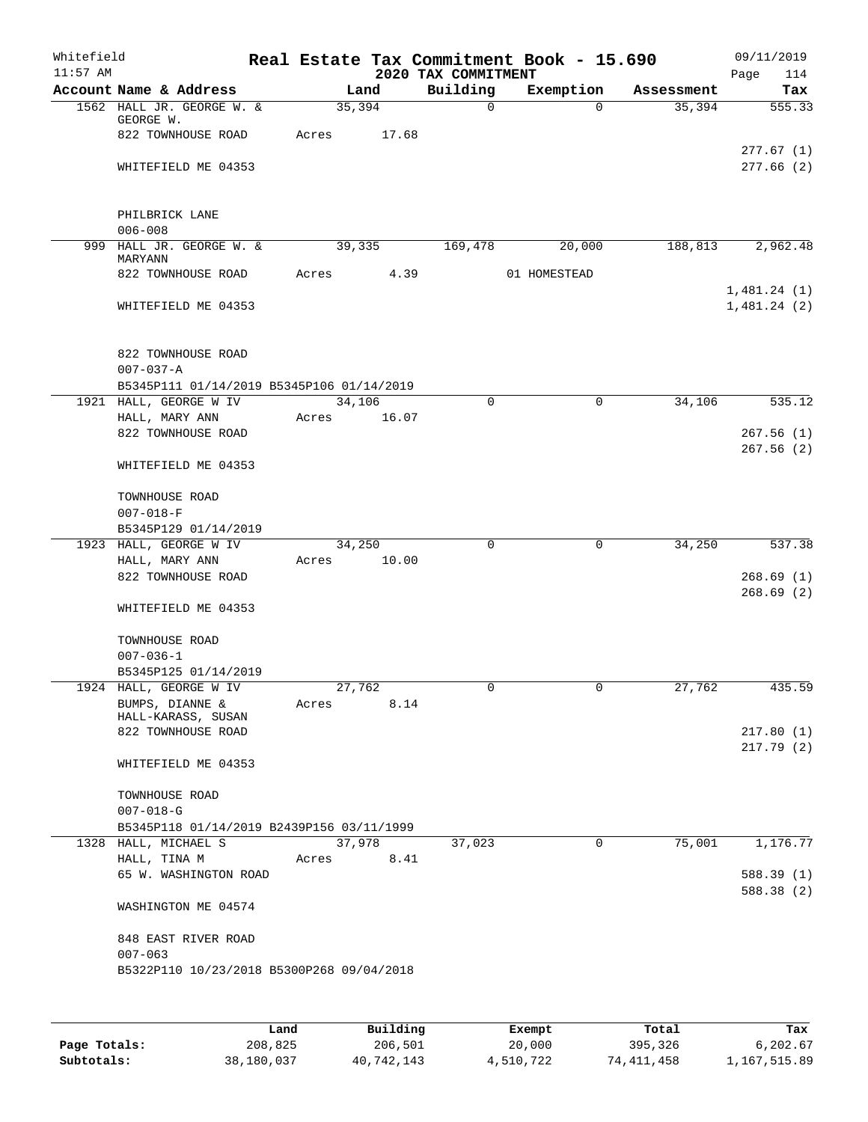| Whitefield<br>$11:57$ AM |                                           |       |                | 2020 TAX COMMITMENT | Real Estate Tax Commitment Book - 15.690 |            | 09/11/2019<br>Page<br>114 |
|--------------------------|-------------------------------------------|-------|----------------|---------------------|------------------------------------------|------------|---------------------------|
|                          | Account Name & Address                    |       | Land           | Building            | Exemption                                | Assessment | Tax                       |
|                          | 1562 HALL JR. GEORGE W. &                 |       | 35,394         | $\mathbf 0$         | $\Omega$                                 | 35,394     | 555.33                    |
|                          | GEORGE W.<br>822 TOWNHOUSE ROAD           | Acres | 17.68          |                     |                                          |            |                           |
|                          | WHITEFIELD ME 04353                       |       |                |                     |                                          |            | 277.67(1)<br>277.66(2)    |
|                          | PHILBRICK LANE<br>$006 - 008$             |       |                |                     |                                          |            |                           |
|                          | 999 HALL JR. GEORGE W. &<br>MARYANN       |       | 39,335         | 169,478             | 20,000                                   |            | 188,813 2,962.48          |
|                          | 822 TOWNHOUSE ROAD                        | Acres | 4.39           |                     | 01 HOMESTEAD                             |            | 1,481.24(1)               |
|                          | WHITEFIELD ME 04353                       |       |                |                     |                                          |            | 1,481.24(2)               |
|                          | 822 TOWNHOUSE ROAD<br>$007 - 037 - A$     |       |                |                     |                                          |            |                           |
|                          | B5345P111 01/14/2019 B5345P106 01/14/2019 |       |                |                     |                                          |            |                           |
|                          | 1921 HALL, GEORGE W IV                    |       | 34,106         | $\Omega$            | 0                                        | 34,106     | 535.12                    |
|                          | HALL, MARY ANN                            | Acres | 16.07          |                     |                                          |            |                           |
|                          | 822 TOWNHOUSE ROAD                        |       |                |                     |                                          |            | 267.56(1)<br>267.56(2)    |
|                          | WHITEFIELD ME 04353                       |       |                |                     |                                          |            |                           |
|                          | TOWNHOUSE ROAD<br>$007 - 018 - F$         |       |                |                     |                                          |            |                           |
|                          | B5345P129 01/14/2019                      |       |                |                     |                                          |            |                           |
|                          | 1923 HALL, GEORGE W IV                    |       | 34,250         | $\mathbf 0$         | $\mathbf 0$                              | 34,250     | 537.38                    |
|                          | HALL, MARY ANN                            | Acres | 10.00          |                     |                                          |            |                           |
|                          | 822 TOWNHOUSE ROAD                        |       |                |                     |                                          |            | 268.69(1)                 |
|                          | WHITEFIELD ME 04353                       |       |                |                     |                                          |            | 268.69(2)                 |
|                          | TOWNHOUSE ROAD                            |       |                |                     |                                          |            |                           |
|                          | $007 - 036 - 1$                           |       |                |                     |                                          |            |                           |
|                          | B5345P125 01/14/2019                      |       |                |                     |                                          |            |                           |
|                          | 1924 HALL, GEORGE W IV<br>BUMPS, DIANNE & | Acres | 27,762<br>8.14 | 0                   | $\overline{0}$                           | 27,762     | 435.59                    |
|                          | HALL-KARASS, SUSAN                        |       |                |                     |                                          |            | 217.80(1)                 |
|                          | 822 TOWNHOUSE ROAD                        |       |                |                     |                                          |            | 217.79(2)                 |
|                          | WHITEFIELD ME 04353                       |       |                |                     |                                          |            |                           |
|                          | TOWNHOUSE ROAD                            |       |                |                     |                                          |            |                           |
|                          | $007 - 018 - G$                           |       |                |                     |                                          |            |                           |
|                          | B5345P118 01/14/2019 B2439P156 03/11/1999 |       |                |                     |                                          |            |                           |
|                          | 1328 HALL, MICHAEL S                      |       | 37,978         | 37,023              | 0                                        | 75,001     | 1,176.77                  |
|                          | HALL, TINA M                              | Acres | 8.41           |                     |                                          |            |                           |
|                          | 65 W. WASHINGTON ROAD                     |       |                |                     |                                          |            | 588.39(1)<br>588.38 (2)   |
|                          | WASHINGTON ME 04574                       |       |                |                     |                                          |            |                           |
|                          | 848 EAST RIVER ROAD<br>$007 - 063$        |       |                |                     |                                          |            |                           |
|                          | B5322P110 10/23/2018 B5300P268 09/04/2018 |       |                |                     |                                          |            |                           |
|                          |                                           |       |                |                     |                                          |            |                           |

|              | Land       | Building   | Exempt    | Total      | Tax          |
|--------------|------------|------------|-----------|------------|--------------|
| Page Totals: | 208,825    | 206,501    | 20,000    | 395,326    | 6,202.67     |
| Subtotals:   | 38,180,037 | 40,742,143 | 4,510,722 | 74,411,458 | 1,167,515.89 |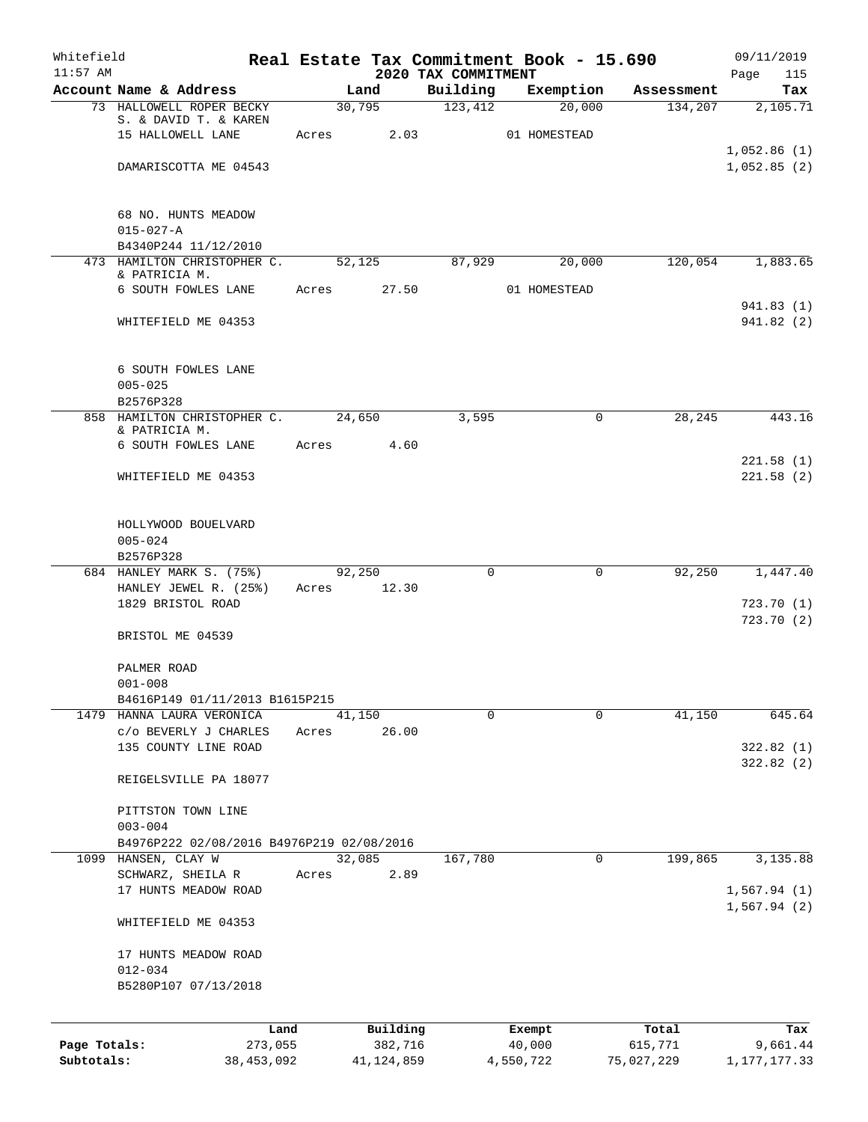| Whitefield<br>$11:57$ AM |                                                             |                 |              |                                 | Real Estate Tax Commitment Book - 15.690 |            | 09/11/2019                 |
|--------------------------|-------------------------------------------------------------|-----------------|--------------|---------------------------------|------------------------------------------|------------|----------------------------|
|                          | Account Name & Address                                      |                 | Land         | 2020 TAX COMMITMENT<br>Building | Exemption                                | Assessment | 115<br>Page<br>Tax         |
|                          | 73 HALLOWELL ROPER BECKY                                    | 30,795          |              | 123,412                         | 20,000                                   | 134,207    | 2,105.71                   |
|                          | S. & DAVID T. & KAREN<br>15 HALLOWELL LANE                  | Acres           | 2.03         |                                 | 01 HOMESTEAD                             |            |                            |
|                          | DAMARISCOTTA ME 04543                                       |                 |              |                                 |                                          |            | 1,052.86(1)<br>1,052.85(2) |
|                          | 68 NO. HUNTS MEADOW                                         |                 |              |                                 |                                          |            |                            |
|                          | $015 - 027 - A$<br>B4340P244 11/12/2010                     |                 |              |                                 |                                          |            |                            |
|                          | 473 HAMILTON CHRISTOPHER C.                                 | 52,125          |              | 87,929                          | 20,000                                   | 120,054    | 1,883.65                   |
|                          | & PATRICIA M.                                               |                 |              |                                 |                                          |            |                            |
|                          | 6 SOUTH FOWLES LANE                                         | Acres           | 27.50        |                                 | 01 HOMESTEAD                             |            | 941.83 (1)                 |
|                          | WHITEFIELD ME 04353                                         |                 |              |                                 |                                          |            | 941.82(2)                  |
|                          | 6 SOUTH FOWLES LANE                                         |                 |              |                                 |                                          |            |                            |
|                          | $005 - 025$                                                 |                 |              |                                 |                                          |            |                            |
|                          | B2576P328<br>858 HAMILTON CHRISTOPHER C.                    | 24,650          |              | 3,595                           | 0                                        | 28,245     | 443.16                     |
|                          | & PATRICIA M.                                               |                 |              |                                 |                                          |            |                            |
|                          | 6 SOUTH FOWLES LANE                                         | Acres           | 4.60         |                                 |                                          |            | 221.58(1)                  |
|                          | WHITEFIELD ME 04353                                         |                 |              |                                 |                                          |            | 221.58(2)                  |
|                          | HOLLYWOOD BOUELVARD<br>$005 - 024$                          |                 |              |                                 |                                          |            |                            |
|                          | B2576P328                                                   |                 |              |                                 |                                          |            |                            |
|                          | 684 HANLEY MARK S. (75%)                                    | 92,250          |              | $\Omega$                        | 0                                        | 92,250     | 1,447.40                   |
|                          | HANLEY JEWEL R. (25%)<br>1829 BRISTOL ROAD                  | Acres           | 12.30        |                                 |                                          |            | 723.70(1)<br>723.70(2)     |
|                          | BRISTOL ME 04539                                            |                 |              |                                 |                                          |            |                            |
|                          | PALMER ROAD<br>$001 - 008$                                  |                 |              |                                 |                                          |            |                            |
|                          | B4616P149 01/11/2013 B1615P215                              |                 |              |                                 |                                          |            |                            |
|                          | 1479 HANNA LAURA VERONICA<br>C/O BEVERLY J CHARLES          | 41,150<br>Acres | 26.00        | $\Omega$                        | 0                                        | 41,150     | 645.64                     |
|                          | 135 COUNTY LINE ROAD                                        |                 |              |                                 |                                          |            | 322.82(1)                  |
|                          | REIGELSVILLE PA 18077                                       |                 |              |                                 |                                          |            | 322.82(2)                  |
|                          | PITTSTON TOWN LINE                                          |                 |              |                                 |                                          |            |                            |
|                          | $003 - 004$<br>B4976P222 02/08/2016 B4976P219 02/08/2016    |                 |              |                                 |                                          |            |                            |
|                          | 1099 HANSEN, CLAY W                                         | 32,085          |              | 167,780                         | 0                                        | 199,865    | 3,135.88                   |
|                          | SCHWARZ, SHEILA R<br>17 HUNTS MEADOW ROAD                   | Acres           | 2.89         |                                 |                                          |            | 1,567.94(1)                |
|                          | WHITEFIELD ME 04353                                         |                 |              |                                 |                                          |            | 1,567.94(2)                |
|                          | 17 HUNTS MEADOW ROAD<br>$012 - 034$<br>B5280P107 07/13/2018 |                 |              |                                 |                                          |            |                            |
|                          | Land                                                        |                 | Building     |                                 | Exempt                                   | Total      | Tax                        |
| Page Totals:             | 273,055                                                     |                 | 382,716      |                                 | 40,000                                   | 615,771    | 9,661.44                   |
| Subtotals:               | 38, 453, 092                                                |                 | 41, 124, 859 |                                 | 4,550,722                                | 75,027,229 | 1,177,177.33               |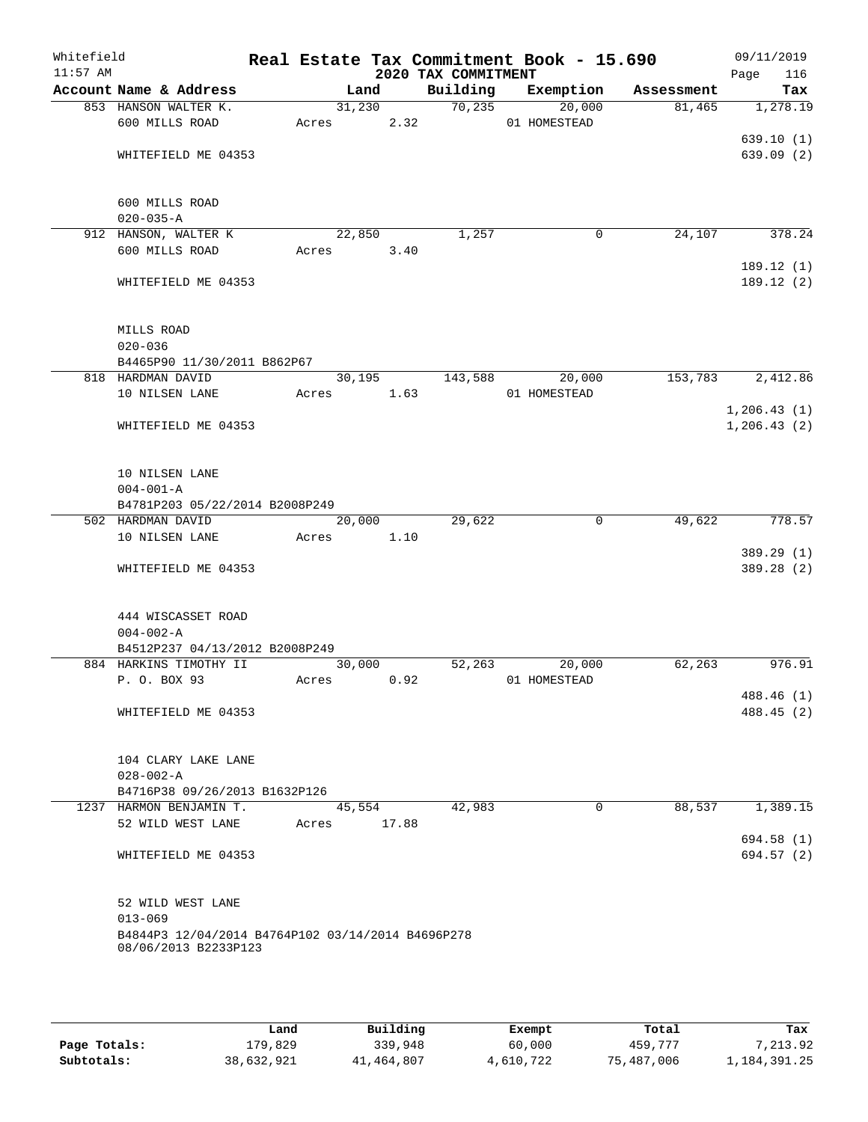| Whitefield<br>$11:57$ AM |                                                     |       |            | 2020 TAX COMMITMENT | Real Estate Tax Commitment Book - 15.690 |            | 09/11/2019<br>Page<br>116 |
|--------------------------|-----------------------------------------------------|-------|------------|---------------------|------------------------------------------|------------|---------------------------|
|                          | Account Name & Address                              |       | Land       | Building            | Exemption                                | Assessment | Tax                       |
|                          | 853 HANSON WALTER K.                                |       | 31,230     | 70, 235             | 20,000                                   | 81,465     | 1,278.19                  |
|                          | 600 MILLS ROAD                                      | Acres | 2.32       |                     | 01 HOMESTEAD                             |            |                           |
|                          |                                                     |       |            |                     |                                          |            | 639.10(1)                 |
|                          | WHITEFIELD ME 04353                                 |       |            |                     |                                          |            | 639.09(2)                 |
|                          |                                                     |       |            |                     |                                          |            |                           |
|                          |                                                     |       |            |                     |                                          |            |                           |
|                          | 600 MILLS ROAD                                      |       |            |                     |                                          |            |                           |
|                          | $020 - 035 - A$                                     |       | 22,850     | 1,257               | 0                                        | 24,107     | 378.24                    |
|                          | 912 HANSON, WALTER K<br>600 MILLS ROAD              | Acres | 3.40       |                     |                                          |            |                           |
|                          |                                                     |       |            |                     |                                          |            | 189.12(1)                 |
|                          | WHITEFIELD ME 04353                                 |       |            |                     |                                          |            | 189.12(2)                 |
|                          |                                                     |       |            |                     |                                          |            |                           |
|                          |                                                     |       |            |                     |                                          |            |                           |
|                          | MILLS ROAD                                          |       |            |                     |                                          |            |                           |
|                          | $020 - 036$                                         |       |            |                     |                                          |            |                           |
|                          | B4465P90 11/30/2011 B862P67                         |       |            |                     |                                          |            |                           |
|                          | 818 HARDMAN DAVID                                   |       | 30,195     | 143,588             | 20,000                                   | 153,783    | 2,412.86                  |
|                          | 10 NILSEN LANE                                      |       | Acres 1.63 |                     | 01 HOMESTEAD                             |            |                           |
|                          |                                                     |       |            |                     |                                          |            | 1, 206.43(1)              |
|                          | WHITEFIELD ME 04353                                 |       |            |                     |                                          |            | 1, 206.43(2)              |
|                          |                                                     |       |            |                     |                                          |            |                           |
|                          |                                                     |       |            |                     |                                          |            |                           |
|                          | 10 NILSEN LANE                                      |       |            |                     |                                          |            |                           |
|                          | $004 - 001 - A$                                     |       |            |                     |                                          |            |                           |
|                          | B4781P203 05/22/2014 B2008P249<br>502 HARDMAN DAVID |       | 20,000     | 29,622              | $\mathbf 0$                              | 49,622     | 778.57                    |
|                          | 10 NILSEN LANE                                      | Acres | 1.10       |                     |                                          |            |                           |
|                          |                                                     |       |            |                     |                                          |            | 389.29 (1)                |
|                          | WHITEFIELD ME 04353                                 |       |            |                     |                                          |            | 389.28 (2)                |
|                          |                                                     |       |            |                     |                                          |            |                           |
|                          |                                                     |       |            |                     |                                          |            |                           |
|                          | 444 WISCASSET ROAD                                  |       |            |                     |                                          |            |                           |
|                          | $004 - 002 - A$                                     |       |            |                     |                                          |            |                           |
|                          | B4512P237 04/13/2012 B2008P249                      |       |            |                     |                                          |            |                           |
|                          | 884 HARKINS TIMOTHY II                              |       | 30,000     | 52,263              | 20,000                                   | 62,263     | 976.91                    |
|                          | P. O. BOX 93                                        | Acres | 0.92       |                     | 01 HOMESTEAD                             |            |                           |
|                          |                                                     |       |            |                     |                                          |            | 488.46 (1)                |
|                          | WHITEFIELD ME 04353                                 |       |            |                     |                                          |            | 488.45 (2)                |
|                          |                                                     |       |            |                     |                                          |            |                           |
|                          | 104 CLARY LAKE LANE                                 |       |            |                     |                                          |            |                           |
|                          | $028 - 002 - A$                                     |       |            |                     |                                          |            |                           |
|                          | B4716P38 09/26/2013 B1632P126                       |       |            |                     |                                          |            |                           |
|                          | 1237 HARMON BENJAMIN T.                             |       | 45,554     | 42,983              | $\mathbf{0}$                             | 88,537     | 1,389.15                  |
|                          | 52 WILD WEST LANE                                   | Acres | 17.88      |                     |                                          |            |                           |
|                          |                                                     |       |            |                     |                                          |            | 694.58 (1)                |
|                          | WHITEFIELD ME 04353                                 |       |            |                     |                                          |            | 694.57 (2)                |
|                          |                                                     |       |            |                     |                                          |            |                           |
|                          |                                                     |       |            |                     |                                          |            |                           |
|                          | 52 WILD WEST LANE                                   |       |            |                     |                                          |            |                           |
|                          | $013 - 069$                                         |       |            |                     |                                          |            |                           |
|                          | B4844P3 12/04/2014 B4764P102 03/14/2014 B4696P278   |       |            |                     |                                          |            |                           |
|                          | 08/06/2013 B2233P123                                |       |            |                     |                                          |            |                           |
|                          |                                                     |       |            |                     |                                          |            |                           |
|                          |                                                     |       |            |                     |                                          |            |                           |

|              | Land       | Building   | Exempt    | Total      | Tax          |
|--------------|------------|------------|-----------|------------|--------------|
| Page Totals: | L79,829    | 339,948    | 60,000    | 459,777    | 7,213.92     |
| Subtotals:   | 38,632,921 | 41,464,807 | 4,610,722 | 75,487,006 | 1,184,391.25 |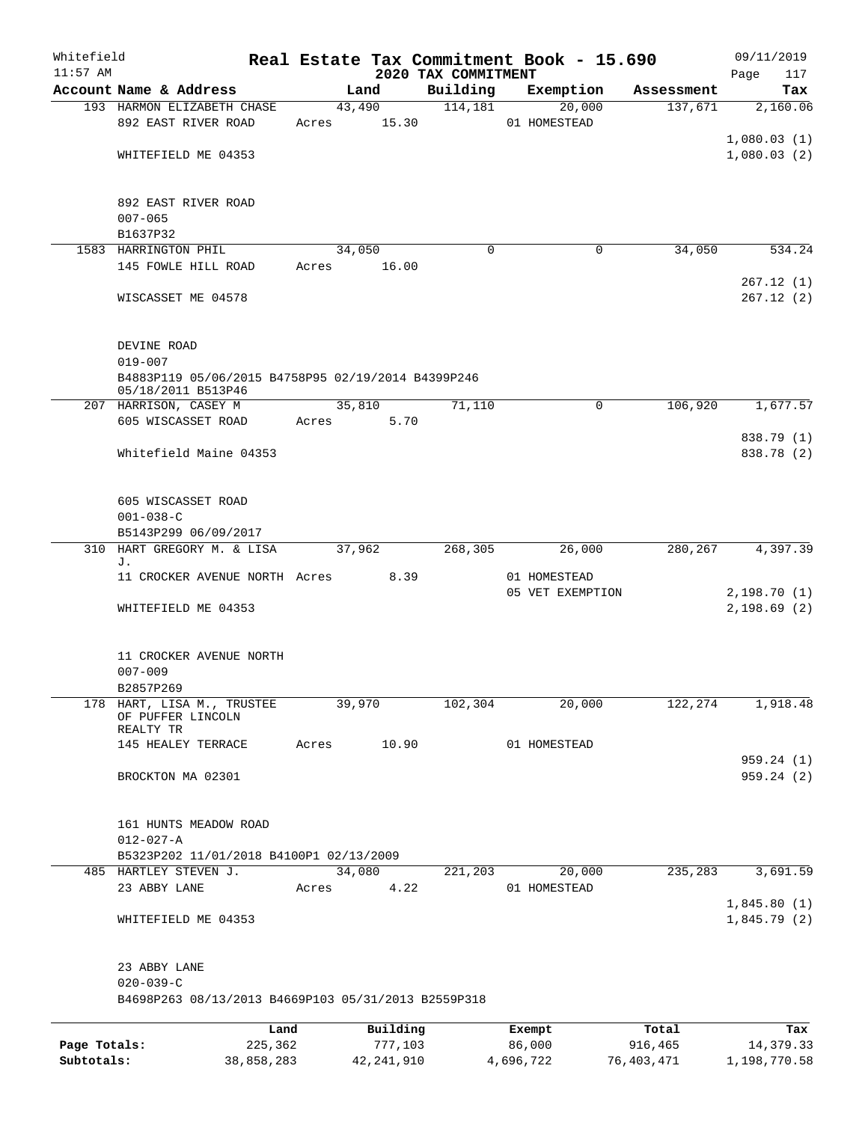| Whitefield<br>$11:57$ AM |                                                     |       |          | 2020 TAX COMMITMENT | Real Estate Tax Commitment Book - 15.690 |            | 09/11/2019<br>Page<br>117 |
|--------------------------|-----------------------------------------------------|-------|----------|---------------------|------------------------------------------|------------|---------------------------|
|                          | Account Name & Address                              |       | Land     | Building            | Exemption                                | Assessment | Tax                       |
|                          | 193 HARMON ELIZABETH CHASE                          |       | 43,490   | 114,181             | 20,000                                   | 137,671    | 2,160.06                  |
|                          | 892 EAST RIVER ROAD                                 | Acres | 15.30    |                     | 01 HOMESTEAD                             |            |                           |
|                          |                                                     |       |          |                     |                                          |            | 1,080.03(1)               |
|                          | WHITEFIELD ME 04353                                 |       |          |                     |                                          |            | 1,080.03(2)               |
|                          |                                                     |       |          |                     |                                          |            |                           |
|                          |                                                     |       |          |                     |                                          |            |                           |
|                          | 892 EAST RIVER ROAD                                 |       |          |                     |                                          |            |                           |
|                          | $007 - 065$                                         |       |          |                     |                                          |            |                           |
|                          | B1637P32                                            |       |          |                     |                                          |            |                           |
|                          | 1583 HARRINGTON PHIL                                |       | 34,050   | $\Omega$            | 0                                        | 34,050     | 534.24                    |
|                          | 145 FOWLE HILL ROAD                                 | Acres | 16.00    |                     |                                          |            |                           |
|                          |                                                     |       |          |                     |                                          |            | 267.12(1)                 |
|                          | WISCASSET ME 04578                                  |       |          |                     |                                          |            | 267.12(2)                 |
|                          |                                                     |       |          |                     |                                          |            |                           |
|                          |                                                     |       |          |                     |                                          |            |                           |
|                          | DEVINE ROAD                                         |       |          |                     |                                          |            |                           |
|                          | $019 - 007$                                         |       |          |                     |                                          |            |                           |
|                          | B4883P119 05/06/2015 B4758P95 02/19/2014 B4399P246  |       |          |                     |                                          |            |                           |
|                          | 05/18/2011 B513P46<br>207 HARRISON, CASEY M         |       | 35,810   | 71,110              | 0                                        | 106,920    | 1,677.57                  |
|                          | 605 WISCASSET ROAD                                  | Acres | 5.70     |                     |                                          |            |                           |
|                          |                                                     |       |          |                     |                                          |            | 838.79 (1)                |
|                          | Whitefield Maine 04353                              |       |          |                     |                                          |            | 838.78 (2)                |
|                          |                                                     |       |          |                     |                                          |            |                           |
|                          |                                                     |       |          |                     |                                          |            |                           |
|                          | 605 WISCASSET ROAD                                  |       |          |                     |                                          |            |                           |
|                          | $001 - 038 - C$                                     |       |          |                     |                                          |            |                           |
|                          | B5143P299 06/09/2017                                |       |          |                     |                                          |            |                           |
| 310                      | HART GREGORY M. & LISA                              |       | 37,962   | 268,305             | 26,000                                   | 280,267    | 4,397.39                  |
|                          | J.                                                  |       |          |                     |                                          |            |                           |
|                          | 11 CROCKER AVENUE NORTH Acres                       |       | 8.39     |                     | 01 HOMESTEAD                             |            |                           |
|                          |                                                     |       |          |                     | 05 VET EXEMPTION                         |            | 2,198.70(1)               |
|                          | WHITEFIELD ME 04353                                 |       |          |                     |                                          |            | 2,198.69(2)               |
|                          |                                                     |       |          |                     |                                          |            |                           |
|                          |                                                     |       |          |                     |                                          |            |                           |
|                          | 11 CROCKER AVENUE NORTH                             |       |          |                     |                                          |            |                           |
|                          | $007 - 009$                                         |       |          |                     |                                          |            |                           |
|                          | B2857P269                                           |       |          |                     |                                          |            |                           |
|                          | 178 HART, LISA M., TRUSTEE<br>OF PUFFER LINCOLN     |       | 39,970   | 102,304             | 20,000                                   | 122,274    | 1,918.48                  |
|                          | REALTY TR                                           |       |          |                     |                                          |            |                           |
|                          | 145 HEALEY TERRACE                                  | Acres | 10.90    |                     | 01 HOMESTEAD                             |            |                           |
|                          |                                                     |       |          |                     |                                          |            | 959.24(1)                 |
|                          | BROCKTON MA 02301                                   |       |          |                     |                                          |            | 959.24(2)                 |
|                          |                                                     |       |          |                     |                                          |            |                           |
|                          |                                                     |       |          |                     |                                          |            |                           |
|                          | 161 HUNTS MEADOW ROAD                               |       |          |                     |                                          |            |                           |
|                          | $012 - 027 - A$                                     |       |          |                     |                                          |            |                           |
|                          | B5323P202 11/01/2018 B4100P1 02/13/2009             |       |          |                     |                                          |            |                           |
|                          | 485 HARTLEY STEVEN J.                               |       | 34,080   | 221,203             | 20,000                                   | 235,283    | 3,691.59                  |
|                          | 23 ABBY LANE                                        | Acres | 4.22     |                     | 01 HOMESTEAD                             |            |                           |
|                          |                                                     |       |          |                     |                                          |            | 1,845.80(1)               |
|                          | WHITEFIELD ME 04353                                 |       |          |                     |                                          |            | 1,845.79(2)               |
|                          |                                                     |       |          |                     |                                          |            |                           |
|                          |                                                     |       |          |                     |                                          |            |                           |
|                          | 23 ABBY LANE                                        |       |          |                     |                                          |            |                           |
|                          | $020 - 039 - C$                                     |       |          |                     |                                          |            |                           |
|                          | B4698P263 08/13/2013 B4669P103 05/31/2013 B2559P318 |       |          |                     |                                          |            |                           |
|                          |                                                     |       |          |                     |                                          |            |                           |
|                          | Land                                                |       | Building |                     | Exempt                                   | Total      | Tax                       |
| Page Totals:             | 225,362                                             |       | 777,103  |                     | 86,000                                   | 916,465    | 14, 379. 33               |

**Subtotals:** 38,858,283 42,241,910 4,696,722 76,403,471 1,198,770.58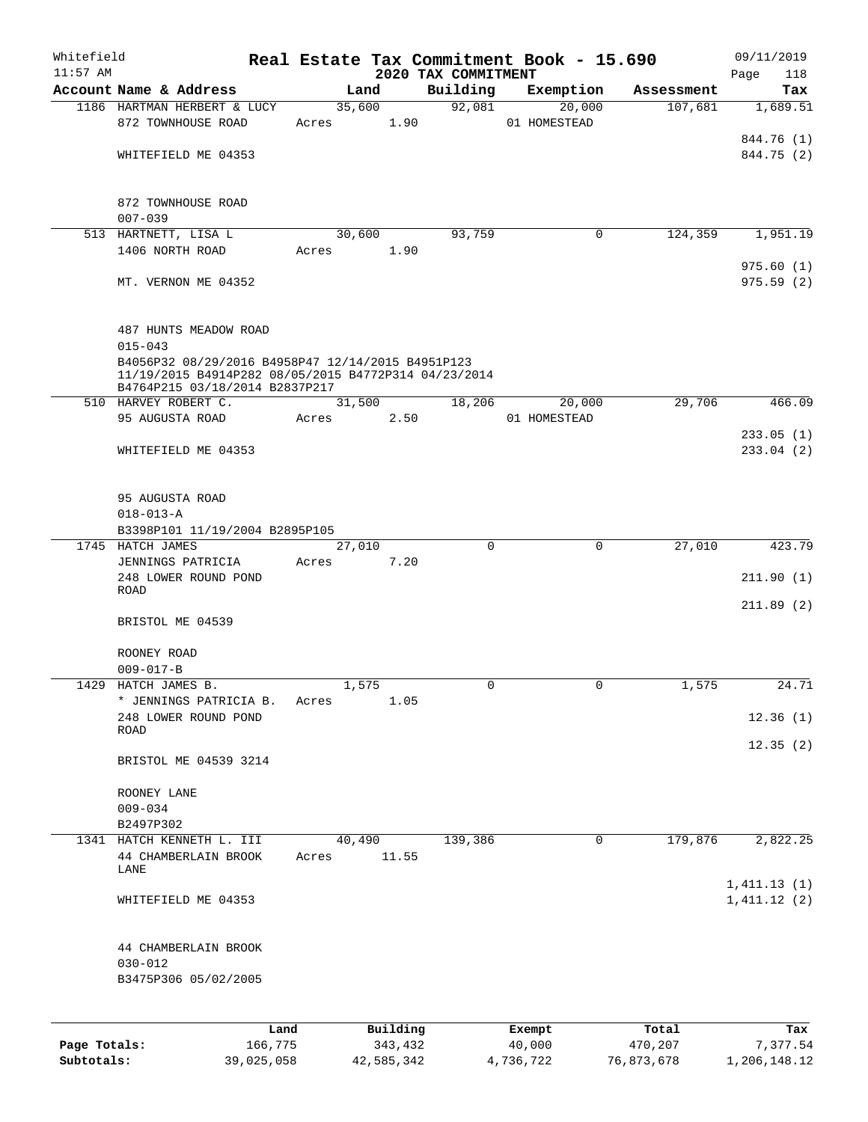| Whitefield   |                                                                                                                          |            |        |            |                                 | Real Estate Tax Commitment Book - 15.690 |            | 09/11/2019                 |
|--------------|--------------------------------------------------------------------------------------------------------------------------|------------|--------|------------|---------------------------------|------------------------------------------|------------|----------------------------|
| $11:57$ AM   | Account Name & Address                                                                                                   |            | Land   |            | 2020 TAX COMMITMENT<br>Building | Exemption                                | Assessment | Page<br>118<br>Tax         |
|              | 1186 HARTMAN HERBERT & LUCY                                                                                              |            | 35,600 |            | 92,081                          | 20,000                                   | 107,681    | 1,689.51                   |
|              | 872 TOWNHOUSE ROAD                                                                                                       | Acres      |        | 1.90       |                                 | 01 HOMESTEAD                             |            |                            |
|              |                                                                                                                          |            |        |            |                                 |                                          |            | 844.76 (1)                 |
|              | WHITEFIELD ME 04353                                                                                                      |            |        |            |                                 |                                          |            | 844.75 (2)                 |
|              | 872 TOWNHOUSE ROAD<br>$007 - 039$                                                                                        |            |        |            |                                 |                                          |            |                            |
|              | 513 HARTNETT, LISA L                                                                                                     |            | 30,600 |            | 93,759                          | 0                                        | 124,359    | 1,951.19                   |
|              | 1406 NORTH ROAD                                                                                                          | Acres      |        | 1.90       |                                 |                                          |            |                            |
|              | MT. VERNON ME 04352                                                                                                      |            |        |            |                                 |                                          |            | 975.60(1)<br>975.59(2)     |
|              | 487 HUNTS MEADOW ROAD                                                                                                    |            |        |            |                                 |                                          |            |                            |
|              | $015 - 043$<br>B4056P32 08/29/2016 B4958P47 12/14/2015 B4951P123<br>11/19/2015 B4914P282 08/05/2015 B4772P314 04/23/2014 |            |        |            |                                 |                                          |            |                            |
|              | B4764P215 03/18/2014 B2837P217<br>510 HARVEY ROBERT C.                                                                   |            | 31,500 |            | 18,206                          | 20,000                                   | 29,706     | 466.09                     |
|              | 95 AUGUSTA ROAD                                                                                                          | Acres      |        | 2.50       |                                 | 01 HOMESTEAD                             |            |                            |
|              | WHITEFIELD ME 04353                                                                                                      |            |        |            |                                 |                                          |            | 233.05(1)<br>233.04(2)     |
|              | 95 AUGUSTA ROAD<br>$018 - 013 - A$                                                                                       |            |        |            |                                 |                                          |            |                            |
|              | B3398P101 11/19/2004 B2895P105                                                                                           |            |        |            |                                 |                                          |            |                            |
|              | 1745 HATCH JAMES<br>JENNINGS PATRICIA                                                                                    | Acres      | 27,010 | 7.20       | $\mathbf 0$                     | 0                                        | 27,010     | 423.79                     |
|              | 248 LOWER ROUND POND<br><b>ROAD</b>                                                                                      |            |        |            |                                 |                                          |            | 211.90(1)                  |
|              |                                                                                                                          |            |        |            |                                 |                                          |            | 211.89(2)                  |
|              | BRISTOL ME 04539                                                                                                         |            |        |            |                                 |                                          |            |                            |
|              | ROONEY ROAD                                                                                                              |            |        |            |                                 |                                          |            |                            |
|              | $009 - 017 - B$                                                                                                          |            |        |            |                                 |                                          |            |                            |
| 1429         | HATCH JAMES B.<br>* JENNINGS PATRICIA B.                                                                                 | Acres      | 1,575  | 1.05       | $\Omega$                        | $\Omega$                                 | 1,575      | 24.71                      |
|              | 248 LOWER ROUND POND                                                                                                     |            |        |            |                                 |                                          |            | 12.36(1)                   |
|              | ROAD                                                                                                                     |            |        |            |                                 |                                          |            | 12.35(2)                   |
|              | BRISTOL ME 04539 3214                                                                                                    |            |        |            |                                 |                                          |            |                            |
|              | ROONEY LANE                                                                                                              |            |        |            |                                 |                                          |            |                            |
|              | $009 - 034$                                                                                                              |            |        |            |                                 |                                          |            |                            |
|              | B2497P302<br>1341 HATCH KENNETH L. III                                                                                   |            | 40,490 |            | 139,386                         | 0                                        | 179,876    | 2,822.25                   |
|              | 44 CHAMBERLAIN BROOK<br>LANE                                                                                             | Acres      |        | 11.55      |                                 |                                          |            |                            |
|              | WHITEFIELD ME 04353                                                                                                      |            |        |            |                                 |                                          |            | 1,411.13(1)<br>1,411.12(2) |
|              | 44 CHAMBERLAIN BROOK<br>$030 - 012$                                                                                      |            |        |            |                                 |                                          |            |                            |
|              | B3475P306 05/02/2005                                                                                                     |            |        |            |                                 |                                          |            |                            |
|              |                                                                                                                          | Land       |        | Building   |                                 | Exempt                                   | Total      | Tax                        |
| Page Totals: |                                                                                                                          | 166,775    |        | 343,432    |                                 | 40,000                                   | 470,207    | 7,377.54                   |
| Subtotals:   |                                                                                                                          | 39,025,058 |        | 42,585,342 |                                 | 4,736,722                                | 76,873,678 | 1,206,148.12               |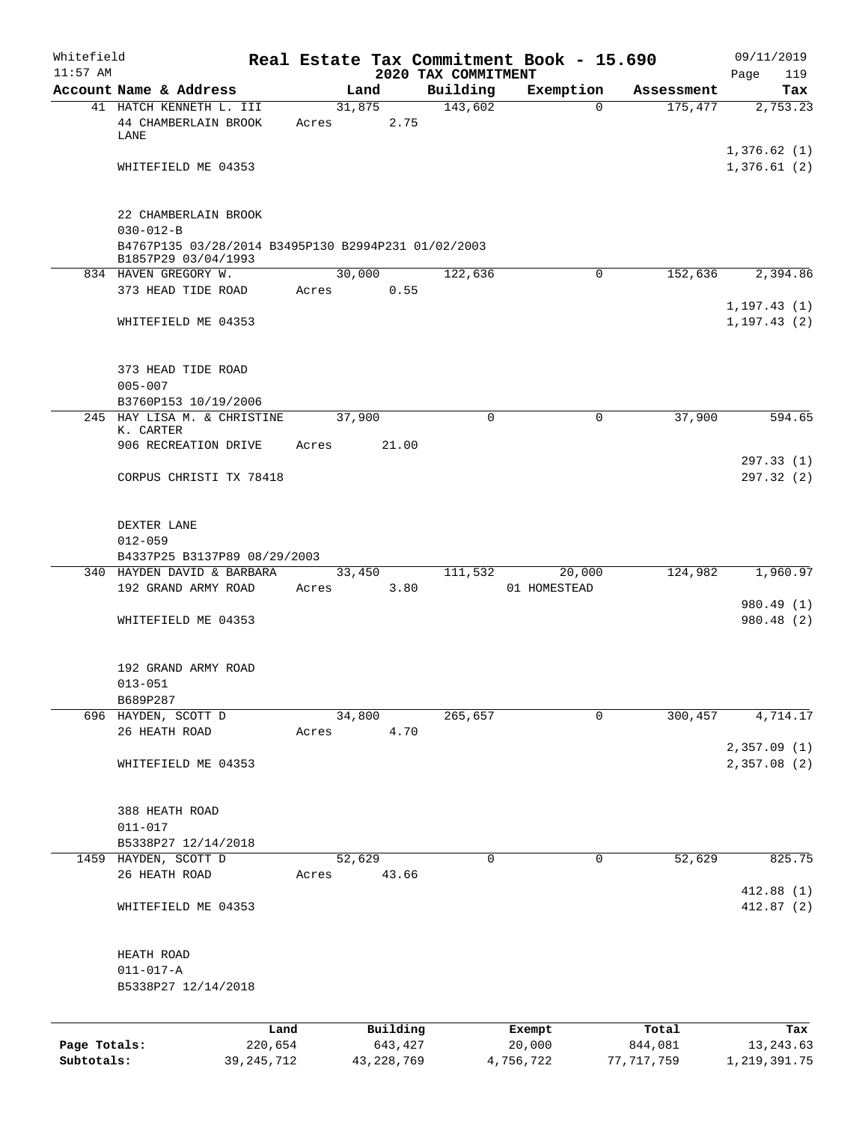| Whitefield   |                                                                                               |        |                     |                                 | Real Estate Tax Commitment Book - 15.690 |                  | 09/11/2019                 |
|--------------|-----------------------------------------------------------------------------------------------|--------|---------------------|---------------------------------|------------------------------------------|------------------|----------------------------|
| $11:57$ AM   | Account Name & Address                                                                        |        | Land                | 2020 TAX COMMITMENT<br>Building | Exemption                                | Assessment       | 119<br>Page<br>Tax         |
|              | 41 HATCH KENNETH L. III                                                                       |        | 31,875              | 143,602                         | 0                                        | 175,477          | 2,753.23                   |
|              | 44 CHAMBERLAIN BROOK<br>LANE                                                                  | Acres  | 2.75                |                                 |                                          |                  |                            |
|              | WHITEFIELD ME 04353                                                                           |        |                     |                                 |                                          |                  | 1,376.62(1)<br>1,376.61(2) |
|              |                                                                                               |        |                     |                                 |                                          |                  |                            |
|              | 22 CHAMBERLAIN BROOK                                                                          |        |                     |                                 |                                          |                  |                            |
|              | $030 - 012 - B$<br>B4767P135 03/28/2014 B3495P130 B2994P231 01/02/2003<br>B1857P29 03/04/1993 |        |                     |                                 |                                          |                  |                            |
|              | 834 HAVEN GREGORY W.                                                                          |        | 30,000              | 122,636                         | 0                                        | 152,636          | 2,394.86                   |
|              | 373 HEAD TIDE ROAD                                                                            | Acres  | 0.55                |                                 |                                          |                  | 1, 197.43(1)               |
|              | WHITEFIELD ME 04353                                                                           |        |                     |                                 |                                          |                  | 1, 197.43(2)               |
|              | 373 HEAD TIDE ROAD                                                                            |        |                     |                                 |                                          |                  |                            |
|              | $005 - 007$<br>B3760P153 10/19/2006                                                           |        |                     |                                 |                                          |                  |                            |
|              | 245 HAY LISA M. & CHRISTINE                                                                   | 37,900 |                     | 0                               | 0                                        | 37,900           | 594.65                     |
|              | K. CARTER<br>906 RECREATION DRIVE                                                             | Acres  | 21.00               |                                 |                                          |                  |                            |
|              | CORPUS CHRISTI TX 78418                                                                       |        |                     |                                 |                                          |                  | 297.33(1)<br>297.32(2)     |
|              | DEXTER LANE<br>$012 - 059$                                                                    |        |                     |                                 |                                          |                  |                            |
|              | B4337P25 B3137P89 08/29/2003                                                                  |        |                     |                                 |                                          |                  |                            |
|              | 340 HAYDEN DAVID & BARBARA<br>192 GRAND ARMY ROAD                                             | Acres  | 33,450<br>3.80      | 111,532                         | 20,000<br>01 HOMESTEAD                   | 124,982          | 1,960.97                   |
|              | WHITEFIELD ME 04353                                                                           |        |                     |                                 |                                          |                  | 980.49 (1)<br>980.48 (2)   |
|              |                                                                                               |        |                     |                                 |                                          |                  |                            |
|              | 192 GRAND ARMY ROAD                                                                           |        |                     |                                 |                                          |                  |                            |
|              | $013 - 051$<br>B689P287                                                                       |        |                     |                                 |                                          |                  |                            |
|              | 696 HAYDEN, SCOTT D                                                                           |        | 34,800              | 265,657                         | 0                                        | 300,457          | 4,714.17                   |
|              | 26 HEATH ROAD                                                                                 | Acres  | 4.70                |                                 |                                          |                  |                            |
|              | WHITEFIELD ME 04353                                                                           |        |                     |                                 |                                          |                  | 2,357.09(1)<br>2,357.08(2) |
|              | 388 HEATH ROAD                                                                                |        |                     |                                 |                                          |                  |                            |
|              | $011 - 017$                                                                                   |        |                     |                                 |                                          |                  |                            |
|              | B5338P27 12/14/2018                                                                           |        |                     |                                 |                                          |                  |                            |
|              | 1459 HAYDEN, SCOTT D                                                                          | 52,629 |                     | 0                               | 0                                        | 52,629           | 825.75                     |
|              | 26 HEATH ROAD                                                                                 | Acres  | 43.66               |                                 |                                          |                  | 412.88(1)                  |
|              | WHITEFIELD ME 04353                                                                           |        |                     |                                 |                                          |                  | 412.87 (2)                 |
|              | HEATH ROAD                                                                                    |        |                     |                                 |                                          |                  |                            |
|              | $011 - 017 - A$<br>B5338P27 12/14/2018                                                        |        |                     |                                 |                                          |                  |                            |
|              |                                                                                               |        |                     |                                 |                                          |                  |                            |
| Page Totals: | Land<br>220,654                                                                               |        | Building<br>643,427 |                                 | Exempt<br>20,000                         | Total<br>844,081 | Tax<br>13, 243.63          |

**Subtotals:** 39,245,712 43,228,769 4,756,722 77,717,759 1,219,391.75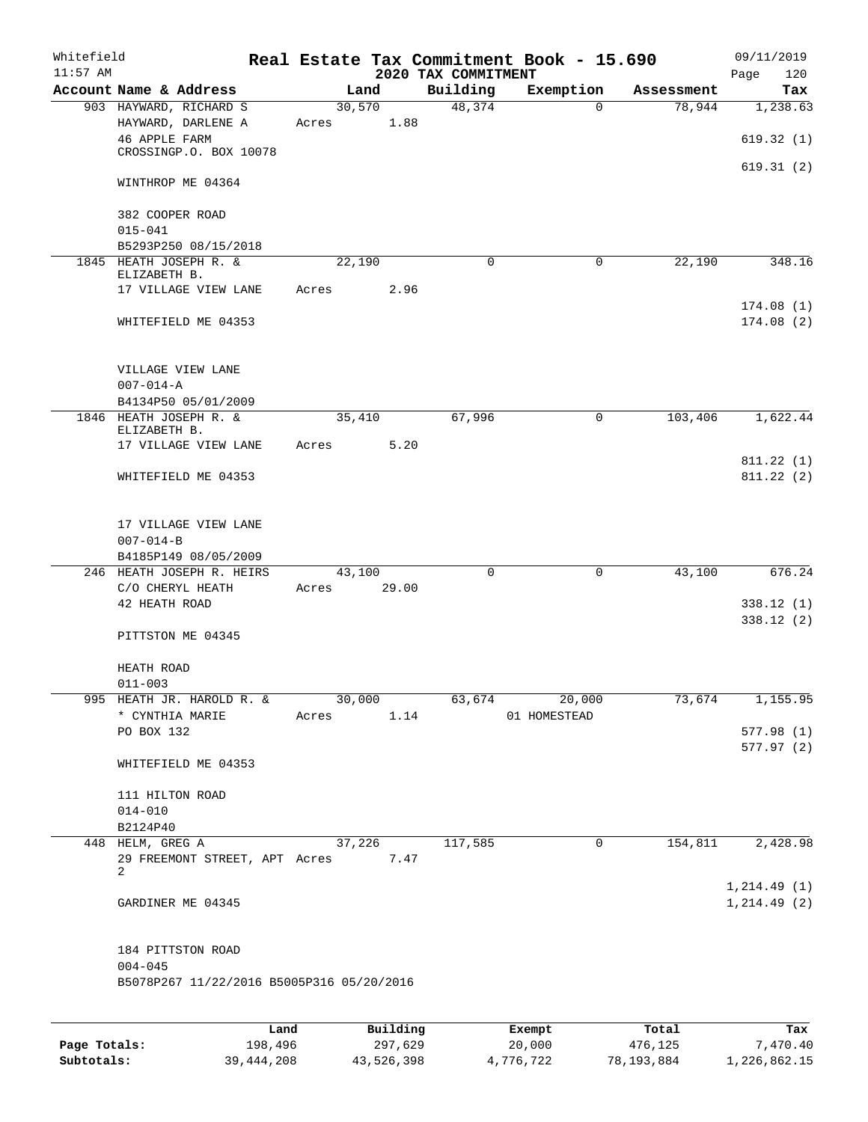| Whitefield<br>$11:57$ AM |                                                             |       |        |          | 2020 TAX COMMITMENT | Real Estate Tax Commitment Book - 15.690 |            | 09/11/2019<br>Page<br>120 |
|--------------------------|-------------------------------------------------------------|-------|--------|----------|---------------------|------------------------------------------|------------|---------------------------|
|                          | Account Name & Address                                      |       | Land   |          | Building            | Exemption                                | Assessment | Tax                       |
|                          | 903 HAYWARD, RICHARD S                                      |       | 30,570 |          | 48,374              | $\overline{0}$                           | 78,944     | 1,238.63                  |
|                          | HAYWARD, DARLENE A<br>46 APPLE FARM                         | Acres |        | 1.88     |                     |                                          |            | 619.32(1)                 |
|                          | CROSSINGP.O. BOX 10078                                      |       |        |          |                     |                                          |            | 619.31(2)                 |
|                          | WINTHROP ME 04364                                           |       |        |          |                     |                                          |            |                           |
|                          | 382 COOPER ROAD<br>$015 - 041$                              |       |        |          |                     |                                          |            |                           |
|                          | B5293P250 08/15/2018                                        |       |        |          |                     |                                          |            |                           |
|                          | 1845 HEATH JOSEPH R. &<br>ELIZABETH B.                      |       | 22,190 |          | $\Omega$            | 0                                        | 22,190     | 348.16                    |
|                          | 17 VILLAGE VIEW LANE                                        | Acres |        | 2.96     |                     |                                          |            |                           |
|                          | WHITEFIELD ME 04353                                         |       |        |          |                     |                                          |            | 174.08(1)<br>174.08(2)    |
|                          | VILLAGE VIEW LANE                                           |       |        |          |                     |                                          |            |                           |
|                          | $007 - 014 - A$                                             |       |        |          |                     |                                          |            |                           |
|                          | B4134P50 05/01/2009<br>1846 HEATH JOSEPH R. &               |       | 35,410 |          | 67,996              | $\mathbf 0$                              | 103,406    | 1,622.44                  |
|                          | ELIZABETH B.<br>17 VILLAGE VIEW LANE                        | Acres |        | 5.20     |                     |                                          |            |                           |
|                          |                                                             |       |        |          |                     |                                          |            | 811.22(1)                 |
|                          | WHITEFIELD ME 04353                                         |       |        |          |                     |                                          |            | 811.22(2)                 |
|                          | 17 VILLAGE VIEW LANE                                        |       |        |          |                     |                                          |            |                           |
|                          | $007 - 014 - B$                                             |       |        |          |                     |                                          |            |                           |
|                          | B4185P149 08/05/2009<br>246 HEATH JOSEPH R. HEIRS           |       | 43,100 |          | 0                   | 0                                        | 43,100     | 676.24                    |
|                          | C/O CHERYL HEATH                                            | Acres |        | 29.00    |                     |                                          |            |                           |
|                          | 42 HEATH ROAD                                               |       |        |          |                     |                                          |            | 338.12(1)<br>338.12(2)    |
|                          | PITTSTON ME 04345                                           |       |        |          |                     |                                          |            |                           |
|                          | HEATH ROAD                                                  |       |        |          |                     |                                          |            |                           |
|                          | $011 - 003$<br>995 HEATH JR. HAROLD R. &                    |       | 30,000 |          | 63,674              | 20,000                                   | 73,674     | 1,155.95                  |
|                          | * CYNTHIA MARIE                                             | Acres |        | 1.14     |                     | 01 HOMESTEAD                             |            |                           |
|                          | PO BOX 132                                                  |       |        |          |                     |                                          |            | 577.98(1)                 |
|                          | WHITEFIELD ME 04353                                         |       |        |          |                     |                                          |            | 577.97(2)                 |
|                          | 111 HILTON ROAD                                             |       |        |          |                     |                                          |            |                           |
|                          | $014 - 010$                                                 |       |        |          |                     |                                          |            |                           |
|                          | B2124P40                                                    |       |        |          |                     |                                          |            |                           |
|                          | 448 HELM, GREG A<br>29 FREEMONT STREET, APT Acres 7.47<br>2 |       | 37,226 |          | 117,585             | 0                                        | 154,811    | 2,428.98                  |
|                          |                                                             |       |        |          |                     |                                          |            | 1, 214.49(1)              |
|                          | GARDINER ME 04345                                           |       |        |          |                     |                                          |            | 1, 214.49(2)              |
|                          | 184 PITTSTON ROAD                                           |       |        |          |                     |                                          |            |                           |
|                          | $004 - 045$<br>B5078P267 11/22/2016 B5005P316 05/20/2016    |       |        |          |                     |                                          |            |                           |
|                          |                                                             |       |        |          |                     |                                          |            |                           |
|                          |                                                             | Land  |        | Building |                     | Exempt                                   | Total      | Tax                       |

|              | Land.        | Building   | Exempt    | тосат      | тах          |
|--------------|--------------|------------|-----------|------------|--------------|
| Page Totals: | 198,496      | 297,629    | 20,000    | 476,125    | 7,470.40     |
| Subtotals:   | 39, 444, 208 | 43,526,398 | 4,776,722 | 78,193,884 | 1,226,862.15 |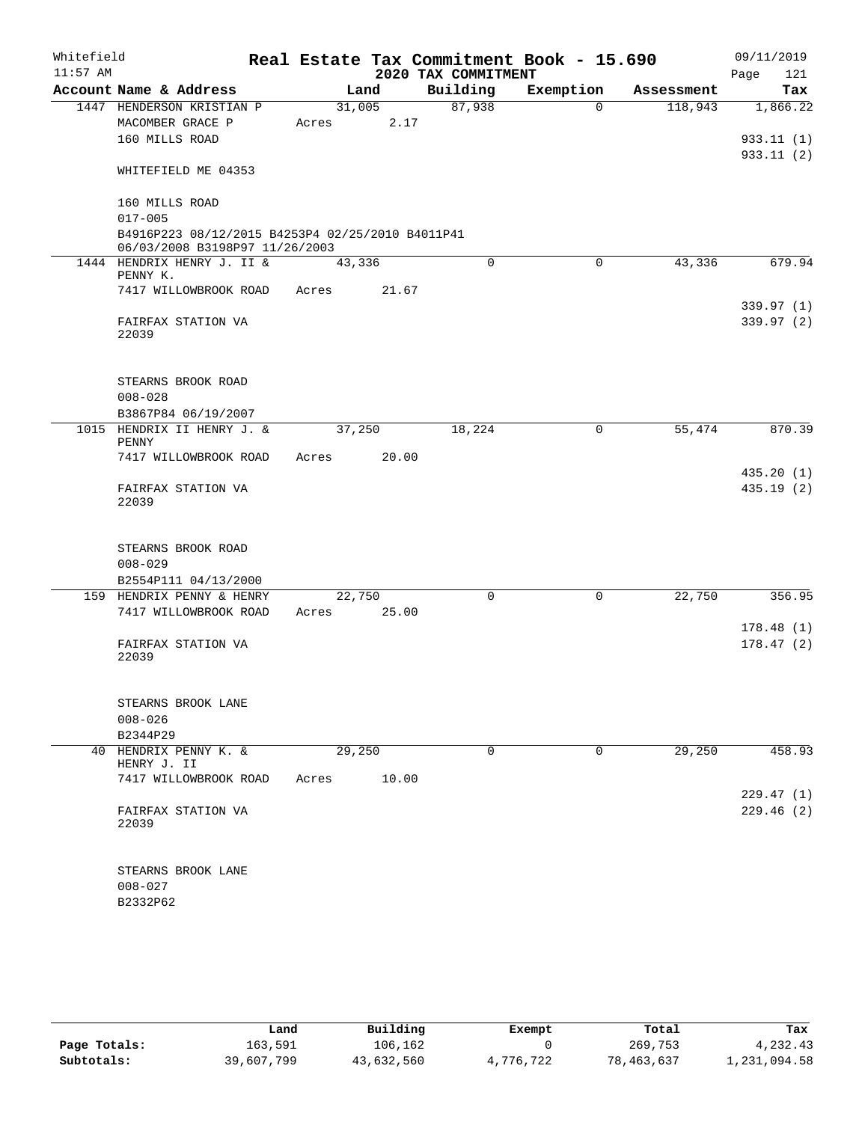| Whitefield |                                                                                    |        |       |                     | Real Estate Tax Commitment Book - 15.690 |            | 09/11/2019               |
|------------|------------------------------------------------------------------------------------|--------|-------|---------------------|------------------------------------------|------------|--------------------------|
| $11:57$ AM |                                                                                    |        |       | 2020 TAX COMMITMENT |                                          |            | Page<br>121              |
|            | Account Name & Address                                                             | Land   |       | Building            | Exemption                                | Assessment | Tax                      |
|            | 1447 HENDERSON KRISTIAN P<br>MACOMBER GRACE P                                      | 31,005 | 2.17  | 87,938              | $\Omega$                                 | 118,943    | 1,866.22                 |
|            | 160 MILLS ROAD                                                                     | Acres  |       |                     |                                          |            | 933.11(1)                |
|            |                                                                                    |        |       |                     |                                          |            | 933.11(2)                |
|            | WHITEFIELD ME 04353                                                                |        |       |                     |                                          |            |                          |
|            | 160 MILLS ROAD                                                                     |        |       |                     |                                          |            |                          |
|            | $017 - 005$                                                                        |        |       |                     |                                          |            |                          |
|            | B4916P223 08/12/2015 B4253P4 02/25/2010 B4011P41<br>06/03/2008 B3198P97 11/26/2003 |        |       |                     |                                          |            |                          |
|            | 1444 HENDRIX HENRY J. II &                                                         | 43,336 |       | $\Omega$            | 0                                        | 43,336     | 679.94                   |
|            | PENNY K.                                                                           |        |       |                     |                                          |            |                          |
|            | 7417 WILLOWBROOK ROAD                                                              | Acres  | 21.67 |                     |                                          |            |                          |
|            | FAIRFAX STATION VA                                                                 |        |       |                     |                                          |            | 339.97 (1)<br>339.97 (2) |
|            | 22039                                                                              |        |       |                     |                                          |            |                          |
|            | STEARNS BROOK ROAD                                                                 |        |       |                     |                                          |            |                          |
|            | $008 - 028$                                                                        |        |       |                     |                                          |            |                          |
|            | B3867P84 06/19/2007                                                                |        |       |                     |                                          |            |                          |
|            | 1015 HENDRIX II HENRY J. &<br>PENNY                                                | 37,250 |       | 18,224              | 0                                        | 55,474     | 870.39                   |
|            | 7417 WILLOWBROOK ROAD                                                              | Acres  | 20.00 |                     |                                          |            |                          |
|            |                                                                                    |        |       |                     |                                          |            | 435.20(1)                |
|            | FAIRFAX STATION VA<br>22039                                                        |        |       |                     |                                          |            | 435.19(2)                |
|            | STEARNS BROOK ROAD                                                                 |        |       |                     |                                          |            |                          |
|            | $008 - 029$                                                                        |        |       |                     |                                          |            |                          |
|            | B2554P111 04/13/2000                                                               |        |       |                     |                                          |            |                          |
|            | 159 HENDRIX PENNY & HENRY                                                          | 22,750 |       | 0                   | $\mathsf{O}$                             | 22,750     | 356.95                   |
|            | 7417 WILLOWBROOK ROAD                                                              | Acres  | 25.00 |                     |                                          |            | 178.48(1)                |
|            | FAIRFAX STATION VA                                                                 |        |       |                     |                                          |            | 178.47(2)                |
|            | 22039                                                                              |        |       |                     |                                          |            |                          |
|            | STEARNS BROOK LANE                                                                 |        |       |                     |                                          |            |                          |
|            | $008 - 026$                                                                        |        |       |                     |                                          |            |                          |
|            | B2344P29                                                                           |        |       |                     |                                          |            |                          |
|            | 40 HENDRIX PENNY K. &<br>HENRY J. II                                               | 29,250 |       | $\Omega$            | 0                                        | 29,250     | 458.93                   |
|            | 7417 WILLOWBROOK ROAD                                                              | Acres  | 10.00 |                     |                                          |            |                          |
|            |                                                                                    |        |       |                     |                                          |            | 229.47(1)                |
|            | FAIRFAX STATION VA<br>22039                                                        |        |       |                     |                                          |            | 229.46(2)                |
|            | STEARNS BROOK LANE                                                                 |        |       |                     |                                          |            |                          |
|            | $008 - 027$                                                                        |        |       |                     |                                          |            |                          |
|            | B2332P62                                                                           |        |       |                     |                                          |            |                          |

|              | Land       | Building   | Exempt    | Total      | Tax          |
|--------------|------------|------------|-----------|------------|--------------|
| Page Totals: | 163,591    | 106,162    |           | 269,753    | 4,232.43     |
| Subtotals:   | 39,607,799 | 43,632,560 | 4,776,722 | 78,463,637 | l,231,094.58 |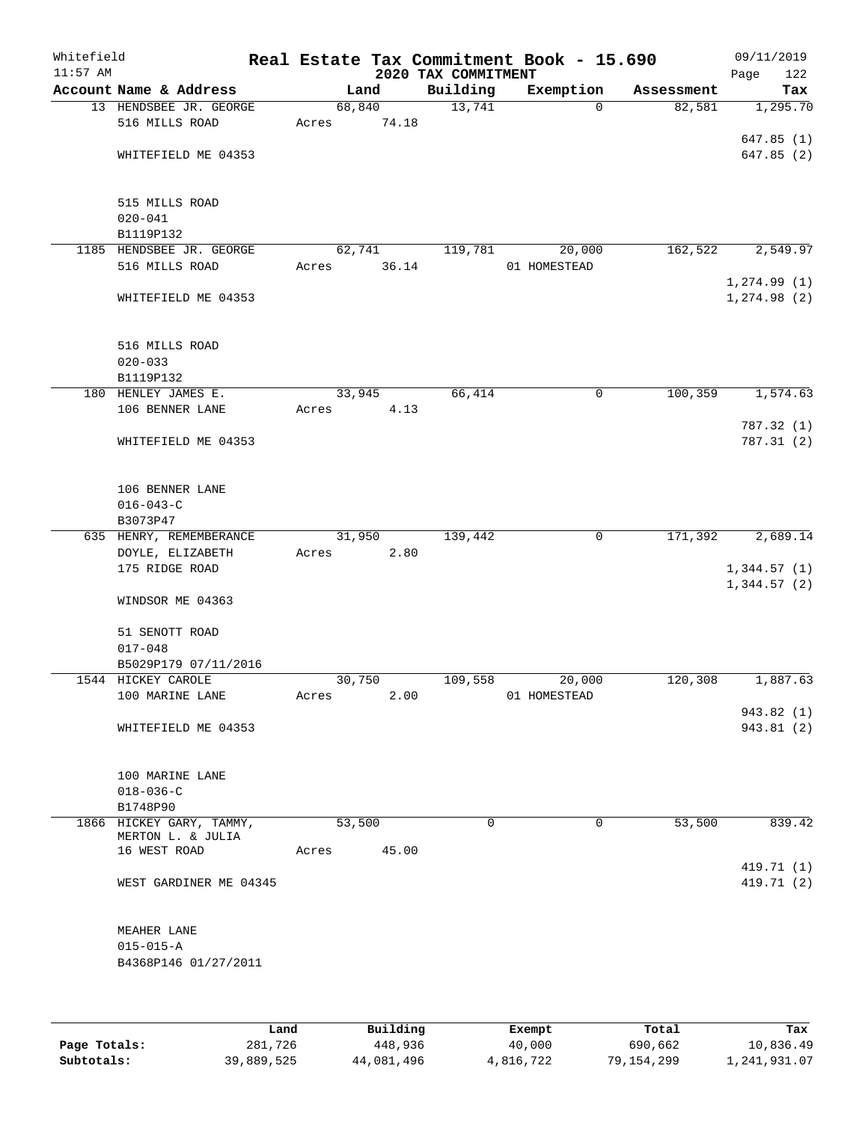| Whitefield<br>$11:57$ AM |                                    |       |                | 2020 TAX COMMITMENT | Real Estate Tax Commitment Book - 15.690 |            | 09/11/2019<br>Page<br>122 |
|--------------------------|------------------------------------|-------|----------------|---------------------|------------------------------------------|------------|---------------------------|
|                          | Account Name & Address             |       | Land           | Building            | Exemption                                | Assessment | Tax                       |
|                          | 13 HENDSBEE JR. GEORGE             |       | 68,840         | 13,741              | $\Omega$                                 | 82,581     | 1,295.70                  |
|                          | 516 MILLS ROAD                     | Acres | 74.18          |                     |                                          |            |                           |
|                          |                                    |       |                |                     |                                          |            | 647.85(1)                 |
|                          | WHITEFIELD ME 04353                |       |                |                     |                                          |            | 647.85(2)                 |
|                          |                                    |       |                |                     |                                          |            |                           |
|                          | 515 MILLS ROAD                     |       |                |                     |                                          |            |                           |
|                          | $020 - 041$                        |       |                |                     |                                          |            |                           |
|                          | B1119P132                          |       |                |                     |                                          |            |                           |
|                          | 1185 HENDSBEE JR. GEORGE           |       | 62,741         | 119,781             | 20,000                                   | 162,522    | 2,549.97                  |
|                          | 516 MILLS ROAD                     | Acres | 36.14          |                     | 01 HOMESTEAD                             |            |                           |
|                          |                                    |       |                |                     |                                          |            | 1, 274.99(1)              |
|                          | WHITEFIELD ME 04353                |       |                |                     |                                          |            | 1, 274.98(2)              |
|                          |                                    |       |                |                     |                                          |            |                           |
|                          |                                    |       |                |                     |                                          |            |                           |
|                          | 516 MILLS ROAD                     |       |                |                     |                                          |            |                           |
|                          | $020 - 033$<br>B1119P132           |       |                |                     |                                          |            |                           |
|                          | 180 HENLEY JAMES E.                |       | 33,945         | 66,414              | 0                                        | 100,359    | 1,574.63                  |
|                          | 106 BENNER LANE                    | Acres | 4.13           |                     |                                          |            |                           |
|                          |                                    |       |                |                     |                                          |            | 787.32 (1)                |
|                          | WHITEFIELD ME 04353                |       |                |                     |                                          |            | 787.31(2)                 |
|                          |                                    |       |                |                     |                                          |            |                           |
|                          |                                    |       |                |                     |                                          |            |                           |
|                          | 106 BENNER LANE                    |       |                |                     |                                          |            |                           |
|                          | $016 - 043 - C$                    |       |                |                     |                                          |            |                           |
|                          | B3073P47                           |       |                |                     |                                          |            |                           |
|                          | 635 HENRY, REMEMBERANCE            |       | 31,950         | 139,442             | $\mathbf 0$                              | 171,392    | 2,689.14                  |
|                          | DOYLE, ELIZABETH<br>175 RIDGE ROAD | Acres | 2.80           |                     |                                          |            | 1,344.57(1)               |
|                          |                                    |       |                |                     |                                          |            | 1,344.57(2)               |
|                          | WINDSOR ME 04363                   |       |                |                     |                                          |            |                           |
|                          |                                    |       |                |                     |                                          |            |                           |
|                          | 51 SENOTT ROAD                     |       |                |                     |                                          |            |                           |
|                          | $017 - 048$                        |       |                |                     |                                          |            |                           |
|                          | B5029P179 07/11/2016               |       |                |                     |                                          |            |                           |
|                          | 1544 HICKEY CAROLE                 |       | 30,750         | 109,558             | 20,000                                   | 120,308    | 1,887.63                  |
|                          | 100 MARINE LANE                    | Acres | 2.00           |                     | 01 HOMESTEAD                             |            |                           |
|                          | WHITEFIELD ME 04353                |       |                |                     |                                          |            | 943.82 (1)<br>943.81(2)   |
|                          |                                    |       |                |                     |                                          |            |                           |
|                          |                                    |       |                |                     |                                          |            |                           |
|                          | 100 MARINE LANE                    |       |                |                     |                                          |            |                           |
|                          | $018 - 036 - C$                    |       |                |                     |                                          |            |                           |
|                          | B1748P90                           |       |                |                     |                                          |            |                           |
|                          | 1866 HICKEY GARY, TAMMY,           |       | 53,500         | $\Omega$            | 0                                        | 53,500     | 839.42                    |
|                          | MERTON L. & JULIA<br>16 WEST ROAD  |       | 45.00<br>Acres |                     |                                          |            |                           |
|                          |                                    |       |                |                     |                                          |            | 419.71 (1)                |
|                          | WEST GARDINER ME 04345             |       |                |                     |                                          |            | 419.71 (2)                |
|                          |                                    |       |                |                     |                                          |            |                           |
|                          |                                    |       |                |                     |                                          |            |                           |
|                          | MEAHER LANE                        |       |                |                     |                                          |            |                           |
|                          | $015 - 015 - A$                    |       |                |                     |                                          |            |                           |
|                          | B4368P146 01/27/2011               |       |                |                     |                                          |            |                           |
|                          |                                    |       |                |                     |                                          |            |                           |
|                          |                                    |       |                |                     |                                          |            |                           |
|                          |                                    |       |                |                     |                                          |            |                           |

|              | Land       | Building   | Exempt    | Total      | Tax          |
|--------------|------------|------------|-----------|------------|--------------|
| Page Totals: | 281,726    | 448,936    | 40,000    | 690,662    | 10,836.49    |
| Subtotals:   | 39,889,525 | 44,081,496 | 4,816,722 | 79,154,299 | 1,241,931.07 |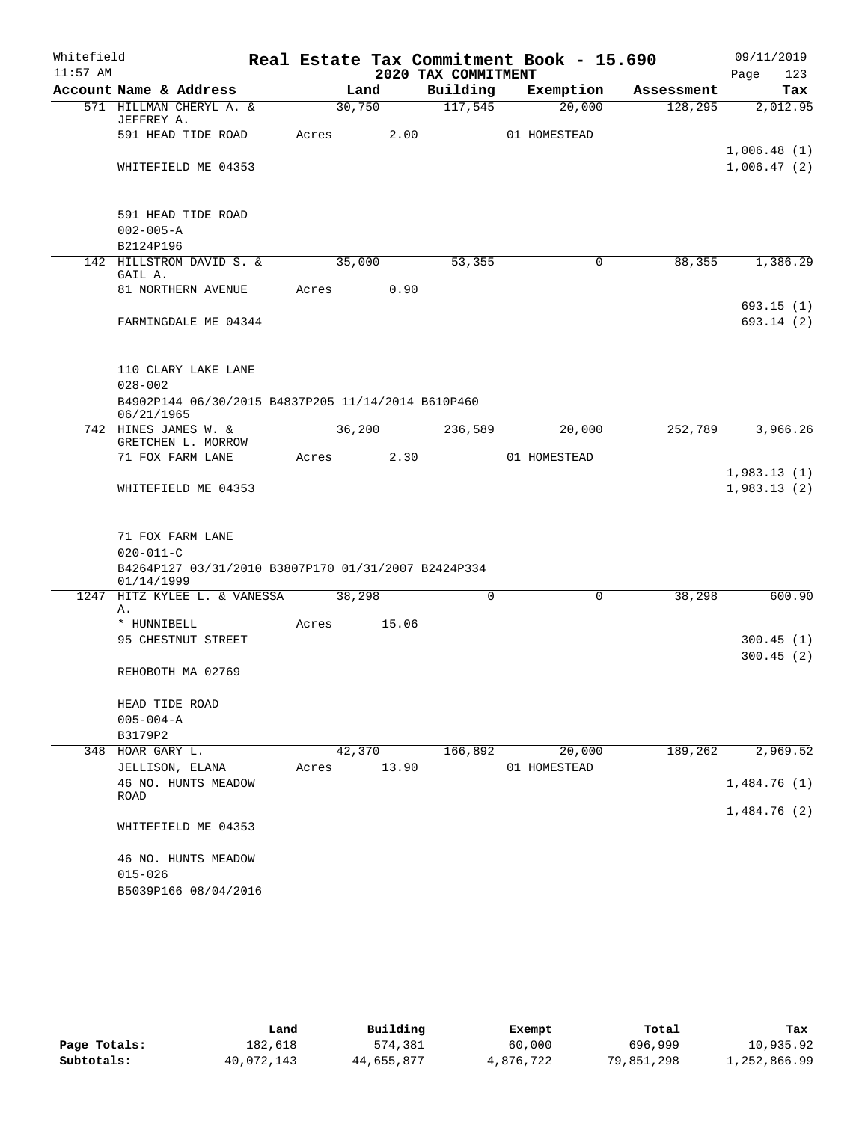| Whitefield |                                                                  |       |        |                     | Real Estate Tax Commitment Book - 15.690 |            | 09/11/2019             |
|------------|------------------------------------------------------------------|-------|--------|---------------------|------------------------------------------|------------|------------------------|
| $11:57$ AM |                                                                  |       |        | 2020 TAX COMMITMENT |                                          |            | 123<br>Page            |
|            | Account Name & Address                                           |       | Land   | Building            | Exemption                                | Assessment | Tax                    |
|            | 571 HILLMAN CHERYL A. &<br>JEFFREY A.                            |       | 30,750 | 117,545             | 20,000                                   | 128,295    | 2,012.95               |
|            | 591 HEAD TIDE ROAD                                               | Acres | 2.00   |                     | 01 HOMESTEAD                             |            |                        |
|            |                                                                  |       |        |                     |                                          |            | 1,006.48(1)            |
|            | WHITEFIELD ME 04353                                              |       |        |                     |                                          |            | 1,006.47(2)            |
|            |                                                                  |       |        |                     |                                          |            |                        |
|            |                                                                  |       |        |                     |                                          |            |                        |
|            | 591 HEAD TIDE ROAD                                               |       |        |                     |                                          |            |                        |
|            | $002 - 005 - A$                                                  |       |        |                     |                                          |            |                        |
|            | B2124P196                                                        |       |        |                     |                                          |            |                        |
|            | 142 HILLSTROM DAVID S. &<br>GAIL A.                              |       | 35,000 | 53,355              | 0                                        | 88,355     | 1,386.29               |
|            | 81 NORTHERN AVENUE                                               | Acres | 0.90   |                     |                                          |            |                        |
|            |                                                                  |       |        |                     |                                          |            | 693.15(1)              |
|            | FARMINGDALE ME 04344                                             |       |        |                     |                                          |            | 693.14 (2)             |
|            |                                                                  |       |        |                     |                                          |            |                        |
|            |                                                                  |       |        |                     |                                          |            |                        |
|            | 110 CLARY LAKE LANE                                              |       |        |                     |                                          |            |                        |
|            | $028 - 002$                                                      |       |        |                     |                                          |            |                        |
|            | B4902P144 06/30/2015 B4837P205 11/14/2014 B610P460<br>06/21/1965 |       |        |                     |                                          |            |                        |
|            | 742 HINES JAMES W. &                                             |       | 36,200 | 236,589             | 20,000                                   | 252,789    | 3,966.26               |
|            | GRETCHEN L. MORROW                                               |       |        |                     |                                          |            |                        |
|            | 71 FOX FARM LANE                                                 | Acres | 2.30   |                     | 01 HOMESTEAD                             |            |                        |
|            |                                                                  |       |        |                     |                                          |            | 1,983.13(1)            |
|            | WHITEFIELD ME 04353                                              |       |        |                     |                                          |            | 1,983.13(2)            |
|            |                                                                  |       |        |                     |                                          |            |                        |
|            |                                                                  |       |        |                     |                                          |            |                        |
|            | 71 FOX FARM LANE<br>$020 - 011 - C$                              |       |        |                     |                                          |            |                        |
|            | B4264P127 03/31/2010 B3807P170 01/31/2007 B2424P334              |       |        |                     |                                          |            |                        |
|            | 01/14/1999                                                       |       |        |                     |                                          |            |                        |
|            | 1247 HITZ KYLEE L. & VANESSA                                     |       | 38,298 | 0                   | 0                                        | 38,298     | 600.90                 |
|            | Α.                                                               |       |        |                     |                                          |            |                        |
|            | * HUNNIBELL                                                      | Acres | 15.06  |                     |                                          |            |                        |
|            | 95 CHESTNUT STREET                                               |       |        |                     |                                          |            | 300.45(1)<br>300.45(2) |
|            | REHOBOTH MA 02769                                                |       |        |                     |                                          |            |                        |
|            |                                                                  |       |        |                     |                                          |            |                        |
|            | HEAD TIDE ROAD                                                   |       |        |                     |                                          |            |                        |
|            | $005 - 004 - A$                                                  |       |        |                     |                                          |            |                        |
|            | B3179P2                                                          |       |        |                     |                                          |            |                        |
| 348        | HOAR GARY L.                                                     |       | 42,370 | 166,892             | 20,000                                   | 189,262    | 2,969.52               |
|            | JELLISON, ELANA                                                  | Acres | 13.90  |                     | 01 HOMESTEAD                             |            |                        |
|            | 46 NO. HUNTS MEADOW                                              |       |        |                     |                                          |            | 1,484.76(1)            |
|            | <b>ROAD</b>                                                      |       |        |                     |                                          |            | 1,484.76(2)            |
|            | WHITEFIELD ME 04353                                              |       |        |                     |                                          |            |                        |
|            |                                                                  |       |        |                     |                                          |            |                        |
|            | 46 NO. HUNTS MEADOW                                              |       |        |                     |                                          |            |                        |
|            | $015 - 026$                                                      |       |        |                     |                                          |            |                        |
|            | B5039P166 08/04/2016                                             |       |        |                     |                                          |            |                        |
|            |                                                                  |       |        |                     |                                          |            |                        |

|              | Land       | Building   | Exempt    | Total      | Tax          |
|--------------|------------|------------|-----------|------------|--------------|
| Page Totals: | 182,618    | 574,381    | 60,000    | 696,999    | 10,935.92    |
| Subtotals:   | 40,072,143 | 44,655,877 | 4,876,722 | 79,851,298 | 1,252,866.99 |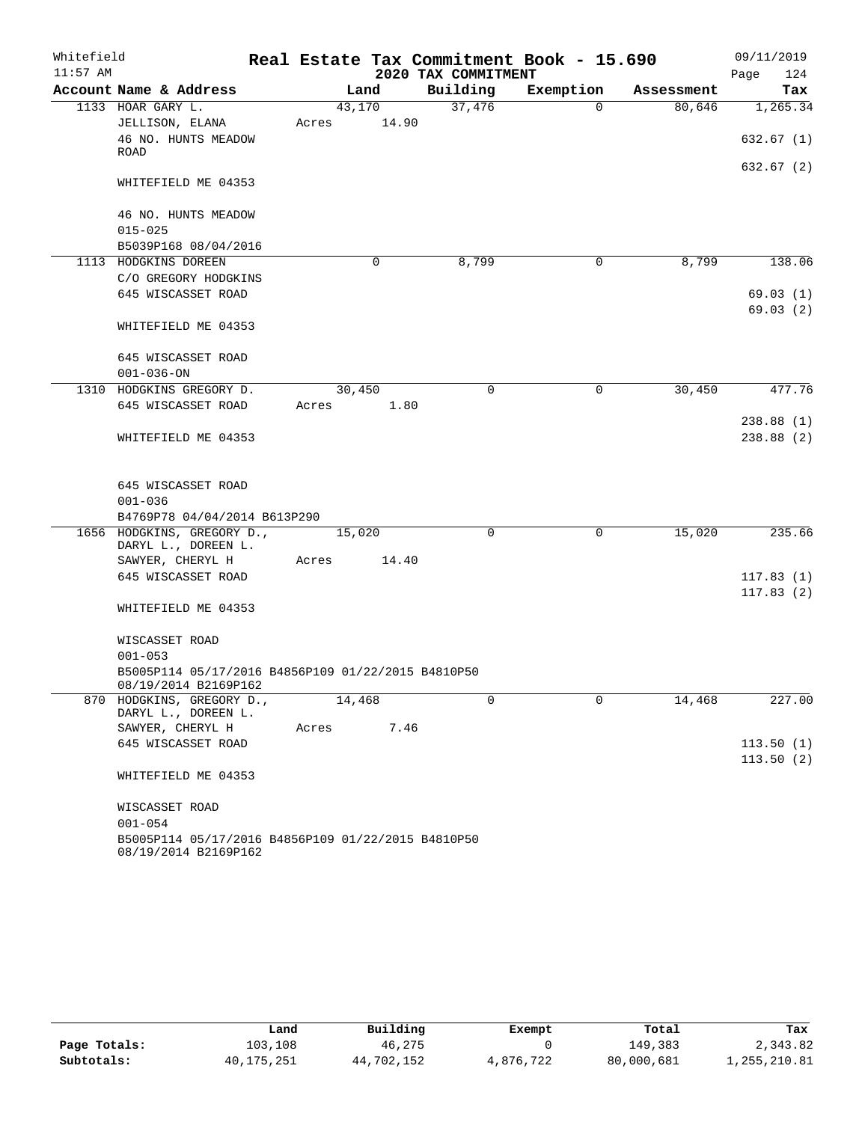| Whitefield |                                                                            |       |        |          |                     |          | Real Estate Tax Commitment Book - 15.690 |            | 09/11/2019  |
|------------|----------------------------------------------------------------------------|-------|--------|----------|---------------------|----------|------------------------------------------|------------|-------------|
| $11:57$ AM |                                                                            |       |        |          | 2020 TAX COMMITMENT |          |                                          |            | 124<br>Page |
|            | Account Name & Address                                                     |       | Land   |          | Building            |          | Exemption                                | Assessment | Tax         |
|            | 1133 HOAR GARY L.                                                          |       | 43,170 |          | 37,476              |          | $\Omega$                                 | 80,646     | 1, 265.34   |
|            | JELLISON, ELANA                                                            | Acres |        | 14.90    |                     |          |                                          |            |             |
|            | 46 NO. HUNTS MEADOW                                                        |       |        |          |                     |          |                                          |            | 632.67 (1)  |
|            | ROAD                                                                       |       |        |          |                     |          |                                          |            | 632.67 (2)  |
|            | WHITEFIELD ME 04353                                                        |       |        |          |                     |          |                                          |            |             |
|            | 46 NO. HUNTS MEADOW                                                        |       |        |          |                     |          |                                          |            |             |
|            | $015 - 025$                                                                |       |        |          |                     |          |                                          |            |             |
|            | B5039P168 08/04/2016                                                       |       |        |          |                     |          |                                          |            |             |
|            | 1113 HODGKINS DOREEN                                                       |       |        | $\Omega$ | 8,799               |          | 0                                        | 8,799      | 138.06      |
|            | C/O GREGORY HODGKINS                                                       |       |        |          |                     |          |                                          |            |             |
|            | 645 WISCASSET ROAD                                                         |       |        |          |                     |          |                                          |            | 69.03(1)    |
|            | WHITEFIELD ME 04353                                                        |       |        |          |                     |          |                                          |            | 69.03(2)    |
|            |                                                                            |       |        |          |                     |          |                                          |            |             |
|            | 645 WISCASSET ROAD                                                         |       |        |          |                     |          |                                          |            |             |
|            | $001 - 036 - ON$<br>1310 HODGKINS GREGORY D.                               |       | 30,450 |          |                     | $\Omega$ | 0                                        | 30,450     | 477.76      |
|            | 645 WISCASSET ROAD                                                         | Acres |        | 1.80     |                     |          |                                          |            |             |
|            |                                                                            |       |        |          |                     |          |                                          |            | 238.88(1)   |
|            | WHITEFIELD ME 04353                                                        |       |        |          |                     |          |                                          |            | 238.88(2)   |
|            |                                                                            |       |        |          |                     |          |                                          |            |             |
|            |                                                                            |       |        |          |                     |          |                                          |            |             |
|            | 645 WISCASSET ROAD                                                         |       |        |          |                     |          |                                          |            |             |
|            | $001 - 036$                                                                |       |        |          |                     |          |                                          |            |             |
|            | B4769P78 04/04/2014 B613P290                                               |       |        |          |                     |          |                                          |            |             |
|            | 1656 HODGKINS, GREGORY D.,<br>DARYL L., DOREEN L.                          |       | 15,020 |          |                     | $\Omega$ | 0                                        | 15,020     | 235.66      |
|            | SAWYER, CHERYL H                                                           | Acres |        | 14.40    |                     |          |                                          |            |             |
|            | 645 WISCASSET ROAD                                                         |       |        |          |                     |          |                                          |            | 117.83(1)   |
|            |                                                                            |       |        |          |                     |          |                                          |            | 117.83(2)   |
|            | WHITEFIELD ME 04353                                                        |       |        |          |                     |          |                                          |            |             |
|            |                                                                            |       |        |          |                     |          |                                          |            |             |
|            | WISCASSET ROAD                                                             |       |        |          |                     |          |                                          |            |             |
|            | $001 - 053$                                                                |       |        |          |                     |          |                                          |            |             |
|            | B5005P114 05/17/2016 B4856P109 01/22/2015 B4810P50<br>08/19/2014 B2169P162 |       |        |          |                     |          |                                          |            |             |
|            | 870 HODGKINS, GREGORY D.,<br>DARYL L., DOREEN L.                           |       | 14,468 |          |                     | 0        | $\Omega$                                 | 14,468     | 227.00      |
|            | SAWYER, CHERYL H                                                           | Acres |        | 7.46     |                     |          |                                          |            |             |
|            | 645 WISCASSET ROAD                                                         |       |        |          |                     |          |                                          |            | 113.50(1)   |
|            |                                                                            |       |        |          |                     |          |                                          |            | 113.50(2)   |
|            | WHITEFIELD ME 04353                                                        |       |        |          |                     |          |                                          |            |             |
|            | WISCASSET ROAD                                                             |       |        |          |                     |          |                                          |            |             |
|            | $001 - 054$                                                                |       |        |          |                     |          |                                          |            |             |
|            | B5005P114 05/17/2016 B4856P109 01/22/2015 B4810P50                         |       |        |          |                     |          |                                          |            |             |
|            | 08/19/2014 B2169P162                                                       |       |        |          |                     |          |                                          |            |             |

|              | Land       | Building   | Exempt    | Total      | Tax          |
|--------------|------------|------------|-----------|------------|--------------|
| Page Totals: | 103,108    | 46,275     |           | 149,383    | 2,343.82     |
| Subtotals:   | 40,175,251 | 44,702,152 | 4,876,722 | 80,000,681 | 1,255,210.81 |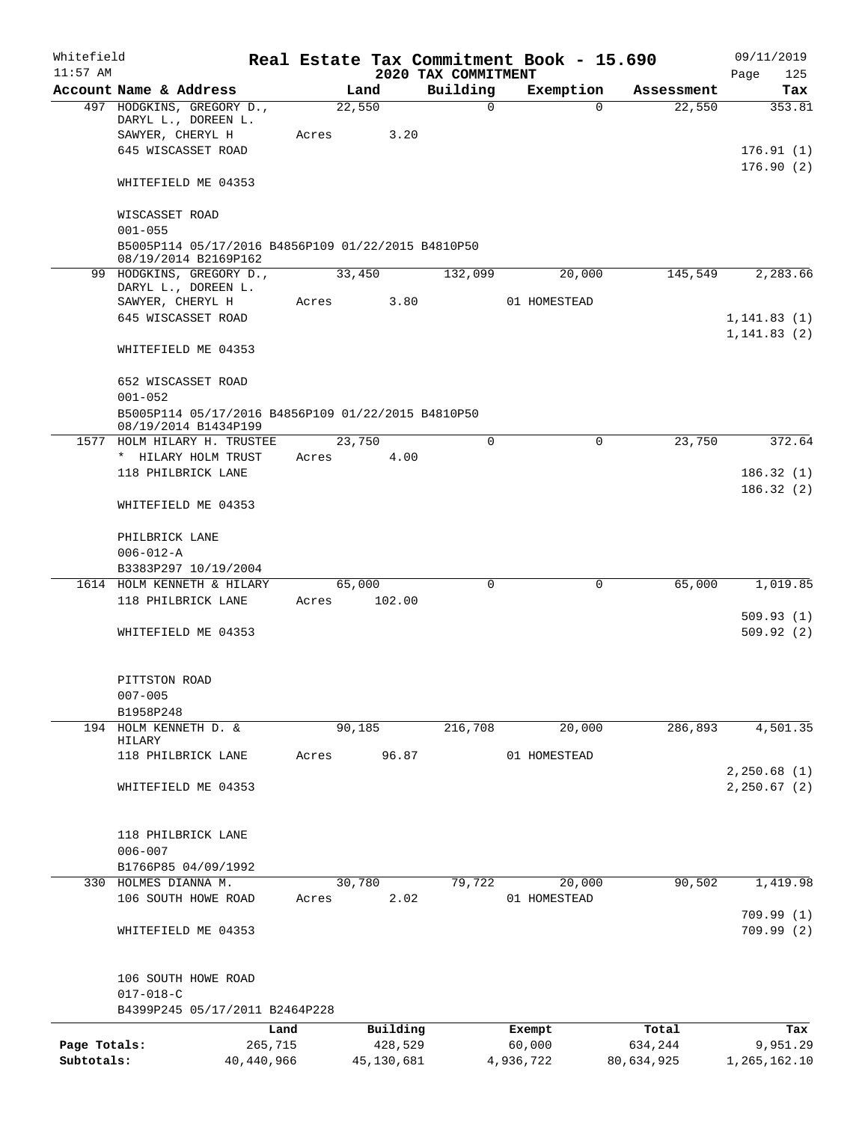| Whitefield<br>$11:57$ AM |                                                                            |            |         |            | 2020 TAX COMMITMENT | Real Estate Tax Commitment Book - 15.690 |            | 09/11/2019<br>125            |
|--------------------------|----------------------------------------------------------------------------|------------|---------|------------|---------------------|------------------------------------------|------------|------------------------------|
|                          | Account Name & Address                                                     |            | Land    |            | Building            | Exemption                                | Assessment | Page<br>Tax                  |
|                          | 497 HODGKINS, GREGORY D.,                                                  |            | 22,550  |            | $\mathbf 0$         | $\Omega$                                 | 22,550     | 353.81                       |
|                          | DARYL L., DOREEN L.                                                        |            |         |            |                     |                                          |            |                              |
|                          | SAWYER, CHERYL H                                                           | Acres      |         | 3.20       |                     |                                          |            |                              |
|                          | 645 WISCASSET ROAD                                                         |            |         |            |                     |                                          |            | 176.91(1)                    |
|                          | WHITEFIELD ME 04353                                                        |            |         |            |                     |                                          |            | 176.90(2)                    |
|                          | WISCASSET ROAD                                                             |            |         |            |                     |                                          |            |                              |
|                          | $001 - 055$                                                                |            |         |            |                     |                                          |            |                              |
|                          | B5005P114 05/17/2016 B4856P109 01/22/2015 B4810P50<br>08/19/2014 B2169P162 |            |         |            |                     |                                          |            |                              |
|                          | 99 HODGKINS, GREGORY D.,                                                   |            | 33,450  |            | 132,099             | 20,000                                   | 145,549    | 2,283.66                     |
|                          | DARYL L., DOREEN L.                                                        |            |         |            |                     |                                          |            |                              |
|                          | SAWYER, CHERYL H                                                           | Acres      |         | 3.80       |                     | 01 HOMESTEAD                             |            |                              |
|                          | 645 WISCASSET ROAD                                                         |            |         |            |                     |                                          |            | 1, 141.83(1)<br>1, 141.83(2) |
|                          | WHITEFIELD ME 04353                                                        |            |         |            |                     |                                          |            |                              |
|                          | 652 WISCASSET ROAD                                                         |            |         |            |                     |                                          |            |                              |
|                          | $001 - 052$                                                                |            |         |            |                     |                                          |            |                              |
|                          | B5005P114 05/17/2016 B4856P109 01/22/2015 B4810P50<br>08/19/2014 B1434P199 |            |         |            |                     |                                          |            |                              |
|                          | 1577 HOLM HILARY H. TRUSTEE                                                |            | 23,750  |            | $\mathbf 0$         | $\mathbf 0$                              | 23,750     | 372.64                       |
|                          | * HILARY HOLM TRUST                                                        | Acres      |         | 4.00       |                     |                                          |            |                              |
|                          | 118 PHILBRICK LANE                                                         |            |         |            |                     |                                          |            | 186.32(1)                    |
|                          |                                                                            |            |         |            |                     |                                          |            | 186.32(2)                    |
|                          | WHITEFIELD ME 04353                                                        |            |         |            |                     |                                          |            |                              |
|                          | PHILBRICK LANE                                                             |            |         |            |                     |                                          |            |                              |
|                          | $006 - 012 - A$                                                            |            |         |            |                     |                                          |            |                              |
|                          | B3383P297 10/19/2004                                                       |            |         |            |                     |                                          |            |                              |
|                          | 1614 HOLM KENNETH & HILARY                                                 |            | 65,000  |            | $\Omega$            | $\Omega$                                 | 65,000     | 1,019.85                     |
|                          | 118 PHILBRICK LANE                                                         | Acres      |         | 102.00     |                     |                                          |            | 509.93(1)                    |
|                          | WHITEFIELD ME 04353                                                        |            |         |            |                     |                                          |            | 509.92(2)                    |
|                          |                                                                            |            |         |            |                     |                                          |            |                              |
|                          | PITTSTON ROAD                                                              |            |         |            |                     |                                          |            |                              |
|                          | $007 - 005$                                                                |            |         |            |                     |                                          |            |                              |
| 194                      | B1958P248<br>HOLM KENNETH D. &                                             |            | 90, 185 |            | 216,708             | 20,000                                   | 286,893    | 4,501.35                     |
|                          | HILARY                                                                     |            |         |            |                     |                                          |            |                              |
|                          | 118 PHILBRICK LANE                                                         | Acres      |         | 96.87      |                     | 01 HOMESTEAD                             |            |                              |
|                          |                                                                            |            |         |            |                     |                                          |            | 2,250.68(1)                  |
|                          | WHITEFIELD ME 04353                                                        |            |         |            |                     |                                          |            | 2, 250.67(2)                 |
|                          | 118 PHILBRICK LANE                                                         |            |         |            |                     |                                          |            |                              |
|                          | $006 - 007$                                                                |            |         |            |                     |                                          |            |                              |
|                          | B1766P85 04/09/1992                                                        |            |         |            |                     |                                          |            |                              |
|                          | 330 HOLMES DIANNA M.                                                       |            | 30,780  |            | 79,722              | 20,000                                   | 90,502     | 1,419.98                     |
|                          | 106 SOUTH HOWE ROAD                                                        | Acres      |         | 2.02       |                     | 01 HOMESTEAD                             |            |                              |
|                          |                                                                            |            |         |            |                     |                                          |            | 709.99(1)                    |
|                          | WHITEFIELD ME 04353                                                        |            |         |            |                     |                                          |            | 709.99(2)                    |
|                          | 106 SOUTH HOWE ROAD                                                        |            |         |            |                     |                                          |            |                              |
|                          | $017 - 018 - C$                                                            |            |         |            |                     |                                          |            |                              |
|                          | B4399P245 05/17/2011 B2464P228                                             |            |         |            |                     |                                          |            |                              |
|                          |                                                                            | Land       |         | Building   |                     | Exempt                                   | Total      | Tax                          |
| Page Totals:             |                                                                            | 265,715    |         | 428,529    |                     | 60,000                                   | 634,244    | 9,951.29                     |
| Subtotals:               |                                                                            | 40,440,966 |         | 45,130,681 |                     | 4,936,722                                | 80,634,925 | 1,265,162.10                 |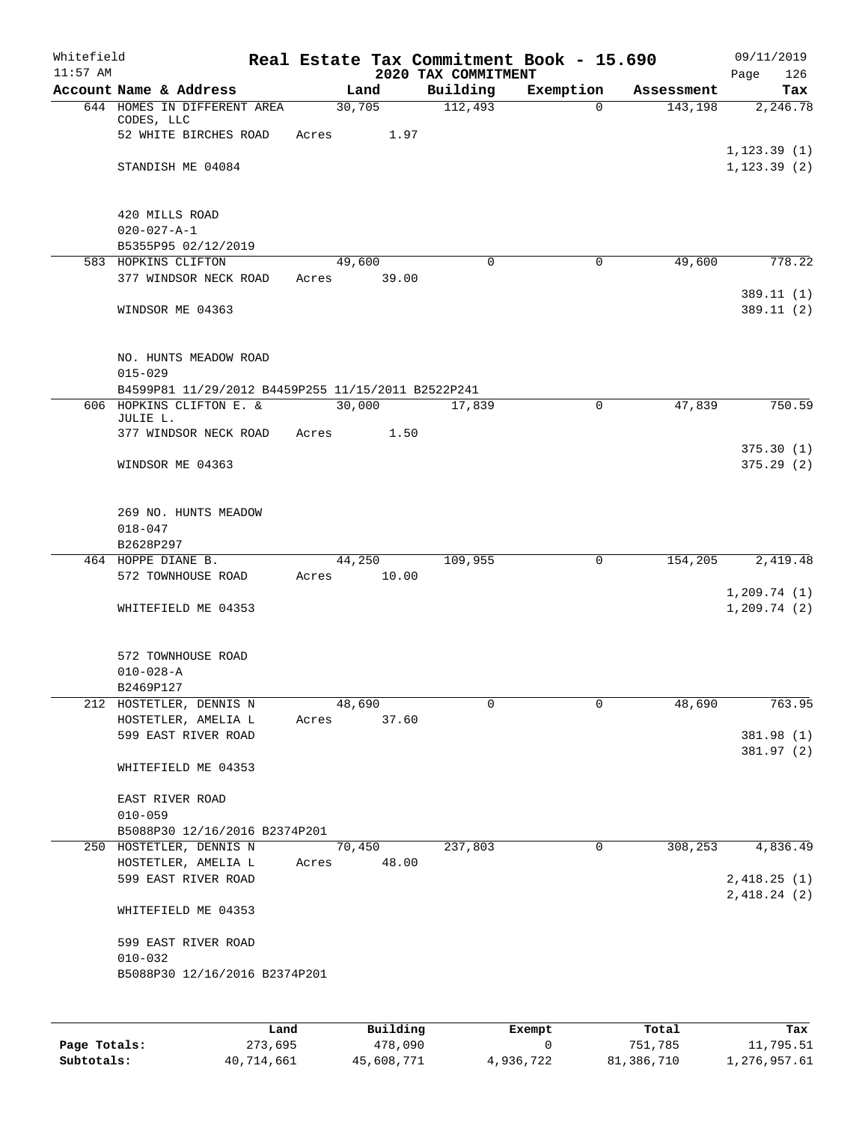| Whitefield<br>$11:57$ AM |                                                                   |        |          | 2020 TAX COMMITMENT | Real Estate Tax Commitment Book - 15.690 |            | 09/11/2019<br>126<br>Page   |
|--------------------------|-------------------------------------------------------------------|--------|----------|---------------------|------------------------------------------|------------|-----------------------------|
|                          | Account Name & Address                                            |        | Land     | Building            | Exemption                                | Assessment | Tax                         |
|                          | 644 HOMES IN DIFFERENT AREA<br>CODES, LLC                         | 30,705 |          | 112,493             | $\mathbf 0$                              | 143,198    | 2,246.78                    |
|                          | 52 WHITE BIRCHES ROAD                                             | Acres  | 1.97     |                     |                                          |            | 1, 123.39(1)                |
|                          | STANDISH ME 04084                                                 |        |          |                     |                                          |            | 1, 123.39(2)                |
|                          | 420 MILLS ROAD                                                    |        |          |                     |                                          |            |                             |
|                          | $020 - 027 - A - 1$<br>B5355P95 02/12/2019                        |        |          |                     |                                          |            |                             |
|                          | 583 HOPKINS CLIFTON                                               |        | 49,600   | $\Omega$            | 0                                        | 49,600     | 778.22                      |
|                          | 377 WINDSOR NECK ROAD                                             | Acres  | 39.00    |                     |                                          |            | 389.11(1)                   |
|                          | WINDSOR ME 04363                                                  |        |          |                     |                                          |            | 389.11(2)                   |
|                          | NO. HUNTS MEADOW ROAD                                             |        |          |                     |                                          |            |                             |
|                          | $015 - 029$<br>B4599P81 11/29/2012 B4459P255 11/15/2011 B2522P241 |        |          |                     |                                          |            |                             |
|                          | 606 HOPKINS CLIFTON E. &                                          | 30,000 |          | 17,839              | 0                                        | 47,839     | 750.59                      |
|                          | JULIE L.<br>377 WINDSOR NECK ROAD                                 | Acres  | 1.50     |                     |                                          |            |                             |
|                          | WINDSOR ME 04363                                                  |        |          |                     |                                          |            | 375.30(1)<br>375.29(2)      |
|                          | 269 NO. HUNTS MEADOW<br>$018 - 047$<br>B2628P297                  |        |          |                     |                                          |            |                             |
|                          | 464 HOPPE DIANE B.                                                |        | 44,250   | 109,955             | 0                                        | 154,205    | 2,419.48                    |
|                          | 572 TOWNHOUSE ROAD                                                | Acres  | 10.00    |                     |                                          |            |                             |
|                          | WHITEFIELD ME 04353                                               |        |          |                     |                                          |            | 1,209.74(1)<br>1, 209.74(2) |
|                          | 572 TOWNHOUSE ROAD<br>$010 - 028 - A$<br>B2469P127                |        |          |                     |                                          |            |                             |
|                          | 212 HOSTETLER, DENNIS N                                           | 48,690 |          | 0                   | 0                                        | 48,690     | 763.95                      |
|                          | HOSTETLER, AMELIA L                                               | Acres  | 37.60    |                     |                                          |            |                             |
|                          | 599 EAST RIVER ROAD                                               |        |          |                     |                                          |            | 381.98 (1)<br>381.97 (2)    |
|                          | WHITEFIELD ME 04353                                               |        |          |                     |                                          |            |                             |
|                          | EAST RIVER ROAD                                                   |        |          |                     |                                          |            |                             |
|                          | $010 - 059$<br>B5088P30 12/16/2016 B2374P201                      |        |          |                     |                                          |            |                             |
|                          | 250 HOSTETLER, DENNIS N                                           |        | 70,450   | 237,803             | $\mathbf 0$                              | 308,253    | 4,836.49                    |
|                          | HOSTETLER, AMELIA L                                               | Acres  | 48.00    |                     |                                          |            |                             |
|                          | 599 EAST RIVER ROAD                                               |        |          |                     |                                          |            | 2,418.25(1)<br>2,418.24(2)  |
|                          | WHITEFIELD ME 04353                                               |        |          |                     |                                          |            |                             |
|                          | 599 EAST RIVER ROAD                                               |        |          |                     |                                          |            |                             |
|                          | $010 - 032$<br>B5088P30 12/16/2016 B2374P201                      |        |          |                     |                                          |            |                             |
|                          |                                                                   |        |          |                     |                                          |            |                             |
|                          | Land                                                              |        | Building |                     | Exempt                                   | Total      | Tax                         |

|              | Lanu       | <b>BUILQING</b> | LXCMDL    | TOLAT      | rax.         |
|--------------|------------|-----------------|-----------|------------|--------------|
| Page Totals: | 273,695    | 478,090         |           | 751,785    | 11,795.51    |
| Subtotals:   | 40,714,661 | 45,608,771      | 4,936,722 | 81,386,710 | 1,276,957.61 |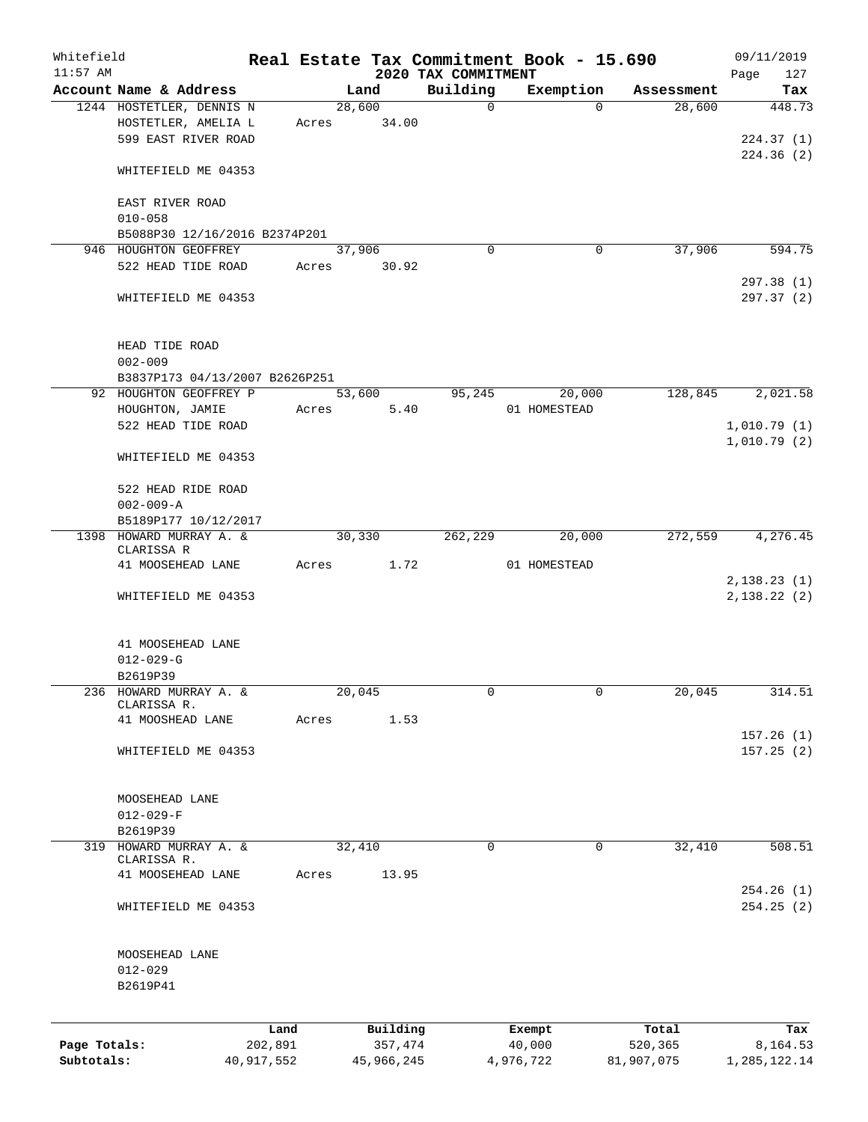| Whitefield   |                                                 |            |       |                 |                         | Real Estate Tax Commitment Book - 15.690 |            | 09/11/2019   |
|--------------|-------------------------------------------------|------------|-------|-----------------|-------------------------|------------------------------------------|------------|--------------|
| $11:57$ AM   |                                                 |            |       |                 | 2020 TAX COMMITMENT     |                                          |            | 127<br>Page  |
|              | Account Name & Address                          |            |       | Land            | Building<br>$\mathbf 0$ | Exemption<br>$\Omega$                    | Assessment | Tax          |
|              | 1244 HOSTETLER, DENNIS N<br>HOSTETLER, AMELIA L |            | Acres | 28,600<br>34.00 |                         |                                          | 28,600     | 448.73       |
|              | 599 EAST RIVER ROAD                             |            |       |                 |                         |                                          |            | 224.37(1)    |
|              |                                                 |            |       |                 |                         |                                          |            | 224.36(2)    |
|              | WHITEFIELD ME 04353                             |            |       |                 |                         |                                          |            |              |
|              | EAST RIVER ROAD                                 |            |       |                 |                         |                                          |            |              |
|              | $010 - 058$                                     |            |       |                 |                         |                                          |            |              |
|              | B5088P30 12/16/2016 B2374P201                   |            |       |                 |                         |                                          |            |              |
|              | 946 HOUGHTON GEOFFREY                           |            |       | 37,906          | $\Omega$                | 0                                        | 37,906     | 594.75       |
|              | 522 HEAD TIDE ROAD                              |            | Acres | 30.92           |                         |                                          |            |              |
|              |                                                 |            |       |                 |                         |                                          |            | 297.38 (1)   |
|              | WHITEFIELD ME 04353                             |            |       |                 |                         |                                          |            | 297.37(2)    |
|              | HEAD TIDE ROAD                                  |            |       |                 |                         |                                          |            |              |
|              | $002 - 009$                                     |            |       |                 |                         |                                          |            |              |
|              | B3837P173 04/13/2007 B2626P251                  |            |       |                 |                         |                                          |            |              |
|              | 92 HOUGHTON GEOFFREY P                          |            |       | 53,600          | 95,245                  | 20,000                                   | 128,845    | 2,021.58     |
|              | HOUGHTON, JAMIE                                 |            | Acres | 5.40            |                         | 01 HOMESTEAD                             |            |              |
|              | 522 HEAD TIDE ROAD                              |            |       |                 |                         |                                          |            | 1,010.79(1)  |
|              |                                                 |            |       |                 |                         |                                          |            | 1,010.79(2)  |
|              | WHITEFIELD ME 04353                             |            |       |                 |                         |                                          |            |              |
|              | 522 HEAD RIDE ROAD                              |            |       |                 |                         |                                          |            |              |
|              | $002 - 009 - A$                                 |            |       |                 |                         |                                          |            |              |
|              | B5189P177 10/12/2017                            |            |       |                 |                         |                                          |            |              |
|              | 1398 HOWARD MURRAY A. &                         |            |       | 30,330          | 262,229                 | 20,000                                   | 272,559    | 4, 276.45    |
|              | CLARISSA R                                      |            |       |                 |                         |                                          |            |              |
|              | 41 MOOSEHEAD LANE                               |            | Acres | 1.72            |                         | 01 HOMESTEAD                             |            |              |
|              |                                                 |            |       |                 |                         |                                          |            | 2,138.23(1)  |
|              | WHITEFIELD ME 04353                             |            |       |                 |                         |                                          |            | 2,138.22(2)  |
|              | 41 MOOSEHEAD LANE                               |            |       |                 |                         |                                          |            |              |
|              | $012 - 029 - G$                                 |            |       |                 |                         |                                          |            |              |
|              | B2619P39                                        |            |       |                 |                         |                                          |            |              |
|              | 236 HOWARD MURRAY A. &                          |            |       | 20,045          | 0                       | 0                                        | 20,045     | 314.51       |
|              | CLARISSA R.                                     |            |       |                 |                         |                                          |            |              |
|              | 41 MOOSHEAD LANE                                |            | Acres | 1.53            |                         |                                          |            |              |
|              |                                                 |            |       |                 |                         |                                          |            | 157.26(1)    |
|              | WHITEFIELD ME 04353                             |            |       |                 |                         |                                          |            | 157.25(2)    |
|              |                                                 |            |       |                 |                         |                                          |            |              |
|              |                                                 |            |       |                 |                         |                                          |            |              |
|              | MOOSEHEAD LANE                                  |            |       |                 |                         |                                          |            |              |
|              | $012 - 029 - F$                                 |            |       |                 |                         |                                          |            |              |
|              | B2619P39                                        |            |       |                 |                         |                                          |            |              |
| 319          | HOWARD MURRAY A. &                              |            |       | 32,410          | $\mathbf 0$             | $\mathbf 0$                              | 32,410     | 508.51       |
|              | CLARISSA R.                                     |            |       |                 |                         |                                          |            |              |
|              | 41 MOOSEHEAD LANE                               |            | Acres | 13.95           |                         |                                          |            |              |
|              |                                                 |            |       |                 |                         |                                          |            | 254.26(1)    |
|              | WHITEFIELD ME 04353                             |            |       |                 |                         |                                          |            | 254.25(2)    |
|              | MOOSEHEAD LANE                                  |            |       |                 |                         |                                          |            |              |
|              | $012 - 029$                                     |            |       |                 |                         |                                          |            |              |
|              | B2619P41                                        |            |       |                 |                         |                                          |            |              |
|              |                                                 |            |       |                 |                         |                                          |            |              |
|              |                                                 | Land       |       | Building        |                         | Exempt                                   | Total      | Tax          |
| Page Totals: |                                                 | 202,891    |       | 357,474         |                         | 40,000                                   | 520,365    | 8,164.53     |
| Subtotals:   |                                                 | 40,917,552 |       | 45,966,245      |                         | 4,976,722                                | 81,907,075 | 1,285,122.14 |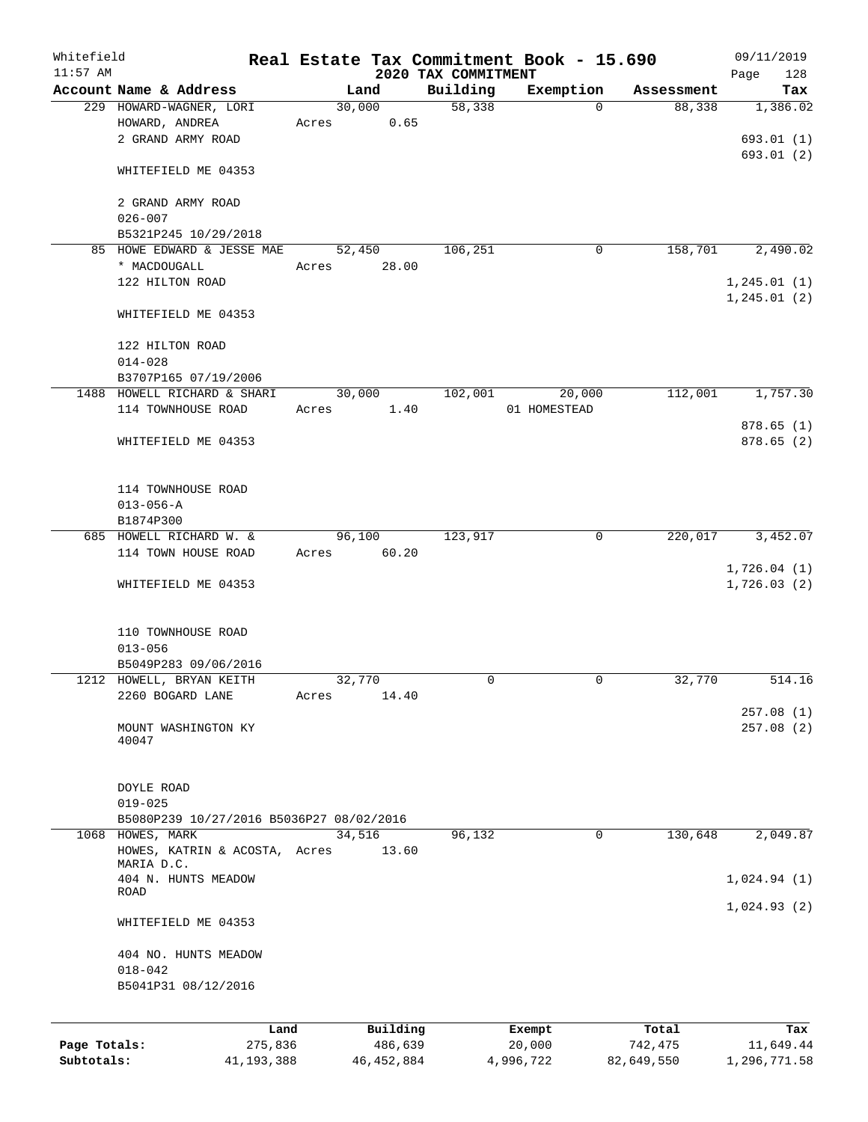| Whitefield   |                                             |                 |       |                     |                     | Real Estate Tax Commitment Book - 15.690 |                       | 09/11/2019                 |
|--------------|---------------------------------------------|-----------------|-------|---------------------|---------------------|------------------------------------------|-----------------------|----------------------------|
| $11:57$ AM   | Account Name & Address                      |                 |       |                     | 2020 TAX COMMITMENT |                                          |                       | 128<br>Page                |
|              | 229 HOWARD-WAGNER, LORI                     |                 |       | Land<br>30,000      | Building<br>58,338  | Exemption<br>$\Omega$                    | Assessment<br>88,338  | Tax<br>1,386.02            |
|              | HOWARD, ANDREA                              |                 | Acres | 0.65                |                     |                                          |                       |                            |
|              | 2 GRAND ARMY ROAD                           |                 |       |                     |                     |                                          |                       | 693.01(1)                  |
|              |                                             |                 |       |                     |                     |                                          |                       | 693.01 (2)                 |
|              | WHITEFIELD ME 04353                         |                 |       |                     |                     |                                          |                       |                            |
|              | 2 GRAND ARMY ROAD                           |                 |       |                     |                     |                                          |                       |                            |
|              | $026 - 007$                                 |                 |       |                     |                     |                                          |                       |                            |
|              | B5321P245 10/29/2018                        |                 |       |                     |                     |                                          |                       |                            |
|              | 85 HOWE EDWARD & JESSE MAE                  |                 |       | 52,450              | 106, 251            | 0                                        | 158,701               | 2,490.02                   |
|              | * MACDOUGALL                                |                 | Acres | 28.00               |                     |                                          |                       |                            |
|              | 122 HILTON ROAD                             |                 |       |                     |                     |                                          |                       | 1, 245.01(1)               |
|              |                                             |                 |       |                     |                     |                                          |                       | 1, 245.01(2)               |
|              | WHITEFIELD ME 04353                         |                 |       |                     |                     |                                          |                       |                            |
|              | 122 HILTON ROAD                             |                 |       |                     |                     |                                          |                       |                            |
|              | $014 - 028$                                 |                 |       |                     |                     |                                          |                       |                            |
|              | B3707P165 07/19/2006                        |                 |       |                     |                     |                                          |                       |                            |
|              | 1488 HOWELL RICHARD & SHARI                 |                 |       | 30,000              | 102,001             | 20,000                                   | 112,001               | 1,757.30                   |
|              | 114 TOWNHOUSE ROAD                          |                 | Acres | 1.40                |                     | 01 HOMESTEAD                             |                       |                            |
|              |                                             |                 |       |                     |                     |                                          |                       | 878.65(1)                  |
|              | WHITEFIELD ME 04353                         |                 |       |                     |                     |                                          |                       | 878.65(2)                  |
|              |                                             |                 |       |                     |                     |                                          |                       |                            |
|              | 114 TOWNHOUSE ROAD                          |                 |       |                     |                     |                                          |                       |                            |
|              | $013 - 056 - A$                             |                 |       |                     |                     |                                          |                       |                            |
|              | B1874P300                                   |                 |       |                     |                     |                                          |                       |                            |
|              | 685 HOWELL RICHARD W. &                     |                 |       | 96,100              | 123,917             | $\mathbf 0$                              | 220,017               | 3,452.07                   |
|              | 114 TOWN HOUSE ROAD                         |                 | Acres | 60.20               |                     |                                          |                       |                            |
|              | WHITEFIELD ME 04353                         |                 |       |                     |                     |                                          |                       | 1,726.04(1)<br>1,726.03(2) |
|              |                                             |                 |       |                     |                     |                                          |                       |                            |
|              |                                             |                 |       |                     |                     |                                          |                       |                            |
|              | 110 TOWNHOUSE ROAD                          |                 |       |                     |                     |                                          |                       |                            |
|              | $013 - 056$<br>B5049P283 09/06/2016         |                 |       |                     |                     |                                          |                       |                            |
|              | 1212 HOWELL, BRYAN KEITH                    |                 |       | 32,770              | 0                   | 0                                        | 32,770                | 514.16                     |
|              | 2260 BOGARD LANE                            |                 | Acres | 14.40               |                     |                                          |                       |                            |
|              |                                             |                 |       |                     |                     |                                          |                       | 257.08(1)                  |
|              | MOUNT WASHINGTON KY                         |                 |       |                     |                     |                                          |                       | 257.08(2)                  |
|              | 40047                                       |                 |       |                     |                     |                                          |                       |                            |
|              |                                             |                 |       |                     |                     |                                          |                       |                            |
|              | DOYLE ROAD                                  |                 |       |                     |                     |                                          |                       |                            |
|              | $019 - 025$                                 |                 |       |                     |                     |                                          |                       |                            |
|              | B5080P239 10/27/2016 B5036P27 08/02/2016    |                 |       |                     |                     |                                          |                       |                            |
|              | 1068 HOWES, MARK                            |                 |       | 34,516              | 96,132              | 0                                        | 130,648               | 2,049.87                   |
|              | HOWES, KATRIN & ACOSTA, Acres<br>MARIA D.C. |                 |       | 13.60               |                     |                                          |                       |                            |
|              | 404 N. HUNTS MEADOW                         |                 |       |                     |                     |                                          |                       | 1,024.94(1)                |
|              | ROAD                                        |                 |       |                     |                     |                                          |                       |                            |
|              | WHITEFIELD ME 04353                         |                 |       |                     |                     |                                          |                       | 1,024.93(2)                |
|              |                                             |                 |       |                     |                     |                                          |                       |                            |
|              | 404 NO. HUNTS MEADOW                        |                 |       |                     |                     |                                          |                       |                            |
|              | $018 - 042$                                 |                 |       |                     |                     |                                          |                       |                            |
|              | B5041P31 08/12/2016                         |                 |       |                     |                     |                                          |                       |                            |
|              |                                             |                 |       |                     |                     |                                          |                       |                            |
| Page Totals: |                                             | Land<br>275,836 |       | Building<br>486,639 |                     | Exempt                                   | Total                 | Tax<br>11,649.44           |
| Subtotals:   |                                             | 41, 193, 388    |       | 46, 452, 884        |                     | 20,000<br>4,996,722                      | 742,475<br>82,649,550 | 1,296,771.58               |
|              |                                             |                 |       |                     |                     |                                          |                       |                            |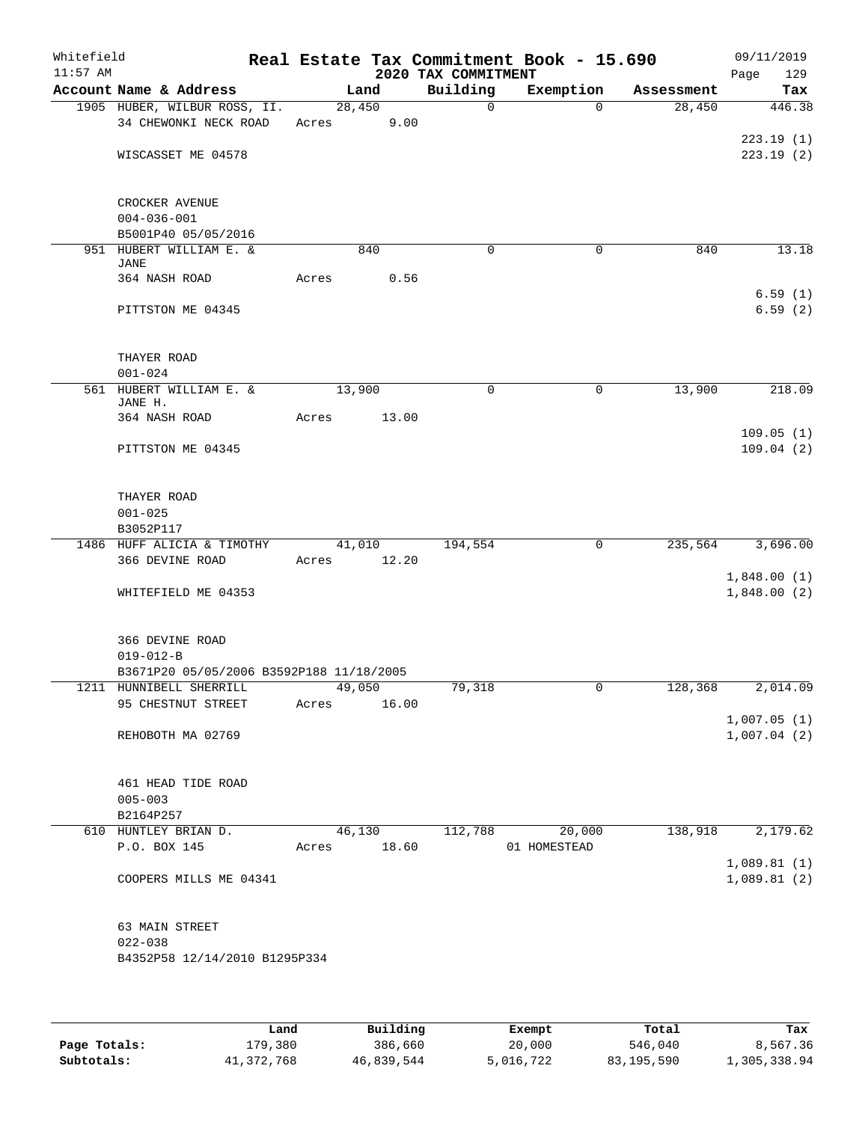| Whitefield<br>$11:57$ AM |                                                                     |             |        | 2020 TAX COMMITMENT | Real Estate Tax Commitment Book - 15.690 |            | 09/11/2019<br>Page<br>129 |
|--------------------------|---------------------------------------------------------------------|-------------|--------|---------------------|------------------------------------------|------------|---------------------------|
|                          | Account Name & Address                                              |             | Land   | Building            | Exemption                                | Assessment | Tax                       |
|                          | 1905 HUBER, WILBUR ROSS, II.                                        |             | 28,450 | $\mathbf 0$         | $\Omega$                                 | 28,450     | 446.38                    |
|                          | 34 CHEWONKI NECK ROAD                                               | Acres 9.00  |        |                     |                                          |            | 223.19(1)                 |
|                          | WISCASSET ME 04578                                                  |             |        |                     |                                          |            | 223.19(2)                 |
|                          | CROCKER AVENUE                                                      |             |        |                     |                                          |            |                           |
|                          | $004 - 036 - 001$                                                   |             |        |                     |                                          |            |                           |
|                          | B5001P40 05/05/2016<br>951 HUBERT WILLIAM E. &                      |             | 840    | $\mathbf 0$         | $\mathbf 0$                              | 840        | 13.18                     |
|                          | JANE                                                                |             |        |                     |                                          |            |                           |
|                          | 364 NASH ROAD                                                       | Acres       | 0.56   |                     |                                          |            |                           |
|                          | PITTSTON ME 04345                                                   |             |        |                     |                                          |            | 6.59(1)<br>6.59(2)        |
|                          | THAYER ROAD                                                         |             |        |                     |                                          |            |                           |
|                          | $001 - 024$                                                         |             |        |                     |                                          |            |                           |
|                          | 561 HUBERT WILLIAM E. &<br>JANE H.                                  |             | 13,900 | $\mathbf 0$         | $\mathbf 0$                              | 13,900     | 218.09                    |
|                          | 364 NASH ROAD                                                       | Acres       | 13.00  |                     |                                          |            |                           |
|                          | PITTSTON ME 04345                                                   |             |        |                     |                                          |            | 109.05(1)<br>109.04(2)    |
|                          |                                                                     |             |        |                     |                                          |            |                           |
|                          | THAYER ROAD<br>$001 - 025$                                          |             |        |                     |                                          |            |                           |
|                          | B3052P117                                                           |             |        |                     |                                          |            |                           |
|                          | 1486 HUFF ALICIA & TIMOTHY                                          |             | 41,010 | 194,554             | 0                                        | 235,564    | 3,696.00                  |
|                          | 366 DEVINE ROAD                                                     | Acres 12.20 |        |                     |                                          |            |                           |
|                          |                                                                     |             |        |                     |                                          |            | 1,848.00(1)               |
|                          | WHITEFIELD ME 04353                                                 |             |        |                     |                                          |            | 1,848.00(2)               |
|                          | 366 DEVINE ROAD                                                     |             |        |                     |                                          |            |                           |
|                          | $019 - 012 - B$                                                     |             |        |                     |                                          |            |                           |
|                          | B3671P20 05/05/2006 B3592P188 11/18/2005<br>1211 HUNNIBELL SHERRILL |             | 49,050 | 79,318              |                                          | 128,368    | 2,014.09                  |
|                          | 95 CHESTNUT STREET                                                  | Acres       | 16.00  |                     |                                          |            |                           |
|                          |                                                                     |             |        |                     |                                          |            | 1,007.05(1)               |
|                          | REHOBOTH MA 02769                                                   |             |        |                     |                                          |            | 1,007.04(2)               |
|                          | 461 HEAD TIDE ROAD                                                  |             |        |                     |                                          |            |                           |
|                          | $005 - 003$                                                         |             |        |                     |                                          |            |                           |
|                          | B2164P257<br>610 HUNTLEY BRIAN D.                                   |             | 46,130 | 112,788             | 20,000                                   | 138,918    | 2,179.62                  |
|                          | P.O. BOX 145                                                        | Acres 18.60 |        |                     | 01 HOMESTEAD                             |            |                           |
|                          |                                                                     |             |        |                     |                                          |            | 1,089.81(1)               |
|                          | COOPERS MILLS ME 04341                                              |             |        |                     |                                          |            | 1,089.81(2)               |
|                          | 63 MAIN STREET                                                      |             |        |                     |                                          |            |                           |
|                          | $022 - 038$                                                         |             |        |                     |                                          |            |                           |
|                          | B4352P58 12/14/2010 B1295P334                                       |             |        |                     |                                          |            |                           |
|                          |                                                                     |             |        |                     |                                          |            |                           |
|                          |                                                                     |             |        |                     |                                          |            |                           |

|              | Land       | Building   | Exempt    | Total      | Tax          |
|--------------|------------|------------|-----------|------------|--------------|
| Page Totals: | L79,380    | 386,660    | 20,000    | 546,040    | 8,567.36     |
| Subtotals:   | 41,372,768 | 46,839,544 | 5,016,722 | 83,195,590 | 1,305,338.94 |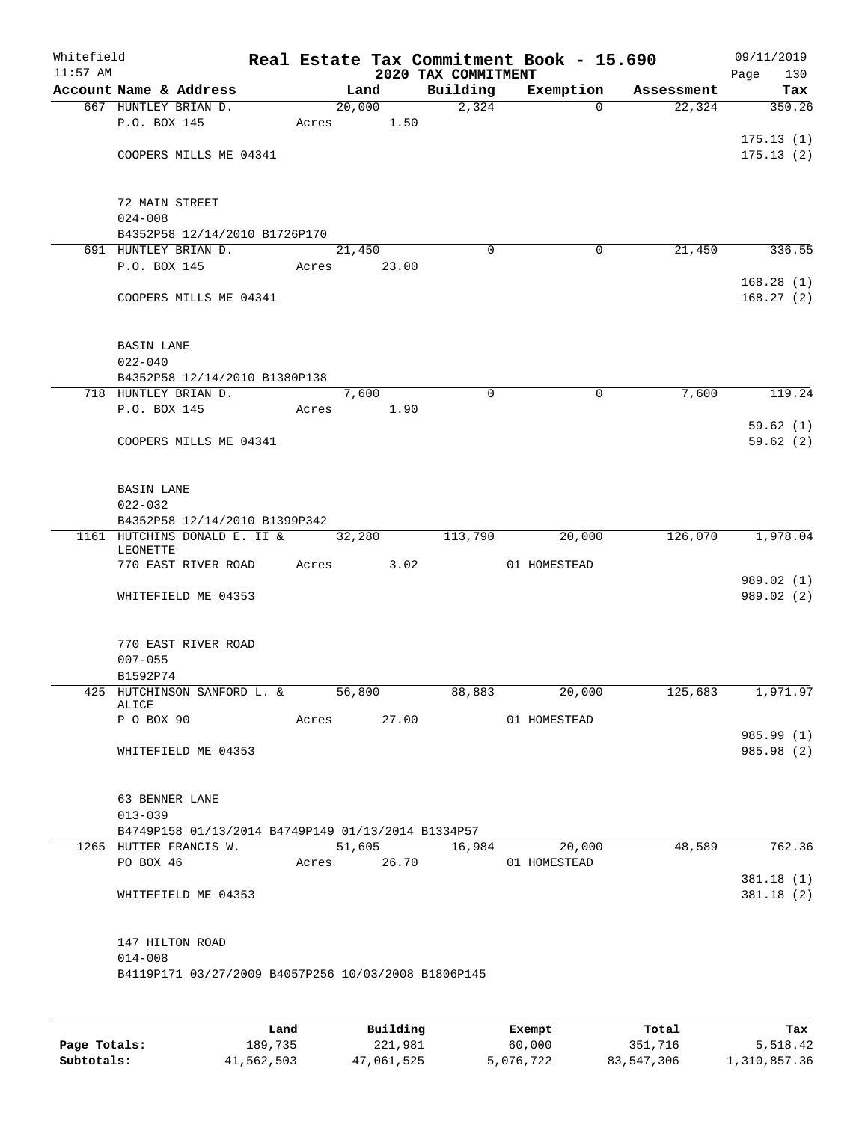| Whitefield<br>$11:57$ AM |                                                     |             |             |        | 2020 TAX COMMITMENT |   | Real Estate Tax Commitment Book - 15.690 |            | 09/11/2019<br>130<br>Page |
|--------------------------|-----------------------------------------------------|-------------|-------------|--------|---------------------|---|------------------------------------------|------------|---------------------------|
|                          | Account Name & Address                              |             | Land        |        | Building            |   | Exemption                                | Assessment | Tax                       |
|                          | 667 HUNTLEY BRIAN D.                                |             | 20,000      |        | $\overline{2,324}$  |   | $\Omega$                                 | 22,324     | 350.26                    |
|                          | P.O. BOX 145                                        | Acres       |             | 1.50   |                     |   |                                          |            |                           |
|                          |                                                     |             |             |        |                     |   |                                          |            | 175.13(1)                 |
|                          | COOPERS MILLS ME 04341                              |             |             |        |                     |   |                                          |            | 175.13(2)                 |
|                          |                                                     |             |             |        |                     |   |                                          |            |                           |
|                          |                                                     |             |             |        |                     |   |                                          |            |                           |
|                          | 72 MAIN STREET                                      |             |             |        |                     |   |                                          |            |                           |
|                          | $024 - 008$                                         |             |             |        |                     |   |                                          |            |                           |
|                          | B4352P58 12/14/2010 B1726P170                       |             |             |        |                     |   |                                          |            |                           |
|                          | 691 HUNTLEY BRIAN D.<br>P.O. BOX 145                |             | 21,450      | 23.00  | $\Omega$            |   | 0                                        | 21,450     | 336.55                    |
|                          |                                                     | Acres       |             |        |                     |   |                                          |            | 168.28(1)                 |
|                          | COOPERS MILLS ME 04341                              |             |             |        |                     |   |                                          |            | 168.27(2)                 |
|                          |                                                     |             |             |        |                     |   |                                          |            |                           |
|                          |                                                     |             |             |        |                     |   |                                          |            |                           |
|                          | <b>BASIN LANE</b>                                   |             |             |        |                     |   |                                          |            |                           |
|                          | $022 - 040$                                         |             |             |        |                     |   |                                          |            |                           |
|                          | B4352P58 12/14/2010 B1380P138                       |             |             |        |                     |   |                                          |            |                           |
|                          | 718 HUNTLEY BRIAN D.                                |             | 7,600       |        |                     | 0 | $\mathbf 0$                              | 7,600      | 119.24                    |
|                          | P.O. BOX 145                                        | Acres       |             | 1.90   |                     |   |                                          |            |                           |
|                          |                                                     |             |             |        |                     |   |                                          |            | 59.62(1)                  |
|                          | COOPERS MILLS ME 04341                              |             |             |        |                     |   |                                          |            | 59.62(2)                  |
|                          |                                                     |             |             |        |                     |   |                                          |            |                           |
|                          |                                                     |             |             |        |                     |   |                                          |            |                           |
|                          | <b>BASIN LANE</b>                                   |             |             |        |                     |   |                                          |            |                           |
|                          | $022 - 032$                                         |             |             |        |                     |   |                                          |            |                           |
|                          | B4352P58 12/14/2010 B1399P342                       |             |             |        |                     |   |                                          |            |                           |
|                          | 1161 HUTCHINS DONALD E. II &<br>LEONETTE            |             | 32,280      |        | 113,790             |   | 20,000                                   | 126,070    | 1,978.04                  |
|                          | 770 EAST RIVER ROAD                                 | Acres       |             | 3.02   |                     |   | 01 HOMESTEAD                             |            |                           |
|                          |                                                     |             |             |        |                     |   |                                          |            | 989.02 (1)                |
|                          | WHITEFIELD ME 04353                                 |             |             |        |                     |   |                                          |            | 989.02 (2)                |
|                          |                                                     |             |             |        |                     |   |                                          |            |                           |
|                          |                                                     |             |             |        |                     |   |                                          |            |                           |
|                          | 770 EAST RIVER ROAD                                 |             |             |        |                     |   |                                          |            |                           |
|                          | $007 - 055$                                         |             |             |        |                     |   |                                          |            |                           |
|                          | B1592P74                                            |             |             |        |                     |   |                                          |            |                           |
|                          | 425 HUTCHINSON SANFORD L. & 56,800                  |             |             |        | 88,883              |   | 20,000                                   | 125,683    | 1,971.97                  |
|                          | ALICE<br>P O BOX 90                                 | Acres 27.00 |             |        |                     |   | 01 HOMESTEAD                             |            |                           |
|                          |                                                     |             |             |        |                     |   |                                          |            | 985.99 (1)                |
|                          | WHITEFIELD ME 04353                                 |             |             |        |                     |   |                                          |            | 985.98 (2)                |
|                          |                                                     |             |             |        |                     |   |                                          |            |                           |
|                          |                                                     |             |             |        |                     |   |                                          |            |                           |
|                          | 63 BENNER LANE                                      |             |             |        |                     |   |                                          |            |                           |
|                          | $013 - 039$                                         |             |             |        |                     |   |                                          |            |                           |
|                          | B4749P158 01/13/2014 B4749P149 01/13/2014 B1334P57  |             |             |        |                     |   |                                          |            |                           |
|                          | 1265 HUTTER FRANCIS W.                              |             |             | 51,605 | 16,984              |   | 20,000                                   | 48,589     | 762.36                    |
|                          | PO BOX 46                                           |             | Acres 26.70 |        |                     |   | 01 HOMESTEAD                             |            |                           |
|                          |                                                     |             |             |        |                     |   |                                          |            | 381.18(1)                 |
|                          | WHITEFIELD ME 04353                                 |             |             |        |                     |   |                                          |            | 381.18(2)                 |
|                          |                                                     |             |             |        |                     |   |                                          |            |                           |
|                          |                                                     |             |             |        |                     |   |                                          |            |                           |
|                          | 147 HILTON ROAD                                     |             |             |        |                     |   |                                          |            |                           |
|                          | $014 - 008$                                         |             |             |        |                     |   |                                          |            |                           |
|                          | B4119P171 03/27/2009 B4057P256 10/03/2008 B1806P145 |             |             |        |                     |   |                                          |            |                           |
|                          |                                                     |             |             |        |                     |   |                                          |            |                           |
|                          |                                                     |             |             |        |                     |   |                                          |            |                           |

|              | Land       | Building   | Exempt    | Total      | Tax          |
|--------------|------------|------------|-----------|------------|--------------|
| Page Totals: | 189,735    | 221,981    | 60,000    | 351,716    | 5,518.42     |
| Subtotals:   | 41,562,503 | 47,061,525 | 5,076,722 | 83,547,306 | 1,310,857.36 |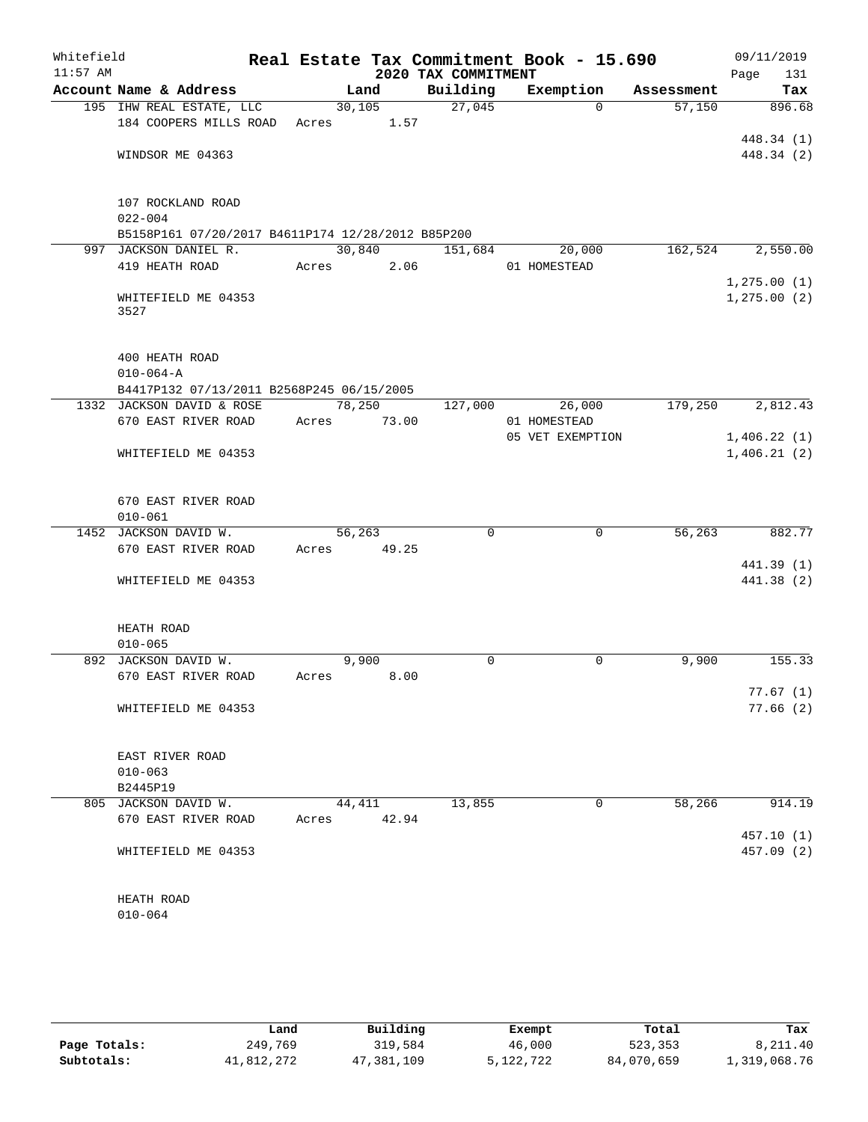| Whitefield<br>$11:57$ AM |                                                   |             |         | 2020 TAX COMMITMENT | Real Estate Tax Commitment Book - 15.690 |            | 09/11/2019<br>131<br>Page |
|--------------------------|---------------------------------------------------|-------------|---------|---------------------|------------------------------------------|------------|---------------------------|
|                          | Account Name & Address                            |             | Land    | Building            | Exemption                                | Assessment | Tax                       |
|                          | 195 IHW REAL ESTATE, LLC                          |             | 30, 105 | 27,045              | $\Omega$                                 | 57,150     | 896.68                    |
|                          | 184 COOPERS MILLS ROAD                            | Acres       | 1.57    |                     |                                          |            |                           |
|                          |                                                   |             |         |                     |                                          |            | 448.34 (1)                |
|                          | WINDSOR ME 04363                                  |             |         |                     |                                          |            | 448.34 (2)                |
|                          | 107 ROCKLAND ROAD                                 |             |         |                     |                                          |            |                           |
|                          | $022 - 004$                                       |             |         |                     |                                          |            |                           |
|                          | B5158P161 07/20/2017 B4611P174 12/28/2012 B85P200 |             |         |                     |                                          |            |                           |
|                          | 997 JACKSON DANIEL R.                             |             | 30,840  | 151,684             | 20,000                                   | 162,524    | 2,550.00                  |
|                          | 419 HEATH ROAD                                    | Acres       | 2.06    |                     | 01 HOMESTEAD                             |            |                           |
|                          |                                                   |             |         |                     |                                          |            | 1, 275.00(1)              |
|                          | WHITEFIELD ME 04353<br>3527                       |             |         |                     |                                          |            | 1, 275.00(2)              |
|                          | 400 HEATH ROAD                                    |             |         |                     |                                          |            |                           |
|                          | $010 - 064 - A$                                   |             |         |                     |                                          |            |                           |
|                          | B4417P132 07/13/2011 B2568P245 06/15/2005         |             |         |                     |                                          |            |                           |
|                          | 1332 JACKSON DAVID & ROSE                         |             | 78,250  | 127,000             | 26,000                                   | 179,250    | 2,812.43                  |
|                          | 670 EAST RIVER ROAD                               | Acres 73.00 |         |                     | 01 HOMESTEAD                             |            |                           |
|                          |                                                   |             |         |                     | 05 VET EXEMPTION                         |            | 1,406.22(1)               |
|                          | WHITEFIELD ME 04353                               |             |         |                     |                                          |            | 1,406.21(2)               |
|                          | 670 EAST RIVER ROAD                               |             |         |                     |                                          |            |                           |
|                          | $010 - 061$                                       |             |         |                     |                                          |            |                           |
|                          | 1452 JACKSON DAVID W.                             | 56,263      |         | $\Omega$            | $\Omega$                                 | 56,263     | 882.77                    |
|                          | 670 EAST RIVER ROAD                               | Acres       | 49.25   |                     |                                          |            |                           |
|                          |                                                   |             |         |                     |                                          |            | 441.39 (1)                |
|                          | WHITEFIELD ME 04353                               |             |         |                     |                                          |            | 441.38 (2)                |
|                          |                                                   |             |         |                     |                                          |            |                           |
|                          | HEATH ROAD                                        |             |         |                     |                                          |            |                           |
|                          | $010 - 065$                                       |             |         |                     |                                          |            |                           |
|                          | 892 JACKSON DAVID W.                              |             | 9,900   | 0                   | 0                                        | 9,900      | 155.33                    |
|                          | 670 EAST RIVER ROAD                               | Acres 8.00  |         |                     |                                          |            |                           |
|                          | WHITEFIELD ME 04353                               |             |         |                     |                                          |            | 77.67(1)<br>77.66(2)      |
|                          |                                                   |             |         |                     |                                          |            |                           |
|                          | EAST RIVER ROAD                                   |             |         |                     |                                          |            |                           |
|                          | $010 - 063$                                       |             |         |                     |                                          |            |                           |
|                          | B2445P19                                          |             |         |                     |                                          |            |                           |
|                          | 805 JACKSON DAVID W.                              | 44,411      |         | 13,855              | 0                                        | 58,266     | 914.19                    |
|                          | 670 EAST RIVER ROAD                               | Acres       | 42.94   |                     |                                          |            |                           |
|                          |                                                   |             |         |                     |                                          |            | 457.10(1)                 |
|                          | WHITEFIELD ME 04353                               |             |         |                     |                                          |            | 457.09 (2)                |
|                          | HEATH ROAD                                        |             |         |                     |                                          |            |                           |
|                          | $010 - 064$                                       |             |         |                     |                                          |            |                           |
|                          |                                                   |             |         |                     |                                          |            |                           |

|              | Land       | Building   | Exempt    | Total      | Tax          |
|--------------|------------|------------|-----------|------------|--------------|
| Page Totals: | 249,769    | 319,584    | 46,000    | 523,353    | 8,211.40     |
| Subtotals:   | 41,812,272 | 47,381,109 | 5,122,722 | 84,070,659 | 1,319,068.76 |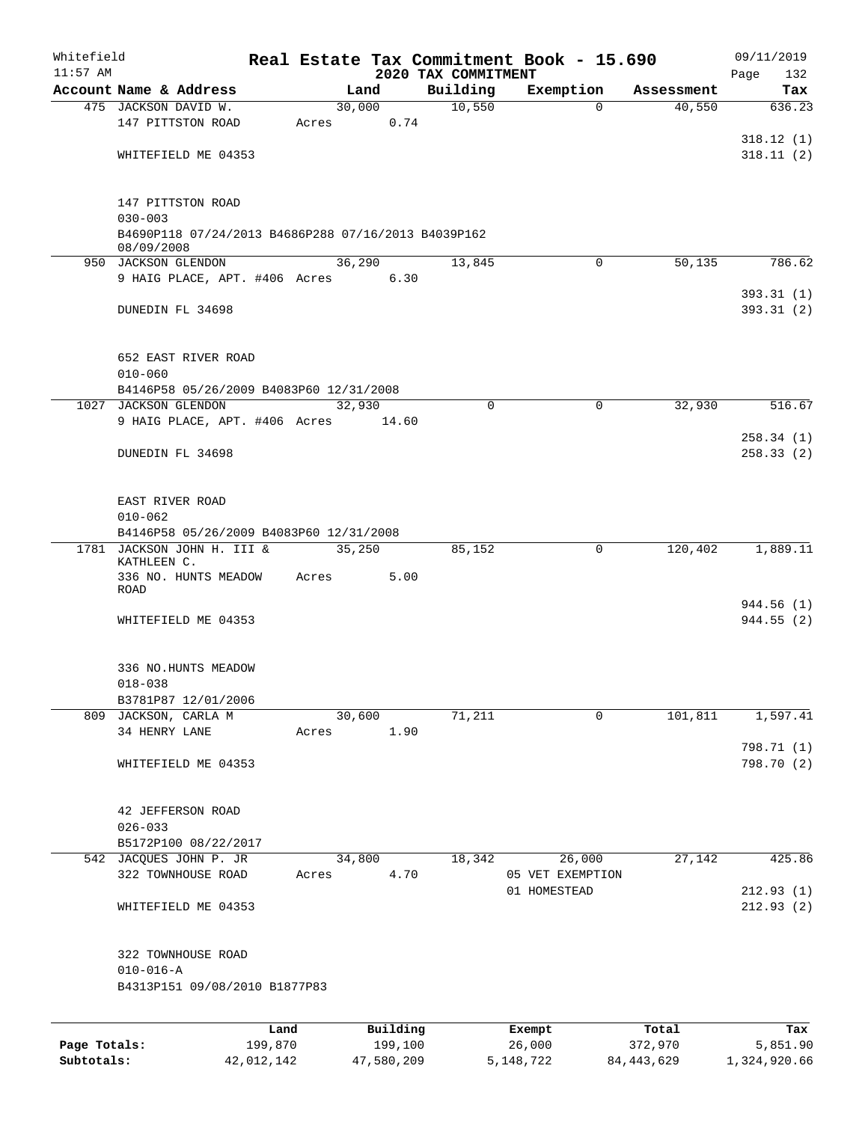| Whitefield   |                                                                    |       |          |                                 | Real Estate Tax Commitment Book - 15.690 |            | 09/11/2019         |
|--------------|--------------------------------------------------------------------|-------|----------|---------------------------------|------------------------------------------|------------|--------------------|
| $11:57$ AM   | Account Name & Address                                             |       | Land     | 2020 TAX COMMITMENT<br>Building | Exemption                                | Assessment | Page<br>132<br>Tax |
|              | 475 JACKSON DAVID W.                                               |       | 30,000   | 10,550                          | $\Omega$                                 | 40,550     | 636.23             |
|              | 147 PITTSTON ROAD                                                  | Acres | 0.74     |                                 |                                          |            |                    |
|              |                                                                    |       |          |                                 |                                          |            | 318.12(1)          |
|              | WHITEFIELD ME 04353                                                |       |          |                                 |                                          |            | 318.11(2)          |
|              |                                                                    |       |          |                                 |                                          |            |                    |
|              |                                                                    |       |          |                                 |                                          |            |                    |
|              | 147 PITTSTON ROAD                                                  |       |          |                                 |                                          |            |                    |
|              | $030 - 003$<br>B4690P118 07/24/2013 B4686P288 07/16/2013 B4039P162 |       |          |                                 |                                          |            |                    |
|              | 08/09/2008                                                         |       |          |                                 |                                          |            |                    |
|              | 950 JACKSON GLENDON                                                |       | 36,290   | 13,845                          | $\Omega$                                 | 50,135     | 786.62             |
|              | 9 HAIG PLACE, APT. #406 Acres                                      |       | 6.30     |                                 |                                          |            |                    |
|              |                                                                    |       |          |                                 |                                          |            | 393.31(1)          |
|              | DUNEDIN FL 34698                                                   |       |          |                                 |                                          |            | 393.31(2)          |
|              |                                                                    |       |          |                                 |                                          |            |                    |
|              | 652 EAST RIVER ROAD                                                |       |          |                                 |                                          |            |                    |
|              | $010 - 060$                                                        |       |          |                                 |                                          |            |                    |
|              | B4146P58 05/26/2009 B4083P60 12/31/2008                            |       |          |                                 |                                          |            |                    |
| 1027         | <b>JACKSON GLENDON</b>                                             |       | 32,930   | $\mathbf 0$                     | 0                                        | 32,930     | 516.67             |
|              | 9 HAIG PLACE, APT. #406 Acres                                      |       | 14.60    |                                 |                                          |            |                    |
|              |                                                                    |       |          |                                 |                                          |            | 258.34(1)          |
|              | DUNEDIN FL 34698                                                   |       |          |                                 |                                          |            | 258.33(2)          |
|              |                                                                    |       |          |                                 |                                          |            |                    |
|              | EAST RIVER ROAD                                                    |       |          |                                 |                                          |            |                    |
|              | $010 - 062$                                                        |       |          |                                 |                                          |            |                    |
|              | B4146P58 05/26/2009 B4083P60 12/31/2008                            |       |          |                                 |                                          |            |                    |
|              | 1781 JACKSON JOHN H. III &                                         |       | 35,250   | 85,152                          | $\mathbf 0$                              | 120,402    | 1,889.11           |
|              | KATHLEEN C.<br>336 NO. HUNTS MEADOW                                | Acres | 5.00     |                                 |                                          |            |                    |
|              | ROAD                                                               |       |          |                                 |                                          |            |                    |
|              |                                                                    |       |          |                                 |                                          |            | 944.56 (1)         |
|              | WHITEFIELD ME 04353                                                |       |          |                                 |                                          |            | 944.55(2)          |
|              |                                                                    |       |          |                                 |                                          |            |                    |
|              | 336 NO.HUNTS MEADOW                                                |       |          |                                 |                                          |            |                    |
|              | $018 - 038$                                                        |       |          |                                 |                                          |            |                    |
|              | B3781P87 12/01/2006                                                |       |          |                                 |                                          |            |                    |
|              | 809 JACKSON, CARLA M                                               |       | 30,600   | 71,211                          | 0                                        | 101,811    | 1,597.41           |
|              | 34 HENRY LANE                                                      | Acres | 1.90     |                                 |                                          |            |                    |
|              |                                                                    |       |          |                                 |                                          |            | 798.71 (1)         |
|              | WHITEFIELD ME 04353                                                |       |          |                                 |                                          |            | 798.70 (2)         |
|              |                                                                    |       |          |                                 |                                          |            |                    |
|              | 42 JEFFERSON ROAD                                                  |       |          |                                 |                                          |            |                    |
|              | $026 - 033$                                                        |       |          |                                 |                                          |            |                    |
|              | B5172P100 08/22/2017                                               |       |          |                                 |                                          |            |                    |
|              | 542 JACQUES JOHN P. JR                                             |       | 34,800   | 18,342                          | 26,000                                   | 27,142     | 425.86             |
|              | 322 TOWNHOUSE ROAD                                                 | Acres | 4.70     |                                 | 05 VET EXEMPTION                         |            |                    |
|              |                                                                    |       |          |                                 | 01 HOMESTEAD                             |            | 212.93(1)          |
|              | WHITEFIELD ME 04353                                                |       |          |                                 |                                          |            | 212.93(2)          |
|              |                                                                    |       |          |                                 |                                          |            |                    |
|              | 322 TOWNHOUSE ROAD                                                 |       |          |                                 |                                          |            |                    |
|              | $010 - 016 - A$                                                    |       |          |                                 |                                          |            |                    |
|              | B4313P151 09/08/2010 B1877P83                                      |       |          |                                 |                                          |            |                    |
|              |                                                                    |       |          |                                 |                                          |            |                    |
|              |                                                                    | Land  | Building |                                 | Exempt                                   | Total      | Tax                |
| Page Totals: | 199,870                                                            |       | 199,100  |                                 | 26,000                                   | 372,970    | 5,851.90           |

**Subtotals:** 42,012,142 47,580,209 5,148,722 84,443,629 1,324,920.66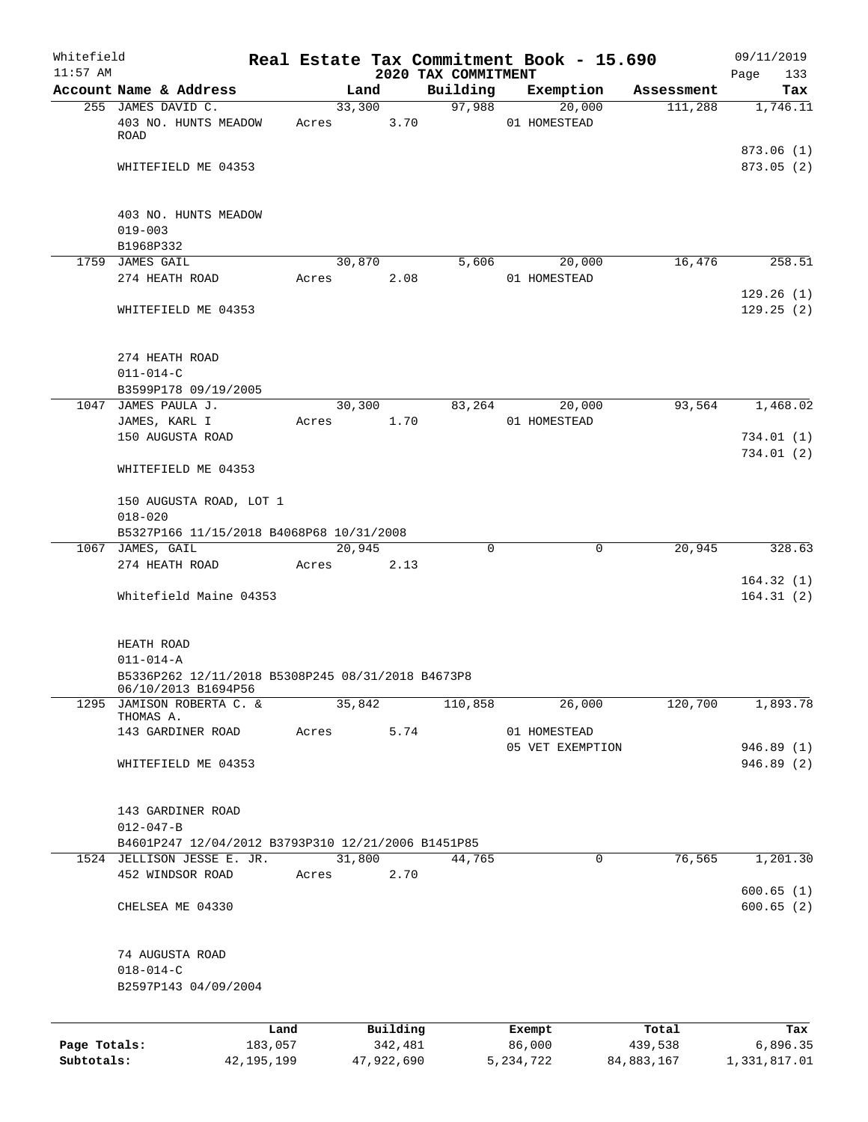| Whitefield   |                                                                          |            |            |         |                                 | Real Estate Tax Commitment Book - 15.690 |            | 09/11/2019              |
|--------------|--------------------------------------------------------------------------|------------|------------|---------|---------------------------------|------------------------------------------|------------|-------------------------|
| $11:57$ AM   | Account Name & Address                                                   |            | Land       |         | 2020 TAX COMMITMENT<br>Building | Exemption                                | Assessment | 133<br>Page<br>Tax      |
|              | 255 JAMES DAVID C.                                                       |            | 33,300     |         | 97,988                          | 20,000                                   | 111,288    | 1,746.11                |
|              | 403 NO. HUNTS MEADOW<br>ROAD                                             | Acres      |            | 3.70    |                                 | 01 HOMESTEAD                             |            |                         |
|              | WHITEFIELD ME 04353                                                      |            |            |         |                                 |                                          |            | 873.06(1)<br>873.05 (2) |
|              | 403 NO. HUNTS MEADOW                                                     |            |            |         |                                 |                                          |            |                         |
|              | $019 - 003$<br>B1968P332                                                 |            |            |         |                                 |                                          |            |                         |
|              | 1759 JAMES GAIL                                                          |            | 30,870     |         | 5,606                           | 20,000                                   | 16,476     | 258.51                  |
|              | 274 HEATH ROAD                                                           | Acres      |            | 2.08    |                                 | 01 HOMESTEAD                             |            |                         |
|              | WHITEFIELD ME 04353                                                      |            |            |         |                                 |                                          |            | 129.26(1)<br>129.25(2)  |
|              | 274 HEATH ROAD<br>$011 - 014 - C$                                        |            |            |         |                                 |                                          |            |                         |
|              | B3599P178 09/19/2005                                                     |            |            |         |                                 |                                          |            |                         |
|              | 1047 JAMES PAULA J.                                                      |            | 30,300     |         | 83,264                          | 20,000                                   | 93,564     | 1,468.02                |
|              | JAMES, KARL I                                                            | Acres      |            | 1.70    |                                 | 01 HOMESTEAD                             |            |                         |
|              | 150 AUGUSTA ROAD                                                         |            |            |         |                                 |                                          |            | 734.01(1)<br>734.01(2)  |
|              | WHITEFIELD ME 04353                                                      |            |            |         |                                 |                                          |            |                         |
|              | 150 AUGUSTA ROAD, LOT 1<br>$018 - 020$                                   |            |            |         |                                 |                                          |            |                         |
|              | B5327P166 11/15/2018 B4068P68 10/31/2008                                 |            |            |         |                                 |                                          |            |                         |
|              | 1067 JAMES, GAIL<br>274 HEATH ROAD                                       | Acres      | 20,945     | 2.13    | 0                               | 0                                        | 20,945     | 328.63                  |
|              | Whitefield Maine 04353                                                   |            |            |         |                                 |                                          |            | 164.32(1)<br>164.31(2)  |
|              |                                                                          |            |            |         |                                 |                                          |            |                         |
|              | HEATH ROAD                                                               |            |            |         |                                 |                                          |            |                         |
|              | $011 - 014 - A$                                                          |            |            |         |                                 |                                          |            |                         |
|              | B5336P262 12/11/2018 B5308P245 08/31/2018 B4673P8<br>06/10/2013 B1694P56 |            |            |         |                                 |                                          |            |                         |
|              | 1295 JAMISON ROBERTA C. &<br>THOMAS A.                                   |            | 35,842     |         | 110,858                         | 26,000                                   | 120,700    | 1,893.78                |
|              | 143 GARDINER ROAD                                                        | Acres      |            | 5.74    |                                 | 01 HOMESTEAD                             |            |                         |
|              |                                                                          |            |            |         |                                 | 05 VET EXEMPTION                         |            | 946.89 (1)              |
|              | WHITEFIELD ME 04353                                                      |            |            |         |                                 |                                          |            | 946.89(2)               |
|              | 143 GARDINER ROAD                                                        |            |            |         |                                 |                                          |            |                         |
|              | $012 - 047 - B$                                                          |            |            |         |                                 |                                          |            |                         |
|              | B4601P247 12/04/2012 B3793P310 12/21/2006 B1451P85                       |            |            |         |                                 |                                          |            |                         |
|              | 1524 JELLISON JESSE E. JR.<br>452 WINDSOR ROAD                           | Acres      | 31,800     | 2.70    | 44,765                          | 0                                        | 76,565     | 1,201.30                |
|              |                                                                          |            |            |         |                                 |                                          |            | 600.65(1)               |
|              | CHELSEA ME 04330                                                         |            |            |         |                                 |                                          |            | 600.65(2)               |
|              | 74 AUGUSTA ROAD                                                          |            |            |         |                                 |                                          |            |                         |
|              | $018 - 014 - C$                                                          |            |            |         |                                 |                                          |            |                         |
|              | B2597P143 04/09/2004                                                     |            |            |         |                                 |                                          |            |                         |
|              |                                                                          | Land       | Building   |         |                                 | Exempt                                   | Total      | Tax                     |
| Page Totals: |                                                                          | 183,057    |            | 342,481 |                                 | 86,000                                   | 439,538    | 6,896.35                |
| Subtotals:   |                                                                          | 42,195,199 | 47,922,690 |         |                                 | 5, 234, 722                              | 84,883,167 | 1,331,817.01            |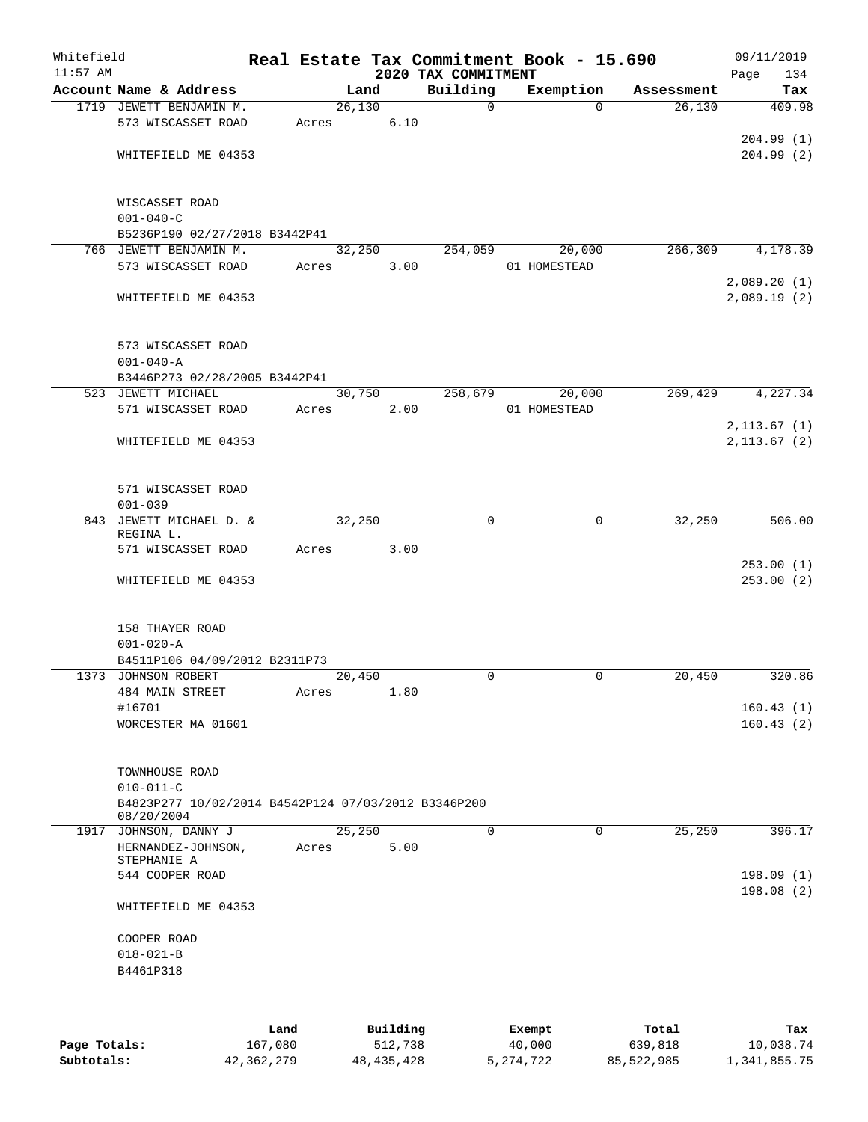| Whitefield<br>$11:57$ AM |                                                                   |       |        |      |                                 | Real Estate Tax Commitment Book - 15.690 |            | 09/11/2019             |
|--------------------------|-------------------------------------------------------------------|-------|--------|------|---------------------------------|------------------------------------------|------------|------------------------|
|                          | Account Name & Address                                            |       | Land   |      | 2020 TAX COMMITMENT<br>Building | Exemption                                | Assessment | Page<br>134<br>Tax     |
|                          | 1719 JEWETT BENJAMIN M.                                           |       | 26,130 |      | $\mathbf 0$                     | $\Omega$                                 | 26,130     | 409.98                 |
|                          | 573 WISCASSET ROAD                                                | Acres |        | 6.10 |                                 |                                          |            |                        |
|                          |                                                                   |       |        |      |                                 |                                          |            | 204.99 (1)             |
|                          | WHITEFIELD ME 04353                                               |       |        |      |                                 |                                          |            | 204.99(2)              |
|                          | WISCASSET ROAD                                                    |       |        |      |                                 |                                          |            |                        |
|                          | $001 - 040 - C$                                                   |       |        |      |                                 |                                          |            |                        |
|                          | B5236P190 02/27/2018 B3442P41                                     |       |        |      |                                 |                                          |            |                        |
|                          | 766 JEWETT BENJAMIN M.                                            |       | 32,250 |      | 254,059                         | 20,000                                   | 266,309    | 4,178.39               |
|                          | 573 WISCASSET ROAD                                                | Acres |        | 3.00 |                                 | 01 HOMESTEAD                             |            |                        |
|                          |                                                                   |       |        |      |                                 |                                          |            | 2,089.20(1)            |
|                          | WHITEFIELD ME 04353                                               |       |        |      |                                 |                                          |            | 2,089.19(2)            |
|                          | 573 WISCASSET ROAD                                                |       |        |      |                                 |                                          |            |                        |
|                          | $001 - 040 - A$                                                   |       |        |      |                                 |                                          |            |                        |
|                          | B3446P273 02/28/2005 B3442P41                                     |       |        |      |                                 |                                          |            |                        |
|                          | 523 JEWETT MICHAEL                                                |       | 30,750 |      | 258,679                         | 20,000                                   | 269,429    | 4,227.34               |
|                          | 571 WISCASSET ROAD                                                | Acres |        | 2.00 |                                 | 01 HOMESTEAD                             |            |                        |
|                          |                                                                   |       |        |      |                                 |                                          |            | 2, 113.67(1)           |
|                          | WHITEFIELD ME 04353                                               |       |        |      |                                 |                                          |            | 2, 113.67 (2)          |
|                          | 571 WISCASSET ROAD                                                |       |        |      |                                 |                                          |            |                        |
|                          | $001 - 039$                                                       |       |        |      |                                 |                                          |            |                        |
|                          | 843 JEWETT MICHAEL D. &<br>REGINA L.                              |       | 32,250 |      | $\Omega$                        | $\mathbf 0$                              | 32,250     | 506.00                 |
|                          | 571 WISCASSET ROAD                                                | Acres |        | 3.00 |                                 |                                          |            |                        |
|                          | WHITEFIELD ME 04353                                               |       |        |      |                                 |                                          |            | 253.00(1)<br>253.00(2) |
|                          | 158 THAYER ROAD                                                   |       |        |      |                                 |                                          |            |                        |
|                          | $001 - 020 - A$                                                   |       |        |      |                                 |                                          |            |                        |
|                          | B4511P106 04/09/2012 B2311P73                                     |       |        |      |                                 |                                          |            |                        |
|                          | 1373 JOHNSON ROBERT                                               |       | 20,450 |      | 0                               | 0                                        | 20,450     | 320.86                 |
|                          | <b>484 MAIN STREET</b>                                            | Acres |        | 1.80 |                                 |                                          |            |                        |
|                          | #16701                                                            |       |        |      |                                 |                                          |            | 160.43(1)              |
|                          | WORCESTER MA 01601                                                |       |        |      |                                 |                                          |            | 160.43(2)              |
|                          | TOWNHOUSE ROAD                                                    |       |        |      |                                 |                                          |            |                        |
|                          | $010 - 011 - C$                                                   |       |        |      |                                 |                                          |            |                        |
|                          | B4823P277 10/02/2014 B4542P124 07/03/2012 B3346P200<br>08/20/2004 |       |        |      |                                 |                                          |            |                        |
|                          | 1917 JOHNSON, DANNY J                                             |       | 25,250 |      | 0                               | $\Omega$                                 | 25,250     | 396.17                 |
|                          | HERNANDEZ-JOHNSON,<br>STEPHANIE A                                 | Acres |        | 5.00 |                                 |                                          |            |                        |
|                          | 544 COOPER ROAD                                                   |       |        |      |                                 |                                          |            | 198.09(1)              |
|                          | WHITEFIELD ME 04353                                               |       |        |      |                                 |                                          |            | 198.08(2)              |
|                          | COOPER ROAD                                                       |       |        |      |                                 |                                          |            |                        |
|                          | $018 - 021 - B$                                                   |       |        |      |                                 |                                          |            |                        |
|                          | B4461P318                                                         |       |        |      |                                 |                                          |            |                        |
|                          |                                                                   |       |        |      |                                 |                                          |            |                        |
|                          |                                                                   |       |        |      |                                 |                                          |            |                        |
|                          |                                                                   |       |        |      |                                 |                                          |            |                        |

|              | Land         | Building     | Exempt    | Total      | Tax          |
|--------------|--------------|--------------|-----------|------------|--------------|
| Page Totals: | 167.080      | 512,738      | 40,000    | 639,818    | 10,038.74    |
| Subtotals:   | 42, 362, 279 | 48, 435, 428 | 5,274,722 | 85,522,985 | 1,341,855.75 |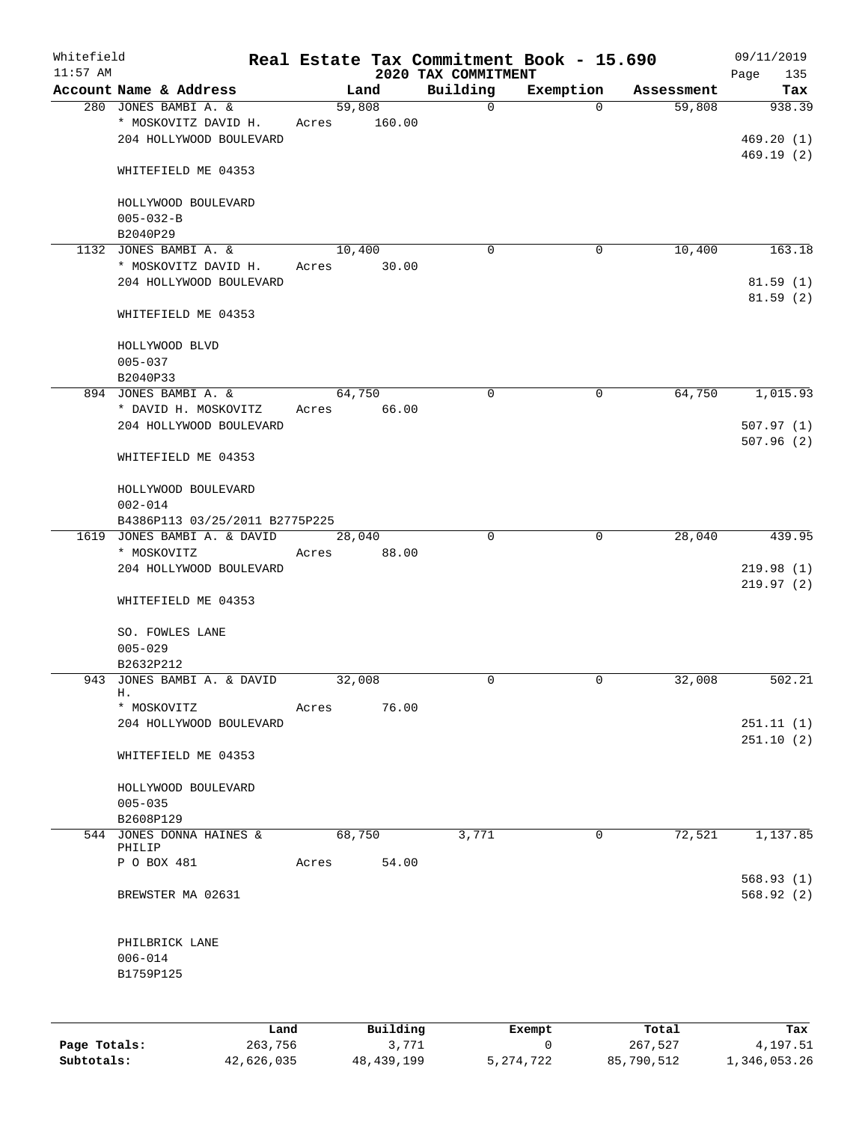| Whitefield<br>$11:57$ AM |                                                 |         |        |          | Real Estate Tax Commitment Book - 15.690<br>2020 TAX COMMITMENT |                     |            | 09/11/2019<br>Page<br>135 |
|--------------------------|-------------------------------------------------|---------|--------|----------|-----------------------------------------------------------------|---------------------|------------|---------------------------|
|                          | Account Name & Address                          |         |        | Land     | Building                                                        | Exemption           | Assessment | Tax                       |
|                          | 280 JONES BAMBI A. &                            |         | 59,808 |          | $\mathbf 0$                                                     | $\Omega$            | 59,808     | 938.39                    |
|                          | * MOSKOVITZ DAVID H.<br>204 HOLLYWOOD BOULEVARD | Acres   |        | 160.00   |                                                                 |                     |            | 469.20(1)<br>469.19(2)    |
|                          | WHITEFIELD ME 04353                             |         |        |          |                                                                 |                     |            |                           |
|                          | HOLLYWOOD BOULEVARD<br>$005 - 032 - B$          |         |        |          |                                                                 |                     |            |                           |
|                          | B2040P29                                        |         |        |          |                                                                 |                     |            |                           |
|                          | 1132 JONES BAMBI A. &                           |         | 10,400 |          | $\Omega$                                                        | 0                   | 10,400     | 163.18                    |
|                          | * MOSKOVITZ DAVID H.<br>204 HOLLYWOOD BOULEVARD | Acres   |        | 30.00    |                                                                 |                     |            | 81.59(1)<br>81.59(2)      |
|                          | WHITEFIELD ME 04353                             |         |        |          |                                                                 |                     |            |                           |
|                          | HOLLYWOOD BLVD<br>$005 - 037$                   |         |        |          |                                                                 |                     |            |                           |
|                          | B2040P33                                        |         |        |          |                                                                 |                     |            |                           |
|                          | 894 JONES BAMBI A. &                            |         | 64,750 |          | $\mathbf 0$                                                     | $\mathbf 0$         | 64,750     | 1,015.93                  |
|                          | * DAVID H. MOSKOVITZ<br>204 HOLLYWOOD BOULEVARD | Acres   |        | 66.00    |                                                                 |                     |            | 507.97(1)                 |
|                          | WHITEFIELD ME 04353                             |         |        |          |                                                                 |                     |            | 507.96(2)                 |
|                          | HOLLYWOOD BOULEVARD<br>$002 - 014$              |         |        |          |                                                                 |                     |            |                           |
|                          | B4386P113 03/25/2011 B2775P225                  |         |        |          |                                                                 |                     |            |                           |
|                          | 1619 JONES BAMBI A. & DAVID<br>* MOSKOVITZ      | Acres   | 28,040 | 88.00    | $\mathbf 0$                                                     | $\overline{0}$      | 28,040     | 439.95                    |
|                          | 204 HOLLYWOOD BOULEVARD                         |         |        |          |                                                                 |                     |            | 219.98(1)<br>219.97(2)    |
|                          | WHITEFIELD ME 04353                             |         |        |          |                                                                 |                     |            |                           |
|                          | SO. FOWLES LANE<br>$005 - 029$<br>B2632P212     |         |        |          |                                                                 |                     |            |                           |
|                          | 943 JONES BAMBI A. & DAVID                      |         | 32,008 |          | 0                                                               | 0                   | 32,008     | 502.21                    |
|                          | н.                                              |         |        |          |                                                                 |                     |            |                           |
|                          | * MOSKOVITZ<br>204 HOLLYWOOD BOULEVARD          | Acres   |        | 76.00    |                                                                 |                     |            | 251.11(1)                 |
|                          | WHITEFIELD ME 04353                             |         |        |          |                                                                 |                     |            | 251.10(2)                 |
|                          | HOLLYWOOD BOULEVARD<br>$005 - 035$              |         |        |          |                                                                 |                     |            |                           |
|                          | B2608P129                                       |         |        |          |                                                                 |                     |            |                           |
|                          | 544 JONES DONNA HAINES &                        |         | 68,750 |          | 3,771                                                           | $\mathbf 0$         | 72,521     | 1,137.85                  |
|                          | PHILIP                                          |         |        |          |                                                                 |                     |            |                           |
|                          | P O BOX 481                                     | Acres   |        | 54.00    |                                                                 |                     |            | 568.93(1)                 |
|                          | BREWSTER MA 02631                               |         |        |          |                                                                 |                     |            | 568.92(2)                 |
|                          | PHILBRICK LANE                                  |         |        |          |                                                                 |                     |            |                           |
|                          | $006 - 014$<br>B1759P125                        |         |        |          |                                                                 |                     |            |                           |
|                          |                                                 |         |        |          |                                                                 |                     |            |                           |
|                          |                                                 | Land    |        | Building |                                                                 | Exempt              | Total      | Tax                       |
| Page Totals:             |                                                 | 263,756 |        | 3,771    |                                                                 | $\mathsf{O}\xspace$ | 267,527    | 4,197.51                  |

**Subtotals:** 42,626,035 48,439,199 5,274,722 85,790,512 1,346,053.26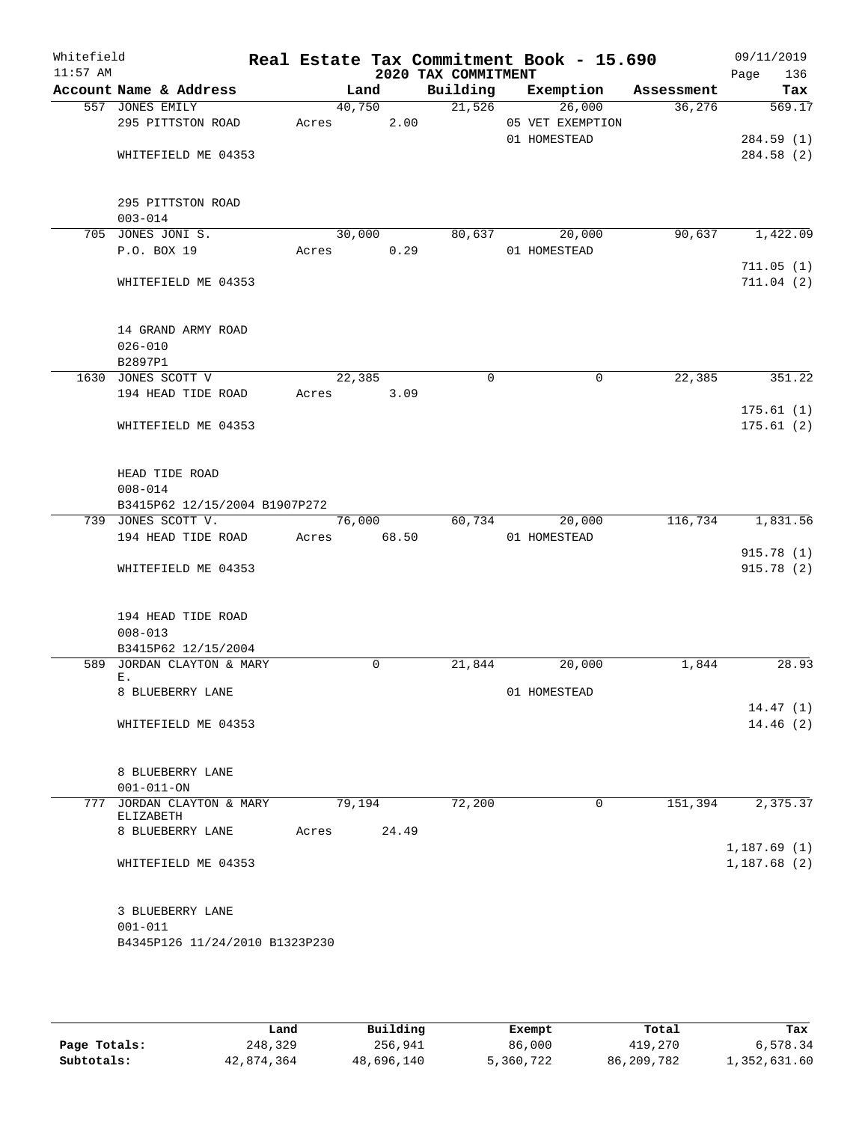| Whitefield<br>$11:57$ AM |                                 |       |        | 2020 TAX COMMITMENT | Real Estate Tax Commitment Book - 15.690 |            | 09/11/2019<br>Page<br>136 |
|--------------------------|---------------------------------|-------|--------|---------------------|------------------------------------------|------------|---------------------------|
|                          | Account Name & Address          |       | Land   | Building            | Exemption                                | Assessment | Tax                       |
|                          | 557 JONES EMILY                 |       | 40,750 | 21,526              | 26,000                                   | 36,276     | 569.17                    |
|                          | 295 PITTSTON ROAD               | Acres | 2.00   |                     | 05 VET EXEMPTION                         |            |                           |
|                          |                                 |       |        |                     | 01 HOMESTEAD                             |            | 284.59 (1)                |
|                          | WHITEFIELD ME 04353             |       |        |                     |                                          |            | 284.58(2)                 |
|                          | 295 PITTSTON ROAD               |       |        |                     |                                          |            |                           |
|                          | $003 - 014$                     |       |        |                     |                                          |            |                           |
|                          | 705 JONES JONI S.               |       | 30,000 | 80,637              | 20,000                                   | 90,637     | 1,422.09                  |
|                          | P.O. BOX 19                     | Acres | 0.29   |                     | 01 HOMESTEAD                             |            |                           |
|                          |                                 |       |        |                     |                                          |            | 711.05(1)                 |
|                          | WHITEFIELD ME 04353             |       |        |                     |                                          |            | 711.04(2)                 |
|                          | 14 GRAND ARMY ROAD              |       |        |                     |                                          |            |                           |
|                          | $026 - 010$                     |       |        |                     |                                          |            |                           |
|                          | B2897P1                         |       |        |                     |                                          |            |                           |
|                          | 1630 JONES SCOTT V              |       | 22,385 | $\mathbf 0$         | 0                                        | 22,385     | 351.22                    |
|                          | 194 HEAD TIDE ROAD              | Acres | 3.09   |                     |                                          |            |                           |
|                          |                                 |       |        |                     |                                          |            | 175.61(1)                 |
|                          | WHITEFIELD ME 04353             |       |        |                     |                                          |            | 175.61(2)                 |
|                          | HEAD TIDE ROAD                  |       |        |                     |                                          |            |                           |
|                          | $008 - 014$                     |       |        |                     |                                          |            |                           |
|                          | B3415P62 12/15/2004 B1907P272   |       |        |                     |                                          |            |                           |
|                          | 739 JONES SCOTT V.              |       | 76,000 | 60,734              | 20,000                                   | 116,734    | 1,831.56                  |
|                          | 194 HEAD TIDE ROAD              | Acres | 68.50  |                     | 01 HOMESTEAD                             |            |                           |
|                          |                                 |       |        |                     |                                          |            | 915.78 (1)                |
|                          | WHITEFIELD ME 04353             |       |        |                     |                                          |            | 915.78(2)                 |
|                          | 194 HEAD TIDE ROAD              |       |        |                     |                                          |            |                           |
|                          | $008 - 013$                     |       |        |                     |                                          |            |                           |
|                          | B3415P62 12/15/2004             |       |        |                     |                                          |            |                           |
|                          | 589 JORDAN CLAYTON & MARY       |       | 0      | 21,844              | 20,000                                   | 1,844      | 28.93                     |
|                          | Ε.<br>8 BLUEBERRY LANE          |       |        |                     |                                          |            |                           |
|                          |                                 |       |        |                     | 01 HOMESTEAD                             |            | 14.47(1)                  |
|                          | WHITEFIELD ME 04353             |       |        |                     |                                          |            | 14.46(2)                  |
|                          |                                 |       |        |                     |                                          |            |                           |
|                          | 8 BLUEBERRY LANE                |       |        |                     |                                          |            |                           |
|                          | $001 - 011 - ON$                |       |        |                     |                                          |            |                           |
|                          | 777 JORDAN CLAYTON & MARY       |       | 79,194 | 72,200              | $\mathbf{0}$                             | 151,394    | 2,375.37                  |
|                          | ELIZABETH                       |       |        |                     |                                          |            |                           |
|                          | 8 BLUEBERRY LANE                | Acres | 24.49  |                     |                                          |            | 1,187.69(1)               |
|                          | WHITEFIELD ME 04353             |       |        |                     |                                          |            | 1,187.68(2)               |
|                          | 3 BLUEBERRY LANE<br>$001 - 011$ |       |        |                     |                                          |            |                           |
|                          | B4345P126 11/24/2010 B1323P230  |       |        |                     |                                          |            |                           |

|              | Land       | Building   | Exempt    | Total      | Tax          |
|--------------|------------|------------|-----------|------------|--------------|
| Page Totals: | 248,329    | 256,941    | 86,000    | 419,270    | 6,578.34     |
| Subtotals:   | 42,874,364 | 48,696,140 | 5,360,722 | 86,209,782 | 1,352,631.60 |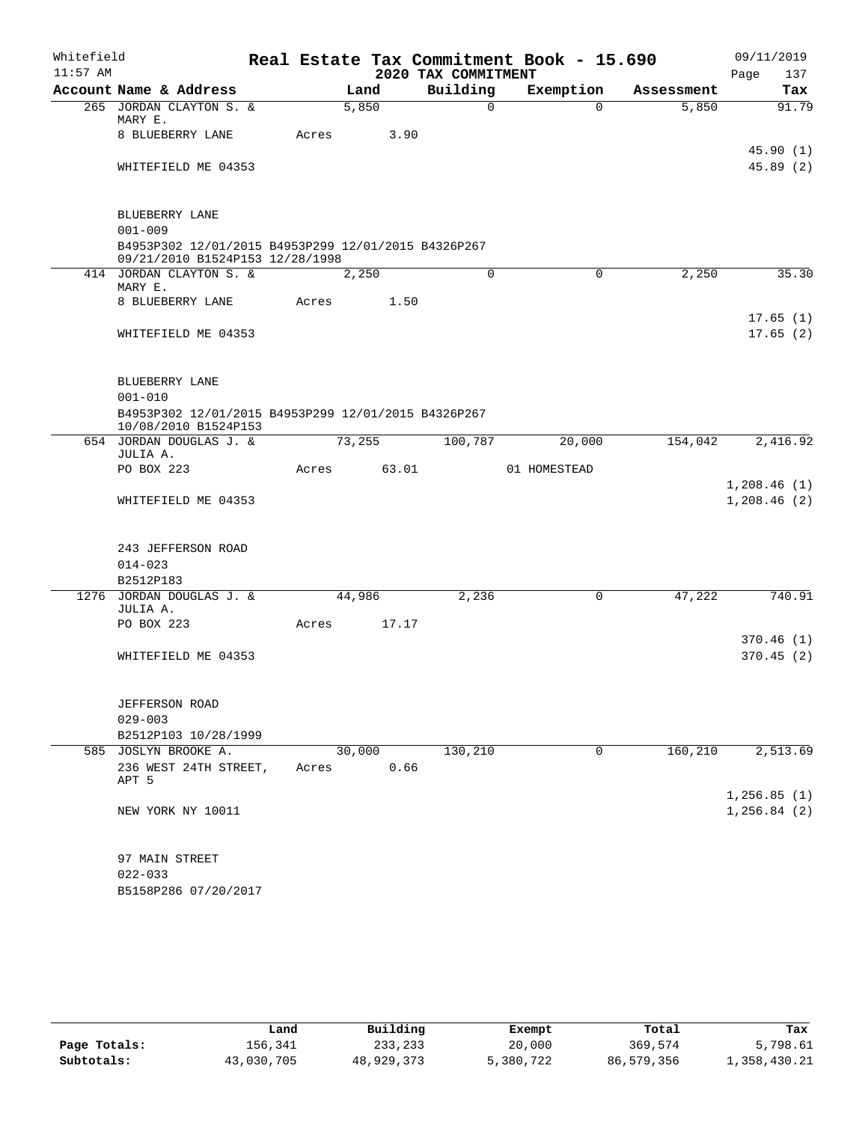| Whitefield |                                                     |       |        |       |                     | Real Estate Tax Commitment Book - 15.690 |             |            |      | 09/11/2019    |
|------------|-----------------------------------------------------|-------|--------|-------|---------------------|------------------------------------------|-------------|------------|------|---------------|
| $11:57$ AM |                                                     |       |        |       | 2020 TAX COMMITMENT |                                          |             |            | Page | 137           |
|            | Account Name & Address                              |       | Land   |       | Building            | Exemption                                |             | Assessment |      | Tax           |
|            | 265 JORDAN CLAYTON S. &<br>MARY E.                  |       | 5,850  |       | $\Omega$            |                                          | $\Omega$    | 5,850      |      | 91.79         |
|            | 8 BLUEBERRY LANE                                    | Acres |        | 3.90  |                     |                                          |             |            |      |               |
|            |                                                     |       |        |       |                     |                                          |             |            |      | 45.90(1)      |
|            | WHITEFIELD ME 04353                                 |       |        |       |                     |                                          |             |            |      | 45.89(2)      |
|            |                                                     |       |        |       |                     |                                          |             |            |      |               |
|            |                                                     |       |        |       |                     |                                          |             |            |      |               |
|            | BLUEBERRY LANE<br>$001 - 009$                       |       |        |       |                     |                                          |             |            |      |               |
|            | B4953P302 12/01/2015 B4953P299 12/01/2015 B4326P267 |       |        |       |                     |                                          |             |            |      |               |
|            | 09/21/2010 B1524P153 12/28/1998                     |       |        |       |                     |                                          |             |            |      |               |
|            | 414 JORDAN CLAYTON S. &                             |       | 2,250  |       | 0                   |                                          | $\mathbf 0$ | 2,250      |      | 35.30         |
|            | MARY E.<br>8 BLUEBERRY LANE                         | Acres |        | 1.50  |                     |                                          |             |            |      |               |
|            |                                                     |       |        |       |                     |                                          |             |            |      | 17.65(1)      |
|            | WHITEFIELD ME 04353                                 |       |        |       |                     |                                          |             |            |      | 17.65(2)      |
|            |                                                     |       |        |       |                     |                                          |             |            |      |               |
|            |                                                     |       |        |       |                     |                                          |             |            |      |               |
|            | BLUEBERRY LANE<br>$001 - 010$                       |       |        |       |                     |                                          |             |            |      |               |
|            | B4953P302 12/01/2015 B4953P299 12/01/2015 B4326P267 |       |        |       |                     |                                          |             |            |      |               |
|            | 10/08/2010 B1524P153                                |       |        |       |                     |                                          |             |            |      |               |
|            | 654 JORDAN DOUGLAS J. &<br>JULIA A.                 |       | 73,255 |       | 100,787             | 20,000                                   |             | 154,042    |      | 2,416.92      |
|            | PO BOX 223                                          | Acres |        | 63.01 |                     | 01 HOMESTEAD                             |             |            |      |               |
|            |                                                     |       |        |       |                     |                                          |             |            |      | 1,208.46(1)   |
|            | WHITEFIELD ME 04353                                 |       |        |       |                     |                                          |             |            |      | 1,208.46(2)   |
|            |                                                     |       |        |       |                     |                                          |             |            |      |               |
|            | 243 JEFFERSON ROAD                                  |       |        |       |                     |                                          |             |            |      |               |
|            | $014 - 023$                                         |       |        |       |                     |                                          |             |            |      |               |
|            | B2512P183                                           |       |        |       |                     |                                          |             |            |      |               |
|            | 1276 JORDAN DOUGLAS J. &                            |       | 44,986 |       | 2,236               |                                          | 0           | 47,222     |      | 740.91        |
|            | JULIA A.                                            |       |        |       |                     |                                          |             |            |      |               |
|            | PO BOX 223                                          | Acres |        | 17.17 |                     |                                          |             |            |      | 370.46 (1)    |
|            | WHITEFIELD ME 04353                                 |       |        |       |                     |                                          |             |            |      | 370.45(2)     |
|            |                                                     |       |        |       |                     |                                          |             |            |      |               |
|            |                                                     |       |        |       |                     |                                          |             |            |      |               |
|            | <b>JEFFERSON ROAD</b>                               |       |        |       |                     |                                          |             |            |      |               |
|            | $029 - 003$                                         |       |        |       |                     |                                          |             |            |      |               |
|            | B2512P103 10/28/1999<br>585 JOSLYN BROOKE A.        |       | 30,000 |       | 130,210             |                                          | 0           | 160, 210   |      | 2,513.69      |
|            | 236 WEST 24TH STREET,                               | Acres |        | 0.66  |                     |                                          |             |            |      |               |
|            | APT 5                                               |       |        |       |                     |                                          |             |            |      |               |
|            |                                                     |       |        |       |                     |                                          |             |            |      | 1, 256.85(1)  |
|            | NEW YORK NY 10011                                   |       |        |       |                     |                                          |             |            |      | 1, 256.84 (2) |
|            | 97 MAIN STREET                                      |       |        |       |                     |                                          |             |            |      |               |
|            | $022 - 033$                                         |       |        |       |                     |                                          |             |            |      |               |
|            | B5158P286 07/20/2017                                |       |        |       |                     |                                          |             |            |      |               |

|              | Land       | Building   | Exempt    | Total      | Tax          |
|--------------|------------|------------|-----------|------------|--------------|
| Page Totals: | 156,341    | 233, 233   | 20,000    | 369,574    | 5,798.61     |
| Subtotals:   | 43,030,705 | 48,929,373 | 5,380,722 | 86,579,356 | 1,358,430.21 |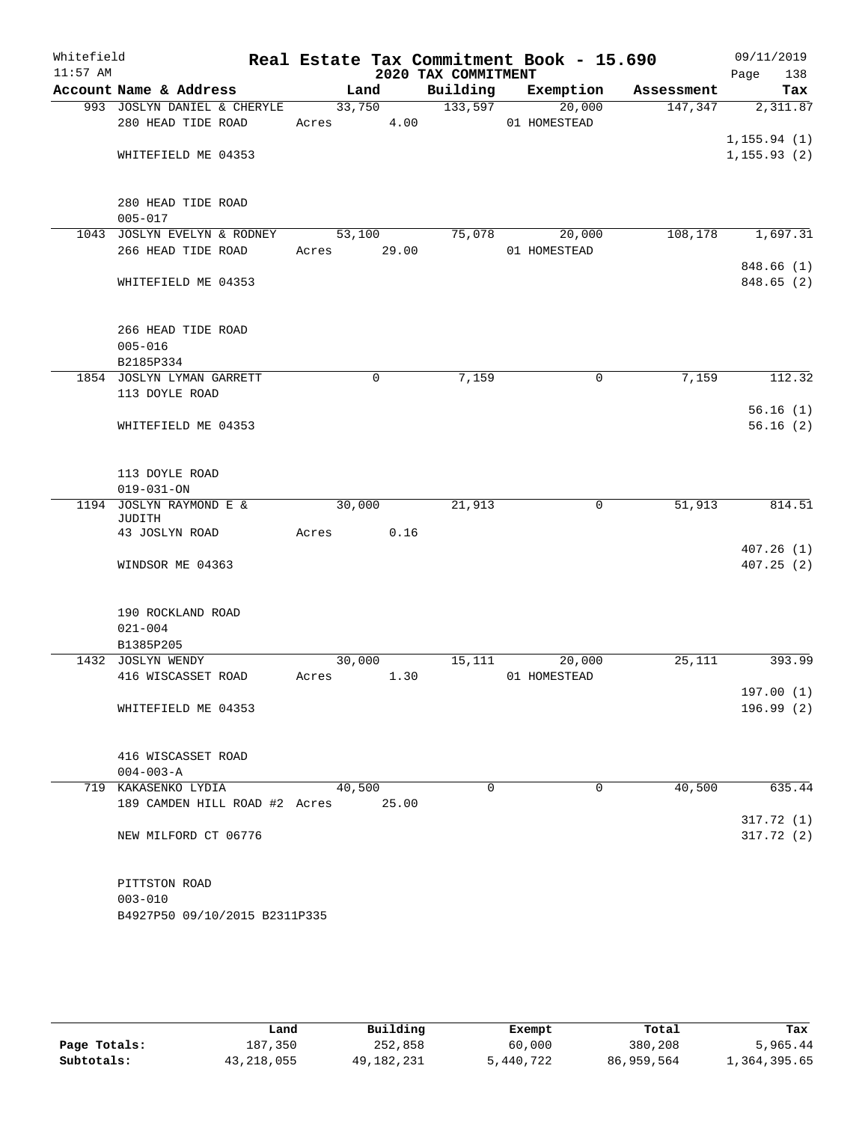| Whitefield<br>$11:57$ AM |                               |             |             | Real Estate Tax Commitment Book - 15.690<br>2020 TAX COMMITMENT |              |            | 09/11/2019<br>138<br>Page |
|--------------------------|-------------------------------|-------------|-------------|-----------------------------------------------------------------|--------------|------------|---------------------------|
|                          | Account Name & Address        |             | Land        | Building Exemption                                              |              | Assessment | Tax                       |
|                          | 993 JOSLYN DANIEL & CHERYLE   |             |             | 33,750 133,597                                                  | 20,000       | 147,347    | 2,311.87                  |
|                          | 280 HEAD TIDE ROAD            | Acres 4.00  |             |                                                                 | 01 HOMESTEAD |            |                           |
|                          |                               |             |             |                                                                 |              |            | 1, 155.94(1)              |
|                          | WHITEFIELD ME 04353           |             |             |                                                                 |              |            | 1, 155.93(2)              |
|                          |                               |             |             |                                                                 |              |            |                           |
|                          |                               |             |             |                                                                 |              |            |                           |
|                          | 280 HEAD TIDE ROAD            |             |             |                                                                 |              |            |                           |
|                          | $005 - 017$                   |             |             |                                                                 |              |            |                           |
|                          | 1043 JOSLYN EVELYN & RODNEY   |             | 53,100      | 75,078                                                          | 20,000       |            | 108,178 1,697.31          |
|                          | 266 HEAD TIDE ROAD            | Acres 29.00 |             |                                                                 | 01 HOMESTEAD |            |                           |
|                          |                               |             |             |                                                                 |              |            | 848.66(1)                 |
|                          | WHITEFIELD ME 04353           |             |             |                                                                 |              |            | 848.65 (2)                |
|                          |                               |             |             |                                                                 |              |            |                           |
|                          | 266 HEAD TIDE ROAD            |             |             |                                                                 |              |            |                           |
|                          | $005 - 016$                   |             |             |                                                                 |              |            |                           |
|                          | B2185P334                     |             |             |                                                                 |              |            |                           |
|                          | 1854 JOSLYN LYMAN GARRETT     |             | $\mathbf 0$ | 7,159                                                           | $\mathbf 0$  | 7,159      | 112.32                    |
|                          | 113 DOYLE ROAD                |             |             |                                                                 |              |            |                           |
|                          |                               |             |             |                                                                 |              |            | 56.16(1)                  |
|                          | WHITEFIELD ME 04353           |             |             |                                                                 |              |            | 56.16(2)                  |
|                          |                               |             |             |                                                                 |              |            |                           |
|                          |                               |             |             |                                                                 |              |            |                           |
|                          | 113 DOYLE ROAD                |             |             |                                                                 |              |            |                           |
|                          | $019 - 031 - ON$              |             |             |                                                                 |              |            |                           |
|                          | 1194 JOSLYN RAYMOND E &       | 30,000      |             | 21,913                                                          | $\mathsf{O}$ | 51,913     | 814.51                    |
|                          | JUDITH                        |             |             |                                                                 |              |            |                           |
|                          | 43 JOSLYN ROAD                | Acres       | 0.16        |                                                                 |              |            |                           |
|                          |                               |             |             |                                                                 |              |            | 407.26(1)                 |
|                          | WINDSOR ME 04363              |             |             |                                                                 |              |            | 407.25(2)                 |
|                          |                               |             |             |                                                                 |              |            |                           |
|                          | 190 ROCKLAND ROAD             |             |             |                                                                 |              |            |                           |
|                          | $021 - 004$                   |             |             |                                                                 |              |            |                           |
|                          | B1385P205                     |             |             |                                                                 |              |            |                           |
|                          | 1432 JOSLYN WENDY             |             | 30,000      | 15, 111                                                         | 20,000       | 25,111     | 393.99                    |
|                          | 416 WISCASSET ROAD            | Acres 1.30  |             |                                                                 | 01 HOMESTEAD |            |                           |
|                          |                               |             |             |                                                                 |              |            | 197.00 (1)                |
|                          | WHITEFIELD ME 04353           |             |             |                                                                 |              |            | 196.99(2)                 |
|                          |                               |             |             |                                                                 |              |            |                           |
|                          |                               |             |             |                                                                 |              |            |                           |
|                          | 416 WISCASSET ROAD            |             |             |                                                                 |              |            |                           |
|                          | $004 - 003 - A$               |             |             |                                                                 |              |            |                           |
|                          | 719 KAKASENKO LYDIA           | 40,500      |             | $\Omega$                                                        | $\mathbf 0$  | 40,500     | 635.44                    |
|                          | 189 CAMDEN HILL ROAD #2 Acres |             | 25.00       |                                                                 |              |            |                           |
|                          |                               |             |             |                                                                 |              |            | 317.72(1)                 |
|                          | NEW MILFORD CT 06776          |             |             |                                                                 |              |            | 317.72(2)                 |
|                          |                               |             |             |                                                                 |              |            |                           |
|                          |                               |             |             |                                                                 |              |            |                           |
|                          | PITTSTON ROAD                 |             |             |                                                                 |              |            |                           |
|                          | $003 - 010$                   |             |             |                                                                 |              |            |                           |
|                          | B4927P50 09/10/2015 B2311P335 |             |             |                                                                 |              |            |                           |
|                          |                               |             |             |                                                                 |              |            |                           |

|              | Land         | Building   | Exempt    | Total      | Tax          |
|--------------|--------------|------------|-----------|------------|--------------|
| Page Totals: | 187,350      | 252,858    | 60,000    | 380,208    | 5,965.44     |
| Subtotals:   | 43, 218, 055 | 49,182,231 | 5,440,722 | 86,959,564 | 1,364,395.65 |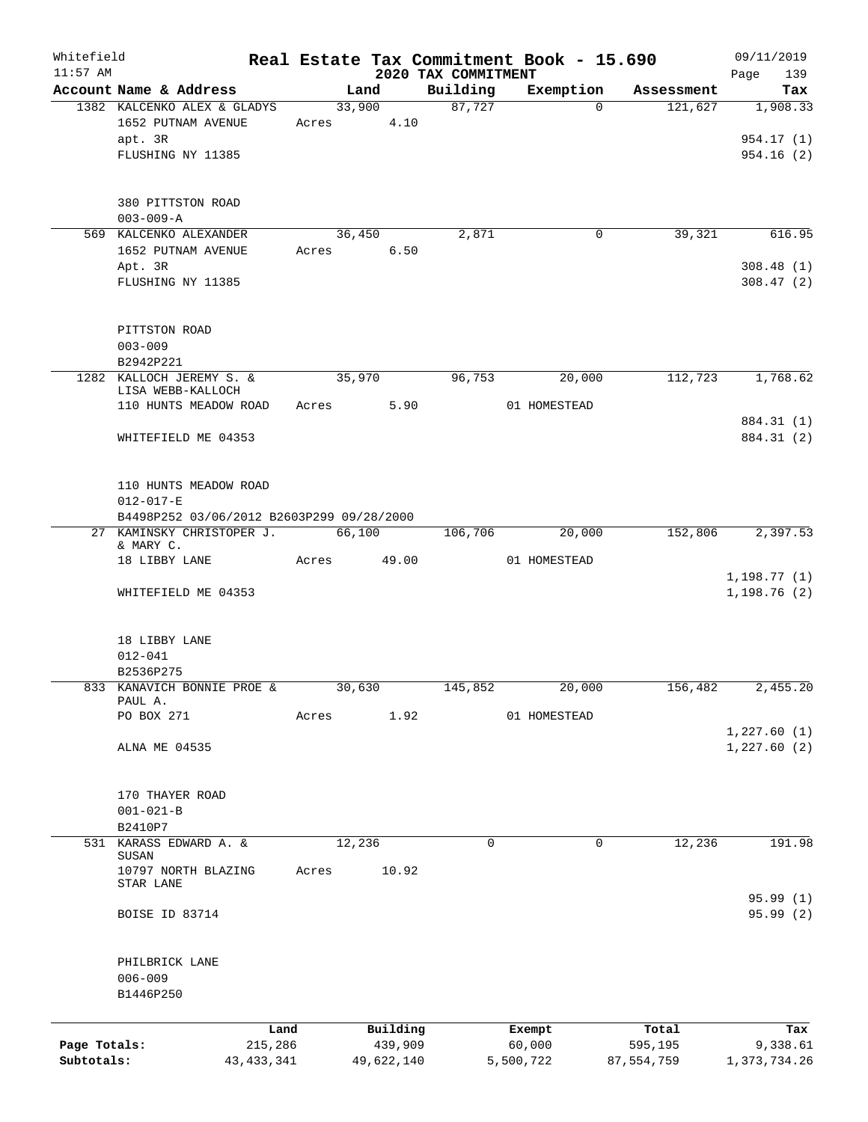| Whitefield                 |                                                              |       |                |                       |                                 | Real Estate Tax Commitment Book - 15.690 |                       | 09/11/2019                  |
|----------------------------|--------------------------------------------------------------|-------|----------------|-----------------------|---------------------------------|------------------------------------------|-----------------------|-----------------------------|
| $11:57$ AM                 | Account Name & Address                                       |       |                |                       | 2020 TAX COMMITMENT<br>Building |                                          |                       | Page<br>139<br>Tax          |
|                            | 1382 KALCENKO ALEX & GLADYS                                  |       | Land<br>33,900 |                       | 87,727                          | Exemption<br>$\Omega$                    | Assessment<br>121,627 | 1,908.33                    |
|                            | 1652 PUTNAM AVENUE<br>apt. 3R                                | Acres |                | 4.10                  |                                 |                                          |                       | 954.17 (1)                  |
|                            | FLUSHING NY 11385                                            |       |                |                       |                                 |                                          |                       | 954.16(2)                   |
|                            | 380 PITTSTON ROAD<br>$003 - 009 - A$                         |       |                |                       |                                 |                                          |                       |                             |
|                            | 569 KALCENKO ALEXANDER                                       |       | 36,450         |                       | 2,871                           | 0                                        | 39,321                | 616.95                      |
|                            | 1652 PUTNAM AVENUE<br>Apt. 3R                                | Acres |                | 6.50                  |                                 |                                          |                       | 308.48(1)                   |
|                            | FLUSHING NY 11385                                            |       |                |                       |                                 |                                          |                       | 308.47(2)                   |
|                            | PITTSTON ROAD                                                |       |                |                       |                                 |                                          |                       |                             |
|                            | $003 - 009$                                                  |       |                |                       |                                 |                                          |                       |                             |
|                            | B2942P221<br>1282 KALLOCH JEREMY S. &                        |       | 35,970         |                       | 96,753                          | 20,000                                   | 112,723               | 1,768.62                    |
|                            | LISA WEBB-KALLOCH                                            |       |                |                       |                                 |                                          |                       |                             |
|                            | 110 HUNTS MEADOW ROAD                                        |       | Acres          | 5.90                  |                                 | 01 HOMESTEAD                             |                       | 884.31 (1)                  |
|                            | WHITEFIELD ME 04353                                          |       |                |                       |                                 |                                          |                       | 884.31 (2)                  |
|                            | 110 HUNTS MEADOW ROAD                                        |       |                |                       |                                 |                                          |                       |                             |
|                            | $012 - 017 - E$<br>B4498P252 03/06/2012 B2603P299 09/28/2000 |       |                |                       |                                 |                                          |                       |                             |
|                            | 27 KAMINSKY CHRISTOPER J.                                    |       | 66,100         |                       | 106,706                         | 20,000                                   | 152,806               | 2,397.53                    |
|                            | & MARY C.<br>18 LIBBY LANE                                   | Acres |                | 49.00                 |                                 | 01 HOMESTEAD                             |                       |                             |
|                            | WHITEFIELD ME 04353                                          |       |                |                       |                                 |                                          |                       | 1, 198.77(1)<br>1,198.76(2) |
|                            | 18 LIBBY LANE                                                |       |                |                       |                                 |                                          |                       |                             |
|                            | $012 - 041$                                                  |       |                |                       |                                 |                                          |                       |                             |
|                            | B2536P275                                                    |       |                |                       |                                 |                                          |                       |                             |
|                            | 833 KANAVICH BONNIE PROE &<br>PAUL A.                        |       | 30,630         |                       | 145,852                         | 20,000                                   | 156,482               | 2,455.20                    |
|                            | PO BOX 271                                                   | Acres |                | 1.92                  |                                 | 01 HOMESTEAD                             |                       |                             |
|                            | ALNA ME 04535                                                |       |                |                       |                                 |                                          |                       | 1,227.60(1)<br>1,227.60(2)  |
|                            |                                                              |       |                |                       |                                 |                                          |                       |                             |
|                            | 170 THAYER ROAD                                              |       |                |                       |                                 |                                          |                       |                             |
|                            | $001 - 021 - B$                                              |       |                |                       |                                 |                                          |                       |                             |
|                            | B2410P7<br>531 KARASS EDWARD A. &<br>SUSAN                   |       | 12,236         |                       | $\mathbf 0$                     | 0                                        | 12,236                | 191.98                      |
|                            | 10797 NORTH BLAZING<br>STAR LANE                             | Acres |                | 10.92                 |                                 |                                          |                       |                             |
|                            | BOISE ID 83714                                               |       |                |                       |                                 |                                          |                       | 95.99(1)<br>95.99 (2)       |
|                            | PHILBRICK LANE                                               |       |                |                       |                                 |                                          |                       |                             |
|                            | $006 - 009$<br>B1446P250                                     |       |                |                       |                                 |                                          |                       |                             |
|                            |                                                              |       |                |                       |                                 |                                          |                       |                             |
|                            |                                                              | Land  |                | Building              |                                 | Exempt                                   | Total                 | Tax                         |
| Page Totals:<br>Subtotals: | 215,286<br>43, 433, 341                                      |       |                | 439,909<br>49,622,140 |                                 | 60,000<br>5,500,722                      | 595,195<br>87,554,759 | 9,338.61<br>1,373,734.26    |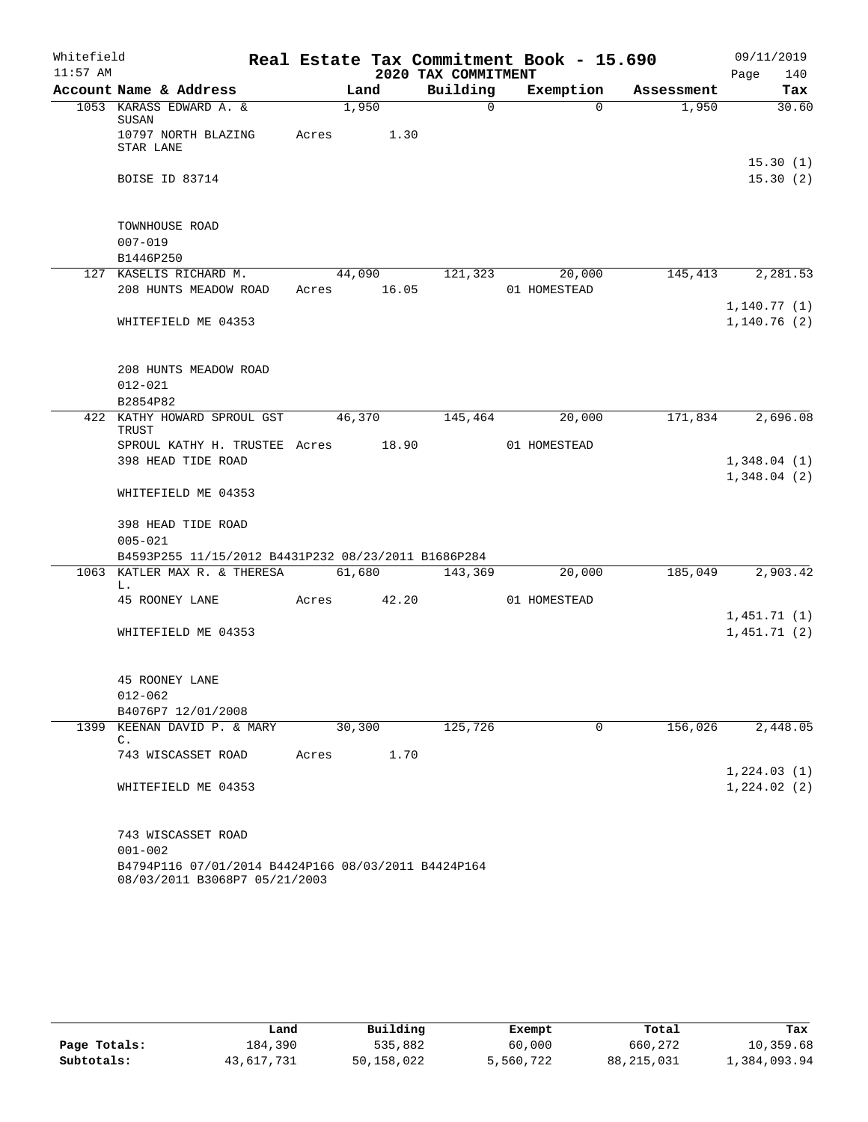| Whitefield |                                                                                      | Real Estate Tax Commitment Book - 15.690 | 09/11/2019 |                     |              |            |                             |
|------------|--------------------------------------------------------------------------------------|------------------------------------------|------------|---------------------|--------------|------------|-----------------------------|
| $11:57$ AM |                                                                                      |                                          |            | 2020 TAX COMMITMENT |              |            | Page<br>140                 |
|            | Account Name & Address                                                               | Land                                     |            | Building            | Exemption    | Assessment | Tax                         |
|            | 1053 KARASS EDWARD A. &<br>SUSAN<br>10797 NORTH BLAZING<br>STAR LANE                 | 1,950<br>Acres 1.30                      |            | $\Omega$            | $\Omega$     | 1,950      | 30.60                       |
|            | <b>BOISE ID 83714</b>                                                                |                                          |            |                     |              |            | 15.30(1)<br>15.30(2)        |
|            | TOWNHOUSE ROAD<br>$007 - 019$<br>B1446P250                                           |                                          |            |                     |              |            |                             |
|            | 127 KASELIS RICHARD M.                                                               | 44,090                                   |            | 121,323             | 20,000       | 145,413    | 2,281.53                    |
|            | 208 HUNTS MEADOW ROAD                                                                | Acres 16.05                              |            |                     | 01 HOMESTEAD |            |                             |
|            | WHITEFIELD ME 04353                                                                  |                                          |            |                     |              |            | 1, 140.77(1)<br>1,140.76(2) |
|            | 208 HUNTS MEADOW ROAD<br>$012 - 021$<br>B2854P82                                     |                                          |            |                     |              |            |                             |
|            | 422 KATHY HOWARD SPROUL GST<br>TRUST                                                 | 46,370                                   |            | 145,464             | 20,000       |            | 171,834 2,696.08            |
|            | SPROUL KATHY H. TRUSTEE Acres 18.90<br>398 HEAD TIDE ROAD                            |                                          |            |                     | 01 HOMESTEAD |            | 1,348.04(1)<br>1,348.04(2)  |
|            | WHITEFIELD ME 04353                                                                  |                                          |            |                     |              |            |                             |
|            | 398 HEAD TIDE ROAD<br>$005 - 021$                                                    |                                          |            |                     |              |            |                             |
|            | B4593P255 11/15/2012 B4431P232 08/23/2011 B1686P284<br>1063 KATLER MAX R. & THERESA  | 61,680                                   |            | 143,369             | 20,000       | 185,049    | 2,903.42                    |
|            | L.                                                                                   |                                          |            |                     |              |            |                             |
|            | 45 ROONEY LANE                                                                       | Acres 42.20                              |            |                     | 01 HOMESTEAD |            |                             |
|            |                                                                                      |                                          |            |                     |              |            | 1,451.71(1)                 |
|            | WHITEFIELD ME 04353                                                                  |                                          |            |                     |              |            | 1,451.71(2)                 |
|            | 45 ROONEY LANE<br>$012 - 062$                                                        |                                          |            |                     |              |            |                             |
|            | B4076P7 12/01/2008                                                                   |                                          |            |                     |              |            |                             |
|            | 1399 KEENAN DAVID P. & MARY<br>C.                                                    | 30,300                                   |            | 125,726             | $\mathbf 0$  | 156,026    | 2,448.05                    |
|            | 743 WISCASSET ROAD                                                                   | Acres                                    | 1.70       |                     |              |            |                             |
|            | WHITEFIELD ME 04353                                                                  |                                          |            |                     |              |            | 1, 224.03(1)<br>1,224.02(2) |
|            | 743 WISCASSET ROAD<br>$001 - 002$                                                    |                                          |            |                     |              |            |                             |
|            | B4794P116 07/01/2014 B4424P166 08/03/2011 B4424P164<br>08/03/2011 B3068P7 05/21/2003 |                                          |            |                     |              |            |                             |

|              | Land       | Building     | Exempt    | Total      | Tax          |
|--------------|------------|--------------|-----------|------------|--------------|
| Page Totals: | 184,390    | 535,882      | 60,000    | 660,272    | 10,359.68    |
| Subtotals:   | 43,617,731 | 50, 158, 022 | 5,560,722 | 88,215,031 | 1,384,093.94 |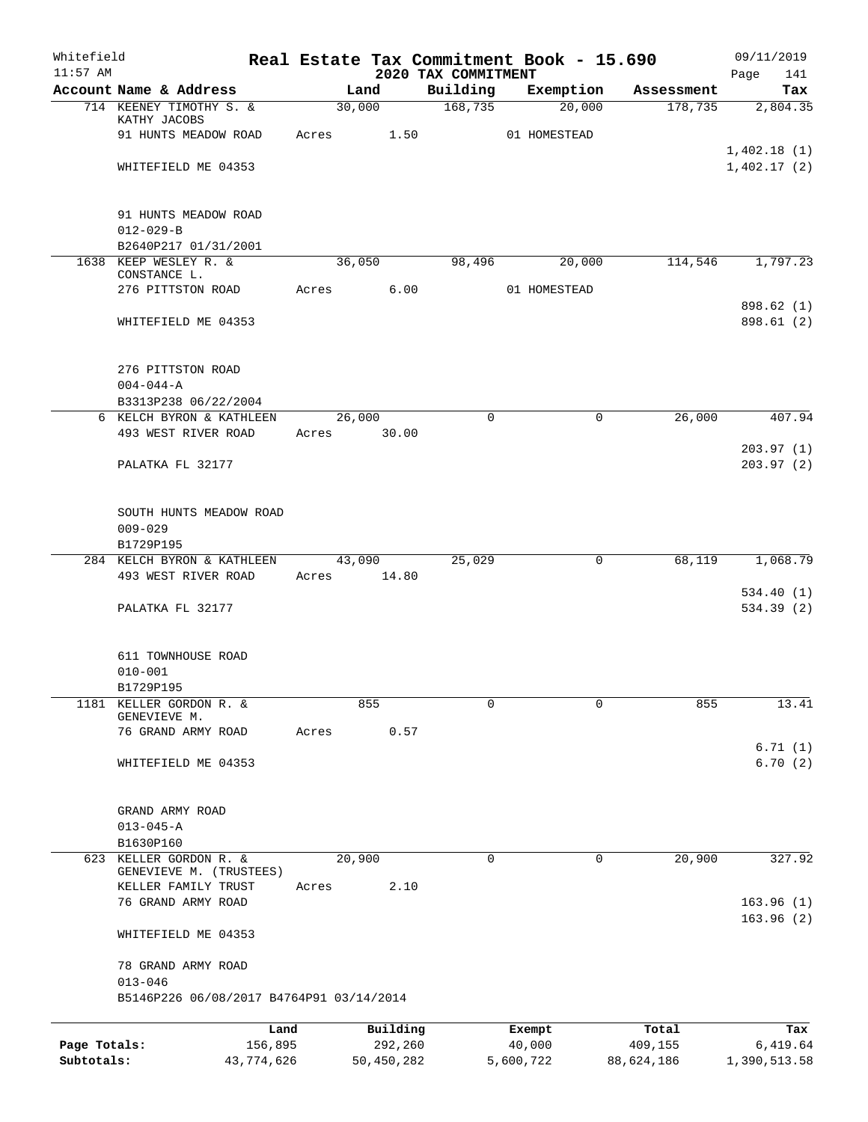| Whitefield<br>$11:57$ AM |                                           |       |            | 2020 TAX COMMITMENT | Real Estate Tax Commitment Book - 15.690 |                       | 09/11/2019<br>141<br>Page |
|--------------------------|-------------------------------------------|-------|------------|---------------------|------------------------------------------|-----------------------|---------------------------|
|                          | Account Name & Address                    |       | Land       | Building            | Exemption                                | Assessment            | Tax                       |
|                          | 714 KEENEY TIMOTHY S. &                   |       | 30,000     | 168,735             | 20,000                                   | 178,735               | 2,804.35                  |
|                          | KATHY JACOBS                              |       |            |                     |                                          |                       |                           |
|                          | 91 HUNTS MEADOW ROAD                      | Acres | 1.50       |                     | 01 HOMESTEAD                             |                       | 1,402.18(1)               |
|                          | WHITEFIELD ME 04353                       |       |            |                     |                                          |                       | 1,402.17(2)               |
|                          |                                           |       |            |                     |                                          |                       |                           |
|                          | 91 HUNTS MEADOW ROAD                      |       |            |                     |                                          |                       |                           |
|                          | $012 - 029 - B$                           |       |            |                     |                                          |                       |                           |
|                          | B2640P217 01/31/2001                      |       |            |                     |                                          |                       |                           |
|                          | 1638 KEEP WESLEY R. &<br>CONSTANCE L.     |       | 36,050     | 98,496              | 20,000                                   | 114,546               | 1,797.23                  |
|                          | 276 PITTSTON ROAD                         | Acres | 6.00       |                     | 01 HOMESTEAD                             |                       |                           |
|                          | WHITEFIELD ME 04353                       |       |            |                     |                                          |                       | 898.62 (1)<br>898.61 (2)  |
|                          |                                           |       |            |                     |                                          |                       |                           |
|                          | 276 PITTSTON ROAD                         |       |            |                     |                                          |                       |                           |
|                          | $004 - 044 - A$                           |       |            |                     |                                          |                       |                           |
|                          | B3313P238 06/22/2004                      |       |            |                     |                                          |                       |                           |
|                          | 6 KELCH BYRON & KATHLEEN                  |       | 26,000     | $\Omega$            |                                          | $\mathbf 0$<br>26,000 | 407.94                    |
|                          | 493 WEST RIVER ROAD                       | Acres | 30.00      |                     |                                          |                       | 203.97(1)                 |
|                          | PALATKA FL 32177                          |       |            |                     |                                          |                       | 203.97(2)                 |
|                          | SOUTH HUNTS MEADOW ROAD                   |       |            |                     |                                          |                       |                           |
|                          | $009 - 029$                               |       |            |                     |                                          |                       |                           |
|                          | B1729P195                                 |       |            |                     |                                          |                       |                           |
|                          | 284 KELCH BYRON & KATHLEEN                |       | 43,090     | 25,029              |                                          | 68,119<br>0           | 1,068.79                  |
|                          | 493 WEST RIVER ROAD                       | Acres | 14.80      |                     |                                          |                       |                           |
|                          | PALATKA FL 32177                          |       |            |                     |                                          |                       | 534.40(1)<br>534.39(2)    |
|                          |                                           |       |            |                     |                                          |                       |                           |
|                          | 611 TOWNHOUSE ROAD                        |       |            |                     |                                          |                       |                           |
|                          | $010 - 001$                               |       |            |                     |                                          |                       |                           |
|                          | B1729P195                                 |       |            |                     |                                          |                       |                           |
| 1181                     | KELLER GORDON R. &<br>GENEVIEVE M.        |       | 855        | 0                   |                                          | $\mathbf 0$<br>855    | 13.41                     |
|                          | 76 GRAND ARMY ROAD                        | Acres | 0.57       |                     |                                          |                       |                           |
|                          |                                           |       |            |                     |                                          |                       | 6.71(1)                   |
|                          | WHITEFIELD ME 04353                       |       |            |                     |                                          |                       | 6.70(2)                   |
|                          | GRAND ARMY ROAD                           |       |            |                     |                                          |                       |                           |
|                          | $013 - 045 - A$                           |       |            |                     |                                          |                       |                           |
|                          | B1630P160                                 |       |            |                     |                                          |                       |                           |
| 623                      | KELLER GORDON R. &                        |       | 20,900     | 0                   |                                          | 20,900<br>0           | 327.92                    |
|                          | GENEVIEVE M. (TRUSTEES)                   |       |            |                     |                                          |                       |                           |
|                          | KELLER FAMILY TRUST<br>76 GRAND ARMY ROAD | Acres | 2.10       |                     |                                          |                       | 163.96(1)                 |
|                          |                                           |       |            |                     |                                          |                       | 163.96(2)                 |
|                          | WHITEFIELD ME 04353                       |       |            |                     |                                          |                       |                           |
|                          | 78 GRAND ARMY ROAD<br>$013 - 046$         |       |            |                     |                                          |                       |                           |
|                          | B5146P226 06/08/2017 B4764P91 03/14/2014  |       |            |                     |                                          |                       |                           |
|                          |                                           | Land  | Building   |                     | Exempt                                   | Total                 | Tax                       |
| Page Totals:             | 156,895                                   |       | 292,260    |                     | 40,000                                   | 409,155               | 6,419.64                  |
| Subtotals:               | 43,774,626                                |       | 50,450,282 |                     | 5,600,722                                | 88,624,186            | 1,390,513.58              |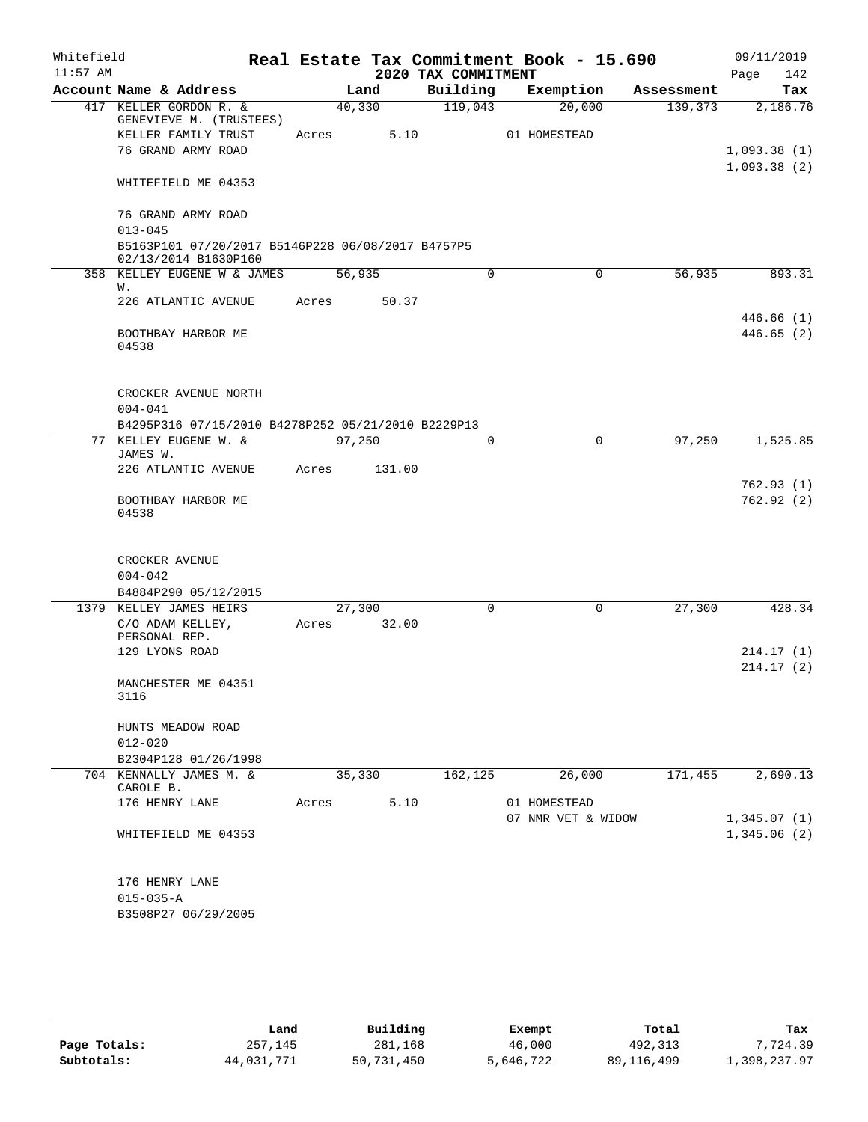| Whitefield<br>$11:57$ AM |                                                     |        |        | 2020 TAX COMMITMENT | Real Estate Tax Commitment Book - 15.690 |            | 09/11/2019<br>Page<br>142  |
|--------------------------|-----------------------------------------------------|--------|--------|---------------------|------------------------------------------|------------|----------------------------|
|                          | Account Name & Address                              |        | Land   | Building            | Exemption                                | Assessment | Tax                        |
|                          | 417 KELLER GORDON R. &<br>GENEVIEVE M. (TRUSTEES)   | 40,330 |        | 119,043             | 20,000                                   | 139,373    | 2,186.76                   |
|                          | KELLER FAMILY TRUST                                 | Acres  | 5.10   |                     | 01 HOMESTEAD                             |            |                            |
|                          | 76 GRAND ARMY ROAD                                  |        |        |                     |                                          |            | 1,093.38(1)<br>1,093.38(2) |
|                          | WHITEFIELD ME 04353                                 |        |        |                     |                                          |            |                            |
|                          | 76 GRAND ARMY ROAD<br>$013 - 045$                   |        |        |                     |                                          |            |                            |
|                          | B5163P101 07/20/2017 B5146P228 06/08/2017 B4757P5   |        |        |                     |                                          |            |                            |
|                          | 02/13/2014 B1630P160<br>358 KELLEY EUGENE W & JAMES | 56,935 |        | 0                   | 0                                        | 56,935     | 893.31                     |
|                          | W.                                                  |        |        |                     |                                          |            |                            |
|                          | 226 ATLANTIC AVENUE                                 | Acres  | 50.37  |                     |                                          |            |                            |
|                          | BOOTHBAY HARBOR ME<br>04538                         |        |        |                     |                                          |            | 446.66(1)<br>446.65(2)     |
|                          | CROCKER AVENUE NORTH<br>$004 - 041$                 |        |        |                     |                                          |            |                            |
|                          | B4295P316 07/15/2010 B4278P252 05/21/2010 B2229P13  |        |        |                     |                                          |            |                            |
|                          | 77 KELLEY EUGENE W. &<br>JAMES W.                   | 97,250 |        | 0                   | $\mathbf 0$                              | 97,250     | 1,525.85                   |
|                          | 226 ATLANTIC AVENUE                                 | Acres  | 131.00 |                     |                                          |            |                            |
|                          | BOOTHBAY HARBOR ME<br>04538                         |        |        |                     |                                          |            | 762.93(1)<br>762.92(2)     |
|                          | CROCKER AVENUE                                      |        |        |                     |                                          |            |                            |
|                          | $004 - 042$                                         |        |        |                     |                                          |            |                            |
|                          | B4884P290 05/12/2015                                |        |        |                     |                                          |            |                            |
|                          | 1379 KELLEY JAMES HEIRS                             | 27,300 |        | $\mathbf 0$         | 0                                        | 27,300     | 428.34                     |
|                          | C/O ADAM KELLEY,<br>PERSONAL REP.<br>129 LYONS ROAD | Acres  | 32.00  |                     |                                          |            | 214.17(1)                  |
|                          | MANCHESTER ME 04351<br>3116                         |        |        |                     |                                          |            | 214.17(2)                  |
|                          | HUNTS MEADOW ROAD<br>$012 - 020$                    |        |        |                     |                                          |            |                            |
|                          | B2304P128 01/26/1998                                |        |        |                     |                                          |            |                            |
|                          | 704 KENNALLY JAMES M. &<br>CAROLE B.                | 35,330 |        | 162,125             | 26,000                                   | 171,455    | 2,690.13                   |
|                          | 176 HENRY LANE                                      | Acres  | 5.10   |                     | 01 HOMESTEAD                             |            |                            |
|                          | WHITEFIELD ME 04353                                 |        |        |                     | 07 NMR VET & WIDOW                       |            | 1,345.07(1)<br>1,345.06(2) |
|                          | 176 HENRY LANE                                      |        |        |                     |                                          |            |                            |
|                          | $015 - 035 - A$                                     |        |        |                     |                                          |            |                            |
|                          | B3508P27 06/29/2005                                 |        |        |                     |                                          |            |                            |

|              | Land       | Building   | Exempt    | Total      | Tax          |
|--------------|------------|------------|-----------|------------|--------------|
| Page Totals: | 257,145    | 281,168    | 46,000    | 492,313    | .724.39      |
| Subtotals:   | 44,031,771 | 50,731,450 | 5,646,722 | 89,116,499 | 1,398,237.97 |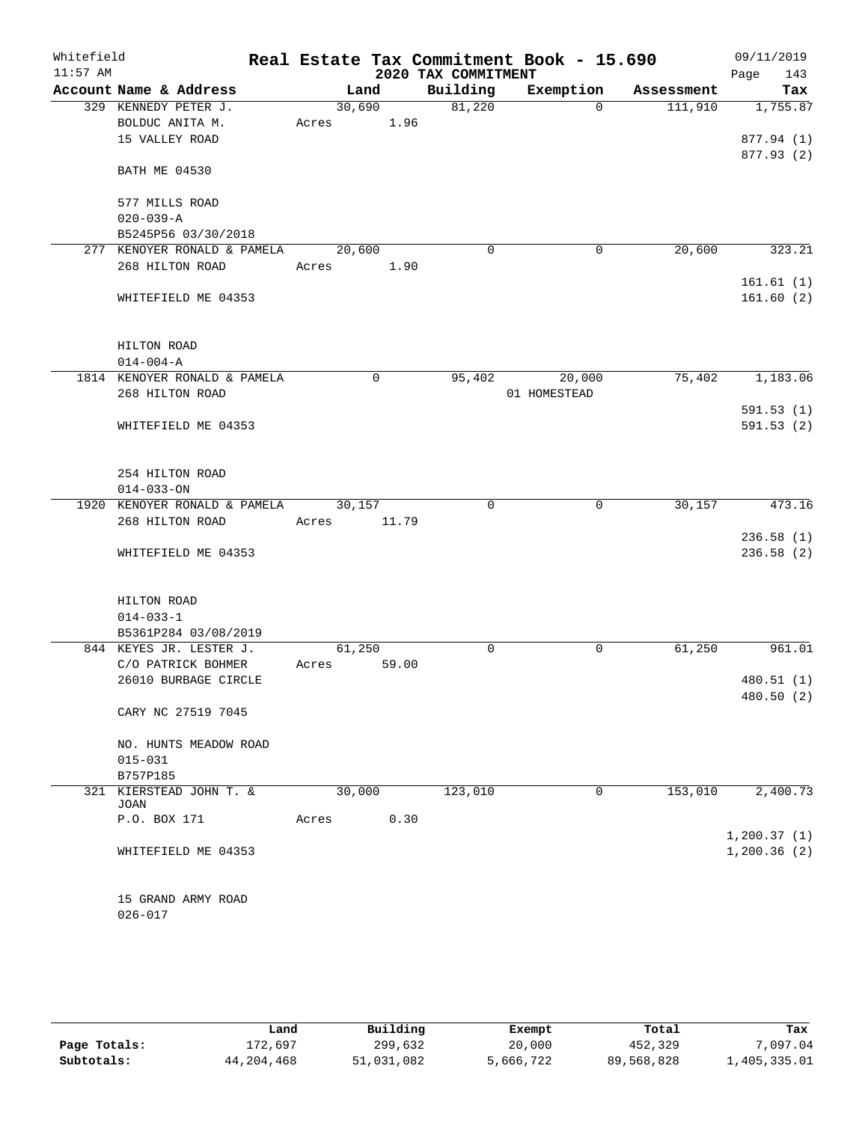| Whitefield<br>$11:57$ AM |                              |        |             | 2020 TAX COMMITMENT | Real Estate Tax Commitment Book - 15.690 |            | 09/11/2019<br>143<br>Page |
|--------------------------|------------------------------|--------|-------------|---------------------|------------------------------------------|------------|---------------------------|
|                          | Account Name & Address       |        | Land        | Building            | Exemption                                | Assessment | Tax                       |
|                          | 329 KENNEDY PETER J.         | 30,690 |             | 81,220              | $\Omega$                                 | 111,910    | 1,755.87                  |
|                          | BOLDUC ANITA M.              | Acres  | 1.96        |                     |                                          |            |                           |
|                          | 15 VALLEY ROAD               |        |             |                     |                                          |            | 877.94 (1)                |
|                          |                              |        |             |                     |                                          |            | 877.93 (2)                |
|                          | <b>BATH ME 04530</b>         |        |             |                     |                                          |            |                           |
|                          |                              |        |             |                     |                                          |            |                           |
|                          | 577 MILLS ROAD               |        |             |                     |                                          |            |                           |
|                          | $020 - 039 - A$              |        |             |                     |                                          |            |                           |
|                          | B5245P56 03/30/2018          |        |             |                     |                                          |            |                           |
|                          | 277 KENOYER RONALD & PAMELA  | 20,600 |             | 0                   | $\mathbf 0$                              | 20,600     | 323.21                    |
|                          | 268 HILTON ROAD              | Acres  | 1.90        |                     |                                          |            |                           |
|                          |                              |        |             |                     |                                          |            | 161.61(1)                 |
|                          | WHITEFIELD ME 04353          |        |             |                     |                                          |            | 161.60(2)                 |
|                          |                              |        |             |                     |                                          |            |                           |
|                          |                              |        |             |                     |                                          |            |                           |
|                          | HILTON ROAD                  |        |             |                     |                                          |            |                           |
|                          | $014 - 004 - A$              |        |             |                     |                                          |            |                           |
|                          | 1814 KENOYER RONALD & PAMELA |        | $\mathbf 0$ | 95,402              | 20,000                                   | 75,402     | 1,183.06                  |
|                          | 268 HILTON ROAD              |        |             |                     | 01 HOMESTEAD                             |            |                           |
|                          |                              |        |             |                     |                                          |            | 591.53(1)                 |
|                          | WHITEFIELD ME 04353          |        |             |                     |                                          |            | 591.53(2)                 |
|                          |                              |        |             |                     |                                          |            |                           |
|                          |                              |        |             |                     |                                          |            |                           |
|                          | 254 HILTON ROAD              |        |             |                     |                                          |            |                           |
|                          | $014 - 033 - ON$             |        |             |                     |                                          |            |                           |
|                          | 1920 KENOYER RONALD & PAMELA | 30,157 |             | 0                   | 0                                        | 30, 157    | 473.16                    |
|                          | 268 HILTON ROAD              | Acres  | 11.79       |                     |                                          |            |                           |
|                          |                              |        |             |                     |                                          |            | 236.58(1)                 |
|                          | WHITEFIELD ME 04353          |        |             |                     |                                          |            | 236.58(2)                 |
|                          |                              |        |             |                     |                                          |            |                           |
|                          |                              |        |             |                     |                                          |            |                           |
|                          | HILTON ROAD                  |        |             |                     |                                          |            |                           |
|                          | $014 - 033 - 1$              |        |             |                     |                                          |            |                           |
|                          | B5361P284 03/08/2019         |        |             |                     |                                          |            |                           |
|                          | 844 KEYES JR. LESTER J.      | 61,250 |             | 0                   | 0                                        | 61,250     | 961.01                    |
|                          | C/O PATRICK BOHMER           | Acres  | 59.00       |                     |                                          |            |                           |
|                          | 26010 BURBAGE CIRCLE         |        |             |                     |                                          |            | 480.51 (1)                |
|                          |                              |        |             |                     |                                          |            | 480.50 (2)                |
|                          | CARY NC 27519 7045           |        |             |                     |                                          |            |                           |
|                          |                              |        |             |                     |                                          |            |                           |
|                          | NO. HUNTS MEADOW ROAD        |        |             |                     |                                          |            |                           |
|                          | $015 - 031$                  |        |             |                     |                                          |            |                           |
|                          | B757P185                     |        |             |                     |                                          |            |                           |
|                          | 321 KIERSTEAD JOHN T. &      | 30,000 |             | 123,010             | 0                                        | 153,010    | 2,400.73                  |
|                          | JOAN                         |        |             |                     |                                          |            |                           |
|                          | P.O. BOX 171                 | Acres  | 0.30        |                     |                                          |            |                           |
|                          |                              |        |             |                     |                                          |            | 1, 200.37(1)              |
|                          | WHITEFIELD ME 04353          |        |             |                     |                                          |            | 1,200.36(2)               |
|                          |                              |        |             |                     |                                          |            |                           |
|                          |                              |        |             |                     |                                          |            |                           |
|                          | 15 GRAND ARMY ROAD           |        |             |                     |                                          |            |                           |
|                          | $026 - 017$                  |        |             |                     |                                          |            |                           |
|                          |                              |        |             |                     |                                          |            |                           |

|              | Land         | Building   | Exempt    | Total      | Tax          |
|--------------|--------------|------------|-----------|------------|--------------|
| Page Totals: | 172,697      | 299,632    | 20,000    | 452,329    | 7,097.04     |
| Subtotals:   | 44, 204, 468 | 51,031,082 | 5,666,722 | 89,568,828 | 1,405,335.01 |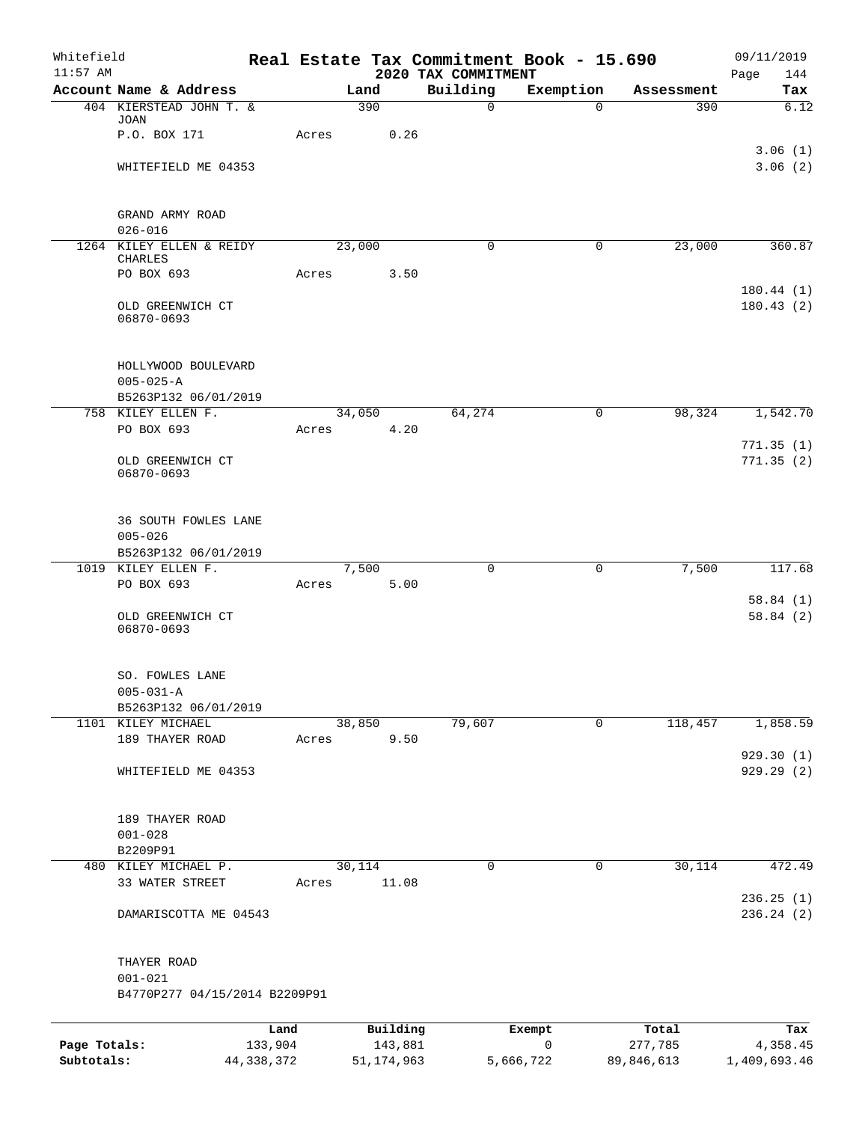| Whitefield<br>$11:57$ AM |                                              |              |       |        |              | 2020 TAX COMMITMENT | Real Estate Tax Commitment Book - 15.690 |            | 09/11/2019<br>Page<br>144 |
|--------------------------|----------------------------------------------|--------------|-------|--------|--------------|---------------------|------------------------------------------|------------|---------------------------|
|                          | Account Name & Address                       |              |       | Land   |              | Building            | Exemption                                | Assessment | Tax                       |
|                          | 404 KIERSTEAD JOHN T. &                      |              |       | 390    |              | $\mathsf{O}$        | $\Omega$                                 | 390        | 6.12                      |
|                          | JOAN<br>P.O. BOX 171                         |              | Acres |        | 0.26         |                     |                                          |            |                           |
|                          | WHITEFIELD ME 04353                          |              |       |        |              |                     |                                          |            | 3.06(1)<br>3.06(2)        |
|                          |                                              |              |       |        |              |                     |                                          |            |                           |
|                          | GRAND ARMY ROAD                              |              |       |        |              |                     |                                          |            |                           |
|                          | $026 - 016$<br>1264 KILEY ELLEN & REIDY      |              |       | 23,000 |              | $\mathbf 0$         | $\mathbf 0$                              | 23,000     | 360.87                    |
|                          | CHARLES<br>PO BOX 693                        |              | Acres |        | 3.50         |                     |                                          |            |                           |
|                          | OLD GREENWICH CT<br>06870-0693               |              |       |        |              |                     |                                          |            | 180.44(1)<br>180.43(2)    |
|                          | HOLLYWOOD BOULEVARD<br>$005 - 025 - A$       |              |       |        |              |                     |                                          |            |                           |
|                          | B5263P132 06/01/2019<br>758 KILEY ELLEN F.   |              |       |        |              |                     |                                          |            |                           |
|                          | PO BOX 693                                   |              | Acres | 34,050 | 4.20         | 64,274              | $\mathbf 0$                              | 98,324     | 1,542.70                  |
|                          |                                              |              |       |        |              |                     |                                          |            | 771.35(1)                 |
|                          | OLD GREENWICH CT<br>06870-0693               |              |       |        |              |                     |                                          |            | 771.35(2)                 |
|                          | 36 SOUTH FOWLES LANE<br>$005 - 026$          |              |       |        |              |                     |                                          |            |                           |
|                          | B5263P132 06/01/2019                         |              |       |        |              |                     |                                          |            |                           |
|                          | 1019 KILEY ELLEN F.<br>PO BOX 693            |              | Acres | 7,500  | 5.00         | $\Omega$            | $\mathbf 0$                              | 7,500      | 117.68                    |
|                          |                                              |              |       |        |              |                     |                                          |            | 58.84(1)                  |
|                          | OLD GREENWICH CT<br>06870-0693               |              |       |        |              |                     |                                          |            | 58.84(2)                  |
|                          | SO. FOWLES LANE<br>$005 - 031 - A$           |              |       |        |              |                     |                                          |            |                           |
|                          | B5263P132 06/01/2019<br>1101 KILEY MICHAEL   |              |       | 38,850 |              | 79,607              | 0                                        | 118,457    | 1,858.59                  |
|                          | 189 THAYER ROAD                              |              | Acres |        | 9.50         |                     |                                          |            |                           |
|                          |                                              |              |       |        |              |                     |                                          |            | 929.30(1)                 |
|                          | WHITEFIELD ME 04353                          |              |       |        |              |                     |                                          |            | 929.29 (2)                |
|                          | 189 THAYER ROAD<br>$001 - 028$               |              |       |        |              |                     |                                          |            |                           |
|                          | B2209P91                                     |              |       |        |              |                     |                                          |            |                           |
|                          | 480 KILEY MICHAEL P.                         |              |       | 30,114 |              | $\Omega$            | $\mathbf 0$                              | 30,114     | 472.49                    |
|                          | 33 WATER STREET                              |              | Acres |        | 11.08        |                     |                                          |            | 236.25(1)                 |
|                          | DAMARISCOTTA ME 04543                        |              |       |        |              |                     |                                          |            | 236.24 (2)                |
|                          | THAYER ROAD                                  |              |       |        |              |                     |                                          |            |                           |
|                          | $001 - 021$<br>B4770P277 04/15/2014 B2209P91 |              |       |        |              |                     |                                          |            |                           |
|                          |                                              | Land         |       |        | Building     |                     | Exempt                                   | Total      | Tax                       |
| Page Totals:             |                                              | 133,904      |       |        | 143,881      |                     | 0                                        | 277,785    | 4,358.45                  |
| Subtotals:               |                                              | 44, 338, 372 |       |        | 51, 174, 963 |                     | 5,666,722                                | 89,846,613 | 1,409,693.46              |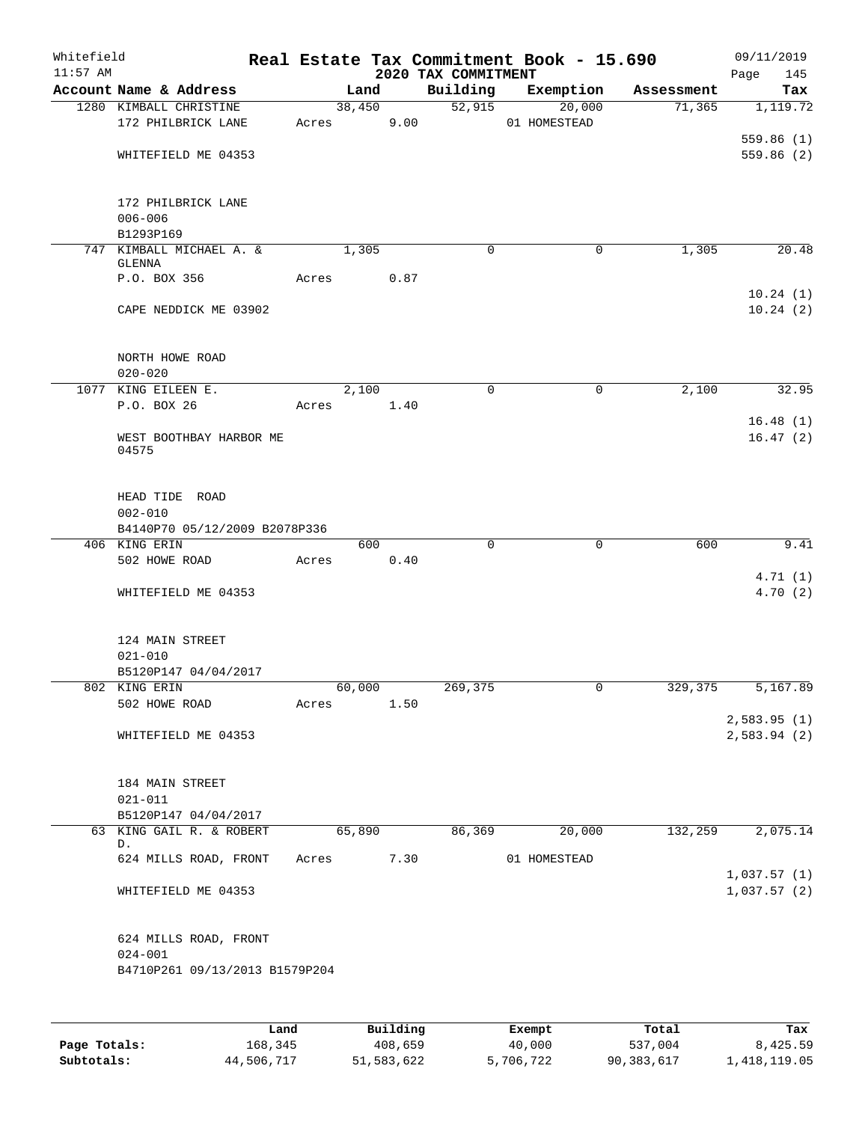| Whitefield<br>$11:57$ AM |                                                  |        |          |      | 2020 TAX COMMITMENT | Real Estate Tax Commitment Book - 15.690 |            | 09/11/2019<br>Page<br>145  |
|--------------------------|--------------------------------------------------|--------|----------|------|---------------------|------------------------------------------|------------|----------------------------|
|                          | Account Name & Address                           |        | Land     |      | Building            | Exemption                                | Assessment | Tax                        |
|                          | 1280 KIMBALL CHRISTINE<br>172 PHILBRICK LANE     | Acres  | 38,450   | 9.00 | 52,915              | 20,000<br>01 HOMESTEAD                   | 71,365     | 1,119.72<br>559.86(1)      |
|                          | WHITEFIELD ME 04353                              |        |          |      |                     |                                          |            | 559.86(2)                  |
|                          | 172 PHILBRICK LANE<br>$006 - 006$                |        |          |      |                     |                                          |            |                            |
|                          | B1293P169<br>747 KIMBALL MICHAEL A. &            |        | 1,305    |      | $\Omega$            | 0                                        | 1,305      | 20.48                      |
|                          | GLENNA                                           |        |          |      |                     |                                          |            |                            |
|                          | P.O. BOX 356                                     | Acres  |          | 0.87 |                     |                                          |            | 10.24(1)                   |
|                          | CAPE NEDDICK ME 03902                            |        |          |      |                     |                                          |            | 10.24(2)                   |
|                          | NORTH HOWE ROAD                                  |        |          |      |                     |                                          |            |                            |
|                          | $020 - 020$<br>1077 KING EILEEN E.               |        |          |      |                     |                                          |            |                            |
|                          | P.O. BOX 26                                      | Acres  | 2,100    | 1.40 | 0                   | 0                                        | 2,100      | 32.95                      |
|                          |                                                  |        |          |      |                     |                                          |            | 16.48(1)                   |
|                          | WEST BOOTHBAY HARBOR ME<br>04575                 |        |          |      |                     |                                          |            | 16.47(2)                   |
|                          | HEAD TIDE ROAD                                   |        |          |      |                     |                                          |            |                            |
|                          | $002 - 010$                                      |        |          |      |                     |                                          |            |                            |
|                          | B4140P70 05/12/2009 B2078P336                    |        | 600      |      | $\mathbf 0$         | 0                                        | 600        | 9.41                       |
|                          | 406 KING ERIN<br>502 HOWE ROAD                   | Acres  |          | 0.40 |                     |                                          |            |                            |
|                          | WHITEFIELD ME 04353                              |        |          |      |                     |                                          |            | 4.71(1)<br>4.70(2)         |
|                          | 124 MAIN STREET<br>$021 - 010$                   |        |          |      |                     |                                          |            |                            |
|                          | B5120P147 04/04/2017                             |        |          |      |                     |                                          |            |                            |
|                          | 802 KING ERIN                                    |        | 60,000   |      | 269,375             |                                          | 329,375    | 5,167.89                   |
|                          | 502 HOWE ROAD                                    | Acres  |          | 1.50 |                     |                                          |            |                            |
|                          | WHITEFIELD ME 04353                              |        |          |      |                     |                                          |            | 2,583.95(1)<br>2,583.94(2) |
|                          | 184 MAIN STREET                                  |        |          |      |                     |                                          |            |                            |
|                          | $021 - 011$                                      |        |          |      |                     |                                          |            |                            |
|                          | B5120P147 04/04/2017<br>63 KING GAIL R. & ROBERT |        | 65,890   |      | 86,369              | 20,000                                   | 132,259    | 2,075.14                   |
|                          | D.                                               |        |          |      |                     |                                          |            |                            |
|                          | 624 MILLS ROAD, FRONT                            | Acres  |          | 7.30 |                     | 01 HOMESTEAD                             |            | 1,037.57(1)                |
|                          | WHITEFIELD ME 04353                              |        |          |      |                     |                                          |            | 1,037.57(2)                |
|                          | 624 MILLS ROAD, FRONT<br>$024 - 001$             |        |          |      |                     |                                          |            |                            |
|                          | B4710P261 09/13/2013 B1579P204                   |        |          |      |                     |                                          |            |                            |
|                          |                                                  |        |          |      |                     |                                          |            |                            |
|                          |                                                  | Land L | Building |      |                     | Exempt                                   | Total      | Tax                        |

|              | Land       | Building   | Exempt    | Total      | Tax          |
|--------------|------------|------------|-----------|------------|--------------|
| Page Totals: | 168,345    | 408,659    | 40,000    | 537,004    | 8,425.59     |
| Subtotals:   | 44,506,717 | 51,583,622 | 5,706,722 | 90,383,617 | 1,418,119.05 |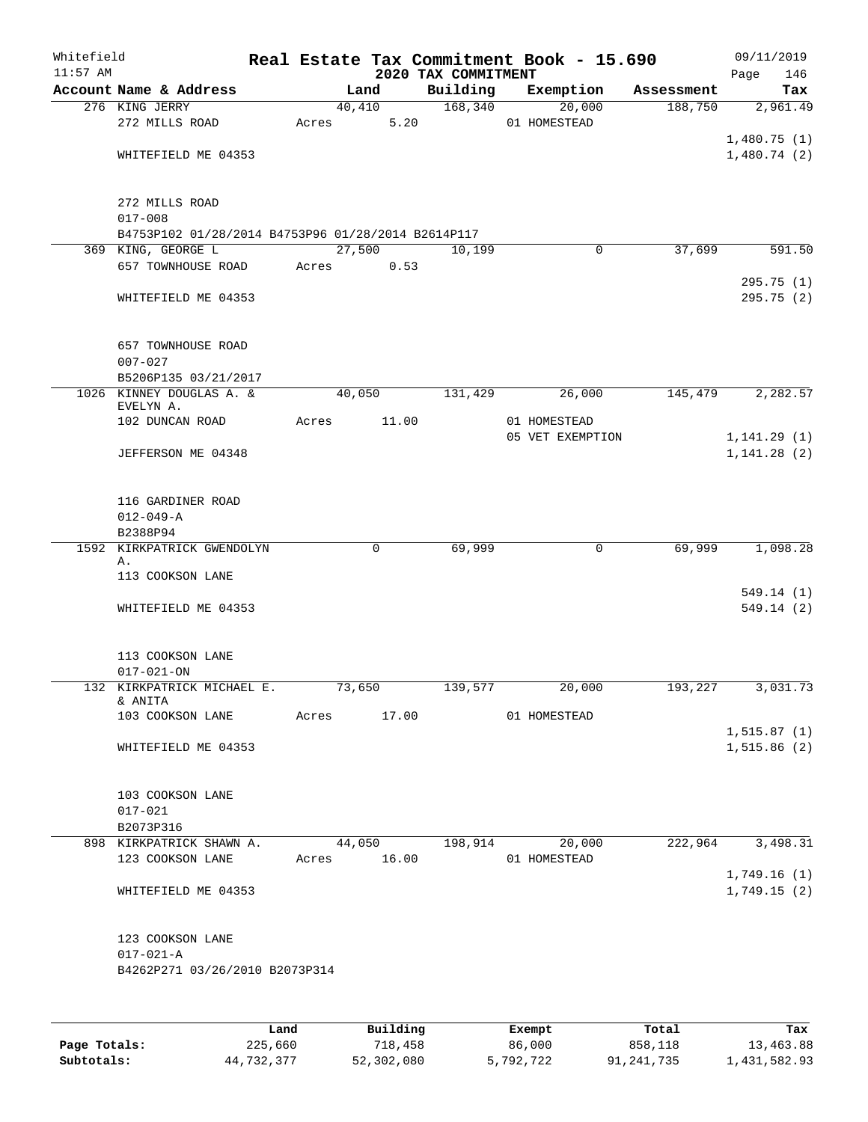| Whitefield<br>$11:57$ AM |                                                    |       |        |       | 2020 TAX COMMITMENT  | Real Estate Tax Commitment Book - 15.690 |            | 09/11/2019<br>Page<br>146 |
|--------------------------|----------------------------------------------------|-------|--------|-------|----------------------|------------------------------------------|------------|---------------------------|
|                          | Account Name & Address                             |       | Land   |       | Building             | Exemption                                | Assessment | Tax                       |
|                          | 276 KING JERRY                                     |       | 40,410 |       | 168,340              | 20,000                                   | 188,750    | 2,961.49                  |
|                          | 272 MILLS ROAD                                     | Acres |        | 5.20  |                      | 01 HOMESTEAD                             |            |                           |
|                          |                                                    |       |        |       |                      |                                          |            | 1,480.75(1)               |
|                          | WHITEFIELD ME 04353                                |       |        |       |                      |                                          |            | 1,480.74(2)               |
|                          |                                                    |       |        |       |                      |                                          |            |                           |
|                          | 272 MILLS ROAD                                     |       |        |       |                      |                                          |            |                           |
|                          | $017 - 008$                                        |       |        |       |                      |                                          |            |                           |
|                          | B4753P102 01/28/2014 B4753P96 01/28/2014 B2614P117 |       |        |       |                      |                                          |            |                           |
|                          | 369 KING, GEORGE L                                 |       | 27,500 |       | 10,199               | 0                                        | 37,699     | 591.50                    |
|                          | 657 TOWNHOUSE ROAD                                 | Acres |        | 0.53  |                      |                                          |            |                           |
|                          |                                                    |       |        |       |                      |                                          |            | 295.75(1)                 |
|                          | WHITEFIELD ME 04353                                |       |        |       |                      |                                          |            | 295.75(2)                 |
|                          |                                                    |       |        |       |                      |                                          |            |                           |
|                          | <b>657 TOWNHOUSE ROAD</b>                          |       |        |       |                      |                                          |            |                           |
|                          | $007 - 027$                                        |       |        |       |                      |                                          |            |                           |
|                          | B5206P135 03/21/2017<br>1026 KINNEY DOUGLAS A. &   |       | 40,050 |       | 131,429              | 26,000                                   | 145,479    | 2,282.57                  |
|                          | EVELYN A.                                          |       |        |       |                      |                                          |            |                           |
|                          | 102 DUNCAN ROAD                                    | Acres |        | 11.00 |                      | 01 HOMESTEAD                             |            |                           |
|                          |                                                    |       |        |       |                      | 05 VET EXEMPTION                         |            | 1, 141.29(1)              |
|                          | JEFFERSON ME 04348                                 |       |        |       |                      |                                          |            | 1, 141.28(2)              |
|                          |                                                    |       |        |       |                      |                                          |            |                           |
|                          | 116 GARDINER ROAD                                  |       |        |       |                      |                                          |            |                           |
|                          | $012 - 049 - A$                                    |       |        |       |                      |                                          |            |                           |
|                          | B2388P94                                           |       |        |       |                      |                                          |            |                           |
| 1592                     | KIRKPATRICK GWENDOLYN                              |       |        | 0     | 69,999               | 0                                        | 69,999     | 1,098.28                  |
|                          | Α.                                                 |       |        |       |                      |                                          |            |                           |
|                          | 113 COOKSON LANE                                   |       |        |       |                      |                                          |            |                           |
|                          |                                                    |       |        |       |                      |                                          |            | 549.14 (1)                |
|                          | WHITEFIELD ME 04353                                |       |        |       |                      |                                          |            | 549.14(2)                 |
|                          |                                                    |       |        |       |                      |                                          |            |                           |
|                          | 113 COOKSON LANE                                   |       |        |       |                      |                                          |            |                           |
|                          | $017 - 021 - ON$                                   |       |        |       |                      |                                          |            |                           |
|                          | 132 KIRKPATRICK MICHAEL E.<br>& ANITA              |       | 73,650 |       | 139,577              | 20,000                                   | 193,227    | 3,031.73                  |
|                          | 103 COOKSON LANE Acres 17.00 01 HOMESTEAD          |       |        |       |                      |                                          |            |                           |
|                          |                                                    |       |        |       |                      |                                          |            | 1, 515.87(1)              |
|                          | WHITEFIELD ME 04353                                |       |        |       |                      |                                          |            | 1, 515.86(2)              |
|                          |                                                    |       |        |       |                      |                                          |            |                           |
|                          |                                                    |       |        |       |                      |                                          |            |                           |
|                          | 103 COOKSON LANE<br>$017 - 021$                    |       |        |       |                      |                                          |            |                           |
|                          | B2073P316                                          |       |        |       |                      |                                          |            |                           |
|                          | 898 KIRKPATRICK SHAWN A. 44,050 198,914 20,000     |       |        |       |                      |                                          |            | 222,964 3,498.31          |
|                          | 123 COOKSON LANE Acres 16.00                       |       |        |       |                      | 01 HOMESTEAD                             |            |                           |
|                          |                                                    |       |        |       |                      |                                          |            | 1,749.16(1)               |
|                          | WHITEFIELD ME 04353                                |       |        |       |                      |                                          |            | 1,749.15(2)               |
|                          |                                                    |       |        |       |                      |                                          |            |                           |
|                          | 123 COOKSON LANE                                   |       |        |       |                      |                                          |            |                           |
|                          | $017 - 021 - A$                                    |       |        |       |                      |                                          |            |                           |
|                          | B4262P271 03/26/2010 B2073P314                     |       |        |       |                      |                                          |            |                           |
|                          |                                                    |       |        |       |                      |                                          |            |                           |
|                          |                                                    |       |        |       |                      |                                          |            |                           |
|                          |                                                    |       |        |       | Land Building Exempt |                                          | Total      | Tax                       |

|              | Land       | Building   | Exempt    | Total      | Tax          |
|--------------|------------|------------|-----------|------------|--------------|
| Page Totals: | 225,660    | 718,458    | 86,000    | 858,118    | 13,463.88    |
| Subtotals:   | 44,732,377 | 52,302,080 | 5,792,722 | 91,241,735 | 1,431,582.93 |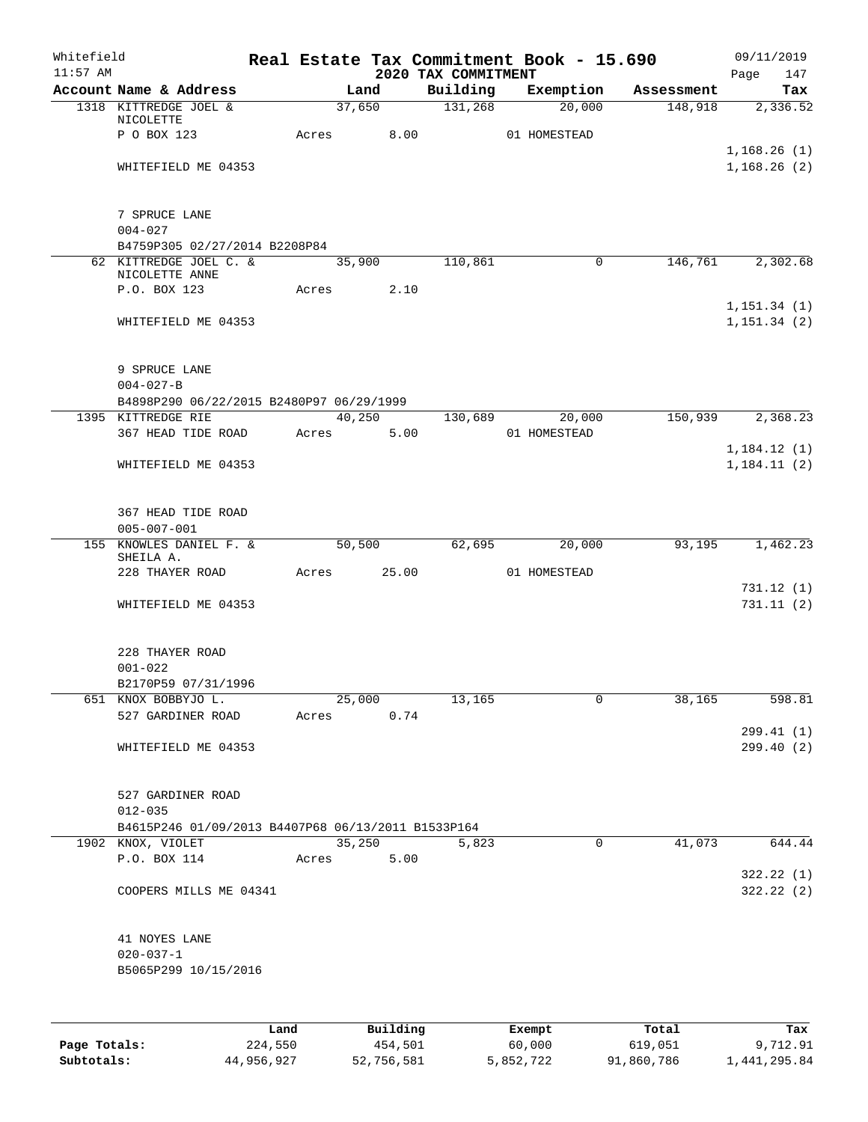| Whitefield<br>$11:57$ AM |                                                    |       |        |          | 2020 TAX COMMITMENT | Real Estate Tax Commitment Book - 15.690 |            | 09/11/2019<br>Page<br>147  |
|--------------------------|----------------------------------------------------|-------|--------|----------|---------------------|------------------------------------------|------------|----------------------------|
|                          | Account Name & Address                             |       | Land   |          | Building            | Exemption                                | Assessment | Tax                        |
|                          | 1318 KITTREDGE JOEL &                              |       | 37,650 |          | 131,268             | 20,000                                   | 148,918    | 2,336.52                   |
|                          | NICOLETTE                                          |       |        |          |                     |                                          |            |                            |
|                          | P O BOX 123                                        | Acres |        | 8.00     |                     | 01 HOMESTEAD                             |            |                            |
|                          | WHITEFIELD ME 04353                                |       |        |          |                     |                                          |            | 1,168.26(1)<br>1,168.26(2) |
|                          |                                                    |       |        |          |                     |                                          |            |                            |
|                          |                                                    |       |        |          |                     |                                          |            |                            |
|                          | 7 SPRUCE LANE                                      |       |        |          |                     |                                          |            |                            |
|                          | $004 - 027$                                        |       |        |          |                     |                                          |            |                            |
|                          | B4759P305 02/27/2014 B2208P84                      |       |        |          |                     |                                          |            |                            |
|                          | 62 KITTREDGE JOEL C. &<br>NICOLETTE ANNE           |       | 35,900 |          | 110,861             | 0                                        | 146,761    | 2,302.68                   |
|                          | P.O. BOX 123                                       | Acres |        | 2.10     |                     |                                          |            |                            |
|                          |                                                    |       |        |          |                     |                                          |            | 1, 151.34(1)               |
|                          | WHITEFIELD ME 04353                                |       |        |          |                     |                                          |            | 1, 151.34(2)               |
|                          |                                                    |       |        |          |                     |                                          |            |                            |
|                          | 9 SPRUCE LANE                                      |       |        |          |                     |                                          |            |                            |
|                          | $004 - 027 - B$                                    |       |        |          |                     |                                          |            |                            |
|                          | B4898P290 06/22/2015 B2480P97 06/29/1999           |       |        |          |                     |                                          |            |                            |
|                          | 1395 KITTREDGE RIE                                 |       | 40,250 |          | 130,689             | 20,000                                   | 150,939    | 2,368.23                   |
|                          | 367 HEAD TIDE ROAD                                 |       | Acres  | 5.00     |                     | 01 HOMESTEAD                             |            |                            |
|                          |                                                    |       |        |          |                     |                                          |            | 1,184.12(1)                |
|                          | WHITEFIELD ME 04353                                |       |        |          |                     |                                          |            | 1,184.11(2)                |
|                          |                                                    |       |        |          |                     |                                          |            |                            |
|                          | 367 HEAD TIDE ROAD                                 |       |        |          |                     |                                          |            |                            |
|                          | $005 - 007 - 001$                                  |       |        |          |                     |                                          |            |                            |
|                          | 155 KNOWLES DANIEL F. &                            |       | 50,500 |          | 62,695              | 20,000                                   | 93,195     | 1,462.23                   |
|                          | SHEILA A.<br>228 THAYER ROAD                       | Acres |        | 25.00    |                     | 01 HOMESTEAD                             |            |                            |
|                          |                                                    |       |        |          |                     |                                          |            | 731.12(1)                  |
|                          | WHITEFIELD ME 04353                                |       |        |          |                     |                                          |            | 731.11(2)                  |
|                          |                                                    |       |        |          |                     |                                          |            |                            |
|                          |                                                    |       |        |          |                     |                                          |            |                            |
|                          | 228 THAYER ROAD<br>$001 - 022$                     |       |        |          |                     |                                          |            |                            |
|                          | B2170P59 07/31/1996                                |       |        |          |                     |                                          |            |                            |
|                          | 651 KNOX BOBBYJO L.                                |       | 25,000 |          | 13,165              | 0                                        | 38,165     | 598.81                     |
|                          | 527 GARDINER ROAD                                  | Acres |        | 0.74     |                     |                                          |            |                            |
|                          |                                                    |       |        |          |                     |                                          |            | 299.41(1)                  |
|                          | WHITEFIELD ME 04353                                |       |        |          |                     |                                          |            | 299.40 (2)                 |
|                          |                                                    |       |        |          |                     |                                          |            |                            |
|                          | 527 GARDINER ROAD                                  |       |        |          |                     |                                          |            |                            |
|                          | $012 - 035$                                        |       |        |          |                     |                                          |            |                            |
|                          | B4615P246 01/09/2013 B4407P68 06/13/2011 B1533P164 |       |        |          |                     |                                          |            |                            |
|                          | 1902 KNOX, VIOLET                                  |       | 35,250 |          | 5,823               | 0                                        | 41,073     | 644.44                     |
|                          | P.O. BOX 114                                       | Acres |        | 5.00     |                     |                                          |            |                            |
|                          |                                                    |       |        |          |                     |                                          |            | 322.22(1)                  |
|                          | COOPERS MILLS ME 04341                             |       |        |          |                     |                                          |            | 322.22(2)                  |
|                          |                                                    |       |        |          |                     |                                          |            |                            |
|                          | 41 NOYES LANE                                      |       |        |          |                     |                                          |            |                            |
|                          | $020 - 037 - 1$                                    |       |        |          |                     |                                          |            |                            |
|                          | B5065P299 10/15/2016                               |       |        |          |                     |                                          |            |                            |
|                          |                                                    |       |        |          |                     |                                          |            |                            |
|                          |                                                    |       |        |          |                     |                                          |            |                            |
|                          |                                                    | Land  |        | Building |                     | Exempt                                   | Total      | Tax                        |

|              | Land       | Building   | Exempt    | Total      | Tax          |
|--------------|------------|------------|-----------|------------|--------------|
| Page Totals: | 224,550    | 454,501    | 60,000    | 619,051    | 9,712.91     |
| Subtotals:   | 44,956,927 | 52,756,581 | 5,852,722 | 91,860,786 | 1,441,295.84 |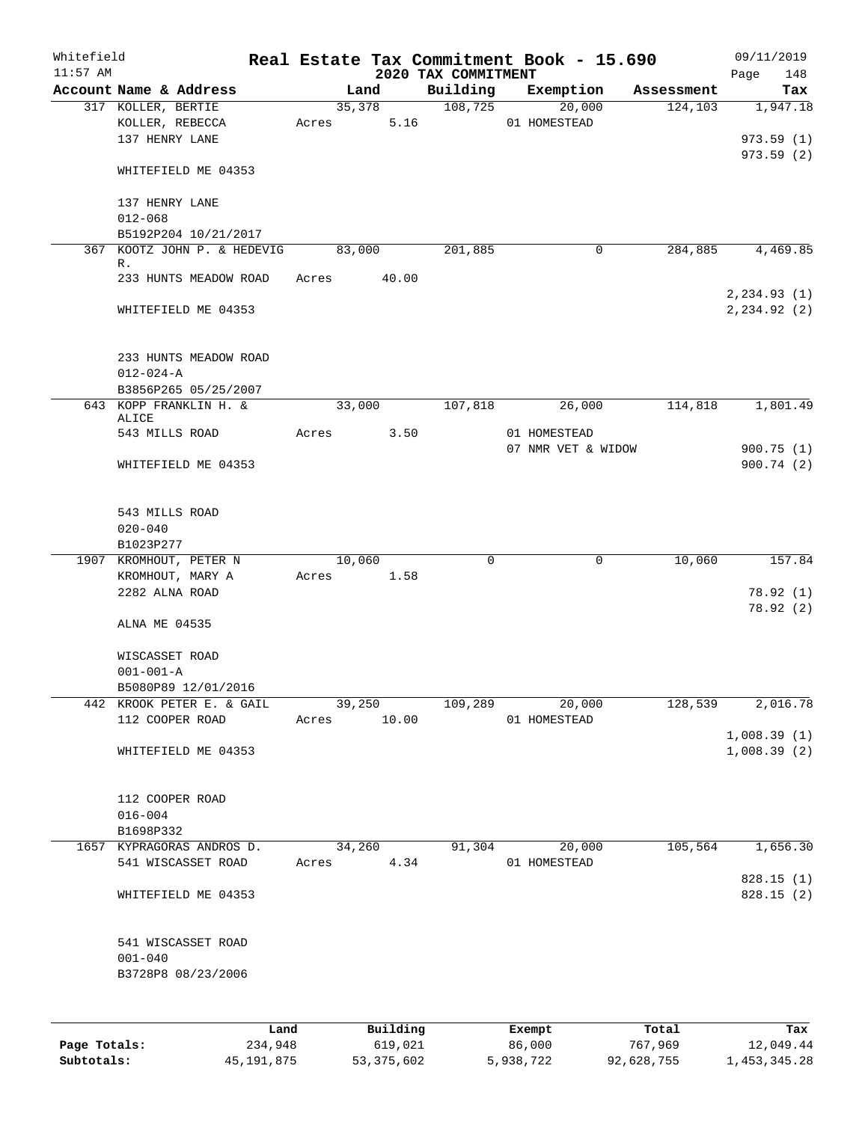| Whitefield<br>$11:57$ AM |                                                         |      |       |        |             | 2020 TAX COMMITMENT | Real Estate Tax Commitment Book - 15.690 |          | 09/11/2019<br>148<br>Page |
|--------------------------|---------------------------------------------------------|------|-------|--------|-------------|---------------------|------------------------------------------|----------|---------------------------|
|                          | Account Name & Address                                  |      |       | Land   |             |                     | Building Exemption Assessment            |          | Tax                       |
|                          | 317 KOLLER, BERTIE<br>KOLLER, REBECCA<br>137 HENRY LANE |      | Acres | 35,378 | 5.16        | 108,725             | 20,000<br>01 HOMESTEAD                   | 124, 103 | 1,947.18<br>973.59(1)     |
|                          | WHITEFIELD ME 04353                                     |      |       |        |             |                     |                                          |          | 973.59(2)                 |
|                          | 137 HENRY LANE<br>$012 - 068$                           |      |       |        |             |                     |                                          |          |                           |
|                          | B5192P204 10/21/2017                                    |      |       |        |             |                     |                                          |          |                           |
|                          | 367 KOOTZ JOHN P. & HEDEVIG                             |      |       | 83,000 |             | 201,885             | 0                                        | 284,885  | 4,469.85                  |
|                          | R.<br>233 HUNTS MEADOW ROAD                             |      |       |        | Acres 40.00 |                     |                                          |          | 2, 234.93(1)              |
|                          | WHITEFIELD ME 04353                                     |      |       |        |             |                     |                                          |          | 2, 234.92 (2)             |
|                          | 233 HUNTS MEADOW ROAD                                   |      |       |        |             |                     |                                          |          |                           |
|                          | $012 - 024 - A$                                         |      |       |        |             |                     |                                          |          |                           |
|                          | B3856P265 05/25/2007<br>643 KOPP FRANKLIN H. &          |      |       |        | 33,000      | 107,818             | 26,000                                   | 114,818  | 1,801.49                  |
|                          | ALICE                                                   |      |       |        |             |                     |                                          |          |                           |
|                          | 543 MILLS ROAD                                          |      |       |        | Acres 3.50  |                     | 01 HOMESTEAD                             |          |                           |
|                          | WHITEFIELD ME 04353                                     |      |       |        |             |                     | 07 NMR VET & WIDOW                       |          | 900.75(1)<br>900.74(2)    |
|                          | 543 MILLS ROAD<br>$020 - 040$                           |      |       |        |             |                     |                                          |          |                           |
|                          | B1023P277<br>1907 KROMHOUT, PETER N                     |      |       | 10,060 |             | $\mathbf 0$         | 0                                        | 10,060   | 157.84                    |
|                          | KROMHOUT, MARY A                                        |      |       |        | Acres 1.58  |                     |                                          |          |                           |
|                          | 2282 ALNA ROAD                                          |      |       |        |             |                     |                                          |          | 78.92(1)                  |
|                          | ALNA ME 04535                                           |      |       |        |             |                     |                                          |          | 78.92(2)                  |
|                          | WISCASSET ROAD                                          |      |       |        |             |                     |                                          |          |                           |
|                          | $001 - 001 - A$                                         |      |       |        |             |                     |                                          |          |                           |
|                          | B5080P89 12/01/2016                                     |      |       |        |             |                     |                                          |          |                           |
|                          | 442 KROOK PETER E. & GAIL<br>112 COOPER ROAD            |      | Acres | 39,250 | 10.00       | 109,289             | 20,000<br>01 HOMESTEAD                   | 128,539  | 2,016.78                  |
|                          |                                                         |      |       |        |             |                     |                                          |          | 1,008.39(1)               |
|                          | WHITEFIELD ME 04353                                     |      |       |        |             |                     |                                          |          | 1,008.39(2)               |
|                          | 112 COOPER ROAD                                         |      |       |        |             |                     |                                          |          |                           |
|                          | $016 - 004$                                             |      |       |        |             |                     |                                          |          |                           |
|                          | B1698P332                                               |      |       |        |             |                     |                                          |          |                           |
|                          | 1657 KYPRAGORAS ANDROS D.<br>541 WISCASSET ROAD         |      | Acres | 34,260 | 4.34        | 91,304              | 20,000<br>01 HOMESTEAD                   | 105,564  | 1,656.30                  |
|                          | WHITEFIELD ME 04353                                     |      |       |        |             |                     |                                          |          | 828.15(1)<br>828.15(2)    |
|                          | 541 WISCASSET ROAD<br>$001 - 040$<br>B3728P8 08/23/2006 |      |       |        |             |                     |                                          |          |                           |
|                          |                                                         |      |       |        |             |                     |                                          |          |                           |
|                          |                                                         | Land |       |        | Building    |                     | Exempt                                   | Total    | Tax                       |

|              | -----      | --------   | -------   | -----      | .            |
|--------------|------------|------------|-----------|------------|--------------|
| Page Totals: | 234,948    | 619,021    | 86,000    | 767,969    | 12,049.44    |
| Subtotals:   | 45,191,875 | 53,375,602 | 5,938,722 | 92,628,755 | 1,453,345.28 |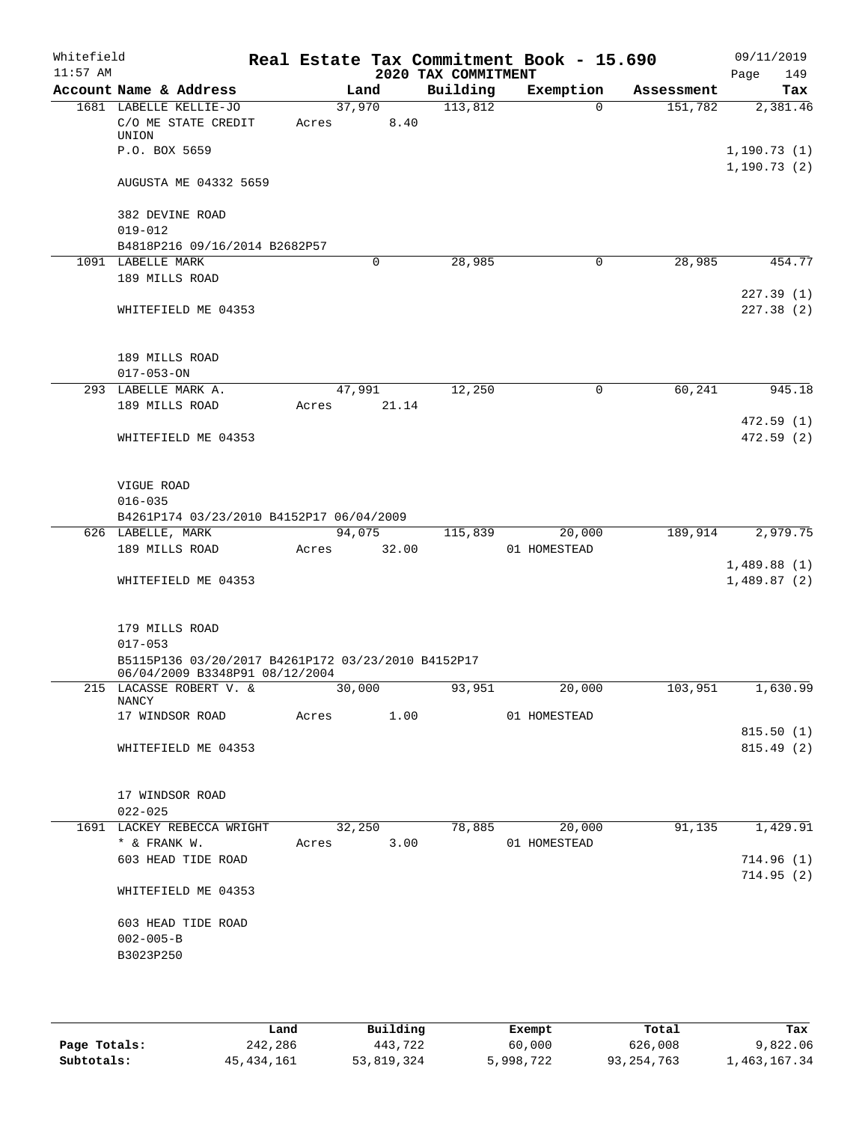| Whitefield<br>$11:57$ AM |                                                                                      |            |        |       | 2020 TAX COMMITMENT | Real Estate Tax Commitment Book - 15.690 |            | 09/11/2019<br>Page<br>149 |
|--------------------------|--------------------------------------------------------------------------------------|------------|--------|-------|---------------------|------------------------------------------|------------|---------------------------|
|                          | Account Name & Address                                                               |            | Land   |       | Building            | Exemption                                | Assessment | Tax                       |
|                          | 1681 LABELLE KELLIE-JO                                                               |            | 37,970 |       | 113,812             | $\Omega$                                 | 151,782    | 2,381.46                  |
|                          | C/O ME STATE CREDIT                                                                  | Acres      |        | 8.40  |                     |                                          |            |                           |
|                          | UNION                                                                                |            |        |       |                     |                                          |            |                           |
|                          | P.O. BOX 5659                                                                        |            |        |       |                     |                                          |            | 1, 190.73(1)              |
|                          | AUGUSTA ME 04332 5659                                                                |            |        |       |                     |                                          |            | 1, 190.73(2)              |
|                          |                                                                                      |            |        |       |                     |                                          |            |                           |
|                          | 382 DEVINE ROAD                                                                      |            |        |       |                     |                                          |            |                           |
|                          | $019 - 012$                                                                          |            |        |       |                     |                                          |            |                           |
|                          | B4818P216 09/16/2014 B2682P57                                                        |            |        |       |                     |                                          |            |                           |
|                          | 1091 LABELLE MARK                                                                    |            | 0      |       | 28,985              | $\mathbf 0$                              | 28,985     | 454.77                    |
|                          | 189 MILLS ROAD                                                                       |            |        |       |                     |                                          |            |                           |
|                          |                                                                                      |            |        |       |                     |                                          |            | 227.39(1)                 |
|                          | WHITEFIELD ME 04353                                                                  |            |        |       |                     |                                          |            | 227.38(2)                 |
|                          | 189 MILLS ROAD                                                                       |            |        |       |                     |                                          |            |                           |
|                          | $017 - 053 - ON$                                                                     |            |        |       |                     |                                          |            |                           |
|                          | 293 LABELLE MARK A.                                                                  |            | 47,991 |       | 12,250              | 0                                        | 60,241     | 945.18                    |
|                          | 189 MILLS ROAD                                                                       | Acres      |        | 21.14 |                     |                                          |            |                           |
|                          |                                                                                      |            |        |       |                     |                                          |            | 472.59(1)                 |
|                          | WHITEFIELD ME 04353                                                                  |            |        |       |                     |                                          |            | 472.59(2)                 |
|                          | VIGUE ROAD                                                                           |            |        |       |                     |                                          |            |                           |
|                          | $016 - 035$                                                                          |            |        |       |                     |                                          |            |                           |
|                          | B4261P174 03/23/2010 B4152P17 06/04/2009                                             |            |        |       |                     |                                          |            |                           |
|                          | 626 LABELLE, MARK                                                                    |            | 94,075 |       | 115,839             | 20,000                                   | 189,914    | 2,979.75                  |
|                          | 189 MILLS ROAD                                                                       | Acres      |        | 32.00 |                     | 01 HOMESTEAD                             |            |                           |
|                          |                                                                                      |            |        |       |                     |                                          |            | 1,489.88(1)               |
|                          | WHITEFIELD ME 04353                                                                  |            |        |       |                     |                                          |            | 1,489.87(2)               |
|                          | 179 MILLS ROAD                                                                       |            |        |       |                     |                                          |            |                           |
|                          | $017 - 053$                                                                          |            |        |       |                     |                                          |            |                           |
|                          | B5115P136 03/20/2017 B4261P172 03/23/2010 B4152P17<br>06/04/2009 B3348P91 08/12/2004 |            |        |       |                     |                                          |            |                           |
|                          | 215 LACASSE ROBERT V. &                                                              |            | 30,000 |       | 93,951              | 20,000                                   | 103,951    | 1,630.99                  |
|                          | NANCY<br>17 WINDSOR ROAD Acres 1.00                                                  |            |        |       |                     | 01 HOMESTEAD                             |            |                           |
|                          |                                                                                      |            |        |       |                     |                                          |            | 815.50(1)                 |
|                          | WHITEFIELD ME 04353                                                                  |            |        |       |                     |                                          |            | 815.49 (2)                |
|                          |                                                                                      |            |        |       |                     |                                          |            |                           |
|                          |                                                                                      |            |        |       |                     |                                          |            |                           |
|                          | 17 WINDSOR ROAD                                                                      |            |        |       |                     |                                          |            |                           |
|                          | $022 - 025$                                                                          |            |        |       |                     |                                          |            |                           |
|                          | 1691 LACKEY REBECCA WRIGHT                                                           |            | 32,250 |       |                     | 78,885<br>20,000                         | 91,135     | 1,429.91                  |
|                          | * & FRANK W.                                                                         | Acres 3.00 |        |       |                     | 01 HOMESTEAD                             |            |                           |
|                          | 603 HEAD TIDE ROAD                                                                   |            |        |       |                     |                                          |            | 714.96(1)                 |
|                          | WHITEFIELD ME 04353                                                                  |            |        |       |                     |                                          |            | 714.95(2)                 |
|                          |                                                                                      |            |        |       |                     |                                          |            |                           |
|                          | 603 HEAD TIDE ROAD                                                                   |            |        |       |                     |                                          |            |                           |
|                          | $002 - 005 - B$                                                                      |            |        |       |                     |                                          |            |                           |
|                          | B3023P250                                                                            |            |        |       |                     |                                          |            |                           |
|                          |                                                                                      |            |        |       |                     |                                          |            |                           |
|                          |                                                                                      |            |        |       |                     |                                          |            |                           |

|              | Land       | Building   | Exempt    | Total        | Tax          |
|--------------|------------|------------|-----------|--------------|--------------|
| Page Totals: | 242,286    | 443,722    | 60,000    | 626,008      | 9,822.06     |
| Subtotals:   | 45,434,161 | 53,819,324 | 5,998,722 | 93, 254, 763 | 1,463,167.34 |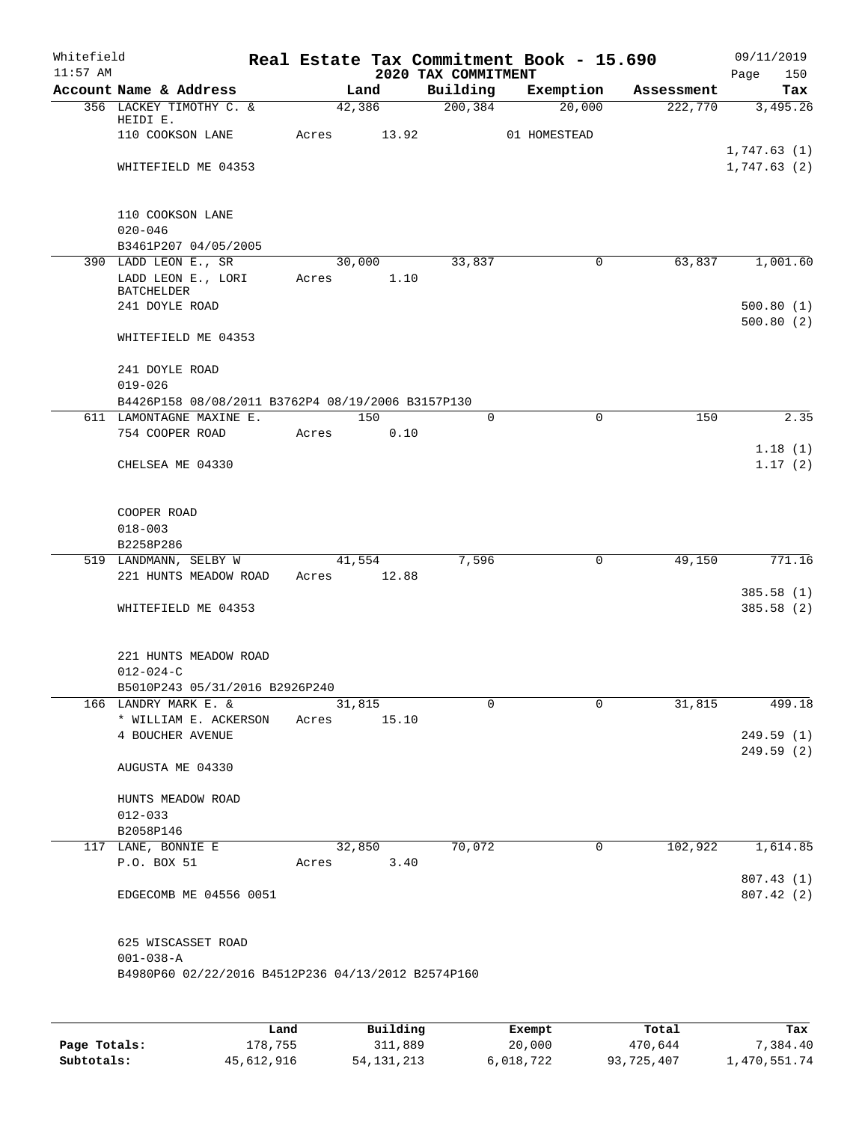| Whitefield<br>$11:57$ AM |                                                    |       |             |       | 2020 TAX COMMITMENT | Real Estate Tax Commitment Book - 15.690 |            | 09/11/2019<br>150<br>Page |
|--------------------------|----------------------------------------------------|-------|-------------|-------|---------------------|------------------------------------------|------------|---------------------------|
|                          | Account Name & Address                             |       | Land        |       | Building            | Exemption                                | Assessment | Tax                       |
|                          | 356 LACKEY TIMOTHY C. &                            |       | 42,386      |       | 200, 384            | 20,000                                   | 222,770    | 3,495.26                  |
|                          | HEIDI E.                                           |       |             |       |                     |                                          |            |                           |
|                          | 110 COOKSON LANE                                   | Acres |             | 13.92 |                     | 01 HOMESTEAD                             |            | 1,747.63(1)               |
|                          | WHITEFIELD ME 04353                                |       |             |       |                     |                                          |            | 1,747.63(2)               |
|                          |                                                    |       |             |       |                     |                                          |            |                           |
|                          |                                                    |       |             |       |                     |                                          |            |                           |
|                          | 110 COOKSON LANE                                   |       |             |       |                     |                                          |            |                           |
|                          | $020 - 046$                                        |       |             |       |                     |                                          |            |                           |
|                          | B3461P207 04/05/2005                               |       |             |       |                     |                                          |            |                           |
|                          | 390 LADD LEON E., SR                               |       | 30,000      |       | 33,837              | 0                                        | 63,837     | 1,001.60                  |
|                          | LADD LEON E., LORI<br>BATCHELDER                   |       | Acres       | 1.10  |                     |                                          |            |                           |
|                          | 241 DOYLE ROAD                                     |       |             |       |                     |                                          |            | 500.80(1)                 |
|                          |                                                    |       |             |       |                     |                                          |            | 500.80(2)                 |
|                          | WHITEFIELD ME 04353                                |       |             |       |                     |                                          |            |                           |
|                          |                                                    |       |             |       |                     |                                          |            |                           |
|                          | 241 DOYLE ROAD<br>$019 - 026$                      |       |             |       |                     |                                          |            |                           |
|                          | B4426P158 08/08/2011 B3762P4 08/19/2006 B3157P130  |       |             |       |                     |                                          |            |                           |
|                          | 611 LAMONTAGNE MAXINE E.                           |       | 150         |       | 0                   | 0                                        | 150        | 2.35                      |
|                          | 754 COOPER ROAD                                    | Acres |             | 0.10  |                     |                                          |            |                           |
|                          |                                                    |       |             |       |                     |                                          |            | 1.18(1)                   |
|                          | CHELSEA ME 04330                                   |       |             |       |                     |                                          |            | 1.17(2)                   |
|                          |                                                    |       |             |       |                     |                                          |            |                           |
|                          |                                                    |       |             |       |                     |                                          |            |                           |
|                          | COOPER ROAD                                        |       |             |       |                     |                                          |            |                           |
|                          | $018 - 003$<br>B2258P286                           |       |             |       |                     |                                          |            |                           |
|                          | 519 LANDMANN, SELBY W                              |       | 41,554      |       | 7,596               | $\mathbf 0$                              | 49,150     | 771.16                    |
|                          | 221 HUNTS MEADOW ROAD                              |       | Acres 12.88 |       |                     |                                          |            |                           |
|                          |                                                    |       |             |       |                     |                                          |            | 385.58(1)                 |
|                          | WHITEFIELD ME 04353                                |       |             |       |                     |                                          |            | 385.58 (2)                |
|                          |                                                    |       |             |       |                     |                                          |            |                           |
|                          |                                                    |       |             |       |                     |                                          |            |                           |
|                          | 221 HUNTS MEADOW ROAD                              |       |             |       |                     |                                          |            |                           |
|                          | $012 - 024 - C$<br>B5010P243 05/31/2016 B2926P240  |       |             |       |                     |                                          |            |                           |
|                          | 166 LANDRY MARK E. &                               |       | 31,815      |       | 0                   | 0                                        | 31,815     | 499.18                    |
|                          | * WILLIAM E. ACKERSON                              |       | Acres 15.10 |       |                     |                                          |            |                           |
|                          | 4 BOUCHER AVENUE                                   |       |             |       |                     |                                          |            | 249.59(1)                 |
|                          |                                                    |       |             |       |                     |                                          |            | 249.59(2)                 |
|                          | AUGUSTA ME 04330                                   |       |             |       |                     |                                          |            |                           |
|                          |                                                    |       |             |       |                     |                                          |            |                           |
|                          | HUNTS MEADOW ROAD                                  |       |             |       |                     |                                          |            |                           |
|                          | $012 - 033$                                        |       |             |       |                     |                                          |            |                           |
|                          | B2058P146<br>117 LANE, BONNIE E                    |       | 32,850      |       | 70,072              | $\overline{0}$                           | 102,922    | 1,614.85                  |
|                          | P.O. BOX 51                                        |       | Acres       | 3.40  |                     |                                          |            |                           |
|                          |                                                    |       |             |       |                     |                                          |            | 807.43(1)                 |
|                          | EDGECOMB ME 04556 0051                             |       |             |       |                     |                                          |            | 807.42(2)                 |
|                          |                                                    |       |             |       |                     |                                          |            |                           |
|                          |                                                    |       |             |       |                     |                                          |            |                           |
|                          | 625 WISCASSET ROAD                                 |       |             |       |                     |                                          |            |                           |
|                          | $001 - 038 - A$                                    |       |             |       |                     |                                          |            |                           |
|                          | B4980P60 02/22/2016 B4512P236 04/13/2012 B2574P160 |       |             |       |                     |                                          |            |                           |
|                          |                                                    |       |             |       |                     |                                          |            |                           |
|                          |                                                    |       |             |       |                     |                                          |            |                           |

|              | Land       | Building   | Exempt    | Total      | Tax          |
|--------------|------------|------------|-----------|------------|--------------|
| Page Totals: | 178,755    | 311,889    | 20,000    | 470,644    | 7,384.40     |
| Subtotals:   | 45,612,916 | 54,131,213 | 6,018,722 | 93,725,407 | 1,470,551.74 |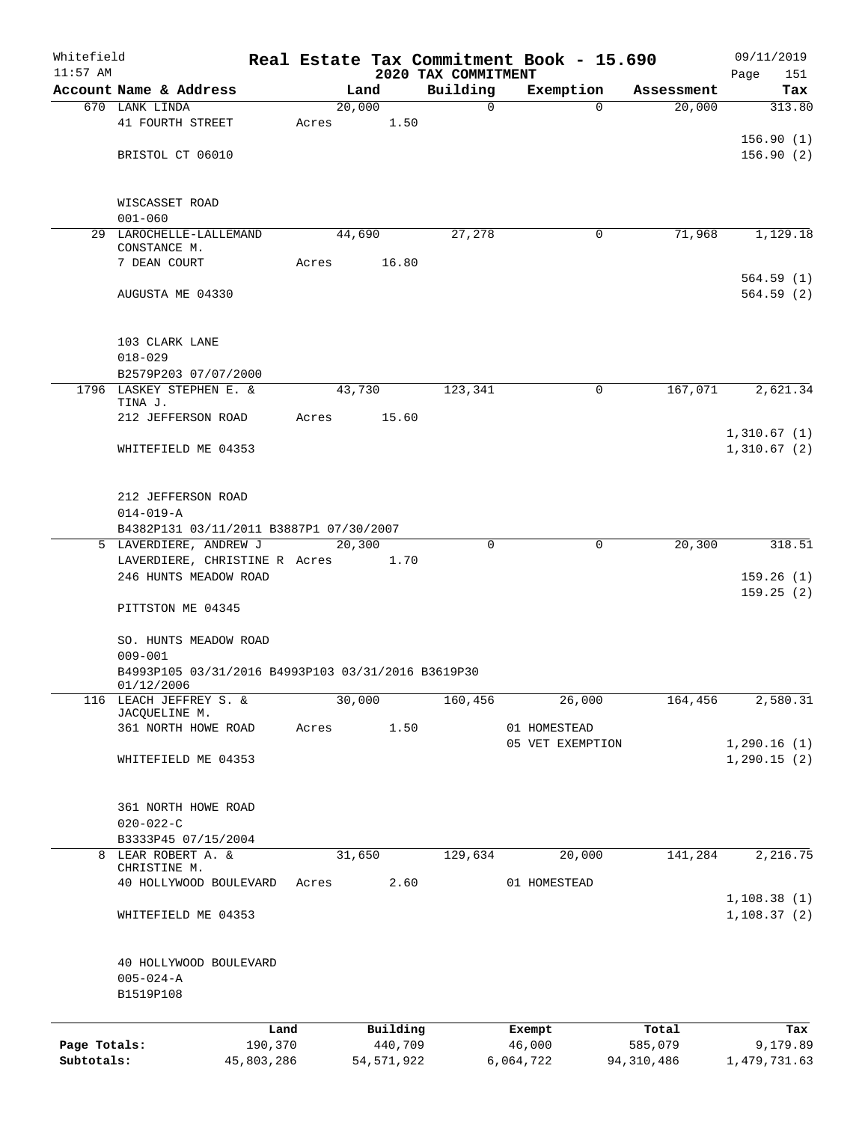| Whitefield<br>$11:57$ AM |                                                                  |            |        |              |                                 | Real Estate Tax Commitment Book - 15.690 |                  | 09/11/2019                  |
|--------------------------|------------------------------------------------------------------|------------|--------|--------------|---------------------------------|------------------------------------------|------------------|-----------------------------|
|                          | Account Name & Address                                           |            | Land   |              | 2020 TAX COMMITMENT<br>Building | Exemption                                | Assessment       | Page<br>151<br>Tax          |
|                          | 670 LANK LINDA                                                   |            | 20,000 |              | $\mathbf 0$                     | $\Omega$                                 | 20,000           | 313.80                      |
|                          | 41 FOURTH STREET                                                 | Acres      |        | 1.50         |                                 |                                          |                  |                             |
|                          |                                                                  |            |        |              |                                 |                                          |                  | 156.90(1)                   |
|                          | BRISTOL CT 06010                                                 |            |        |              |                                 |                                          |                  | 156.90(2)                   |
|                          |                                                                  |            |        |              |                                 |                                          |                  |                             |
|                          |                                                                  |            |        |              |                                 |                                          |                  |                             |
|                          | WISCASSET ROAD<br>$001 - 060$                                    |            |        |              |                                 |                                          |                  |                             |
|                          | 29 LAROCHELLE-LALLEMAND                                          |            | 44,690 |              | 27,278                          | $\mathbf 0$                              | 71,968           | 1,129.18                    |
|                          | CONSTANCE M.                                                     |            |        |              |                                 |                                          |                  |                             |
|                          | 7 DEAN COURT                                                     | Acres      |        | 16.80        |                                 |                                          |                  |                             |
|                          |                                                                  |            |        |              |                                 |                                          |                  | 564.59(1)                   |
|                          | AUGUSTA ME 04330                                                 |            |        |              |                                 |                                          |                  | 564.59(2)                   |
|                          |                                                                  |            |        |              |                                 |                                          |                  |                             |
|                          | 103 CLARK LANE                                                   |            |        |              |                                 |                                          |                  |                             |
|                          | $018 - 029$                                                      |            |        |              |                                 |                                          |                  |                             |
|                          | B2579P203 07/07/2000                                             |            |        |              |                                 |                                          |                  |                             |
|                          | 1796 LASKEY STEPHEN E. &                                         |            | 43,730 |              | 123,341                         | 0                                        | 167,071          | 2,621.34                    |
|                          | TINA J.                                                          |            |        | 15.60        |                                 |                                          |                  |                             |
|                          | 212 JEFFERSON ROAD                                               | Acres      |        |              |                                 |                                          |                  | 1,310.67(1)                 |
|                          | WHITEFIELD ME 04353                                              |            |        |              |                                 |                                          |                  | 1,310.67(2)                 |
|                          |                                                                  |            |        |              |                                 |                                          |                  |                             |
|                          |                                                                  |            |        |              |                                 |                                          |                  |                             |
|                          | 212 JEFFERSON ROAD                                               |            |        |              |                                 |                                          |                  |                             |
|                          | $014 - 019 - A$                                                  |            |        |              |                                 |                                          |                  |                             |
|                          | B4382P131 03/11/2011 B3887P1 07/30/2007                          |            |        |              |                                 |                                          |                  |                             |
|                          | 5 LAVERDIERE, ANDREW J                                           |            | 20,300 |              | 0                               | $\mathbf 0$                              | 20,300           | 318.51                      |
|                          | LAVERDIERE, CHRISTINE R Acres<br>246 HUNTS MEADOW ROAD           |            |        | 1.70         |                                 |                                          |                  | 159.26(1)                   |
|                          |                                                                  |            |        |              |                                 |                                          |                  | 159.25(2)                   |
|                          | PITTSTON ME 04345                                                |            |        |              |                                 |                                          |                  |                             |
|                          |                                                                  |            |        |              |                                 |                                          |                  |                             |
|                          | SO. HUNTS MEADOW ROAD                                            |            |        |              |                                 |                                          |                  |                             |
|                          | $009 - 001$                                                      |            |        |              |                                 |                                          |                  |                             |
|                          | B4993P105 03/31/2016 B4993P103 03/31/2016 B3619P30<br>01/12/2006 |            |        |              |                                 |                                          |                  |                             |
|                          | 116 LEACH JEFFREY S. &                                           |            | 30,000 |              | 160,456                         | 26,000                                   | 164,456          | 2,580.31                    |
|                          | JACQUELINE M.                                                    |            |        |              |                                 |                                          |                  |                             |
|                          | 361 NORTH HOWE ROAD                                              | Acres      |        | 1.50         |                                 | 01 HOMESTEAD                             |                  |                             |
|                          | WHITEFIELD ME 04353                                              |            |        |              |                                 | 05 VET EXEMPTION                         |                  | 1,290.16(1)<br>1, 290.15(2) |
|                          |                                                                  |            |        |              |                                 |                                          |                  |                             |
|                          |                                                                  |            |        |              |                                 |                                          |                  |                             |
|                          | 361 NORTH HOWE ROAD                                              |            |        |              |                                 |                                          |                  |                             |
|                          | $020 - 022 - C$                                                  |            |        |              |                                 |                                          |                  |                             |
|                          | B3333P45 07/15/2004                                              |            |        |              |                                 |                                          |                  |                             |
|                          | 8 LEAR ROBERT A. &<br>CHRISTINE M.                               |            | 31,650 |              | 129,634                         | 20,000                                   | 141,284          | 2,216.75                    |
|                          | 40 HOLLYWOOD BOULEVARD                                           | Acres      |        | 2.60         |                                 | 01 HOMESTEAD                             |                  |                             |
|                          |                                                                  |            |        |              |                                 |                                          |                  | 1,108.38(1)                 |
|                          | WHITEFIELD ME 04353                                              |            |        |              |                                 |                                          |                  | 1,108.37(2)                 |
|                          |                                                                  |            |        |              |                                 |                                          |                  |                             |
|                          |                                                                  |            |        |              |                                 |                                          |                  |                             |
|                          | 40 HOLLYWOOD BOULEVARD                                           |            |        |              |                                 |                                          |                  |                             |
|                          | $005 - 024 - A$                                                  |            |        |              |                                 |                                          |                  |                             |
|                          | B1519P108                                                        |            |        |              |                                 |                                          |                  |                             |
|                          |                                                                  | Land       |        | Building     |                                 |                                          |                  | Tax                         |
| Page Totals:             |                                                                  | 190,370    |        | 440,709      |                                 | Exempt<br>46,000                         | Total<br>585,079 | 9,179.89                    |
| Subtotals:               |                                                                  | 45,803,286 |        | 54, 571, 922 |                                 | 6,064,722                                | 94,310,486       | 1,479,731.63                |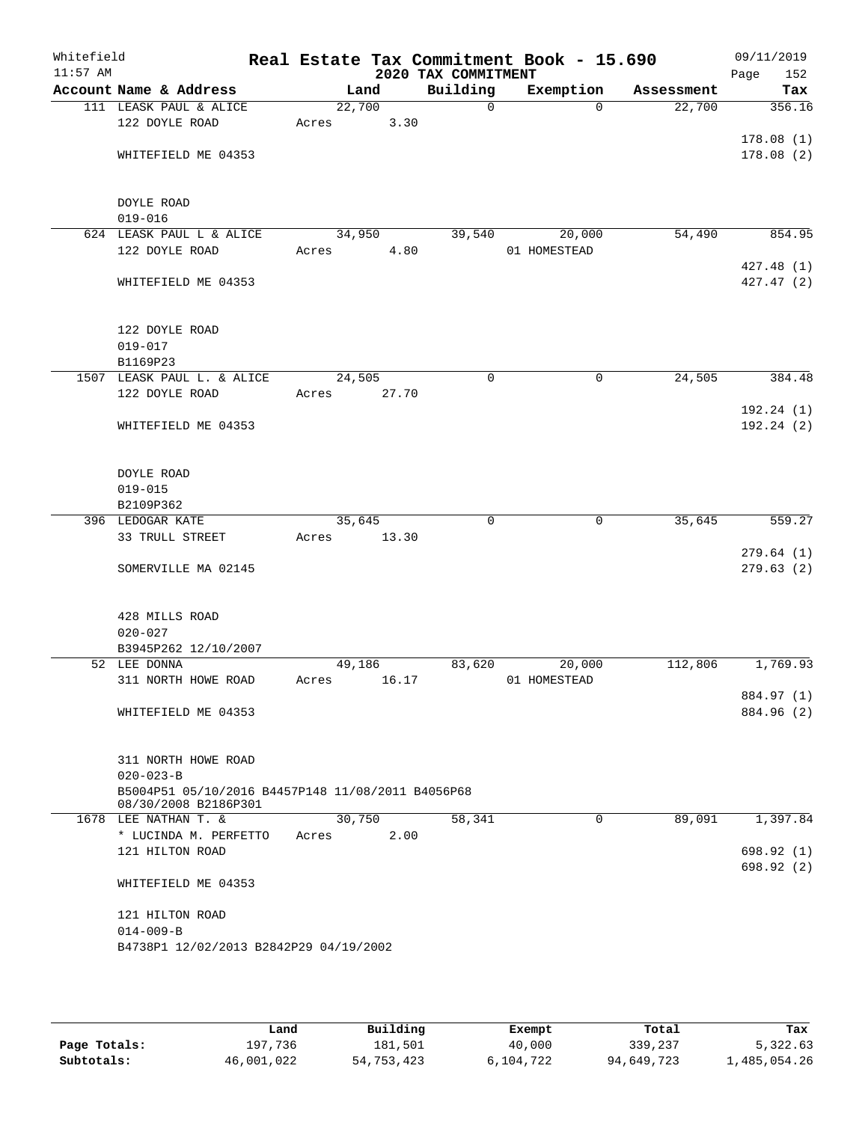| Whitefield<br>$11:57$ AM |                 |                                                                           |             |       | 2020 TAX COMMITMENT | Real Estate Tax Commitment Book - 15.690 |            | 09/11/2019<br>152<br>Page |
|--------------------------|-----------------|---------------------------------------------------------------------------|-------------|-------|---------------------|------------------------------------------|------------|---------------------------|
|                          |                 | Account Name & Address                                                    | Land        |       | Building            | Exemption                                | Assessment | Tax                       |
|                          |                 | 111 LEASK PAUL & ALICE                                                    | 22,700      |       | $\Omega$            | $\Omega$                                 | 22,700     | 356.16                    |
|                          |                 | 122 DOYLE ROAD                                                            | Acres       | 3.30  |                     |                                          |            |                           |
|                          |                 |                                                                           |             |       |                     |                                          |            | 178.08(1)                 |
|                          |                 | WHITEFIELD ME 04353                                                       |             |       |                     |                                          |            | 178.08(2)                 |
|                          |                 |                                                                           |             |       |                     |                                          |            |                           |
|                          | DOYLE ROAD      |                                                                           |             |       |                     |                                          |            |                           |
|                          | $019 - 016$     |                                                                           |             |       |                     |                                          |            |                           |
|                          |                 | 624 LEASK PAUL L & ALICE                                                  | 34,950      |       | 39,540              | 20,000                                   | 54,490     | 854.95                    |
|                          |                 | 122 DOYLE ROAD                                                            | Acres       | 4.80  |                     | 01 HOMESTEAD                             |            |                           |
|                          |                 |                                                                           |             |       |                     |                                          |            | 427.48(1)                 |
|                          |                 | WHITEFIELD ME 04353                                                       |             |       |                     |                                          |            | 427.47(2)                 |
|                          |                 |                                                                           |             |       |                     |                                          |            |                           |
|                          |                 |                                                                           |             |       |                     |                                          |            |                           |
|                          |                 | 122 DOYLE ROAD                                                            |             |       |                     |                                          |            |                           |
|                          | $019 - 017$     |                                                                           |             |       |                     |                                          |            |                           |
|                          | B1169P23        |                                                                           |             |       |                     |                                          |            |                           |
|                          |                 | 1507 LEASK PAUL L. & ALICE                                                | 24,505      |       | $\Omega$            | $\mathbf 0$                              | 24,505     | 384.48                    |
|                          |                 | 122 DOYLE ROAD                                                            | Acres       | 27.70 |                     |                                          |            |                           |
|                          |                 |                                                                           |             |       |                     |                                          |            | 192.24(1)                 |
|                          |                 | WHITEFIELD ME 04353                                                       |             |       |                     |                                          |            | 192.24(2)                 |
|                          |                 |                                                                           |             |       |                     |                                          |            |                           |
|                          | DOYLE ROAD      |                                                                           |             |       |                     |                                          |            |                           |
|                          | $019 - 015$     |                                                                           |             |       |                     |                                          |            |                           |
|                          | B2109P362       |                                                                           |             |       |                     |                                          |            |                           |
|                          |                 | 396 LEDOGAR KATE                                                          | 35,645      |       | $\mathbf 0$         | 0                                        | 35,645     | 559.27                    |
|                          |                 | 33 TRULL STREET                                                           | Acres       | 13.30 |                     |                                          |            |                           |
|                          |                 |                                                                           |             |       |                     |                                          |            | 279.64(1)                 |
|                          |                 | SOMERVILLE MA 02145                                                       |             |       |                     |                                          |            | 279.63(2)                 |
|                          |                 |                                                                           |             |       |                     |                                          |            |                           |
|                          |                 |                                                                           |             |       |                     |                                          |            |                           |
|                          | $020 - 027$     | 428 MILLS ROAD                                                            |             |       |                     |                                          |            |                           |
|                          |                 | B3945P262 12/10/2007                                                      |             |       |                     |                                          |            |                           |
|                          | 52 LEE DONNA    |                                                                           | 49,186      |       | 83,620              | 20,000                                   | 112,806    | 1,769.93                  |
|                          |                 | 311 NORTH HOWE ROAD                                                       | Acres 16.17 |       |                     | 01 HOMESTEAD                             |            |                           |
|                          |                 |                                                                           |             |       |                     |                                          |            | 884.97 (1)                |
|                          |                 | WHITEFIELD ME 04353                                                       |             |       |                     |                                          |            | 884.96 (2)                |
|                          |                 |                                                                           |             |       |                     |                                          |            |                           |
|                          |                 |                                                                           |             |       |                     |                                          |            |                           |
|                          |                 | 311 NORTH HOWE ROAD                                                       |             |       |                     |                                          |            |                           |
|                          | $020 - 023 - B$ |                                                                           |             |       |                     |                                          |            |                           |
|                          |                 | B5004P51 05/10/2016 B4457P148 11/08/2011 B4056P68<br>08/30/2008 B2186P301 |             |       |                     |                                          |            |                           |
|                          |                 | 1678 LEE NATHAN T. &                                                      | 30,750      |       | 58,341              | $\mathbf 0$                              | 89,091     | 1,397.84                  |
|                          |                 | * LUCINDA M. PERFETTO                                                     | Acres       | 2.00  |                     |                                          |            |                           |
|                          |                 | 121 HILTON ROAD                                                           |             |       |                     |                                          |            | 698.92(1)                 |
|                          |                 |                                                                           |             |       |                     |                                          |            | 698.92 (2)                |
|                          |                 | WHITEFIELD ME 04353                                                       |             |       |                     |                                          |            |                           |
|                          |                 |                                                                           |             |       |                     |                                          |            |                           |
|                          |                 | 121 HILTON ROAD                                                           |             |       |                     |                                          |            |                           |
|                          | $014 - 009 - B$ |                                                                           |             |       |                     |                                          |            |                           |
|                          |                 | B4738P1 12/02/2013 B2842P29 04/19/2002                                    |             |       |                     |                                          |            |                           |
|                          |                 |                                                                           |             |       |                     |                                          |            |                           |

|              | Land       | Building   | Exempt    | Total      | Tax          |
|--------------|------------|------------|-----------|------------|--------------|
| Page Totals: | 197,736    | 181,501    | 40,000    | 339,237    | 5,322.63     |
| Subtotals:   | 46,001,022 | 54,753,423 | 6,104,722 | 94,649,723 | l,485,054.26 |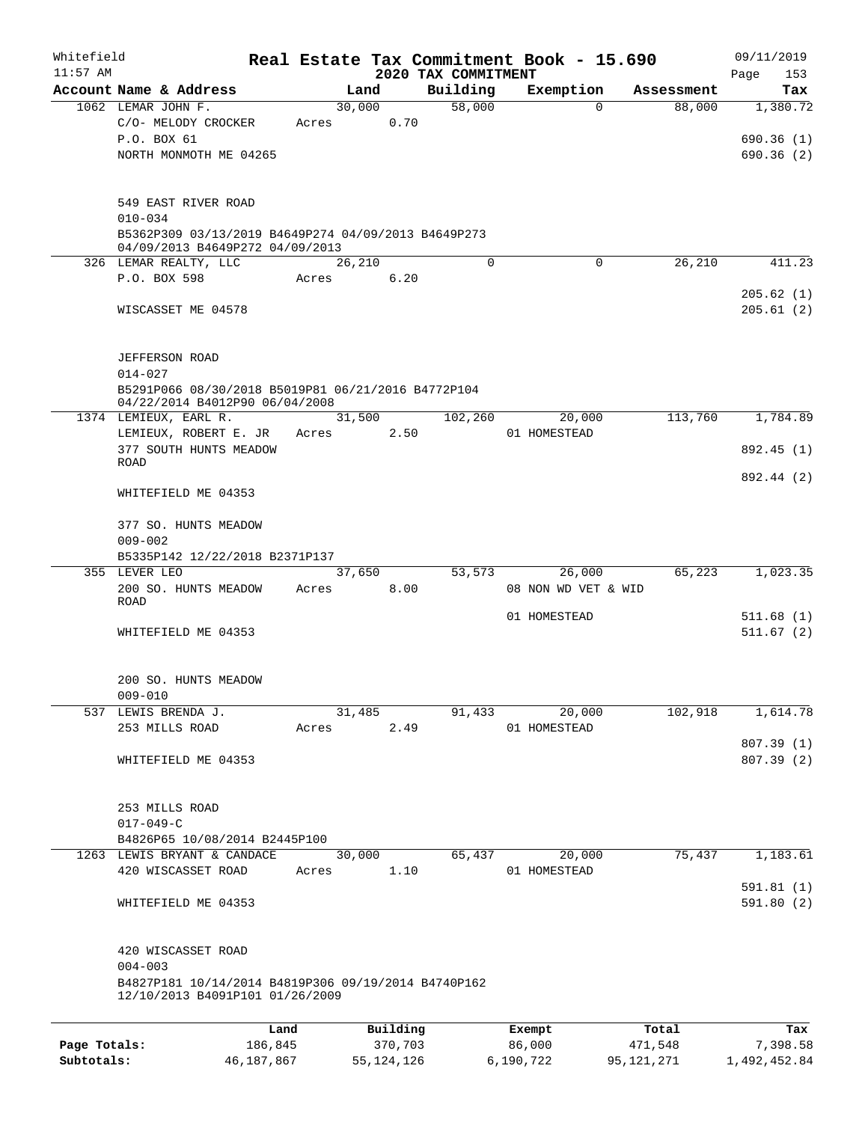| Whitefield   |                                                                                        |         |       |                |                     | Real Estate Tax Commitment Book - 15.690 |                      | 09/11/2019      |
|--------------|----------------------------------------------------------------------------------------|---------|-------|----------------|---------------------|------------------------------------------|----------------------|-----------------|
| $11:57$ AM   | Account Name & Address                                                                 |         |       |                | 2020 TAX COMMITMENT |                                          |                      | 153<br>Page     |
|              | 1062 LEMAR JOHN F.                                                                     |         |       | Land<br>30,000 | Building<br>58,000  | Exemption<br>$\Omega$                    | Assessment<br>88,000 | Tax<br>1,380.72 |
|              | C/O- MELODY CROCKER                                                                    |         | Acres | 0.70           |                     |                                          |                      |                 |
|              | P.O. BOX 61                                                                            |         |       |                |                     |                                          |                      | 690.36(1)       |
|              | NORTH MONMOTH ME 04265                                                                 |         |       |                |                     |                                          |                      | 690.36(2)       |
|              |                                                                                        |         |       |                |                     |                                          |                      |                 |
|              | 549 EAST RIVER ROAD                                                                    |         |       |                |                     |                                          |                      |                 |
|              | $010 - 034$                                                                            |         |       |                |                     |                                          |                      |                 |
|              | B5362P309 03/13/2019 B4649P274 04/09/2013 B4649P273<br>04/09/2013 B4649P272 04/09/2013 |         |       |                |                     |                                          |                      |                 |
|              | 326 LEMAR REALTY, LLC                                                                  |         |       | 26,210         | $\Omega$            | $\Omega$                                 | 26,210               | 411.23          |
|              | P.O. BOX 598                                                                           |         | Acres | 6.20           |                     |                                          |                      |                 |
|              |                                                                                        |         |       |                |                     |                                          |                      | 205.62(1)       |
|              | WISCASSET ME 04578                                                                     |         |       |                |                     |                                          |                      | 205.61(2)       |
|              | JEFFERSON ROAD<br>$014 - 027$                                                          |         |       |                |                     |                                          |                      |                 |
|              | B5291P066 08/30/2018 B5019P81 06/21/2016 B4772P104                                     |         |       |                |                     |                                          |                      |                 |
|              | 04/22/2014 B4012P90 06/04/2008                                                         |         |       |                |                     |                                          |                      |                 |
|              | 1374 LEMIEUX, EARL R.                                                                  |         |       | 31,500         | 102,260             | 20,000                                   | 113,760              | 1,784.89        |
|              | LEMIEUX, ROBERT E. JR                                                                  |         | Acres | 2.50           |                     | 01 HOMESTEAD                             |                      |                 |
|              | 377 SOUTH HUNTS MEADOW<br>ROAD                                                         |         |       |                |                     |                                          |                      | 892.45 (1)      |
|              |                                                                                        |         |       |                |                     |                                          |                      | 892.44 (2)      |
|              | WHITEFIELD ME 04353                                                                    |         |       |                |                     |                                          |                      |                 |
|              | 377 SO. HUNTS MEADOW                                                                   |         |       |                |                     |                                          |                      |                 |
|              | $009 - 002$                                                                            |         |       |                |                     |                                          |                      |                 |
|              | B5335P142 12/22/2018 B2371P137                                                         |         |       |                |                     |                                          |                      |                 |
|              | 355 LEVER LEO                                                                          |         |       | 37,650         | 53,573              | 26,000                                   | 65,223               | 1,023.35        |
|              | 200 SO. HUNTS MEADOW                                                                   |         | Acres | 8.00           |                     | 08 NON WD VET & WID                      |                      |                 |
|              | <b>ROAD</b>                                                                            |         |       |                |                     |                                          |                      |                 |
|              |                                                                                        |         |       |                |                     | 01 HOMESTEAD                             |                      | 511.68(1)       |
|              | WHITEFIELD ME 04353                                                                    |         |       |                |                     |                                          |                      | 511.67(2)       |
|              | 200 SO. HUNTS MEADOW                                                                   |         |       |                |                     |                                          |                      |                 |
|              | $009 - 010$                                                                            |         |       |                |                     |                                          |                      |                 |
| 537          | LEWIS BRENDA J.                                                                        |         |       | 31,485         | 91,433              | 20,000                                   | 102,918              | 1,614.78        |
|              | 253 MILLS ROAD                                                                         |         | Acres | 2.49           |                     | 01 HOMESTEAD                             |                      |                 |
|              |                                                                                        |         |       |                |                     |                                          |                      | 807.39 (1)      |
|              | WHITEFIELD ME 04353                                                                    |         |       |                |                     |                                          |                      | 807.39(2)       |
|              | 253 MILLS ROAD                                                                         |         |       |                |                     |                                          |                      |                 |
|              | $017 - 049 - C$                                                                        |         |       |                |                     |                                          |                      |                 |
|              | B4826P65 10/08/2014 B2445P100                                                          |         |       |                |                     |                                          |                      |                 |
|              | 1263 LEWIS BRYANT & CANDACE                                                            |         |       | 30,000         | 65,437              | 20,000                                   | 75,437               | 1,183.61        |
|              | 420 WISCASSET ROAD                                                                     |         | Acres | 1.10           |                     | 01 HOMESTEAD                             |                      |                 |
|              |                                                                                        |         |       |                |                     |                                          |                      | 591.81(1)       |
|              | WHITEFIELD ME 04353                                                                    |         |       |                |                     |                                          |                      | 591.80(2)       |
|              | 420 WISCASSET ROAD                                                                     |         |       |                |                     |                                          |                      |                 |
|              | $004 - 003$                                                                            |         |       |                |                     |                                          |                      |                 |
|              | B4827P181 10/14/2014 B4819P306 09/19/2014 B4740P162<br>12/10/2013 B4091P101 01/26/2009 |         |       |                |                     |                                          |                      |                 |
|              |                                                                                        |         |       |                |                     |                                          |                      |                 |
|              |                                                                                        | Land    |       | Building       |                     | Exempt                                   | Total                | Tax             |
| Page Totals: |                                                                                        | 186,845 |       | 370,703        |                     | 86,000                                   | 471,548              | 7,398.58        |

**Subtotals:** 46,187,867 55,124,126 6,190,722 95,121,271 1,492,452.84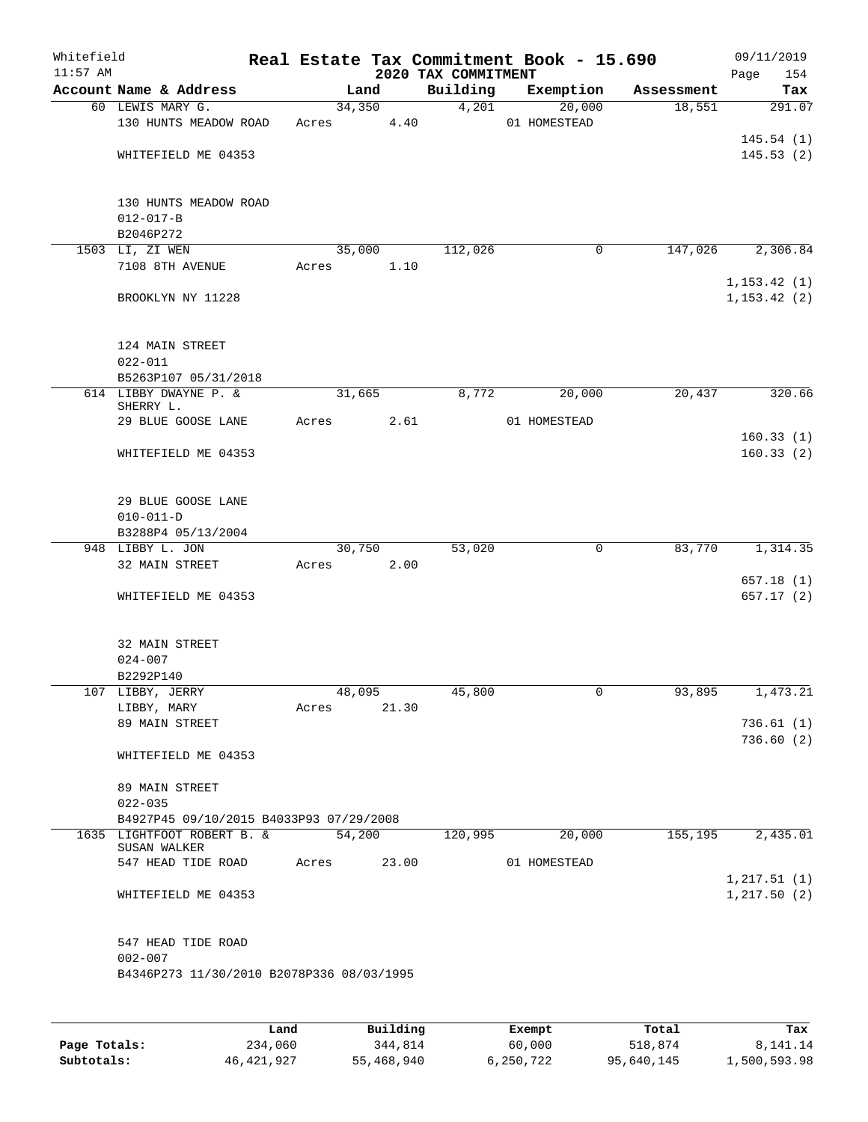| Whitefield<br>$11:57$ AM |                                           |       |        |       | 2020 TAX COMMITMENT | Real Estate Tax Commitment Book - 15.690 |              | 09/11/2019<br>Page<br>154 |
|--------------------------|-------------------------------------------|-------|--------|-------|---------------------|------------------------------------------|--------------|---------------------------|
|                          | Account Name & Address                    |       | Land   |       | Building            | Exemption                                | Assessment   | Tax                       |
|                          | 60 LEWIS MARY G.                          |       | 34,350 |       | 4,201               | 20,000                                   | 18,551       | 291.07                    |
|                          | 130 HUNTS MEADOW ROAD                     | Acres |        | 4.40  |                     | 01 HOMESTEAD                             |              |                           |
|                          |                                           |       |        |       |                     |                                          |              | 145.54(1)                 |
|                          | WHITEFIELD ME 04353                       |       |        |       |                     |                                          |              | 145.53(2)                 |
|                          |                                           |       |        |       |                     |                                          |              |                           |
|                          |                                           |       |        |       |                     |                                          |              |                           |
|                          | 130 HUNTS MEADOW ROAD                     |       |        |       |                     |                                          |              |                           |
|                          | $012 - 017 - B$<br>B2046P272              |       |        |       |                     |                                          |              |                           |
|                          | 1503 LI, ZI WEN                           |       | 35,000 |       | 112,026             |                                          | 147,026<br>0 | 2,306.84                  |
|                          | 7108 8TH AVENUE                           | Acres |        | 1.10  |                     |                                          |              |                           |
|                          |                                           |       |        |       |                     |                                          |              | 1, 153.42(1)              |
|                          | BROOKLYN NY 11228                         |       |        |       |                     |                                          |              | 1, 153.42(2)              |
|                          |                                           |       |        |       |                     |                                          |              |                           |
|                          |                                           |       |        |       |                     |                                          |              |                           |
|                          | 124 MAIN STREET                           |       |        |       |                     |                                          |              |                           |
|                          | $022 - 011$                               |       |        |       |                     |                                          |              |                           |
|                          | B5263P107 05/31/2018                      |       |        |       |                     |                                          |              |                           |
|                          | 614 LIBBY DWAYNE P. &<br>SHERRY L.        |       | 31,665 |       | 8,772               | 20,000                                   | 20,437       | 320.66                    |
|                          | 29 BLUE GOOSE LANE                        | Acres |        | 2.61  |                     | 01 HOMESTEAD                             |              |                           |
|                          |                                           |       |        |       |                     |                                          |              | 160.33(1)                 |
|                          | WHITEFIELD ME 04353                       |       |        |       |                     |                                          |              | 160.33(2)                 |
|                          |                                           |       |        |       |                     |                                          |              |                           |
|                          |                                           |       |        |       |                     |                                          |              |                           |
|                          | 29 BLUE GOOSE LANE                        |       |        |       |                     |                                          |              |                           |
|                          | $010 - 011 - D$                           |       |        |       |                     |                                          |              |                           |
|                          | B3288P4 05/13/2004<br>948 LIBBY L. JON    |       |        |       | 53,020              |                                          | 83,770       | 1,314.35                  |
|                          | 32 MAIN STREET                            | Acres | 30,750 | 2.00  |                     |                                          | 0            |                           |
|                          |                                           |       |        |       |                     |                                          |              | 657.18(1)                 |
|                          | WHITEFIELD ME 04353                       |       |        |       |                     |                                          |              | 657.17(2)                 |
|                          |                                           |       |        |       |                     |                                          |              |                           |
|                          |                                           |       |        |       |                     |                                          |              |                           |
|                          | 32 MAIN STREET                            |       |        |       |                     |                                          |              |                           |
|                          | $024 - 007$                               |       |        |       |                     |                                          |              |                           |
|                          | B2292P140                                 |       |        |       |                     |                                          |              |                           |
|                          | 107 LIBBY, JERRY                          |       | 48,095 |       | 45,800              |                                          | 0<br>93,895  | 1,473.21                  |
|                          | LIBBY, MARY                               | Acres |        | 21.30 |                     |                                          |              | 736.61(1)                 |
|                          | 89 MAIN STREET                            |       |        |       |                     |                                          |              | 736.60(2)                 |
|                          | WHITEFIELD ME 04353                       |       |        |       |                     |                                          |              |                           |
|                          |                                           |       |        |       |                     |                                          |              |                           |
|                          | 89 MAIN STREET                            |       |        |       |                     |                                          |              |                           |
|                          | $022 - 035$                               |       |        |       |                     |                                          |              |                           |
|                          | B4927P45 09/10/2015 B4033P93 07/29/2008   |       |        |       |                     |                                          |              |                           |
|                          | 1635 LIGHTFOOT ROBERT B. &                |       | 54,200 |       | 120,995             | 20,000                                   | 155,195      | 2,435.01                  |
|                          | SUSAN WALKER<br>547 HEAD TIDE ROAD        | Acres |        | 23.00 |                     | 01 HOMESTEAD                             |              |                           |
|                          |                                           |       |        |       |                     |                                          |              | 1, 217.51(1)              |
|                          | WHITEFIELD ME 04353                       |       |        |       |                     |                                          |              | 1, 217.50(2)              |
|                          |                                           |       |        |       |                     |                                          |              |                           |
|                          |                                           |       |        |       |                     |                                          |              |                           |
|                          | 547 HEAD TIDE ROAD                        |       |        |       |                     |                                          |              |                           |
|                          | $002 - 007$                               |       |        |       |                     |                                          |              |                           |
|                          | B4346P273 11/30/2010 B2078P336 08/03/1995 |       |        |       |                     |                                          |              |                           |
|                          |                                           |       |        |       |                     |                                          |              |                           |
|                          |                                           |       |        |       |                     |                                          |              |                           |

|              | Land       | Building   | Exempt    | Total      | Tax          |
|--------------|------------|------------|-----------|------------|--------------|
| Page Totals: | 234,060    | 344,814    | 60,000    | 518,874    | 8,141.14     |
| Subtotals:   | 46,421,927 | 55,468,940 | 6,250,722 | 95,640,145 | 1,500,593.98 |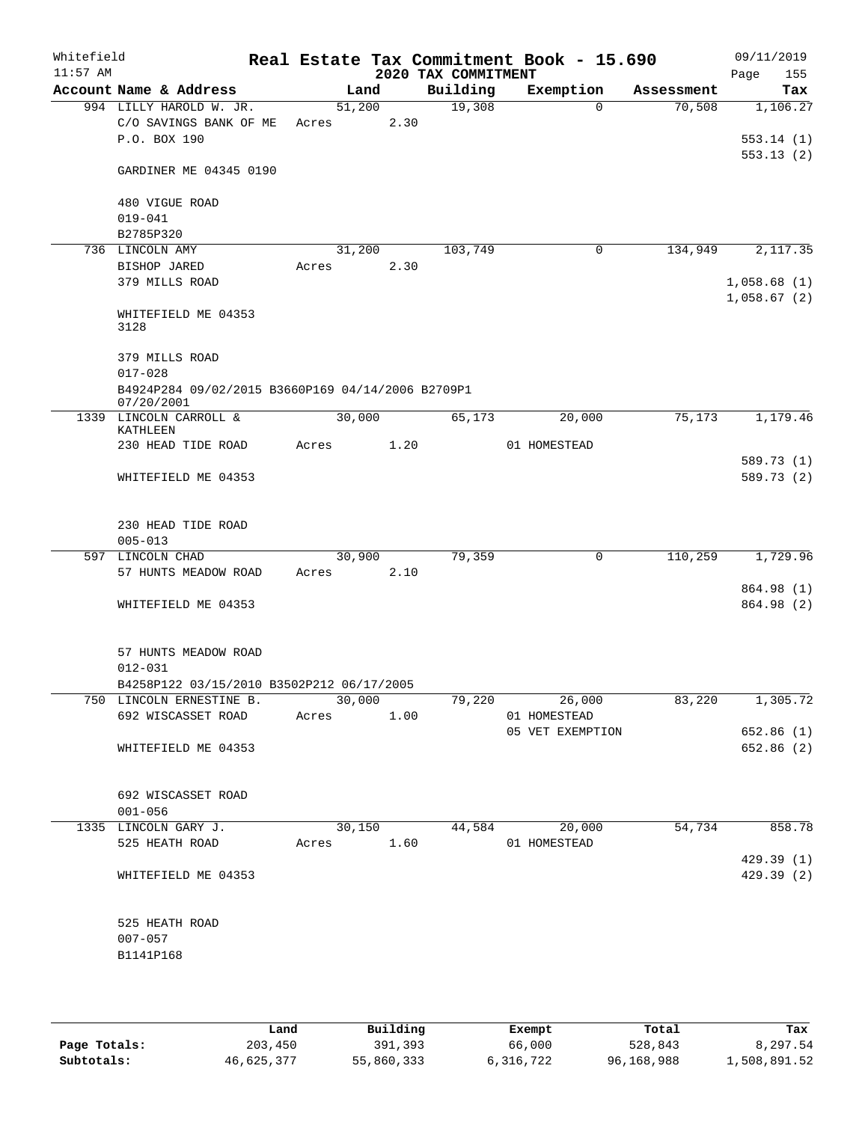| Whitefield<br>$11:57$ AM |                                                                   |                 |      | 2020 TAX COMMITMENT | Real Estate Tax Commitment Book - 15.690                                                        |            | 09/11/2019<br>Page<br>155  |
|--------------------------|-------------------------------------------------------------------|-----------------|------|---------------------|-------------------------------------------------------------------------------------------------|------------|----------------------------|
|                          | Account Name & Address                                            |                 | Land | Building            | Exemption                                                                                       | Assessment | Tax                        |
|                          | 994 LILLY HAROLD W. JR.<br>C/O SAVINGS BANK OF ME<br>P.O. BOX 190 | 51,200<br>Acres | 2.30 | 19,308              | $\Omega$                                                                                        | 70,508     | 1,106.27<br>553.14(1)      |
|                          | GARDINER ME 04345 0190                                            |                 |      |                     |                                                                                                 |            | 553.13(2)                  |
|                          | 480 VIGUE ROAD<br>$019 - 041$                                     |                 |      |                     |                                                                                                 |            |                            |
|                          | B2785P320                                                         |                 |      |                     |                                                                                                 |            |                            |
|                          | 736 LINCOLN AMY<br>BISHOP JARED                                   | 31,200<br>Acres | 2.30 | 103,749             | $\mathbf 0$                                                                                     | 134,949    | 2,117.35                   |
|                          | 379 MILLS ROAD                                                    |                 |      |                     |                                                                                                 |            | 1,058.68(1)<br>1,058.67(2) |
|                          | WHITEFIELD ME 04353<br>3128                                       |                 |      |                     |                                                                                                 |            |                            |
|                          | 379 MILLS ROAD<br>$017 - 028$                                     |                 |      |                     |                                                                                                 |            |                            |
|                          | B4924P284 09/02/2015 B3660P169 04/14/2006 B2709P1<br>07/20/2001   |                 |      |                     |                                                                                                 |            |                            |
|                          | 1339 LINCOLN CARROLL &<br>KATHLEEN                                | 30,000          |      | 65,173              | 20,000                                                                                          | 75, 173    | 1,179.46                   |
|                          | 230 HEAD TIDE ROAD                                                | Acres           | 1.20 |                     | 01 HOMESTEAD                                                                                    |            |                            |
|                          | WHITEFIELD ME 04353                                               |                 |      |                     |                                                                                                 |            | 589.73 (1)<br>589.73 (2)   |
|                          | 230 HEAD TIDE ROAD<br>$005 - 013$                                 |                 |      |                     |                                                                                                 |            |                            |
| 597                      | LINCOLN CHAD                                                      | 30,900          |      | 79,359              | $\mathbf 0$                                                                                     | 110,259    | 1,729.96                   |
|                          | 57 HUNTS MEADOW ROAD                                              | Acres           | 2.10 |                     |                                                                                                 |            |                            |
|                          | WHITEFIELD ME 04353                                               |                 |      |                     |                                                                                                 |            | 864.98 (1)<br>864.98 (2)   |
|                          | 57 HUNTS MEADOW ROAD<br>$012 - 031$                               |                 |      |                     |                                                                                                 |            |                            |
|                          | B4258P122 03/15/2010 B3502P212 06/17/2005                         |                 |      |                     |                                                                                                 |            |                            |
|                          | 750 LINCOLN ERNESTINE B.<br>692 WISCASSET ROAD Acres 1.00         |                 |      |                     | $\overline{30,000}$ $\overline{79,220}$ $\overline{26,000}$ $\overline{83,220}$<br>01 HOMESTEAD |            | 1,305.72                   |
|                          |                                                                   |                 |      |                     | 05 VET EXEMPTION                                                                                |            | 652.86(1)                  |
|                          | WHITEFIELD ME 04353                                               |                 |      |                     |                                                                                                 |            | 652.86 (2)                 |
|                          | 692 WISCASSET ROAD<br>$001 - 056$                                 |                 |      |                     |                                                                                                 |            |                            |
|                          | 1335 LINCOLN GARY J.                                              |                 |      |                     | 30,150 44,584 20,000                                                                            |            | 54,734 858.78              |
|                          | 525 HEATH ROAD                                                    |                 |      |                     | Acres 1.60 01 HOMESTEAD                                                                         |            |                            |
|                          | WHITEFIELD ME 04353                                               |                 |      |                     |                                                                                                 |            | 429.39(1)<br>429.39 (2)    |
|                          | 525 HEATH ROAD<br>$007 - 057$                                     |                 |      |                     |                                                                                                 |            |                            |
|                          | B1141P168                                                         |                 |      |                     |                                                                                                 |            |                            |

|              | Land       | Building   | Exempt    | Total      | Tax          |
|--------------|------------|------------|-----------|------------|--------------|
| Page Totals: | 203,450    | 391,393    | 66,000    | 528,843    | 8,297.54     |
| Subtotals:   | 46,625,377 | 55,860,333 | 6,316,722 | 96,168,988 | 1,508,891.52 |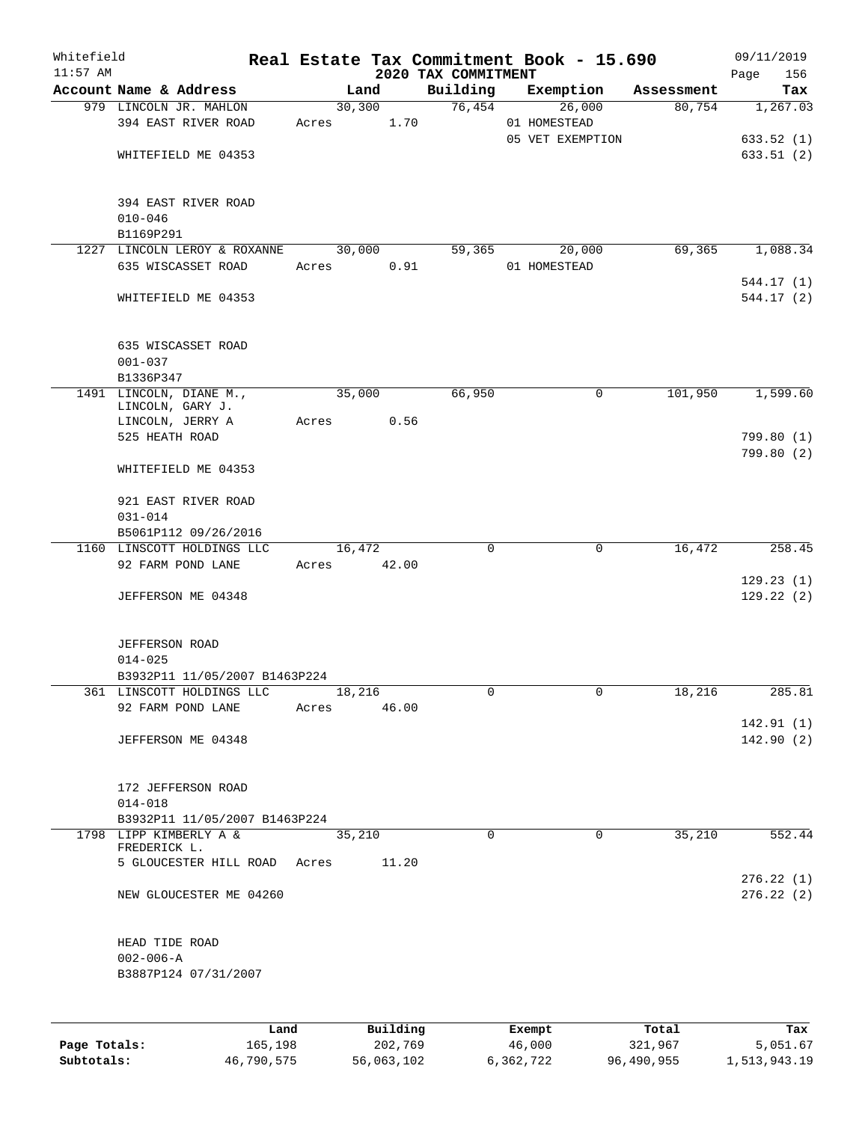| Whitefield |                                        |       |          |                                 | Real Estate Tax Commitment Book - 15.690 |            | 09/11/2019             |
|------------|----------------------------------------|-------|----------|---------------------------------|------------------------------------------|------------|------------------------|
| $11:57$ AM | Account Name & Address                 |       | Land     | 2020 TAX COMMITMENT<br>Building | Exemption                                | Assessment | 156<br>Page<br>Tax     |
|            | 979 LINCOLN JR. MAHLON                 |       | 30, 300  | 76,454                          | 26,000                                   | 80,754     | 1,267.03               |
|            | 394 EAST RIVER ROAD                    | Acres | 1.70     |                                 | 01 HOMESTEAD                             |            |                        |
|            |                                        |       |          |                                 | 05 VET EXEMPTION                         |            | 633.52(1)              |
|            | WHITEFIELD ME 04353                    |       |          |                                 |                                          |            | 633.51(2)              |
|            |                                        |       |          |                                 |                                          |            |                        |
|            | 394 EAST RIVER ROAD                    |       |          |                                 |                                          |            |                        |
|            | $010 - 046$                            |       |          |                                 |                                          |            |                        |
|            | B1169P291                              |       |          |                                 |                                          |            |                        |
|            | 1227 LINCOLN LEROY & ROXANNE           |       | 30,000   | 59,365                          | 20,000                                   | 69,365     | 1,088.34               |
|            | 635 WISCASSET ROAD                     | Acres | 0.91     |                                 | 01 HOMESTEAD                             |            |                        |
|            |                                        |       |          |                                 |                                          |            | 544.17(1)              |
|            | WHITEFIELD ME 04353                    |       |          |                                 |                                          |            | 544.17 (2)             |
|            | 635 WISCASSET ROAD                     |       |          |                                 |                                          |            |                        |
|            | $001 - 037$                            |       |          |                                 |                                          |            |                        |
|            | B1336P347                              |       |          |                                 |                                          |            |                        |
|            | 1491 LINCOLN, DIANE M.,                |       | 35,000   | 66,950                          | 0                                        | 101,950    | 1,599.60               |
|            | LINCOLN, GARY J.                       |       |          |                                 |                                          |            |                        |
|            | LINCOLN, JERRY A                       | Acres | 0.56     |                                 |                                          |            |                        |
|            | 525 HEATH ROAD                         |       |          |                                 |                                          |            | 799.80 (1)             |
|            |                                        |       |          |                                 |                                          |            | 799.80 (2)             |
|            | WHITEFIELD ME 04353                    |       |          |                                 |                                          |            |                        |
|            | 921 EAST RIVER ROAD                    |       |          |                                 |                                          |            |                        |
|            | $031 - 014$                            |       |          |                                 |                                          |            |                        |
|            | B5061P112 09/26/2016                   |       |          |                                 |                                          |            |                        |
|            | 1160 LINSCOTT HOLDINGS LLC             |       | 16,472   | 0                               | 0                                        | 16,472     | 258.45                 |
|            | 92 FARM POND LANE                      | Acres | 42.00    |                                 |                                          |            |                        |
|            | JEFFERSON ME 04348                     |       |          |                                 |                                          |            | 129.23(1)<br>129.22(2) |
|            |                                        |       |          |                                 |                                          |            |                        |
|            | JEFFERSON ROAD                         |       |          |                                 |                                          |            |                        |
|            | $014 - 025$                            |       |          |                                 |                                          |            |                        |
|            | B3932P11 11/05/2007 B1463P224          |       |          |                                 |                                          |            |                        |
|            | 361 LINSCOTT HOLDINGS LLC              |       | 18,216   | 0                               | 0                                        | 18,216     | 285.81                 |
|            | 92 FARM POND LANE                      | Acres | 46.00    |                                 |                                          |            |                        |
|            |                                        |       |          |                                 |                                          |            | 142.91(1)              |
|            | JEFFERSON ME 04348                     |       |          |                                 |                                          |            | 142.90(2)              |
|            |                                        |       |          |                                 |                                          |            |                        |
|            | 172 JEFFERSON ROAD<br>$014 - 018$      |       |          |                                 |                                          |            |                        |
|            | B3932P11 11/05/2007 B1463P224          |       |          |                                 |                                          |            |                        |
|            | 1798 LIPP KIMBERLY A &<br>FREDERICK L. |       | 35,210   | $\Omega$                        | $\Omega$                                 | 35,210     | 552.44                 |
|            | 5 GLOUCESTER HILL ROAD Acres           |       | 11.20    |                                 |                                          |            |                        |
|            |                                        |       |          |                                 |                                          |            | 276.22(1)              |
|            | NEW GLOUCESTER ME 04260                |       |          |                                 |                                          |            | 276.22(2)              |
|            | HEAD TIDE ROAD                         |       |          |                                 |                                          |            |                        |
|            | $002 - 006 - A$                        |       |          |                                 |                                          |            |                        |
|            | B3887P124 07/31/2007                   |       |          |                                 |                                          |            |                        |
|            |                                        |       |          |                                 |                                          |            |                        |
|            | Land                                   |       | Building |                                 | Exempt                                   | Total      | Tax                    |

**Page Totals:** 165,198 202,769 46,000 321,967 5,051.67 **Subtotals:** 46,790,575 56,063,102 6,362,722 96,490,955 1,513,943.19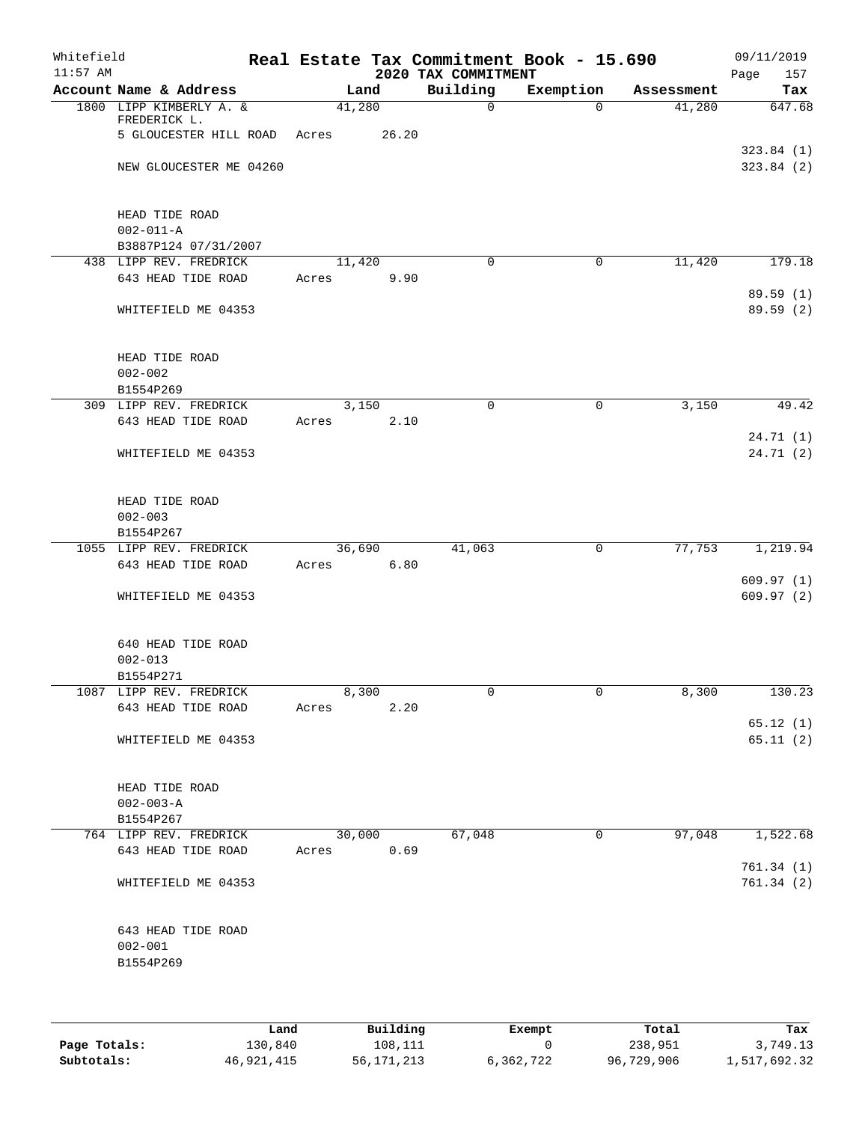| Whitefield<br>$11:57$ AM |                                                           |        |        | 2020 TAX COMMITMENT | Real Estate Tax Commitment Book - 15.690 |            | 09/11/2019<br>Page<br>157 |
|--------------------------|-----------------------------------------------------------|--------|--------|---------------------|------------------------------------------|------------|---------------------------|
|                          | Account Name & Address                                    |        | Land   | Building            | Exemption                                | Assessment | Tax                       |
|                          | 1800 LIPP KIMBERLY A. &<br>FREDERICK L.                   | 41,280 |        | $\mathbf 0$         | $\Omega$                                 | 41,280     | 647.68                    |
|                          | 5 GLOUCESTER HILL ROAD                                    | Acres  | 26.20  |                     |                                          |            |                           |
|                          | NEW GLOUCESTER ME 04260                                   |        |        |                     |                                          |            | 323.84(1)<br>323.84 (2)   |
|                          | HEAD TIDE ROAD<br>$002 - 011 - A$<br>B3887P124 07/31/2007 |        |        |                     |                                          |            |                           |
|                          | 438 LIPP REV. FREDRICK                                    |        | 11,420 | 0                   | $\mathbf 0$                              | 11,420     | 179.18                    |
|                          | 643 HEAD TIDE ROAD                                        | Acres  | 9.90   |                     |                                          |            | 89.59 (1)                 |
|                          | WHITEFIELD ME 04353                                       |        |        |                     |                                          |            | 89.59(2)                  |
|                          | HEAD TIDE ROAD<br>$002 - 002$                             |        |        |                     |                                          |            |                           |
|                          | B1554P269<br>309 LIPP REV. FREDRICK                       |        | 3,150  | $\mathbf 0$         | 0                                        | 3,150      | 49.42                     |
|                          | 643 HEAD TIDE ROAD                                        | Acres  | 2.10   |                     |                                          |            |                           |
|                          | WHITEFIELD ME 04353                                       |        |        |                     |                                          |            | 24.71(1)<br>24.71(2)      |
|                          | HEAD TIDE ROAD<br>$002 - 003$<br>B1554P267                |        |        |                     |                                          |            |                           |
|                          | 1055 LIPP REV. FREDRICK                                   |        | 36,690 | 41,063              | $\mathbf 0$                              | 77,753     | 1,219.94                  |
|                          | 643 HEAD TIDE ROAD                                        | Acres  | 6.80   |                     |                                          |            | 609.97(1)                 |
|                          | WHITEFIELD ME 04353                                       |        |        |                     |                                          |            | 609.97(2)                 |
|                          | 640 HEAD TIDE ROAD<br>$002 - 013$<br>B1554P271            |        |        |                     |                                          |            |                           |
|                          | 1087 LIPP REV. FREDRICK                                   |        | 8,300  | 0                   | 0                                        | 8,300      | 130.23                    |
|                          | 643 HEAD TIDE ROAD                                        | Acres  | 2.20   |                     |                                          |            |                           |
|                          | WHITEFIELD ME 04353                                       |        |        |                     |                                          |            | 65.12(1)<br>65.11(2)      |
|                          | HEAD TIDE ROAD<br>$002 - 003 - A$<br>B1554P267            |        |        |                     |                                          |            |                           |
|                          | 764 LIPP REV. FREDRICK                                    |        | 30,000 | 67,048              | 0                                        | 97,048     | 1,522.68                  |
|                          | 643 HEAD TIDE ROAD                                        | Acres  | 0.69   |                     |                                          |            |                           |
|                          | WHITEFIELD ME 04353                                       |        |        |                     |                                          |            | 761.34(1)<br>761.34(2)    |
|                          | 643 HEAD TIDE ROAD<br>$002 - 001$<br>B1554P269            |        |        |                     |                                          |            |                           |
|                          |                                                           |        |        |                     |                                          |            |                           |

|              | Land       | Building   | Exempt    | Total      | Tax          |
|--------------|------------|------------|-----------|------------|--------------|
| Page Totals: | 130,840    | 108,111    |           | 238,951    | 3,749.13     |
| Subtotals:   | 46,921,415 | 56,171,213 | 6,362,722 | 96,729,906 | 1,517,692.32 |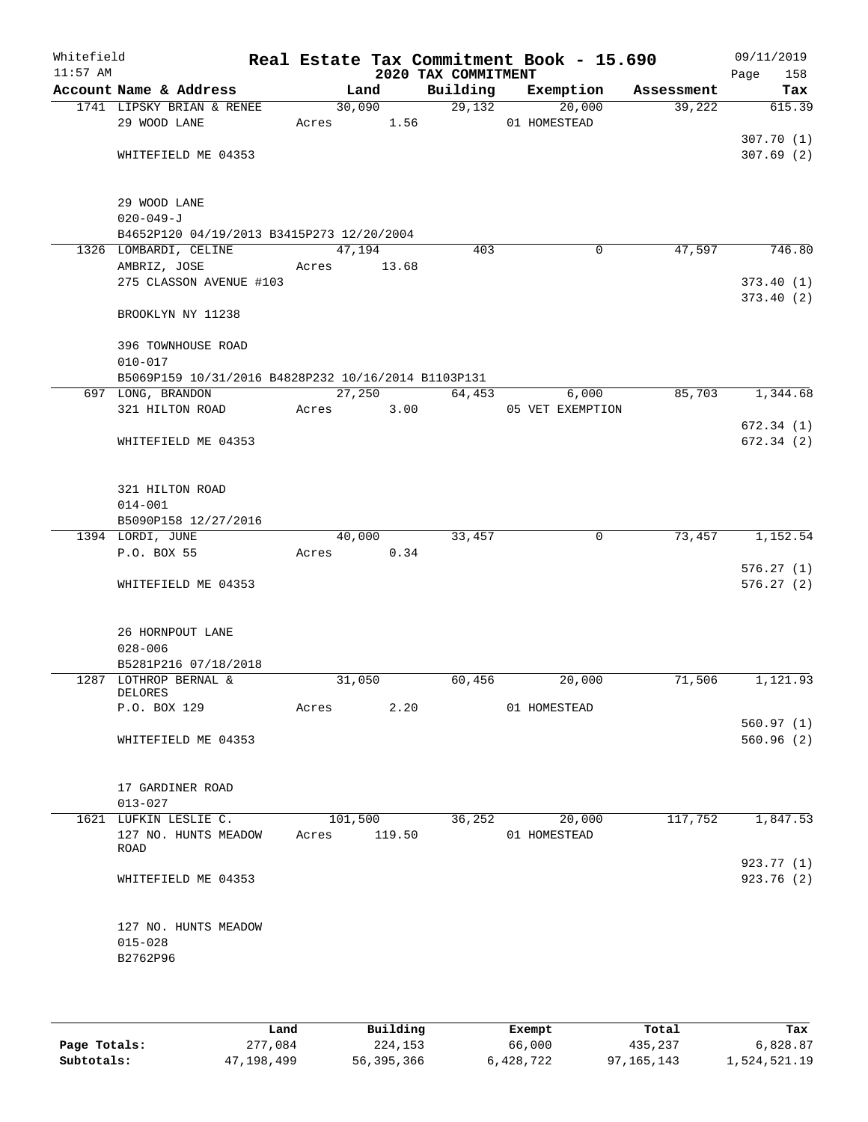| Whitefield<br>$11:57$ AM |                                                     |       |                | 2020 TAX COMMITMENT | Real Estate Tax Commitment Book - 15.690 |            | 09/11/2019<br>158<br>Page |
|--------------------------|-----------------------------------------------------|-------|----------------|---------------------|------------------------------------------|------------|---------------------------|
|                          | Account Name & Address                              |       | Land           | Building            | Exemption                                | Assessment | Tax                       |
|                          | 1741 LIPSKY BRIAN & RENEE                           |       | 30,090         | 29,132              | 20,000                                   | 39,222     | 615.39                    |
|                          | 29 WOOD LANE                                        | Acres | 1.56           |                     | 01 HOMESTEAD                             |            |                           |
|                          |                                                     |       |                |                     |                                          |            | 307.70(1)                 |
|                          | WHITEFIELD ME 04353                                 |       |                |                     |                                          |            | 307.69(2)                 |
|                          | 29 WOOD LANE                                        |       |                |                     |                                          |            |                           |
|                          | $020 - 049 - J$                                     |       |                |                     |                                          |            |                           |
|                          | B4652P120 04/19/2013 B3415P273 12/20/2004           |       |                |                     |                                          |            |                           |
|                          | 1326 LOMBARDI, CELINE                               |       | 47,194         | 403                 | 0                                        | 47,597     | 746.80                    |
|                          | AMBRIZ, JOSE                                        | Acres | 13.68          |                     |                                          |            |                           |
|                          | 275 CLASSON AVENUE #103                             |       |                |                     |                                          |            | 373.40(1)                 |
|                          |                                                     |       |                |                     |                                          |            | 373.40(2)                 |
|                          | BROOKLYN NY 11238                                   |       |                |                     |                                          |            |                           |
|                          | 396 TOWNHOUSE ROAD                                  |       |                |                     |                                          |            |                           |
|                          | $010 - 017$                                         |       |                |                     |                                          |            |                           |
|                          | B5069P159 10/31/2016 B4828P232 10/16/2014 B1103P131 |       |                |                     |                                          | 85,703     |                           |
|                          | 697 LONG, BRANDON<br>321 HILTON ROAD                | Acres | 27,250<br>3.00 | 64,453              | 6,000<br>05 VET EXEMPTION                |            | 1,344.68                  |
|                          |                                                     |       |                |                     |                                          |            | 672.34(1)                 |
|                          | WHITEFIELD ME 04353                                 |       |                |                     |                                          |            | 672.34(2)                 |
|                          |                                                     |       |                |                     |                                          |            |                           |
|                          | 321 HILTON ROAD                                     |       |                |                     |                                          |            |                           |
|                          | $014 - 001$                                         |       |                |                     |                                          |            |                           |
|                          | B5090P158 12/27/2016                                |       |                |                     |                                          |            |                           |
|                          | 1394 LORDI, JUNE                                    |       | 40,000         | 33,457              | $\mathbf 0$                              | 73,457     | 1,152.54                  |
|                          | P.O. BOX 55                                         | Acres | 0.34           |                     |                                          |            |                           |
|                          | WHITEFIELD ME 04353                                 |       |                |                     |                                          |            | 576.27(1)<br>576.27(2)    |
|                          |                                                     |       |                |                     |                                          |            |                           |
|                          | 26 HORNPOUT LANE                                    |       |                |                     |                                          |            |                           |
|                          | $028 - 006$                                         |       |                |                     |                                          |            |                           |
|                          | B5281P216 07/18/2018                                |       |                |                     |                                          |            |                           |
|                          | 1287 LOTHROP BERNAL &<br>DELORES                    |       | 31,050         | 60,456              | 20,000                                   | 71,506     | 1,121.93                  |
|                          | P.O. BOX 129                                        | Acres | 2.20           |                     | 01 HOMESTEAD                             |            |                           |
|                          |                                                     |       |                |                     |                                          |            | 560.97(1)                 |
|                          | WHITEFIELD ME 04353                                 |       |                |                     |                                          |            | 560.96(2)                 |
|                          |                                                     |       |                |                     |                                          |            |                           |
|                          | 17 GARDINER ROAD                                    |       |                |                     |                                          |            |                           |
|                          | $013 - 027$                                         |       |                |                     |                                          |            |                           |
|                          | 1621 LUFKIN LESLIE C.                               |       | 101,500        | 36,252              | 20,000                                   | 117,752    | 1,847.53                  |
|                          | 127 NO. HUNTS MEADOW<br>ROAD                        | Acres | 119.50         |                     | 01 HOMESTEAD                             |            |                           |
|                          |                                                     |       |                |                     |                                          |            | 923.77 (1)                |
|                          | WHITEFIELD ME 04353                                 |       |                |                     |                                          |            | 923.76(2)                 |
|                          | 127 NO. HUNTS MEADOW                                |       |                |                     |                                          |            |                           |
|                          | $015 - 028$                                         |       |                |                     |                                          |            |                           |
|                          | B2762P96                                            |       |                |                     |                                          |            |                           |
|                          |                                                     |       |                |                     |                                          |            |                           |
|                          |                                                     |       |                |                     |                                          |            |                           |

|              | Land       | Building   | Exempt    | Total      | Tax          |
|--------------|------------|------------|-----------|------------|--------------|
| Page Totals: | 277,084    | 224,153    | 66,000    | 435,237    | 6,828.87     |
| Subtotals:   | 47,198,499 | 56,395,366 | 6,428,722 | 97,165,143 | 1,524,521.19 |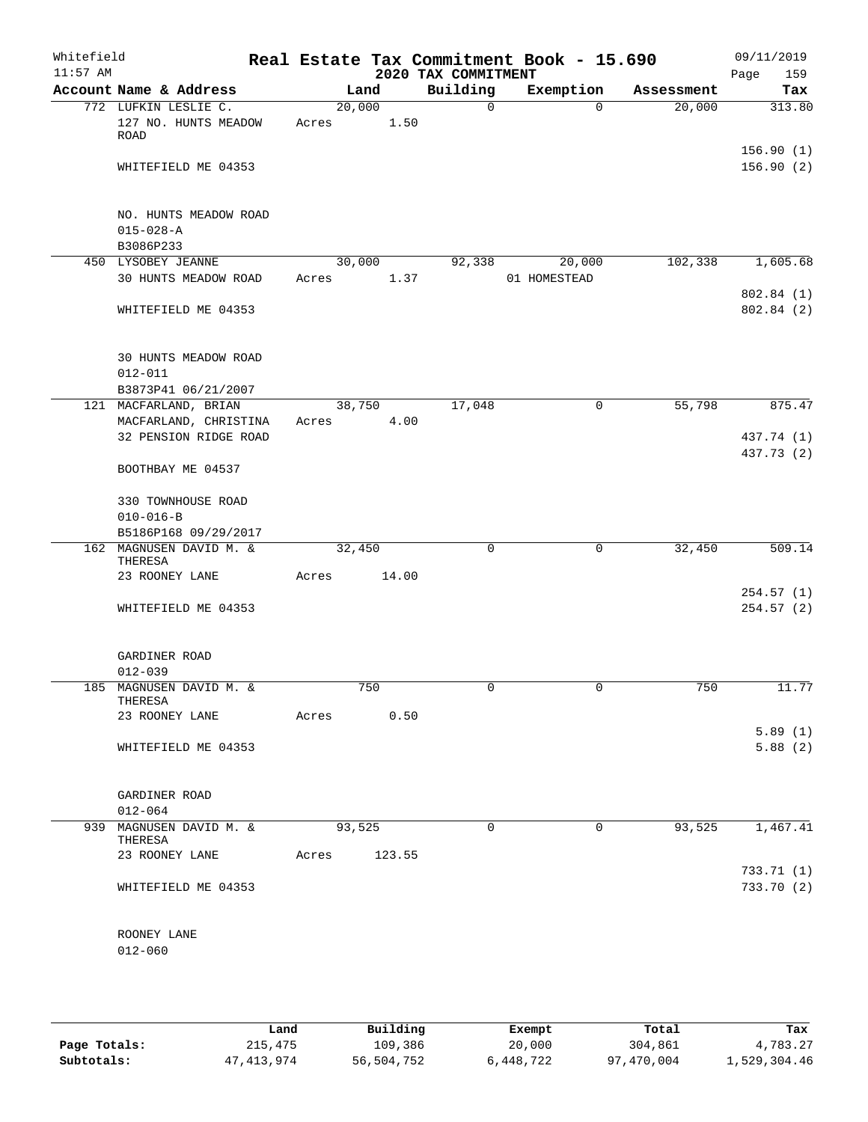| Whitefield<br>$11:57$ AM |                                                      |                 |        | 2020 TAX COMMITMENT | Real Estate Tax Commitment Book - 15.690 |            | 09/11/2019<br>Page<br>159 |
|--------------------------|------------------------------------------------------|-----------------|--------|---------------------|------------------------------------------|------------|---------------------------|
|                          | Account Name & Address                               | Land            |        | Building            | Exemption                                | Assessment | Tax                       |
|                          | 772 LUFKIN LESLIE C.<br>127 NO. HUNTS MEADOW<br>ROAD | 20,000<br>Acres | 1.50   | $\mathsf{O}$        | $\Omega$                                 | 20,000     | 313.80                    |
|                          | WHITEFIELD ME 04353                                  |                 |        |                     |                                          |            | 156.90(1)<br>156.90(2)    |
|                          | NO. HUNTS MEADOW ROAD<br>$015 - 028 - A$             |                 |        |                     |                                          |            |                           |
|                          | B3086P233<br>450 LYSOBEY JEANNE                      | 30,000          |        | 92,338              | 20,000                                   | 102,338    | 1,605.68                  |
|                          | 30 HUNTS MEADOW ROAD                                 | Acres           | 1.37   |                     | 01 HOMESTEAD                             |            | 802.84 (1)                |
|                          | WHITEFIELD ME 04353                                  |                 |        |                     |                                          |            | 802.84(2)                 |
|                          | <b>30 HUNTS MEADOW ROAD</b><br>$012 - 011$           |                 |        |                     |                                          |            |                           |
|                          | B3873P41 06/21/2007<br>121 MACFARLAND, BRIAN         | 38,750          |        | 17,048              | 0                                        | 55,798     | 875.47                    |
|                          | MACFARLAND, CHRISTINA                                | Acres           | 4.00   |                     |                                          |            |                           |
|                          | 32 PENSION RIDGE ROAD                                |                 |        |                     |                                          |            | 437.74 (1)<br>437.73 (2)  |
|                          | BOOTHBAY ME 04537                                    |                 |        |                     |                                          |            |                           |
|                          | 330 TOWNHOUSE ROAD                                   |                 |        |                     |                                          |            |                           |
|                          | $010 - 016 - B$                                      |                 |        |                     |                                          |            |                           |
|                          | B5186P168 09/29/2017                                 |                 |        |                     |                                          |            |                           |
| $162^{-}$                | MAGNUSEN DAVID M. &<br>THERESA                       | 32,450          |        | $\mathbf 0$         | 0                                        | 32,450     | 509.14                    |
|                          | 23 ROONEY LANE                                       | Acres           | 14.00  |                     |                                          |            |                           |
|                          | WHITEFIELD ME 04353                                  |                 |        |                     |                                          |            | 254.57(1)<br>254.57(2)    |
|                          |                                                      |                 |        |                     |                                          |            |                           |
|                          | GARDINER ROAD                                        |                 |        |                     |                                          |            |                           |
|                          | $012 - 039$                                          | 750             |        |                     |                                          | 750        |                           |
|                          | 185 MAGNUSEN DAVID M. &<br>THERESA                   |                 |        |                     |                                          |            | 11.77                     |
|                          | 23 ROONEY LANE Acres 0.50                            |                 |        |                     |                                          |            |                           |
|                          | WHITEFIELD ME 04353                                  |                 |        |                     |                                          |            | 5.89(1)<br>5.88(2)        |
|                          | GARDINER ROAD                                        |                 |        |                     |                                          |            |                           |
|                          | $012 - 064$                                          |                 |        |                     |                                          |            |                           |
|                          | 939 MAGNUSEN DAVID M. &<br>THERESA                   | 93,525          |        | 0                   | 0                                        | 93,525     | 1,467.41                  |
|                          | 23 ROONEY LANE                                       | Acres           | 123.55 |                     |                                          |            |                           |
|                          | WHITEFIELD ME 04353                                  |                 |        |                     |                                          |            | 733.71(1)<br>733.70 (2)   |
|                          | ROONEY LANE                                          |                 |        |                     |                                          |            |                           |
|                          | $012 - 060$                                          |                 |        |                     |                                          |            |                           |
|                          |                                                      |                 |        |                     |                                          |            |                           |

|              | Land       | Building   | Exempt    | Total      | Tax          |
|--------------|------------|------------|-----------|------------|--------------|
| Page Totals: | 215,475    | 109,386    | 20,000    | 304,861    | 4,783.27     |
| Subtotals:   | 47,413,974 | 56,504,752 | 6,448,722 | 97,470,004 | 1,529,304.46 |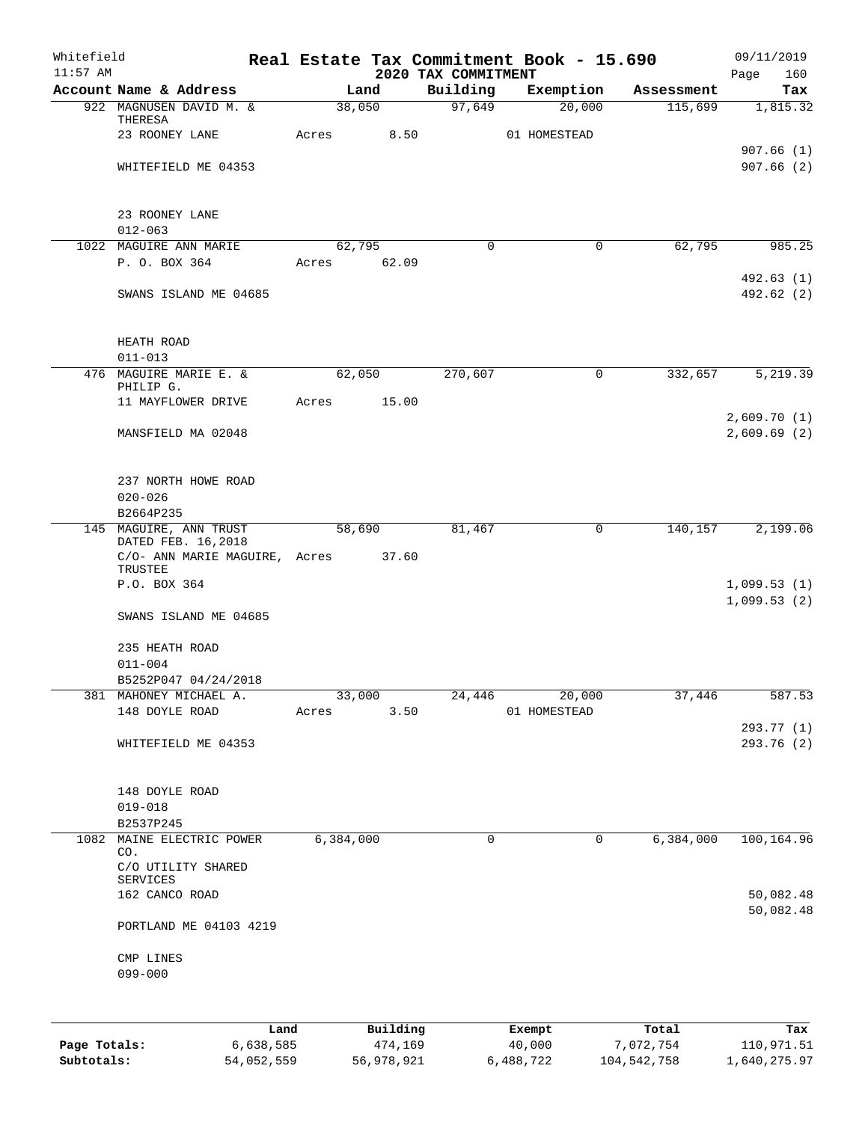| Whitefield<br>$11:57$ AM |                               |       |             | 2020 TAX COMMITMENT | Real Estate Tax Commitment Book - 15.690 |            | 09/11/2019<br>Page<br>160 |
|--------------------------|-------------------------------|-------|-------------|---------------------|------------------------------------------|------------|---------------------------|
|                          | Account Name & Address        |       | Land        | Building            | Exemption                                | Assessment | Tax                       |
|                          | 922 MAGNUSEN DAVID M. &       |       | 38,050      | 97,649              | 20,000                                   | 115,699    | 1,815.32                  |
|                          | THERESA                       |       |             |                     |                                          |            |                           |
|                          | 23 ROONEY LANE                | Acres | 8.50        |                     | 01 HOMESTEAD                             |            |                           |
|                          |                               |       |             |                     |                                          |            | 907.66(1)                 |
|                          | WHITEFIELD ME 04353           |       |             |                     |                                          |            | 907.66(2)                 |
|                          |                               |       |             |                     |                                          |            |                           |
|                          | 23 ROONEY LANE                |       |             |                     |                                          |            |                           |
|                          | $012 - 063$                   |       |             |                     |                                          |            |                           |
|                          | 1022 MAGUIRE ANN MARIE        |       | 62,795      | $\Omega$            | $\mathbf 0$                              | 62,795     | 985.25                    |
|                          | P. O. BOX 364                 |       | Acres 62.09 |                     |                                          |            |                           |
|                          |                               |       |             |                     |                                          |            | 492.63 (1)                |
|                          | SWANS ISLAND ME 04685         |       |             |                     |                                          |            | 492.62 (2)                |
|                          |                               |       |             |                     |                                          |            |                           |
|                          |                               |       |             |                     |                                          |            |                           |
|                          | HEATH ROAD                    |       |             |                     |                                          |            |                           |
|                          | $011 - 013$                   |       |             |                     |                                          |            |                           |
|                          | 476 MAGUIRE MARIE E. &        |       | 62,050      | 270,607             | 0                                        | 332,657    | 5,219.39                  |
|                          | PHILIP G.                     |       |             |                     |                                          |            |                           |
|                          | 11 MAYFLOWER DRIVE            | Acres | 15.00       |                     |                                          |            |                           |
|                          |                               |       |             |                     |                                          |            | 2,609.70(1)               |
|                          | MANSFIELD MA 02048            |       |             |                     |                                          |            | 2,609.69(2)               |
|                          |                               |       |             |                     |                                          |            |                           |
|                          | 237 NORTH HOWE ROAD           |       |             |                     |                                          |            |                           |
|                          | $020 - 026$                   |       |             |                     |                                          |            |                           |
|                          | B2664P235                     |       |             |                     |                                          |            |                           |
|                          | 145 MAGUIRE, ANN TRUST        |       | 58,690      | 81,467              | 0                                        | 140,157    | 2,199.06                  |
|                          | DATED FEB. 16,2018            |       |             |                     |                                          |            |                           |
|                          | C/O- ANN MARIE MAGUIRE, Acres |       | 37.60       |                     |                                          |            |                           |
|                          | TRUSTEE                       |       |             |                     |                                          |            |                           |
|                          | P.O. BOX 364                  |       |             |                     |                                          |            | 1,099.53(1)               |
|                          |                               |       |             |                     |                                          |            | 1,099.53(2)               |
|                          | SWANS ISLAND ME 04685         |       |             |                     |                                          |            |                           |
|                          | 235 HEATH ROAD                |       |             |                     |                                          |            |                           |
|                          | $011 - 004$                   |       |             |                     |                                          |            |                           |
|                          | B5252P047 04/24/2018          |       |             |                     |                                          |            |                           |
|                          | 381 MAHONEY MICHAEL A.        |       | 33,000      | 24,446              | 20,000                                   | 37,446     | 587.53                    |
|                          | 148 DOYLE ROAD                | Acres | 3.50        |                     | 01 HOMESTEAD                             |            |                           |
|                          |                               |       |             |                     |                                          |            | 293.77 (1)                |
|                          | WHITEFIELD ME 04353           |       |             |                     |                                          |            | 293.76 (2)                |
|                          |                               |       |             |                     |                                          |            |                           |
|                          |                               |       |             |                     |                                          |            |                           |
|                          | 148 DOYLE ROAD                |       |             |                     |                                          |            |                           |
|                          | $019 - 018$                   |       |             |                     |                                          |            |                           |
|                          | B2537P245                     |       |             |                     |                                          |            |                           |
|                          | 1082 MAINE ELECTRIC POWER     |       | 6,384,000   | 0                   | $\mathbf 0$                              | 6,384,000  | 100,164.96                |
|                          | CO.<br>C/O UTILITY SHARED     |       |             |                     |                                          |            |                           |
|                          | SERVICES                      |       |             |                     |                                          |            |                           |
|                          | 162 CANCO ROAD                |       |             |                     |                                          |            | 50,082.48                 |
|                          |                               |       |             |                     |                                          |            | 50,082.48                 |
|                          | PORTLAND ME 04103 4219        |       |             |                     |                                          |            |                           |
|                          |                               |       |             |                     |                                          |            |                           |
|                          | CMP LINES                     |       |             |                     |                                          |            |                           |
|                          | $099 - 000$                   |       |             |                     |                                          |            |                           |
|                          |                               |       |             |                     |                                          |            |                           |
|                          |                               |       |             |                     |                                          |            |                           |
|                          | Land                          |       | Building    |                     | Exempt                                   | Total      | Tax                       |

**Page Totals:** 6,638,585 474,169 40,000 7,072,754 110,971.51 **Subtotals:** 54,052,559 56,978,921 6,488,722 104,542,758 1,640,275.97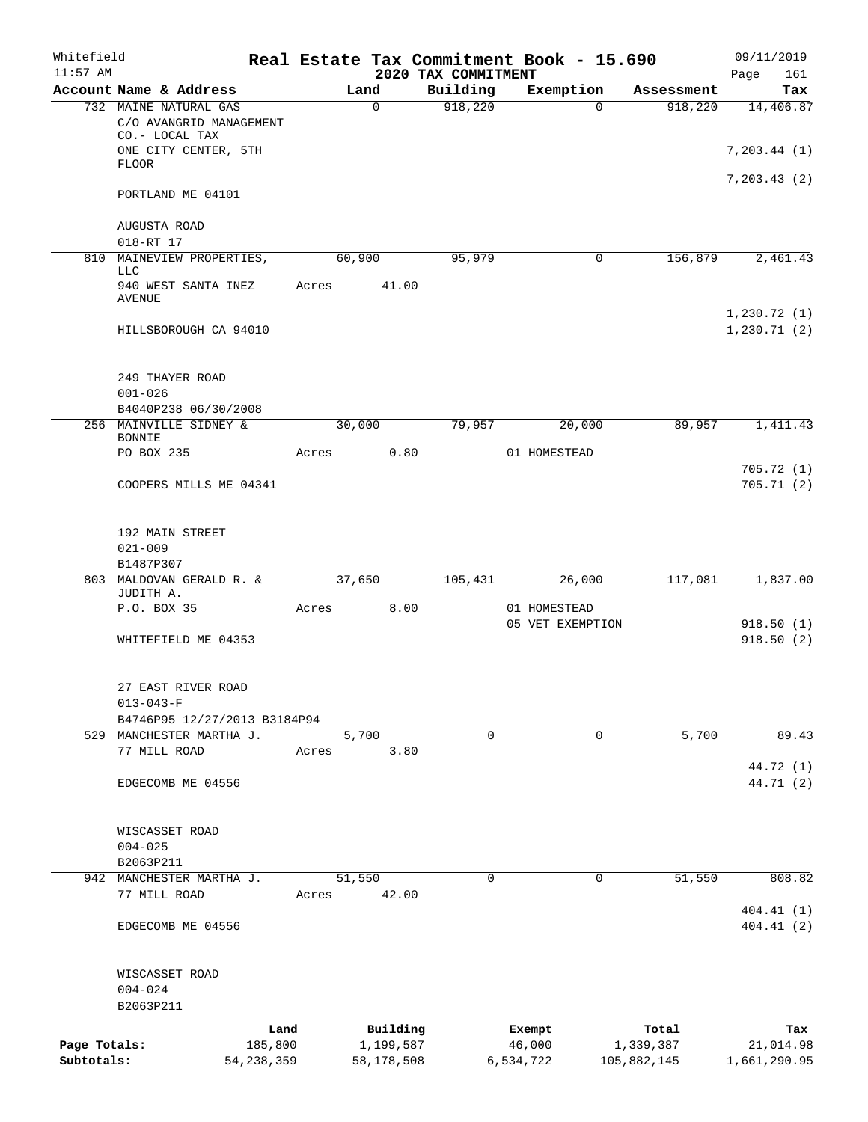| Whitefield<br>$11:57$ AM |                                                      |              |       |            | 2020 TAX COMMITMENT | Real Estate Tax Commitment Book - 15.690 |             | Page          | 09/11/2019<br>161      |
|--------------------------|------------------------------------------------------|--------------|-------|------------|---------------------|------------------------------------------|-------------|---------------|------------------------|
|                          | Account Name & Address                               |              |       | Land       | Building            | Exemption                                | Assessment  |               | Tax                    |
|                          | 732 MAINE NATURAL GAS<br>C/O AVANGRID MANAGEMENT     |              |       | $\Omega$   | 918,220             | $\Omega$                                 | 918,220     |               | 14,406.87              |
|                          | CO.- LOCAL TAX<br>ONE CITY CENTER, 5TH               |              |       |            |                     |                                          |             | 7, 203.44 (1) |                        |
|                          | FLOOR                                                |              |       |            |                     |                                          |             | 7, 203.43(2)  |                        |
|                          | PORTLAND ME 04101                                    |              |       |            |                     |                                          |             |               |                        |
|                          | AUGUSTA ROAD<br>018-RT 17                            |              |       |            |                     |                                          |             |               |                        |
| 810                      | MAINEVIEW PROPERTIES,                                |              |       | 60,900     | 95,979              | 0                                        | 156,879     |               | 2,461.43               |
|                          | LLC                                                  |              |       |            |                     |                                          |             |               |                        |
|                          | 940 WEST SANTA INEZ<br>AVENUE                        |              | Acres | 41.00      |                     |                                          |             | 1,230.72(1)   |                        |
|                          | HILLSBOROUGH CA 94010                                |              |       |            |                     |                                          |             | 1, 230.71(2)  |                        |
|                          | 249 THAYER ROAD                                      |              |       |            |                     |                                          |             |               |                        |
|                          | $001 - 026$<br>B4040P238 06/30/2008                  |              |       |            |                     |                                          |             |               |                        |
|                          | 256 MAINVILLE SIDNEY &                               |              |       | 30,000     | 79,957              | 20,000                                   | 89,957      |               | 1,411.43               |
|                          | <b>BONNIE</b>                                        |              |       |            |                     |                                          |             |               |                        |
|                          | PO BOX 235                                           |              | Acres | 0.80       |                     | 01 HOMESTEAD                             |             |               |                        |
|                          | COOPERS MILLS ME 04341                               |              |       |            |                     |                                          |             |               | 705.72(1)<br>705.71(2) |
|                          | 192 MAIN STREET                                      |              |       |            |                     |                                          |             |               |                        |
|                          | $021 - 009$                                          |              |       |            |                     |                                          |             |               |                        |
|                          | B1487P307                                            |              |       |            |                     |                                          |             |               |                        |
| 803                      | MALDOVAN GERALD R. &<br>JUDITH A.                    |              |       | 37,650     | 105,431             | 26,000                                   | 117,081     |               | 1,837.00               |
|                          | P.O. BOX 35                                          |              | Acres | 8.00       |                     | 01 HOMESTEAD                             |             |               |                        |
|                          | WHITEFIELD ME 04353                                  |              |       |            |                     | 05 VET EXEMPTION                         |             |               | 918.50(1)<br>918.50(2) |
|                          | 27 EAST RIVER ROAD                                   |              |       |            |                     |                                          |             |               |                        |
|                          | $013 - 043 - F$                                      |              |       |            |                     |                                          |             |               |                        |
|                          | B4746P95 12/27/2013 B3184P94<br>MANCHESTER MARTHA J. |              |       | 5,700      | $\mathbf 0$         | 0                                        | 5,700       |               | 89.43                  |
| 529                      | 77 MILL ROAD                                         |              | Acres | 3.80       |                     |                                          |             |               |                        |
|                          |                                                      |              |       |            |                     |                                          |             |               | 44.72 (1)              |
|                          | EDGECOMB ME 04556                                    |              |       |            |                     |                                          |             |               | 44.71 (2)              |
|                          | WISCASSET ROAD                                       |              |       |            |                     |                                          |             |               |                        |
|                          | $004 - 025$                                          |              |       |            |                     |                                          |             |               |                        |
|                          | B2063P211                                            |              |       |            |                     |                                          |             |               |                        |
| 942                      | MANCHESTER MARTHA J.                                 |              |       | 51,550     | $\mathbf 0$         | $\mathbf 0$                              | 51,550      |               | 808.82                 |
|                          | 77 MILL ROAD                                         |              | Acres | 42.00      |                     |                                          |             |               | 404.41 (1)             |
|                          | EDGECOMB ME 04556                                    |              |       |            |                     |                                          |             |               | 404.41(2)              |
|                          | WISCASSET ROAD                                       |              |       |            |                     |                                          |             |               |                        |
|                          | $004 - 024$<br>B2063P211                             |              |       |            |                     |                                          |             |               |                        |
|                          |                                                      | Land         |       | Building   |                     | Exempt                                   | Total       |               | Tax                    |
| Page Totals:             |                                                      | 185,800      |       | 1,199,587  |                     | 46,000                                   | 1,339,387   |               | 21,014.98              |
| Subtotals:               |                                                      | 54, 238, 359 |       | 58,178,508 |                     | 6,534,722                                | 105,882,145 | 1,661,290.95  |                        |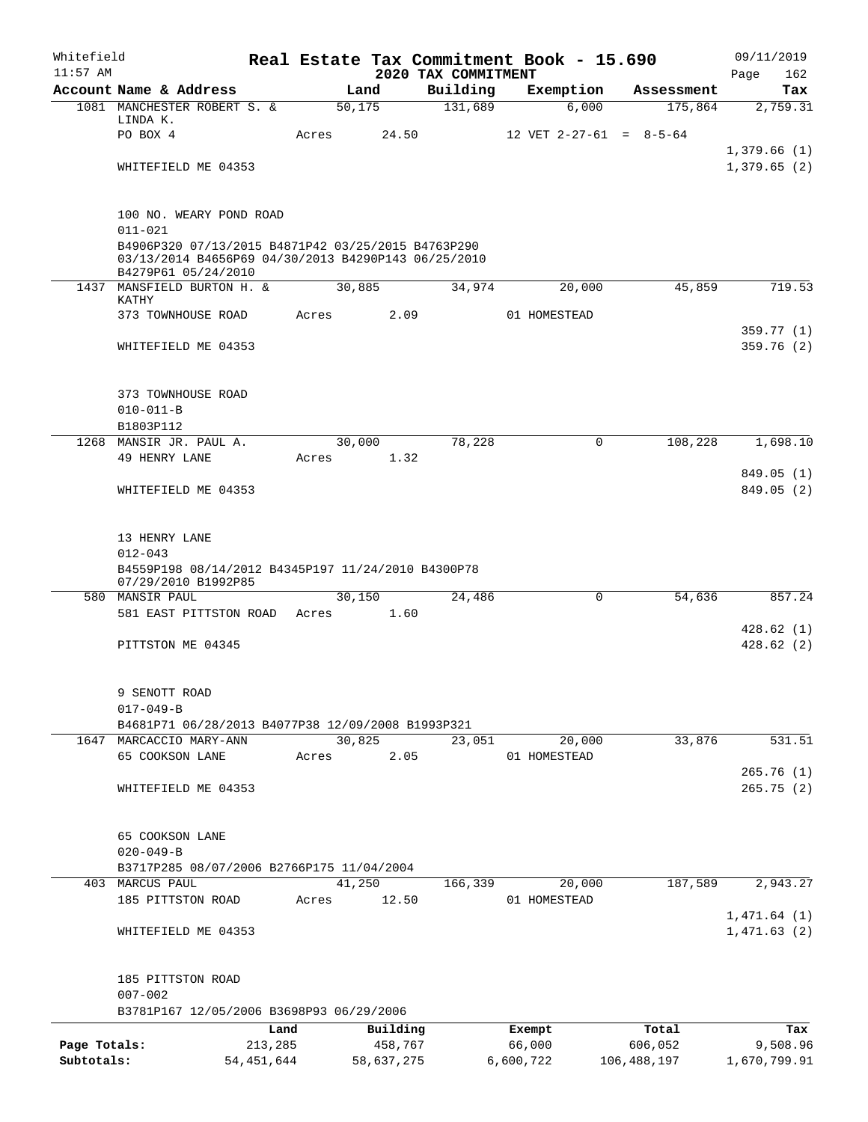| Whitefield<br>$11:57$ AM |                                                                                                                                  |              |         |            | 2020 TAX COMMITMENT | Real Estate Tax Commitment Book - 15.690 |                           | 09/11/2019<br>162<br>Page  |
|--------------------------|----------------------------------------------------------------------------------------------------------------------------------|--------------|---------|------------|---------------------|------------------------------------------|---------------------------|----------------------------|
|                          | Account Name & Address                                                                                                           |              |         | Land       | Building            | Exemption                                | Assessment                | Tax                        |
|                          | 1081 MANCHESTER ROBERT S. &                                                                                                      |              | 50, 175 |            | 131,689             | 6,000                                    | 175,864                   | 2,759.31                   |
|                          | LINDA K.                                                                                                                         |              |         |            |                     |                                          |                           |                            |
|                          | PO BOX 4                                                                                                                         | Acres        |         | 24.50      |                     |                                          | 12 VET $2-27-61 = 8-5-64$ |                            |
|                          |                                                                                                                                  |              |         |            |                     |                                          |                           | 1,379.66(1)                |
|                          | WHITEFIELD ME 04353                                                                                                              |              |         |            |                     |                                          |                           | 1,379.65(2)                |
|                          | 100 NO. WEARY POND ROAD                                                                                                          |              |         |            |                     |                                          |                           |                            |
|                          | $011 - 021$                                                                                                                      |              |         |            |                     |                                          |                           |                            |
|                          | B4906P320 07/13/2015 B4871P42 03/25/2015 B4763P290<br>03/13/2014 B4656P69 04/30/2013 B4290P143 06/25/2010<br>B4279P61 05/24/2010 |              |         |            |                     |                                          |                           |                            |
|                          | 1437 MANSFIELD BURTON H. &                                                                                                       |              | 30,885  |            | 34,974              | 20,000                                   | 45,859                    | 719.53                     |
|                          | KATHY<br>373 TOWNHOUSE ROAD                                                                                                      | Acres        |         | 2.09       |                     | 01 HOMESTEAD                             |                           |                            |
|                          |                                                                                                                                  |              |         |            |                     |                                          |                           | 359.77 (1)                 |
|                          | WHITEFIELD ME 04353                                                                                                              |              |         |            |                     |                                          |                           | 359.76(2)                  |
|                          | 373 TOWNHOUSE ROAD                                                                                                               |              |         |            |                     |                                          |                           |                            |
|                          | $010 - 011 - B$                                                                                                                  |              |         |            |                     |                                          |                           |                            |
|                          | B1803P112                                                                                                                        |              |         |            |                     |                                          |                           |                            |
|                          | 1268 MANSIR JR. PAUL A.                                                                                                          |              | 30,000  |            | 78,228              |                                          | 0<br>108,228              | 1,698.10                   |
|                          | 49 HENRY LANE                                                                                                                    | Acres        |         | 1.32       |                     |                                          |                           |                            |
|                          |                                                                                                                                  |              |         |            |                     |                                          |                           | 849.05(1)                  |
|                          | WHITEFIELD ME 04353                                                                                                              |              |         |            |                     |                                          |                           | 849.05 (2)                 |
|                          | 13 HENRY LANE                                                                                                                    |              |         |            |                     |                                          |                           |                            |
|                          | $012 - 043$                                                                                                                      |              |         |            |                     |                                          |                           |                            |
|                          | B4559P198 08/14/2012 B4345P197 11/24/2010 B4300P78                                                                               |              |         |            |                     |                                          |                           |                            |
|                          | 07/29/2010 B1992P85<br>580 MANSIR PAUL                                                                                           |              | 30,150  |            | 24,486              |                                          | 0<br>54,636               | 857.24                     |
|                          | 581 EAST PITTSTON ROAD                                                                                                           | Acres        |         | 1.60       |                     |                                          |                           |                            |
|                          |                                                                                                                                  |              |         |            |                     |                                          |                           | 428.62(1)                  |
|                          | PITTSTON ME 04345                                                                                                                |              |         |            |                     |                                          |                           | 428.62(2)                  |
|                          | 9 SENOTT ROAD                                                                                                                    |              |         |            |                     |                                          |                           |                            |
|                          | $017 - 049 - B$                                                                                                                  |              |         |            |                     |                                          |                           |                            |
|                          | B4681P71 06/28/2013 B4077P38 12/09/2008 B1993P321                                                                                |              |         |            |                     |                                          |                           |                            |
|                          | 1647 MARCACCIO MARY-ANN                                                                                                          |              | 30,825  |            | 23,051              | 20,000                                   | 33,876                    | 531.51                     |
|                          | 65 COOKSON LANE                                                                                                                  | Acres        |         | 2.05       |                     | 01 HOMESTEAD                             |                           |                            |
|                          |                                                                                                                                  |              |         |            |                     |                                          |                           | 265.76(1)                  |
|                          | WHITEFIELD ME 04353                                                                                                              |              |         |            |                     |                                          |                           | 265.75(2)                  |
|                          | 65 COOKSON LANE                                                                                                                  |              |         |            |                     |                                          |                           |                            |
|                          | $020 - 049 - B$                                                                                                                  |              |         |            |                     |                                          |                           |                            |
|                          | B3717P285 08/07/2006 B2766P175 11/04/2004                                                                                        |              |         |            |                     |                                          |                           |                            |
|                          | 403 MARCUS PAUL                                                                                                                  |              | 41,250  |            | 166,339             | 20,000                                   | 187,589                   | 2,943.27                   |
|                          | 185 PITTSTON ROAD                                                                                                                | Acres        |         | 12.50      |                     | 01 HOMESTEAD                             |                           |                            |
|                          | WHITEFIELD ME 04353                                                                                                              |              |         |            |                     |                                          |                           | 1,471.64(1)<br>1,471.63(2) |
|                          | 185 PITTSTON ROAD                                                                                                                |              |         |            |                     |                                          |                           |                            |
|                          | $007 - 002$                                                                                                                      |              |         |            |                     |                                          |                           |                            |
|                          | B3781P167 12/05/2006 B3698P93 06/29/2006                                                                                         |              |         |            |                     |                                          |                           |                            |
|                          |                                                                                                                                  | Land         |         | Building   |                     | Exempt                                   | Total                     | Tax                        |
| Page Totals:             |                                                                                                                                  | 213,285      |         | 458,767    |                     | 66,000                                   | 606,052                   | 9,508.96                   |
| Subtotals:               |                                                                                                                                  | 54, 451, 644 |         | 58,637,275 |                     | 6,600,722                                | 106,488,197               | 1,670,799.91               |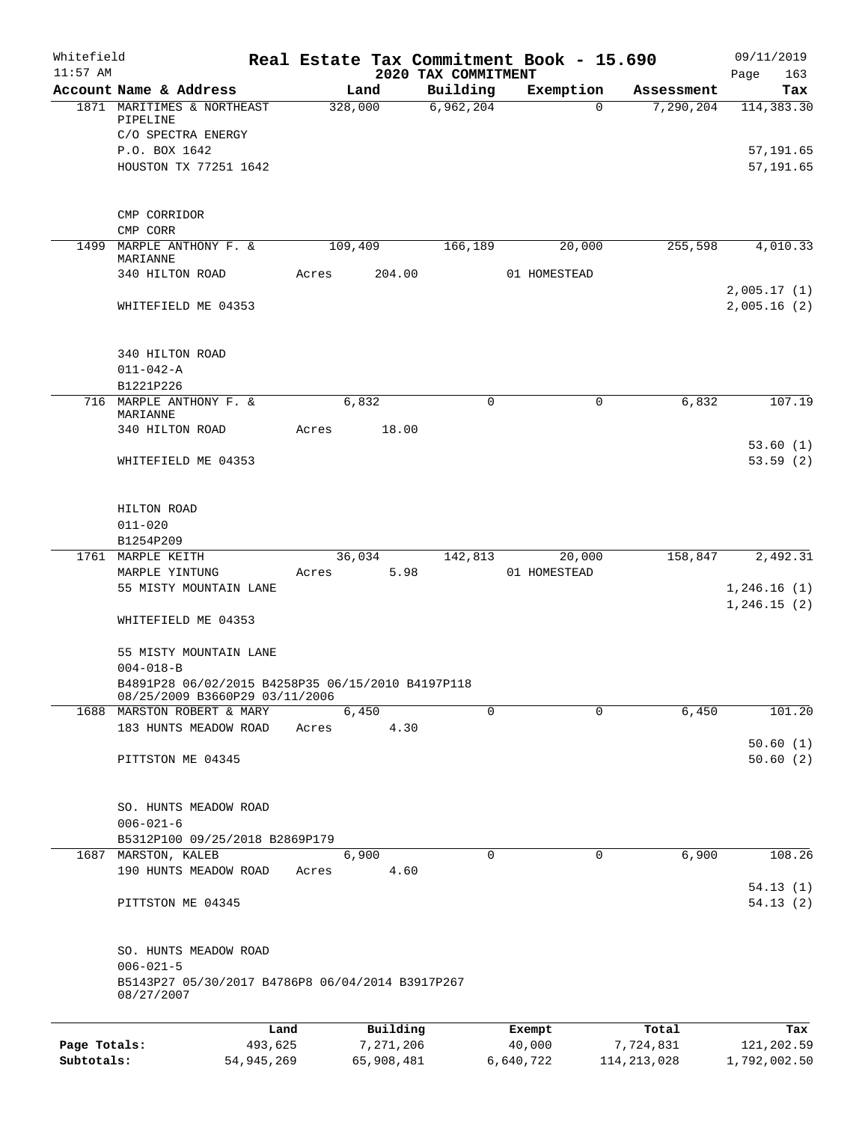| Whitefield<br>$11:57$ AM |                                                                                                                                  |         |           | 2020 TAX COMMITMENT | Real Estate Tax Commitment Book - 15.690 |            | 09/11/2019<br>163<br>Page             |
|--------------------------|----------------------------------------------------------------------------------------------------------------------------------|---------|-----------|---------------------|------------------------------------------|------------|---------------------------------------|
|                          | Account Name & Address                                                                                                           |         | Land      | Building            | Exemption                                | Assessment | Tax                                   |
|                          | 1871 MARITIMES & NORTHEAST<br>PIPELINE<br>C/O SPECTRA ENERGY<br>P.O. BOX 1642<br>HOUSTON TX 77251 1642                           | 328,000 |           | 6,962,204           | $\Omega$                                 | 7,290,204  | 114, 383.30<br>57,191.65<br>57,191.65 |
|                          | CMP CORRIDOR                                                                                                                     |         |           |                     |                                          |            |                                       |
| 1499                     | CMP CORR<br>MARPLE ANTHONY F. &<br>MARIANNE                                                                                      | 109,409 |           | 166,189             | 20,000                                   | 255,598    | 4,010.33                              |
|                          | 340 HILTON ROAD                                                                                                                  | Acres   | 204.00    |                     | 01 HOMESTEAD                             |            |                                       |
|                          | WHITEFIELD ME 04353                                                                                                              |         |           |                     |                                          |            | 2,005.17(1)<br>2,005.16(2)            |
|                          | 340 HILTON ROAD<br>$011 - 042 - A$<br>B1221P226                                                                                  |         |           |                     |                                          |            |                                       |
|                          | 716 MARPLE ANTHONY F. &<br>MARIANNE                                                                                              |         | 6,832     | 0                   | 0                                        | 6,832      | 107.19                                |
|                          | 340 HILTON ROAD                                                                                                                  | Acres   | 18.00     |                     |                                          |            | 53.60(1)                              |
|                          | WHITEFIELD ME 04353                                                                                                              |         |           |                     |                                          |            | 53.59(2)                              |
|                          | HILTON ROAD<br>$011 - 020$                                                                                                       |         |           |                     |                                          |            |                                       |
|                          | B1254P209<br>1761 MARPLE KEITH                                                                                                   |         | 36,034    | 142,813             | 20,000                                   | 158,847    | 2,492.31                              |
|                          | MARPLE YINTUNG                                                                                                                   | Acres   | 5.98      |                     | 01 HOMESTEAD                             |            |                                       |
|                          | 55 MISTY MOUNTAIN LANE<br>WHITEFIELD ME 04353                                                                                    |         |           |                     |                                          |            | 1,246.16(1)<br>1, 246.15(2)           |
|                          | 55 MISTY MOUNTAIN LANE<br>$004 - 018 - B$<br>B4891P28 06/02/2015 B4258P35 06/15/2010 B4197P118<br>08/25/2009 B3660P29 03/11/2006 |         |           |                     |                                          |            |                                       |
|                          | 1688 MARSTON ROBERT & MARY                                                                                                       |         | 6,450     | $\Omega$            | $\Omega$                                 | 6,450      | 101.20                                |
|                          | 183 HUNTS MEADOW ROAD                                                                                                            | Acres   | 4.30      |                     |                                          |            | 50.60(1)                              |
|                          | PITTSTON ME 04345                                                                                                                |         |           |                     |                                          |            | 50.60(2)                              |
|                          | SO. HUNTS MEADOW ROAD<br>$006 - 021 - 6$<br>B5312P100 09/25/2018 B2869P179                                                       |         |           |                     |                                          |            |                                       |
|                          | 1687 MARSTON, KALEB                                                                                                              |         | 6,900     | $\Omega$            | 0                                        | 6,900      | 108.26                                |
|                          | 190 HUNTS MEADOW ROAD                                                                                                            | Acres   | 4.60      |                     |                                          |            | 54.13(1)                              |
|                          | PITTSTON ME 04345                                                                                                                |         |           |                     |                                          |            | 54.13(2)                              |
|                          | SO. HUNTS MEADOW ROAD<br>$006 - 021 - 5$                                                                                         |         |           |                     |                                          |            |                                       |
|                          | B5143P27 05/30/2017 B4786P8 06/04/2014 B3917P267<br>08/27/2007                                                                   |         |           |                     |                                          |            |                                       |
|                          |                                                                                                                                  | Land    | Building  |                     | Exempt                                   | Total      | Tax                                   |
| Page Totals:             | 493,625                                                                                                                          |         | 7,271,206 |                     | 40,000                                   | 7,724,831  | 121,202.59                            |

**Subtotals:** 54,945,269 65,908,481 6,640,722 114,213,028 1,792,002.50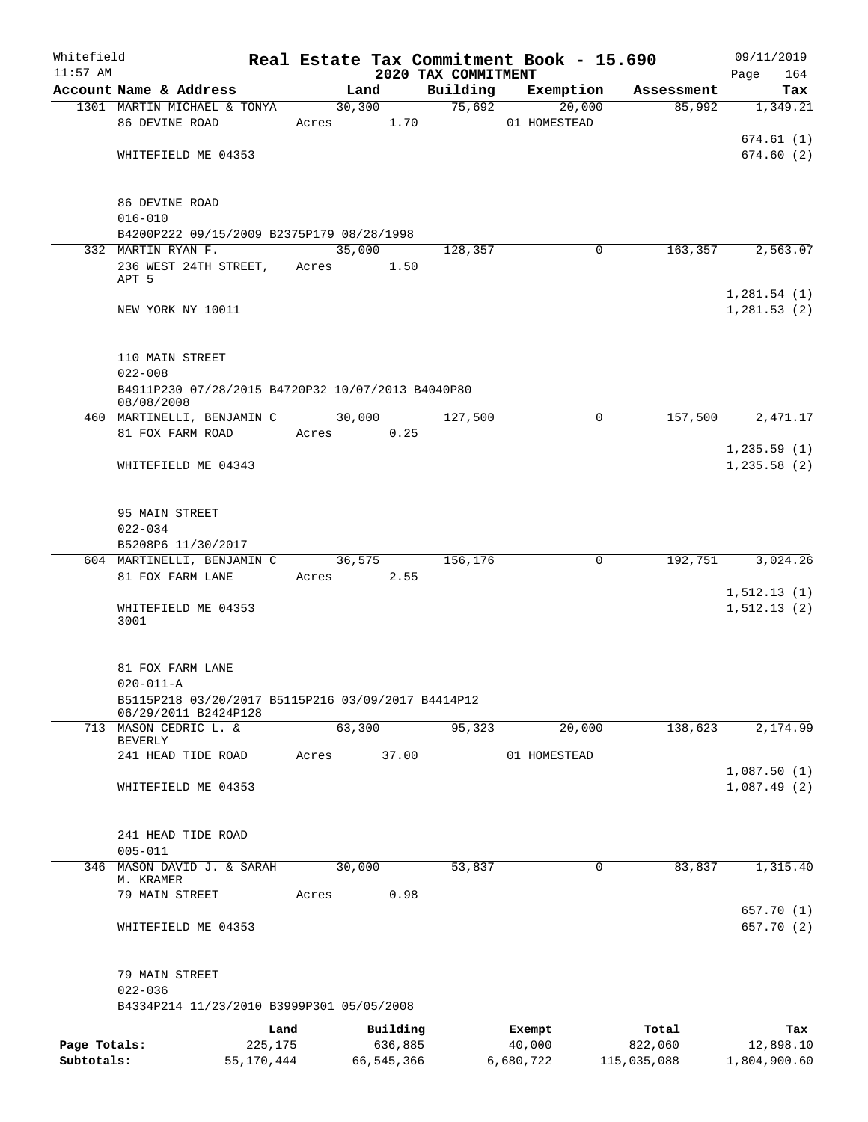| Whitefield<br>$11:57$ AM |                                                                 |            |                         | 2020 TAX COMMITMENT | Real Estate Tax Commitment Book - 15.690 |             | 09/11/2019                   |
|--------------------------|-----------------------------------------------------------------|------------|-------------------------|---------------------|------------------------------------------|-------------|------------------------------|
|                          | Account Name & Address                                          |            | Land                    | Building            | Exemption                                | Assessment  | 164<br>Page<br>Tax           |
|                          | 1301 MARTIN MICHAEL & TONYA                                     |            | 30,300                  | 75,692              | 20,000                                   | 85,992      | 1,349.21                     |
|                          | 86 DEVINE ROAD                                                  |            | Acres 1.70              |                     | 01 HOMESTEAD                             |             |                              |
|                          |                                                                 |            |                         |                     |                                          |             | 674.61(1)                    |
|                          | WHITEFIELD ME 04353                                             |            |                         |                     |                                          |             | 674.60(2)                    |
|                          | 86 DEVINE ROAD<br>$016 - 010$                                   |            |                         |                     |                                          |             |                              |
|                          | B4200P222 09/15/2009 B2375P179 08/28/1998                       |            |                         |                     |                                          |             |                              |
|                          | 332 MARTIN RYAN F.                                              |            | 35,000                  | 128,357             | 0                                        | 163, 357    | 2,563.07                     |
|                          | 236 WEST 24TH STREET,<br>APT 5                                  | Acres      | 1.50                    |                     |                                          |             |                              |
|                          | NEW YORK NY 10011                                               |            |                         |                     |                                          |             | 1,281.54(1)<br>1,281.53(2)   |
|                          |                                                                 |            |                         |                     |                                          |             |                              |
|                          | 110 MAIN STREET<br>$022 - 008$                                  |            |                         |                     |                                          |             |                              |
|                          | B4911P230 07/28/2015 B4720P32 10/07/2013 B4040P80<br>08/08/2008 |            |                         |                     |                                          |             |                              |
|                          | 460 MARTINELLI, BENJAMIN C<br>81 FOX FARM ROAD                  |            | 30,000<br>0.25<br>Acres | 127,500             | $\Omega$                                 | 157,500     | 2,471.17                     |
|                          |                                                                 |            |                         |                     |                                          |             | 1,235.59(1)                  |
|                          | WHITEFIELD ME 04343                                             |            |                         |                     |                                          |             | 1, 235.58(2)                 |
|                          | 95 MAIN STREET                                                  |            |                         |                     |                                          |             |                              |
|                          | $022 - 034$                                                     |            |                         |                     |                                          |             |                              |
|                          | B5208P6 11/30/2017                                              |            |                         |                     |                                          |             |                              |
|                          | 604 MARTINELLI, BENJAMIN C<br>81 FOX FARM LANE                  |            | 36,575<br>Acres 2.55    | 156,176             | $\mathbf 0$                              | 192,751     | 3,024.26                     |
|                          | WHITEFIELD ME 04353<br>3001                                     |            |                         |                     |                                          |             | 1, 512.13(1)<br>1, 512.13(2) |
|                          |                                                                 |            |                         |                     |                                          |             |                              |
|                          | 81 FOX FARM LANE<br>$020 - 011 - A$                             |            |                         |                     |                                          |             |                              |
|                          | B5115P218 03/20/2017 B5115P216 03/09/2017 B4414P12              |            |                         |                     |                                          |             |                              |
|                          | 06/29/2011 B2424P128                                            |            |                         |                     |                                          |             |                              |
|                          | 713 MASON CEDRIC L. &<br>BEVERLY                                |            | 63,300                  | 95,323              | 20,000                                   | 138,623     | 2,174.99                     |
|                          | 241 HEAD TIDE ROAD                                              | Acres      | 37.00                   |                     | 01 HOMESTEAD                             |             |                              |
|                          | WHITEFIELD ME 04353                                             |            |                         |                     |                                          |             | 1,087.50(1)<br>1,087.49(2)   |
|                          |                                                                 |            |                         |                     |                                          |             |                              |
|                          | 241 HEAD TIDE ROAD<br>$005 - 011$                               |            |                         |                     |                                          |             |                              |
|                          | 346 MASON DAVID J. & SARAH                                      |            | 30,000                  | 53,837              | $\mathbf 0$                              | 83,837      | 1,315.40                     |
|                          | M. KRAMER<br>79 MAIN STREET                                     | Acres      | 0.98                    |                     |                                          |             |                              |
|                          |                                                                 |            |                         |                     |                                          |             | 657.70 (1)                   |
|                          | WHITEFIELD ME 04353                                             |            |                         |                     |                                          |             | 657.70 (2)                   |
|                          | 79 MAIN STREET                                                  |            |                         |                     |                                          |             |                              |
|                          | $022 - 036$<br>B4334P214 11/23/2010 B3999P301 05/05/2008        |            |                         |                     |                                          |             |                              |
|                          |                                                                 | Land       | Building                |                     | Exempt                                   | Total       | Tax                          |
| Page Totals:             |                                                                 | 225,175    | 636,885                 |                     | 40,000                                   | 822,060     | 12,898.10                    |
| Subtotals:               |                                                                 | 55,170,444 | 66,545,366              |                     | 6,680,722                                | 115,035,088 | 1,804,900.60                 |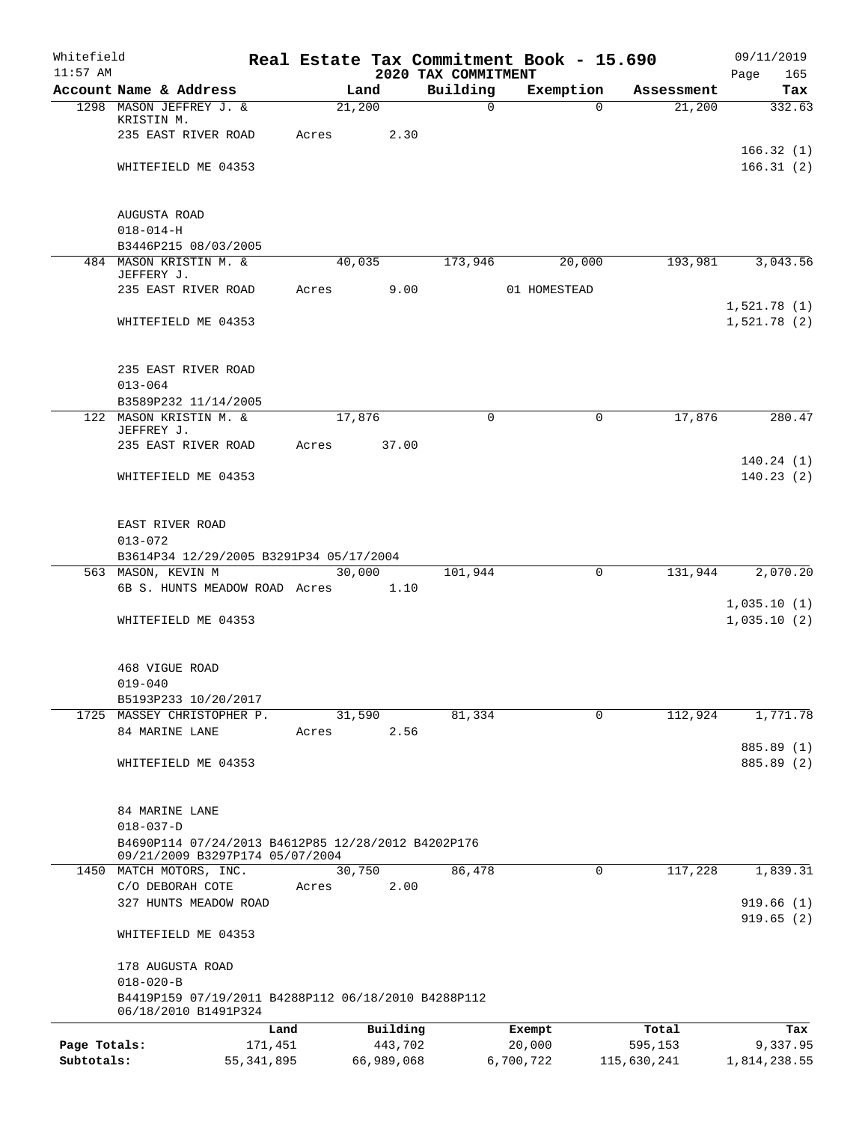| Whitefield<br>$11:57$ AM |                                                                                                          |              |       |                     |            | 2020 TAX COMMITMENT | Real Estate Tax Commitment Book - 15.690 |                        | 09/11/2019<br>Page<br>165 |
|--------------------------|----------------------------------------------------------------------------------------------------------|--------------|-------|---------------------|------------|---------------------|------------------------------------------|------------------------|---------------------------|
|                          | Account Name & Address                                                                                   |              |       | Land                |            | Building            | Exemption                                | Assessment             | Tax                       |
|                          | 1298 MASON JEFFREY J. &                                                                                  |              |       | $\overline{21,200}$ |            | $\mathbf 0$         |                                          | 21,200<br>$\Omega$     | 332.63                    |
|                          | KRISTIN M.                                                                                               |              |       |                     |            |                     |                                          |                        |                           |
|                          | 235 EAST RIVER ROAD                                                                                      |              | Acres |                     | 2.30       |                     |                                          |                        |                           |
|                          | WHITEFIELD ME 04353                                                                                      |              |       |                     |            |                     |                                          |                        | 166.32(1)<br>166.31(2)    |
|                          |                                                                                                          |              |       |                     |            |                     |                                          |                        |                           |
|                          | AUGUSTA ROAD                                                                                             |              |       |                     |            |                     |                                          |                        |                           |
|                          | $018 - 014 - H$                                                                                          |              |       |                     |            |                     |                                          |                        |                           |
|                          | B3446P215 08/03/2005                                                                                     |              |       |                     |            |                     |                                          |                        |                           |
|                          | 484 MASON KRISTIN M. &<br>JEFFERY J.                                                                     |              |       | 40,035              |            | 173,946             | 20,000                                   | 193,981                | 3,043.56                  |
|                          | 235 EAST RIVER ROAD                                                                                      |              | Acres |                     | 9.00       |                     | 01 HOMESTEAD                             |                        |                           |
|                          |                                                                                                          |              |       |                     |            |                     |                                          |                        | 1,521.78(1)               |
|                          | WHITEFIELD ME 04353                                                                                      |              |       |                     |            |                     |                                          |                        | 1,521.78(2)               |
|                          | 235 EAST RIVER ROAD                                                                                      |              |       |                     |            |                     |                                          |                        |                           |
|                          | $013 - 064$                                                                                              |              |       |                     |            |                     |                                          |                        |                           |
|                          | B3589P232 11/14/2005                                                                                     |              |       |                     |            |                     |                                          |                        |                           |
|                          | 122 MASON KRISTIN M. &<br>JEFFREY J.                                                                     |              |       | 17,876              |            | $\Omega$            |                                          | $\Omega$<br>17,876     | 280.47                    |
|                          | 235 EAST RIVER ROAD                                                                                      |              | Acres |                     | 37.00      |                     |                                          |                        |                           |
|                          | WHITEFIELD ME 04353                                                                                      |              |       |                     |            |                     |                                          |                        | 140.24(1)<br>140.23(2)    |
|                          |                                                                                                          |              |       |                     |            |                     |                                          |                        |                           |
|                          | EAST RIVER ROAD                                                                                          |              |       |                     |            |                     |                                          |                        |                           |
|                          | $013 - 072$<br>B3614P34 12/29/2005 B3291P34 05/17/2004                                                   |              |       |                     |            |                     |                                          |                        |                           |
|                          | 563 MASON, KEVIN M                                                                                       |              |       | 30,000              |            | 101,944             |                                          | $\mathbf 0$<br>131,944 | 2,070.20                  |
|                          | 6B S. HUNTS MEADOW ROAD Acres                                                                            |              |       |                     | 1.10       |                     |                                          |                        |                           |
|                          |                                                                                                          |              |       |                     |            |                     |                                          |                        | 1,035.10(1)               |
|                          | WHITEFIELD ME 04353                                                                                      |              |       |                     |            |                     |                                          |                        | 1,035.10(2)               |
|                          | 468 VIGUE ROAD                                                                                           |              |       |                     |            |                     |                                          |                        |                           |
|                          | $019 - 040$                                                                                              |              |       |                     |            |                     |                                          |                        |                           |
|                          | B5193P233 10/20/2017                                                                                     |              |       |                     |            |                     |                                          |                        |                           |
|                          | 1725 MASSEY CHRISTOPHER P.                                                                               |              |       | 31,590              |            | 81,334              |                                          | 0<br>112,924           | 1,771.78                  |
|                          | 84 MARINE LANE                                                                                           |              | Acres |                     | 2.56       |                     |                                          |                        |                           |
|                          | WHITEFIELD ME 04353                                                                                      |              |       |                     |            |                     |                                          |                        | 885.89 (1)<br>885.89 (2)  |
|                          |                                                                                                          |              |       |                     |            |                     |                                          |                        |                           |
|                          | 84 MARINE LANE                                                                                           |              |       |                     |            |                     |                                          |                        |                           |
|                          | $018 - 037 - D$<br>B4690P114 07/24/2013 B4612P85 12/28/2012 B4202P176<br>09/21/2009 B3297P174 05/07/2004 |              |       |                     |            |                     |                                          |                        |                           |
|                          | 1450 MATCH MOTORS, INC.                                                                                  |              |       | 30,750              |            | 86,478              |                                          | 117,228<br>0           | 1,839.31                  |
|                          | C/O DEBORAH COTE                                                                                         |              | Acres |                     | 2.00       |                     |                                          |                        |                           |
|                          | 327 HUNTS MEADOW ROAD                                                                                    |              |       |                     |            |                     |                                          |                        | 919.66(1)                 |
|                          | WHITEFIELD ME 04353                                                                                      |              |       |                     |            |                     |                                          |                        | 919.65(2)                 |
|                          | 178 AUGUSTA ROAD                                                                                         |              |       |                     |            |                     |                                          |                        |                           |
|                          | $018 - 020 - B$                                                                                          |              |       |                     |            |                     |                                          |                        |                           |
|                          | B4419P159 07/19/2011 B4288P112 06/18/2010 B4288P112<br>06/18/2010 B1491P324                              |              |       |                     |            |                     |                                          |                        |                           |
|                          |                                                                                                          | Land         |       |                     | Building   |                     | Exempt                                   | Total                  | Tax                       |
| Page Totals:             |                                                                                                          | 171,451      |       |                     | 443,702    |                     | 20,000                                   | 595,153                | 9,337.95                  |
| Subtotals:               |                                                                                                          | 55, 341, 895 |       |                     | 66,989,068 |                     | 6,700,722                                | 115,630,241            | 1,814,238.55              |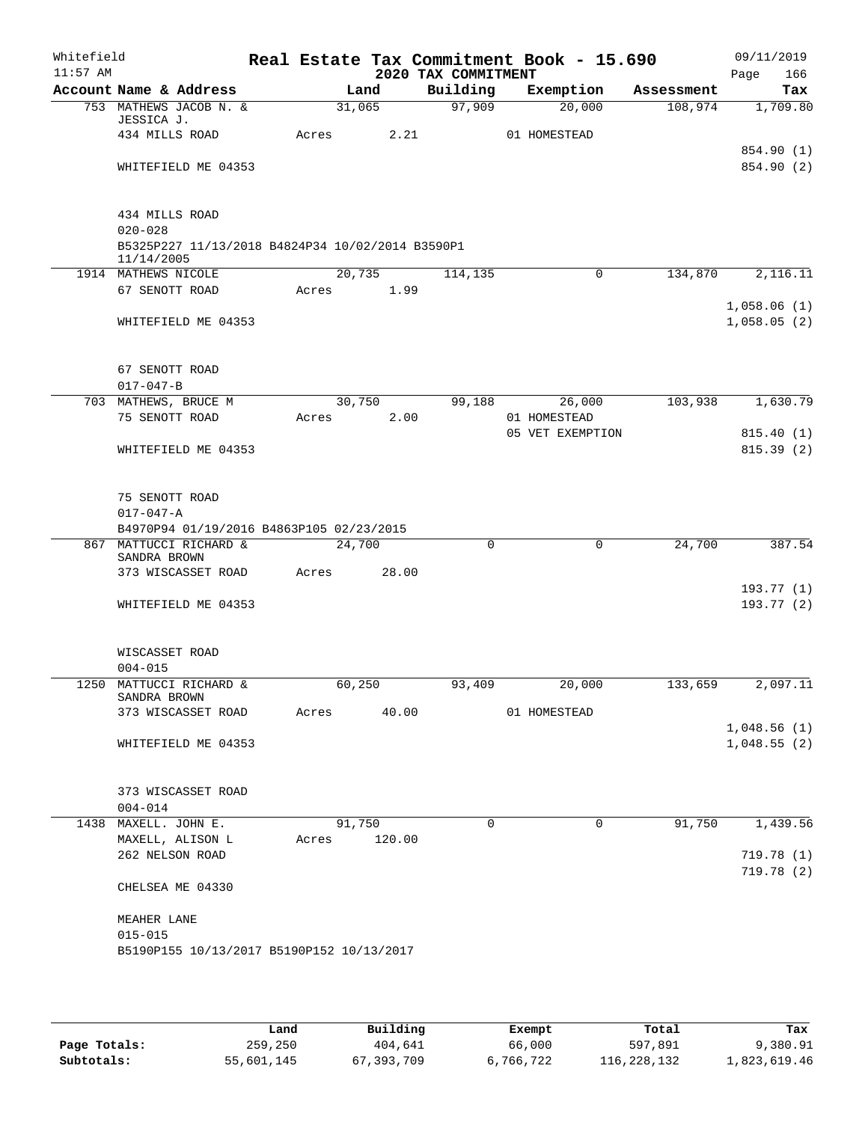| Account Name & Address<br>753 MATHEWS JACOB N. &<br>JESSICA J.<br>434 MILLS ROAD<br>WHITEFIELD ME 04353<br>434 MILLS ROAD<br>$020 - 028$<br>B5325P227 11/13/2018 B4824P34 10/02/2014 B3590P1<br>11/14/2005<br>1914 MATHEWS NICOLE<br>67 SENOTT ROAD<br>WHITEFIELD ME 04353 | Acres                                                                                                       | Land<br>31,065<br>20,735 | 2.21<br>Acres 1.99      | 2020 TAX COMMITMENT<br>Building<br>97,909<br>114,135                                                                                             | Exemption<br>20,000<br>01 HOMESTEAD<br>$\mathbf 0$ | Assessment<br>108,974           | 166<br>Page<br>Tax                                         |
|----------------------------------------------------------------------------------------------------------------------------------------------------------------------------------------------------------------------------------------------------------------------------|-------------------------------------------------------------------------------------------------------------|--------------------------|-------------------------|--------------------------------------------------------------------------------------------------------------------------------------------------|----------------------------------------------------|---------------------------------|------------------------------------------------------------|
|                                                                                                                                                                                                                                                                            |                                                                                                             |                          |                         |                                                                                                                                                  |                                                    |                                 | 1,709.80                                                   |
|                                                                                                                                                                                                                                                                            |                                                                                                             |                          |                         |                                                                                                                                                  |                                                    |                                 | 854.90 (1)<br>854.90 (2)                                   |
|                                                                                                                                                                                                                                                                            |                                                                                                             |                          |                         |                                                                                                                                                  |                                                    |                                 |                                                            |
|                                                                                                                                                                                                                                                                            |                                                                                                             |                          |                         |                                                                                                                                                  |                                                    |                                 |                                                            |
|                                                                                                                                                                                                                                                                            |                                                                                                             |                          |                         |                                                                                                                                                  |                                                    |                                 |                                                            |
|                                                                                                                                                                                                                                                                            |                                                                                                             |                          |                         |                                                                                                                                                  |                                                    |                                 |                                                            |
|                                                                                                                                                                                                                                                                            |                                                                                                             |                          |                         |                                                                                                                                                  |                                                    | 134,870                         | 2,116.11                                                   |
|                                                                                                                                                                                                                                                                            |                                                                                                             |                          |                         |                                                                                                                                                  |                                                    |                                 |                                                            |
|                                                                                                                                                                                                                                                                            |                                                                                                             |                          |                         |                                                                                                                                                  |                                                    |                                 | 1,058.06(1)<br>1,058.05(2)                                 |
| 67 SENOTT ROAD                                                                                                                                                                                                                                                             |                                                                                                             |                          |                         |                                                                                                                                                  |                                                    |                                 |                                                            |
|                                                                                                                                                                                                                                                                            |                                                                                                             |                          |                         |                                                                                                                                                  |                                                    |                                 | 1,630.79                                                   |
| 75 SENOTT ROAD                                                                                                                                                                                                                                                             |                                                                                                             |                          | 2.00                    |                                                                                                                                                  | 01 HOMESTEAD                                       |                                 |                                                            |
| WHITEFIELD ME 04353                                                                                                                                                                                                                                                        |                                                                                                             |                          |                         |                                                                                                                                                  |                                                    |                                 | 815.40 (1)<br>815.39 (2)                                   |
| 75 SENOTT ROAD<br>$017 - 047 - A$                                                                                                                                                                                                                                          |                                                                                                             |                          |                         |                                                                                                                                                  |                                                    |                                 |                                                            |
|                                                                                                                                                                                                                                                                            |                                                                                                             |                          |                         |                                                                                                                                                  |                                                    |                                 | 387.54                                                     |
| SANDRA BROWN                                                                                                                                                                                                                                                               |                                                                                                             |                          |                         |                                                                                                                                                  |                                                    |                                 |                                                            |
| 373 WISCASSET ROAD                                                                                                                                                                                                                                                         |                                                                                                             |                          |                         |                                                                                                                                                  |                                                    |                                 | 193.77(1)                                                  |
| WHITEFIELD ME 04353                                                                                                                                                                                                                                                        |                                                                                                             |                          |                         |                                                                                                                                                  |                                                    |                                 | 193.77(2)                                                  |
| WISCASSET ROAD                                                                                                                                                                                                                                                             |                                                                                                             |                          |                         |                                                                                                                                                  |                                                    |                                 |                                                            |
|                                                                                                                                                                                                                                                                            |                                                                                                             |                          |                         |                                                                                                                                                  |                                                    |                                 | 2,097.11                                                   |
| SANDRA BROWN                                                                                                                                                                                                                                                               |                                                                                                             |                          |                         |                                                                                                                                                  |                                                    |                                 |                                                            |
| 373 WISCASSET ROAD                                                                                                                                                                                                                                                         |                                                                                                             |                          |                         |                                                                                                                                                  | 01 HOMESTEAD                                       |                                 |                                                            |
|                                                                                                                                                                                                                                                                            |                                                                                                             |                          |                         |                                                                                                                                                  |                                                    |                                 | 1,048.56(1)                                                |
| WHITEFIELD ME 04353                                                                                                                                                                                                                                                        |                                                                                                             |                          |                         |                                                                                                                                                  |                                                    |                                 | 1,048.55(2)                                                |
| 373 WISCASSET ROAD                                                                                                                                                                                                                                                         |                                                                                                             |                          |                         |                                                                                                                                                  |                                                    |                                 |                                                            |
| $004 - 014$                                                                                                                                                                                                                                                                |                                                                                                             |                          |                         |                                                                                                                                                  |                                                    |                                 |                                                            |
| 1438 MAXELL. JOHN E.                                                                                                                                                                                                                                                       |                                                                                                             |                          |                         | 0                                                                                                                                                | $\overline{0}$                                     |                                 | 1,439.56                                                   |
| MAXELL, ALISON L                                                                                                                                                                                                                                                           |                                                                                                             |                          |                         |                                                                                                                                                  |                                                    |                                 |                                                            |
| 262 NELSON ROAD                                                                                                                                                                                                                                                            |                                                                                                             |                          |                         |                                                                                                                                                  |                                                    |                                 | 719.78(1)<br>719.78(2)                                     |
| CHELSEA ME 04330                                                                                                                                                                                                                                                           |                                                                                                             |                          |                         |                                                                                                                                                  |                                                    |                                 |                                                            |
| MEAHER LANE<br>$015 - 015$                                                                                                                                                                                                                                                 |                                                                                                             |                          |                         |                                                                                                                                                  |                                                    |                                 |                                                            |
|                                                                                                                                                                                                                                                                            | $017 - 047 - B$<br>703 MATHEWS, BRUCE M<br>867 MATTUCCI RICHARD &<br>$004 - 015$<br>1250 MATTUCCI RICHARD & |                          | Acres<br>Acres<br>Acres | 30,750<br>B4970P94 01/19/2016 B4863P105 02/23/2015<br>24,700<br>28.00<br>60,250<br>91,750<br>120.00<br>B5190P155 10/13/2017 B5190P152 10/13/2017 | 0<br>93,409<br>Acres 40.00                         | 99,188<br>26,000<br>0<br>20,000 | 103,938<br>05 VET EXEMPTION<br>24,700<br>133,659<br>91,750 |

|              | Land       | Building     | Exempt    | Total       | Tax          |
|--------------|------------|--------------|-----------|-------------|--------------|
| Page Totals: | 259,250    | 404,641      | 66,000    | 597,891     | 9,380.91     |
| Subtotals:   | 55,601,145 | 67, 393, 709 | 6,766,722 | 116,228,132 | 1,823,619.46 |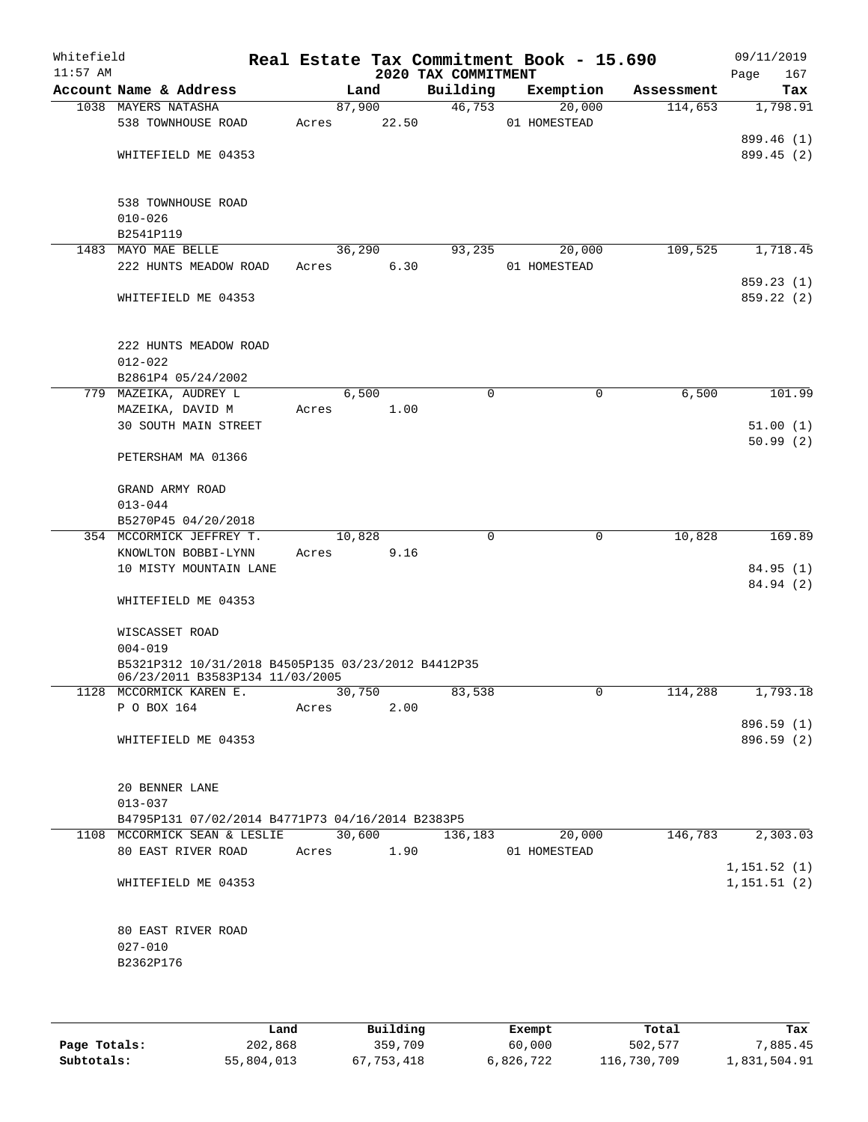| Whitefield<br>$11:57$ AM |                                                                                       |            |        | 2020 TAX COMMITMENT | Real Estate Tax Commitment Book - 15.690 |            | 09/11/2019<br>167<br>Page   |
|--------------------------|---------------------------------------------------------------------------------------|------------|--------|---------------------|------------------------------------------|------------|-----------------------------|
|                          | Account Name & Address                                                                |            | Land   | Building            | Exemption                                | Assessment | Tax                         |
|                          | 1038 MAYERS NATASHA                                                                   |            | 87,900 | 46,753              | 20,000                                   | 114,653    | 1,798.91                    |
|                          | 538 TOWNHOUSE ROAD                                                                    | Acres      | 22.50  |                     | 01 HOMESTEAD                             |            |                             |
|                          | WHITEFIELD ME 04353                                                                   |            |        |                     |                                          |            | 899.46 (1)<br>899.45 (2)    |
|                          |                                                                                       |            |        |                     |                                          |            |                             |
|                          | 538 TOWNHOUSE ROAD                                                                    |            |        |                     |                                          |            |                             |
|                          | $010 - 026$                                                                           |            |        |                     |                                          |            |                             |
|                          | B2541P119                                                                             |            |        |                     |                                          |            |                             |
|                          | 1483 MAYO MAE BELLE                                                                   |            | 36,290 | 93,235              | 20,000                                   | 109,525    | 1,718.45                    |
|                          | 222 HUNTS MEADOW ROAD                                                                 | Acres      | 6.30   |                     | 01 HOMESTEAD                             |            | 859.23 (1)                  |
|                          | WHITEFIELD ME 04353                                                                   |            |        |                     |                                          |            | 859.22 (2)                  |
|                          | 222 HUNTS MEADOW ROAD                                                                 |            |        |                     |                                          |            |                             |
|                          | $012 - 022$                                                                           |            |        |                     |                                          |            |                             |
|                          | B2861P4 05/24/2002                                                                    |            |        |                     |                                          |            |                             |
|                          | 779 MAZEIKA, AUDREY L                                                                 |            | 6,500  | 0                   | 0                                        | 6,500      | 101.99                      |
|                          | MAZEIKA, DAVID M                                                                      | Acres      | 1.00   |                     |                                          |            |                             |
|                          | <b>30 SOUTH MAIN STREET</b>                                                           |            |        |                     |                                          |            | 51.00(1)<br>50.99(2)        |
|                          | PETERSHAM MA 01366                                                                    |            |        |                     |                                          |            |                             |
|                          | GRAND ARMY ROAD                                                                       |            |        |                     |                                          |            |                             |
|                          | $013 - 044$                                                                           |            |        |                     |                                          |            |                             |
|                          | B5270P45 04/20/2018                                                                   |            |        |                     |                                          |            |                             |
|                          | 354 MCCORMICK JEFFREY T.                                                              | 10,828     |        | 0                   | $\mathbf 0$                              | 10,828     | 169.89                      |
|                          | KNOWLTON BOBBI-LYNN                                                                   | Acres      | 9.16   |                     |                                          |            |                             |
|                          | 10 MISTY MOUNTAIN LANE                                                                |            |        |                     |                                          |            | 84.95(1)<br>84.94 (2)       |
|                          | WHITEFIELD ME 04353                                                                   |            |        |                     |                                          |            |                             |
|                          | WISCASSET ROAD                                                                        |            |        |                     |                                          |            |                             |
|                          | $004 - 019$                                                                           |            |        |                     |                                          |            |                             |
|                          | B5321P312 10/31/2018 B4505P135 03/23/2012 B4412P35<br>06/23/2011 B3583P134 11/03/2005 |            |        |                     |                                          |            |                             |
|                          | 1128 MCCORMICK KAREN E.                                                               |            | 30,750 | 83,538              | $\mathsf{O}$                             | 114,288    | 1,793.18                    |
|                          | P O BOX 164                                                                           | Acres      | 2.00   |                     |                                          |            |                             |
|                          | WHITEFIELD ME 04353                                                                   |            |        |                     |                                          |            | 896.59 (1)<br>896.59 (2)    |
|                          |                                                                                       |            |        |                     |                                          |            |                             |
|                          | 20 BENNER LANE                                                                        |            |        |                     |                                          |            |                             |
|                          | $013 - 037$                                                                           |            |        |                     |                                          |            |                             |
|                          | B4795P131 07/02/2014 B4771P73 04/16/2014 B2383P5                                      |            |        |                     |                                          |            |                             |
|                          | 1108 MCCORMICK SEAN & LESLIE                                                          |            | 30,600 | 136,183             | 20,000                                   | 146,783    | 2,303.03                    |
|                          | 80 EAST RIVER ROAD                                                                    | Acres 1.90 |        |                     | 01 HOMESTEAD                             |            |                             |
|                          | WHITEFIELD ME 04353                                                                   |            |        |                     |                                          |            | 1,151.52(1)<br>1, 151.51(2) |
|                          |                                                                                       |            |        |                     |                                          |            |                             |
|                          | 80 EAST RIVER ROAD                                                                    |            |        |                     |                                          |            |                             |
|                          | $027 - 010$                                                                           |            |        |                     |                                          |            |                             |
|                          | B2362P176                                                                             |            |        |                     |                                          |            |                             |
|                          |                                                                                       |            |        |                     |                                          |            |                             |
|                          |                                                                                       |            |        |                     |                                          |            |                             |

|              | Land       | Building   | Exempt    | Total       | Tax          |
|--------------|------------|------------|-----------|-------------|--------------|
| Page Totals: | 202,868    | 359,709    | 60,000    | 502,577     | 7,885.45     |
| Subtotals:   | 55,804,013 | 67,753,418 | 6,826,722 | 116,730,709 | 1,831,504.91 |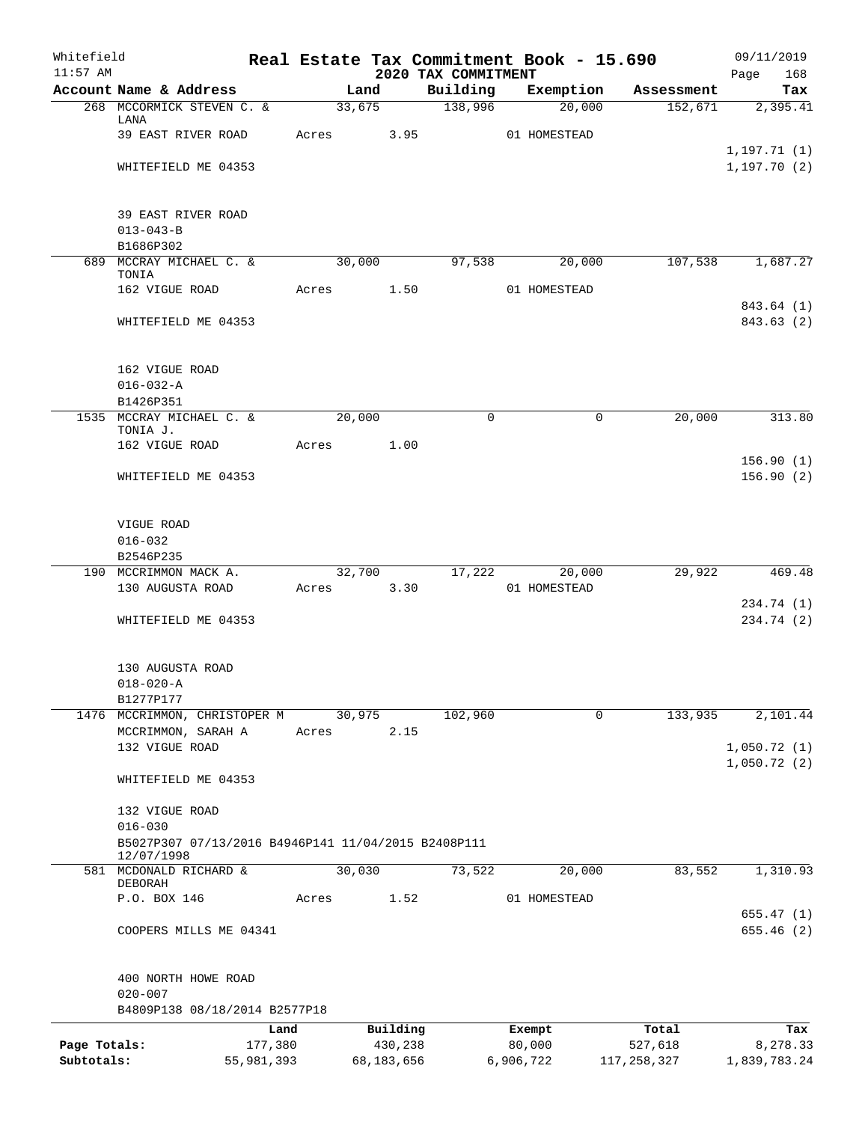| Whitefield<br>$11:57$ AM |                                                                                  |         |        |              |                                 | Real Estate Tax Commitment Book - 15.690 |              | 09/11/2019               |
|--------------------------|----------------------------------------------------------------------------------|---------|--------|--------------|---------------------------------|------------------------------------------|--------------|--------------------------|
|                          | Account Name & Address                                                           |         | Land   |              | 2020 TAX COMMITMENT<br>Building | Exemption                                | Assessment   | Page<br>168<br>Tax       |
|                          | 268 MCCORMICK STEVEN C. &                                                        |         | 33,675 |              | 138,996                         | 20,000                                   | 152,671      | 2,395.41                 |
|                          | LANA<br>39 EAST RIVER ROAD                                                       | Acres   |        | 3.95         |                                 | 01 HOMESTEAD                             |              |                          |
|                          |                                                                                  |         |        |              |                                 |                                          |              | 1,197.71 (1)             |
|                          | WHITEFIELD ME 04353                                                              |         |        |              |                                 |                                          |              | 1, 197.70(2)             |
|                          | 39 EAST RIVER ROAD                                                               |         |        |              |                                 |                                          |              |                          |
|                          | $013 - 043 - B$                                                                  |         |        |              |                                 |                                          |              |                          |
|                          | B1686P302                                                                        |         |        |              |                                 |                                          |              |                          |
|                          | 689 MCCRAY MICHAEL C. &<br>TONIA                                                 |         | 30,000 |              | 97,538                          | 20,000                                   | 107,538      | 1,687.27                 |
|                          | 162 VIGUE ROAD                                                                   | Acres   |        | 1.50         |                                 | 01 HOMESTEAD                             |              |                          |
|                          | WHITEFIELD ME 04353                                                              |         |        |              |                                 |                                          |              | 843.64 (1)<br>843.63 (2) |
|                          | 162 VIGUE ROAD                                                                   |         |        |              |                                 |                                          |              |                          |
|                          | $016 - 032 - A$                                                                  |         |        |              |                                 |                                          |              |                          |
|                          | B1426P351                                                                        |         |        |              |                                 |                                          |              |                          |
|                          | 1535 MCCRAY MICHAEL C. &<br>TONIA J.                                             |         | 20,000 |              | 0                               |                                          | 20,000<br>0  | 313.80                   |
|                          | 162 VIGUE ROAD                                                                   | Acres   |        | 1.00         |                                 |                                          |              | 156.90(1)                |
|                          | WHITEFIELD ME 04353                                                              |         |        |              |                                 |                                          |              | 156.90(2)                |
|                          |                                                                                  |         |        |              |                                 |                                          |              |                          |
|                          | VIGUE ROAD<br>$016 - 032$                                                        |         |        |              |                                 |                                          |              |                          |
|                          | B2546P235                                                                        |         |        |              |                                 |                                          |              |                          |
|                          | 190 MCCRIMMON MACK A.                                                            |         | 32,700 |              | 17,222                          | 20,000                                   | 29,922       | 469.48                   |
|                          | 130 AUGUSTA ROAD                                                                 | Acres   |        | 3.30         |                                 | 01 HOMESTEAD                             |              |                          |
|                          | WHITEFIELD ME 04353                                                              |         |        |              |                                 |                                          |              | 234.74 (1)<br>234.74 (2) |
|                          |                                                                                  |         |        |              |                                 |                                          |              |                          |
|                          | 130 AUGUSTA ROAD                                                                 |         |        |              |                                 |                                          |              |                          |
|                          | $018 - 020 - A$<br>B1277P177                                                     |         |        |              |                                 |                                          |              |                          |
|                          | 1476 MCCRIMMON, CHRISTOPER M                                                     |         | 30,975 |              | 102,960                         |                                          | 133,935<br>0 | 2,101.44                 |
|                          | MCCRIMMON, SARAH A                                                               | Acres   |        | 2.15         |                                 |                                          |              |                          |
|                          | 132 VIGUE ROAD                                                                   |         |        |              |                                 |                                          |              | 1,050.72(1)              |
|                          | WHITEFIELD ME 04353                                                              |         |        |              |                                 |                                          |              | 1,050.72(2)              |
|                          | 132 VIGUE ROAD                                                                   |         |        |              |                                 |                                          |              |                          |
|                          | $016 - 030$<br>B5027P307 07/13/2016 B4946P141 11/04/2015 B2408P111<br>12/07/1998 |         |        |              |                                 |                                          |              |                          |
|                          | 581 MCDONALD RICHARD &                                                           |         | 30,030 |              | 73,522                          | 20,000                                   | 83,552       | 1,310.93                 |
|                          | DEBORAH<br>P.O. BOX 146                                                          | Acres   |        | 1.52         |                                 | 01 HOMESTEAD                             |              |                          |
|                          |                                                                                  |         |        |              |                                 |                                          |              | 655.47(1)                |
|                          | COOPERS MILLS ME 04341                                                           |         |        |              |                                 |                                          |              | 655.46(2)                |
|                          | 400 NORTH HOWE ROAD                                                              |         |        |              |                                 |                                          |              |                          |
|                          | $020 - 007$<br>B4809P138 08/18/2014 B2577P18                                     |         |        |              |                                 |                                          |              |                          |
|                          |                                                                                  | Land    |        | Building     |                                 | Exempt                                   | Total        | Tax                      |
| Page Totals:             |                                                                                  | 177,380 |        | 430,238      |                                 | 80,000                                   | 527,618      | 8,278.33                 |
| Subtotals:               | 55,981,393                                                                       |         |        | 68, 183, 656 |                                 | 6,906,722                                | 117,258,327  | 1,839,783.24             |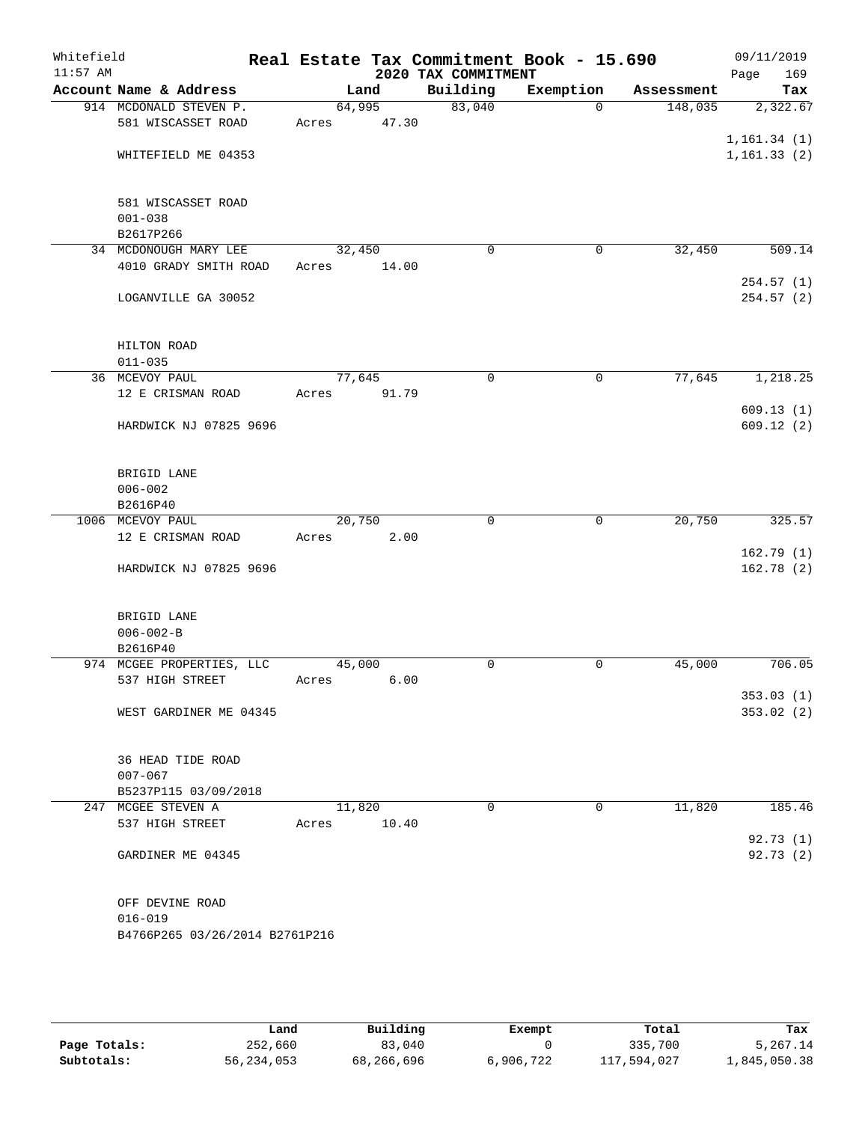| Whitefield<br>$11:57$ AM |                                |        |       | 2020 TAX COMMITMENT | Real Estate Tax Commitment Book - 15.690 |            | 09/11/2019<br>169<br>Page |
|--------------------------|--------------------------------|--------|-------|---------------------|------------------------------------------|------------|---------------------------|
|                          | Account Name & Address         |        | Land  | Building            | Exemption                                | Assessment | Tax                       |
|                          | 914 MCDONALD STEVEN P.         | 64,995 |       | 83,040              | $\Omega$                                 | 148,035    | 2,322.67                  |
|                          | 581 WISCASSET ROAD             | Acres  | 47.30 |                     |                                          |            |                           |
|                          |                                |        |       |                     |                                          |            | 1, 161.34(1)              |
|                          | WHITEFIELD ME 04353            |        |       |                     |                                          |            | 1, 161.33(2)              |
|                          |                                |        |       |                     |                                          |            |                           |
|                          |                                |        |       |                     |                                          |            |                           |
|                          | 581 WISCASSET ROAD             |        |       |                     |                                          |            |                           |
|                          | $001 - 038$                    |        |       |                     |                                          |            |                           |
|                          | B2617P266                      |        |       |                     |                                          |            |                           |
|                          | 34 MCDONOUGH MARY LEE          | 32,450 |       | $\mathbf 0$         | 0                                        | 32,450     | 509.14                    |
|                          | 4010 GRADY SMITH ROAD          | Acres  | 14.00 |                     |                                          |            |                           |
|                          |                                |        |       |                     |                                          |            | 254.57(1)                 |
|                          | LOGANVILLE GA 30052            |        |       |                     |                                          |            | 254.57(2)                 |
|                          |                                |        |       |                     |                                          |            |                           |
|                          |                                |        |       |                     |                                          |            |                           |
|                          | HILTON ROAD                    |        |       |                     |                                          |            |                           |
|                          | $011 - 035$                    |        |       |                     |                                          |            |                           |
|                          | 36 MCEVOY PAUL                 | 77,645 |       | $\mathbf 0$         | $\mathbf 0$                              | 77,645     | 1,218.25                  |
|                          | 12 E CRISMAN ROAD              | Acres  | 91.79 |                     |                                          |            |                           |
|                          |                                |        |       |                     |                                          |            | 609.13(1)                 |
|                          | HARDWICK NJ 07825 9696         |        |       |                     |                                          |            | 609.12(2)                 |
|                          |                                |        |       |                     |                                          |            |                           |
|                          | BRIGID LANE                    |        |       |                     |                                          |            |                           |
|                          | $006 - 002$                    |        |       |                     |                                          |            |                           |
|                          | B2616P40                       |        |       |                     |                                          |            |                           |
|                          | 1006 MCEVOY PAUL               | 20,750 |       | $\mathbf 0$         | 0                                        | 20,750     | 325.57                    |
|                          | 12 E CRISMAN ROAD              | Acres  | 2.00  |                     |                                          |            |                           |
|                          |                                |        |       |                     |                                          |            | 162.79(1)                 |
|                          | HARDWICK NJ 07825 9696         |        |       |                     |                                          |            | 162.78(2)                 |
|                          |                                |        |       |                     |                                          |            |                           |
|                          |                                |        |       |                     |                                          |            |                           |
|                          | BRIGID LANE                    |        |       |                     |                                          |            |                           |
|                          | $006 - 002 - B$                |        |       |                     |                                          |            |                           |
|                          | B2616P40                       |        |       |                     |                                          |            |                           |
|                          | 974 MCGEE PROPERTIES, LLC      | 45,000 |       | 0                   | 0                                        | 45,000     | 706.05                    |
|                          | 537 HIGH STREET                | Acres  | 6.00  |                     |                                          |            |                           |
|                          |                                |        |       |                     |                                          |            | 353.03 (1)                |
|                          | WEST GARDINER ME 04345         |        |       |                     |                                          |            | 353.02 (2)                |
|                          |                                |        |       |                     |                                          |            |                           |
|                          | 36 HEAD TIDE ROAD              |        |       |                     |                                          |            |                           |
|                          | $007 - 067$                    |        |       |                     |                                          |            |                           |
|                          | B5237P115 03/09/2018           |        |       |                     |                                          |            |                           |
|                          | 247 MCGEE STEVEN A             | 11,820 |       | 0                   | 0                                        | 11,820     | 185.46                    |
|                          | 537 HIGH STREET                | Acres  | 10.40 |                     |                                          |            |                           |
|                          |                                |        |       |                     |                                          |            | 92.73 (1)                 |
|                          | GARDINER ME 04345              |        |       |                     |                                          |            | 92.73(2)                  |
|                          |                                |        |       |                     |                                          |            |                           |
|                          |                                |        |       |                     |                                          |            |                           |
|                          | OFF DEVINE ROAD                |        |       |                     |                                          |            |                           |
|                          | $016 - 019$                    |        |       |                     |                                          |            |                           |
|                          | B4766P265 03/26/2014 B2761P216 |        |       |                     |                                          |            |                           |
|                          |                                |        |       |                     |                                          |            |                           |
|                          |                                |        |       |                     |                                          |            |                           |
|                          |                                |        |       |                     |                                          |            |                           |

|              | Land       | Building   | Exempt    | Total       | Tax          |
|--------------|------------|------------|-----------|-------------|--------------|
| Page Totals: | 252,660    | 83,040     |           | 335,700     | 5,267.14     |
| Subtotals:   | 56,234,053 | 68,266,696 | 6,906,722 | 117,594,027 | 1,845,050.38 |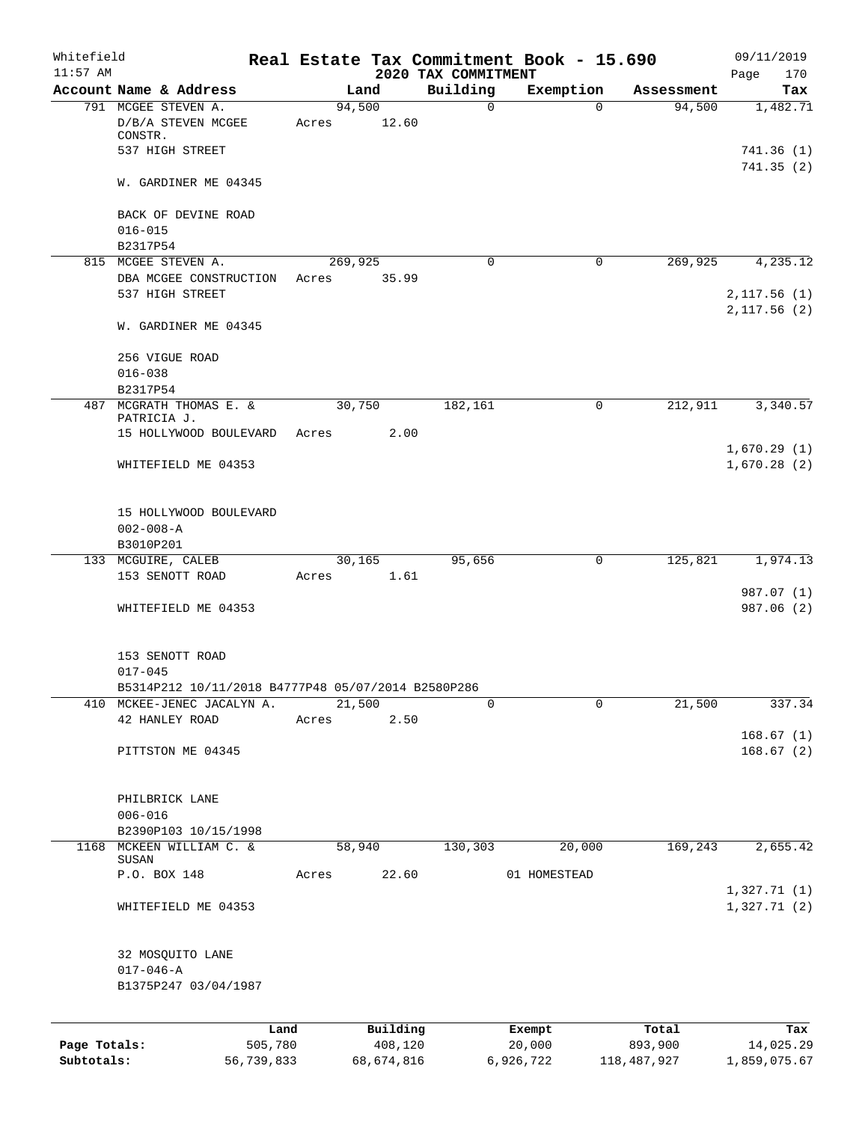| Whitefield<br>$11:57$ AM |                                                                                  |                 |                 |                     | 2020 TAX COMMITMENT | Real Estate Tax Commitment Book - 15.690 |                  | 09/11/2019<br>Page<br>170    |
|--------------------------|----------------------------------------------------------------------------------|-----------------|-----------------|---------------------|---------------------|------------------------------------------|------------------|------------------------------|
|                          | Account Name & Address                                                           |                 |                 | Land                | Building            | Exemption                                | Assessment       | Tax                          |
|                          | 791 MCGEE STEVEN A.<br>D/B/A STEVEN MCGEE<br>CONSTR.                             |                 | 94,500<br>Acres | 12.60               | $\mathbf 0$         | $\Omega$                                 | 94,500           | 1,482.71                     |
|                          | 537 HIGH STREET                                                                  |                 |                 |                     |                     |                                          |                  | 741.36(1)<br>741.35(2)       |
|                          | W. GARDINER ME 04345                                                             |                 |                 |                     |                     |                                          |                  |                              |
|                          | BACK OF DEVINE ROAD<br>$016 - 015$                                               |                 |                 |                     |                     |                                          |                  |                              |
|                          | B2317P54                                                                         |                 |                 |                     |                     |                                          |                  |                              |
|                          | 815 MCGEE STEVEN A.                                                              |                 | 269,925         |                     | $\Omega$            | $\mathbf 0$                              | 269,925          | 4,235.12                     |
|                          | DBA MCGEE CONSTRUCTION<br>537 HIGH STREET                                        |                 | Acres           | 35.99               |                     |                                          |                  | 2,117.56(1)<br>2, 117.56 (2) |
|                          | W. GARDINER ME 04345                                                             |                 |                 |                     |                     |                                          |                  |                              |
|                          | 256 VIGUE ROAD                                                                   |                 |                 |                     |                     |                                          |                  |                              |
|                          | $016 - 038$                                                                      |                 |                 |                     |                     |                                          |                  |                              |
|                          | B2317P54<br>487 MCGRATH THOMAS E. &                                              |                 | 30,750          |                     | 182,161             | $\mathsf{O}$                             | 212,911          | 3,340.57                     |
|                          | PATRICIA J.                                                                      |                 |                 |                     |                     |                                          |                  |                              |
|                          | 15 HOLLYWOOD BOULEVARD                                                           |                 | Acres           | 2.00                |                     |                                          |                  |                              |
|                          | WHITEFIELD ME 04353                                                              |                 |                 |                     |                     |                                          |                  | 1,670.29(1)<br>1,670.28(2)   |
|                          | 15 HOLLYWOOD BOULEVARD                                                           |                 |                 |                     |                     |                                          |                  |                              |
|                          | $002 - 008 - A$                                                                  |                 |                 |                     |                     |                                          |                  |                              |
|                          | B3010P201<br>133 MCGUIRE, CALEB                                                  |                 | 30,165          |                     | 95,656              | 0                                        | 125,821          | 1,974.13                     |
|                          | 153 SENOTT ROAD                                                                  |                 | Acres           | 1.61                |                     |                                          |                  |                              |
|                          | WHITEFIELD ME 04353                                                              |                 |                 |                     |                     |                                          |                  | 987.07 (1)<br>987.06 (2)     |
|                          |                                                                                  |                 |                 |                     |                     |                                          |                  |                              |
|                          | 153 SENOTT ROAD                                                                  |                 |                 |                     |                     |                                          |                  |                              |
|                          | $017 - 045$                                                                      |                 |                 |                     |                     |                                          |                  |                              |
|                          | B5314P212 10/11/2018 B4777P48 05/07/2014 B2580P286<br>410 MCKEE-JENEC JACALYN A. |                 | 21,500          |                     | 0                   | 0                                        | 21,500           | 337.34                       |
|                          | 42 HANLEY ROAD                                                                   |                 | Acres           | 2.50                |                     |                                          |                  |                              |
|                          | PITTSTON ME 04345                                                                |                 |                 |                     |                     |                                          |                  | 168.67(1)<br>168.67(2)       |
|                          | PHILBRICK LANE                                                                   |                 |                 |                     |                     |                                          |                  |                              |
|                          | $006 - 016$                                                                      |                 |                 |                     |                     |                                          |                  |                              |
|                          | B2390P103 10/15/1998                                                             |                 |                 |                     |                     |                                          |                  |                              |
| 1168                     | MCKEEN WILLIAM C. &<br>SUSAN                                                     |                 | 58,940          |                     | 130,303             | 20,000                                   | 169,243          | 2,655.42                     |
|                          | P.O. BOX 148                                                                     |                 | Acres           | 22.60               |                     | 01 HOMESTEAD                             |                  |                              |
|                          | WHITEFIELD ME 04353                                                              |                 |                 |                     |                     |                                          |                  | 1,327.71(1)<br>1,327.71(2)   |
|                          | 32 MOSQUITO LANE<br>$017 - 046 - A$                                              |                 |                 |                     |                     |                                          |                  |                              |
|                          | B1375P247 03/04/1987                                                             |                 |                 |                     |                     |                                          |                  |                              |
|                          |                                                                                  |                 |                 |                     |                     |                                          |                  |                              |
| Page Totals:             |                                                                                  | Land<br>505,780 |                 | Building<br>408,120 |                     | Exempt<br>20,000                         | Total<br>893,900 | Tax<br>14,025.29             |
|                          |                                                                                  |                 |                 |                     |                     |                                          |                  |                              |

**Subtotals:** 56,739,833 68,674,816 6,926,722 118,487,927 1,859,075.67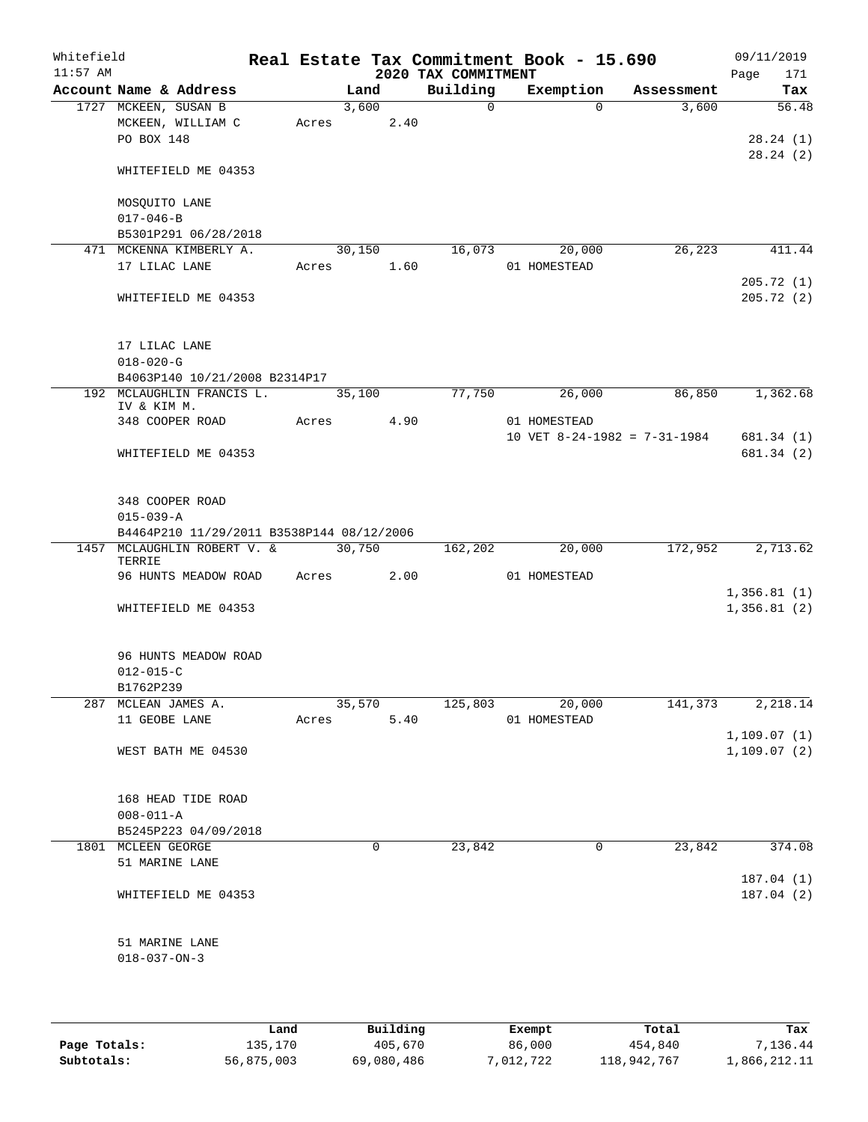| Whitefield<br>$11:57$ AM |                                                                                 |       |               | 2020 TAX COMMITMENT | Real Estate Tax Commitment Book - 15.690 |            | 09/11/2019<br>171<br>Page |
|--------------------------|---------------------------------------------------------------------------------|-------|---------------|---------------------|------------------------------------------|------------|---------------------------|
|                          | Account Name & Address                                                          |       | Land          | Building            | Exemption                                | Assessment | Tax                       |
|                          | 1727 MCKEEN, SUSAN B<br>MCKEEN, WILLIAM C<br>PO BOX 148                         | Acres | 3,600<br>2.40 | $\mathbf 0$         | $\Omega$                                 | 3,600      | 56.48<br>28.24(1)         |
|                          | WHITEFIELD ME 04353                                                             |       |               |                     |                                          |            | 28.24(2)                  |
|                          | MOSQUITO LANE<br>$017 - 046 - B$                                                |       |               |                     |                                          |            |                           |
|                          | B5301P291 06/28/2018                                                            |       |               |                     |                                          |            |                           |
|                          | 471 MCKENNA KIMBERLY A.                                                         |       | 30,150        | 16,073              | 20,000                                   | 26, 223    | 411.44                    |
|                          | 17 LILAC LANE                                                                   | Acres | 1.60          |                     | 01 HOMESTEAD                             |            |                           |
|                          | WHITEFIELD ME 04353                                                             |       |               |                     |                                          |            | 205.72(1)<br>205.72(2)    |
|                          | 17 LILAC LANE<br>$018 - 020 - G$                                                |       |               |                     |                                          |            |                           |
|                          | B4063P140 10/21/2008 B2314P17                                                   |       |               |                     |                                          |            |                           |
|                          | 192 MCLAUGHLIN FRANCIS L.<br>IV & KIM M.                                        |       | 35,100        | 77,750              | 26,000<br>01 HOMESTEAD                   | 86,850     | 1,362.68                  |
|                          | 348 COOPER ROAD                                                                 | Acres | 4.90          |                     | 10 VET $8-24-1982 = 7-31-1984$           |            | 681.34 (1)                |
|                          | WHITEFIELD ME 04353                                                             |       |               |                     |                                          |            | 681.34 (2)                |
|                          | 348 COOPER ROAD<br>$015 - 039 - A$<br>B4464P210 11/29/2011 B3538P144 08/12/2006 |       |               |                     |                                          |            |                           |
| 1457                     | MCLAUGHLIN ROBERT V. &                                                          |       | 30,750        | 162,202             | 20,000                                   | 172,952    | 2,713.62                  |
|                          | TERRIE<br>96 HUNTS MEADOW ROAD                                                  | Acres | 2.00          |                     | 01 HOMESTEAD                             |            |                           |
|                          |                                                                                 |       |               |                     |                                          |            | 1,356.81(1)               |
|                          | WHITEFIELD ME 04353                                                             |       |               |                     |                                          |            | 1,356.81(2)               |
|                          | 96 HUNTS MEADOW ROAD<br>$012 - 015 - C$                                         |       |               |                     |                                          |            |                           |
|                          | B1762P239<br>287 MCLEAN JAMES A.                                                |       | 35,570        | 125,803             | 20,000                                   | 141,373    | 2,218.14                  |
|                          | 11 GEOBE LANE                                                                   | Acres | 5.40          |                     | 01 HOMESTEAD                             |            |                           |
|                          |                                                                                 |       |               |                     |                                          |            | 1,109.07(1)               |
|                          | WEST BATH ME 04530                                                              |       |               |                     |                                          |            | 1,109.07(2)               |
|                          | 168 HEAD TIDE ROAD                                                              |       |               |                     |                                          |            |                           |
|                          | $008 - 011 - A$                                                                 |       |               |                     |                                          |            |                           |
|                          | B5245P223 04/09/2018                                                            |       |               |                     |                                          |            |                           |
|                          | 1801 MCLEEN GEORGE                                                              |       | 0             | 23,842              | 0                                        | 23,842     | 374.08                    |
|                          | 51 MARINE LANE                                                                  |       |               |                     |                                          |            | 187.04(1)                 |
|                          | WHITEFIELD ME 04353                                                             |       |               |                     |                                          |            | 187.04 (2)                |
|                          | 51 MARINE LANE<br>$018 - 037 - ON - 3$                                          |       |               |                     |                                          |            |                           |
|                          |                                                                                 | Land. | $P1$ ilding   |                     | $F$ vomnt                                | $T$ otal   | m.                        |

|              | Land       | Building   | Exempt    | Total       | Tax          |
|--------------|------------|------------|-----------|-------------|--------------|
| Page Totals: | 135,170    | 405,670    | 86,000    | 454,840     | 7.136.44     |
| Subtotals:   | 56,875,003 | 69,080,486 | 7,012,722 | 118,942,767 | 1,866,212.11 |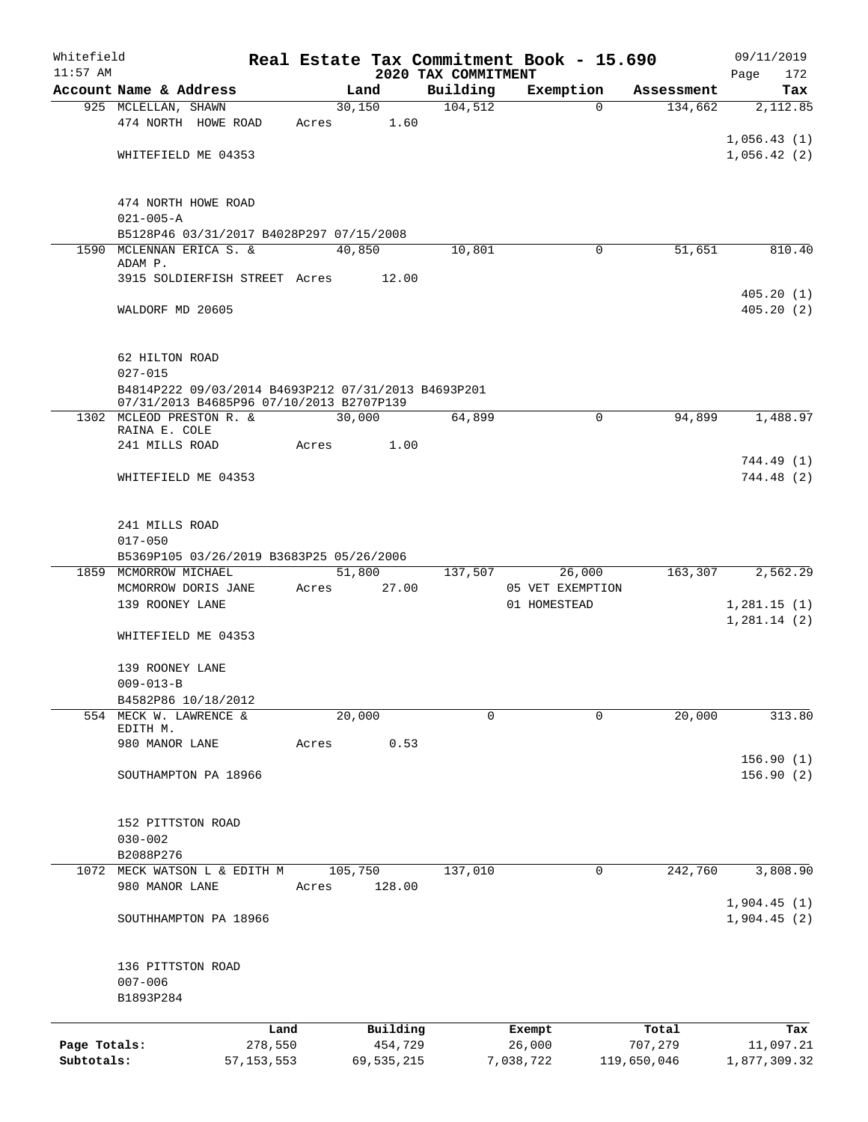| Whitefield   |                        |                                                                                                 |       |                |                     | Real Estate Tax Commitment Book - 15.690 |                       | 09/11/2019   |
|--------------|------------------------|-------------------------------------------------------------------------------------------------|-------|----------------|---------------------|------------------------------------------|-----------------------|--------------|
| $11:57$ AM   |                        |                                                                                                 |       |                | 2020 TAX COMMITMENT |                                          |                       | 172<br>Page  |
|              | Account Name & Address |                                                                                                 |       | Land           | Building<br>104,512 | Exemption<br>$\mathbf 0$                 | Assessment<br>134,662 | Tax          |
|              | 925 MCLELLAN, SHAWN    |                                                                                                 |       | 30,150<br>1.60 |                     |                                          |                       | 2,112.85     |
|              |                        | 474 NORTH HOWE ROAD                                                                             | Acres |                |                     |                                          |                       | 1,056.43(1)  |
|              |                        |                                                                                                 |       |                |                     |                                          |                       |              |
|              |                        | WHITEFIELD ME 04353                                                                             |       |                |                     |                                          |                       | 1,056.42(2)  |
|              |                        | 474 NORTH HOWE ROAD                                                                             |       |                |                     |                                          |                       |              |
|              | $021 - 005 - A$        |                                                                                                 |       |                |                     |                                          |                       |              |
|              |                        | B5128P46 03/31/2017 B4028P297 07/15/2008                                                        |       |                |                     |                                          |                       |              |
|              |                        | 1590 MCLENNAN ERICA S. &                                                                        |       | 40,850         | 10,801              | 0                                        | 51,651                | 810.40       |
|              | ADAM P.                |                                                                                                 |       |                |                     |                                          |                       |              |
|              |                        | 3915 SOLDIERFISH STREET Acres                                                                   |       | 12.00          |                     |                                          |                       |              |
|              |                        |                                                                                                 |       |                |                     |                                          |                       | 405.20(1)    |
|              | WALDORF MD 20605       |                                                                                                 |       |                |                     |                                          |                       | 405.20(2)    |
|              | 62 HILTON ROAD         |                                                                                                 |       |                |                     |                                          |                       |              |
|              | $027 - 015$            |                                                                                                 |       |                |                     |                                          |                       |              |
|              |                        | B4814P222 09/03/2014 B4693P212 07/31/2013 B4693P201<br>07/31/2013 B4685P96 07/10/2013 B2707P139 |       |                |                     |                                          |                       |              |
|              |                        | 1302 MCLEOD PRESTON R. &                                                                        |       | 30,000         | 64,899              | $\mathbf 0$                              | 94,899                | 1,488.97     |
|              | RAINA E. COLE          |                                                                                                 |       |                |                     |                                          |                       |              |
|              | 241 MILLS ROAD         |                                                                                                 | Acres | 1.00           |                     |                                          |                       |              |
|              |                        |                                                                                                 |       |                |                     |                                          |                       | 744.49 (1)   |
|              |                        | WHITEFIELD ME 04353                                                                             |       |                |                     |                                          |                       | 744.48 (2)   |
|              | 241 MILLS ROAD         |                                                                                                 |       |                |                     |                                          |                       |              |
|              | $017 - 050$            |                                                                                                 |       |                |                     |                                          |                       |              |
|              |                        | B5369P105 03/26/2019 B3683P25 05/26/2006                                                        |       |                |                     |                                          |                       |              |
|              | 1859 MCMORROW MICHAEL  |                                                                                                 |       | 51,800         | 137,507             | 26,000                                   | 163,307               | 2,562.29     |
|              |                        | MCMORROW DORIS JANE                                                                             | Acres | 27.00          |                     | 05 VET EXEMPTION                         |                       |              |
|              | 139 ROONEY LANE        |                                                                                                 |       |                |                     | 01 HOMESTEAD                             |                       | 1,281.15(1)  |
|              |                        |                                                                                                 |       |                |                     |                                          |                       | 1,281.14(2)  |
|              |                        | WHITEFIELD ME 04353                                                                             |       |                |                     |                                          |                       |              |
|              | 139 ROONEY LANE        |                                                                                                 |       |                |                     |                                          |                       |              |
|              | $009 - 013 - B$        |                                                                                                 |       |                |                     |                                          |                       |              |
|              |                        | B4582P86 10/18/2012                                                                             |       |                |                     |                                          |                       |              |
|              |                        | 554 MECK W. LAWRENCE &                                                                          |       | 20,000         | 0                   | 0                                        | 20,000                | 313.80       |
|              | EDITH M.               |                                                                                                 |       |                |                     |                                          |                       |              |
|              | 980 MANOR LANE         |                                                                                                 | Acres | 0.53           |                     |                                          |                       |              |
|              |                        |                                                                                                 |       |                |                     |                                          |                       | 156.90(1)    |
|              |                        | SOUTHAMPTON PA 18966                                                                            |       |                |                     |                                          |                       | 156.90(2)    |
|              |                        |                                                                                                 |       |                |                     |                                          |                       |              |
|              | 152 PITTSTON ROAD      |                                                                                                 |       |                |                     |                                          |                       |              |
|              | $030 - 002$            |                                                                                                 |       |                |                     |                                          |                       |              |
|              | B2088P276              |                                                                                                 |       |                |                     |                                          |                       |              |
| 1072         |                        | MECK WATSON L & EDITH M                                                                         |       | 105,750        | 137,010             | 0                                        | 242,760               | 3,808.90     |
|              | 980 MANOR LANE         |                                                                                                 | Acres | 128.00         |                     |                                          |                       |              |
|              |                        |                                                                                                 |       |                |                     |                                          |                       | 1,904.45(1)  |
|              |                        | SOUTHHAMPTON PA 18966                                                                           |       |                |                     |                                          |                       | 1,904.45(2)  |
|              | 136 PITTSTON ROAD      |                                                                                                 |       |                |                     |                                          |                       |              |
|              | $007 - 006$            |                                                                                                 |       |                |                     |                                          |                       |              |
|              | B1893P284              |                                                                                                 |       |                |                     |                                          |                       |              |
|              |                        | Land                                                                                            |       | Building       |                     | Exempt                                   | Total                 | Tax          |
| Page Totals: |                        | 278,550                                                                                         |       | 454,729        |                     | 26,000                                   | 707,279               | 11,097.21    |
| Subtotals:   |                        | 57, 153, 553                                                                                    |       | 69, 535, 215   |                     | 7,038,722                                | 119,650,046           | 1,877,309.32 |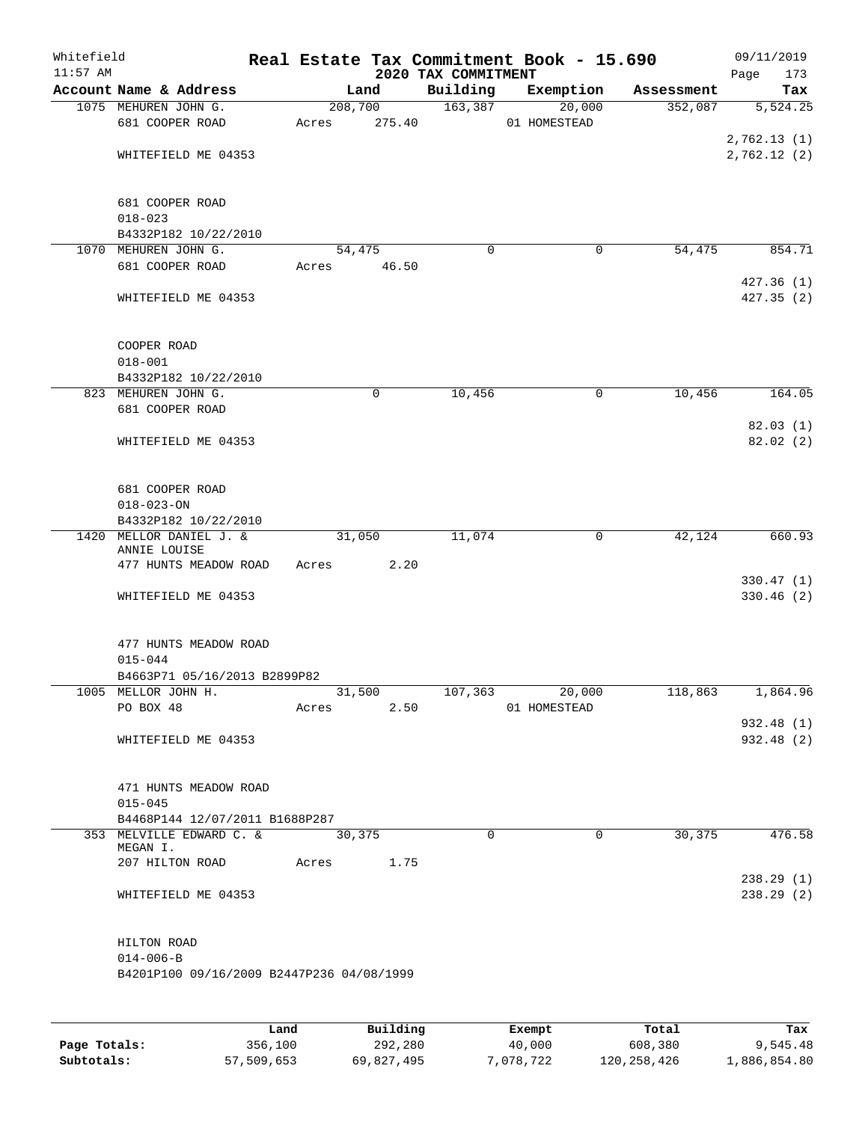| Whitefield<br>$11:57$ AM |                                                         |             |       |                   | 2020 TAX COMMITMENT | Real Estate Tax Commitment Book - 15.690 |            | 09/11/2019<br>Page<br>173 |
|--------------------------|---------------------------------------------------------|-------------|-------|-------------------|---------------------|------------------------------------------|------------|---------------------------|
|                          | Account Name & Address                                  |             |       | Land              | Building            | Exemption                                | Assessment | Tax                       |
|                          | 1075 MEHUREN JOHN G.<br>681 COOPER ROAD                 |             | Acres | 208,700<br>275.40 | 163,387             | 20,000<br>01 HOMESTEAD                   | 352,087    | 5,524.25<br>2,762.13(1)   |
|                          | WHITEFIELD ME 04353                                     |             |       |                   |                     |                                          |            | 2,762.12(2)               |
|                          | 681 COOPER ROAD<br>$018 - 023$<br>B4332P182 10/22/2010  |             |       |                   |                     |                                          |            |                           |
|                          | 1070 MEHUREN JOHN G.                                    |             |       | 54,475            | $\mathbf 0$         | 0                                        | 54,475     | 854.71                    |
|                          | 681 COOPER ROAD                                         |             | Acres | 46.50             |                     |                                          |            | 427.36(1)                 |
|                          | WHITEFIELD ME 04353                                     |             |       |                   |                     |                                          |            | 427.35(2)                 |
|                          | COOPER ROAD<br>$018 - 001$                              |             |       |                   |                     |                                          |            |                           |
|                          | B4332P182 10/22/2010                                    |             |       |                   |                     |                                          |            |                           |
|                          | 823 MEHUREN JOHN G.<br>681 COOPER ROAD                  |             |       | 0                 | 10,456              | 0                                        | 10,456     | 164.05                    |
|                          | WHITEFIELD ME 04353                                     |             |       |                   |                     |                                          |            | 82.03(1)<br>82.02(2)      |
|                          | 681 COOPER ROAD<br>$018 - 023 - ON$                     |             |       |                   |                     |                                          |            |                           |
|                          | B4332P182 10/22/2010                                    |             |       |                   |                     |                                          |            |                           |
|                          | 1420 MELLOR DANIEL J. &<br>ANNIE LOUISE                 |             |       | 31,050            | 11,074              | 0                                        | 42,124     | 660.93                    |
|                          | 477 HUNTS MEADOW ROAD                                   |             | Acres | 2.20              |                     |                                          |            | 330.47(1)                 |
|                          | WHITEFIELD ME 04353                                     |             |       |                   |                     |                                          |            | 330.46(2)                 |
|                          | 477 HUNTS MEADOW ROAD<br>$015 - 044$                    |             |       |                   |                     |                                          |            |                           |
|                          | B4663P71 05/16/2013 B2899P82<br>1005 MELLOR JOHN H.     |             |       | 31,500            | 107,363             | 20,000                                   | 118,863    | 1,864.96                  |
|                          | PO BOX 48                                               |             | Acres | 2.50              |                     | 01 HOMESTEAD                             |            |                           |
|                          | WHITEFIELD ME 04353                                     |             |       |                   |                     |                                          |            | 932.48 (1)<br>932.48(2)   |
|                          | 471 HUNTS MEADOW ROAD<br>$015 - 045$                    |             |       |                   |                     |                                          |            |                           |
|                          | B4468P144 12/07/2011 B1688P287                          |             |       |                   |                     |                                          |            |                           |
|                          | 353 MELVILLE EDWARD C. &<br>MEGAN I.<br>207 HILTON ROAD |             | Acres | 30,375<br>1.75    | $\Omega$            | $\Omega$                                 | 30,375     | 476.58                    |
|                          | WHITEFIELD ME 04353                                     |             |       |                   |                     |                                          |            | 238.29(1)<br>238.29(2)    |
|                          |                                                         |             |       |                   |                     |                                          |            |                           |
|                          | HILTON ROAD<br>$014 - 006 - B$                          |             |       |                   |                     |                                          |            |                           |
|                          | B4201P100 09/16/2009 B2447P236 04/08/1999               |             |       |                   |                     |                                          |            |                           |
|                          |                                                         |             |       |                   |                     |                                          |            |                           |
|                          |                                                         | <b>Tond</b> |       | $P_{11}$ ilding   |                     | $F$ vomnt                                | $T0+0T$    | ma.                       |

|              | Land       | Building   | Exempt    | Total         | Tax          |
|--------------|------------|------------|-----------|---------------|--------------|
| Page Totals: | 356,100    | 292,280    | 40,000    | 608,380       | 9,545.48     |
| Subtotals:   | 57,509,653 | 69,827,495 | 7,078,722 | 120, 258, 426 | 1,886,854.80 |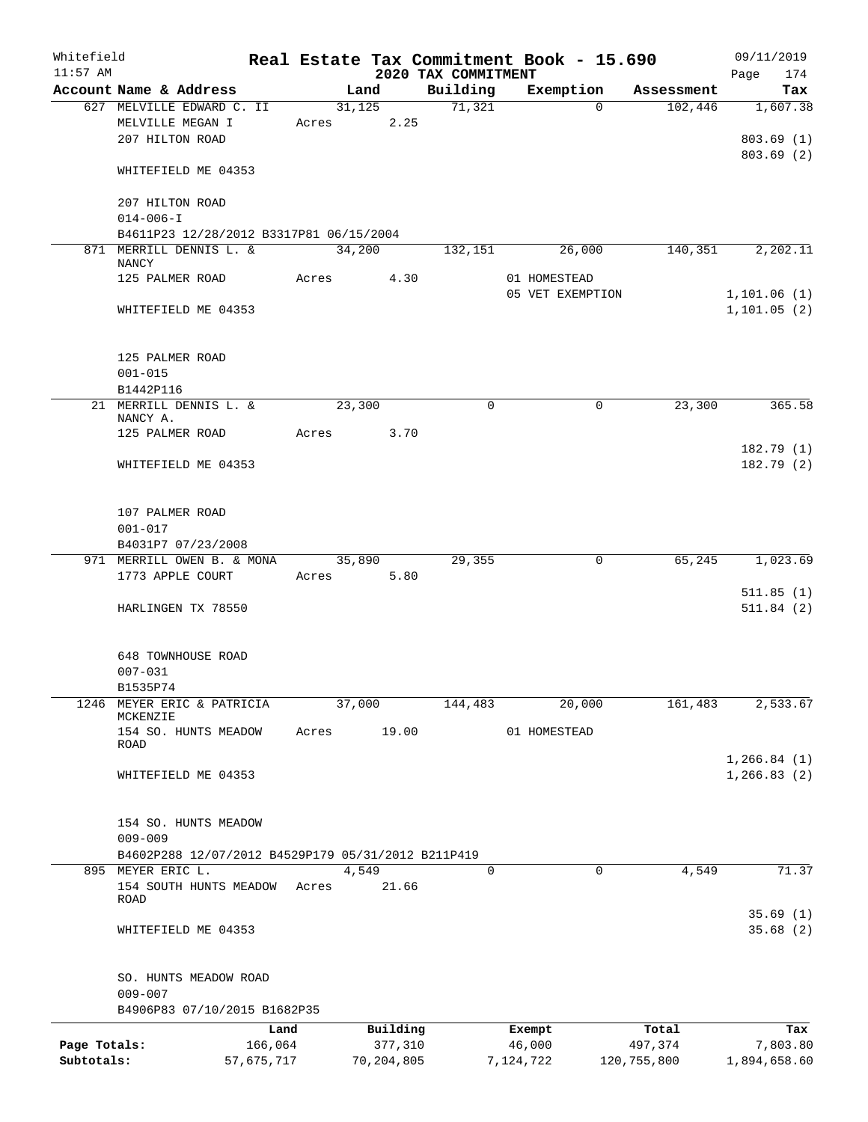| Whitefield   |                                                     |            |       |                      |                     | Real Estate Tax Commitment Book - 15.690 |                       | 09/11/2019                    |
|--------------|-----------------------------------------------------|------------|-------|----------------------|---------------------|------------------------------------------|-----------------------|-------------------------------|
| $11:57$ AM   |                                                     |            |       |                      | 2020 TAX COMMITMENT |                                          |                       | Page<br>174                   |
|              | Account Name & Address<br>627 MELVILLE EDWARD C. II |            |       | Land<br>31,125       | Building<br>71,321  | Exemption<br>$\Omega$                    | Assessment<br>102,446 | Tax<br>1,607.38               |
|              | MELVILLE MEGAN I<br>207 HILTON ROAD                 |            | Acres | 2.25                 |                     |                                          |                       | 803.69(1)                     |
|              | WHITEFIELD ME 04353                                 |            |       |                      |                     |                                          |                       | 803.69(2)                     |
|              | 207 HILTON ROAD<br>$014 - 006 - I$                  |            |       |                      |                     |                                          |                       |                               |
|              | B4611P23 12/28/2012 B3317P81 06/15/2004             |            |       |                      |                     |                                          |                       |                               |
|              | 871 MERRILL DENNIS L. &<br>NANCY                    |            |       | 34,200               | 132,151             | 26,000                                   | 140, 351              | 2,202.11                      |
|              | 125 PALMER ROAD                                     |            | Acres | 4.30                 |                     | 01 HOMESTEAD<br>05 VET EXEMPTION         |                       | 1,101.06(1)                   |
|              | WHITEFIELD ME 04353                                 |            |       |                      |                     |                                          |                       | 1, 101.05(2)                  |
|              | 125 PALMER ROAD<br>$001 - 015$                      |            |       |                      |                     |                                          |                       |                               |
|              | B1442P116                                           |            |       |                      |                     |                                          |                       |                               |
|              | 21 MERRILL DENNIS L. &<br>NANCY A.                  |            |       | 23,300               | $\mathbf 0$         | 0                                        | 23,300                | 365.58                        |
|              | 125 PALMER ROAD                                     |            | Acres | 3.70                 |                     |                                          |                       | 182.79(1)                     |
|              | WHITEFIELD ME 04353                                 |            |       |                      |                     |                                          |                       | 182.79(2)                     |
|              | 107 PALMER ROAD<br>$001 - 017$                      |            |       |                      |                     |                                          |                       |                               |
|              | B4031P7 07/23/2008                                  |            |       |                      |                     |                                          |                       |                               |
|              | 971 MERRILL OWEN B. & MONA<br>1773 APPLE COURT      |            |       | 35,890<br>Acres 5.80 | 29,355              | 0                                        | 65,245                | 1,023.69                      |
|              | HARLINGEN TX 78550                                  |            |       |                      |                     |                                          |                       | 511.85(1)<br>511.84(2)        |
|              | 648 TOWNHOUSE ROAD<br>$007 - 031$                   |            |       |                      |                     |                                          |                       |                               |
|              | B1535P74                                            |            |       |                      |                     |                                          |                       |                               |
| 1246         | MEYER ERIC & PATRICIA<br>MCKENZIE                   |            |       | 37,000               | 144,483             | 20,000                                   | 161,483               | 2,533.67                      |
|              | 154 SO. HUNTS MEADOW<br><b>ROAD</b>                 |            | Acres | 19.00                |                     | 01 HOMESTEAD                             |                       |                               |
|              | WHITEFIELD ME 04353                                 |            |       |                      |                     |                                          |                       | 1, 266.84 (1)<br>1, 266.83(2) |
|              | 154 SO. HUNTS MEADOW<br>$009 - 009$                 |            |       |                      |                     |                                          |                       |                               |
|              | B4602P288 12/07/2012 B4529P179 05/31/2012 B211P419  |            |       |                      |                     |                                          |                       |                               |
|              | 895 MEYER ERIC L.                                   |            |       | 4,549                | 0                   | 0                                        | 4,549                 | 71.37                         |
|              | 154 SOUTH HUNTS MEADOW<br>ROAD                      |            | Acres | 21.66                |                     |                                          |                       |                               |
|              | WHITEFIELD ME 04353                                 |            |       |                      |                     |                                          |                       | 35.69(1)<br>35.68(2)          |
|              | SO. HUNTS MEADOW ROAD<br>$009 - 007$                |            |       |                      |                     |                                          |                       |                               |
|              | B4906P83 07/10/2015 B1682P35                        |            |       |                      |                     |                                          |                       |                               |
|              |                                                     | Land       |       | Building             |                     | Exempt                                   | Total                 | Tax                           |
| Page Totals: |                                                     | 166,064    |       | 377,310              |                     | 46,000                                   | 497,374               | 7,803.80                      |
| Subtotals:   |                                                     | 57,675,717 |       | 70, 204, 805         |                     | 7,124,722                                | 120,755,800           | 1,894,658.60                  |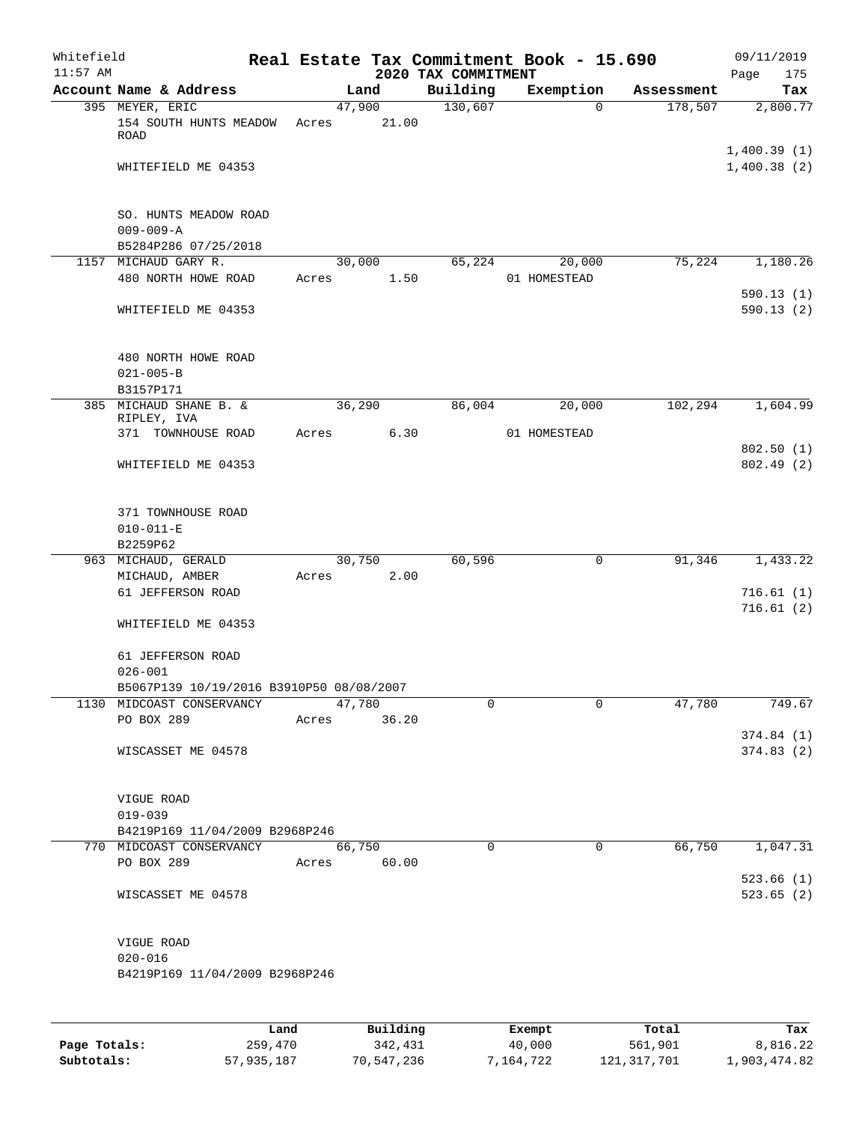| Whitefield<br>$11:57$ AM |                                                                       |       |             | 2020 TAX COMMITMENT | Real Estate Tax Commitment Book - 15.690 |            | 09/11/2019<br>Page<br>175  |
|--------------------------|-----------------------------------------------------------------------|-------|-------------|---------------------|------------------------------------------|------------|----------------------------|
|                          | Account Name & Address                                                |       | Land        | Building            | Exemption                                | Assessment | Tax                        |
|                          | 395 MEYER, ERIC                                                       |       | 47,900      | 130,607             | $\Omega$                                 | 178,507    | 2,800.77                   |
|                          | 154 SOUTH HUNTS MEADOW<br>ROAD                                        | Acres | 21.00       |                     |                                          |            |                            |
|                          | WHITEFIELD ME 04353                                                   |       |             |                     |                                          |            | 1,400.39(1)<br>1,400.38(2) |
|                          | SO. HUNTS MEADOW ROAD                                                 |       |             |                     |                                          |            |                            |
|                          | $009 - 009 - A$                                                       |       |             |                     |                                          |            |                            |
|                          | B5284P286 07/25/2018<br>1157 MICHAUD GARY R.                          |       | 30,000      | 65,224              | 20,000                                   | 75,224     | 1,180.26                   |
|                          | 480 NORTH HOWE ROAD                                                   | Acres | 1.50        |                     | 01 HOMESTEAD                             |            | 590.13(1)                  |
|                          | WHITEFIELD ME 04353                                                   |       |             |                     |                                          |            | 590.13(2)                  |
|                          | 480 NORTH HOWE ROAD                                                   |       |             |                     |                                          |            |                            |
|                          | $021 - 005 - B$                                                       |       |             |                     |                                          |            |                            |
| 385                      | B3157P171<br>MICHAUD SHANE B. &                                       |       | 36,290      | 86,004              | 20,000                                   | 102,294    | 1,604.99                   |
|                          | RIPLEY, IVA                                                           |       |             |                     |                                          |            |                            |
|                          | 371 TOWNHOUSE ROAD                                                    | Acres | 6.30        |                     | 01 HOMESTEAD                             |            |                            |
|                          | WHITEFIELD ME 04353                                                   |       |             |                     |                                          |            | 802.50(1)<br>802.49 (2)    |
|                          | 371 TOWNHOUSE ROAD<br>$010 - 011 - E$                                 |       |             |                     |                                          |            |                            |
|                          | B2259P62                                                              |       |             |                     |                                          |            |                            |
|                          | 963 MICHAUD, GERALD                                                   |       | 30,750      | 60,596              | 0                                        | 91,346     | 1,433.22                   |
|                          | MICHAUD, AMBER<br>61 JEFFERSON ROAD                                   | Acres | 2.00        |                     |                                          |            | 716.61(1)<br>716.61(2)     |
|                          | WHITEFIELD ME 04353                                                   |       |             |                     |                                          |            |                            |
|                          | 61 JEFFERSON ROAD<br>$026 - 001$                                      |       |             |                     |                                          |            |                            |
|                          | B5067P139 10/19/2016 B3910P50 08/08/2007<br>1130 MIDCOAST CONSERVANCY |       | 47,780      | $\mathbf 0$         | $\mathbf 0$                              | 47,780     | 749.67                     |
|                          | PO BOX 289                                                            | Acres | 36.20       |                     |                                          |            |                            |
|                          |                                                                       |       |             |                     |                                          |            | 374.84(1)                  |
|                          | WISCASSET ME 04578                                                    |       |             |                     |                                          |            | 374.83(2)                  |
|                          | VIGUE ROAD                                                            |       |             |                     |                                          |            |                            |
|                          | $019 - 039$<br>B4219P169 11/04/2009 B2968P246                         |       |             |                     |                                          |            |                            |
|                          | 770 MIDCOAST CONSERVANCY                                              |       | 66,750      | $\mathbf 0$         | 0                                        | 66,750     | 1,047.31                   |
|                          | PO BOX 289                                                            |       | Acres 60.00 |                     |                                          |            |                            |
|                          |                                                                       |       |             |                     |                                          |            | 523.66(1)                  |
|                          | WISCASSET ME 04578                                                    |       |             |                     |                                          |            | 523.65(2)                  |
|                          | VIGUE ROAD                                                            |       |             |                     |                                          |            |                            |
|                          | $020 - 016$<br>B4219P169 11/04/2009 B2968P246                         |       |             |                     |                                          |            |                            |
|                          |                                                                       | Land  | Building    |                     | Exempt                                   | Total      | Tax                        |
|                          |                                                                       |       |             |                     |                                          |            |                            |

|              | Lanu       | <b>Building</b> | вхещрс    | TOLAT       | rax.         |
|--------------|------------|-----------------|-----------|-------------|--------------|
| Page Totals: | 259,470    | 342,431         | 40,000    | 561,901     | 8,816.22     |
| Subtotals:   | 57,935,187 | 70,547,236      | 7,164,722 | 121,317,701 | 1,903,474.82 |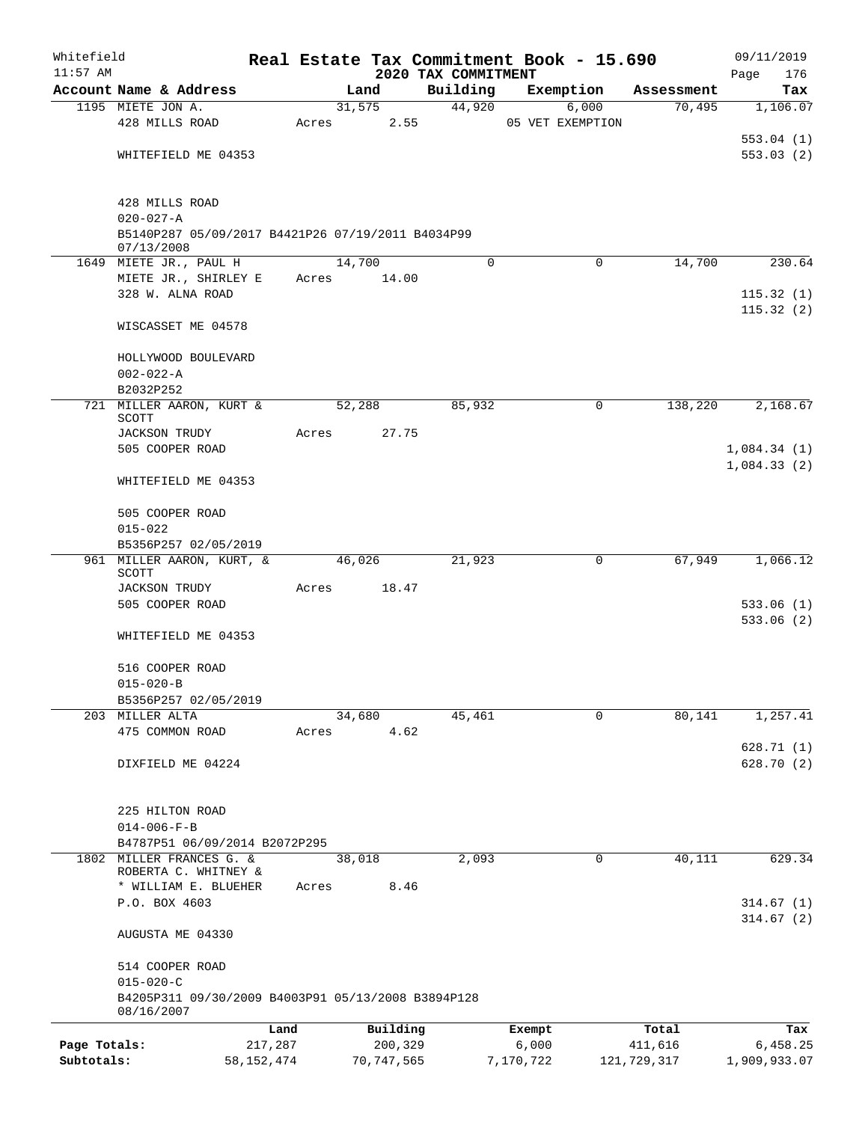| Whitefield                 |                                                                       |                       |       |                         |                                 | Real Estate Tax Commitment Book - 15.690 |                        | 09/11/2019               |
|----------------------------|-----------------------------------------------------------------------|-----------------------|-------|-------------------------|---------------------------------|------------------------------------------|------------------------|--------------------------|
| $11:57$ AM                 | Account Name & Address                                                |                       |       | Land                    | 2020 TAX COMMITMENT<br>Building | Exemption                                | Assessment             | 176<br>Page              |
|                            | 1195 MIETE JON A.                                                     |                       |       | 31,575                  | 44,920                          | 6,000                                    | 70,495                 | Tax<br>1,106.07          |
|                            | 428 MILLS ROAD                                                        |                       | Acres | 2.55                    |                                 | 05 VET EXEMPTION                         |                        |                          |
|                            |                                                                       |                       |       |                         |                                 |                                          |                        | 553.04(1)                |
|                            | WHITEFIELD ME 04353                                                   |                       |       |                         |                                 |                                          |                        | 553.03(2)                |
|                            |                                                                       |                       |       |                         |                                 |                                          |                        |                          |
|                            | 428 MILLS ROAD                                                        |                       |       |                         |                                 |                                          |                        |                          |
|                            | $020 - 027 - A$                                                       |                       |       |                         |                                 |                                          |                        |                          |
|                            | B5140P287 05/09/2017 B4421P26 07/19/2011 B4034P99<br>07/13/2008       |                       |       |                         |                                 |                                          |                        |                          |
|                            | 1649 MIETE JR., PAUL H                                                |                       |       | 14,700                  | $\Omega$                        | $\mathbf 0$                              | 14,700                 | 230.64                   |
|                            | MIETE JR., SHIRLEY E                                                  |                       | Acres | 14.00                   |                                 |                                          |                        |                          |
|                            | 328 W. ALNA ROAD                                                      |                       |       |                         |                                 |                                          |                        | 115.32(1)                |
|                            | WISCASSET ME 04578                                                    |                       |       |                         |                                 |                                          |                        | 115.32(2)                |
|                            |                                                                       |                       |       |                         |                                 |                                          |                        |                          |
|                            | HOLLYWOOD BOULEVARD                                                   |                       |       |                         |                                 |                                          |                        |                          |
|                            | $002 - 022 - A$<br>B2032P252                                          |                       |       |                         |                                 |                                          |                        |                          |
|                            | 721 MILLER AARON, KURT &                                              |                       |       | 52,288                  | 85,932                          | 0                                        | 138,220                | 2,168.67                 |
|                            | <b>SCOTT</b>                                                          |                       |       |                         |                                 |                                          |                        |                          |
|                            | <b>JACKSON TRUDY</b><br>505 COOPER ROAD                               |                       | Acres | 27.75                   |                                 |                                          |                        | 1,084.34(1)              |
|                            |                                                                       |                       |       |                         |                                 |                                          |                        | 1,084.33(2)              |
|                            | WHITEFIELD ME 04353                                                   |                       |       |                         |                                 |                                          |                        |                          |
|                            | 505 COOPER ROAD                                                       |                       |       |                         |                                 |                                          |                        |                          |
|                            | $015 - 022$                                                           |                       |       |                         |                                 |                                          |                        |                          |
|                            | B5356P257 02/05/2019<br>961 MILLER AARON, KURT, &                     |                       |       |                         | 21,923                          |                                          | 67,949                 | 1,066.12                 |
|                            | <b>SCOTT</b>                                                          |                       |       | 46,026                  |                                 | 0                                        |                        |                          |
|                            | <b>JACKSON TRUDY</b>                                                  |                       | Acres | 18.47                   |                                 |                                          |                        |                          |
|                            | 505 COOPER ROAD                                                       |                       |       |                         |                                 |                                          |                        | 533.06(1)                |
|                            | WHITEFIELD ME 04353                                                   |                       |       |                         |                                 |                                          |                        | 533.06(2)                |
|                            |                                                                       |                       |       |                         |                                 |                                          |                        |                          |
|                            | 516 COOPER ROAD<br>$015 - 020 - B$                                    |                       |       |                         |                                 |                                          |                        |                          |
|                            | B5356P257 02/05/2019                                                  |                       |       |                         |                                 |                                          |                        |                          |
|                            | 203 MILLER ALTA                                                       |                       |       | 34,680                  | 45,461                          | 0                                        | 80,141                 | 1,257.41                 |
|                            | 475 COMMON ROAD                                                       |                       | Acres | 4.62                    |                                 |                                          |                        |                          |
|                            |                                                                       |                       |       |                         |                                 |                                          |                        | 628.71(1)                |
|                            | DIXFIELD ME 04224                                                     |                       |       |                         |                                 |                                          |                        | 628.70(2)                |
|                            | 225 HILTON ROAD                                                       |                       |       |                         |                                 |                                          |                        |                          |
|                            | $014 - 006 - F - B$                                                   |                       |       |                         |                                 |                                          |                        |                          |
|                            | B4787P51 06/09/2014 B2072P295                                         |                       |       |                         |                                 |                                          |                        |                          |
|                            | 1802 MILLER FRANCES G. &                                              |                       |       | 38,018                  | 2,093                           | 0                                        | 40,111                 | 629.34                   |
|                            | ROBERTA C. WHITNEY &<br>* WILLIAM E. BLUEHER                          |                       |       | 8.46                    |                                 |                                          |                        |                          |
|                            | P.O. BOX 4603                                                         |                       | Acres |                         |                                 |                                          |                        | 314.67(1)                |
|                            |                                                                       |                       |       |                         |                                 |                                          |                        | 314.67(2)                |
|                            | AUGUSTA ME 04330                                                      |                       |       |                         |                                 |                                          |                        |                          |
|                            | 514 COOPER ROAD                                                       |                       |       |                         |                                 |                                          |                        |                          |
|                            | $015 - 020 - C$<br>B4205P311 09/30/2009 B4003P91 05/13/2008 B3894P128 |                       |       |                         |                                 |                                          |                        |                          |
|                            | 08/16/2007                                                            |                       |       |                         |                                 |                                          |                        |                          |
|                            |                                                                       | Land                  |       | Building                |                                 | Exempt                                   | Total                  | Tax                      |
| Page Totals:<br>Subtotals: |                                                                       | 217,287<br>58,152,474 |       | 200,329<br>70, 747, 565 |                                 | 6,000<br>7,170,722                       | 411,616<br>121,729,317 | 6,458.25<br>1,909,933.07 |
|                            |                                                                       |                       |       |                         |                                 |                                          |                        |                          |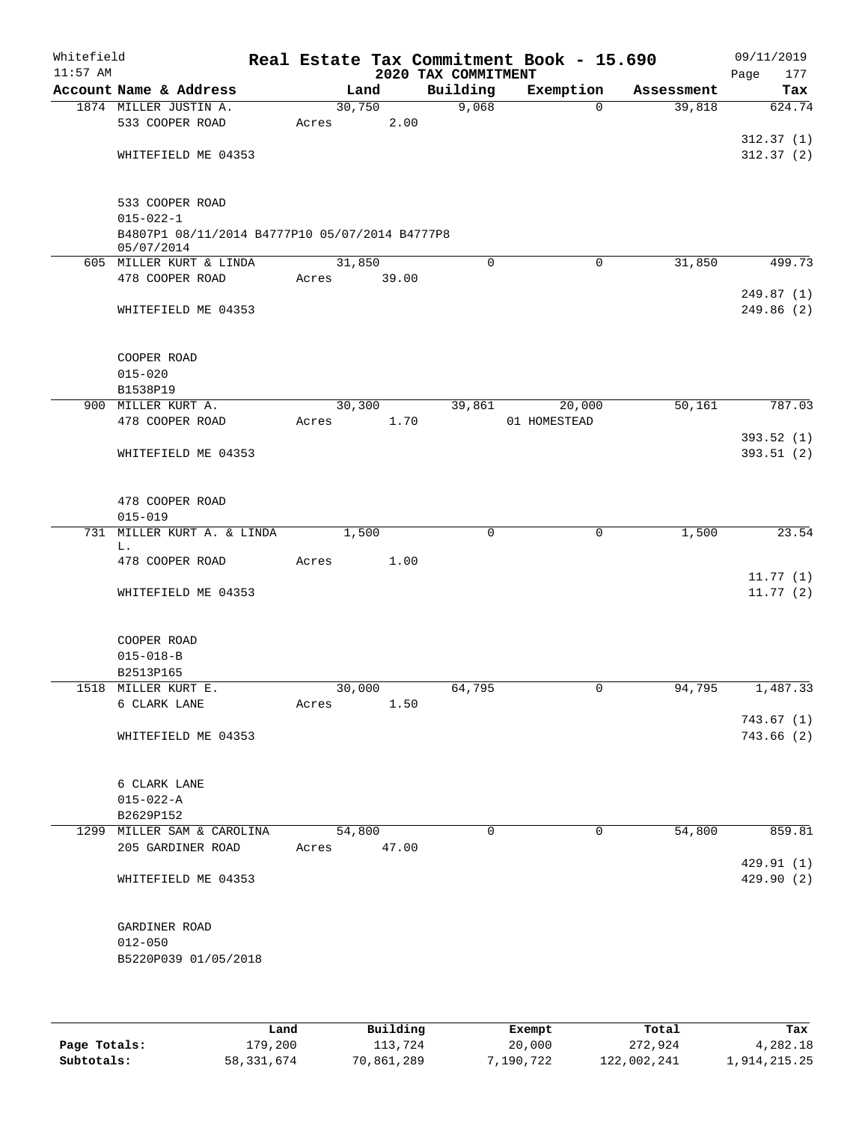| Whitefield<br>$11:57$ AM |                                                                                      |             |                 | 2020 TAX COMMITMENT | Real Estate Tax Commitment Book - 15.690 |            | 09/11/2019<br>Page<br>177 |
|--------------------------|--------------------------------------------------------------------------------------|-------------|-----------------|---------------------|------------------------------------------|------------|---------------------------|
|                          | Account Name & Address                                                               |             | Land            | Building            | Exemption                                | Assessment | Tax                       |
|                          | 1874 MILLER JUSTIN A.<br>533 COOPER ROAD                                             | Acres       | 30,750<br>2.00  | 9,068               | $\Omega$                                 | 39,818     | 624.74                    |
|                          | WHITEFIELD ME 04353                                                                  |             |                 |                     |                                          |            | 312.37(1)<br>312.37(2)    |
|                          | 533 COOPER ROAD<br>$015 - 022 - 1$<br>B4807P1 08/11/2014 B4777P10 05/07/2014 B4777P8 |             |                 |                     |                                          |            |                           |
|                          | 05/07/2014                                                                           |             |                 |                     |                                          |            |                           |
|                          | 605 MILLER KURT & LINDA<br>478 COOPER ROAD                                           | Acres       | 31,850<br>39.00 | $\Omega$            | $\mathbf 0$                              | 31,850     | 499.73                    |
|                          | WHITEFIELD ME 04353                                                                  |             |                 |                     |                                          |            | 249.87(1)<br>249.86(2)    |
|                          | COOPER ROAD<br>$015 - 020$                                                           |             |                 |                     |                                          |            |                           |
|                          | B1538P19                                                                             |             |                 |                     |                                          |            |                           |
|                          | 900 MILLER KURT A.<br>478 COOPER ROAD                                                | Acres       | 30,300<br>1.70  | 39,861              | 20,000<br>01 HOMESTEAD                   | 50,161     | 787.03                    |
|                          | WHITEFIELD ME 04353                                                                  |             |                 |                     |                                          |            | 393.52(1)<br>393.51 (2)   |
|                          | 478 COOPER ROAD<br>$015 - 019$                                                       |             |                 |                     |                                          |            |                           |
|                          | 731 MILLER KURT A. & LINDA                                                           |             | 1,500           | $\mathbf 0$         | $\mathbf 0$                              | 1,500      | 23.54                     |
|                          | L.<br>478 COOPER ROAD                                                                | Acres       | 1.00            |                     |                                          |            |                           |
|                          | WHITEFIELD ME 04353                                                                  |             |                 |                     |                                          |            | 11.77(1)<br>11.77(2)      |
|                          | COOPER ROAD<br>$015 - 018 - B$<br>B2513P165                                          |             |                 |                     |                                          |            |                           |
|                          | 1518 MILLER KURT E.                                                                  |             | 30,000          | 64,795              | 0                                        | 94,795     | 1,487.33                  |
|                          | 6 CLARK LANE                                                                         | Acres       | 1.50            |                     |                                          |            | 743.67(1)                 |
|                          | WHITEFIELD ME 04353                                                                  |             |                 |                     |                                          |            | 743.66 (2)                |
|                          | 6 CLARK LANE<br>$015 - 022 - A$<br>B2629P152                                         |             |                 |                     |                                          |            |                           |
|                          | 1299 MILLER SAM & CAROLINA                                                           |             | 54,800          | $\Omega$            | $\Omega$                                 | 54,800     | 859.81                    |
|                          | 205 GARDINER ROAD                                                                    | Acres 47.00 |                 |                     |                                          |            | 429.91 (1)                |
|                          | WHITEFIELD ME 04353                                                                  |             |                 |                     |                                          |            | 429.90 (2)                |
|                          | GARDINER ROAD<br>$012 - 050$<br>B5220P039 01/05/2018                                 |             |                 |                     |                                          |            |                           |
|                          |                                                                                      |             |                 |                     |                                          |            |                           |

|              | Land       | Building   | Exempt    | Total       | Tax          |
|--------------|------------|------------|-----------|-------------|--------------|
| Page Totals: | 179,200    | 113,724    | 20,000    | 272,924     | 4,282.18     |
| Subtotals:   | 58,331,674 | 70,861,289 | 7,190,722 | 122,002,241 | 1,914,215.25 |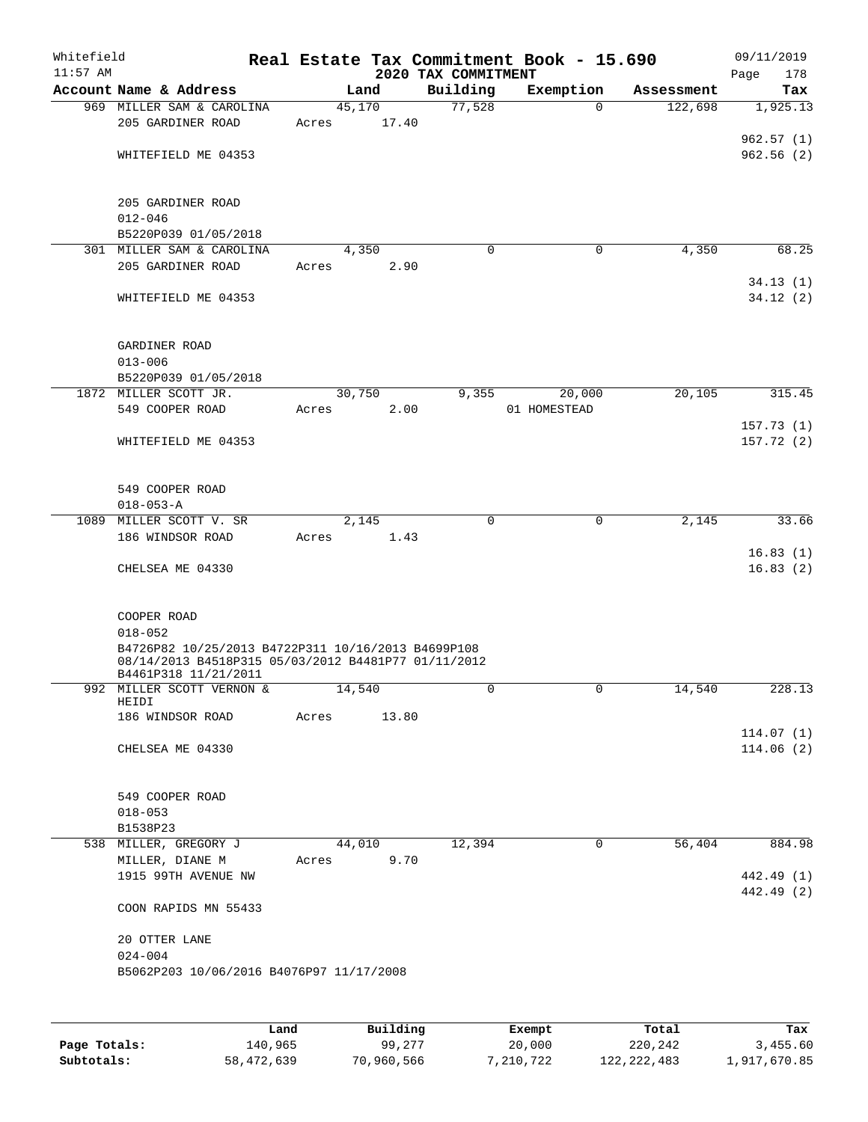| Whitefield<br>$11:57$ AM |                                                     |        |       | 2020 TAX COMMITMENT | Real Estate Tax Commitment Book - 15.690 |            | 09/11/2019<br>Page<br>178 |
|--------------------------|-----------------------------------------------------|--------|-------|---------------------|------------------------------------------|------------|---------------------------|
|                          | Account Name & Address                              | Land   |       | Building            | Exemption                                | Assessment | Tax                       |
|                          | 969 MILLER SAM & CAROLINA                           | 45,170 |       | 77,528              | $\Omega$                                 | 122,698    | 1,925.13                  |
|                          | 205 GARDINER ROAD                                   | Acres  | 17.40 |                     |                                          |            |                           |
|                          |                                                     |        |       |                     |                                          |            | 962.57(1)                 |
|                          | WHITEFIELD ME 04353                                 |        |       |                     |                                          |            | 962.56(2)                 |
|                          |                                                     |        |       |                     |                                          |            |                           |
|                          | 205 GARDINER ROAD                                   |        |       |                     |                                          |            |                           |
|                          | $012 - 046$                                         |        |       |                     |                                          |            |                           |
|                          | B5220P039 01/05/2018                                |        |       |                     |                                          |            |                           |
|                          | 301 MILLER SAM & CAROLINA                           | 4,350  |       | $\mathbf 0$         | $\mathbf 0$                              | 4,350      | 68.25                     |
|                          | 205 GARDINER ROAD                                   | Acres  | 2.90  |                     |                                          |            |                           |
|                          |                                                     |        |       |                     |                                          |            | 34.13(1)                  |
|                          | WHITEFIELD ME 04353                                 |        |       |                     |                                          |            | 34.12(2)                  |
|                          |                                                     |        |       |                     |                                          |            |                           |
|                          | GARDINER ROAD                                       |        |       |                     |                                          |            |                           |
|                          | $013 - 006$                                         |        |       |                     |                                          |            |                           |
|                          | B5220P039 01/05/2018                                |        |       |                     |                                          |            |                           |
|                          | 1872 MILLER SCOTT JR.                               | 30,750 |       | 9,355               | 20,000                                   | 20,105     | 315.45                    |
|                          | 549 COOPER ROAD                                     | Acres  | 2.00  |                     | 01 HOMESTEAD                             |            |                           |
|                          |                                                     |        |       |                     |                                          |            | 157.73(1)                 |
|                          | WHITEFIELD ME 04353                                 |        |       |                     |                                          |            | 157.72(2)                 |
|                          |                                                     |        |       |                     |                                          |            |                           |
|                          | 549 COOPER ROAD                                     |        |       |                     |                                          |            |                           |
|                          | $018 - 053 - A$                                     |        |       |                     |                                          |            |                           |
|                          | 1089 MILLER SCOTT V. SR                             | 2,145  |       | $\Omega$            | 0                                        | 2,145      | 33.66                     |
|                          | 186 WINDSOR ROAD                                    | Acres  | 1.43  |                     |                                          |            |                           |
|                          |                                                     |        |       |                     |                                          |            | 16.83(1)                  |
|                          | CHELSEA ME 04330                                    |        |       |                     |                                          |            | 16.83(2)                  |
|                          |                                                     |        |       |                     |                                          |            |                           |
|                          | COOPER ROAD                                         |        |       |                     |                                          |            |                           |
|                          | $018 - 052$                                         |        |       |                     |                                          |            |                           |
|                          | B4726P82 10/25/2013 B4722P311 10/16/2013 B4699P108  |        |       |                     |                                          |            |                           |
|                          | 08/14/2013 B4518P315 05/03/2012 B4481P77 01/11/2012 |        |       |                     |                                          |            |                           |
|                          | B4461P318 11/21/2011<br>992 MILLER SCOTT VERNON &   |        |       | 0                   |                                          | 14,540     |                           |
|                          | HEIDI                                               | 14,540 |       |                     | U                                        |            | 228.13                    |
|                          | 186 WINDSOR ROAD                                    | Acres  | 13.80 |                     |                                          |            |                           |
|                          |                                                     |        |       |                     |                                          |            | 114.07(1)                 |
|                          | CHELSEA ME 04330                                    |        |       |                     |                                          |            | 114.06(2)                 |
|                          |                                                     |        |       |                     |                                          |            |                           |
|                          | 549 COOPER ROAD                                     |        |       |                     |                                          |            |                           |
|                          | $018 - 053$                                         |        |       |                     |                                          |            |                           |
|                          | B1538P23                                            |        |       |                     |                                          |            |                           |
|                          | 538 MILLER, GREGORY J                               | 44,010 |       | 12,394              | 0                                        | 56,404     | 884.98                    |
|                          | MILLER, DIANE M                                     | Acres  | 9.70  |                     |                                          |            |                           |
|                          | 1915 99TH AVENUE NW                                 |        |       |                     |                                          |            | 442.49 (1)                |
|                          |                                                     |        |       |                     |                                          |            | 442.49 (2)                |
|                          | COON RAPIDS MN 55433                                |        |       |                     |                                          |            |                           |
|                          | 20 OTTER LANE                                       |        |       |                     |                                          |            |                           |
|                          | $024 - 004$                                         |        |       |                     |                                          |            |                           |
|                          | B5062P203 10/06/2016 B4076P97 11/17/2008            |        |       |                     |                                          |            |                           |
|                          |                                                     |        |       |                     |                                          |            |                           |
|                          |                                                     |        |       |                     |                                          |            |                           |
|                          |                                                     |        |       |                     |                                          |            |                           |

|              | Land       | Building   | Exempt    | Total         | Tax          |
|--------------|------------|------------|-----------|---------------|--------------|
| Page Totals: | 140.965    | 99,277     | 20,000    | 220,242       | 3,455.60     |
| Subtotals:   | 58,472,639 | 70,960,566 | 7,210,722 | 122, 222, 483 | 1,917,670.85 |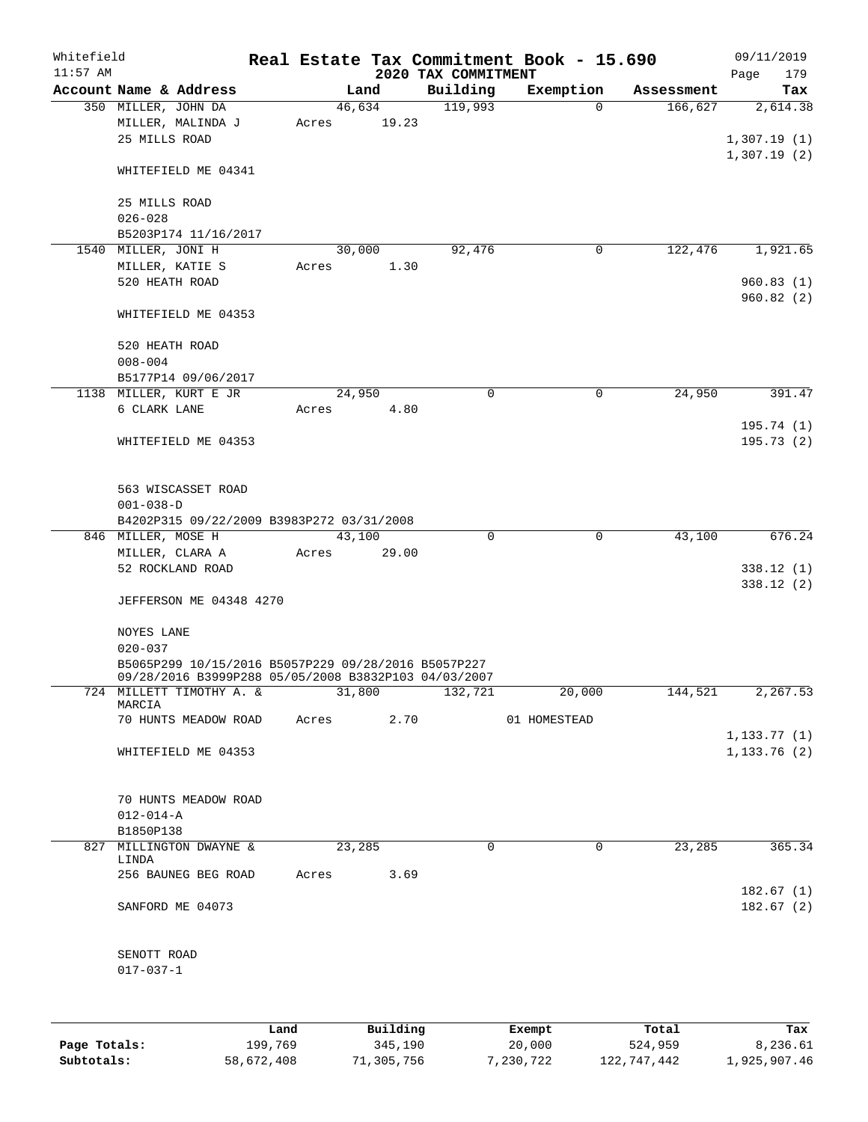| Whitefield<br>$11:57$ AM |                                                                                                             |       |                 | 2020 TAX COMMITMENT | Real Estate Tax Commitment Book - 15.690 |            | 09/11/2019<br>179<br>Page |
|--------------------------|-------------------------------------------------------------------------------------------------------------|-------|-----------------|---------------------|------------------------------------------|------------|---------------------------|
|                          | Account Name & Address                                                                                      |       | Land            | Building            | Exemption                                | Assessment | Tax                       |
|                          | 350 MILLER, JOHN DA<br>MILLER, MALINDA J<br>25 MILLS ROAD                                                   | Acres | 46,634<br>19.23 | 119,993             | $\Omega$                                 | 166,627    | 2,614.38<br>1,307.19(1)   |
|                          | WHITEFIELD ME 04341                                                                                         |       |                 |                     |                                          |            | 1,307.19(2)               |
|                          | 25 MILLS ROAD<br>$026 - 028$                                                                                |       |                 |                     |                                          |            |                           |
|                          | B5203P174 11/16/2017                                                                                        |       |                 |                     |                                          |            |                           |
|                          | 1540 MILLER, JONI H                                                                                         |       | 30,000          | 92,476              | 0                                        | 122,476    | 1,921.65                  |
|                          | MILLER, KATIE S                                                                                             | Acres |                 | 1.30                |                                          |            |                           |
|                          | 520 HEATH ROAD                                                                                              |       |                 |                     |                                          |            | 960.83(1)<br>960.82(2)    |
|                          | WHITEFIELD ME 04353                                                                                         |       |                 |                     |                                          |            |                           |
|                          | 520 HEATH ROAD<br>$008 - 004$                                                                               |       |                 |                     |                                          |            |                           |
|                          | B5177P14 09/06/2017                                                                                         |       |                 |                     |                                          |            |                           |
|                          | 1138 MILLER, KURT E JR                                                                                      |       | 24,950          | $\mathbf 0$         | 0                                        | 24,950     | 391.47                    |
|                          | 6 CLARK LANE                                                                                                | Acres |                 | 4.80                |                                          |            |                           |
|                          |                                                                                                             |       |                 |                     |                                          |            | 195.74(1)                 |
|                          | WHITEFIELD ME 04353                                                                                         |       |                 |                     |                                          |            | 195.73(2)                 |
|                          | 563 WISCASSET ROAD<br>$001 - 038 - D$                                                                       |       |                 |                     |                                          |            |                           |
|                          | B4202P315 09/22/2009 B3983P272 03/31/2008                                                                   |       |                 |                     |                                          |            |                           |
|                          | 846 MILLER, MOSE H                                                                                          |       | 43,100          | $\Omega$            | $\mathbf 0$                              | 43,100     | 676.24                    |
|                          | MILLER, CLARA A                                                                                             | Acres | 29.00           |                     |                                          |            |                           |
|                          | 52 ROCKLAND ROAD                                                                                            |       |                 |                     |                                          |            | 338.12(1)<br>338.12(2)    |
|                          | JEFFERSON ME 04348 4270                                                                                     |       |                 |                     |                                          |            |                           |
|                          | NOYES LANE                                                                                                  |       |                 |                     |                                          |            |                           |
|                          | $020 - 037$                                                                                                 |       |                 |                     |                                          |            |                           |
|                          | B5065P299 10/15/2016 B5057P229 09/28/2016 B5057P227<br>09/28/2016 B3999P288 05/05/2008 B3832P103 04/03/2007 |       |                 |                     |                                          |            |                           |
|                          | 724 MILLETT TIMOTHY A. &                                                                                    |       | 31,800          | 132, 721            | 20,000                                   | 144,521    | 2,267.53                  |
|                          | MARCIA                                                                                                      |       |                 |                     |                                          |            |                           |
|                          | 70 HUNTS MEADOW ROAD                                                                                        | Acres |                 | 2.70                | 01 HOMESTEAD                             |            | 1, 133.77(1)              |
|                          | WHITEFIELD ME 04353                                                                                         |       |                 |                     |                                          |            | 1, 133.76(2)              |
|                          |                                                                                                             |       |                 |                     |                                          |            |                           |
|                          | 70 HUNTS MEADOW ROAD                                                                                        |       |                 |                     |                                          |            |                           |
|                          | $012 - 014 - A$                                                                                             |       |                 |                     |                                          |            |                           |
|                          | B1850P138                                                                                                   |       |                 |                     |                                          |            |                           |
| 827                      | MILLINGTON DWAYNE &                                                                                         |       | 23,285          | $\mathbf 0$         | 0                                        | 23,285     | 365.34                    |
|                          | LINDA<br>256 BAUNEG BEG ROAD                                                                                | Acres |                 | 3.69                |                                          |            |                           |
|                          |                                                                                                             |       |                 |                     |                                          |            | 182.67(1)                 |
|                          | SANFORD ME 04073                                                                                            |       |                 |                     |                                          |            | 182.67(2)                 |
|                          | SENOTT ROAD                                                                                                 |       |                 |                     |                                          |            |                           |
|                          | $017 - 037 - 1$                                                                                             |       |                 |                     |                                          |            |                           |
|                          |                                                                                                             |       |                 |                     |                                          |            |                           |
|                          |                                                                                                             | Land  | Building        |                     | <b>Exempt</b>                            | Total      | Tax                       |

|              | Land       | Building   | Exempt    | Total       | Tax          |
|--------------|------------|------------|-----------|-------------|--------------|
| Page Totals: | 199,769    | 345,190    | 20,000    | 524,959     | 8,236.61     |
| Subtotals:   | 58,672,408 | 71,305,756 | 7,230,722 | 122,747,442 | 1,925,907.46 |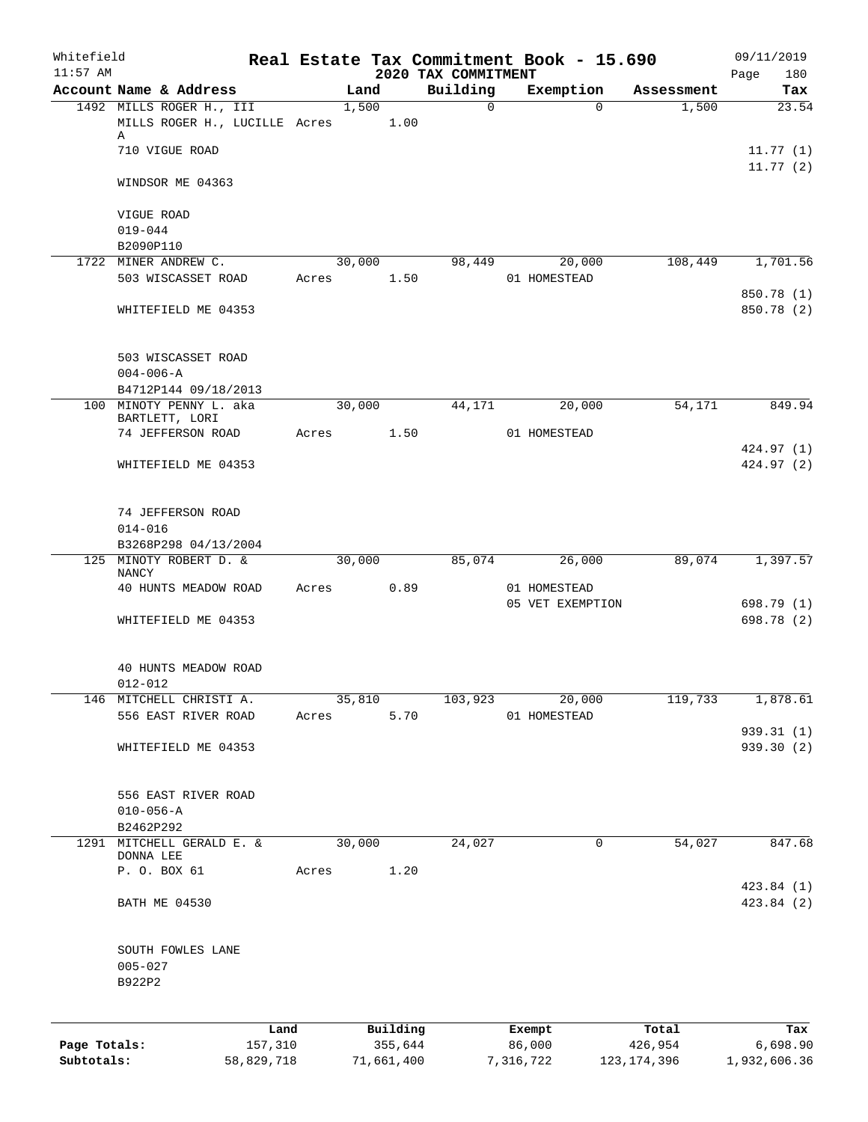| Whitefield<br>$11:57$ AM |                 |                                           |       |        |            | 2020 TAX COMMITMENT | Real Estate Tax Commitment Book - 15.690 |               | 09/11/2019<br>Page<br>180 |
|--------------------------|-----------------|-------------------------------------------|-------|--------|------------|---------------------|------------------------------------------|---------------|---------------------------|
|                          |                 | Account Name & Address                    |       | Land   |            | Building            | Exemption                                | Assessment    | Tax                       |
|                          |                 | 1492 MILLS ROGER H., III                  |       | 1,500  |            | $\mathsf{O}$        | $\Omega$                                 | 1,500         | 23.54                     |
|                          |                 | MILLS ROGER H., LUCILLE Acres             |       |        | 1.00       |                     |                                          |               |                           |
|                          | Α               | 710 VIGUE ROAD                            |       |        |            |                     |                                          |               | 11.77(1)                  |
|                          |                 |                                           |       |        |            |                     |                                          |               | 11.77(2)                  |
|                          |                 | WINDSOR ME 04363                          |       |        |            |                     |                                          |               |                           |
|                          | VIGUE ROAD      |                                           |       |        |            |                     |                                          |               |                           |
|                          | $019 - 044$     |                                           |       |        |            |                     |                                          |               |                           |
|                          | B2090P110       |                                           |       |        |            |                     |                                          |               |                           |
|                          |                 | 1722 MINER ANDREW C.                      |       | 30,000 |            | 98,449              | 20,000                                   | 108,449       | 1,701.56                  |
|                          |                 | 503 WISCASSET ROAD                        | Acres |        | 1.50       |                     | 01 HOMESTEAD                             |               |                           |
|                          |                 | WHITEFIELD ME 04353                       |       |        |            |                     |                                          |               | 850.78 (1)<br>850.78 (2)  |
|                          |                 |                                           |       |        |            |                     |                                          |               |                           |
|                          |                 | 503 WISCASSET ROAD                        |       |        |            |                     |                                          |               |                           |
|                          | $004 - 006 - A$ |                                           |       |        |            |                     |                                          |               |                           |
|                          |                 | B4712P144 09/18/2013                      |       |        |            |                     |                                          |               |                           |
|                          |                 | 100 MINOTY PENNY L. aka<br>BARTLETT, LORI |       | 30,000 |            | 44,171              | 20,000                                   | 54,171        | 849.94                    |
|                          |                 | 74 JEFFERSON ROAD                         | Acres |        | 1.50       |                     | 01 HOMESTEAD                             |               |                           |
|                          |                 |                                           |       |        |            |                     |                                          |               | 424.97 (1)                |
|                          |                 | WHITEFIELD ME 04353                       |       |        |            |                     |                                          |               | 424.97 (2)                |
|                          |                 | 74 JEFFERSON ROAD                         |       |        |            |                     |                                          |               |                           |
|                          | $014 - 016$     |                                           |       |        |            |                     |                                          |               |                           |
|                          |                 | B3268P298 04/13/2004                      |       |        |            |                     |                                          |               |                           |
|                          | NANCY           | 125 MINOTY ROBERT D. &                    |       | 30,000 |            | 85,074              | 26,000                                   | 89,074        | 1,397.57                  |
|                          |                 | 40 HUNTS MEADOW ROAD                      | Acres |        | 0.89       |                     | 01 HOMESTEAD                             |               |                           |
|                          |                 |                                           |       |        |            |                     | 05 VET EXEMPTION                         |               | 698.79 (1)                |
|                          |                 | WHITEFIELD ME 04353                       |       |        |            |                     |                                          |               | 698.78 (2)                |
|                          |                 | 40 HUNTS MEADOW ROAD                      |       |        |            |                     |                                          |               |                           |
|                          | $012 - 012$     |                                           |       |        |            |                     |                                          |               |                           |
| 146                      |                 | MITCHELL CHRISTI A.                       |       | 35,810 |            | 103,923             | 20,000                                   | 119,733       | 1,878.61                  |
|                          |                 | 556 EAST RIVER ROAD                       | Acres |        | 5.70       |                     | 01 HOMESTEAD                             |               |                           |
|                          |                 | WHITEFIELD ME 04353                       |       |        |            |                     |                                          |               | 939.31 (1)                |
|                          |                 |                                           |       |        |            |                     |                                          |               | 939.30 (2)                |
|                          |                 | 556 EAST RIVER ROAD                       |       |        |            |                     |                                          |               |                           |
|                          | $010 - 056 - A$ |                                           |       |        |            |                     |                                          |               |                           |
|                          | B2462P292       |                                           |       |        |            |                     |                                          |               |                           |
| 1291                     |                 | MITCHELL GERALD E. &                      |       | 30,000 |            | 24,027              | 0                                        | 54,027        | 847.68                    |
|                          | DONNA LEE       | P. O. BOX 61                              | Acres |        | 1.20       |                     |                                          |               |                           |
|                          |                 |                                           |       |        |            |                     |                                          |               | 423.84 (1)                |
|                          |                 | <b>BATH ME 04530</b>                      |       |        |            |                     |                                          |               | 423.84 (2)                |
|                          |                 | SOUTH FOWLES LANE                         |       |        |            |                     |                                          |               |                           |
|                          | $005 - 027$     |                                           |       |        |            |                     |                                          |               |                           |
|                          | B922P2          |                                           |       |        |            |                     |                                          |               |                           |
|                          |                 | Land                                      |       |        | Building   |                     | Exempt                                   | Total         | Tax                       |
| Page Totals:             |                 | 157,310                                   |       |        | 355,644    |                     | 86,000                                   | 426,954       | 6,698.90                  |
| Subtotals:               |                 | 58,829,718                                |       |        | 71,661,400 |                     | 7,316,722                                | 123, 174, 396 | 1,932,606.36              |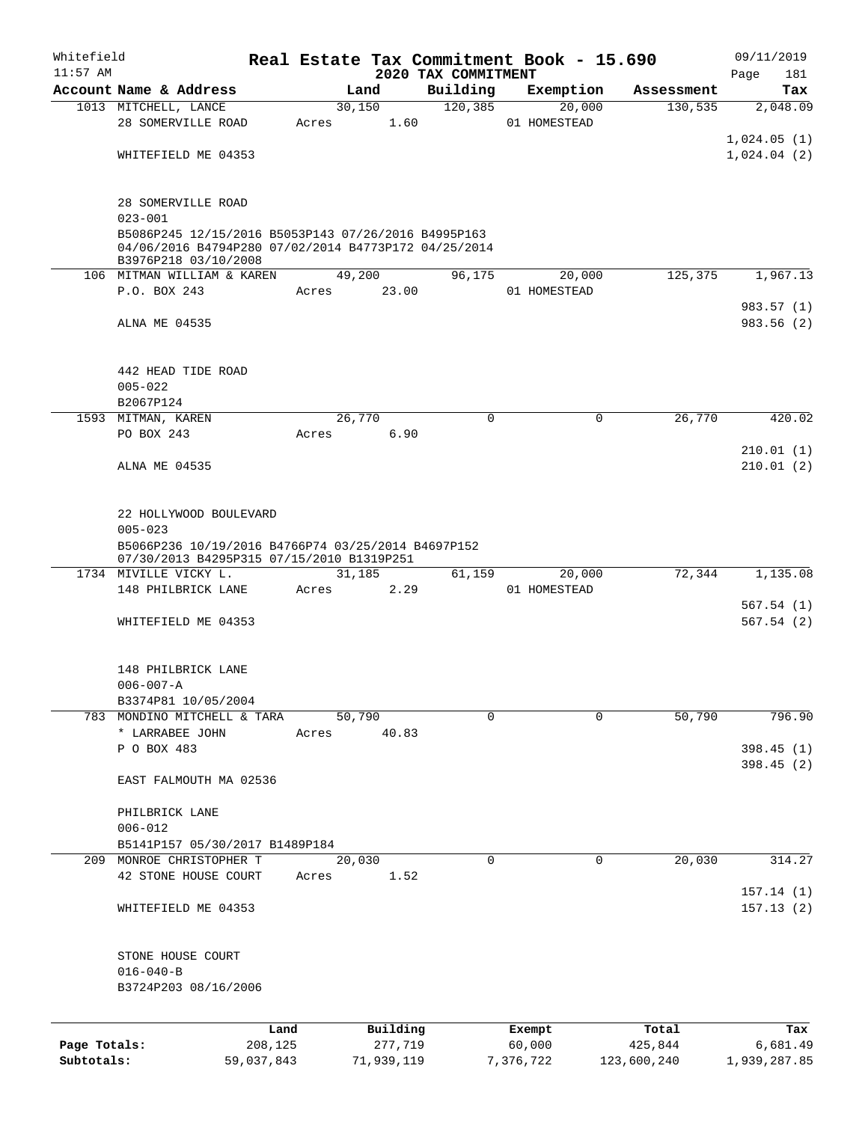| Whitefield   |                                                                                                                                     |            |        |            |                     | Real Estate Tax Commitment Book - 15.690 |                       | 09/11/2019   |
|--------------|-------------------------------------------------------------------------------------------------------------------------------------|------------|--------|------------|---------------------|------------------------------------------|-----------------------|--------------|
| $11:57$ AM   |                                                                                                                                     |            |        |            | 2020 TAX COMMITMENT |                                          |                       | Page<br>181  |
|              | Account Name & Address                                                                                                              |            |        | Land       | Building            | Exemption                                | Assessment            | Tax          |
|              | 1013 MITCHELL, LANCE                                                                                                                |            | 30,150 |            | 120, 385            | 20,000                                   | 130,535               | 2,048.09     |
|              | 28 SOMERVILLE ROAD                                                                                                                  |            | Acres  | 1.60       |                     | 01 HOMESTEAD                             |                       |              |
|              |                                                                                                                                     |            |        |            |                     |                                          |                       | 1,024.05(1)  |
|              | WHITEFIELD ME 04353                                                                                                                 |            |        |            |                     |                                          |                       | 1,024.04(2)  |
|              | 28 SOMERVILLE ROAD                                                                                                                  |            |        |            |                     |                                          |                       |              |
|              | $023 - 001$                                                                                                                         |            |        |            |                     |                                          |                       |              |
|              | B5086P245 12/15/2016 B5053P143 07/26/2016 B4995P163<br>04/06/2016 B4794P280 07/02/2014 B4773P172 04/25/2014<br>B3976P218 03/10/2008 |            |        |            |                     |                                          |                       |              |
|              | 106 MITMAN WILLIAM & KAREN                                                                                                          |            | 49,200 |            | 96,175              | 20,000                                   | 125,375               | 1,967.13     |
|              | P.O. BOX 243                                                                                                                        |            | Acres  | 23.00      |                     | 01 HOMESTEAD                             |                       |              |
|              |                                                                                                                                     |            |        |            |                     |                                          |                       | 983.57 (1)   |
|              | ALNA ME 04535                                                                                                                       |            |        |            |                     |                                          |                       | 983.56(2)    |
|              | 442 HEAD TIDE ROAD                                                                                                                  |            |        |            |                     |                                          |                       |              |
|              | $005 - 022$                                                                                                                         |            |        |            |                     |                                          |                       |              |
|              | B2067P124                                                                                                                           |            |        |            |                     |                                          |                       |              |
|              | 1593 MITMAN, KAREN                                                                                                                  |            | 26,770 |            | $\Omega$            |                                          | $\mathbf 0$<br>26,770 | 420.02       |
|              | PO BOX 243                                                                                                                          |            | Acres  | 6.90       |                     |                                          |                       |              |
|              |                                                                                                                                     |            |        |            |                     |                                          |                       | 210.01(1)    |
|              | ALNA ME 04535                                                                                                                       |            |        |            |                     |                                          |                       | 210.01(2)    |
|              | 22 HOLLYWOOD BOULEVARD                                                                                                              |            |        |            |                     |                                          |                       |              |
|              | $005 - 023$                                                                                                                         |            |        |            |                     |                                          |                       |              |
|              | B5066P236 10/19/2016 B4766P74 03/25/2014 B4697P152<br>07/30/2013 B4295P315 07/15/2010 B1319P251                                     |            |        |            |                     |                                          |                       |              |
|              | 1734 MIVILLE VICKY L.                                                                                                               |            | 31,185 |            | 61,159              | 20,000                                   | 72,344                | 1,135.08     |
|              | 148 PHILBRICK LANE                                                                                                                  |            | Acres  | 2.29       |                     | 01 HOMESTEAD                             |                       |              |
|              |                                                                                                                                     |            |        |            |                     |                                          |                       | 567.54(1)    |
|              | WHITEFIELD ME 04353                                                                                                                 |            |        |            |                     |                                          |                       | 567.54(2)    |
|              | 148 PHILBRICK LANE                                                                                                                  |            |        |            |                     |                                          |                       |              |
|              | $006 - 007 - A$                                                                                                                     |            |        |            |                     |                                          |                       |              |
|              | B3374P81 10/05/2004                                                                                                                 |            |        |            |                     |                                          |                       |              |
|              | 783 MONDINO MITCHELL & TARA                                                                                                         |            | 50,790 |            | $\Omega$            |                                          | 50,790<br>$\Omega$    | 796.90       |
|              | * LARRABEE JOHN                                                                                                                     |            | Acres  | 40.83      |                     |                                          |                       |              |
|              | P O BOX 483                                                                                                                         |            |        |            |                     |                                          |                       | 398.45(1)    |
|              | EAST FALMOUTH MA 02536                                                                                                              |            |        |            |                     |                                          |                       | 398.45(2)    |
|              | PHILBRICK LANE                                                                                                                      |            |        |            |                     |                                          |                       |              |
|              | $006 - 012$                                                                                                                         |            |        |            |                     |                                          |                       |              |
|              | B5141P157 05/30/2017 B1489P184                                                                                                      |            |        |            |                     |                                          |                       |              |
|              | 209 MONROE CHRISTOPHER T                                                                                                            |            | 20,030 |            | 0                   |                                          | 20,030<br>0           | 314.27       |
|              | 42 STONE HOUSE COURT                                                                                                                |            | Acres  | 1.52       |                     |                                          |                       | 157.14(1)    |
|              | WHITEFIELD ME 04353                                                                                                                 |            |        |            |                     |                                          |                       | 157.13(2)    |
|              | STONE HOUSE COURT                                                                                                                   |            |        |            |                     |                                          |                       |              |
|              | $016 - 040 - B$                                                                                                                     |            |        |            |                     |                                          |                       |              |
|              | B3724P203 08/16/2006                                                                                                                |            |        |            |                     |                                          |                       |              |
|              |                                                                                                                                     | Land       |        | Building   |                     | Exempt                                   | Total                 | Tax          |
| Page Totals: |                                                                                                                                     | 208,125    |        | 277,719    |                     | 60,000                                   | 425,844               | 6,681.49     |
| Subtotals:   |                                                                                                                                     | 59,037,843 |        | 71,939,119 |                     | 7,376,722                                | 123,600,240           | 1,939,287.85 |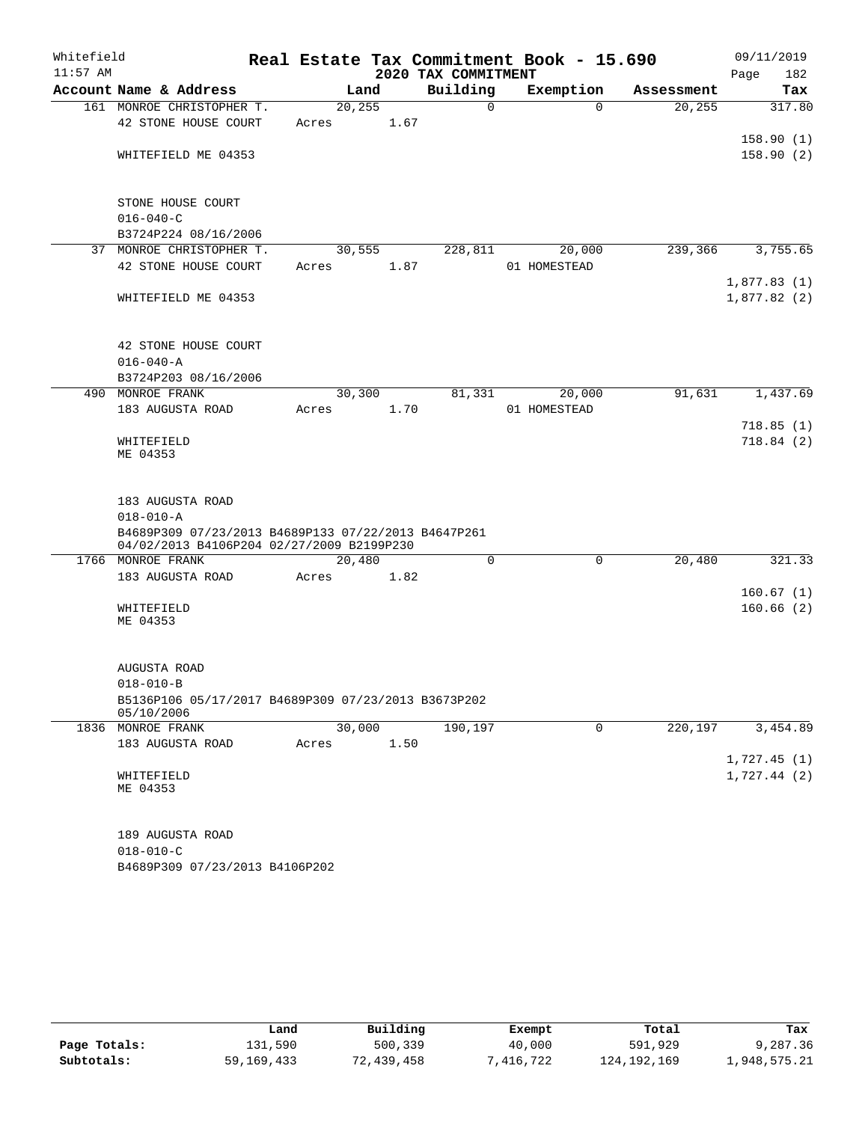| Whitefield |                                                                   |         |      |                     | Real Estate Tax Commitment Book - 15.690 |            | 09/11/2019  |
|------------|-------------------------------------------------------------------|---------|------|---------------------|------------------------------------------|------------|-------------|
| $11:57$ AM |                                                                   |         |      | 2020 TAX COMMITMENT |                                          |            | 182<br>Page |
|            | Account Name & Address                                            |         | Land | Building            | Exemption                                | Assessment | Tax         |
|            | 161 MONROE CHRISTOPHER T.                                         | 20, 255 |      | $\mathbf 0$         | $\Omega$                                 | 20, 255    | 317.80      |
|            | 42 STONE HOUSE COURT                                              | Acres   | 1.67 |                     |                                          |            |             |
|            |                                                                   |         |      |                     |                                          |            | 158.90(1)   |
|            | WHITEFIELD ME 04353                                               |         |      |                     |                                          |            | 158.90(2)   |
|            |                                                                   |         |      |                     |                                          |            |             |
|            | STONE HOUSE COURT                                                 |         |      |                     |                                          |            |             |
|            | $016 - 040 - C$                                                   |         |      |                     |                                          |            |             |
|            | B3724P224 08/16/2006                                              |         |      |                     |                                          |            |             |
|            | 37 MONROE CHRISTOPHER T.                                          | 30,555  |      | 228,811             | 20,000                                   | 239,366    | 3,755.65    |
|            | 42 STONE HOUSE COURT                                              | Acres   | 1.87 |                     | 01 HOMESTEAD                             |            |             |
|            |                                                                   |         |      |                     |                                          |            | 1,877.83(1) |
|            | WHITEFIELD ME 04353                                               |         |      |                     |                                          |            | 1,877.82(2) |
|            |                                                                   |         |      |                     |                                          |            |             |
|            |                                                                   |         |      |                     |                                          |            |             |
|            | 42 STONE HOUSE COURT                                              |         |      |                     |                                          |            |             |
|            | $016 - 040 - A$                                                   |         |      |                     |                                          |            |             |
|            | B3724P203 08/16/2006                                              |         |      |                     |                                          |            |             |
|            | 490 MONROE FRANK                                                  | 30,300  |      | 81,331              | 20,000                                   | 91,631     | 1,437.69    |
|            | 183 AUGUSTA ROAD                                                  | Acres   | 1.70 |                     | 01 HOMESTEAD                             |            |             |
|            |                                                                   |         |      |                     |                                          |            | 718.85(1)   |
|            | WHITEFIELD<br>ME 04353                                            |         |      |                     |                                          |            | 718.84(2)   |
|            |                                                                   |         |      |                     |                                          |            |             |
|            |                                                                   |         |      |                     |                                          |            |             |
|            | 183 AUGUSTA ROAD                                                  |         |      |                     |                                          |            |             |
|            | $018 - 010 - A$                                                   |         |      |                     |                                          |            |             |
|            | B4689P309 07/23/2013 B4689P133 07/22/2013 B4647P261               |         |      |                     |                                          |            |             |
|            | 04/02/2013 B4106P204 02/27/2009 B2199P230                         |         |      |                     |                                          |            |             |
|            | 1766 MONROE FRANK                                                 | 20,480  |      | 0                   | 0                                        | 20,480     | 321.33      |
|            | 183 AUGUSTA ROAD                                                  | Acres   | 1.82 |                     |                                          |            | 160.67(1)   |
|            | WHITEFIELD                                                        |         |      |                     |                                          |            | 160.66(2)   |
|            | ME 04353                                                          |         |      |                     |                                          |            |             |
|            |                                                                   |         |      |                     |                                          |            |             |
|            |                                                                   |         |      |                     |                                          |            |             |
|            | AUGUSTA ROAD                                                      |         |      |                     |                                          |            |             |
|            | $018 - 010 - B$                                                   |         |      |                     |                                          |            |             |
|            | B5136P106 05/17/2017 B4689P309 07/23/2013 B3673P202<br>05/10/2006 |         |      |                     |                                          |            |             |
|            | 1836 MONROE FRANK                                                 | 30,000  |      | 190,197             | $\mathbf 0$                              | 220, 197   | 3,454.89    |
|            | 183 AUGUSTA ROAD                                                  | Acres   | 1.50 |                     |                                          |            |             |
|            |                                                                   |         |      |                     |                                          |            | 1,727.45(1) |
|            | WHITEFIELD                                                        |         |      |                     |                                          |            | 1,727.44(2) |
|            | ME 04353                                                          |         |      |                     |                                          |            |             |
|            |                                                                   |         |      |                     |                                          |            |             |
|            |                                                                   |         |      |                     |                                          |            |             |
|            | 189 AUGUSTA ROAD                                                  |         |      |                     |                                          |            |             |
|            | $018 - 010 - C$                                                   |         |      |                     |                                          |            |             |
|            | B4689P309 07/23/2013 B4106P202                                    |         |      |                     |                                          |            |             |

|              | Land         | Building   | Exempt     | Total       | Tax          |
|--------------|--------------|------------|------------|-------------|--------------|
| Page Totals: | 131,590      | 500,339    | 40,000     | 591,929     | 9,287.36     |
| Subtotals:   | 59, 169, 433 | 72,439,458 | 1,416,722" | 124,192,169 | l,948,575.21 |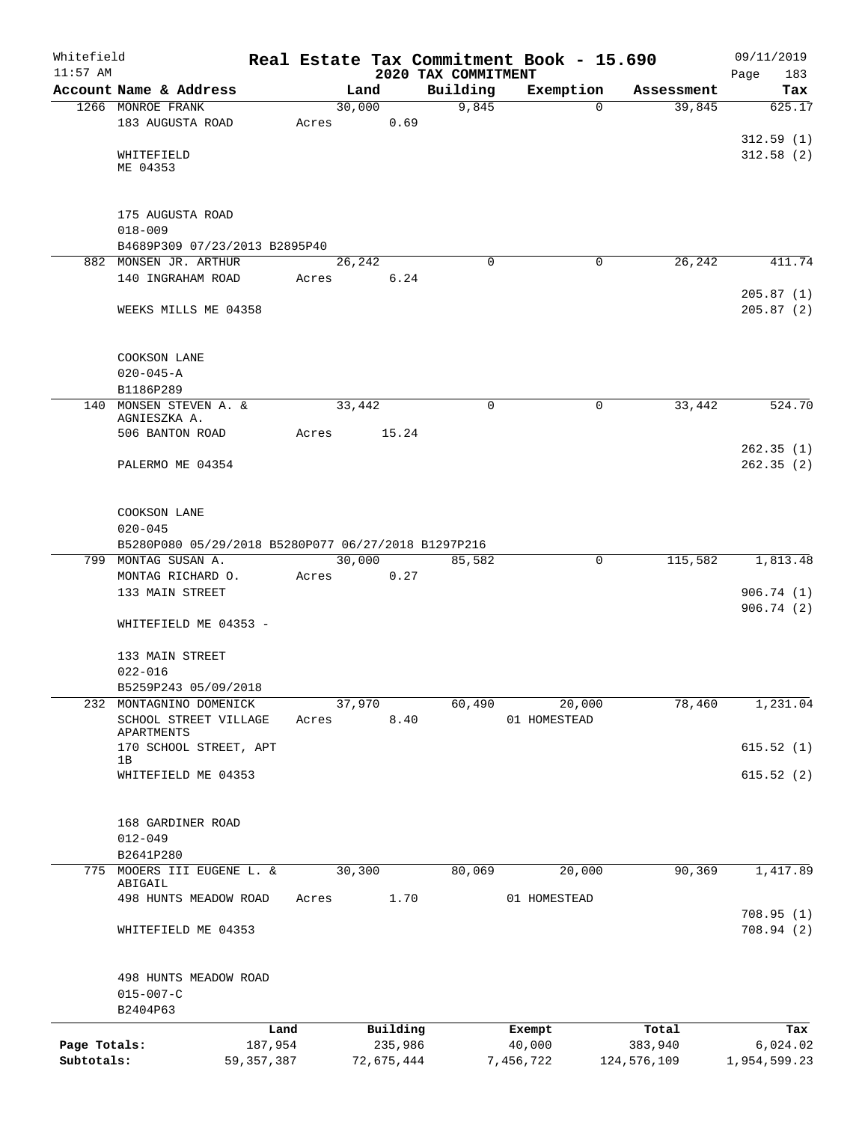| Whitefield<br>$11:57$ AM |                                                     |              |       |                | 2020 TAX COMMITMENT | Real Estate Tax Commitment Book - 15.690 |             | 09/11/2019<br>183<br>Page |
|--------------------------|-----------------------------------------------------|--------------|-------|----------------|---------------------|------------------------------------------|-------------|---------------------------|
|                          | Account Name & Address                              |              |       | Land           | Building            | Exemption                                | Assessment  | Tax                       |
|                          | 1266 MONROE FRANK                                   |              |       | 30,000         | 9,845               | $\Omega$                                 | 39,845      | 625.17                    |
|                          | 183 AUGUSTA ROAD                                    |              | Acres | 0.69           |                     |                                          |             |                           |
|                          |                                                     |              |       |                |                     |                                          |             | 312.59(1)                 |
|                          | WHITEFIELD                                          |              |       |                |                     |                                          |             | 312.58(2)                 |
|                          | ME 04353                                            |              |       |                |                     |                                          |             |                           |
|                          |                                                     |              |       |                |                     |                                          |             |                           |
|                          | 175 AUGUSTA ROAD                                    |              |       |                |                     |                                          |             |                           |
|                          | $018 - 009$                                         |              |       |                |                     |                                          |             |                           |
|                          | B4689P309 07/23/2013 B2895P40                       |              |       |                |                     |                                          |             |                           |
|                          | 882 MONSEN JR. ARTHUR<br>140 INGRAHAM ROAD          |              | Acres | 26,242<br>6.24 | $\Omega$            | 0                                        | 26,242      | 411.74                    |
|                          |                                                     |              |       |                |                     |                                          |             | 205.87(1)                 |
|                          | WEEKS MILLS ME 04358                                |              |       |                |                     |                                          |             | 205.87(2)                 |
|                          |                                                     |              |       |                |                     |                                          |             |                           |
|                          |                                                     |              |       |                |                     |                                          |             |                           |
|                          | COOKSON LANE                                        |              |       |                |                     |                                          |             |                           |
|                          | $020 - 045 - A$                                     |              |       |                |                     |                                          |             |                           |
|                          | B1186P289                                           |              |       |                |                     |                                          |             |                           |
|                          | 140 MONSEN STEVEN A. &<br>AGNIESZKA A.              |              |       | 33,442         | 0                   | 0                                        | 33,442      | 524.70                    |
|                          | 506 BANTON ROAD                                     |              | Acres | 15.24          |                     |                                          |             |                           |
|                          |                                                     |              |       |                |                     |                                          |             | 262.35(1)                 |
|                          | PALERMO ME 04354                                    |              |       |                |                     |                                          |             | 262.35(2)                 |
|                          |                                                     |              |       |                |                     |                                          |             |                           |
|                          |                                                     |              |       |                |                     |                                          |             |                           |
|                          | COOKSON LANE<br>$020 - 045$                         |              |       |                |                     |                                          |             |                           |
|                          | B5280P080 05/29/2018 B5280P077 06/27/2018 B1297P216 |              |       |                |                     |                                          |             |                           |
|                          | 799 MONTAG SUSAN A.                                 |              |       | 30,000         | 85,582              | $\mathbf 0$                              | 115,582     | 1,813.48                  |
|                          | MONTAG RICHARD O.                                   |              | Acres | 0.27           |                     |                                          |             |                           |
|                          | 133 MAIN STREET                                     |              |       |                |                     |                                          |             | 906.74(1)                 |
|                          |                                                     |              |       |                |                     |                                          |             | 906.74(2)                 |
|                          | WHITEFIELD ME 04353 -                               |              |       |                |                     |                                          |             |                           |
|                          | 133 MAIN STREET                                     |              |       |                |                     |                                          |             |                           |
|                          | $022 - 016$                                         |              |       |                |                     |                                          |             |                           |
|                          | B5259P243 05/09/2018                                |              |       |                |                     |                                          |             |                           |
|                          | 232 MONTAGNINO DOMENICK                             |              |       | 37,970         | 60,490              | 20,000                                   | 78,460      | 1,231.04                  |
|                          | SCHOOL STREET VILLAGE                               |              | Acres | 8.40           |                     | 01 HOMESTEAD                             |             |                           |
|                          | APARTMENTS<br>170 SCHOOL STREET, APT                |              |       |                |                     |                                          |             | 615.52(1)                 |
|                          | 1B                                                  |              |       |                |                     |                                          |             |                           |
|                          | WHITEFIELD ME 04353                                 |              |       |                |                     |                                          |             | 615.52(2)                 |
|                          |                                                     |              |       |                |                     |                                          |             |                           |
|                          | 168 GARDINER ROAD                                   |              |       |                |                     |                                          |             |                           |
|                          | $012 - 049$                                         |              |       |                |                     |                                          |             |                           |
|                          | B2641P280                                           |              |       |                |                     |                                          |             |                           |
| 775                      | MOOERS III EUGENE L. &                              |              |       | 30,300         | 80,069              | 20,000                                   | 90,369      | 1,417.89                  |
|                          | ABIGAIL                                             |              |       |                |                     |                                          |             |                           |
|                          | 498 HUNTS MEADOW ROAD                               |              | Acres | 1.70           |                     | 01 HOMESTEAD                             |             | 708.95(1)                 |
|                          | WHITEFIELD ME 04353                                 |              |       |                |                     |                                          |             | 708.94(2)                 |
|                          |                                                     |              |       |                |                     |                                          |             |                           |
|                          |                                                     |              |       |                |                     |                                          |             |                           |
|                          | 498 HUNTS MEADOW ROAD                               |              |       |                |                     |                                          |             |                           |
|                          | $015 - 007 - C$                                     |              |       |                |                     |                                          |             |                           |
|                          | B2404P63                                            |              |       |                |                     |                                          |             |                           |
|                          |                                                     | Land         |       | Building       |                     | Exempt                                   | Total       | Tax                       |
| Page Totals:             |                                                     | 187,954      |       | 235,986        |                     | 40,000                                   | 383,940     | 6,024.02                  |
| Subtotals:               |                                                     | 59, 357, 387 |       | 72,675,444     |                     | 7,456,722                                | 124,576,109 | 1,954,599.23              |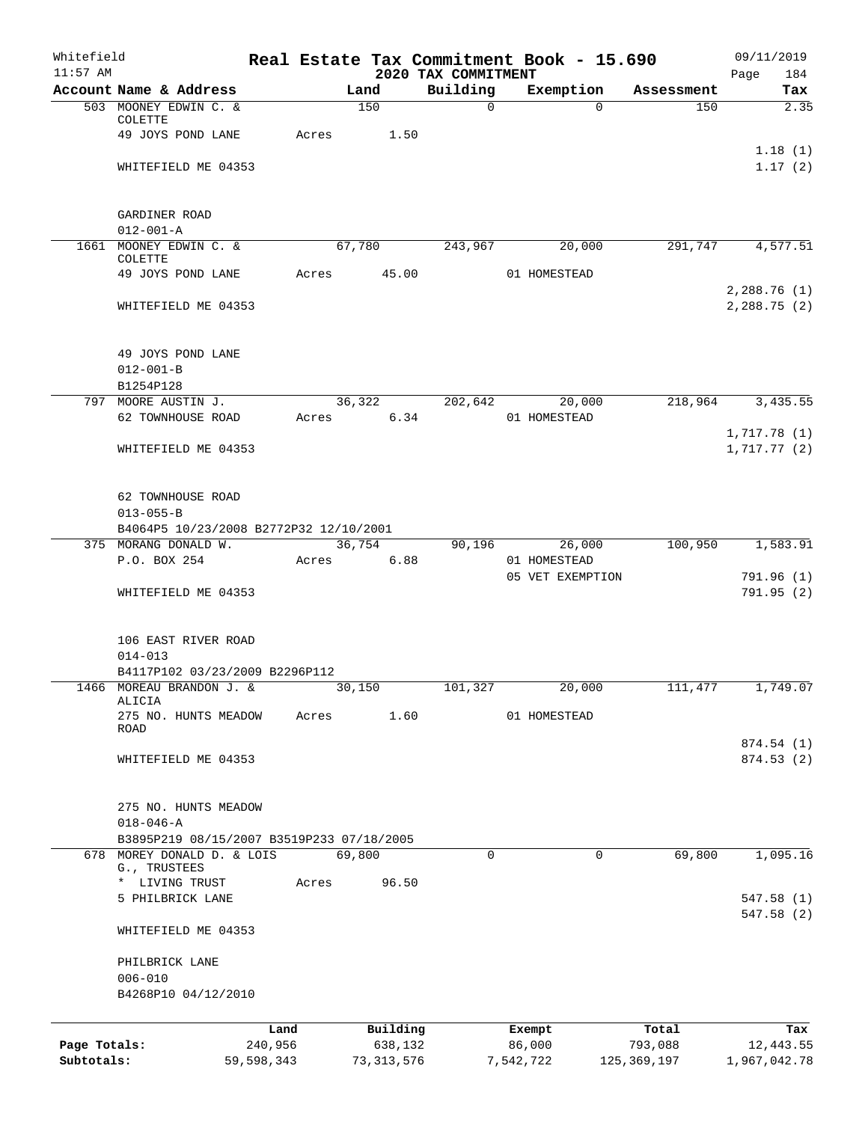| Whitefield<br>$11:57$ AM |                                           |            |        |              | 2020 TAX COMMITMENT | Real Estate Tax Commitment Book - 15.690 |             | 09/11/2019<br>Page<br>184  |
|--------------------------|-------------------------------------------|------------|--------|--------------|---------------------|------------------------------------------|-------------|----------------------------|
|                          | Account Name & Address                    |            | Land   |              | Building            | Exemption                                | Assessment  | Tax                        |
|                          | 503 MOONEY EDWIN C. &                     |            |        | 150          | $\Omega$            | $\Omega$                                 | 150         | 2.35                       |
|                          | COLETTE                                   |            |        |              |                     |                                          |             |                            |
|                          | 49 JOYS POND LANE                         | Acres      |        | 1.50         |                     |                                          |             | 1.18(1)                    |
|                          | WHITEFIELD ME 04353                       |            |        |              |                     |                                          |             | 1.17(2)                    |
|                          |                                           |            |        |              |                     |                                          |             |                            |
|                          |                                           |            |        |              |                     |                                          |             |                            |
|                          | GARDINER ROAD                             |            |        |              |                     |                                          |             |                            |
|                          | $012 - 001 - A$<br>1661 MOONEY EDWIN C. & |            | 67,780 |              | 243,967             | 20,000                                   | 291,747     | 4,577.51                   |
|                          | COLETTE                                   |            |        |              |                     |                                          |             |                            |
|                          | 49 JOYS POND LANE                         | Acres      |        | 45.00        |                     | 01 HOMESTEAD                             |             |                            |
|                          |                                           |            |        |              |                     |                                          |             | 2,288.76(1)                |
|                          | WHITEFIELD ME 04353                       |            |        |              |                     |                                          |             | 2,288.75(2)                |
|                          |                                           |            |        |              |                     |                                          |             |                            |
|                          | 49 JOYS POND LANE                         |            |        |              |                     |                                          |             |                            |
|                          | $012 - 001 - B$                           |            |        |              |                     |                                          |             |                            |
|                          | B1254P128                                 |            |        |              |                     |                                          |             |                            |
|                          | 797 MOORE AUSTIN J.                       |            |        | 36,322       | 202,642             | 20,000                                   | 218,964     | 3,435.55                   |
|                          | 62 TOWNHOUSE ROAD                         | Acres      |        | 6.34         |                     | 01 HOMESTEAD                             |             |                            |
|                          | WHITEFIELD ME 04353                       |            |        |              |                     |                                          |             | 1,717.78(1)<br>1,717.77(2) |
|                          |                                           |            |        |              |                     |                                          |             |                            |
|                          |                                           |            |        |              |                     |                                          |             |                            |
|                          | 62 TOWNHOUSE ROAD                         |            |        |              |                     |                                          |             |                            |
|                          | $013 - 055 - B$                           |            |        |              |                     |                                          |             |                            |
|                          | B4064P5 10/23/2008 B2772P32 12/10/2001    |            |        |              |                     |                                          |             |                            |
|                          | 375 MORANG DONALD W.<br>P.O. BOX 254      | Acres      | 36,754 | 6.88         | 90,196              | 26,000<br>01 HOMESTEAD                   | 100,950     | 1,583.91                   |
|                          |                                           |            |        |              |                     | 05 VET EXEMPTION                         |             | 791.96 (1)                 |
|                          | WHITEFIELD ME 04353                       |            |        |              |                     |                                          |             | 791.95(2)                  |
|                          |                                           |            |        |              |                     |                                          |             |                            |
|                          |                                           |            |        |              |                     |                                          |             |                            |
|                          | 106 EAST RIVER ROAD<br>$014 - 013$        |            |        |              |                     |                                          |             |                            |
|                          | B4117P102 03/23/2009 B2296P112            |            |        |              |                     |                                          |             |                            |
|                          | 1466 MOREAU BRANDON J. &                  |            | 30,150 |              | 101,327             | 20,000                                   | 111,477     | 1,749.07                   |
|                          | ALICIA                                    |            |        |              |                     |                                          |             |                            |
|                          | 275 NO. HUNTS MEADOW<br>ROAD              | Acres      |        | 1.60         |                     | 01 HOMESTEAD                             |             |                            |
|                          |                                           |            |        |              |                     |                                          |             | 874.54 (1)                 |
|                          | WHITEFIELD ME 04353                       |            |        |              |                     |                                          |             | 874.53(2)                  |
|                          |                                           |            |        |              |                     |                                          |             |                            |
|                          | 275 NO. HUNTS MEADOW                      |            |        |              |                     |                                          |             |                            |
|                          | $018 - 046 - A$                           |            |        |              |                     |                                          |             |                            |
|                          | B3895P219 08/15/2007 B3519P233 07/18/2005 |            |        |              |                     |                                          |             |                            |
| 678                      | MOREY DONALD D. & LOIS                    |            | 69,800 |              | $\Omega$            | $\mathbf 0$                              | 69,800      | 1,095.16                   |
|                          | G., TRUSTEES                              |            |        |              |                     |                                          |             |                            |
|                          | * LIVING TRUST<br>5 PHILBRICK LANE        | Acres      |        | 96.50        |                     |                                          |             | 547.58 (1)                 |
|                          |                                           |            |        |              |                     |                                          |             | 547.58 (2)                 |
|                          | WHITEFIELD ME 04353                       |            |        |              |                     |                                          |             |                            |
|                          |                                           |            |        |              |                     |                                          |             |                            |
|                          | PHILBRICK LANE                            |            |        |              |                     |                                          |             |                            |
|                          | $006 - 010$<br>B4268P10 04/12/2010        |            |        |              |                     |                                          |             |                            |
|                          |                                           |            |        |              |                     |                                          |             |                            |
|                          |                                           | Land       |        | Building     |                     | Exempt                                   | Total       | Tax                        |
| Page Totals:             |                                           | 240,956    |        | 638,132      |                     | 86,000                                   | 793,088     | 12,443.55                  |
| Subtotals:               |                                           | 59,598,343 |        | 73, 313, 576 |                     | 7,542,722                                | 125,369,197 | 1,967,042.78               |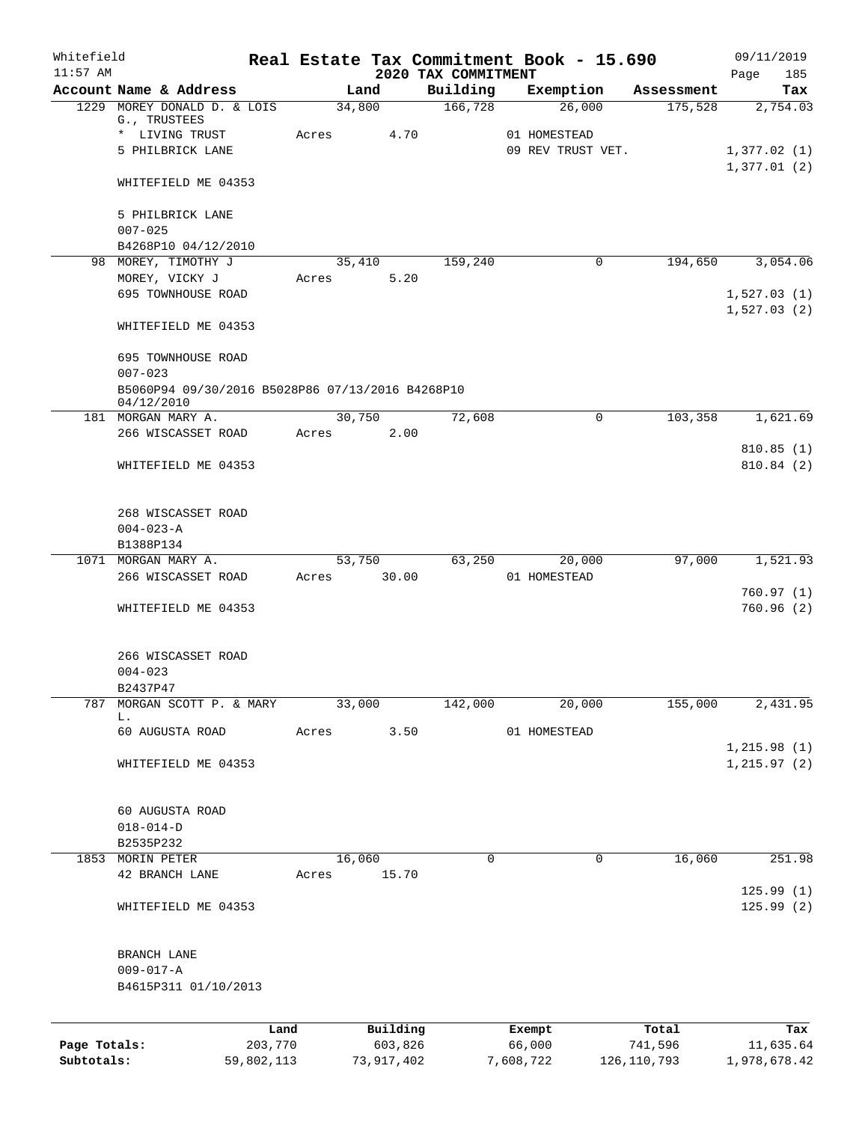| Whitefield<br>$11:57$ AM |                                                                |            |       |                |                                 |           | Real Estate Tax Commitment Book - 15.690 |             | 09/11/2019                 |
|--------------------------|----------------------------------------------------------------|------------|-------|----------------|---------------------------------|-----------|------------------------------------------|-------------|----------------------------|
|                          | Account Name & Address                                         |            |       | Land           | 2020 TAX COMMITMENT<br>Building |           | Exemption                                | Assessment  | Page<br>185<br>Tax         |
|                          | 1229 MOREY DONALD D. & LOIS                                    |            |       | 34,800         | 166,728                         |           | 26,000                                   | 175,528     | 2,754.03                   |
|                          | G., TRUSTEES                                                   |            |       |                |                                 |           |                                          |             |                            |
|                          | * LIVING TRUST                                                 |            | Acres | 4.70           |                                 |           | 01 HOMESTEAD<br>09 REV TRUST VET.        |             |                            |
|                          | 5 PHILBRICK LANE                                               |            |       |                |                                 |           |                                          |             | 1,377.02(1)<br>1,377.01(2) |
|                          | WHITEFIELD ME 04353                                            |            |       |                |                                 |           |                                          |             |                            |
|                          | 5 PHILBRICK LANE                                               |            |       |                |                                 |           |                                          |             |                            |
|                          | $007 - 025$                                                    |            |       |                |                                 |           |                                          |             |                            |
|                          | B4268P10 04/12/2010                                            |            |       |                |                                 |           |                                          |             |                            |
|                          | 98 MOREY, TIMOTHY J                                            |            |       | 35,410<br>5.20 | 159,240                         |           | 0                                        | 194,650     | 3,054.06                   |
|                          | MOREY, VICKY J<br>695 TOWNHOUSE ROAD                           |            | Acres |                |                                 |           |                                          |             | 1,527.03(1)                |
|                          |                                                                |            |       |                |                                 |           |                                          |             | 1,527.03(2)                |
|                          | WHITEFIELD ME 04353                                            |            |       |                |                                 |           |                                          |             |                            |
|                          | 695 TOWNHOUSE ROAD                                             |            |       |                |                                 |           |                                          |             |                            |
|                          | $007 - 023$                                                    |            |       |                |                                 |           |                                          |             |                            |
|                          | B5060P94 09/30/2016 B5028P86 07/13/2016 B4268P10<br>04/12/2010 |            |       |                |                                 |           |                                          |             |                            |
|                          | 181 MORGAN MARY A.                                             |            |       | 30,750         | 72,608                          |           | $\mathbf 0$                              | 103,358     | 1,621.69                   |
|                          | 266 WISCASSET ROAD                                             |            | Acres | 2.00           |                                 |           |                                          |             |                            |
|                          |                                                                |            |       |                |                                 |           |                                          |             | 810.85(1)                  |
|                          | WHITEFIELD ME 04353                                            |            |       |                |                                 |           |                                          |             | 810.84 (2)                 |
|                          | 268 WISCASSET ROAD                                             |            |       |                |                                 |           |                                          |             |                            |
|                          | $004 - 023 - A$                                                |            |       |                |                                 |           |                                          |             |                            |
|                          | B1388P134                                                      |            |       |                |                                 |           |                                          |             |                            |
|                          | 1071 MORGAN MARY A.                                            |            |       | 53,750         | 63,250                          |           | 20,000                                   | 97,000      | 1,521.93                   |
|                          | 266 WISCASSET ROAD                                             |            | Acres | 30.00          |                                 |           | 01 HOMESTEAD                             |             |                            |
|                          | WHITEFIELD ME 04353                                            |            |       |                |                                 |           |                                          |             | 760.97(1)<br>760.96(2)     |
|                          |                                                                |            |       |                |                                 |           |                                          |             |                            |
|                          | 266 WISCASSET ROAD                                             |            |       |                |                                 |           |                                          |             |                            |
|                          | $004 - 023$                                                    |            |       |                |                                 |           |                                          |             |                            |
|                          | B2437P47                                                       |            |       |                |                                 |           |                                          |             |                            |
| 787                      | MORGAN SCOTT P. & MARY<br>L.                                   |            |       | 33,000         | 142,000                         |           | 20,000                                   | 155,000     | 2,431.95                   |
|                          | 60 AUGUSTA ROAD                                                |            | Acres | 3.50           |                                 |           | 01 HOMESTEAD                             |             |                            |
|                          |                                                                |            |       |                |                                 |           |                                          |             | 1, 215.98(1)               |
|                          | WHITEFIELD ME 04353                                            |            |       |                |                                 |           |                                          |             | 1, 215.97(2)               |
|                          | 60 AUGUSTA ROAD                                                |            |       |                |                                 |           |                                          |             |                            |
|                          | $018 - 014 - D$                                                |            |       |                |                                 |           |                                          |             |                            |
|                          | B2535P232                                                      |            |       |                |                                 |           |                                          |             |                            |
|                          | 1853 MORIN PETER                                               |            |       | 16,060         | 0                               |           | 0                                        | 16,060      | 251.98                     |
|                          | 42 BRANCH LANE                                                 |            | Acres | 15.70          |                                 |           |                                          |             |                            |
|                          | WHITEFIELD ME 04353                                            |            |       |                |                                 |           |                                          |             | 125.99(1)<br>125.99(2)     |
|                          |                                                                |            |       |                |                                 |           |                                          |             |                            |
|                          | BRANCH LANE                                                    |            |       |                |                                 |           |                                          |             |                            |
|                          | $009 - 017 - A$                                                |            |       |                |                                 |           |                                          |             |                            |
|                          | B4615P311 01/10/2013                                           |            |       |                |                                 |           |                                          |             |                            |
|                          |                                                                | Land       |       | Building       |                                 |           | Exempt                                   | Total       | Tax                        |
| Page Totals:             |                                                                | 203,770    |       | 603,826        |                                 |           | 66,000                                   | 741,596     | 11,635.64                  |
| Subtotals:               |                                                                | 59,802,113 |       | 73,917,402     |                                 | 7,608,722 |                                          | 126,110,793 | 1,978,678.42               |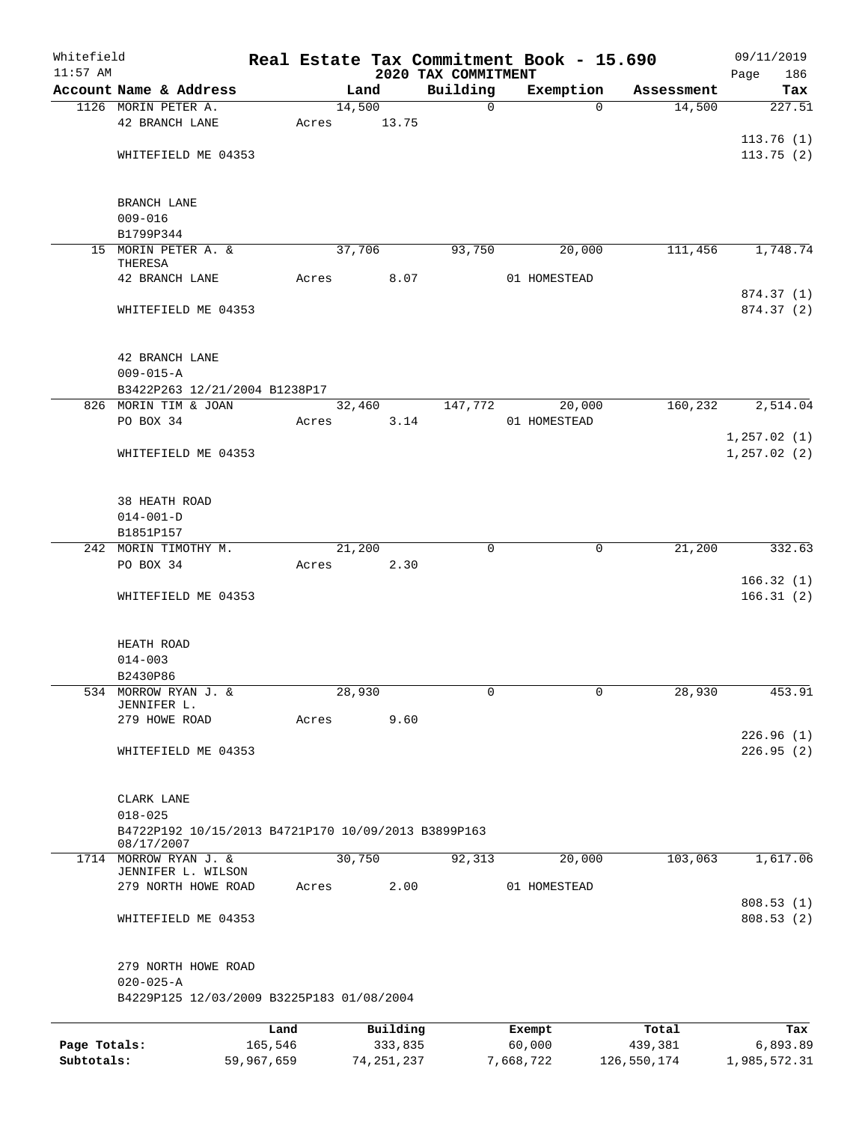| Whitefield<br>$11:57$ AM |                                                                   |            |       |              | 2020 TAX COMMITMENT | Real Estate Tax Commitment Book - 15.690 |                       | 09/11/2019<br>Page<br>186 |
|--------------------------|-------------------------------------------------------------------|------------|-------|--------------|---------------------|------------------------------------------|-----------------------|---------------------------|
|                          | Account Name & Address                                            |            |       | Land         | Building            | Exemption                                | Assessment            | Tax                       |
|                          | 1126 MORIN PETER A.                                               |            |       | 14,500       | 0                   |                                          | $\Omega$<br>14,500    | 227.51                    |
|                          | 42 BRANCH LANE                                                    |            | Acres | 13.75        |                     |                                          |                       |                           |
|                          |                                                                   |            |       |              |                     |                                          |                       | 113.76(1)                 |
|                          | WHITEFIELD ME 04353                                               |            |       |              |                     |                                          |                       | 113.75(2)                 |
|                          |                                                                   |            |       |              |                     |                                          |                       |                           |
|                          | BRANCH LANE                                                       |            |       |              |                     |                                          |                       |                           |
|                          | $009 - 016$                                                       |            |       |              |                     |                                          |                       |                           |
|                          | B1799P344                                                         |            |       |              |                     |                                          |                       |                           |
|                          | 15 MORIN PETER A. &                                               |            |       | 37,706       | 93,750              | 20,000                                   | 111,456               | 1,748.74                  |
|                          | THERESA                                                           |            |       |              |                     |                                          |                       |                           |
|                          | 42 BRANCH LANE                                                    |            | Acres | 8.07         |                     | 01 HOMESTEAD                             |                       |                           |
|                          |                                                                   |            |       |              |                     |                                          |                       | 874.37 (1)                |
|                          | WHITEFIELD ME 04353                                               |            |       |              |                     |                                          |                       | 874.37 (2)                |
|                          |                                                                   |            |       |              |                     |                                          |                       |                           |
|                          | 42 BRANCH LANE                                                    |            |       |              |                     |                                          |                       |                           |
|                          | $009 - 015 - A$                                                   |            |       |              |                     |                                          |                       |                           |
|                          | B3422P263 12/21/2004 B1238P17                                     |            |       |              |                     |                                          |                       |                           |
| 826                      | MORIN TIM & JOAN                                                  |            |       | 32,460       | 147,772             | 20,000                                   | 160,232               | 2,514.04                  |
|                          | PO BOX 34                                                         |            | Acres | 3.14         |                     | 01 HOMESTEAD                             |                       |                           |
|                          |                                                                   |            |       |              |                     |                                          |                       | 1, 257.02(1)              |
|                          | WHITEFIELD ME 04353                                               |            |       |              |                     |                                          |                       | 1, 257.02(2)              |
|                          |                                                                   |            |       |              |                     |                                          |                       |                           |
|                          | 38 HEATH ROAD                                                     |            |       |              |                     |                                          |                       |                           |
|                          | $014 - 001 - D$                                                   |            |       |              |                     |                                          |                       |                           |
|                          | B1851P157<br>242 MORIN TIMOTHY M.                                 |            |       | 21,200       | 0                   |                                          | 21,200<br>$\mathbf 0$ | 332.63                    |
|                          | PO BOX 34                                                         |            | Acres | 2.30         |                     |                                          |                       |                           |
|                          |                                                                   |            |       |              |                     |                                          |                       | 166.32(1)                 |
|                          | WHITEFIELD ME 04353                                               |            |       |              |                     |                                          |                       | 166.31(2)                 |
|                          |                                                                   |            |       |              |                     |                                          |                       |                           |
|                          | HEATH ROAD                                                        |            |       |              |                     |                                          |                       |                           |
|                          | $014 - 003$                                                       |            |       |              |                     |                                          |                       |                           |
|                          | B2430P86                                                          |            |       |              |                     |                                          |                       |                           |
|                          | 534 MORROW RYAN J. &                                              |            |       | 28,930       | 0                   |                                          | 0<br>28,930           | 453.91                    |
|                          | JENNIFER L.                                                       |            |       |              |                     |                                          |                       |                           |
|                          | 279 HOWE ROAD                                                     |            | Acres | 9.60         |                     |                                          |                       |                           |
|                          |                                                                   |            |       |              |                     |                                          |                       | 226.96(1)                 |
|                          | WHITEFIELD ME 04353                                               |            |       |              |                     |                                          |                       | 226.95(2)                 |
|                          |                                                                   |            |       |              |                     |                                          |                       |                           |
|                          | CLARK LANE                                                        |            |       |              |                     |                                          |                       |                           |
|                          | $018 - 025$                                                       |            |       |              |                     |                                          |                       |                           |
|                          | B4722P192 10/15/2013 B4721P170 10/09/2013 B3899P163<br>08/17/2007 |            |       |              |                     |                                          |                       |                           |
|                          | 1714 MORROW RYAN J. &<br>JENNIFER L. WILSON                       |            |       | 30,750       | 92,313              | 20,000                                   | 103,063               | 1,617.06                  |
|                          | 279 NORTH HOWE ROAD                                               |            | Acres | 2.00         |                     | 01 HOMESTEAD                             |                       |                           |
|                          |                                                                   |            |       |              |                     |                                          |                       | 808.53 (1)                |
|                          | WHITEFIELD ME 04353                                               |            |       |              |                     |                                          |                       | 808.53(2)                 |
|                          |                                                                   |            |       |              |                     |                                          |                       |                           |
|                          | 279 NORTH HOWE ROAD                                               |            |       |              |                     |                                          |                       |                           |
|                          | $020 - 025 - A$                                                   |            |       |              |                     |                                          |                       |                           |
|                          | B4229P125 12/03/2009 B3225P183 01/08/2004                         |            |       |              |                     |                                          |                       |                           |
|                          |                                                                   | Land       |       | Building     |                     | Exempt                                   | Total                 | Tax                       |
| Page Totals:             |                                                                   | 165,546    |       | 333,835      |                     | 60,000                                   | 439,381               | 6,893.89                  |
| Subtotals:               |                                                                   | 59,967,659 |       | 74, 251, 237 |                     | 7,668,722                                | 126,550,174           | 1,985,572.31              |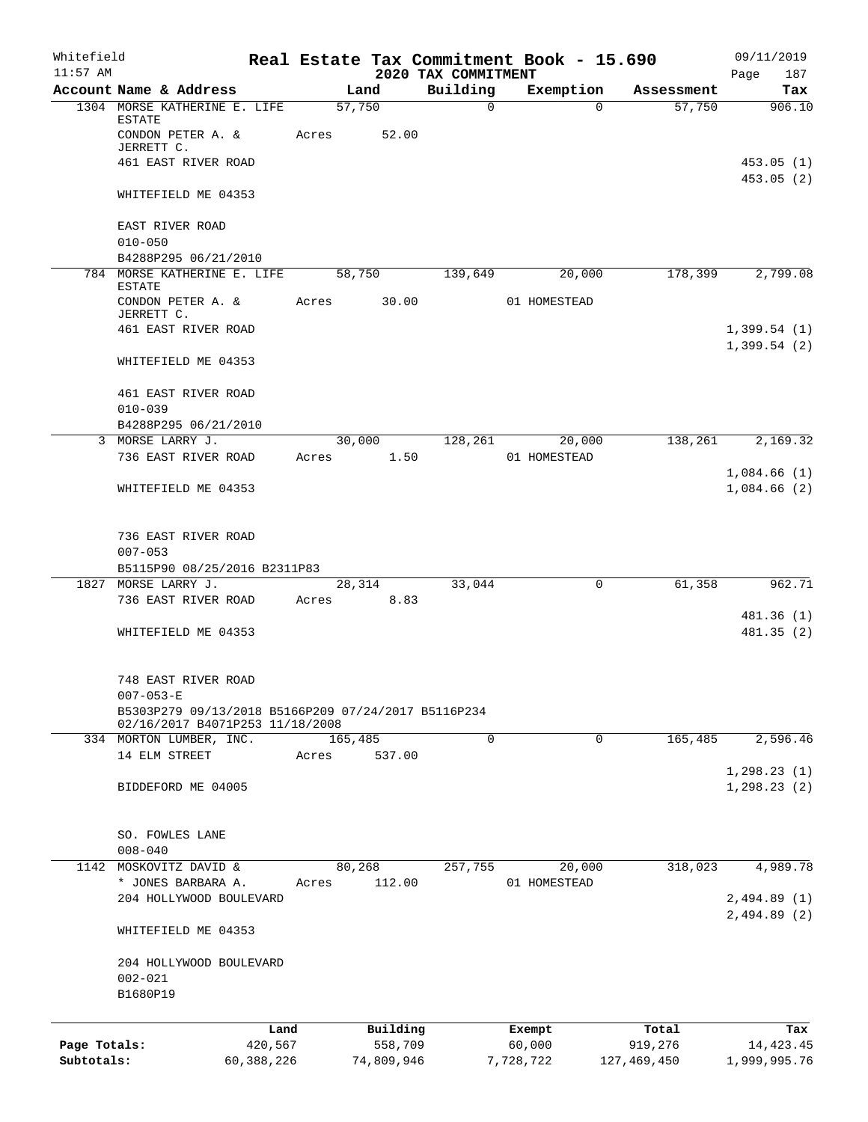| Whitefield<br>$11:57$ AM |                                                                                        |            |       |                 | 2020 TAX COMMITMENT | Real Estate Tax Commitment Book - 15.690 |             | 09/11/2019<br>Page<br>187  |
|--------------------------|----------------------------------------------------------------------------------------|------------|-------|-----------------|---------------------|------------------------------------------|-------------|----------------------------|
|                          | Account Name & Address                                                                 |            |       | Land            | Building            | Exemption                                | Assessment  | Tax                        |
|                          | 1304 MORSE KATHERINE E. LIFE<br><b>ESTATE</b><br>CONDON PETER A. &<br>JERRETT C.       |            | Acres | 57,750<br>52.00 | $\mathsf{O}$        | $\Omega$                                 | 57,750      | 906.10                     |
|                          | 461 EAST RIVER ROAD                                                                    |            |       |                 |                     |                                          |             | 453.05(1)<br>453.05(2)     |
|                          | WHITEFIELD ME 04353                                                                    |            |       |                 |                     |                                          |             |                            |
|                          | EAST RIVER ROAD<br>$010 - 050$                                                         |            |       |                 |                     |                                          |             |                            |
|                          | B4288P295 06/21/2010                                                                   |            |       |                 |                     |                                          |             |                            |
|                          | 784 MORSE KATHERINE E. LIFE<br><b>ESTATE</b><br>CONDON PETER A. &                      |            | Acres | 58,750<br>30.00 | 139,649             | 20,000<br>01 HOMESTEAD                   | 178,399     | 2,799.08                   |
|                          | JERRETT C.<br>461 EAST RIVER ROAD                                                      |            |       |                 |                     |                                          |             | 1,399.54(1)<br>1,399.54(2) |
|                          | WHITEFIELD ME 04353                                                                    |            |       |                 |                     |                                          |             |                            |
|                          | 461 EAST RIVER ROAD<br>$010 - 039$                                                     |            |       |                 |                     |                                          |             |                            |
|                          | B4288P295 06/21/2010                                                                   |            |       |                 |                     |                                          |             |                            |
|                          | 3 MORSE LARRY J.<br>736 EAST RIVER ROAD                                                |            | Acres | 30,000<br>1.50  | 128,261             | 20,000<br>01 HOMESTEAD                   | 138,261     | 2,169.32                   |
|                          | WHITEFIELD ME 04353                                                                    |            |       |                 |                     |                                          |             | 1,084.66(1)<br>1,084.66(2) |
|                          | 736 EAST RIVER ROAD<br>$007 - 053$                                                     |            |       |                 |                     |                                          |             |                            |
|                          | B5115P90 08/25/2016 B2311P83<br>1827 MORSE LARRY J.                                    |            |       | 28,314          | 33,044              | $\mathbf 0$                              | 61,358      | 962.71                     |
|                          | 736 EAST RIVER ROAD                                                                    |            | Acres | 8.83            |                     |                                          |             |                            |
|                          | WHITEFIELD ME 04353                                                                    |            |       |                 |                     |                                          |             | 481.36 (1)<br>481.35 (2)   |
|                          | 748 EAST RIVER ROAD<br>$007 - 053 - E$                                                 |            |       |                 |                     |                                          |             |                            |
|                          | B5303P279 09/13/2018 B5166P209 07/24/2017 B5116P234<br>02/16/2017 B4071P253 11/18/2008 |            |       |                 |                     |                                          |             |                            |
|                          | 334 MORTON LUMBER, INC.                                                                |            |       | 165,485         | 0                   | 0                                        | 165,485     | 2,596.46                   |
|                          | 14 ELM STREET                                                                          |            | Acres | 537.00          |                     |                                          |             | 1, 298.23(1)               |
|                          | BIDDEFORD ME 04005                                                                     |            |       |                 |                     |                                          |             | 1, 298.23(2)               |
|                          | SO. FOWLES LANE<br>$008 - 040$                                                         |            |       |                 |                     |                                          |             |                            |
|                          | 1142 MOSKOVITZ DAVID &                                                                 |            |       | 80,268          | 257,755             | 20,000                                   | 318,023     | 4,989.78                   |
|                          | * JONES BARBARA A.<br>204 HOLLYWOOD BOULEVARD                                          |            | Acres | 112.00          |                     | 01 HOMESTEAD                             |             | 2,494.89(1)                |
|                          | WHITEFIELD ME 04353                                                                    |            |       |                 |                     |                                          |             | 2,494.89(2)                |
|                          | 204 HOLLYWOOD BOULEVARD<br>$002 - 021$<br>B1680P19                                     |            |       |                 |                     |                                          |             |                            |
|                          |                                                                                        | Land       |       | Building        |                     | Exempt                                   | Total       | Tax                        |
| Page Totals:             |                                                                                        | 420,567    |       | 558,709         |                     | 60,000                                   | 919,276     | 14, 423. 45                |
| Subtotals:               |                                                                                        | 60,388,226 |       | 74,809,946      |                     | 7,728,722                                | 127,469,450 | 1,999,995.76               |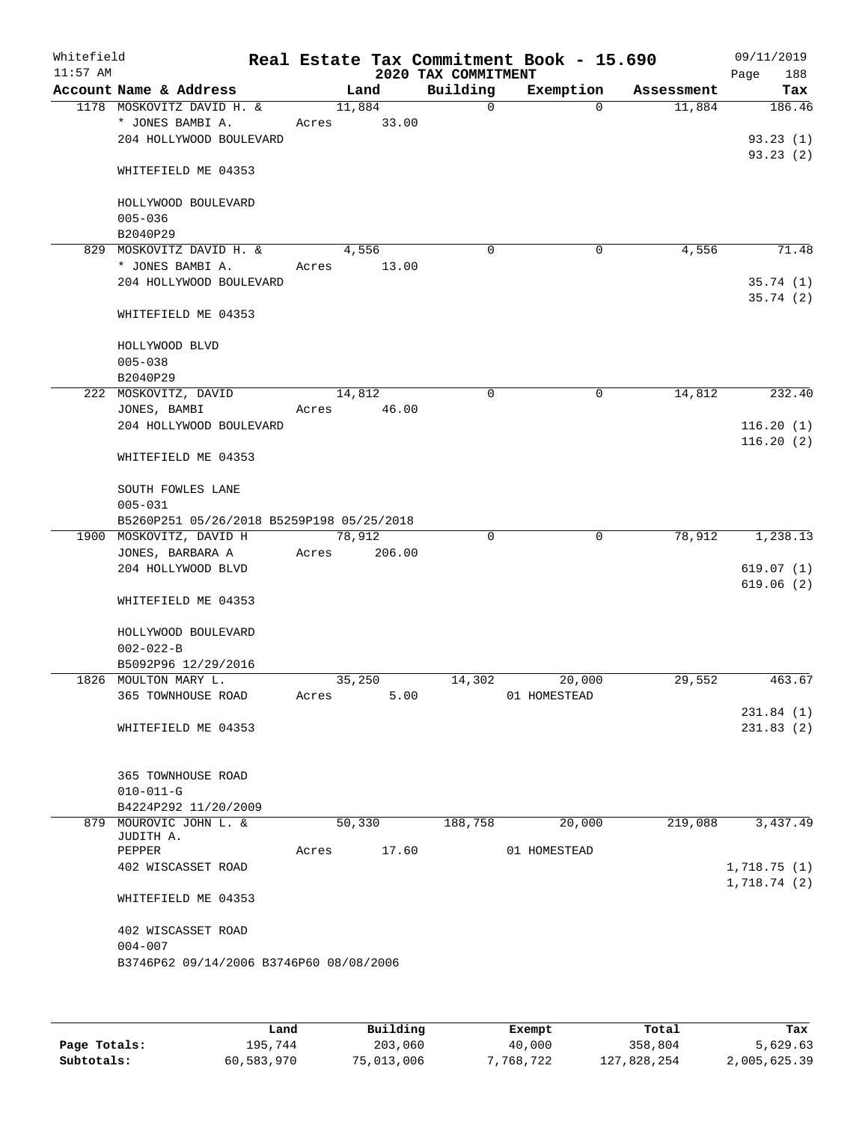| Whitefield<br>$11:57$ AM |                                           |        |        | 2020 TAX COMMITMENT | Real Estate Tax Commitment Book - 15.690 |            | 09/11/2019<br>188<br>Page |
|--------------------------|-------------------------------------------|--------|--------|---------------------|------------------------------------------|------------|---------------------------|
|                          | Account Name & Address                    |        | Land   | Building            | Exemption                                | Assessment | Tax                       |
|                          | 1178 MOSKOVITZ DAVID H. &                 |        | 11,884 | $\mathbf 0$         | $\Omega$                                 | 11,884     | 186.46                    |
|                          | * JONES BAMBI A.                          | Acres  | 33.00  |                     |                                          |            |                           |
|                          | 204 HOLLYWOOD BOULEVARD                   |        |        |                     |                                          |            | 93.23(1)                  |
|                          | WHITEFIELD ME 04353                       |        |        |                     |                                          |            | 93.23(2)                  |
|                          |                                           |        |        |                     |                                          |            |                           |
|                          | HOLLYWOOD BOULEVARD                       |        |        |                     |                                          |            |                           |
|                          | $005 - 036$                               |        |        |                     |                                          |            |                           |
|                          | B2040P29<br>829 MOSKOVITZ DAVID H. &      |        | 4,556  | $\mathbf 0$         | 0                                        | 4,556      | 71.48                     |
|                          | * JONES BAMBI A.                          | Acres  | 13.00  |                     |                                          |            |                           |
|                          | 204 HOLLYWOOD BOULEVARD                   |        |        |                     |                                          |            | 35.74(1)                  |
|                          |                                           |        |        |                     |                                          |            | 35.74(2)                  |
|                          | WHITEFIELD ME 04353                       |        |        |                     |                                          |            |                           |
|                          | HOLLYWOOD BLVD                            |        |        |                     |                                          |            |                           |
|                          | $005 - 038$                               |        |        |                     |                                          |            |                           |
|                          | B2040P29                                  |        |        |                     |                                          |            |                           |
|                          | 222 MOSKOVITZ, DAVID                      | 14,812 |        | 0                   | 0                                        | 14,812     | 232.40                    |
|                          | JONES, BAMBI                              | Acres  | 46.00  |                     |                                          |            |                           |
|                          | 204 HOLLYWOOD BOULEVARD                   |        |        |                     |                                          |            | 116.20(1)                 |
|                          | WHITEFIELD ME 04353                       |        |        |                     |                                          |            | 116.20(2)                 |
|                          | SOUTH FOWLES LANE                         |        |        |                     |                                          |            |                           |
|                          | $005 - 031$                               |        |        |                     |                                          |            |                           |
|                          | B5260P251 05/26/2018 B5259P198 05/25/2018 |        |        |                     |                                          |            |                           |
|                          | 1900 MOSKOVITZ, DAVID H                   | 78,912 |        | $\Omega$            | $\mathbf 0$                              | 78,912     | 1,238.13                  |
|                          | JONES, BARBARA A                          | Acres  | 206.00 |                     |                                          |            |                           |
|                          | 204 HOLLYWOOD BLVD                        |        |        |                     |                                          |            | 619.07(1)                 |
|                          | WHITEFIELD ME 04353                       |        |        |                     |                                          |            | 619.06(2)                 |
|                          | HOLLYWOOD BOULEVARD                       |        |        |                     |                                          |            |                           |
|                          | $002 - 022 - B$                           |        |        |                     |                                          |            |                           |
|                          | B5092P96 12/29/2016                       |        |        |                     |                                          |            |                           |
|                          | 1826 MOULTON MARY L.                      |        | 35,250 | 14,302              | 20,000                                   | 29,552     | 463.67                    |
|                          | 365 TOWNHOUSE ROAD                        | Acres  | 5.00   |                     | 01 HOMESTEAD                             |            |                           |
|                          |                                           |        |        |                     |                                          |            | 231.84(1)                 |
|                          | WHITEFIELD ME 04353                       |        |        |                     |                                          |            | 231.83(2)                 |
|                          |                                           |        |        |                     |                                          |            |                           |
|                          | 365 TOWNHOUSE ROAD                        |        |        |                     |                                          |            |                           |
|                          | $010 - 011 - G$                           |        |        |                     |                                          |            |                           |
|                          | B4224P292 11/20/2009                      |        | 50,330 |                     |                                          | 219,088    |                           |
|                          | 879 MOUROVIC JOHN L. &<br>JUDITH A.       |        |        | 188,758             | 20,000                                   |            | 3,437.49                  |
|                          | PEPPER                                    | Acres  | 17.60  |                     | 01 HOMESTEAD                             |            |                           |
|                          | 402 WISCASSET ROAD                        |        |        |                     |                                          |            | 1,718.75(1)               |
|                          |                                           |        |        |                     |                                          |            | 1,718.74(2)               |
|                          | WHITEFIELD ME 04353                       |        |        |                     |                                          |            |                           |
|                          | 402 WISCASSET ROAD                        |        |        |                     |                                          |            |                           |
|                          | $004 - 007$                               |        |        |                     |                                          |            |                           |
|                          | B3746P62 09/14/2006 B3746P60 08/08/2006   |        |        |                     |                                          |            |                           |
|                          |                                           |        |        |                     |                                          |            |                           |
|                          |                                           |        |        |                     |                                          |            |                           |

|              | Land       | Building   | Exempt    | Total       | Tax          |
|--------------|------------|------------|-----------|-------------|--------------|
| Page Totals: | 195,744    | 203,060    | 40,000    | 358,804     | 5,629.63     |
| Subtotals:   | 60,583,970 | 75,013,006 | 7,768,722 | 127,828,254 | 2,005,625.39 |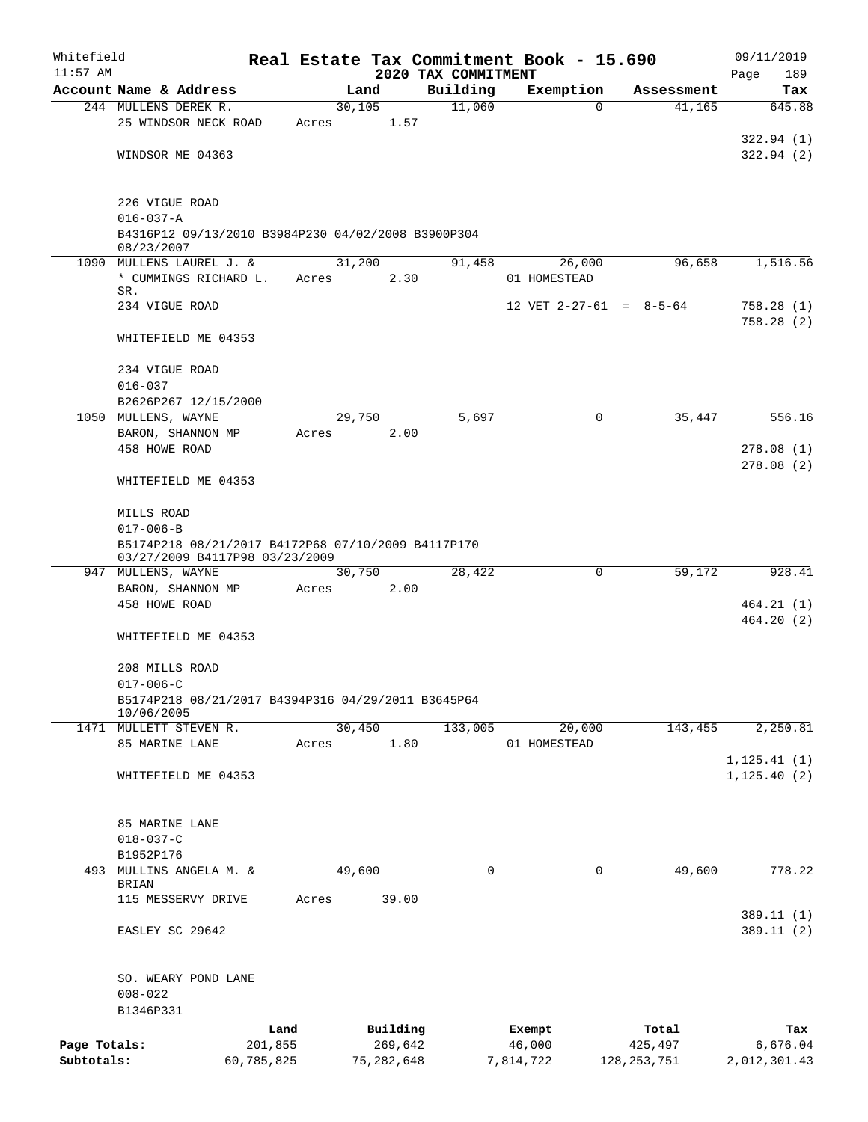| Whitefield   |                                                                                      |            |       |              |                                 | Real Estate Tax Commitment Book - 15.690 |               | 09/11/2019              |
|--------------|--------------------------------------------------------------------------------------|------------|-------|--------------|---------------------------------|------------------------------------------|---------------|-------------------------|
| $11:57$ AM   | Account Name & Address                                                               |            |       | Land         | 2020 TAX COMMITMENT<br>Building | Exemption                                | Assessment    | 189<br>Page<br>Tax      |
|              | 244 MULLENS DEREK R.                                                                 |            |       | 30,105       | 11,060                          | $\mathbf 0$                              | 41,165        | 645.88                  |
|              | 25 WINDSOR NECK ROAD                                                                 |            | Acres | 1.57         |                                 |                                          |               |                         |
|              |                                                                                      |            |       |              |                                 |                                          |               | 322.94(1)               |
|              | WINDSOR ME 04363                                                                     |            |       |              |                                 |                                          |               | 322.94 (2)              |
|              | 226 VIGUE ROAD                                                                       |            |       |              |                                 |                                          |               |                         |
|              | $016 - 037 - A$                                                                      |            |       |              |                                 |                                          |               |                         |
|              | B4316P12 09/13/2010 B3984P230 04/02/2008 B3900P304                                   |            |       |              |                                 |                                          |               |                         |
|              | 08/23/2007<br>1090 MULLENS LAUREL J. &                                               |            |       | 31,200       | 91,458                          | 26,000                                   | 96,658        | 1,516.56                |
|              | * CUMMINGS RICHARD L.                                                                |            | Acres | 2.30         |                                 | 01 HOMESTEAD                             |               |                         |
|              | SR.                                                                                  |            |       |              |                                 |                                          |               |                         |
|              | 234 VIGUE ROAD                                                                       |            |       |              |                                 | 12 VET $2-27-61 = 8-5-64$                |               | 758.28 (1)<br>758.28(2) |
|              | WHITEFIELD ME 04353                                                                  |            |       |              |                                 |                                          |               |                         |
|              | 234 VIGUE ROAD                                                                       |            |       |              |                                 |                                          |               |                         |
|              | $016 - 037$                                                                          |            |       |              |                                 |                                          |               |                         |
|              | B2626P267 12/15/2000                                                                 |            |       |              |                                 |                                          |               |                         |
|              | 1050 MULLENS, WAYNE                                                                  |            |       | 29,750       | 5,697                           | $\mathbf 0$                              | 35,447        | 556.16                  |
|              | BARON, SHANNON MP<br>458 HOWE ROAD                                                   |            | Acres | 2.00         |                                 |                                          |               | 278.08(1)               |
|              |                                                                                      |            |       |              |                                 |                                          |               | 278.08(2)               |
|              | WHITEFIELD ME 04353                                                                  |            |       |              |                                 |                                          |               |                         |
|              | MILLS ROAD                                                                           |            |       |              |                                 |                                          |               |                         |
|              | $017 - 006 - B$                                                                      |            |       |              |                                 |                                          |               |                         |
|              | B5174P218 08/21/2017 B4172P68 07/10/2009 B4117P170<br>03/27/2009 B4117P98 03/23/2009 |            |       |              |                                 |                                          |               |                         |
|              | 947 MULLENS, WAYNE                                                                   |            |       | 30,750       | 28,422                          | $\mathbf 0$                              | 59,172        | 928.41                  |
|              | BARON, SHANNON MP                                                                    |            | Acres | 2.00         |                                 |                                          |               |                         |
|              | 458 HOWE ROAD                                                                        |            |       |              |                                 |                                          |               | 464.21(1)<br>464.20(2)  |
|              | WHITEFIELD ME 04353                                                                  |            |       |              |                                 |                                          |               |                         |
|              | 208 MILLS ROAD                                                                       |            |       |              |                                 |                                          |               |                         |
|              | $017 - 006 - C$                                                                      |            |       |              |                                 |                                          |               |                         |
|              | B5174P218 08/21/2017 B4394P316 04/29/2011 B3645P64<br>10/06/2005                     |            |       |              |                                 |                                          |               |                         |
|              | 1471 MULLETT STEVEN R.                                                               |            |       | 30,450       | 133,005                         | 20,000                                   | 143,455       | 2,250.81                |
|              | 85 MARINE LANE                                                                       |            | Acres | 1.80         |                                 | 01 HOMESTEAD                             |               |                         |
|              |                                                                                      |            |       |              |                                 |                                          |               | 1, 125.41(1)            |
|              | WHITEFIELD ME 04353                                                                  |            |       |              |                                 |                                          |               | 1, 125.40(2)            |
|              | 85 MARINE LANE                                                                       |            |       |              |                                 |                                          |               |                         |
|              | $018 - 037 - C$                                                                      |            |       |              |                                 |                                          |               |                         |
|              | B1952P176                                                                            |            |       |              |                                 |                                          |               |                         |
|              | 493 MULLINS ANGELA M. &<br>BRIAN                                                     |            |       | 49,600       | 0                               | 0                                        | 49,600        | 778.22                  |
|              | 115 MESSERVY DRIVE                                                                   |            | Acres | 39.00        |                                 |                                          |               |                         |
|              |                                                                                      |            |       |              |                                 |                                          |               | 389.11 (1)              |
|              | EASLEY SC 29642                                                                      |            |       |              |                                 |                                          |               | 389.11 (2)              |
|              | SO. WEARY POND LANE                                                                  |            |       |              |                                 |                                          |               |                         |
|              | $008 - 022$                                                                          |            |       |              |                                 |                                          |               |                         |
|              | B1346P331                                                                            |            |       |              |                                 |                                          |               |                         |
|              |                                                                                      | Land       |       | Building     |                                 | Exempt                                   | Total         | Tax                     |
| Page Totals: |                                                                                      | 201,855    |       | 269,642      |                                 | 46,000                                   | 425,497       | 6,676.04                |
| Subtotals:   |                                                                                      | 60,785,825 |       | 75, 282, 648 |                                 | 7,814,722                                | 128, 253, 751 | 2,012,301.43            |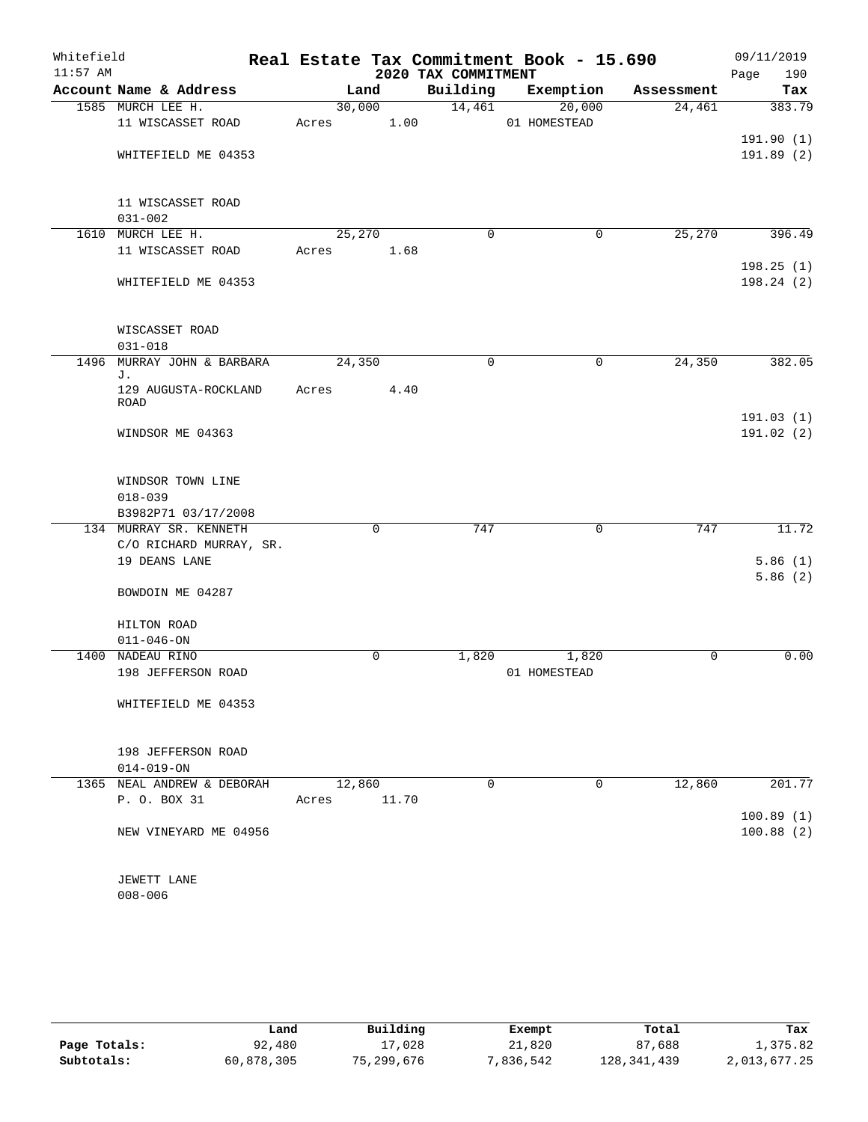| Whitefield |                                                         |        |             |                     | Real Estate Tax Commitment Book - 15.690 |             | 09/11/2019  |
|------------|---------------------------------------------------------|--------|-------------|---------------------|------------------------------------------|-------------|-------------|
| $11:57$ AM |                                                         |        |             | 2020 TAX COMMITMENT |                                          |             | Page<br>190 |
|            | Account Name & Address                                  |        | Land        | Building            | Exemption                                | Assessment  | Tax         |
|            | 1585 MURCH LEE H.                                       |        | 30,000      | 14,461              | 20,000                                   | 24,461      | 383.79      |
|            | 11 WISCASSET ROAD                                       | Acres  | 1.00        |                     | 01 HOMESTEAD                             |             |             |
|            |                                                         |        |             |                     |                                          |             | 191.90(1)   |
|            | WHITEFIELD ME 04353                                     |        |             |                     |                                          |             | 191.89 (2)  |
|            | 11 WISCASSET ROAD<br>$031 - 002$                        |        |             |                     |                                          |             |             |
|            | 1610 MURCH LEE H.                                       | 25,270 |             | $\mathbf 0$         | $\mathbf 0$                              | 25,270      | 396.49      |
|            | 11 WISCASSET ROAD                                       | Acres  | 1.68        |                     |                                          |             |             |
|            |                                                         |        |             |                     |                                          |             | 198.25(1)   |
|            | WHITEFIELD ME 04353                                     |        |             |                     |                                          |             | 198.24(2)   |
|            | WISCASSET ROAD                                          |        |             |                     |                                          |             |             |
| 1496       | $031 - 018$<br>MURRAY JOHN & BARBARA                    | 24,350 |             | $\mathbf 0$         | $\mathbf 0$                              | 24,350      | 382.05      |
|            | J.                                                      |        |             |                     |                                          |             |             |
|            | 129 AUGUSTA-ROCKLAND<br>ROAD                            | Acres  | 4.40        |                     |                                          |             |             |
|            |                                                         |        |             |                     |                                          |             | 191.03(1)   |
|            | WINDSOR ME 04363                                        |        |             |                     |                                          |             | 191.02(2)   |
|            | WINDSOR TOWN LINE<br>$018 - 039$<br>B3982P71 03/17/2008 |        |             |                     |                                          |             |             |
|            | 134 MURRAY SR. KENNETH                                  |        | $\mathbf 0$ | 747                 | 0                                        | 747         | 11.72       |
|            | C/O RICHARD MURRAY, SR.                                 |        |             |                     |                                          |             |             |
|            | 19 DEANS LANE                                           |        |             |                     |                                          |             | 5.86(1)     |
|            |                                                         |        |             |                     |                                          |             | 5.86(2)     |
|            | BOWDOIN ME 04287                                        |        |             |                     |                                          |             |             |
|            | HILTON ROAD                                             |        |             |                     |                                          |             |             |
|            | $011 - 046 - ON$                                        |        |             |                     |                                          |             |             |
|            | 1400 NADEAU RINO                                        |        | $\mathbf 0$ | 1,820               | 1,820                                    | $\mathbf 0$ | 0.00        |
|            | 198 JEFFERSON ROAD                                      |        |             |                     | 01 HOMESTEAD                             |             |             |
|            | WHITEFIELD ME 04353                                     |        |             |                     |                                          |             |             |
|            | 198 JEFFERSON ROAD                                      |        |             |                     |                                          |             |             |
|            | $014 - 019 - ON$                                        |        |             |                     |                                          |             |             |
|            | 1365 NEAL ANDREW & DEBORAH                              |        | 12,860      | $\Omega$            | $\Omega$                                 | 12,860      | 201.77      |
|            | P. O. BOX 31                                            | Acres  | 11.70       |                     |                                          |             |             |
|            |                                                         |        |             |                     |                                          |             | 100.89(1)   |
|            | NEW VINEYARD ME 04956                                   |        |             |                     |                                          |             | 100.88(2)   |
|            | JEWETT LANE                                             |        |             |                     |                                          |             |             |
|            | $008 - 006$                                             |        |             |                     |                                          |             |             |
|            |                                                         |        |             |                     |                                          |             |             |

|              | Land       | Building   | Exempt    | Total       | Tax          |
|--------------|------------|------------|-----------|-------------|--------------|
| Page Totals: | 92,480     | 17,028     | 21,820    | 87,688      | 1,375.82     |
| Subtotals:   | 60,878,305 | 75,299,676 | 7,836,542 | 128,341,439 | 2,013,677.25 |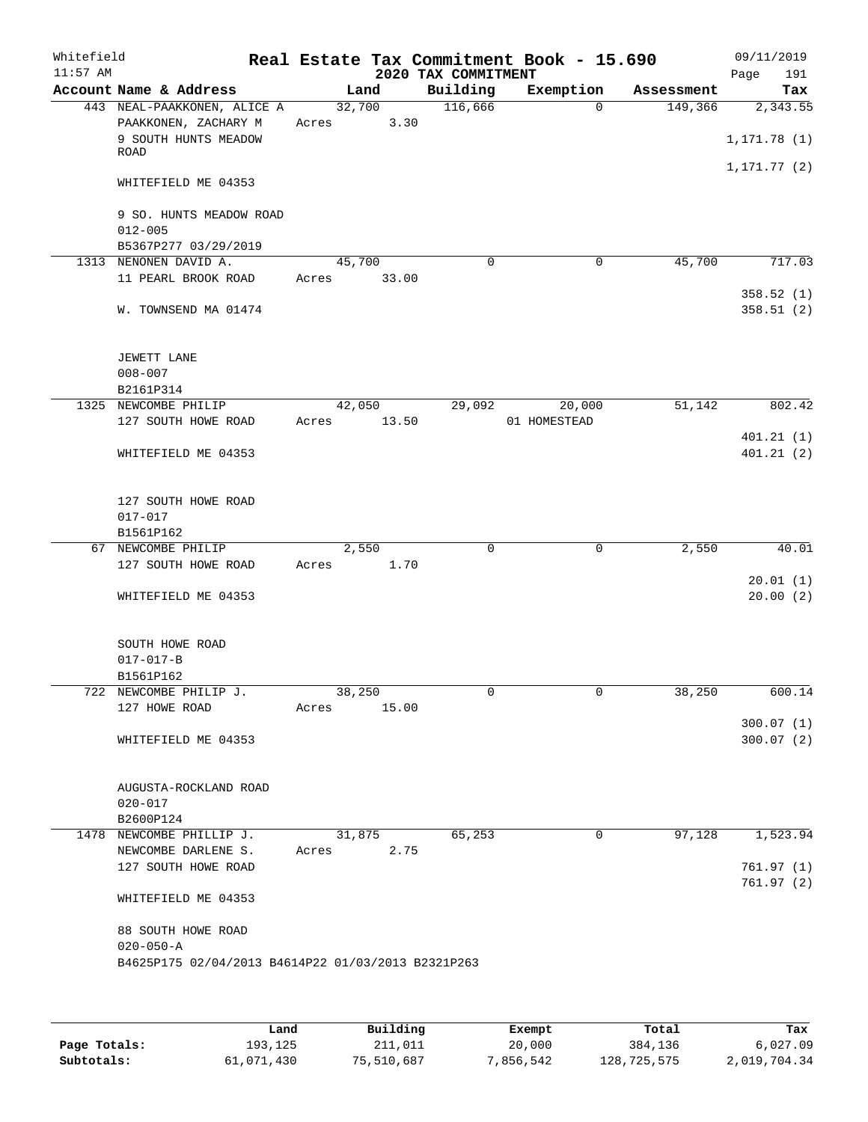| Whitefield<br>$11:57$ AM |                                                                             |       |                 | 2020 TAX COMMITMENT | Real Estate Tax Commitment Book - 15.690 |            | 09/11/2019<br>Page<br>191 |
|--------------------------|-----------------------------------------------------------------------------|-------|-----------------|---------------------|------------------------------------------|------------|---------------------------|
|                          | Account Name & Address                                                      |       | Land            | Building            | Exemption                                | Assessment | Tax                       |
|                          | 443 NEAL-PAAKKONEN, ALICE A<br>PAAKKONEN, ZACHARY M<br>9 SOUTH HUNTS MEADOW | Acres | 32,700<br>3.30  | 116,666             | $\Omega$                                 | 149,366    | 2,343.55<br>1, 171.78(1)  |
|                          | ROAD                                                                        |       |                 |                     |                                          |            | 1, 171. 77 (2)            |
|                          | WHITEFIELD ME 04353                                                         |       |                 |                     |                                          |            |                           |
|                          | 9 SO. HUNTS MEADOW ROAD<br>$012 - 005$<br>B5367P277 03/29/2019              |       |                 |                     |                                          |            |                           |
|                          | 1313 NENONEN DAVID A.                                                       |       | 45,700          | $\Omega$            | $\mathbf 0$                              | 45,700     | 717.03                    |
|                          | 11 PEARL BROOK ROAD                                                         | Acres | 33.00           |                     |                                          |            | 358.52 (1)                |
|                          | W. TOWNSEND MA 01474                                                        |       |                 |                     |                                          |            | 358.51(2)                 |
|                          | JEWETT LANE<br>$008 - 007$                                                  |       |                 |                     |                                          |            |                           |
|                          | B2161P314                                                                   |       |                 |                     |                                          |            |                           |
|                          | 1325 NEWCOMBE PHILIP                                                        |       | 42,050          | 29,092              | 20,000                                   | 51,142     | 802.42                    |
|                          | 127 SOUTH HOWE ROAD                                                         | Acres | 13.50           |                     | 01 HOMESTEAD                             |            |                           |
|                          | WHITEFIELD ME 04353                                                         |       |                 |                     |                                          |            | 401.21(1)<br>401.21(2)    |
|                          |                                                                             |       |                 |                     |                                          |            |                           |
|                          | 127 SOUTH HOWE ROAD                                                         |       |                 |                     |                                          |            |                           |
|                          | $017 - 017$                                                                 |       |                 |                     |                                          |            |                           |
|                          | B1561P162                                                                   |       |                 |                     |                                          |            |                           |
| 67                       | NEWCOMBE PHILIP<br>127 SOUTH HOWE ROAD                                      | Acres | 2,550<br>1.70   | $\mathbf 0$         | $\mathbf 0$                              | 2,550      | 40.01                     |
|                          |                                                                             |       |                 |                     |                                          |            | 20.01(1)                  |
|                          | WHITEFIELD ME 04353                                                         |       |                 |                     |                                          |            | 20.00(2)                  |
|                          | SOUTH HOWE ROAD                                                             |       |                 |                     |                                          |            |                           |
|                          | $017 - 017 - B$                                                             |       |                 |                     |                                          |            |                           |
|                          | B1561P162                                                                   |       |                 |                     |                                          |            |                           |
|                          | 722 NEWCOMBE PHILIP J.<br>127 HOWE ROAD                                     | Acres | 38,250<br>15.00 | 0                   | 0                                        | 38,250     | 600.14                    |
|                          |                                                                             |       |                 |                     |                                          |            | 300.07(1)                 |
|                          | WHITEFIELD ME 04353                                                         |       |                 |                     |                                          |            | 300.07(2)                 |
|                          | AUGUSTA-ROCKLAND ROAD                                                       |       |                 |                     |                                          |            |                           |
|                          | $020 - 017$                                                                 |       |                 |                     |                                          |            |                           |
|                          | B2600P124                                                                   |       |                 | 65,253              | 0                                        | 97,128     |                           |
|                          | 1478 NEWCOMBE PHILLIP J.<br>NEWCOMBE DARLENE S.                             | Acres | 31,875<br>2.75  |                     |                                          |            | 1,523.94                  |
|                          | 127 SOUTH HOWE ROAD                                                         |       |                 |                     |                                          |            | 761.97(1)<br>761.97(2)    |
|                          | WHITEFIELD ME 04353                                                         |       |                 |                     |                                          |            |                           |
|                          | 88 SOUTH HOWE ROAD<br>$020 - 050 - A$                                       |       |                 |                     |                                          |            |                           |
|                          | B4625P175 02/04/2013 B4614P22 01/03/2013 B2321P263                          |       |                 |                     |                                          |            |                           |
|                          |                                                                             |       |                 |                     |                                          |            |                           |

|              | Land       | Building   | Exempt    | Total       | Tax          |
|--------------|------------|------------|-----------|-------------|--------------|
| Page Totals: | 193,125    | 211,011    | 20,000    | 384,136     | 6,027.09     |
| Subtotals:   | 61,071,430 | 75,510,687 | 7,856,542 | 128,725,575 | 2,019,704.34 |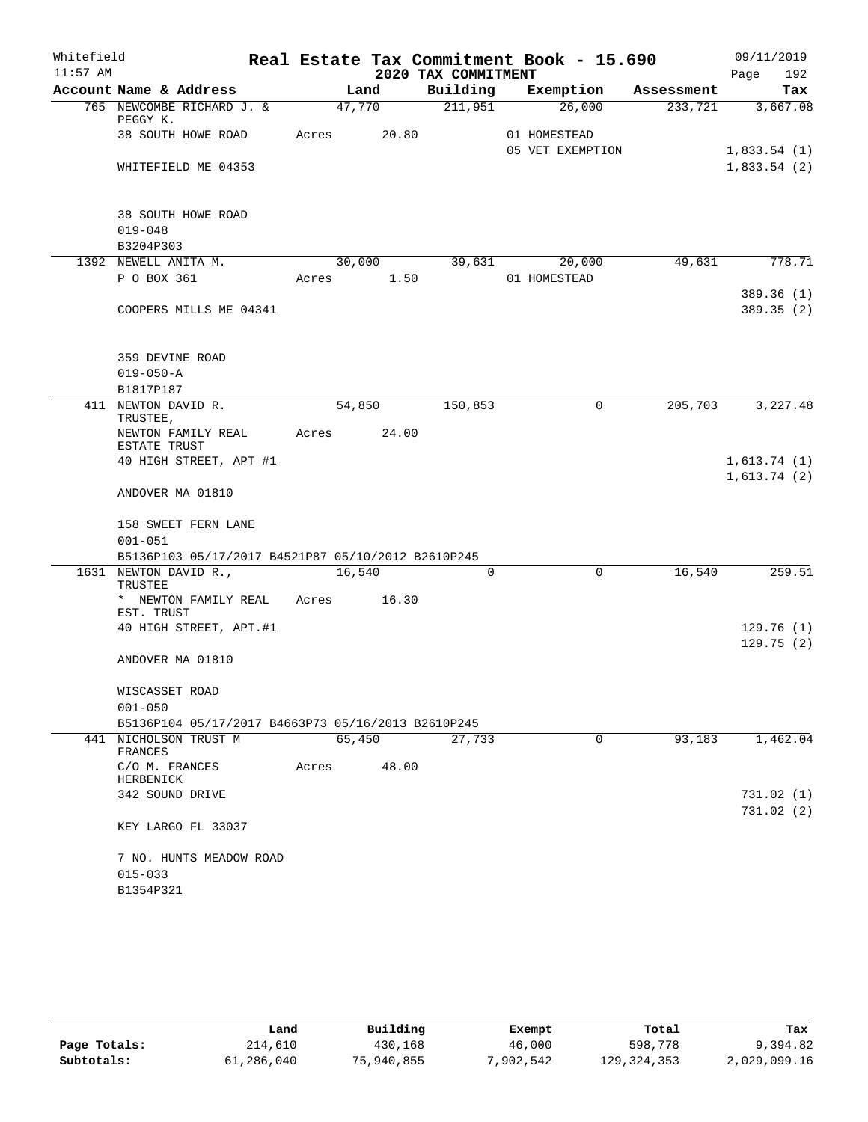| 2020 TAX COMMITMENT<br>192<br>Page<br>Account Name & Address<br>Building<br>Exemption<br>Land<br>Assessment<br>Tax<br>765 NEWCOMBE RICHARD J. &<br>47,770<br>211,951<br>26,000<br>233,721<br>3,667.08<br>PEGGY K.<br>38 SOUTH HOWE ROAD<br>Acres<br>20.80<br>01 HOMESTEAD<br>05 VET EXEMPTION<br>WHITEFIELD ME 04353<br>38 SOUTH HOWE ROAD<br>$019 - 048$<br>B3204P303<br>1392 NEWELL ANITA M.<br>30,000<br>39,631<br>20,000<br>49,631<br>P O BOX 361<br>Acres 1.50<br>01 HOMESTEAD<br>COOPERS MILLS ME 04341<br>359 DEVINE ROAD<br>$019 - 050 - A$<br>B1817P187<br>411 NEWTON DAVID R.<br>54,850<br>150,853<br>205,703<br>3,227.48<br>0<br>TRUSTEE,<br>NEWTON FAMILY REAL<br>24.00<br>Acres<br>ESTATE TRUST<br>40 HIGH STREET, APT #1<br>ANDOVER MA 01810<br>158 SWEET FERN LANE<br>$001 - 051$<br>B5136P103 05/17/2017 B4521P87 05/10/2012 B2610P245<br>16,540<br>$\mathbf 0$<br>$\mathbf 0$<br>16,540<br>1631 NEWTON DAVID R.,<br>TRUSTEE<br>* NEWTON FAMILY REAL<br>Acres 16.30<br>EST. TRUST<br>40 HIGH STREET, APT.#1<br>ANDOVER MA 01810<br>WISCASSET ROAD<br>$001 - 050$<br>B5136P104 05/17/2017 B4663P73 05/16/2013 B2610P245<br>441 NICHOLSON TRUST M<br>65,450<br>27,733<br>0<br>93,183<br>1,462.04<br><b>FRANCES</b><br>C/O M. FRANCES<br>48.00<br>Acres<br>HERBENICK<br>342 SOUND DRIVE<br>KEY LARGO FL 33037 | Whitefield |  |  | Real Estate Tax Commitment Book - 15.690 | 09/11/2019 |
|----------------------------------------------------------------------------------------------------------------------------------------------------------------------------------------------------------------------------------------------------------------------------------------------------------------------------------------------------------------------------------------------------------------------------------------------------------------------------------------------------------------------------------------------------------------------------------------------------------------------------------------------------------------------------------------------------------------------------------------------------------------------------------------------------------------------------------------------------------------------------------------------------------------------------------------------------------------------------------------------------------------------------------------------------------------------------------------------------------------------------------------------------------------------------------------------------------------------------------------------------------------------------------------------------------------------------|------------|--|--|------------------------------------------|------------|
|                                                                                                                                                                                                                                                                                                                                                                                                                                                                                                                                                                                                                                                                                                                                                                                                                                                                                                                                                                                                                                                                                                                                                                                                                                                                                                                            | $11:57$ AM |  |  |                                          |            |
| 1,833.54(1)<br>1,833.54(2)<br>778.71<br>389.36 (1)<br>389.35 (2)<br>1,613.74(1)<br>1,613.74(2)<br>259.51<br>129.76(1)<br>129.75(2)<br>731.02 (1)<br>731.02 (2)                                                                                                                                                                                                                                                                                                                                                                                                                                                                                                                                                                                                                                                                                                                                                                                                                                                                                                                                                                                                                                                                                                                                                             |            |  |  |                                          |            |
|                                                                                                                                                                                                                                                                                                                                                                                                                                                                                                                                                                                                                                                                                                                                                                                                                                                                                                                                                                                                                                                                                                                                                                                                                                                                                                                            |            |  |  |                                          |            |
|                                                                                                                                                                                                                                                                                                                                                                                                                                                                                                                                                                                                                                                                                                                                                                                                                                                                                                                                                                                                                                                                                                                                                                                                                                                                                                                            |            |  |  |                                          |            |
|                                                                                                                                                                                                                                                                                                                                                                                                                                                                                                                                                                                                                                                                                                                                                                                                                                                                                                                                                                                                                                                                                                                                                                                                                                                                                                                            |            |  |  |                                          |            |
|                                                                                                                                                                                                                                                                                                                                                                                                                                                                                                                                                                                                                                                                                                                                                                                                                                                                                                                                                                                                                                                                                                                                                                                                                                                                                                                            |            |  |  |                                          |            |
|                                                                                                                                                                                                                                                                                                                                                                                                                                                                                                                                                                                                                                                                                                                                                                                                                                                                                                                                                                                                                                                                                                                                                                                                                                                                                                                            |            |  |  |                                          |            |
|                                                                                                                                                                                                                                                                                                                                                                                                                                                                                                                                                                                                                                                                                                                                                                                                                                                                                                                                                                                                                                                                                                                                                                                                                                                                                                                            |            |  |  |                                          |            |
|                                                                                                                                                                                                                                                                                                                                                                                                                                                                                                                                                                                                                                                                                                                                                                                                                                                                                                                                                                                                                                                                                                                                                                                                                                                                                                                            |            |  |  |                                          |            |
|                                                                                                                                                                                                                                                                                                                                                                                                                                                                                                                                                                                                                                                                                                                                                                                                                                                                                                                                                                                                                                                                                                                                                                                                                                                                                                                            |            |  |  |                                          |            |
|                                                                                                                                                                                                                                                                                                                                                                                                                                                                                                                                                                                                                                                                                                                                                                                                                                                                                                                                                                                                                                                                                                                                                                                                                                                                                                                            |            |  |  |                                          |            |
|                                                                                                                                                                                                                                                                                                                                                                                                                                                                                                                                                                                                                                                                                                                                                                                                                                                                                                                                                                                                                                                                                                                                                                                                                                                                                                                            |            |  |  |                                          |            |
|                                                                                                                                                                                                                                                                                                                                                                                                                                                                                                                                                                                                                                                                                                                                                                                                                                                                                                                                                                                                                                                                                                                                                                                                                                                                                                                            |            |  |  |                                          |            |
|                                                                                                                                                                                                                                                                                                                                                                                                                                                                                                                                                                                                                                                                                                                                                                                                                                                                                                                                                                                                                                                                                                                                                                                                                                                                                                                            |            |  |  |                                          |            |
|                                                                                                                                                                                                                                                                                                                                                                                                                                                                                                                                                                                                                                                                                                                                                                                                                                                                                                                                                                                                                                                                                                                                                                                                                                                                                                                            |            |  |  |                                          |            |
|                                                                                                                                                                                                                                                                                                                                                                                                                                                                                                                                                                                                                                                                                                                                                                                                                                                                                                                                                                                                                                                                                                                                                                                                                                                                                                                            |            |  |  |                                          |            |
|                                                                                                                                                                                                                                                                                                                                                                                                                                                                                                                                                                                                                                                                                                                                                                                                                                                                                                                                                                                                                                                                                                                                                                                                                                                                                                                            |            |  |  |                                          |            |
|                                                                                                                                                                                                                                                                                                                                                                                                                                                                                                                                                                                                                                                                                                                                                                                                                                                                                                                                                                                                                                                                                                                                                                                                                                                                                                                            |            |  |  |                                          |            |
|                                                                                                                                                                                                                                                                                                                                                                                                                                                                                                                                                                                                                                                                                                                                                                                                                                                                                                                                                                                                                                                                                                                                                                                                                                                                                                                            |            |  |  |                                          |            |
|                                                                                                                                                                                                                                                                                                                                                                                                                                                                                                                                                                                                                                                                                                                                                                                                                                                                                                                                                                                                                                                                                                                                                                                                                                                                                                                            |            |  |  |                                          |            |
|                                                                                                                                                                                                                                                                                                                                                                                                                                                                                                                                                                                                                                                                                                                                                                                                                                                                                                                                                                                                                                                                                                                                                                                                                                                                                                                            |            |  |  |                                          |            |
|                                                                                                                                                                                                                                                                                                                                                                                                                                                                                                                                                                                                                                                                                                                                                                                                                                                                                                                                                                                                                                                                                                                                                                                                                                                                                                                            |            |  |  |                                          |            |
|                                                                                                                                                                                                                                                                                                                                                                                                                                                                                                                                                                                                                                                                                                                                                                                                                                                                                                                                                                                                                                                                                                                                                                                                                                                                                                                            |            |  |  |                                          |            |
|                                                                                                                                                                                                                                                                                                                                                                                                                                                                                                                                                                                                                                                                                                                                                                                                                                                                                                                                                                                                                                                                                                                                                                                                                                                                                                                            |            |  |  |                                          |            |
|                                                                                                                                                                                                                                                                                                                                                                                                                                                                                                                                                                                                                                                                                                                                                                                                                                                                                                                                                                                                                                                                                                                                                                                                                                                                                                                            |            |  |  |                                          |            |
|                                                                                                                                                                                                                                                                                                                                                                                                                                                                                                                                                                                                                                                                                                                                                                                                                                                                                                                                                                                                                                                                                                                                                                                                                                                                                                                            |            |  |  |                                          |            |
|                                                                                                                                                                                                                                                                                                                                                                                                                                                                                                                                                                                                                                                                                                                                                                                                                                                                                                                                                                                                                                                                                                                                                                                                                                                                                                                            |            |  |  |                                          |            |
|                                                                                                                                                                                                                                                                                                                                                                                                                                                                                                                                                                                                                                                                                                                                                                                                                                                                                                                                                                                                                                                                                                                                                                                                                                                                                                                            |            |  |  |                                          |            |
|                                                                                                                                                                                                                                                                                                                                                                                                                                                                                                                                                                                                                                                                                                                                                                                                                                                                                                                                                                                                                                                                                                                                                                                                                                                                                                                            |            |  |  |                                          |            |
|                                                                                                                                                                                                                                                                                                                                                                                                                                                                                                                                                                                                                                                                                                                                                                                                                                                                                                                                                                                                                                                                                                                                                                                                                                                                                                                            |            |  |  |                                          |            |
|                                                                                                                                                                                                                                                                                                                                                                                                                                                                                                                                                                                                                                                                                                                                                                                                                                                                                                                                                                                                                                                                                                                                                                                                                                                                                                                            |            |  |  |                                          |            |
|                                                                                                                                                                                                                                                                                                                                                                                                                                                                                                                                                                                                                                                                                                                                                                                                                                                                                                                                                                                                                                                                                                                                                                                                                                                                                                                            |            |  |  |                                          |            |
|                                                                                                                                                                                                                                                                                                                                                                                                                                                                                                                                                                                                                                                                                                                                                                                                                                                                                                                                                                                                                                                                                                                                                                                                                                                                                                                            |            |  |  |                                          |            |
|                                                                                                                                                                                                                                                                                                                                                                                                                                                                                                                                                                                                                                                                                                                                                                                                                                                                                                                                                                                                                                                                                                                                                                                                                                                                                                                            |            |  |  |                                          |            |
|                                                                                                                                                                                                                                                                                                                                                                                                                                                                                                                                                                                                                                                                                                                                                                                                                                                                                                                                                                                                                                                                                                                                                                                                                                                                                                                            |            |  |  |                                          |            |
|                                                                                                                                                                                                                                                                                                                                                                                                                                                                                                                                                                                                                                                                                                                                                                                                                                                                                                                                                                                                                                                                                                                                                                                                                                                                                                                            |            |  |  |                                          |            |
|                                                                                                                                                                                                                                                                                                                                                                                                                                                                                                                                                                                                                                                                                                                                                                                                                                                                                                                                                                                                                                                                                                                                                                                                                                                                                                                            |            |  |  |                                          |            |
|                                                                                                                                                                                                                                                                                                                                                                                                                                                                                                                                                                                                                                                                                                                                                                                                                                                                                                                                                                                                                                                                                                                                                                                                                                                                                                                            |            |  |  |                                          |            |
|                                                                                                                                                                                                                                                                                                                                                                                                                                                                                                                                                                                                                                                                                                                                                                                                                                                                                                                                                                                                                                                                                                                                                                                                                                                                                                                            |            |  |  |                                          |            |
|                                                                                                                                                                                                                                                                                                                                                                                                                                                                                                                                                                                                                                                                                                                                                                                                                                                                                                                                                                                                                                                                                                                                                                                                                                                                                                                            |            |  |  |                                          |            |
|                                                                                                                                                                                                                                                                                                                                                                                                                                                                                                                                                                                                                                                                                                                                                                                                                                                                                                                                                                                                                                                                                                                                                                                                                                                                                                                            |            |  |  |                                          |            |
|                                                                                                                                                                                                                                                                                                                                                                                                                                                                                                                                                                                                                                                                                                                                                                                                                                                                                                                                                                                                                                                                                                                                                                                                                                                                                                                            |            |  |  |                                          |            |
| 7 NO. HUNTS MEADOW ROAD                                                                                                                                                                                                                                                                                                                                                                                                                                                                                                                                                                                                                                                                                                                                                                                                                                                                                                                                                                                                                                                                                                                                                                                                                                                                                                    |            |  |  |                                          |            |
| $015 - 033$                                                                                                                                                                                                                                                                                                                                                                                                                                                                                                                                                                                                                                                                                                                                                                                                                                                                                                                                                                                                                                                                                                                                                                                                                                                                                                                |            |  |  |                                          |            |
| B1354P321                                                                                                                                                                                                                                                                                                                                                                                                                                                                                                                                                                                                                                                                                                                                                                                                                                                                                                                                                                                                                                                                                                                                                                                                                                                                                                                  |            |  |  |                                          |            |

|              | Land       | Building   | Exempt    | Total         | Tax          |
|--------------|------------|------------|-----------|---------------|--------------|
| Page Totals: | 214,610    | 430,168    | 46,000    | 598,778       | 9,394.82     |
| Subtotals:   | 61,286,040 | 75,940,855 | 7,902,542 | 129, 324, 353 | 2,029,099.16 |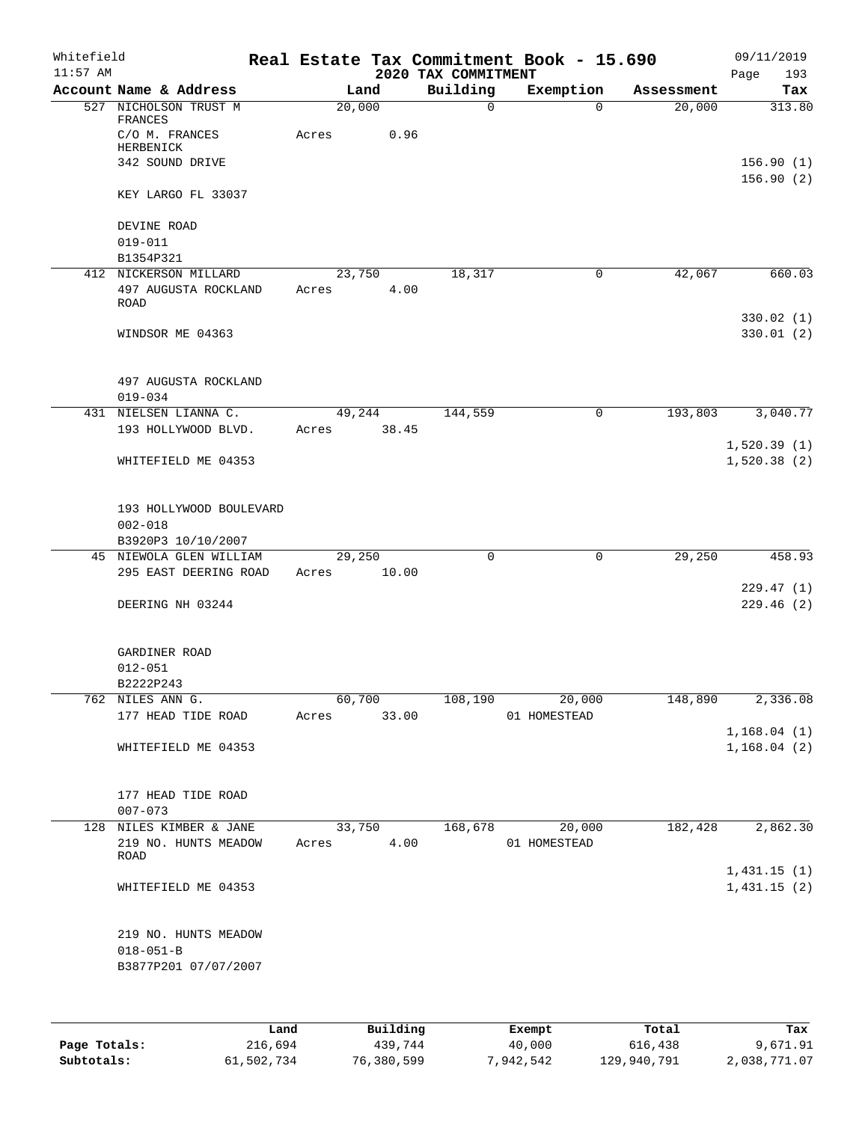| Building<br>Account Name & Address<br>Land<br>Exemption<br>Assessment<br>20,000<br>527 NICHOLSON TRUST M<br>$\mathsf{O}$<br>20,000<br>$\Omega$<br>FRANCES<br>C/O M. FRANCES<br>0.96<br>Acres<br>HERBENICK<br>342 SOUND DRIVE<br>156.90(1)<br>KEY LARGO FL 33037<br>DEVINE ROAD<br>$019 - 011$<br>B1354P321<br>18,317<br>42,067<br>412 NICKERSON MILLARD<br>23,750<br>0<br>497 AUGUSTA ROCKLAND<br>4.00<br>Acres<br><b>ROAD</b><br>WINDSOR ME 04363<br>497 AUGUSTA ROCKLAND<br>$019 - 034$<br>NIELSEN LIANNA C.<br>49,244<br>144,559<br>$\mathbf 0$<br>193,803<br>431<br>193 HOLLYWOOD BLVD.<br>38.45<br>Acres<br>WHITEFIELD ME 04353<br>193 HOLLYWOOD BOULEVARD<br>$002 - 018$<br>B3920P3 10/10/2007<br>458.93<br>45 NIEWOLA GLEN WILLIAM<br>29,250<br>$\mathbf 0$<br>$\mathsf{O}$<br>29,250<br>295 EAST DEERING ROAD<br>10.00<br>Acres<br>229.47(1)<br>DEERING NH 03244<br>GARDINER ROAD<br>$012 - 051$<br>B2222P243<br>762 NILES ANN G.<br>60,700<br>20,000<br>148,890<br>108,190<br>177 HEAD TIDE ROAD<br>33.00<br>Acres<br>01 HOMESTEAD<br>WHITEFIELD ME 04353<br>177 HEAD TIDE ROAD<br>$007 - 073$<br>2,862.30<br>20,000<br>182,428<br>128 NILES KIMBER & JANE<br>33,750<br>168,678<br>219 NO. HUNTS MEADOW<br>4.00<br>Acres<br>01 HOMESTEAD<br>ROAD<br>1,431.15(1)<br>WHITEFIELD ME 04353<br>219 NO. HUNTS MEADOW<br>$018 - 051 - B$<br>B3877P201 07/07/2007 | Whitefield<br>$11:57$ AM |  | 2020 TAX COMMITMENT | Real Estate Tax Commitment Book - 15.690 | 09/11/2019<br>Page<br>193 |
|--------------------------------------------------------------------------------------------------------------------------------------------------------------------------------------------------------------------------------------------------------------------------------------------------------------------------------------------------------------------------------------------------------------------------------------------------------------------------------------------------------------------------------------------------------------------------------------------------------------------------------------------------------------------------------------------------------------------------------------------------------------------------------------------------------------------------------------------------------------------------------------------------------------------------------------------------------------------------------------------------------------------------------------------------------------------------------------------------------------------------------------------------------------------------------------------------------------------------------------------------------------------------------------------------------------------------------------------------------------------|--------------------------|--|---------------------|------------------------------------------|---------------------------|
|                                                                                                                                                                                                                                                                                                                                                                                                                                                                                                                                                                                                                                                                                                                                                                                                                                                                                                                                                                                                                                                                                                                                                                                                                                                                                                                                                                    |                          |  |                     |                                          | Tax                       |
|                                                                                                                                                                                                                                                                                                                                                                                                                                                                                                                                                                                                                                                                                                                                                                                                                                                                                                                                                                                                                                                                                                                                                                                                                                                                                                                                                                    |                          |  |                     |                                          | 313.80                    |
|                                                                                                                                                                                                                                                                                                                                                                                                                                                                                                                                                                                                                                                                                                                                                                                                                                                                                                                                                                                                                                                                                                                                                                                                                                                                                                                                                                    |                          |  |                     |                                          |                           |
|                                                                                                                                                                                                                                                                                                                                                                                                                                                                                                                                                                                                                                                                                                                                                                                                                                                                                                                                                                                                                                                                                                                                                                                                                                                                                                                                                                    |                          |  |                     |                                          | 156.90(2)                 |
|                                                                                                                                                                                                                                                                                                                                                                                                                                                                                                                                                                                                                                                                                                                                                                                                                                                                                                                                                                                                                                                                                                                                                                                                                                                                                                                                                                    |                          |  |                     |                                          |                           |
|                                                                                                                                                                                                                                                                                                                                                                                                                                                                                                                                                                                                                                                                                                                                                                                                                                                                                                                                                                                                                                                                                                                                                                                                                                                                                                                                                                    |                          |  |                     |                                          |                           |
|                                                                                                                                                                                                                                                                                                                                                                                                                                                                                                                                                                                                                                                                                                                                                                                                                                                                                                                                                                                                                                                                                                                                                                                                                                                                                                                                                                    |                          |  |                     |                                          |                           |
|                                                                                                                                                                                                                                                                                                                                                                                                                                                                                                                                                                                                                                                                                                                                                                                                                                                                                                                                                                                                                                                                                                                                                                                                                                                                                                                                                                    |                          |  |                     |                                          | 660.03                    |
|                                                                                                                                                                                                                                                                                                                                                                                                                                                                                                                                                                                                                                                                                                                                                                                                                                                                                                                                                                                                                                                                                                                                                                                                                                                                                                                                                                    |                          |  |                     |                                          |                           |
|                                                                                                                                                                                                                                                                                                                                                                                                                                                                                                                                                                                                                                                                                                                                                                                                                                                                                                                                                                                                                                                                                                                                                                                                                                                                                                                                                                    |                          |  |                     |                                          | 330.02(1)<br>330.01(2)    |
|                                                                                                                                                                                                                                                                                                                                                                                                                                                                                                                                                                                                                                                                                                                                                                                                                                                                                                                                                                                                                                                                                                                                                                                                                                                                                                                                                                    |                          |  |                     |                                          |                           |
|                                                                                                                                                                                                                                                                                                                                                                                                                                                                                                                                                                                                                                                                                                                                                                                                                                                                                                                                                                                                                                                                                                                                                                                                                                                                                                                                                                    |                          |  |                     |                                          | 3,040.77                  |
|                                                                                                                                                                                                                                                                                                                                                                                                                                                                                                                                                                                                                                                                                                                                                                                                                                                                                                                                                                                                                                                                                                                                                                                                                                                                                                                                                                    |                          |  |                     |                                          | 1,520.39(1)               |
|                                                                                                                                                                                                                                                                                                                                                                                                                                                                                                                                                                                                                                                                                                                                                                                                                                                                                                                                                                                                                                                                                                                                                                                                                                                                                                                                                                    |                          |  |                     |                                          | 1,520.38(2)               |
|                                                                                                                                                                                                                                                                                                                                                                                                                                                                                                                                                                                                                                                                                                                                                                                                                                                                                                                                                                                                                                                                                                                                                                                                                                                                                                                                                                    |                          |  |                     |                                          |                           |
|                                                                                                                                                                                                                                                                                                                                                                                                                                                                                                                                                                                                                                                                                                                                                                                                                                                                                                                                                                                                                                                                                                                                                                                                                                                                                                                                                                    |                          |  |                     |                                          |                           |
|                                                                                                                                                                                                                                                                                                                                                                                                                                                                                                                                                                                                                                                                                                                                                                                                                                                                                                                                                                                                                                                                                                                                                                                                                                                                                                                                                                    |                          |  |                     |                                          |                           |
|                                                                                                                                                                                                                                                                                                                                                                                                                                                                                                                                                                                                                                                                                                                                                                                                                                                                                                                                                                                                                                                                                                                                                                                                                                                                                                                                                                    |                          |  |                     |                                          |                           |
|                                                                                                                                                                                                                                                                                                                                                                                                                                                                                                                                                                                                                                                                                                                                                                                                                                                                                                                                                                                                                                                                                                                                                                                                                                                                                                                                                                    |                          |  |                     |                                          | 229.46(2)                 |
|                                                                                                                                                                                                                                                                                                                                                                                                                                                                                                                                                                                                                                                                                                                                                                                                                                                                                                                                                                                                                                                                                                                                                                                                                                                                                                                                                                    |                          |  |                     |                                          |                           |
|                                                                                                                                                                                                                                                                                                                                                                                                                                                                                                                                                                                                                                                                                                                                                                                                                                                                                                                                                                                                                                                                                                                                                                                                                                                                                                                                                                    |                          |  |                     |                                          |                           |
|                                                                                                                                                                                                                                                                                                                                                                                                                                                                                                                                                                                                                                                                                                                                                                                                                                                                                                                                                                                                                                                                                                                                                                                                                                                                                                                                                                    |                          |  |                     |                                          | 2,336.08                  |
|                                                                                                                                                                                                                                                                                                                                                                                                                                                                                                                                                                                                                                                                                                                                                                                                                                                                                                                                                                                                                                                                                                                                                                                                                                                                                                                                                                    |                          |  |                     |                                          |                           |
|                                                                                                                                                                                                                                                                                                                                                                                                                                                                                                                                                                                                                                                                                                                                                                                                                                                                                                                                                                                                                                                                                                                                                                                                                                                                                                                                                                    |                          |  |                     |                                          | 1,168.04(1)               |
|                                                                                                                                                                                                                                                                                                                                                                                                                                                                                                                                                                                                                                                                                                                                                                                                                                                                                                                                                                                                                                                                                                                                                                                                                                                                                                                                                                    |                          |  |                     |                                          | 1,168.04(2)               |
|                                                                                                                                                                                                                                                                                                                                                                                                                                                                                                                                                                                                                                                                                                                                                                                                                                                                                                                                                                                                                                                                                                                                                                                                                                                                                                                                                                    |                          |  |                     |                                          |                           |
|                                                                                                                                                                                                                                                                                                                                                                                                                                                                                                                                                                                                                                                                                                                                                                                                                                                                                                                                                                                                                                                                                                                                                                                                                                                                                                                                                                    |                          |  |                     |                                          |                           |
|                                                                                                                                                                                                                                                                                                                                                                                                                                                                                                                                                                                                                                                                                                                                                                                                                                                                                                                                                                                                                                                                                                                                                                                                                                                                                                                                                                    |                          |  |                     |                                          |                           |
|                                                                                                                                                                                                                                                                                                                                                                                                                                                                                                                                                                                                                                                                                                                                                                                                                                                                                                                                                                                                                                                                                                                                                                                                                                                                                                                                                                    |                          |  |                     |                                          |                           |
|                                                                                                                                                                                                                                                                                                                                                                                                                                                                                                                                                                                                                                                                                                                                                                                                                                                                                                                                                                                                                                                                                                                                                                                                                                                                                                                                                                    |                          |  |                     |                                          | 1,431.15(2)               |
|                                                                                                                                                                                                                                                                                                                                                                                                                                                                                                                                                                                                                                                                                                                                                                                                                                                                                                                                                                                                                                                                                                                                                                                                                                                                                                                                                                    |                          |  |                     |                                          |                           |
|                                                                                                                                                                                                                                                                                                                                                                                                                                                                                                                                                                                                                                                                                                                                                                                                                                                                                                                                                                                                                                                                                                                                                                                                                                                                                                                                                                    |                          |  |                     |                                          |                           |

|              | Land       | Building   | Exempt    | Total       | Tax          |
|--------------|------------|------------|-----------|-------------|--------------|
| Page Totals: | 216,694    | 439,744    | 40,000    | 616,438     | 9,671.91     |
| Subtotals:   | 61,502,734 | 76,380,599 | 7,942,542 | 129,940,791 | 2,038,771.07 |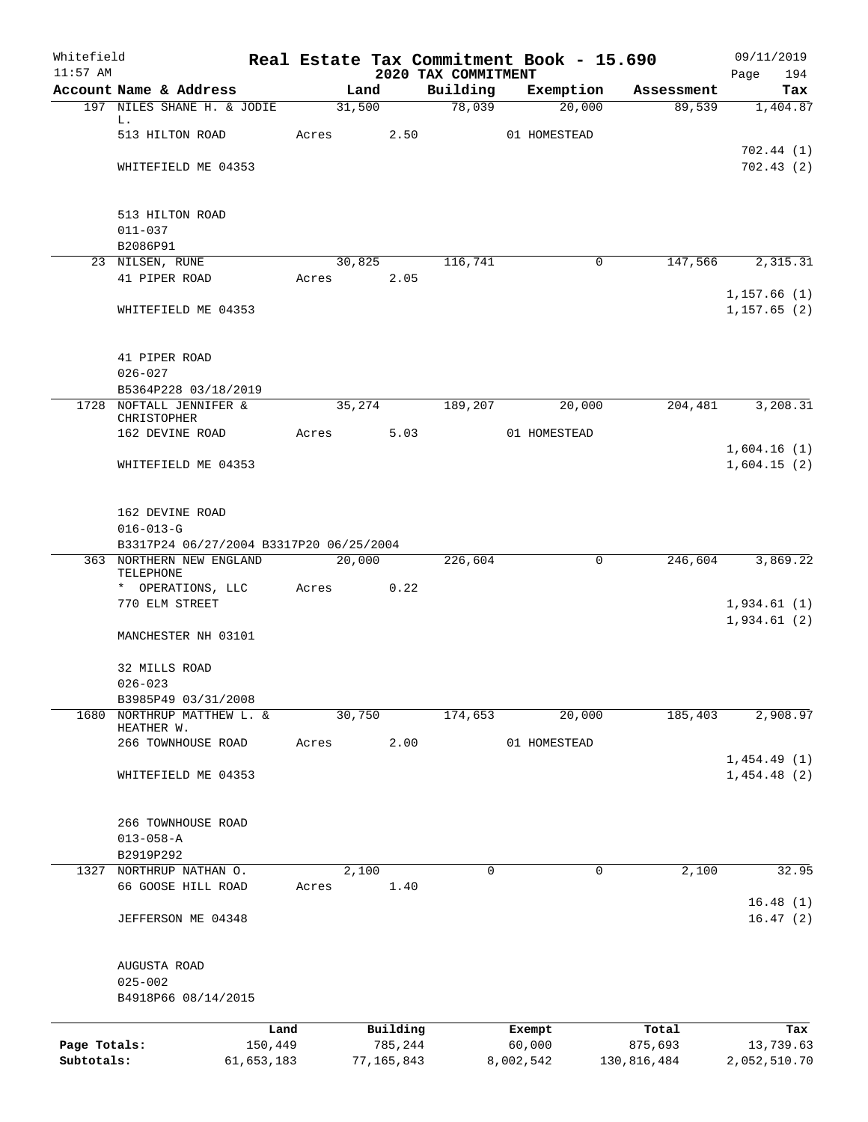| Whitefield<br>$11:57$ AM |                                         |            |        |            | Real Estate Tax Commitment Book - 15.690 |           |              |             | 09/11/2019                  |
|--------------------------|-----------------------------------------|------------|--------|------------|------------------------------------------|-----------|--------------|-------------|-----------------------------|
|                          | Account Name & Address                  |            | Land   |            | 2020 TAX COMMITMENT<br>Building          |           | Exemption    | Assessment  | Page<br>194<br>Tax          |
|                          | 197 NILES SHANE H. & JODIE              |            | 31,500 |            | 78,039                                   |           | 20,000       | 89,539      | 1,404.87                    |
|                          | L.                                      |            |        |            |                                          |           |              |             |                             |
|                          | 513 HILTON ROAD                         | Acres      |        | 2.50       |                                          |           | 01 HOMESTEAD |             |                             |
|                          |                                         |            |        |            |                                          |           |              |             | 702.44(1)                   |
|                          | WHITEFIELD ME 04353                     |            |        |            |                                          |           |              |             | 702.43(2)                   |
|                          | 513 HILTON ROAD                         |            |        |            |                                          |           |              |             |                             |
|                          | $011 - 037$                             |            |        |            |                                          |           |              |             |                             |
|                          | B2086P91                                |            |        |            |                                          |           |              |             |                             |
|                          | 23 NILSEN, RUNE                         |            | 30,825 |            | 116,741                                  |           | 0            | 147,566     | 2,315.31                    |
|                          | 41 PIPER ROAD                           | Acres      |        | 2.05       |                                          |           |              |             |                             |
|                          | WHITEFIELD ME 04353                     |            |        |            |                                          |           |              |             | 1,157.66(1)<br>1, 157.65(2) |
|                          |                                         |            |        |            |                                          |           |              |             |                             |
|                          | 41 PIPER ROAD                           |            |        |            |                                          |           |              |             |                             |
|                          | $026 - 027$<br>B5364P228 03/18/2019     |            |        |            |                                          |           |              |             |                             |
|                          | 1728 NOFTALL JENNIFER &                 |            | 35,274 |            | 189,207                                  |           | 20,000       | 204,481     | 3,208.31                    |
|                          | CHRISTOPHER                             |            |        |            |                                          |           |              |             |                             |
|                          | 162 DEVINE ROAD                         | Acres      |        | 5.03       |                                          |           | 01 HOMESTEAD |             |                             |
|                          |                                         |            |        |            |                                          |           |              |             | 1,604.16(1)                 |
|                          | WHITEFIELD ME 04353                     |            |        |            |                                          |           |              |             | 1,604.15(2)                 |
|                          | 162 DEVINE ROAD                         |            |        |            |                                          |           |              |             |                             |
|                          | $016 - 013 - G$                         |            |        |            |                                          |           |              |             |                             |
|                          | B3317P24 06/27/2004 B3317P20 06/25/2004 |            |        |            |                                          |           |              |             |                             |
|                          | 363 NORTHERN NEW ENGLAND<br>TELEPHONE   |            | 20,000 |            | 226,604                                  |           | 0            | 246,604     | 3,869.22                    |
|                          | * OPERATIONS, LLC                       | Acres      |        | 0.22       |                                          |           |              |             |                             |
|                          | 770 ELM STREET                          |            |        |            |                                          |           |              |             | 1,934.61(1)                 |
|                          |                                         |            |        |            |                                          |           |              |             | 1,934.61(2)                 |
|                          | MANCHESTER NH 03101                     |            |        |            |                                          |           |              |             |                             |
|                          | 32 MILLS ROAD                           |            |        |            |                                          |           |              |             |                             |
|                          | $026 - 023$                             |            |        |            |                                          |           |              |             |                             |
| 1680                     | B3985P49 03/31/2008                     |            | 30,750 |            |                                          |           |              | 185,403     |                             |
|                          | NORTHRUP MATTHEW L. &<br>HEATHER W.     |            |        |            | 174,653                                  |           | 20,000       |             | 2,908.97                    |
|                          | 266 TOWNHOUSE ROAD                      | Acres      |        | 2.00       |                                          |           | 01 HOMESTEAD |             |                             |
|                          |                                         |            |        |            |                                          |           |              |             | 1,454.49(1)                 |
|                          | WHITEFIELD ME 04353                     |            |        |            |                                          |           |              |             | 1,454.48(2)                 |
|                          | 266 TOWNHOUSE ROAD                      |            |        |            |                                          |           |              |             |                             |
|                          | $013 - 058 - A$                         |            |        |            |                                          |           |              |             |                             |
|                          | B2919P292                               |            |        |            |                                          |           |              |             |                             |
| 1327                     | NORTHRUP NATHAN O.                      |            | 2,100  |            | 0                                        |           | 0            | 2,100       | 32.95                       |
|                          | 66 GOOSE HILL ROAD                      | Acres      |        | 1.40       |                                          |           |              |             |                             |
|                          |                                         |            |        |            |                                          |           |              |             | 16.48(1)                    |
|                          | JEFFERSON ME 04348                      |            |        |            |                                          |           |              |             | 16.47(2)                    |
|                          | AUGUSTA ROAD                            |            |        |            |                                          |           |              |             |                             |
|                          | $025 - 002$                             |            |        |            |                                          |           |              |             |                             |
|                          | B4918P66 08/14/2015                     |            |        |            |                                          |           |              |             |                             |
|                          |                                         | Land       |        | Building   |                                          | Exempt    |              | Total       | Tax                         |
| Page Totals:             |                                         | 150,449    |        | 785,244    |                                          | 60,000    |              | 875,693     | 13,739.63                   |
| Subtotals:               |                                         | 61,653,183 |        | 77,165,843 |                                          | 8,002,542 |              | 130,816,484 | 2,052,510.70                |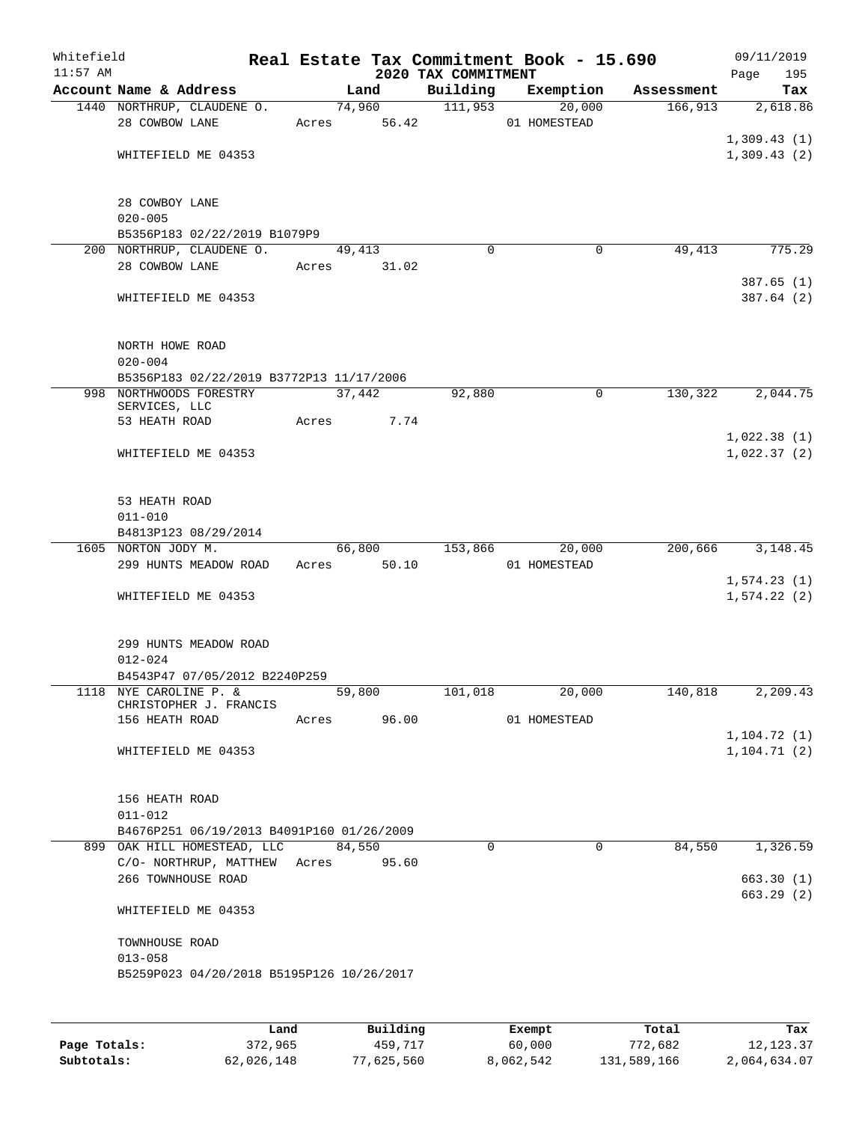| Whitefield<br>$11:57$ AM |                                                           |       |        |             | 2020 TAX COMMITMENT | Real Estate Tax Commitment Book - 15.690 |            | 09/11/2019<br>195<br>Page    |
|--------------------------|-----------------------------------------------------------|-------|--------|-------------|---------------------|------------------------------------------|------------|------------------------------|
|                          | Account Name & Address                                    |       | Land   |             | Building            | Exemption                                | Assessment | Tax                          |
|                          | 1440 NORTHRUP, CLAUDENE O.                                |       |        | 74,960      | 111,953             | 20,000                                   | 166,913    | 2,618.86                     |
|                          | 28 COWBOW LANE                                            |       |        | Acres 56.42 |                     | 01 HOMESTEAD                             |            |                              |
|                          |                                                           |       |        |             |                     |                                          |            | 1,309.43(1)                  |
|                          | WHITEFIELD ME 04353                                       |       |        |             |                     |                                          |            | 1,309.43(2)                  |
|                          | 28 COWBOY LANE                                            |       |        |             |                     |                                          |            |                              |
|                          | $020 - 005$                                               |       |        |             |                     |                                          |            |                              |
|                          | B5356P183 02/22/2019 B1079P9<br>200 NORTHRUP, CLAUDENE O. |       |        |             | $\Omega$            | 0                                        | 49,413     | 775.29                       |
|                          | 28 COWBOW LANE                                            |       | 49,413 | Acres 31.02 |                     |                                          |            |                              |
|                          |                                                           |       |        |             |                     |                                          |            | 387.65(1)                    |
|                          | WHITEFIELD ME 04353                                       |       |        |             |                     |                                          |            | 387.64(2)                    |
|                          | NORTH HOWE ROAD                                           |       |        |             |                     |                                          |            |                              |
|                          | $020 - 004$<br>B5356P183 02/22/2019 B3772P13 11/17/2006   |       |        |             |                     |                                          |            |                              |
|                          | 998 NORTHWOODS FORESTRY                                   |       | 37,442 |             | 92,880              | $\mathbf 0$                              | 130,322    | 2,044.75                     |
|                          | SERVICES, LLC                                             |       |        |             |                     |                                          |            |                              |
|                          | 53 HEATH ROAD                                             | Acres |        | 7.74        |                     |                                          |            |                              |
|                          | WHITEFIELD ME 04353                                       |       |        |             |                     |                                          |            | 1,022.38(1)<br>1,022.37(2)   |
|                          | 53 HEATH ROAD                                             |       |        |             |                     |                                          |            |                              |
|                          | $011 - 010$                                               |       |        |             |                     |                                          |            |                              |
|                          | B4813P123 08/29/2014                                      |       |        |             |                     |                                          |            |                              |
|                          | 1605 NORTON JODY M.                                       |       | 66,800 |             | 153,866             | 20,000                                   | 200,666    | 3,148.45                     |
|                          | 299 HUNTS MEADOW ROAD                                     |       |        | Acres 50.10 |                     | 01 HOMESTEAD                             |            |                              |
|                          |                                                           |       |        |             |                     |                                          |            | 1,574.23(1)                  |
|                          | WHITEFIELD ME 04353                                       |       |        |             |                     |                                          |            | 1,574.22(2)                  |
|                          | 299 HUNTS MEADOW ROAD                                     |       |        |             |                     |                                          |            |                              |
|                          | $012 - 024$<br>B4543P47 07/05/2012 B2240P259              |       |        |             |                     |                                          |            |                              |
|                          | 1118 NYE CAROLINE P. &                                    |       | 59,800 |             | 101,018             | 20,000                                   | 140,818    | 2,209.43                     |
|                          | CHRISTOPHER J. FRANCIS                                    |       |        |             |                     |                                          |            |                              |
|                          | 156 HEATH ROAD                                            |       |        | Acres 96.00 |                     | 01 HOMESTEAD                             |            |                              |
|                          | WHITEFIELD ME 04353                                       |       |        |             |                     |                                          |            | 1, 104.72(1)<br>1, 104.71(2) |
|                          |                                                           |       |        |             |                     |                                          |            |                              |
|                          | 156 HEATH ROAD                                            |       |        |             |                     |                                          |            |                              |
|                          | $011 - 012$                                               |       |        |             |                     |                                          |            |                              |
|                          | B4676P251 06/19/2013 B4091P160 01/26/2009                 |       |        |             |                     |                                          |            |                              |
|                          | 899 OAK HILL HOMESTEAD, LLC                               |       | 84,550 |             | 0                   | $\mathbf 0$                              | 84,550     | 1,326.59                     |
|                          | C/O-NORTHRUP, MATTHEW Acres 95.60                         |       |        |             |                     |                                          |            |                              |
|                          | 266 TOWNHOUSE ROAD                                        |       |        |             |                     |                                          |            | 663.30(1)<br>663.29(2)       |
|                          | WHITEFIELD ME 04353                                       |       |        |             |                     |                                          |            |                              |
|                          | TOWNHOUSE ROAD                                            |       |        |             |                     |                                          |            |                              |
|                          | $013 - 058$<br>B5259P023 04/20/2018 B5195P126 10/26/2017  |       |        |             |                     |                                          |            |                              |
|                          |                                                           |       |        |             |                     |                                          |            |                              |
|                          |                                                           |       |        |             |                     |                                          |            |                              |
|                          |                                                           |       |        |             |                     |                                          |            |                              |

|              | Land       | Building   | Exempt    | Total       | Tax          |
|--------------|------------|------------|-----------|-------------|--------------|
| Page Totals: | 372,965    | 459,717    | 60,000    | 772.682     | 12,123.37    |
| Subtotals:   | 62,026,148 | 77,625,560 | 8,062,542 | 131,589,166 | 2,064,634.07 |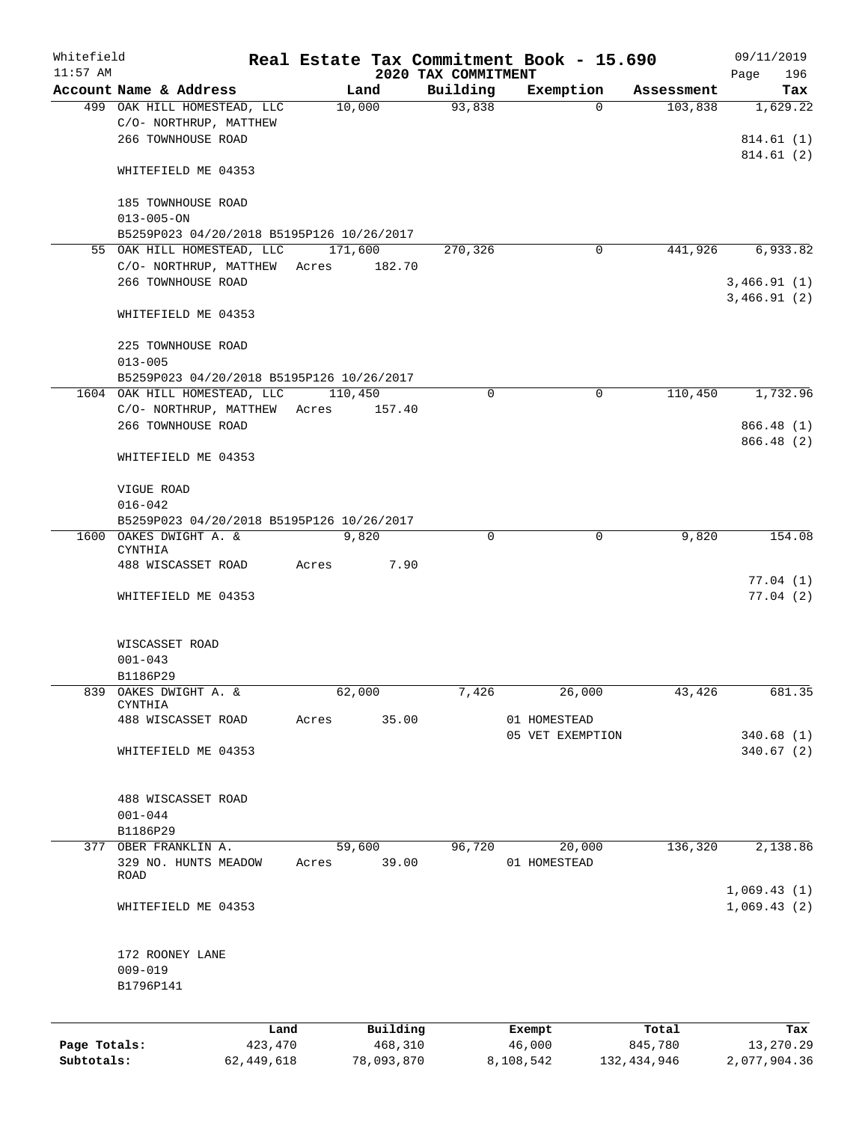| Whitefield<br>$11:57$ AM |                                                                                |                            | 2020 TAX COMMITMENT | Real Estate Tax Commitment Book - 15.690 |                  | 09/11/2019<br>196<br>Page              |
|--------------------------|--------------------------------------------------------------------------------|----------------------------|---------------------|------------------------------------------|------------------|----------------------------------------|
|                          | Account Name & Address                                                         | Land                       | Building            | Exemption                                | Assessment       | Tax                                    |
|                          | 499 OAK HILL HOMESTEAD, LLC<br>C/O- NORTHRUP, MATTHEW<br>266 TOWNHOUSE ROAD    | 10,000                     | 93,838              | 0                                        | 103,838          | 1,629.22<br>814.61(1)                  |
|                          | WHITEFIELD ME 04353                                                            |                            |                     |                                          |                  | 814.61(2)                              |
|                          | 185 TOWNHOUSE ROAD<br>$013 - 005 - ON$                                         |                            |                     |                                          |                  |                                        |
|                          | B5259P023 04/20/2018 B5195P126 10/26/2017                                      |                            |                     |                                          |                  |                                        |
|                          | 55 OAK HILL HOMESTEAD, LLC<br>C/O- NORTHRUP, MATTHEW<br>266 TOWNHOUSE ROAD     | 171,600<br>182.70<br>Acres | 270,326             | 0                                        | 441,926          | 6,933.82<br>3,466.91(1)<br>3,466.91(2) |
|                          | WHITEFIELD ME 04353                                                            |                            |                     |                                          |                  |                                        |
|                          | 225 TOWNHOUSE ROAD<br>$013 - 005$<br>B5259P023 04/20/2018 B5195P126 10/26/2017 |                            |                     |                                          |                  |                                        |
|                          | 1604 OAK HILL HOMESTEAD, LLC                                                   | 110,450                    | 0                   | $\mathbf 0$                              | 110,450          | 1,732.96                               |
|                          | C/O- NORTHRUP, MATTHEW Acres<br>266 TOWNHOUSE ROAD                             | 157.40                     |                     |                                          |                  | 866.48 (1)<br>866.48(2)                |
|                          | WHITEFIELD ME 04353                                                            |                            |                     |                                          |                  |                                        |
|                          | VIGUE ROAD                                                                     |                            |                     |                                          |                  |                                        |
|                          | $016 - 042$<br>B5259P023 04/20/2018 B5195P126 10/26/2017                       |                            |                     |                                          |                  |                                        |
|                          | 1600 OAKES DWIGHT A. &<br><b>CYNTHIA</b>                                       | 9,820                      | 0                   | $\mathbf 0$                              | 9,820            | 154.08                                 |
|                          | 488 WISCASSET ROAD<br>WHITEFIELD ME 04353                                      | 7.90<br>Acres              |                     |                                          |                  | 77.04(1)<br>77.04(2)                   |
|                          | WISCASSET ROAD<br>$001 - 043$                                                  |                            |                     |                                          |                  |                                        |
|                          | B1186P29                                                                       |                            |                     |                                          |                  |                                        |
| 839                      | OAKES DWIGHT A. &<br>CYNTHIA<br>488 WISCASSET ROAD                             | 62,000<br>35.00<br>Acres   | 7,426               | 26,000<br>01 HOMESTEAD                   | 43,426           | 681.35                                 |
|                          | WHITEFIELD ME 04353                                                            |                            |                     | 05 VET EXEMPTION                         |                  | 340.68(1)<br>340.67(2)                 |
|                          | 488 WISCASSET ROAD<br>$001 - 044$<br>B1186P29                                  |                            |                     |                                          |                  |                                        |
| 377                      | OBER FRANKLIN A.                                                               | 59,600                     | 96,720              | 20,000                                   | 136,320          | 2,138.86                               |
|                          | 329 NO. HUNTS MEADOW<br>ROAD                                                   | 39.00<br>Acres             |                     | 01 HOMESTEAD                             |                  | 1,069.43(1)                            |
|                          | WHITEFIELD ME 04353                                                            |                            |                     |                                          |                  | 1,069.43(2)                            |
|                          | 172 ROONEY LANE<br>$009 - 019$<br>B1796P141                                    |                            |                     |                                          |                  |                                        |
|                          |                                                                                |                            |                     |                                          |                  |                                        |
| Page Totals:             | Land<br>423,470                                                                | Building<br>468,310        |                     | Exempt<br>46,000                         | Total<br>845,780 | Tax<br>13,270.29                       |

**Subtotals:** 62,449,618 78,093,870 8,108,542 132,434,946 2,077,904.36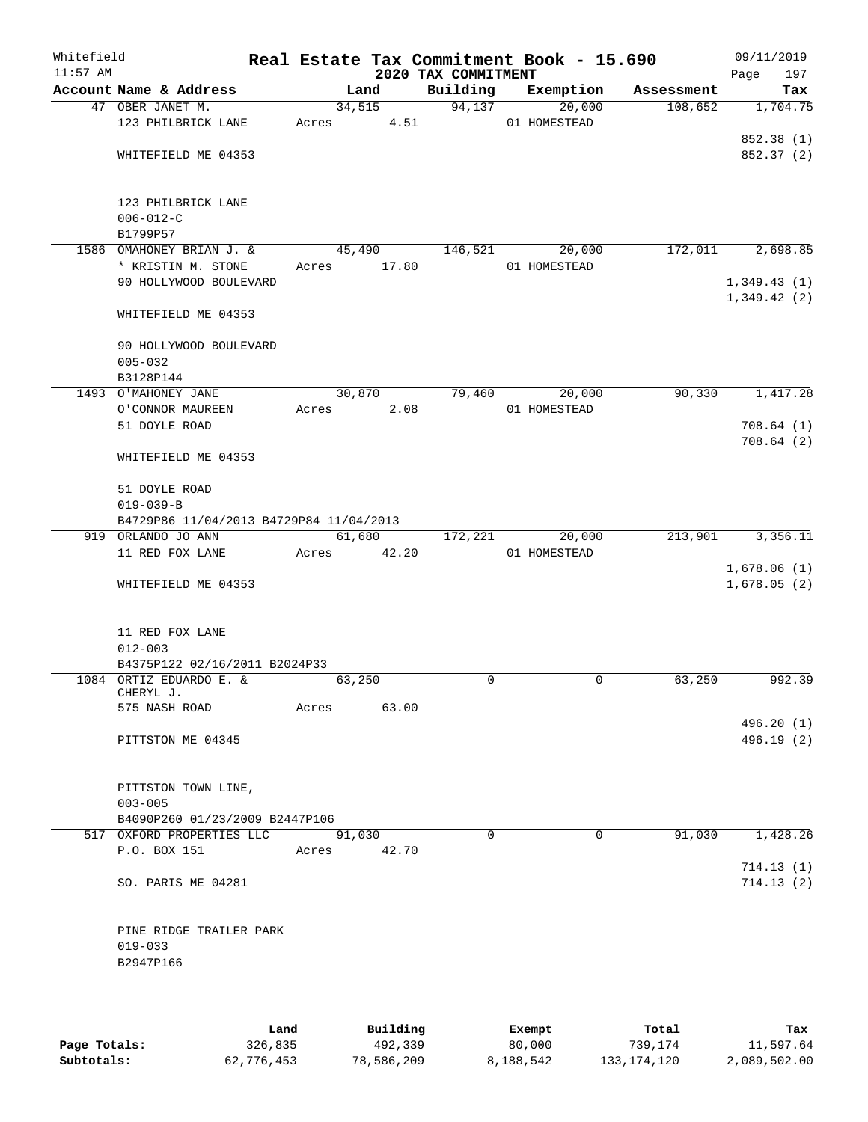| Whitefield<br>$11:57$ AM |                                         |       |        | 2020 TAX COMMITMENT | Real Estate Tax Commitment Book - 15.690 |            | 09/11/2019<br>Page         | 197      |
|--------------------------|-----------------------------------------|-------|--------|---------------------|------------------------------------------|------------|----------------------------|----------|
|                          | Account Name & Address                  |       | Land   | Building            | Exemption                                | Assessment |                            | Tax      |
|                          | 47 OBER JANET M.                        |       | 34,515 | 94,137              | 20,000                                   | 108,652    |                            | 1,704.75 |
|                          | 123 PHILBRICK LANE                      | Acres | 4.51   |                     | 01 HOMESTEAD                             |            | 852.38 (1)                 |          |
|                          | WHITEFIELD ME 04353                     |       |        |                     |                                          |            | 852.37 (2)                 |          |
|                          |                                         |       |        |                     |                                          |            |                            |          |
|                          | 123 PHILBRICK LANE                      |       |        |                     |                                          |            |                            |          |
|                          | $006 - 012 - C$                         |       |        |                     |                                          |            |                            |          |
|                          | B1799P57                                |       |        |                     |                                          |            |                            |          |
|                          | 1586 OMAHONEY BRIAN J. &                |       | 45,490 | 146,521             | 20,000                                   | 172,011    |                            | 2,698.85 |
|                          | * KRISTIN M. STONE                      | Acres | 17.80  |                     | 01 HOMESTEAD                             |            |                            |          |
|                          | 90 HOLLYWOOD BOULEVARD                  |       |        |                     |                                          |            | 1,349.43(1)<br>1,349.42(2) |          |
|                          | WHITEFIELD ME 04353                     |       |        |                     |                                          |            |                            |          |
|                          | 90 HOLLYWOOD BOULEVARD                  |       |        |                     |                                          |            |                            |          |
|                          | $005 - 032$                             |       |        |                     |                                          |            |                            |          |
|                          | B3128P144                               |       |        |                     |                                          |            |                            |          |
|                          | 1493 O'MAHONEY JANE                     |       | 30,870 | 79,460              | 20,000                                   | 90,330     |                            | 1,417.28 |
|                          | O'CONNOR MAUREEN                        | Acres | 2.08   |                     | 01 HOMESTEAD                             |            |                            |          |
|                          | 51 DOYLE ROAD                           |       |        |                     |                                          |            | 708.64(1)<br>708.64(2)     |          |
|                          | WHITEFIELD ME 04353                     |       |        |                     |                                          |            |                            |          |
|                          | 51 DOYLE ROAD                           |       |        |                     |                                          |            |                            |          |
|                          | $019 - 039 - B$                         |       |        |                     |                                          |            |                            |          |
|                          | B4729P86 11/04/2013 B4729P84 11/04/2013 |       |        |                     |                                          |            |                            |          |
|                          | 919 ORLANDO JO ANN                      |       | 61,680 | 172,221             | 20,000                                   | 213,901    |                            | 3,356.11 |
|                          | 11 RED FOX LANE                         | Acres | 42.20  |                     | 01 HOMESTEAD                             |            |                            |          |
|                          | WHITEFIELD ME 04353                     |       |        |                     |                                          |            | 1,678.06(1)<br>1,678.05(2) |          |
|                          |                                         |       |        |                     |                                          |            |                            |          |
|                          | 11 RED FOX LANE                         |       |        |                     |                                          |            |                            |          |
|                          | $012 - 003$                             |       |        |                     |                                          |            |                            |          |
|                          | B4375P122 02/16/2011 B2024P33           |       |        |                     |                                          |            |                            |          |
|                          | 1084 ORTIZ EDUARDO E. &                 |       | 63,250 | 0                   | 0                                        | 63,250     |                            | 992.39   |
|                          | CHERYL J.<br>575 NASH ROAD              |       |        |                     |                                          |            |                            |          |
|                          |                                         | Acres | 63.00  |                     |                                          |            | 496.20 (1)                 |          |
|                          | PITTSTON ME 04345                       |       |        |                     |                                          |            | 496.19(2)                  |          |
|                          |                                         |       |        |                     |                                          |            |                            |          |
|                          | PITTSTON TOWN LINE,                     |       |        |                     |                                          |            |                            |          |
|                          | $003 - 005$                             |       |        |                     |                                          |            |                            |          |
|                          | B4090P260 01/23/2009 B2447P106          |       |        |                     |                                          |            |                            |          |
|                          | 517 OXFORD PROPERTIES LLC               |       | 91,030 | $\Omega$            | $\Omega$                                 | 91,030     |                            | 1,428.26 |
|                          | P.O. BOX 151                            | Acres | 42.70  |                     |                                          |            |                            |          |
|                          |                                         |       |        |                     |                                          |            | 714.13(1)                  |          |
|                          | SO. PARIS ME 04281                      |       |        |                     |                                          |            | 714.13(2)                  |          |
|                          | PINE RIDGE TRAILER PARK                 |       |        |                     |                                          |            |                            |          |
|                          | $019 - 033$                             |       |        |                     |                                          |            |                            |          |
|                          | B2947P166                               |       |        |                     |                                          |            |                            |          |
|                          |                                         |       |        |                     |                                          |            |                            |          |
|                          |                                         |       |        |                     |                                          |            |                            |          |
|                          |                                         |       |        |                     |                                          |            |                            |          |

|              | Land       | Building   | Exempt    | Total         | Tax          |
|--------------|------------|------------|-----------|---------------|--------------|
| Page Totals: | 326,835    | 492,339    | 80,000    | 739,174       | 11,597.64    |
| Subtotals:   | 62,776,453 | 78,586,209 | 8,188,542 | 133, 174, 120 | 2,089,502.00 |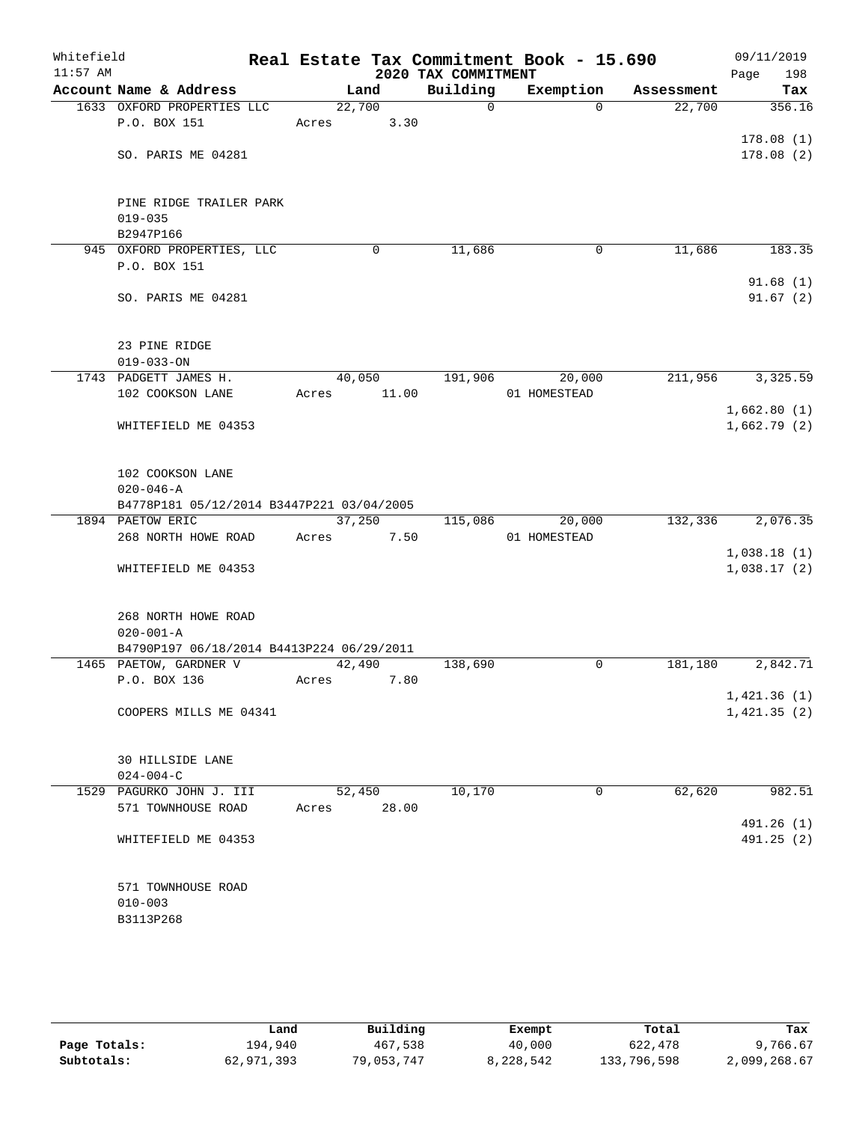| Whitefield<br>$11:57$ AM |                                           |        |      |       | 2020 TAX COMMITMENT | Real Estate Tax Commitment Book - 15.690 |            | 09/11/2019<br>Page<br>198 |
|--------------------------|-------------------------------------------|--------|------|-------|---------------------|------------------------------------------|------------|---------------------------|
|                          | Account Name & Address                    |        | Land |       | Building            | Exemption                                | Assessment | Tax                       |
|                          | 1633 OXFORD PROPERTIES LLC                | 22,700 |      |       | $\mathbf 0$         | $\Omega$                                 | 22,700     | 356.16                    |
|                          | P.O. BOX 151                              | Acres  |      | 3.30  |                     |                                          |            |                           |
|                          |                                           |        |      |       |                     |                                          |            | 178.08(1)                 |
|                          | SO. PARIS ME 04281                        |        |      |       |                     |                                          |            | 178.08(2)                 |
|                          |                                           |        |      |       |                     |                                          |            |                           |
|                          |                                           |        |      |       |                     |                                          |            |                           |
|                          | PINE RIDGE TRAILER PARK                   |        |      |       |                     |                                          |            |                           |
|                          | $019 - 035$                               |        |      |       |                     |                                          |            |                           |
|                          | B2947P166                                 |        |      |       |                     |                                          |            |                           |
|                          | 945 OXFORD PROPERTIES, LLC                |        | 0    |       | 11,686              | 0                                        | 11,686     | 183.35                    |
|                          | P.O. BOX 151                              |        |      |       |                     |                                          |            |                           |
|                          |                                           |        |      |       |                     |                                          |            | 91.68(1)                  |
|                          | SO. PARIS ME 04281                        |        |      |       |                     |                                          |            | 91.67(2)                  |
|                          |                                           |        |      |       |                     |                                          |            |                           |
|                          |                                           |        |      |       |                     |                                          |            |                           |
|                          | 23 PINE RIDGE                             |        |      |       |                     |                                          |            |                           |
|                          | $019 - 033 - ON$<br>1743 PADGETT JAMES H. |        |      |       | 191,906             | 20,000                                   |            |                           |
|                          | 102 COOKSON LANE                          | 40,050 |      |       |                     | 01 HOMESTEAD                             | 211,956    | 3,325.59                  |
|                          |                                           | Acres  |      | 11.00 |                     |                                          |            | 1,662.80(1)               |
|                          | WHITEFIELD ME 04353                       |        |      |       |                     |                                          |            | 1,662.79(2)               |
|                          |                                           |        |      |       |                     |                                          |            |                           |
|                          |                                           |        |      |       |                     |                                          |            |                           |
|                          | 102 COOKSON LANE                          |        |      |       |                     |                                          |            |                           |
|                          | $020 - 046 - A$                           |        |      |       |                     |                                          |            |                           |
|                          | B4778P181 05/12/2014 B3447P221 03/04/2005 |        |      |       |                     |                                          |            |                           |
|                          | 1894 PAETOW ERIC                          | 37,250 |      |       | 115,086             | 20,000                                   | 132,336    | 2,076.35                  |
|                          | 268 NORTH HOWE ROAD                       | Acres  |      | 7.50  |                     | 01 HOMESTEAD                             |            |                           |
|                          |                                           |        |      |       |                     |                                          |            | 1,038.18(1)               |
|                          | WHITEFIELD ME 04353                       |        |      |       |                     |                                          |            | 1,038.17(2)               |
|                          |                                           |        |      |       |                     |                                          |            |                           |
|                          |                                           |        |      |       |                     |                                          |            |                           |
|                          | 268 NORTH HOWE ROAD                       |        |      |       |                     |                                          |            |                           |
|                          | $020 - 001 - A$                           |        |      |       |                     |                                          |            |                           |
|                          | B4790P197 06/18/2014 B4413P224 06/29/2011 |        |      |       |                     |                                          |            |                           |
|                          | 1465 PAETOW, GARDNER V                    | 42,490 |      |       | 138,690             | 0                                        | 181,180    | 2,842.71                  |
|                          | P.O. BOX 136                              | Acres  |      | 7.80  |                     |                                          |            |                           |
|                          |                                           |        |      |       |                     |                                          |            | 1,421.36 (1)              |
|                          | COOPERS MILLS ME 04341                    |        |      |       |                     |                                          |            | 1,421.35(2)               |
|                          |                                           |        |      |       |                     |                                          |            |                           |
|                          |                                           |        |      |       |                     |                                          |            |                           |
|                          | <b>30 HILLSIDE LANE</b>                   |        |      |       |                     |                                          |            |                           |
|                          | $024 - 004 - C$                           |        |      |       |                     |                                          |            |                           |
|                          | 1529 PAGURKO JOHN J. III                  | 52,450 |      |       | 10,170              | 0                                        | 62,620     | 982.51                    |
|                          | 571 TOWNHOUSE ROAD                        | Acres  |      | 28.00 |                     |                                          |            | 491.26 (1)                |
|                          | WHITEFIELD ME 04353                       |        |      |       |                     |                                          |            | 491.25 (2)                |
|                          |                                           |        |      |       |                     |                                          |            |                           |
|                          |                                           |        |      |       |                     |                                          |            |                           |
|                          | 571 TOWNHOUSE ROAD                        |        |      |       |                     |                                          |            |                           |
|                          | $010 - 003$                               |        |      |       |                     |                                          |            |                           |
|                          | B3113P268                                 |        |      |       |                     |                                          |            |                           |
|                          |                                           |        |      |       |                     |                                          |            |                           |
|                          |                                           |        |      |       |                     |                                          |            |                           |

|              | Land       | Building   | Exempt    | Total       | Tax          |
|--------------|------------|------------|-----------|-------------|--------------|
| Page Totals: | 194,940    | 467,538    | 40,000    | 622,478     | 9,766.67     |
| Subtotals:   | 62,971,393 | 79,053,747 | 8,228,542 | 133,796,598 | 2,099,268.67 |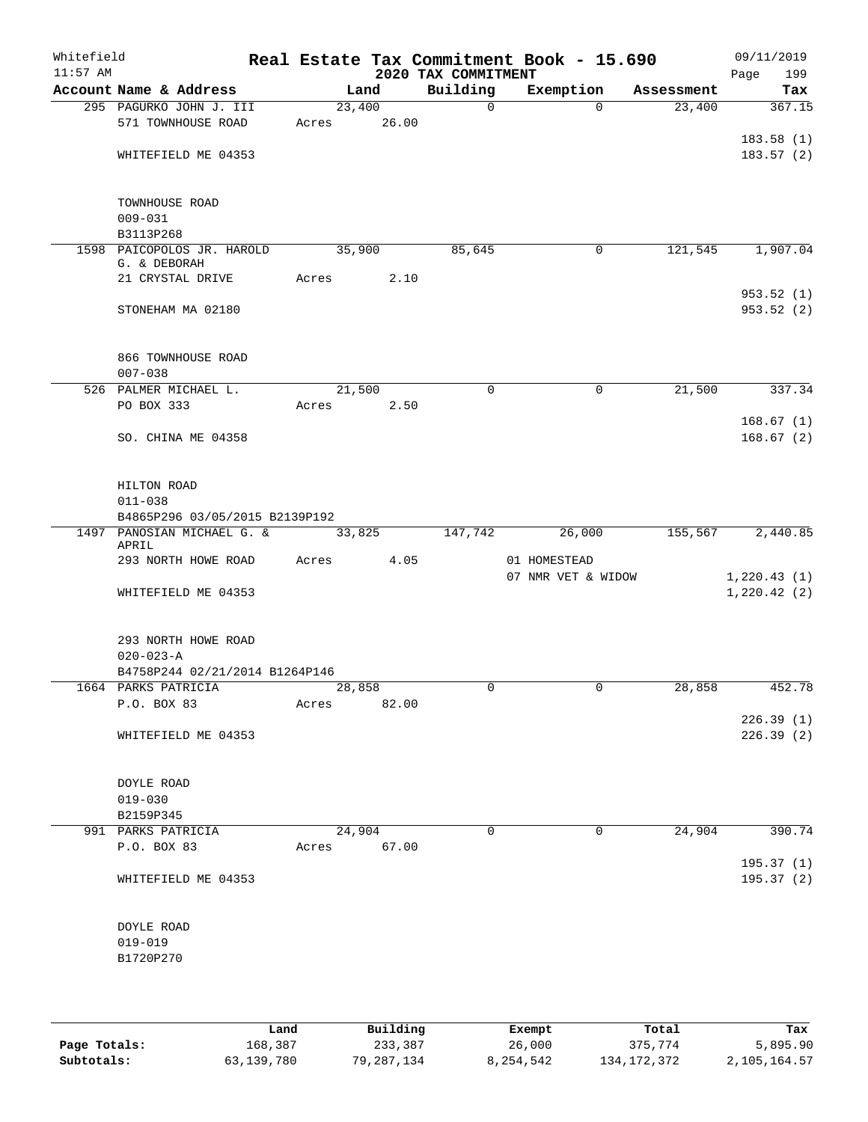| Whitefield<br>$11:57$ AM |                                         |             |       | 2020 TAX COMMITMENT | Real Estate Tax Commitment Book - 15.690 |            | 09/11/2019<br>Page<br>199  |
|--------------------------|-----------------------------------------|-------------|-------|---------------------|------------------------------------------|------------|----------------------------|
|                          | Account Name & Address                  |             | Land  | Building            | Exemption                                | Assessment | Tax                        |
|                          | 295 PAGURKO JOHN J. III                 | 23,400      |       | $\mathbf 0$         | $\Omega$                                 | 23,400     | 367.15                     |
|                          | 571 TOWNHOUSE ROAD                      | Acres       | 26.00 |                     |                                          |            |                            |
|                          |                                         |             |       |                     |                                          |            | 183.58(1)                  |
|                          | WHITEFIELD ME 04353                     |             |       |                     |                                          |            | 183.57(2)                  |
|                          |                                         |             |       |                     |                                          |            |                            |
|                          |                                         |             |       |                     |                                          |            |                            |
|                          | TOWNHOUSE ROAD                          |             |       |                     |                                          |            |                            |
|                          | $009 - 031$                             |             |       |                     |                                          |            |                            |
|                          | B3113P268<br>1598 PAICOPOLOS JR. HAROLD | 35,900      |       | 85,645              | 0                                        | 121,545    | 1,907.04                   |
|                          | G. & DEBORAH                            |             |       |                     |                                          |            |                            |
|                          | 21 CRYSTAL DRIVE                        | Acres       | 2.10  |                     |                                          |            |                            |
|                          |                                         |             |       |                     |                                          |            | 953.52(1)                  |
|                          | STONEHAM MA 02180                       |             |       |                     |                                          |            | 953.52(2)                  |
|                          |                                         |             |       |                     |                                          |            |                            |
|                          |                                         |             |       |                     |                                          |            |                            |
|                          | 866 TOWNHOUSE ROAD                      |             |       |                     |                                          |            |                            |
|                          | $007 - 038$                             |             |       |                     |                                          |            |                            |
|                          | 526 PALMER MICHAEL L.<br>PO BOX 333     | 21,500      |       | $\mathbf 0$         | $\mathbf 0$                              | 21,500     | 337.34                     |
|                          |                                         | Acres       | 2.50  |                     |                                          |            | 168.67(1)                  |
|                          | SO. CHINA ME 04358                      |             |       |                     |                                          |            | 168.67(2)                  |
|                          |                                         |             |       |                     |                                          |            |                            |
|                          |                                         |             |       |                     |                                          |            |                            |
|                          | HILTON ROAD                             |             |       |                     |                                          |            |                            |
|                          | $011 - 038$                             |             |       |                     |                                          |            |                            |
|                          | B4865P296 03/05/2015 B2139P192          |             |       |                     |                                          |            |                            |
|                          | 1497 PANOSIAN MICHAEL G. &              | 33,825      |       | 147,742             | 26,000                                   | 155,567    | 2,440.85                   |
|                          | APRIL                                   |             |       |                     |                                          |            |                            |
|                          | 293 NORTH HOWE ROAD                     | Acres       | 4.05  |                     | 01 HOMESTEAD<br>07 NMR VET & WIDOW       |            |                            |
|                          | WHITEFIELD ME 04353                     |             |       |                     |                                          |            | 1,220.43(1)<br>1,220.42(2) |
|                          |                                         |             |       |                     |                                          |            |                            |
|                          |                                         |             |       |                     |                                          |            |                            |
|                          | 293 NORTH HOWE ROAD                     |             |       |                     |                                          |            |                            |
|                          | $020 - 023 - A$                         |             |       |                     |                                          |            |                            |
|                          | B4758P244 02/21/2014 B1264P146          |             |       |                     |                                          |            |                            |
|                          | 1664 PARKS PATRICIA                     | 28,858      |       | 0                   |                                          | 28,858     | 452.78                     |
|                          | P.O. BOX 83                             | Acres       | 82.00 |                     |                                          |            |                            |
|                          |                                         |             |       |                     |                                          |            | 226.39(1)                  |
|                          | WHITEFIELD ME 04353                     |             |       |                     |                                          |            | 226.39(2)                  |
|                          |                                         |             |       |                     |                                          |            |                            |
|                          | DOYLE ROAD                              |             |       |                     |                                          |            |                            |
|                          | $019 - 030$                             |             |       |                     |                                          |            |                            |
|                          | B2159P345                               |             |       |                     |                                          |            |                            |
|                          | 991 PARKS PATRICIA                      | 24,904      |       | $\Omega$            | $\mathbf 0$                              | 24,904     | 390.74                     |
|                          | P.O. BOX 83                             | Acres 67.00 |       |                     |                                          |            |                            |
|                          |                                         |             |       |                     |                                          |            | 195.37(1)                  |
|                          | WHITEFIELD ME 04353                     |             |       |                     |                                          |            | 195.37(2)                  |
|                          |                                         |             |       |                     |                                          |            |                            |
|                          |                                         |             |       |                     |                                          |            |                            |
|                          | DOYLE ROAD                              |             |       |                     |                                          |            |                            |
|                          | $019 - 019$                             |             |       |                     |                                          |            |                            |
|                          | B1720P270                               |             |       |                     |                                          |            |                            |
|                          |                                         |             |       |                     |                                          |            |                            |
|                          |                                         |             |       |                     |                                          |            |                            |

|              | Land       | Building   | Exempt    | Total         | Tax          |
|--------------|------------|------------|-----------|---------------|--------------|
| Page Totals: | 168,387    | 233,387    | 26,000    | 375,774       | 5,895.90     |
| Subtotals:   | 63,139,780 | 79,287,134 | 8,254,542 | 134, 172, 372 | 2,105,164.57 |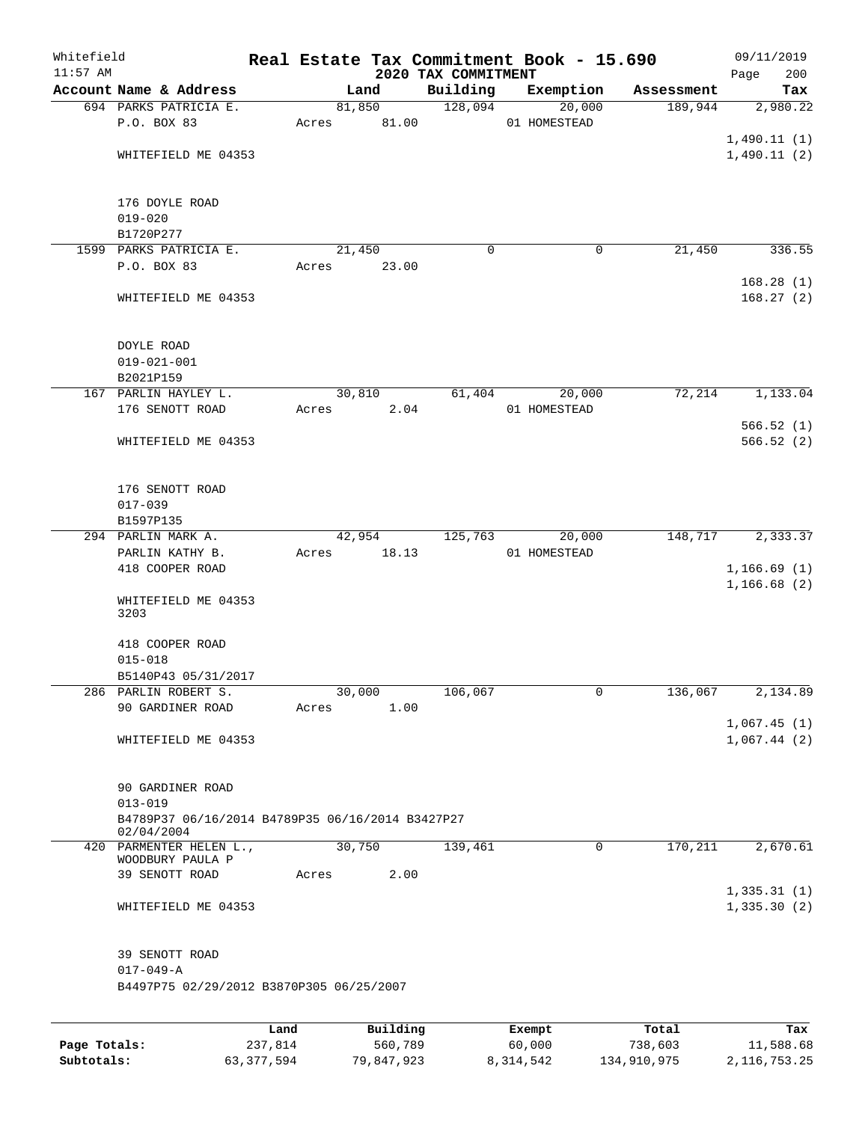| Whitefield<br>$11:57$ AM |                                                                 |       |        |          | 2020 TAX COMMITMENT | Real Estate Tax Commitment Book - 15.690 |            | 09/11/2019<br>200<br>Page  |
|--------------------------|-----------------------------------------------------------------|-------|--------|----------|---------------------|------------------------------------------|------------|----------------------------|
|                          | Account Name & Address                                          |       | Land   |          | Building            | Exemption                                | Assessment | Tax                        |
|                          | 694 PARKS PATRICIA E.                                           |       | 81,850 |          | 128,094             | 20,000                                   | 189,944    | 2,980.22                   |
|                          | P.O. BOX 83                                                     | Acres |        | 81.00    |                     | 01 HOMESTEAD                             |            |                            |
|                          |                                                                 |       |        |          |                     |                                          |            | 1,490.11(1)                |
|                          | WHITEFIELD ME 04353                                             |       |        |          |                     |                                          |            | 1,490.11(2)                |
|                          |                                                                 |       |        |          |                     |                                          |            |                            |
|                          | 176 DOYLE ROAD                                                  |       |        |          |                     |                                          |            |                            |
|                          | $019 - 020$                                                     |       |        |          |                     |                                          |            |                            |
|                          | B1720P277                                                       |       |        |          |                     |                                          |            |                            |
|                          | 1599 PARKS PATRICIA E.                                          |       | 21,450 |          | 0                   | 0                                        | 21,450     | 336.55                     |
|                          | P.O. BOX 83                                                     | Acres |        | 23.00    |                     |                                          |            |                            |
|                          | WHITEFIELD ME 04353                                             |       |        |          |                     |                                          |            | 168.28(1)<br>168.27(2)     |
|                          |                                                                 |       |        |          |                     |                                          |            |                            |
|                          | DOYLE ROAD                                                      |       |        |          |                     |                                          |            |                            |
|                          | $019 - 021 - 001$                                               |       |        |          |                     |                                          |            |                            |
|                          | B2021P159                                                       |       |        |          |                     |                                          |            |                            |
|                          | 167 PARLIN HAYLEY L.                                            |       | 30,810 |          | 61,404              | 20,000                                   | 72,214     | 1,133.04                   |
|                          | 176 SENOTT ROAD                                                 | Acres |        | 2.04     |                     | 01 HOMESTEAD                             |            |                            |
|                          |                                                                 |       |        |          |                     |                                          |            | 566.52(1)                  |
|                          | WHITEFIELD ME 04353                                             |       |        |          |                     |                                          |            | 566.52(2)                  |
|                          | 176 SENOTT ROAD                                                 |       |        |          |                     |                                          |            |                            |
|                          | $017 - 039$                                                     |       |        |          |                     |                                          |            |                            |
|                          | B1597P135                                                       |       |        |          |                     |                                          |            |                            |
|                          | 294 PARLIN MARK A.                                              |       | 42,954 |          | 125,763             | 20,000                                   | 148,717    | 2,333.37                   |
|                          | PARLIN KATHY B.                                                 | Acres |        | 18.13    |                     | 01 HOMESTEAD                             |            |                            |
|                          | 418 COOPER ROAD                                                 |       |        |          |                     |                                          |            | 1,166.69(1)<br>1,166.68(2) |
|                          | WHITEFIELD ME 04353<br>3203                                     |       |        |          |                     |                                          |            |                            |
|                          | 418 COOPER ROAD                                                 |       |        |          |                     |                                          |            |                            |
|                          | $015 - 018$                                                     |       |        |          |                     |                                          |            |                            |
|                          | B5140P43 05/31/2017                                             |       |        |          |                     |                                          |            |                            |
|                          | 286 PARLIN ROBERT S.                                            |       | 30,000 |          | 106,067             | $\mathbf{0}$                             | 136,067    | 2,134.89                   |
|                          | 90 GARDINER ROAD                                                | Acres |        | 1.00     |                     |                                          |            |                            |
|                          |                                                                 |       |        |          |                     |                                          |            | 1,067.45(1)                |
|                          | WHITEFIELD ME 04353                                             |       |        |          |                     |                                          |            | 1,067.44(2)                |
|                          | 90 GARDINER ROAD                                                |       |        |          |                     |                                          |            |                            |
|                          | $013 - 019$<br>B4789P37 06/16/2014 B4789P35 06/16/2014 B3427P27 |       |        |          |                     |                                          |            |                            |
|                          | 02/04/2004                                                      |       |        |          |                     |                                          |            |                            |
|                          | 420 PARMENTER HELEN L.,<br>WOODBURY PAULA P                     |       | 30,750 |          | 139,461             | $\mathbf 0$                              | 170,211    | 2,670.61                   |
|                          | 39 SENOTT ROAD                                                  | Acres |        | 2.00     |                     |                                          |            |                            |
|                          | WHITEFIELD ME 04353                                             |       |        |          |                     |                                          |            | 1,335.31(1)<br>1,335.30(2) |
|                          |                                                                 |       |        |          |                     |                                          |            |                            |
|                          | 39 SENOTT ROAD<br>$017 - 049 - A$                               |       |        |          |                     |                                          |            |                            |
|                          | B4497P75 02/29/2012 B3870P305 06/25/2007                        |       |        |          |                     |                                          |            |                            |
|                          |                                                                 |       |        |          |                     |                                          |            |                            |
|                          |                                                                 | Land  |        | Building |                     | Exempt                                   | Total      | Tax                        |

| Page Totals: | 237,814      | 560,789    | 60,000    | 738,603     | 11,588.68    |
|--------------|--------------|------------|-----------|-------------|--------------|
| Subtotals:   | 63, 377, 594 | 79,847,923 | 8,314,542 | 134,910,975 | 2,116,753.25 |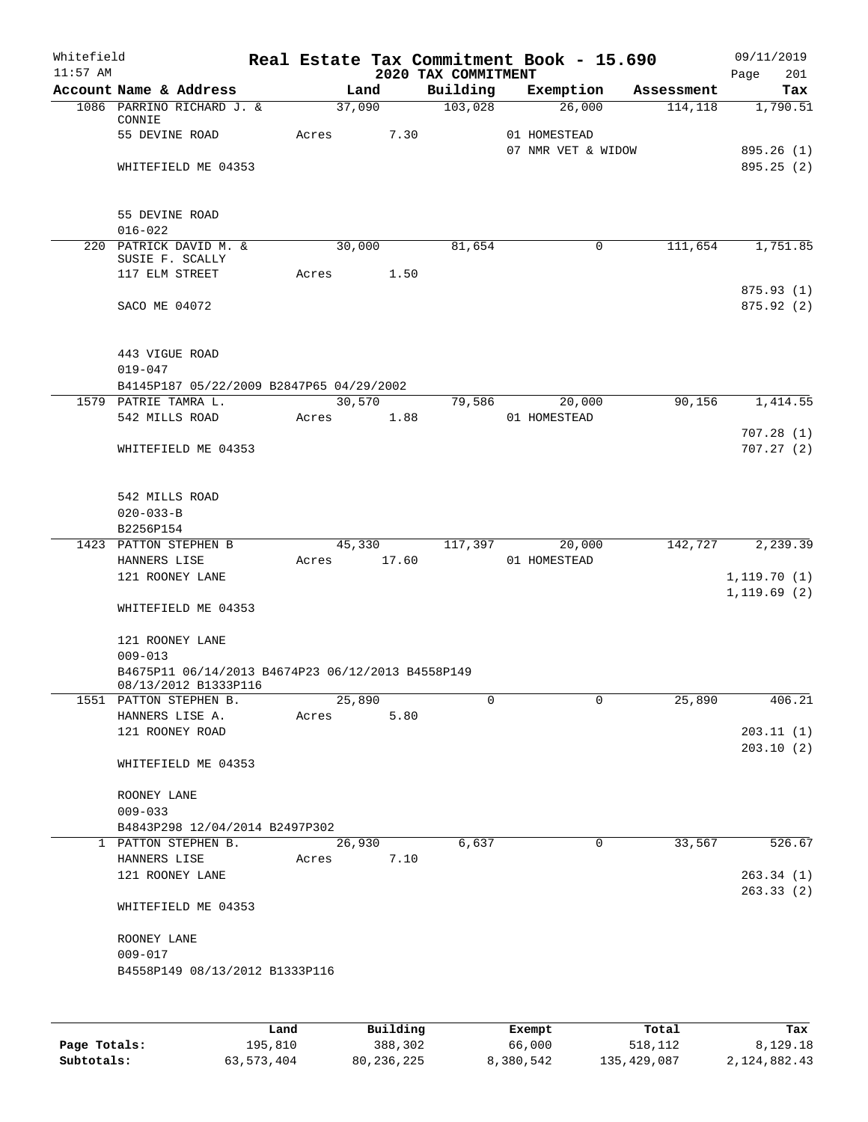| Whitefield<br>$11:57$ AM |                                                                           |       |                 |       | Real Estate Tax Commitment Book - 15.690<br>2020 TAX COMMITMENT |                    |            | Page         | 09/11/2019<br>201        |
|--------------------------|---------------------------------------------------------------------------|-------|-----------------|-------|-----------------------------------------------------------------|--------------------|------------|--------------|--------------------------|
|                          | Account Name & Address                                                    |       | Land            |       | Building                                                        | Exemption          | Assessment |              | Tax                      |
|                          | 1086 PARRINO RICHARD J. &<br>CONNIE                                       |       | 37,090          |       | 103,028                                                         | 26,000             | 114, 118   |              | 1,790.51                 |
|                          | 55 DEVINE ROAD                                                            | Acres |                 | 7.30  |                                                                 | 01 HOMESTEAD       |            |              |                          |
|                          | WHITEFIELD ME 04353                                                       |       |                 |       |                                                                 | 07 NMR VET & WIDOW |            |              | 895.26 (1)<br>895.25 (2) |
|                          |                                                                           |       |                 |       |                                                                 |                    |            |              |                          |
|                          | 55 DEVINE ROAD                                                            |       |                 |       |                                                                 |                    |            |              |                          |
|                          | $016 - 022$                                                               |       |                 |       |                                                                 |                    |            |              |                          |
|                          | 220 PATRICK DAVID M. &                                                    |       | 30,000          |       | 81,654                                                          | 0                  | 111,654    |              | 1,751.85                 |
|                          | SUSIE F. SCALLY<br>117 ELM STREET                                         |       | Acres           | 1.50  |                                                                 |                    |            |              |                          |
|                          |                                                                           |       |                 |       |                                                                 |                    |            |              | 875.93(1)                |
|                          | SACO ME 04072                                                             |       |                 |       |                                                                 |                    |            |              | 875.92(2)                |
|                          |                                                                           |       |                 |       |                                                                 |                    |            |              |                          |
|                          | 443 VIGUE ROAD<br>$019 - 047$                                             |       |                 |       |                                                                 |                    |            |              |                          |
|                          | B4145P187 05/22/2009 B2847P65 04/29/2002                                  |       |                 |       |                                                                 |                    |            |              |                          |
|                          | 1579 PATRIE TAMRA L.                                                      |       | 30,570          |       | 79,586                                                          | 20,000             | 90,156     |              | 1,414.55                 |
|                          | 542 MILLS ROAD                                                            | Acres |                 | 1.88  |                                                                 | 01 HOMESTEAD       |            |              |                          |
|                          |                                                                           |       |                 |       |                                                                 |                    |            |              | 707.28(1)                |
|                          | WHITEFIELD ME 04353                                                       |       |                 |       |                                                                 |                    |            |              | 707.27(2)                |
|                          | 542 MILLS ROAD                                                            |       |                 |       |                                                                 |                    |            |              |                          |
|                          | $020 - 033 - B$                                                           |       |                 |       |                                                                 |                    |            |              |                          |
|                          | B2256P154                                                                 |       |                 |       |                                                                 |                    |            |              |                          |
|                          | 1423 PATTON STEPHEN B                                                     |       | 45,330          |       | 117,397                                                         | 20,000             | 142,727    |              | 2,239.39                 |
|                          | HANNERS LISE                                                              | Acres |                 | 17.60 |                                                                 | 01 HOMESTEAD       |            |              |                          |
|                          | 121 ROONEY LANE                                                           |       |                 |       |                                                                 |                    |            | 1,119.70(1)  |                          |
|                          | WHITEFIELD ME 04353                                                       |       |                 |       |                                                                 |                    |            | 1, 119.69(2) |                          |
|                          | 121 ROONEY LANE                                                           |       |                 |       |                                                                 |                    |            |              |                          |
|                          | $009 - 013$                                                               |       |                 |       |                                                                 |                    |            |              |                          |
|                          | B4675P11 06/14/2013 B4674P23 06/12/2013 B4558P149<br>08/13/2012 B1333P116 |       |                 |       | $\Omega$                                                        | 0                  |            |              | 406.21                   |
|                          | 1551 PATTON STEPHEN B.<br>HANNERS LISE A.                                 |       | 25,890<br>Acres | 5.80  |                                                                 |                    | 25,890     |              |                          |
|                          | 121 ROONEY ROAD                                                           |       |                 |       |                                                                 |                    |            |              | 203.11(1)                |
|                          |                                                                           |       |                 |       |                                                                 |                    |            |              | 203.10(2)                |
|                          | WHITEFIELD ME 04353                                                       |       |                 |       |                                                                 |                    |            |              |                          |
|                          | ROONEY LANE                                                               |       |                 |       |                                                                 |                    |            |              |                          |
|                          | $009 - 033$                                                               |       |                 |       |                                                                 |                    |            |              |                          |
|                          | B4843P298 12/04/2014 B2497P302                                            |       |                 |       |                                                                 |                    |            |              |                          |
|                          | 1 PATTON STEPHEN B.                                                       |       | 26,930          |       | 6,637                                                           | 0                  | 33,567     |              | 526.67                   |
|                          | HANNERS LISE                                                              | Acres |                 | 7.10  |                                                                 |                    |            |              |                          |
|                          | 121 ROONEY LANE                                                           |       |                 |       |                                                                 |                    |            |              | 263.34(1)<br>263.33(2)   |
|                          | WHITEFIELD ME 04353                                                       |       |                 |       |                                                                 |                    |            |              |                          |
|                          | ROONEY LANE                                                               |       |                 |       |                                                                 |                    |            |              |                          |
|                          | $009 - 017$                                                               |       |                 |       |                                                                 |                    |            |              |                          |
|                          | B4558P149 08/13/2012 B1333P116                                            |       |                 |       |                                                                 |                    |            |              |                          |
|                          |                                                                           |       |                 |       |                                                                 |                    |            |              |                          |
|                          |                                                                           |       |                 |       |                                                                 |                    |            |              |                          |

|              | Land       | Building   | Exempt    | Total       | Tax          |
|--------------|------------|------------|-----------|-------------|--------------|
| Page Totals: | 195,810    | 388,302    | 66,000    | 518,112     | 8,129.18     |
| Subtotals:   | 63,573,404 | 80,236,225 | 8,380,542 | 135,429,087 | 2,124,882.43 |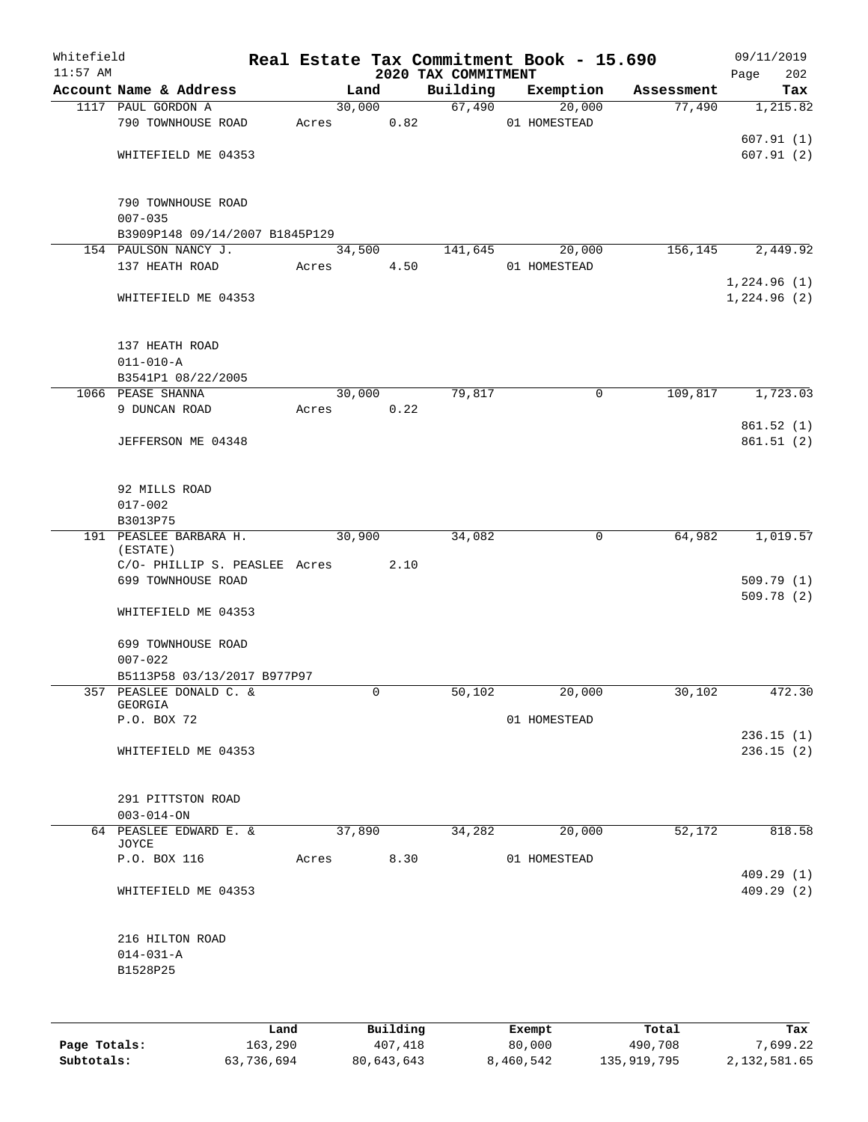| Whitefield<br>$11:57$ AM |                                    |       |        |          | 2020 TAX COMMITMENT | Real Estate Tax Commitment Book - 15.690 |            | 09/11/2019         |
|--------------------------|------------------------------------|-------|--------|----------|---------------------|------------------------------------------|------------|--------------------|
|                          | Account Name & Address             |       | Land   |          | Building            | Exemption                                | Assessment | Page<br>202<br>Tax |
|                          | 1117 PAUL GORDON A                 |       | 30,000 |          | 67,490              | 20,000                                   | 77,490     | 1,215.82           |
|                          | 790 TOWNHOUSE ROAD                 | Acres |        | 0.82     |                     | 01 HOMESTEAD                             |            |                    |
|                          |                                    |       |        |          |                     |                                          |            | 607.91(1)          |
|                          | WHITEFIELD ME 04353                |       |        |          |                     |                                          |            | 607.91(2)          |
|                          |                                    |       |        |          |                     |                                          |            |                    |
|                          |                                    |       |        |          |                     |                                          |            |                    |
|                          | 790 TOWNHOUSE ROAD<br>$007 - 035$  |       |        |          |                     |                                          |            |                    |
|                          | B3909P148 09/14/2007 B1845P129     |       |        |          |                     |                                          |            |                    |
|                          | 154 PAULSON NANCY J.               |       | 34,500 |          | 141,645             | 20,000                                   | 156,145    | 2,449.92           |
|                          | 137 HEATH ROAD                     | Acres |        | 4.50     |                     | 01 HOMESTEAD                             |            |                    |
|                          |                                    |       |        |          |                     |                                          |            | 1,224.96(1)        |
|                          | WHITEFIELD ME 04353                |       |        |          |                     |                                          |            | 1,224.96(2)        |
|                          |                                    |       |        |          |                     |                                          |            |                    |
|                          | 137 HEATH ROAD                     |       |        |          |                     |                                          |            |                    |
|                          | $011 - 010 - A$                    |       |        |          |                     |                                          |            |                    |
|                          | B3541P1 08/22/2005                 |       |        |          |                     |                                          |            |                    |
|                          | 1066 PEASE SHANNA                  |       | 30,000 |          | 79,817              | $\mathsf{O}$                             | 109,817    | 1,723.03           |
|                          | 9 DUNCAN ROAD                      | Acres |        | 0.22     |                     |                                          |            |                    |
|                          |                                    |       |        |          |                     |                                          |            | 861.52(1)          |
|                          | JEFFERSON ME 04348                 |       |        |          |                     |                                          |            | 861.51(2)          |
|                          | 92 MILLS ROAD                      |       |        |          |                     |                                          |            |                    |
|                          | $017 - 002$                        |       |        |          |                     |                                          |            |                    |
|                          | B3013P75                           |       |        |          |                     |                                          |            |                    |
|                          | 191 PEASLEE BARBARA H.<br>(ESTATE) |       | 30,900 |          | 34,082              | 0                                        | 64,982     | 1,019.57           |
|                          | C/O- PHILLIP S. PEASLEE Acres      |       |        | 2.10     |                     |                                          |            |                    |
|                          | 699 TOWNHOUSE ROAD                 |       |        |          |                     |                                          |            | 509.79(1)          |
|                          |                                    |       |        |          |                     |                                          |            | 509.78(2)          |
|                          | WHITEFIELD ME 04353                |       |        |          |                     |                                          |            |                    |
|                          | 699 TOWNHOUSE ROAD                 |       |        |          |                     |                                          |            |                    |
|                          | $007 - 022$                        |       |        |          |                     |                                          |            |                    |
|                          | B5113P58 03/13/2017 B977P97        |       |        |          |                     |                                          |            |                    |
| 357                      | PEASLEE DONALD C. &                |       | 0      |          | 50,102              | 20,000                                   | 30,102     | 472.30             |
|                          | GEORGIA                            |       |        |          |                     |                                          |            |                    |
|                          | P.O. BOX 72                        |       |        |          |                     | 01 HOMESTEAD                             |            |                    |
|                          |                                    |       |        |          |                     |                                          |            | 236.15(1)          |
|                          | WHITEFIELD ME 04353                |       |        |          |                     |                                          |            | 236.15(2)          |
|                          | 291 PITTSTON ROAD                  |       |        |          |                     |                                          |            |                    |
|                          | $003 - 014 - ON$                   |       |        |          |                     |                                          |            |                    |
|                          | 64 PEASLEE EDWARD E. &             |       | 37,890 |          | 34,282              | 20,000                                   | 52,172     | 818.58             |
|                          | JOYCE<br>P.O. BOX 116              | Acres |        | 8.30     |                     | 01 HOMESTEAD                             |            |                    |
|                          |                                    |       |        |          |                     |                                          |            | 409.29(1)          |
|                          | WHITEFIELD ME 04353                |       |        |          |                     |                                          |            | 409.29(2)          |
|                          |                                    |       |        |          |                     |                                          |            |                    |
|                          | 216 HILTON ROAD                    |       |        |          |                     |                                          |            |                    |
|                          | $014 - 031 - A$<br>B1528P25        |       |        |          |                     |                                          |            |                    |
|                          |                                    |       |        |          |                     |                                          |            |                    |
|                          |                                    |       |        |          |                     |                                          |            |                    |
|                          |                                    | Land  |        | Building |                     | Exempt                                   | Total      | Tax                |

**Page Totals:** 163,290 407,418 80,000 490,708 7,699.22 **Subtotals:** 63,736,694 80,643,643 8,460,542 135,919,795 2,132,581.65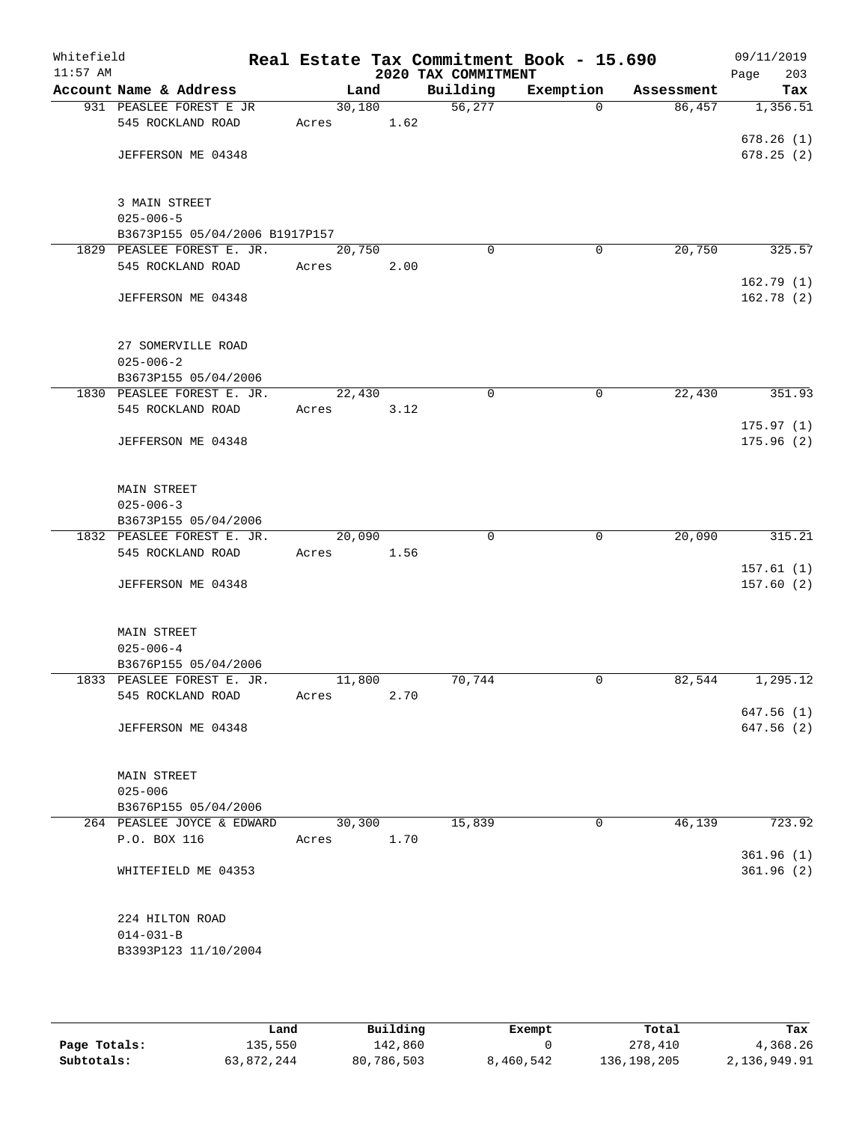| Whitefield<br>$11:57$ AM |                                                    |        |      | 2020 TAX COMMITMENT | Real Estate Tax Commitment Book - 15.690 |            | 09/11/2019<br>Page<br>203 |
|--------------------------|----------------------------------------------------|--------|------|---------------------|------------------------------------------|------------|---------------------------|
|                          | Account Name & Address                             |        | Land | Building            | Exemption                                | Assessment | Tax                       |
|                          | 931 PEASLEE FOREST E JR                            | 30,180 |      | 56, 277             | $\Omega$                                 | 86,457     | 1,356.51                  |
|                          | 545 ROCKLAND ROAD                                  | Acres  | 1.62 |                     |                                          |            |                           |
|                          |                                                    |        |      |                     |                                          |            | 678.26(1)                 |
|                          | JEFFERSON ME 04348                                 |        |      |                     |                                          |            | 678.25(2)                 |
|                          | 3 MAIN STREET                                      |        |      |                     |                                          |            |                           |
|                          | $025 - 006 - 5$                                    |        |      |                     |                                          |            |                           |
|                          | B3673P155 05/04/2006 B1917P157                     |        |      |                     |                                          |            |                           |
|                          | 1829 PEASLEE FOREST E. JR.                         | 20,750 |      | $\mathbf 0$         | 0                                        | 20,750     | 325.57                    |
|                          | 545 ROCKLAND ROAD                                  | Acres  | 2.00 |                     |                                          |            |                           |
|                          | JEFFERSON ME 04348                                 |        |      |                     |                                          |            | 162.79(1)<br>162.78(2)    |
|                          |                                                    |        |      |                     |                                          |            |                           |
|                          | 27 SOMERVILLE ROAD                                 |        |      |                     |                                          |            |                           |
|                          | $025 - 006 - 2$                                    |        |      |                     |                                          |            |                           |
|                          | B3673P155 05/04/2006<br>1830 PEASLEE FOREST E. JR. | 22,430 |      | 0                   | 0                                        | 22,430     | 351.93                    |
|                          | 545 ROCKLAND ROAD                                  | Acres  | 3.12 |                     |                                          |            |                           |
|                          |                                                    |        |      |                     |                                          |            | 175.97(1)                 |
|                          | JEFFERSON ME 04348                                 |        |      |                     |                                          |            | 175.96(2)                 |
|                          | MAIN STREET                                        |        |      |                     |                                          |            |                           |
|                          | $025 - 006 - 3$                                    |        |      |                     |                                          |            |                           |
|                          | B3673P155 05/04/2006                               |        |      |                     |                                          |            |                           |
|                          | 1832 PEASLEE FOREST E. JR.                         | 20,090 |      | 0                   | 0                                        | 20,090     | 315.21                    |
|                          | 545 ROCKLAND ROAD                                  | Acres  | 1.56 |                     |                                          |            |                           |
|                          |                                                    |        |      |                     |                                          |            | 157.61(1)                 |
|                          | JEFFERSON ME 04348                                 |        |      |                     |                                          |            | 157.60(2)                 |
|                          | <b>MAIN STREET</b>                                 |        |      |                     |                                          |            |                           |
|                          | $025 - 006 - 4$                                    |        |      |                     |                                          |            |                           |
|                          | B3676P155 05/04/2006                               | 11,800 |      | 70,744              |                                          |            | 1,295.12                  |
|                          | 1833 PEASLEE FOREST E. JR.<br>545 ROCKLAND ROAD    | Acres  | 2.70 |                     | 0                                        | 82,544     |                           |
|                          |                                                    |        |      |                     |                                          |            | 647.56(1)                 |
|                          | JEFFERSON ME 04348                                 |        |      |                     |                                          |            | 647.56(2)                 |
|                          |                                                    |        |      |                     |                                          |            |                           |
|                          | MAIN STREET                                        |        |      |                     |                                          |            |                           |
|                          | $025 - 006$                                        |        |      |                     |                                          |            |                           |
|                          | B3676P155 05/04/2006                               |        |      |                     |                                          |            |                           |
|                          | 264 PEASLEE JOYCE & EDWARD                         | 30,300 |      | 15,839              | $\mathbf 0$                              | 46,139     | 723.92                    |
|                          | P.O. BOX 116                                       | Acres  | 1.70 |                     |                                          |            |                           |
|                          |                                                    |        |      |                     |                                          |            | 361.96(1)                 |
|                          | WHITEFIELD ME 04353                                |        |      |                     |                                          |            | 361.96(2)                 |
|                          | 224 HILTON ROAD                                    |        |      |                     |                                          |            |                           |
|                          | $014 - 031 - B$                                    |        |      |                     |                                          |            |                           |
|                          | B3393P123 11/10/2004                               |        |      |                     |                                          |            |                           |
|                          |                                                    |        |      |                     |                                          |            |                           |

|              | Land       | Building   | Exempt    | Total         | Tax          |
|--------------|------------|------------|-----------|---------------|--------------|
| Page Totals: | 135,550    | 142,860    |           | 278,410       | 4,368.26     |
| Subtotals:   | 63,872,244 | 80,786,503 | 8,460,542 | 136, 198, 205 | 2,136,949.91 |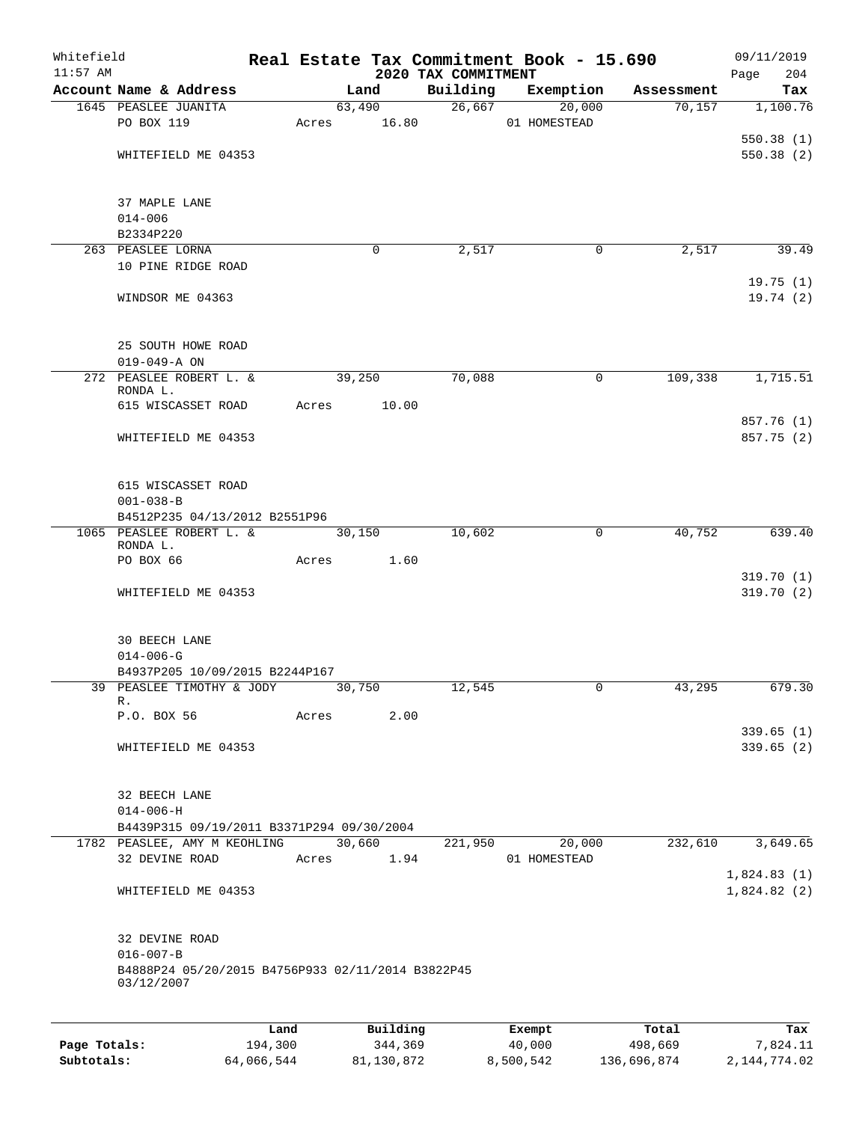| Whitefield<br>$11:57$ AM |                                                   |         |       |          | 2020 TAX COMMITMENT | Real Estate Tax Commitment Book - 15.690 |            | 09/11/2019<br>Page<br>204 |
|--------------------------|---------------------------------------------------|---------|-------|----------|---------------------|------------------------------------------|------------|---------------------------|
|                          | Account Name & Address                            |         |       | Land     | Building            | Exemption                                | Assessment | Tax                       |
|                          | 1645 PEASLEE JUANITA                              |         |       | 63,490   |                     | 26,667<br>20,000                         | 70,157     | 1,100.76                  |
|                          | PO BOX 119                                        |         | Acres | 16.80    |                     | 01 HOMESTEAD                             |            |                           |
|                          |                                                   |         |       |          |                     |                                          |            | 550.38(1)                 |
|                          | WHITEFIELD ME 04353                               |         |       |          |                     |                                          |            | 550.38(2)                 |
|                          |                                                   |         |       |          |                     |                                          |            |                           |
|                          |                                                   |         |       |          |                     |                                          |            |                           |
|                          | 37 MAPLE LANE                                     |         |       |          |                     |                                          |            |                           |
|                          | $014 - 006$                                       |         |       |          |                     |                                          |            |                           |
|                          | B2334P220                                         |         |       |          |                     |                                          |            |                           |
|                          | 263 PEASLEE LORNA                                 |         |       | $\Omega$ | 2,517               | 0                                        | 2,517      | 39.49                     |
|                          | 10 PINE RIDGE ROAD                                |         |       |          |                     |                                          |            |                           |
|                          |                                                   |         |       |          |                     |                                          |            | 19.75(1)                  |
|                          | WINDSOR ME 04363                                  |         |       |          |                     |                                          |            | 19.74(2)                  |
|                          |                                                   |         |       |          |                     |                                          |            |                           |
|                          | 25 SOUTH HOWE ROAD                                |         |       |          |                     |                                          |            |                           |
|                          | $019 - 049 - A ON$                                |         |       |          |                     |                                          |            |                           |
|                          | 272 PEASLEE ROBERT L. &                           |         |       | 39,250   | 70,088              | 0                                        | 109,338    | 1,715.51                  |
|                          | RONDA L.                                          |         |       |          |                     |                                          |            |                           |
|                          | 615 WISCASSET ROAD                                |         | Acres | 10.00    |                     |                                          |            |                           |
|                          |                                                   |         |       |          |                     |                                          |            | 857.76 (1)                |
|                          | WHITEFIELD ME 04353                               |         |       |          |                     |                                          |            | 857.75 (2)                |
|                          |                                                   |         |       |          |                     |                                          |            |                           |
|                          |                                                   |         |       |          |                     |                                          |            |                           |
|                          | 615 WISCASSET ROAD                                |         |       |          |                     |                                          |            |                           |
|                          | $001 - 038 - B$                                   |         |       |          |                     |                                          |            |                           |
|                          | B4512P235 04/13/2012 B2551P96                     |         |       |          |                     |                                          |            |                           |
|                          | 1065 PEASLEE ROBERT L. &<br>RONDA L.              |         |       | 30,150   | 10,602              | $\mathbf 0$                              | 40,752     | 639.40                    |
|                          | PO BOX 66                                         |         | Acres | 1.60     |                     |                                          |            |                           |
|                          |                                                   |         |       |          |                     |                                          |            | 319.70(1)                 |
|                          | WHITEFIELD ME 04353                               |         |       |          |                     |                                          |            | 319.70 (2)                |
|                          |                                                   |         |       |          |                     |                                          |            |                           |
|                          |                                                   |         |       |          |                     |                                          |            |                           |
|                          | 30 BEECH LANE                                     |         |       |          |                     |                                          |            |                           |
|                          | $014 - 006 - G$                                   |         |       |          |                     |                                          |            |                           |
|                          | B4937P205 10/09/2015 B2244P167                    |         |       |          |                     |                                          |            |                           |
|                          | 39 PEASLEE TIMOTHY & JODY                         |         |       | 30,750   | 12,545              | 0                                        | 43,295     | 679.30                    |
|                          | R.                                                |         |       |          |                     |                                          |            |                           |
|                          | P.O. BOX 56                                       |         | Acres | 2.00     |                     |                                          |            |                           |
|                          |                                                   |         |       |          |                     |                                          |            | 339.65(1)                 |
|                          | WHITEFIELD ME 04353                               |         |       |          |                     |                                          |            | 339.65(2)                 |
|                          |                                                   |         |       |          |                     |                                          |            |                           |
|                          | 32 BEECH LANE                                     |         |       |          |                     |                                          |            |                           |
|                          | $014 - 006 - H$                                   |         |       |          |                     |                                          |            |                           |
|                          | B4439P315 09/19/2011 B3371P294 09/30/2004         |         |       |          |                     |                                          |            |                           |
|                          | 1782 PEASLEE, AMY M KEOHLING 30,660               |         |       |          | 221,950             | 20,000                                   | 232,610    | 3,649.65                  |
|                          | 32 DEVINE ROAD                                    |         | Acres | 1.94     |                     | 01 HOMESTEAD                             |            |                           |
|                          |                                                   |         |       |          |                     |                                          |            | 1,824.83(1)               |
|                          | WHITEFIELD ME 04353                               |         |       |          |                     |                                          |            | 1,824.82(2)               |
|                          |                                                   |         |       |          |                     |                                          |            |                           |
|                          | 32 DEVINE ROAD                                    |         |       |          |                     |                                          |            |                           |
|                          | $016 - 007 - B$                                   |         |       |          |                     |                                          |            |                           |
|                          | B4888P24 05/20/2015 B4756P933 02/11/2014 B3822P45 |         |       |          |                     |                                          |            |                           |
|                          | 03/12/2007                                        |         |       |          |                     |                                          |            |                           |
|                          |                                                   |         |       |          |                     |                                          |            |                           |
|                          |                                                   | Land    |       | Building |                     | Exempt                                   | Total      | Tax                       |
| Page Totals:             |                                                   | 194,300 |       | 344,369  |                     | 40,000                                   | 498,669    | 7,824.11                  |

**Subtotals:** 64,066,544 81,130,872 8,500,542 136,696,874 2,144,774.02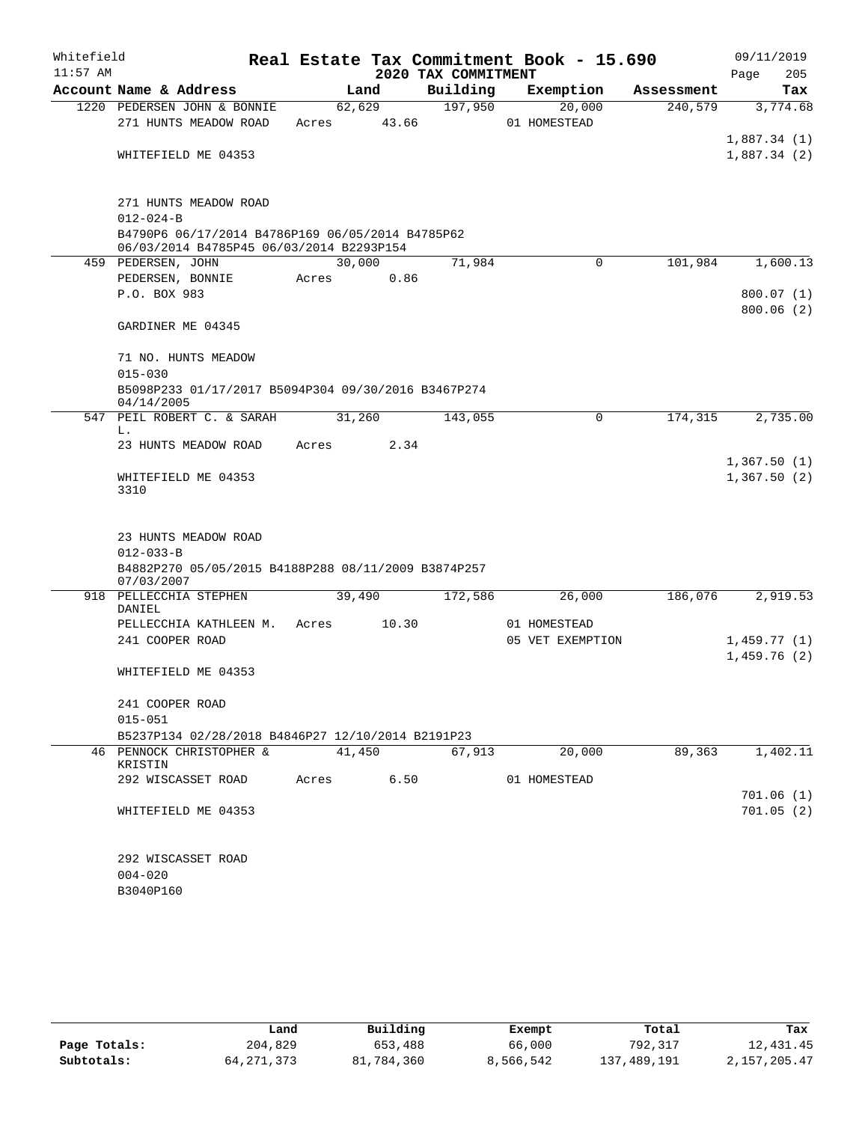| Whitefield<br>$11:57$ AM |                                                                                              |            |        | 2020 TAX COMMITMENT | Real Estate Tax Commitment Book - 15.690 |            | 09/11/2019<br>205<br>Page  |
|--------------------------|----------------------------------------------------------------------------------------------|------------|--------|---------------------|------------------------------------------|------------|----------------------------|
|                          | Account Name & Address                                                                       |            | Land   | Building            | Exemption                                | Assessment | Tax                        |
|                          | 1220 PEDERSEN JOHN & BONNIE                                                                  |            | 62,629 | 197,950             | 20,000                                   | 240,579    | 3,774.68                   |
|                          | 271 HUNTS MEADOW ROAD                                                                        | Acres      | 43.66  |                     | 01 HOMESTEAD                             |            |                            |
|                          |                                                                                              |            |        |                     |                                          |            | 1,887.34(1)                |
|                          | WHITEFIELD ME 04353                                                                          |            |        |                     |                                          |            | 1,887.34(2)                |
|                          | 271 HUNTS MEADOW ROAD                                                                        |            |        |                     |                                          |            |                            |
|                          | $012 - 024 - B$                                                                              |            |        |                     |                                          |            |                            |
|                          | B4790P6 06/17/2014 B4786P169 06/05/2014 B4785P62<br>06/03/2014 B4785P45 06/03/2014 B2293P154 |            |        |                     |                                          |            |                            |
|                          | 459 PEDERSEN, JOHN                                                                           | 30,000     |        | 71,984              | $\Omega$                                 | 101,984    | 1,600.13                   |
|                          | PEDERSEN, BONNIE                                                                             | Acres      | 0.86   |                     |                                          |            |                            |
|                          | P.O. BOX 983                                                                                 |            |        |                     |                                          |            | 800.07(1)                  |
|                          |                                                                                              |            |        |                     |                                          |            | 800.06(2)                  |
|                          | GARDINER ME 04345                                                                            |            |        |                     |                                          |            |                            |
|                          | 71 NO. HUNTS MEADOW                                                                          |            |        |                     |                                          |            |                            |
|                          | $015 - 030$                                                                                  |            |        |                     |                                          |            |                            |
|                          | B5098P233 01/17/2017 B5094P304 09/30/2016 B3467P274<br>04/14/2005                            |            |        |                     |                                          |            |                            |
|                          | 547 PEIL ROBERT C. & SARAH                                                                   | 31,260     |        | 143,055             | 0                                        | 174,315    | 2,735.00                   |
| 3310                     | L.<br>23 HUNTS MEADOW ROAD                                                                   | Acres      | 2.34   |                     |                                          |            |                            |
|                          | WHITEFIELD ME 04353                                                                          |            |        |                     |                                          |            | 1,367.50(1)<br>1,367.50(2) |
|                          | 23 HUNTS MEADOW ROAD<br>$012 - 033 - B$                                                      |            |        |                     |                                          |            |                            |
|                          | B4882P270 05/05/2015 B4188P288 08/11/2009 B3874P257<br>07/03/2007                            |            |        |                     |                                          |            |                            |
|                          | 918 PELLECCHIA STEPHEN<br>DANIEL                                                             | 39,490     |        | 172,586             | 26,000                                   | 186,076    | 2,919.53                   |
|                          | PELLECCHIA KATHLEEN M.                                                                       | Acres      | 10.30  |                     | 01 HOMESTEAD                             |            |                            |
|                          | 241 COOPER ROAD                                                                              |            |        |                     | 05 VET EXEMPTION                         |            | 1,459.77(1)                |
|                          |                                                                                              |            |        |                     |                                          |            | 1,459.76(2)                |
|                          | WHITEFIELD ME 04353                                                                          |            |        |                     |                                          |            |                            |
|                          | 241 COOPER ROAD                                                                              |            |        |                     |                                          |            |                            |
|                          | $015 - 051$                                                                                  |            |        |                     |                                          |            |                            |
|                          | B5237P134 02/28/2018 B4846P27 12/10/2014 B2191P23                                            |            |        |                     |                                          |            |                            |
|                          | 46 PENNOCK CHRISTOPHER &<br>KRISTIN                                                          | 41,450     |        | 67,913              | 20,000                                   | 89,363     | 1,402.11                   |
|                          | 292 WISCASSET ROAD                                                                           | Acres 6.50 |        |                     | 01 HOMESTEAD                             |            |                            |
|                          |                                                                                              |            |        |                     |                                          |            | 701.06(1)                  |
|                          | WHITEFIELD ME 04353                                                                          |            |        |                     |                                          |            | 701.05(2)                  |
|                          | 292 WISCASSET ROAD                                                                           |            |        |                     |                                          |            |                            |
|                          | $004 - 020$                                                                                  |            |        |                     |                                          |            |                            |
|                          | B3040P160                                                                                    |            |        |                     |                                          |            |                            |
|                          |                                                                                              |            |        |                     |                                          |            |                            |

|              | Land       | Building   | Exempt    | Total       | Tax          |
|--------------|------------|------------|-----------|-------------|--------------|
| Page Totals: | 204,829    | 653,488    | 66,000    | 792,317     | 12,431.45    |
| Subtotals:   | 64,271,373 | 81,784,360 | 8,566,542 | 137,489,191 | 2,157,205.47 |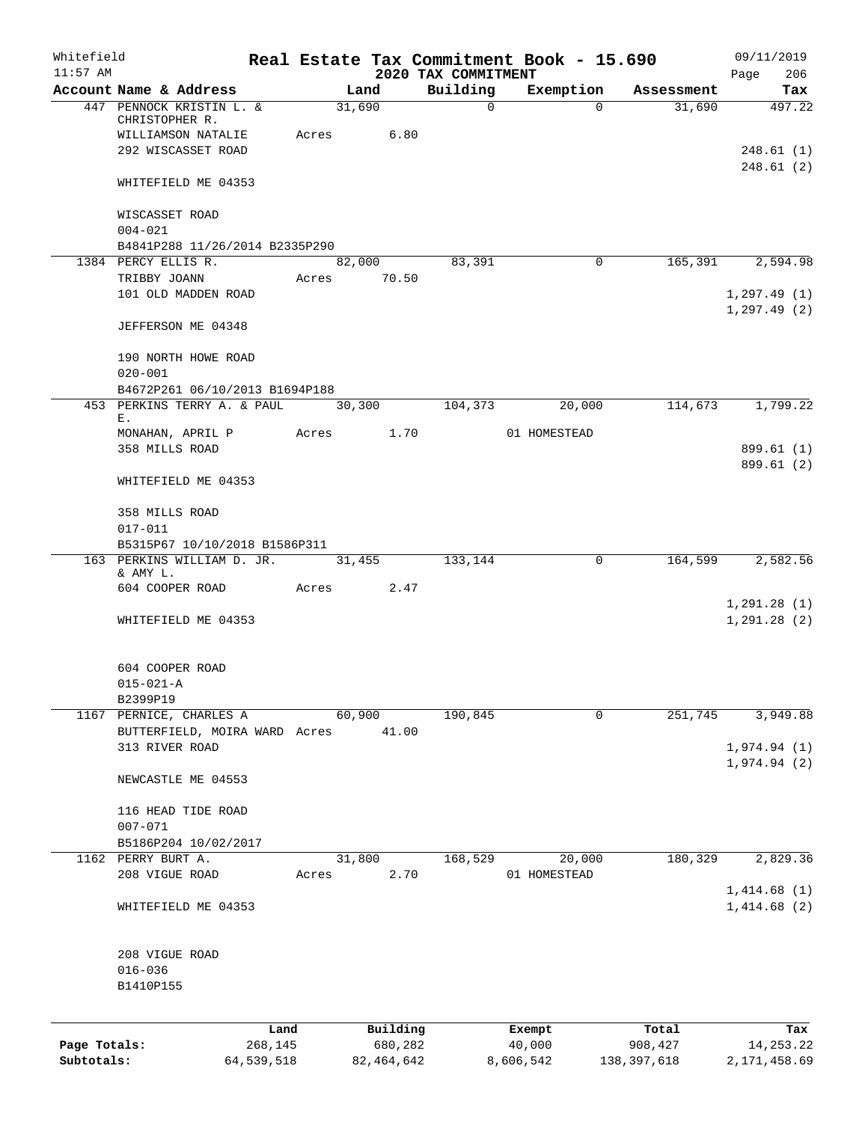| Whitefield<br>$11:57$ AM |                                                       |              |        |              |                                 | Real Estate Tax Commitment Book - 15.690 |               | 09/11/2019                   |
|--------------------------|-------------------------------------------------------|--------------|--------|--------------|---------------------------------|------------------------------------------|---------------|------------------------------|
|                          | Account Name & Address                                |              | Land   |              | 2020 TAX COMMITMENT<br>Building | Exemption                                | Assessment    | 206<br>Page<br>Tax           |
|                          | 447 PENNOCK KRISTIN L. &                              |              | 31,690 |              | $\mathbf{0}$                    | $\Omega$                                 | 31,690        | 497.22                       |
|                          | CHRISTOPHER R.                                        |              |        |              |                                 |                                          |               |                              |
|                          | WILLIAMSON NATALIE                                    | Acres        |        | 6.80         |                                 |                                          |               |                              |
|                          | 292 WISCASSET ROAD                                    |              |        |              |                                 |                                          |               | 248.61(1)<br>248.61(2)       |
|                          | WHITEFIELD ME 04353                                   |              |        |              |                                 |                                          |               |                              |
|                          | WISCASSET ROAD                                        |              |        |              |                                 |                                          |               |                              |
|                          | $004 - 021$                                           |              |        |              |                                 |                                          |               |                              |
|                          | B4841P288 11/26/2014 B2335P290<br>1384 PERCY ELLIS R. |              |        | 82,000       | 83,391                          | 0                                        | 165,391       | 2,594.98                     |
|                          | TRIBBY JOANN                                          | Acres        |        | 70.50        |                                 |                                          |               |                              |
|                          | 101 OLD MADDEN ROAD                                   |              |        |              |                                 |                                          |               | 1, 297.49(1)                 |
|                          |                                                       |              |        |              |                                 |                                          |               | 1, 297.49(2)                 |
|                          | JEFFERSON ME 04348                                    |              |        |              |                                 |                                          |               |                              |
|                          | 190 NORTH HOWE ROAD                                   |              |        |              |                                 |                                          |               |                              |
|                          | $020 - 001$                                           |              |        |              |                                 |                                          |               |                              |
|                          | B4672P261 06/10/2013 B1694P188                        |              |        |              |                                 |                                          |               |                              |
|                          | 453 PERKINS TERRY A. & PAUL<br>Ε.                     |              | 30,300 |              | 104,373                         | 20,000                                   | 114,673       | 1,799.22                     |
|                          | MONAHAN, APRIL P                                      | Acres        |        | 1.70         |                                 | 01 HOMESTEAD                             |               |                              |
|                          | 358 MILLS ROAD                                        |              |        |              |                                 |                                          |               | 899.61 (1)                   |
|                          | WHITEFIELD ME 04353                                   |              |        |              |                                 |                                          |               | 899.61 (2)                   |
|                          |                                                       |              |        |              |                                 |                                          |               |                              |
|                          | 358 MILLS ROAD<br>$017 - 011$                         |              |        |              |                                 |                                          |               |                              |
|                          | B5315P67 10/10/2018 B1586P311                         |              |        |              |                                 |                                          |               |                              |
|                          | 163 PERKINS WILLIAM D. JR.                            |              | 31,455 |              | 133,144                         | $\mathbf 0$                              | 164,599       | 2,582.56                     |
|                          | & AMY L.                                              |              |        |              |                                 |                                          |               |                              |
|                          | 604 COOPER ROAD                                       | Acres        |        | 2.47         |                                 |                                          |               |                              |
|                          | WHITEFIELD ME 04353                                   |              |        |              |                                 |                                          |               | 1, 291.28(1)<br>1, 291.28(2) |
|                          |                                                       |              |        |              |                                 |                                          |               |                              |
|                          | 604 COOPER ROAD                                       |              |        |              |                                 |                                          |               |                              |
|                          | $015 - 021 - A$                                       |              |        |              |                                 |                                          |               |                              |
|                          | B2399P19<br>1167 PERNICE, CHARLES A                   |              | 60,900 |              | 190,845                         | $\mathbf 0$                              | 251,745       | 3,949.88                     |
|                          | BUTTERFIELD, MOIRA WARD Acres                         |              |        | 41.00        |                                 |                                          |               |                              |
|                          | 313 RIVER ROAD                                        |              |        |              |                                 |                                          |               | 1,974.94(1)                  |
|                          |                                                       |              |        |              |                                 |                                          |               | 1,974.94(2)                  |
|                          | NEWCASTLE ME 04553                                    |              |        |              |                                 |                                          |               |                              |
|                          | 116 HEAD TIDE ROAD                                    |              |        |              |                                 |                                          |               |                              |
|                          | $007 - 071$                                           |              |        |              |                                 |                                          |               |                              |
|                          | B5186P204 10/02/2017                                  |              |        |              |                                 |                                          |               |                              |
|                          | 1162 PERRY BURT A.<br>208 VIGUE ROAD                  | Acres        | 31,800 | 2.70         | 168,529                         | 20,000<br>01 HOMESTEAD                   | 180,329       | 2,829.36                     |
|                          |                                                       |              |        |              |                                 |                                          |               | 1,414.68(1)                  |
|                          | WHITEFIELD ME 04353                                   |              |        |              |                                 |                                          |               | 1,414.68(2)                  |
|                          |                                                       |              |        |              |                                 |                                          |               |                              |
|                          | 208 VIGUE ROAD                                        |              |        |              |                                 |                                          |               |                              |
|                          | $016 - 036$<br>B1410P155                              |              |        |              |                                 |                                          |               |                              |
|                          |                                                       |              |        |              |                                 |                                          |               |                              |
|                          |                                                       | Land         |        | Building     |                                 | Exempt                                   | Total         | Tax                          |
| Page Totals:             |                                                       | 268,145      |        | 680,282      |                                 | 40,000                                   | 908,427       | 14, 253. 22                  |
| Subtotals:               |                                                       | 64, 539, 518 |        | 82, 464, 642 |                                 | 8,606,542                                | 138, 397, 618 | 2, 171, 458.69               |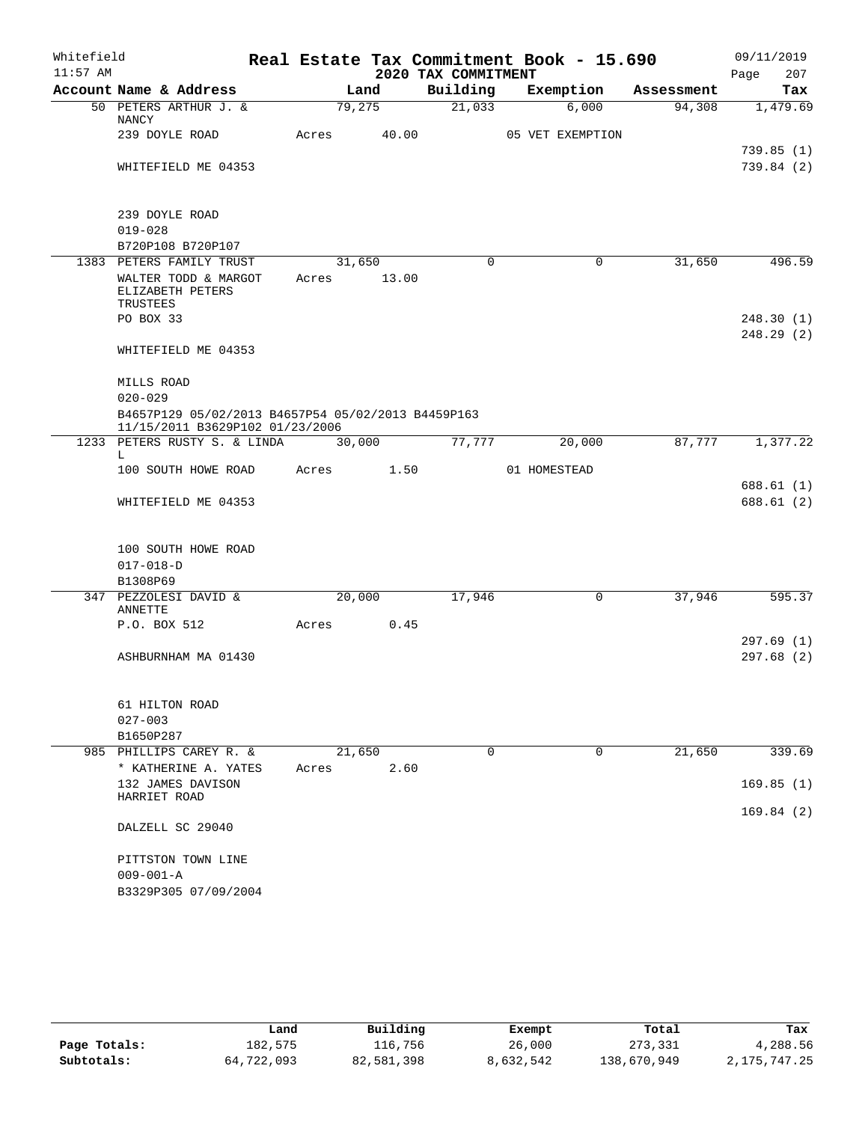| Whitefield<br>$11:57$ AM |                                                                                       |        |       | 2020 TAX COMMITMENT | Real Estate Tax Commitment Book - 15.690 |            | 09/11/2019<br>207<br>Page |
|--------------------------|---------------------------------------------------------------------------------------|--------|-------|---------------------|------------------------------------------|------------|---------------------------|
|                          | Account Name & Address                                                                |        | Land  | Building            | Exemption                                | Assessment | Tax                       |
|                          | 50 PETERS ARTHUR J. &<br>NANCY                                                        | 79,275 |       | 21,033              | 6,000                                    | 94,308     | 1,479.69                  |
|                          | 239 DOYLE ROAD                                                                        | Acres  | 40.00 |                     | 05 VET EXEMPTION                         |            |                           |
|                          | WHITEFIELD ME 04353                                                                   |        |       |                     |                                          |            | 739.85(1)<br>739.84 (2)   |
|                          | 239 DOYLE ROAD<br>$019 - 028$<br>B720P108 B720P107                                    |        |       |                     |                                          |            |                           |
|                          | 1383 PETERS FAMILY TRUST                                                              | 31,650 |       | $\Omega$            | 0                                        | 31,650     | 496.59                    |
|                          | WALTER TODD & MARGOT<br>ELIZABETH PETERS<br>TRUSTEES                                  | Acres  | 13.00 |                     |                                          |            |                           |
|                          | PO BOX 33                                                                             |        |       |                     |                                          |            | 248.30(1)                 |
|                          | WHITEFIELD ME 04353                                                                   |        |       |                     |                                          |            | 248.29 (2)                |
|                          | MILLS ROAD<br>$020 - 029$                                                             |        |       |                     |                                          |            |                           |
|                          | B4657P129 05/02/2013 B4657P54 05/02/2013 B4459P163<br>11/15/2011 B3629P102 01/23/2006 |        |       |                     |                                          |            |                           |
|                          | 1233 PETERS RUSTY S. & LINDA                                                          | 30,000 |       | 77,777              | 20,000                                   | 87,777     | 1,377.22                  |
|                          | L.<br>100 SOUTH HOWE ROAD                                                             | Acres  | 1.50  |                     | 01 HOMESTEAD                             |            |                           |
|                          |                                                                                       |        |       |                     |                                          |            | 688.61 (1)                |
|                          | WHITEFIELD ME 04353                                                                   |        |       |                     |                                          |            | 688.61 (2)                |
|                          | 100 SOUTH HOWE ROAD<br>$017 - 018 - D$<br>B1308P69                                    |        |       |                     |                                          |            |                           |
|                          | 347 PEZZOLESI DAVID &                                                                 | 20,000 |       | 17,946              | 0                                        | 37,946     | 595.37                    |
|                          | ANNETTE                                                                               |        |       |                     |                                          |            |                           |
|                          | P.O. BOX 512                                                                          | Acres  | 0.45  |                     |                                          |            | 297.69(1)                 |
|                          | ASHBURNHAM MA 01430                                                                   |        |       |                     |                                          |            | 297.68(2)                 |
|                          | 61 HILTON ROAD<br>$027 - 003$                                                         |        |       |                     |                                          |            |                           |
|                          | B1650P287                                                                             |        |       |                     |                                          |            |                           |
|                          | 985 PHILLIPS CAREY R. &                                                               | 21,650 |       | 0                   | 0                                        | 21,650     | 339.69                    |
|                          | * KATHERINE A. YATES<br>132 JAMES DAVISON                                             | Acres  | 2.60  |                     |                                          |            | 169.85(1)                 |
|                          | HARRIET ROAD                                                                          |        |       |                     |                                          |            | 169.84(2)                 |
|                          | DALZELL SC 29040                                                                      |        |       |                     |                                          |            |                           |
|                          | PITTSTON TOWN LINE                                                                    |        |       |                     |                                          |            |                           |
|                          | $009 - 001 - A$                                                                       |        |       |                     |                                          |            |                           |
|                          | B3329P305 07/09/2004                                                                  |        |       |                     |                                          |            |                           |

|              | Land       | Building   | Exempt    | Total       | Tax             |
|--------------|------------|------------|-----------|-------------|-----------------|
| Page Totals: | 182,575    | 116,756    | 26,000    | 273,331     | 4,288.56        |
| Subtotals:   | 64,722,093 | 82,581,398 | 8,632,542 | 138,670,949 | 2, 175, 747. 25 |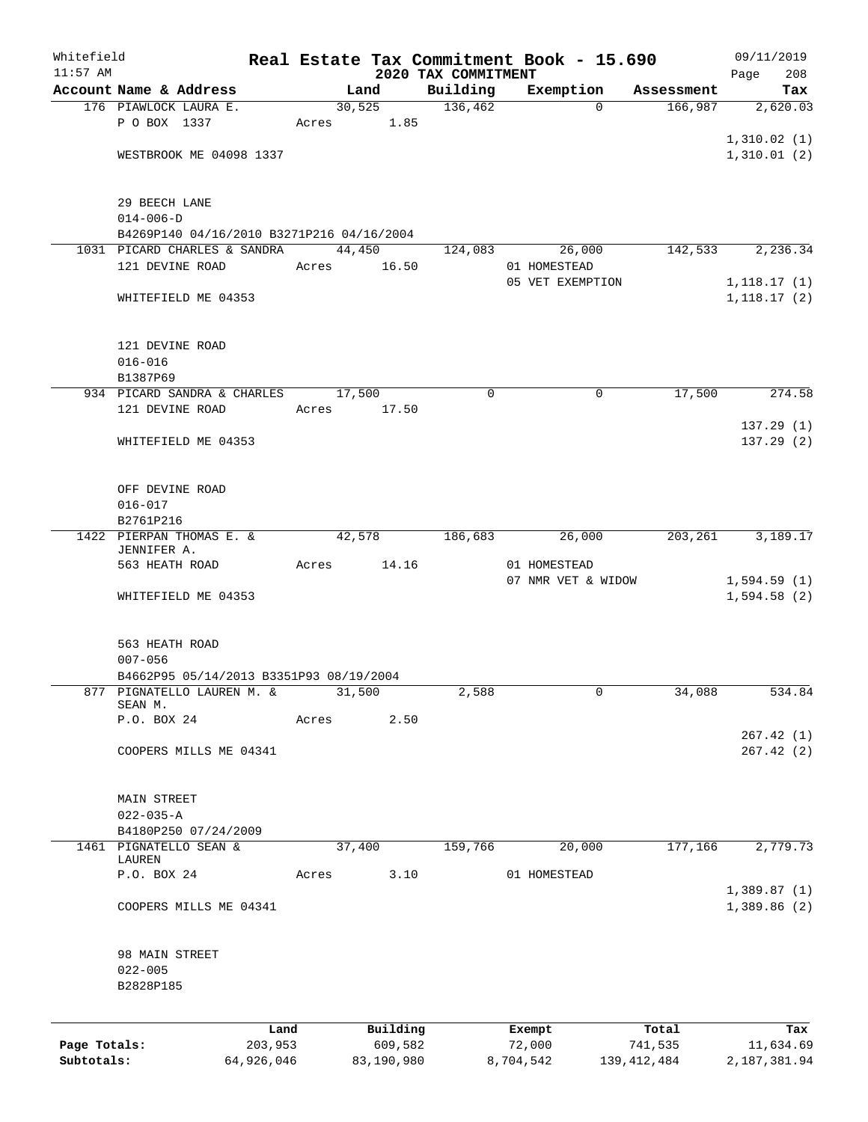| Whitefield   |                                           |                 |       |                     |                                 | Real Estate Tax Commitment Book - 15.690 |             |                  | 09/11/2019                  |     |
|--------------|-------------------------------------------|-----------------|-------|---------------------|---------------------------------|------------------------------------------|-------------|------------------|-----------------------------|-----|
| $11:57$ AM   | Account Name & Address                    |                 |       | Land                | 2020 TAX COMMITMENT<br>Building | Exemption                                |             | Assessment       | Page                        | 208 |
|              | 176 PIAWLOCK LAURA E.                     |                 |       | 30,525              | 136,462                         |                                          | $\Omega$    | 166,987          | 2,620.03                    | Tax |
|              | P O BOX 1337                              |                 |       | Acres 1.85          |                                 |                                          |             |                  |                             |     |
|              |                                           |                 |       |                     |                                 |                                          |             |                  | 1,310.02(1)                 |     |
|              | WESTBROOK ME 04098 1337                   |                 |       |                     |                                 |                                          |             |                  | 1,310.01(2)                 |     |
|              |                                           |                 |       |                     |                                 |                                          |             |                  |                             |     |
|              | 29 BEECH LANE                             |                 |       |                     |                                 |                                          |             |                  |                             |     |
|              | $014 - 006 - D$                           |                 |       |                     |                                 |                                          |             |                  |                             |     |
|              | B4269P140 04/16/2010 B3271P216 04/16/2004 |                 |       |                     |                                 |                                          |             |                  |                             |     |
|              | 1031 PICARD CHARLES & SANDRA              |                 |       | 44,450              | 124,083                         | 26,000                                   |             | 142,533          | 2,236.34                    |     |
|              | 121 DEVINE ROAD                           |                 | Acres | 16.50               |                                 | 01 HOMESTEAD<br>05 VET EXEMPTION         |             |                  |                             |     |
|              | WHITEFIELD ME 04353                       |                 |       |                     |                                 |                                          |             |                  | 1,118.17(1)<br>1, 118.17(2) |     |
|              |                                           |                 |       |                     |                                 |                                          |             |                  |                             |     |
|              |                                           |                 |       |                     |                                 |                                          |             |                  |                             |     |
|              | 121 DEVINE ROAD                           |                 |       |                     |                                 |                                          |             |                  |                             |     |
|              | $016 - 016$<br>B1387P69                   |                 |       |                     |                                 |                                          |             |                  |                             |     |
|              | 934 PICARD SANDRA & CHARLES               |                 |       | 17,500              | 0                               |                                          | $\mathbf 0$ | 17,500           | 274.58                      |     |
|              | 121 DEVINE ROAD                           |                 | Acres | 17.50               |                                 |                                          |             |                  |                             |     |
|              |                                           |                 |       |                     |                                 |                                          |             |                  | 137.29(1)                   |     |
|              | WHITEFIELD ME 04353                       |                 |       |                     |                                 |                                          |             |                  | 137.29(2)                   |     |
|              |                                           |                 |       |                     |                                 |                                          |             |                  |                             |     |
|              | OFF DEVINE ROAD                           |                 |       |                     |                                 |                                          |             |                  |                             |     |
|              | $016 - 017$                               |                 |       |                     |                                 |                                          |             |                  |                             |     |
|              | B2761P216                                 |                 |       |                     |                                 |                                          |             |                  |                             |     |
|              | 1422 PIERPAN THOMAS E. &                  |                 |       | 42,578              | 186,683                         | 26,000                                   |             |                  | 203, 261 3, 189. 17         |     |
|              | JENNIFER A.                               |                 |       |                     |                                 |                                          |             |                  |                             |     |
|              | 563 HEATH ROAD                            |                 | Acres | 14.16               |                                 | 01 HOMESTEAD<br>07 NMR VET & WIDOW       |             |                  | 1,594.59(1)                 |     |
|              | WHITEFIELD ME 04353                       |                 |       |                     |                                 |                                          |             |                  | 1,594.58(2)                 |     |
|              |                                           |                 |       |                     |                                 |                                          |             |                  |                             |     |
|              |                                           |                 |       |                     |                                 |                                          |             |                  |                             |     |
|              | 563 HEATH ROAD<br>$007 - 056$             |                 |       |                     |                                 |                                          |             |                  |                             |     |
|              | B4662P95 05/14/2013 B3351P93 08/19/2004   |                 |       |                     |                                 |                                          |             |                  |                             |     |
| 877          | PIGNATELLO LAUREN M. &                    |                 |       | 31,500              | 2,588                           |                                          | 0           | 34,088           | 534.84                      |     |
|              | SEAN M.<br>P.O. BOX 24                    |                 | Acres | 2.50                |                                 |                                          |             |                  |                             |     |
|              |                                           |                 |       |                     |                                 |                                          |             |                  | 267.42(1)                   |     |
|              | COOPERS MILLS ME 04341                    |                 |       |                     |                                 |                                          |             |                  | 267.42(2)                   |     |
|              |                                           |                 |       |                     |                                 |                                          |             |                  |                             |     |
|              | MAIN STREET                               |                 |       |                     |                                 |                                          |             |                  |                             |     |
|              | $022 - 035 - A$                           |                 |       |                     |                                 |                                          |             |                  |                             |     |
|              | B4180P250 07/24/2009                      |                 |       |                     |                                 |                                          |             |                  |                             |     |
|              | 1461 PIGNATELLO SEAN &                    |                 |       | 37,400              | 159,766                         | 20,000                                   |             | 177,166          | 2,779.73                    |     |
|              | LAUREN<br>P.O. BOX 24                     |                 | Acres | 3.10                |                                 | 01 HOMESTEAD                             |             |                  |                             |     |
|              |                                           |                 |       |                     |                                 |                                          |             |                  | 1,389.87(1)                 |     |
|              | COOPERS MILLS ME 04341                    |                 |       |                     |                                 |                                          |             |                  | 1,389.86(2)                 |     |
|              |                                           |                 |       |                     |                                 |                                          |             |                  |                             |     |
|              | 98 MAIN STREET                            |                 |       |                     |                                 |                                          |             |                  |                             |     |
|              | $022 - 005$                               |                 |       |                     |                                 |                                          |             |                  |                             |     |
|              | B2828P185                                 |                 |       |                     |                                 |                                          |             |                  |                             |     |
|              |                                           |                 |       |                     |                                 |                                          |             |                  |                             |     |
| Page Totals: |                                           | Land<br>203,953 |       | Building<br>609,582 |                                 | Exempt<br>72,000                         |             | Total<br>741,535 | 11,634.69                   | Tax |
| Subtotals:   |                                           | 64,926,046      |       | 83,190,980          |                                 | 8,704,542                                |             | 139, 412, 484    | 2,187,381.94                |     |
|              |                                           |                 |       |                     |                                 |                                          |             |                  |                             |     |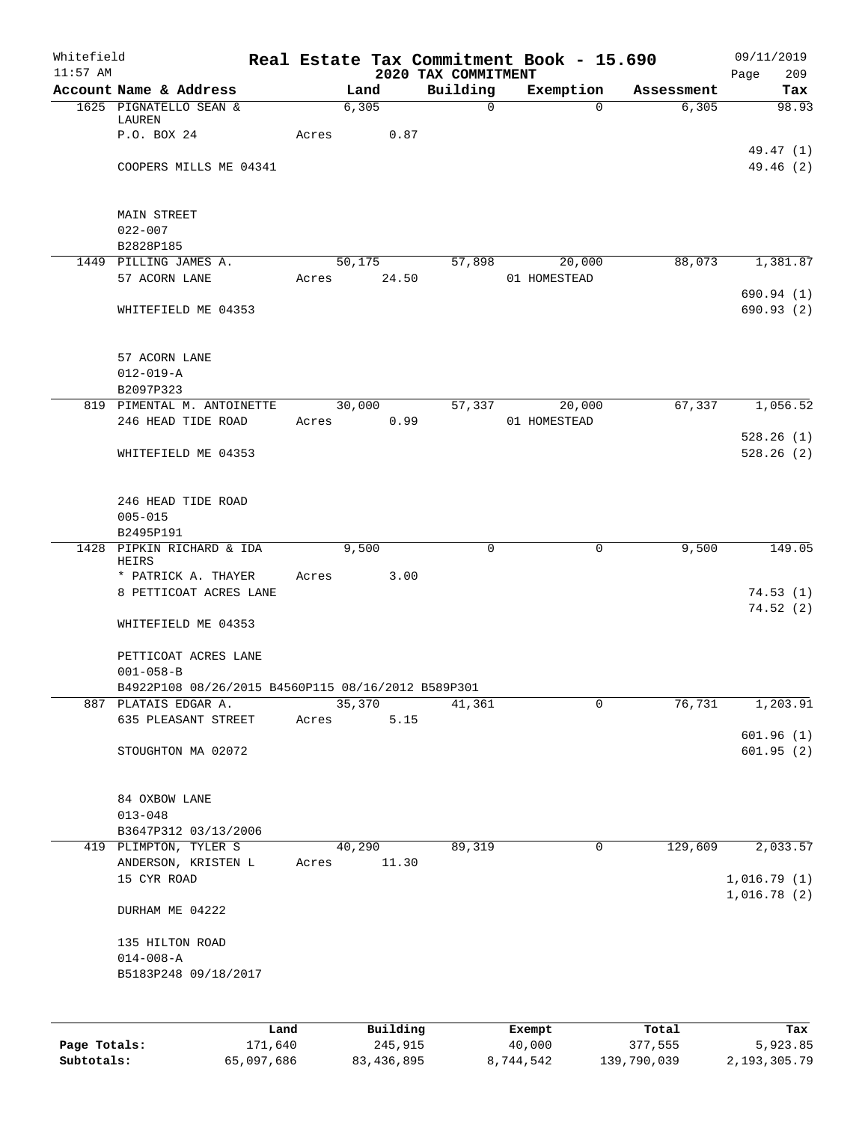| Whitefield<br>$11:57$ AM |                                                    | Real Estate Tax Commitment Book - 15.690 | 2020 TAX COMMITMENT |                        |            | 09/11/2019<br>Page<br>209  |
|--------------------------|----------------------------------------------------|------------------------------------------|---------------------|------------------------|------------|----------------------------|
|                          | Account Name & Address                             | Land                                     | Building            | Exemption              | Assessment | Tax                        |
|                          | 1625 PIGNATELLO SEAN &                             | 6,305                                    | $\mathbf 0$         | $\Omega$               | 6,305      | 98.93                      |
|                          | LAUREN<br>P.O. BOX 24                              | 0.87<br>Acres                            |                     |                        |            |                            |
|                          |                                                    |                                          |                     |                        |            | 49.47 (1)                  |
|                          | COOPERS MILLS ME 04341                             |                                          |                     |                        |            | 49.46 (2)                  |
|                          | <b>MAIN STREET</b>                                 |                                          |                     |                        |            |                            |
|                          | $022 - 007$                                        |                                          |                     |                        |            |                            |
|                          | B2828P185                                          |                                          |                     |                        |            |                            |
|                          | 1449 PILLING JAMES A.<br>57 ACORN LANE             | 50,175<br>24.50                          | 57,898              | 20,000                 | 88,073     | 1,381.87                   |
|                          |                                                    | Acres                                    |                     | 01 HOMESTEAD           |            | 690.94(1)                  |
|                          | WHITEFIELD ME 04353                                |                                          |                     |                        |            | 690.93(2)                  |
|                          | 57 ACORN LANE                                      |                                          |                     |                        |            |                            |
|                          | $012 - 019 - A$                                    |                                          |                     |                        |            |                            |
|                          | B2097P323                                          |                                          |                     |                        |            |                            |
|                          | 819 PIMENTAL M. ANTOINETTE<br>246 HEAD TIDE ROAD   | 30,000<br>0.99<br>Acres                  | 57,337              | 20,000<br>01 HOMESTEAD | 67,337     | 1,056.52                   |
|                          |                                                    |                                          |                     |                        |            | 528.26(1)                  |
|                          | WHITEFIELD ME 04353                                |                                          |                     |                        |            | 528.26(2)                  |
|                          | 246 HEAD TIDE ROAD                                 |                                          |                     |                        |            |                            |
|                          | $005 - 015$                                        |                                          |                     |                        |            |                            |
|                          | B2495P191                                          |                                          |                     |                        |            |                            |
|                          | 1428 PIPKIN RICHARD & IDA<br>HEIRS                 | 9,500                                    | 0                   | 0                      | 9,500      | 149.05                     |
|                          | * PATRICK A. THAYER                                | Acres<br>3.00                            |                     |                        |            |                            |
|                          | 8 PETTICOAT ACRES LANE                             |                                          |                     |                        |            | 74.53(1)                   |
|                          | WHITEFIELD ME 04353                                |                                          |                     |                        |            | 74.52(2)                   |
|                          | PETTICOAT ACRES LANE                               |                                          |                     |                        |            |                            |
|                          | $001 - 058 - B$                                    |                                          |                     |                        |            |                            |
|                          | B4922P108 08/26/2015 B4560P115 08/16/2012 B589P301 |                                          |                     |                        |            |                            |
|                          | 887 PLATAIS EDGAR A.                               | 35,370                                   | 41,361              | 0                      | 76,731     | 1,203.91                   |
|                          | 635 PLEASANT STREET                                | 5.15<br>Acres                            |                     |                        |            | 601.96(1)                  |
|                          | STOUGHTON MA 02072                                 |                                          |                     |                        |            | 601.95(2)                  |
|                          | 84 OXBOW LANE                                      |                                          |                     |                        |            |                            |
|                          | $013 - 048$                                        |                                          |                     |                        |            |                            |
|                          | B3647P312 03/13/2006                               |                                          |                     |                        |            |                            |
|                          | 419 PLIMPTON, TYLER S<br>ANDERSON, KRISTEN L       | 40,290<br>11.30<br>Acres                 | 89,319              | $\mathbf 0$            | 129,609    | 2,033.57                   |
|                          | 15 CYR ROAD                                        |                                          |                     |                        |            | 1,016.79(1)<br>1,016.78(2) |
|                          | DURHAM ME 04222                                    |                                          |                     |                        |            |                            |
|                          | 135 HILTON ROAD                                    |                                          |                     |                        |            |                            |
|                          | $014 - 008 - A$                                    |                                          |                     |                        |            |                            |
|                          | B5183P248 09/18/2017                               |                                          |                     |                        |            |                            |
|                          |                                                    |                                          |                     |                        |            |                            |
|                          | Land                                               | Building                                 |                     | Exempt                 | Total      | Tax                        |
| Page Totals:             | 171,640                                            | 245,915                                  |                     | 40,000                 | 377,555    | 5,923.85                   |

**Subtotals:** 65,097,686 83,436,895 8,744,542 139,790,039 2,193,305.79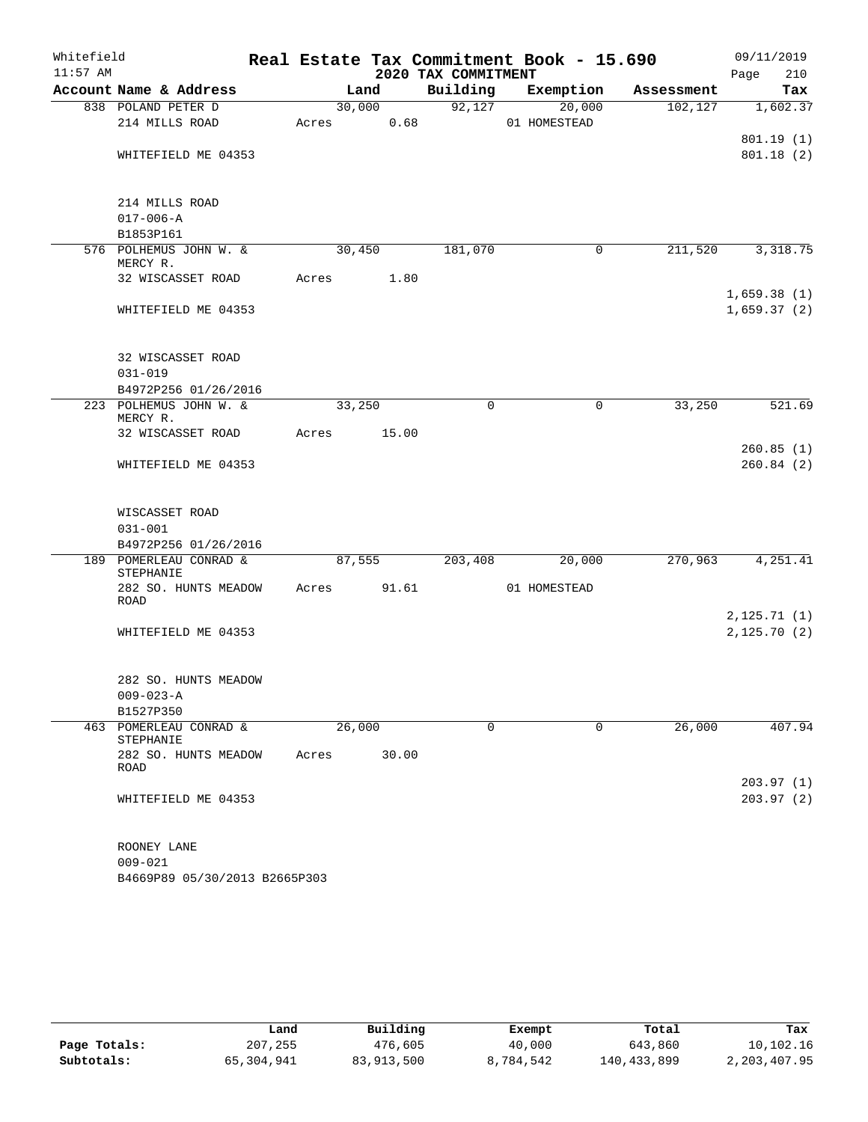| Whitefield |                                     |       |        |                     | Real Estate Tax Commitment Book - 15.690 |            | 09/11/2019             |
|------------|-------------------------------------|-------|--------|---------------------|------------------------------------------|------------|------------------------|
| $11:57$ AM |                                     |       |        | 2020 TAX COMMITMENT |                                          |            | Page<br>210            |
|            | Account Name & Address              |       | Land   | Building            | Exemption                                | Assessment | Tax                    |
|            | 838 POLAND PETER D                  |       | 30,000 |                     | 92,127<br>20,000                         | 102, 127   | 1,602.37               |
|            | 214 MILLS ROAD                      | Acres | 0.68   |                     | 01 HOMESTEAD                             |            |                        |
|            | WHITEFIELD ME 04353                 |       |        |                     |                                          |            | 801.19(1)<br>801.18(2) |
|            |                                     |       |        |                     |                                          |            |                        |
|            | 214 MILLS ROAD                      |       |        |                     |                                          |            |                        |
|            | $017 - 006 - A$                     |       |        |                     |                                          |            |                        |
|            | B1853P161                           |       |        |                     |                                          |            |                        |
|            | 576 POLHEMUS JOHN W. &<br>MERCY R.  |       | 30,450 | 181,070             | $\mathbf 0$                              | 211,520    | 3,318.75               |
|            | 32 WISCASSET ROAD                   | Acres | 1.80   |                     |                                          |            |                        |
|            |                                     |       |        |                     |                                          |            | 1,659.38(1)            |
|            | WHITEFIELD ME 04353                 |       |        |                     |                                          |            | 1,659.37(2)            |
|            | 32 WISCASSET ROAD                   |       |        |                     |                                          |            |                        |
|            | $031 - 019$                         |       |        |                     |                                          |            |                        |
|            | B4972P256 01/26/2016                |       |        |                     |                                          |            |                        |
|            | 223 POLHEMUS JOHN W. &<br>MERCY R.  |       | 33,250 | $\mathbf 0$         | $\mathbf 0$                              | 33,250     | 521.69                 |
|            | 32 WISCASSET ROAD                   | Acres | 15.00  |                     |                                          |            |                        |
|            | WHITEFIELD ME 04353                 |       |        |                     |                                          |            | 260.85(1)<br>260.84(2) |
|            | WISCASSET ROAD                      |       |        |                     |                                          |            |                        |
|            | $031 - 001$                         |       |        |                     |                                          |            |                        |
|            | B4972P256 01/26/2016                |       |        |                     |                                          |            |                        |
|            | 189 POMERLEAU CONRAD &<br>STEPHANIE |       | 87,555 | 203,408             | 20,000                                   | 270,963    | 4,251.41               |
|            | 282 SO. HUNTS MEADOW<br>ROAD        | Acres | 91.61  |                     | 01 HOMESTEAD                             |            |                        |
|            |                                     |       |        |                     |                                          |            | 2, 125.71(1)           |
|            | WHITEFIELD ME 04353                 |       |        |                     |                                          |            | 2,125.70(2)            |
|            | 282 SO. HUNTS MEADOW                |       |        |                     |                                          |            |                        |
|            | $009 - 023 - A$                     |       |        |                     |                                          |            |                        |
|            | B1527P350                           |       |        |                     |                                          |            |                        |
| 463        | POMERLEAU CONRAD &<br>STEPHANIE     |       | 26,000 | 0                   | 0                                        | 26,000     | 407.94                 |
|            | 282 SO. HUNTS MEADOW                | Acres | 30.00  |                     |                                          |            |                        |
|            | ROAD                                |       |        |                     |                                          |            | 203.97(1)              |
|            | WHITEFIELD ME 04353                 |       |        |                     |                                          |            | 203.97(2)              |
|            |                                     |       |        |                     |                                          |            |                        |
|            | ROONEY LANE                         |       |        |                     |                                          |            |                        |
|            | $009 - 021$                         |       |        |                     |                                          |            |                        |

B4669P89 05/30/2013 B2665P303

|              | Land       | Building   | Exempt    | Total       | Tax          |
|--------------|------------|------------|-----------|-------------|--------------|
| Page Totals: | 207,255    | 476,605    | 40,000    | 643,860     | 10,102.16    |
| Subtotals:   | 65,304,941 | 83,913,500 | 8,784,542 | 140,433,899 | 2,203,407.95 |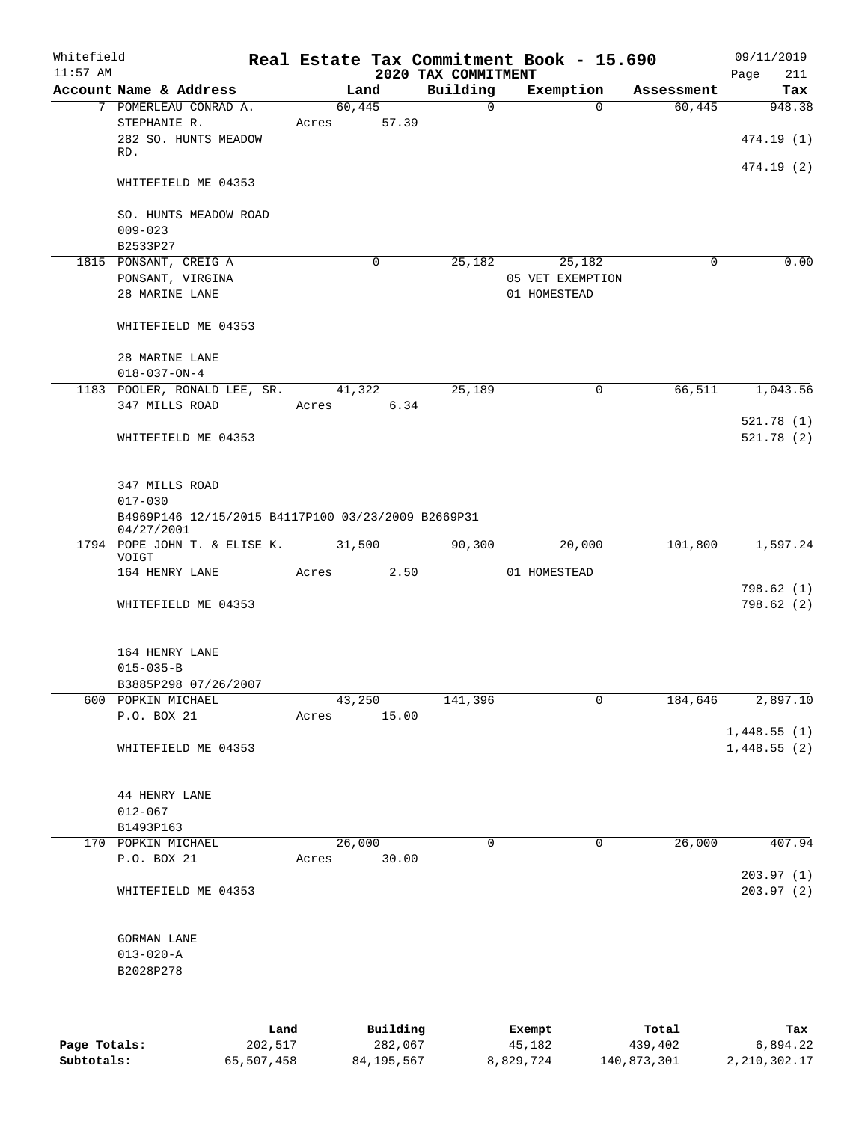| Whitefield<br>$11:57$ AM |                                                                  |                 |       |                     | 2020 TAX COMMITMENT |             | Real Estate Tax Commitment Book - 15.690 |                  | 09/11/2019             |
|--------------------------|------------------------------------------------------------------|-----------------|-------|---------------------|---------------------|-------------|------------------------------------------|------------------|------------------------|
|                          | Account Name & Address                                           |                 |       | Land                | Building            |             | Exemption                                | Assessment       | Page<br>211<br>Tax     |
|                          | 7 POMERLEAU CONRAD A.                                            |                 |       | 60,445              |                     | $\mathbf 0$ | $\Omega$                                 | 60,445           | 948.38                 |
|                          | STEPHANIE R.                                                     |                 | Acres | 57.39               |                     |             |                                          |                  |                        |
|                          | 282 SO. HUNTS MEADOW<br>RD.                                      |                 |       |                     |                     |             |                                          |                  | 474.19 (1)             |
|                          |                                                                  |                 |       |                     |                     |             |                                          |                  | 474.19 (2)             |
|                          | WHITEFIELD ME 04353                                              |                 |       |                     |                     |             |                                          |                  |                        |
|                          | SO. HUNTS MEADOW ROAD                                            |                 |       |                     |                     |             |                                          |                  |                        |
|                          | $009 - 023$                                                      |                 |       |                     |                     |             |                                          |                  |                        |
|                          | B2533P27                                                         |                 |       | 0                   |                     |             |                                          | 0                | 0.00                   |
|                          | 1815 PONSANT, CREIG A<br>PONSANT, VIRGINA                        |                 |       |                     | 25,182              |             | 25,182<br>05 VET EXEMPTION               |                  |                        |
|                          | 28 MARINE LANE                                                   |                 |       |                     |                     |             | 01 HOMESTEAD                             |                  |                        |
|                          |                                                                  |                 |       |                     |                     |             |                                          |                  |                        |
|                          | WHITEFIELD ME 04353                                              |                 |       |                     |                     |             |                                          |                  |                        |
|                          | 28 MARINE LANE                                                   |                 |       |                     |                     |             |                                          |                  |                        |
|                          | $018 - 037 - ON - 4$                                             |                 |       |                     |                     |             |                                          |                  |                        |
|                          | 1183 POOLER, RONALD LEE, SR.                                     |                 |       | 41,322              | 25,189              |             | 0                                        | 66,511           | 1,043.56               |
|                          | 347 MILLS ROAD                                                   |                 | Acres | 6.34                |                     |             |                                          |                  | 521.78(1)              |
|                          | WHITEFIELD ME 04353                                              |                 |       |                     |                     |             |                                          |                  | 521.78(2)              |
|                          |                                                                  |                 |       |                     |                     |             |                                          |                  |                        |
|                          | 347 MILLS ROAD                                                   |                 |       |                     |                     |             |                                          |                  |                        |
|                          | $017 - 030$                                                      |                 |       |                     |                     |             |                                          |                  |                        |
|                          | B4969P146 12/15/2015 B4117P100 03/23/2009 B2669P31<br>04/27/2001 |                 |       |                     |                     |             |                                          |                  |                        |
|                          | 1794 POPE JOHN T. & ELISE K. 31,500                              |                 |       |                     | 90,300              |             | 20,000                                   | 101,800          | 1,597.24               |
|                          | VOIGT<br>164 HENRY LANE                                          |                 | Acres | 2.50                |                     |             | 01 HOMESTEAD                             |                  |                        |
|                          |                                                                  |                 |       |                     |                     |             |                                          |                  | 798.62(1)              |
|                          | WHITEFIELD ME 04353                                              |                 |       |                     |                     |             |                                          |                  | 798.62(2)              |
|                          | 164 HENRY LANE                                                   |                 |       |                     |                     |             |                                          |                  |                        |
|                          | $015 - 035 - B$                                                  |                 |       |                     |                     |             |                                          |                  |                        |
|                          | B3885P298 07/26/2007                                             |                 |       |                     |                     |             |                                          |                  |                        |
| 600                      | POPKIN MICHAEL                                                   |                 |       | 43,250              | 141,396             |             | 0                                        | 184,646          | 2,897.10               |
|                          | P.O. BOX 21                                                      |                 | Acres | 15.00               |                     |             |                                          |                  |                        |
|                          |                                                                  |                 |       |                     |                     |             |                                          |                  | 1,448.55(1)            |
|                          | WHITEFIELD ME 04353                                              |                 |       |                     |                     |             |                                          |                  | 1,448.55(2)            |
|                          | 44 HENRY LANE                                                    |                 |       |                     |                     |             |                                          |                  |                        |
|                          | $012 - 067$                                                      |                 |       |                     |                     |             |                                          |                  |                        |
|                          | B1493P163                                                        |                 |       |                     |                     |             |                                          |                  |                        |
|                          | 170 POPKIN MICHAEL                                               |                 |       | 26,000              |                     | 0           | 0                                        | 26,000           | 407.94                 |
|                          | P.O. BOX 21                                                      |                 | Acres | 30.00               |                     |             |                                          |                  |                        |
|                          | WHITEFIELD ME 04353                                              |                 |       |                     |                     |             |                                          |                  | 203.97(1)<br>203.97(2) |
|                          |                                                                  |                 |       |                     |                     |             |                                          |                  |                        |
|                          | GORMAN LANE                                                      |                 |       |                     |                     |             |                                          |                  |                        |
|                          | $013 - 020 - A$                                                  |                 |       |                     |                     |             |                                          |                  |                        |
|                          | B2028P278                                                        |                 |       |                     |                     |             |                                          |                  |                        |
|                          |                                                                  |                 |       |                     |                     |             |                                          |                  |                        |
|                          |                                                                  |                 |       |                     |                     |             |                                          |                  |                        |
| Page Totals:             |                                                                  | Land<br>202,517 |       | Building<br>282,067 |                     |             | Exempt<br>45,182                         | Total<br>439,402 | Tax<br>6,894.22        |

**Subtotals:** 65,507,458 84,195,567 8,829,724 140,873,301 2,210,302.17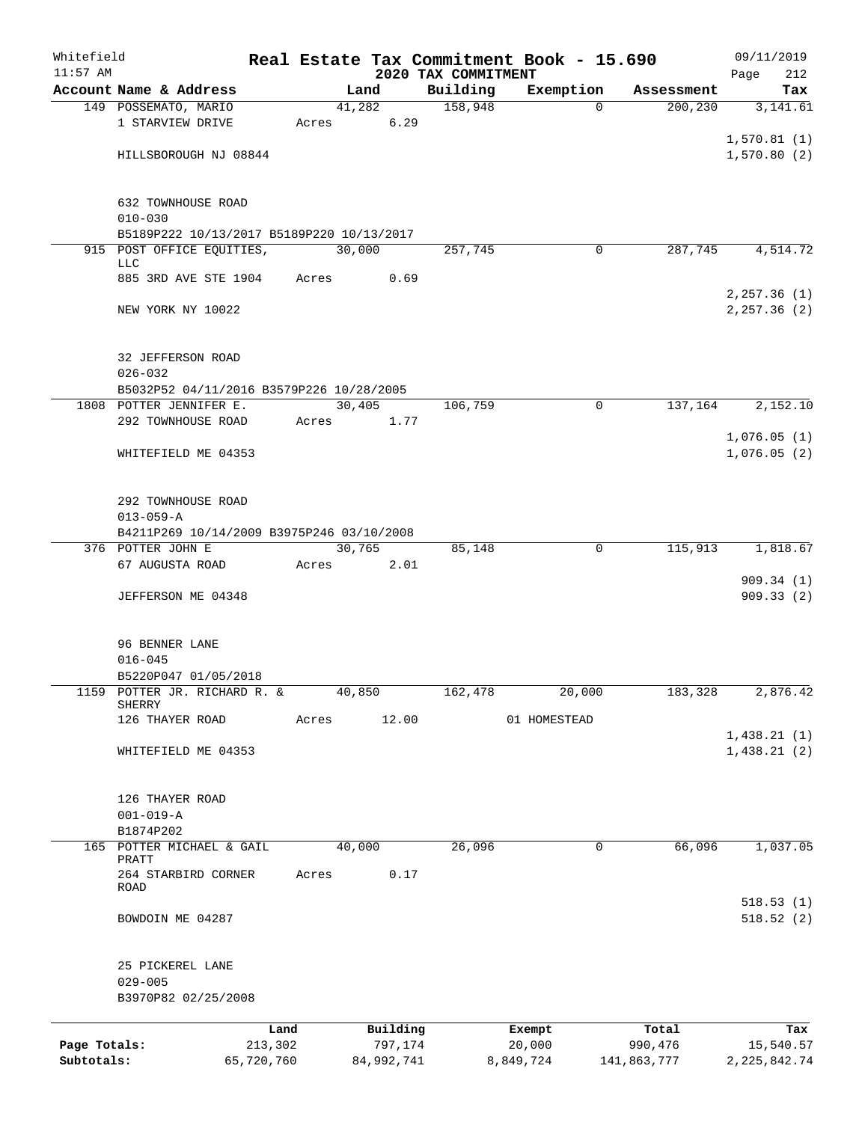| Whitefield   |                                           |            |        |            |                                 | Real Estate Tax Commitment Book - 15.690 |             | 09/11/2019             |  |  |
|--------------|-------------------------------------------|------------|--------|------------|---------------------------------|------------------------------------------|-------------|------------------------|--|--|
| $11:57$ AM   | Account Name & Address                    |            |        | Land       | 2020 TAX COMMITMENT<br>Building | Exemption                                | Assessment  | 212<br>Page<br>Tax     |  |  |
|              | 149 POSSEMATO, MARIO                      |            | 41,282 |            | 158,948                         | $\Omega$                                 | 200,230     | 3,141.61               |  |  |
|              | 1 STARVIEW DRIVE                          | Acres      |        | 6.29       |                                 |                                          |             |                        |  |  |
|              |                                           |            |        |            |                                 |                                          |             | 1,570.81(1)            |  |  |
|              | HILLSBOROUGH NJ 08844                     |            |        |            |                                 |                                          |             | 1,570.80(2)            |  |  |
|              |                                           |            |        |            |                                 |                                          |             |                        |  |  |
|              |                                           |            |        |            |                                 |                                          |             |                        |  |  |
|              | 632 TOWNHOUSE ROAD<br>$010 - 030$         |            |        |            |                                 |                                          |             |                        |  |  |
|              | B5189P222 10/13/2017 B5189P220 10/13/2017 |            |        |            |                                 |                                          |             |                        |  |  |
|              | 915 POST OFFICE EQUITIES,                 |            | 30,000 |            | 257,745                         | $\mathbf 0$                              | 287,745     | 4,514.72               |  |  |
|              | <b>LLC</b>                                |            |        |            |                                 |                                          |             |                        |  |  |
|              | 885 3RD AVE STE 1904                      | Acres      |        | 0.69       |                                 |                                          |             |                        |  |  |
|              |                                           |            |        |            |                                 |                                          |             | 2, 257.36 (1)          |  |  |
|              | NEW YORK NY 10022                         |            |        |            |                                 |                                          |             | 2, 257.36 (2)          |  |  |
|              |                                           |            |        |            |                                 |                                          |             |                        |  |  |
|              | 32 JEFFERSON ROAD                         |            |        |            |                                 |                                          |             |                        |  |  |
|              | $026 - 032$                               |            |        |            |                                 |                                          |             |                        |  |  |
|              | B5032P52 04/11/2016 B3579P226 10/28/2005  |            |        |            |                                 |                                          |             |                        |  |  |
|              | 1808 POTTER JENNIFER E.                   |            | 30,405 |            | 106,759                         | 0                                        | 137,164     | 2,152.10               |  |  |
|              | 292 TOWNHOUSE ROAD                        | Acres      |        | 1.77       |                                 |                                          |             |                        |  |  |
|              |                                           |            |        |            |                                 |                                          |             | 1,076.05(1)            |  |  |
|              | WHITEFIELD ME 04353                       |            |        |            |                                 |                                          |             | 1,076.05(2)            |  |  |
|              |                                           |            |        |            |                                 |                                          |             |                        |  |  |
|              | 292 TOWNHOUSE ROAD                        |            |        |            |                                 |                                          |             |                        |  |  |
|              | $013 - 059 - A$                           |            |        |            |                                 |                                          |             |                        |  |  |
|              | B4211P269 10/14/2009 B3975P246 03/10/2008 |            |        |            |                                 |                                          |             |                        |  |  |
|              | 376 POTTER JOHN E                         |            | 30,765 |            | 85,148                          | 0                                        | 115,913     | 1,818.67               |  |  |
|              | 67 AUGUSTA ROAD                           | Acres      |        | 2.01       |                                 |                                          |             |                        |  |  |
|              | JEFFERSON ME 04348                        |            |        |            |                                 |                                          |             | 909.34(1)<br>909.33(2) |  |  |
|              |                                           |            |        |            |                                 |                                          |             |                        |  |  |
|              |                                           |            |        |            |                                 |                                          |             |                        |  |  |
|              | 96 BENNER LANE                            |            |        |            |                                 |                                          |             |                        |  |  |
|              | $016 - 045$                               |            |        |            |                                 |                                          |             |                        |  |  |
|              | B5220P047 01/05/2018                      |            |        |            |                                 |                                          |             |                        |  |  |
| 1159         | POTTER JR. RICHARD R. &<br>SHERRY         |            | 40,850 |            | 162,478                         | 20,000                                   | 183,328     | 2,876.42               |  |  |
|              | 126 THAYER ROAD                           | Acres      |        | 12.00      |                                 | 01 HOMESTEAD                             |             |                        |  |  |
|              |                                           |            |        |            |                                 |                                          |             | 1,438.21(1)            |  |  |
|              | WHITEFIELD ME 04353                       |            |        |            |                                 |                                          |             | 1,438.21(2)            |  |  |
|              |                                           |            |        |            |                                 |                                          |             |                        |  |  |
|              |                                           |            |        |            |                                 |                                          |             |                        |  |  |
|              | 126 THAYER ROAD<br>$001 - 019 - A$        |            |        |            |                                 |                                          |             |                        |  |  |
|              | B1874P202                                 |            |        |            |                                 |                                          |             |                        |  |  |
|              | 165 POTTER MICHAEL & GAIL                 |            | 40,000 |            | 26,096                          | 0                                        | 66,096      | 1,037.05               |  |  |
|              | PRATT                                     |            |        |            |                                 |                                          |             |                        |  |  |
|              | 264 STARBIRD CORNER<br>ROAD               | Acres      |        | 0.17       |                                 |                                          |             |                        |  |  |
|              |                                           |            |        |            |                                 |                                          |             | 518.53(1)              |  |  |
|              | BOWDOIN ME 04287                          |            |        |            |                                 |                                          |             | 518.52(2)              |  |  |
|              |                                           |            |        |            |                                 |                                          |             |                        |  |  |
|              |                                           |            |        |            |                                 |                                          |             |                        |  |  |
|              | 25 PICKEREL LANE                          |            |        |            |                                 |                                          |             |                        |  |  |
|              | $029 - 005$                               |            |        |            |                                 |                                          |             |                        |  |  |
|              | B3970P82 02/25/2008                       |            |        |            |                                 |                                          |             |                        |  |  |
|              |                                           | Land       |        | Building   |                                 | Exempt                                   | Total       | Tax                    |  |  |
| Page Totals: |                                           | 213,302    |        | 797,174    |                                 | 20,000                                   | 990,476     | 15,540.57              |  |  |
| Subtotals:   |                                           | 65,720,760 |        | 84,992,741 |                                 | 8,849,724                                | 141,863,777 | 2,225,842.74           |  |  |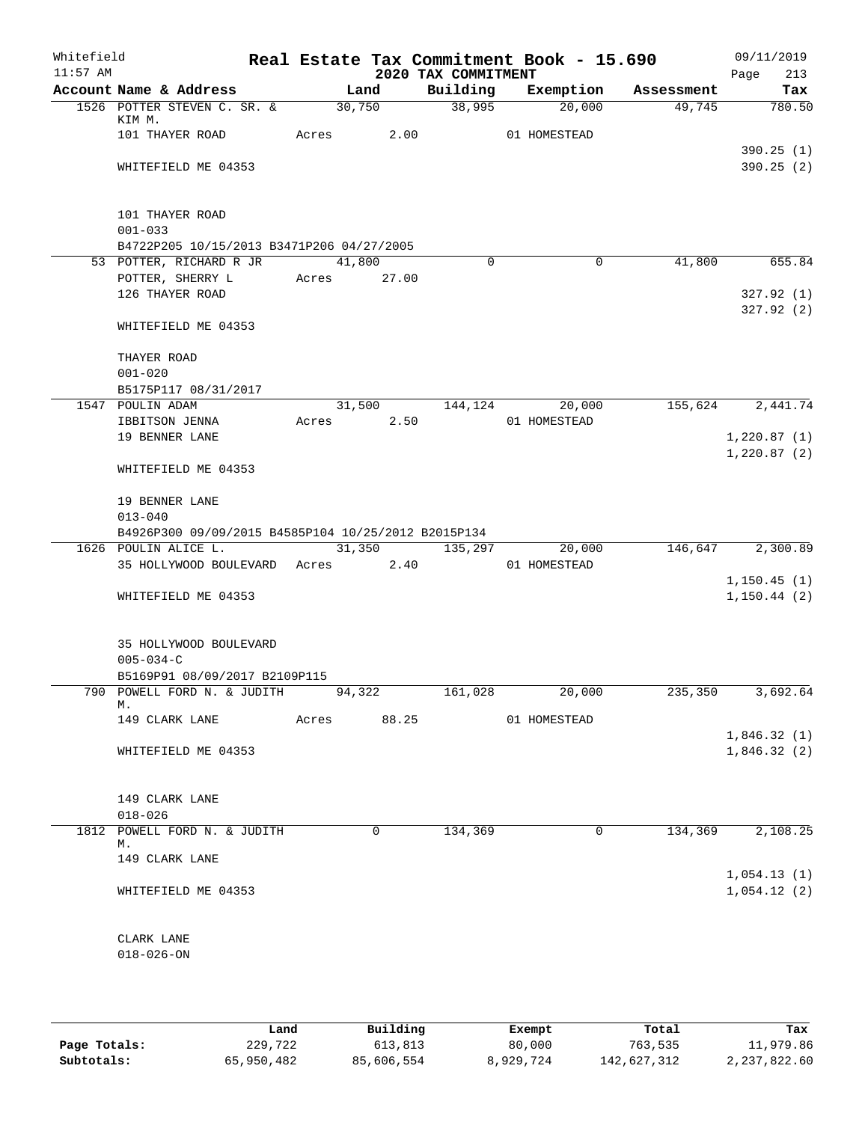| Whitefield<br>$11:57$ AM |                                                                             |       |               | 2020 TAX COMMITMENT | Real Estate Tax Commitment Book - 15.690 |            | 09/11/2019<br>213<br>Page |
|--------------------------|-----------------------------------------------------------------------------|-------|---------------|---------------------|------------------------------------------|------------|---------------------------|
|                          | Account Name & Address                                                      |       | Land          | Building            | Exemption                                | Assessment | Tax                       |
|                          | 1526 POTTER STEVEN C. SR. &<br>KIM M.                                       |       | 30,750        | 38,995              | 20,000                                   | 49,745     | 780.50                    |
|                          | 101 THAYER ROAD                                                             | Acres | 2.00          |                     | 01 HOMESTEAD                             |            |                           |
|                          |                                                                             |       |               |                     |                                          |            | 390.25(1)                 |
|                          | WHITEFIELD ME 04353                                                         |       |               |                     |                                          |            | 390.25(2)                 |
|                          | 101 THAYER ROAD<br>$001 - 033$<br>B4722P205 10/15/2013 B3471P206 04/27/2005 |       |               |                     |                                          |            |                           |
|                          | 53 POTTER, RICHARD R JR                                                     |       | 41,800        | $\Omega$            | $\Omega$                                 | 41,800     | 655.84                    |
|                          | POTTER, SHERRY L                                                            |       | Acres 27.00   |                     |                                          |            |                           |
|                          | 126 THAYER ROAD                                                             |       |               |                     |                                          |            | 327.92(1)                 |
|                          |                                                                             |       |               |                     |                                          |            | 327.92(2)                 |
|                          | WHITEFIELD ME 04353                                                         |       |               |                     |                                          |            |                           |
|                          | THAYER ROAD                                                                 |       |               |                     |                                          |            |                           |
|                          | $001 - 020$                                                                 |       |               |                     |                                          |            |                           |
|                          | B5175P117 08/31/2017                                                        |       |               |                     |                                          |            |                           |
|                          | 1547 POULIN ADAM                                                            |       | 31,500        | 144,124             | 20,000                                   | 155,624    | 2,441.74                  |
|                          | IBBITSON JENNA                                                              | Acres | 2.50          |                     | 01 HOMESTEAD                             |            | 1,220.87(1)               |
|                          | 19 BENNER LANE                                                              |       |               |                     |                                          |            |                           |
|                          | WHITEFIELD ME 04353                                                         |       |               |                     |                                          |            | 1,220.87(2)               |
|                          | 19 BENNER LANE<br>$013 - 040$                                               |       |               |                     |                                          |            |                           |
|                          | B4926P300 09/09/2015 B4585P104 10/25/2012 B2015P134                         |       |               |                     |                                          |            |                           |
|                          | 1626 POULIN ALICE L.                                                        |       | 31,350        | 135,297             | 20,000                                   | 146,647    | 2,300.89                  |
|                          | 35 HOLLYWOOD BOULEVARD                                                      |       | 2.40<br>Acres |                     | 01 HOMESTEAD                             |            |                           |
|                          |                                                                             |       |               |                     |                                          |            | 1,150.45(1)               |
|                          | WHITEFIELD ME 04353                                                         |       |               |                     |                                          |            | 1,150.44(2)               |
|                          |                                                                             |       |               |                     |                                          |            |                           |
|                          | 35 HOLLYWOOD BOULEVARD                                                      |       |               |                     |                                          |            |                           |
|                          | $005 - 034 - C$                                                             |       |               |                     |                                          |            |                           |
|                          | B5169P91 08/09/2017 B2109P115                                               |       |               |                     |                                          |            |                           |
|                          | 790 POWELL FORD N. & JUDITH<br>М.                                           |       | 94,322        | 161,028             | 20,000                                   | 235,350    | 3,692.64                  |
|                          | 149 CLARK LANE                                                              | Acres | 88.25         |                     | 01 HOMESTEAD                             |            |                           |
|                          |                                                                             |       |               |                     |                                          |            | 1,846.32(1)               |
|                          | WHITEFIELD ME 04353                                                         |       |               |                     |                                          |            | 1,846.32(2)               |
|                          |                                                                             |       |               |                     |                                          |            |                           |
|                          | 149 CLARK LANE                                                              |       |               |                     |                                          |            |                           |
|                          | $018 - 026$                                                                 |       |               |                     |                                          |            |                           |
|                          | 1812 POWELL FORD N. & JUDITH<br>М.                                          |       | 0             | 134,369             | 0                                        | 134,369    | 2,108.25                  |
|                          | 149 CLARK LANE                                                              |       |               |                     |                                          |            |                           |
|                          |                                                                             |       |               |                     |                                          |            | 1,054.13(1)               |
|                          | WHITEFIELD ME 04353                                                         |       |               |                     |                                          |            | 1,054.12(2)               |
|                          | CLARK LANE                                                                  |       |               |                     |                                          |            |                           |
|                          | $018 - 026 - ON$                                                            |       |               |                     |                                          |            |                           |
|                          |                                                                             |       |               |                     |                                          |            |                           |
|                          |                                                                             |       |               |                     |                                          |            |                           |
|                          |                                                                             |       |               |                     |                                          |            |                           |

|              | Land       | Building   | Exempt    | Total       | Tax          |
|--------------|------------|------------|-----------|-------------|--------------|
| Page Totals: | 229,722    | 613,813    | 80,000    | 763,535     | 11,979.86    |
| Subtotals:   | 65,950,482 | 85,606,554 | 8,929,724 | 142,627,312 | 2,237,822.60 |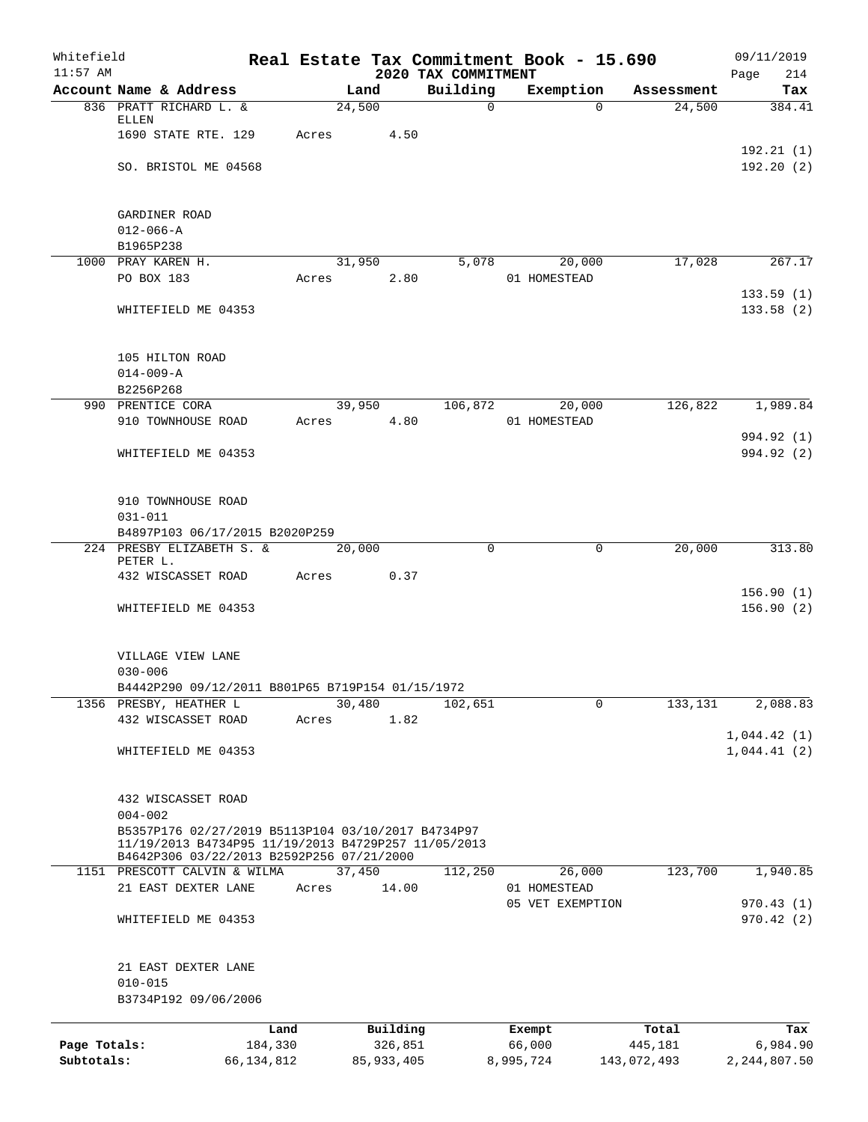| Whitefield<br>$11:57$ AM   |                                                                                                                                                        |                         |       |                         | Real Estate Tax Commitment Book - 15.690<br>2020 TAX COMMITMENT |                     |          |                        | 09/11/2019<br>Page<br>214  |
|----------------------------|--------------------------------------------------------------------------------------------------------------------------------------------------------|-------------------------|-------|-------------------------|-----------------------------------------------------------------|---------------------|----------|------------------------|----------------------------|
|                            | Account Name & Address                                                                                                                                 |                         |       | Land                    | Building                                                        | Exemption           |          | Assessment             | Tax                        |
|                            | 836 PRATT RICHARD L. &                                                                                                                                 |                         |       | 24,500                  | $\mathsf{O}$                                                    |                     | $\Omega$ | 24,500                 | 384.41                     |
|                            | ELLEN                                                                                                                                                  |                         |       |                         |                                                                 |                     |          |                        |                            |
|                            | 1690 STATE RTE. 129                                                                                                                                    |                         | Acres | 4.50                    |                                                                 |                     |          |                        | 192.21(1)                  |
|                            | SO. BRISTOL ME 04568                                                                                                                                   |                         |       |                         |                                                                 |                     |          |                        | 192.20(2)                  |
|                            |                                                                                                                                                        |                         |       |                         |                                                                 |                     |          |                        |                            |
|                            | GARDINER ROAD                                                                                                                                          |                         |       |                         |                                                                 |                     |          |                        |                            |
|                            | $012 - 066 - A$                                                                                                                                        |                         |       |                         |                                                                 |                     |          |                        |                            |
|                            | B1965P238                                                                                                                                              |                         |       |                         |                                                                 |                     |          |                        |                            |
|                            | 1000 PRAY KAREN H.                                                                                                                                     |                         |       | 31,950                  | 5,078                                                           |                     | 20,000   | 17,028                 | 267.17                     |
|                            | PO BOX 183                                                                                                                                             |                         | Acres | 2.80                    |                                                                 | 01 HOMESTEAD        |          |                        |                            |
|                            |                                                                                                                                                        |                         |       |                         |                                                                 |                     |          |                        | 133.59(1)                  |
|                            | WHITEFIELD ME 04353                                                                                                                                    |                         |       |                         |                                                                 |                     |          |                        | 133.58(2)                  |
|                            | 105 HILTON ROAD                                                                                                                                        |                         |       |                         |                                                                 |                     |          |                        |                            |
|                            | $014 - 009 - A$                                                                                                                                        |                         |       |                         |                                                                 |                     |          |                        |                            |
|                            | B2256P268                                                                                                                                              |                         |       |                         |                                                                 |                     |          |                        |                            |
|                            | 990 PRENTICE CORA                                                                                                                                      |                         |       | 39,950                  | 106,872                                                         |                     | 20,000   | 126,822                | 1,989.84                   |
|                            | 910 TOWNHOUSE ROAD                                                                                                                                     |                         | Acres | 4.80                    |                                                                 | 01 HOMESTEAD        |          |                        |                            |
|                            |                                                                                                                                                        |                         |       |                         |                                                                 |                     |          |                        | 994.92 (1)                 |
|                            | WHITEFIELD ME 04353                                                                                                                                    |                         |       |                         |                                                                 |                     |          |                        | 994.92 (2)                 |
|                            | 910 TOWNHOUSE ROAD                                                                                                                                     |                         |       |                         |                                                                 |                     |          |                        |                            |
|                            | $031 - 011$                                                                                                                                            |                         |       |                         |                                                                 |                     |          |                        |                            |
|                            | B4897P103 06/17/2015 B2020P259                                                                                                                         |                         |       |                         |                                                                 |                     |          |                        |                            |
|                            | 224 PRESBY ELIZABETH S. &                                                                                                                              |                         |       | 20,000                  | 0                                                               |                     | 0        | 20,000                 | 313.80                     |
|                            | PETER L.                                                                                                                                               |                         |       |                         |                                                                 |                     |          |                        |                            |
|                            | 432 WISCASSET ROAD                                                                                                                                     |                         | Acres | 0.37                    |                                                                 |                     |          |                        |                            |
|                            | WHITEFIELD ME 04353                                                                                                                                    |                         |       |                         |                                                                 |                     |          |                        | 156.90(1)<br>156.90(2)     |
|                            |                                                                                                                                                        |                         |       |                         |                                                                 |                     |          |                        |                            |
|                            | VILLAGE VIEW LANE                                                                                                                                      |                         |       |                         |                                                                 |                     |          |                        |                            |
|                            | $030 - 006$                                                                                                                                            |                         |       |                         |                                                                 |                     |          |                        |                            |
|                            | B4442P290 09/12/2011 B801P65 B719P154 01/15/1972                                                                                                       |                         |       |                         |                                                                 |                     |          |                        |                            |
|                            | 1356 PRESBY, HEATHER L<br>432 WISCASSET ROAD                                                                                                           |                         |       | 30,480<br>1.82          | 102,651                                                         |                     | 0        | 133,131                | 2,088.83                   |
|                            |                                                                                                                                                        |                         | Acres |                         |                                                                 |                     |          |                        | 1,044.42(1)                |
|                            | WHITEFIELD ME 04353                                                                                                                                    |                         |       |                         |                                                                 |                     |          |                        | 1,044.41(2)                |
|                            |                                                                                                                                                        |                         |       |                         |                                                                 |                     |          |                        |                            |
|                            | 432 WISCASSET ROAD                                                                                                                                     |                         |       |                         |                                                                 |                     |          |                        |                            |
|                            | $004 - 002$                                                                                                                                            |                         |       |                         |                                                                 |                     |          |                        |                            |
|                            | B5357P176 02/27/2019 B5113P104 03/10/2017 B4734P97<br>11/19/2013 B4734P95 11/19/2013 B4729P257 11/05/2013<br>B4642P306 03/22/2013 B2592P256 07/21/2000 |                         |       |                         |                                                                 |                     |          |                        |                            |
|                            | 1151 PRESCOTT CALVIN & WILMA                                                                                                                           |                         |       | 37,450                  | 112,250                                                         |                     | 26,000   | 123,700                | 1,940.85                   |
|                            | 21 EAST DEXTER LANE                                                                                                                                    |                         | Acres | 14.00                   |                                                                 | 01 HOMESTEAD        |          |                        |                            |
|                            |                                                                                                                                                        |                         |       |                         |                                                                 | 05 VET EXEMPTION    |          |                        | 970.43(1)                  |
|                            | WHITEFIELD ME 04353                                                                                                                                    |                         |       |                         |                                                                 |                     |          |                        | 970.42(2)                  |
|                            | 21 EAST DEXTER LANE                                                                                                                                    |                         |       |                         |                                                                 |                     |          |                        |                            |
|                            | $010 - 015$                                                                                                                                            |                         |       |                         |                                                                 |                     |          |                        |                            |
|                            | B3734P192 09/06/2006                                                                                                                                   |                         |       |                         |                                                                 |                     |          |                        |                            |
|                            |                                                                                                                                                        | Land                    |       | Building                |                                                                 | Exempt              |          | Total                  | Tax                        |
| Page Totals:<br>Subtotals: |                                                                                                                                                        | 184,330<br>66, 134, 812 |       | 326,851<br>85, 933, 405 |                                                                 | 66,000<br>8,995,724 |          | 445,181<br>143,072,493 | 6,984.90<br>2, 244, 807.50 |
|                            |                                                                                                                                                        |                         |       |                         |                                                                 |                     |          |                        |                            |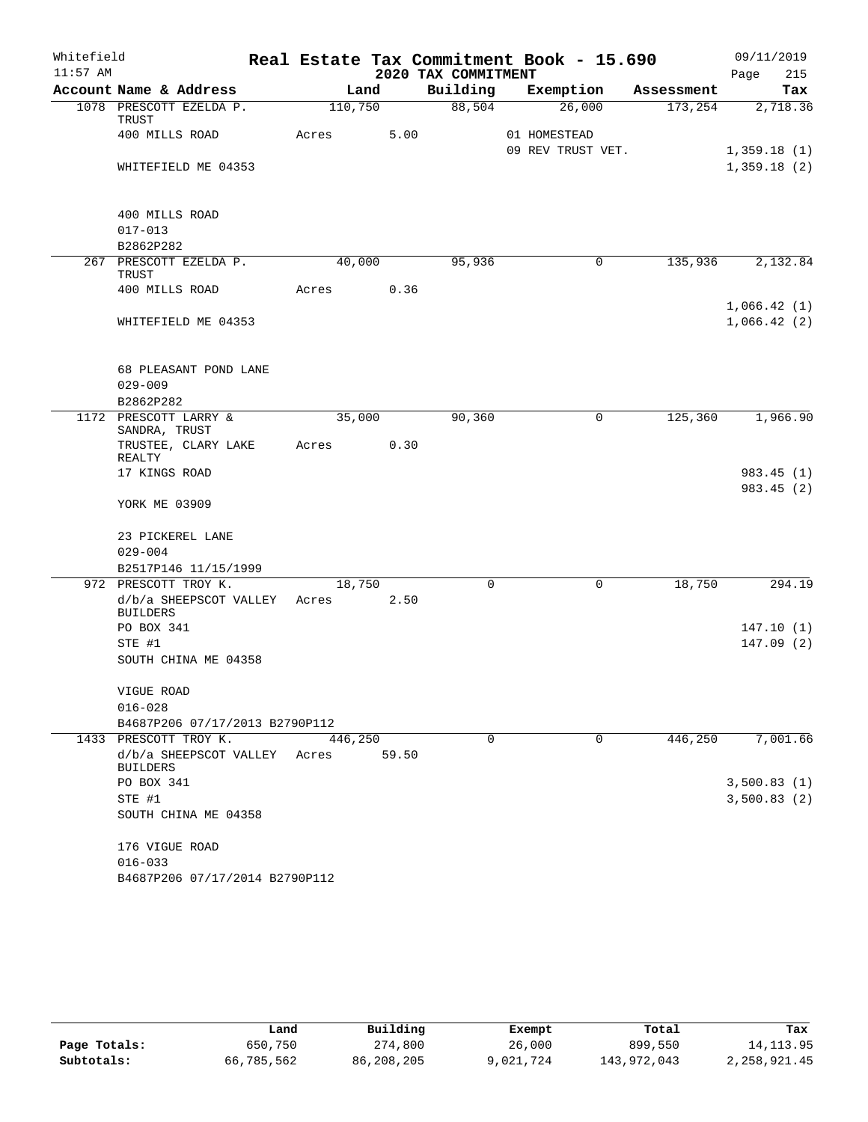| Whitefield |                                           |         |       |                     | Real Estate Tax Commitment Book - 15.690 |            | 09/11/2019  |
|------------|-------------------------------------------|---------|-------|---------------------|------------------------------------------|------------|-------------|
| $11:57$ AM |                                           |         |       | 2020 TAX COMMITMENT |                                          |            | 215<br>Page |
|            | Account Name & Address                    |         | Land  | Building            | Exemption                                | Assessment | Tax         |
|            | 1078 PRESCOTT EZELDA P.<br>TRUST          | 110,750 |       | 88,504              | 26,000                                   | 173,254    | 2,718.36    |
|            | 400 MILLS ROAD                            | Acres   | 5.00  |                     | 01 HOMESTEAD                             |            |             |
|            |                                           |         |       |                     | 09 REV TRUST VET.                        |            | 1,359.18(1) |
|            | WHITEFIELD ME 04353                       |         |       |                     |                                          |            | 1,359.18(2) |
|            |                                           |         |       |                     |                                          |            |             |
|            | 400 MILLS ROAD                            |         |       |                     |                                          |            |             |
|            | $017 - 013$                               |         |       |                     |                                          |            |             |
|            | B2862P282                                 |         |       |                     |                                          |            |             |
|            | 267 PRESCOTT EZELDA P.                    | 40,000  |       | 95,936              | 0                                        | 135,936    | 2,132.84    |
|            | TRUST                                     |         |       |                     |                                          |            |             |
|            | 400 MILLS ROAD                            | Acres   | 0.36  |                     |                                          |            | 1,066.42(1) |
|            | WHITEFIELD ME 04353                       |         |       |                     |                                          |            | 1,066.42(2) |
|            |                                           |         |       |                     |                                          |            |             |
|            |                                           |         |       |                     |                                          |            |             |
|            | 68 PLEASANT POND LANE                     |         |       |                     |                                          |            |             |
|            | $029 - 009$                               |         |       |                     |                                          |            |             |
|            | B2862P282                                 |         |       |                     |                                          |            |             |
|            | 1172 PRESCOTT LARRY &                     | 35,000  |       | 90,360              | 0                                        | 125,360    | 1,966.90    |
|            | SANDRA, TRUST                             |         | 0.30  |                     |                                          |            |             |
|            | TRUSTEE, CLARY LAKE<br>REALTY             | Acres   |       |                     |                                          |            |             |
|            | 17 KINGS ROAD                             |         |       |                     |                                          |            | 983.45(1)   |
|            |                                           |         |       |                     |                                          |            | 983.45 (2)  |
|            | YORK ME 03909                             |         |       |                     |                                          |            |             |
|            |                                           |         |       |                     |                                          |            |             |
|            | 23 PICKEREL LANE<br>$029 - 004$           |         |       |                     |                                          |            |             |
|            | B2517P146 11/15/1999                      |         |       |                     |                                          |            |             |
|            | 972 PRESCOTT TROY K.                      | 18,750  |       | $\Omega$            | 0                                        | 18,750     | 294.19      |
|            | d/b/a SHEEPSCOT VALLEY                    | Acres   | 2.50  |                     |                                          |            |             |
|            | <b>BUILDERS</b>                           |         |       |                     |                                          |            |             |
|            | PO BOX 341                                |         |       |                     |                                          |            | 147.10(1)   |
|            | STE #1                                    |         |       |                     |                                          |            | 147.09(2)   |
|            | SOUTH CHINA ME 04358                      |         |       |                     |                                          |            |             |
|            | VIGUE ROAD                                |         |       |                     |                                          |            |             |
|            | $016 - 028$                               |         |       |                     |                                          |            |             |
|            | B4687P206 07/17/2013 B2790P112            |         |       |                     |                                          |            |             |
|            | 1433 PRESCOTT TROY K.                     | 446,250 |       | 0                   | 0                                        | 446,250    | 7,001.66    |
|            | d/b/a SHEEPSCOT VALLEY<br><b>BUILDERS</b> | Acres   | 59.50 |                     |                                          |            |             |
|            | PO BOX 341                                |         |       |                     |                                          |            | 3,500.83(1) |
|            | STE #1                                    |         |       |                     |                                          |            | 3,500.83(2) |
|            | SOUTH CHINA ME 04358                      |         |       |                     |                                          |            |             |
|            | 176 VIGUE ROAD                            |         |       |                     |                                          |            |             |
|            | $016 - 033$                               |         |       |                     |                                          |            |             |
|            | B4687P206 07/17/2014 B2790P112            |         |       |                     |                                          |            |             |
|            |                                           |         |       |                     |                                          |            |             |

|              | Land       | Building   |           | Total       | Tax          |
|--------------|------------|------------|-----------|-------------|--------------|
|              |            |            | Exempt    |             |              |
| Page Totals: | 650,750    | 274,800    | 26,000    | 899,550     | 14,113.95    |
| Subtotals:   | 66,785,562 | 86,208,205 | 9,021,724 | 143,972,043 | 2,258,921.45 |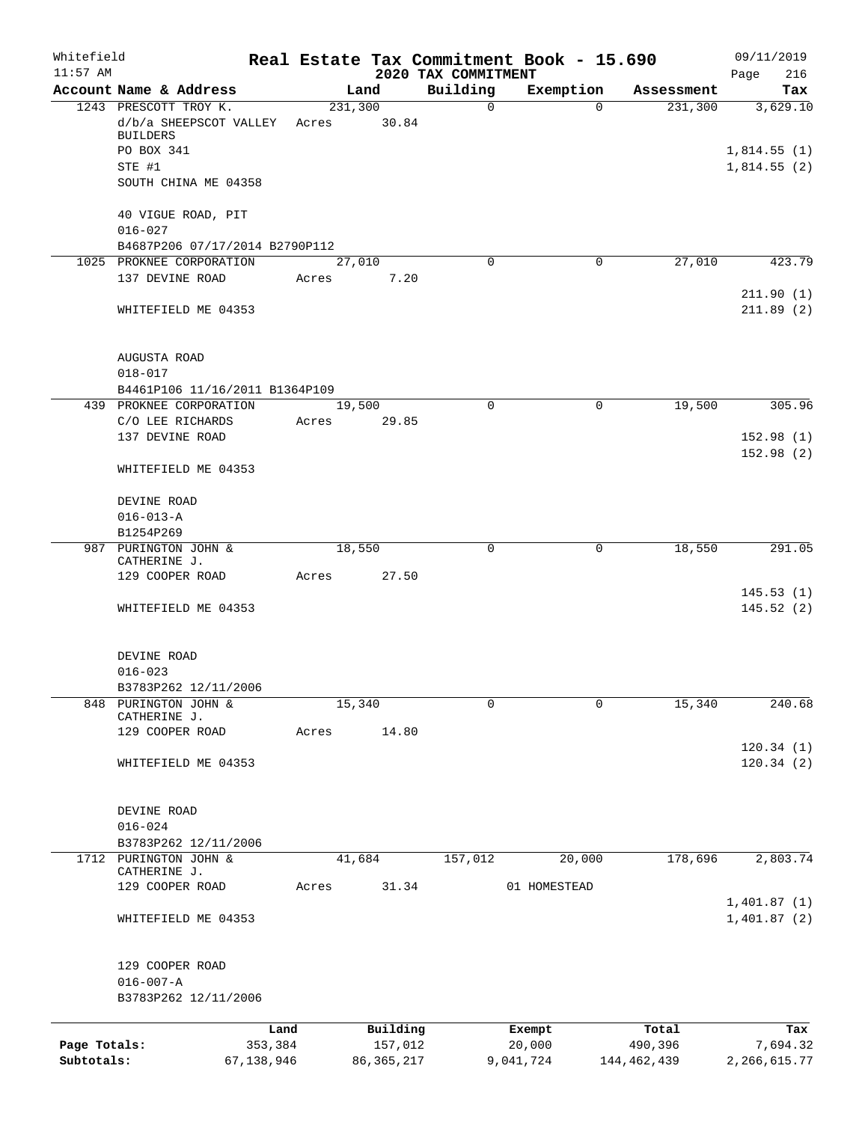| Whitefield<br>$11:57$ AM |                                              |            |         |              | 2020 TAX COMMITMENT | Real Estate Tax Commitment Book - 15.690 |               | 09/11/2019<br>216<br>Page |
|--------------------------|----------------------------------------------|------------|---------|--------------|---------------------|------------------------------------------|---------------|---------------------------|
|                          | Account Name & Address                       |            |         | Land         | Building            | Exemption                                | Assessment    | Tax                       |
|                          | 1243 PRESCOTT TROY K.                        |            | 231,300 |              | $\mathsf{O}$        | $\Omega$                                 | 231,300       | 3,629.10                  |
|                          | d/b/a SHEEPSCOT VALLEY                       |            | Acres   | 30.84        |                     |                                          |               |                           |
|                          | <b>BUILDERS</b>                              |            |         |              |                     |                                          |               |                           |
|                          | PO BOX 341                                   |            |         |              |                     |                                          |               | 1,814.55(1)               |
|                          | STE #1<br>SOUTH CHINA ME 04358               |            |         |              |                     |                                          |               | 1,814.55(2)               |
|                          |                                              |            |         |              |                     |                                          |               |                           |
|                          | 40 VIGUE ROAD, PIT                           |            |         |              |                     |                                          |               |                           |
|                          | $016 - 027$                                  |            |         |              |                     |                                          |               |                           |
|                          | B4687P206 07/17/2014 B2790P112               |            |         |              |                     |                                          |               |                           |
|                          | 1025 PROKNEE CORPORATION                     |            |         | 27,010       | $\Omega$            | 0                                        | 27,010        | 423.79                    |
|                          | 137 DEVINE ROAD                              |            | Acres   | 7.20         |                     |                                          |               |                           |
|                          |                                              |            |         |              |                     |                                          |               | 211.90(1)                 |
|                          | WHITEFIELD ME 04353                          |            |         |              |                     |                                          |               | 211.89(2)                 |
|                          |                                              |            |         |              |                     |                                          |               |                           |
|                          |                                              |            |         |              |                     |                                          |               |                           |
|                          | <b>AUGUSTA ROAD</b><br>$018 - 017$           |            |         |              |                     |                                          |               |                           |
|                          | B4461P106 11/16/2011 B1364P109               |            |         |              |                     |                                          |               |                           |
|                          | 439 PROKNEE CORPORATION                      |            |         | 19,500       | $\Omega$            | $\mathbf 0$                              | 19,500        | 305.96                    |
|                          | C/O LEE RICHARDS                             |            | Acres   | 29.85        |                     |                                          |               |                           |
|                          | 137 DEVINE ROAD                              |            |         |              |                     |                                          |               | 152.98(1)                 |
|                          |                                              |            |         |              |                     |                                          |               | 152.98(2)                 |
|                          | WHITEFIELD ME 04353                          |            |         |              |                     |                                          |               |                           |
|                          |                                              |            |         |              |                     |                                          |               |                           |
|                          | DEVINE ROAD                                  |            |         |              |                     |                                          |               |                           |
|                          | $016 - 013 - A$                              |            |         |              |                     |                                          |               |                           |
|                          | B1254P269                                    |            |         |              |                     |                                          |               |                           |
| 987                      | PURINGTON JOHN &<br>CATHERINE J.             |            |         | 18,550       | 0                   | 0                                        | 18,550        | 291.05                    |
|                          | 129 COOPER ROAD                              |            | Acres   | 27.50        |                     |                                          |               |                           |
|                          |                                              |            |         |              |                     |                                          |               | 145.53(1)                 |
|                          | WHITEFIELD ME 04353                          |            |         |              |                     |                                          |               | 145.52(2)                 |
|                          |                                              |            |         |              |                     |                                          |               |                           |
|                          |                                              |            |         |              |                     |                                          |               |                           |
|                          | DEVINE ROAD                                  |            |         |              |                     |                                          |               |                           |
|                          | $016 - 023$                                  |            |         |              |                     |                                          |               |                           |
|                          | B3783P262 12/11/2006<br>848 PURINGTON JOHN & |            |         | 15,340       | 0                   | 0                                        | 15,340        | 240.68                    |
|                          | CATHERINE J.                                 |            |         |              |                     |                                          |               |                           |
|                          | 129 COOPER ROAD                              |            | Acres   | 14.80        |                     |                                          |               |                           |
|                          |                                              |            |         |              |                     |                                          |               | 120.34(1)                 |
|                          | WHITEFIELD ME 04353                          |            |         |              |                     |                                          |               | 120.34(2)                 |
|                          |                                              |            |         |              |                     |                                          |               |                           |
|                          |                                              |            |         |              |                     |                                          |               |                           |
|                          | DEVINE ROAD<br>$016 - 024$                   |            |         |              |                     |                                          |               |                           |
|                          | B3783P262 12/11/2006                         |            |         |              |                     |                                          |               |                           |
|                          | 1712 PURINGTON JOHN &                        |            |         | 41,684       | 157,012             | 20,000                                   | 178,696       | 2,803.74                  |
|                          | CATHERINE J.                                 |            |         |              |                     |                                          |               |                           |
|                          | 129 COOPER ROAD                              |            | Acres   | 31.34        |                     | 01 HOMESTEAD                             |               |                           |
|                          |                                              |            |         |              |                     |                                          |               | 1,401.87(1)               |
|                          | WHITEFIELD ME 04353                          |            |         |              |                     |                                          |               | 1,401.87(2)               |
|                          |                                              |            |         |              |                     |                                          |               |                           |
|                          | 129 COOPER ROAD                              |            |         |              |                     |                                          |               |                           |
|                          | $016 - 007 - A$                              |            |         |              |                     |                                          |               |                           |
|                          | B3783P262 12/11/2006                         |            |         |              |                     |                                          |               |                           |
|                          |                                              |            |         |              |                     |                                          |               |                           |
|                          |                                              | Land       |         | Building     |                     | Exempt                                   | Total         | Tax                       |
| Page Totals:             |                                              | 353,384    |         | 157,012      |                     | 20,000                                   | 490,396       | 7,694.32                  |
| Subtotals:               |                                              | 67,138,946 |         | 86, 365, 217 |                     | 9,041,724                                | 144, 462, 439 | 2, 266, 615.77            |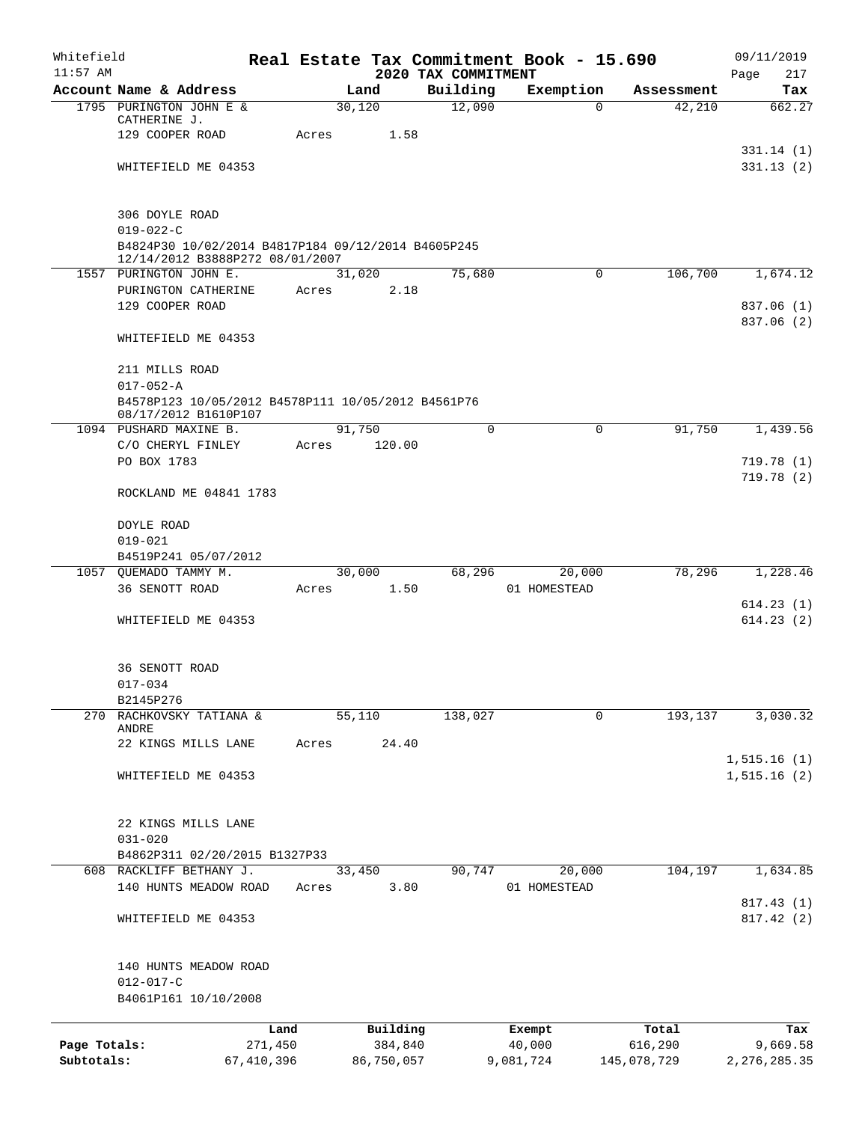| Whitefield   |                                                    |            |       |                |                     | Real Estate Tax Commitment Book - 15.690 |                      | 09/11/2019             |
|--------------|----------------------------------------------------|------------|-------|----------------|---------------------|------------------------------------------|----------------------|------------------------|
| $11:57$ AM   |                                                    |            |       |                | 2020 TAX COMMITMENT |                                          |                      | 217<br>Page            |
|              | Account Name & Address<br>1795 PURINGTON JOHN E &  |            |       | Land<br>30,120 | Building<br>12,090  | Exemption<br>$\mathbf 0$                 | Assessment<br>42,210 | Tax<br>662.27          |
|              | CATHERINE J.                                       |            |       |                |                     |                                          |                      |                        |
|              | 129 COOPER ROAD                                    |            | Acres | 1.58           |                     |                                          |                      |                        |
|              |                                                    |            |       |                |                     |                                          |                      | 331.14(1)              |
|              | WHITEFIELD ME 04353                                |            |       |                |                     |                                          |                      | 331.13(2)              |
|              |                                                    |            |       |                |                     |                                          |                      |                        |
|              |                                                    |            |       |                |                     |                                          |                      |                        |
|              | 306 DOYLE ROAD<br>$019 - 022 - C$                  |            |       |                |                     |                                          |                      |                        |
|              | B4824P30 10/02/2014 B4817P184 09/12/2014 B4605P245 |            |       |                |                     |                                          |                      |                        |
|              | 12/14/2012 B3888P272 08/01/2007                    |            |       |                |                     |                                          |                      |                        |
|              | 1557 PURINGTON JOHN E.                             |            |       | 31,020         | 75,680              | $\mathsf{O}$                             | 106,700              | 1,674.12               |
|              | PURINGTON CATHERINE                                |            | Acres | 2.18           |                     |                                          |                      |                        |
|              | 129 COOPER ROAD                                    |            |       |                |                     |                                          |                      | 837.06 (1)             |
|              |                                                    |            |       |                |                     |                                          |                      | 837.06 (2)             |
|              | WHITEFIELD ME 04353                                |            |       |                |                     |                                          |                      |                        |
|              |                                                    |            |       |                |                     |                                          |                      |                        |
|              | 211 MILLS ROAD                                     |            |       |                |                     |                                          |                      |                        |
|              | $017 - 052 - A$                                    |            |       |                |                     |                                          |                      |                        |
|              | B4578P123 10/05/2012 B4578P111 10/05/2012 B4561P76 |            |       |                |                     |                                          |                      |                        |
|              | 08/17/2012 B1610P107                               |            |       |                | $\mathbf 0$         | $\mathbf 0$                              |                      |                        |
|              | 1094 PUSHARD MAXINE B.                             |            |       | 91,750         |                     |                                          | 91,750               | 1,439.56               |
|              | C/O CHERYL FINLEY<br>PO BOX 1783                   |            | Acres | 120.00         |                     |                                          |                      |                        |
|              |                                                    |            |       |                |                     |                                          |                      | 719.78(1)<br>719.78(2) |
|              | ROCKLAND ME 04841 1783                             |            |       |                |                     |                                          |                      |                        |
|              |                                                    |            |       |                |                     |                                          |                      |                        |
|              | DOYLE ROAD                                         |            |       |                |                     |                                          |                      |                        |
|              | $019 - 021$                                        |            |       |                |                     |                                          |                      |                        |
|              | B4519P241 05/07/2012                               |            |       |                |                     |                                          |                      |                        |
|              | 1057 QUEMADO TAMMY M.                              |            |       | 30,000         | 68,296              | 20,000                                   | 78,296               | 1,228.46               |
|              | 36 SENOTT ROAD                                     |            | Acres | 1.50           |                     | 01 HOMESTEAD                             |                      |                        |
|              |                                                    |            |       |                |                     |                                          |                      | 614.23(1)              |
|              | WHITEFIELD ME 04353                                |            |       |                |                     |                                          |                      | 614.23(2)              |
|              |                                                    |            |       |                |                     |                                          |                      |                        |
|              |                                                    |            |       |                |                     |                                          |                      |                        |
|              | 36 SENOTT ROAD                                     |            |       |                |                     |                                          |                      |                        |
|              | $017 - 034$                                        |            |       |                |                     |                                          |                      |                        |
|              | B2145P276                                          |            |       |                |                     |                                          |                      |                        |
|              | 270 RACHKOVSKY TATIANA &                           |            |       | 55,110         | 138,027             | $\mathbf 0$                              | 193,137              | 3,030.32               |
|              | ANDRE<br>22 KINGS MILLS LANE                       |            |       | 24.40          |                     |                                          |                      |                        |
|              |                                                    |            | Acres |                |                     |                                          |                      | 1, 515.16(1)           |
|              | WHITEFIELD ME 04353                                |            |       |                |                     |                                          |                      | 1,515.16(2)            |
|              |                                                    |            |       |                |                     |                                          |                      |                        |
|              |                                                    |            |       |                |                     |                                          |                      |                        |
|              | 22 KINGS MILLS LANE                                |            |       |                |                     |                                          |                      |                        |
|              | $031 - 020$                                        |            |       |                |                     |                                          |                      |                        |
|              | B4862P311 02/20/2015 B1327P33                      |            |       |                |                     |                                          |                      |                        |
|              | 608 RACKLIFF BETHANY J.                            |            |       | 33,450         | 90,747              | 20,000                                   | 104,197              | 1,634.85               |
|              | 140 HUNTS MEADOW ROAD                              |            | Acres | 3.80           |                     | 01 HOMESTEAD                             |                      |                        |
|              |                                                    |            |       |                |                     |                                          |                      | 817.43 (1)             |
|              | WHITEFIELD ME 04353                                |            |       |                |                     |                                          |                      | 817.42(2)              |
|              |                                                    |            |       |                |                     |                                          |                      |                        |
|              |                                                    |            |       |                |                     |                                          |                      |                        |
|              | 140 HUNTS MEADOW ROAD                              |            |       |                |                     |                                          |                      |                        |
|              | $012 - 017 - C$                                    |            |       |                |                     |                                          |                      |                        |
|              | B4061P161 10/10/2008                               |            |       |                |                     |                                          |                      |                        |
|              |                                                    | Land       |       | Building       |                     | Exempt                                   | Total                | Tax                    |
| Page Totals: |                                                    | 271,450    |       | 384,840        |                     | 40,000                                   | 616,290              | 9,669.58               |
| Subtotals:   |                                                    | 67,410,396 |       | 86,750,057     |                     | 9,081,724                                | 145,078,729          | 2, 276, 285.35         |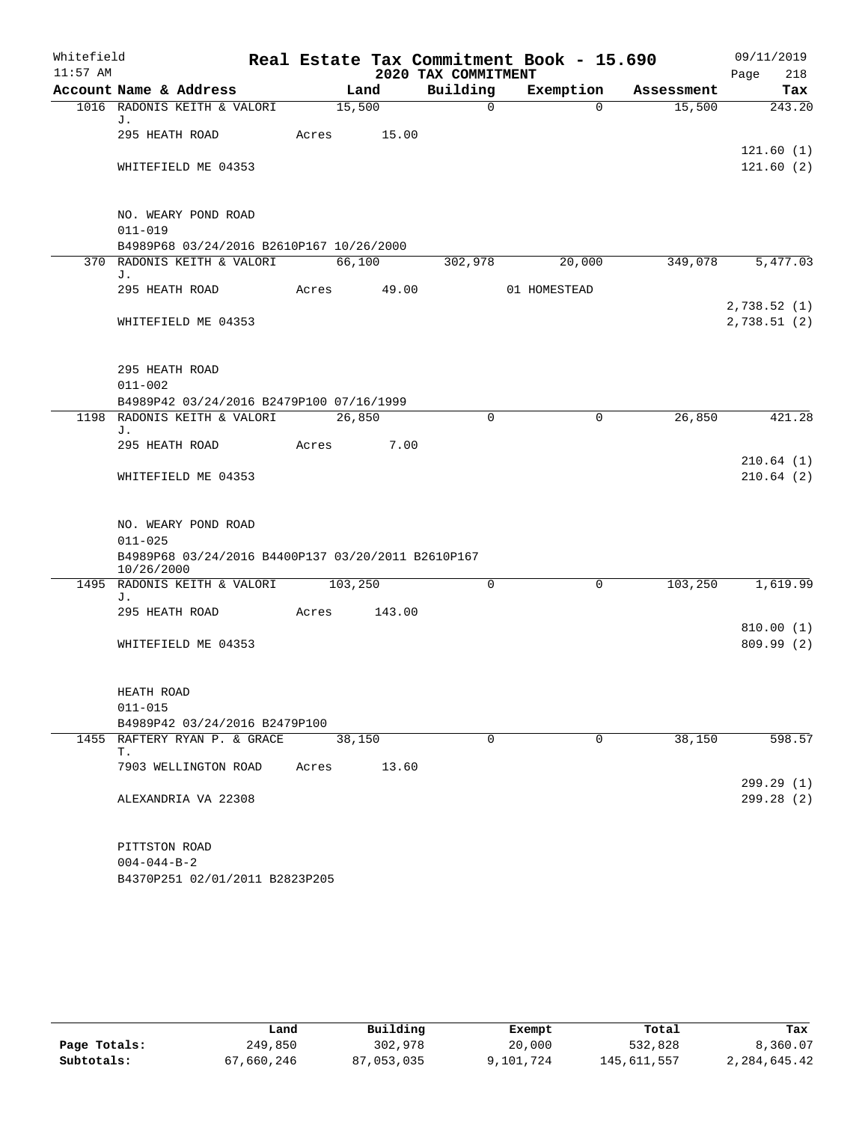| Whitefield |                                                                         |       |         |                     | Real Estate Tax Commitment Book - 15.690 |            | 09/11/2019  |
|------------|-------------------------------------------------------------------------|-------|---------|---------------------|------------------------------------------|------------|-------------|
| $11:57$ AM |                                                                         |       |         | 2020 TAX COMMITMENT |                                          |            | Page<br>218 |
|            | Account Name & Address                                                  |       | Land    | Building            | Exemption                                | Assessment | Tax         |
|            | 1016 RADONIS KEITH & VALORI<br>J.                                       |       | 15,500  | $\mathbf 0$         | $\Omega$                                 | 15,500     | 243.20      |
|            | 295 HEATH ROAD                                                          | Acres | 15.00   |                     |                                          |            |             |
|            |                                                                         |       |         |                     |                                          |            | 121.60(1)   |
|            | WHITEFIELD ME 04353                                                     |       |         |                     |                                          |            | 121.60(2)   |
|            | NO. WEARY POND ROAD<br>$011 - 019$                                      |       |         |                     |                                          |            |             |
|            | B4989P68 03/24/2016 B2610P167 10/26/2000                                |       |         |                     |                                          |            |             |
|            | 370 RADONIS KEITH & VALORI                                              |       | 66,100  | 302,978             | 20,000                                   | 349,078    | 5,477.03    |
|            | J.                                                                      |       |         |                     |                                          |            |             |
|            | 295 HEATH ROAD                                                          | Acres | 49.00   |                     | 01 HOMESTEAD                             |            | 2,738.52(1) |
|            | WHITEFIELD ME 04353                                                     |       |         |                     |                                          |            | 2,738.51(2) |
|            |                                                                         |       |         |                     |                                          |            |             |
|            | 295 HEATH ROAD                                                          |       |         |                     |                                          |            |             |
|            | $011 - 002$                                                             |       |         |                     |                                          |            |             |
|            | B4989P42 03/24/2016 B2479P100 07/16/1999<br>1198 RADONIS KEITH & VALORI |       | 26,850  | $\Omega$            | $\mathbf 0$                              | 26,850     | 421.28      |
|            | J.                                                                      |       |         |                     |                                          |            |             |
|            | 295 HEATH ROAD                                                          | Acres | 7.00    |                     |                                          |            |             |
|            |                                                                         |       |         |                     |                                          |            | 210.64(1)   |
|            | WHITEFIELD ME 04353                                                     |       |         |                     |                                          |            | 210.64(2)   |
|            | NO. WEARY POND ROAD                                                     |       |         |                     |                                          |            |             |
|            | $011 - 025$                                                             |       |         |                     |                                          |            |             |
|            | B4989P68 03/24/2016 B4400P137 03/20/2011 B2610P167<br>10/26/2000        |       |         |                     |                                          |            |             |
|            | 1495 RADONIS KEITH & VALORI                                             |       | 103,250 | $\Omega$            | 0                                        | 103,250    | 1,619.99    |
|            | J.                                                                      |       |         |                     |                                          |            |             |
|            | 295 HEATH ROAD                                                          | Acres | 143.00  |                     |                                          |            | 810.00(1)   |
|            | WHITEFIELD ME 04353                                                     |       |         |                     |                                          |            | 809.99(2)   |
|            |                                                                         |       |         |                     |                                          |            |             |
|            | HEATH ROAD                                                              |       |         |                     |                                          |            |             |
|            | $011 - 015$                                                             |       |         |                     |                                          |            |             |
|            | B4989P42 03/24/2016 B2479P100                                           |       |         |                     |                                          |            |             |
|            | 1455 RAFTERY RYAN P. & GRACE<br>Т.                                      |       | 38,150  | 0                   | 0                                        | 38,150     | 598.57      |
|            | 7903 WELLINGTON ROAD                                                    | Acres | 13.60   |                     |                                          |            | 299.29 (1)  |
|            | ALEXANDRIA VA 22308                                                     |       |         |                     |                                          |            | 299.28 (2)  |
|            | PITTSTON ROAD                                                           |       |         |                     |                                          |            |             |
|            | $004 - 044 - B - 2$                                                     |       |         |                     |                                          |            |             |

B4370P251 02/01/2011 B2823P205

|              | Land       | Building   | Exempt    | Total       | Tax          |
|--------------|------------|------------|-----------|-------------|--------------|
| Page Totals: | 249,850    | 302,978    | 20,000    | 532,828     | 8,360.07     |
| Subtotals:   | 67,660,246 | 87,053,035 | 9,101,724 | 145,611,557 | 2,284,645.42 |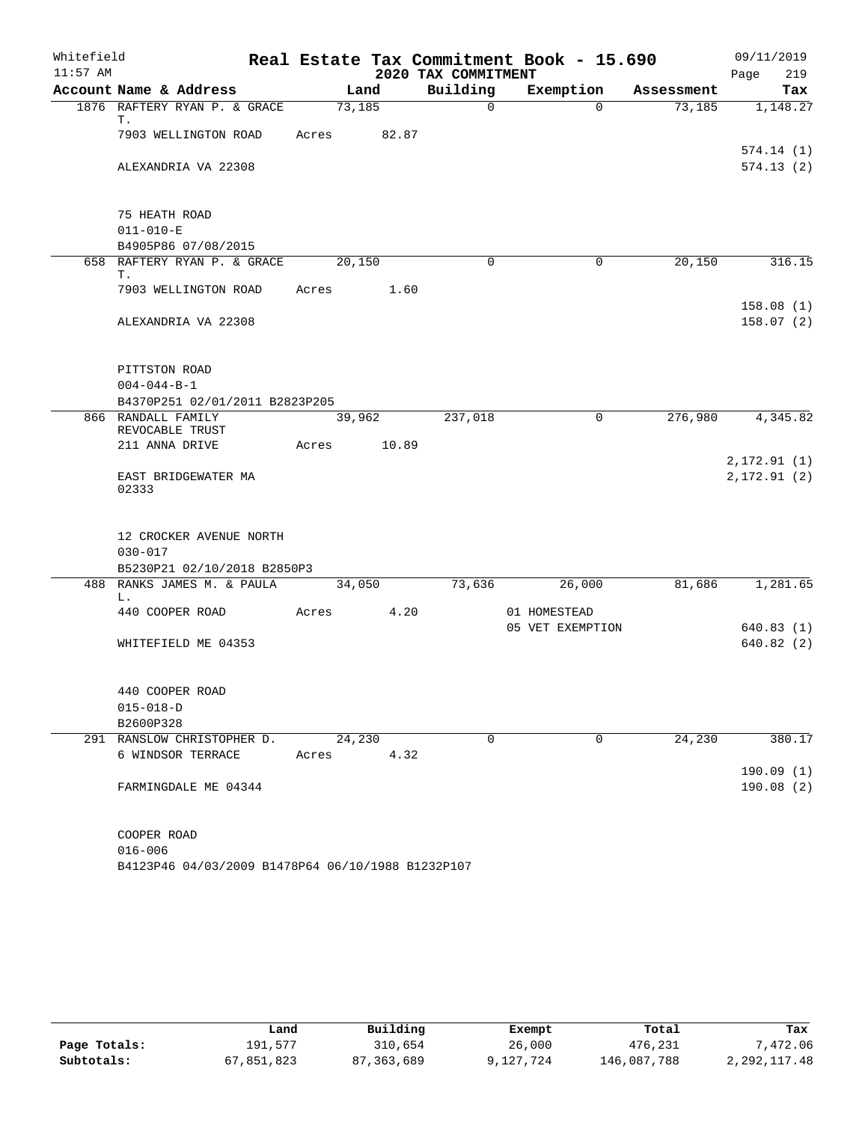| Whitefield |                                                           |        |       |                     | Real Estate Tax Commitment Book - 15.690 |            | 09/11/2019                   |
|------------|-----------------------------------------------------------|--------|-------|---------------------|------------------------------------------|------------|------------------------------|
| $11:57$ AM |                                                           |        |       | 2020 TAX COMMITMENT |                                          |            | 219<br>Page                  |
|            | Account Name & Address                                    | Land   |       | Building            | Exemption                                | Assessment | Tax                          |
|            | 1876 RAFTERY RYAN P. & GRACE<br>Т.                        | 73,185 |       | $\overline{0}$      | $\Omega$                                 | 73,185     | 1,148.27                     |
|            | 7903 WELLINGTON ROAD                                      | Acres  | 82.87 |                     |                                          |            | 574.14(1)                    |
|            | ALEXANDRIA VA 22308                                       |        |       |                     |                                          |            | 574.13(2)                    |
|            | 75 HEATH ROAD                                             |        |       |                     |                                          |            |                              |
|            | $011 - 010 - E$                                           |        |       |                     |                                          |            |                              |
|            | B4905P86 07/08/2015<br>658 RAFTERY RYAN P. & GRACE        | 20,150 |       | $\Omega$            | 0                                        | 20,150     | 316.15                       |
|            | Т.                                                        |        |       |                     |                                          |            |                              |
|            | 7903 WELLINGTON ROAD                                      | Acres  | 1.60  |                     |                                          |            |                              |
|            | ALEXANDRIA VA 22308                                       |        |       |                     |                                          |            | 158.08(1)<br>158.07(2)       |
|            | PITTSTON ROAD                                             |        |       |                     |                                          |            |                              |
|            | $004 - 044 - B - 1$                                       |        |       |                     |                                          |            |                              |
|            | B4370P251 02/01/2011 B2823P205                            |        |       |                     |                                          |            |                              |
|            | 866 RANDALL FAMILY<br>REVOCABLE TRUST                     | 39,962 |       | 237,018             | 0                                        | 276,980    | 4,345.82                     |
|            | 211 ANNA DRIVE                                            | Acres  | 10.89 |                     |                                          |            |                              |
|            | EAST BRIDGEWATER MA<br>02333                              |        |       |                     |                                          |            | 2, 172.91(1)<br>2, 172.91(2) |
|            | 12 CROCKER AVENUE NORTH<br>$030 - 017$                    |        |       |                     |                                          |            |                              |
|            | B5230P21 02/10/2018 B2850P3<br>488 RANKS JAMES M. & PAULA | 34,050 |       | 73,636              | 26,000                                   | 81,686     | 1,281.65                     |
|            | L.                                                        |        |       |                     |                                          |            |                              |
|            | 440 COOPER ROAD                                           | Acres  | 4.20  |                     | 01 HOMESTEAD                             |            |                              |
|            |                                                           |        |       |                     | 05 VET EXEMPTION                         |            | 640.83(1)                    |
|            | WHITEFIELD ME 04353                                       |        |       |                     |                                          |            | 640.82(2)                    |
|            | 440 COOPER ROAD                                           |        |       |                     |                                          |            |                              |
|            | $015 - 018 - D$                                           |        |       |                     |                                          |            |                              |
|            | B2600P328                                                 |        |       |                     |                                          |            |                              |
|            | 291 RANSLOW CHRISTOPHER D.                                | 24,230 |       | 0                   | 0                                        | 24,230     | 380.17                       |
|            | 6 WINDSOR TERRACE                                         | Acres  | 4.32  |                     |                                          |            | 190.09(1)                    |
|            | FARMINGDALE ME 04344                                      |        |       |                     |                                          |            | 190.08(2)                    |
|            | COOPER ROAD                                               |        |       |                     |                                          |            |                              |
|            | $016 - 006$                                               |        |       |                     |                                          |            |                              |

B4123P46 04/03/2009 B1478P64 06/10/1988 B1232P107

|              | Land       | Building   | Exempt    | Total       | Tax            |
|--------------|------------|------------|-----------|-------------|----------------|
| Page Totals: | 191,577    | 310,654    | 26,000    | 476,231     | 7,472.06       |
| Subtotals:   | 67,851,823 | 87,363,689 | 9,127,724 | 146,087,788 | 2, 292, 117.48 |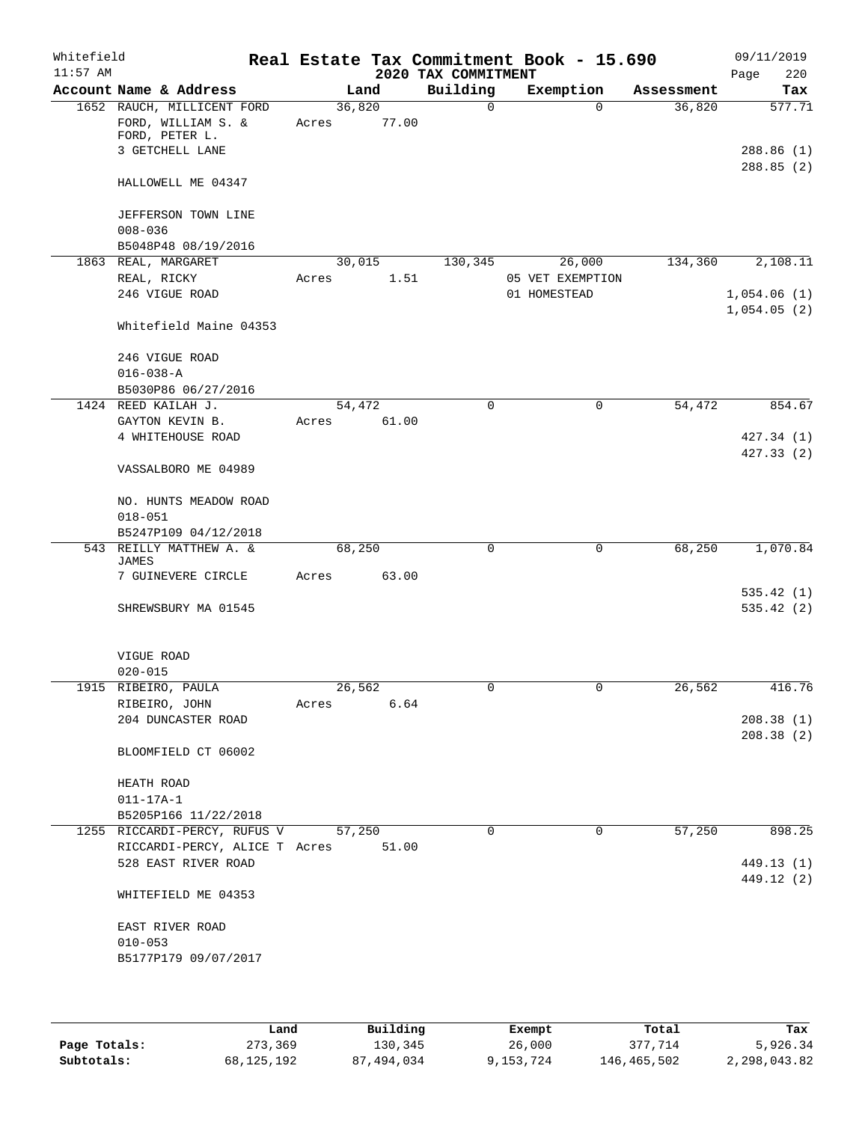| Whitefield<br>$11:57$ AM |                                                                                       |                 |       | Real Estate Tax Commitment Book - 15.690<br>2020 TAX COMMITMENT |              |                            |            | 09/11/2019<br>Page<br>220         |
|--------------------------|---------------------------------------------------------------------------------------|-----------------|-------|-----------------------------------------------------------------|--------------|----------------------------|------------|-----------------------------------|
|                          | Account Name & Address                                                                |                 | Land  | Building                                                        |              | Exemption                  | Assessment | Tax                               |
|                          | 1652 RAUCH, MILLICENT FORD<br>FORD, WILLIAM S. &<br>FORD, PETER L.<br>3 GETCHELL LANE | 36,820<br>Acres | 77.00 | $\Omega$                                                        |              | $\Omega$                   | 36,820     | 577.71<br>288.86 (1)<br>288.85(2) |
|                          | HALLOWELL ME 04347                                                                    |                 |       |                                                                 |              |                            |            |                                   |
|                          | JEFFERSON TOWN LINE<br>$008 - 036$                                                    |                 |       |                                                                 |              |                            |            |                                   |
|                          | B5048P48 08/19/2016                                                                   |                 |       |                                                                 |              |                            |            |                                   |
|                          | 1863 REAL, MARGARET<br>REAL, RICKY                                                    | 30,015<br>Acres | 1.51  | 130,345                                                         |              | 26,000<br>05 VET EXEMPTION | 134,360    | 2,108.11                          |
|                          | 246 VIGUE ROAD                                                                        |                 |       |                                                                 | 01 HOMESTEAD |                            |            | 1,054.06(1)                       |
|                          |                                                                                       |                 |       |                                                                 |              |                            |            | 1,054.05(2)                       |
|                          | Whitefield Maine 04353                                                                |                 |       |                                                                 |              |                            |            |                                   |
|                          | 246 VIGUE ROAD                                                                        |                 |       |                                                                 |              |                            |            |                                   |
|                          | $016 - 038 - A$                                                                       |                 |       |                                                                 |              |                            |            |                                   |
|                          | B5030P86 06/27/2016                                                                   |                 |       |                                                                 |              |                            |            |                                   |
|                          | 1424 REED KAILAH J.                                                                   | 54,472          |       | 0                                                               |              | $\mathbf 0$                | 54,472     | 854.67                            |
|                          | GAYTON KEVIN B.                                                                       | Acres           | 61.00 |                                                                 |              |                            |            |                                   |
|                          | 4 WHITEHOUSE ROAD                                                                     |                 |       |                                                                 |              |                            |            | 427.34 (1)                        |
|                          | VASSALBORO ME 04989                                                                   |                 |       |                                                                 |              |                            |            | 427.33(2)                         |
|                          | NO. HUNTS MEADOW ROAD                                                                 |                 |       |                                                                 |              |                            |            |                                   |
|                          | $018 - 051$                                                                           |                 |       |                                                                 |              |                            |            |                                   |
|                          | B5247P109 04/12/2018                                                                  |                 |       |                                                                 |              |                            |            |                                   |
| 543                      | REILLY MATTHEW A. &<br>JAMES                                                          | 68,250          |       | 0                                                               |              | $\mathbf 0$                | 68,250     | 1,070.84                          |
|                          | 7 GUINEVERE CIRCLE                                                                    | Acres           | 63.00 |                                                                 |              |                            |            |                                   |
|                          |                                                                                       |                 |       |                                                                 |              |                            |            | 535.42(1)                         |
|                          | SHREWSBURY MA 01545                                                                   |                 |       |                                                                 |              |                            |            | 535.42(2)                         |
|                          | VIGUE ROAD<br>$020 - 015$                                                             |                 |       |                                                                 |              |                            |            |                                   |
|                          | 1915 RIBEIRO, PAULA                                                                   | 26,562          |       | $\mathbf{0}$                                                    |              | 0                          | 26,562     | 416.76                            |
|                          | RIBEIRO, JOHN                                                                         | Acres           | 6.64  |                                                                 |              |                            |            |                                   |
|                          | 204 DUNCASTER ROAD                                                                    |                 |       |                                                                 |              |                            |            | 208.38(1)                         |
|                          | BLOOMFIELD CT 06002                                                                   |                 |       |                                                                 |              |                            |            | 208.38(2)                         |
|                          | HEATH ROAD                                                                            |                 |       |                                                                 |              |                            |            |                                   |
|                          | $011 - 17A - 1$                                                                       |                 |       |                                                                 |              |                            |            |                                   |
|                          | B5205P166 11/22/2018                                                                  |                 |       |                                                                 |              |                            |            |                                   |
|                          | 1255 RICCARDI-PERCY, RUFUS V                                                          | 57,250          |       | $\Omega$                                                        |              | $\mathbf 0$                | 57,250     | 898.25                            |
|                          | RICCARDI-PERCY, ALICE T Acres                                                         |                 | 51.00 |                                                                 |              |                            |            |                                   |
|                          | 528 EAST RIVER ROAD                                                                   |                 |       |                                                                 |              |                            |            | 449.13 (1)                        |
|                          | WHITEFIELD ME 04353                                                                   |                 |       |                                                                 |              |                            |            | 449.12 (2)                        |
|                          |                                                                                       |                 |       |                                                                 |              |                            |            |                                   |
|                          | EAST RIVER ROAD                                                                       |                 |       |                                                                 |              |                            |            |                                   |
|                          | $010 - 053$<br>B5177P179 09/07/2017                                                   |                 |       |                                                                 |              |                            |            |                                   |
|                          |                                                                                       |                 |       |                                                                 |              |                            |            |                                   |
|                          |                                                                                       |                 |       |                                                                 |              |                            |            |                                   |

|              | Land       | Building   | Exempt    | Total       | Tax          |
|--------------|------------|------------|-----------|-------------|--------------|
| Page Totals: | 273,369    | 130,345    | 26,000    | 377.714     | 5,926.34     |
| Subtotals:   | 68,125,192 | 87,494,034 | 9,153,724 | 146,465,502 | 2,298,043.82 |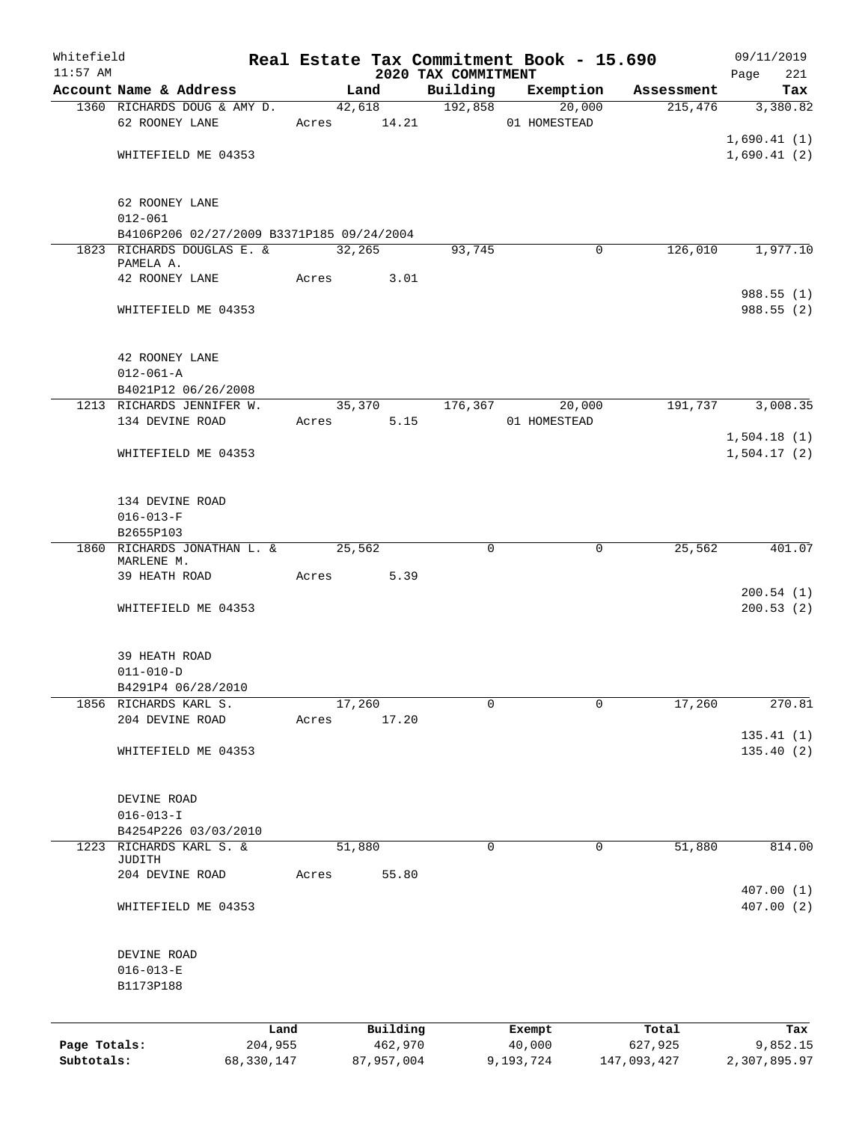| Whitefield   |                                           |            |       |        |            |                                 | Real Estate Tax Commitment Book - 15.690 |                        | 09/11/2019                 |
|--------------|-------------------------------------------|------------|-------|--------|------------|---------------------------------|------------------------------------------|------------------------|----------------------------|
| $11:57$ AM   | Account Name & Address                    |            |       | Land   |            | 2020 TAX COMMITMENT<br>Building | Exemption                                | Assessment             | Page<br>221<br>Tax         |
|              | 1360 RICHARDS DOUG & AMY D.               |            |       |        | 42,618     | 192,858                         | 20,000                                   | 215,476                | 3,380.82                   |
|              | 62 ROONEY LANE                            |            |       |        |            | Acres 14.21                     | 01 HOMESTEAD                             |                        |                            |
|              |                                           |            |       |        |            |                                 |                                          |                        | 1,690.41(1)                |
|              | WHITEFIELD ME 04353                       |            |       |        |            |                                 |                                          |                        | 1,690.41(2)                |
|              | 62 ROONEY LANE                            |            |       |        |            |                                 |                                          |                        |                            |
|              | $012 - 061$                               |            |       |        |            |                                 |                                          |                        |                            |
|              | B4106P206 02/27/2009 B3371P185 09/24/2004 |            |       |        |            |                                 |                                          |                        |                            |
|              | 1823 RICHARDS DOUGLAS E. &<br>PAMELA A.   |            |       | 32,265 |            | 93,745                          |                                          | 126,010<br>$\mathbf 0$ | 1,977.10                   |
|              | 42 ROONEY LANE                            |            |       |        | Acres 3.01 |                                 |                                          |                        |                            |
|              |                                           |            |       |        |            |                                 |                                          |                        | 988.55(1)                  |
|              | WHITEFIELD ME 04353                       |            |       |        |            |                                 |                                          |                        | 988.55(2)                  |
|              | 42 ROONEY LANE                            |            |       |        |            |                                 |                                          |                        |                            |
|              | $012 - 061 - A$                           |            |       |        |            |                                 |                                          |                        |                            |
|              | B4021P12 06/26/2008                       |            |       |        |            |                                 |                                          |                        |                            |
|              | 1213 RICHARDS JENNIFER W.                 |            |       |        | 35,370     | 176,367                         | 20,000                                   | 191,737                | 3,008.35                   |
|              | 134 DEVINE ROAD                           |            |       |        | Acres 5.15 |                                 | 01 HOMESTEAD                             |                        |                            |
|              | WHITEFIELD ME 04353                       |            |       |        |            |                                 |                                          |                        | 1,504.18(1)<br>1,504.17(2) |
|              |                                           |            |       |        |            |                                 |                                          |                        |                            |
|              | 134 DEVINE ROAD                           |            |       |        |            |                                 |                                          |                        |                            |
|              | $016 - 013 - F$                           |            |       |        |            |                                 |                                          |                        |                            |
|              | B2655P103                                 |            |       |        |            |                                 |                                          |                        |                            |
|              | 1860 RICHARDS JONATHAN L. &               |            |       | 25,562 |            | 0                               |                                          | 25,562<br>0            | 401.07                     |
|              | MARLENE M.<br>39 HEATH ROAD               |            |       |        | 5.39       |                                 |                                          |                        |                            |
|              |                                           |            | Acres |        |            |                                 |                                          |                        | 200.54(1)                  |
|              | WHITEFIELD ME 04353                       |            |       |        |            |                                 |                                          |                        | 200.53(2)                  |
|              |                                           |            |       |        |            |                                 |                                          |                        |                            |
|              | 39 HEATH ROAD                             |            |       |        |            |                                 |                                          |                        |                            |
|              | $011 - 010 - D$                           |            |       |        |            |                                 |                                          |                        |                            |
|              | B4291P4 06/28/2010                        |            |       |        |            |                                 |                                          |                        |                            |
| 1856         | RICHARDS KARL S.<br>204 DEVINE ROAD       |            | Acres | 17,260 | 17.20      | 0                               |                                          | 17,260<br>0            | 270.81                     |
|              |                                           |            |       |        |            |                                 |                                          |                        | 135.41(1)                  |
|              | WHITEFIELD ME 04353                       |            |       |        |            |                                 |                                          |                        | 135.40(2)                  |
|              |                                           |            |       |        |            |                                 |                                          |                        |                            |
|              | DEVINE ROAD                               |            |       |        |            |                                 |                                          |                        |                            |
|              | $016 - 013 - I$                           |            |       |        |            |                                 |                                          |                        |                            |
|              | B4254P226 03/03/2010                      |            |       |        |            |                                 |                                          |                        |                            |
| 1223         | RICHARDS KARL S. &<br>JUDITH              |            |       | 51,880 |            | $\mathsf{O}$                    |                                          | 0<br>51,880            | 814.00                     |
|              | 204 DEVINE ROAD                           |            | Acres |        | 55.80      |                                 |                                          |                        |                            |
|              |                                           |            |       |        |            |                                 |                                          |                        | 407.00(1)                  |
|              | WHITEFIELD ME 04353                       |            |       |        |            |                                 |                                          |                        | 407.00(2)                  |
|              | DEVINE ROAD                               |            |       |        |            |                                 |                                          |                        |                            |
|              | $016 - 013 - E$                           |            |       |        |            |                                 |                                          |                        |                            |
|              | B1173P188                                 |            |       |        |            |                                 |                                          |                        |                            |
|              |                                           |            |       |        |            |                                 |                                          |                        |                            |
|              |                                           | Land       |       |        | Building   |                                 | Exempt                                   | Total                  | Tax                        |
| Page Totals: |                                           | 204,955    |       |        | 462,970    |                                 | 40,000                                   | 627,925                | 9,852.15                   |
| Subtotals:   |                                           | 68,330,147 |       |        | 87,957,004 |                                 | 9,193,724                                | 147,093,427            | 2,307,895.97               |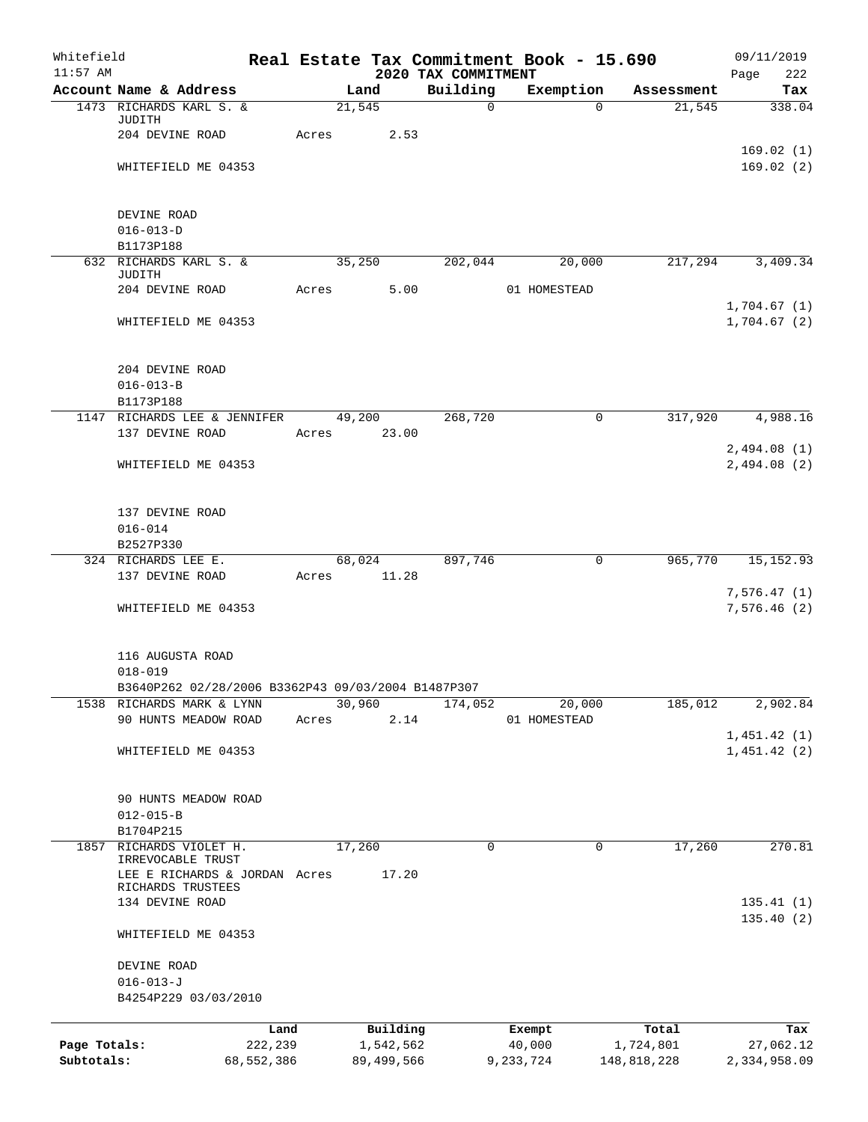| Whitefield<br>$11:57$ AM   |                                                    |                       |       |                           | 2020 TAX COMMITMENT | Real Estate Tax Commitment Book - 15.690 |                          | 09/11/2019<br>Page<br>222 |
|----------------------------|----------------------------------------------------|-----------------------|-------|---------------------------|---------------------|------------------------------------------|--------------------------|---------------------------|
|                            | Account Name & Address                             |                       |       | Land                      | Building            | Exemption                                | Assessment               | Tax                       |
|                            | 1473 RICHARDS KARL S. &                            |                       |       | 21,545                    | $\mathbf 0$         |                                          | 21,545<br>$\Omega$       | 338.04                    |
|                            | JUDITH                                             |                       |       |                           |                     |                                          |                          |                           |
|                            | 204 DEVINE ROAD                                    |                       | Acres | 2.53                      |                     |                                          |                          | 169.02(1)                 |
|                            | WHITEFIELD ME 04353                                |                       |       |                           |                     |                                          |                          | 169.02(2)                 |
|                            |                                                    |                       |       |                           |                     |                                          |                          |                           |
|                            |                                                    |                       |       |                           |                     |                                          |                          |                           |
|                            | DEVINE ROAD                                        |                       |       |                           |                     |                                          |                          |                           |
|                            | $016 - 013 - D$<br>B1173P188                       |                       |       |                           |                     |                                          |                          |                           |
|                            | 632 RICHARDS KARL S. &                             |                       |       | 35,250                    | 202,044             | 20,000                                   | 217,294                  | 3,409.34                  |
|                            | JUDITH                                             |                       |       |                           |                     |                                          |                          |                           |
|                            | 204 DEVINE ROAD                                    |                       | Acres | 5.00                      |                     | 01 HOMESTEAD                             |                          |                           |
|                            |                                                    |                       |       |                           |                     |                                          |                          | 1,704.67(1)               |
|                            | WHITEFIELD ME 04353                                |                       |       |                           |                     |                                          |                          | 1,704.67(2)               |
|                            | 204 DEVINE ROAD                                    |                       |       |                           |                     |                                          |                          |                           |
|                            | $016 - 013 - B$                                    |                       |       |                           |                     |                                          |                          |                           |
|                            | B1173P188                                          |                       |       |                           |                     |                                          |                          |                           |
|                            | 1147 RICHARDS LEE & JENNIFER                       |                       |       | 49,200                    | 268,720             |                                          | 317,920<br>0             | 4,988.16                  |
|                            | 137 DEVINE ROAD                                    |                       |       | Acres 23.00               |                     |                                          |                          |                           |
|                            |                                                    |                       |       |                           |                     |                                          |                          | 2,494.08(1)               |
|                            | WHITEFIELD ME 04353                                |                       |       |                           |                     |                                          |                          | 2,494.08 (2)              |
|                            | 137 DEVINE ROAD                                    |                       |       |                           |                     |                                          |                          |                           |
|                            | $016 - 014$                                        |                       |       |                           |                     |                                          |                          |                           |
|                            | B2527P330                                          |                       |       |                           |                     |                                          |                          |                           |
|                            | 324 RICHARDS LEE E.                                |                       |       |                           | 68,024 897,746      |                                          | 0                        | 965,770 15,152.93         |
|                            | 137 DEVINE ROAD                                    |                       |       | Acres 11.28               |                     |                                          |                          |                           |
|                            |                                                    |                       |       |                           |                     |                                          |                          | 7,576.47(1)               |
|                            | WHITEFIELD ME 04353                                |                       |       |                           |                     |                                          |                          | 7,576.46 (2)              |
|                            | 116 AUGUSTA ROAD                                   |                       |       |                           |                     |                                          |                          |                           |
|                            | $018 - 019$                                        |                       |       |                           |                     |                                          |                          |                           |
|                            | B3640P262 02/28/2006 B3362P43 09/03/2004 B1487P307 |                       |       |                           |                     |                                          |                          |                           |
|                            | 1538 RICHARDS MARK & LYNN                          |                       |       | 30,960                    | 174,052             | 20,000                                   | 185,012                  | 2,902.84                  |
|                            | 90 HUNTS MEADOW ROAD                               |                       | Acres | 2.14                      |                     | 01 HOMESTEAD                             |                          |                           |
|                            |                                                    |                       |       |                           |                     |                                          |                          | 1,451.42(1)               |
|                            | WHITEFIELD ME 04353                                |                       |       |                           |                     |                                          |                          | 1,451.42(2)               |
|                            | 90 HUNTS MEADOW ROAD                               |                       |       |                           |                     |                                          |                          |                           |
|                            | $012 - 015 - B$                                    |                       |       |                           |                     |                                          |                          |                           |
|                            | B1704P215                                          |                       |       |                           |                     |                                          |                          |                           |
| 1857                       | RICHARDS VIOLET H.                                 |                       |       | 17,260                    | 0                   |                                          | $\mathbf 0$<br>17,260    | 270.81                    |
|                            | IRREVOCABLE TRUST                                  |                       |       |                           |                     |                                          |                          |                           |
|                            | LEE E RICHARDS & JORDAN Acres<br>RICHARDS TRUSTEES |                       |       | 17.20                     |                     |                                          |                          |                           |
|                            | 134 DEVINE ROAD                                    |                       |       |                           |                     |                                          |                          | 135.41(1)<br>135.40(2)    |
|                            | WHITEFIELD ME 04353                                |                       |       |                           |                     |                                          |                          |                           |
|                            | DEVINE ROAD                                        |                       |       |                           |                     |                                          |                          |                           |
|                            | $016 - 013 - J$                                    |                       |       |                           |                     |                                          |                          |                           |
|                            | B4254P229 03/03/2010                               |                       |       |                           |                     |                                          |                          |                           |
|                            |                                                    | Land                  |       | Building                  |                     | Exempt                                   | Total                    | Tax                       |
| Page Totals:<br>Subtotals: |                                                    | 222,239<br>68,552,386 |       | 1,542,562<br>89, 499, 566 |                     | 40,000<br>9,233,724                      | 1,724,801<br>148,818,228 | 27,062.12<br>2,334,958.09 |
|                            |                                                    |                       |       |                           |                     |                                          |                          |                           |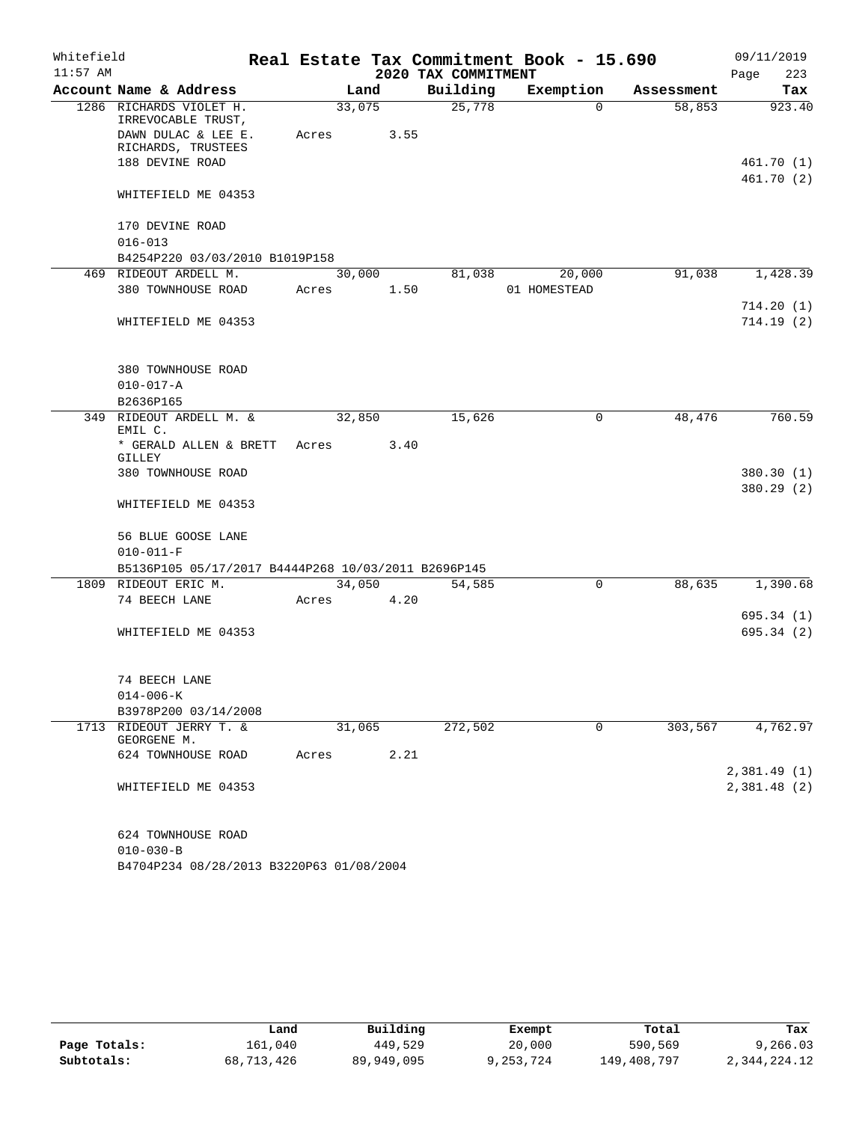| Whitefield |                                                                      |        |                |                     | Real Estate Tax Commitment Book - 15.690 |            | 09/11/2019  |
|------------|----------------------------------------------------------------------|--------|----------------|---------------------|------------------------------------------|------------|-------------|
| $11:57$ AM |                                                                      |        |                | 2020 TAX COMMITMENT |                                          |            | 223<br>Page |
|            | Account Name & Address                                               |        | Land           | Building            | Exemption                                | Assessment | Tax         |
|            | 1286 RICHARDS VIOLET H.<br>IRREVOCABLE TRUST,<br>DAWN DULAC & LEE E. | Acres  | 33,075<br>3.55 | 25,778              | $\Omega$                                 | 58,853     | 923.40      |
|            | RICHARDS, TRUSTEES                                                   |        |                |                     |                                          |            |             |
|            | 188 DEVINE ROAD                                                      |        |                |                     |                                          |            | 461.70(1)   |
|            |                                                                      |        |                |                     |                                          |            | 461.70 (2)  |
|            | WHITEFIELD ME 04353                                                  |        |                |                     |                                          |            |             |
|            | 170 DEVINE ROAD                                                      |        |                |                     |                                          |            |             |
|            | $016 - 013$                                                          |        |                |                     |                                          |            |             |
|            | B4254P220 03/03/2010 B1019P158                                       |        |                |                     |                                          |            |             |
|            | 469 RIDEOUT ARDELL M.                                                |        | 30,000         | 81,038              | 20,000                                   | 91,038     | 1,428.39    |
|            | 380 TOWNHOUSE ROAD                                                   | Acres  | 1.50           |                     | 01 HOMESTEAD                             |            |             |
|            |                                                                      |        |                |                     |                                          |            | 714.20(1)   |
|            | WHITEFIELD ME 04353                                                  |        |                |                     |                                          |            | 714.19(2)   |
|            |                                                                      |        |                |                     |                                          |            |             |
|            | 380 TOWNHOUSE ROAD                                                   |        |                |                     |                                          |            |             |
|            | $010 - 017 - A$                                                      |        |                |                     |                                          |            |             |
|            | B2636P165                                                            |        |                |                     |                                          |            |             |
|            | 349 RIDEOUT ARDELL M. &<br>EMIL C.                                   |        | 32,850         | 15,626              | 0                                        | 48,476     | 760.59      |
|            | * GERALD ALLEN & BRETT<br>GILLEY                                     | Acres  | 3.40           |                     |                                          |            |             |
|            | 380 TOWNHOUSE ROAD                                                   |        |                |                     |                                          |            | 380.30 (1)  |
|            |                                                                      |        |                |                     |                                          |            | 380.29(2)   |
|            | WHITEFIELD ME 04353                                                  |        |                |                     |                                          |            |             |
|            | 56 BLUE GOOSE LANE                                                   |        |                |                     |                                          |            |             |
|            | $010 - 011 - F$                                                      |        |                |                     |                                          |            |             |
|            | B5136P105 05/17/2017 B4444P268 10/03/2011 B2696P145                  |        |                |                     |                                          |            |             |
|            | 1809 RIDEOUT ERIC M.                                                 |        | 34,050         | 54,585              | 0                                        | 88,635     | 1,390.68    |
|            | 74 BEECH LANE                                                        | Acres  | 4.20           |                     |                                          |            |             |
|            |                                                                      |        |                |                     |                                          |            | 695.34(1)   |
|            | WHITEFIELD ME 04353                                                  |        |                |                     |                                          |            | 695.34(2)   |
|            | 74 BEECH LANE                                                        |        |                |                     |                                          |            |             |
|            | $014 - 006 - K$                                                      |        |                |                     |                                          |            |             |
|            | B3978P200 03/14/2008                                                 |        |                |                     |                                          |            |             |
|            | 1713 RIDEOUT JERRY T. &                                              | 31,065 |                | 272,502             | $\mathbf 0$                              | 303,567    | 4,762.97    |
|            | GEORGENE M.                                                          |        |                |                     |                                          |            |             |
|            | 624 TOWNHOUSE ROAD                                                   | Acres  | 2.21           |                     |                                          |            |             |
|            |                                                                      |        |                |                     |                                          |            | 2,381.49(1) |
|            | WHITEFIELD ME 04353                                                  |        |                |                     |                                          |            | 2,381.48(2) |
|            | 624 TOWNHOUSE ROAD                                                   |        |                |                     |                                          |            |             |
|            | $010 - 030 - B$                                                      |        |                |                     |                                          |            |             |
|            | B4704P234 08/28/2013 B3220P63 01/08/2004                             |        |                |                     |                                          |            |             |

|              | Land       | Building   | Exempt    | Total       | Tax          |
|--------------|------------|------------|-----------|-------------|--------------|
| Page Totals: | 161,040    | 449,529    | 20,000    | 590,569     | 9,266.03     |
| Subtotals:   | 68,713,426 | 89,949,095 | 9,253,724 | 149,408,797 | 2,344,224.12 |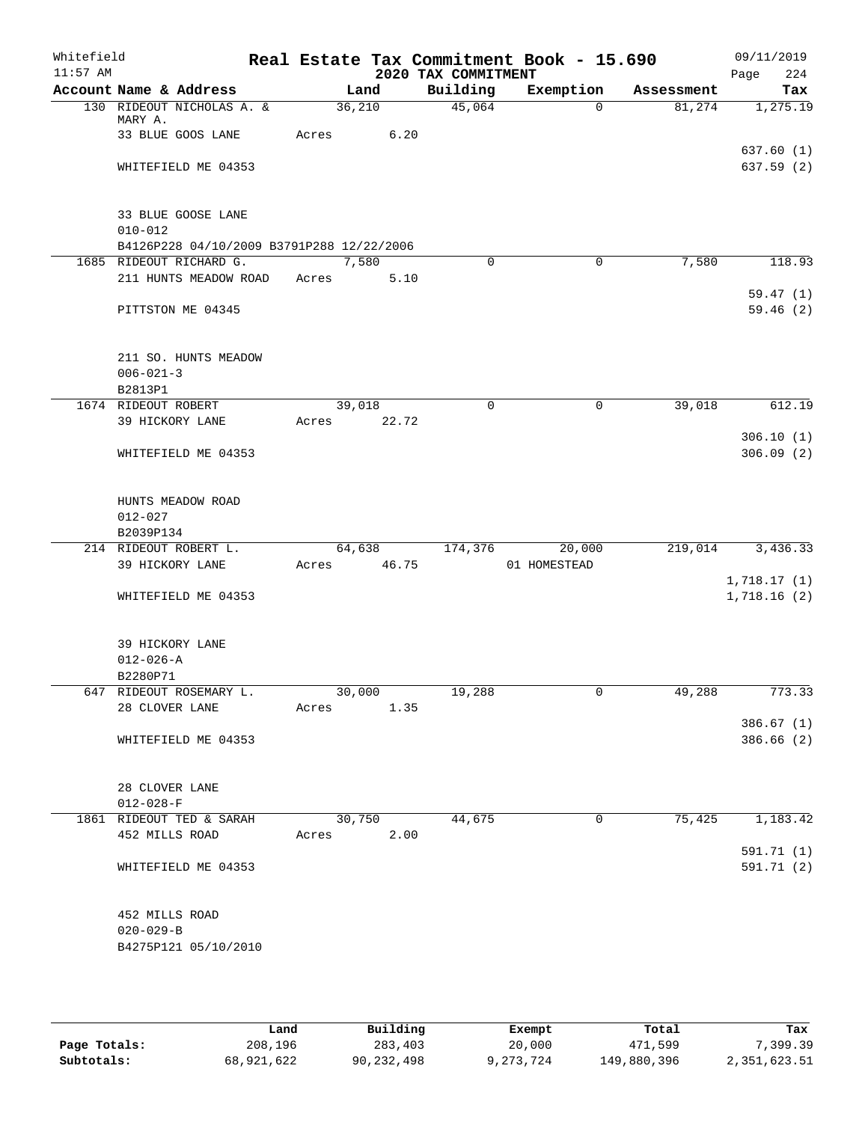| Whitefield<br>$11:57$ AM |                                               |                                           |       |        |       | 2020 TAX COMMITMENT | Real Estate Tax Commitment Book - 15.690 |            | 09/11/2019<br>Page<br>224  |
|--------------------------|-----------------------------------------------|-------------------------------------------|-------|--------|-------|---------------------|------------------------------------------|------------|----------------------------|
|                          | Account Name & Address                        |                                           |       | Land   |       | Building            | Exemption                                | Assessment | Tax                        |
|                          | MARY A.                                       | 130 RIDEOUT NICHOLAS A. &                 |       | 36,210 |       | 45,064              | $\Omega$                                 | 81,274     | 1,275.19                   |
|                          | 33 BLUE GOOS LANE                             |                                           | Acres |        | 6.20  |                     |                                          |            |                            |
|                          | WHITEFIELD ME 04353                           |                                           |       |        |       |                     |                                          |            | 637.60(1)<br>637.59 (2)    |
|                          | 33 BLUE GOOSE LANE<br>$010 - 012$             | B4126P228 04/10/2009 B3791P288 12/22/2006 |       |        |       |                     |                                          |            |                            |
|                          | 1685 RIDEOUT RICHARD G.                       |                                           |       | 7,580  |       | $\Omega$            | $\Omega$                                 | 7,580      | 118.93                     |
|                          |                                               | 211 HUNTS MEADOW ROAD                     | Acres |        | 5.10  |                     |                                          |            |                            |
|                          |                                               |                                           |       |        |       |                     |                                          |            | 59.47(1)                   |
|                          | PITTSTON ME 04345                             |                                           |       |        |       |                     |                                          |            | 59.46(2)                   |
|                          | $006 - 021 - 3$                               | 211 SO. HUNTS MEADOW                      |       |        |       |                     |                                          |            |                            |
|                          | B2813P1<br>1674 RIDEOUT ROBERT                |                                           |       | 39,018 |       | 0                   | 0                                        | 39,018     | 612.19                     |
|                          | 39 HICKORY LANE                               |                                           | Acres |        | 22.72 |                     |                                          |            |                            |
|                          |                                               |                                           |       |        |       |                     |                                          |            | 306.10(1)                  |
|                          | WHITEFIELD ME 04353                           |                                           |       |        |       |                     |                                          |            | 306.09(2)                  |
|                          | HUNTS MEADOW ROAD<br>$012 - 027$<br>B2039P134 |                                           |       |        |       |                     |                                          |            |                            |
|                          | 214 RIDEOUT ROBERT L.                         |                                           |       | 64,638 |       | 174,376             | 20,000                                   | 219,014    | 3,436.33                   |
|                          | 39 HICKORY LANE                               |                                           | Acres |        | 46.75 |                     | 01 HOMESTEAD                             |            |                            |
|                          | WHITEFIELD ME 04353                           |                                           |       |        |       |                     |                                          |            | 1,718.17(1)<br>1,718.16(2) |
|                          | 39 HICKORY LANE<br>$012 - 026 - A$            |                                           |       |        |       |                     |                                          |            |                            |
|                          | B2280P71                                      |                                           |       | 30,000 |       |                     |                                          |            |                            |
|                          | 647 RIDEOUT ROSEMARY L.<br>28 CLOVER LANE     |                                           | Acres |        | 1.35  | 19,288              | 0                                        | 49,288     | 773.33                     |
|                          |                                               |                                           |       |        |       |                     |                                          |            | 386.67(1)                  |
|                          | WHITEFIELD ME 04353                           |                                           |       |        |       |                     |                                          |            | 386.66 (2)                 |
|                          | 28 CLOVER LANE<br>$012 - 028 - F$             |                                           |       |        |       |                     |                                          |            |                            |
|                          | 1861 RIDEOUT TED & SARAH                      |                                           |       | 30,750 |       | 44,675              | $\mathbf 0$                              | 75,425     | 1,183.42                   |
|                          | 452 MILLS ROAD                                |                                           | Acres |        | 2.00  |                     |                                          |            |                            |
|                          | WHITEFIELD ME 04353                           |                                           |       |        |       |                     |                                          |            | 591.71 (1)<br>591.71 (2)   |
|                          | 452 MILLS ROAD<br>$020 - 029 - B$             | B4275P121 05/10/2010                      |       |        |       |                     |                                          |            |                            |

|              | Land       | Building   | Exempt    | Total       | Tax          |
|--------------|------------|------------|-----------|-------------|--------------|
| Page Totals: | 208,196    | 283,403    | 20,000    | 471,599     | , 399.39     |
| Subtotals:   | 68,921,622 | 90,232,498 | 9,273,724 | 149,880,396 | 2,351,623.51 |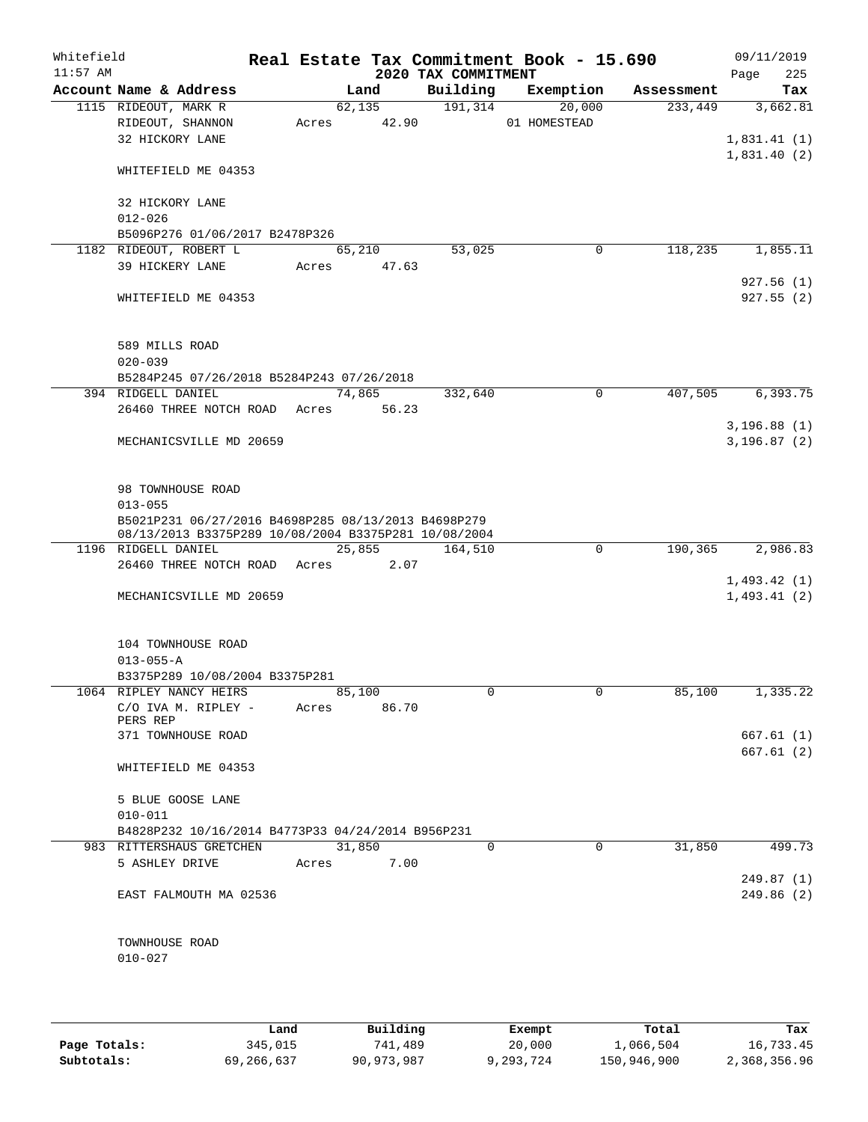| Whitefield<br>$11:57$ AM |                                                                                                             |                |       | 2020 TAX COMMITMENT | Real Estate Tax Commitment Book - 15.690 |            | 09/11/2019<br>225<br>Page    |
|--------------------------|-------------------------------------------------------------------------------------------------------------|----------------|-------|---------------------|------------------------------------------|------------|------------------------------|
|                          | Account Name & Address                                                                                      | Land           |       | Building            | Exemption                                | Assessment | Tax                          |
|                          | 1115 RIDEOUT, MARK R                                                                                        | 62, 135        |       | 191,314             | 20,000                                   | 233,449    | 3,662.81                     |
|                          | RIDEOUT, SHANNON                                                                                            | 42.90<br>Acres |       |                     | 01 HOMESTEAD                             |            |                              |
|                          | 32 HICKORY LANE                                                                                             |                |       |                     |                                          |            | 1,831.41(1)                  |
|                          | WHITEFIELD ME 04353                                                                                         |                |       |                     |                                          |            | 1,831.40(2)                  |
|                          | 32 HICKORY LANE                                                                                             |                |       |                     |                                          |            |                              |
|                          | $012 - 026$                                                                                                 |                |       |                     |                                          |            |                              |
|                          | B5096P276 01/06/2017 B2478P326                                                                              |                |       |                     |                                          |            |                              |
|                          | 1182 RIDEOUT, ROBERT L<br>39 HICKERY LANE                                                                   | 65,210         |       | 53,025              | $\overline{0}$                           | 118,235    | 1,855.11                     |
|                          |                                                                                                             | Acres 47.63    |       |                     |                                          |            | 927.56(1)                    |
|                          | WHITEFIELD ME 04353                                                                                         |                |       |                     |                                          |            | 927.55(2)                    |
|                          | 589 MILLS ROAD                                                                                              |                |       |                     |                                          |            |                              |
|                          | $020 - 039$                                                                                                 |                |       |                     |                                          |            |                              |
|                          | B5284P245 07/26/2018 B5284P243 07/26/2018                                                                   |                |       |                     |                                          |            |                              |
|                          | 394 RIDGELL DANIEL                                                                                          | 74,865         |       | 332,640             | 0                                        | 407,505    | 6,393.75                     |
|                          | 26460 THREE NOTCH ROAD                                                                                      | Acres          | 56.23 |                     |                                          |            |                              |
|                          | MECHANICSVILLE MD 20659                                                                                     |                |       |                     |                                          |            | 3, 196.88(1)<br>3, 196.87(2) |
|                          | 98 TOWNHOUSE ROAD                                                                                           |                |       |                     |                                          |            |                              |
|                          | $013 - 055$                                                                                                 |                |       |                     |                                          |            |                              |
|                          | B5021P231 06/27/2016 B4698P285 08/13/2013 B4698P279<br>08/13/2013 B3375P289 10/08/2004 B3375P281 10/08/2004 |                |       |                     |                                          |            |                              |
|                          | 1196 RIDGELL DANIEL                                                                                         | 25,855         |       | 164,510             | $\mathbf 0$                              | 190,365    | 2,986.83                     |
|                          | 26460 THREE NOTCH ROAD Acres                                                                                |                | 2.07  |                     |                                          |            |                              |
|                          |                                                                                                             |                |       |                     |                                          |            | 1,493.42(1)                  |
|                          | MECHANICSVILLE MD 20659                                                                                     |                |       |                     |                                          |            | 1,493.41(2)                  |
|                          | 104 TOWNHOUSE ROAD                                                                                          |                |       |                     |                                          |            |                              |
|                          | $013 - 055 - A$<br>B3375P289 10/08/2004 B3375P281                                                           |                |       |                     |                                          |            |                              |
|                          | 1064 RIPLEY NANCY HEIRS                                                                                     | 85,100         |       | 0                   | 0                                        | 85,100     | 1,335.22                     |
|                          | C/O IVA M. RIPLEY -<br>PERS REP                                                                             | Acres          | 86.70 |                     |                                          |            |                              |
|                          | 371 TOWNHOUSE ROAD                                                                                          |                |       |                     |                                          |            | 667.61 (1)                   |
|                          |                                                                                                             |                |       |                     |                                          |            | 667.61(2)                    |
|                          | WHITEFIELD ME 04353                                                                                         |                |       |                     |                                          |            |                              |
|                          | 5 BLUE GOOSE LANE<br>$010 - 011$                                                                            |                |       |                     |                                          |            |                              |
|                          | B4828P232 10/16/2014 B4773P33 04/24/2014 B956P231                                                           |                |       |                     |                                          |            |                              |
|                          | 983 RITTERSHAUS GRETCHEN                                                                                    | 31,850         |       | 0                   | 0                                        | 31,850     | 499.73                       |
|                          | 5 ASHLEY DRIVE                                                                                              | Acres          | 7.00  |                     |                                          |            |                              |
|                          |                                                                                                             |                |       |                     |                                          |            | 249.87 (1)                   |
|                          | EAST FALMOUTH MA 02536                                                                                      |                |       |                     |                                          |            | 249.86(2)                    |
|                          | TOWNHOUSE ROAD                                                                                              |                |       |                     |                                          |            |                              |
|                          | $010 - 027$                                                                                                 |                |       |                     |                                          |            |                              |
|                          |                                                                                                             |                |       |                     |                                          |            |                              |
|                          |                                                                                                             |                |       |                     |                                          |            |                              |

|              | Land       | Building   | Exempt    | Total       | Tax          |
|--------------|------------|------------|-----------|-------------|--------------|
| Page Totals: | 345,015    | 741,489    | 20,000    | 1,066,504   | 16,733.45    |
| Subtotals:   | 69,266,637 | 90,973,987 | 9,293,724 | 150,946,900 | 2,368,356.96 |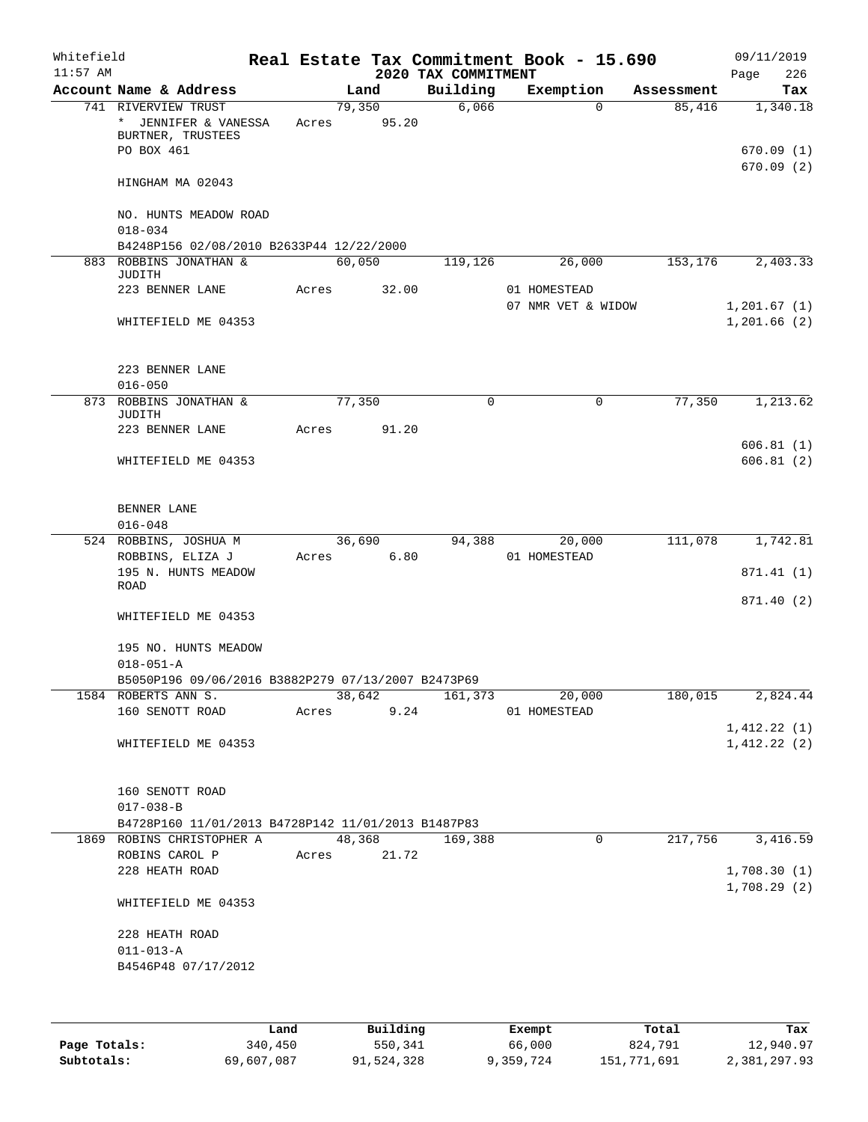| Whitefield<br>$11:57$ AM |                                                                                |       |        |             | 2020 TAX COMMITMENT | Real Estate Tax Commitment Book - 15.690 |            | 09/11/2019<br>226<br>Page  |
|--------------------------|--------------------------------------------------------------------------------|-------|--------|-------------|---------------------|------------------------------------------|------------|----------------------------|
|                          | Account Name & Address                                                         |       | Land   |             | Building            | Exemption                                | Assessment | Tax                        |
|                          | 741 RIVERVIEW TRUST<br>* JENNIFER & VANESSA<br>BURTNER, TRUSTEES<br>PO BOX 461 | Acres | 79,350 | 95.20       | 6,066               | $\Omega$                                 | 85,416     | 1,340.18<br>670.09(1)      |
|                          | HINGHAM MA 02043                                                               |       |        |             |                     |                                          |            | 670.09(2)                  |
|                          | NO. HUNTS MEADOW ROAD<br>$018 - 034$                                           |       |        |             |                     |                                          |            |                            |
|                          | B4248P156 02/08/2010 B2633P44 12/22/2000<br>883 ROBBINS JONATHAN &             |       | 60,050 |             | 119,126             | 26,000                                   | 153,176    | 2,403.33                   |
|                          | JUDITH                                                                         |       |        |             |                     |                                          |            |                            |
|                          | 223 BENNER LANE                                                                | Acres |        | 32.00       |                     | 01 HOMESTEAD<br>07 NMR VET & WIDOW       |            | 1,201.67(1)                |
|                          | WHITEFIELD ME 04353                                                            |       |        |             |                     |                                          |            | 1,201.66(2)                |
|                          | 223 BENNER LANE                                                                |       |        |             |                     |                                          |            |                            |
|                          | $016 - 050$                                                                    |       |        |             |                     |                                          |            |                            |
|                          | 873 ROBBINS JONATHAN &<br><b>JUDITH</b>                                        |       | 77,350 |             | $\Omega$            | $\Omega$                                 | 77,350     | 1,213.62                   |
|                          | 223 BENNER LANE                                                                | Acres |        | 91.20       |                     |                                          |            | 606.81(1)                  |
|                          | WHITEFIELD ME 04353                                                            |       |        |             |                     |                                          |            | 606.81(2)                  |
|                          | BENNER LANE                                                                    |       |        |             |                     |                                          |            |                            |
|                          | $016 - 048$                                                                    |       |        |             |                     |                                          |            |                            |
|                          | 524 ROBBINS, JOSHUA M                                                          |       | 36,690 | 6.80        | 94,388              | 20,000                                   | 111,078    | 1,742.81                   |
|                          | ROBBINS, ELIZA J<br>195 N. HUNTS MEADOW<br>ROAD                                | Acres |        |             |                     | 01 HOMESTEAD                             |            | 871.41 (1)                 |
|                          |                                                                                |       |        |             |                     |                                          |            | 871.40 (2)                 |
|                          | WHITEFIELD ME 04353                                                            |       |        |             |                     |                                          |            |                            |
|                          | 195 NO. HUNTS MEADOW<br>$018 - 051 - A$                                        |       |        |             |                     |                                          |            |                            |
|                          | B5050P196 09/06/2016 B3882P279 07/13/2007 B2473P69                             |       |        |             |                     |                                          |            |                            |
|                          | 1584 ROBERTS ANN S.                                                            |       |        | 38,642      |                     | 161,373 20,000                           | 180,015    | 2,824.44                   |
|                          | 160 SENOTT ROAD                                                                |       |        | Acres 9.24  |                     | 01 HOMESTEAD                             |            | 1,412.22(1)                |
|                          | WHITEFIELD ME 04353                                                            |       |        |             |                     |                                          |            | 1,412.22(2)                |
|                          | 160 SENOTT ROAD<br>$017 - 038 - B$                                             |       |        |             |                     |                                          |            |                            |
|                          | B4728P160 11/01/2013 B4728P142 11/01/2013 B1487P83                             |       |        |             |                     |                                          |            |                            |
|                          | 1869 ROBINS CHRISTOPHER A                                                      |       |        |             | 48,368 169,388      | 0                                        | 217,756    | 3,416.59                   |
|                          | ROBINS CAROL P                                                                 |       |        | Acres 21.72 |                     |                                          |            |                            |
|                          | 228 HEATH ROAD                                                                 |       |        |             |                     |                                          |            | 1,708.30(1)<br>1,708.29(2) |
|                          | WHITEFIELD ME 04353                                                            |       |        |             |                     |                                          |            |                            |
|                          | 228 HEATH ROAD                                                                 |       |        |             |                     |                                          |            |                            |
|                          | $011 - 013 - A$                                                                |       |        |             |                     |                                          |            |                            |
|                          | B4546P48 07/17/2012                                                            |       |        |             |                     |                                          |            |                            |
|                          |                                                                                |       |        |             |                     |                                          |            |                            |

|              | Land       | Building   | Exempt    | Total       | Tax          |
|--------------|------------|------------|-----------|-------------|--------------|
| Page Totals: | 340,450    | 550,341    | 66,000    | 824,791     | 12,940.97    |
| Subtotals:   | 69,607,087 | 91,524,328 | 9,359,724 | 151,771,691 | 2,381,297.93 |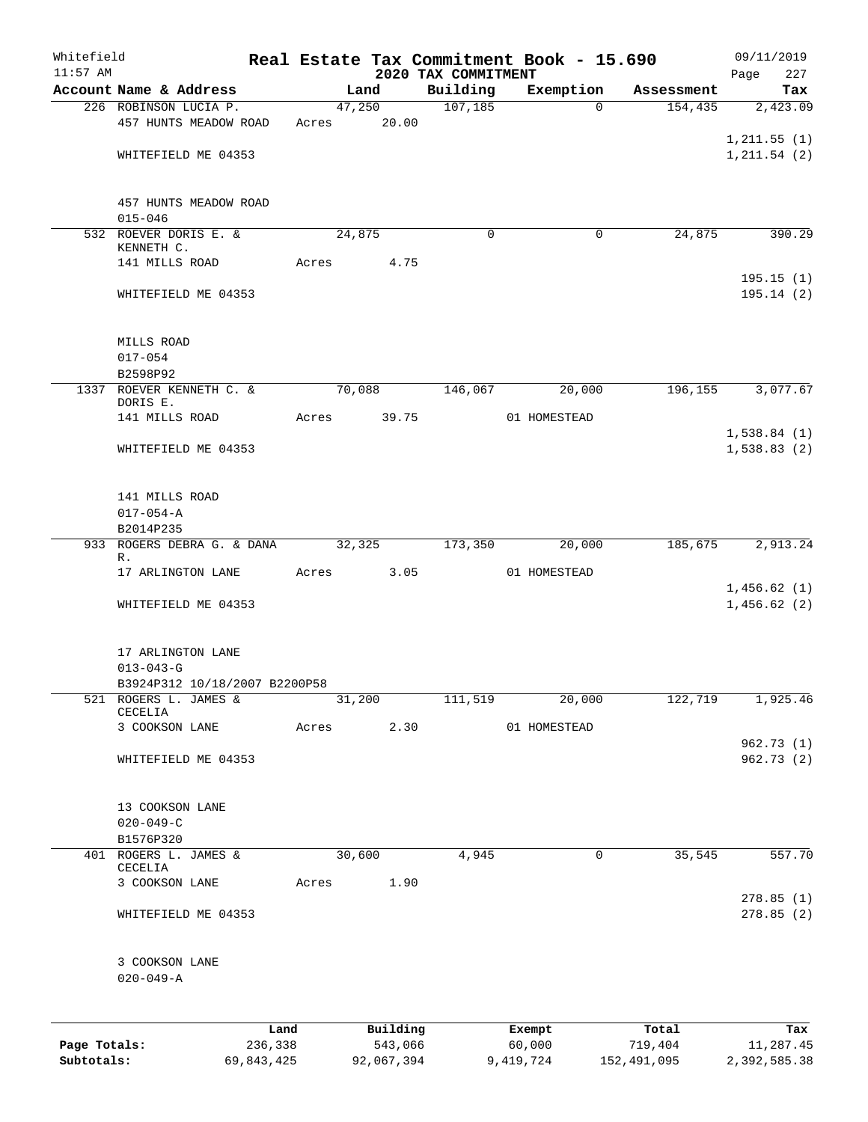| Whitefield                 |                                                        |            |       |                |            |                      | Real Estate Tax Commitment Book - 15.690 |                       | 09/11/2019             |
|----------------------------|--------------------------------------------------------|------------|-------|----------------|------------|----------------------|------------------------------------------|-----------------------|------------------------|
| $11:57$ AM                 | Account Name & Address                                 |            |       |                |            | 2020 TAX COMMITMENT  |                                          |                       | Page<br>227            |
|                            | 226 ROBINSON LUCIA P.                                  |            |       | Land<br>47,250 |            | Building<br>107, 185 | Exemption<br>$\Omega$                    | Assessment<br>154,435 | Tax<br>2,423.09        |
|                            | 457 HUNTS MEADOW ROAD                                  |            | Acres |                | 20.00      |                      |                                          |                       |                        |
|                            |                                                        |            |       |                |            |                      |                                          |                       | 1, 211.55(1)           |
|                            | WHITEFIELD ME 04353                                    |            |       |                |            |                      |                                          |                       | 1, 211.54 (2)          |
|                            |                                                        |            |       |                |            |                      |                                          |                       |                        |
|                            |                                                        |            |       |                |            |                      |                                          |                       |                        |
|                            | 457 HUNTS MEADOW ROAD<br>$015 - 046$                   |            |       |                |            |                      |                                          |                       |                        |
|                            | 532 ROEVER DORIS E. &                                  |            |       | 24,875         |            | 0                    | 0                                        | 24,875                | 390.29                 |
|                            | KENNETH C.                                             |            |       |                |            |                      |                                          |                       |                        |
|                            | 141 MILLS ROAD                                         |            | Acres |                | 4.75       |                      |                                          |                       |                        |
|                            | WHITEFIELD ME 04353                                    |            |       |                |            |                      |                                          |                       | 195.15(1)<br>195.14(2) |
|                            |                                                        |            |       |                |            |                      |                                          |                       |                        |
|                            |                                                        |            |       |                |            |                      |                                          |                       |                        |
|                            | MILLS ROAD                                             |            |       |                |            |                      |                                          |                       |                        |
|                            | $017 - 054$                                            |            |       |                |            |                      |                                          |                       |                        |
|                            | B2598P92<br>1337 ROEVER KENNETH C. &                   |            |       | 70,088         |            | 146,067              | 20,000                                   | 196,155               | 3,077.67               |
|                            | DORIS E.                                               |            |       |                |            |                      |                                          |                       |                        |
|                            | 141 MILLS ROAD                                         |            | Acres |                | 39.75      |                      | 01 HOMESTEAD                             |                       |                        |
|                            |                                                        |            |       |                |            |                      |                                          |                       | 1,538.84(1)            |
|                            | WHITEFIELD ME 04353                                    |            |       |                |            |                      |                                          |                       | 1,538.83(2)            |
|                            |                                                        |            |       |                |            |                      |                                          |                       |                        |
|                            | 141 MILLS ROAD                                         |            |       |                |            |                      |                                          |                       |                        |
|                            | $017 - 054 - A$                                        |            |       |                |            |                      |                                          |                       |                        |
|                            | B2014P235                                              |            |       |                |            |                      |                                          |                       |                        |
|                            | 933 ROGERS DEBRA G. & DANA<br>R.                       |            |       | 32,325         |            | 173,350              | 20,000                                   | 185,675               | 2,913.24               |
|                            | 17 ARLINGTON LANE                                      |            | Acres |                | 3.05       |                      | 01 HOMESTEAD                             |                       |                        |
|                            |                                                        |            |       |                |            |                      |                                          |                       | 1,456.62(1)            |
|                            | WHITEFIELD ME 04353                                    |            |       |                |            |                      |                                          |                       | 1,456.62(2)            |
|                            |                                                        |            |       |                |            |                      |                                          |                       |                        |
|                            | 17 ARLINGTON LANE                                      |            |       |                |            |                      |                                          |                       |                        |
|                            | $013 - 043 - G$                                        |            |       |                |            |                      |                                          |                       |                        |
|                            | B3924P312 10/18/2007 B2200P58<br>521 ROGERS L. JAMES & |            |       | 31,200         |            | 111,519              | 20,000                                   | 122,719               | 1,925.46               |
|                            | CECELIA                                                |            |       |                |            |                      |                                          |                       |                        |
|                            | 3 COOKSON LANE                                         |            | Acres |                | 2.30       |                      | 01 HOMESTEAD                             |                       |                        |
|                            |                                                        |            |       |                |            |                      |                                          |                       | 962.73 (1)             |
|                            | WHITEFIELD ME 04353                                    |            |       |                |            |                      |                                          |                       | 962.73 (2)             |
|                            |                                                        |            |       |                |            |                      |                                          |                       |                        |
|                            | 13 COOKSON LANE                                        |            |       |                |            |                      |                                          |                       |                        |
|                            | $020 - 049 - C$                                        |            |       |                |            |                      |                                          |                       |                        |
|                            | B1576P320                                              |            |       |                |            |                      |                                          |                       |                        |
|                            | 401 ROGERS L. JAMES &<br>CECELIA                       |            |       | 30,600         |            | 4,945                | 0                                        | 35,545                | 557.70                 |
|                            | 3 COOKSON LANE                                         |            | Acres |                | 1.90       |                      |                                          |                       |                        |
|                            |                                                        |            |       |                |            |                      |                                          |                       | 278.85(1)              |
|                            | WHITEFIELD ME 04353                                    |            |       |                |            |                      |                                          |                       | 278.85(2)              |
|                            |                                                        |            |       |                |            |                      |                                          |                       |                        |
|                            | 3 COOKSON LANE                                         |            |       |                |            |                      |                                          |                       |                        |
|                            | $020 - 049 - A$                                        |            |       |                |            |                      |                                          |                       |                        |
|                            |                                                        |            |       |                |            |                      |                                          |                       |                        |
|                            |                                                        | Land       |       |                | Building   |                      | Exempt                                   | Total                 | Tax                    |
| Page Totals:<br>Subtotals: |                                                        | 236,338    |       |                | 543,066    |                      | 60,000                                   | 719,404               | 11,287.45              |
|                            |                                                        | 69,843,425 |       |                | 92,067,394 |                      | 9,419,724                                | 152,491,095           | 2,392,585.38           |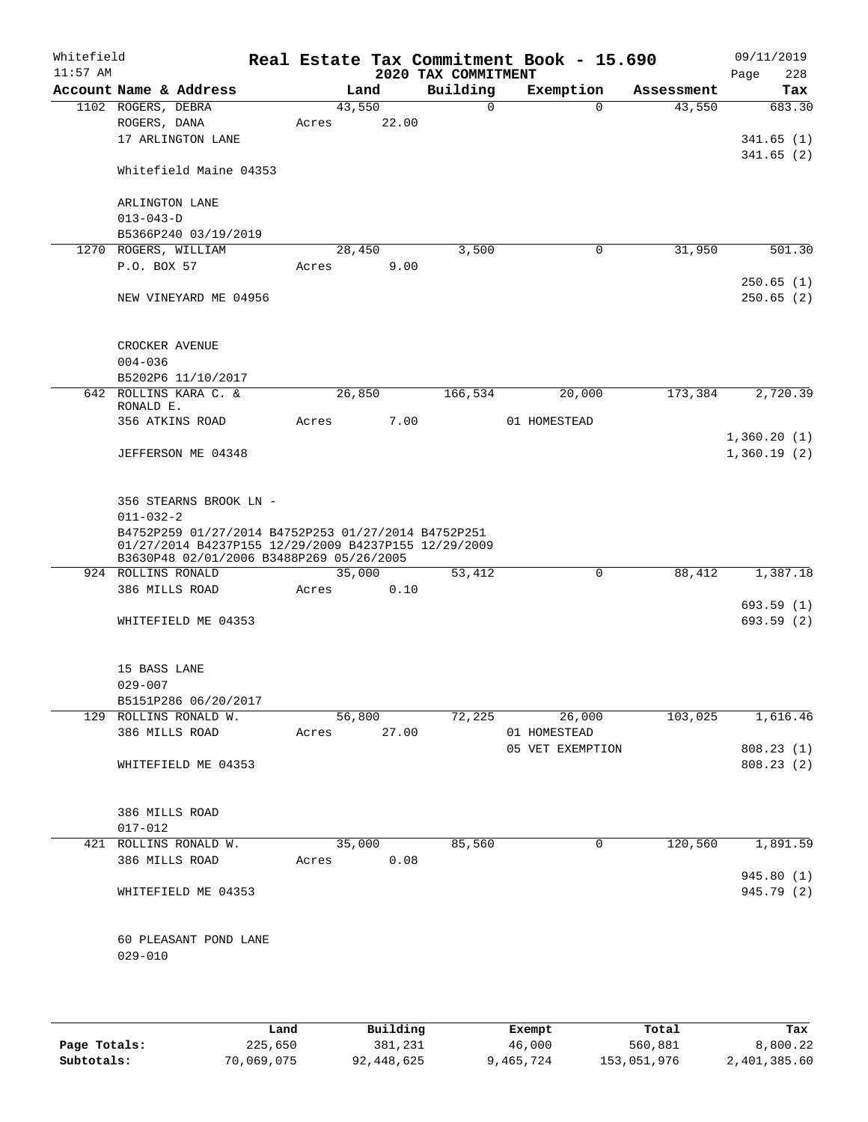| Whitefield<br>$11:57$ AM |                                                                                                                                                          |       |                | 2020 TAX COMMITMENT | Real Estate Tax Commitment Book - 15.690 |            | 09/11/2019<br>228<br>Page  |
|--------------------------|----------------------------------------------------------------------------------------------------------------------------------------------------------|-------|----------------|---------------------|------------------------------------------|------------|----------------------------|
|                          | Account Name & Address                                                                                                                                   |       | Land           | Building            | Exemption                                | Assessment | Tax                        |
|                          | 1102 ROGERS, DEBRA                                                                                                                                       |       | 43,550         | 0                   | $\mathbf 0$                              | 43,550     | 683.30                     |
|                          | ROGERS, DANA                                                                                                                                             | Acres | 22.00          |                     |                                          |            |                            |
|                          | 17 ARLINGTON LANE                                                                                                                                        |       |                |                     |                                          |            | 341.65(1)                  |
|                          | Whitefield Maine 04353                                                                                                                                   |       |                |                     |                                          |            | 341.65(2)                  |
|                          | ARLINGTON LANE                                                                                                                                           |       |                |                     |                                          |            |                            |
|                          | $013 - 043 - D$                                                                                                                                          |       |                |                     |                                          |            |                            |
|                          | B5366P240 03/19/2019                                                                                                                                     |       |                |                     |                                          |            |                            |
|                          | 1270 ROGERS, WILLIAM<br>P.O. BOX 57                                                                                                                      | Acres | 28,450<br>9.00 | 3,500               | 0                                        | 31,950     | 501.30                     |
|                          |                                                                                                                                                          |       |                |                     |                                          |            | 250.65(1)                  |
|                          | NEW VINEYARD ME 04956                                                                                                                                    |       |                |                     |                                          |            | 250.65(2)                  |
|                          | CROCKER AVENUE                                                                                                                                           |       |                |                     |                                          |            |                            |
|                          | $004 - 036$                                                                                                                                              |       |                |                     |                                          |            |                            |
|                          | B5202P6 11/10/2017                                                                                                                                       |       |                |                     |                                          |            |                            |
|                          | 642 ROLLINS KARA C. &<br>RONALD E.                                                                                                                       |       | 26,850         | 166,534             | 20,000                                   | 173,384    | 2,720.39                   |
|                          | 356 ATKINS ROAD                                                                                                                                          | Acres | 7.00           |                     | 01 HOMESTEAD                             |            |                            |
|                          | JEFFERSON ME 04348                                                                                                                                       |       |                |                     |                                          |            | 1,360.20(1)<br>1,360.19(2) |
|                          | 356 STEARNS BROOK LN -<br>$011 - 032 - 2$<br>B4752P259 01/27/2014 B4752P253 01/27/2014 B4752P251<br>01/27/2014 B4237P155 12/29/2009 B4237P155 12/29/2009 |       |                |                     |                                          |            |                            |
|                          | B3630P48 02/01/2006 B3488P269 05/26/2005<br>924 ROLLINS RONALD                                                                                           |       | 35,000         | 53,412              | 0                                        | 88,412     | 1,387.18                   |
|                          | 386 MILLS ROAD                                                                                                                                           | Acres | 0.10           |                     |                                          |            |                            |
|                          |                                                                                                                                                          |       |                |                     |                                          |            | 693.59(1)                  |
|                          | WHITEFIELD ME 04353                                                                                                                                      |       |                |                     |                                          |            | 693.59(2)                  |
|                          | 15 BASS LANE                                                                                                                                             |       |                |                     |                                          |            |                            |
|                          | $029 - 007$                                                                                                                                              |       |                |                     |                                          |            |                            |
|                          | B5151P286 06/20/2017                                                                                                                                     |       |                |                     |                                          |            |                            |
|                          | 129 ROLLINS RONALD W.                                                                                                                                    |       | 56,800         |                     | 72,225<br>26,000                         | 103,025    | 1,616.46                   |
|                          | 386 MILLS ROAD                                                                                                                                           |       | Acres 27.00    |                     | 01 HOMESTEAD                             |            |                            |
|                          |                                                                                                                                                          |       |                |                     | 05 VET EXEMPTION                         |            | 808.23(1)                  |
|                          | WHITEFIELD ME 04353                                                                                                                                      |       |                |                     |                                          |            | 808.23 (2)                 |
|                          | 386 MILLS ROAD                                                                                                                                           |       |                |                     |                                          |            |                            |
|                          | $017 - 012$                                                                                                                                              |       |                |                     |                                          |            |                            |
|                          | 421 ROLLINS RONALD W.                                                                                                                                    |       | 35,000         | 85,560              | 0                                        | 120,560    | 1,891.59                   |
|                          | 386 MILLS ROAD                                                                                                                                           | Acres | 0.08           |                     |                                          |            | 945.80 (1)                 |
|                          | WHITEFIELD ME 04353                                                                                                                                      |       |                |                     |                                          |            | 945.79 (2)                 |
|                          | 60 PLEASANT POND LANE<br>$029 - 010$                                                                                                                     |       |                |                     |                                          |            |                            |
|                          |                                                                                                                                                          |       |                |                     |                                          |            |                            |

|              | Land       | Building   | Exempt    | Total       | Tax          |
|--------------|------------|------------|-----------|-------------|--------------|
| Page Totals: | 225,650    | 381,231    | 46,000    | 560,881     | 8,800.22     |
| Subtotals:   | 70,069,075 | 92,448,625 | 9,465,724 | 153,051,976 | 2,401,385.60 |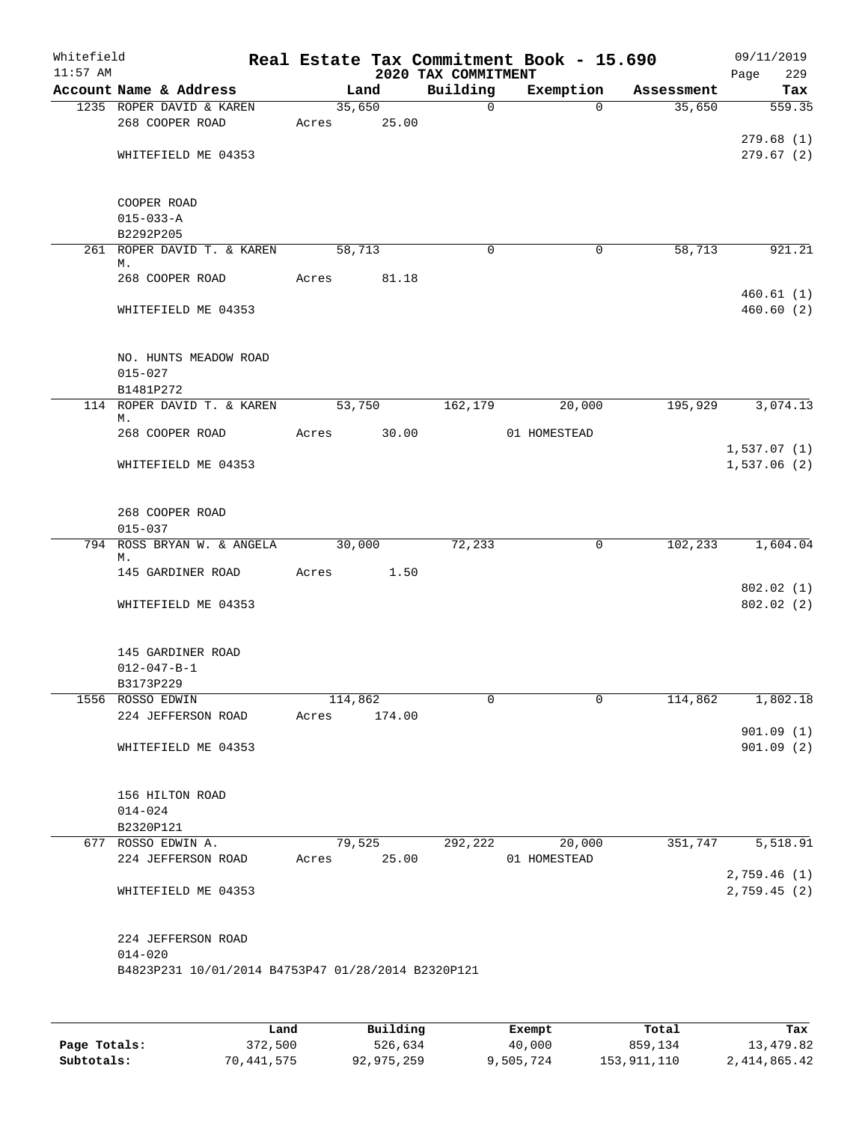| Whitefield<br>$11:57$ AM |                                                                   |       |         |        | 2020 TAX COMMITMENT | Real Estate Tax Commitment Book - 15.690 |            | 09/11/2019<br>229<br>Page |
|--------------------------|-------------------------------------------------------------------|-------|---------|--------|---------------------|------------------------------------------|------------|---------------------------|
|                          | Account Name & Address                                            |       | Land    |        | Building            | Exemption                                | Assessment | Tax                       |
|                          | 1235 ROPER DAVID & KAREN                                          |       | 35,650  |        | $\mathsf{O}$        | $\Omega$                                 | 35,650     | 559.35                    |
|                          | 268 COOPER ROAD                                                   | Acres |         | 25.00  |                     |                                          |            |                           |
|                          |                                                                   |       |         |        |                     |                                          |            | 279.68(1)                 |
|                          | WHITEFIELD ME 04353                                               |       |         |        |                     |                                          |            | 279.67(2)                 |
|                          | COOPER ROAD                                                       |       |         |        |                     |                                          |            |                           |
|                          | $015 - 033 - A$                                                   |       |         |        |                     |                                          |            |                           |
|                          | B2292P205                                                         |       |         |        |                     |                                          |            |                           |
|                          | 261 ROPER DAVID T. & KAREN                                        |       | 58,713  |        | $\mathbf 0$         | 0                                        | 58,713     | 921.21                    |
|                          | М.<br>268 COOPER ROAD                                             | Acres |         | 81.18  |                     |                                          |            |                           |
|                          |                                                                   |       |         |        |                     |                                          |            | 460.61(1)                 |
|                          | WHITEFIELD ME 04353                                               |       |         |        |                     |                                          |            | 460.60(2)                 |
|                          | NO. HUNTS MEADOW ROAD                                             |       |         |        |                     |                                          |            |                           |
|                          | $015 - 027$                                                       |       |         |        |                     |                                          |            |                           |
|                          | B1481P272                                                         |       |         |        |                     |                                          |            |                           |
|                          | 114 ROPER DAVID T. & KAREN<br>М.                                  |       | 53,750  |        | 162,179             | 20,000                                   | 195,929    | 3,074.13                  |
|                          | 268 COOPER ROAD                                                   | Acres |         | 30.00  |                     | 01 HOMESTEAD                             |            |                           |
|                          |                                                                   |       |         |        |                     |                                          |            | 1,537.07(1)               |
|                          | WHITEFIELD ME 04353                                               |       |         |        |                     |                                          |            | 1,537.06(2)               |
|                          | 268 COOPER ROAD                                                   |       |         |        |                     |                                          |            |                           |
|                          | $015 - 037$                                                       |       |         |        |                     |                                          |            |                           |
|                          | 794 ROSS BRYAN W. & ANGELA<br>М.                                  |       | 30,000  |        | 72,233              | 0                                        | 102,233    | 1,604.04                  |
|                          | 145 GARDINER ROAD                                                 | Acres |         | 1.50   |                     |                                          |            |                           |
|                          |                                                                   |       |         |        |                     |                                          |            | 802.02(1)                 |
|                          | WHITEFIELD ME 04353                                               |       |         |        |                     |                                          |            | 802.02 (2)                |
|                          | 145 GARDINER ROAD                                                 |       |         |        |                     |                                          |            |                           |
|                          | $012 - 047 - B - 1$                                               |       |         |        |                     |                                          |            |                           |
|                          | B3173P229                                                         |       |         |        |                     |                                          |            |                           |
|                          | 1556 ROSSO EDWIN                                                  |       | 114,862 |        | 0                   | $\mathbf 0$                              | 114,862    | 1,802.18                  |
|                          | 224 JEFFERSON ROAD                                                | Acres |         | 174.00 |                     |                                          |            |                           |
|                          | WHITEFIELD ME 04353                                               |       |         |        |                     |                                          |            | 901.09(1)<br>901.09(2)    |
|                          | 156 HILTON ROAD                                                   |       |         |        |                     |                                          |            |                           |
|                          | $014 - 024$                                                       |       |         |        |                     |                                          |            |                           |
|                          | B2320P121<br>677 ROSSO EDWIN A.                                   |       | 79,525  |        | 292,222             | 20,000                                   | 351,747    | 5,518.91                  |
|                          | 224 JEFFERSON ROAD                                                | Acres |         | 25.00  |                     | 01 HOMESTEAD                             |            | 2,759.46(1)               |
|                          | WHITEFIELD ME 04353                                               |       |         |        |                     |                                          |            | 2,759.45(2)               |
|                          | 224 JEFFERSON ROAD                                                |       |         |        |                     |                                          |            |                           |
|                          | $014 - 020$<br>B4823P231 10/01/2014 B4753P47 01/28/2014 B2320P121 |       |         |        |                     |                                          |            |                           |
|                          |                                                                   |       |         |        |                     |                                          |            |                           |
|                          |                                                                   |       |         |        |                     |                                          |            |                           |

|              | Land       | Building   | Exempt    | Total       | Tax          |
|--------------|------------|------------|-----------|-------------|--------------|
| Page Totals: | 372,500    | 526,634    | 40,000    | 859,134     | 13,479.82    |
| Subtotals:   | 70,441,575 | 92,975,259 | 9,505,724 | 153,911,110 | 2,414,865.42 |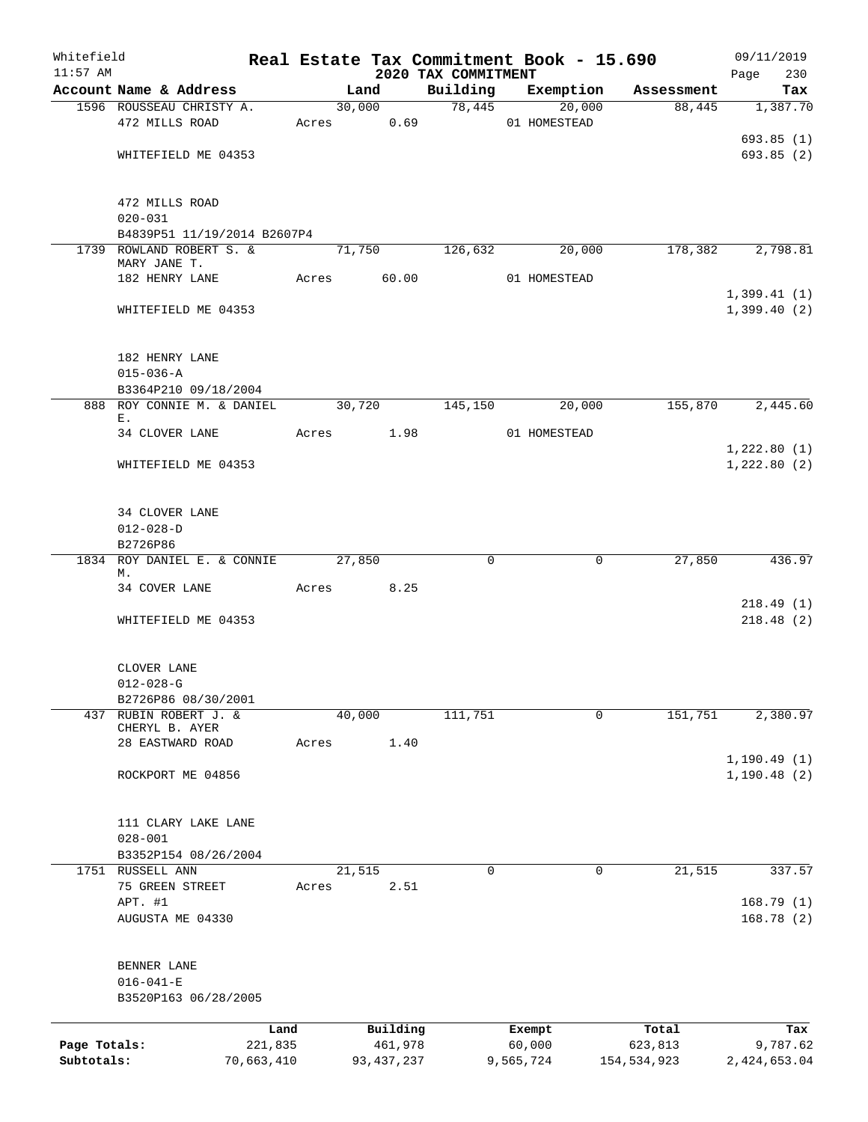| Whitefield   |                                                         |            |       |              |                                 | Real Estate Tax Commitment Book - 15.690 |                       | 09/11/2019         |
|--------------|---------------------------------------------------------|------------|-------|--------------|---------------------------------|------------------------------------------|-----------------------|--------------------|
| $11:57$ AM   | Account Name & Address                                  |            |       | Land         | 2020 TAX COMMITMENT<br>Building | Exemption                                | Assessment            | Page<br>230<br>Tax |
|              | 1596 ROUSSEAU CHRISTY A.                                |            |       | 30,000       |                                 | 78,445<br>20,000                         | 88,445                | 1,387.70           |
|              | 472 MILLS ROAD                                          |            |       | Acres 0.69   |                                 | 01 HOMESTEAD                             |                       |                    |
|              |                                                         |            |       |              |                                 |                                          |                       | 693.85(1)          |
|              | WHITEFIELD ME 04353                                     |            |       |              |                                 |                                          |                       | 693.85(2)          |
|              |                                                         |            |       |              |                                 |                                          |                       |                    |
|              |                                                         |            |       |              |                                 |                                          |                       |                    |
|              | 472 MILLS ROAD                                          |            |       |              |                                 |                                          |                       |                    |
|              | $020 - 031$                                             |            |       |              |                                 |                                          |                       |                    |
|              | B4839P51 11/19/2014 B2607P4<br>1739 ROWLAND ROBERT S. & |            |       | 71,750       | 126,632                         | 20,000                                   | 178,382               | 2,798.81           |
|              | MARY JANE T.                                            |            |       |              |                                 |                                          |                       |                    |
|              | 182 HENRY LANE                                          |            |       | Acres 60.00  |                                 | 01 HOMESTEAD                             |                       |                    |
|              |                                                         |            |       |              |                                 |                                          |                       | 1,399.41(1)        |
|              | WHITEFIELD ME 04353                                     |            |       |              |                                 |                                          |                       | 1,399.40(2)        |
|              |                                                         |            |       |              |                                 |                                          |                       |                    |
|              |                                                         |            |       |              |                                 |                                          |                       |                    |
|              | 182 HENRY LANE                                          |            |       |              |                                 |                                          |                       |                    |
|              | $015 - 036 - A$<br>B3364P210 09/18/2004                 |            |       |              |                                 |                                          |                       |                    |
|              | 888 ROY CONNIE M. & DANIEL                              |            |       | 30,720       | 145,150                         | 20,000                                   | 155,870               | 2,445.60           |
|              | Ε.                                                      |            |       |              |                                 |                                          |                       |                    |
|              | 34 CLOVER LANE                                          |            | Acres | 1.98         |                                 | 01 HOMESTEAD                             |                       |                    |
|              |                                                         |            |       |              |                                 |                                          |                       | 1,222.80(1)        |
|              | WHITEFIELD ME 04353                                     |            |       |              |                                 |                                          |                       | 1,222.80(2)        |
|              |                                                         |            |       |              |                                 |                                          |                       |                    |
|              |                                                         |            |       |              |                                 |                                          |                       |                    |
|              | 34 CLOVER LANE                                          |            |       |              |                                 |                                          |                       |                    |
|              | $012 - 028 - D$<br>B2726P86                             |            |       |              |                                 |                                          |                       |                    |
|              | 1834 ROY DANIEL E. & CONNIE                             |            |       | 27,850       | $\mathbf 0$                     |                                          | 27,850<br>0           | 436.97             |
|              | М.                                                      |            |       |              |                                 |                                          |                       |                    |
|              | 34 COVER LANE                                           |            | Acres | 8.25         |                                 |                                          |                       |                    |
|              |                                                         |            |       |              |                                 |                                          |                       | 218.49(1)          |
|              | WHITEFIELD ME 04353                                     |            |       |              |                                 |                                          |                       | 218.48(2)          |
|              |                                                         |            |       |              |                                 |                                          |                       |                    |
|              | CLOVER LANE                                             |            |       |              |                                 |                                          |                       |                    |
|              | $012 - 028 - G$                                         |            |       |              |                                 |                                          |                       |                    |
|              | B2726P86 08/30/2001                                     |            |       |              |                                 |                                          |                       |                    |
|              | 437 RUBIN ROBERT J. &                                   |            |       | 40,000       | 111,751                         |                                          | 0<br>151,751          | 2,380.97           |
|              | CHERYL B. AYER                                          |            |       |              |                                 |                                          |                       |                    |
|              | 28 EASTWARD ROAD                                        |            | Acres | 1.40         |                                 |                                          |                       |                    |
|              |                                                         |            |       |              |                                 |                                          |                       | 1, 190.49(1)       |
|              | ROCKPORT ME 04856                                       |            |       |              |                                 |                                          |                       | 1,190.48(2)        |
|              |                                                         |            |       |              |                                 |                                          |                       |                    |
|              | 111 CLARY LAKE LANE                                     |            |       |              |                                 |                                          |                       |                    |
|              | $028 - 001$                                             |            |       |              |                                 |                                          |                       |                    |
|              | B3352P154 08/26/2004                                    |            |       |              |                                 |                                          |                       |                    |
|              | 1751 RUSSELL ANN                                        |            |       | 21,515       | 0                               |                                          | 21,515<br>$\mathbf 0$ | 337.57             |
|              | 75 GREEN STREET                                         |            | Acres | 2.51         |                                 |                                          |                       |                    |
|              | APT. #1                                                 |            |       |              |                                 |                                          |                       | 168.79(1)          |
|              | AUGUSTA ME 04330                                        |            |       |              |                                 |                                          |                       | 168.78(2)          |
|              |                                                         |            |       |              |                                 |                                          |                       |                    |
|              | BENNER LANE                                             |            |       |              |                                 |                                          |                       |                    |
|              | $016 - 041 - E$                                         |            |       |              |                                 |                                          |                       |                    |
|              | B3520P163 06/28/2005                                    |            |       |              |                                 |                                          |                       |                    |
|              |                                                         |            |       |              |                                 |                                          |                       |                    |
|              |                                                         | Land       |       | Building     |                                 | Exempt                                   | Total                 | Tax                |
| Page Totals: |                                                         | 221,835    |       | 461,978      |                                 | 60,000                                   | 623,813               | 9,787.62           |
| Subtotals:   |                                                         | 70,663,410 |       | 93, 437, 237 |                                 | 9,565,724                                | 154,534,923           | 2,424,653.04       |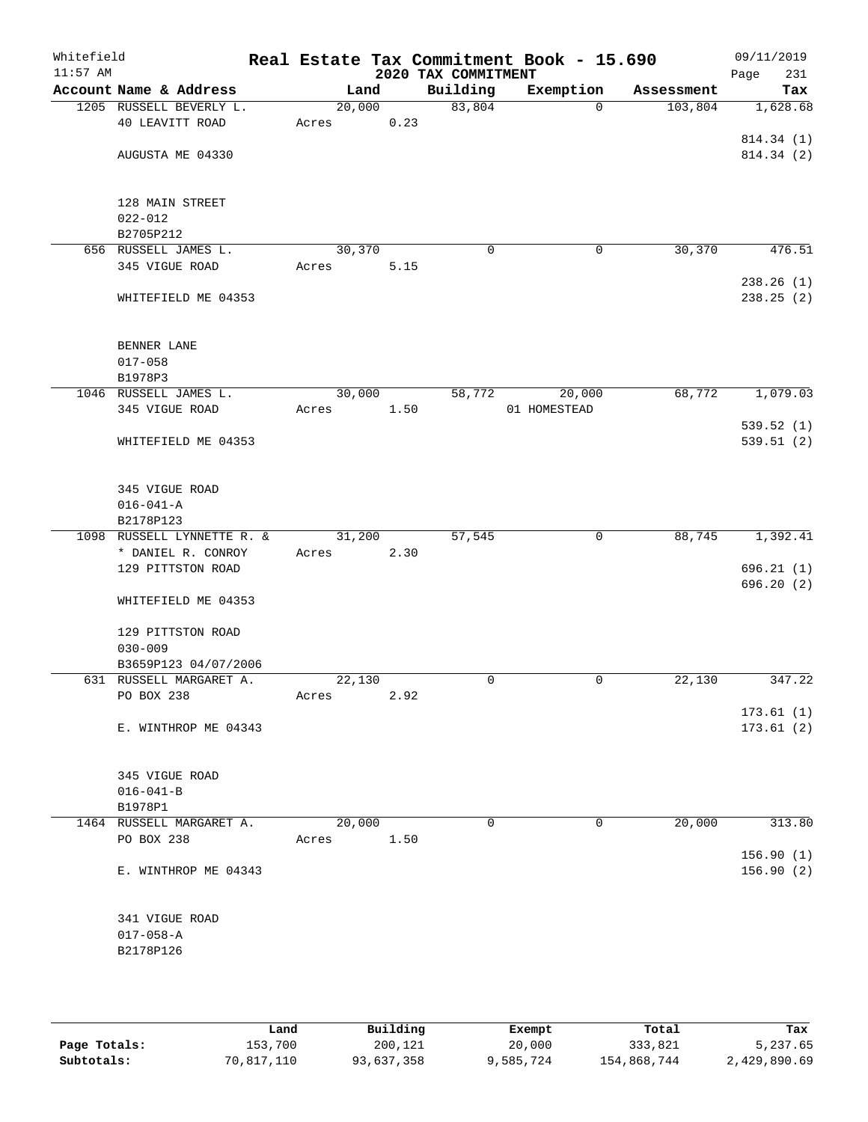| Whitefield<br>$11:57$ AM |                            |        |      | 2020 TAX COMMITMENT | Real Estate Tax Commitment Book - 15.690 |            | 09/11/2019<br>Page<br>231 |
|--------------------------|----------------------------|--------|------|---------------------|------------------------------------------|------------|---------------------------|
|                          | Account Name & Address     | Land   |      | Building            | Exemption                                | Assessment | Tax                       |
|                          | 1205 RUSSELL BEVERLY L.    | 20,000 |      | 83,804              | $\Omega$                                 | 103,804    | 1,628.68                  |
|                          | 40 LEAVITT ROAD            | Acres  | 0.23 |                     |                                          |            |                           |
|                          |                            |        |      |                     |                                          |            | 814.34 (1)                |
|                          | AUGUSTA ME 04330           |        |      |                     |                                          |            | 814.34 (2)                |
|                          |                            |        |      |                     |                                          |            |                           |
|                          | 128 MAIN STREET            |        |      |                     |                                          |            |                           |
|                          | $022 - 012$                |        |      |                     |                                          |            |                           |
|                          | B2705P212                  |        |      |                     |                                          |            |                           |
|                          | 656 RUSSELL JAMES L.       | 30,370 |      | $\mathbf 0$         | 0                                        | 30,370     | 476.51                    |
|                          | 345 VIGUE ROAD             | Acres  | 5.15 |                     |                                          |            |                           |
|                          | WHITEFIELD ME 04353        |        |      |                     |                                          |            | 238.26(1)<br>238.25(2)    |
|                          |                            |        |      |                     |                                          |            |                           |
|                          |                            |        |      |                     |                                          |            |                           |
|                          | BENNER LANE                |        |      |                     |                                          |            |                           |
|                          | $017 - 058$                |        |      |                     |                                          |            |                           |
|                          | B1978P3                    |        |      |                     |                                          |            |                           |
|                          | 1046 RUSSELL JAMES L.      | 30,000 |      | 58,772              | 20,000                                   | 68,772     | 1,079.03                  |
|                          | 345 VIGUE ROAD             | Acres  | 1.50 |                     | 01 HOMESTEAD                             |            |                           |
|                          | WHITEFIELD ME 04353        |        |      |                     |                                          |            | 539.52(1)<br>539.51(2)    |
|                          |                            |        |      |                     |                                          |            |                           |
|                          |                            |        |      |                     |                                          |            |                           |
|                          | 345 VIGUE ROAD             |        |      |                     |                                          |            |                           |
|                          | $016 - 041 - A$            |        |      |                     |                                          |            |                           |
|                          | B2178P123                  |        |      |                     |                                          |            |                           |
|                          | 1098 RUSSELL LYNNETTE R. & | 31,200 |      | 57,545              | 0                                        | 88,745     | 1,392.41                  |
|                          | * DANIEL R. CONROY         | Acres  | 2.30 |                     |                                          |            |                           |
|                          | 129 PITTSTON ROAD          |        |      |                     |                                          |            | 696.21(1)                 |
|                          | WHITEFIELD ME 04353        |        |      |                     |                                          |            | 696.20 (2)                |
|                          |                            |        |      |                     |                                          |            |                           |
|                          | 129 PITTSTON ROAD          |        |      |                     |                                          |            |                           |
|                          | $030 - 009$                |        |      |                     |                                          |            |                           |
|                          | B3659P123 04/07/2006       |        |      |                     |                                          |            |                           |
|                          | 631 RUSSELL MARGARET A.    | 22,130 |      | $\mathbf 0$         | $\mathbf 0$                              | 22,130     | 347.22                    |
|                          | PO BOX 238                 | Acres  | 2.92 |                     |                                          |            |                           |
|                          |                            |        |      |                     |                                          |            | 173.61(1)                 |
|                          | E. WINTHROP ME 04343       |        |      |                     |                                          |            | 173.61(2)                 |
|                          |                            |        |      |                     |                                          |            |                           |
|                          | 345 VIGUE ROAD             |        |      |                     |                                          |            |                           |
|                          | $016 - 041 - B$            |        |      |                     |                                          |            |                           |
|                          | B1978P1                    |        |      |                     |                                          |            |                           |
|                          | 1464 RUSSELL MARGARET A.   | 20,000 |      | $\mathbf 0$         | 0                                        | 20,000     | 313.80                    |
|                          | PO BOX 238                 | Acres  | 1.50 |                     |                                          |            |                           |
|                          |                            |        |      |                     |                                          |            | 156.90(1)                 |
|                          | E. WINTHROP ME 04343       |        |      |                     |                                          |            | 156.90(2)                 |
|                          |                            |        |      |                     |                                          |            |                           |
|                          | 341 VIGUE ROAD             |        |      |                     |                                          |            |                           |
|                          | $017 - 058 - A$            |        |      |                     |                                          |            |                           |
|                          | B2178P126                  |        |      |                     |                                          |            |                           |
|                          |                            |        |      |                     |                                          |            |                           |
|                          |                            |        |      |                     |                                          |            |                           |
|                          |                            |        |      |                     |                                          |            |                           |

|              | Land       | Building   | Exempt    | Total       | Tax          |
|--------------|------------|------------|-----------|-------------|--------------|
| Page Totals: | 153,700    | 200,121    | 20,000    | 333,821     | 5,237.65     |
| Subtotals:   | 70,817,110 | 93,637,358 | 9,585,724 | 154,868,744 | 2,429,890.69 |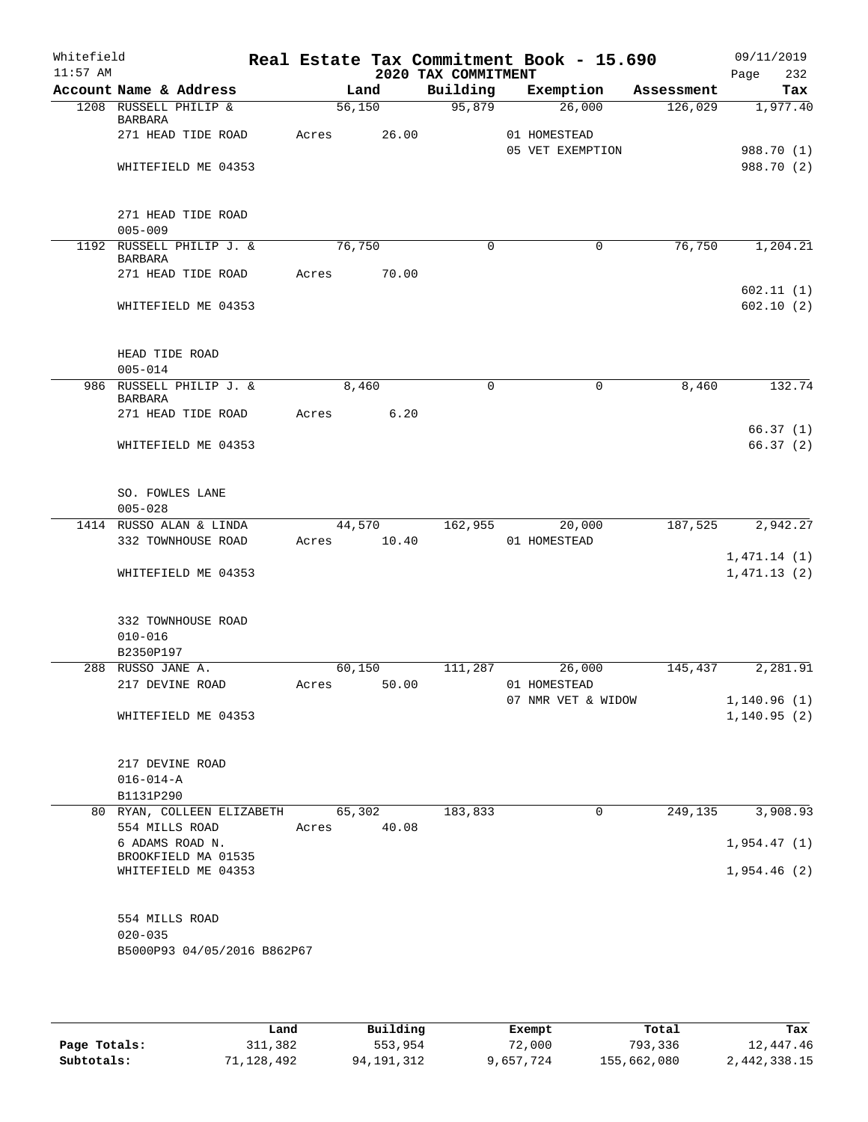| Whitefield<br>$11:57$ AM |                                                              |       |        |             | 2020 TAX COMMITMENT | Real Estate Tax Commitment Book - 15.690 |            | 09/11/2019<br>Page<br>232  |
|--------------------------|--------------------------------------------------------------|-------|--------|-------------|---------------------|------------------------------------------|------------|----------------------------|
|                          | Account Name & Address                                       |       | Land   |             | Building            | Exemption                                | Assessment | Tax                        |
|                          | 1208 RUSSELL PHILIP &<br>BARBARA                             |       | 56,150 |             | 95,879              | 26,000                                   | 126,029    | 1,977.40                   |
|                          | 271 HEAD TIDE ROAD                                           | Acres |        | 26.00       |                     | 01 HOMESTEAD<br>05 VET EXEMPTION         |            | 988.70 (1)                 |
|                          | WHITEFIELD ME 04353                                          |       |        |             |                     |                                          |            | 988.70 (2)                 |
|                          | 271 HEAD TIDE ROAD<br>$005 - 009$                            |       |        |             |                     |                                          |            |                            |
|                          | 1192 RUSSELL PHILIP J. &                                     |       | 76,750 |             | $\Omega$            | 0                                        | 76,750     | 1,204.21                   |
|                          | <b>BARBARA</b>                                               |       |        |             |                     |                                          |            |                            |
|                          | 271 HEAD TIDE ROAD                                           | Acres |        | 70.00       |                     |                                          |            |                            |
|                          | WHITEFIELD ME 04353                                          |       |        |             |                     |                                          |            | 602.11(1)<br>602.10(2)     |
|                          | HEAD TIDE ROAD<br>$005 - 014$                                |       |        |             |                     |                                          |            |                            |
|                          | 986 RUSSELL PHILIP J. &<br><b>BARBARA</b>                    |       | 8,460  |             | 0                   | $\mathbf 0$                              | 8,460      | 132.74                     |
|                          | 271 HEAD TIDE ROAD                                           | Acres |        | 6.20        |                     |                                          |            |                            |
|                          | WHITEFIELD ME 04353                                          |       |        |             |                     |                                          |            | 66.37(1)<br>66.37(2)       |
|                          | SO. FOWLES LANE<br>$005 - 028$                               |       |        |             |                     |                                          |            |                            |
|                          | 1414 RUSSO ALAN & LINDA                                      |       | 44,570 |             | 162,955             | 20,000                                   | 187,525    | 2,942.27                   |
|                          | 332 TOWNHOUSE ROAD                                           | Acres |        | 10.40       |                     | 01 HOMESTEAD                             |            |                            |
|                          | WHITEFIELD ME 04353                                          |       |        |             |                     |                                          |            | 1,471.14(1)<br>1,471.13(2) |
|                          | 332 TOWNHOUSE ROAD<br>$010 - 016$                            |       |        |             |                     |                                          |            |                            |
|                          | B2350P197<br>288 RUSSO JANE A.                               |       |        |             | 111,287             | 26,000                                   |            |                            |
|                          | 217 DEVINE ROAD                                              |       | 60,150 |             |                     | Acres 50.00 01 HOMESTEAD                 | 145,437    | 2,281.91                   |
|                          |                                                              |       |        |             |                     | 07 NMR VET & WIDOW                       |            | 1,140.96(1)                |
|                          | WHITEFIELD ME 04353                                          |       |        |             |                     |                                          |            | 1, 140.95(2)               |
|                          | 217 DEVINE ROAD<br>$016 - 014 - A$                           |       |        |             |                     |                                          |            |                            |
|                          | B1131P290                                                    |       |        |             |                     |                                          |            |                            |
|                          | 80 RYAN, COLLEEN ELIZABETH 65,302<br>554 MILLS ROAD          |       |        | Acres 40.08 | 183,833             | $\mathbf 0$                              | 249, 135   | 3,908.93                   |
|                          | 6 ADAMS ROAD N.                                              |       |        |             |                     |                                          |            | 1,954.47(1)                |
|                          | BROOKFIELD MA 01535<br>WHITEFIELD ME 04353                   |       |        |             |                     |                                          |            | 1,954.46(2)                |
|                          | 554 MILLS ROAD<br>$020 - 035$<br>B5000P93 04/05/2016 B862P67 |       |        |             |                     |                                          |            |                            |

|              | Land       | Building   | Exempt    | Total       | Tax          |
|--------------|------------|------------|-----------|-------------|--------------|
| Page Totals: | 311,382    | 553,954    | 72,000    | 793,336     | 12,447.46    |
| Subtotals:   | 71,128,492 | 94,191,312 | 9,657,724 | 155,662,080 | 2,442,338.15 |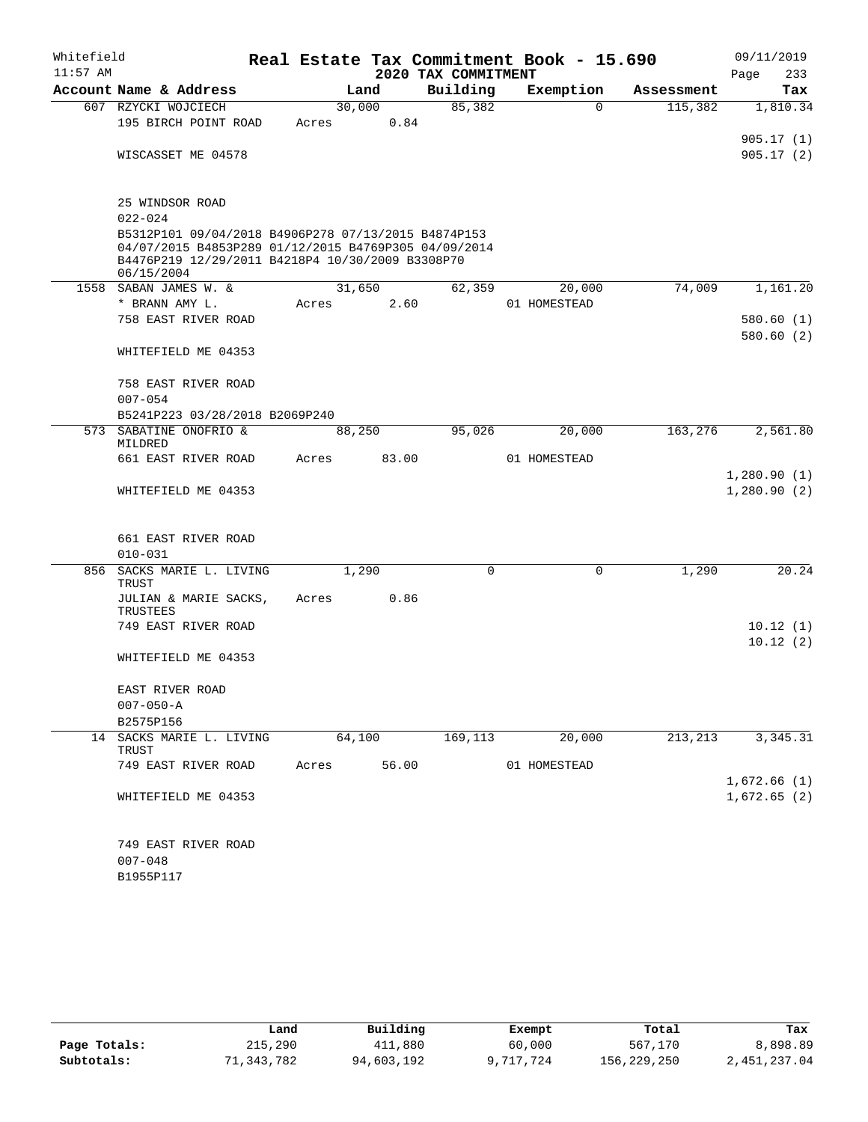| Whitefield<br>$11:57$ AM |                                                                                                                                                                               |       |        | 2020 TAX COMMITMENT | Real Estate Tax Commitment Book - 15.690 |            | 09/11/2019<br>233<br>Page  |
|--------------------------|-------------------------------------------------------------------------------------------------------------------------------------------------------------------------------|-------|--------|---------------------|------------------------------------------|------------|----------------------------|
|                          | Account Name & Address                                                                                                                                                        |       | Land   | Building            | Exemption                                | Assessment | Tax                        |
|                          | 607 RZYCKI WOJCIECH<br>195 BIRCH POINT ROAD                                                                                                                                   | Acres | 30,000 | 85,382<br>0.84      | $\Omega$                                 | 115,382    | 1,810.34                   |
|                          | WISCASSET ME 04578                                                                                                                                                            |       |        |                     |                                          |            | 905.17(1)<br>905.17(2)     |
|                          |                                                                                                                                                                               |       |        |                     |                                          |            |                            |
|                          | 25 WINDSOR ROAD<br>$022 - 024$                                                                                                                                                |       |        |                     |                                          |            |                            |
|                          | B5312P101 09/04/2018 B4906P278 07/13/2015 B4874P153<br>04/07/2015 B4853P289 01/12/2015 B4769P305 04/09/2014<br>B4476P219 12/29/2011 B4218P4 10/30/2009 B3308P70<br>06/15/2004 |       |        |                     |                                          |            |                            |
|                          | 1558 SABAN JAMES W. &                                                                                                                                                         |       | 31,650 | 62,359              | 20,000                                   | 74,009     | 1,161.20                   |
|                          | * BRANN AMY L.                                                                                                                                                                | Acres |        | 2.60                | 01 HOMESTEAD                             |            |                            |
|                          | 758 EAST RIVER ROAD                                                                                                                                                           |       |        |                     |                                          |            | 580.60(1)                  |
|                          | WHITEFIELD ME 04353                                                                                                                                                           |       |        |                     |                                          |            | 580.60(2)                  |
|                          | 758 EAST RIVER ROAD                                                                                                                                                           |       |        |                     |                                          |            |                            |
|                          | $007 - 054$                                                                                                                                                                   |       |        |                     |                                          |            |                            |
|                          | B5241P223 03/28/2018 B2069P240                                                                                                                                                |       |        |                     |                                          |            |                            |
| 573                      | SABATINE ONOFRIO &<br>MILDRED                                                                                                                                                 |       | 88,250 | 95,026              | 20,000                                   | 163,276    | 2,561.80                   |
|                          | 661 EAST RIVER ROAD                                                                                                                                                           | Acres |        | 83.00               | 01 HOMESTEAD                             |            |                            |
|                          | WHITEFIELD ME 04353                                                                                                                                                           |       |        |                     |                                          |            | 1,280.90(1)<br>1,280.90(2) |
|                          | 661 EAST RIVER ROAD<br>$010 - 031$                                                                                                                                            |       |        |                     |                                          |            |                            |
|                          | 856 SACKS MARIE L. LIVING                                                                                                                                                     |       | 1,290  | $\Omega$            | $\mathbf 0$                              | 1,290      | 20.24                      |
|                          | TRUST                                                                                                                                                                         |       |        |                     |                                          |            |                            |
|                          | JULIAN & MARIE SACKS,<br>TRUSTEES                                                                                                                                             | Acres |        | 0.86                |                                          |            |                            |
|                          | 749 EAST RIVER ROAD                                                                                                                                                           |       |        |                     |                                          |            | 10.12(1)                   |
|                          | WHITEFIELD ME 04353                                                                                                                                                           |       |        |                     |                                          |            | 10.12(2)                   |
|                          | EAST RIVER ROAD                                                                                                                                                               |       |        |                     |                                          |            |                            |
|                          | $007 - 050 - A$                                                                                                                                                               |       |        |                     |                                          |            |                            |
|                          | B2575P156                                                                                                                                                                     |       |        |                     |                                          |            |                            |
|                          | 14 SACKS MARIE L. LIVING<br>TRUST                                                                                                                                             |       | 64,100 | 169,113             | 20,000                                   | 213,213    | 3,345.31                   |
|                          | 749 EAST RIVER ROAD                                                                                                                                                           | Acres |        | 56.00               | 01 HOMESTEAD                             |            | 1,672.66(1)                |
|                          | WHITEFIELD ME 04353                                                                                                                                                           |       |        |                     |                                          |            | 1,672.65(2)                |
|                          | 749 EAST RIVER ROAD<br>$007 - 048$<br>B1955P117                                                                                                                               |       |        |                     |                                          |            |                            |

|              | Land       | Building   | Exempt    | Total       | Tax          |
|--------------|------------|------------|-----------|-------------|--------------|
| Page Totals: | 215,290    | 411,880    | 60,000    | 567,170     | 8,898.89     |
| Subtotals:   | 71,343,782 | 94,603,192 | 9,717,724 | 156,229,250 | 2,451,237.04 |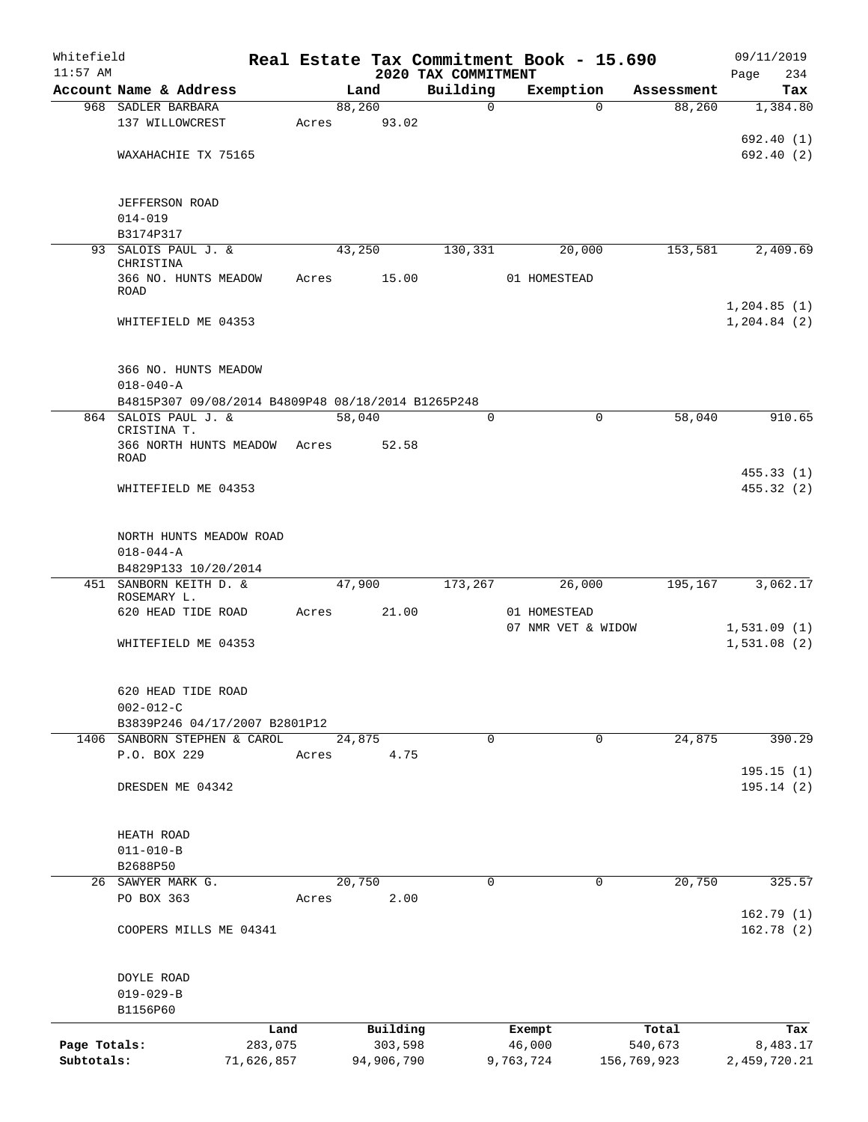| Whitefield   |                                                    |         |        |            |                                 | Real Estate Tax Commitment Book - 15.690 |                    | 09/11/2019                    |                        |
|--------------|----------------------------------------------------|---------|--------|------------|---------------------------------|------------------------------------------|--------------------|-------------------------------|------------------------|
| $11:57$ AM   | Account Name & Address                             |         | Land   |            | 2020 TAX COMMITMENT<br>Building | Exemption                                | Assessment         | Page                          | 234<br>Tax             |
|              | 968 SADLER BARBARA                                 |         | 88,260 |            | $\mathbf 0$                     |                                          | 88,260<br>$\Omega$ |                               | 1,384.80               |
|              | 137 WILLOWCREST                                    | Acres   |        | 93.02      |                                 |                                          |                    |                               |                        |
|              |                                                    |         |        |            |                                 |                                          |                    |                               | 692.40 (1)             |
|              | WAXAHACHIE TX 75165                                |         |        |            |                                 |                                          |                    |                               | 692.40 (2)             |
|              |                                                    |         |        |            |                                 |                                          |                    |                               |                        |
|              | <b>JEFFERSON ROAD</b>                              |         |        |            |                                 |                                          |                    |                               |                        |
|              | $014 - 019$                                        |         |        |            |                                 |                                          |                    |                               |                        |
|              | B3174P317                                          |         |        |            |                                 |                                          |                    |                               |                        |
|              | 93 SALOIS PAUL J. &<br>CHRISTINA                   |         | 43,250 |            | 130, 331                        | 20,000                                   | 153,581            |                               | 2,409.69               |
|              | 366 NO. HUNTS MEADOW<br>ROAD                       | Acres   |        | 15.00      |                                 | 01 HOMESTEAD                             |                    |                               |                        |
|              | WHITEFIELD ME 04353                                |         |        |            |                                 |                                          |                    | 1, 204.85(1)<br>1, 204.84 (2) |                        |
|              | 366 NO. HUNTS MEADOW                               |         |        |            |                                 |                                          |                    |                               |                        |
|              | $018 - 040 - A$                                    |         |        |            |                                 |                                          |                    |                               |                        |
|              | B4815P307 09/08/2014 B4809P48 08/18/2014 B1265P248 |         |        |            |                                 |                                          |                    |                               |                        |
|              | 864 SALOIS PAUL J. &                               |         | 58,040 |            | 0                               |                                          | 58,040<br>0        |                               | 910.65                 |
|              | CRISTINA T.<br>366 NORTH HUNTS MEADOW              | Acres   |        | 52.58      |                                 |                                          |                    |                               |                        |
|              | ROAD                                               |         |        |            |                                 |                                          |                    |                               |                        |
|              |                                                    |         |        |            |                                 |                                          |                    |                               | 455.33(1)              |
|              | WHITEFIELD ME 04353                                |         |        |            |                                 |                                          |                    |                               | 455.32(2)              |
|              | NORTH HUNTS MEADOW ROAD                            |         |        |            |                                 |                                          |                    |                               |                        |
|              | $018 - 044 - A$                                    |         |        |            |                                 |                                          |                    |                               |                        |
|              | B4829P133 10/20/2014                               |         |        |            |                                 |                                          |                    |                               |                        |
|              | 451 SANBORN KEITH D. &<br>ROSEMARY L.              |         | 47,900 |            | 173,267                         | 26,000                                   | 195,167            |                               | 3,062.17               |
|              | 620 HEAD TIDE ROAD                                 | Acres   |        | 21.00      |                                 | 01 HOMESTEAD                             |                    |                               |                        |
|              |                                                    |         |        |            |                                 | 07 NMR VET & WIDOW                       |                    | 1,531.09(1)                   |                        |
|              | WHITEFIELD ME 04353                                |         |        |            |                                 |                                          |                    | 1,531.08(2)                   |                        |
|              | 620 HEAD TIDE ROAD                                 |         |        |            |                                 |                                          |                    |                               |                        |
|              | $002 - 012 - C$                                    |         |        |            |                                 |                                          |                    |                               |                        |
|              | B3839P246 04/17/2007 B2801P12                      |         |        |            |                                 |                                          |                    |                               |                        |
|              | 1406 SANBORN STEPHEN & CAROL                       |         | 24,875 |            | 0                               |                                          | 24,875<br>0        |                               | 390.29                 |
|              | P.O. BOX 229                                       | Acres   |        | 4.75       |                                 |                                          |                    |                               |                        |
|              |                                                    |         |        |            |                                 |                                          |                    |                               | 195.15(1)              |
|              | DRESDEN ME 04342                                   |         |        |            |                                 |                                          |                    |                               | 195.14(2)              |
|              | HEATH ROAD                                         |         |        |            |                                 |                                          |                    |                               |                        |
|              | $011 - 010 - B$                                    |         |        |            |                                 |                                          |                    |                               |                        |
|              | B2688P50                                           |         |        |            |                                 |                                          |                    |                               |                        |
|              | 26 SAWYER MARK G.                                  |         | 20,750 |            | 0                               |                                          | $\Omega$<br>20,750 |                               | 325.57                 |
|              | PO BOX 363                                         | Acres   |        | 2.00       |                                 |                                          |                    |                               |                        |
|              | COOPERS MILLS ME 04341                             |         |        |            |                                 |                                          |                    |                               | 162.79(1)<br>162.78(2) |
|              |                                                    |         |        |            |                                 |                                          |                    |                               |                        |
|              | DOYLE ROAD                                         |         |        |            |                                 |                                          |                    |                               |                        |
|              | $019 - 029 - B$                                    |         |        |            |                                 |                                          |                    |                               |                        |
|              | B1156P60                                           |         |        |            |                                 |                                          |                    |                               |                        |
|              |                                                    | Land    |        | Building   |                                 | Exempt                                   | Total              |                               | Tax                    |
| Page Totals: |                                                    | 283,075 |        | 303,598    |                                 | 46,000                                   | 540,673            |                               | 8,483.17               |
| Subtotals:   | 71,626,857                                         |         |        | 94,906,790 |                                 | 9,763,724                                | 156,769,923        | 2,459,720.21                  |                        |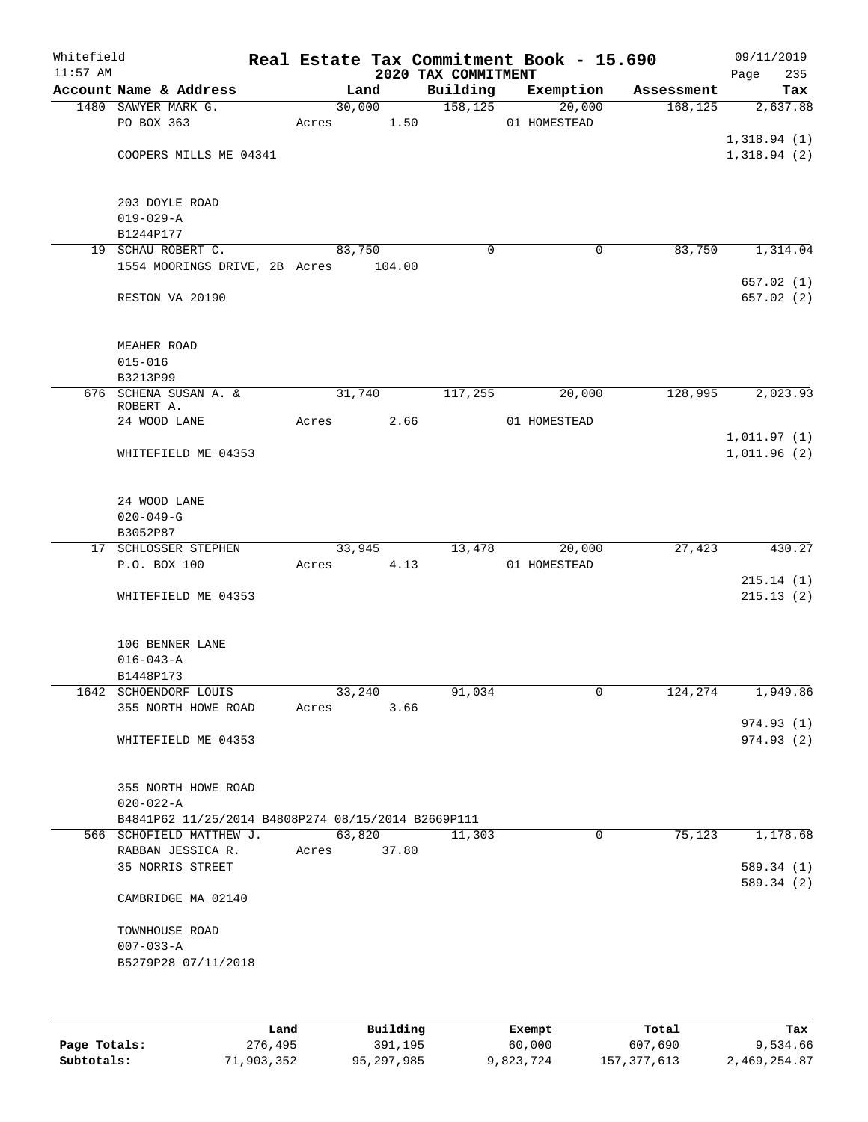| Whitefield<br>$11:57$ AM |                                                                                              |                 |        | 2020 TAX COMMITMENT | Real Estate Tax Commitment Book - 15.690 |            | 09/11/2019<br>Page<br>235  |
|--------------------------|----------------------------------------------------------------------------------------------|-----------------|--------|---------------------|------------------------------------------|------------|----------------------------|
|                          | Account Name & Address                                                                       | Land            |        | Building            | Exemption                                | Assessment | Tax                        |
|                          | 1480 SAWYER MARK G.<br>PO BOX 363                                                            | 30,000<br>Acres | 1.50   | 158, 125            | 20,000<br>01 HOMESTEAD                   | 168, 125   | 2,637.88                   |
|                          | COOPERS MILLS ME 04341                                                                       |                 |        |                     |                                          |            | 1,318.94(1)<br>1,318.94(2) |
|                          | 203 DOYLE ROAD<br>$019 - 029 - A$                                                            |                 |        |                     |                                          |            |                            |
|                          | B1244P177                                                                                    |                 |        |                     |                                          |            |                            |
|                          | 19 SCHAU ROBERT C.<br>1554 MOORINGS DRIVE, 2B Acres                                          | 83,750          | 104.00 | $\mathbf 0$         | $\mathbf 0$                              | 83,750     | 1,314.04                   |
|                          | RESTON VA 20190                                                                              |                 |        |                     |                                          |            | 657.02(1)<br>657.02 (2)    |
|                          | MEAHER ROAD                                                                                  |                 |        |                     |                                          |            |                            |
|                          | $015 - 016$                                                                                  |                 |        |                     |                                          |            |                            |
|                          | B3213P99<br>676 SCHENA SUSAN A. &<br>ROBERT A.                                               | 31,740          |        | 117,255             | 20,000                                   | 128,995    | 2,023.93                   |
|                          | 24 WOOD LANE                                                                                 | Acres           | 2.66   |                     | 01 HOMESTEAD                             |            |                            |
|                          | WHITEFIELD ME 04353                                                                          |                 |        |                     |                                          |            | 1,011.97(1)<br>1,011.96(2) |
|                          | 24 WOOD LANE<br>$020 - 049 - G$                                                              |                 |        |                     |                                          |            |                            |
|                          | B3052P87                                                                                     |                 |        |                     |                                          |            |                            |
|                          | 17 SCHLOSSER STEPHEN                                                                         | 33,945          |        | 13,478              | 20,000                                   | 27,423     | 430.27                     |
|                          | P.O. BOX 100                                                                                 | Acres           | 4.13   |                     | 01 HOMESTEAD                             |            |                            |
|                          | WHITEFIELD ME 04353                                                                          |                 |        |                     |                                          |            | 215.14(1)<br>215.13(2)     |
|                          | 106 BENNER LANE<br>$016 - 043 - A$                                                           |                 |        |                     |                                          |            |                            |
|                          | B1448P173<br>1642 SCHOENDORF LOUIS                                                           | 33,240          |        | 91,034              | $\mathsf{O}$                             | 124,274    | 1,949.86                   |
|                          | 355 NORTH HOWE ROAD                                                                          | Acres           | 3.66   |                     |                                          |            | 974.93(1)                  |
|                          | WHITEFIELD ME 04353                                                                          |                 |        |                     |                                          |            | 974.93(2)                  |
|                          | 355 NORTH HOWE ROAD<br>$020 - 022 - A$<br>B4841P62 11/25/2014 B4808P274 08/15/2014 B2669P111 |                 |        |                     |                                          |            |                            |
|                          | 566 SCHOFIELD MATTHEW J.                                                                     | 63,820          |        | 11,303              | $\Omega$                                 | 75,123     | 1,178.68                   |
|                          | RABBAN JESSICA R.                                                                            | Acres           | 37.80  |                     |                                          |            |                            |
|                          | 35 NORRIS STREET                                                                             |                 |        |                     |                                          |            | 589.34 (1)<br>589.34 (2)   |
|                          | CAMBRIDGE MA 02140                                                                           |                 |        |                     |                                          |            |                            |
|                          | TOWNHOUSE ROAD<br>$007 - 033 - A$<br>B5279P28 07/11/2018                                     |                 |        |                     |                                          |            |                            |
|                          |                                                                                              |                 |        |                     |                                          |            |                            |

|              | Land       | Building   | Exempt    | Total       | Tax          |
|--------------|------------|------------|-----------|-------------|--------------|
| Page Totals: | 276,495    | 391,195    | 60,000    | 607,690     | 9,534.66     |
| Subtotals:   | 71,903,352 | 95,297,985 | 9,823,724 | 157,377,613 | 2,469,254.87 |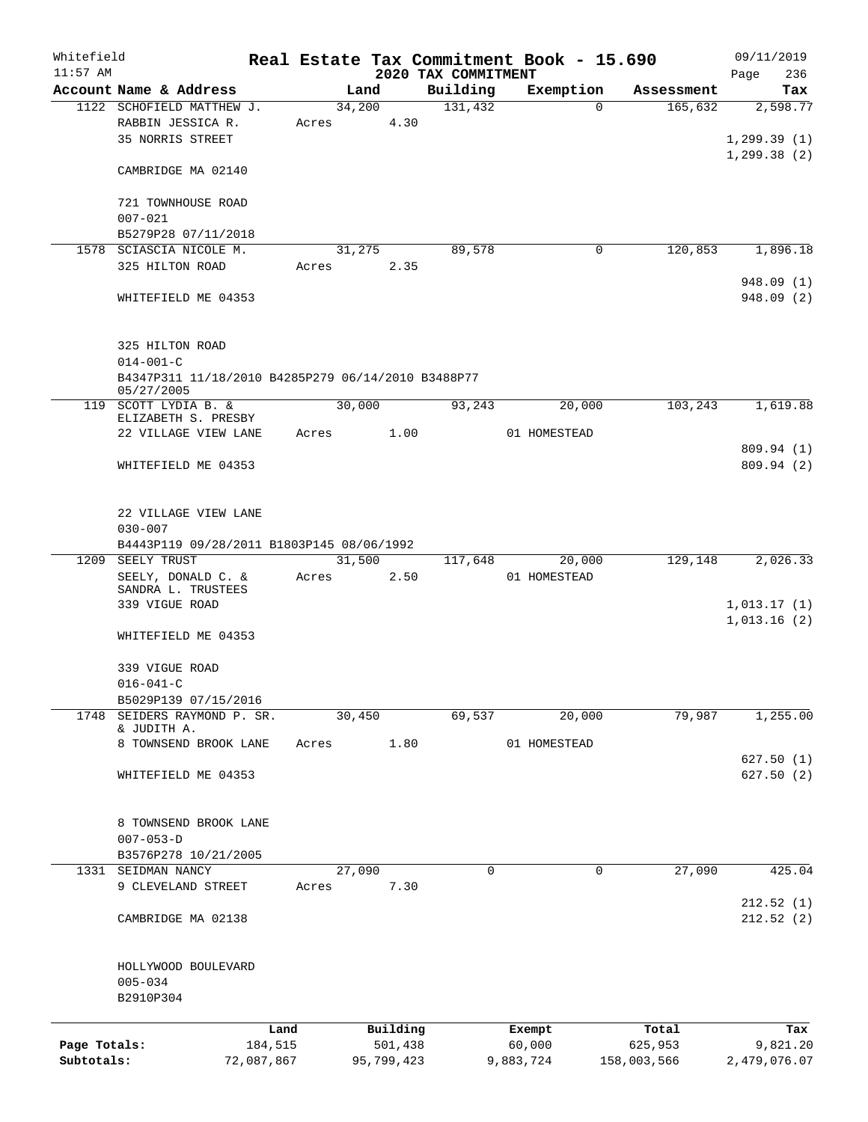| Whitefield   |                                                    |         |        |            |                                 | Real Estate Tax Commitment Book - 15.690 |                       | 09/11/2019         |
|--------------|----------------------------------------------------|---------|--------|------------|---------------------------------|------------------------------------------|-----------------------|--------------------|
| $11:57$ AM   | Account Name & Address                             |         | Land   |            | 2020 TAX COMMITMENT<br>Building | Exemption                                |                       | 236<br>Page<br>Tax |
|              | 1122 SCHOFIELD MATTHEW J.                          |         | 34,200 |            | 131,432                         | $\Omega$                                 | Assessment<br>165,632 | 2,598.77           |
|              | RABBIN JESSICA R.                                  | Acres   |        | 4.30       |                                 |                                          |                       |                    |
|              | 35 NORRIS STREET                                   |         |        |            |                                 |                                          |                       | 1, 299.39(1)       |
|              |                                                    |         |        |            |                                 |                                          |                       | 1, 299.38(2)       |
|              | CAMBRIDGE MA 02140                                 |         |        |            |                                 |                                          |                       |                    |
|              |                                                    |         |        |            |                                 |                                          |                       |                    |
|              | 721 TOWNHOUSE ROAD                                 |         |        |            |                                 |                                          |                       |                    |
|              | $007 - 021$                                        |         |        |            |                                 |                                          |                       |                    |
|              | B5279P28 07/11/2018                                |         |        |            |                                 |                                          |                       |                    |
|              | 1578 SCIASCIA NICOLE M.                            |         | 31,275 |            | 89,578                          | 0                                        | 120,853               | 1,896.18           |
|              | 325 HILTON ROAD                                    | Acres   |        | 2.35       |                                 |                                          |                       |                    |
|              |                                                    |         |        |            |                                 |                                          |                       | 948.09 (1)         |
|              | WHITEFIELD ME 04353                                |         |        |            |                                 |                                          |                       | 948.09 (2)         |
|              |                                                    |         |        |            |                                 |                                          |                       |                    |
|              |                                                    |         |        |            |                                 |                                          |                       |                    |
|              | 325 HILTON ROAD                                    |         |        |            |                                 |                                          |                       |                    |
|              | $014 - 001 - C$                                    |         |        |            |                                 |                                          |                       |                    |
|              | B4347P311 11/18/2010 B4285P279 06/14/2010 B3488P77 |         |        |            |                                 |                                          |                       |                    |
|              | 05/27/2005                                         |         |        |            |                                 |                                          |                       |                    |
|              | 119 SCOTT LYDIA B. &                               |         | 30,000 |            | 93,243                          | 20,000                                   | 103,243               | 1,619.88           |
|              | ELIZABETH S. PRESBY                                |         |        |            |                                 |                                          |                       |                    |
|              | 22 VILLAGE VIEW LANE                               | Acres   |        | 1.00       |                                 | 01 HOMESTEAD                             |                       |                    |
|              |                                                    |         |        |            |                                 |                                          |                       | 809.94 (1)         |
|              | WHITEFIELD ME 04353                                |         |        |            |                                 |                                          |                       | 809.94 (2)         |
|              |                                                    |         |        |            |                                 |                                          |                       |                    |
|              |                                                    |         |        |            |                                 |                                          |                       |                    |
|              | 22 VILLAGE VIEW LANE                               |         |        |            |                                 |                                          |                       |                    |
|              | $030 - 007$                                        |         |        |            |                                 |                                          |                       |                    |
|              | B4443P119 09/28/2011 B1803P145 08/06/1992          |         |        |            |                                 |                                          |                       |                    |
|              | 1209 SEELY TRUST                                   |         | 31,500 |            | 117,648                         | 20,000                                   | 129,148               | 2,026.33           |
|              | SEELY, DONALD C. &<br>SANDRA L. TRUSTEES           | Acres   |        | 2.50       |                                 | 01 HOMESTEAD                             |                       |                    |
|              | 339 VIGUE ROAD                                     |         |        |            |                                 |                                          |                       | 1,013.17(1)        |
|              |                                                    |         |        |            |                                 |                                          |                       | 1,013.16(2)        |
|              | WHITEFIELD ME 04353                                |         |        |            |                                 |                                          |                       |                    |
|              |                                                    |         |        |            |                                 |                                          |                       |                    |
|              | 339 VIGUE ROAD                                     |         |        |            |                                 |                                          |                       |                    |
|              | $016 - 041 - C$                                    |         |        |            |                                 |                                          |                       |                    |
|              | B5029P139 07/15/2016                               |         |        |            |                                 |                                          |                       |                    |
|              | 1748 SEIDERS RAYMOND P. SR.                        |         | 30,450 |            | 69,537                          | 20,000                                   | 79,987                | 1,255.00           |
|              | & JUDITH A.                                        |         |        |            |                                 |                                          |                       |                    |
|              | 8 TOWNSEND BROOK LANE                              | Acres   |        | 1.80       |                                 | 01 HOMESTEAD                             |                       |                    |
|              |                                                    |         |        |            |                                 |                                          |                       | 627.50(1)          |
|              | WHITEFIELD ME 04353                                |         |        |            |                                 |                                          |                       | 627.50(2)          |
|              |                                                    |         |        |            |                                 |                                          |                       |                    |
|              |                                                    |         |        |            |                                 |                                          |                       |                    |
|              | 8 TOWNSEND BROOK LANE                              |         |        |            |                                 |                                          |                       |                    |
|              | $007 - 053 - D$                                    |         |        |            |                                 |                                          |                       |                    |
|              | B3576P278 10/21/2005                               |         |        |            |                                 |                                          |                       |                    |
| 1331         | SEIDMAN NANCY                                      |         | 27,090 |            | $\mathbf 0$                     | $\mathbf 0$                              | 27,090                | 425.04             |
|              | 9 CLEVELAND STREET                                 | Acres   |        | 7.30       |                                 |                                          |                       |                    |
|              |                                                    |         |        |            |                                 |                                          |                       | 212.52(1)          |
|              | CAMBRIDGE MA 02138                                 |         |        |            |                                 |                                          |                       | 212.52(2)          |
|              |                                                    |         |        |            |                                 |                                          |                       |                    |
|              |                                                    |         |        |            |                                 |                                          |                       |                    |
|              | HOLLYWOOD BOULEVARD                                |         |        |            |                                 |                                          |                       |                    |
|              | $005 - 034$                                        |         |        |            |                                 |                                          |                       |                    |
|              | B2910P304                                          |         |        |            |                                 |                                          |                       |                    |
|              |                                                    | Land    |        | Building   |                                 | Exempt                                   | Total                 | Tax                |
| Page Totals: |                                                    | 184,515 |        | 501,438    |                                 | 60,000                                   | 625,953               | 9,821.20           |
| Subtotals:   | 72,087,867                                         |         |        | 95,799,423 |                                 | 9,883,724                                | 158,003,566           | 2,479,076.07       |
|              |                                                    |         |        |            |                                 |                                          |                       |                    |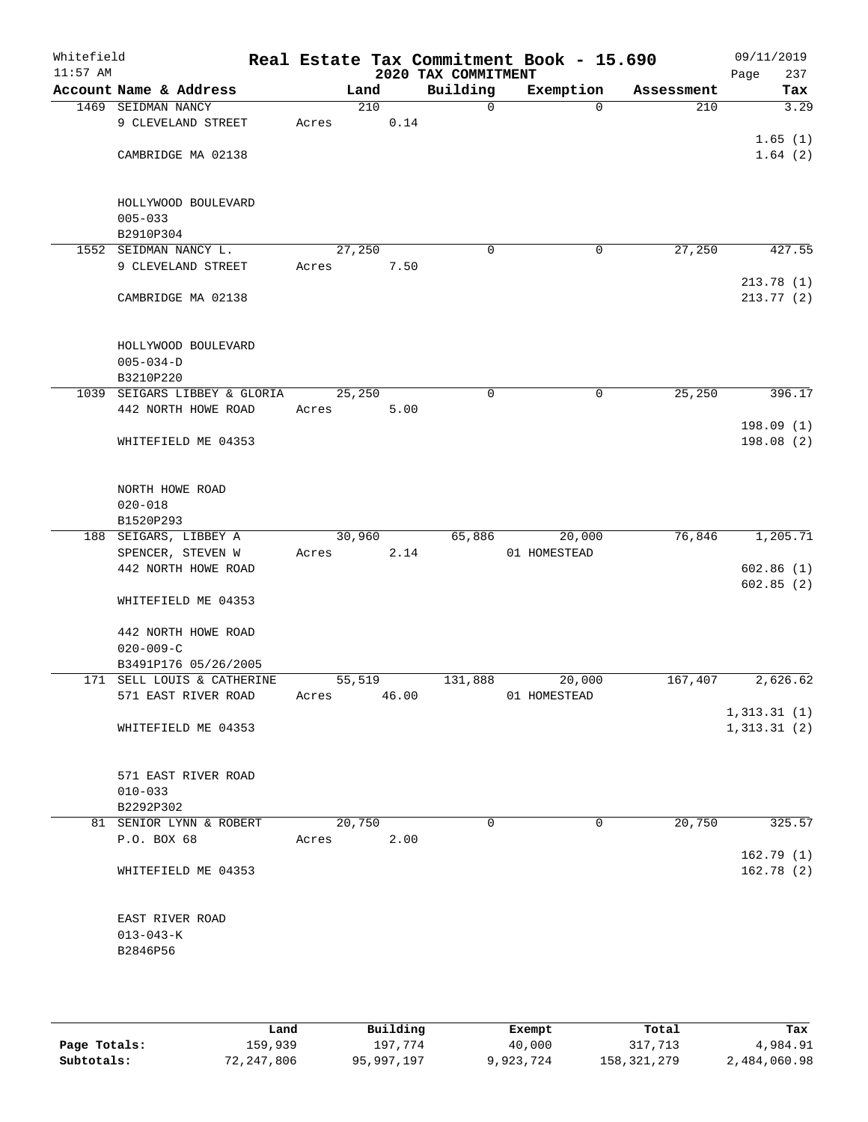| Whitefield<br>$11:57$ AM |                              |       |        | 2020 TAX COMMITMENT | Real Estate Tax Commitment Book - 15.690 |            | 09/11/2019<br>Page<br>237 |
|--------------------------|------------------------------|-------|--------|---------------------|------------------------------------------|------------|---------------------------|
|                          | Account Name & Address       |       | Land   | Building            | Exemption                                | Assessment | Tax                       |
|                          | 1469 SEIDMAN NANCY           |       | 210    | $\mathsf{O}$        | $\Omega$                                 | 210        | 3.29                      |
|                          | 9 CLEVELAND STREET           | Acres | 0.14   |                     |                                          |            |                           |
|                          |                              |       |        |                     |                                          |            | 1.65(1)                   |
|                          | CAMBRIDGE MA 02138           |       |        |                     |                                          |            | 1.64(2)                   |
|                          |                              |       |        |                     |                                          |            |                           |
|                          |                              |       |        |                     |                                          |            |                           |
|                          | HOLLYWOOD BOULEVARD          |       |        |                     |                                          |            |                           |
|                          | $005 - 033$                  |       |        |                     |                                          |            |                           |
|                          | B2910P304                    |       |        |                     |                                          |            |                           |
|                          | 1552 SEIDMAN NANCY L.        |       | 27,250 | $\mathbf 0$         | $\mathbf 0$                              | 27,250     | 427.55                    |
|                          | 9 CLEVELAND STREET           | Acres | 7.50   |                     |                                          |            |                           |
|                          |                              |       |        |                     |                                          |            | 213.78(1)                 |
|                          | CAMBRIDGE MA 02138           |       |        |                     |                                          |            | 213.77 (2)                |
|                          |                              |       |        |                     |                                          |            |                           |
|                          |                              |       |        |                     |                                          |            |                           |
|                          | HOLLYWOOD BOULEVARD          |       |        |                     |                                          |            |                           |
|                          | $005 - 034 - D$              |       |        |                     |                                          |            |                           |
|                          | B3210P220                    |       |        |                     |                                          |            |                           |
|                          | 1039 SEIGARS LIBBEY & GLORIA |       | 25,250 | 0                   | 0                                        | 25, 250    | 396.17                    |
|                          | 442 NORTH HOWE ROAD          | Acres | 5.00   |                     |                                          |            |                           |
|                          |                              |       |        |                     |                                          |            | 198.09(1)                 |
|                          | WHITEFIELD ME 04353          |       |        |                     |                                          |            | 198.08(2)                 |
|                          |                              |       |        |                     |                                          |            |                           |
|                          |                              |       |        |                     |                                          |            |                           |
|                          | NORTH HOWE ROAD              |       |        |                     |                                          |            |                           |
|                          | $020 - 018$                  |       |        |                     |                                          |            |                           |
|                          | B1520P293                    |       |        |                     |                                          |            |                           |
|                          | 188 SEIGARS, LIBBEY A        |       | 30,960 | 65,886              | 20,000                                   | 76,846     | 1,205.71                  |
|                          | SPENCER, STEVEN W            | Acres | 2.14   |                     | 01 HOMESTEAD                             |            |                           |
|                          | 442 NORTH HOWE ROAD          |       |        |                     |                                          |            | 602.86(1)                 |
|                          |                              |       |        |                     |                                          |            | 602.85(2)                 |
|                          | WHITEFIELD ME 04353          |       |        |                     |                                          |            |                           |
|                          |                              |       |        |                     |                                          |            |                           |
|                          | 442 NORTH HOWE ROAD          |       |        |                     |                                          |            |                           |
|                          | $020 - 009 - C$              |       |        |                     |                                          |            |                           |
|                          | B3491P176 05/26/2005         |       |        |                     |                                          |            |                           |
|                          | 171 SELL LOUIS & CATHERINE   |       | 55,519 | 131,888             | 20,000                                   | 167,407    | 2,626.62                  |
|                          | 571 EAST RIVER ROAD          | Acres | 46.00  |                     | 01 HOMESTEAD                             |            |                           |
|                          |                              |       |        |                     |                                          |            | 1, 313.31(1)              |
|                          | WHITEFIELD ME 04353          |       |        |                     |                                          |            | 1, 313.31(2)              |
|                          |                              |       |        |                     |                                          |            |                           |
|                          |                              |       |        |                     |                                          |            |                           |
|                          | 571 EAST RIVER ROAD          |       |        |                     |                                          |            |                           |
|                          | $010 - 033$                  |       |        |                     |                                          |            |                           |
|                          | B2292P302                    |       |        |                     |                                          |            |                           |
|                          | 81 SENIOR LYNN & ROBERT      |       | 20,750 | $\Omega$            | 0                                        | 20,750     | 325.57                    |
|                          | P.O. BOX 68                  | Acres | 2.00   |                     |                                          |            |                           |
|                          |                              |       |        |                     |                                          |            |                           |
|                          |                              |       |        |                     |                                          |            | 162.79(1)                 |
|                          | WHITEFIELD ME 04353          |       |        |                     |                                          |            | 162.78(2)                 |
|                          |                              |       |        |                     |                                          |            |                           |
|                          |                              |       |        |                     |                                          |            |                           |
|                          | EAST RIVER ROAD              |       |        |                     |                                          |            |                           |
|                          | $013 - 043 - K$              |       |        |                     |                                          |            |                           |
|                          | B2846P56                     |       |        |                     |                                          |            |                           |
|                          |                              |       |        |                     |                                          |            |                           |
|                          |                              |       |        |                     |                                          |            |                           |

|              | Land       | Building   | Exempt    | Total       | Tax          |
|--------------|------------|------------|-----------|-------------|--------------|
| Page Totals: | 159,939    | 197.774    | 40,000    | 317,713     | 4,984.91     |
| Subtotals:   | 72,247,806 | 95,997,197 | 9,923,724 | 158,321,279 | 2,484,060.98 |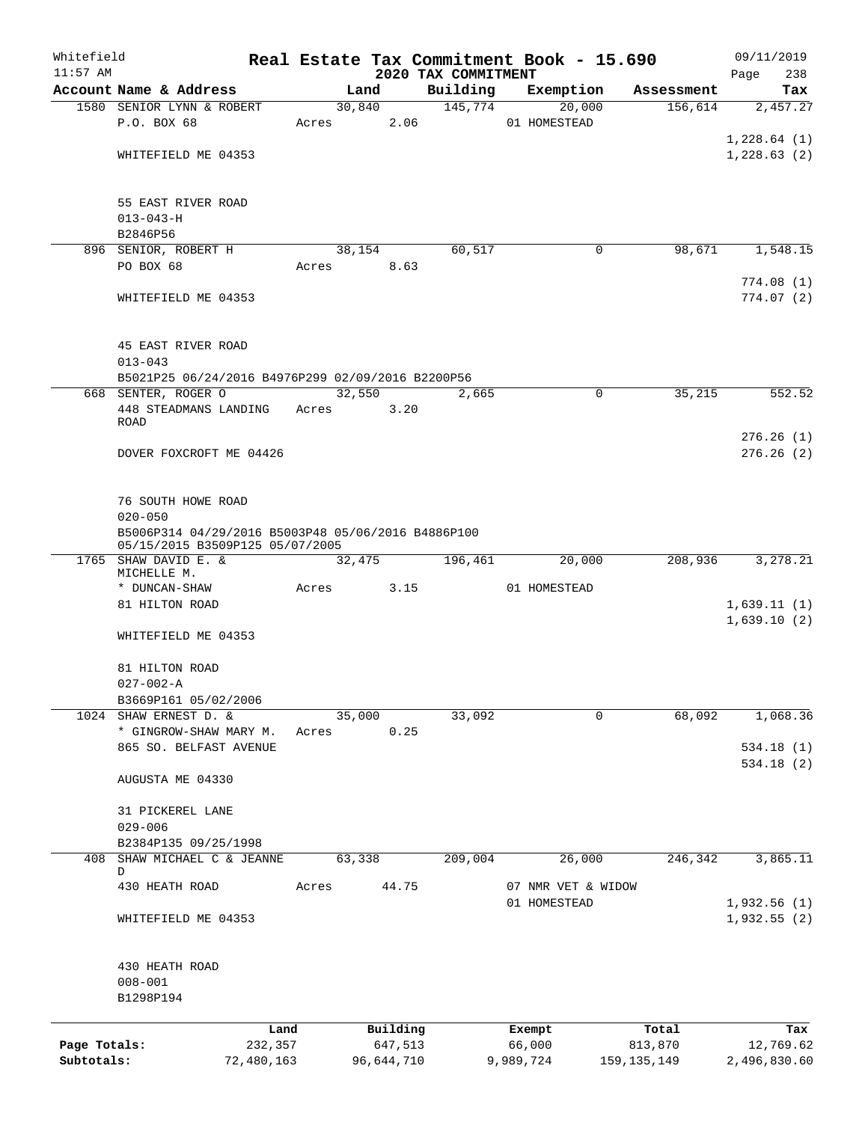| Whitefield                 |                                                                                       |         |        |                       |                                 | Real Estate Tax Commitment Book - 15.690 |                          | 09/11/2019                |
|----------------------------|---------------------------------------------------------------------------------------|---------|--------|-----------------------|---------------------------------|------------------------------------------|--------------------------|---------------------------|
| $11:57$ AM                 | Account Name & Address                                                                |         | Land   |                       | 2020 TAX COMMITMENT<br>Building |                                          | Assessment               | 238<br>Page               |
|                            | 1580 SENIOR LYNN & ROBERT                                                             |         | 30,840 |                       | 145,774                         | Exemption<br>20,000                      | 156,614                  | Tax<br>2,457.27           |
|                            | P.O. BOX 68                                                                           | Acres   |        | 2.06                  |                                 | 01 HOMESTEAD                             |                          |                           |
|                            |                                                                                       |         |        |                       |                                 |                                          |                          | 1,228.64(1)               |
|                            | WHITEFIELD ME 04353                                                                   |         |        |                       |                                 |                                          |                          | 1,228.63(2)               |
|                            |                                                                                       |         |        |                       |                                 |                                          |                          |                           |
|                            |                                                                                       |         |        |                       |                                 |                                          |                          |                           |
|                            | 55 EAST RIVER ROAD<br>$013 - 043 - H$                                                 |         |        |                       |                                 |                                          |                          |                           |
|                            | B2846P56                                                                              |         |        |                       |                                 |                                          |                          |                           |
|                            | 896 SENIOR, ROBERT H                                                                  |         | 38,154 |                       | 60,517                          | 0                                        | 98,671                   | 1,548.15                  |
|                            | PO BOX 68                                                                             | Acres   |        | 8.63                  |                                 |                                          |                          |                           |
|                            |                                                                                       |         |        |                       |                                 |                                          |                          | 774.08(1)                 |
|                            | WHITEFIELD ME 04353                                                                   |         |        |                       |                                 |                                          |                          | 774.07(2)                 |
|                            | 45 EAST RIVER ROAD                                                                    |         |        |                       |                                 |                                          |                          |                           |
|                            | $013 - 043$                                                                           |         |        |                       |                                 |                                          |                          |                           |
|                            | B5021P25 06/24/2016 B4976P299 02/09/2016 B2200P56                                     |         |        |                       |                                 |                                          |                          |                           |
|                            | 668 SENTER, ROGER O                                                                   |         | 32,550 |                       | 2,665                           | 0                                        | 35,215                   | 552.52                    |
|                            | 448 STEADMANS LANDING                                                                 | Acres   |        | 3.20                  |                                 |                                          |                          |                           |
|                            | <b>ROAD</b>                                                                           |         |        |                       |                                 |                                          |                          | 276.26(1)                 |
|                            | DOVER FOXCROFT ME 04426                                                               |         |        |                       |                                 |                                          |                          | 276.26(2)                 |
|                            |                                                                                       |         |        |                       |                                 |                                          |                          |                           |
|                            |                                                                                       |         |        |                       |                                 |                                          |                          |                           |
|                            | 76 SOUTH HOWE ROAD                                                                    |         |        |                       |                                 |                                          |                          |                           |
|                            | $020 - 050$                                                                           |         |        |                       |                                 |                                          |                          |                           |
|                            | B5006P314 04/29/2016 B5003P48 05/06/2016 B4886P100<br>05/15/2015 B3509P125 05/07/2005 |         |        |                       |                                 |                                          |                          |                           |
|                            | 1765 SHAW DAVID E. &                                                                  |         | 32,475 |                       | 196,461                         | 20,000                                   | 208,936                  | 3,278.21                  |
|                            | MICHELLE M.<br>* DUNCAN-SHAW                                                          | Acres   |        | 3.15                  |                                 | 01 HOMESTEAD                             |                          |                           |
|                            | 81 HILTON ROAD                                                                        |         |        |                       |                                 |                                          |                          | 1,639.11(1)               |
|                            |                                                                                       |         |        |                       |                                 |                                          |                          | 1,639.10(2)               |
|                            | WHITEFIELD ME 04353                                                                   |         |        |                       |                                 |                                          |                          |                           |
|                            | 81 HILTON ROAD                                                                        |         |        |                       |                                 |                                          |                          |                           |
|                            | $027 - 002 - A$                                                                       |         |        |                       |                                 |                                          |                          |                           |
|                            | B3669P161 05/02/2006                                                                  |         |        |                       |                                 |                                          |                          |                           |
|                            | 1024 SHAW ERNEST D. &                                                                 |         | 35,000 |                       | 33,092                          | 0                                        | 68,092                   | 1,068.36                  |
|                            | * GINGROW-SHAW MARY M.                                                                | Acres   |        | 0.25                  |                                 |                                          |                          |                           |
|                            | 865 SO. BELFAST AVENUE                                                                |         |        |                       |                                 |                                          |                          | 534.18(1)                 |
|                            | AUGUSTA ME 04330                                                                      |         |        |                       |                                 |                                          |                          | 534.18(2)                 |
|                            | 31 PICKEREL LANE                                                                      |         |        |                       |                                 |                                          |                          |                           |
|                            | $029 - 006$                                                                           |         |        |                       |                                 |                                          |                          |                           |
|                            | B2384P135 09/25/1998                                                                  |         |        |                       |                                 |                                          |                          |                           |
|                            | 408 SHAW MICHAEL C & JEANNE                                                           |         | 63,338 |                       | 209,004                         | 26,000                                   | 246, 342                 | 3,865.11                  |
|                            | D                                                                                     |         |        | 44.75                 |                                 |                                          |                          |                           |
|                            | 430 HEATH ROAD                                                                        | Acres   |        |                       |                                 | 07 NMR VET & WIDOW<br>01 HOMESTEAD       |                          | 1,932.56 (1)              |
|                            | WHITEFIELD ME 04353                                                                   |         |        |                       |                                 |                                          |                          | 1,932.55(2)               |
|                            |                                                                                       |         |        |                       |                                 |                                          |                          |                           |
|                            | 430 HEATH ROAD<br>$008 - 001$                                                         |         |        |                       |                                 |                                          |                          |                           |
|                            | B1298P194                                                                             |         |        |                       |                                 |                                          |                          |                           |
|                            |                                                                                       |         |        |                       |                                 |                                          |                          |                           |
|                            |                                                                                       | Land    |        | Building              |                                 | Exempt                                   | Total                    | Tax                       |
| Page Totals:<br>Subtotals: | 72,480,163                                                                            | 232,357 |        | 647,513<br>96,644,710 |                                 | 66,000<br>9,989,724                      | 813,870<br>159, 135, 149 | 12,769.62<br>2,496,830.60 |
|                            |                                                                                       |         |        |                       |                                 |                                          |                          |                           |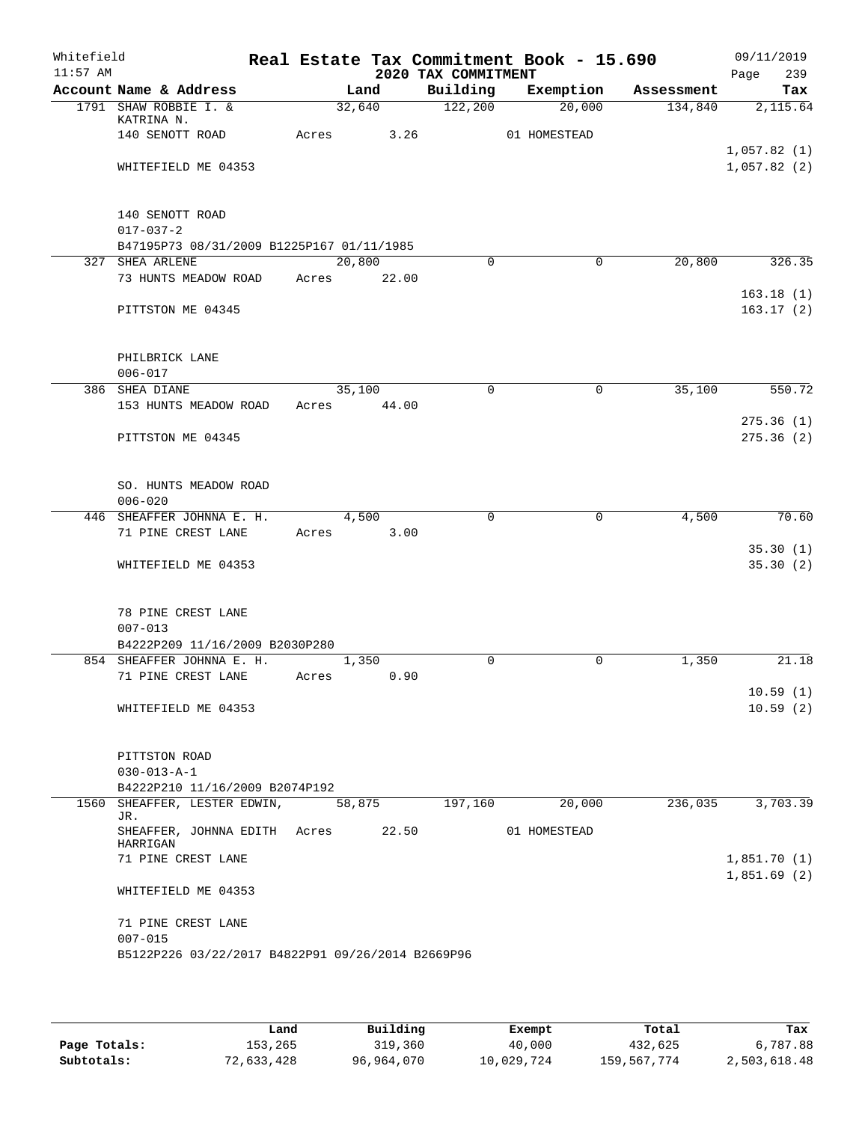| Whitefield<br>$11:57$ AM |                                                                |                        | 2020 TAX COMMITMENT | Real Estate Tax Commitment Book - 15.690 |            | 09/11/2019<br>239<br>Page  |
|--------------------------|----------------------------------------------------------------|------------------------|---------------------|------------------------------------------|------------|----------------------------|
|                          | Account Name & Address                                         | Land                   | Building            | Exemption                                | Assessment | Tax                        |
|                          | 1791 SHAW ROBBIE I. &<br>KATRINA N.                            | 32,640                 | 122,200             | 20,000                                   | 134,840    | 2,115.64                   |
|                          | 140 SENOTT ROAD                                                | 3.26<br>Acres          |                     | 01 HOMESTEAD                             |            | 1,057.82(1)                |
|                          | WHITEFIELD ME 04353                                            |                        |                     |                                          |            | 1,057.82(2)                |
|                          | 140 SENOTT ROAD<br>$017 - 037 - 2$                             |                        |                     |                                          |            |                            |
|                          | B47195P73 08/31/2009 B1225P167 01/11/1985                      |                        |                     |                                          |            |                            |
|                          | 327 SHEA ARLENE<br>73 HUNTS MEADOW ROAD                        | 20,800<br>Acres 22.00  | $\Omega$            | $\mathbf 0$                              | 20,800     | 326.35                     |
|                          | PITTSTON ME 04345                                              |                        |                     |                                          |            | 163.18(1)<br>163.17(2)     |
|                          | PHILBRICK LANE                                                 |                        |                     |                                          |            |                            |
|                          | $006 - 017$                                                    |                        |                     |                                          |            |                            |
|                          | 386 SHEA DIANE<br>153 HUNTS MEADOW ROAD                        | 35,100<br>Acres 44.00  | $\mathbf 0$         | 0                                        | 35,100     | 550.72                     |
|                          | PITTSTON ME 04345                                              |                        |                     |                                          |            | 275.36(1)<br>275.36(2)     |
|                          | SO. HUNTS MEADOW ROAD<br>$006 - 020$                           |                        |                     |                                          |            |                            |
|                          | 446 SHEAFFER JOHNNA E. H.                                      | 4,500                  | $\Omega$            | $\mathbf 0$                              | 4,500      | 70.60                      |
|                          | 71 PINE CREST LANE                                             | 3.00<br>Acres          |                     |                                          |            |                            |
|                          | WHITEFIELD ME 04353                                            |                        |                     |                                          |            | 35.30(1)<br>35.30(2)       |
|                          | 78 PINE CREST LANE<br>$007 - 013$                              |                        |                     |                                          |            |                            |
|                          | B4222P209 11/16/2009 B2030P280                                 |                        |                     |                                          |            |                            |
|                          | 854 SHEAFFER JOHNNA E. H.<br>71 PINE CREST LANE                | 1,350<br>0.90<br>Acres | $\mathbf 0$         | $\mathbf 0$                              | 1,350      | 21.18                      |
|                          | WHITEFIELD ME 04353                                            |                        |                     |                                          |            | 10.59(1)<br>10.59(2)       |
|                          | PITTSTON ROAD<br>$030 - 013 - A - 1$                           |                        |                     |                                          |            |                            |
|                          | B4222P210 11/16/2009 B2074P192<br>1560 SHEAFFER, LESTER EDWIN, |                        | 197,160             |                                          |            |                            |
|                          | JR.                                                            | 58,875                 |                     | 20,000                                   | 236,035    | 3,703.39                   |
|                          | SHEAFFER, JOHNNA EDITH Acres<br>HARRIGAN                       | 22.50                  |                     | 01 HOMESTEAD                             |            |                            |
|                          | 71 PINE CREST LANE                                             |                        |                     |                                          |            | 1,851.70(1)<br>1,851.69(2) |
|                          | WHITEFIELD ME 04353                                            |                        |                     |                                          |            |                            |
|                          | 71 PINE CREST LANE<br>$007 - 015$                              |                        |                     |                                          |            |                            |
|                          | B5122P226 03/22/2017 B4822P91 09/26/2014 B2669P96              |                        |                     |                                          |            |                            |

|              | Land       | Building   | Exempt     | Total       | Tax          |
|--------------|------------|------------|------------|-------------|--------------|
| Page Totals: | 153,265    | 319,360    | 40,000     | 432,625     | 6,787.88     |
| Subtotals:   | 72,633,428 | 96,964,070 | 10,029,724 | 159,567,774 | 2,503,618.48 |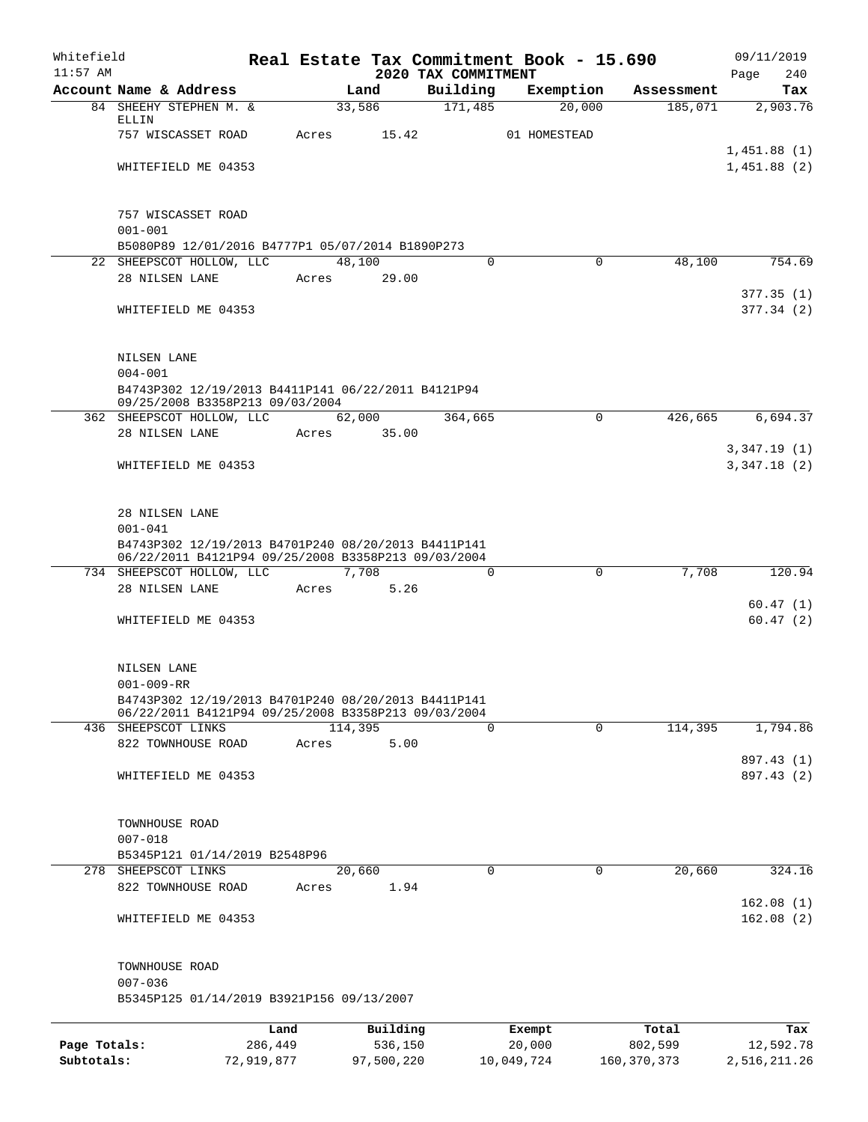| Whitefield<br>$11:57$ AM |                                                                                                            |                 |                     | 2020 TAX COMMITMENT | Real Estate Tax Commitment Book - 15.690 |                  | 09/11/2019<br>240<br>Page  |
|--------------------------|------------------------------------------------------------------------------------------------------------|-----------------|---------------------|---------------------|------------------------------------------|------------------|----------------------------|
|                          | Account Name & Address                                                                                     |                 | Land                | Building            | Exemption                                | Assessment       | Tax                        |
|                          | 84 SHEEHY STEPHEN M. &                                                                                     |                 | 33,586              | 171,485             | 20,000                                   | 185,071          | 2,903.76                   |
|                          | ELLIN<br>757 WISCASSET ROAD                                                                                | Acres           | 15.42               |                     | 01 HOMESTEAD                             |                  |                            |
|                          |                                                                                                            |                 |                     |                     |                                          |                  | 1,451.88(1)                |
|                          | WHITEFIELD ME 04353                                                                                        |                 |                     |                     |                                          |                  | 1,451.88(2)                |
|                          |                                                                                                            |                 |                     |                     |                                          |                  |                            |
|                          | 757 WISCASSET ROAD<br>$001 - 001$                                                                          |                 |                     |                     |                                          |                  |                            |
|                          | B5080P89 12/01/2016 B4777P1 05/07/2014 B1890P273                                                           |                 |                     |                     |                                          |                  |                            |
|                          | 22 SHEEPSCOT HOLLOW, LLC                                                                                   |                 | 48,100              | $\Omega$            | $\Omega$                                 | 48,100           | 754.69                     |
|                          | 28 NILSEN LANE                                                                                             | Acres           | 29.00               |                     |                                          |                  |                            |
|                          | WHITEFIELD ME 04353                                                                                        |                 |                     |                     |                                          |                  | 377.35(1)<br>377.34(2)     |
|                          |                                                                                                            |                 |                     |                     |                                          |                  |                            |
|                          | NILSEN LANE<br>$004 - 001$                                                                                 |                 |                     |                     |                                          |                  |                            |
|                          | B4743P302 12/19/2013 B4411P141 06/22/2011 B4121P94<br>09/25/2008 B3358P213 09/03/2004                      |                 |                     |                     |                                          |                  |                            |
|                          | 362 SHEEPSCOT HOLLOW, LLC                                                                                  |                 | 62,000              | 364,665             | $\mathbf 0$                              | 426,665          | 6,694.37                   |
|                          | 28 NILSEN LANE                                                                                             | Acres           | 35.00               |                     |                                          |                  |                            |
|                          | WHITEFIELD ME 04353                                                                                        |                 |                     |                     |                                          |                  | 3,347.19(1)<br>3,347.18(2) |
|                          | 28 NILSEN LANE                                                                                             |                 |                     |                     |                                          |                  |                            |
|                          | $001 - 041$                                                                                                |                 |                     |                     |                                          |                  |                            |
|                          | B4743P302 12/19/2013 B4701P240 08/20/2013 B4411P141<br>06/22/2011 B4121P94 09/25/2008 B3358P213 09/03/2004 |                 |                     |                     |                                          |                  |                            |
|                          | 734 SHEEPSCOT HOLLOW, LLC                                                                                  |                 | 7,708               | $\Omega$            | 0                                        | 7,708            | 120.94                     |
|                          | 28 NILSEN LANE                                                                                             | Acres           | 5.26                |                     |                                          |                  |                            |
|                          | WHITEFIELD ME 04353                                                                                        |                 |                     |                     |                                          |                  | 60.47(1)<br>60.47(2)       |
|                          | NILSEN LANE                                                                                                |                 |                     |                     |                                          |                  |                            |
|                          | $001 - 009 - RR$                                                                                           |                 |                     |                     |                                          |                  |                            |
|                          | B4743P302 12/19/2013 B4701P240 08/20/2013 B4411P141<br>06/22/2011 B4121P94 09/25/2008 B3358P213 09/03/2004 |                 |                     | $\mathbf 0$         | $\overline{0}$                           |                  |                            |
|                          | 436 SHEEPSCOT LINKS<br>822 TOWNHOUSE ROAD                                                                  | Acres           | 114,395<br>5.00     |                     |                                          | 114,395          | 1,794.86                   |
|                          |                                                                                                            |                 |                     |                     |                                          |                  | 897.43 (1)                 |
|                          | WHITEFIELD ME 04353                                                                                        |                 |                     |                     |                                          |                  | 897.43 (2)                 |
|                          | TOWNHOUSE ROAD                                                                                             |                 |                     |                     |                                          |                  |                            |
|                          | $007 - 018$                                                                                                |                 |                     |                     |                                          |                  |                            |
|                          | B5345P121 01/14/2019 B2548P96<br>278 SHEEPSCOT LINKS                                                       |                 | 20,660              | $\mathbf 0$         | $\mathbf 0$                              | 20,660           | 324.16                     |
|                          | 822 TOWNHOUSE ROAD                                                                                         | Acres           | 1.94                |                     |                                          |                  |                            |
|                          | WHITEFIELD ME 04353                                                                                        |                 |                     |                     |                                          |                  | 162.08(1)<br>162.08(2)     |
|                          |                                                                                                            |                 |                     |                     |                                          |                  |                            |
|                          | TOWNHOUSE ROAD<br>$007 - 036$                                                                              |                 |                     |                     |                                          |                  |                            |
|                          | B5345P125 01/14/2019 B3921P156 09/13/2007                                                                  |                 |                     |                     |                                          |                  |                            |
|                          |                                                                                                            |                 |                     |                     |                                          |                  |                            |
| Page Totals:             |                                                                                                            | Land<br>286,449 | Building<br>536,150 |                     | Exempt<br>20,000                         | Total<br>802,599 | Tax<br>12,592.78           |
|                          |                                                                                                            |                 |                     |                     |                                          |                  |                            |

**Subtotals:** 72,919,877 97,500,220 10,049,724 160,370,373 2,516,211.26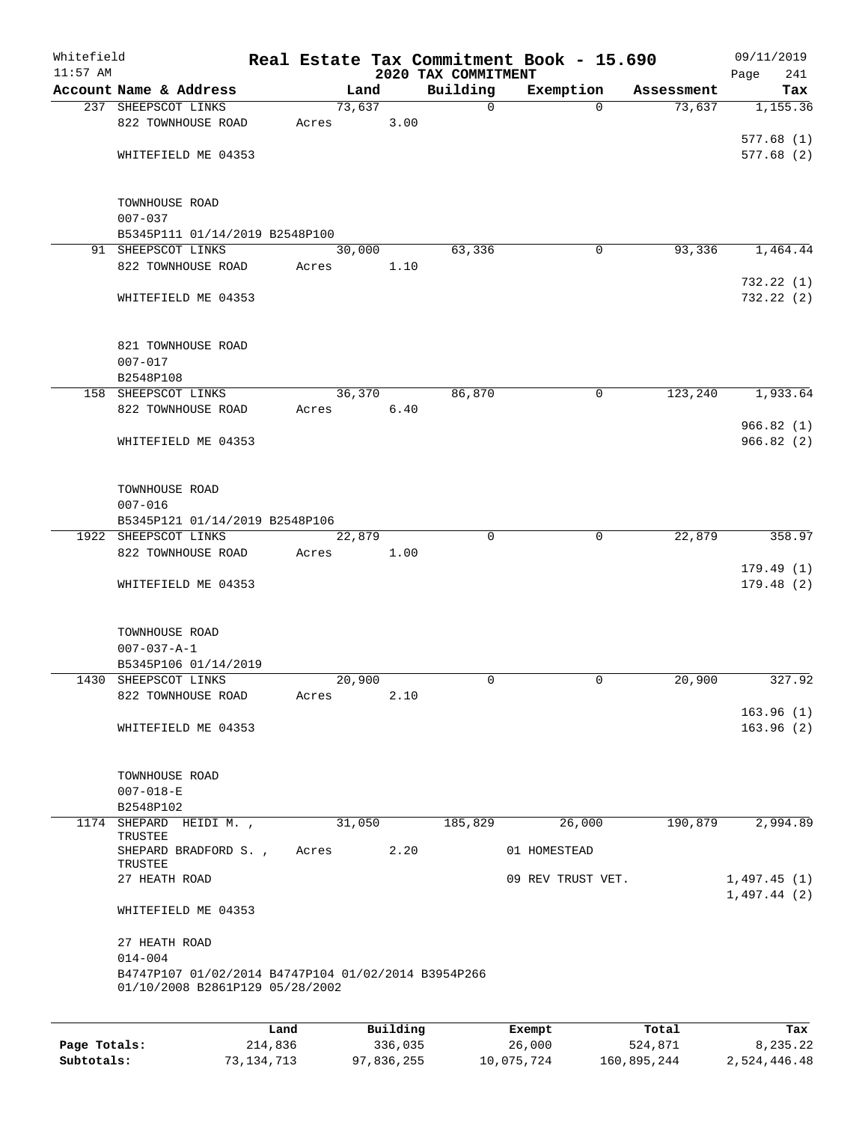| Whitefield<br>$11:57$ AM |                                                                                        |      |       |        |          | 2020 TAX COMMITMENT | Real Estate Tax Commitment Book - 15.690 |            | 09/11/2019<br>241<br>Page |
|--------------------------|----------------------------------------------------------------------------------------|------|-------|--------|----------|---------------------|------------------------------------------|------------|---------------------------|
|                          | Account Name & Address                                                                 |      |       | Land   |          | Building            | Exemption                                | Assessment | Tax                       |
|                          | 237 SHEEPSCOT LINKS                                                                    |      |       | 73,637 |          | 0                   | $\Omega$                                 | 73,637     | 1,155.36                  |
|                          | 822 TOWNHOUSE ROAD                                                                     |      | Acres |        | 3.00     |                     |                                          |            |                           |
|                          |                                                                                        |      |       |        |          |                     |                                          |            | 577.68(1)                 |
|                          | WHITEFIELD ME 04353                                                                    |      |       |        |          |                     |                                          |            | 577.68(2)                 |
|                          |                                                                                        |      |       |        |          |                     |                                          |            |                           |
|                          | TOWNHOUSE ROAD                                                                         |      |       |        |          |                     |                                          |            |                           |
|                          | $007 - 037$                                                                            |      |       |        |          |                     |                                          |            |                           |
|                          | B5345P111 01/14/2019 B2548P100                                                         |      |       |        |          |                     |                                          |            |                           |
|                          | 91 SHEEPSCOT LINKS                                                                     |      |       | 30,000 |          | 63,336              | 0                                        | 93,336     | 1,464.44                  |
|                          | 822 TOWNHOUSE ROAD                                                                     |      | Acres |        | 1.10     |                     |                                          |            |                           |
|                          |                                                                                        |      |       |        |          |                     |                                          |            | 732.22(1)                 |
|                          | WHITEFIELD ME 04353                                                                    |      |       |        |          |                     |                                          |            | 732.22 (2)                |
|                          |                                                                                        |      |       |        |          |                     |                                          |            |                           |
|                          | 821 TOWNHOUSE ROAD                                                                     |      |       |        |          |                     |                                          |            |                           |
|                          | $007 - 017$                                                                            |      |       |        |          |                     |                                          |            |                           |
|                          | B2548P108                                                                              |      |       |        |          |                     |                                          |            |                           |
|                          | 158 SHEEPSCOT LINKS                                                                    |      |       | 36,370 |          | 86,870              | 0                                        | 123,240    | 1,933.64                  |
|                          | 822 TOWNHOUSE ROAD                                                                     |      | Acres |        | 6.40     |                     |                                          |            |                           |
|                          |                                                                                        |      |       |        |          |                     |                                          |            | 966.82(1)                 |
|                          | WHITEFIELD ME 04353                                                                    |      |       |        |          |                     |                                          |            | 966.82(2)                 |
|                          | TOWNHOUSE ROAD                                                                         |      |       |        |          |                     |                                          |            |                           |
|                          | $007 - 016$                                                                            |      |       |        |          |                     |                                          |            |                           |
|                          | B5345P121 01/14/2019 B2548P106                                                         |      |       |        |          |                     |                                          |            |                           |
|                          | 1922 SHEEPSCOT LINKS                                                                   |      |       | 22,879 |          | $\Omega$            | $\mathbf 0$                              | 22,879     | 358.97                    |
|                          | 822 TOWNHOUSE ROAD                                                                     |      | Acres |        | 1.00     |                     |                                          |            |                           |
|                          |                                                                                        |      |       |        |          |                     |                                          |            | 179.49(1)                 |
|                          | WHITEFIELD ME 04353                                                                    |      |       |        |          |                     |                                          |            | 179.48(2)                 |
|                          | TOWNHOUSE ROAD                                                                         |      |       |        |          |                     |                                          |            |                           |
|                          | $007 - 037 - A - 1$                                                                    |      |       |        |          |                     |                                          |            |                           |
|                          | B5345P106 01/14/2019                                                                   |      |       |        |          |                     |                                          |            |                           |
|                          | 1430 SHEEPSCOT LINKS                                                                   |      |       | 20,900 |          | 0                   | 0                                        | 20,900     | 327.92                    |
|                          | 822 TOWNHOUSE ROAD                                                                     |      | Acres |        | 2.10     |                     |                                          |            |                           |
|                          |                                                                                        |      |       |        |          |                     |                                          |            | 163.96(1)                 |
|                          | WHITEFIELD ME 04353                                                                    |      |       |        |          |                     |                                          |            | 163.96(2)                 |
|                          |                                                                                        |      |       |        |          |                     |                                          |            |                           |
|                          | TOWNHOUSE ROAD                                                                         |      |       |        |          |                     |                                          |            |                           |
|                          | $007 - 018 - E$                                                                        |      |       |        |          |                     |                                          |            |                           |
|                          | B2548P102                                                                              |      |       |        |          |                     |                                          |            |                           |
|                          | 1174 SHEPARD HEIDI M.,                                                                 |      |       | 31,050 |          | 185,829             | 26,000                                   | 190,879    | 2,994.89                  |
|                          | TRUSTEE                                                                                |      |       |        |          |                     |                                          |            |                           |
|                          | SHEPARD BRADFORD S.,<br>TRUSTEE                                                        |      | Acres |        | 2.20     |                     | 01 HOMESTEAD                             |            |                           |
|                          | 27 HEATH ROAD                                                                          |      |       |        |          |                     | 09 REV TRUST VET.                        |            | 1,497.45(1)               |
|                          | WHITEFIELD ME 04353                                                                    |      |       |        |          |                     |                                          |            | 1,497.44(2)               |
|                          | 27 HEATH ROAD                                                                          |      |       |        |          |                     |                                          |            |                           |
|                          | $014 - 004$                                                                            |      |       |        |          |                     |                                          |            |                           |
|                          | B4747P107 01/02/2014 B4747P104 01/02/2014 B3954P266<br>01/10/2008 B2861P129 05/28/2002 |      |       |        |          |                     |                                          |            |                           |
|                          |                                                                                        |      |       |        |          |                     |                                          |            |                           |
|                          |                                                                                        | Land |       |        | Building |                     | Exempt                                   | Total      | Tax                       |

| Page Totals: | 214,836    | 336,035    | 26,000     | 524,871     | 8,235.22     |
|--------------|------------|------------|------------|-------------|--------------|
| Subtotals:   | 73,134,713 | 97,836,255 | 10,075,724 | 160,895,244 | 2,524,446.48 |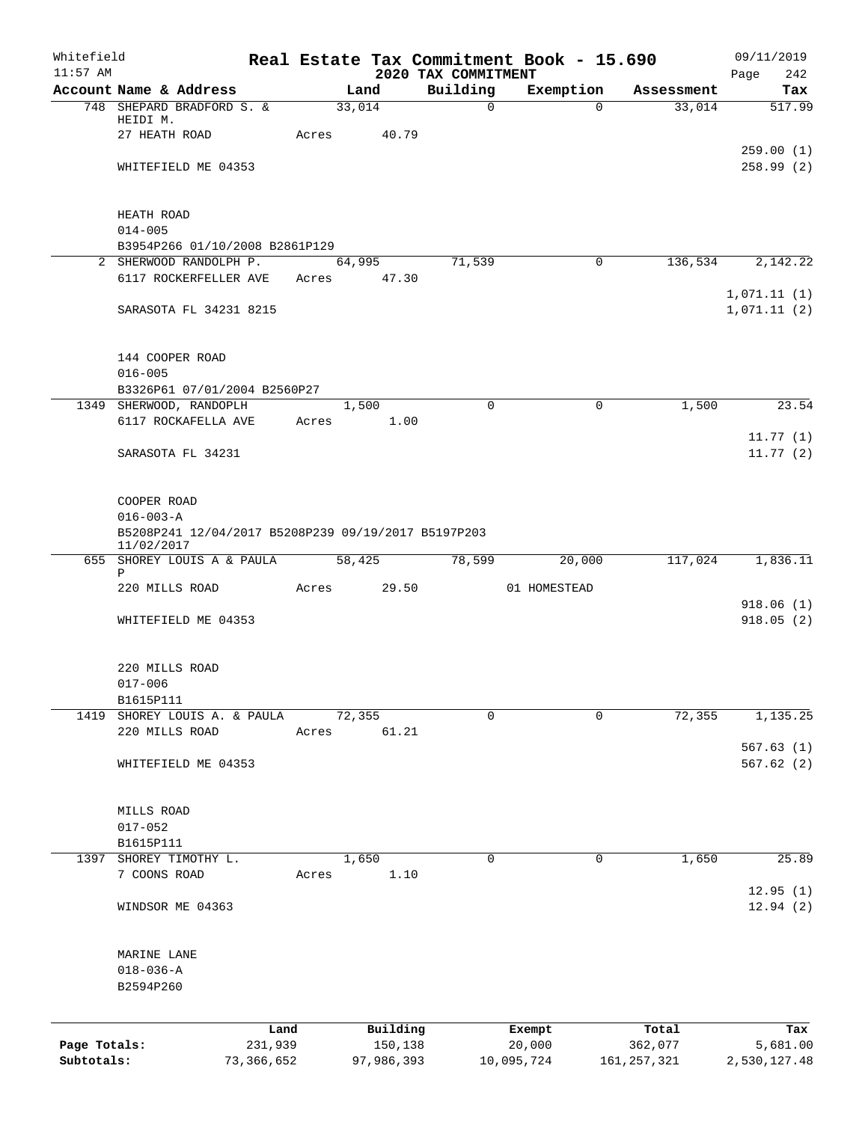| Whitefield   |                                                     |            |        |            |                                 | Real Estate Tax Commitment Book - 15.690 |               | 09/11/2019         |
|--------------|-----------------------------------------------------|------------|--------|------------|---------------------------------|------------------------------------------|---------------|--------------------|
| $11:57$ AM   | Account Name & Address                              |            |        | Land       | 2020 TAX COMMITMENT<br>Building | Exemption                                | Assessment    | Page<br>242<br>Tax |
|              | 748 SHEPARD BRADFORD S. &                           |            | 33,014 |            | $\mathsf{O}$                    | $\Omega$                                 | 33,014        | 517.99             |
|              | HEIDI M.                                            |            |        |            |                                 |                                          |               |                    |
|              | 27 HEATH ROAD                                       |            | Acres  | 40.79      |                                 |                                          |               |                    |
|              |                                                     |            |        |            |                                 |                                          |               | 259.00(1)          |
|              | WHITEFIELD ME 04353                                 |            |        |            |                                 |                                          |               | 258.99(2)          |
|              | HEATH ROAD                                          |            |        |            |                                 |                                          |               |                    |
|              | $014 - 005$                                         |            |        |            |                                 |                                          |               |                    |
|              | B3954P266 01/10/2008 B2861P129                      |            |        |            |                                 |                                          |               |                    |
|              | 2 SHERWOOD RANDOLPH P.                              |            |        | 64,995     | 71,539                          | 0                                        | 136,534       | 2,142.22           |
|              | 6117 ROCKERFELLER AVE                               |            | Acres  | 47.30      |                                 |                                          |               |                    |
|              |                                                     |            |        |            |                                 |                                          |               | 1,071.11(1)        |
|              | SARASOTA FL 34231 8215                              |            |        |            |                                 |                                          |               | 1,071.11(2)        |
|              |                                                     |            |        |            |                                 |                                          |               |                    |
|              | 144 COOPER ROAD                                     |            |        |            |                                 |                                          |               |                    |
|              | $016 - 005$<br>B3326P61 07/01/2004 B2560P27         |            |        |            |                                 |                                          |               |                    |
|              | 1349 SHERWOOD, RANDOPLH                             |            |        | 1,500      | $\mathbf 0$                     | $\mathbf 0$                              | 1,500         | 23.54              |
|              | 6117 ROCKAFELLA AVE                                 |            | Acres  | 1.00       |                                 |                                          |               |                    |
|              |                                                     |            |        |            |                                 |                                          |               | 11.77(1)           |
|              | SARASOTA FL 34231                                   |            |        |            |                                 |                                          |               | 11.77(2)           |
|              |                                                     |            |        |            |                                 |                                          |               |                    |
|              |                                                     |            |        |            |                                 |                                          |               |                    |
|              | COOPER ROAD                                         |            |        |            |                                 |                                          |               |                    |
|              | $016 - 003 - A$                                     |            |        |            |                                 |                                          |               |                    |
|              | B5208P241 12/04/2017 B5208P239 09/19/2017 B5197P203 |            |        |            |                                 |                                          |               |                    |
|              | 11/02/2017<br>655 SHOREY LOUIS A & PAULA            |            | 58,425 |            | 78,599                          | 20,000                                   | 117,024       | 1,836.11           |
|              | Ρ                                                   |            |        |            |                                 |                                          |               |                    |
|              | 220 MILLS ROAD                                      |            | Acres  | 29.50      |                                 | 01 HOMESTEAD                             |               |                    |
|              |                                                     |            |        |            |                                 |                                          |               | 918.06(1)          |
|              | WHITEFIELD ME 04353                                 |            |        |            |                                 |                                          |               | 918.05 (2)         |
|              | 220 MILLS ROAD                                      |            |        |            |                                 |                                          |               |                    |
|              | $017 - 006$                                         |            |        |            |                                 |                                          |               |                    |
|              | B1615P111                                           |            |        |            |                                 |                                          |               |                    |
|              | 1419 SHOREY LOUIS A. & PAULA                        |            | 72,355 |            | $\Omega$                        | 0                                        | 72,355        | 1,135.25           |
|              | 220 MILLS ROAD                                      |            | Acres  | 61.21      |                                 |                                          |               |                    |
|              |                                                     |            |        |            |                                 |                                          |               | 567.63(1)          |
|              | WHITEFIELD ME 04353                                 |            |        |            |                                 |                                          |               | 567.62(2)          |
|              | MILLS ROAD                                          |            |        |            |                                 |                                          |               |                    |
|              | $017 - 052$                                         |            |        |            |                                 |                                          |               |                    |
|              | B1615P111                                           |            |        |            |                                 |                                          |               |                    |
|              | 1397 SHOREY TIMOTHY L.                              |            |        | 1,650      | 0                               | 0                                        | 1,650         | 25.89              |
|              | 7 COONS ROAD                                        |            | Acres  | 1.10       |                                 |                                          |               |                    |
|              |                                                     |            |        |            |                                 |                                          |               | 12.95(1)           |
|              | WINDSOR ME 04363                                    |            |        |            |                                 |                                          |               | 12.94(2)           |
|              | MARINE LANE                                         |            |        |            |                                 |                                          |               |                    |
|              | $018 - 036 - A$                                     |            |        |            |                                 |                                          |               |                    |
|              | B2594P260                                           |            |        |            |                                 |                                          |               |                    |
|              |                                                     |            |        |            |                                 |                                          |               |                    |
|              |                                                     | Land       |        | Building   |                                 | Exempt                                   | Total         | Tax                |
| Page Totals: |                                                     | 231,939    |        | 150,138    |                                 | 20,000                                   | 362,077       | 5,681.00           |
| Subtotals:   |                                                     | 73,366,652 |        | 97,986,393 |                                 | 10,095,724                               | 161, 257, 321 | 2,530,127.48       |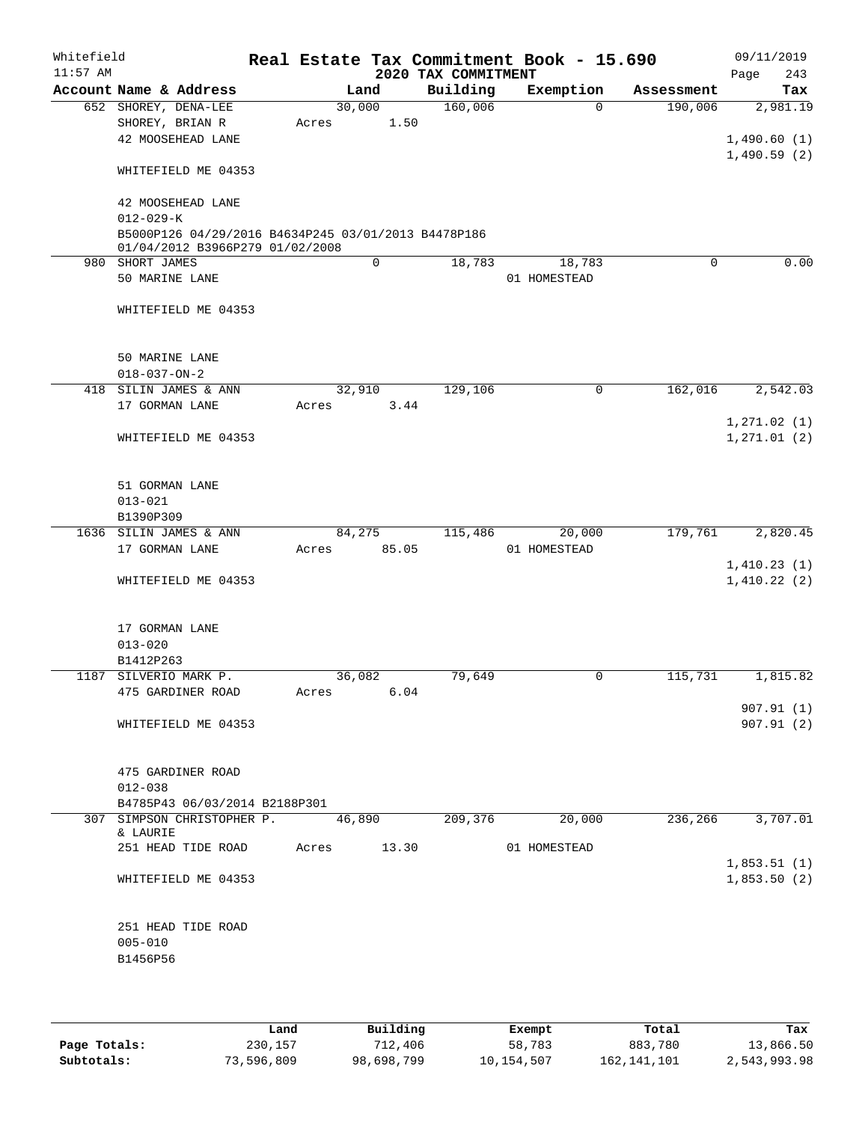| Whitefield<br>$11:57$ AM |                      |                                                                                        |       |        |       | 2020 TAX COMMITMENT | Real Estate Tax Commitment Book - 15.690 |            | 09/11/2019<br>243<br>Page |
|--------------------------|----------------------|----------------------------------------------------------------------------------------|-------|--------|-------|---------------------|------------------------------------------|------------|---------------------------|
|                          |                      | Account Name & Address                                                                 |       | Land   |       | Building            | Exemption                                | Assessment | Tax                       |
|                          |                      | 652 SHOREY, DENA-LEE                                                                   |       | 30,000 |       | 160,006             | $\Omega$                                 | 190,006    | 2,981.19                  |
|                          |                      | SHOREY, BRIAN R                                                                        | Acres |        | 1.50  |                     |                                          |            |                           |
|                          |                      | 42 MOOSEHEAD LANE                                                                      |       |        |       |                     |                                          |            | 1,490.60(1)               |
|                          |                      |                                                                                        |       |        |       |                     |                                          |            | 1,490.59(2)               |
|                          |                      | WHITEFIELD ME 04353                                                                    |       |        |       |                     |                                          |            |                           |
|                          |                      |                                                                                        |       |        |       |                     |                                          |            |                           |
|                          |                      | 42 MOOSEHEAD LANE                                                                      |       |        |       |                     |                                          |            |                           |
|                          | $012 - 029 - K$      |                                                                                        |       |        |       |                     |                                          |            |                           |
|                          |                      | B5000P126 04/29/2016 B4634P245 03/01/2013 B4478P186<br>01/04/2012 B3966P279 01/02/2008 |       |        |       |                     |                                          |            |                           |
|                          | 980 SHORT JAMES      |                                                                                        |       |        | 0     | 18,783              | 18,783                                   | $\Omega$   | 0.00                      |
|                          | 50 MARINE LANE       |                                                                                        |       |        |       |                     | 01 HOMESTEAD                             |            |                           |
|                          |                      |                                                                                        |       |        |       |                     |                                          |            |                           |
|                          |                      | WHITEFIELD ME 04353                                                                    |       |        |       |                     |                                          |            |                           |
|                          |                      |                                                                                        |       |        |       |                     |                                          |            |                           |
|                          |                      |                                                                                        |       |        |       |                     |                                          |            |                           |
|                          | 50 MARINE LANE       |                                                                                        |       |        |       |                     |                                          |            |                           |
|                          | $018 - 037 - ON - 2$ |                                                                                        |       |        |       |                     |                                          |            |                           |
|                          |                      | 418 SILIN JAMES & ANN                                                                  |       | 32,910 |       | 129,106             | 0                                        | 162,016    | 2,542.03                  |
|                          | 17 GORMAN LANE       |                                                                                        | Acres |        | 3.44  |                     |                                          |            |                           |
|                          |                      |                                                                                        |       |        |       |                     |                                          |            | 1, 271.02(1)              |
|                          |                      | WHITEFIELD ME 04353                                                                    |       |        |       |                     |                                          |            | 1, 271.01(2)              |
|                          |                      |                                                                                        |       |        |       |                     |                                          |            |                           |
|                          |                      |                                                                                        |       |        |       |                     |                                          |            |                           |
|                          | 51 GORMAN LANE       |                                                                                        |       |        |       |                     |                                          |            |                           |
|                          | $013 - 021$          |                                                                                        |       |        |       |                     |                                          |            |                           |
|                          | B1390P309            |                                                                                        |       |        |       |                     |                                          |            |                           |
|                          |                      | 1636 SILIN JAMES & ANN                                                                 |       | 84,275 |       | 115,486             | 20,000                                   | 179,761    | 2,820.45                  |
|                          | 17 GORMAN LANE       |                                                                                        | Acres |        | 85.05 |                     | 01 HOMESTEAD                             |            |                           |
|                          |                      |                                                                                        |       |        |       |                     |                                          |            | 1,410.23(1)               |
|                          |                      | WHITEFIELD ME 04353                                                                    |       |        |       |                     |                                          |            | 1,410.22(2)               |
|                          |                      |                                                                                        |       |        |       |                     |                                          |            |                           |
|                          |                      |                                                                                        |       |        |       |                     |                                          |            |                           |
|                          | 17 GORMAN LANE       |                                                                                        |       |        |       |                     |                                          |            |                           |
|                          | $013 - 020$          |                                                                                        |       |        |       |                     |                                          |            |                           |
|                          | B1412P263            |                                                                                        |       |        |       |                     |                                          |            |                           |
|                          |                      | 1187 SILVERIO MARK P.                                                                  |       | 36,082 |       | 79,649              | 0                                        | 115,731    | 1,815.82                  |
|                          |                      | 475 GARDINER ROAD                                                                      | Acres |        | 6.04  |                     |                                          |            |                           |
|                          |                      |                                                                                        |       |        |       |                     |                                          |            | 907.91(1)                 |
|                          |                      | WHITEFIELD ME 04353                                                                    |       |        |       |                     |                                          |            | 907.91(2)                 |
|                          |                      |                                                                                        |       |        |       |                     |                                          |            |                           |
|                          |                      |                                                                                        |       |        |       |                     |                                          |            |                           |
|                          |                      | 475 GARDINER ROAD                                                                      |       |        |       |                     |                                          |            |                           |
|                          | $012 - 038$          |                                                                                        |       |        |       |                     |                                          |            |                           |
|                          |                      | B4785P43 06/03/2014 B2188P301                                                          |       |        |       |                     |                                          |            |                           |
|                          | & LAURIE             | 307 SIMPSON CHRISTOPHER P.                                                             |       | 46,890 |       | 209,376             | 20,000                                   | 236,266    | 3,707.01                  |
|                          |                      | 251 HEAD TIDE ROAD                                                                     | Acres |        | 13.30 |                     | 01 HOMESTEAD                             |            |                           |
|                          |                      |                                                                                        |       |        |       |                     |                                          |            | 1,853.51(1)               |
|                          |                      | WHITEFIELD ME 04353                                                                    |       |        |       |                     |                                          |            | 1,853.50(2)               |
|                          |                      |                                                                                        |       |        |       |                     |                                          |            |                           |
|                          |                      |                                                                                        |       |        |       |                     |                                          |            |                           |
|                          |                      | 251 HEAD TIDE ROAD                                                                     |       |        |       |                     |                                          |            |                           |
|                          | $005 - 010$          |                                                                                        |       |        |       |                     |                                          |            |                           |
|                          | B1456P56             |                                                                                        |       |        |       |                     |                                          |            |                           |
|                          |                      |                                                                                        |       |        |       |                     |                                          |            |                           |
|                          |                      |                                                                                        |       |        |       |                     |                                          |            |                           |
|                          |                      |                                                                                        |       |        |       |                     |                                          |            |                           |

|              | Land       | Building   | Exempt     | Total         | Tax          |
|--------------|------------|------------|------------|---------------|--------------|
| Page Totals: | 230,157    | 712,406    | 58,783     | 883,780       | 13,866.50    |
| Subtotals:   | 73,596,809 | 98,698,799 | 10,154,507 | 162, 141, 101 | 2,543,993.98 |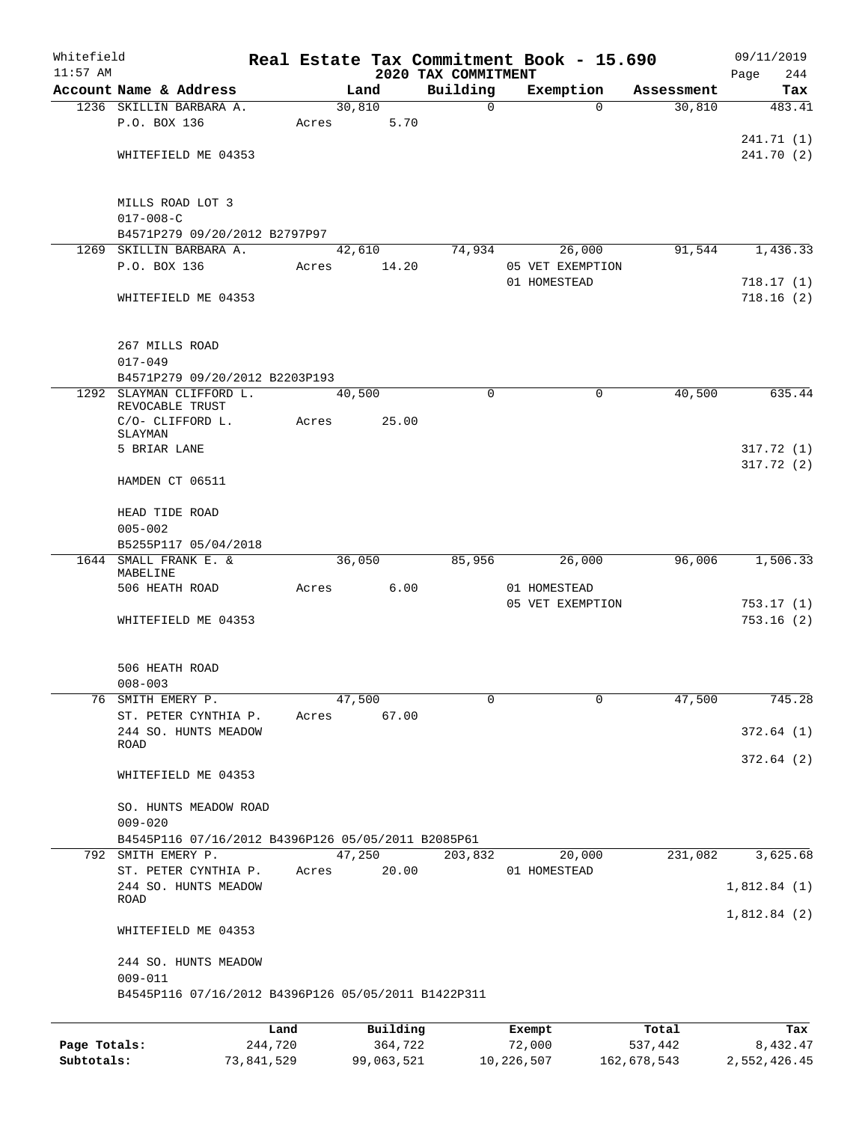| Whitefield<br>$11:57$ AM |                                                          |         |       |        |          |                                 |        | Real Estate Tax Commitment Book - 15.690 |            | 09/11/2019             |
|--------------------------|----------------------------------------------------------|---------|-------|--------|----------|---------------------------------|--------|------------------------------------------|------------|------------------------|
|                          | Account Name & Address                                   |         |       | Land   |          | 2020 TAX COMMITMENT<br>Building |        | Exemption                                | Assessment | 244<br>Page<br>Tax     |
|                          | 1236 SKILLIN BARBARA A.                                  |         |       | 30,810 |          | $\Omega$                        |        | $\Omega$                                 | 30,810     | 483.41                 |
|                          | P.O. BOX 136                                             |         | Acres |        | 5.70     |                                 |        |                                          |            |                        |
|                          |                                                          |         |       |        |          |                                 |        |                                          |            | 241.71 (1)             |
|                          | WHITEFIELD ME 04353                                      |         |       |        |          |                                 |        |                                          |            | 241.70(2)              |
|                          | MILLS ROAD LOT 3                                         |         |       |        |          |                                 |        |                                          |            |                        |
|                          | $017 - 008 - C$                                          |         |       |        |          |                                 |        |                                          |            |                        |
|                          | B4571P279 09/20/2012 B2797P97<br>1269 SKILLIN BARBARA A. |         |       |        |          |                                 |        |                                          | 91,544     |                        |
|                          | P.O. BOX 136                                             |         | Acres | 42,610 | 14.20    | 74,934                          |        | 26,000<br>05 VET EXEMPTION               |            | 1,436.33               |
|                          |                                                          |         |       |        |          |                                 |        | 01 HOMESTEAD                             |            | 718.17(1)              |
|                          | WHITEFIELD ME 04353                                      |         |       |        |          |                                 |        |                                          |            | 718.16(2)              |
|                          | 267 MILLS ROAD                                           |         |       |        |          |                                 |        |                                          |            |                        |
|                          | $017 - 049$                                              |         |       |        |          |                                 |        |                                          |            |                        |
|                          | B4571P279 09/20/2012 B2203P193                           |         |       |        |          |                                 |        |                                          |            |                        |
|                          | 1292 SLAYMAN CLIFFORD L.<br>REVOCABLE TRUST              |         |       | 40,500 |          | 0                               |        | 0                                        | 40,500     | 635.44                 |
|                          | C/O- CLIFFORD L.<br>SLAYMAN                              |         | Acres |        | 25.00    |                                 |        |                                          |            |                        |
|                          | 5 BRIAR LANE                                             |         |       |        |          |                                 |        |                                          |            | 317.72 (1)             |
|                          |                                                          |         |       |        |          |                                 |        |                                          |            | 317.72(2)              |
|                          | HAMDEN CT 06511                                          |         |       |        |          |                                 |        |                                          |            |                        |
|                          | HEAD TIDE ROAD                                           |         |       |        |          |                                 |        |                                          |            |                        |
|                          | $005 - 002$                                              |         |       |        |          |                                 |        |                                          |            |                        |
|                          | B5255P117 05/04/2018                                     |         |       |        |          |                                 |        |                                          |            |                        |
|                          | 1644 SMALL FRANK E. &<br>MABELINE                        |         |       | 36,050 |          | 85,956                          |        | 26,000                                   | 96,006     | 1,506.33               |
|                          | 506 HEATH ROAD                                           |         | Acres |        | 6.00     |                                 |        | 01 HOMESTEAD<br>05 VET EXEMPTION         |            |                        |
|                          | WHITEFIELD ME 04353                                      |         |       |        |          |                                 |        |                                          |            | 753.17(1)<br>753.16(2) |
|                          | 506 HEATH ROAD                                           |         |       |        |          |                                 |        |                                          |            |                        |
|                          | $008 - 003$                                              |         |       |        |          |                                 |        |                                          |            |                        |
|                          | 76 SMITH EMERY P.                                        |         |       | 47,500 |          | 0                               |        | $\Omega$                                 | 47,500     | 745.28                 |
|                          | ST. PETER CYNTHIA P.                                     |         | Acres |        | 67.00    |                                 |        |                                          |            |                        |
|                          | 244 SO. HUNTS MEADOW<br>ROAD                             |         |       |        |          |                                 |        |                                          |            | 372.64(1)              |
|                          | WHITEFIELD ME 04353                                      |         |       |        |          |                                 |        |                                          |            | 372.64(2)              |
|                          | SO. HUNTS MEADOW ROAD                                    |         |       |        |          |                                 |        |                                          |            |                        |
|                          | $009 - 020$                                              |         |       |        |          |                                 |        |                                          |            |                        |
|                          | B4545P116 07/16/2012 B4396P126 05/05/2011 B2085P61       |         |       |        |          |                                 |        |                                          |            |                        |
| 792                      | SMITH EMERY P.                                           |         |       | 47,250 |          | 203,832                         |        | 20,000                                   | 231,082    | 3,625.68               |
|                          | ST. PETER CYNTHIA P.<br>244 SO. HUNTS MEADOW             |         | Acres |        | 20.00    |                                 |        | 01 HOMESTEAD                             |            | 1,812.84(1)            |
|                          | ROAD                                                     |         |       |        |          |                                 |        |                                          |            | 1,812.84(2)            |
|                          | WHITEFIELD ME 04353                                      |         |       |        |          |                                 |        |                                          |            |                        |
|                          | 244 SO. HUNTS MEADOW<br>$009 - 011$                      |         |       |        |          |                                 |        |                                          |            |                        |
|                          | B4545P116 07/16/2012 B4396P126 05/05/2011 B1422P311      |         |       |        |          |                                 |        |                                          |            |                        |
|                          |                                                          | Land    |       |        | Building |                                 |        | Exempt                                   | Total      | Tax                    |
| Page Totals:             |                                                          | 244,720 |       |        | 364,722  |                                 | 72,000 |                                          | 537,442    | 8,432.47               |

**Subtotals:** 73,841,529 99,063,521 10,226,507 162,678,543 2,552,426.45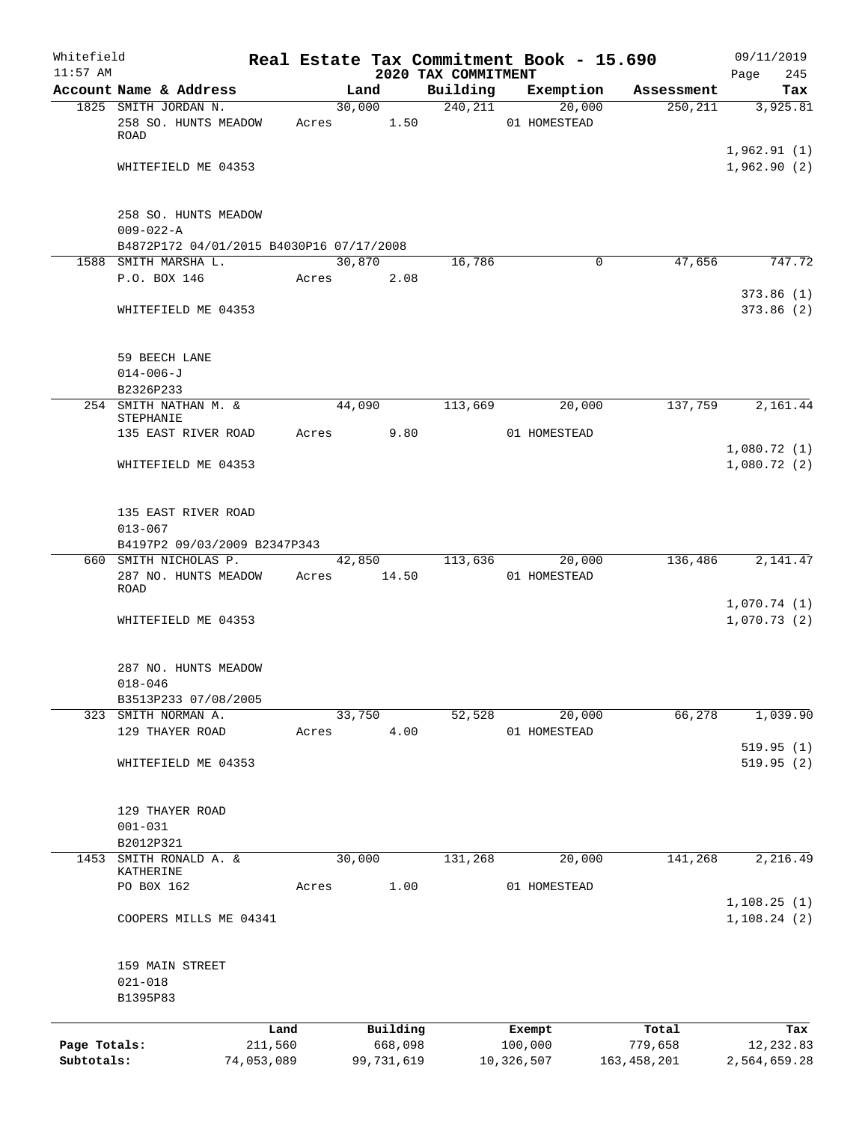| Whitefield<br>$11:57$ AM |                                                       |            |       |                |                                 | Real Estate Tax Commitment Book - 15.690 |               | 09/11/2019                 |
|--------------------------|-------------------------------------------------------|------------|-------|----------------|---------------------------------|------------------------------------------|---------------|----------------------------|
|                          | Account Name & Address                                |            |       | Land           | 2020 TAX COMMITMENT<br>Building | Exemption                                | Assessment    | 245<br>Page<br>Tax         |
|                          | 1825 SMITH JORDAN N.                                  |            |       | 30,000         | 240, 211                        | 20,000                                   | 250, 211      | 3,925.81                   |
|                          | 258 SO. HUNTS MEADOW<br>ROAD                          |            | Acres | 1.50           |                                 | 01 HOMESTEAD                             |               |                            |
|                          | WHITEFIELD ME 04353                                   |            |       |                |                                 |                                          |               | 1,962.91(1)<br>1,962.90(2) |
|                          | 258 SO. HUNTS MEADOW                                  |            |       |                |                                 |                                          |               |                            |
|                          | $009 - 022 - A$                                       |            |       |                |                                 |                                          |               |                            |
|                          | B4872P172 04/01/2015 B4030P16 07/17/2008              |            |       |                |                                 |                                          |               |                            |
|                          | 1588 SMITH MARSHA L.<br>P.O. BOX 146                  |            | Acres | 30,870<br>2.08 | 16,786                          | 0                                        | 47,656        | 747.72                     |
|                          |                                                       |            |       |                |                                 |                                          |               | 373.86(1)                  |
|                          | WHITEFIELD ME 04353                                   |            |       |                |                                 |                                          |               | 373.86(2)                  |
|                          | 59 BEECH LANE                                         |            |       |                |                                 |                                          |               |                            |
|                          | $014 - 006 - J$                                       |            |       |                |                                 |                                          |               |                            |
|                          | B2326P233<br>254 SMITH NATHAN M. &                    |            |       | 44,090         | 113,669                         | 20,000                                   | 137,759       | 2,161.44                   |
|                          | STEPHANIE                                             |            |       |                |                                 |                                          |               |                            |
|                          | 135 EAST RIVER ROAD                                   |            | Acres | 9.80           |                                 | 01 HOMESTEAD                             |               |                            |
|                          | WHITEFIELD ME 04353                                   |            |       |                |                                 |                                          |               | 1,080.72(1)<br>1,080.72(2) |
|                          | 135 EAST RIVER ROAD                                   |            |       |                |                                 |                                          |               |                            |
|                          | $013 - 067$                                           |            |       |                |                                 |                                          |               |                            |
|                          | B4197P2 09/03/2009 B2347P343<br>660 SMITH NICHOLAS P. |            |       | 42,850         | 113,636                         | 20,000                                   | 136,486       | 2,141.47                   |
|                          | 287 NO. HUNTS MEADOW<br>ROAD                          |            | Acres | 14.50          |                                 | 01 HOMESTEAD                             |               |                            |
|                          | WHITEFIELD ME 04353                                   |            |       |                |                                 |                                          |               | 1,070.74(1)<br>1,070.73(2) |
|                          | 287 NO. HUNTS MEADOW                                  |            |       |                |                                 |                                          |               |                            |
|                          | $018 - 046$                                           |            |       |                |                                 |                                          |               |                            |
|                          | B3513P233 07/08/2005<br>323 SMITH NORMAN A.           |            |       | 33,750         | 52,528                          | 20,000                                   | 66,278        | 1,039.90                   |
|                          | 129 THAYER ROAD                                       |            | Acres | 4.00           |                                 | 01 HOMESTEAD                             |               |                            |
|                          |                                                       |            |       |                |                                 |                                          |               | 519.95(1)                  |
|                          | WHITEFIELD ME 04353                                   |            |       |                |                                 |                                          |               | 519.95(2)                  |
|                          | 129 THAYER ROAD<br>$001 - 031$                        |            |       |                |                                 |                                          |               |                            |
| 1453                     | B2012P321<br>SMITH RONALD A. &                        |            |       | 30,000         | 131,268                         | 20,000                                   | 141,268       | 2,216.49                   |
|                          | KATHERINE                                             |            |       |                |                                 |                                          |               |                            |
|                          | PO B0X 162                                            |            | Acres | 1.00           |                                 | 01 HOMESTEAD                             |               |                            |
|                          | COOPERS MILLS ME 04341                                |            |       |                |                                 |                                          |               | 1,108.25(1)<br>1,108.24(2) |
|                          | 159 MAIN STREET<br>$021 - 018$                        |            |       |                |                                 |                                          |               |                            |
|                          | B1395P83                                              |            |       |                |                                 |                                          |               |                            |
|                          |                                                       | Land       |       | Building       |                                 | Exempt                                   | Total         | Tax                        |
| Page Totals:             |                                                       | 211,560    |       | 668,098        |                                 | 100,000                                  | 779,658       | 12,232.83                  |
| Subtotals:               |                                                       | 74,053,089 |       | 99,731,619     |                                 | 10,326,507                               | 163, 458, 201 | 2,564,659.28               |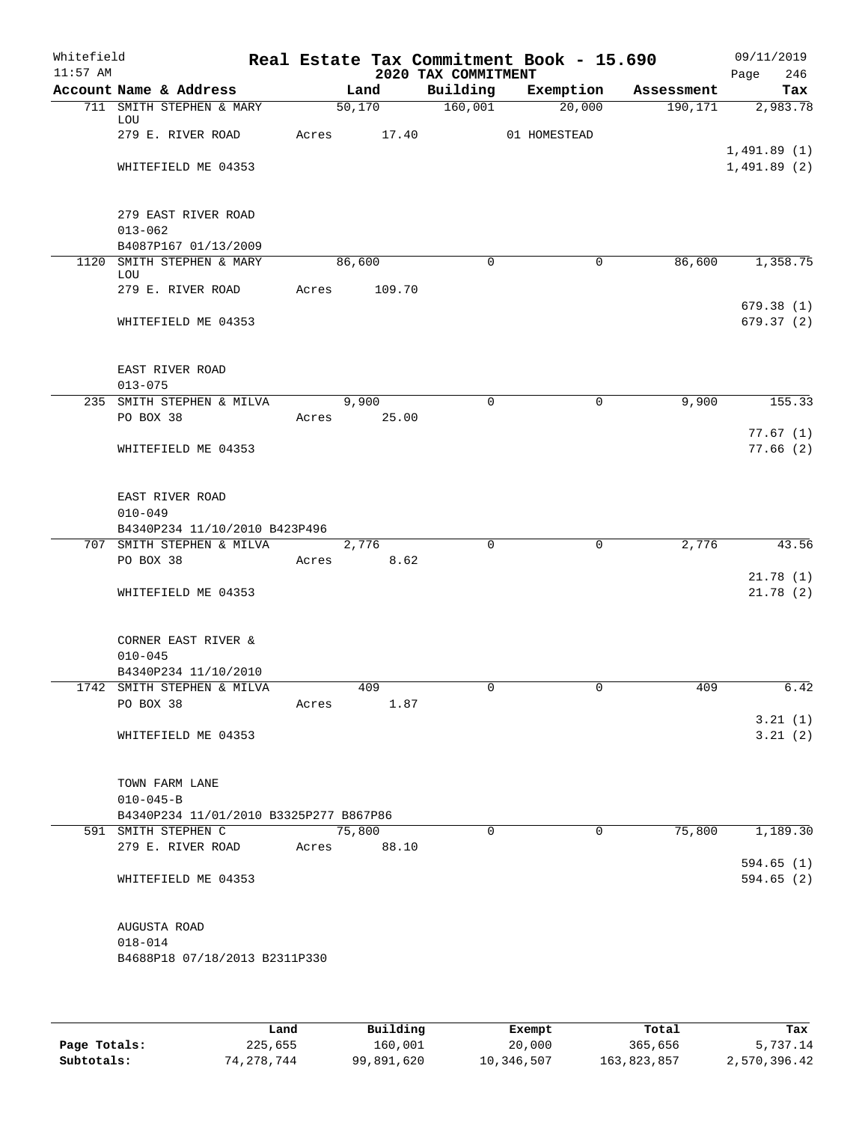| Whitefield<br>$11:57$ AM |                                                              |       |                    | 2020 TAX COMMITMENT | Real Estate Tax Commitment Book - 15.690 |            | 09/11/2019<br>246<br>Page |
|--------------------------|--------------------------------------------------------------|-------|--------------------|---------------------|------------------------------------------|------------|---------------------------|
|                          | Account Name & Address                                       |       | Land               | Building            | Exemption                                | Assessment | Tax                       |
|                          | 711 SMITH STEPHEN & MARY<br>LOU                              |       | $50,170$ $160,001$ |                     | 20,000                                   |            | 190, 171 2, 983. 78       |
|                          | 279 E. RIVER ROAD                                            |       | Acres 17.40        |                     | 01 HOMESTEAD                             |            | 1,491.89(1)               |
|                          | WHITEFIELD ME 04353                                          |       |                    |                     |                                          |            | 1,491.89(2)               |
|                          | 279 EAST RIVER ROAD<br>$013 - 062$<br>B4087P167 01/13/2009   |       |                    |                     |                                          |            |                           |
|                          | 1120 SMITH STEPHEN & MARY                                    |       | 86,600             | $\Omega$            | $\mathbf 0$                              | 86,600     | 1,358.75                  |
|                          | LOU<br>279 E. RIVER ROAD                                     | Acres | 109.70             |                     |                                          |            |                           |
|                          | WHITEFIELD ME 04353                                          |       |                    |                     |                                          |            | 679.38(1)<br>679.37 (2)   |
|                          | EAST RIVER ROAD<br>$013 - 075$                               |       |                    |                     |                                          |            |                           |
|                          | 235 SMITH STEPHEN & MILVA                                    |       | 9,900              | $\Omega$            | 0                                        | 9,900      | 155.33                    |
|                          | PO BOX 38                                                    |       | Acres 25.00        |                     |                                          |            |                           |
|                          | WHITEFIELD ME 04353                                          |       |                    |                     |                                          |            | 77.67(1)<br>77.66(2)      |
|                          | EAST RIVER ROAD<br>$010 - 049$                               |       |                    |                     |                                          |            |                           |
|                          | B4340P234 11/10/2010 B423P496                                |       |                    |                     |                                          |            |                           |
|                          | 707 SMITH STEPHEN & MILVA                                    |       | 2,776              | $\mathbf 0$         | $\mathbf 0$                              | 2,776      | 43.56                     |
|                          | PO BOX 38                                                    |       | Acres 8.62         |                     |                                          |            |                           |
|                          | WHITEFIELD ME 04353                                          |       |                    |                     |                                          |            | 21.78(1)<br>21.78(2)      |
|                          | CORNER EAST RIVER &<br>$010 - 045$                           |       |                    |                     |                                          |            |                           |
|                          | B4340P234 11/10/2010                                         |       |                    |                     |                                          |            |                           |
|                          | 1742 SMITH STEPHEN & MILVA                                   |       | 409                |                     |                                          | 409        | 6.42                      |
|                          | PO BOX 38                                                    | Acres | 1.87               |                     |                                          |            |                           |
|                          | WHITEFIELD ME 04353                                          |       |                    |                     |                                          |            | 3.21(1)<br>3.21(2)        |
|                          | TOWN FARM LANE<br>$010 - 045 - B$                            |       |                    |                     |                                          |            |                           |
|                          | B4340P234 11/01/2010 B3325P277 B867P86                       |       |                    |                     |                                          |            |                           |
|                          | 591 SMITH STEPHEN C                                          |       | 75,800             | $\Omega$            | $\Omega$                                 | 75,800     | 1,189.30                  |
|                          | 279 E. RIVER ROAD                                            |       | Acres 88.10        |                     |                                          |            |                           |
|                          | WHITEFIELD ME 04353                                          |       |                    |                     |                                          |            | 594.65(1)<br>594.65(2)    |
|                          | AUGUSTA ROAD<br>$018 - 014$<br>B4688P18 07/18/2013 B2311P330 |       |                    |                     |                                          |            |                           |
|                          |                                                              |       |                    |                     |                                          |            |                           |

|              | Land       | Building   | Exempt     | Total       | Tax          |
|--------------|------------|------------|------------|-------------|--------------|
| Page Totals: | 225,655    | 160,001    | 20,000     | 365,656     | 5,737.14     |
| Subtotals:   | 74,278,744 | 99,891,620 | 10,346,507 | 163,823,857 | 2,570,396.42 |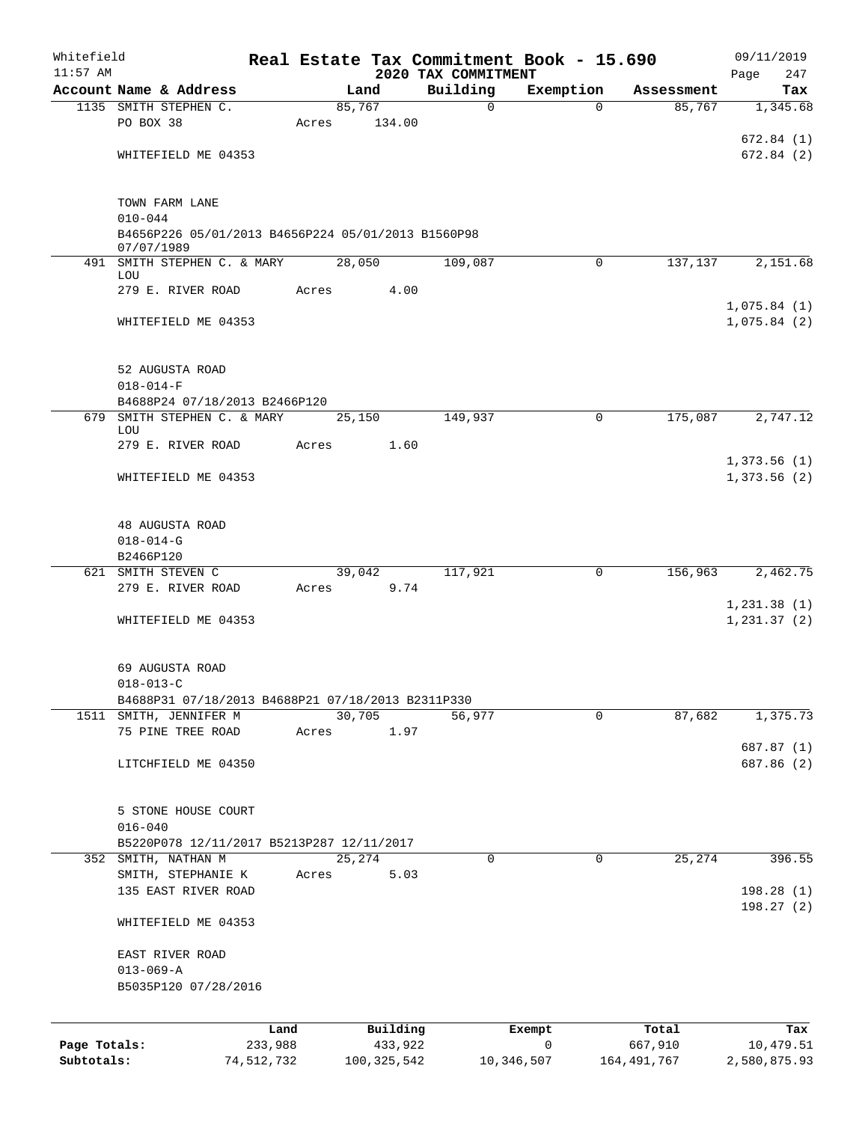| Whitefield                 |                                                                             |                       |       |               |          | Real Estate Tax Commitment Book - 15.690 |             |                        | 09/11/2019                 |
|----------------------------|-----------------------------------------------------------------------------|-----------------------|-------|---------------|----------|------------------------------------------|-------------|------------------------|----------------------------|
| $11:57$ AM                 | Account Name & Address                                                      |                       |       | Land          |          | 2020 TAX COMMITMENT<br>Building          | Exemption   | Assessment             | 247<br>Page<br>Tax         |
|                            | 1135 SMITH STEPHEN C.                                                       |                       |       | 85,767        |          | $\mathbf 0$                              | $\Omega$    | 85,767                 | 1,345.68                   |
|                            | PO BOX 38                                                                   |                       | Acres |               | 134.00   |                                          |             |                        |                            |
|                            |                                                                             |                       |       |               |          |                                          |             |                        | 672.84(1)                  |
|                            | WHITEFIELD ME 04353                                                         |                       |       |               |          |                                          |             |                        | 672.84(2)                  |
|                            |                                                                             |                       |       |               |          |                                          |             |                        |                            |
|                            |                                                                             |                       |       |               |          |                                          |             |                        |                            |
|                            | TOWN FARM LANE<br>$010 - 044$                                               |                       |       |               |          |                                          |             |                        |                            |
|                            | B4656P226 05/01/2013 B4656P224 05/01/2013 B1560P98                          |                       |       |               |          |                                          |             |                        |                            |
|                            | 07/07/1989                                                                  |                       |       |               |          |                                          |             |                        |                            |
| 491                        | SMITH STEPHEN C. & MARY<br>LOU                                              |                       |       | 28,050        |          | 109,087                                  | $\mathbf 0$ | 137,137                | 2,151.68                   |
|                            | 279 E. RIVER ROAD                                                           |                       | Acres |               | 4.00     |                                          |             |                        |                            |
|                            |                                                                             |                       |       |               |          |                                          |             |                        | 1,075.84(1)                |
|                            | WHITEFIELD ME 04353                                                         |                       |       |               |          |                                          |             |                        | 1,075.84(2)                |
|                            |                                                                             |                       |       |               |          |                                          |             |                        |                            |
|                            | 52 AUGUSTA ROAD                                                             |                       |       |               |          |                                          |             |                        |                            |
|                            | $018 - 014 - F$                                                             |                       |       |               |          |                                          |             |                        |                            |
|                            | B4688P24 07/18/2013 B2466P120                                               |                       |       |               |          |                                          |             |                        |                            |
|                            | 679 SMITH STEPHEN C. & MARY                                                 |                       |       | 25,150        |          | 149,937                                  | $\mathbf 0$ | 175,087                | 2,747.12                   |
|                            | LOU                                                                         |                       |       |               |          |                                          |             |                        |                            |
|                            | 279 E. RIVER ROAD                                                           |                       | Acres |               | 1.60     |                                          |             |                        |                            |
|                            | WHITEFIELD ME 04353                                                         |                       |       |               |          |                                          |             |                        | 1,373.56(1)<br>1,373.56(2) |
|                            |                                                                             |                       |       |               |          |                                          |             |                        |                            |
|                            |                                                                             |                       |       |               |          |                                          |             |                        |                            |
|                            | 48 AUGUSTA ROAD                                                             |                       |       |               |          |                                          |             |                        |                            |
|                            | $018 - 014 - G$                                                             |                       |       |               |          |                                          |             |                        |                            |
|                            | B2466P120                                                                   |                       |       |               |          |                                          |             |                        |                            |
|                            | 621 SMITH STEVEN C                                                          |                       |       | 39,042        |          | 117,921                                  | $\mathbf 0$ | 156,963                | 2,462.75                   |
|                            | 279 E. RIVER ROAD                                                           |                       | Acres |               | 9.74     |                                          |             |                        | 1, 231.38(1)               |
|                            | WHITEFIELD ME 04353                                                         |                       |       |               |          |                                          |             |                        | 1, 231.37(2)               |
|                            |                                                                             |                       |       |               |          |                                          |             |                        |                            |
|                            |                                                                             |                       |       |               |          |                                          |             |                        |                            |
|                            | 69 AUGUSTA ROAD                                                             |                       |       |               |          |                                          |             |                        |                            |
|                            | $018 - 013 - C$                                                             |                       |       |               |          |                                          |             |                        |                            |
|                            | B4688P31 07/18/2013 B4688P21 07/18/2013 B2311P330<br>1511 SMITH, JENNIFER M |                       |       | 30,705        |          | 56,977                                   | $\mathbf 0$ | 87,682                 | 1,375.73                   |
|                            | 75 PINE TREE ROAD                                                           |                       | Acres |               | 1.97     |                                          |             |                        |                            |
|                            |                                                                             |                       |       |               |          |                                          |             |                        | 687.87 (1)                 |
|                            | LITCHFIELD ME 04350                                                         |                       |       |               |          |                                          |             |                        | 687.86 (2)                 |
|                            |                                                                             |                       |       |               |          |                                          |             |                        |                            |
|                            |                                                                             |                       |       |               |          |                                          |             |                        |                            |
|                            | 5 STONE HOUSE COURT                                                         |                       |       |               |          |                                          |             |                        |                            |
|                            | $016 - 040$<br>B5220P078 12/11/2017 B5213P287 12/11/2017                    |                       |       |               |          |                                          |             |                        |                            |
|                            | 352 SMITH, NATHAN M                                                         |                       |       | 25,274        |          | 0                                        | $\mathbf 0$ | 25,274                 | 396.55                     |
|                            | SMITH, STEPHANIE K                                                          |                       | Acres |               | 5.03     |                                          |             |                        |                            |
|                            | 135 EAST RIVER ROAD                                                         |                       |       |               |          |                                          |             |                        | 198.28(1)                  |
|                            |                                                                             |                       |       |               |          |                                          |             |                        | 198.27(2)                  |
|                            | WHITEFIELD ME 04353                                                         |                       |       |               |          |                                          |             |                        |                            |
|                            |                                                                             |                       |       |               |          |                                          |             |                        |                            |
|                            | EAST RIVER ROAD                                                             |                       |       |               |          |                                          |             |                        |                            |
|                            | $013 - 069 - A$<br>B5035P120 07/28/2016                                     |                       |       |               |          |                                          |             |                        |                            |
|                            |                                                                             |                       |       |               |          |                                          |             |                        |                            |
|                            |                                                                             |                       |       |               |          |                                          |             |                        |                            |
|                            |                                                                             | Land                  |       |               | Building |                                          | Exempt      | Total                  | Tax                        |
| Page Totals:<br>Subtotals: |                                                                             | 233,988<br>74,512,732 |       | 100, 325, 542 | 433,922  | 10,346,507                               | 0           | 667,910<br>164,491,767 | 10,479.51<br>2,580,875.93  |
|                            |                                                                             |                       |       |               |          |                                          |             |                        |                            |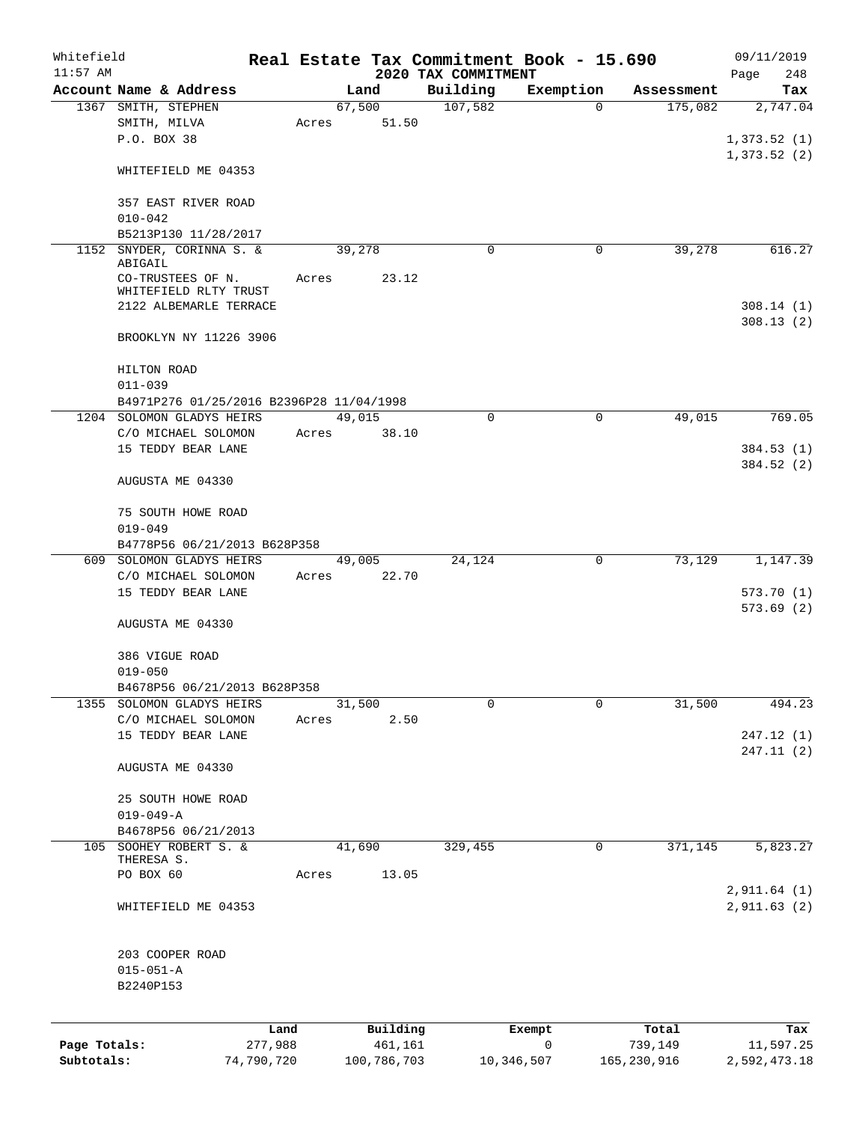| Whitefield   |                                          |            |       |             |          |                                 | Real Estate Tax Commitment Book - 15.690 |             | 09/11/2019         |
|--------------|------------------------------------------|------------|-------|-------------|----------|---------------------------------|------------------------------------------|-------------|--------------------|
| $11:57$ AM   | Account Name & Address                   |            |       | Land        |          | 2020 TAX COMMITMENT<br>Building | Exemption                                | Assessment  | 248<br>Page<br>Tax |
|              | 1367 SMITH, STEPHEN                      |            |       | 67,500      |          | 107,582                         | $\mathbf 0$                              | 175,082     | 2,747.04           |
|              | SMITH, MILVA                             |            | Acres |             | 51.50    |                                 |                                          |             |                    |
|              | P.O. BOX 38                              |            |       |             |          |                                 |                                          |             | 1,373.52(1)        |
|              |                                          |            |       |             |          |                                 |                                          |             | 1,373.52(2)        |
|              | WHITEFIELD ME 04353                      |            |       |             |          |                                 |                                          |             |                    |
|              |                                          |            |       |             |          |                                 |                                          |             |                    |
|              | 357 EAST RIVER ROAD                      |            |       |             |          |                                 |                                          |             |                    |
|              | $010 - 042$                              |            |       |             |          |                                 |                                          |             |                    |
|              | B5213P130 11/28/2017                     |            |       |             |          |                                 |                                          |             |                    |
| 1152         | SNYDER, CORINNA S. &<br>ABIGAIL          |            |       | 39,278      |          | 0                               | 0                                        | 39,278      | 616.27             |
|              | CO-TRUSTEES OF N.                        |            | Acres |             | 23.12    |                                 |                                          |             |                    |
|              | WHITEFIELD RLTY TRUST                    |            |       |             |          |                                 |                                          |             |                    |
|              | 2122 ALBEMARLE TERRACE                   |            |       |             |          |                                 |                                          |             | 308.14(1)          |
|              |                                          |            |       |             |          |                                 |                                          |             | 308.13(2)          |
|              | BROOKLYN NY 11226 3906                   |            |       |             |          |                                 |                                          |             |                    |
|              | HILTON ROAD                              |            |       |             |          |                                 |                                          |             |                    |
|              | $011 - 039$                              |            |       |             |          |                                 |                                          |             |                    |
|              | B4971P276 01/25/2016 B2396P28 11/04/1998 |            |       |             |          |                                 |                                          |             |                    |
|              | 1204 SOLOMON GLADYS HEIRS                |            |       | 49,015      |          | $\Omega$                        | $\Omega$                                 | 49,015      | 769.05             |
|              | C/O MICHAEL SOLOMON                      |            | Acres |             | 38.10    |                                 |                                          |             |                    |
|              | 15 TEDDY BEAR LANE                       |            |       |             |          |                                 |                                          |             | 384.53 (1)         |
|              |                                          |            |       |             |          |                                 |                                          |             | 384.52 (2)         |
|              | AUGUSTA ME 04330                         |            |       |             |          |                                 |                                          |             |                    |
|              |                                          |            |       |             |          |                                 |                                          |             |                    |
|              | 75 SOUTH HOWE ROAD                       |            |       |             |          |                                 |                                          |             |                    |
|              | $019 - 049$                              |            |       |             |          |                                 |                                          |             |                    |
|              | B4778P56 06/21/2013 B628P358             |            |       |             |          |                                 |                                          |             |                    |
|              | 609 SOLOMON GLADYS HEIRS                 |            |       | 49,005      |          | 24,124                          | 0                                        | 73,129      | 1,147.39           |
|              | C/O MICHAEL SOLOMON                      |            | Acres |             | 22.70    |                                 |                                          |             |                    |
|              | 15 TEDDY BEAR LANE                       |            |       |             |          |                                 |                                          |             | 573.70(1)          |
|              | AUGUSTA ME 04330                         |            |       |             |          |                                 |                                          |             | 573.69(2)          |
|              |                                          |            |       |             |          |                                 |                                          |             |                    |
|              | 386 VIGUE ROAD                           |            |       |             |          |                                 |                                          |             |                    |
|              | $019 - 050$                              |            |       |             |          |                                 |                                          |             |                    |
|              | B4678P56 06/21/2013 B628P358             |            |       |             |          |                                 |                                          |             |                    |
|              | 1355 SOLOMON GLADYS HEIRS                |            |       | 31,500      |          | 0                               | 0                                        | 31,500      | 494.23             |
|              | C/O MICHAEL SOLOMON                      |            | Acres |             | 2.50     |                                 |                                          |             |                    |
|              | 15 TEDDY BEAR LANE                       |            |       |             |          |                                 |                                          |             | 247.12 (1)         |
|              |                                          |            |       |             |          |                                 |                                          |             | 247.11(2)          |
|              | AUGUSTA ME 04330                         |            |       |             |          |                                 |                                          |             |                    |
|              | 25 SOUTH HOWE ROAD                       |            |       |             |          |                                 |                                          |             |                    |
|              | $019 - 049 - A$                          |            |       |             |          |                                 |                                          |             |                    |
|              | B4678P56 06/21/2013                      |            |       |             |          |                                 |                                          |             |                    |
| 105          | SOOHEY ROBERT S. &                       |            |       | 41,690      |          | 329,455                         | 0                                        | 371,145     | 5,823.27           |
|              | THERESA S.                               |            |       |             |          |                                 |                                          |             |                    |
|              | PO BOX 60                                |            | Acres |             | 13.05    |                                 |                                          |             |                    |
|              |                                          |            |       |             |          |                                 |                                          |             | 2,911.64 (1)       |
|              | WHITEFIELD ME 04353                      |            |       |             |          |                                 |                                          |             | 2,911.63 (2)       |
|              |                                          |            |       |             |          |                                 |                                          |             |                    |
|              | 203 COOPER ROAD                          |            |       |             |          |                                 |                                          |             |                    |
|              | $015 - 051 - A$                          |            |       |             |          |                                 |                                          |             |                    |
|              | B2240P153                                |            |       |             |          |                                 |                                          |             |                    |
|              |                                          |            |       |             |          |                                 |                                          |             |                    |
|              |                                          | Land       |       |             | Building |                                 | Exempt                                   | Total       | Tax                |
| Page Totals: |                                          | 277,988    |       |             | 461,161  |                                 | $\mathbf 0$                              | 739,149     | 11,597.25          |
| Subtotals:   |                                          | 74,790,720 |       | 100,786,703 |          |                                 | 10,346,507                               | 165,230,916 | 2,592,473.18       |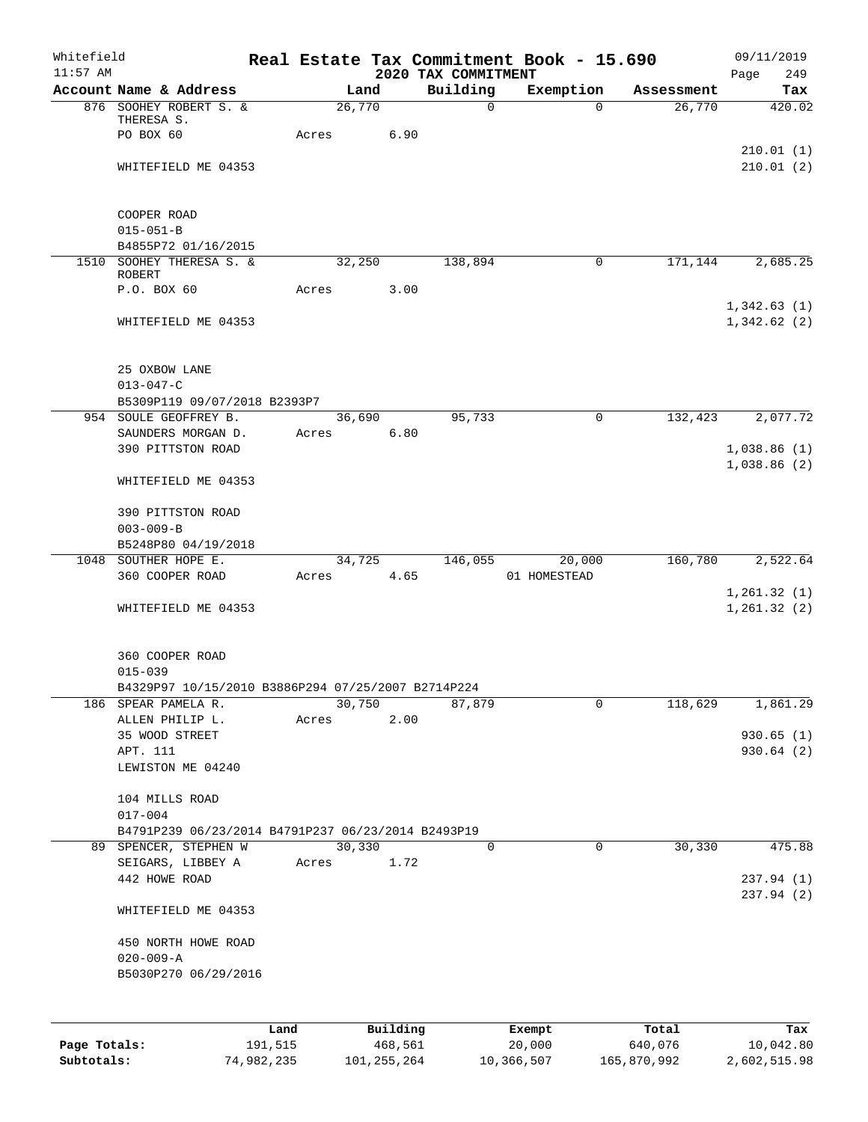| Whitefield<br>$11:57$ AM |                                                                           |       |        |                     | 2020 TAX COMMITMENT | Real Estate Tax Commitment Book - 15.690 |                  | 09/11/2019<br>Page<br>249 |
|--------------------------|---------------------------------------------------------------------------|-------|--------|---------------------|---------------------|------------------------------------------|------------------|---------------------------|
|                          | Account Name & Address                                                    |       | Land   |                     | Building            | Exemption                                | Assessment       | Tax                       |
|                          | 876 SOOHEY ROBERT S. &                                                    |       | 26,770 |                     | $\mathsf{O}$        | $\Omega$                                 | 26,770           | 420.02                    |
|                          | THERESA S.                                                                |       |        |                     |                     |                                          |                  |                           |
|                          | PO BOX 60                                                                 | Acres |        | 6.90                |                     |                                          |                  |                           |
|                          |                                                                           |       |        |                     |                     |                                          |                  | 210.01(1)<br>210.01(2)    |
|                          | WHITEFIELD ME 04353                                                       |       |        |                     |                     |                                          |                  |                           |
|                          |                                                                           |       |        |                     |                     |                                          |                  |                           |
|                          | COOPER ROAD                                                               |       |        |                     |                     |                                          |                  |                           |
|                          | $015 - 051 - B$                                                           |       |        |                     |                     |                                          |                  |                           |
|                          | B4855P72 01/16/2015                                                       |       |        |                     |                     |                                          |                  |                           |
|                          | 1510 SOOHEY THERESA S. &<br><b>ROBERT</b>                                 |       | 32,250 |                     | 138,894             | 0                                        | 171,144          | 2,685.25                  |
|                          | P.O. BOX 60                                                               | Acres |        | 3.00                |                     |                                          |                  |                           |
|                          |                                                                           |       |        |                     |                     |                                          |                  | 1,342.63(1)               |
|                          | WHITEFIELD ME 04353                                                       |       |        |                     |                     |                                          |                  | 1,342.62(2)               |
|                          |                                                                           |       |        |                     |                     |                                          |                  |                           |
|                          |                                                                           |       |        |                     |                     |                                          |                  |                           |
|                          | 25 OXBOW LANE                                                             |       |        |                     |                     |                                          |                  |                           |
|                          | $013 - 047 - C$<br>B5309P119 09/07/2018 B2393P7                           |       |        |                     |                     |                                          |                  |                           |
|                          | 954 SOULE GEOFFREY B.                                                     |       | 36,690 |                     | 95,733              | 0                                        | 132,423          | 2,077.72                  |
|                          | SAUNDERS MORGAN D.                                                        | Acres |        | 6.80                |                     |                                          |                  |                           |
|                          | 390 PITTSTON ROAD                                                         |       |        |                     |                     |                                          |                  | 1,038.86(1)               |
|                          |                                                                           |       |        |                     |                     |                                          |                  | 1,038.86(2)               |
|                          | WHITEFIELD ME 04353                                                       |       |        |                     |                     |                                          |                  |                           |
|                          |                                                                           |       |        |                     |                     |                                          |                  |                           |
|                          | 390 PITTSTON ROAD                                                         |       |        |                     |                     |                                          |                  |                           |
|                          | $003 - 009 - B$                                                           |       |        |                     |                     |                                          |                  |                           |
|                          | B5248P80 04/19/2018<br>1048 SOUTHER HOPE E.                               |       | 34,725 |                     | 146,055             | 20,000                                   | 160,780          | 2,522.64                  |
|                          | 360 COOPER ROAD                                                           | Acres |        | 4.65                |                     | 01 HOMESTEAD                             |                  |                           |
|                          |                                                                           |       |        |                     |                     |                                          |                  | 1,261.32(1)               |
|                          | WHITEFIELD ME 04353                                                       |       |        |                     |                     |                                          |                  | 1, 261.32(2)              |
|                          |                                                                           |       |        |                     |                     |                                          |                  |                           |
|                          |                                                                           |       |        |                     |                     |                                          |                  |                           |
|                          | 360 COOPER ROAD                                                           |       |        |                     |                     |                                          |                  |                           |
|                          | $015 - 039$                                                               |       |        |                     |                     |                                          |                  |                           |
|                          | B4329P97 10/15/2010 B3886P294 07/25/2007 B2714P224<br>186 SPEAR PAMELA R. |       | 30,750 |                     | 87,879              | 0                                        | 118,629          | 1,861.29                  |
|                          | ALLEN PHILIP L.                                                           | Acres |        | 2.00                |                     |                                          |                  |                           |
|                          | 35 WOOD STREET                                                            |       |        |                     |                     |                                          |                  | 930.65(1)                 |
|                          | APT. 111                                                                  |       |        |                     |                     |                                          |                  | 930.64 (2)                |
|                          | LEWISTON ME 04240                                                         |       |        |                     |                     |                                          |                  |                           |
|                          |                                                                           |       |        |                     |                     |                                          |                  |                           |
|                          | 104 MILLS ROAD                                                            |       |        |                     |                     |                                          |                  |                           |
|                          | $017 - 004$<br>B4791P239 06/23/2014 B4791P237 06/23/2014 B2493P19         |       |        |                     |                     |                                          |                  |                           |
|                          | 89 SPENCER, STEPHEN W                                                     |       | 30,330 |                     | $\mathbf 0$         | $\mathbf 0$                              | 30,330           | 475.88                    |
|                          | SEIGARS, LIBBEY A                                                         | Acres |        | 1.72                |                     |                                          |                  |                           |
|                          | 442 HOWE ROAD                                                             |       |        |                     |                     |                                          |                  | 237.94 (1)                |
|                          |                                                                           |       |        |                     |                     |                                          |                  | 237.94 (2)                |
|                          | WHITEFIELD ME 04353                                                       |       |        |                     |                     |                                          |                  |                           |
|                          |                                                                           |       |        |                     |                     |                                          |                  |                           |
|                          | 450 NORTH HOWE ROAD                                                       |       |        |                     |                     |                                          |                  |                           |
|                          | $020 - 009 - A$<br>B5030P270 06/29/2016                                   |       |        |                     |                     |                                          |                  |                           |
|                          |                                                                           |       |        |                     |                     |                                          |                  |                           |
|                          |                                                                           |       |        |                     |                     |                                          |                  |                           |
|                          |                                                                           |       |        |                     |                     |                                          |                  |                           |
| Page Totals:             | Land<br>191,515                                                           |       |        | Building<br>468,561 |                     | Exempt<br>20,000                         | Total<br>640,076 | Tax<br>10,042.80          |
|                          |                                                                           |       |        |                     |                     |                                          |                  |                           |

**Subtotals:** 74,982,235 101,255,264 10,366,507 165,870,992 2,602,515.98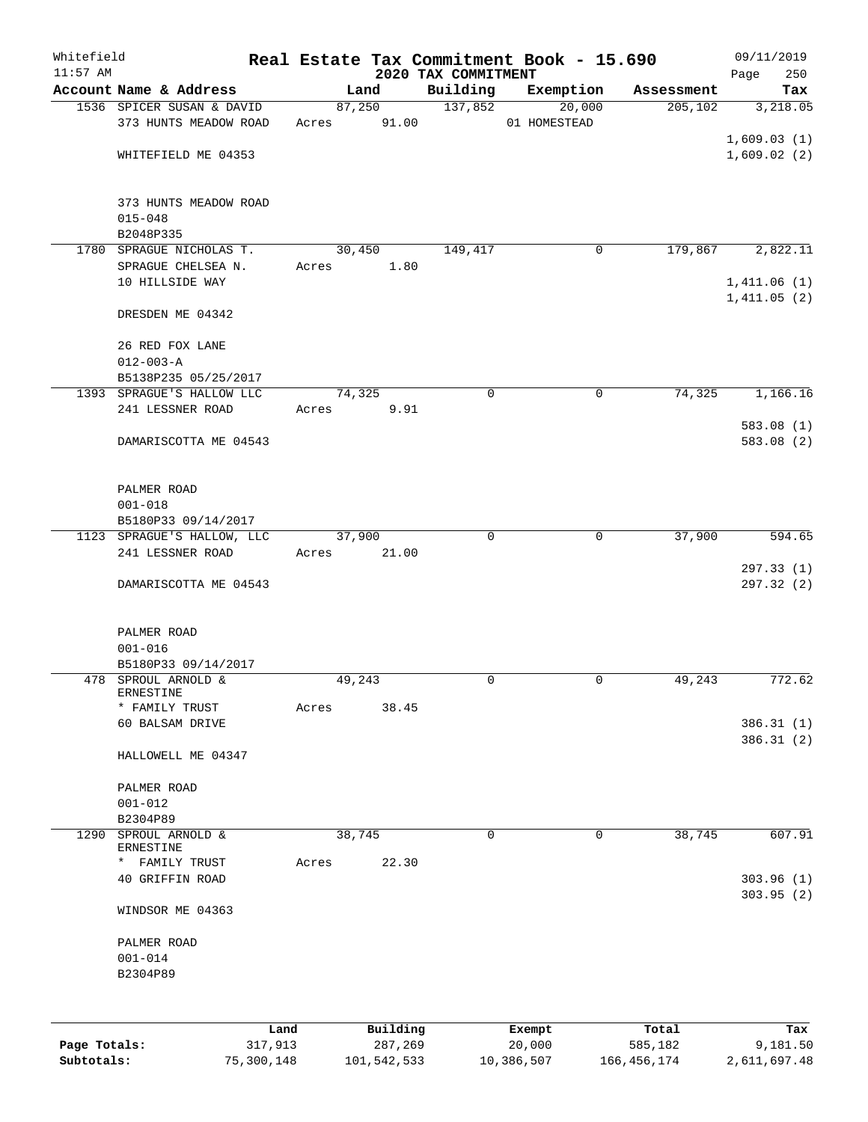| Whitefield   |                                                |            |       |        |             |                                 | Real Estate Tax Commitment Book - 15.690 |               | 09/11/2019             |
|--------------|------------------------------------------------|------------|-------|--------|-------------|---------------------------------|------------------------------------------|---------------|------------------------|
| $11:57$ AM   | Account Name & Address                         |            |       | Land   |             | 2020 TAX COMMITMENT<br>Building | Exemption                                | Assessment    | 250<br>Page<br>Tax     |
|              | 1536 SPICER SUSAN & DAVID                      |            |       | 87,250 |             | 137,852                         | 20,000                                   | 205,102       | 3,218.05               |
|              | 373 HUNTS MEADOW ROAD                          |            | Acres |        | 91.00       |                                 | 01 HOMESTEAD                             |               |                        |
|              |                                                |            |       |        |             |                                 |                                          |               | 1,609.03(1)            |
|              | WHITEFIELD ME 04353                            |            |       |        |             |                                 |                                          |               | 1,609.02(2)            |
|              |                                                |            |       |        |             |                                 |                                          |               |                        |
|              | 373 HUNTS MEADOW ROAD                          |            |       |        |             |                                 |                                          |               |                        |
|              | $015 - 048$                                    |            |       |        |             |                                 |                                          |               |                        |
|              | B2048P335                                      |            |       |        |             |                                 |                                          |               |                        |
|              | 1780 SPRAGUE NICHOLAS T.                       |            |       | 30,450 |             | 149,417                         | $\mathbf 0$                              | 179,867       | 2,822.11               |
|              | SPRAGUE CHELSEA N.                             |            | Acres |        | 1.80        |                                 |                                          |               |                        |
|              | 10 HILLSIDE WAY                                |            |       |        |             |                                 |                                          |               | 1,411.06(1)            |
|              | DRESDEN ME 04342                               |            |       |        |             |                                 |                                          |               | 1,411.05(2)            |
|              | 26 RED FOX LANE                                |            |       |        |             |                                 |                                          |               |                        |
|              | $012 - 003 - A$                                |            |       |        |             |                                 |                                          |               |                        |
|              | B5138P235 05/25/2017                           |            |       |        |             |                                 |                                          |               |                        |
|              | 1393 SPRAGUE'S HALLOW LLC                      |            |       | 74,325 |             | $\mathbf 0$                     | 0                                        | 74,325        | 1,166.16               |
|              | 241 LESSNER ROAD                               |            | Acres |        | 9.91        |                                 |                                          |               |                        |
|              |                                                |            |       |        |             |                                 |                                          |               | 583.08 (1)             |
|              | DAMARISCOTTA ME 04543                          |            |       |        |             |                                 |                                          |               | 583.08 (2)             |
|              |                                                |            |       |        |             |                                 |                                          |               |                        |
|              | PALMER ROAD                                    |            |       |        |             |                                 |                                          |               |                        |
|              | $001 - 018$                                    |            |       |        |             |                                 |                                          |               |                        |
|              | B5180P33 09/14/2017                            |            |       |        |             |                                 |                                          |               |                        |
|              |                                                |            |       | 37,900 |             | $\mathbf 0$                     | 0                                        | 37,900        | 594.65                 |
|              | 1123 SPRAGUE'S HALLOW, LLC<br>241 LESSNER ROAD |            |       |        | 21.00       |                                 |                                          |               |                        |
|              |                                                |            | Acres |        |             |                                 |                                          |               |                        |
|              | DAMARISCOTTA ME 04543                          |            |       |        |             |                                 |                                          |               | 297.33(1)<br>297.32(2) |
|              |                                                |            |       |        |             |                                 |                                          |               |                        |
|              | PALMER ROAD                                    |            |       |        |             |                                 |                                          |               |                        |
|              | $001 - 016$                                    |            |       |        |             |                                 |                                          |               |                        |
|              | B5180P33 09/14/2017                            |            |       |        |             |                                 |                                          |               |                        |
|              | 478 SPROUL ARNOLD &                            |            |       | 49,243 |             | 0                               | $\mathbf 0$                              | 49,243        | 772.62                 |
|              | ERNESTINE                                      |            |       |        |             |                                 |                                          |               |                        |
|              | * FAMILY TRUST                                 |            | Acres |        | 38.45       |                                 |                                          |               |                        |
|              | 60 BALSAM DRIVE                                |            |       |        |             |                                 |                                          |               | 386.31(1)              |
|              |                                                |            |       |        |             |                                 |                                          |               | 386.31(2)              |
|              | HALLOWELL ME 04347                             |            |       |        |             |                                 |                                          |               |                        |
|              | PALMER ROAD                                    |            |       |        |             |                                 |                                          |               |                        |
|              | $001 - 012$                                    |            |       |        |             |                                 |                                          |               |                        |
|              | B2304P89                                       |            |       |        |             |                                 |                                          |               |                        |
| 1290         | SPROUL ARNOLD &                                |            |       | 38,745 |             | 0                               | 0                                        | 38,745        | 607.91                 |
|              | ERNESTINE                                      |            |       |        |             |                                 |                                          |               |                        |
|              | FAMILY TRUST<br>$\star$                        |            | Acres |        | 22.30       |                                 |                                          |               |                        |
|              | 40 GRIFFIN ROAD                                |            |       |        |             |                                 |                                          |               | 303.96(1)              |
|              | WINDSOR ME 04363                               |            |       |        |             |                                 |                                          |               | 303.95(2)              |
|              | PALMER ROAD                                    |            |       |        |             |                                 |                                          |               |                        |
|              | $001 - 014$                                    |            |       |        |             |                                 |                                          |               |                        |
|              | B2304P89                                       |            |       |        |             |                                 |                                          |               |                        |
|              |                                                |            |       |        |             |                                 |                                          |               |                        |
|              |                                                |            |       |        |             |                                 |                                          |               |                        |
|              |                                                | Land       |       |        | Building    |                                 | Exempt                                   | Total         | Tax                    |
| Page Totals: |                                                | 317,913    |       |        | 287,269     |                                 | 20,000                                   | 585,182       | 9,181.50               |
| Subtotals:   |                                                | 75,300,148 |       |        | 101,542,533 |                                 | 10,386,507                               | 166, 456, 174 | 2,611,697.48           |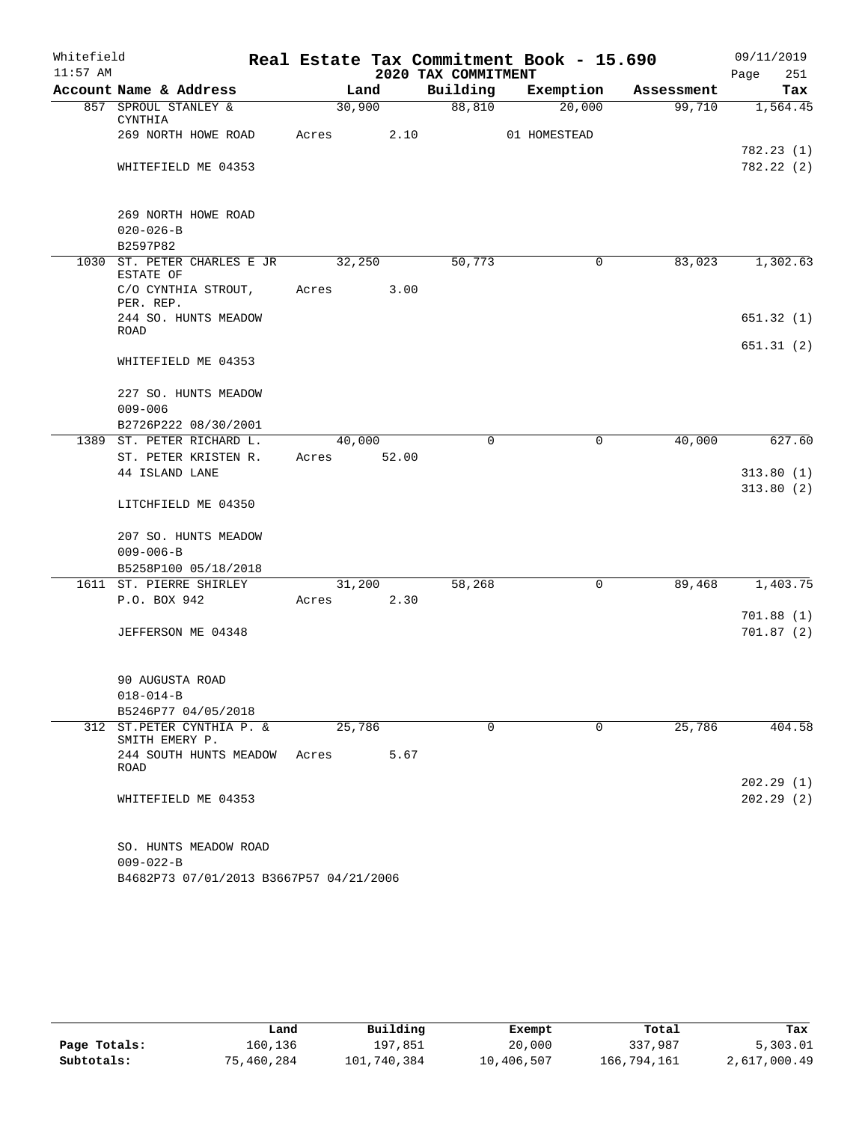| Whitefield |                                                            |        |       |                     | Real Estate Tax Commitment Book - 15.690 |            | 09/11/2019             |
|------------|------------------------------------------------------------|--------|-------|---------------------|------------------------------------------|------------|------------------------|
| $11:57$ AM |                                                            |        |       | 2020 TAX COMMITMENT |                                          |            | 251<br>Page            |
|            | Account Name & Address                                     |        | Land  | Building            | Exemption                                | Assessment | Tax                    |
|            | 857 SPROUL STANLEY &<br>CYNTHIA                            | 30,900 |       | 88,810              | 20,000                                   | 99,710     | 1,564.45               |
|            | 269 NORTH HOWE ROAD                                        | Acres  | 2.10  |                     | 01 HOMESTEAD                             |            |                        |
|            | WHITEFIELD ME 04353                                        |        |       |                     |                                          |            | 782.23(1)<br>782.22(2) |
|            | 269 NORTH HOWE ROAD                                        |        |       |                     |                                          |            |                        |
|            | $020 - 026 - B$<br>B2597P82                                |        |       |                     |                                          |            |                        |
| 1030       | ST. PETER CHARLES E JR<br>ESTATE OF                        | 32,250 |       | 50,773              | 0                                        | 83,023     | 1,302.63               |
|            | C/O CYNTHIA STROUT,<br>PER. REP.                           | Acres  | 3.00  |                     |                                          |            |                        |
|            | 244 SO. HUNTS MEADOW<br>ROAD                               |        |       |                     |                                          |            | 651.32(1)              |
|            | WHITEFIELD ME 04353                                        |        |       |                     |                                          |            | 651.31(2)              |
|            | 227 SO. HUNTS MEADOW                                       |        |       |                     |                                          |            |                        |
|            | $009 - 006$                                                |        |       |                     |                                          |            |                        |
|            | B2726P222 08/30/2001                                       |        |       |                     |                                          |            |                        |
| 1389       | ST. PETER RICHARD L.                                       | 40,000 |       | $\mathbf 0$         | $\mathbf 0$                              | 40,000     | 627.60                 |
|            | ST. PETER KRISTEN R.                                       | Acres  | 52.00 |                     |                                          |            |                        |
|            | 44 ISLAND LANE                                             |        |       |                     |                                          |            | 313.80(1)              |
|            | LITCHFIELD ME 04350                                        |        |       |                     |                                          |            | 313.80(2)              |
|            | 207 SO. HUNTS MEADOW<br>$009 - 006 - B$                    |        |       |                     |                                          |            |                        |
|            | B5258P100 05/18/2018                                       |        |       |                     |                                          |            |                        |
|            | 1611 ST. PIERRE SHIRLEY                                    | 31,200 |       | 58,268              | $\mathbf 0$                              | 89,468     | 1,403.75               |
|            | P.O. BOX 942                                               | Acres  | 2.30  |                     |                                          |            |                        |
|            |                                                            |        |       |                     |                                          |            | 701.88(1)              |
|            | JEFFERSON ME 04348                                         |        |       |                     |                                          |            | 701.87(2)              |
|            | 90 AUGUSTA ROAD                                            |        |       |                     |                                          |            |                        |
|            | $018 - 014 - B$                                            |        |       |                     |                                          |            |                        |
|            | B5246P77 04/05/2018                                        |        |       |                     |                                          |            |                        |
| 312        | ST.PETER CYNTHIA P. &<br>SMITH EMERY P.                    | 25,786 |       | $\mathbf 0$         | 0                                        | 25,786     | 404.58                 |
|            | 244 SOUTH HUNTS MEADOW<br>ROAD                             | Acres  | 5.67  |                     |                                          |            |                        |
|            | WHITEFIELD ME 04353                                        |        |       |                     |                                          |            | 202.29(1)<br>202.29(2) |
|            | SO. HUNTS MEADOW ROAD                                      |        |       |                     |                                          |            |                        |
|            | $009 - 022 - B$<br>B4682P73 07/01/2013 B3667P57 04/21/2006 |        |       |                     |                                          |            |                        |

|              | Land       | Building    | Exempt     | Total       | Tax          |
|--------------|------------|-------------|------------|-------------|--------------|
| Page Totals: | 160,136    | 197.851     | 20,000     | 337,987     | 5,303.01     |
| Subtotals:   | 75,460,284 | 101,740,384 | 10,406,507 | 166,794,161 | 2,617,000.49 |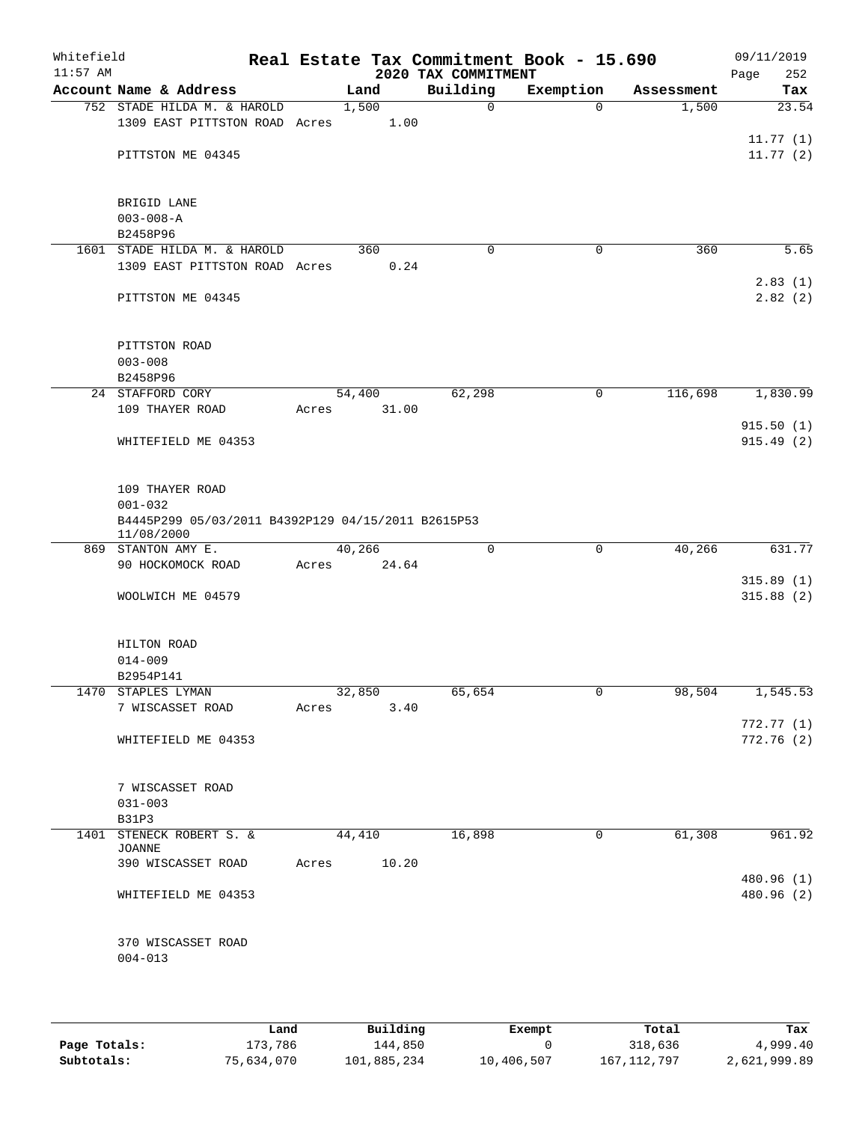| Whitefield<br>$11:57$ AM |                                                                                      |       |               | 2020 TAX COMMITMENT | Real Estate Tax Commitment Book - 15.690 |            | 09/11/2019<br>252<br>Page |
|--------------------------|--------------------------------------------------------------------------------------|-------|---------------|---------------------|------------------------------------------|------------|---------------------------|
|                          | Account Name & Address                                                               |       | Land          | Building            | Exemption                                | Assessment | Tax                       |
|                          | 752 STADE HILDA M. & HAROLD<br>1309 EAST PITTSTON ROAD Acres                         |       | 1,500<br>1.00 | 0                   | $\Omega$                                 | 1,500      | 23.54                     |
|                          |                                                                                      |       |               |                     |                                          |            | 11.77(1)                  |
|                          | PITTSTON ME 04345                                                                    |       |               |                     |                                          |            | 11.77(2)                  |
|                          | BRIGID LANE                                                                          |       |               |                     |                                          |            |                           |
|                          | $003 - 008 - A$<br>B2458P96                                                          |       |               |                     |                                          |            |                           |
|                          | 1601 STADE HILDA M. & HAROLD                                                         |       | 360           | $\mathbf 0$         | $\mathbf 0$                              | 360        | 5.65                      |
|                          | 1309 EAST PITTSTON ROAD Acres                                                        |       | 0.24          |                     |                                          |            | 2.83(1)                   |
|                          | PITTSTON ME 04345                                                                    |       |               |                     |                                          |            | 2.82(2)                   |
|                          | PITTSTON ROAD                                                                        |       |               |                     |                                          |            |                           |
|                          | $003 - 008$<br>B2458P96                                                              |       |               |                     |                                          |            |                           |
|                          | 24 STAFFORD CORY                                                                     |       | 54,400        | 62,298              | 0                                        | 116,698    | 1,830.99                  |
|                          | 109 THAYER ROAD                                                                      | Acres | 31.00         |                     |                                          |            |                           |
|                          | WHITEFIELD ME 04353                                                                  |       |               |                     |                                          |            | 915.50(1)<br>915.49(2)    |
|                          | 109 THAYER ROAD<br>$001 - 032$<br>B4445P299 05/03/2011 B4392P129 04/15/2011 B2615P53 |       |               |                     |                                          |            |                           |
|                          | 11/08/2000<br>869 STANTON AMY E.                                                     |       | 40,266        | $\mathbf 0$         | $\mathbf 0$                              | 40,266     | 631.77                    |
|                          | 90 HOCKOMOCK ROAD                                                                    | Acres | 24.64         |                     |                                          |            |                           |
|                          | WOOLWICH ME 04579                                                                    |       |               |                     |                                          |            | 315.89(1)<br>315.88(2)    |
|                          | HILTON ROAD                                                                          |       |               |                     |                                          |            |                           |
|                          | $014 - 009$<br>B2954P141                                                             |       |               |                     |                                          |            |                           |
|                          | 1470 STAPLES LYMAN                                                                   |       | 32,850        | 65,654              | $\mathsf{O}$                             | 98,504     | 1,545.53                  |
|                          | 7 WISCASSET ROAD                                                                     | Acres | 3.40          |                     |                                          |            |                           |
|                          | WHITEFIELD ME 04353                                                                  |       |               |                     |                                          |            | 772.77(1)<br>772.76(2)    |
|                          | 7 WISCASSET ROAD                                                                     |       |               |                     |                                          |            |                           |
|                          | $031 - 003$<br>B31P3                                                                 |       |               |                     |                                          |            |                           |
|                          | 1401 STENECK ROBERT S. &<br>JOANNE                                                   |       | 44,410        | 16,898              | 0                                        | 61,308     | 961.92                    |
|                          | 390 WISCASSET ROAD                                                                   | Acres | 10.20         |                     |                                          |            |                           |
|                          | WHITEFIELD ME 04353                                                                  |       |               |                     |                                          |            | 480.96 (1)<br>480.96 (2)  |
|                          | 370 WISCASSET ROAD<br>$004 - 013$                                                    |       |               |                     |                                          |            |                           |
|                          |                                                                                      |       |               |                     |                                          |            |                           |

|              | Land       | Building    | Exempt     | Total         | Tax          |
|--------------|------------|-------------|------------|---------------|--------------|
| Page Totals: | 173,786    | 144,850     |            | 318,636       | 4,999.40     |
| Subtotals:   | 75,634,070 | 101,885,234 | 10,406,507 | 167, 112, 797 | 2,621,999.89 |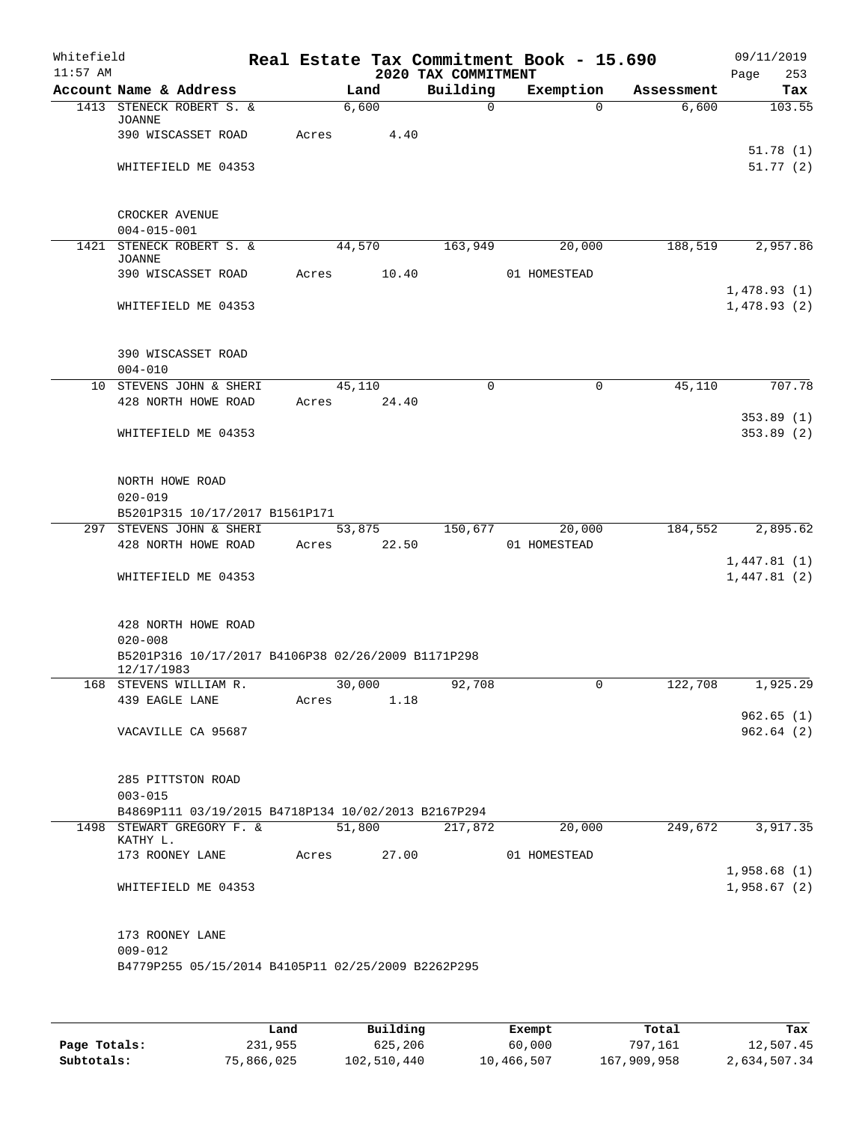| Whitefield<br>$11:57$ AM |                                                                  |       |                 | 2020 TAX COMMITMENT | Real Estate Tax Commitment Book - 15.690 |            | 09/11/2019<br>Page<br>253  |
|--------------------------|------------------------------------------------------------------|-------|-----------------|---------------------|------------------------------------------|------------|----------------------------|
|                          | Account Name & Address                                           |       | Land            | Building            | Exemption                                | Assessment | Tax                        |
|                          | 1413 STENECK ROBERT S. &<br><b>JOANNE</b>                        |       | 6,600           | 0                   | $\Omega$                                 | 6,600      | 103.55                     |
|                          | 390 WISCASSET ROAD                                               | Acres | 4.40            |                     |                                          |            | 51.78(1)                   |
|                          | WHITEFIELD ME 04353                                              |       |                 |                     |                                          |            | 51.77(2)                   |
|                          | CROCKER AVENUE<br>$004 - 015 - 001$                              |       |                 |                     |                                          |            |                            |
|                          | 1421 STENECK ROBERT S. &<br><b>JOANNE</b>                        |       | 44,570          | 163,949             | 20,000                                   | 188,519    | 2,957.86                   |
|                          | 390 WISCASSET ROAD                                               | Acres | 10.40           |                     | 01 HOMESTEAD                             |            | 1,478.93(1)                |
|                          | WHITEFIELD ME 04353                                              |       |                 |                     |                                          |            | 1,478.93(2)                |
|                          | 390 WISCASSET ROAD<br>$004 - 010$                                |       |                 |                     |                                          |            |                            |
|                          | 10 STEVENS JOHN & SHERI                                          |       | 45,110          | 0                   | 0                                        | 45,110     | 707.78                     |
|                          | 428 NORTH HOWE ROAD                                              | Acres | 24.40           |                     |                                          |            |                            |
|                          |                                                                  |       |                 |                     |                                          |            | 353.89(1)                  |
|                          | WHITEFIELD ME 04353                                              |       |                 |                     |                                          |            | 353.89(2)                  |
|                          | NORTH HOWE ROAD<br>$020 - 019$                                   |       |                 |                     |                                          |            |                            |
|                          | B5201P315 10/17/2017 B1561P171                                   |       |                 |                     |                                          |            |                            |
|                          | 297 STEVENS JOHN & SHERI<br>428 NORTH HOWE ROAD                  |       | 53,875<br>22.50 | 150,677             | 20,000<br>01 HOMESTEAD                   | 184,552    | 2,895.62                   |
|                          |                                                                  | Acres |                 |                     |                                          |            | 1,447.81(1)                |
|                          | WHITEFIELD ME 04353                                              |       |                 |                     |                                          |            | 1,447.81(2)                |
|                          | 428 NORTH HOWE ROAD<br>$020 - 008$                               |       |                 |                     |                                          |            |                            |
|                          | B5201P316 10/17/2017 B4106P38 02/26/2009 B1171P298<br>12/17/1983 |       |                 |                     |                                          |            |                            |
|                          | 168 STEVENS WILLIAM R                                            |       | 30,000          | 92,708              | 0                                        | 122,708    | 1,925.29                   |
|                          | 439 EAGLE LANE                                                   |       | Acres 1.18      |                     |                                          |            |                            |
|                          |                                                                  |       |                 |                     |                                          |            | 962.65(1)                  |
|                          | VACAVILLE CA 95687                                               |       |                 |                     |                                          |            | 962.64(2)                  |
|                          | 285 PITTSTON ROAD<br>$003 - 015$                                 |       |                 |                     |                                          |            |                            |
|                          | B4869P111 03/19/2015 B4718P134 10/02/2013 B2167P294              |       |                 |                     |                                          |            |                            |
|                          | 1498 STEWART GREGORY F. &                                        |       | 51,800          | 217,872             | 20,000                                   | 249,672    | 3,917.35                   |
|                          | KATHY L.<br>173 ROONEY LANE Acres 27.00                          |       |                 |                     | 01 HOMESTEAD                             |            |                            |
|                          | WHITEFIELD ME 04353                                              |       |                 |                     |                                          |            | 1,958.68(1)<br>1,958.67(2) |
|                          | 173 ROONEY LANE<br>$009 - 012$                                   |       |                 |                     |                                          |            |                            |
|                          | B4779P255 05/15/2014 B4105P11 02/25/2009 B2262P295               |       |                 |                     |                                          |            |                            |
|                          |                                                                  |       |                 |                     |                                          |            |                            |

|              | Land       | Building    | Exempt     | Total       | Tax          |
|--------------|------------|-------------|------------|-------------|--------------|
| Page Totals: | 231,955    | 625,206     | 60,000     | 797,161     | 12,507.45    |
| Subtotals:   | 75,866,025 | 102,510,440 | 10,466,507 | 167,909,958 | 2,634,507.34 |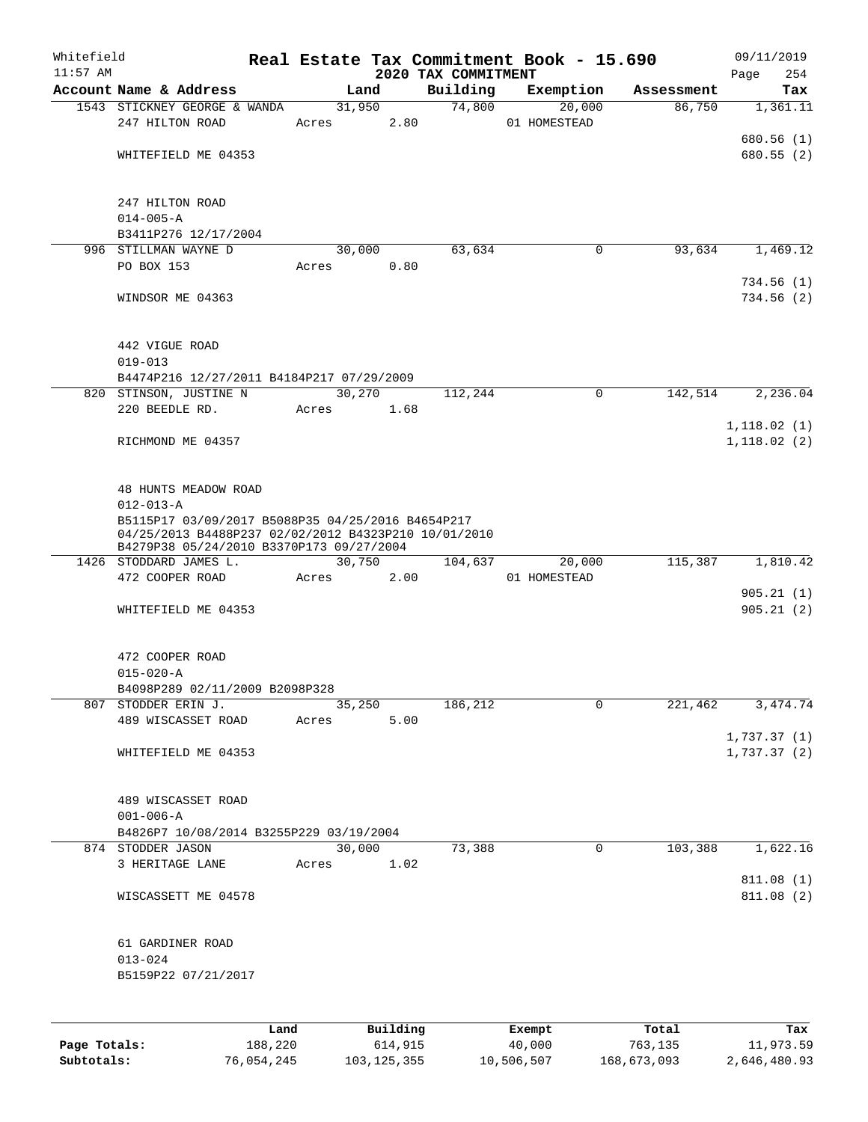| Whitefield<br>$11:57$ AM |                                                                                                                                                       |       |            |            |                 | 2020 TAX COMMITMENT | Real Estate Tax Commitment Book - 15.690 |            | 09/11/2019<br>Page<br>254   |
|--------------------------|-------------------------------------------------------------------------------------------------------------------------------------------------------|-------|------------|------------|-----------------|---------------------|------------------------------------------|------------|-----------------------------|
|                          | Account Name & Address                                                                                                                                |       |            | Land       |                 | Building            | Exemption                                | Assessment | Tax                         |
|                          | 1543 STICKNEY GEORGE & WANDA<br>247 HILTON ROAD                                                                                                       |       | Acres 2.80 | 31,950     |                 |                     | 74,800<br>20,000<br>01 HOMESTEAD         | 86,750     | 1,361.11                    |
|                          | WHITEFIELD ME 04353                                                                                                                                   |       |            |            |                 |                     |                                          |            | 680.56 (1)<br>680.55(2)     |
|                          | 247 HILTON ROAD<br>$014 - 005 - A$                                                                                                                    |       |            |            |                 |                     |                                          |            |                             |
|                          | B3411P276 12/17/2004                                                                                                                                  |       |            |            |                 |                     |                                          |            |                             |
|                          | 996 STILLMAN WAYNE D                                                                                                                                  |       |            | 30,000     |                 | 63,634              | $\mathbf 0$                              | 93,634     | 1,469.12                    |
|                          | PO BOX 153                                                                                                                                            |       |            | Acres 0.80 |                 |                     |                                          |            | 734.56(1)                   |
|                          | WINDSOR ME 04363                                                                                                                                      |       |            |            |                 |                     |                                          |            | 734.56(2)                   |
|                          | 442 VIGUE ROAD<br>$019 - 013$                                                                                                                         |       |            |            |                 |                     |                                          |            |                             |
|                          | B4474P216 12/27/2011 B4184P217 07/29/2009                                                                                                             |       |            |            |                 |                     |                                          |            |                             |
|                          | 820 STINSON, JUSTINE N                                                                                                                                |       |            | 30,270     |                 | 112,244             | $\mathbf 0$                              | 142,514    | 2,236.04                    |
|                          | 220 BEEDLE RD.                                                                                                                                        |       | Acres 1.68 |            |                 |                     |                                          |            |                             |
|                          | RICHMOND ME 04357                                                                                                                                     |       |            |            |                 |                     |                                          |            | 1, 118.02(1)<br>1,118.02(2) |
|                          | 48 HUNTS MEADOW ROAD<br>$012 - 013 - A$                                                                                                               |       |            |            |                 |                     |                                          |            |                             |
|                          | B5115P17 03/09/2017 B5088P35 04/25/2016 B4654P217<br>04/25/2013 B4488P237 02/02/2012 B4323P210 10/01/2010<br>B4279P38 05/24/2010 B3370P173 09/27/2004 |       |            |            |                 |                     |                                          |            |                             |
|                          | 1426 STODDARD JAMES L.                                                                                                                                |       |            | 30,750     |                 | 104,637             | 20,000                                   |            | 115,387 1,810.42            |
|                          | 472 COOPER ROAD                                                                                                                                       |       | Acres      |            | 2.00            |                     | 01 HOMESTEAD                             |            |                             |
|                          | WHITEFIELD ME 04353                                                                                                                                   |       |            |            |                 |                     |                                          |            | 905.21(1)<br>905.21(2)      |
|                          | 472 COOPER ROAD<br>$015 - 020 - A$                                                                                                                    |       |            |            |                 |                     |                                          |            |                             |
|                          | B4098P289 02/11/2009 B2098P328                                                                                                                        |       |            |            |                 |                     |                                          |            |                             |
|                          | 807 STODDER ERIN J.                                                                                                                                   |       |            | 35,250     |                 | 186,212             | 0                                        | 221,462    | 3,474.74                    |
|                          | 489 WISCASSET ROAD                                                                                                                                    |       | Acres      |            | 5.00            |                     |                                          |            | 1,737.37(1)                 |
|                          | WHITEFIELD ME 04353                                                                                                                                   |       |            |            |                 |                     |                                          |            | 1,737.37(2)                 |
|                          | 489 WISCASSET ROAD<br>$001 - 006 - A$                                                                                                                 |       |            |            |                 |                     |                                          |            |                             |
|                          | B4826P7 10/08/2014 B3255P229 03/19/2004                                                                                                               |       |            |            |                 |                     |                                          |            |                             |
|                          | 874 STODDER JASON                                                                                                                                     |       |            | 30,000     |                 | 73,388              | 0                                        | 103,388    | 1,622.16                    |
|                          | 3 HERITAGE LANE                                                                                                                                       |       | Acres      |            | 1.02            |                     |                                          |            |                             |
|                          | WISCASSETT ME 04578                                                                                                                                   |       |            |            |                 |                     |                                          |            | 811.08 (1)<br>811.08 (2)    |
|                          | 61 GARDINER ROAD<br>$013 - 024$                                                                                                                       |       |            |            |                 |                     |                                          |            |                             |
|                          | B5159P22 07/21/2017                                                                                                                                   |       |            |            |                 |                     |                                          |            |                             |
|                          |                                                                                                                                                       | T and |            |            | $P_{11}$ ilding |                     | $F$ vomnt                                |            |                             |

|              | Land       | Building    | Exempt     | Total       | Tax          |
|--------------|------------|-------------|------------|-------------|--------------|
| Page Totals: | 188,220    | 614,915     | 40,000     | 763,135     | 11,973.59    |
| Subtotals:   | 76,054,245 | 103,125,355 | 10,506,507 | 168,673,093 | 2,646,480.93 |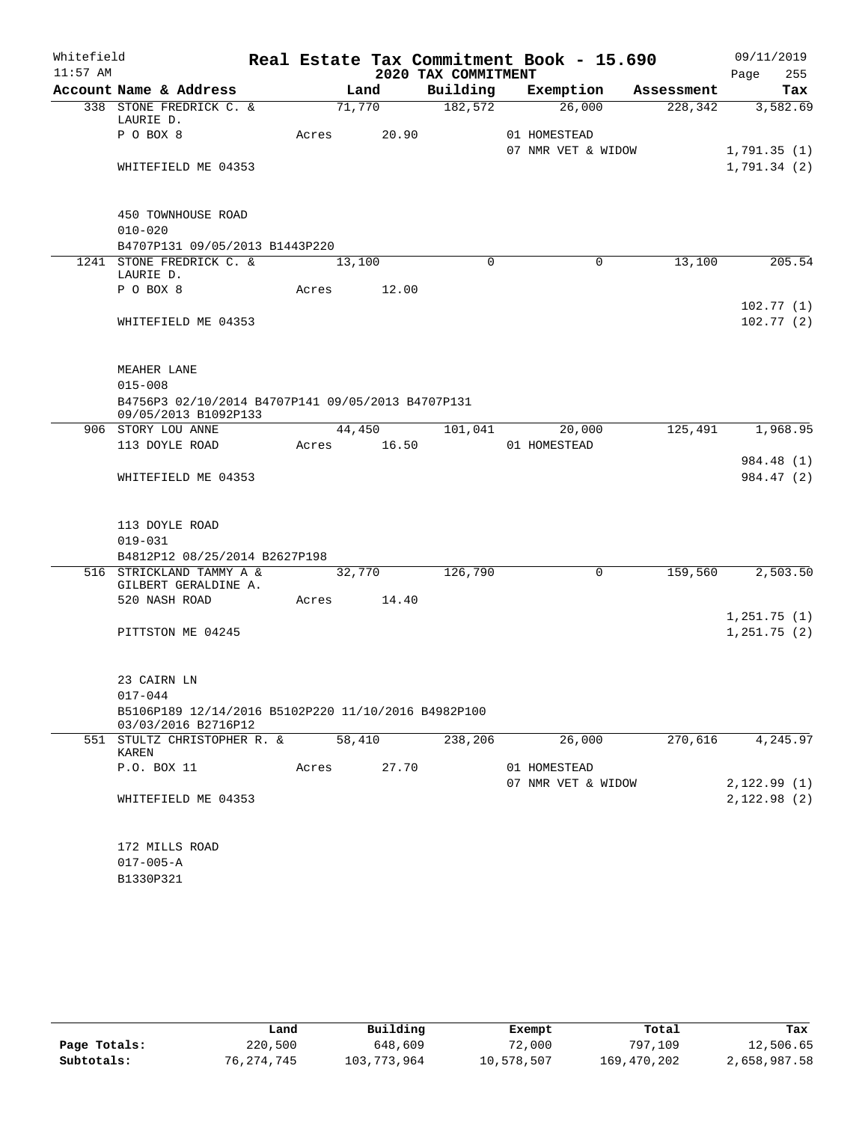| Whitefield |                                                                            |       |             |                     | Real Estate Tax Commitment Book - 15.690 |            | 09/11/2019  |
|------------|----------------------------------------------------------------------------|-------|-------------|---------------------|------------------------------------------|------------|-------------|
| $11:57$ AM |                                                                            |       |             | 2020 TAX COMMITMENT |                                          |            | 255<br>Page |
|            | Account Name & Address                                                     |       | Land        | Building            | Exemption                                | Assessment | Tax         |
|            | 338 STONE FREDRICK C. &<br>LAURIE D.                                       |       | 71,770      | 182,572             | 26,000                                   | 228, 342   | 3,582.69    |
|            | P O BOX 8                                                                  | Acres | 20.90       |                     | 01 HOMESTEAD                             |            |             |
|            |                                                                            |       |             |                     | 07 NMR VET & WIDOW                       |            | 1,791.35(1) |
|            | WHITEFIELD ME 04353                                                        |       |             |                     |                                          |            | 1,791.34(2) |
|            |                                                                            |       |             |                     |                                          |            |             |
|            | 450 TOWNHOUSE ROAD                                                         |       |             |                     |                                          |            |             |
|            | $010 - 020$                                                                |       |             |                     |                                          |            |             |
|            | B4707P131 09/05/2013 B1443P220                                             |       |             |                     |                                          |            |             |
|            | 1241 STONE FREDRICK C. &                                                   |       | 13,100      | $\Omega$            | $\Omega$                                 | 13,100     | 205.54      |
|            | LAURIE D.                                                                  |       |             |                     |                                          |            |             |
|            | P O BOX 8                                                                  | Acres | 12.00       |                     |                                          |            | 102.77(1)   |
|            | WHITEFIELD ME 04353                                                        |       |             |                     |                                          |            | 102.77(2)   |
|            |                                                                            |       |             |                     |                                          |            |             |
|            |                                                                            |       |             |                     |                                          |            |             |
|            | MEAHER LANE                                                                |       |             |                     |                                          |            |             |
|            | $015 - 008$                                                                |       |             |                     |                                          |            |             |
|            | B4756P3 02/10/2014 B4707P141 09/05/2013 B4707P131<br>09/05/2013 B1092P133  |       |             |                     |                                          |            |             |
|            | 906 STORY LOU ANNE                                                         |       | 44,450      | 101,041             | 20,000                                   | 125,491    | 1,968.95    |
|            | 113 DOYLE ROAD                                                             |       | Acres 16.50 |                     | 01 HOMESTEAD                             |            |             |
|            |                                                                            |       |             |                     |                                          |            | 984.48 (1)  |
|            | WHITEFIELD ME 04353                                                        |       |             |                     |                                          |            | 984.47 (2)  |
|            |                                                                            |       |             |                     |                                          |            |             |
|            | 113 DOYLE ROAD                                                             |       |             |                     |                                          |            |             |
|            | $019 - 031$                                                                |       |             |                     |                                          |            |             |
|            | B4812P12 08/25/2014 B2627P198                                              |       |             |                     |                                          |            |             |
|            | 516 STRICKLAND TAMMY A &                                                   |       | 32,770      | 126,790             | $\mathbf 0$                              | 159,560    | 2,503.50    |
|            | GILBERT GERALDINE A.<br>520 NASH ROAD                                      |       | Acres 14.40 |                     |                                          |            |             |
|            |                                                                            |       |             |                     |                                          |            | 1,251.75(1) |
|            | PITTSTON ME 04245                                                          |       |             |                     |                                          |            | 1,251.75(2) |
|            |                                                                            |       |             |                     |                                          |            |             |
|            |                                                                            |       |             |                     |                                          |            |             |
|            | 23 CAIRN LN                                                                |       |             |                     |                                          |            |             |
|            | $017 - 044$                                                                |       |             |                     |                                          |            |             |
|            | B5106P189 12/14/2016 B5102P220 11/10/2016 B4982P100<br>03/03/2016 B2716P12 |       |             |                     |                                          |            |             |
|            | 551 STULTZ CHRISTOPHER R. &                                                |       | 58,410      | 238,206             | 26,000                                   | 270,616    | 4,245.97    |
|            | KAREN<br>P.O. BOX 11                                                       | Acres | 27.70       |                     | 01 HOMESTEAD                             |            |             |
|            |                                                                            |       |             |                     | 07 NMR VET & WIDOW                       |            | 2,122.99(1) |
|            | WHITEFIELD ME 04353                                                        |       |             |                     |                                          |            | 2,122.98(2) |
|            |                                                                            |       |             |                     |                                          |            |             |
|            |                                                                            |       |             |                     |                                          |            |             |
|            | 172 MILLS ROAD                                                             |       |             |                     |                                          |            |             |
|            | $017 - 005 - A$                                                            |       |             |                     |                                          |            |             |
|            | B1330P321                                                                  |       |             |                     |                                          |            |             |

|              | Land       | Building    | Exempt     | Total       | Tax          |
|--------------|------------|-------------|------------|-------------|--------------|
| Page Totals: | 220,500    | 648,609     | 72,000     | 797,109     | 12,506.65    |
| Subtotals:   | 76,274,745 | 103,773,964 | 10,578,507 | 169,470,202 | 2,658,987.58 |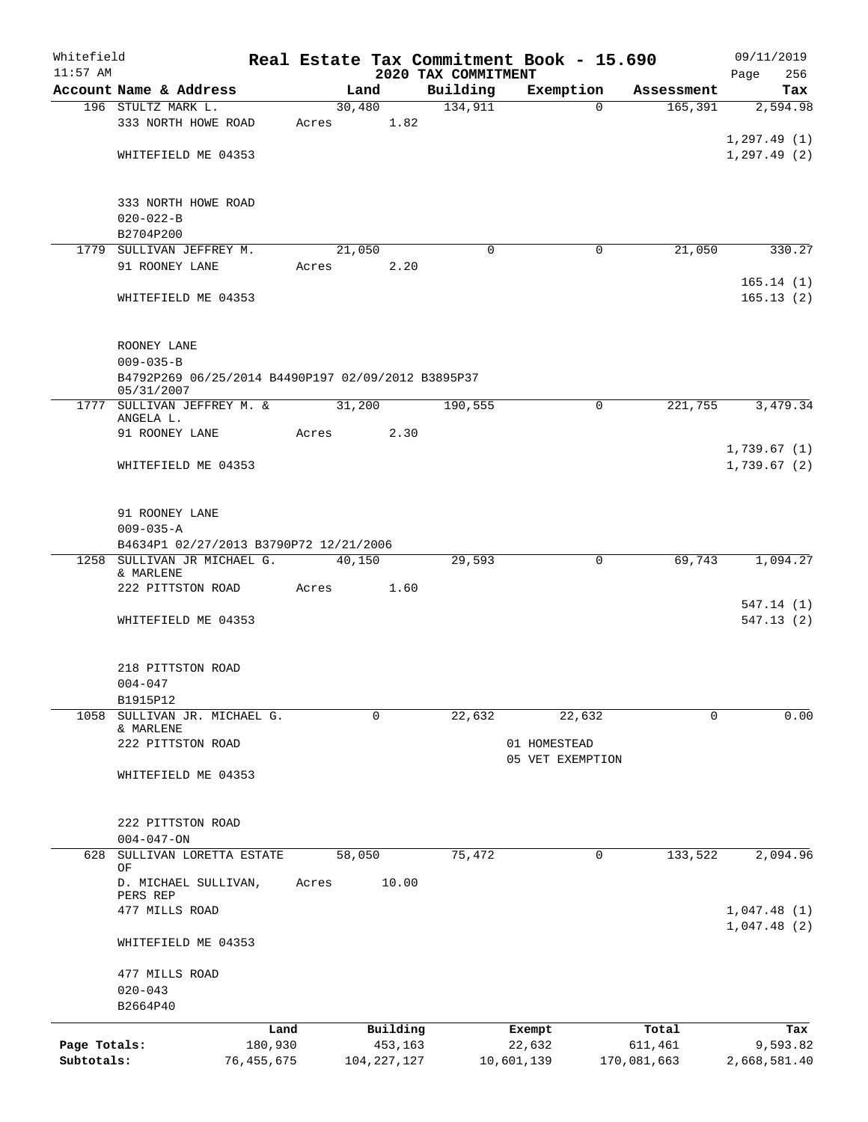| Whitefield<br>$11:57$ AM |                                                    |              |        |               |                                 | Real Estate Tax Commitment Book - 15.690 |             | 09/11/2019         |
|--------------------------|----------------------------------------------------|--------------|--------|---------------|---------------------------------|------------------------------------------|-------------|--------------------|
|                          | Account Name & Address                             |              |        | Land          | 2020 TAX COMMITMENT<br>Building | Exemption                                | Assessment  | 256<br>Page<br>Tax |
|                          | 196 STULTZ MARK L.                                 |              | 30,480 |               | 134,911                         | $\Omega$                                 | 165,391     | 2,594.98           |
|                          | 333 NORTH HOWE ROAD                                | Acres        |        | 1.82          |                                 |                                          |             |                    |
|                          |                                                    |              |        |               |                                 |                                          |             | 1, 297.49(1)       |
|                          | WHITEFIELD ME 04353                                |              |        |               |                                 |                                          |             | 1, 297.49(2)       |
|                          |                                                    |              |        |               |                                 |                                          |             |                    |
|                          |                                                    |              |        |               |                                 |                                          |             |                    |
|                          | 333 NORTH HOWE ROAD                                |              |        |               |                                 |                                          |             |                    |
|                          | $020 - 022 - B$                                    |              |        |               |                                 |                                          |             |                    |
|                          | B2704P200                                          |              |        |               |                                 |                                          |             |                    |
|                          | 1779 SULLIVAN JEFFREY M.                           |              | 21,050 |               | $\mathbf 0$                     | 0                                        | 21,050      | 330.27             |
|                          | 91 ROONEY LANE                                     | Acres        |        | 2.20          |                                 |                                          |             |                    |
|                          |                                                    |              |        |               |                                 |                                          |             | 165.14(1)          |
|                          | WHITEFIELD ME 04353                                |              |        |               |                                 |                                          |             | 165.13(2)          |
|                          |                                                    |              |        |               |                                 |                                          |             |                    |
|                          |                                                    |              |        |               |                                 |                                          |             |                    |
|                          | ROONEY LANE                                        |              |        |               |                                 |                                          |             |                    |
|                          | $009 - 035 - B$                                    |              |        |               |                                 |                                          |             |                    |
|                          | B4792P269 06/25/2014 B4490P197 02/09/2012 B3895P37 |              |        |               |                                 |                                          |             |                    |
|                          | 05/31/2007<br>1777 SULLIVAN JEFFREY M. &           |              | 31,200 |               | 190,555                         | 0                                        | 221,755     | 3,479.34           |
|                          | ANGELA L.                                          |              |        |               |                                 |                                          |             |                    |
|                          | 91 ROONEY LANE                                     | Acres        |        | 2.30          |                                 |                                          |             |                    |
|                          |                                                    |              |        |               |                                 |                                          |             | 1,739.67(1)        |
|                          | WHITEFIELD ME 04353                                |              |        |               |                                 |                                          |             | 1,739.67(2)        |
|                          |                                                    |              |        |               |                                 |                                          |             |                    |
|                          |                                                    |              |        |               |                                 |                                          |             |                    |
|                          | 91 ROONEY LANE                                     |              |        |               |                                 |                                          |             |                    |
|                          | $009 - 035 - A$                                    |              |        |               |                                 |                                          |             |                    |
|                          | B4634P1 02/27/2013 B3790P72 12/21/2006             |              |        |               |                                 |                                          |             |                    |
|                          | 1258 SULLIVAN JR MICHAEL G.                        |              | 40,150 |               | 29,593                          | 0                                        | 69,743      | 1,094.27           |
|                          | & MARLENE<br>222 PITTSTON ROAD                     | Acres        |        | 1.60          |                                 |                                          |             |                    |
|                          |                                                    |              |        |               |                                 |                                          |             | 547.14 (1)         |
|                          | WHITEFIELD ME 04353                                |              |        |               |                                 |                                          |             | 547.13(2)          |
|                          |                                                    |              |        |               |                                 |                                          |             |                    |
|                          |                                                    |              |        |               |                                 |                                          |             |                    |
|                          | 218 PITTSTON ROAD                                  |              |        |               |                                 |                                          |             |                    |
|                          | $004 - 047$                                        |              |        |               |                                 |                                          |             |                    |
|                          | B1915P12                                           |              |        |               |                                 |                                          |             |                    |
| 1058                     | SULLIVAN JR. MICHAEL G.                            |              |        | 0             | 22,632                          | 22,632                                   | $\Omega$    | 0.00               |
|                          | & MARLENE                                          |              |        |               |                                 |                                          |             |                    |
|                          | 222 PITTSTON ROAD                                  |              |        |               |                                 | 01 HOMESTEAD                             |             |                    |
|                          |                                                    |              |        |               |                                 | 05 VET EXEMPTION                         |             |                    |
|                          | WHITEFIELD ME 04353                                |              |        |               |                                 |                                          |             |                    |
|                          |                                                    |              |        |               |                                 |                                          |             |                    |
|                          | 222 PITTSTON ROAD                                  |              |        |               |                                 |                                          |             |                    |
|                          | $004 - 047 - ON$                                   |              |        |               |                                 |                                          |             |                    |
| 628                      | SULLIVAN LORETTA ESTATE                            |              | 58,050 |               | 75,472                          | 0                                        | 133,522     | 2,094.96           |
|                          | OF                                                 |              |        |               |                                 |                                          |             |                    |
|                          | D. MICHAEL SULLIVAN,                               | Acres        |        | 10.00         |                                 |                                          |             |                    |
|                          | PERS REP                                           |              |        |               |                                 |                                          |             |                    |
|                          | 477 MILLS ROAD                                     |              |        |               |                                 |                                          |             | 1,047.48(1)        |
|                          |                                                    |              |        |               |                                 |                                          |             | 1,047.48(2)        |
|                          | WHITEFIELD ME 04353                                |              |        |               |                                 |                                          |             |                    |
|                          |                                                    |              |        |               |                                 |                                          |             |                    |
|                          | 477 MILLS ROAD                                     |              |        |               |                                 |                                          |             |                    |
|                          | $020 - 043$<br>B2664P40                            |              |        |               |                                 |                                          |             |                    |
|                          |                                                    |              |        |               |                                 |                                          |             |                    |
|                          |                                                    | Land         |        | Building      |                                 | Exempt                                   | Total       | Tax                |
| Page Totals:             |                                                    | 180,930      |        | 453,163       |                                 | 22,632                                   | 611,461     | 9,593.82           |
| Subtotals:               |                                                    | 76, 455, 675 |        | 104, 227, 127 |                                 | 10,601,139                               | 170,081,663 | 2,668,581.40       |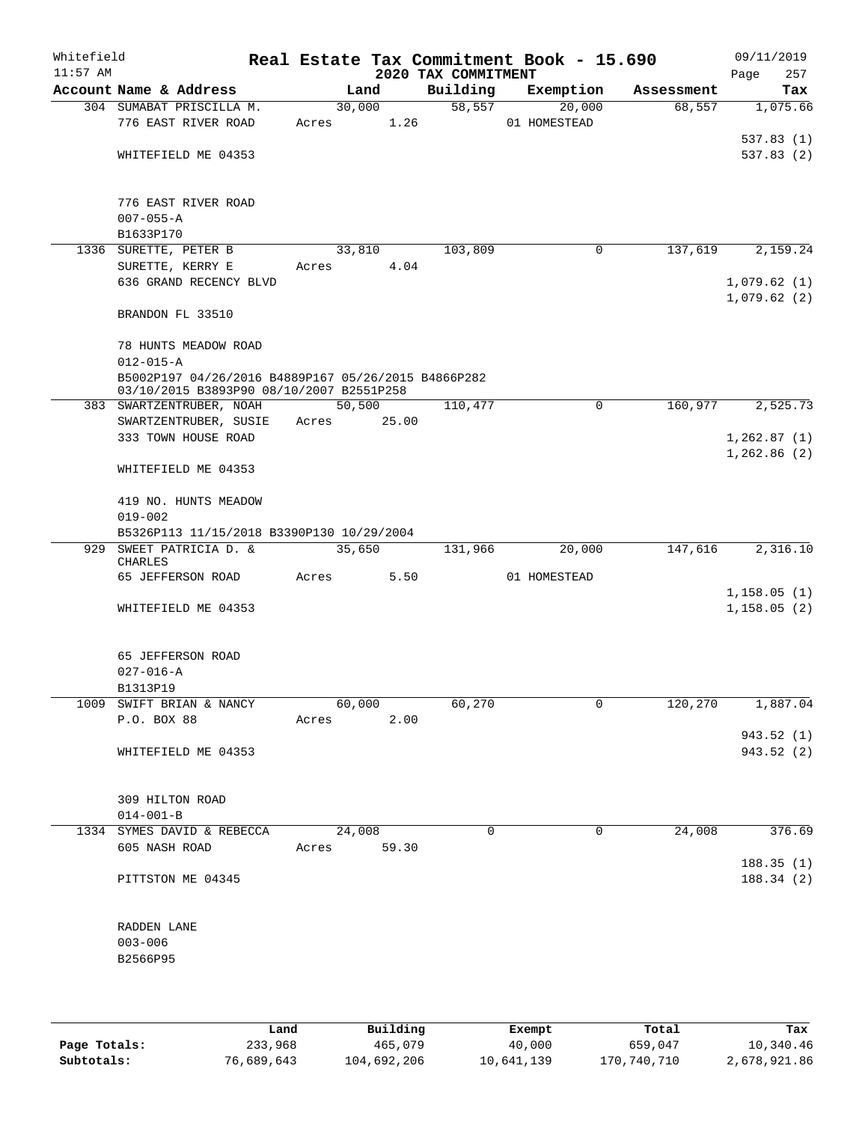| Whitefield<br>$11:57$ AM |                                                                                                 |       |                | 2020 TAX COMMITMENT | Real Estate Tax Commitment Book - 15.690 |            | 09/11/2019<br>257<br>Page  |
|--------------------------|-------------------------------------------------------------------------------------------------|-------|----------------|---------------------|------------------------------------------|------------|----------------------------|
|                          | Account Name & Address                                                                          |       | Land           | Building            | Exemption                                | Assessment | Tax                        |
|                          | 304 SUMABAT PRISCILLA M.<br>776 EAST RIVER ROAD                                                 | Acres | 30,000<br>1.26 | 58,557              | 20,000<br>01 HOMESTEAD                   | 68,557     | 1,075.66                   |
|                          | WHITEFIELD ME 04353                                                                             |       |                |                     |                                          |            | 537.83(1)<br>537.83 (2)    |
|                          |                                                                                                 |       |                |                     |                                          |            |                            |
|                          | 776 EAST RIVER ROAD<br>$007 - 055 - A$                                                          |       |                |                     |                                          |            |                            |
|                          | B1633P170                                                                                       |       |                |                     |                                          |            |                            |
|                          | 1336 SURETTE, PETER B                                                                           |       | 33,810         | 103,809             | 0                                        | 137,619    | 2,159.24                   |
|                          | SURETTE, KERRY E                                                                                | Acres | 4.04           |                     |                                          |            |                            |
|                          | 636 GRAND RECENCY BLVD                                                                          |       |                |                     |                                          |            | 1,079.62(1)<br>1,079.62(2) |
|                          | BRANDON FL 33510                                                                                |       |                |                     |                                          |            |                            |
|                          | 78 HUNTS MEADOW ROAD<br>$012 - 015 - A$                                                         |       |                |                     |                                          |            |                            |
|                          | B5002P197 04/26/2016 B4889P167 05/26/2015 B4866P282<br>03/10/2015 B3893P90 08/10/2007 B2551P258 |       |                |                     |                                          |            |                            |
|                          | 383 SWARTZENTRUBER, NOAH                                                                        |       | 50,500         | 110,477             | $\mathsf{O}$                             | 160,977    | 2,525.73                   |
|                          | SWARTZENTRUBER, SUSIE                                                                           | Acres | 25.00          |                     |                                          |            |                            |
|                          | 333 TOWN HOUSE ROAD                                                                             |       |                |                     |                                          |            | 1,262.87(1)                |
|                          | WHITEFIELD ME 04353                                                                             |       |                |                     |                                          |            | 1,262.86(2)                |
|                          | 419 NO. HUNTS MEADOW                                                                            |       |                |                     |                                          |            |                            |
|                          | $019 - 002$                                                                                     |       |                |                     |                                          |            |                            |
| 929                      | B5326P113 11/15/2018 B3390P130 10/29/2004<br>SWEET PATRICIA D. &                                |       | 35,650         | 131,966             | 20,000                                   | 147,616    | 2,316.10                   |
|                          | CHARLES<br>65 JEFFERSON ROAD                                                                    | Acres | 5.50           |                     | 01 HOMESTEAD                             |            |                            |
|                          |                                                                                                 |       |                |                     |                                          |            | 1,158.05(1)                |
|                          | WHITEFIELD ME 04353                                                                             |       |                |                     |                                          |            | 1,158.05(2)                |
|                          | 65 JEFFERSON ROAD                                                                               |       |                |                     |                                          |            |                            |
|                          | $027 - 016 - A$                                                                                 |       |                |                     |                                          |            |                            |
|                          | B1313P19                                                                                        |       |                |                     |                                          |            |                            |
|                          | 1009 SWIFT BRIAN & NANCY                                                                        |       | 60,000         | 60,270              | 0                                        | 120,270    | 1,887.04                   |
|                          | P.O. BOX 88                                                                                     | Acres | 2.00           |                     |                                          |            |                            |
|                          |                                                                                                 |       |                |                     |                                          |            | 943.52 (1)                 |
|                          | WHITEFIELD ME 04353                                                                             |       |                |                     |                                          |            | 943.52 (2)                 |
|                          | 309 HILTON ROAD                                                                                 |       |                |                     |                                          |            |                            |
|                          | $014 - 001 - B$                                                                                 |       |                |                     |                                          |            |                            |
|                          | 1334 SYMES DAVID & REBECCA                                                                      |       | 24,008         | 0                   | $\mathbf 0$                              | 24,008     | 376.69                     |
|                          | 605 NASH ROAD                                                                                   |       | Acres 59.30    |                     |                                          |            |                            |
|                          | PITTSTON ME 04345                                                                               |       |                |                     |                                          |            | 188.35(1)<br>188.34(2)     |
|                          | RADDEN LANE                                                                                     |       |                |                     |                                          |            |                            |
|                          | $003 - 006$                                                                                     |       |                |                     |                                          |            |                            |
|                          | B2566P95                                                                                        |       |                |                     |                                          |            |                            |
|                          |                                                                                                 |       |                |                     |                                          |            |                            |
|                          |                                                                                                 |       |                |                     |                                          |            |                            |
|                          |                                                                                                 |       |                |                     |                                          |            |                            |

|              | Land       | Building    | Exempt     | Total       | Tax          |
|--------------|------------|-------------|------------|-------------|--------------|
| Page Totals: | 233,968    | 465,079     | 40,000     | 659,047     | 10,340.46    |
| Subtotals:   | 76,689,643 | 104,692,206 | 10,641,139 | 170,740,710 | 2,678,921.86 |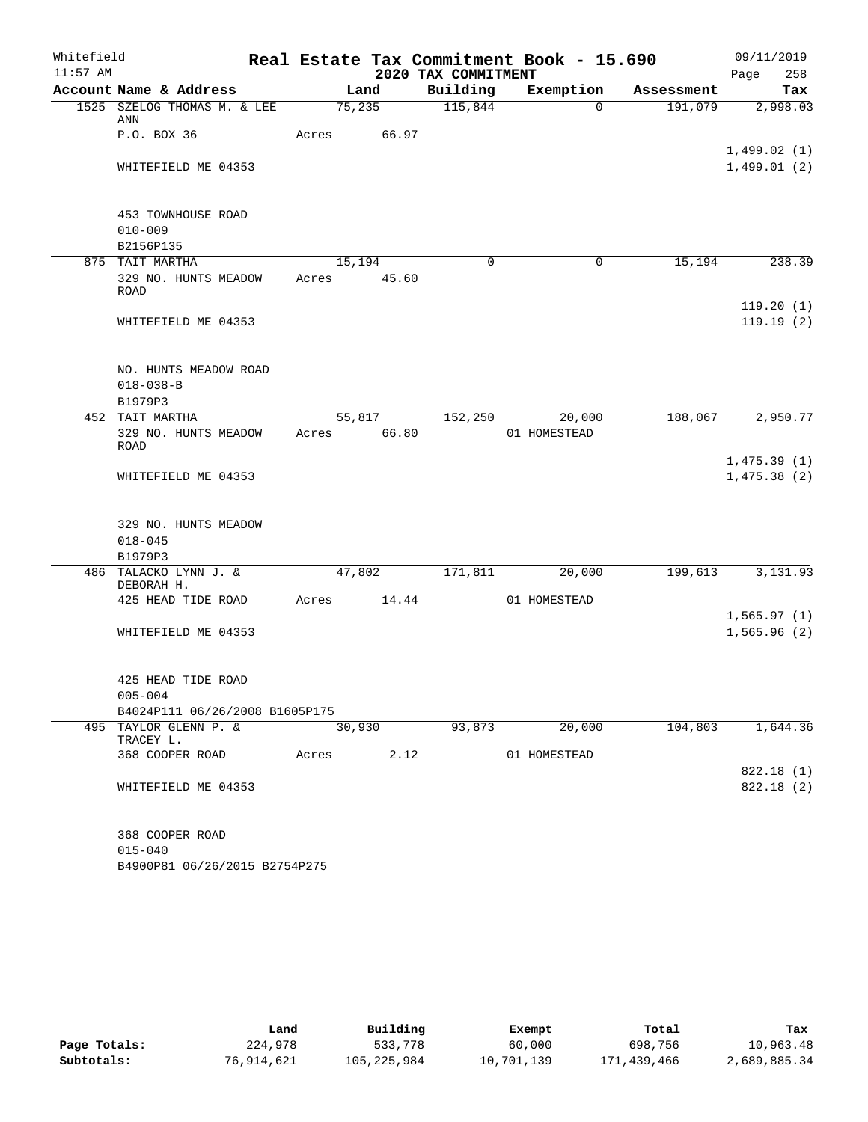| Whitefield |                                              |             |        |                     | Real Estate Tax Commitment Book - 15.690 |            | 09/11/2019                 |
|------------|----------------------------------------------|-------------|--------|---------------------|------------------------------------------|------------|----------------------------|
| $11:57$ AM |                                              |             |        | 2020 TAX COMMITMENT |                                          |            | Page<br>258                |
|            | Account Name & Address                       |             | Land   | Building            | Exemption                                | Assessment | Tax                        |
|            | 1525 SZELOG THOMAS M. & LEE<br>ANN           | 75,235      |        | 115,844             | $\Omega$                                 | 191,079    | 2,998.03                   |
|            | P.O. BOX 36                                  | Acres       | 66.97  |                     |                                          |            | 1,499.02(1)                |
|            | WHITEFIELD ME 04353                          |             |        |                     |                                          |            | 1,499.01(2)                |
|            | 453 TOWNHOUSE ROAD<br>$010 - 009$            |             |        |                     |                                          |            |                            |
|            | B2156P135                                    |             |        |                     |                                          |            |                            |
|            | 875 TAIT MARTHA                              | 15,194      |        | $\Omega$            | $\mathbf 0$                              | 15,194     | 238.39                     |
|            | 329 NO. HUNTS MEADOW<br>ROAD                 | Acres 45.60 |        |                     |                                          |            |                            |
|            | WHITEFIELD ME 04353                          |             |        |                     |                                          |            | 119.20(1)<br>119.19(2)     |
|            | NO. HUNTS MEADOW ROAD<br>$018 - 038 - B$     |             |        |                     |                                          |            |                            |
|            | B1979P3<br>452 TAIT MARTHA                   |             | 55,817 | 152,250             | 20,000                                   | 188,067    | 2,950.77                   |
|            | 329 NO. HUNTS MEADOW<br><b>ROAD</b>          | Acres       | 66.80  |                     | 01 HOMESTEAD                             |            |                            |
|            | WHITEFIELD ME 04353                          |             |        |                     |                                          |            | 1,475.39(1)<br>1,475.38(2) |
|            | 329 NO. HUNTS MEADOW<br>$018 - 045$          |             |        |                     |                                          |            |                            |
|            | B1979P3                                      |             |        |                     |                                          |            |                            |
|            | 486 TALACKO LYNN J. &<br>DEBORAH H.          | 47,802      |        | 171,811             | 20,000                                   | 199,613    | 3,131.93                   |
|            | 425 HEAD TIDE ROAD                           | Acres 14.44 |        |                     | 01 HOMESTEAD                             |            | 1,565.97(1)                |
|            | WHITEFIELD ME 04353                          |             |        |                     |                                          |            | 1,565.96(2)                |
|            | 425 HEAD TIDE ROAD<br>$005 - 004$            |             |        |                     |                                          |            |                            |
|            | B4024P111 06/26/2008 B1605P175               |             |        |                     |                                          |            |                            |
|            | 495 TAYLOR GLENN P. &                        | 30,930      |        | 93,873              | 20,000                                   | 104,803    | 1,644.36                   |
|            | TRACEY L.                                    |             |        |                     |                                          |            |                            |
|            | 368 COOPER ROAD                              | Acres       | 2.12   |                     | 01 HOMESTEAD                             |            | 822.18 (1)                 |
|            | WHITEFIELD ME 04353                          |             |        |                     |                                          |            | 822.18(2)                  |
|            | 368 COOPER ROAD                              |             |        |                     |                                          |            |                            |
|            | $015 - 040$<br>B4900P81 06/26/2015 B2754P275 |             |        |                     |                                          |            |                            |

|              | Land       | Building    | Exempt     | Total       | Tax          |
|--------------|------------|-------------|------------|-------------|--------------|
| Page Totals: | 224,978    | 533,778     | 60,000     | 698,756     | 10,963.48    |
| Subtotals:   | 76,914,621 | 105,225,984 | 10,701,139 | 171,439,466 | 2,689,885.34 |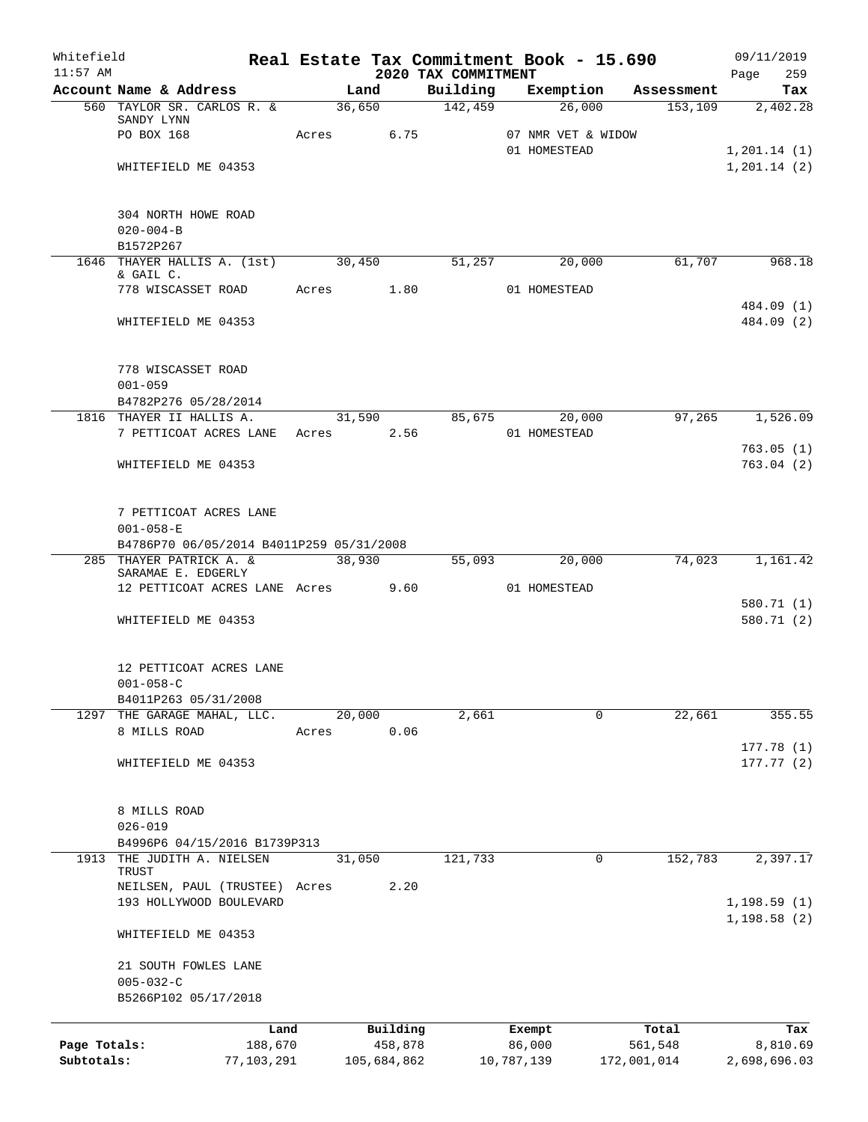| Whitefield   |                                                    |       |        |             |                                 |            | Real Estate Tax Commitment Book - 15.690 |             | 09/11/2019                    |
|--------------|----------------------------------------------------|-------|--------|-------------|---------------------------------|------------|------------------------------------------|-------------|-------------------------------|
| $11:57$ AM   | Account Name & Address                             |       | Land   |             | 2020 TAX COMMITMENT<br>Building |            | Exemption                                | Assessment  | Page<br>259<br>Tax            |
|              | 560 TAYLOR SR. CARLOS R. &                         |       | 36,650 |             | 142,459                         |            | 26,000                                   | 153, 109    | 2,402.28                      |
|              | SANDY LYNN                                         |       |        |             |                                 |            |                                          |             |                               |
|              | PO BOX 168                                         |       | Acres  | 6.75        |                                 |            | 07 NMR VET & WIDOW<br>01 HOMESTEAD       |             |                               |
|              | WHITEFIELD ME 04353                                |       |        |             |                                 |            |                                          |             | 1, 201.14 (1)<br>1, 201.14(2) |
|              |                                                    |       |        |             |                                 |            |                                          |             |                               |
|              | 304 NORTH HOWE ROAD                                |       |        |             |                                 |            |                                          |             |                               |
|              | $020 - 004 - B$                                    |       |        |             |                                 |            |                                          |             |                               |
|              | B1572P267                                          |       |        |             |                                 |            |                                          |             |                               |
|              | 1646 THAYER HALLIS A. (1st) 30,450                 |       |        |             | 51,257                          |            | 20,000                                   | 61,707      | 968.18                        |
|              | & GAIL C.<br>778 WISCASSET ROAD                    |       | Acres  | 1.80        |                                 |            | 01 HOMESTEAD                             |             |                               |
|              |                                                    |       |        |             |                                 |            |                                          |             | 484.09 (1)                    |
|              | WHITEFIELD ME 04353                                |       |        |             |                                 |            |                                          |             | 484.09 (2)                    |
|              |                                                    |       |        |             |                                 |            |                                          |             |                               |
|              | 778 WISCASSET ROAD                                 |       |        |             |                                 |            |                                          |             |                               |
|              | $001 - 059$                                        |       |        |             |                                 |            |                                          |             |                               |
|              | B4782P276 05/28/2014                               |       |        |             |                                 |            |                                          |             |                               |
|              | 1816 THAYER II HALLIS A.<br>7 PETTICOAT ACRES LANE | Acres |        | 2.56        | 31,590 85,675                   |            | 20,000<br>01 HOMESTEAD                   | 97,265      | 1,526.09                      |
|              |                                                    |       |        |             |                                 |            |                                          |             | 763.05(1)                     |
|              | WHITEFIELD ME 04353                                |       |        |             |                                 |            |                                          |             | 763.04(2)                     |
|              |                                                    |       |        |             |                                 |            |                                          |             |                               |
|              | 7 PETTICOAT ACRES LANE                             |       |        |             |                                 |            |                                          |             |                               |
|              | $001 - 058 - E$                                    |       |        |             |                                 |            |                                          |             |                               |
|              | B4786P70 06/05/2014 B4011P259 05/31/2008           |       |        |             |                                 |            |                                          |             |                               |
|              | 285 THAYER PATRICK A. &                            |       | 38,930 |             | 55,093                          |            | 20,000                                   | 74,023      | 1,161.42                      |
|              | SARAMAE E. EDGERLY                                 |       |        |             |                                 |            |                                          |             |                               |
|              | 12 PETTICOAT ACRES LANE Acres 9.60                 |       |        |             |                                 |            | 01 HOMESTEAD                             |             | 580.71 (1)                    |
|              | WHITEFIELD ME 04353                                |       |        |             |                                 |            |                                          |             | 580.71 (2)                    |
|              |                                                    |       |        |             |                                 |            |                                          |             |                               |
|              | 12 PETTICOAT ACRES LANE                            |       |        |             |                                 |            |                                          |             |                               |
|              | $001 - 058 - C$                                    |       |        |             |                                 |            |                                          |             |                               |
|              | B4011P263 05/31/2008                               |       |        |             |                                 |            |                                          |             |                               |
|              | 1297 THE GARAGE MAHAL, LLC.                        |       | 20,000 |             | 2,661                           |            | 0                                        | 22,661      | 355.55                        |
|              | 8 MILLS ROAD                                       | Acres |        | 0.06        |                                 |            |                                          |             |                               |
|              |                                                    |       |        |             |                                 |            |                                          |             | 177.78(1)                     |
|              | WHITEFIELD ME 04353                                |       |        |             |                                 |            |                                          |             | 177.77(2)                     |
|              |                                                    |       |        |             |                                 |            |                                          |             |                               |
|              | 8 MILLS ROAD                                       |       |        |             |                                 |            |                                          |             |                               |
|              | $026 - 019$<br>B4996P6 04/15/2016 B1739P313        |       |        |             |                                 |            |                                          |             |                               |
| 1913         | THE JUDITH A. NIELSEN                              |       | 31,050 |             | 121,733                         |            | 0                                        | 152,783     | 2,397.17                      |
|              | TRUST<br>NEILSEN, PAUL (TRUSTEE) Acres             |       |        | 2.20        |                                 |            |                                          |             |                               |
|              | 193 HOLLYWOOD BOULEVARD                            |       |        |             |                                 |            |                                          |             | 1,198.59(1)                   |
|              |                                                    |       |        |             |                                 |            |                                          |             | 1, 198.58(2)                  |
|              | WHITEFIELD ME 04353                                |       |        |             |                                 |            |                                          |             |                               |
|              | 21 SOUTH FOWLES LANE                               |       |        |             |                                 |            |                                          |             |                               |
|              | $005 - 032 - C$                                    |       |        |             |                                 |            |                                          |             |                               |
|              | B5266P102 05/17/2018                               |       |        |             |                                 |            |                                          |             |                               |
|              |                                                    | Land  |        | Building    |                                 | Exempt     |                                          | Total       | Tax                           |
| Page Totals: | 188,670                                            |       |        | 458,878     |                                 | 86,000     |                                          | 561,548     | 8,810.69                      |
| Subtotals:   | 77,103,291                                         |       |        | 105,684,862 |                                 | 10,787,139 |                                          | 172,001,014 | 2,698,696.03                  |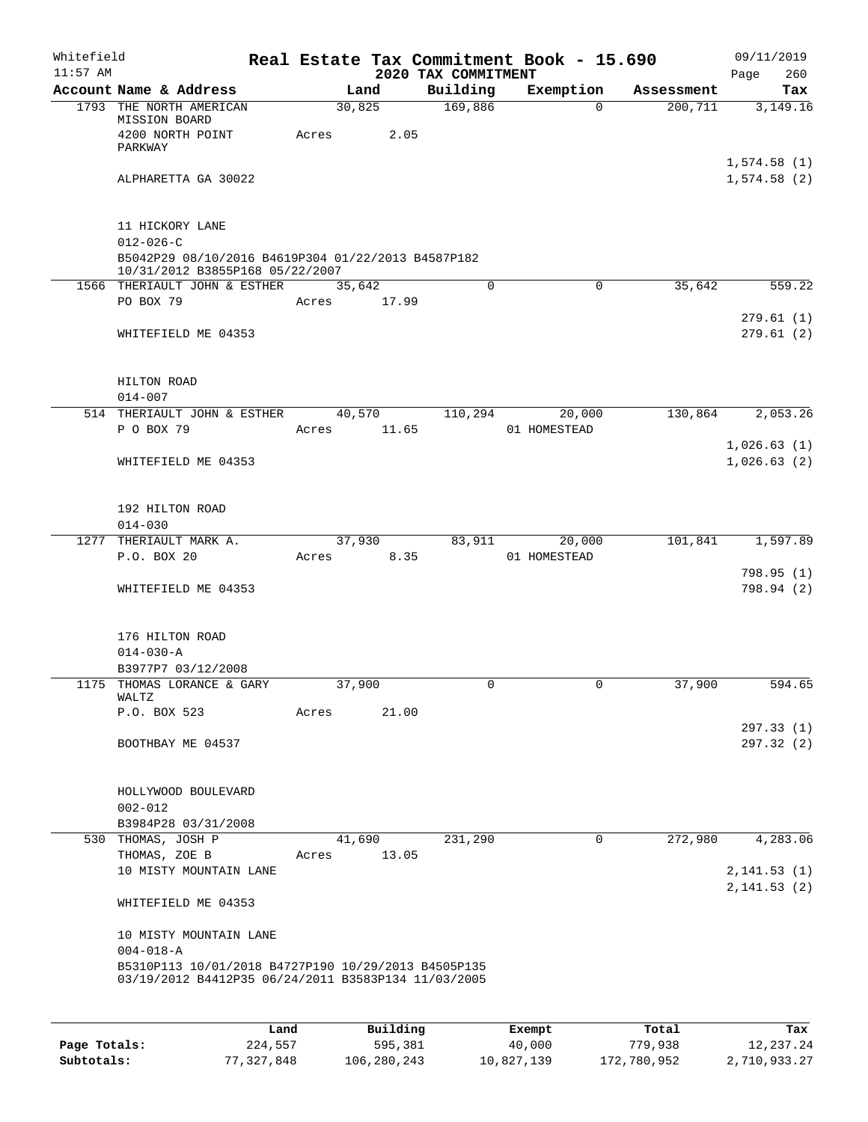| Whitefield<br>$11:57$ AM |                                                                                                            |        |                | 2020 TAX COMMITMENT | Real Estate Tax Commitment Book - 15.690 |            | 09/11/2019<br>Page<br>260  |
|--------------------------|------------------------------------------------------------------------------------------------------------|--------|----------------|---------------------|------------------------------------------|------------|----------------------------|
|                          | Account Name & Address                                                                                     |        | Land           | Building            | Exemption                                | Assessment | Tax                        |
|                          | 1793 THE NORTH AMERICAN<br>MISSION BOARD<br>4200 NORTH POINT<br>PARKWAY                                    | Acres  | 30,825<br>2.05 | 169,886             | $\Omega$                                 | 200, 711   | 3,149.16                   |
|                          | ALPHARETTA GA 30022                                                                                        |        |                |                     |                                          |            | 1,574.58(1)<br>1,574.58(2) |
|                          | 11 HICKORY LANE<br>$012 - 026 - C$                                                                         |        |                |                     |                                          |            |                            |
|                          | B5042P29 08/10/2016 B4619P304 01/22/2013 B4587P182<br>10/31/2012 B3855P168 05/22/2007                      |        |                |                     |                                          |            |                            |
|                          | 1566 THERIAULT JOHN & ESTHER                                                                               | 35,642 |                | $\Omega$            | 0                                        | 35,642     | 559.22                     |
|                          | PO BOX 79                                                                                                  | Acres  | 17.99          |                     |                                          |            |                            |
|                          | WHITEFIELD ME 04353                                                                                        |        |                |                     |                                          |            | 279.61 (1)<br>279.61(2)    |
|                          | HILTON ROAD<br>$014 - 007$                                                                                 |        |                |                     |                                          |            |                            |
|                          | 514 THERIAULT JOHN & ESTHER                                                                                |        | 40,570         | 110,294             | 20,000                                   | 130,864    | 2,053.26                   |
|                          | P O BOX 79                                                                                                 | Acres  | 11.65          |                     | 01 HOMESTEAD                             |            | 1,026.63(1)                |
|                          | WHITEFIELD ME 04353                                                                                        |        |                |                     |                                          |            | 1,026.63(2)                |
|                          | 192 HILTON ROAD<br>$014 - 030$                                                                             |        |                |                     |                                          |            |                            |
| 1277                     | THERIAULT MARK A.                                                                                          |        | 37,930         | 83,911              | 20,000                                   | 101,841    | 1,597.89                   |
|                          | P.O. BOX 20                                                                                                | Acres  | 8.35           |                     | 01 HOMESTEAD                             |            | 798.95 (1)                 |
|                          | WHITEFIELD ME 04353                                                                                        |        |                |                     |                                          |            | 798.94 (2)                 |
|                          | 176 HILTON ROAD                                                                                            |        |                |                     |                                          |            |                            |
|                          | $014 - 030 - A$<br>B3977P7 03/12/2008                                                                      |        |                |                     |                                          |            |                            |
| 1175                     | THOMAS LORANCE & GARY<br>WALTZ                                                                             | 37,900 |                | $\Omega$            | 0                                        | 37,900     | 594.65                     |
|                          | P.O. BOX 523                                                                                               | Acres  | 21.00          |                     |                                          |            | 297.33 (1)                 |
|                          | BOOTHBAY ME 04537                                                                                          |        |                |                     |                                          |            | 297.32 (2)                 |
|                          | HOLLYWOOD BOULEVARD<br>$002 - 012$                                                                         |        |                |                     |                                          |            |                            |
|                          | B3984P28 03/31/2008                                                                                        |        |                |                     |                                          |            |                            |
|                          | 530 THOMAS, JOSH P                                                                                         |        | 41,690         | 231,290             | 0                                        | 272,980    | 4,283.06                   |
|                          | THOMAS, ZOE B<br>10 MISTY MOUNTAIN LANE                                                                    | Acres  | 13.05          |                     |                                          |            | 2, 141.53(1)               |
|                          | WHITEFIELD ME 04353                                                                                        |        |                |                     |                                          |            | 2, 141.53(2)               |
|                          | 10 MISTY MOUNTAIN LANE<br>$004 - 018 - A$                                                                  |        |                |                     |                                          |            |                            |
|                          | B5310P113 10/01/2018 B4727P190 10/29/2013 B4505P135<br>03/19/2012 B4412P35 06/24/2011 B3583P134 11/03/2005 |        |                |                     |                                          |            |                            |
|                          |                                                                                                            |        |                |                     |                                          |            |                            |

|              | Land       | Building    | Exempt     | Total       | Tax          |
|--------------|------------|-------------|------------|-------------|--------------|
| Page Totals: | 224,557    | 595,381     | 40,000     | 779,938     | 12,237.24    |
| Subtotals:   | 77,327,848 | 106,280,243 | 10,827,139 | 172,780,952 | 2,710,933.27 |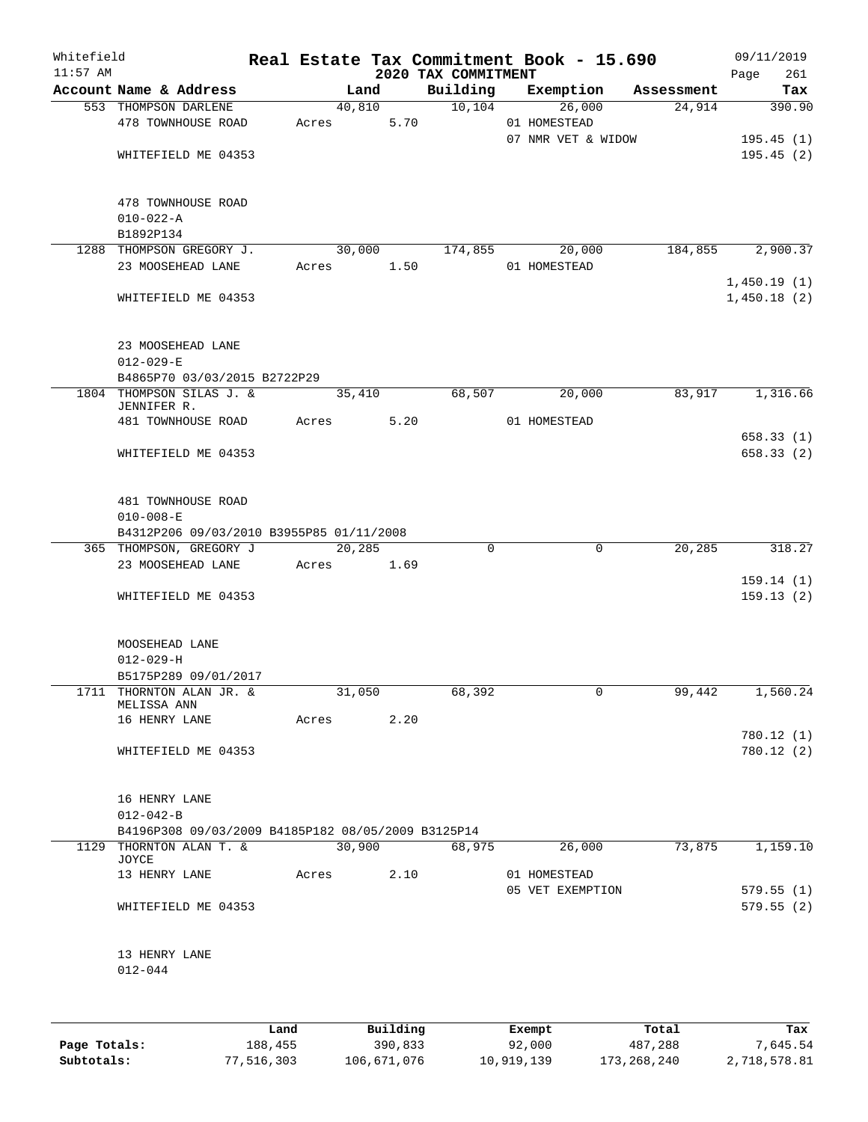| Whitefield<br>$11:57$ AM |                                                    |       |        |      | 2020 TAX COMMITMENT | Real Estate Tax Commitment Book - 15.690 |            | 09/11/2019<br>Page | 261                      |
|--------------------------|----------------------------------------------------|-------|--------|------|---------------------|------------------------------------------|------------|--------------------|--------------------------|
|                          | Account Name & Address                             |       | Land   |      | Building            | Exemption                                | Assessment |                    | Tax                      |
|                          | 553 THOMPSON DARLENE<br>478 TOWNHOUSE ROAD         | Acres | 40,810 | 5.70 | 10, 104             | 26,000<br>01 HOMESTEAD                   | 24,914     |                    | 390.90                   |
|                          | WHITEFIELD ME 04353                                |       |        |      |                     | 07 NMR VET & WIDOW                       |            |                    | 195.45(1)<br>195.45(2)   |
|                          | 478 TOWNHOUSE ROAD                                 |       |        |      |                     |                                          |            |                    |                          |
|                          | $010 - 022 - A$                                    |       |        |      |                     |                                          |            |                    |                          |
|                          | B1892P134<br>1288 THOMPSON GREGORY J.              |       | 30,000 |      | 174,855             | 20,000                                   | 184,855    |                    | 2,900.37                 |
|                          | 23 MOOSEHEAD LANE                                  | Acres |        | 1.50 |                     | 01 HOMESTEAD                             |            |                    |                          |
|                          |                                                    |       |        |      |                     |                                          |            | 1,450.19(1)        |                          |
|                          | WHITEFIELD ME 04353                                |       |        |      |                     |                                          |            | 1,450.18(2)        |                          |
|                          | 23 MOOSEHEAD LANE                                  |       |        |      |                     |                                          |            |                    |                          |
|                          | $012 - 029 - E$<br>B4865P70 03/03/2015 B2722P29    |       |        |      |                     |                                          |            |                    |                          |
|                          | 1804 THOMPSON SILAS J. &                           |       | 35,410 |      | 68,507              | 20,000                                   | 83,917     |                    | 1,316.66                 |
|                          | JENNIFER R.                                        |       |        |      |                     |                                          |            |                    |                          |
|                          | 481 TOWNHOUSE ROAD                                 | Acres |        | 5.20 |                     | 01 HOMESTEAD                             |            |                    |                          |
|                          | WHITEFIELD ME 04353                                |       |        |      |                     |                                          |            |                    | 658.33 (1)<br>658.33 (2) |
|                          |                                                    |       |        |      |                     |                                          |            |                    |                          |
|                          | 481 TOWNHOUSE ROAD<br>$010 - 008 - E$              |       |        |      |                     |                                          |            |                    |                          |
|                          | B4312P206 09/03/2010 B3955P85 01/11/2008           |       |        |      |                     |                                          |            |                    |                          |
|                          | 365 THOMPSON, GREGORY J                            |       | 20,285 |      | 0                   | 0                                        | 20,285     |                    | 318.27                   |
|                          | 23 MOOSEHEAD LANE                                  | Acres |        | 1.69 |                     |                                          |            |                    |                          |
|                          | WHITEFIELD ME 04353                                |       |        |      |                     |                                          |            |                    | 159.14(1)<br>159.13(2)   |
|                          |                                                    |       |        |      |                     |                                          |            |                    |                          |
|                          | MOOSEHEAD LANE                                     |       |        |      |                     |                                          |            |                    |                          |
|                          | $012 - 029 - H$<br>B5175P289 09/01/2017            |       |        |      |                     |                                          |            |                    |                          |
|                          | 1711 THORNTON ALAN JR. &                           |       | 31,050 |      | 68,392              | $\mathsf{O}$                             | 99,442     |                    | 1,560.24                 |
|                          | MELISSA ANN                                        |       |        |      |                     |                                          |            |                    |                          |
|                          | 16 HENRY LANE                                      |       | Acres  | 2.20 |                     |                                          |            |                    |                          |
|                          |                                                    |       |        |      |                     |                                          |            |                    | 780.12 (1)               |
|                          | WHITEFIELD ME 04353                                |       |        |      |                     |                                          |            |                    | 780.12 (2)               |
|                          | 16 HENRY LANE                                      |       |        |      |                     |                                          |            |                    |                          |
|                          | $012 - 042 - B$                                    |       |        |      |                     |                                          |            |                    |                          |
|                          | B4196P308 09/03/2009 B4185P182 08/05/2009 B3125P14 |       |        |      |                     |                                          |            |                    |                          |
|                          | 1129 THORNTON ALAN T. &                            |       | 30,900 |      | 68,975              | 26,000                                   | 73,875     |                    | 1,159.10                 |
|                          | JOYCE                                              |       |        |      |                     |                                          |            |                    |                          |
|                          | 13 HENRY LANE                                      | Acres |        | 2.10 |                     | 01 HOMESTEAD<br>05 VET EXEMPTION         |            |                    | 579.55(1)                |
|                          | WHITEFIELD ME 04353                                |       |        |      |                     |                                          |            |                    | 579.55(2)                |
|                          |                                                    |       |        |      |                     |                                          |            |                    |                          |
|                          | 13 HENRY LANE<br>$012 - 044$                       |       |        |      |                     |                                          |            |                    |                          |
|                          |                                                    |       |        |      |                     |                                          |            |                    |                          |
|                          |                                                    |       |        |      |                     |                                          |            |                    |                          |
|                          |                                                    |       |        |      |                     |                                          |            |                    |                          |

|              | Land       | Building    | Exempt     | Total         | Tax          |
|--------------|------------|-------------|------------|---------------|--------------|
| Page Totals: | 188,455    | 390,833     | 92,000     | 487,288       | 7,645.54     |
| Subtotals:   | 77,516,303 | 106,671,076 | 10,919,139 | 173, 268, 240 | 2,718,578.81 |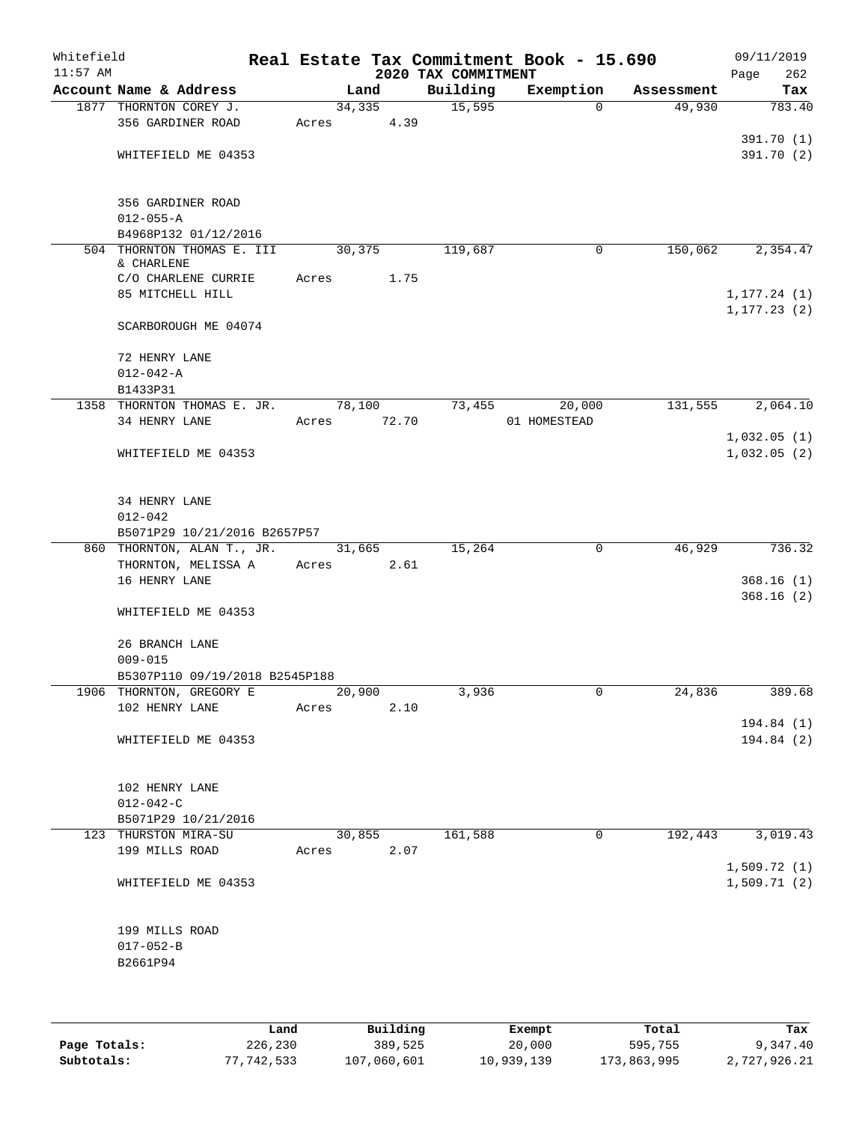| Whitefield<br>$11:57$ AM |                                          |       |                 | 2020 TAX COMMITMENT | Real Estate Tax Commitment Book - 15.690 |            | 09/11/2019<br>Page<br>262    |
|--------------------------|------------------------------------------|-------|-----------------|---------------------|------------------------------------------|------------|------------------------------|
|                          | Account Name & Address                   |       | Land            | Building            | Exemption                                | Assessment | Tax                          |
|                          | 1877 THORNTON COREY J.                   |       | 34,335          | 15,595              | $\Omega$                                 | 49,930     | 783.40                       |
|                          | 356 GARDINER ROAD                        | Acres | 4.39            |                     |                                          |            |                              |
|                          |                                          |       |                 |                     |                                          |            | 391.70 (1)                   |
|                          | WHITEFIELD ME 04353                      |       |                 |                     |                                          |            | 391.70(2)                    |
|                          | 356 GARDINER ROAD                        |       |                 |                     |                                          |            |                              |
|                          | $012 - 055 - A$                          |       |                 |                     |                                          |            |                              |
|                          | B4968P132 01/12/2016                     |       |                 |                     |                                          |            |                              |
|                          | 504 THORNTON THOMAS E. III<br>& CHARLENE |       | 30,375          | 119,687             | 0                                        | 150,062    | 2,354.47                     |
|                          | C/O CHARLENE CURRIE                      | Acres | 1.75            |                     |                                          |            |                              |
|                          | 85 MITCHELL HILL                         |       |                 |                     |                                          |            | 1, 177.24(1)<br>1, 177.23(2) |
|                          | SCARBOROUGH ME 04074                     |       |                 |                     |                                          |            |                              |
|                          | 72 HENRY LANE                            |       |                 |                     |                                          |            |                              |
|                          | $012 - 042 - A$                          |       |                 |                     |                                          |            |                              |
|                          | B1433P31                                 |       |                 |                     |                                          |            |                              |
|                          | 1358 THORNTON THOMAS E. JR.              |       | 78,100<br>72.70 | 73,455              | 20,000                                   | 131,555    | 2,064.10                     |
|                          | 34 HENRY LANE                            | Acres |                 |                     | 01 HOMESTEAD                             |            | 1,032.05(1)                  |
|                          | WHITEFIELD ME 04353                      |       |                 |                     |                                          |            | 1,032.05(2)                  |
|                          | 34 HENRY LANE                            |       |                 |                     |                                          |            |                              |
|                          | $012 - 042$                              |       |                 |                     |                                          |            |                              |
|                          | B5071P29 10/21/2016 B2657P57             |       |                 |                     |                                          |            |                              |
|                          | 860 THORNTON, ALAN T., JR.               |       | 31,665          | 15,264              | 0                                        | 46,929     | 736.32                       |
|                          | THORNTON, MELISSA A                      | Acres | 2.61            |                     |                                          |            |                              |
|                          | 16 HENRY LANE                            |       |                 |                     |                                          |            | 368.16(1)                    |
|                          | WHITEFIELD ME 04353                      |       |                 |                     |                                          |            | 368.16(2)                    |
|                          | 26 BRANCH LANE                           |       |                 |                     |                                          |            |                              |
|                          | $009 - 015$                              |       |                 |                     |                                          |            |                              |
|                          | B5307P110 09/19/2018 B2545P188           |       |                 |                     |                                          |            |                              |
|                          | 1906 THORNTON, GREGORY E                 |       | 20,900          | 3,936               | 0                                        | 24,836     | 389.68                       |
|                          | 102 HENRY LANE                           | Acres | 2.10            |                     |                                          |            |                              |
|                          | WHITEFIELD ME 04353                      |       |                 |                     |                                          |            | 194.84 (1)<br>194.84 (2)     |
|                          |                                          |       |                 |                     |                                          |            |                              |
|                          | 102 HENRY LANE                           |       |                 |                     |                                          |            |                              |
|                          | $012 - 042 - C$                          |       |                 |                     |                                          |            |                              |
|                          | B5071P29 10/21/2016                      |       |                 |                     |                                          |            |                              |
|                          | 123 THURSTON MIRA-SU                     |       | 30,855          | 161,588             | 0                                        | 192,443    | 3,019.43                     |
|                          | 199 MILLS ROAD                           | Acres | 2.07            |                     |                                          |            |                              |
|                          |                                          |       |                 |                     |                                          |            | 1,509.72(1)                  |
|                          | WHITEFIELD ME 04353                      |       |                 |                     |                                          |            | 1,509.71(2)                  |
|                          | 199 MILLS ROAD                           |       |                 |                     |                                          |            |                              |
|                          | $017 - 052 - B$                          |       |                 |                     |                                          |            |                              |
|                          | B2661P94                                 |       |                 |                     |                                          |            |                              |
|                          |                                          |       |                 |                     |                                          |            |                              |
|                          |                                          |       |                 |                     |                                          |            |                              |
|                          |                                          |       |                 |                     |                                          |            |                              |

|              | Land       | Building    | Exempt     | Total       | Tax          |
|--------------|------------|-------------|------------|-------------|--------------|
| Page Totals: | 226,230    | 389,525     | 20,000     | 595,755     | 9,347.40     |
| Subtotals:   | 77,742,533 | 107,060,601 | 10,939,139 | 173,863,995 | 2,727,926.21 |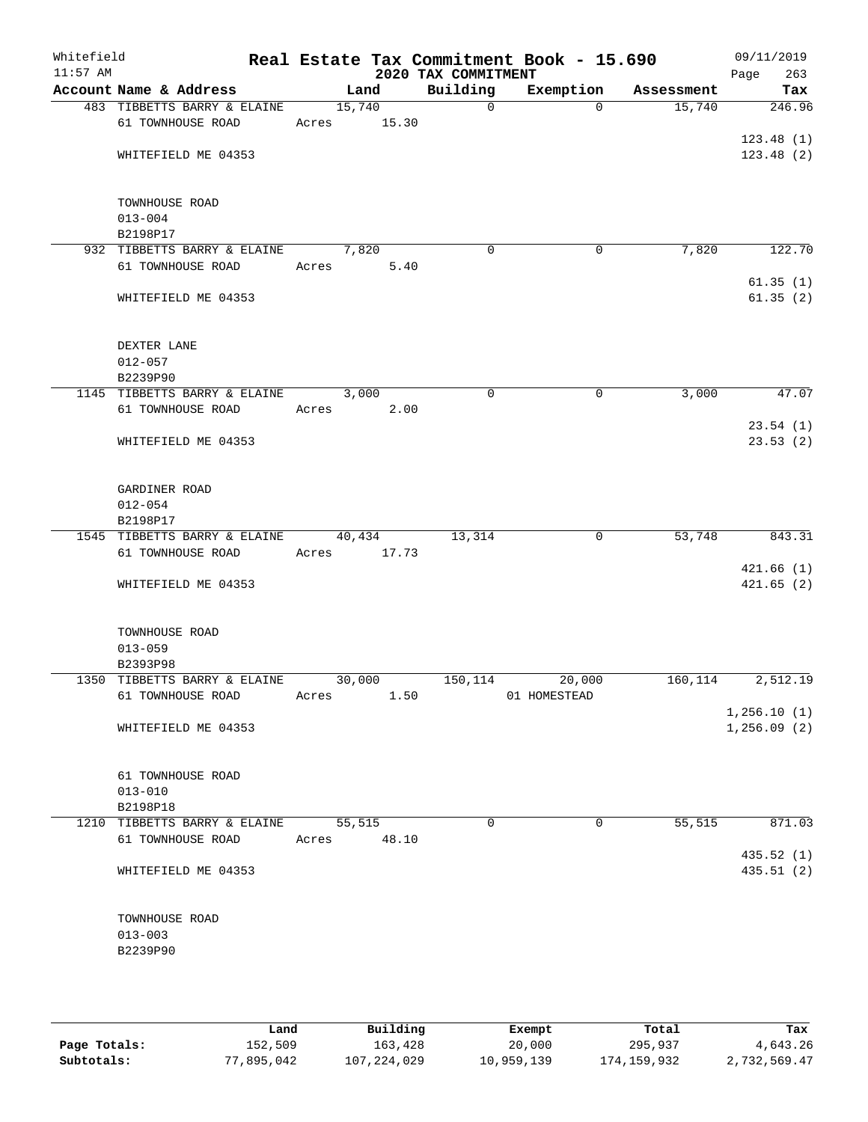| Whitefield<br>$11:57$ AM |                                                   | Real Estate Tax Commitment Book - 15.690 | 2020 TAX COMMITMENT |                |            | 09/11/2019<br>263<br>Page    |
|--------------------------|---------------------------------------------------|------------------------------------------|---------------------|----------------|------------|------------------------------|
|                          | Account Name & Address                            | Land                                     | Building            | Exemption      | Assessment | Tax                          |
|                          | 483 TIBBETTS BARRY & ELAINE                       | 15,740                                   | $\mathbf 0$         | $\Omega$       | 15,740     | 246.96                       |
|                          | 61 TOWNHOUSE ROAD                                 | 15.30<br>Acres                           |                     |                |            |                              |
|                          |                                                   |                                          |                     |                |            | 123.48(1)                    |
|                          | WHITEFIELD ME 04353                               |                                          |                     |                |            | 123.48(2)                    |
|                          |                                                   |                                          |                     |                |            |                              |
|                          | TOWNHOUSE ROAD                                    |                                          |                     |                |            |                              |
|                          | $013 - 004$                                       |                                          |                     |                |            |                              |
|                          | B2198P17                                          |                                          |                     |                |            |                              |
|                          | 932 TIBBETTS BARRY & ELAINE                       | 7,820                                    | $\mathbf 0$         | 0              | 7,820      | 122.70                       |
|                          | 61 TOWNHOUSE ROAD                                 | Acres<br>5.40                            |                     |                |            |                              |
|                          |                                                   |                                          |                     |                |            | 61.35(1)                     |
|                          | WHITEFIELD ME 04353                               |                                          |                     |                |            | 61.35(2)                     |
|                          |                                                   |                                          |                     |                |            |                              |
|                          |                                                   |                                          |                     |                |            |                              |
|                          | DEXTER LANE<br>$012 - 057$                        |                                          |                     |                |            |                              |
|                          | B2239P90                                          |                                          |                     |                |            |                              |
|                          | 1145 TIBBETTS BARRY & ELAINE                      | 3,000                                    | $\mathbf 0$         | 0              | 3,000      | 47.07                        |
|                          | 61 TOWNHOUSE ROAD                                 | Acres<br>2.00                            |                     |                |            |                              |
|                          |                                                   |                                          |                     |                |            | 23.54(1)                     |
|                          | WHITEFIELD ME 04353                               |                                          |                     |                |            | 23.53(2)                     |
|                          |                                                   |                                          |                     |                |            |                              |
|                          |                                                   |                                          |                     |                |            |                              |
|                          | GARDINER ROAD                                     |                                          |                     |                |            |                              |
|                          | $012 - 054$                                       |                                          |                     |                |            |                              |
|                          | B2198P17                                          |                                          |                     |                |            | 843.31                       |
|                          | 1545 TIBBETTS BARRY & ELAINE<br>61 TOWNHOUSE ROAD | 40,434<br>Acres<br>17.73                 | 13,314              | 0              | 53,748     |                              |
|                          |                                                   |                                          |                     |                |            | 421.66(1)                    |
|                          | WHITEFIELD ME 04353                               |                                          |                     |                |            | 421.65(2)                    |
|                          |                                                   |                                          |                     |                |            |                              |
|                          |                                                   |                                          |                     |                |            |                              |
|                          | TOWNHOUSE ROAD                                    |                                          |                     |                |            |                              |
|                          | $013 - 059$                                       |                                          |                     |                |            |                              |
|                          | B2393P98                                          |                                          |                     |                |            |                              |
|                          | 1350 TIBBETTS BARRY & ELAINE                      | 30,000                                   | 150,114             | 20,000         | 160,114    | 2,512.19                     |
|                          | 61 TOWNHOUSE ROAD                                 | 1.50<br>Acres                            |                     | 01 HOMESTEAD   |            |                              |
|                          | WHITEFIELD ME 04353                               |                                          |                     |                |            | 1, 256.10(1)<br>1, 256.09(2) |
|                          |                                                   |                                          |                     |                |            |                              |
|                          |                                                   |                                          |                     |                |            |                              |
|                          | 61 TOWNHOUSE ROAD                                 |                                          |                     |                |            |                              |
|                          | $013 - 010$                                       |                                          |                     |                |            |                              |
|                          | B2198P18                                          |                                          |                     |                |            |                              |
|                          | 1210 TIBBETTS BARRY & ELAINE                      | 55,515                                   | $\mathbf 0$         | $\overline{0}$ | 55,515     | 871.03                       |
|                          | 61 TOWNHOUSE ROAD                                 | 48.10<br>Acres                           |                     |                |            |                              |
|                          |                                                   |                                          |                     |                |            | 435.52(1)                    |
|                          | WHITEFIELD ME 04353                               |                                          |                     |                |            | 435.51(2)                    |
|                          |                                                   |                                          |                     |                |            |                              |
|                          | TOWNHOUSE ROAD                                    |                                          |                     |                |            |                              |
|                          | $013 - 003$                                       |                                          |                     |                |            |                              |
|                          | B2239P90                                          |                                          |                     |                |            |                              |
|                          |                                                   |                                          |                     |                |            |                              |
|                          |                                                   |                                          |                     |                |            |                              |
|                          |                                                   |                                          |                     |                |            |                              |

|              | Land       | Building    | Exempt     | Total       | Tax          |
|--------------|------------|-------------|------------|-------------|--------------|
| Page Totals: | 152,509    | 163,428     | 20,000     | 295,937     | 4,643.26     |
| Subtotals:   | 77,895,042 | 107,224,029 | 10,959,139 | 174,159,932 | 2,732,569.47 |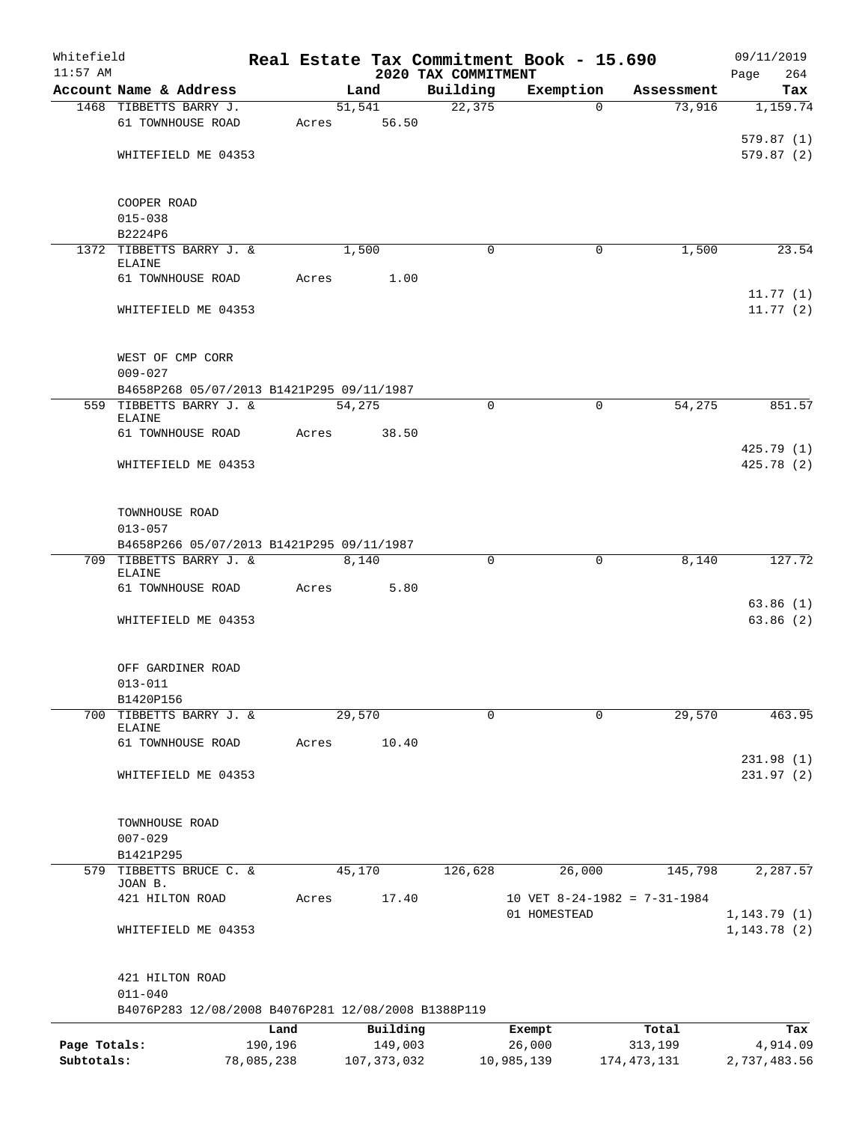| Whitefield<br>$11:57$ AM |                                                                    |            |               |                                 | Real Estate Tax Commitment Book - 15.690 |             | 09/11/2019           |
|--------------------------|--------------------------------------------------------------------|------------|---------------|---------------------------------|------------------------------------------|-------------|----------------------|
|                          | Account Name & Address                                             |            | Land          | 2020 TAX COMMITMENT<br>Building | Exemption                                | Assessment  | 264<br>Page<br>Tax   |
|                          | 1468 TIBBETTS BARRY J.                                             |            | 51,541        | 22, 375                         | $\Omega$                                 | 73,916      | 1,159.74             |
|                          | 61 TOWNHOUSE ROAD                                                  | Acres      | 56.50         |                                 |                                          |             |                      |
|                          |                                                                    |            |               |                                 |                                          |             | 579.87(1)            |
|                          | WHITEFIELD ME 04353                                                |            |               |                                 |                                          |             | 579.87(2)            |
|                          |                                                                    |            |               |                                 |                                          |             |                      |
|                          |                                                                    |            |               |                                 |                                          |             |                      |
|                          | COOPER ROAD<br>$015 - 038$                                         |            |               |                                 |                                          |             |                      |
|                          | B2224P6                                                            |            |               |                                 |                                          |             |                      |
|                          | 1372 TIBBETTS BARRY J. &                                           |            | 1,500         | $\Omega$                        | 0                                        | 1,500       | 23.54                |
|                          | <b>ELAINE</b>                                                      |            |               |                                 |                                          |             |                      |
|                          | 61 TOWNHOUSE ROAD                                                  | Acres      | 1.00          |                                 |                                          |             |                      |
|                          | WHITEFIELD ME 04353                                                |            |               |                                 |                                          |             | 11.77(1)<br>11.77(2) |
|                          |                                                                    |            |               |                                 |                                          |             |                      |
|                          |                                                                    |            |               |                                 |                                          |             |                      |
|                          | WEST OF CMP CORR                                                   |            |               |                                 |                                          |             |                      |
|                          | $009 - 027$                                                        |            |               |                                 |                                          |             |                      |
|                          | B4658P268 05/07/2013 B1421P295 09/11/1987                          |            |               |                                 |                                          |             |                      |
|                          | 559 TIBBETTS BARRY J. &<br><b>ELAINE</b>                           |            | 54,275        | $\mathbf 0$                     | $\mathbf 0$                              | 54,275      | 851.57               |
|                          | 61 TOWNHOUSE ROAD                                                  | Acres      | 38.50         |                                 |                                          |             |                      |
|                          |                                                                    |            |               |                                 |                                          |             | 425.79 (1)           |
|                          | WHITEFIELD ME 04353                                                |            |               |                                 |                                          |             | 425.78 (2)           |
|                          |                                                                    |            |               |                                 |                                          |             |                      |
|                          |                                                                    |            |               |                                 |                                          |             |                      |
|                          | TOWNHOUSE ROAD<br>$013 - 057$                                      |            |               |                                 |                                          |             |                      |
|                          | B4658P266 05/07/2013 B1421P295 09/11/1987                          |            |               |                                 |                                          |             |                      |
|                          | 709 TIBBETTS BARRY J. &                                            |            | 8,140         | 0                               | 0                                        | 8,140       | 127.72               |
|                          | <b>ELAINE</b>                                                      |            |               |                                 |                                          |             |                      |
|                          | 61 TOWNHOUSE ROAD                                                  | Acres      | 5.80          |                                 |                                          |             | 63.86(1)             |
|                          | WHITEFIELD ME 04353                                                |            |               |                                 |                                          |             | 63.86(2)             |
|                          |                                                                    |            |               |                                 |                                          |             |                      |
|                          |                                                                    |            |               |                                 |                                          |             |                      |
|                          | OFF GARDINER ROAD                                                  |            |               |                                 |                                          |             |                      |
|                          | $013 - 011$                                                        |            |               |                                 |                                          |             |                      |
| 700                      | B1420P156<br>TIBBETTS BARRY J. &                                   |            | 29,570        | 0                               | $\mathbf 0$                              | 29,570      | 463.95               |
|                          | <b>ELAINE</b>                                                      |            |               |                                 |                                          |             |                      |
|                          | 61 TOWNHOUSE ROAD                                                  | Acres      | 10.40         |                                 |                                          |             |                      |
|                          |                                                                    |            |               |                                 |                                          |             | 231.98(1)            |
|                          | WHITEFIELD ME 04353                                                |            |               |                                 |                                          |             | 231.97(2)            |
|                          |                                                                    |            |               |                                 |                                          |             |                      |
|                          | TOWNHOUSE ROAD                                                     |            |               |                                 |                                          |             |                      |
|                          | $007 - 029$                                                        |            |               |                                 |                                          |             |                      |
|                          | B1421P295                                                          |            |               |                                 |                                          |             |                      |
|                          | 579 TIBBETTS BRUCE C. &                                            |            | 45,170        | 126,628                         | 26,000                                   | 145,798     | 2,287.57             |
|                          | JOAN B.<br>421 HILTON ROAD                                         | Acres      | 17.40         |                                 | 10 VET 8-24-1982 = 7-31-1984             |             |                      |
|                          |                                                                    |            |               |                                 | 01 HOMESTEAD                             |             | 1, 143.79(1)         |
|                          | WHITEFIELD ME 04353                                                |            |               |                                 |                                          |             | 1, 143.78(2)         |
|                          |                                                                    |            |               |                                 |                                          |             |                      |
|                          |                                                                    |            |               |                                 |                                          |             |                      |
|                          | 421 HILTON ROAD                                                    |            |               |                                 |                                          |             |                      |
|                          | $011 - 040$<br>B4076P283 12/08/2008 B4076P281 12/08/2008 B1388P119 |            |               |                                 |                                          |             |                      |
|                          |                                                                    | Land       | Building      |                                 | Exempt                                   | Total       | Tax                  |
| Page Totals:             |                                                                    | 190,196    | 149,003       |                                 | 26,000                                   | 313,199     | 4,914.09             |
| Subtotals:               |                                                                    | 78,085,238 | 107, 373, 032 |                                 | 10,985,139                               | 174,473,131 | 2,737,483.56         |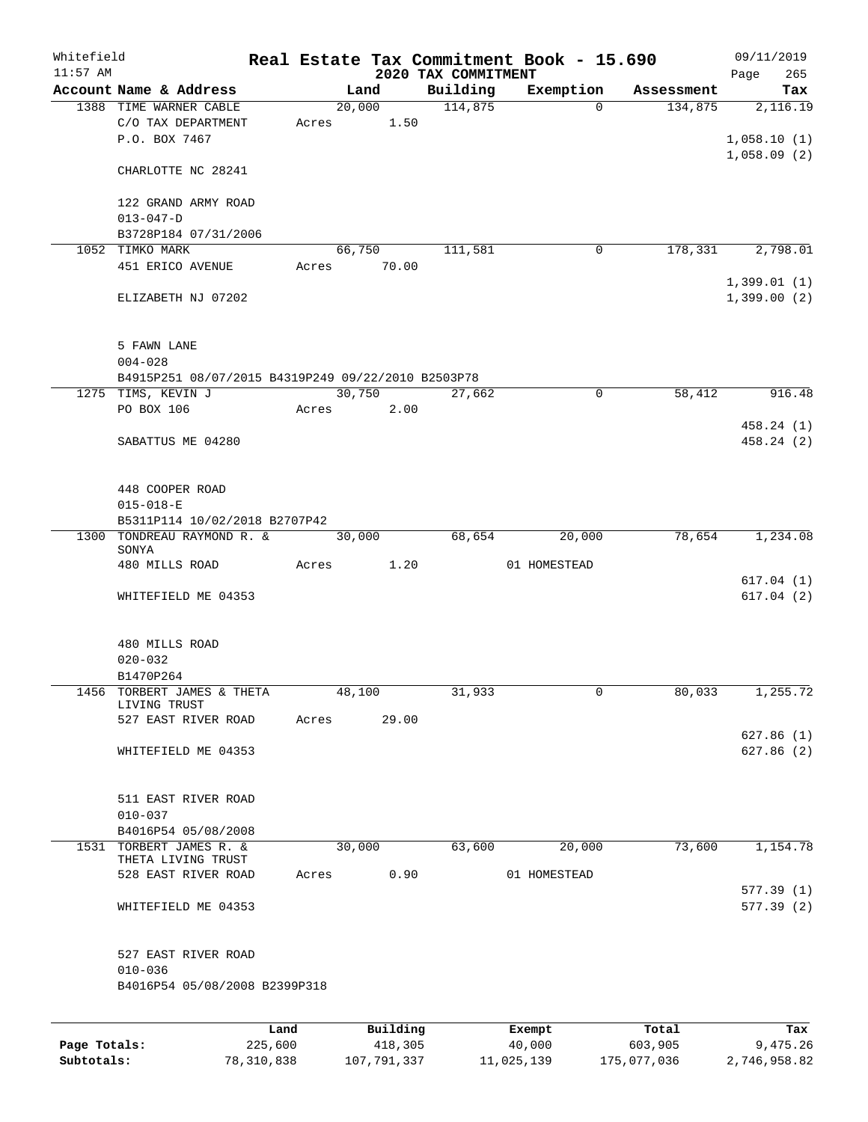| Whitefield<br>$11:57$ AM |                                                               |      |       |        |             | 2020 TAX COMMITMENT | Real Estate Tax Commitment Book - 15.690 |            | 09/11/2019<br>265<br>Page  |
|--------------------------|---------------------------------------------------------------|------|-------|--------|-------------|---------------------|------------------------------------------|------------|----------------------------|
|                          | Account Name & Address                                        |      |       | Land   |             | Building            | Exemption                                | Assessment | Tax                        |
|                          | 1388 TIME WARNER CABLE<br>C/O TAX DEPARTMENT<br>P.O. BOX 7467 |      | Acres | 20,000 | 1.50        | 114,875             | $\Omega$                                 | 134,875    | 2,116.19<br>1,058.10(1)    |
|                          | CHARLOTTE NC 28241                                            |      |       |        |             |                     |                                          |            | 1,058.09(2)                |
|                          | 122 GRAND ARMY ROAD<br>$013 - 047 - D$                        |      |       |        |             |                     |                                          |            |                            |
|                          | B3728P184 07/31/2006                                          |      |       |        |             |                     |                                          |            |                            |
|                          | 1052 TIMKO MARK                                               |      |       | 66,750 |             | 111,581             | 0                                        | 178,331    | 2,798.01                   |
|                          | 451 ERICO AVENUE                                              |      |       |        | Acres 70.00 |                     |                                          |            |                            |
|                          | ELIZABETH NJ 07202                                            |      |       |        |             |                     |                                          |            | 1,399.01(1)<br>1,399.00(2) |
|                          | 5 FAWN LANE<br>$004 - 028$                                    |      |       |        |             |                     |                                          |            |                            |
|                          | B4915P251 08/07/2015 B4319P249 09/22/2010 B2503P78            |      |       |        |             |                     |                                          |            |                            |
|                          | 1275 TIMS, KEVIN J                                            |      |       |        | 30,750      | 27,662              | $\mathbf 0$                              | 58,412     | 916.48                     |
|                          | PO BOX 106                                                    |      | Acres |        | 2.00        |                     |                                          |            |                            |
|                          | SABATTUS ME 04280                                             |      |       |        |             |                     |                                          |            | 458.24 (1)<br>458.24 (2)   |
|                          | 448 COOPER ROAD<br>$015 - 018 - E$                            |      |       |        |             |                     |                                          |            |                            |
|                          | B5311P114 10/02/2018 B2707P42                                 |      |       |        |             |                     |                                          |            |                            |
|                          | 1300 TONDREAU RAYMOND R. &                                    |      |       | 30,000 |             | 68,654              | 20,000                                   | 78,654     | 1,234.08                   |
|                          | SONYA<br>480 MILLS ROAD                                       |      | Acres |        | 1.20        |                     | 01 HOMESTEAD                             |            |                            |
|                          |                                                               |      |       |        |             |                     |                                          |            | 617.04(1)                  |
|                          | WHITEFIELD ME 04353                                           |      |       |        |             |                     |                                          |            | 617.04(2)                  |
|                          | 480 MILLS ROAD<br>$020 - 032$                                 |      |       |        |             |                     |                                          |            |                            |
|                          | B1470P264<br>1456 TORBERT JAMES & THETA                       |      |       | 48,100 |             | 31,933              | 0                                        | 80,033     | 1,255.72                   |
|                          | LIVING TRUST                                                  |      |       |        |             |                     |                                          |            |                            |
|                          | 527 EAST RIVER ROAD                                           |      | Acres |        | 29.00       |                     |                                          |            |                            |
|                          | WHITEFIELD ME 04353                                           |      |       |        |             |                     |                                          |            | 627.86(1)<br>627.86(2)     |
|                          | 511 EAST RIVER ROAD<br>$010 - 037$                            |      |       |        |             |                     |                                          |            |                            |
|                          | B4016P54 05/08/2008                                           |      |       |        |             |                     |                                          |            |                            |
|                          | 1531 TORBERT JAMES R. &                                       |      |       | 30,000 |             | 63,600              | 20,000                                   | 73,600     | 1,154.78                   |
|                          | THETA LIVING TRUST                                            |      |       |        |             |                     |                                          |            |                            |
|                          | 528 EAST RIVER ROAD                                           |      | Acres |        | 0.90        |                     | 01 HOMESTEAD                             |            | 577.39(1)                  |
|                          | WHITEFIELD ME 04353                                           |      |       |        |             |                     |                                          |            | 577.39(2)                  |
|                          | 527 EAST RIVER ROAD<br>$010 - 036$                            |      |       |        |             |                     |                                          |            |                            |
|                          | B4016P54 05/08/2008 B2399P318                                 |      |       |        |             |                     |                                          |            |                            |
|                          |                                                               | Land |       |        | Building    |                     | Exempt                                   | Total      | Tax                        |
|                          |                                                               |      |       |        |             |                     |                                          |            |                            |

**Page Totals:** 225,600 418,305 40,000 603,905 9,475.26 **Subtotals:** 78,310,838 107,791,337 11,025,139 175,077,036 2,746,958.82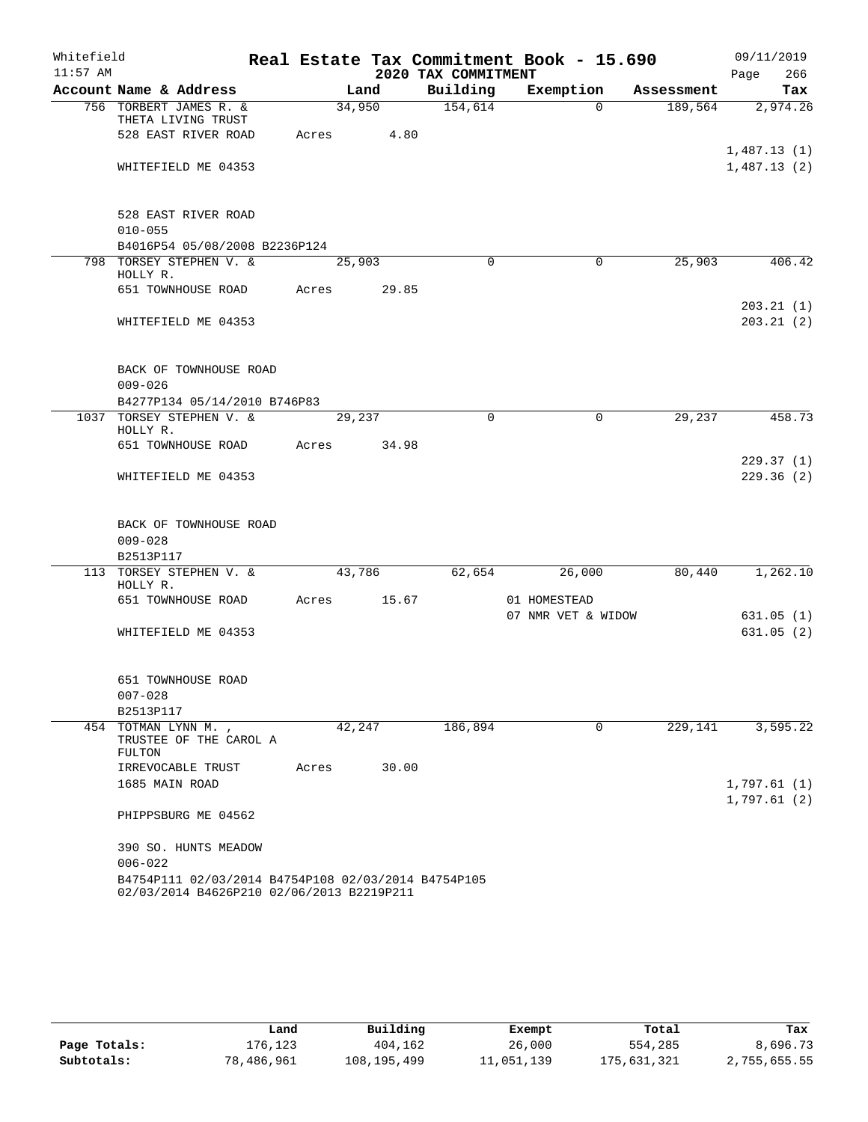| Whitefield |                     |                                                          |       |        |       |                     | Real Estate Tax Commitment Book - 15.690 |             |            |      | 09/11/2019  |
|------------|---------------------|----------------------------------------------------------|-------|--------|-------|---------------------|------------------------------------------|-------------|------------|------|-------------|
| $11:57$ AM |                     |                                                          |       |        |       | 2020 TAX COMMITMENT |                                          |             |            | Page | 266         |
|            |                     | Account Name & Address                                   |       | Land   |       | Building            | Exemption                                |             | Assessment |      | Tax         |
|            |                     | 756 TORBERT JAMES R. &<br>THETA LIVING TRUST             |       | 34,950 |       | 154,614             |                                          | $\Omega$    | 189,564    |      | 2,974.26    |
|            |                     | 528 EAST RIVER ROAD                                      | Acres |        | 4.80  |                     |                                          |             |            |      |             |
|            |                     |                                                          |       |        |       |                     |                                          |             |            |      | 1,487.13(1) |
|            |                     | WHITEFIELD ME 04353                                      |       |        |       |                     |                                          |             |            |      | 1,487.13(2) |
|            |                     |                                                          |       |        |       |                     |                                          |             |            |      |             |
|            |                     | 528 EAST RIVER ROAD                                      |       |        |       |                     |                                          |             |            |      |             |
|            | $010 - 055$         |                                                          |       |        |       |                     |                                          |             |            |      |             |
|            |                     | B4016P54 05/08/2008 B2236P124<br>798 TORSEY STEPHEN V. & |       |        |       | $\Omega$            |                                          | 0           | 25,903     |      | 406.42      |
|            | HOLLY R.            |                                                          |       | 25,903 |       |                     |                                          |             |            |      |             |
|            |                     | 651 TOWNHOUSE ROAD                                       | Acres |        | 29.85 |                     |                                          |             |            |      |             |
|            |                     |                                                          |       |        |       |                     |                                          |             |            |      | 203.21(1)   |
|            |                     | WHITEFIELD ME 04353                                      |       |        |       |                     |                                          |             |            |      | 203.21(2)   |
|            |                     |                                                          |       |        |       |                     |                                          |             |            |      |             |
|            |                     | BACK OF TOWNHOUSE ROAD                                   |       |        |       |                     |                                          |             |            |      |             |
|            | $009 - 026$         |                                                          |       |        |       |                     |                                          |             |            |      |             |
|            |                     | B4277P134 05/14/2010 B746P83                             |       |        |       |                     |                                          |             |            |      |             |
|            | HOLLY R.            | 1037 TORSEY STEPHEN V. &                                 |       | 29,237 |       | $\Omega$            |                                          | 0           | 29,237     |      | 458.73      |
|            |                     | 651 TOWNHOUSE ROAD                                       | Acres |        | 34.98 |                     |                                          |             |            |      |             |
|            |                     |                                                          |       |        |       |                     |                                          |             |            |      | 229.37(1)   |
|            |                     | WHITEFIELD ME 04353                                      |       |        |       |                     |                                          |             |            |      | 229.36(2)   |
|            |                     |                                                          |       |        |       |                     |                                          |             |            |      |             |
|            |                     | BACK OF TOWNHOUSE ROAD                                   |       |        |       |                     |                                          |             |            |      |             |
|            | $009 - 028$         |                                                          |       |        |       |                     |                                          |             |            |      |             |
|            | B2513P117           |                                                          |       |        |       |                     |                                          |             |            |      |             |
|            | HOLLY R.            | 113 TORSEY STEPHEN V. &                                  |       | 43,786 |       | 62,654              | 26,000                                   |             | 80,440     |      | 1,262.10    |
|            |                     | 651 TOWNHOUSE ROAD                                       | Acres |        | 15.67 |                     | 01 HOMESTEAD                             |             |            |      |             |
|            |                     |                                                          |       |        |       |                     | 07 NMR VET & WIDOW                       |             |            |      | 631.05(1)   |
|            |                     | WHITEFIELD ME 04353                                      |       |        |       |                     |                                          |             |            |      | 631.05(2)   |
|            |                     |                                                          |       |        |       |                     |                                          |             |            |      |             |
|            |                     | 651 TOWNHOUSE ROAD                                       |       |        |       |                     |                                          |             |            |      |             |
|            | $007 - 028$         |                                                          |       |        |       |                     |                                          |             |            |      |             |
|            | B2513P117           |                                                          |       |        |       |                     |                                          |             |            |      |             |
|            | 454 TOTMAN LYNN M., |                                                          |       | 42,247 |       | 186,894             |                                          | $\mathbf 0$ | 229,141    |      | 3,595.22    |
|            | FULTON              | TRUSTEE OF THE CAROL A                                   |       |        |       |                     |                                          |             |            |      |             |
|            |                     | IRREVOCABLE TRUST                                        | Acres |        | 30.00 |                     |                                          |             |            |      |             |
|            | 1685 MAIN ROAD      |                                                          |       |        |       |                     |                                          |             |            |      | 1,797.61(1) |
|            |                     |                                                          |       |        |       |                     |                                          |             |            |      | 1,797.61(2) |
|            |                     | PHIPPSBURG ME 04562                                      |       |        |       |                     |                                          |             |            |      |             |
|            |                     | 390 SO. HUNTS MEADOW                                     |       |        |       |                     |                                          |             |            |      |             |
|            | $006 - 022$         |                                                          |       |        |       |                     |                                          |             |            |      |             |
|            |                     | B4754P111 02/03/2014 B4754P108 02/03/2014 B4754P105      |       |        |       |                     |                                          |             |            |      |             |
|            |                     | 02/03/2014 B4626P210 02/06/2013 B2219P211                |       |        |       |                     |                                          |             |            |      |             |

|              | Land       | Building      | Exempt     | Total       | Tax          |
|--------------|------------|---------------|------------|-------------|--------------|
| Page Totals: | 176.123    | 404,162       | 26,000     | 554,285     | 8,696.73     |
| Subtotals:   | 78,486,961 | 108, 195, 499 | 11,051,139 | 175,631,321 | 2,755,655.55 |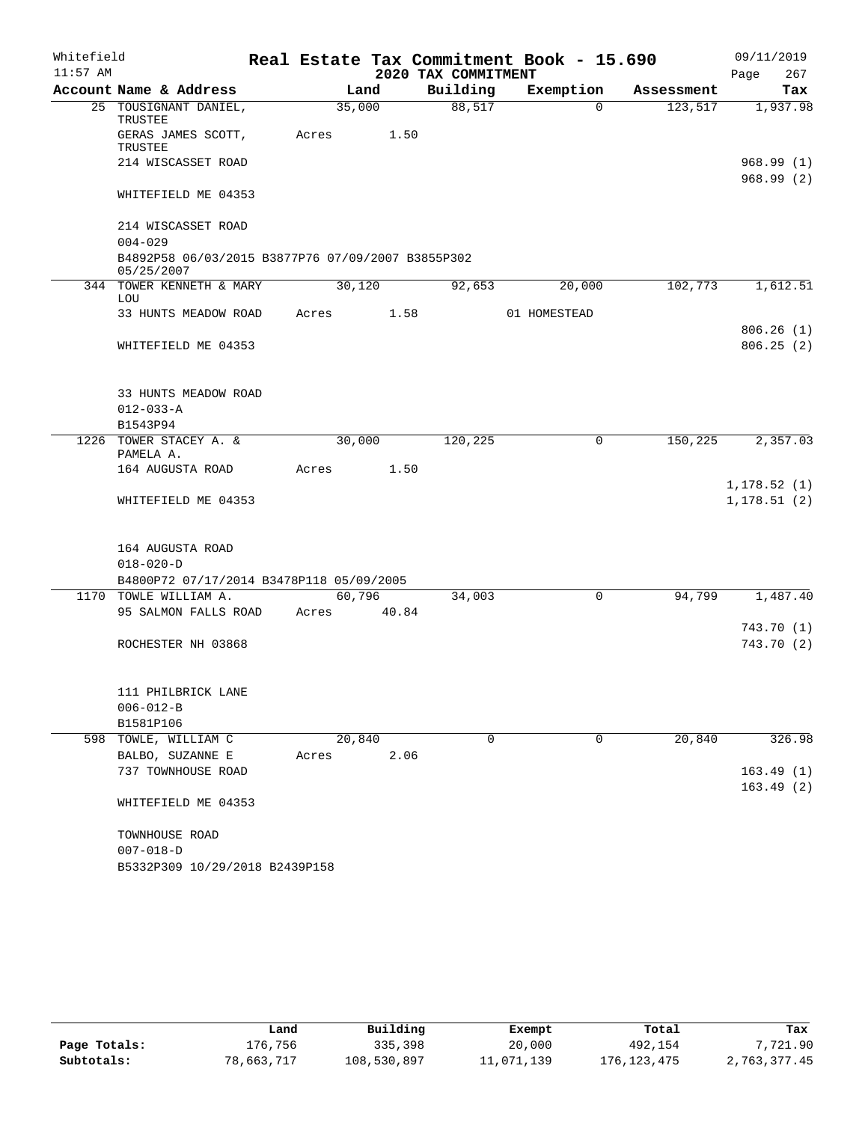| Whitefield |                                                                 |       |        |                     | Real Estate Tax Commitment Book - 15.690 |            | 09/11/2019   |
|------------|-----------------------------------------------------------------|-------|--------|---------------------|------------------------------------------|------------|--------------|
| $11:57$ AM |                                                                 |       |        | 2020 TAX COMMITMENT |                                          |            | 267<br>Page  |
|            | Account Name & Address                                          |       | Land   | Building            | Exemption                                | Assessment | Tax          |
|            | 25 TOUSIGNANT DANIEL,<br>TRUSTEE                                |       | 35,000 | 88,517              | $\Omega$                                 | 123,517    | 1,937.98     |
|            | GERAS JAMES SCOTT,<br>TRUSTEE                                   | Acres | 1.50   |                     |                                          |            |              |
|            | 214 WISCASSET ROAD                                              |       |        |                     |                                          |            | 968.99(1)    |
|            | WHITEFIELD ME 04353                                             |       |        |                     |                                          |            | 968.99(2)    |
|            | 214 WISCASSET ROAD                                              |       |        |                     |                                          |            |              |
|            | $004 - 029$                                                     |       |        |                     |                                          |            |              |
|            | B4892P58 06/03/2015 B3877P76 07/09/2007 B3855P302<br>05/25/2007 |       |        |                     |                                          |            |              |
|            | 344 TOWER KENNETH & MARY<br>LOU                                 |       | 30,120 | 92,653              | 20,000                                   | 102,773    | 1,612.51     |
|            | 33 HUNTS MEADOW ROAD                                            | Acres | 1.58   |                     | 01 HOMESTEAD                             |            |              |
|            |                                                                 |       |        |                     |                                          |            | 806.26(1)    |
|            | WHITEFIELD ME 04353                                             |       |        |                     |                                          |            | 806.25(2)    |
|            | 33 HUNTS MEADOW ROAD                                            |       |        |                     |                                          |            |              |
|            | $012 - 033 - A$                                                 |       |        |                     |                                          |            |              |
|            | B1543P94                                                        |       |        |                     |                                          |            |              |
|            | 1226 TOWER STACEY A. &                                          |       | 30,000 | 120,225             | 0                                        | 150,225    | 2,357.03     |
|            | PAMELA A.<br>164 AUGUSTA ROAD                                   | Acres | 1.50   |                     |                                          |            |              |
|            |                                                                 |       |        |                     |                                          |            | 1, 178.52(1) |
|            | WHITEFIELD ME 04353                                             |       |        |                     |                                          |            | 1, 178.51(2) |
|            |                                                                 |       |        |                     |                                          |            |              |
|            | 164 AUGUSTA ROAD                                                |       |        |                     |                                          |            |              |
|            | $018 - 020 - D$                                                 |       |        |                     |                                          |            |              |
|            | B4800P72 07/17/2014 B3478P118 05/09/2005                        |       |        |                     |                                          |            |              |
|            | 1170 TOWLE WILLIAM A.                                           |       | 60,796 | 34,003              | 0                                        | 94,799     | 1,487.40     |
|            | 95 SALMON FALLS ROAD                                            | Acres | 40.84  |                     |                                          |            |              |
|            |                                                                 |       |        |                     |                                          |            | 743.70 (1)   |
|            | ROCHESTER NH 03868                                              |       |        |                     |                                          |            | 743.70(2)    |
|            | 111 PHILBRICK LANE                                              |       |        |                     |                                          |            |              |
|            | $006 - 012 - B$                                                 |       |        |                     |                                          |            |              |
|            | B1581P106                                                       |       |        |                     |                                          |            |              |
|            | 598 TOWLE, WILLIAM C                                            |       | 20,840 | 0                   | 0                                        | 20,840     | 326.98       |
|            | BALBO, SUZANNE E                                                | Acres | 2.06   |                     |                                          |            |              |
|            | 737 TOWNHOUSE ROAD                                              |       |        |                     |                                          |            | 163.49(1)    |
|            | WHITEFIELD ME 04353                                             |       |        |                     |                                          |            | 163.49(2)    |
|            | TOWNHOUSE ROAD                                                  |       |        |                     |                                          |            |              |
|            | $007 - 018 - D$                                                 |       |        |                     |                                          |            |              |
|            | B5332P309 10/29/2018 B2439P158                                  |       |        |                     |                                          |            |              |
|            |                                                                 |       |        |                     |                                          |            |              |

|              | Land       | Building    | Exempt     | Total         | Tax          |
|--------------|------------|-------------|------------|---------------|--------------|
| Page Totals: | L76,756    | 335,398     | 20,000     | 492,154       | 7,721.90     |
| Subtotals:   | 78,663,717 | 108,530,897 | 11,071,139 | 176, 123, 475 | 2,763,377.45 |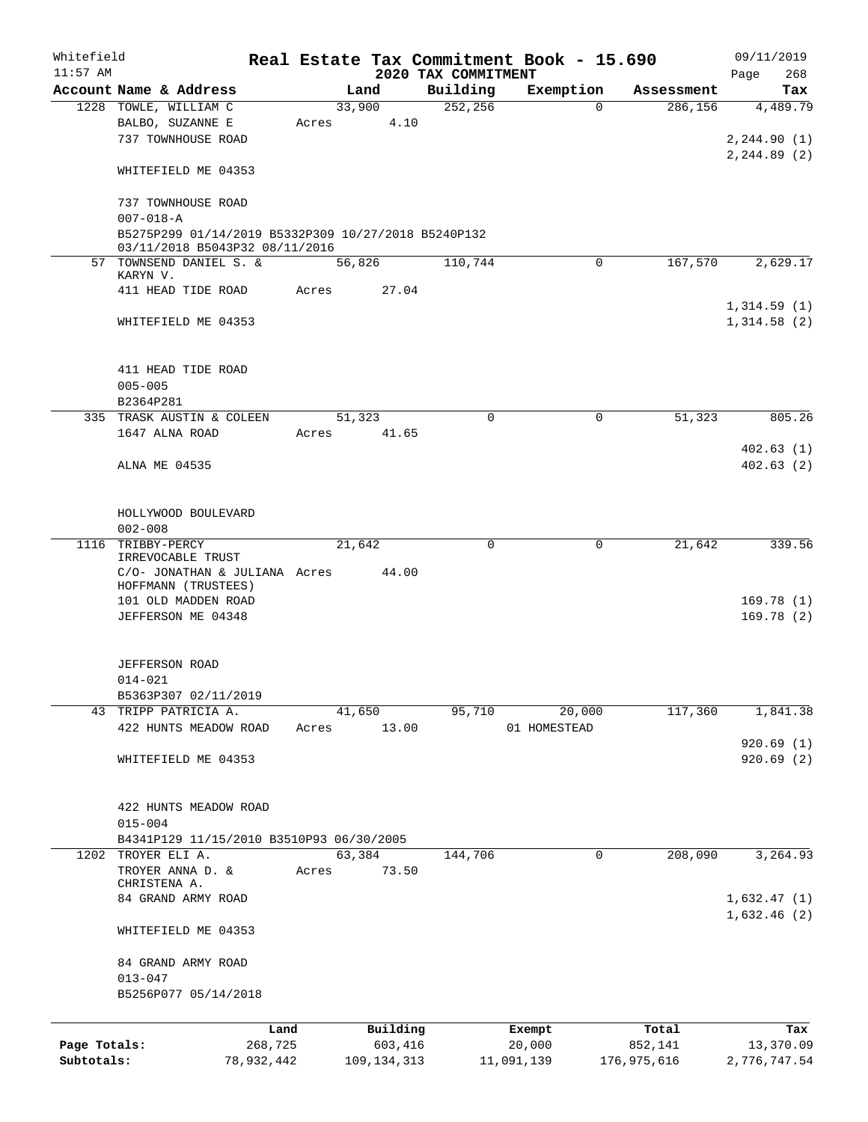| Whitefield   |                                                     |            |       |               |                     | Real Estate Tax Commitment Book - 15.690 |             | 09/11/2019   |
|--------------|-----------------------------------------------------|------------|-------|---------------|---------------------|------------------------------------------|-------------|--------------|
| $11:57$ AM   |                                                     |            |       |               | 2020 TAX COMMITMENT |                                          |             | 268<br>Page  |
|              | Account Name & Address                              |            |       | Land          | Building            | Exemption                                | Assessment  | Tax          |
|              | 1228 TOWLE, WILLIAM C                               |            |       | 33,900        | 252,256             | 0                                        | 286,156     | 4,489.79     |
|              | BALBO, SUZANNE E                                    |            | Acres | 4.10          |                     |                                          |             |              |
|              | 737 TOWNHOUSE ROAD                                  |            |       |               |                     |                                          |             | 2, 244.90(1) |
|              |                                                     |            |       |               |                     |                                          |             | 2, 244.89(2) |
|              | WHITEFIELD ME 04353                                 |            |       |               |                     |                                          |             |              |
|              |                                                     |            |       |               |                     |                                          |             |              |
|              | 737 TOWNHOUSE ROAD                                  |            |       |               |                     |                                          |             |              |
|              | $007 - 018 - A$                                     |            |       |               |                     |                                          |             |              |
|              | B5275P299 01/14/2019 B5332P309 10/27/2018 B5240P132 |            |       |               |                     |                                          |             |              |
|              | 03/11/2018 B5043P32 08/11/2016                      |            |       |               |                     |                                          |             |              |
|              | 57 TOWNSEND DANIEL S. &<br>KARYN V.                 |            |       | 56,826        | 110,744             | $\Omega$                                 | 167,570     | 2,629.17     |
|              | 411 HEAD TIDE ROAD                                  |            | Acres | 27.04         |                     |                                          |             |              |
|              |                                                     |            |       |               |                     |                                          |             | 1,314.59(1)  |
|              |                                                     |            |       |               |                     |                                          |             |              |
|              | WHITEFIELD ME 04353                                 |            |       |               |                     |                                          |             | 1,314.58(2)  |
|              |                                                     |            |       |               |                     |                                          |             |              |
|              |                                                     |            |       |               |                     |                                          |             |              |
|              | 411 HEAD TIDE ROAD                                  |            |       |               |                     |                                          |             |              |
|              | $005 - 005$                                         |            |       |               |                     |                                          |             |              |
|              | B2364P281                                           |            |       |               |                     |                                          |             |              |
|              | 335 TRASK AUSTIN & COLEEN                           |            |       | 51,323        | $\Omega$            | $\mathbf 0$                              | 51,323      | 805.26       |
|              | 1647 ALNA ROAD                                      |            | Acres | 41.65         |                     |                                          |             |              |
|              |                                                     |            |       |               |                     |                                          |             | 402.63(1)    |
|              | ALNA ME 04535                                       |            |       |               |                     |                                          |             | 402.63(2)    |
|              |                                                     |            |       |               |                     |                                          |             |              |
|              |                                                     |            |       |               |                     |                                          |             |              |
|              | HOLLYWOOD BOULEVARD                                 |            |       |               |                     |                                          |             |              |
|              | $002 - 008$                                         |            |       |               |                     |                                          |             |              |
|              | 1116 TRIBBY-PERCY                                   |            |       | 21,642        | $\mathbf 0$         | 0                                        | 21,642      | 339.56       |
|              | IRREVOCABLE TRUST                                   |            |       |               |                     |                                          |             |              |
|              | C/O- JONATHAN & JULIANA Acres                       |            |       | 44.00         |                     |                                          |             |              |
|              | HOFFMANN (TRUSTEES)                                 |            |       |               |                     |                                          |             |              |
|              | 101 OLD MADDEN ROAD                                 |            |       |               |                     |                                          |             | 169.78(1)    |
|              | JEFFERSON ME 04348                                  |            |       |               |                     |                                          |             | 169.78(2)    |
|              |                                                     |            |       |               |                     |                                          |             |              |
|              |                                                     |            |       |               |                     |                                          |             |              |
|              | <b>JEFFERSON ROAD</b>                               |            |       |               |                     |                                          |             |              |
|              | $014 - 021$                                         |            |       |               |                     |                                          |             |              |
|              | B5363P307 02/11/2019                                |            |       |               |                     |                                          |             |              |
|              | 43 TRIPP PATRICIA A.                                |            |       | 41,650        | 95,710              | 20,000                                   | 117,360     | 1,841.38     |
|              | 422 HUNTS MEADOW ROAD                               |            | Acres | 13.00         |                     | 01 HOMESTEAD                             |             |              |
|              |                                                     |            |       |               |                     |                                          |             | 920.69(1)    |
|              | WHITEFIELD ME 04353                                 |            |       |               |                     |                                          |             | 920.69(2)    |
|              |                                                     |            |       |               |                     |                                          |             |              |
|              |                                                     |            |       |               |                     |                                          |             |              |
|              | 422 HUNTS MEADOW ROAD                               |            |       |               |                     |                                          |             |              |
|              | $015 - 004$                                         |            |       |               |                     |                                          |             |              |
|              | B4341P129 11/15/2010 B3510P93 06/30/2005            |            |       |               |                     |                                          |             |              |
| 1202         | TROYER ELI A.                                       |            |       | 63,384        | 144,706             | 0                                        | 208,090     | 3, 264.93    |
|              | TROYER ANNA D. &                                    |            | Acres | 73.50         |                     |                                          |             |              |
|              | CHRISTENA A.                                        |            |       |               |                     |                                          |             |              |
|              | 84 GRAND ARMY ROAD                                  |            |       |               |                     |                                          |             | 1,632.47(1)  |
|              |                                                     |            |       |               |                     |                                          |             | 1,632.46(2)  |
|              | WHITEFIELD ME 04353                                 |            |       |               |                     |                                          |             |              |
|              |                                                     |            |       |               |                     |                                          |             |              |
|              | 84 GRAND ARMY ROAD                                  |            |       |               |                     |                                          |             |              |
|              | $013 - 047$                                         |            |       |               |                     |                                          |             |              |
|              | B5256P077 05/14/2018                                |            |       |               |                     |                                          |             |              |
|              |                                                     |            |       |               |                     |                                          |             |              |
|              |                                                     | Land       |       | Building      |                     | Exempt                                   | Total       | Tax          |
| Page Totals: |                                                     | 268,725    |       | 603,416       |                     | 20,000                                   | 852,141     | 13,370.09    |
| Subtotals:   |                                                     | 78,932,442 |       | 109, 134, 313 |                     | 11,091,139                               | 176,975,616 | 2,776,747.54 |
|              |                                                     |            |       |               |                     |                                          |             |              |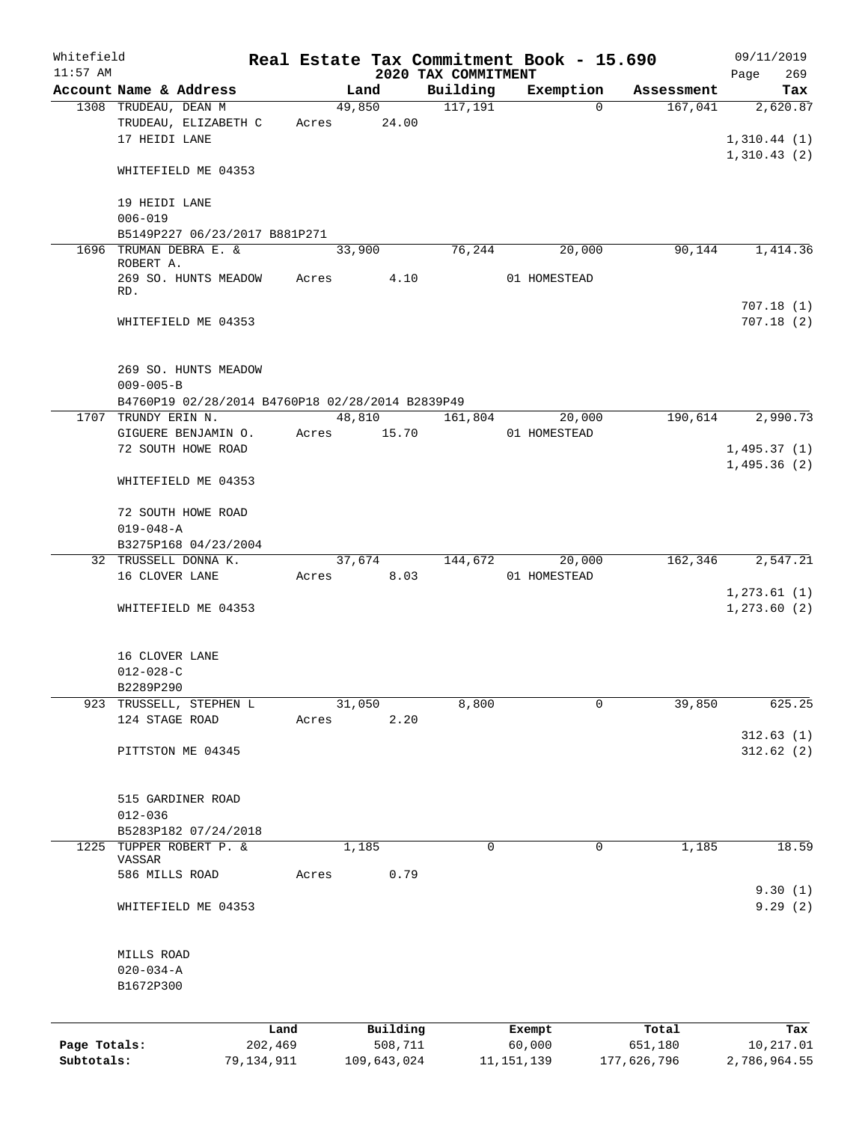| Whitefield   |                                                                         |            |       |                |                                 | Real Estate Tax Commitment Book - 15.690 |                       | 09/11/2019         |
|--------------|-------------------------------------------------------------------------|------------|-------|----------------|---------------------------------|------------------------------------------|-----------------------|--------------------|
| $11:57$ AM   | Account Name & Address                                                  |            |       |                | 2020 TAX COMMITMENT<br>Building |                                          |                       | 269<br>Page        |
|              | 1308 TRUDEAU, DEAN M                                                    |            |       | Land<br>49,850 | 117,191                         | Exemption<br>$\Omega$                    | Assessment<br>167,041 | Tax<br>2,620.87    |
|              | TRUDEAU, ELIZABETH C                                                    |            |       | Acres 24.00    |                                 |                                          |                       |                    |
|              | 17 HEIDI LANE                                                           |            |       |                |                                 |                                          |                       | 1,310.44(1)        |
|              |                                                                         |            |       |                |                                 |                                          |                       | 1,310.43(2)        |
|              | WHITEFIELD ME 04353                                                     |            |       |                |                                 |                                          |                       |                    |
|              | 19 HEIDI LANE                                                           |            |       |                |                                 |                                          |                       |                    |
|              | $006 - 019$                                                             |            |       |                |                                 |                                          |                       |                    |
|              | B5149P227 06/23/2017 B881P271                                           |            |       |                |                                 |                                          |                       |                    |
|              | 1696 TRUMAN DEBRA E. &                                                  |            |       | 33,900         | 76,244                          | 20,000                                   | 90, 144               | 1,414.36           |
|              | ROBERT A.<br>269 SO. HUNTS MEADOW                                       |            | Acres | 4.10           |                                 | 01 HOMESTEAD                             |                       |                    |
|              | RD.                                                                     |            |       |                |                                 |                                          |                       |                    |
|              |                                                                         |            |       |                |                                 |                                          |                       | 707.18(1)          |
|              | WHITEFIELD ME 04353                                                     |            |       |                |                                 |                                          |                       | 707.18(2)          |
|              |                                                                         |            |       |                |                                 |                                          |                       |                    |
|              | 269 SO. HUNTS MEADOW                                                    |            |       |                |                                 |                                          |                       |                    |
|              | $009 - 005 - B$                                                         |            |       |                |                                 |                                          |                       |                    |
|              | B4760P19 02/28/2014 B4760P18 02/28/2014 B2839P49<br>1707 TRUNDY ERIN N. |            |       | 48,810         | 161,804                         | 20,000                                   | 190,614               | 2,990.73           |
|              | GIGUERE BENJAMIN O.                                                     |            | Acres | 15.70          |                                 | 01 HOMESTEAD                             |                       |                    |
|              | 72 SOUTH HOWE ROAD                                                      |            |       |                |                                 |                                          |                       | 1,495.37(1)        |
|              |                                                                         |            |       |                |                                 |                                          |                       | 1,495.36(2)        |
|              | WHITEFIELD ME 04353                                                     |            |       |                |                                 |                                          |                       |                    |
|              | 72 SOUTH HOWE ROAD                                                      |            |       |                |                                 |                                          |                       |                    |
|              | $019 - 048 - A$                                                         |            |       |                |                                 |                                          |                       |                    |
|              | B3275P168 04/23/2004                                                    |            |       |                |                                 |                                          |                       |                    |
|              | 32 TRUSSELL DONNA K.                                                    |            |       | 37,674         | 144,672                         | 20,000                                   | 162,346               | 2,547.21           |
|              | 16 CLOVER LANE                                                          |            |       | Acres 8.03     |                                 | 01 HOMESTEAD                             |                       |                    |
|              |                                                                         |            |       |                |                                 |                                          |                       | 1, 273.61(1)       |
|              | WHITEFIELD ME 04353                                                     |            |       |                |                                 |                                          |                       | 1, 273.60 (2)      |
|              |                                                                         |            |       |                |                                 |                                          |                       |                    |
|              | 16 CLOVER LANE                                                          |            |       |                |                                 |                                          |                       |                    |
|              | $012 - 028 - C$                                                         |            |       |                |                                 |                                          |                       |                    |
|              | B2289P290<br>TRUSSELL, STEPHEN L                                        |            |       |                |                                 | 0                                        |                       |                    |
| 923          | 124 STAGE ROAD                                                          |            | Acres | 31,050<br>2.20 | 8,800                           |                                          | 39,850                | 625.25             |
|              |                                                                         |            |       |                |                                 |                                          |                       | 312.63(1)          |
|              | PITTSTON ME 04345                                                       |            |       |                |                                 |                                          |                       | 312.62(2)          |
|              |                                                                         |            |       |                |                                 |                                          |                       |                    |
|              |                                                                         |            |       |                |                                 |                                          |                       |                    |
|              | 515 GARDINER ROAD                                                       |            |       |                |                                 |                                          |                       |                    |
|              | $012 - 036$<br>B5283P182 07/24/2018                                     |            |       |                |                                 |                                          |                       |                    |
| 1225         | TUPPER ROBERT P. &                                                      |            |       | 1,185          | $\mathbf 0$                     | $\mathbf 0$                              | 1,185                 | 18.59              |
|              | VASSAR                                                                  |            |       |                |                                 |                                          |                       |                    |
|              | 586 MILLS ROAD                                                          |            | Acres | 0.79           |                                 |                                          |                       |                    |
|              | WHITEFIELD ME 04353                                                     |            |       |                |                                 |                                          |                       | 9.30(1)<br>9.29(2) |
|              |                                                                         |            |       |                |                                 |                                          |                       |                    |
|              |                                                                         |            |       |                |                                 |                                          |                       |                    |
|              | MILLS ROAD                                                              |            |       |                |                                 |                                          |                       |                    |
|              | $020 - 034 - A$<br>B1672P300                                            |            |       |                |                                 |                                          |                       |                    |
|              |                                                                         |            |       |                |                                 |                                          |                       |                    |
|              |                                                                         | Land       |       | Building       |                                 | Exempt                                   | Total                 | Tax                |
| Page Totals: |                                                                         | 202,469    |       | 508,711        |                                 | 60,000                                   | 651,180               | 10,217.01          |
| Subtotals:   |                                                                         | 79,134,911 |       | 109,643,024    |                                 | 11, 151, 139                             | 177,626,796           | 2,786,964.55       |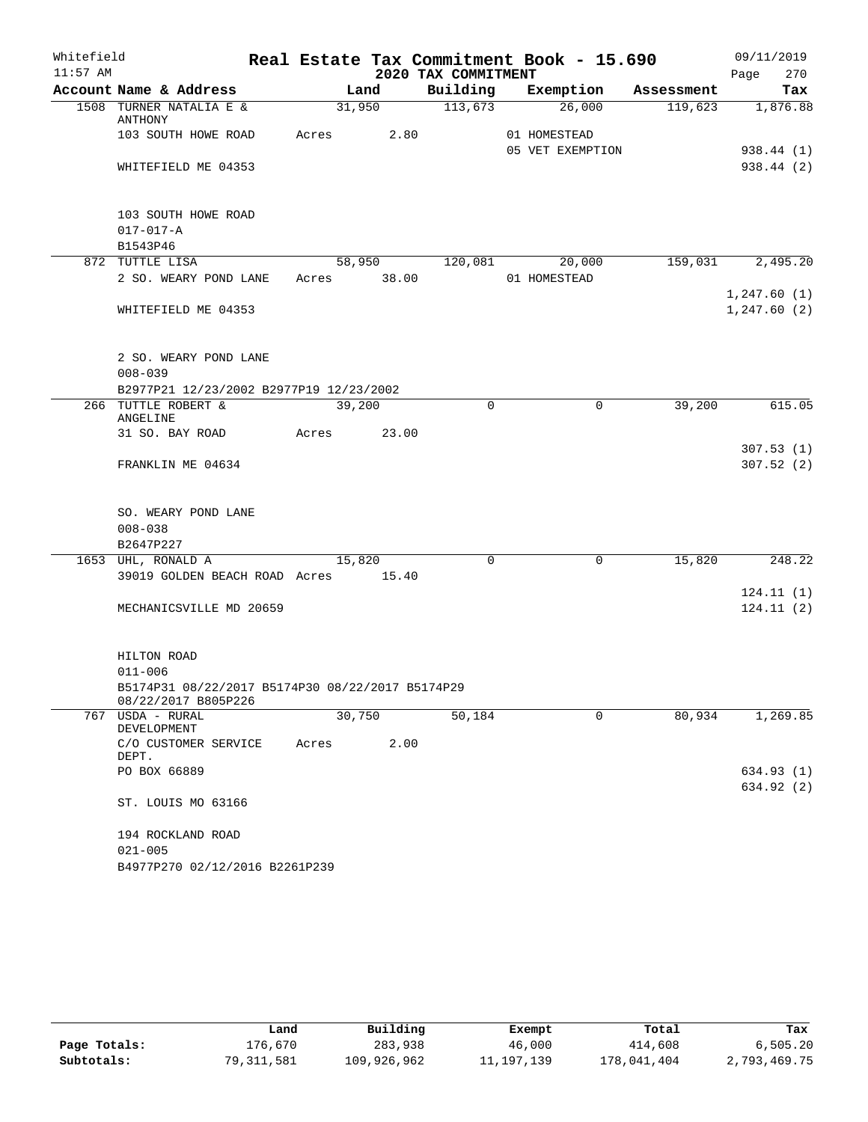| Whitefield |                                                                         |             |        |                     | Real Estate Tax Commitment Book - 15.690 |            | 09/11/2019       |
|------------|-------------------------------------------------------------------------|-------------|--------|---------------------|------------------------------------------|------------|------------------|
| $11:57$ AM |                                                                         |             |        | 2020 TAX COMMITMENT |                                          |            | 270<br>Page      |
|            | Account Name & Address                                                  |             | Land   |                     | Building Exemption                       | Assessment | Tax              |
|            | 1508 TURNER NATALIA E &<br>ANTHONY                                      |             | 31,950 | $\frac{113,673}{ }$ | 26,000                                   |            | 119,623 1,876.88 |
|            | 103 SOUTH HOWE ROAD                                                     | Acres       | 2.80   |                     | 01 HOMESTEAD                             |            |                  |
|            |                                                                         |             |        |                     | 05 VET EXEMPTION                         |            | 938.44 (1)       |
|            | WHITEFIELD ME 04353                                                     |             |        |                     |                                          |            | 938.44 (2)       |
|            | 103 SOUTH HOWE ROAD                                                     |             |        |                     |                                          |            |                  |
|            | $017 - 017 - A$                                                         |             |        |                     |                                          |            |                  |
|            | B1543P46                                                                |             |        |                     |                                          |            |                  |
|            | 872 TUTTLE LISA                                                         |             |        |                     | 58,950 120,081 20,000                    |            | 159,031 2,495.20 |
|            | 2 SO. WEARY POND LANE                                                   | Acres 38.00 |        |                     | 01 HOMESTEAD                             |            |                  |
|            |                                                                         |             |        |                     |                                          |            | 1,247.60(1)      |
|            | WHITEFIELD ME 04353                                                     |             |        |                     |                                          |            | 1, 247.60(2)     |
|            |                                                                         |             |        |                     |                                          |            |                  |
|            | 2 SO. WEARY POND LANE                                                   |             |        |                     |                                          |            |                  |
|            | $008 - 039$                                                             |             |        |                     |                                          |            |                  |
|            | B2977P21 12/23/2002 B2977P19 12/23/2002                                 |             |        |                     |                                          |            |                  |
|            | 266 TUTTLE ROBERT &<br>ANGELINE                                         | 39,200      |        | $\Omega$            | $\mathbf 0$                              | 39,200     | 615.05           |
|            | 31 SO. BAY ROAD                                                         | Acres       | 23.00  |                     |                                          |            |                  |
|            |                                                                         |             |        |                     |                                          |            | 307.53(1)        |
|            | FRANKLIN ME 04634                                                       |             |        |                     |                                          |            | 307.52(2)        |
|            |                                                                         |             |        |                     |                                          |            |                  |
|            | SO. WEARY POND LANE                                                     |             |        |                     |                                          |            |                  |
|            | $008 - 038$                                                             |             |        |                     |                                          |            |                  |
|            | B2647P227                                                               |             |        |                     |                                          |            |                  |
|            | 1653 UHL, RONALD A                                                      | 15,820      |        | $\mathbf 0$         | $\mathbf 0$                              | 15,820     | 248.22           |
|            | 39019 GOLDEN BEACH ROAD Acres 15.40                                     |             |        |                     |                                          |            |                  |
|            |                                                                         |             |        |                     |                                          |            | 124.11(1)        |
|            | MECHANICSVILLE MD 20659                                                 |             |        |                     |                                          |            | 124.11(2)        |
|            | HILTON ROAD                                                             |             |        |                     |                                          |            |                  |
|            | $011 - 006$                                                             |             |        |                     |                                          |            |                  |
|            | B5174P31 08/22/2017 B5174P30 08/22/2017 B5174P29<br>08/22/2017 B805P226 |             |        |                     |                                          |            |                  |
|            | 767 USDA - RURAL<br>DEVELOPMENT                                         | 30,750      |        | 50,184              | $\Omega$                                 | 80,934     | 1,269.85         |
|            | C/O CUSTOMER SERVICE<br>DEPT.                                           | Acres       | 2.00   |                     |                                          |            |                  |
|            | PO BOX 66889                                                            |             |        |                     |                                          |            | 634.93 (1)       |
|            |                                                                         |             |        |                     |                                          |            | 634.92 (2)       |
|            | ST. LOUIS MO 63166                                                      |             |        |                     |                                          |            |                  |
|            | 194 ROCKLAND ROAD                                                       |             |        |                     |                                          |            |                  |
|            | $021 - 005$                                                             |             |        |                     |                                          |            |                  |
|            | B4977P270 02/12/2016 B2261P239                                          |             |        |                     |                                          |            |                  |

|              | Land       | Building    | Exempt     | Total       | Tax          |
|--------------|------------|-------------|------------|-------------|--------------|
| Page Totals: | 176.670    | 283,938     | 46,000     | 414,608     | 6,505.20     |
| Subtotals:   | 79,311,581 | 109,926,962 | 11,197,139 | 178,041,404 | 2,793,469.75 |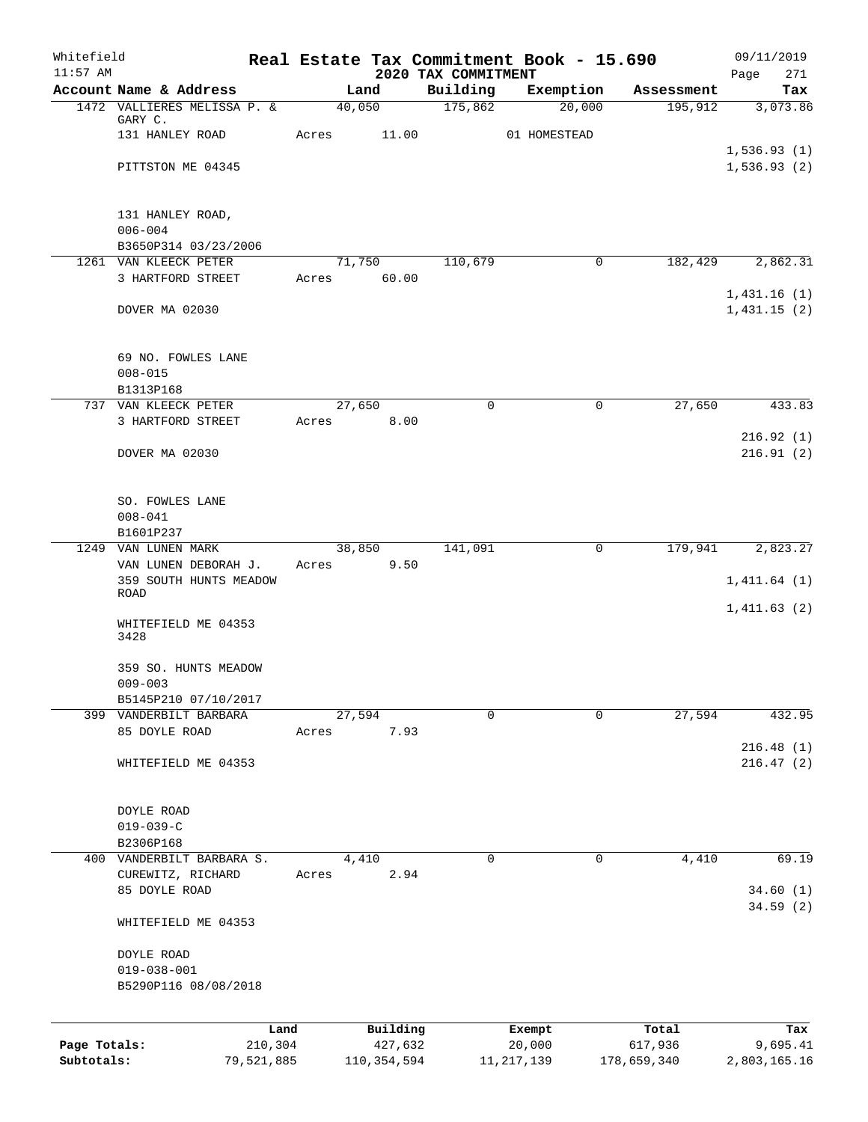| Whitefield<br>$11:57$ AM |                                                |        |                     |                                 | Real Estate Tax Commitment Book - 15.690 |                  | 09/11/2019            |
|--------------------------|------------------------------------------------|--------|---------------------|---------------------------------|------------------------------------------|------------------|-----------------------|
|                          | Account Name & Address                         |        | Land                | 2020 TAX COMMITMENT<br>Building | Exemption                                | Assessment       | 271<br>Page<br>Tax    |
|                          | 1472 VALLIERES MELISSA P. &                    | 40,050 |                     | 175,862                         | 20,000                                   | 195, 912         | 3,073.86              |
|                          | GARY C.                                        |        |                     |                                 |                                          |                  |                       |
|                          | 131 HANLEY ROAD                                | Acres  | 11.00               |                                 | 01 HOMESTEAD                             |                  | 1,536.93(1)           |
|                          | PITTSTON ME 04345                              |        |                     |                                 |                                          |                  | 1,536.93(2)           |
|                          |                                                |        |                     |                                 |                                          |                  |                       |
|                          | 131 HANLEY ROAD,                               |        |                     |                                 |                                          |                  |                       |
|                          | $006 - 004$                                    |        |                     |                                 |                                          |                  |                       |
|                          | B3650P314 03/23/2006                           |        |                     |                                 |                                          |                  |                       |
|                          | 1261 VAN KLEECK PETER<br>3 HARTFORD STREET     | Acres  | 71,750<br>60.00     | 110,679                         | 0                                        | 182,429          | 2,862.31              |
|                          |                                                |        |                     |                                 |                                          |                  | 1,431.16(1)           |
|                          | DOVER MA 02030                                 |        |                     |                                 |                                          |                  | 1,431.15(2)           |
|                          | 69 NO. FOWLES LANE                             |        |                     |                                 |                                          |                  |                       |
|                          | $008 - 015$                                    |        |                     |                                 |                                          |                  |                       |
|                          | B1313P168                                      |        |                     |                                 |                                          |                  |                       |
|                          | 737 VAN KLEECK PETER                           | 27,650 |                     | 0                               | 0                                        | 27,650           | 433.83                |
|                          | 3 HARTFORD STREET                              | Acres  | 8.00                |                                 |                                          |                  | 216.92(1)             |
|                          | DOVER MA 02030                                 |        |                     |                                 |                                          |                  | 216.91(2)             |
|                          |                                                |        |                     |                                 |                                          |                  |                       |
|                          | SO. FOWLES LANE                                |        |                     |                                 |                                          |                  |                       |
|                          | $008 - 041$                                    |        |                     |                                 |                                          |                  |                       |
|                          | B1601P237                                      |        |                     |                                 |                                          |                  |                       |
| 1249                     | VAN LUNEN MARK                                 | 38,850 |                     | 141,091                         | 0                                        | 179,941          | 2,823.27              |
|                          | VAN LUNEN DEBORAH J.<br>359 SOUTH HUNTS MEADOW | Acres  | 9.50                |                                 |                                          |                  | 1,411.64(1)           |
|                          | <b>ROAD</b>                                    |        |                     |                                 |                                          |                  |                       |
|                          | WHITEFIELD ME 04353                            |        |                     |                                 |                                          |                  | 1,411.63(2)           |
|                          | 3428                                           |        |                     |                                 |                                          |                  |                       |
|                          | 359 SO. HUNTS MEADOW                           |        |                     |                                 |                                          |                  |                       |
|                          | $009 - 003$                                    |        |                     |                                 |                                          |                  |                       |
|                          | B5145P210 07/10/2017                           |        |                     |                                 |                                          |                  |                       |
|                          | 399 VANDERBILT BARBARA<br>85 DOYLE ROAD        | Acres  | 27,594<br>7.93      | $\Omega$                        | $\mathbf 0$                              | 27,594           | 432.95                |
|                          |                                                |        |                     |                                 |                                          |                  | 216.48(1)             |
|                          | WHITEFIELD ME 04353                            |        |                     |                                 |                                          |                  | 216.47(2)             |
|                          |                                                |        |                     |                                 |                                          |                  |                       |
|                          | DOYLE ROAD<br>$019 - 039 - C$                  |        |                     |                                 |                                          |                  |                       |
|                          | B2306P168                                      |        |                     |                                 |                                          |                  |                       |
|                          | 400 VANDERBILT BARBARA S.                      |        | 4,410               | 0                               | 0                                        | 4,410            | 69.19                 |
|                          | CUREWITZ, RICHARD<br>85 DOYLE ROAD             | Acres  | 2.94                |                                 |                                          |                  |                       |
|                          |                                                |        |                     |                                 |                                          |                  | 34.60(1)<br>34.59 (2) |
|                          | WHITEFIELD ME 04353                            |        |                     |                                 |                                          |                  |                       |
|                          | DOYLE ROAD                                     |        |                     |                                 |                                          |                  |                       |
|                          | $019 - 038 - 001$                              |        |                     |                                 |                                          |                  |                       |
|                          | B5290P116 08/08/2018                           |        |                     |                                 |                                          |                  |                       |
|                          |                                                |        |                     |                                 |                                          |                  |                       |
| Page Totals:             | Land<br>210,304                                |        | Building<br>427,632 |                                 | Exempt<br>20,000                         | Total<br>617,936 | Tax<br>9,695.41       |
| Subtotals:               | 79,521,885                                     |        | 110,354,594         |                                 | 11, 217, 139                             | 178,659,340      | 2,803,165.16          |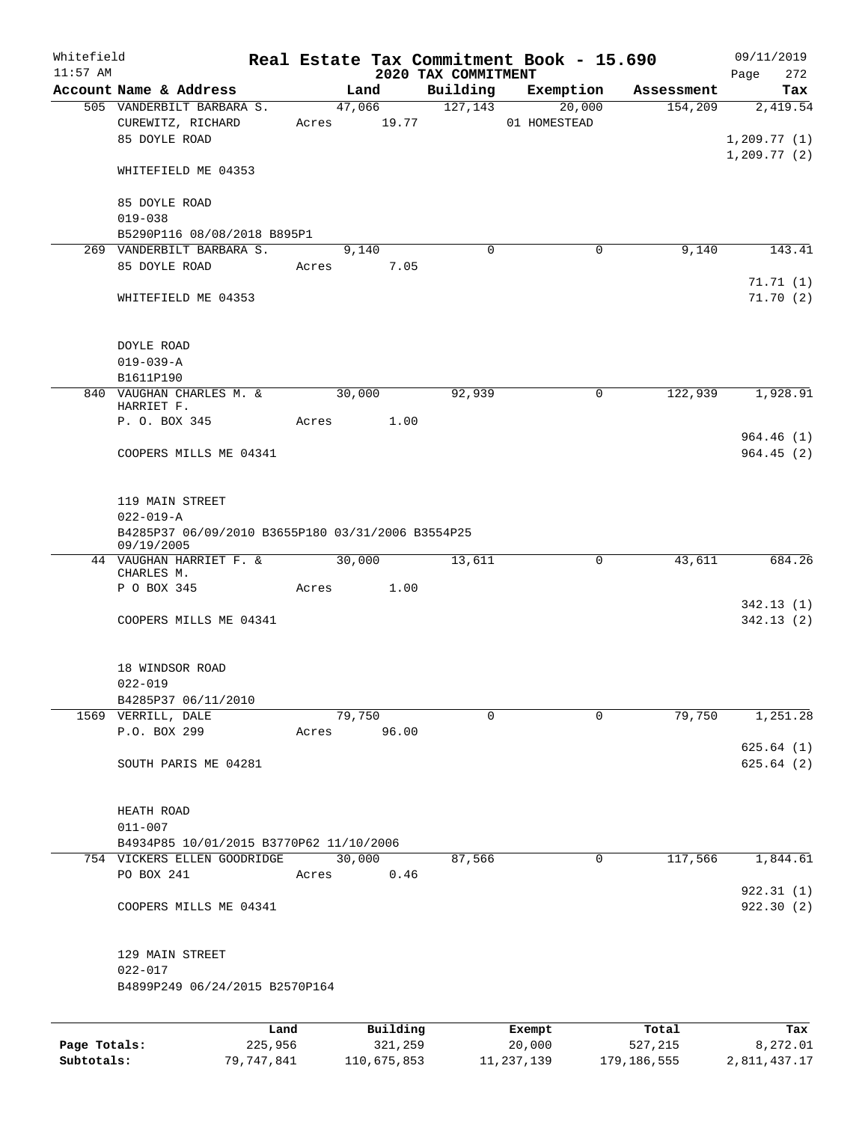| Whitefield<br>$11:57$ AM |                                                                                         |       |                       | 2020 TAX COMMITMENT | Real Estate Tax Commitment Book - 15.690 |            | 09/11/2019<br>272<br>Page |
|--------------------------|-----------------------------------------------------------------------------------------|-------|-----------------------|---------------------|------------------------------------------|------------|---------------------------|
|                          | Account Name & Address                                                                  |       | Land                  | Building            | Exemption                                | Assessment | Tax                       |
|                          | 505 VANDERBILT BARBARA S.<br>CUREWITZ, RICHARD<br>85 DOYLE ROAD                         |       | 47,066<br>Acres 19.77 | 127,143             | 20,000<br>01 HOMESTEAD                   | 154,209    | 2,419.54<br>1, 209.77(1)  |
|                          | WHITEFIELD ME 04353                                                                     |       |                       |                     |                                          |            | 1, 209.77(2)              |
|                          | 85 DOYLE ROAD<br>$019 - 038$                                                            |       |                       |                     |                                          |            |                           |
|                          | B5290P116 08/08/2018 B895P1<br>269 VANDERBILT BARBARA S.                                |       | 9,140                 | $\mathbf 0$         | 0                                        | 9,140      | 143.41                    |
|                          | 85 DOYLE ROAD                                                                           | Acres | 7.05                  |                     |                                          |            | 71.71(1)                  |
|                          | WHITEFIELD ME 04353                                                                     |       |                       |                     |                                          |            | 71.70(2)                  |
|                          | DOYLE ROAD<br>$019 - 039 - A$                                                           |       |                       |                     |                                          |            |                           |
|                          | B1611P190                                                                               |       |                       |                     |                                          |            |                           |
|                          | 840 VAUGHAN CHARLES M. &<br>HARRIET F.                                                  | Acres | 30,000<br>1.00        | 92,939              | 0                                        | 122,939    | 1,928.91                  |
|                          | P. O. BOX 345                                                                           |       |                       |                     |                                          |            | 964.46 (1)                |
|                          | COOPERS MILLS ME 04341                                                                  |       |                       |                     |                                          |            | 964.45(2)                 |
|                          | 119 MAIN STREET<br>$022 - 019 - A$<br>B4285P37 06/09/2010 B3655P180 03/31/2006 B3554P25 |       |                       |                     |                                          |            |                           |
|                          | 09/19/2005                                                                              |       |                       |                     |                                          |            |                           |
|                          | 44 VAUGHAN HARRIET F. &                                                                 |       | 30,000                | 13,611              | 0                                        | 43,611     | 684.26                    |
|                          | CHARLES M.<br>P O BOX 345                                                               | Acres | 1.00                  |                     |                                          |            |                           |
|                          |                                                                                         |       |                       |                     |                                          |            | 342.13(1)                 |
|                          | COOPERS MILLS ME 04341                                                                  |       |                       |                     |                                          |            | 342.13(2)                 |
|                          | 18 WINDSOR ROAD<br>$022 - 019$                                                          |       |                       |                     |                                          |            |                           |
|                          | B4285P37 06/11/2010<br>1569 VERRILL, DALE                                               |       |                       | $\Omega$            | $\Omega$                                 | 79,750     |                           |
|                          | P.O. BOX 299                                                                            | Acres | 79,750<br>96.00       |                     |                                          |            | 1,251.28                  |
|                          |                                                                                         |       |                       |                     |                                          |            | 625.64(1)                 |
|                          | SOUTH PARIS ME 04281                                                                    |       |                       |                     |                                          |            | 625.64(2)                 |
|                          | HEATH ROAD<br>$011 - 007$                                                               |       |                       |                     |                                          |            |                           |
|                          | B4934P85 10/01/2015 B3770P62 11/10/2006                                                 |       |                       |                     |                                          |            |                           |
|                          | 754 VICKERS ELLEN GOODRIDGE<br>PO BOX 241                                               | Acres | 30,000<br>0.46        | 87,566              | 0                                        | 117,566    | 1,844.61                  |
|                          | COOPERS MILLS ME 04341                                                                  |       |                       |                     |                                          |            | 922.31(1)<br>922.30 (2)   |
|                          | 129 MAIN STREET<br>$022 - 017$                                                          |       |                       |                     |                                          |            |                           |
|                          | B4899P249 06/24/2015 B2570P164                                                          |       |                       |                     |                                          |            |                           |
|                          |                                                                                         | Land  | Building              |                     | Exempt                                   | Total      | Tax                       |
| Page Totals:             | 225,956                                                                                 |       | 321,259               |                     | 20,000                                   | 527,215    | 8,272.01                  |

**Subtotals:** 79,747,841 110,675,853 11,237,139 179,186,555 2,811,437.17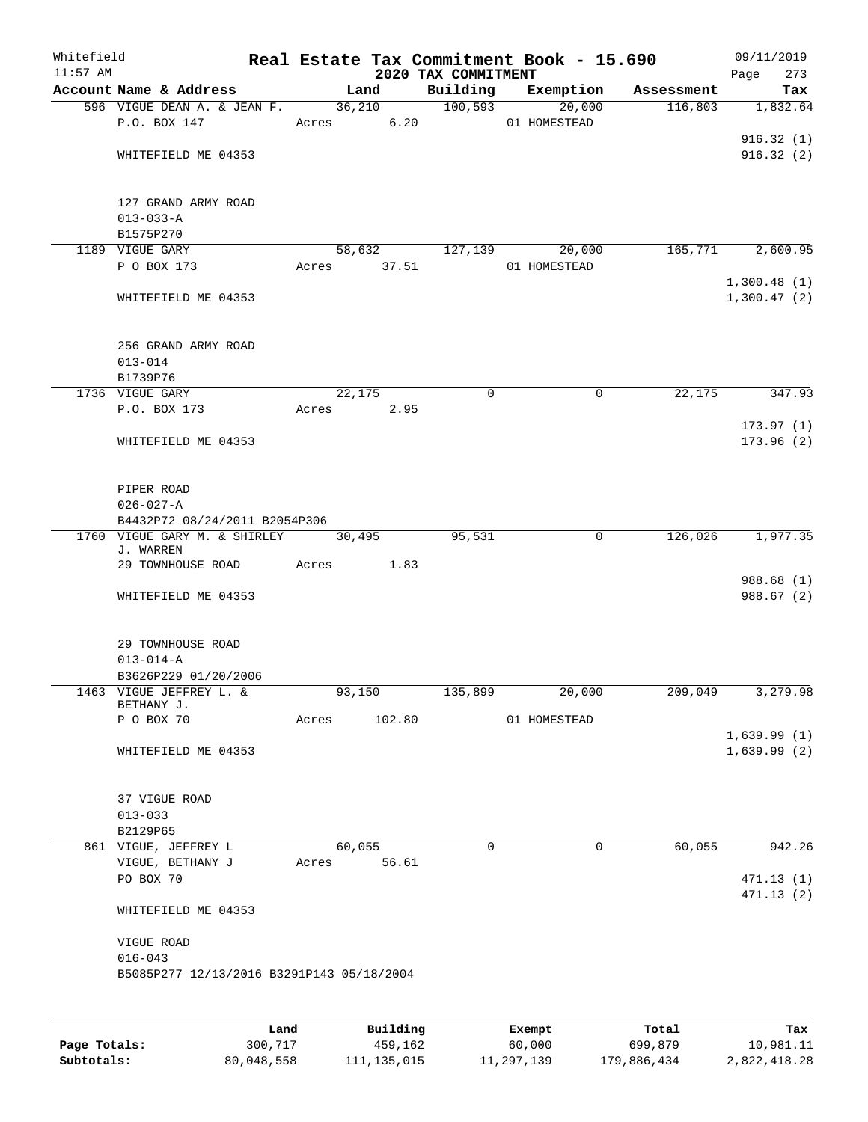| Whitefield<br>$11:57$ AM |                                                          |       |                 |        | 2020 TAX COMMITMENT | Real Estate Tax Commitment Book - 15.690 |            |             | 09/11/2019             |
|--------------------------|----------------------------------------------------------|-------|-----------------|--------|---------------------|------------------------------------------|------------|-------------|------------------------|
|                          | Account Name & Address                                   |       | Land            |        | Building            | Exemption                                | Assessment | Page        | 273<br>Tax             |
|                          | 596 VIGUE DEAN A. & JEAN F.                              |       | 36,210          |        | 100,593             | 20,000                                   | 116,803    |             | 1,832.64               |
|                          | P.O. BOX 147                                             |       | Acres 6.20      |        |                     | 01 HOMESTEAD                             |            |             |                        |
|                          |                                                          |       |                 |        |                     |                                          |            |             | 916.32(1)              |
|                          | WHITEFIELD ME 04353                                      |       |                 |        |                     |                                          |            |             | 916.32(2)              |
|                          |                                                          |       |                 |        |                     |                                          |            |             |                        |
|                          | 127 GRAND ARMY ROAD                                      |       |                 |        |                     |                                          |            |             |                        |
|                          | $013 - 033 - A$                                          |       |                 |        |                     |                                          |            |             |                        |
|                          | B1575P270<br>1189 VIGUE GARY                             |       | 58,632          |        | 127,139             | 20,000                                   | 165,771    |             | 2,600.95               |
|                          | P O BOX 173                                              |       | Acres 37.51     |        |                     | 01 HOMESTEAD                             |            |             |                        |
|                          |                                                          |       |                 |        |                     |                                          |            | 1,300.48(1) |                        |
|                          | WHITEFIELD ME 04353                                      |       |                 |        |                     |                                          |            | 1,300.47(2) |                        |
|                          | 256 GRAND ARMY ROAD                                      |       |                 |        |                     |                                          |            |             |                        |
|                          | $013 - 014$                                              |       |                 |        |                     |                                          |            |             |                        |
|                          | B1739P76                                                 |       |                 |        |                     |                                          |            |             |                        |
|                          | 1736 VIGUE GARY                                          |       | 22,175          |        | 0                   | 0                                        | 22,175     |             | 347.93                 |
|                          | P.O. BOX 173                                             | Acres | 2.95            |        |                     |                                          |            |             |                        |
|                          |                                                          |       |                 |        |                     |                                          |            |             | 173.97(1)              |
|                          | WHITEFIELD ME 04353                                      |       |                 |        |                     |                                          |            |             | 173.96(2)              |
|                          | PIPER ROAD                                               |       |                 |        |                     |                                          |            |             |                        |
|                          | $026 - 027 - A$                                          |       |                 |        |                     |                                          |            |             |                        |
|                          | B4432P72 08/24/2011 B2054P306                            |       |                 |        |                     |                                          |            |             |                        |
|                          | 1760 VIGUE GARY M. & SHIRLEY<br>J. WARREN                |       | 30,495          |        | 95,531              | $\mathbf 0$                              | 126,026    |             | 1,977.35               |
|                          | 29 TOWNHOUSE ROAD                                        | Acres |                 | 1.83   |                     |                                          |            |             |                        |
|                          |                                                          |       |                 |        |                     |                                          |            |             | 988.68 (1)             |
|                          | WHITEFIELD ME 04353                                      |       |                 |        |                     |                                          |            |             | 988.67 (2)             |
|                          | 29 TOWNHOUSE ROAD                                        |       |                 |        |                     |                                          |            |             |                        |
|                          | $013 - 014 - A$                                          |       |                 |        |                     |                                          |            |             |                        |
|                          | B3626P229 01/20/2006                                     |       |                 |        |                     |                                          |            |             |                        |
|                          | 1463 VIGUE JEFFREY L. &                                  |       | 93,150          |        | 135,899             | 20,000                                   | 209,049    |             | 3,279.98               |
|                          | BETHANY J.<br>P O BOX 70                                 | Acres |                 | 102.80 |                     | 01 HOMESTEAD                             |            |             |                        |
|                          |                                                          |       |                 |        |                     |                                          |            | 1,639.99(1) |                        |
|                          | WHITEFIELD ME 04353                                      |       |                 |        |                     |                                          |            | 1,639.99(2) |                        |
|                          | 37 VIGUE ROAD                                            |       |                 |        |                     |                                          |            |             |                        |
|                          | $013 - 033$                                              |       |                 |        |                     |                                          |            |             |                        |
|                          | B2129P65                                                 |       |                 |        |                     |                                          |            |             |                        |
|                          | 861 VIGUE, JEFFREY L                                     |       | 60,055          |        | $\mathbf 0$         | $\mathbf 0$                              | 60,055     |             | 942.26                 |
|                          | VIGUE, BETHANY J                                         | Acres |                 | 56.61  |                     |                                          |            |             |                        |
|                          | PO BOX 70                                                |       |                 |        |                     |                                          |            |             | 471.13(1)<br>471.13(2) |
|                          | WHITEFIELD ME 04353                                      |       |                 |        |                     |                                          |            |             |                        |
|                          | VIGUE ROAD                                               |       |                 |        |                     |                                          |            |             |                        |
|                          | $016 - 043$<br>B5085P277 12/13/2016 B3291P143 05/18/2004 |       |                 |        |                     |                                          |            |             |                        |
|                          |                                                          |       |                 |        |                     |                                          |            |             |                        |
|                          |                                                          |       |                 |        |                     |                                          |            |             |                        |
|                          | Land.                                                    |       | <b>Building</b> |        |                     | <b>Fromnt</b>                            | $T$ ctal   |             |                        |

|              | Land       | Building    | Exempt     | Total       | Tax          |
|--------------|------------|-------------|------------|-------------|--------------|
| Page Totals: | 300,717    | 459,162     | 60,000     | 699,879     | 10,981.11    |
| Subtotals:   | 80,048,558 | 111,135,015 | 11,297,139 | 179,886,434 | 2,822,418.28 |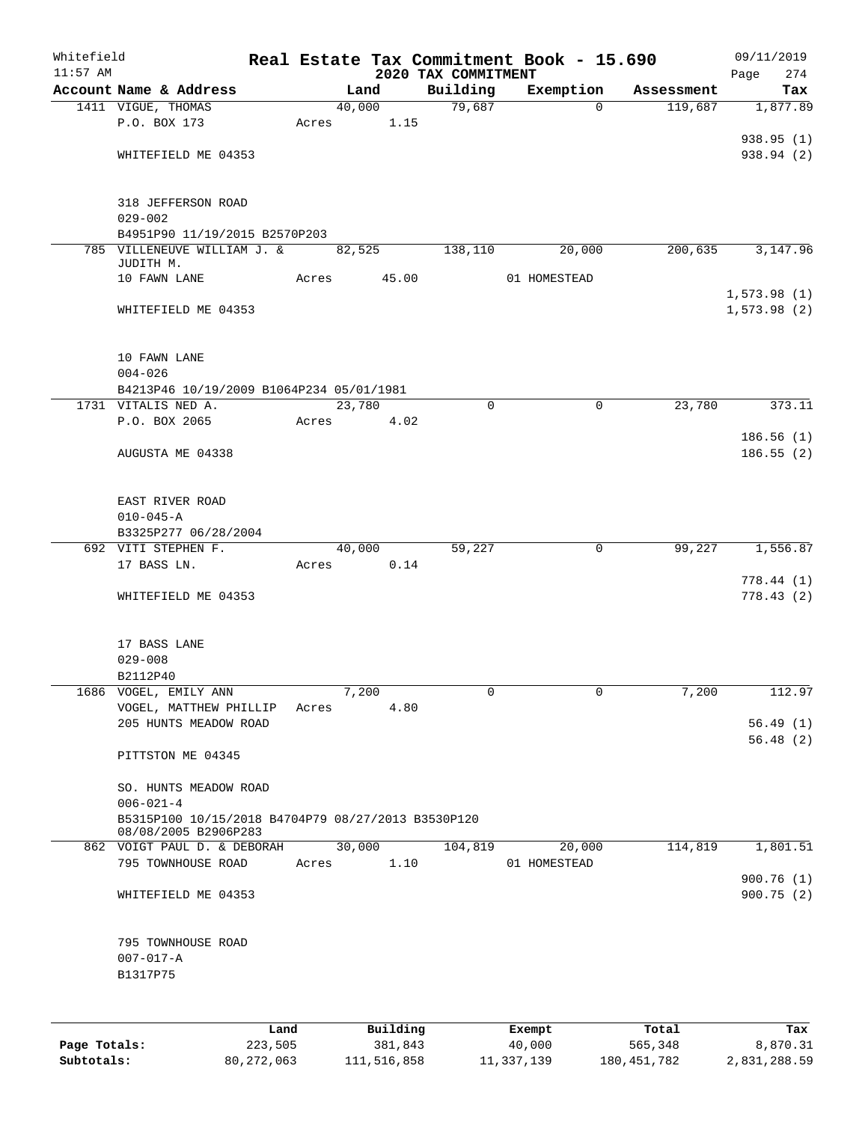| Whitefield   |                                                                            |                 |       |        |                     |                                 | Real Estate Tax Commitment Book - 15.690 |                  | 09/11/2019         |
|--------------|----------------------------------------------------------------------------|-----------------|-------|--------|---------------------|---------------------------------|------------------------------------------|------------------|--------------------|
| $11:57$ AM   | Account Name & Address                                                     |                 |       | Land   |                     | 2020 TAX COMMITMENT<br>Building | Exemption                                | Assessment       | 274<br>Page<br>Tax |
|              | 1411 VIGUE, THOMAS                                                         |                 |       | 40,000 |                     | 79,687                          | $\Omega$                                 | 119,687          | 1,877.89           |
|              | P.O. BOX 173                                                               |                 | Acres |        | 1.15                |                                 |                                          |                  |                    |
|              |                                                                            |                 |       |        |                     |                                 |                                          |                  | 938.95 (1)         |
|              | WHITEFIELD ME 04353                                                        |                 |       |        |                     |                                 |                                          |                  | 938.94 (2)         |
|              |                                                                            |                 |       |        |                     |                                 |                                          |                  |                    |
|              |                                                                            |                 |       |        |                     |                                 |                                          |                  |                    |
|              | 318 JEFFERSON ROAD                                                         |                 |       |        |                     |                                 |                                          |                  |                    |
|              | $029 - 002$                                                                |                 |       |        |                     |                                 |                                          |                  |                    |
|              | B4951P90 11/19/2015 B2570P203<br>785 VILLENEUVE WILLIAM J. &               |                 |       | 82,525 |                     | 138,110                         | 20,000                                   | 200,635          | 3,147.96           |
|              | JUDITH M.                                                                  |                 |       |        |                     |                                 |                                          |                  |                    |
|              | 10 FAWN LANE                                                               |                 | Acres |        | 45.00               |                                 | 01 HOMESTEAD                             |                  |                    |
|              |                                                                            |                 |       |        |                     |                                 |                                          |                  | 1,573.98(1)        |
|              | WHITEFIELD ME 04353                                                        |                 |       |        |                     |                                 |                                          |                  | 1,573.98(2)        |
|              |                                                                            |                 |       |        |                     |                                 |                                          |                  |                    |
|              | 10 FAWN LANE                                                               |                 |       |        |                     |                                 |                                          |                  |                    |
|              | $004 - 026$                                                                |                 |       |        |                     |                                 |                                          |                  |                    |
|              | B4213P46 10/19/2009 B1064P234 05/01/1981                                   |                 |       |        |                     |                                 |                                          |                  |                    |
|              | 1731 VITALIS NED A.                                                        |                 |       | 23,780 |                     | $\mathbf 0$                     | $\mathbf 0$                              | 23,780           | 373.11             |
|              | P.O. BOX 2065                                                              |                 | Acres |        | 4.02                |                                 |                                          |                  |                    |
|              |                                                                            |                 |       |        |                     |                                 |                                          |                  | 186.56(1)          |
|              | AUGUSTA ME 04338                                                           |                 |       |        |                     |                                 |                                          |                  | 186.55(2)          |
|              |                                                                            |                 |       |        |                     |                                 |                                          |                  |                    |
|              |                                                                            |                 |       |        |                     |                                 |                                          |                  |                    |
|              | EAST RIVER ROAD                                                            |                 |       |        |                     |                                 |                                          |                  |                    |
|              | $010 - 045 - A$                                                            |                 |       |        |                     |                                 |                                          |                  |                    |
|              | B3325P277 06/28/2004<br>692 VITI STEPHEN F.                                |                 |       | 40,000 |                     | 59,227                          | 0                                        | 99,227           | 1,556.87           |
|              | 17 BASS LN.                                                                |                 | Acres |        | 0.14                |                                 |                                          |                  |                    |
|              |                                                                            |                 |       |        |                     |                                 |                                          |                  | 778.44(1)          |
|              | WHITEFIELD ME 04353                                                        |                 |       |        |                     |                                 |                                          |                  | 778.43 (2)         |
|              |                                                                            |                 |       |        |                     |                                 |                                          |                  |                    |
|              |                                                                            |                 |       |        |                     |                                 |                                          |                  |                    |
|              | 17 BASS LANE                                                               |                 |       |        |                     |                                 |                                          |                  |                    |
|              | $029 - 008$                                                                |                 |       |        |                     |                                 |                                          |                  |                    |
|              | B2112P40                                                                   |                 |       |        |                     |                                 |                                          |                  |                    |
|              | 1686 VOGEL, EMILY ANN<br>VOGEL, MATTHEW PHILLIP                            |                 | Acres | 7,200  | 4.80                | 0                               | 0                                        | 7,200            | 112.97             |
|              | 205 HUNTS MEADOW ROAD                                                      |                 |       |        |                     |                                 |                                          |                  | 56.49(1)           |
|              |                                                                            |                 |       |        |                     |                                 |                                          |                  | 56.48(2)           |
|              | PITTSTON ME 04345                                                          |                 |       |        |                     |                                 |                                          |                  |                    |
|              |                                                                            |                 |       |        |                     |                                 |                                          |                  |                    |
|              | SO. HUNTS MEADOW ROAD                                                      |                 |       |        |                     |                                 |                                          |                  |                    |
|              | $006 - 021 - 4$                                                            |                 |       |        |                     |                                 |                                          |                  |                    |
|              | B5315P100 10/15/2018 B4704P79 08/27/2013 B3530P120<br>08/08/2005 B2906P283 |                 |       |        |                     |                                 |                                          |                  |                    |
|              | 862 VOIGT PAUL D. & DEBORAH                                                |                 |       | 30,000 |                     | 104,819                         | 20,000                                   | 114,819          | 1,801.51           |
|              | 795 TOWNHOUSE ROAD                                                         |                 | Acres |        | 1.10                |                                 | 01 HOMESTEAD                             |                  |                    |
|              |                                                                            |                 |       |        |                     |                                 |                                          |                  | 900.76(1)          |
|              | WHITEFIELD ME 04353                                                        |                 |       |        |                     |                                 |                                          |                  | 900.75(2)          |
|              |                                                                            |                 |       |        |                     |                                 |                                          |                  |                    |
|              |                                                                            |                 |       |        |                     |                                 |                                          |                  |                    |
|              | 795 TOWNHOUSE ROAD                                                         |                 |       |        |                     |                                 |                                          |                  |                    |
|              | $007 - 017 - A$<br>B1317P75                                                |                 |       |        |                     |                                 |                                          |                  |                    |
|              |                                                                            |                 |       |        |                     |                                 |                                          |                  |                    |
|              |                                                                            |                 |       |        |                     |                                 |                                          |                  |                    |
|              |                                                                            |                 |       |        |                     |                                 |                                          |                  |                    |
| Page Totals: |                                                                            | Land<br>223,505 |       |        | Building<br>381,843 |                                 | Exempt<br>40,000                         | Total<br>565,348 | Tax<br>8,870.31    |
|              |                                                                            |                 |       |        |                     |                                 |                                          |                  |                    |

**Subtotals:** 80,272,063 111,516,858 11,337,139 180,451,782 2,831,288.59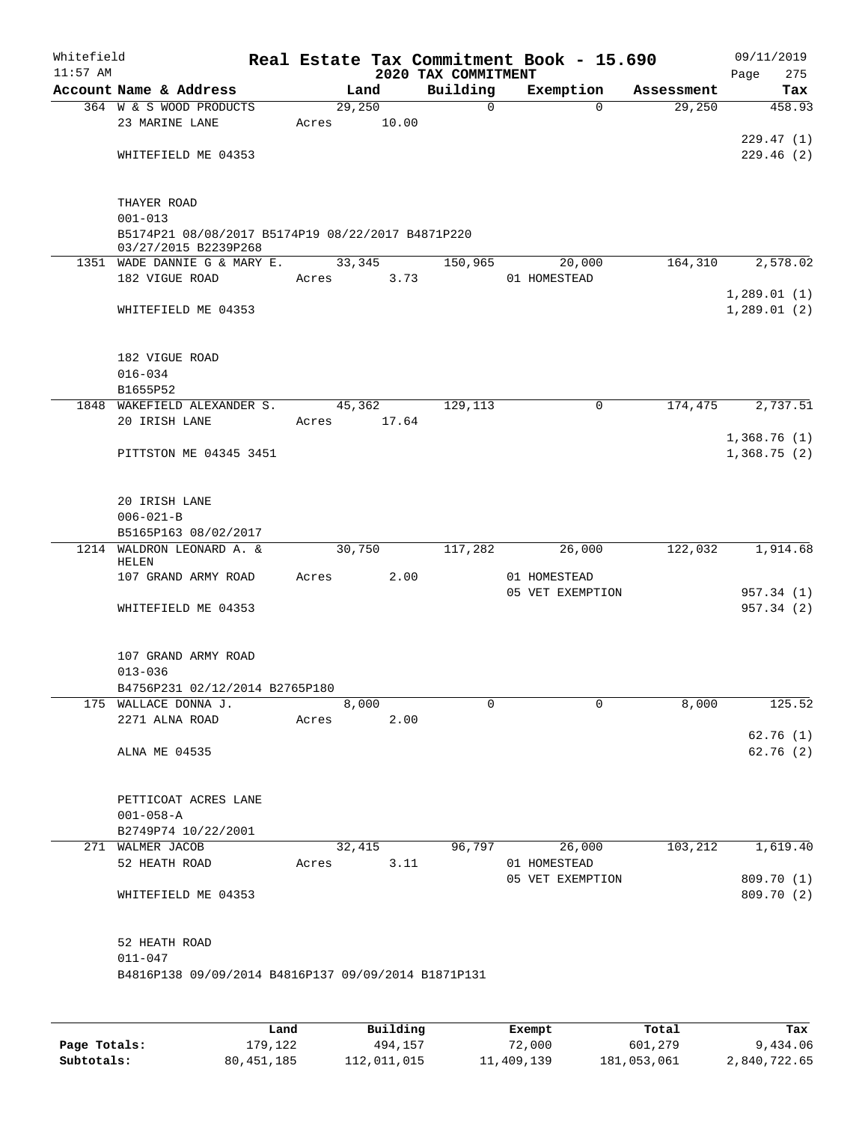| Whitefield<br>$11:57$ AM |                                                                           |       |        |       | 2020 TAX COMMITMENT | Real Estate Tax Commitment Book - 15.690 |            | Page | 09/11/2019<br>275          |
|--------------------------|---------------------------------------------------------------------------|-------|--------|-------|---------------------|------------------------------------------|------------|------|----------------------------|
|                          | Account Name & Address                                                    |       | Land   |       | Building            | Exemption                                | Assessment |      | Tax                        |
|                          | 364 W & S WOOD PRODUCTS                                                   |       | 29,250 |       | $\mathbf 0$         | $\Omega$                                 | 29,250     |      | 458.93                     |
|                          | 23 MARINE LANE                                                            | Acres |        | 10.00 |                     |                                          |            |      |                            |
|                          |                                                                           |       |        |       |                     |                                          |            |      | 229.47(1)                  |
|                          | WHITEFIELD ME 04353                                                       |       |        |       |                     |                                          |            |      | 229.46(2)                  |
|                          | THAYER ROAD<br>$001 - 013$                                                |       |        |       |                     |                                          |            |      |                            |
|                          | B5174P21 08/08/2017 B5174P19 08/22/2017 B4871P220<br>03/27/2015 B2239P268 |       |        |       |                     |                                          |            |      |                            |
|                          | 1351 WADE DANNIE G & MARY E.                                              |       | 33,345 |       | 150,965             | 20,000                                   | 164,310    |      | 2,578.02                   |
|                          | 182 VIGUE ROAD                                                            | Acres |        | 3.73  |                     | 01 HOMESTEAD                             |            |      |                            |
|                          |                                                                           |       |        |       |                     |                                          |            |      | 1,289.01(1)                |
|                          | WHITEFIELD ME 04353                                                       |       |        |       |                     |                                          |            |      | 1,289.01(2)                |
|                          | 182 VIGUE ROAD                                                            |       |        |       |                     |                                          |            |      |                            |
|                          | $016 - 034$                                                               |       |        |       |                     |                                          |            |      |                            |
|                          | B1655P52                                                                  |       |        |       |                     |                                          |            |      |                            |
| 1848                     | WAKEFIELD ALEXANDER S.                                                    |       | 45,362 |       | 129,113             | $\mathbf 0$                              | 174,475    |      | 2,737.51                   |
|                          | 20 IRISH LANE                                                             | Acres |        | 17.64 |                     |                                          |            |      |                            |
|                          | PITTSTON ME 04345 3451                                                    |       |        |       |                     |                                          |            |      | 1,368.76(1)<br>1,368.75(2) |
|                          |                                                                           |       |        |       |                     |                                          |            |      |                            |
|                          | 20 IRISH LANE                                                             |       |        |       |                     |                                          |            |      |                            |
|                          | $006 - 021 - B$                                                           |       |        |       |                     |                                          |            |      |                            |
|                          | B5165P163 08/02/2017                                                      |       |        |       |                     |                                          |            |      |                            |
|                          | 1214 WALDRON LEONARD A. &<br>HELEN                                        |       | 30,750 |       | 117,282             | 26,000                                   | 122,032    |      | 1,914.68                   |
|                          | 107 GRAND ARMY ROAD                                                       | Acres |        | 2.00  |                     | 01 HOMESTEAD                             |            |      |                            |
|                          |                                                                           |       |        |       |                     | 05 VET EXEMPTION                         |            |      | 957.34 (1)                 |
|                          | WHITEFIELD ME 04353                                                       |       |        |       |                     |                                          |            |      | 957.34 (2)                 |
|                          | 107 GRAND ARMY ROAD                                                       |       |        |       |                     |                                          |            |      |                            |
|                          | $013 - 036$                                                               |       |        |       |                     |                                          |            |      |                            |
|                          | B4756P231 02/12/2014 B2765P180                                            |       |        |       |                     |                                          |            |      |                            |
|                          | 175 WALLACE DONNA J.                                                      |       | 8,000  |       | 0                   | $\Omega$                                 | 8,000      |      | 125.52                     |
|                          | 2271 ALNA ROAD                                                            | Acres |        | 2.00  |                     |                                          |            |      |                            |
|                          |                                                                           |       |        |       |                     |                                          |            |      | 62.76(1)                   |
|                          | ALNA ME 04535                                                             |       |        |       |                     |                                          |            |      | 62.76(2)                   |
|                          | PETTICOAT ACRES LANE                                                      |       |        |       |                     |                                          |            |      |                            |
|                          | $001 - 058 - A$                                                           |       |        |       |                     |                                          |            |      |                            |
|                          | B2749P74 10/22/2001                                                       |       |        |       |                     |                                          |            |      |                            |
|                          | 271 WALMER JACOB                                                          |       | 32,415 |       | 96,797              | 26,000                                   | 103,212    |      | 1,619.40                   |
|                          | 52 HEATH ROAD                                                             | Acres |        | 3.11  |                     | 01 HOMESTEAD                             |            |      |                            |
|                          | WHITEFIELD ME 04353                                                       |       |        |       |                     | 05 VET EXEMPTION                         |            |      | 809.70 (1)<br>809.70 (2)   |
|                          |                                                                           |       |        |       |                     |                                          |            |      |                            |
|                          | 52 HEATH ROAD                                                             |       |        |       |                     |                                          |            |      |                            |
|                          | $011 - 047$<br>B4816P138 09/09/2014 B4816P137 09/09/2014 B1871P131        |       |        |       |                     |                                          |            |      |                            |
|                          |                                                                           |       |        |       |                     |                                          |            |      |                            |
|                          |                                                                           |       |        |       |                     |                                          |            |      |                            |
|                          |                                                                           |       |        |       |                     |                                          |            |      |                            |

|              | Land         | Building    | Exempt     | Total       | Tax          |
|--------------|--------------|-------------|------------|-------------|--------------|
| Page Totals: | 179.122      | 494,157     | 72,000     | 601,279     | 9,434.06     |
| Subtotals:   | 80, 451, 185 | 112,011,015 | 11,409,139 | 181,053,061 | 2,840,722.65 |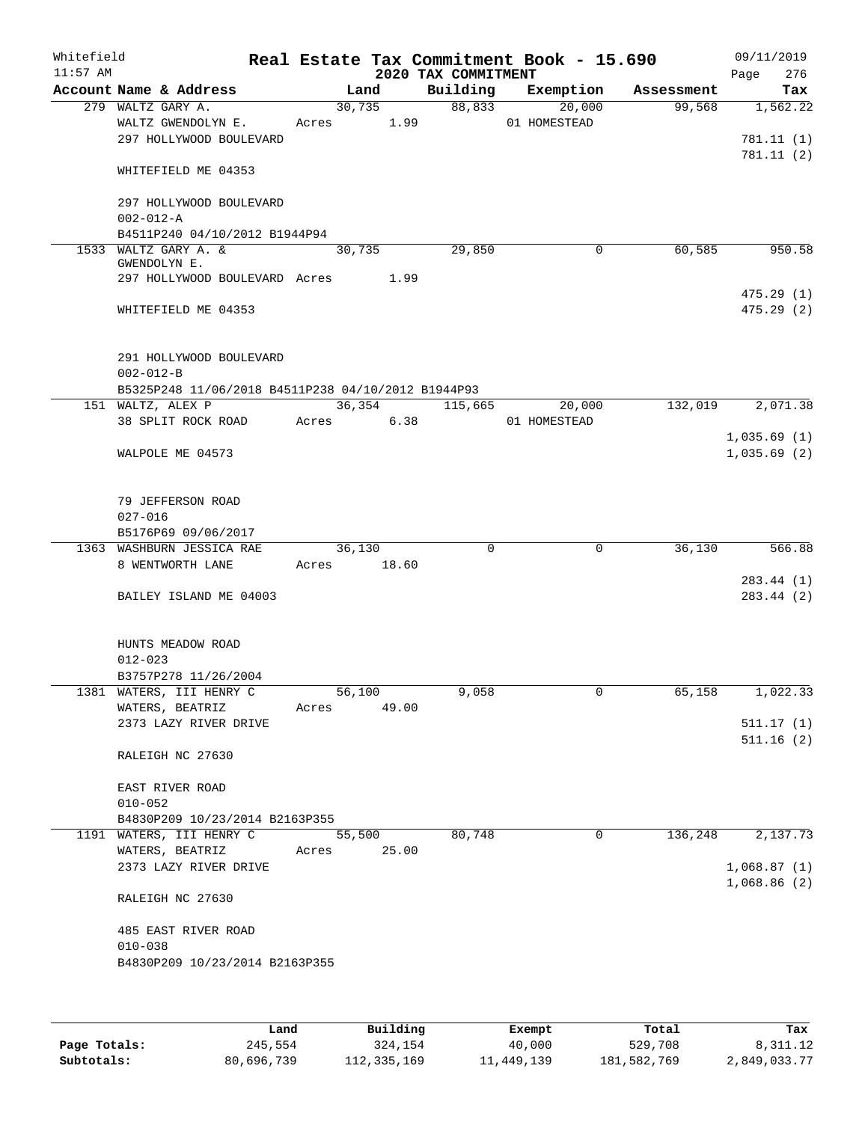| Whitefield<br>$11:57$ AM |                                                                             |       |                | 2020 TAX COMMITMENT | Real Estate Tax Commitment Book - 15.690 |            | 09/11/2019<br>276<br>Page  |
|--------------------------|-----------------------------------------------------------------------------|-------|----------------|---------------------|------------------------------------------|------------|----------------------------|
|                          | Account Name & Address                                                      |       | Land           | Building            | Exemption                                | Assessment | Tax                        |
|                          | 279 WALTZ GARY A.<br>WALTZ GWENDOLYN E.<br>297 HOLLYWOOD BOULEVARD          | Acres | 30,735<br>1.99 |                     | 88,833<br>20,000<br>01 HOMESTEAD         | 99,568     | 1,562.22<br>781.11 (1)     |
|                          | WHITEFIELD ME 04353                                                         |       |                |                     |                                          |            | 781.11(2)                  |
|                          | 297 HOLLYWOOD BOULEVARD<br>$002 - 012 - A$<br>B4511P240 04/10/2012 B1944P94 |       |                |                     |                                          |            |                            |
|                          | 1533 WALTZ GARY A. &                                                        |       | 30,735         | 29,850              | 0                                        | 60,585     | 950.58                     |
|                          | GWENDOLYN E.                                                                |       |                |                     |                                          |            |                            |
|                          | 297 HOLLYWOOD BOULEVARD Acres                                               |       | 1.99           |                     |                                          |            |                            |
|                          | WHITEFIELD ME 04353                                                         |       |                |                     |                                          |            | 475.29(1)<br>475.29(2)     |
|                          | 291 HOLLYWOOD BOULEVARD<br>$002 - 012 - B$                                  |       |                |                     |                                          |            |                            |
|                          | B5325P248 11/06/2018 B4511P238 04/10/2012 B1944P93                          |       |                |                     |                                          |            |                            |
|                          | 151 WALTZ, ALEX P                                                           |       | 36,354         | 115,665             | 20,000                                   | 132,019    | 2,071.38                   |
|                          | 38 SPLIT ROCK ROAD                                                          |       | Acres          | 6.38                | 01 HOMESTEAD                             |            |                            |
|                          | WALPOLE ME 04573                                                            |       |                |                     |                                          |            | 1,035.69(1)<br>1,035.69(2) |
|                          | 79 JEFFERSON ROAD<br>$027 - 016$<br>B5176P69 09/06/2017                     |       |                |                     |                                          |            |                            |
|                          | 1363 WASHBURN JESSICA RAE                                                   |       | 36,130         | 0                   | $\mathbf 0$                              | 36,130     | 566.88                     |
|                          | 8 WENTWORTH LANE                                                            | Acres | 18.60          |                     |                                          |            |                            |
|                          |                                                                             |       |                |                     |                                          |            | 283.44 (1)                 |
|                          | BAILEY ISLAND ME 04003                                                      |       |                |                     |                                          |            | 283.44 (2)                 |
|                          | HUNTS MEADOW ROAD<br>$012 - 023$                                            |       |                |                     |                                          |            |                            |
|                          | B3757P278 11/26/2004                                                        |       |                |                     |                                          |            |                            |
|                          | 1381 WATERS, III HENRY C                                                    |       | 56,100         | 9,058               | 0                                        | 65,158     | 1,022.33                   |
|                          | WATERS, BEATRIZ<br>2373 LAZY RIVER DRIVE                                    | Acres | 49.00          |                     |                                          |            | 511.17(1)                  |
|                          |                                                                             |       |                |                     |                                          |            | 511.16(2)                  |
|                          | RALEIGH NC 27630                                                            |       |                |                     |                                          |            |                            |
|                          | EAST RIVER ROAD                                                             |       |                |                     |                                          |            |                            |
|                          | $010 - 052$                                                                 |       |                |                     |                                          |            |                            |
|                          | B4830P209 10/23/2014 B2163P355                                              |       |                |                     |                                          |            |                            |
|                          | 1191 WATERS, III HENRY C                                                    |       | 55,500         | 80,748              | 0                                        | 136,248    | 2,137.73                   |
|                          | WATERS, BEATRIZ                                                             | Acres | 25.00          |                     |                                          |            |                            |
|                          | 2373 LAZY RIVER DRIVE<br>RALEIGH NC 27630                                   |       |                |                     |                                          |            | 1,068.87(1)<br>1,068.86(2) |
|                          |                                                                             |       |                |                     |                                          |            |                            |
|                          | 485 EAST RIVER ROAD<br>$010 - 038$                                          |       |                |                     |                                          |            |                            |
|                          | B4830P209 10/23/2014 B2163P355                                              |       |                |                     |                                          |            |                            |
|                          |                                                                             |       |                |                     |                                          |            |                            |

|              | Land       | Building    | Exempt     | Total       | Tax          |
|--------------|------------|-------------|------------|-------------|--------------|
| Page Totals: | 245,554    | 324,154     | 40,000     | 529,708     | 8,311.12     |
| Subtotals:   | 80,696,739 | 112,335,169 | 11,449,139 | 181,582,769 | 2,849,033.77 |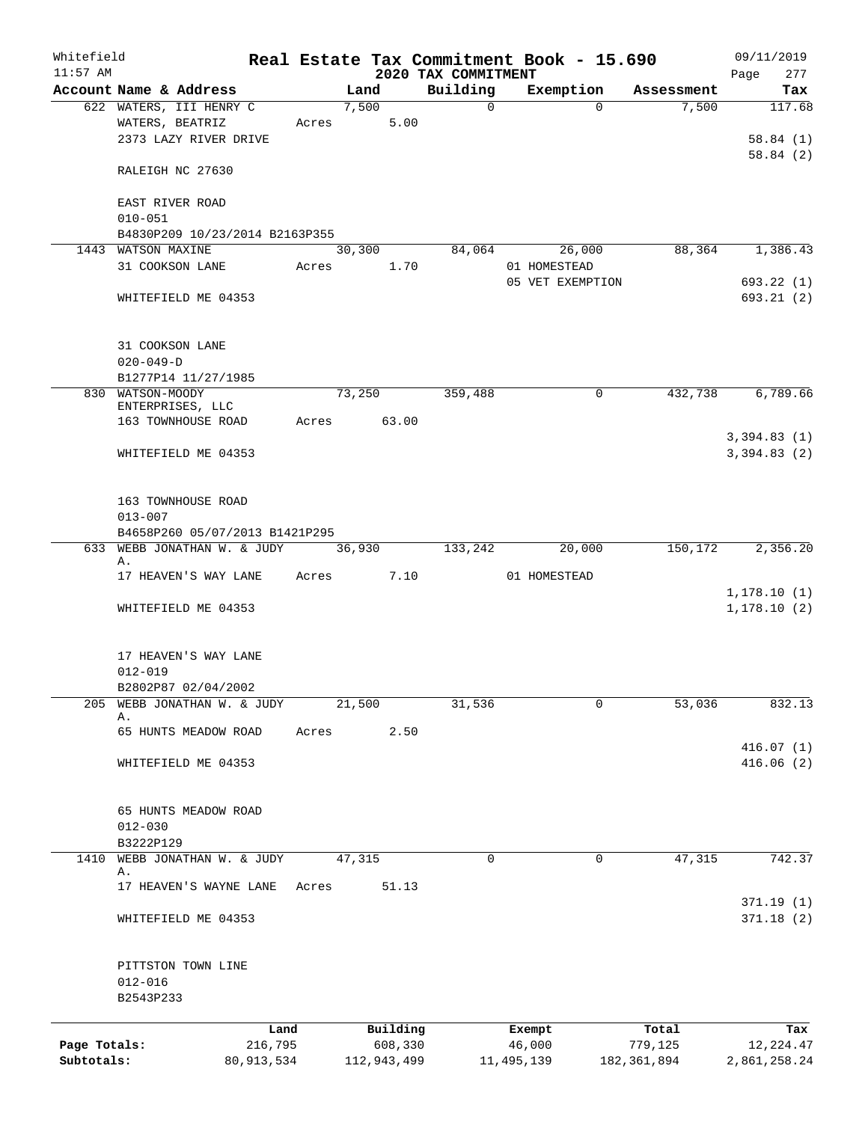| Whitefield<br>$11:57$ AM |                                |              |             |        |             | 2020 TAX COMMITMENT |              | Real Estate Tax Commitment Book - 15.690 |             | 09/11/2019<br>Page<br>277 |
|--------------------------|--------------------------------|--------------|-------------|--------|-------------|---------------------|--------------|------------------------------------------|-------------|---------------------------|
|                          | Account Name & Address         |              |             | Land   |             | Building            |              | Exemption                                | Assessment  | Tax                       |
|                          | 622 WATERS, III HENRY C        |              |             | 7,500  |             | $\Omega$            |              | $\Omega$                                 | 7,500       | 117.68                    |
|                          | WATERS, BEATRIZ                |              | Acres       |        | 5.00        |                     |              |                                          |             |                           |
|                          | 2373 LAZY RIVER DRIVE          |              |             |        |             |                     |              |                                          |             | 58.84(1)                  |
|                          |                                |              |             |        |             |                     |              |                                          |             | 58.84(2)                  |
|                          | RALEIGH NC 27630               |              |             |        |             |                     |              |                                          |             |                           |
|                          |                                |              |             |        |             |                     |              |                                          |             |                           |
|                          | EAST RIVER ROAD                |              |             |        |             |                     |              |                                          |             |                           |
|                          | $010 - 051$                    |              |             |        |             |                     |              |                                          |             |                           |
|                          | B4830P209 10/23/2014 B2163P355 |              |             |        |             |                     |              |                                          |             |                           |
|                          | 1443 WATSON MAXINE             |              |             | 30,300 |             | 84,064              |              | 26,000                                   | 88,364      | 1,386.43                  |
|                          | 31 COOKSON LANE                |              | Acres       |        | 1.70        |                     |              | 01 HOMESTEAD                             |             |                           |
|                          |                                |              |             |        |             |                     |              | 05 VET EXEMPTION                         |             | 693.22(1)                 |
|                          | WHITEFIELD ME 04353            |              |             |        |             |                     |              |                                          |             | 693.21(2)                 |
|                          | 31 COOKSON LANE                |              |             |        |             |                     |              |                                          |             |                           |
|                          | $020 - 049 - D$                |              |             |        |             |                     |              |                                          |             |                           |
|                          | B1277P14 11/27/1985            |              |             |        |             |                     |              |                                          |             |                           |
|                          | 830 WATSON-MOODY               |              |             | 73,250 |             | 359,488             |              | 0                                        | 432,738     | 6,789.66                  |
|                          | ENTERPRISES, LLC               |              |             |        |             |                     |              |                                          |             |                           |
|                          | 163 TOWNHOUSE ROAD             |              | Acres 63.00 |        |             |                     |              |                                          |             |                           |
|                          |                                |              |             |        |             |                     |              |                                          |             | 3,394.83(1)               |
|                          | WHITEFIELD ME 04353            |              |             |        |             |                     |              |                                          |             | 3,394.83(2)               |
|                          | 163 TOWNHOUSE ROAD             |              |             |        |             |                     |              |                                          |             |                           |
|                          | $013 - 007$                    |              |             |        |             |                     |              |                                          |             |                           |
|                          | B4658P260 05/07/2013 B1421P295 |              |             |        |             |                     |              |                                          |             |                           |
| 633                      | WEBB JONATHAN W. & JUDY        |              |             | 36,930 |             | 133,242             |              | 20,000                                   | 150,172     | 2,356.20                  |
|                          | Α.                             |              |             |        |             |                     |              |                                          |             |                           |
|                          | 17 HEAVEN'S WAY LANE           |              | Acres       |        | 7.10        |                     |              | 01 HOMESTEAD                             |             |                           |
|                          |                                |              |             |        |             |                     |              |                                          |             | 1, 178.10(1)              |
|                          | WHITEFIELD ME 04353            |              |             |        |             |                     |              |                                          |             | 1, 178.10(2)              |
|                          |                                |              |             |        |             |                     |              |                                          |             |                           |
|                          | 17 HEAVEN'S WAY LANE           |              |             |        |             |                     |              |                                          |             |                           |
|                          | $012 - 019$                    |              |             |        |             |                     |              |                                          |             |                           |
|                          | B2802P87 02/04/2002            |              |             |        |             |                     |              |                                          |             |                           |
| 205                      | WEBB JONATHAN W. & JUDY        |              |             | 21,500 |             | 31,536              |              | 0                                        | 53,036      | 832.13                    |
|                          | Α.                             |              |             |        |             |                     |              |                                          |             |                           |
|                          | 65 HUNTS MEADOW ROAD           |              | Acres       |        | 2.50        |                     |              |                                          |             |                           |
|                          |                                |              |             |        |             |                     |              |                                          |             | 416.07(1)                 |
|                          | WHITEFIELD ME 04353            |              |             |        |             |                     |              |                                          |             | 416.06(2)                 |
|                          | 65 HUNTS MEADOW ROAD           |              |             |        |             |                     |              |                                          |             |                           |
|                          | $012 - 030$                    |              |             |        |             |                     |              |                                          |             |                           |
|                          | B3222P129                      |              |             |        |             |                     |              |                                          |             |                           |
| 1410                     | WEBB JONATHAN W. & JUDY        |              |             | 47,315 |             | 0                   |              | 0                                        | 47,315      | 742.37                    |
|                          | Α.                             |              |             |        |             |                     |              |                                          |             |                           |
|                          | 17 HEAVEN'S WAYNE LANE         |              | Acres       |        | 51.13       |                     |              |                                          |             |                           |
|                          | WHITEFIELD ME 04353            |              |             |        |             |                     |              |                                          |             | 371.19(1)<br>371.18(2)    |
|                          |                                |              |             |        |             |                     |              |                                          |             |                           |
|                          | PITTSTON TOWN LINE             |              |             |        |             |                     |              |                                          |             |                           |
|                          | $012 - 016$                    |              |             |        |             |                     |              |                                          |             |                           |
|                          | B2543P233                      |              |             |        |             |                     |              |                                          |             |                           |
|                          |                                | Land         |             |        | Building    |                     | Exempt       |                                          | Total       | Tax                       |
| Page Totals:             |                                | 216,795      |             |        | 608,330     |                     | 46,000       |                                          | 779,125     | 12, 224.47                |
| Subtotals:               |                                | 80, 913, 534 |             |        | 112,943,499 |                     | 11, 495, 139 |                                          | 182,361,894 | 2,861,258.24              |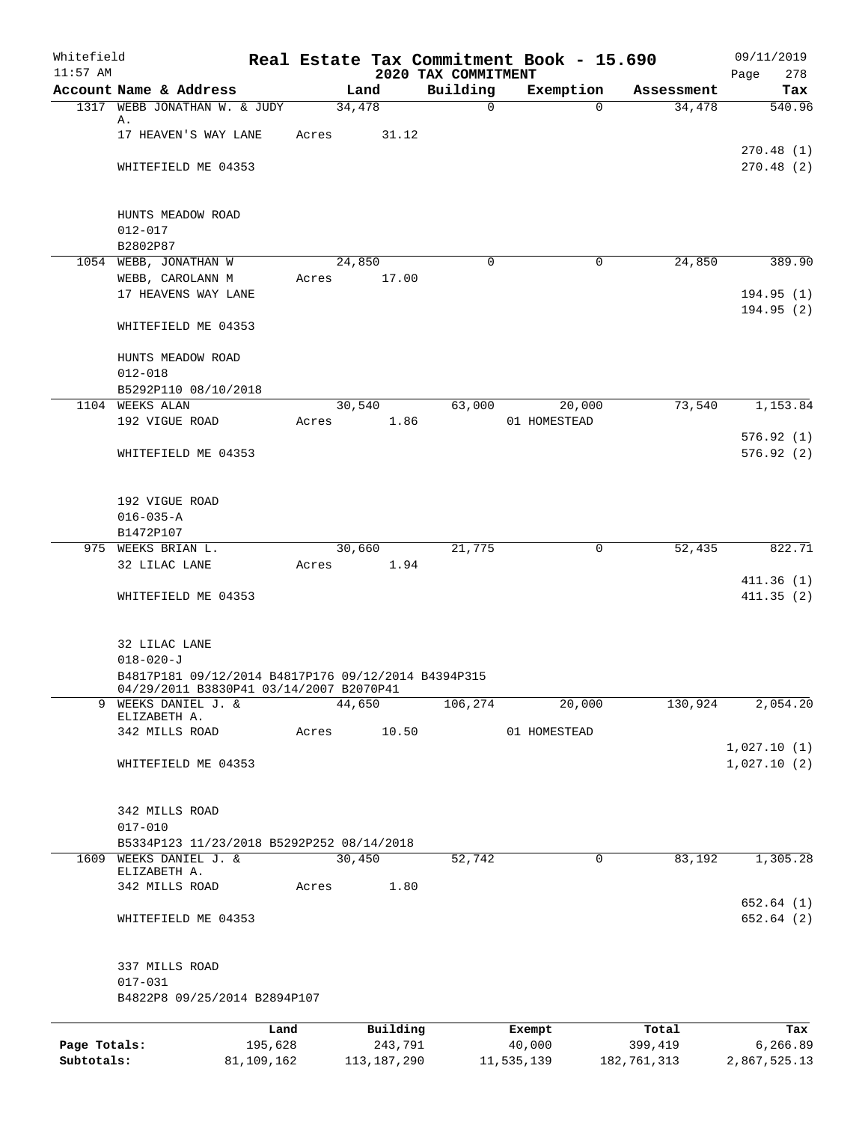| Whitefield<br>$11:57$ AM |                                                              |            |        |             | 2020 TAX COMMITMENT | Real Estate Tax Commitment Book - 15.690 |             | 09/11/2019<br>278<br>Page |
|--------------------------|--------------------------------------------------------------|------------|--------|-------------|---------------------|------------------------------------------|-------------|---------------------------|
|                          | Account Name & Address                                       |            | Land   |             | Building            | Exemption                                | Assessment  | Tax                       |
|                          | 1317 WEBB JONATHAN W. & JUDY                                 |            | 34,478 |             | $\mathbf 0$         | $\Omega$                                 | 34,478      | 540.96                    |
|                          | Α.                                                           |            |        |             |                     |                                          |             |                           |
|                          | 17 HEAVEN'S WAY LANE                                         | Acres      |        | 31.12       |                     |                                          |             | 270.48(1)                 |
|                          | WHITEFIELD ME 04353                                          |            |        |             |                     |                                          |             | 270.48(2)                 |
|                          |                                                              |            |        |             |                     |                                          |             |                           |
|                          |                                                              |            |        |             |                     |                                          |             |                           |
|                          | HUNTS MEADOW ROAD<br>$012 - 017$                             |            |        |             |                     |                                          |             |                           |
|                          | B2802P87                                                     |            |        |             |                     |                                          |             |                           |
|                          | 1054 WEBB, JONATHAN W                                        |            | 24,850 |             | $\Omega$            | 0                                        | 24,850      | 389.90                    |
|                          | WEBB, CAROLANN M                                             | Acres      |        | 17.00       |                     |                                          |             |                           |
|                          | 17 HEAVENS WAY LANE                                          |            |        |             |                     |                                          |             | 194.95(1)                 |
|                          |                                                              |            |        |             |                     |                                          |             | 194.95(2)                 |
|                          | WHITEFIELD ME 04353                                          |            |        |             |                     |                                          |             |                           |
|                          | HUNTS MEADOW ROAD                                            |            |        |             |                     |                                          |             |                           |
|                          | $012 - 018$                                                  |            |        |             |                     |                                          |             |                           |
|                          | B5292P110 08/10/2018                                         |            |        |             |                     |                                          |             |                           |
|                          | 1104 WEEKS ALAN                                              |            | 30,540 |             | 63,000              | 20,000                                   | 73,540      | 1,153.84                  |
|                          | 192 VIGUE ROAD                                               | Acres      |        | 1.86        |                     | 01 HOMESTEAD                             |             |                           |
|                          |                                                              |            |        |             |                     |                                          |             | 576.92(1)                 |
|                          | WHITEFIELD ME 04353                                          |            |        |             |                     |                                          |             | 576.92(2)                 |
|                          |                                                              |            |        |             |                     |                                          |             |                           |
|                          | 192 VIGUE ROAD                                               |            |        |             |                     |                                          |             |                           |
|                          | $016 - 035 - A$                                              |            |        |             |                     |                                          |             |                           |
|                          | B1472P107                                                    |            |        |             |                     |                                          |             |                           |
|                          | 975 WEEKS BRIAN L.                                           |            | 30,660 |             | 21,775              | 0                                        | 52,435      | 822.71                    |
|                          | 32 LILAC LANE                                                | Acres      |        | 1.94        |                     |                                          |             |                           |
|                          |                                                              |            |        |             |                     |                                          |             | 411.36(1)                 |
|                          | WHITEFIELD ME 04353                                          |            |        |             |                     |                                          |             | 411.35(2)                 |
|                          |                                                              |            |        |             |                     |                                          |             |                           |
|                          | 32 LILAC LANE                                                |            |        |             |                     |                                          |             |                           |
|                          | $018 - 020 - J$                                              |            |        |             |                     |                                          |             |                           |
|                          | B4817P181 09/12/2014 B4817P176 09/12/2014 B4394P315          |            |        |             |                     |                                          |             |                           |
| 9                        | 04/29/2011 B3830P41 03/14/2007 B2070P41<br>WEEKS DANIEL J. & |            | 44,650 |             | 106,274             | 20,000                                   | 130,924     | 2,054.20                  |
|                          | ELIZABETH A.                                                 |            |        |             |                     |                                          |             |                           |
|                          | 342 MILLS ROAD                                               | Acres      |        | 10.50       |                     | 01 HOMESTEAD                             |             |                           |
|                          |                                                              |            |        |             |                     |                                          |             | 1,027.10(1)               |
|                          | WHITEFIELD ME 04353                                          |            |        |             |                     |                                          |             | 1,027.10(2)               |
|                          |                                                              |            |        |             |                     |                                          |             |                           |
|                          | 342 MILLS ROAD                                               |            |        |             |                     |                                          |             |                           |
|                          | $017 - 010$                                                  |            |        |             |                     |                                          |             |                           |
|                          | B5334P123 11/23/2018 B5292P252 08/14/2018                    |            |        |             |                     |                                          |             |                           |
|                          | 1609 WEEKS DANIEL J. &<br>ELIZABETH A.                       |            | 30,450 |             | 52,742              | 0                                        | 83,192      | 1,305.28                  |
|                          | 342 MILLS ROAD                                               | Acres      |        | 1.80        |                     |                                          |             |                           |
|                          |                                                              |            |        |             |                     |                                          |             | 652.64(1)                 |
|                          | WHITEFIELD ME 04353                                          |            |        |             |                     |                                          |             | 652.64(2)                 |
|                          |                                                              |            |        |             |                     |                                          |             |                           |
|                          | 337 MILLS ROAD                                               |            |        |             |                     |                                          |             |                           |
|                          | $017 - 031$<br>B4822P8 09/25/2014 B2894P107                  |            |        |             |                     |                                          |             |                           |
|                          |                                                              |            |        |             |                     |                                          |             |                           |
|                          |                                                              | Land       |        | Building    |                     | Exempt                                   | Total       | Tax                       |
| Page Totals:             |                                                              | 195,628    |        | 243,791     |                     | 40,000                                   | 399,419     | 6,266.89                  |
| Subtotals:               |                                                              | 81,109,162 |        | 113,187,290 |                     | 11,535,139                               | 182,761,313 | 2,867,525.13              |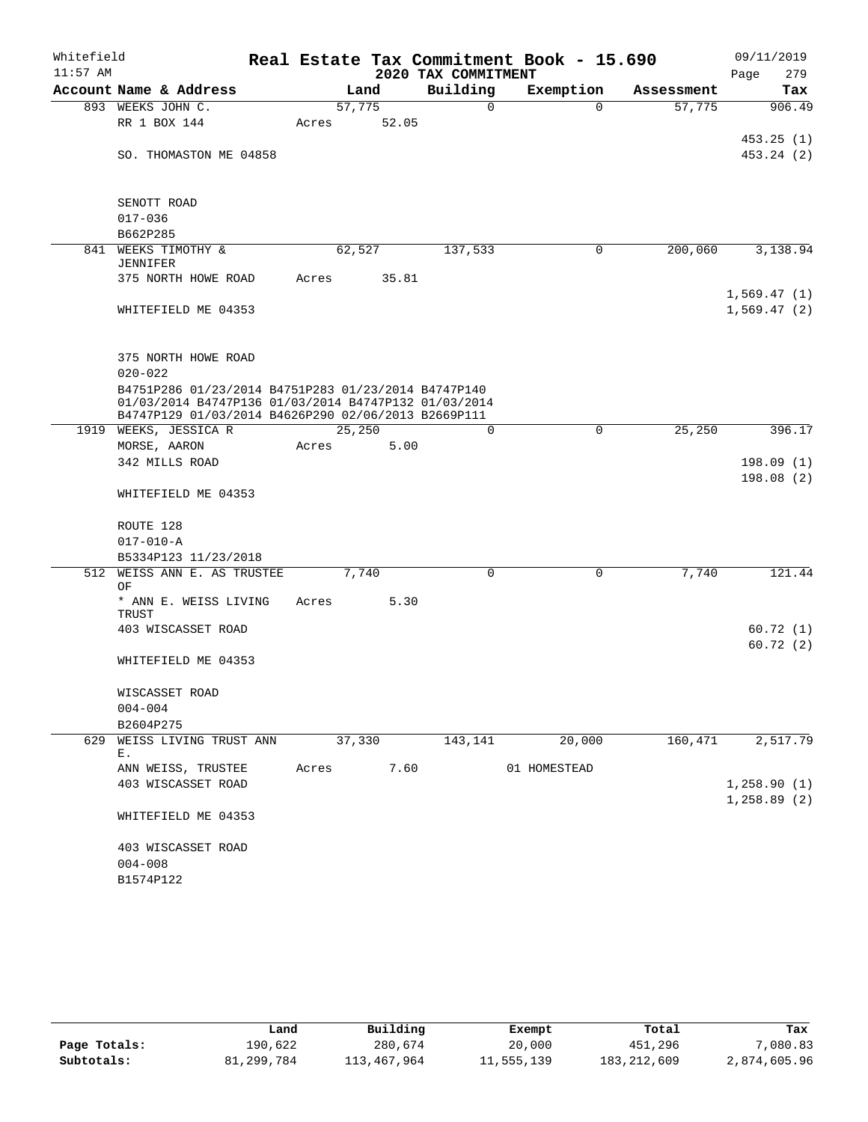| Whitefield |                                                                                                             |       |        |       |                     | Real Estate Tax Commitment Book - 15.690 |                       |      | 09/11/2019                 |
|------------|-------------------------------------------------------------------------------------------------------------|-------|--------|-------|---------------------|------------------------------------------|-----------------------|------|----------------------------|
| $11:57$ AM |                                                                                                             |       |        |       | 2020 TAX COMMITMENT |                                          |                       | Page | 279                        |
|            | Account Name & Address                                                                                      |       | Land   |       | Building            | Exemption                                | Assessment            |      | Tax                        |
|            | 893 WEEKS JOHN C.                                                                                           |       | 57,775 |       | $\mathbf 0$         |                                          | 57,775<br>$\Omega$    |      | 906.49                     |
|            | RR 1 BOX 144                                                                                                | Acres |        | 52.05 |                     |                                          |                       |      |                            |
|            | SO. THOMASTON ME 04858                                                                                      |       |        |       |                     |                                          |                       |      | 453.25(1)<br>453.24 (2)    |
|            |                                                                                                             |       |        |       |                     |                                          |                       |      |                            |
|            | SENOTT ROAD                                                                                                 |       |        |       |                     |                                          |                       |      |                            |
|            | $017 - 036$                                                                                                 |       |        |       |                     |                                          |                       |      |                            |
|            | B662P285                                                                                                    |       |        |       |                     |                                          |                       |      |                            |
|            | 841 WEEKS TIMOTHY &<br><b>JENNIFER</b>                                                                      |       | 62,527 |       | 137,533             |                                          | 200,060<br>0          |      | 3,138.94                   |
|            | 375 NORTH HOWE ROAD                                                                                         | Acres |        | 35.81 |                     |                                          |                       |      |                            |
|            | WHITEFIELD ME 04353                                                                                         |       |        |       |                     |                                          |                       |      | 1,569.47(1)<br>1,569.47(2) |
|            |                                                                                                             |       |        |       |                     |                                          |                       |      |                            |
|            | 375 NORTH HOWE ROAD                                                                                         |       |        |       |                     |                                          |                       |      |                            |
|            | $020 - 022$<br>B4751P286 01/23/2014 B4751P283 01/23/2014 B4747P140                                          |       |        |       |                     |                                          |                       |      |                            |
|            | 01/03/2014 B4747P136 01/03/2014 B4747P132 01/03/2014<br>B4747P129 01/03/2014 B4626P290 02/06/2013 B2669P111 |       |        |       |                     |                                          |                       |      |                            |
|            | 1919 WEEKS, JESSICA R                                                                                       |       | 25,250 |       | $\mathbf 0$         |                                          | $\mathbf 0$<br>25,250 |      | 396.17                     |
|            | MORSE, AARON                                                                                                | Acres |        | 5.00  |                     |                                          |                       |      |                            |
|            | 342 MILLS ROAD                                                                                              |       |        |       |                     |                                          |                       |      | 198.09(1)                  |
|            | WHITEFIELD ME 04353                                                                                         |       |        |       |                     |                                          |                       |      | 198.08(2)                  |
|            | ROUTE 128                                                                                                   |       |        |       |                     |                                          |                       |      |                            |
|            | $017 - 010 - A$                                                                                             |       |        |       |                     |                                          |                       |      |                            |
|            | B5334P123 11/23/2018                                                                                        |       |        |       |                     |                                          |                       |      |                            |
| 512        | WEISS ANN E. AS TRUSTEE<br>ΟF                                                                               |       | 7,740  |       | $\mathbf 0$         |                                          | $\mathsf{O}$<br>7,740 |      | 121.44                     |
|            | * ANN E. WEISS LIVING<br>TRUST                                                                              | Acres |        | 5.30  |                     |                                          |                       |      |                            |
|            | 403 WISCASSET ROAD                                                                                          |       |        |       |                     |                                          |                       |      | 60.72(1)                   |
|            | WHITEFIELD ME 04353                                                                                         |       |        |       |                     |                                          |                       |      | 60.72(2)                   |
|            |                                                                                                             |       |        |       |                     |                                          |                       |      |                            |
|            | WISCASSET ROAD<br>$004 - 004$                                                                               |       |        |       |                     |                                          |                       |      |                            |
|            | B2604P275                                                                                                   |       |        |       |                     |                                          |                       |      |                            |
| 629        | WEISS LIVING TRUST ANN                                                                                      |       | 37,330 |       | 143,141             | 20,000                                   | 160,471               |      | 2, 517.79                  |
|            | Ε.                                                                                                          |       |        |       |                     |                                          |                       |      |                            |
|            | ANN WEISS, TRUSTEE                                                                                          | Acres |        | 7.60  |                     | 01 HOMESTEAD                             |                       |      |                            |
|            | 403 WISCASSET ROAD                                                                                          |       |        |       |                     |                                          |                       |      | 1,258.90(1)<br>1,258.89(2) |
|            | WHITEFIELD ME 04353                                                                                         |       |        |       |                     |                                          |                       |      |                            |
|            | 403 WISCASSET ROAD                                                                                          |       |        |       |                     |                                          |                       |      |                            |
|            | $004 - 008$                                                                                                 |       |        |       |                     |                                          |                       |      |                            |
|            | B1574P122                                                                                                   |       |        |       |                     |                                          |                       |      |                            |

|              | Land       | Building    | Exempt     | Total         | Tax          |
|--------------|------------|-------------|------------|---------------|--------------|
| Page Totals: | 190,622    | 280,674     | 20,000     | 451,296       | 7,080.83     |
| Subtotals:   | 81,299,784 | 113,467,964 | 11,555,139 | 183, 212, 609 | 2,874,605.96 |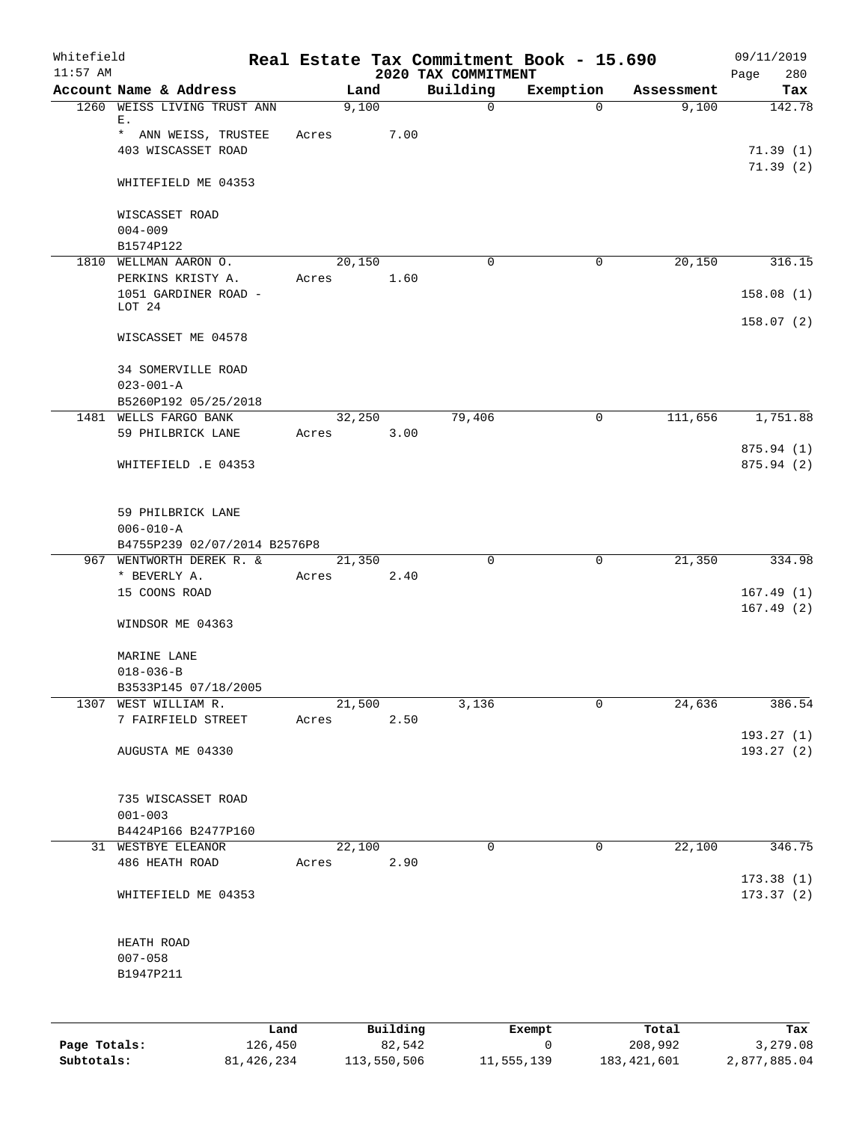| Whitefield<br>$11:57$ AM |                                                 |       |                      |      | 2020 TAX COMMITMENT | Real Estate Tax Commitment Book - 15.690 |            | 09/11/2019<br>Page<br>280 |
|--------------------------|-------------------------------------------------|-------|----------------------|------|---------------------|------------------------------------------|------------|---------------------------|
|                          | Account Name & Address                          |       | Land                 |      | Building            | Exemption                                | Assessment | Tax                       |
|                          | 1260 WEISS LIVING TRUST ANN<br>Е.               |       | 9,100                |      | $\mathsf{O}$        | $\Omega$                                 | 9,100      | 142.78                    |
|                          | * ANN WEISS, TRUSTEE                            | Acres |                      | 7.00 |                     |                                          |            |                           |
|                          | 403 WISCASSET ROAD                              |       |                      |      |                     |                                          |            | 71.39(1)                  |
|                          | WHITEFIELD ME 04353                             |       |                      |      |                     |                                          |            | 71.39(2)                  |
|                          | WISCASSET ROAD                                  |       |                      |      |                     |                                          |            |                           |
|                          | $004 - 009$<br>B1574P122                        |       |                      |      |                     |                                          |            |                           |
|                          | 1810 WELLMAN AARON O.                           |       | 20,150               |      | $\mathbf 0$         | $\mathbf 0$                              | 20,150     | 316.15                    |
|                          | PERKINS KRISTY A.                               | Acres |                      | 1.60 |                     |                                          |            |                           |
|                          | 1051 GARDINER ROAD -<br>LOT 24                  |       |                      |      |                     |                                          |            | 158.08(1)                 |
|                          | WISCASSET ME 04578                              |       |                      |      |                     |                                          |            | 158.07(2)                 |
|                          | <b>34 SOMERVILLE ROAD</b>                       |       |                      |      |                     |                                          |            |                           |
|                          | $023 - 001 - A$                                 |       |                      |      |                     |                                          |            |                           |
|                          | B5260P192 05/25/2018<br>1481 WELLS FARGO BANK   |       | 32,250               |      | 79,406              | $\mathbf 0$                              | 111,656    | 1,751.88                  |
|                          | 59 PHILBRICK LANE                               | Acres |                      | 3.00 |                     |                                          |            |                           |
|                          |                                                 |       |                      |      |                     |                                          |            | 875.94 (1)                |
|                          | WHITEFIELD .E 04353                             |       |                      |      |                     |                                          |            | 875.94 (2)                |
|                          | 59 PHILBRICK LANE                               |       |                      |      |                     |                                          |            |                           |
|                          | $006 - 010 - A$<br>B4755P239 02/07/2014 B2576P8 |       |                      |      |                     |                                          |            |                           |
|                          | 967 WENTWORTH DEREK R. &                        |       | 21,350               |      | $\mathbf 0$         | 0                                        | 21,350     | 334.98                    |
|                          | * BEVERLY A.                                    | Acres |                      | 2.40 |                     |                                          |            |                           |
|                          | 15 COONS ROAD                                   |       |                      |      |                     |                                          |            | 167.49(1)                 |
|                          | WINDSOR ME 04363                                |       |                      |      |                     |                                          |            | 167.49(2)                 |
|                          | MARINE LANE                                     |       |                      |      |                     |                                          |            |                           |
|                          | $018 - 036 - B$                                 |       |                      |      |                     |                                          |            |                           |
|                          | B3533P145 07/18/2005                            |       |                      |      |                     |                                          |            |                           |
|                          | 1307 WEST WILLIAM R.<br>7 FAIRFIELD STREET      |       | 21,500<br>Acres 2.50 |      | 3,136               | $\mathbf 0$                              | 24,636     | 386.54                    |
|                          |                                                 |       |                      |      |                     |                                          |            | 193.27(1)                 |
|                          | AUGUSTA ME 04330                                |       |                      |      |                     |                                          |            | 193.27(2)                 |
|                          | 735 WISCASSET ROAD                              |       |                      |      |                     |                                          |            |                           |
|                          | $001 - 003$                                     |       |                      |      |                     |                                          |            |                           |
|                          | B4424P166 B2477P160<br>31 WESTBYE ELEANOR       |       | 22,100               |      | 0                   | 0                                        | 22,100     | 346.75                    |
|                          | 486 HEATH ROAD                                  |       | Acres 2.90           |      |                     |                                          |            |                           |
|                          |                                                 |       |                      |      |                     |                                          |            | 173.38(1)                 |
|                          | WHITEFIELD ME 04353                             |       |                      |      |                     |                                          |            | 173.37(2)                 |
|                          | HEATH ROAD                                      |       |                      |      |                     |                                          |            |                           |
|                          | $007 - 058$                                     |       |                      |      |                     |                                          |            |                           |
|                          | B1947P211                                       |       |                      |      |                     |                                          |            |                           |
|                          |                                                 |       |                      |      |                     |                                          |            |                           |
|                          |                                                 | Land  | Building             |      |                     | Exempt                                   | Total      | Tax                       |

|              | Land       | Building    | Exempt     | Total       | Tax          |
|--------------|------------|-------------|------------|-------------|--------------|
| Page Totals: | 126,450    | 82,542      |            | 208,992     | 3,279.08     |
| Subtotals:   | 81,426,234 | 113,550,506 | 11,555,139 | 183,421,601 | 2,877,885.04 |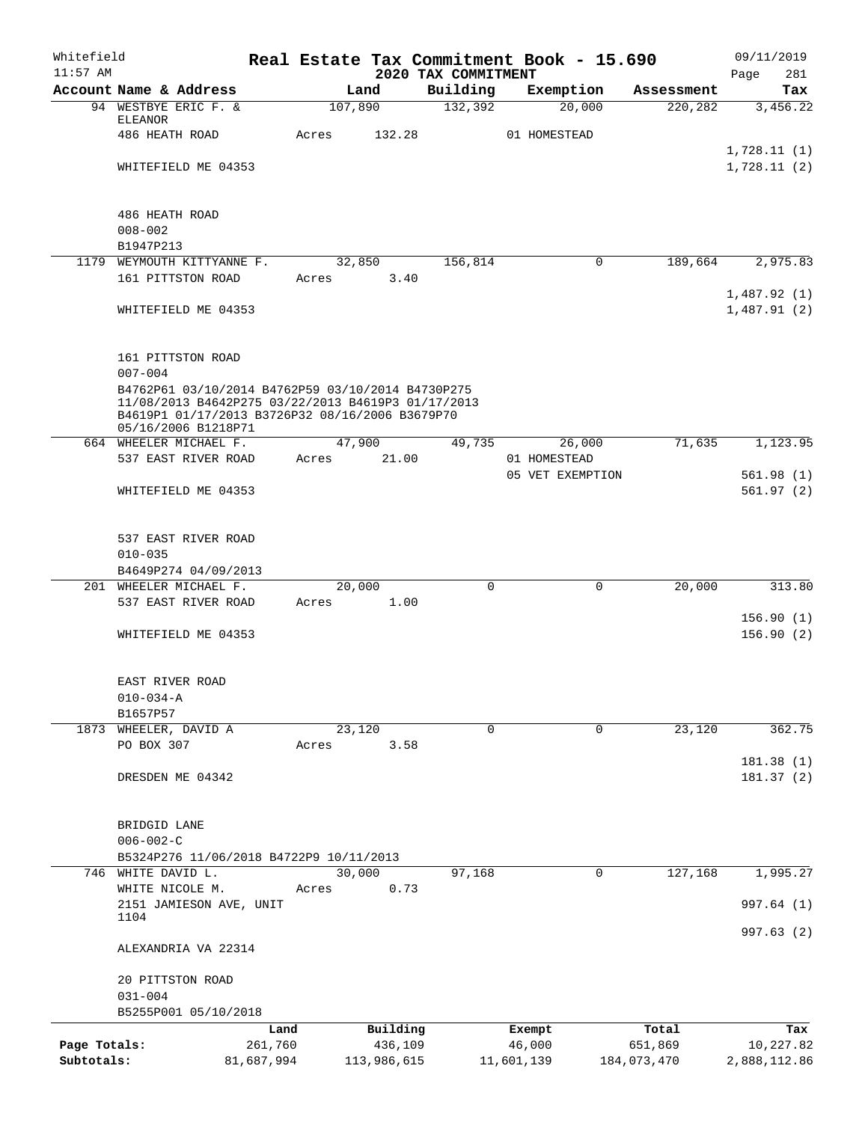| Whitefield<br>$11:57$ AM |                                                                                                                                                                                                  |            |                | 2020 TAX COMMITMENT | Real Estate Tax Commitment Book - 15.690 |                |             | 09/11/2019<br>281<br>Page  |
|--------------------------|--------------------------------------------------------------------------------------------------------------------------------------------------------------------------------------------------|------------|----------------|---------------------|------------------------------------------|----------------|-------------|----------------------------|
|                          | Account Name & Address                                                                                                                                                                           |            | Land           | Building            | Exemption                                |                | Assessment  | Tax                        |
|                          | 94 WESTBYE ERIC F. &                                                                                                                                                                             |            | 107,890        | 132,392             | 20,000                                   |                | 220,282     | 3,456.22                   |
|                          | <b>ELEANOR</b><br>486 HEATH ROAD                                                                                                                                                                 | Acres      | 132.28         |                     | 01 HOMESTEAD                             |                |             |                            |
|                          |                                                                                                                                                                                                  |            |                |                     |                                          |                |             | 1,728.11(1)                |
|                          | WHITEFIELD ME 04353                                                                                                                                                                              |            |                |                     |                                          |                |             | 1,728.11(2)                |
|                          | 486 HEATH ROAD                                                                                                                                                                                   |            |                |                     |                                          |                |             |                            |
|                          | $008 - 002$                                                                                                                                                                                      |            |                |                     |                                          |                |             |                            |
|                          | B1947P213                                                                                                                                                                                        |            |                |                     |                                          |                |             |                            |
|                          | 1179 WEYMOUTH KITTYANNE F.                                                                                                                                                                       |            | 32,850         | 156,814             |                                          | 0              | 189,664     | 2,975.83                   |
|                          | 161 PITTSTON ROAD                                                                                                                                                                                |            | 3.40<br>Acres  |                     |                                          |                |             |                            |
|                          | WHITEFIELD ME 04353                                                                                                                                                                              |            |                |                     |                                          |                |             | 1,487.92(1)<br>1,487.91(2) |
|                          | 161 PITTSTON ROAD                                                                                                                                                                                |            |                |                     |                                          |                |             |                            |
|                          | $007 - 004$<br>B4762P61 03/10/2014 B4762P59 03/10/2014 B4730P275<br>11/08/2013 B4642P275 03/22/2013 B4619P3 01/17/2013<br>B4619P1 01/17/2013 B3726P32 08/16/2006 B3679P70<br>05/16/2006 B1218P71 |            |                |                     |                                          |                |             |                            |
|                          | 664 WHEELER MICHAEL F.                                                                                                                                                                           |            | 47,900         | 49,735              | 26,000                                   |                | 71,635      | 1,123.95                   |
|                          | 537 EAST RIVER ROAD                                                                                                                                                                              | Acres      | 21.00          |                     | 01 HOMESTEAD                             |                |             |                            |
|                          |                                                                                                                                                                                                  |            |                |                     | 05 VET EXEMPTION                         |                |             | 561.98(1)                  |
|                          | WHITEFIELD ME 04353                                                                                                                                                                              |            |                |                     |                                          |                |             | 561.97(2)                  |
|                          | 537 EAST RIVER ROAD                                                                                                                                                                              |            |                |                     |                                          |                |             |                            |
|                          | $010 - 035$                                                                                                                                                                                      |            |                |                     |                                          |                |             |                            |
|                          | B4649P274 04/09/2013                                                                                                                                                                             |            |                |                     |                                          |                |             |                            |
|                          | 201 WHEELER MICHAEL F.<br>537 EAST RIVER ROAD                                                                                                                                                    | Acres      | 20,000<br>1.00 | 0                   |                                          | $\overline{0}$ | 20,000      | 313.80                     |
|                          |                                                                                                                                                                                                  |            |                |                     |                                          |                |             | 156.90(1)                  |
|                          | WHITEFIELD ME 04353                                                                                                                                                                              |            |                |                     |                                          |                |             | 156.90(2)                  |
|                          | EAST RIVER ROAD                                                                                                                                                                                  |            |                |                     |                                          |                |             |                            |
|                          | $010 - 034 - A$                                                                                                                                                                                  |            |                |                     |                                          |                |             |                            |
|                          | B1657P57                                                                                                                                                                                         |            |                |                     |                                          |                |             |                            |
|                          | 1873 WHEELER, DAVID A                                                                                                                                                                            |            | 23,120         | $\Omega$            |                                          | 0              | 23,120      | 362.75                     |
|                          | PO BOX 307                                                                                                                                                                                       | Acres      | 3.58           |                     |                                          |                |             | 181.38 (1)                 |
|                          | DRESDEN ME 04342                                                                                                                                                                                 |            |                |                     |                                          |                |             | 181.37(2)                  |
|                          | BRIDGID LANE                                                                                                                                                                                     |            |                |                     |                                          |                |             |                            |
|                          | $006 - 002 - C$<br>B5324P276 11/06/2018 B4722P9 10/11/2013                                                                                                                                       |            |                |                     |                                          |                |             |                            |
|                          | 746 WHITE DAVID L.                                                                                                                                                                               |            | 30,000         | 97,168              |                                          | $\mathbf 0$    | 127,168     | 1,995.27                   |
|                          | WHITE NICOLE M.                                                                                                                                                                                  | Acres      | 0.73           |                     |                                          |                |             |                            |
|                          | 2151 JAMIESON AVE, UNIT                                                                                                                                                                          |            |                |                     |                                          |                |             | 997.64 (1)                 |
|                          | 1104                                                                                                                                                                                             |            |                |                     |                                          |                |             | 997.63 (2)                 |
|                          | ALEXANDRIA VA 22314                                                                                                                                                                              |            |                |                     |                                          |                |             |                            |
|                          | 20 PITTSTON ROAD<br>$031 - 004$                                                                                                                                                                  |            |                |                     |                                          |                |             |                            |
|                          | B5255P001 05/10/2018                                                                                                                                                                             |            |                |                     |                                          |                |             |                            |
|                          |                                                                                                                                                                                                  | Land       | Building       |                     | Exempt                                   |                | Total       | Tax                        |
| Page Totals:             |                                                                                                                                                                                                  | 261,760    | 436,109        |                     | 46,000                                   |                | 651,869     | 10,227.82                  |
| Subtotals:               |                                                                                                                                                                                                  | 81,687,994 | 113,986,615    |                     | 11,601,139                               |                | 184,073,470 | 2,888,112.86               |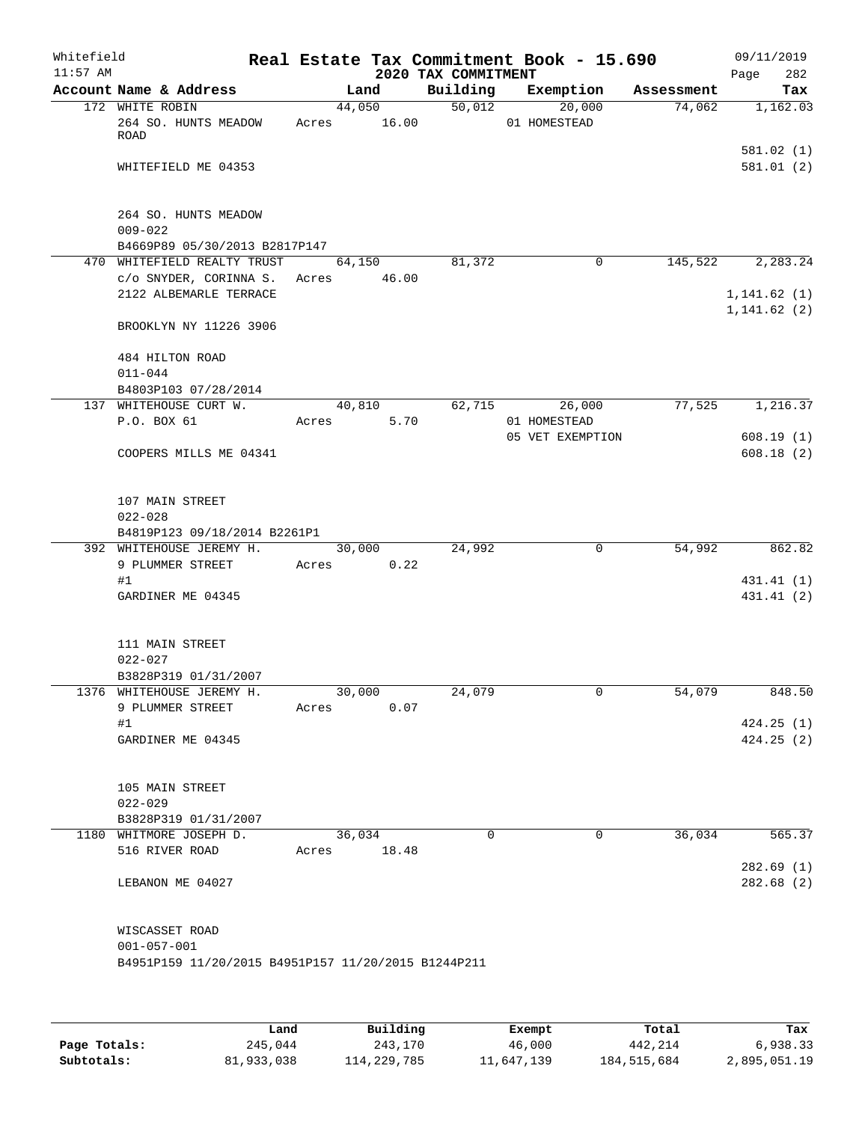| Whitefield<br>$11:57$ AM |                                                                                            |       |                 | 2020 TAX COMMITMENT | Real Estate Tax Commitment Book - 15.690 |            | 09/11/2019<br>282<br>Page |
|--------------------------|--------------------------------------------------------------------------------------------|-------|-----------------|---------------------|------------------------------------------|------------|---------------------------|
|                          | Account Name & Address                                                                     |       | Land            | Building            | Exemption                                | Assessment | Tax                       |
|                          | 172 WHITE ROBIN<br>264 SO. HUNTS MEADOW<br>ROAD                                            | Acres | 44,050<br>16.00 | 50,012              | 20,000<br>01 HOMESTEAD                   | 74,062     | 1,162.03                  |
|                          | WHITEFIELD ME 04353                                                                        |       |                 |                     |                                          |            | 581.02(1)<br>581.01(2)    |
|                          | 264 SO. HUNTS MEADOW<br>$009 - 022$                                                        |       |                 |                     |                                          |            |                           |
|                          | B4669P89 05/30/2013 B2817P147                                                              |       |                 |                     |                                          |            |                           |
|                          | 470 WHITEFIELD REALTY TRUST<br>c/o SNYDER, CORINNA S.<br>2122 ALBEMARLE TERRACE            | Acres | 64,150<br>46.00 | 81,372              | $\mathbf 0$                              | 145,522    | 2,283.24<br>1, 141.62(1)  |
|                          | BROOKLYN NY 11226 3906                                                                     |       |                 |                     |                                          |            | 1, 141.62(2)              |
|                          | 484 HILTON ROAD<br>$011 - 044$                                                             |       |                 |                     |                                          |            |                           |
|                          | B4803P103 07/28/2014                                                                       |       |                 |                     |                                          |            |                           |
|                          | 137 WHITEHOUSE CURT W.<br>P.O. BOX 61                                                      | Acres | 40,810<br>5.70  | 62,715              | 26,000<br>01 HOMESTEAD                   | 77,525     | 1,216.37                  |
|                          | COOPERS MILLS ME 04341                                                                     |       |                 |                     | 05 VET EXEMPTION                         |            | 608.19(1)<br>608.18(2)    |
|                          | 107 MAIN STREET<br>$022 - 028$                                                             |       |                 |                     |                                          |            |                           |
|                          | B4819P123 09/18/2014 B2261P1                                                               |       |                 |                     |                                          |            |                           |
|                          | 392 WHITEHOUSE JEREMY H.<br>9 PLUMMER STREET                                               | Acres | 30,000<br>0.22  | 24,992              | 0                                        | 54,992     | 862.82                    |
|                          | #1                                                                                         |       |                 |                     |                                          |            | 431.41 (1)                |
|                          | GARDINER ME 04345                                                                          |       |                 |                     |                                          |            | 431.41 (2)                |
|                          | 111 MAIN STREET<br>$022 - 027$<br>B3828P319 01/31/2007                                     |       |                 |                     |                                          |            |                           |
|                          | 1376 WHITEHOUSE JEREMY H.                                                                  |       | 30,000          | 24,079              | 0                                        | 54,079     | 848.50                    |
|                          | 9 PLUMMER STREET                                                                           | Acres | 0.07            |                     |                                          |            |                           |
|                          | #1<br>GARDINER ME 04345                                                                    |       |                 |                     |                                          |            | 424.25(1)<br>424.25(2)    |
|                          | 105 MAIN STREET<br>$022 - 029$<br>B3828P319 01/31/2007                                     |       |                 |                     |                                          |            |                           |
|                          | 1180 WHITMORE JOSEPH D.                                                                    |       | 36,034          | $\Omega$            | $\overline{0}$                           | 36,034     | 565.37                    |
|                          | 516 RIVER ROAD                                                                             | Acres | 18.48           |                     |                                          |            | 282.69(1)                 |
|                          | LEBANON ME 04027                                                                           |       |                 |                     |                                          |            | 282.68 (2)                |
|                          | WISCASSET ROAD<br>$001 - 057 - 001$<br>B4951P159 11/20/2015 B4951P157 11/20/2015 B1244P211 |       |                 |                     |                                          |            |                           |
|                          |                                                                                            |       |                 |                     |                                          |            |                           |

|              | Land       | Building    | Exempt     | Total       | Tax          |
|--------------|------------|-------------|------------|-------------|--------------|
| Page Totals: | 245,044    | 243,170     | 46,000     | 442,214     | 6,938.33     |
| Subtotals:   | 81,933,038 | 114,229,785 | 11,647,139 | 184,515,684 | 2,895,051.19 |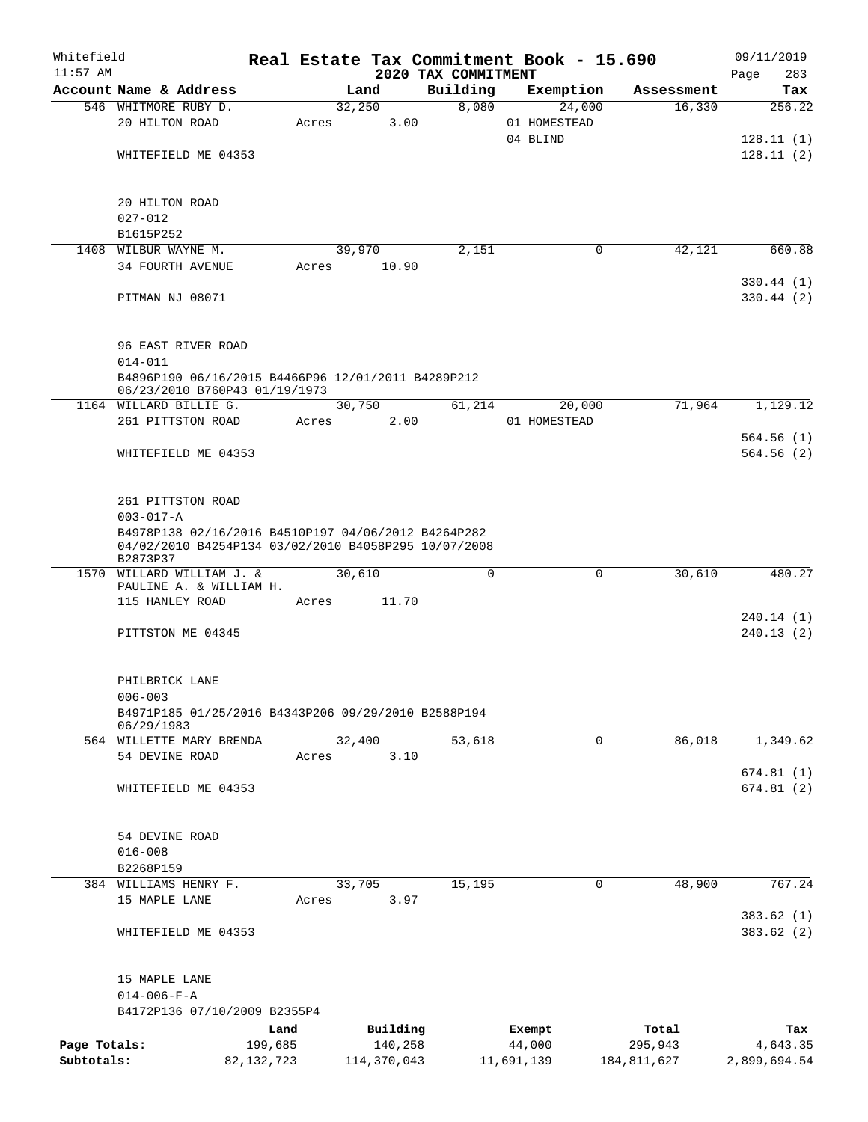| Whitefield<br>$11:57$ AM |                                                                                                                         |              |               | 2020 TAX COMMITMENT | Real Estate Tax Commitment Book - 15.690 |                       | 09/11/2019<br>283<br>Page |
|--------------------------|-------------------------------------------------------------------------------------------------------------------------|--------------|---------------|---------------------|------------------------------------------|-----------------------|---------------------------|
|                          | Account Name & Address                                                                                                  |              | Land          | Building            | Exemption                                | Assessment            | Tax                       |
|                          | 546 WHITMORE RUBY D.                                                                                                    |              | 32,250        | 8,080               | 24,000                                   | 16,330                | 256.22                    |
|                          | 20 HILTON ROAD                                                                                                          | Acres        | 3.00          |                     | 01 HOMESTEAD                             |                       |                           |
|                          |                                                                                                                         |              |               |                     | 04 BLIND                                 |                       | 128.11(1)                 |
|                          | WHITEFIELD ME 04353                                                                                                     |              |               |                     |                                          |                       | 128.11(2)                 |
|                          | 20 HILTON ROAD                                                                                                          |              |               |                     |                                          |                       |                           |
|                          | $027 - 012$<br>B1615P252                                                                                                |              |               |                     |                                          |                       |                           |
|                          | 1408 WILBUR WAYNE M.                                                                                                    |              | 39,970        | 2,151               |                                          | 42,121<br>0           | 660.88                    |
|                          | 34 FOURTH AVENUE                                                                                                        | Acres        | 10.90         |                     |                                          |                       |                           |
|                          |                                                                                                                         |              |               |                     |                                          |                       | 330.44 (1)                |
|                          | PITMAN NJ 08071                                                                                                         |              |               |                     |                                          |                       | 330.44(2)                 |
|                          | 96 EAST RIVER ROAD<br>$014 - 011$                                                                                       |              |               |                     |                                          |                       |                           |
|                          | B4896P190 06/16/2015 B4466P96 12/01/2011 B4289P212<br>06/23/2010 B760P43 01/19/1973                                     |              |               |                     |                                          |                       |                           |
|                          | 1164 WILLARD BILLIE G.                                                                                                  |              | 30,750        | 61,214              | 20,000                                   | 71,964                | 1,129.12                  |
|                          | 261 PITTSTON ROAD                                                                                                       | Acres        | 2.00          |                     | 01 HOMESTEAD                             |                       |                           |
|                          |                                                                                                                         |              |               |                     |                                          |                       | 564.56(1)                 |
|                          | WHITEFIELD ME 04353                                                                                                     |              |               |                     |                                          |                       | 564.56(2)                 |
|                          | 261 PITTSTON ROAD<br>$003 - 017 - A$                                                                                    |              |               |                     |                                          |                       |                           |
|                          | B4978P138 02/16/2016 B4510P197 04/06/2012 B4264P282<br>04/02/2010 B4254P134 03/02/2010 B4058P295 10/07/2008<br>B2873P37 |              |               |                     |                                          |                       |                           |
|                          | 1570 WILLARD WILLIAM J. &                                                                                               |              | 30,610        | 0                   |                                          | 0<br>30,610           | 480.27                    |
|                          | PAULINE A. & WILLIAM H.                                                                                                 |              |               |                     |                                          |                       |                           |
|                          | 115 HANLEY ROAD                                                                                                         | Acres        | 11.70         |                     |                                          |                       |                           |
|                          | PITTSTON ME 04345                                                                                                       |              |               |                     |                                          |                       | 240.14 (1)<br>240.13(2)   |
|                          | PHILBRICK LANE<br>$006 - 003$                                                                                           |              |               |                     |                                          |                       |                           |
|                          | B4971P185 01/25/2016 B4343P206 09/29/2010 B2588P194<br>06/29/1983                                                       |              |               |                     |                                          |                       |                           |
|                          | 564 WILLETTE MARY BRENDA                                                                                                |              | 32,400        | 53,618              |                                          | 86,018<br>0           | 1,349.62                  |
|                          | 54 DEVINE ROAD                                                                                                          | Acres        | 3.10          |                     |                                          |                       |                           |
|                          | WHITEFIELD ME 04353                                                                                                     |              |               |                     |                                          |                       | 674.81(1)<br>674.81(2)    |
|                          | 54 DEVINE ROAD                                                                                                          |              |               |                     |                                          |                       |                           |
|                          | $016 - 008$                                                                                                             |              |               |                     |                                          |                       |                           |
|                          | B2268P159                                                                                                               |              |               |                     |                                          |                       |                           |
|                          | 384 WILLIAMS HENRY F.                                                                                                   |              | 33,705        | 15,195              |                                          | $\mathbf 0$<br>48,900 | 767.24                    |
|                          | 15 MAPLE LANE                                                                                                           | Acres        | 3.97          |                     |                                          |                       |                           |
|                          | WHITEFIELD ME 04353                                                                                                     |              |               |                     |                                          |                       | 383.62(1)<br>383.62 (2)   |
|                          | 15 MAPLE LANE                                                                                                           |              |               |                     |                                          |                       |                           |
|                          | $014 - 006 - F - A$                                                                                                     |              |               |                     |                                          |                       |                           |
|                          | B4172P136 07/10/2009 B2355P4                                                                                            |              |               |                     |                                          |                       |                           |
|                          |                                                                                                                         | Land         | Building      |                     | Exempt                                   | Total                 | Tax                       |
| Page Totals:             |                                                                                                                         | 199,685      | 140,258       |                     | 44,000                                   | 295,943               | 4,643.35                  |
| Subtotals:               |                                                                                                                         | 82, 132, 723 | 114, 370, 043 |                     | 11,691,139                               | 184,811,627           | 2,899,694.54              |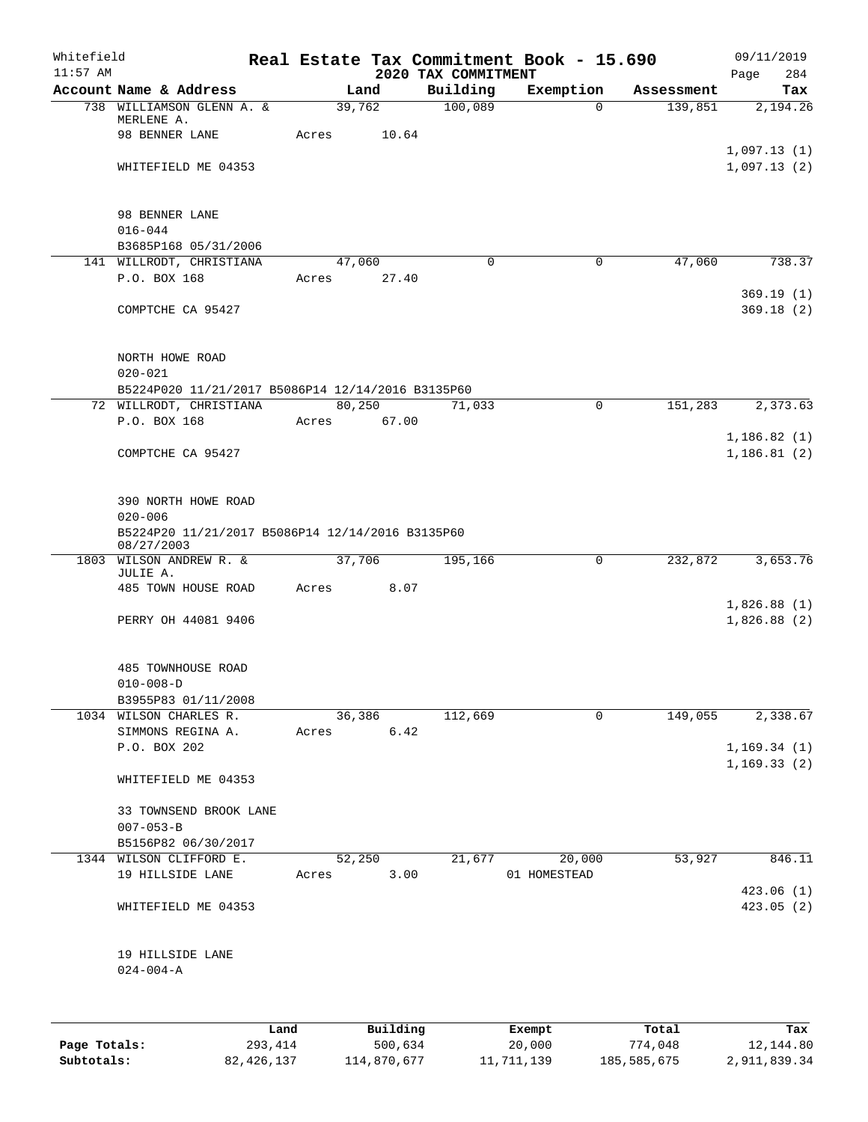| Whitefield<br>$11:57$ AM |                                                                |      |                 |          | 2020 TAX COMMITMENT | Real Estate Tax Commitment Book - 15.690 |            | 09/11/2019<br>Page<br>284  |
|--------------------------|----------------------------------------------------------------|------|-----------------|----------|---------------------|------------------------------------------|------------|----------------------------|
|                          | Account Name & Address                                         |      |                 | Land     | Building            | Exemption                                | Assessment | Tax                        |
|                          | 738 WILLIAMSON GLENN A. &                                      |      | 39,762          |          | 100,089             | $\Omega$                                 | 139,851    | 2,194.26                   |
|                          | MERLENE A.                                                     |      |                 |          |                     |                                          |            |                            |
|                          | 98 BENNER LANE                                                 |      | Acres           | 10.64    |                     |                                          |            |                            |
|                          | WHITEFIELD ME 04353                                            |      |                 |          |                     |                                          |            | 1,097.13(1)<br>1,097.13(2) |
|                          |                                                                |      |                 |          |                     |                                          |            |                            |
|                          |                                                                |      |                 |          |                     |                                          |            |                            |
|                          | 98 BENNER LANE                                                 |      |                 |          |                     |                                          |            |                            |
|                          | $016 - 044$                                                    |      |                 |          |                     |                                          |            |                            |
|                          | B3685P168 05/31/2006                                           |      |                 |          |                     |                                          |            |                            |
|                          | 141 WILLRODT, CHRISTIANA                                       |      | 47,060          |          | $\Omega$            | $\mathbf 0$                              | 47,060     | 738.37                     |
|                          | P.O. BOX 168                                                   |      | Acres           | 27.40    |                     |                                          |            | 369.19(1)                  |
|                          | COMPTCHE CA 95427                                              |      |                 |          |                     |                                          |            | 369.18(2)                  |
|                          |                                                                |      |                 |          |                     |                                          |            |                            |
|                          |                                                                |      |                 |          |                     |                                          |            |                            |
|                          | NORTH HOWE ROAD                                                |      |                 |          |                     |                                          |            |                            |
|                          | $020 - 021$                                                    |      |                 |          |                     |                                          |            |                            |
|                          | B5224P020 11/21/2017 B5086P14 12/14/2016 B3135P60              |      |                 |          |                     |                                          |            |                            |
|                          | 72 WILLRODT, CHRISTIANA<br>P.O. BOX 168                        |      | 80,250<br>Acres |          | 71,033              | $\mathbf 0$                              | 151,283    | 2,373.63                   |
|                          |                                                                |      |                 | 67.00    |                     |                                          |            | 1,186.82(1)                |
|                          | COMPTCHE CA 95427                                              |      |                 |          |                     |                                          |            | 1,186.81(2)                |
|                          |                                                                |      |                 |          |                     |                                          |            |                            |
|                          |                                                                |      |                 |          |                     |                                          |            |                            |
|                          | 390 NORTH HOWE ROAD                                            |      |                 |          |                     |                                          |            |                            |
|                          | $020 - 006$                                                    |      |                 |          |                     |                                          |            |                            |
|                          | B5224P20 11/21/2017 B5086P14 12/14/2016 B3135P60<br>08/27/2003 |      |                 |          |                     |                                          |            |                            |
| 1803                     | WILSON ANDREW R. &                                             |      | 37,706          |          | 195,166             | $\mathbf 0$                              | 232,872    | 3,653.76                   |
|                          | JULIE A.                                                       |      |                 |          |                     |                                          |            |                            |
|                          | 485 TOWN HOUSE ROAD                                            |      | Acres           | 8.07     |                     |                                          |            |                            |
|                          | PERRY OH 44081 9406                                            |      |                 |          |                     |                                          |            | 1,826.88(1)<br>1,826.88(2) |
|                          |                                                                |      |                 |          |                     |                                          |            |                            |
|                          |                                                                |      |                 |          |                     |                                          |            |                            |
|                          | 485 TOWNHOUSE ROAD                                             |      |                 |          |                     |                                          |            |                            |
|                          | $010 - 008 - D$                                                |      |                 |          |                     |                                          |            |                            |
|                          | B3955P83 01/11/2008                                            |      |                 |          |                     |                                          |            |                            |
|                          | 1034 WILSON CHARLES R.                                         |      | 36,386          |          | 112,669             | $\mathbf 0$                              | 149,055    | 2,338.67                   |
|                          | SIMMONS REGINA A.<br>P.O. BOX 202                              |      | Acres           | 6.42     |                     |                                          |            | 1, 169.34(1)               |
|                          |                                                                |      |                 |          |                     |                                          |            | 1, 169.33(2)               |
|                          | WHITEFIELD ME 04353                                            |      |                 |          |                     |                                          |            |                            |
|                          |                                                                |      |                 |          |                     |                                          |            |                            |
|                          | 33 TOWNSEND BROOK LANE                                         |      |                 |          |                     |                                          |            |                            |
|                          | $007 - 053 - B$                                                |      |                 |          |                     |                                          |            |                            |
|                          | B5156P82 06/30/2017                                            |      |                 |          |                     |                                          |            |                            |
|                          | 1344 WILSON CLIFFORD E.<br>19 HILLSIDE LANE                    |      | 52,250<br>Acres | 3.00     | 21,677              | 20,000<br>01 HOMESTEAD                   | 53,927     | 846.11                     |
|                          |                                                                |      |                 |          |                     |                                          |            | 423.06(1)                  |
|                          | WHITEFIELD ME 04353                                            |      |                 |          |                     |                                          |            | 423.05(2)                  |
|                          |                                                                |      |                 |          |                     |                                          |            |                            |
|                          |                                                                |      |                 |          |                     |                                          |            |                            |
|                          | 19 HILLSIDE LANE                                               |      |                 |          |                     |                                          |            |                            |
|                          | $024 - 004 - A$                                                |      |                 |          |                     |                                          |            |                            |
|                          |                                                                |      |                 |          |                     |                                          |            |                            |
|                          |                                                                |      |                 |          |                     |                                          |            |                            |
|                          |                                                                | Land |                 | Building |                     | Exempt                                   | Total      | Tax                        |

|              | Land         | Building    | Exempt     | Total       | тах          |
|--------------|--------------|-------------|------------|-------------|--------------|
| Page Totals: | 293,414      | 500,634     | 20,000     | 774,048     | 12,144.80    |
| Subtotals:   | 82, 426, 137 | 114,870,677 | 11,711,139 | 185,585,675 | 2,911,839.34 |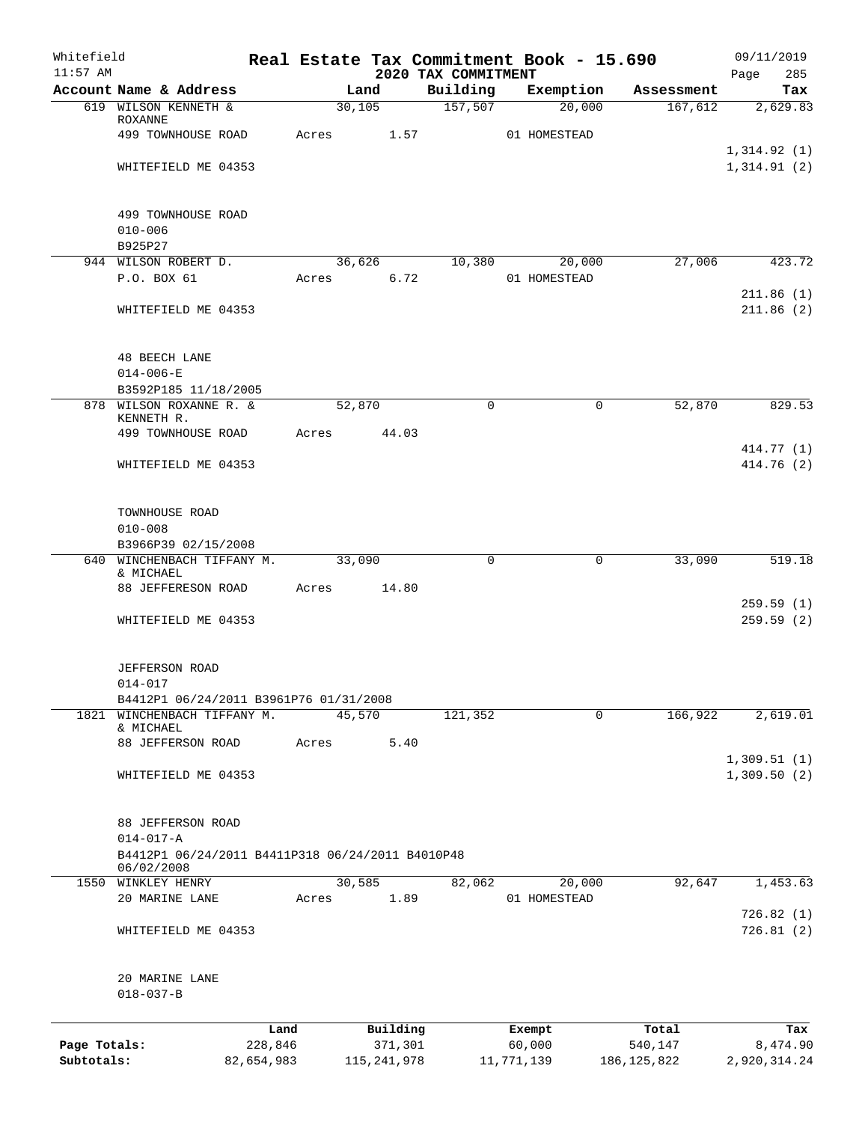| Whitefield<br>$11:57$ AM |                                                                                   |         |          | 2020 TAX COMMITMENT | Real Estate Tax Commitment Book - 15.690 |            | 09/11/2019<br>Page<br>285  |
|--------------------------|-----------------------------------------------------------------------------------|---------|----------|---------------------|------------------------------------------|------------|----------------------------|
|                          | Account Name & Address                                                            |         | Land     | Building            | Exemption                                | Assessment | Tax                        |
|                          | 619 WILSON KENNETH &                                                              |         | 30,105   | 157,507             | 20,000                                   | 167,612    | 2,629.83                   |
|                          | <b>ROXANNE</b><br>499 TOWNHOUSE ROAD                                              | Acres   |          | 1.57                | 01 HOMESTEAD                             |            |                            |
|                          | WHITEFIELD ME 04353                                                               |         |          |                     |                                          |            | 1,314.92(1)<br>1,314.91(2) |
|                          |                                                                                   |         |          |                     |                                          |            |                            |
|                          | 499 TOWNHOUSE ROAD                                                                |         |          |                     |                                          |            |                            |
|                          | $010 - 006$<br>B925P27                                                            |         |          |                     |                                          |            |                            |
|                          | 944 WILSON ROBERT D.                                                              |         | 36,626   | 10,380              | 20,000                                   | 27,006     | 423.72                     |
|                          | P.O. BOX 61                                                                       | Acres   |          | 6.72                | 01 HOMESTEAD                             |            | 211.86(1)                  |
|                          | WHITEFIELD ME 04353                                                               |         |          |                     |                                          |            | 211.86(2)                  |
|                          | <b>48 BEECH LANE</b>                                                              |         |          |                     |                                          |            |                            |
|                          | $014 - 006 - E$                                                                   |         |          |                     |                                          |            |                            |
|                          | B3592P185 11/18/2005<br>878 WILSON ROXANNE R. &                                   |         | 52,870   |                     | 0<br>$\mathbf 0$                         | 52,870     | 829.53                     |
|                          | KENNETH R.<br>499 TOWNHOUSE ROAD                                                  | Acres   |          | 44.03               |                                          |            |                            |
|                          | WHITEFIELD ME 04353                                                               |         |          |                     |                                          |            | 414.77 (1)<br>414.76 (2)   |
|                          | TOWNHOUSE ROAD                                                                    |         |          |                     |                                          |            |                            |
|                          | $010 - 008$                                                                       |         |          |                     |                                          |            |                            |
|                          | B3966P39 02/15/2008                                                               |         |          |                     |                                          |            |                            |
|                          | 640 WINCHENBACH TIFFANY M.<br>& MICHAEL                                           |         | 33,090   |                     | 0<br>$\mathbf 0$                         | 33,090     | 519.18                     |
|                          | 88 JEFFERESON ROAD                                                                | Acres   |          | 14.80               |                                          |            | 259.59(1)                  |
|                          | WHITEFIELD ME 04353                                                               |         |          |                     |                                          |            | 259.59(2)                  |
|                          | JEFFERSON ROAD                                                                    |         |          |                     |                                          |            |                            |
|                          | 014-017<br>B4412P1 06/24/2011 B3961P76 01/31/2008                                 |         |          |                     |                                          |            |                            |
| 1821                     | WINCHENBACH TIFFANY M.<br>& MICHAEL                                               |         | 45,570   | 121,352             | 0                                        | 166,922    | 2,619.01                   |
|                          | 88 JEFFERSON ROAD                                                                 | Acres   |          | 5.40                |                                          |            | 1,309.51(1)                |
|                          | WHITEFIELD ME 04353                                                               |         |          |                     |                                          |            | 1,309.50(2)                |
|                          | 88 JEFFERSON ROAD                                                                 |         |          |                     |                                          |            |                            |
|                          | $014 - 017 - A$<br>B4412P1 06/24/2011 B4411P318 06/24/2011 B4010P48<br>06/02/2008 |         |          |                     |                                          |            |                            |
|                          | 1550 WINKLEY HENRY                                                                |         | 30,585   | 82,062              | 20,000                                   | 92,647     | 1,453.63                   |
|                          | 20 MARINE LANE                                                                    | Acres   |          | 1.89                | 01 HOMESTEAD                             |            | 726.82(1)                  |
|                          | WHITEFIELD ME 04353                                                               |         |          |                     |                                          |            | 726.81(2)                  |
|                          | 20 MARINE LANE<br>$018 - 037 - B$                                                 |         |          |                     |                                          |            |                            |
|                          |                                                                                   | Land    | Building |                     | Exempt                                   | Total      | Tax                        |
| Page Totals:             |                                                                                   | 228,846 |          | 371,301             | 60,000                                   | 540,147    | 8,474.90                   |

**Subtotals:** 82,654,983 115,241,978 11,771,139 186,125,822 2,920,314.24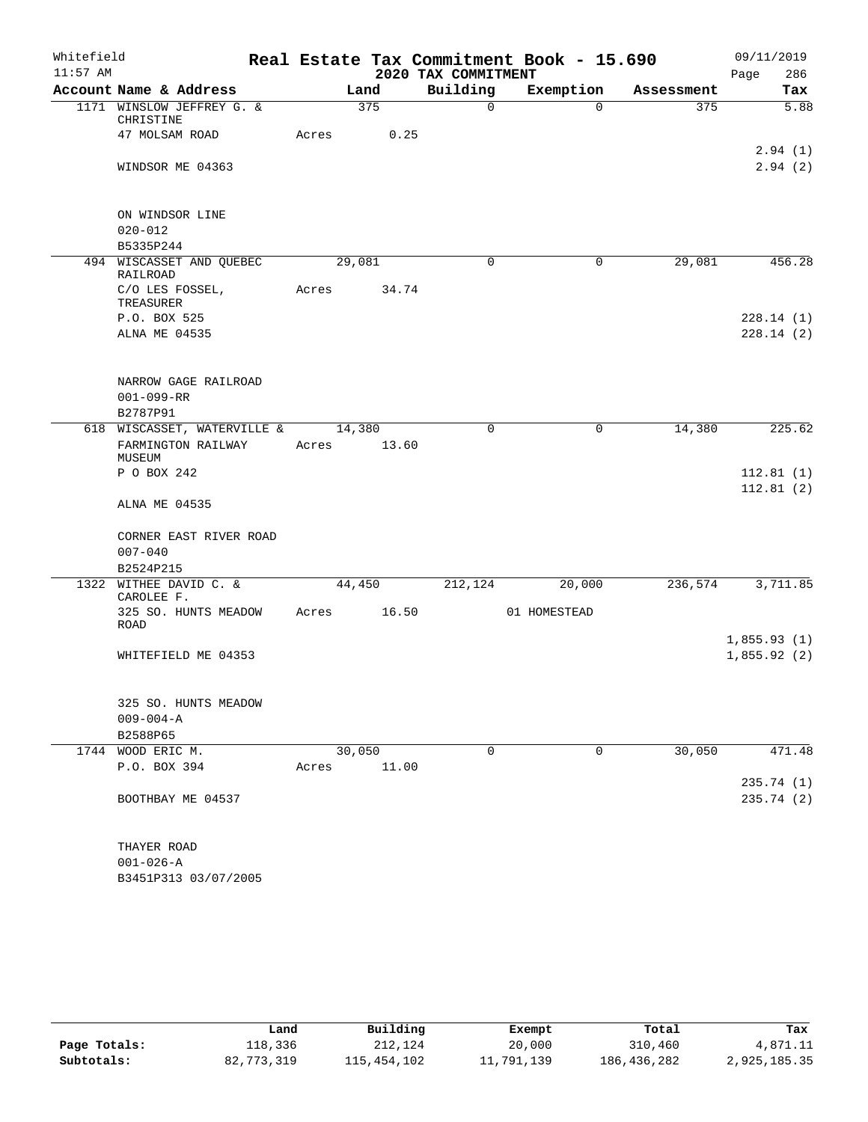| Whitefield<br>$11:57$ AM |                                                   |                 |        | 2020 TAX COMMITMENT | Real Estate Tax Commitment Book - 15.690 |            | 09/11/2019<br>286<br>Page |
|--------------------------|---------------------------------------------------|-----------------|--------|---------------------|------------------------------------------|------------|---------------------------|
|                          | Account Name & Address                            |                 | Land   | Building            | Exemption                                | Assessment | Tax                       |
|                          | 1171 WINSLOW JEFFREY G. &<br>CHRISTINE            |                 | 375    | $\mathbf 0$         | $\Omega$                                 | 375        | 5.88                      |
|                          | 47 MOLSAM ROAD                                    | Acres           | 0.25   |                     |                                          |            |                           |
|                          | WINDSOR ME 04363                                  |                 |        |                     |                                          |            | 2.94(1)<br>2.94(2)        |
|                          | ON WINDSOR LINE                                   |                 |        |                     |                                          |            |                           |
|                          | $020 - 012$                                       |                 |        |                     |                                          |            |                           |
|                          | B5335P244                                         |                 |        |                     |                                          |            |                           |
|                          | 494 WISCASSET AND QUEBEC<br>RAILROAD              | 29,081          |        | $\Omega$            | 0                                        | 29,081     | 456.28                    |
|                          | C/O LES FOSSEL,<br>TREASURER                      | Acres           | 34.74  |                     |                                          |            |                           |
|                          | P.O. BOX 525                                      |                 |        |                     |                                          |            | 228.14(1)                 |
|                          | ALNA ME 04535                                     |                 |        |                     |                                          |            | 228.14(2)                 |
|                          | NARROW GAGE RAILROAD                              |                 |        |                     |                                          |            |                           |
|                          | $001 - 099 - RR$                                  |                 |        |                     |                                          |            |                           |
|                          | B2787P91                                          |                 |        |                     |                                          |            |                           |
|                          | 618 WISCASSET, WATERVILLE &<br>FARMINGTON RAILWAY | 14,380<br>Acres | 13.60  | 0                   | 0                                        | 14,380     | 225.62                    |
|                          | MUSEUM                                            |                 |        |                     |                                          |            |                           |
|                          | P O BOX 242                                       |                 |        |                     |                                          |            | 112.81(1)                 |
|                          | ALNA ME 04535                                     |                 |        |                     |                                          |            | 112.81(2)                 |
|                          | CORNER EAST RIVER ROAD                            |                 |        |                     |                                          |            |                           |
|                          | $007 - 040$                                       |                 |        |                     |                                          |            |                           |
|                          | B2524P215                                         |                 |        |                     |                                          |            |                           |
|                          | 1322 WITHEE DAVID C. &<br>CAROLEE F.              |                 | 44,450 | 212,124             | 20,000                                   | 236,574    | 3,711.85                  |
|                          | 325 SO. HUNTS MEADOW<br><b>ROAD</b>               | Acres           | 16.50  |                     | 01 HOMESTEAD                             |            |                           |
|                          |                                                   |                 |        |                     |                                          |            | 1,855.93(1)               |
|                          | WHITEFIELD ME 04353                               |                 |        |                     |                                          |            | 1,855.92(2)               |
|                          | 325 SO. HUNTS MEADOW                              |                 |        |                     |                                          |            |                           |
|                          | $009 - 004 - A$                                   |                 |        |                     |                                          |            |                           |
|                          | B2588P65                                          |                 |        |                     |                                          |            |                           |
|                          | 1744 WOOD ERIC M.                                 |                 | 30,050 | $\Omega$            | 0                                        | 30,050     | 471.48                    |
|                          | P.O. BOX 394                                      | Acres           | 11.00  |                     |                                          |            | 235.74 (1)                |
|                          | BOOTHBAY ME 04537                                 |                 |        |                     |                                          |            | 235.74(2)                 |
|                          | THAYER ROAD                                       |                 |        |                     |                                          |            |                           |
|                          | $001 - 026 - A$                                   |                 |        |                     |                                          |            |                           |
|                          | B3451P313 03/07/2005                              |                 |        |                     |                                          |            |                           |

|              | Land       | Building    | Exempt     | Total       | Tax          |
|--------------|------------|-------------|------------|-------------|--------------|
| Page Totals: | 118,336    | 212,124     | 20,000     | 310,460     | 4,871.11     |
| Subtotals:   | 82,773,319 | 115,454,102 | 11,791,139 | 186,436,282 | 2,925,185.35 |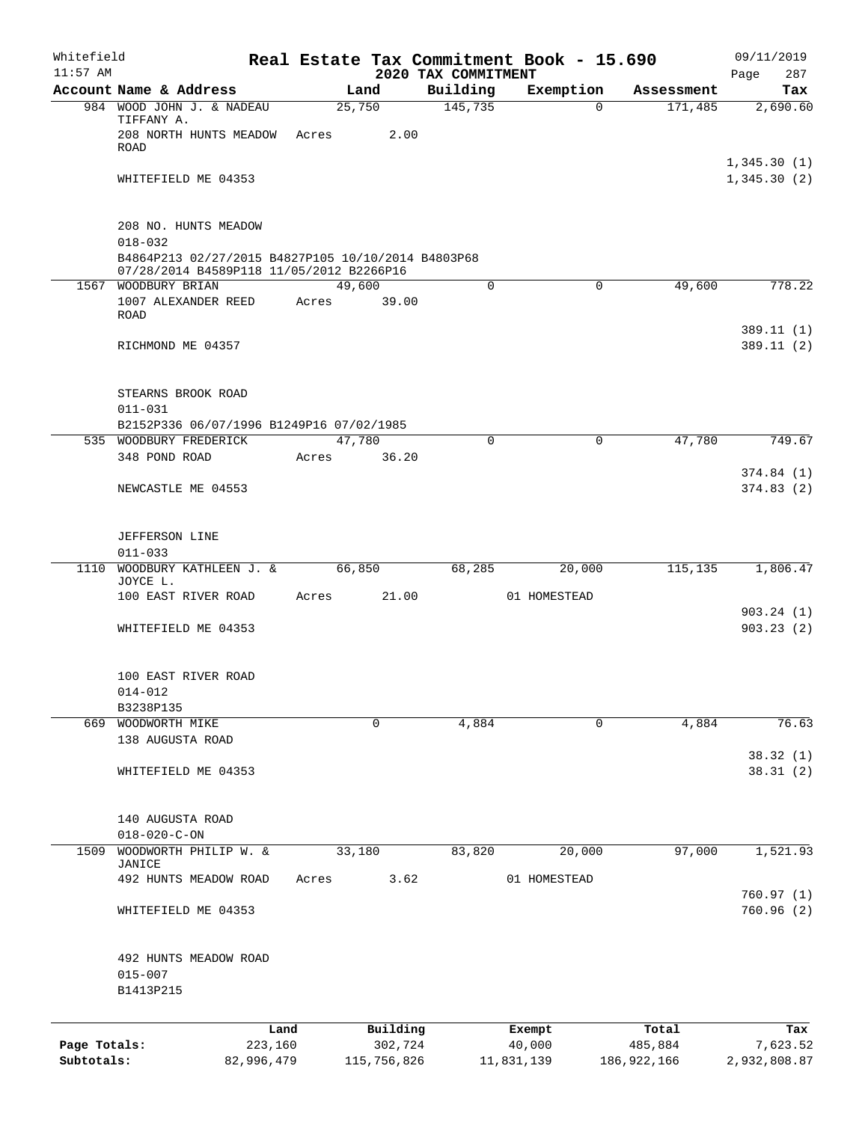| Whitefield                 |                                                                                           |                       |       |                        |                                 | Real Estate Tax Commitment Book - 15.690 |                        | 09/11/2019                 |
|----------------------------|-------------------------------------------------------------------------------------------|-----------------------|-------|------------------------|---------------------------------|------------------------------------------|------------------------|----------------------------|
| $11:57$ AM                 | Account Name & Address                                                                    |                       |       | Land                   | 2020 TAX COMMITMENT<br>Building |                                          |                        | 287<br>Page<br>Tax         |
|                            | 984 WOOD JOHN J. & NADEAU                                                                 |                       |       | 25,750                 | 145,735                         | Exemption<br>0                           | Assessment<br>171,485  | 2,690.60                   |
|                            | TIFFANY A.<br>208 NORTH HUNTS MEADOW<br><b>ROAD</b>                                       |                       | Acres | 2.00                   |                                 |                                          |                        |                            |
|                            | WHITEFIELD ME 04353                                                                       |                       |       |                        |                                 |                                          |                        | 1,345.30(1)<br>1,345.30(2) |
|                            | 208 NO. HUNTS MEADOW<br>$018 - 032$<br>B4864P213 02/27/2015 B4827P105 10/10/2014 B4803P68 |                       |       |                        |                                 |                                          |                        |                            |
| 1567                       | 07/28/2014 B4589P118 11/05/2012 B2266P16<br>WOODBURY BRIAN                                |                       |       | 49,600                 | $\mathbf 0$                     | $\mathbf 0$                              | 49,600                 | 778.22                     |
|                            | 1007 ALEXANDER REED<br><b>ROAD</b>                                                        |                       | Acres | 39.00                  |                                 |                                          |                        |                            |
|                            | RICHMOND ME 04357                                                                         |                       |       |                        |                                 |                                          |                        | 389.11(1)<br>389.11(2)     |
|                            | STEARNS BROOK ROAD<br>$011 - 031$                                                         |                       |       |                        |                                 |                                          |                        |                            |
|                            | B2152P336 06/07/1996 B1249P16 07/02/1985                                                  |                       |       |                        |                                 |                                          |                        |                            |
|                            | 535 WOODBURY FREDERICK<br>348 POND ROAD                                                   |                       | Acres | 47,780<br>36.20        | $\mathbf 0$                     | $\mathbf 0$                              | 47,780                 | 749.67                     |
|                            | NEWCASTLE ME 04553                                                                        |                       |       |                        |                                 |                                          |                        | 374.84(1)<br>374.83(2)     |
|                            | <b>JEFFERSON LINE</b><br>$011 - 033$                                                      |                       |       |                        |                                 |                                          |                        |                            |
|                            | 1110 WOODBURY KATHLEEN J. &                                                               |                       |       | 66,850                 | 68,285                          | 20,000                                   | 115,135                | 1,806.47                   |
|                            | JOYCE L.<br>100 EAST RIVER ROAD                                                           |                       | Acres | 21.00                  |                                 | 01 HOMESTEAD                             |                        |                            |
|                            |                                                                                           |                       |       |                        |                                 |                                          |                        | 903.24(1)                  |
|                            | WHITEFIELD ME 04353                                                                       |                       |       |                        |                                 |                                          |                        | 903.23(2)                  |
|                            | 100 EAST RIVER ROAD<br>014-012                                                            |                       |       |                        |                                 |                                          |                        |                            |
|                            | B3238P135                                                                                 |                       |       |                        |                                 |                                          |                        |                            |
|                            | 669 WOODWORTH MIKE<br>138 AUGUSTA ROAD                                                    |                       |       | 0                      | 4,884                           | 0                                        | 4,884                  | 76.63                      |
|                            | WHITEFIELD ME 04353                                                                       |                       |       |                        |                                 |                                          |                        | 38.32(1)<br>38.31(2)       |
|                            | 140 AUGUSTA ROAD<br>$018 - 020 - C - ON$                                                  |                       |       |                        |                                 |                                          |                        |                            |
| 1509                       | WOODWORTH PHILIP W. &                                                                     |                       |       | 33,180                 | 83,820                          | 20,000                                   | 97,000                 | 1,521.93                   |
|                            | JANICE<br>492 HUNTS MEADOW ROAD                                                           |                       | Acres | 3.62                   |                                 | 01 HOMESTEAD                             |                        |                            |
|                            | WHITEFIELD ME 04353                                                                       |                       |       |                        |                                 |                                          |                        | 760.97(1)<br>760.96(2)     |
|                            | 492 HUNTS MEADOW ROAD<br>$015 - 007$<br>B1413P215                                         |                       |       |                        |                                 |                                          |                        |                            |
|                            |                                                                                           | Land                  |       | Building               |                                 | Exempt                                   | Total                  | Tax                        |
| Page Totals:<br>Subtotals: |                                                                                           | 223,160<br>82,996,479 |       | 302,724<br>115,756,826 |                                 | 40,000<br>11,831,139                     | 485,884<br>186,922,166 | 7,623.52<br>2,932,808.87   |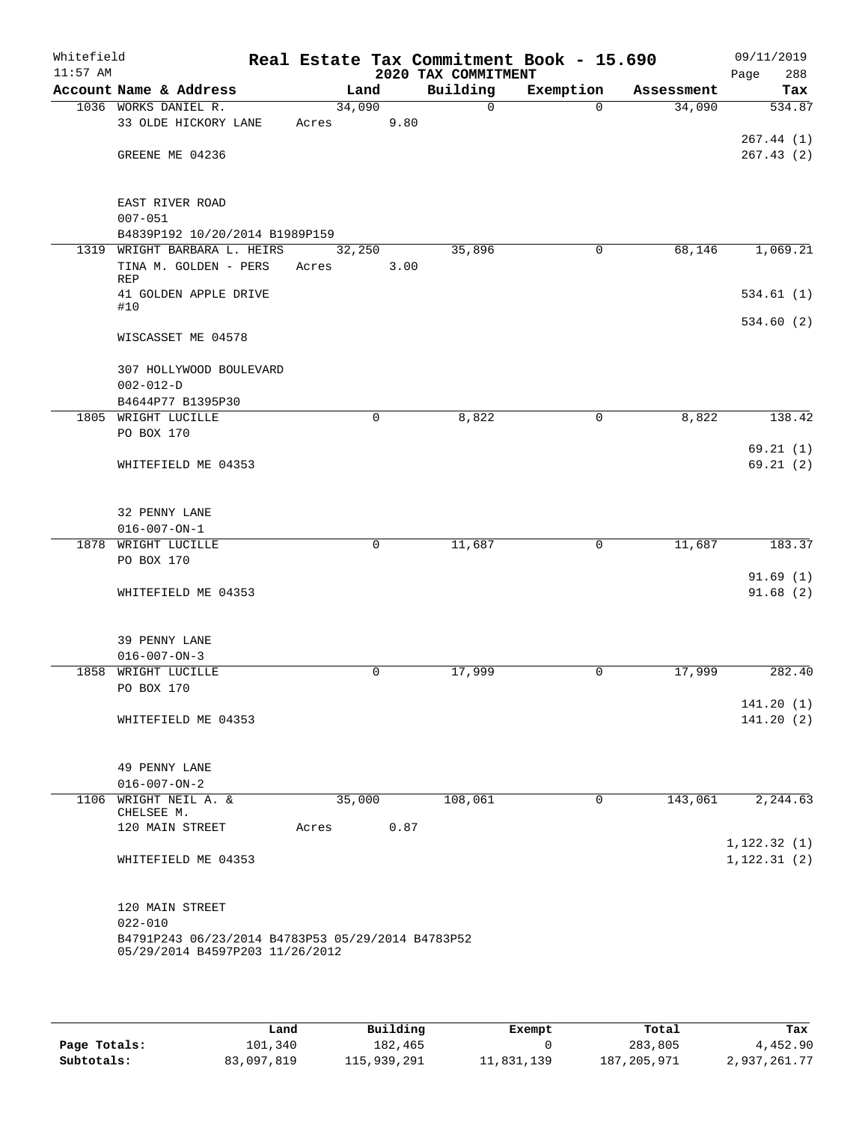| Whitefield<br>$11:57$ AM |                                                   |             |      | 2020 TAX COMMITMENT | Real Estate Tax Commitment Book - 15.690 |            | 09/11/2019<br>288<br>Page |
|--------------------------|---------------------------------------------------|-------------|------|---------------------|------------------------------------------|------------|---------------------------|
|                          | Account Name & Address                            | Land        |      | Building            | Exemption                                | Assessment | Tax                       |
|                          | 1036 WORKS DANIEL R.                              | 34,090      |      | $\mathbf 0$         | $\Omega$                                 | 34,090     | 534.87                    |
|                          | 33 OLDE HICKORY LANE                              | Acres       | 9.80 |                     |                                          |            |                           |
|                          |                                                   |             |      |                     |                                          |            | 267.44(1)                 |
|                          | GREENE ME 04236                                   |             |      |                     |                                          |            | 267.43(2)                 |
|                          | EAST RIVER ROAD                                   |             |      |                     |                                          |            |                           |
|                          | $007 - 051$                                       |             |      |                     |                                          |            |                           |
|                          | B4839P192 10/20/2014 B1989P159                    |             |      |                     |                                          |            |                           |
| 1319                     | WRIGHT BARBARA L. HEIRS                           | 32,250      |      | 35,896              | 0                                        | 68,146     | 1,069.21                  |
|                          | TINA M. GOLDEN - PERS<br><b>REP</b>               | Acres       | 3.00 |                     |                                          |            |                           |
|                          | 41 GOLDEN APPLE DRIVE<br>#10                      |             |      |                     |                                          |            | 534.61(1)                 |
|                          | WISCASSET ME 04578                                |             |      |                     |                                          |            | 534.60(2)                 |
|                          | 307 HOLLYWOOD BOULEVARD                           |             |      |                     |                                          |            |                           |
|                          | $002 - 012 - D$                                   |             |      |                     |                                          |            |                           |
|                          | B4644P77 B1395P30                                 |             |      |                     |                                          |            |                           |
|                          | 1805 WRIGHT LUCILLE                               | $\mathbf 0$ |      | 8,822               | $\mathbf 0$                              | 8,822      | 138.42                    |
|                          | PO BOX 170                                        |             |      |                     |                                          |            |                           |
|                          |                                                   |             |      |                     |                                          |            | 69.21(1)                  |
|                          | WHITEFIELD ME 04353                               |             |      |                     |                                          |            | 69.21(2)                  |
|                          | 32 PENNY LANE                                     |             |      |                     |                                          |            |                           |
|                          | $016 - 007 - ON - 1$                              |             |      |                     |                                          |            |                           |
|                          | 1878 WRIGHT LUCILLE                               | 0           |      | 11,687              | 0                                        | 11,687     | 183.37                    |
|                          | PO BOX 170                                        |             |      |                     |                                          |            |                           |
|                          |                                                   |             |      |                     |                                          |            | 91.69(1)                  |
|                          | WHITEFIELD ME 04353                               |             |      |                     |                                          |            | 91.68(2)                  |
|                          | 39 PENNY LANE                                     |             |      |                     |                                          |            |                           |
|                          | $016 - 007 - ON - 3$                              |             |      |                     |                                          |            |                           |
| 1858                     | WRIGHT LUCILLE                                    | $\mathbf 0$ |      | 17,999              | 0                                        | 17,999     | 282.40                    |
|                          | PO BOX 170                                        |             |      |                     |                                          |            |                           |
|                          |                                                   |             |      |                     |                                          |            | 141.20(1)                 |
|                          | WHITEFIELD ME 04353                               |             |      |                     |                                          |            | 141.20(2)                 |
|                          | 49 PENNY LANE                                     |             |      |                     |                                          |            |                           |
|                          | $016 - 007 - ON - 2$                              |             |      |                     |                                          |            |                           |
|                          | 1106 WRIGHT NEIL A. &                             | 35,000      |      | 108,061             | $\mathbf 0$                              | 143,061    | 2, 244.63                 |
|                          | CHELSEE M.<br>120 MAIN STREET                     | Acres       | 0.87 |                     |                                          |            |                           |
|                          |                                                   |             |      |                     |                                          |            | 1, 122.32(1)              |
|                          | WHITEFIELD ME 04353                               |             |      |                     |                                          |            | 1, 122.31(2)              |
|                          |                                                   |             |      |                     |                                          |            |                           |
|                          | 120 MAIN STREET<br>$022 - 010$                    |             |      |                     |                                          |            |                           |
|                          | B4791P243 06/23/2014 B4783P53 05/29/2014 B4783P52 |             |      |                     |                                          |            |                           |
|                          | 05/29/2014 B4597P203 11/26/2012                   |             |      |                     |                                          |            |                           |
|                          |                                                   |             |      |                     |                                          |            |                           |

|              | Land       | Building    | Exempt     | Total         | Tax          |
|--------------|------------|-------------|------------|---------------|--------------|
| Page Totals: | 101,340    | 182,465     |            | 283,805       | 4,452.90     |
| Subtotals:   | 83,097,819 | 115,939,291 | 11,831,139 | 187, 205, 971 | 2,937,261.77 |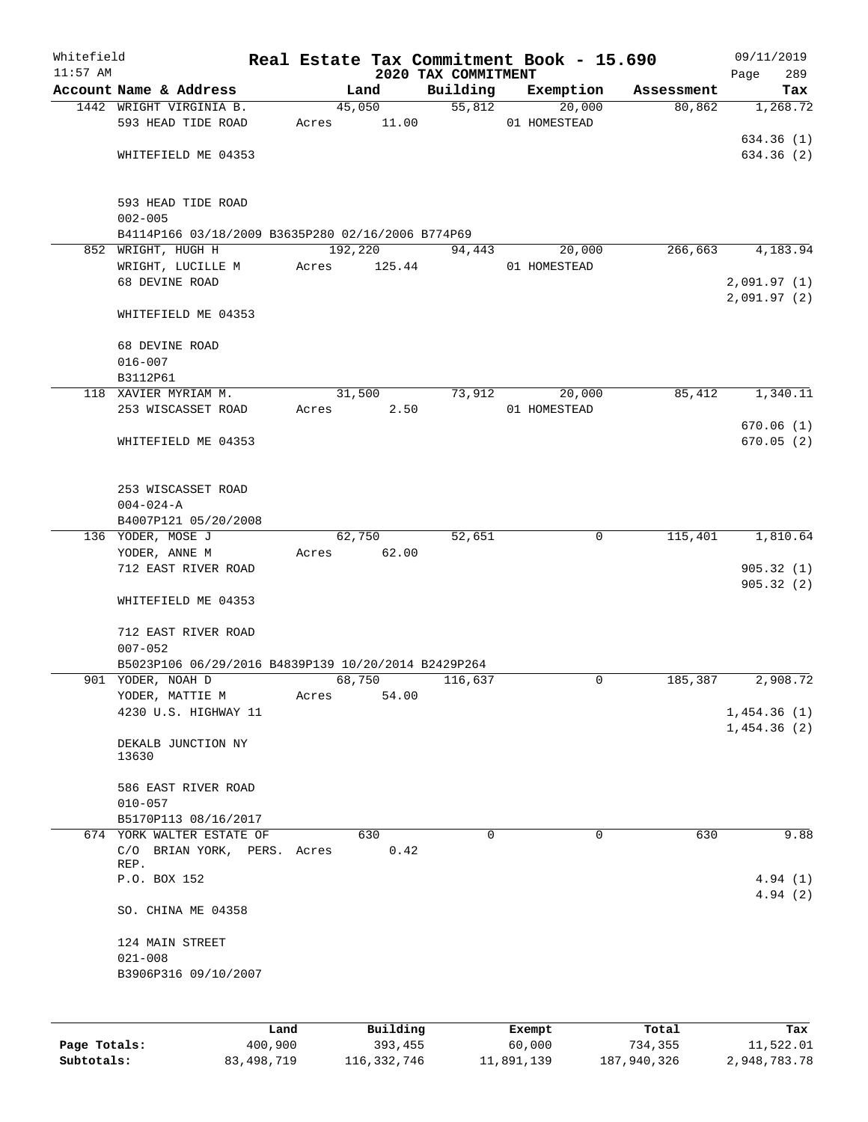| Whitefield<br>$11:57$ AM |                                                                                           |       |                   | 2020 TAX COMMITMENT | Real Estate Tax Commitment Book - 15.690 |            | 09/11/2019<br>Page<br>289  |
|--------------------------|-------------------------------------------------------------------------------------------|-------|-------------------|---------------------|------------------------------------------|------------|----------------------------|
|                          | Account Name & Address                                                                    |       | Land              | Building            | Exemption                                | Assessment | Tax                        |
|                          | 1442 WRIGHT VIRGINIA B.<br>593 HEAD TIDE ROAD                                             | Acres | 45,050<br>11.00   | 55,812              | 20,000<br>01 HOMESTEAD                   | 80,862     | 1,268.72<br>634.36(1)      |
|                          | WHITEFIELD ME 04353<br>593 HEAD TIDE ROAD<br>$002 - 005$                                  |       |                   |                     |                                          |            | 634.36 (2)                 |
|                          | B4114P166 03/18/2009 B3635P280 02/16/2006 B774P69                                         |       |                   |                     |                                          |            |                            |
|                          | 852 WRIGHT, HUGH H<br>WRIGHT, LUCILLE M                                                   | Acres | 192,220<br>125.44 | 94,443              | 20,000<br>01 HOMESTEAD                   | 266,663    | 4,183.94                   |
|                          | 68 DEVINE ROAD                                                                            |       |                   |                     |                                          |            | 2,091.97(1)<br>2,091.97(2) |
|                          | WHITEFIELD ME 04353                                                                       |       |                   |                     |                                          |            |                            |
|                          | 68 DEVINE ROAD<br>$016 - 007$                                                             |       |                   |                     |                                          |            |                            |
|                          | B3112P61<br>118 XAVIER MYRIAM M.                                                          |       | 31,500            | 73,912              | 20,000                                   | 85,412     | 1,340.11                   |
|                          | 253 WISCASSET ROAD                                                                        | Acres | 2.50              |                     | 01 HOMESTEAD                             |            |                            |
|                          |                                                                                           |       |                   |                     |                                          |            | 670.06(1)                  |
|                          | WHITEFIELD ME 04353                                                                       |       |                   |                     |                                          |            | 670.05(2)                  |
|                          | 253 WISCASSET ROAD<br>$004 - 024 - A$                                                     |       |                   |                     |                                          |            |                            |
|                          | B4007P121 05/20/2008<br>136 YODER, MOSE J                                                 |       | 62,750            | 52,651              | $\mathbf 0$                              | 115,401    | 1,810.64                   |
|                          | YODER, ANNE M                                                                             | Acres | 62.00             |                     |                                          |            |                            |
|                          | 712 EAST RIVER ROAD                                                                       |       |                   |                     |                                          |            | 905.32(1)<br>905.32(2)     |
|                          | WHITEFIELD ME 04353                                                                       |       |                   |                     |                                          |            |                            |
|                          | 712 EAST RIVER ROAD<br>$007 - 052$<br>B5023P106 06/29/2016 B4839P139 10/20/2014 B2429P264 |       |                   |                     |                                          |            |                            |
|                          | 901 YODER, NOAH D                                                                         |       | 68,750            | 116,637             | 0                                        | 185,387    | 2,908.72                   |
|                          | YODER, MATTIE M                                                                           | Acres | 54.00             |                     |                                          |            |                            |
|                          | 4230 U.S. HIGHWAY 11                                                                      |       |                   |                     |                                          |            | 1,454.36(1)<br>1,454.36(2) |
|                          | DEKALB JUNCTION NY<br>13630                                                               |       |                   |                     |                                          |            |                            |
|                          | 586 EAST RIVER ROAD<br>$010 - 057$                                                        |       |                   |                     |                                          |            |                            |
|                          | B5170P113 08/16/2017                                                                      |       |                   |                     |                                          |            |                            |
|                          | 674 YORK WALTER ESTATE OF<br>C/O BRIAN YORK, PERS. Acres<br>REP.                          |       | 630<br>0.42       | $\Omega$            | $\Omega$                                 | 630        | 9.88                       |
|                          | P.O. BOX 152                                                                              |       |                   |                     |                                          |            | 4.94(1)<br>4.94(2)         |
|                          | SO. CHINA ME 04358                                                                        |       |                   |                     |                                          |            |                            |
|                          | 124 MAIN STREET                                                                           |       |                   |                     |                                          |            |                            |
|                          | $021 - 008$<br>B3906P316 09/10/2007                                                       |       |                   |                     |                                          |            |                            |
|                          | T.and                                                                                     |       | Building          |                     | <b>Exempt</b>                            | Total      | Tax                        |

|              | Land       | Building    | Exempt     | Total       | Tax          |
|--------------|------------|-------------|------------|-------------|--------------|
| Page Totals: | 400,900    | 393,455     | 60,000     | 734,355     | 11,522.01    |
| Subtotals:   | 83,498,719 | 116,332,746 | 11,891,139 | 187,940,326 | 2,948,783.78 |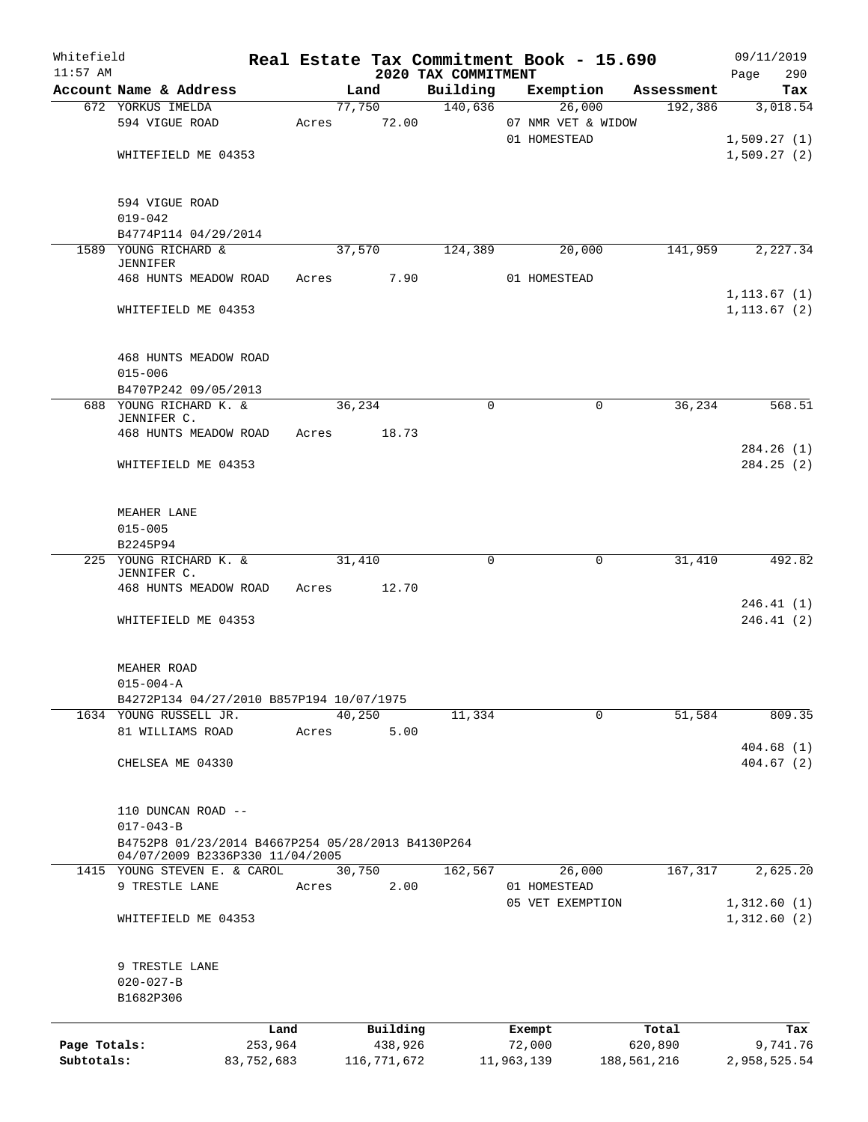| Whitefield<br>$11:57$ AM |                                                   |            |       |        |             | 2020 TAX COMMITMENT | Real Estate Tax Commitment Book - 15.690 |             | 09/11/2019<br>290<br>Page |
|--------------------------|---------------------------------------------------|------------|-------|--------|-------------|---------------------|------------------------------------------|-------------|---------------------------|
|                          | Account Name & Address                            |            |       | Land   |             | Building            | Exemption                                | Assessment  | Tax                       |
|                          | 672 YORKUS IMELDA                                 |            |       | 77,750 |             | 140,636             | 26,000                                   | 192,386     | 3,018.54                  |
|                          | 594 VIGUE ROAD                                    |            | Acres |        | 72.00       |                     | 07 NMR VET & WIDOW                       |             |                           |
|                          |                                                   |            |       |        |             |                     | 01 HOMESTEAD                             |             | 1,509.27(1)               |
|                          | WHITEFIELD ME 04353                               |            |       |        |             |                     |                                          |             | 1,509.27(2)               |
|                          |                                                   |            |       |        |             |                     |                                          |             |                           |
|                          | 594 VIGUE ROAD                                    |            |       |        |             |                     |                                          |             |                           |
|                          | $019 - 042$                                       |            |       |        |             |                     |                                          |             |                           |
|                          | B4774P114 04/29/2014                              |            |       |        |             |                     |                                          |             |                           |
|                          | 1589 YOUNG RICHARD &                              |            |       | 37,570 |             | 124,389             | 20,000                                   | 141,959     | 2,227.34                  |
|                          | <b>JENNIFER</b>                                   |            |       |        |             |                     |                                          |             |                           |
|                          | 468 HUNTS MEADOW ROAD                             |            | Acres |        | 7.90        |                     | 01 HOMESTEAD                             |             |                           |
|                          |                                                   |            |       |        |             |                     |                                          |             | 1, 113.67(1)              |
|                          | WHITEFIELD ME 04353                               |            |       |        |             |                     |                                          |             | 1, 113.67(2)              |
|                          | 468 HUNTS MEADOW ROAD                             |            |       |        |             |                     |                                          |             |                           |
|                          | $015 - 006$                                       |            |       |        |             |                     |                                          |             |                           |
|                          | B4707P242 09/05/2013                              |            |       |        |             |                     |                                          |             |                           |
|                          | 688 YOUNG RICHARD K. &                            |            |       | 36,234 |             | 0                   | $\mathbf 0$                              | 36,234      | 568.51                    |
|                          | JENNIFER C.<br>468 HUNTS MEADOW ROAD              |            | Acres |        | 18.73       |                     |                                          |             |                           |
|                          |                                                   |            |       |        |             |                     |                                          |             | 284.26(1)                 |
|                          | WHITEFIELD ME 04353                               |            |       |        |             |                     |                                          |             | 284.25(2)                 |
|                          | MEAHER LANE                                       |            |       |        |             |                     |                                          |             |                           |
|                          | $015 - 005$                                       |            |       |        |             |                     |                                          |             |                           |
|                          | B2245P94                                          |            |       |        |             |                     |                                          |             |                           |
|                          | 225 YOUNG RICHARD K. &                            |            |       | 31,410 |             | 0                   | $\mathbf 0$                              | 31,410      | 492.82                    |
|                          | JENNIFER C.                                       |            |       |        |             |                     |                                          |             |                           |
|                          | 468 HUNTS MEADOW ROAD                             |            | Acres |        | 12.70       |                     |                                          |             |                           |
|                          |                                                   |            |       |        |             |                     |                                          |             | 246.41 (1)                |
|                          | WHITEFIELD ME 04353                               |            |       |        |             |                     |                                          |             | 246.41(2)                 |
|                          | MEAHER ROAD                                       |            |       |        |             |                     |                                          |             |                           |
|                          | $015 - 004 - A$                                   |            |       |        |             |                     |                                          |             |                           |
|                          | B4272P134 04/27/2010 B857P194 10/07/1975          |            |       |        |             |                     |                                          |             |                           |
|                          | 1634 YOUNG RUSSELL JR.                            |            |       | 40,250 |             | 11,334              | $\Omega$                                 | 51,584      | 809.35                    |
|                          | 81 WILLIAMS ROAD                                  |            | Acres |        | 5.00        |                     |                                          |             |                           |
|                          |                                                   |            |       |        |             |                     |                                          |             | 404.68(1)                 |
|                          | CHELSEA ME 04330                                  |            |       |        |             |                     |                                          |             | 404.67(2)                 |
|                          | 110 DUNCAN ROAD --                                |            |       |        |             |                     |                                          |             |                           |
|                          | $017 - 043 - B$                                   |            |       |        |             |                     |                                          |             |                           |
|                          | B4752P8 01/23/2014 B4667P254 05/28/2013 B4130P264 |            |       |        |             |                     |                                          |             |                           |
|                          | 04/07/2009 B2336P330 11/04/2005                   |            |       |        |             |                     |                                          |             |                           |
|                          | 1415 YOUNG STEVEN E. & CAROL                      |            |       | 30,750 |             | 162,567             | 26,000                                   | 167,317     | 2,625.20                  |
|                          | 9 TRESTLE LANE                                    |            | Acres |        | 2.00        |                     | 01 HOMESTEAD                             |             |                           |
|                          |                                                   |            |       |        |             |                     | 05 VET EXEMPTION                         |             | 1,312.60(1)               |
|                          | WHITEFIELD ME 04353                               |            |       |        |             |                     |                                          |             | 1,312.60(2)               |
|                          | 9 TRESTLE LANE                                    |            |       |        |             |                     |                                          |             |                           |
|                          | $020 - 027 - B$                                   |            |       |        |             |                     |                                          |             |                           |
|                          | B1682P306                                         |            |       |        |             |                     |                                          |             |                           |
|                          |                                                   | Land       |       |        | Building    |                     | Exempt                                   | Total       | Tax                       |
| Page Totals:             |                                                   | 253,964    |       |        | 438,926     |                     | 72,000                                   | 620,890     | 9,741.76                  |
| Subtotals:               |                                                   | 83,752,683 |       |        | 116,771,672 |                     | 11,963,139                               | 188,561,216 | 2,958,525.54              |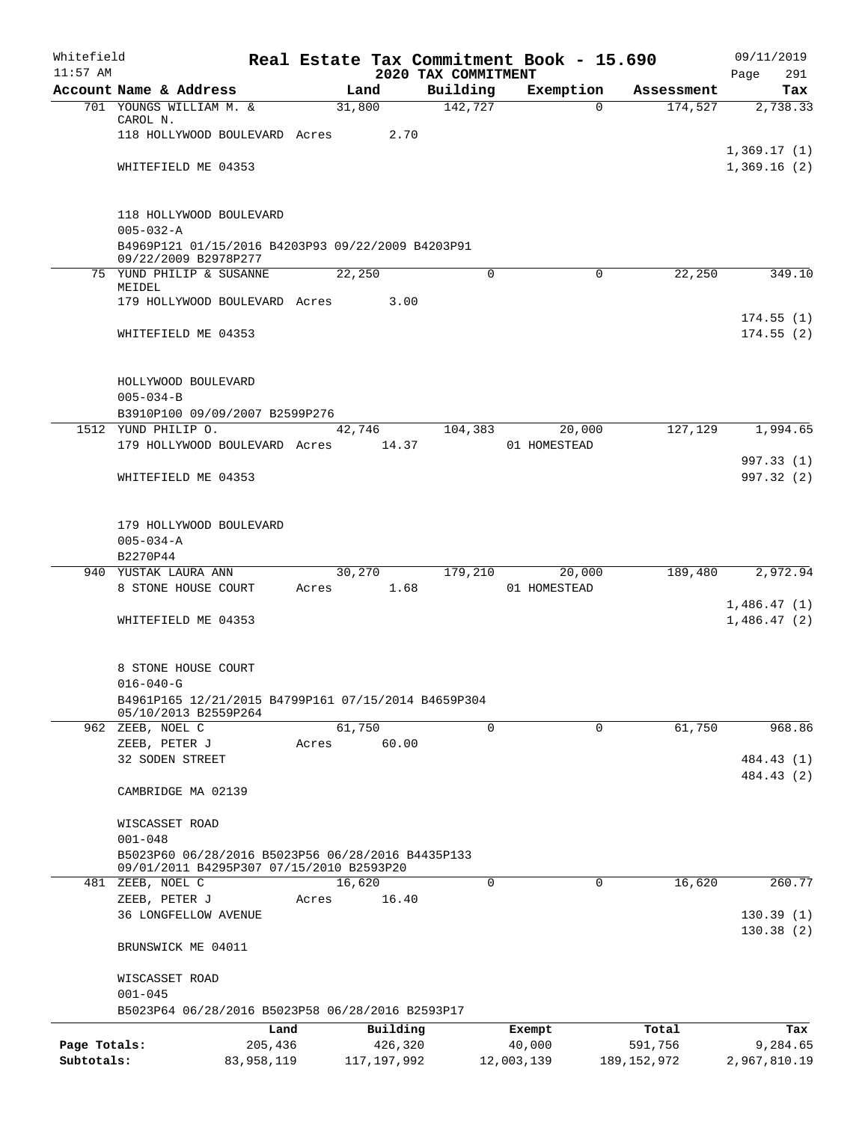| Whitefield   |                                                                           |            |       |                |          |                     | Real Estate Tax Commitment Book - 15.690 |                                   | 09/11/2019               |
|--------------|---------------------------------------------------------------------------|------------|-------|----------------|----------|---------------------|------------------------------------------|-----------------------------------|--------------------------|
| $11:57$ AM   |                                                                           |            |       |                |          | 2020 TAX COMMITMENT |                                          |                                   | 291<br>Page              |
|              | Account Name & Address<br>701 YOUNGS WILLIAM M. &                         |            |       | Land<br>31,800 |          | Building<br>142,727 | Exemption                                | Assessment<br>174,527<br>$\Omega$ | Tax<br>2,738.33          |
|              | CAROL N.                                                                  |            |       |                |          |                     |                                          |                                   |                          |
|              | 118 HOLLYWOOD BOULEVARD Acres                                             |            |       |                | 2.70     |                     |                                          |                                   |                          |
|              |                                                                           |            |       |                |          |                     |                                          |                                   | 1,369.17(1)              |
|              | WHITEFIELD ME 04353                                                       |            |       |                |          |                     |                                          |                                   | 1,369.16(2)              |
|              |                                                                           |            |       |                |          |                     |                                          |                                   |                          |
|              | 118 HOLLYWOOD BOULEVARD                                                   |            |       |                |          |                     |                                          |                                   |                          |
|              | $005 - 032 - A$                                                           |            |       |                |          |                     |                                          |                                   |                          |
|              | B4969P121 01/15/2016 B4203P93 09/22/2009 B4203P91<br>09/22/2009 B2978P277 |            |       |                |          |                     |                                          |                                   |                          |
|              | 75 YUND PHILIP & SUSANNE                                                  |            |       | 22,250         |          | 0                   | $\mathsf{O}$                             | 22,250                            | 349.10                   |
|              | MEIDEL                                                                    |            |       |                |          |                     |                                          |                                   |                          |
|              | 179 HOLLYWOOD BOULEVARD Acres                                             |            |       |                | 3.00     |                     |                                          |                                   | 174.55(1)                |
|              | WHITEFIELD ME 04353                                                       |            |       |                |          |                     |                                          |                                   | 174.55(2)                |
|              |                                                                           |            |       |                |          |                     |                                          |                                   |                          |
|              | HOLLYWOOD BOULEVARD                                                       |            |       |                |          |                     |                                          |                                   |                          |
|              | $005 - 034 - B$                                                           |            |       |                |          |                     |                                          |                                   |                          |
|              | B3910P100 09/09/2007 B2599P276                                            |            |       |                |          |                     |                                          |                                   |                          |
|              | 1512 YUND PHILIP O.                                                       |            |       | 42,746         |          | 104,383             | 20,000                                   | 127,129                           | 1,994.65                 |
|              | 179 HOLLYWOOD BOULEVARD Acres                                             |            |       | 14.37          |          |                     | 01 HOMESTEAD                             |                                   |                          |
|              |                                                                           |            |       |                |          |                     |                                          |                                   | 997.33 (1)               |
|              | WHITEFIELD ME 04353                                                       |            |       |                |          |                     |                                          |                                   | 997.32 (2)               |
|              | 179 HOLLYWOOD BOULEVARD                                                   |            |       |                |          |                     |                                          |                                   |                          |
|              | $005 - 034 - A$                                                           |            |       |                |          |                     |                                          |                                   |                          |
|              | B2270P44                                                                  |            |       |                |          |                     |                                          |                                   |                          |
|              | 940 YUSTAK LAURA ANN                                                      |            |       | 30,270         |          | 179,210             | 20,000                                   | 189,480                           | 2,972.94                 |
|              | 8 STONE HOUSE COURT                                                       |            | Acres |                | 1.68     |                     | 01 HOMESTEAD                             |                                   |                          |
|              |                                                                           |            |       |                |          |                     |                                          |                                   | 1,486.47(1)              |
|              | WHITEFIELD ME 04353                                                       |            |       |                |          |                     |                                          |                                   | 1,486.47(2)              |
|              | 8 STONE HOUSE COURT                                                       |            |       |                |          |                     |                                          |                                   |                          |
|              | $016 - 040 - G$                                                           |            |       |                |          |                     |                                          |                                   |                          |
|              | B4961P165 12/21/2015 B4799P161 07/15/2014 B4659P304                       |            |       |                |          |                     |                                          |                                   |                          |
|              | 05/10/2013 B2559P264                                                      |            |       |                |          |                     |                                          |                                   |                          |
|              | 962 ZEEB, NOEL C                                                          |            |       | 61,750         |          | $\overline{0}$      | $\overline{0}$                           | 61,750                            | 968.86                   |
|              | ZEEB, PETER J                                                             |            | Acres |                | 60.00    |                     |                                          |                                   |                          |
|              | 32 SODEN STREET                                                           |            |       |                |          |                     |                                          |                                   | 484.43 (1)<br>484.43 (2) |
|              | CAMBRIDGE MA 02139                                                        |            |       |                |          |                     |                                          |                                   |                          |
|              | WISCASSET ROAD                                                            |            |       |                |          |                     |                                          |                                   |                          |
|              | $001 - 048$                                                               |            |       |                |          |                     |                                          |                                   |                          |
|              | B5023P60 06/28/2016 B5023P56 06/28/2016 B4435P133                         |            |       |                |          |                     |                                          |                                   |                          |
|              | 09/01/2011 B4295P307 07/15/2010 B2593P20                                  |            |       |                |          |                     |                                          |                                   |                          |
|              | 481 ZEEB, NOEL C                                                          |            |       | 16,620         |          | $\Omega$            | $\Omega$                                 | 16,620                            | 260.77                   |
|              | ZEEB, PETER J                                                             |            | Acres |                | 16.40    |                     |                                          |                                   |                          |
|              | <b>36 LONGFELLOW AVENUE</b>                                               |            |       |                |          |                     |                                          |                                   | 130.39(1)                |
|              | BRUNSWICK ME 04011                                                        |            |       |                |          |                     |                                          |                                   | 130.38(2)                |
|              | WISCASSET ROAD                                                            |            |       |                |          |                     |                                          |                                   |                          |
|              | $001 - 045$                                                               |            |       |                |          |                     |                                          |                                   |                          |
|              | B5023P64 06/28/2016 B5023P58 06/28/2016 B2593P17                          |            |       |                |          |                     |                                          |                                   |                          |
|              |                                                                           | Land       |       |                | Building |                     | Exempt                                   | Total                             | Tax                      |
| Page Totals: |                                                                           | 205,436    |       |                | 426,320  |                     | 40,000                                   | 591,756                           | 9,284.65                 |
| Subtotals:   |                                                                           | 83,958,119 |       | 117,197,992    |          |                     | 12,003,139                               | 189, 152, 972                     | 2,967,810.19             |